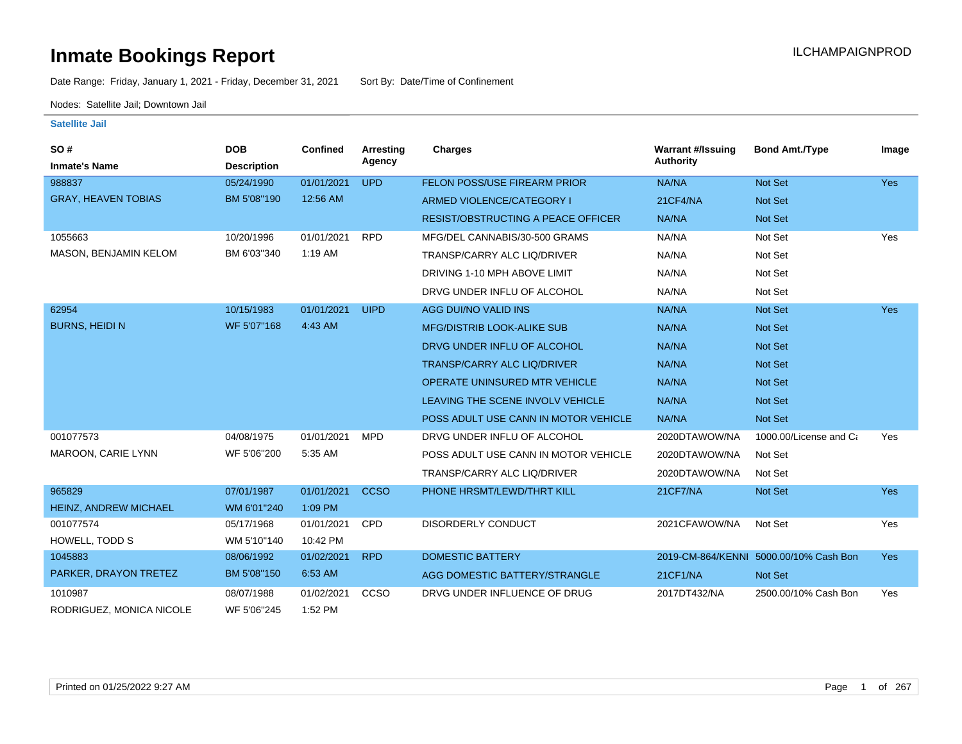Date Range: Friday, January 1, 2021 - Friday, December 31, 2021 Sort By: Date/Time of Confinement

Nodes: Satellite Jail; Downtown Jail

| SO#<br><b>Inmate's Name</b> | <b>DOB</b><br><b>Description</b> | <b>Confined</b> | <b>Arresting</b><br>Agency | <b>Charges</b>                            | <b>Warrant #/Issuing</b><br><b>Authority</b> | <b>Bond Amt./Type</b>                  | Image      |
|-----------------------------|----------------------------------|-----------------|----------------------------|-------------------------------------------|----------------------------------------------|----------------------------------------|------------|
| 988837                      |                                  | 01/01/2021      | <b>UPD</b>                 | <b>FELON POSS/USE FIREARM PRIOR</b>       | NA/NA                                        | Not Set                                | <b>Yes</b> |
|                             | 05/24/1990                       |                 |                            |                                           |                                              |                                        |            |
| <b>GRAY, HEAVEN TOBIAS</b>  | BM 5'08"190                      | 12:56 AM        |                            | ARMED VIOLENCE/CATEGORY I                 | 21CF4/NA                                     | <b>Not Set</b>                         |            |
|                             |                                  |                 |                            | <b>RESIST/OBSTRUCTING A PEACE OFFICER</b> | NA/NA                                        | Not Set                                |            |
| 1055663                     | 10/20/1996                       | 01/01/2021      | <b>RPD</b>                 | MFG/DEL CANNABIS/30-500 GRAMS             | NA/NA                                        | Not Set                                | Yes        |
| MASON, BENJAMIN KELOM       | BM 6'03"340                      | 1:19 AM         |                            | TRANSP/CARRY ALC LIQ/DRIVER               | NA/NA                                        | Not Set                                |            |
|                             |                                  |                 |                            | DRIVING 1-10 MPH ABOVE LIMIT              | NA/NA                                        | Not Set                                |            |
|                             |                                  |                 |                            | DRVG UNDER INFLU OF ALCOHOL               | NA/NA                                        | Not Set                                |            |
| 62954                       | 10/15/1983                       | 01/01/2021      | <b>UIPD</b>                | AGG DUI/NO VALID INS                      | NA/NA                                        | Not Set                                | Yes        |
| <b>BURNS, HEIDIN</b>        | WF 5'07"168                      | 4:43 AM         |                            | <b>MFG/DISTRIB LOOK-ALIKE SUB</b>         | NA/NA                                        | Not Set                                |            |
|                             |                                  |                 |                            | DRVG UNDER INFLU OF ALCOHOL               | NA/NA                                        | Not Set                                |            |
|                             |                                  |                 |                            | <b>TRANSP/CARRY ALC LIQ/DRIVER</b>        | NA/NA                                        | Not Set                                |            |
|                             |                                  |                 |                            | <b>OPERATE UNINSURED MTR VEHICLE</b>      | NA/NA                                        | Not Set                                |            |
|                             |                                  |                 |                            | LEAVING THE SCENE INVOLV VEHICLE          | NA/NA                                        | <b>Not Set</b>                         |            |
|                             |                                  |                 |                            | POSS ADULT USE CANN IN MOTOR VEHICLE      | NA/NA                                        | Not Set                                |            |
| 001077573                   | 04/08/1975                       | 01/01/2021      | <b>MPD</b>                 | DRVG UNDER INFLU OF ALCOHOL               | 2020DTAWOW/NA                                | 1000.00/License and Ca                 | Yes        |
| MAROON, CARIE LYNN          | WF 5'06"200                      | 5:35 AM         |                            | POSS ADULT USE CANN IN MOTOR VEHICLE      | 2020DTAWOW/NA                                | Not Set                                |            |
|                             |                                  |                 |                            | TRANSP/CARRY ALC LIQ/DRIVER               | 2020DTAWOW/NA                                | Not Set                                |            |
| 965829                      | 07/01/1987                       | 01/01/2021      | <b>CCSO</b>                | PHONE HRSMT/LEWD/THRT KILL                | 21CF7/NA                                     | Not Set                                | Yes        |
| HEINZ, ANDREW MICHAEL       | WM 6'01"240                      | 1:09 PM         |                            |                                           |                                              |                                        |            |
| 001077574                   | 05/17/1968                       | 01/01/2021      | <b>CPD</b>                 | <b>DISORDERLY CONDUCT</b>                 | 2021CFAWOW/NA                                | Not Set                                | Yes        |
| HOWELL, TODD S              | WM 5'10"140                      | 10:42 PM        |                            |                                           |                                              |                                        |            |
| 1045883                     | 08/06/1992                       | 01/02/2021      | <b>RPD</b>                 | <b>DOMESTIC BATTERY</b>                   |                                              | 2019-CM-864/KENNI 5000.00/10% Cash Bon | <b>Yes</b> |
| PARKER, DRAYON TRETEZ       | BM 5'08"150                      | 6:53 AM         |                            | AGG DOMESTIC BATTERY/STRANGLE             | 21CF1/NA                                     | Not Set                                |            |
| 1010987                     | 08/07/1988                       | 01/02/2021      | CCSO                       | DRVG UNDER INFLUENCE OF DRUG              | 2017DT432/NA                                 | 2500.00/10% Cash Bon                   | Yes        |
| RODRIGUEZ, MONICA NICOLE    | WF 5'06"245                      | 1:52 PM         |                            |                                           |                                              |                                        |            |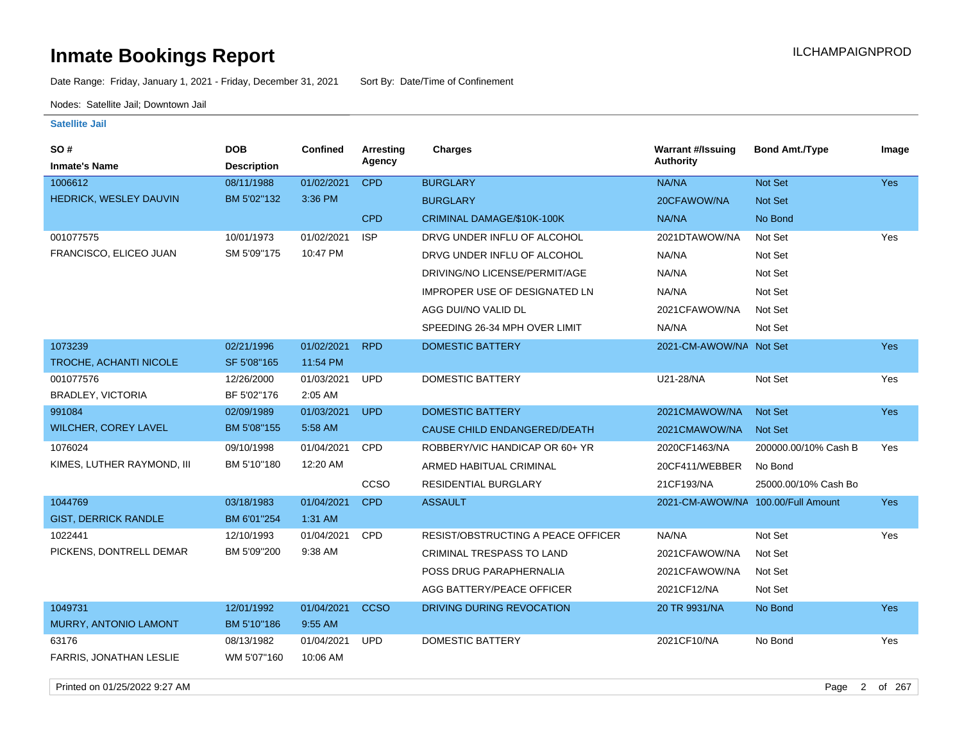Date Range: Friday, January 1, 2021 - Friday, December 31, 2021 Sort By: Date/Time of Confinement

Nodes: Satellite Jail; Downtown Jail

| SO#                            | <b>DOB</b>         | <b>Confined</b> | Arresting   | <b>Charges</b>                            | <b>Warrant #/Issuing</b>           | <b>Bond Amt./Type</b> | Image      |
|--------------------------------|--------------------|-----------------|-------------|-------------------------------------------|------------------------------------|-----------------------|------------|
| <b>Inmate's Name</b>           | <b>Description</b> |                 | Agency      |                                           | <b>Authority</b>                   |                       |            |
| 1006612                        | 08/11/1988         | 01/02/2021      | <b>CPD</b>  | <b>BURGLARY</b>                           | NA/NA                              | Not Set               | <b>Yes</b> |
| <b>HEDRICK, WESLEY DAUVIN</b>  | BM 5'02"132        | 3:36 PM         |             | <b>BURGLARY</b>                           | 20CFAWOW/NA                        | Not Set               |            |
|                                |                    |                 | <b>CPD</b>  | CRIMINAL DAMAGE/\$10K-100K                | NA/NA                              | No Bond               |            |
| 001077575                      | 10/01/1973         | 01/02/2021      | <b>ISP</b>  | DRVG UNDER INFLU OF ALCOHOL               | 2021DTAWOW/NA                      | Not Set               | Yes        |
| FRANCISCO, ELICEO JUAN         | SM 5'09"175        | 10:47 PM        |             | DRVG UNDER INFLU OF ALCOHOL               | NA/NA                              | Not Set               |            |
|                                |                    |                 |             | DRIVING/NO LICENSE/PERMIT/AGE             | NA/NA                              | Not Set               |            |
|                                |                    |                 |             | <b>IMPROPER USE OF DESIGNATED LN</b>      | NA/NA                              | Not Set               |            |
|                                |                    |                 |             | AGG DUI/NO VALID DL                       | 2021CFAWOW/NA                      | Not Set               |            |
|                                |                    |                 |             | SPEEDING 26-34 MPH OVER LIMIT             | NA/NA                              | Not Set               |            |
| 1073239                        | 02/21/1996         | 01/02/2021      | <b>RPD</b>  | <b>DOMESTIC BATTERY</b>                   | 2021-CM-AWOW/NA Not Set            |                       | <b>Yes</b> |
| TROCHE, ACHANTI NICOLE         | SF 5'08"165        | 11:54 PM        |             |                                           |                                    |                       |            |
| 001077576                      | 12/26/2000         | 01/03/2021      | <b>UPD</b>  | DOMESTIC BATTERY                          | U21-28/NA                          | Not Set               | Yes        |
| BRADLEY, VICTORIA              | BF 5'02"176        | 2:05 AM         |             |                                           |                                    |                       |            |
| 991084                         | 02/09/1989         | 01/03/2021      | <b>UPD</b>  | <b>DOMESTIC BATTERY</b>                   | 2021CMAWOW/NA                      | Not Set               | <b>Yes</b> |
| <b>WILCHER, COREY LAVEL</b>    | BM 5'08"155        | 5:58 AM         |             | CAUSE CHILD ENDANGERED/DEATH              | 2021CMAWOW/NA                      | <b>Not Set</b>        |            |
| 1076024                        | 09/10/1998         | 01/04/2021      | CPD         | ROBBERY/VIC HANDICAP OR 60+ YR            | 2020CF1463/NA                      | 200000.00/10% Cash B  | Yes        |
| KIMES, LUTHER RAYMOND, III     | BM 5'10"180        | 12:20 AM        |             | ARMED HABITUAL CRIMINAL                   | 20CF411/WEBBER                     | No Bond               |            |
|                                |                    |                 | <b>CCSO</b> | RESIDENTIAL BURGLARY                      | 21CF193/NA                         | 25000.00/10% Cash Bo  |            |
| 1044769                        | 03/18/1983         | 01/04/2021      | <b>CPD</b>  | <b>ASSAULT</b>                            | 2021-CM-AWOW/NA 100.00/Full Amount |                       | Yes        |
| <b>GIST, DERRICK RANDLE</b>    | BM 6'01"254        | 1:31 AM         |             |                                           |                                    |                       |            |
| 1022441                        | 12/10/1993         | 01/04/2021      | CPD         | <b>RESIST/OBSTRUCTING A PEACE OFFICER</b> | NA/NA                              | Not Set               | Yes        |
| PICKENS, DONTRELL DEMAR        | BM 5'09"200        | 9:38 AM         |             | <b>CRIMINAL TRESPASS TO LAND</b>          | 2021CFAWOW/NA                      | Not Set               |            |
|                                |                    |                 |             | POSS DRUG PARAPHERNALIA                   | 2021CFAWOW/NA                      | Not Set               |            |
|                                |                    |                 |             | AGG BATTERY/PEACE OFFICER                 | 2021CF12/NA                        | Not Set               |            |
| 1049731                        | 12/01/1992         | 01/04/2021      | <b>CCSO</b> | DRIVING DURING REVOCATION                 | 20 TR 9931/NA                      | No Bond               | <b>Yes</b> |
| MURRY, ANTONIO LAMONT          | BM 5'10"186        | 9:55 AM         |             |                                           |                                    |                       |            |
| 63176                          | 08/13/1982         | 01/04/2021      | <b>UPD</b>  | DOMESTIC BATTERY                          | 2021CF10/NA                        | No Bond               | Yes        |
| <b>FARRIS, JONATHAN LESLIE</b> | WM 5'07"160        | 10:06 AM        |             |                                           |                                    |                       |            |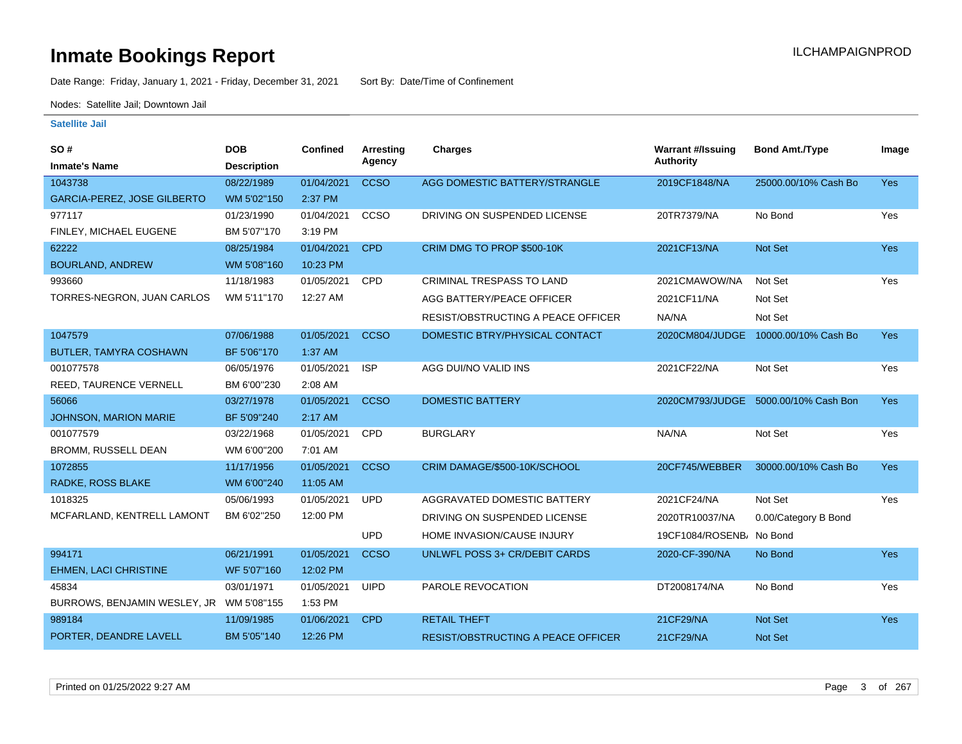Date Range: Friday, January 1, 2021 - Friday, December 31, 2021 Sort By: Date/Time of Confinement

Nodes: Satellite Jail; Downtown Jail

| SO#                                      | <b>DOB</b>         | Confined   | <b>Arresting</b> | Charges                                   | <b>Warrant #/Issuing</b> | <b>Bond Amt./Type</b>                | Image      |
|------------------------------------------|--------------------|------------|------------------|-------------------------------------------|--------------------------|--------------------------------------|------------|
| <b>Inmate's Name</b>                     | <b>Description</b> |            | Agency           |                                           | <b>Authority</b>         |                                      |            |
| 1043738                                  | 08/22/1989         | 01/04/2021 | <b>CCSO</b>      | AGG DOMESTIC BATTERY/STRANGLE             | 2019CF1848/NA            | 25000.00/10% Cash Bo                 | <b>Yes</b> |
| <b>GARCIA-PEREZ, JOSE GILBERTO</b>       | WM 5'02"150        | 2:37 PM    |                  |                                           |                          |                                      |            |
| 977117                                   | 01/23/1990         | 01/04/2021 | CCSO             | DRIVING ON SUSPENDED LICENSE              | 20TR7379/NA              | No Bond                              | Yes        |
| FINLEY, MICHAEL EUGENE                   | BM 5'07"170        | 3:19 PM    |                  |                                           |                          |                                      |            |
| 62222                                    | 08/25/1984         | 01/04/2021 | <b>CPD</b>       | CRIM DMG TO PROP \$500-10K                | 2021CF13/NA              | Not Set                              | <b>Yes</b> |
| <b>BOURLAND, ANDREW</b>                  | WM 5'08"160        | 10:23 PM   |                  |                                           |                          |                                      |            |
| 993660                                   | 11/18/1983         | 01/05/2021 | <b>CPD</b>       | CRIMINAL TRESPASS TO LAND                 | 2021CMAWOW/NA            | Not Set                              | Yes        |
| TORRES-NEGRON, JUAN CARLOS               | WM 5'11"170        | 12:27 AM   |                  | AGG BATTERY/PEACE OFFICER                 | 2021CF11/NA              | Not Set                              |            |
|                                          |                    |            |                  | RESIST/OBSTRUCTING A PEACE OFFICER        | NA/NA                    | Not Set                              |            |
| 1047579                                  | 07/06/1988         | 01/05/2021 | <b>CCSO</b>      | DOMESTIC BTRY/PHYSICAL CONTACT            |                          | 2020CM804/JUDGE 10000.00/10% Cash Bo | Yes        |
| <b>BUTLER, TAMYRA COSHAWN</b>            | BF 5'06"170        | 1:37 AM    |                  |                                           |                          |                                      |            |
| 001077578                                | 06/05/1976         | 01/05/2021 | <b>ISP</b>       | AGG DUI/NO VALID INS                      | 2021CF22/NA              | Not Set                              | Yes        |
| REED, TAURENCE VERNELL                   | BM 6'00"230        | 2:08 AM    |                  |                                           |                          |                                      |            |
| 56066                                    | 03/27/1978         | 01/05/2021 | <b>CCSO</b>      | <b>DOMESTIC BATTERY</b>                   | 2020CM793/JUDGE          | 5000.00/10% Cash Bon                 | <b>Yes</b> |
| <b>JOHNSON, MARION MARIE</b>             | BF 5'09"240        | 2:17 AM    |                  |                                           |                          |                                      |            |
| 001077579                                | 03/22/1968         | 01/05/2021 | CPD              | <b>BURGLARY</b>                           | NA/NA                    | Not Set                              | Yes        |
| <b>BROMM, RUSSELL DEAN</b>               | WM 6'00"200        | 7:01 AM    |                  |                                           |                          |                                      |            |
| 1072855                                  | 11/17/1956         | 01/05/2021 | <b>CCSO</b>      | CRIM DAMAGE/\$500-10K/SCHOOL              | 20CF745/WEBBER           | 30000.00/10% Cash Bo                 | <b>Yes</b> |
| RADKE, ROSS BLAKE                        | WM 6'00"240        | 11:05 AM   |                  |                                           |                          |                                      |            |
| 1018325                                  | 05/06/1993         | 01/05/2021 | <b>UPD</b>       | AGGRAVATED DOMESTIC BATTERY               | 2021CF24/NA              | Not Set                              | Yes        |
| MCFARLAND, KENTRELL LAMONT               | BM 6'02"250        | 12:00 PM   |                  | DRIVING ON SUSPENDED LICENSE              | 2020TR10037/NA           | 0.00/Category B Bond                 |            |
|                                          |                    |            | <b>UPD</b>       | HOME INVASION/CAUSE INJURY                | 19CF1084/ROSENB/ No Bond |                                      |            |
| 994171                                   | 06/21/1991         | 01/05/2021 | <b>CCSO</b>      | <b>UNLWFL POSS 3+ CR/DEBIT CARDS</b>      | 2020-CF-390/NA           | No Bond                              | Yes        |
| <b>EHMEN, LACI CHRISTINE</b>             | WF 5'07"160        | 12:02 PM   |                  |                                           |                          |                                      |            |
| 45834                                    | 03/01/1971         | 01/05/2021 | <b>UIPD</b>      | PAROLE REVOCATION                         | DT2008174/NA             | No Bond                              | Yes        |
| BURROWS, BENJAMIN WESLEY, JR WM 5'08"155 |                    | 1:53 PM    |                  |                                           |                          |                                      |            |
| 989184                                   | 11/09/1985         | 01/06/2021 | <b>CPD</b>       | <b>RETAIL THEFT</b>                       | 21CF29/NA                | <b>Not Set</b>                       | <b>Yes</b> |
| PORTER, DEANDRE LAVELL                   | BM 5'05"140        | 12:26 PM   |                  | <b>RESIST/OBSTRUCTING A PEACE OFFICER</b> | 21CF29/NA                | <b>Not Set</b>                       |            |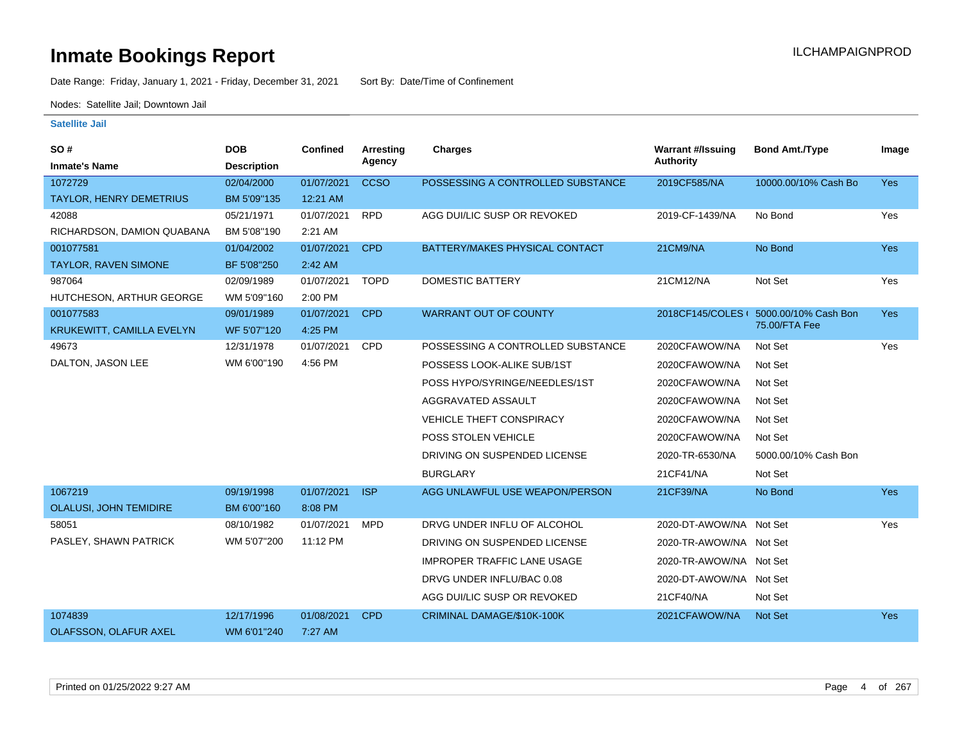Date Range: Friday, January 1, 2021 - Friday, December 31, 2021 Sort By: Date/Time of Confinement

Nodes: Satellite Jail; Downtown Jail

| SO#                              | <b>DOB</b>         | <b>Confined</b> | <b>Arresting</b> | <b>Charges</b>                     | <b>Warrant #/Issuing</b> | <b>Bond Amt./Type</b>                  | Image      |
|----------------------------------|--------------------|-----------------|------------------|------------------------------------|--------------------------|----------------------------------------|------------|
| <b>Inmate's Name</b>             | <b>Description</b> |                 | Agency           |                                    | <b>Authority</b>         |                                        |            |
| 1072729                          | 02/04/2000         | 01/07/2021      | <b>CCSO</b>      | POSSESSING A CONTROLLED SUBSTANCE  | 2019CF585/NA             | 10000.00/10% Cash Bo                   | <b>Yes</b> |
| TAYLOR, HENRY DEMETRIUS          | BM 5'09"135        | 12:21 AM        |                  |                                    |                          |                                        |            |
| 42088                            | 05/21/1971         | 01/07/2021      | <b>RPD</b>       | AGG DUI/LIC SUSP OR REVOKED        | 2019-CF-1439/NA          | No Bond                                | Yes        |
| RICHARDSON, DAMION QUABANA       | BM 5'08"190        | 2:21 AM         |                  |                                    |                          |                                        |            |
| 001077581                        | 01/04/2002         | 01/07/2021      | <b>CPD</b>       | BATTERY/MAKES PHYSICAL CONTACT     | 21CM9/NA                 | No Bond                                | <b>Yes</b> |
| <b>TAYLOR, RAVEN SIMONE</b>      | BF 5'08"250        | 2:42 AM         |                  |                                    |                          |                                        |            |
| 987064                           | 02/09/1989         | 01/07/2021      | <b>TOPD</b>      | <b>DOMESTIC BATTERY</b>            | 21CM12/NA                | Not Set                                | Yes        |
| HUTCHESON, ARTHUR GEORGE         | WM 5'09"160        | 2:00 PM         |                  |                                    |                          |                                        |            |
| 001077583                        | 09/01/1989         | 01/07/2021      | <b>CPD</b>       | <b>WARRANT OUT OF COUNTY</b>       |                          | 2018CF145/COLES ( 5000.00/10% Cash Bon | Yes        |
| <b>KRUKEWITT, CAMILLA EVELYN</b> | WF 5'07"120        | 4:25 PM         |                  |                                    |                          | 75.00/FTA Fee                          |            |
| 49673                            | 12/31/1978         | 01/07/2021      | CPD              | POSSESSING A CONTROLLED SUBSTANCE  | 2020CFAWOW/NA            | Not Set                                | Yes        |
| DALTON, JASON LEE                | WM 6'00"190        | 4:56 PM         |                  | POSSESS LOOK-ALIKE SUB/1ST         | 2020CFAWOW/NA            | Not Set                                |            |
|                                  |                    |                 |                  | POSS HYPO/SYRINGE/NEEDLES/1ST      | 2020CFAWOW/NA            | Not Set                                |            |
|                                  |                    |                 |                  | AGGRAVATED ASSAULT                 | 2020CFAWOW/NA            | Not Set                                |            |
|                                  |                    |                 |                  | <b>VEHICLE THEFT CONSPIRACY</b>    | 2020CFAWOW/NA            | Not Set                                |            |
|                                  |                    |                 |                  | POSS STOLEN VEHICLE                | 2020CFAWOW/NA            | Not Set                                |            |
|                                  |                    |                 |                  | DRIVING ON SUSPENDED LICENSE       | 2020-TR-6530/NA          | 5000.00/10% Cash Bon                   |            |
|                                  |                    |                 |                  | <b>BURGLARY</b>                    | 21CF41/NA                | Not Set                                |            |
| 1067219                          | 09/19/1998         | 01/07/2021      | <b>ISP</b>       | AGG UNLAWFUL USE WEAPON/PERSON     | 21CF39/NA                | No Bond                                | <b>Yes</b> |
| OLALUSI, JOHN TEMIDIRE           | BM 6'00"160        | 8:08 PM         |                  |                                    |                          |                                        |            |
| 58051                            | 08/10/1982         | 01/07/2021      | <b>MPD</b>       | DRVG UNDER INFLU OF ALCOHOL        | 2020-DT-AWOW/NA Not Set  |                                        | Yes        |
| PASLEY, SHAWN PATRICK            | WM 5'07"200        | 11:12 PM        |                  | DRIVING ON SUSPENDED LICENSE       | 2020-TR-AWOW/NA Not Set  |                                        |            |
|                                  |                    |                 |                  | <b>IMPROPER TRAFFIC LANE USAGE</b> | 2020-TR-AWOW/NA Not Set  |                                        |            |
|                                  |                    |                 |                  | DRVG UNDER INFLU/BAC 0.08          | 2020-DT-AWOW/NA Not Set  |                                        |            |
|                                  |                    |                 |                  | AGG DUI/LIC SUSP OR REVOKED        | 21CF40/NA                | Not Set                                |            |
| 1074839                          | 12/17/1996         | 01/08/2021      | <b>CPD</b>       | CRIMINAL DAMAGE/\$10K-100K         | 2021CFAWOW/NA            | <b>Not Set</b>                         | <b>Yes</b> |
| <b>OLAFSSON, OLAFUR AXEL</b>     | WM 6'01"240        | 7:27 AM         |                  |                                    |                          |                                        |            |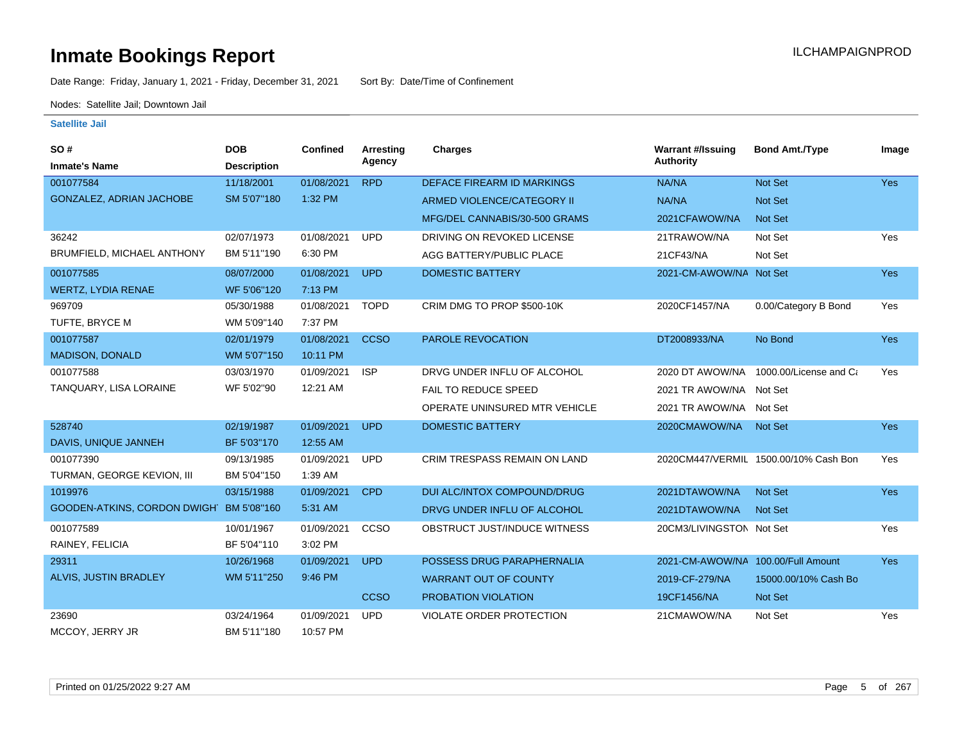Date Range: Friday, January 1, 2021 - Friday, December 31, 2021 Sort By: Date/Time of Confinement

Nodes: Satellite Jail; Downtown Jail

| SO#                                      | <b>DOB</b>         | Confined   | <b>Arresting</b> | Charges                             | <b>Warrant #/Issuing</b>           | <b>Bond Amt./Type</b>                 | Image      |
|------------------------------------------|--------------------|------------|------------------|-------------------------------------|------------------------------------|---------------------------------------|------------|
| <b>Inmate's Name</b>                     | <b>Description</b> |            | Agency           |                                     | <b>Authority</b>                   |                                       |            |
| 001077584                                | 11/18/2001         | 01/08/2021 | <b>RPD</b>       | <b>DEFACE FIREARM ID MARKINGS</b>   | NA/NA                              | Not Set                               | <b>Yes</b> |
| GONZALEZ, ADRIAN JACHOBE                 | SM 5'07"180        | 1:32 PM    |                  | ARMED VIOLENCE/CATEGORY II          | NA/NA                              | Not Set                               |            |
|                                          |                    |            |                  | MFG/DEL CANNABIS/30-500 GRAMS       | 2021CFAWOW/NA                      | <b>Not Set</b>                        |            |
| 36242                                    | 02/07/1973         | 01/08/2021 | <b>UPD</b>       | DRIVING ON REVOKED LICENSE          | 21TRAWOW/NA                        | Not Set                               | Yes        |
| BRUMFIELD, MICHAEL ANTHONY               | BM 5'11"190        | 6:30 PM    |                  | AGG BATTERY/PUBLIC PLACE            | 21CF43/NA                          | Not Set                               |            |
| 001077585                                | 08/07/2000         | 01/08/2021 | <b>UPD</b>       | <b>DOMESTIC BATTERY</b>             | 2021-CM-AWOW/NA Not Set            |                                       | <b>Yes</b> |
| <b>WERTZ, LYDIA RENAE</b>                | WF 5'06"120        | 7:13 PM    |                  |                                     |                                    |                                       |            |
| 969709                                   | 05/30/1988         | 01/08/2021 | <b>TOPD</b>      | CRIM DMG TO PROP \$500-10K          | 2020CF1457/NA                      | 0.00/Category B Bond                  | Yes        |
| TUFTE, BRYCE M                           | WM 5'09"140        | 7:37 PM    |                  |                                     |                                    |                                       |            |
| 001077587                                | 02/01/1979         | 01/08/2021 | <b>CCSO</b>      | PAROLE REVOCATION                   | DT2008933/NA                       | No Bond                               | <b>Yes</b> |
| <b>MADISON, DONALD</b>                   | WM 5'07"150        | 10:11 PM   |                  |                                     |                                    |                                       |            |
| 001077588                                | 03/03/1970         | 01/09/2021 | <b>ISP</b>       | DRVG UNDER INFLU OF ALCOHOL         | 2020 DT AWOW/NA                    | 1000.00/License and Ca                | Yes        |
| TANQUARY, LISA LORAINE                   | WF 5'02"90         | 12:21 AM   |                  | <b>FAIL TO REDUCE SPEED</b>         | 2021 TR AWOW/NA Not Set            |                                       |            |
|                                          |                    |            |                  | OPERATE UNINSURED MTR VEHICLE       | 2021 TR AWOW/NA Not Set            |                                       |            |
| 528740                                   | 02/19/1987         | 01/09/2021 | <b>UPD</b>       | <b>DOMESTIC BATTERY</b>             | 2020CMAWOW/NA                      | <b>Not Set</b>                        | <b>Yes</b> |
| DAVIS, UNIQUE JANNEH                     | BF 5'03"170        | 12:55 AM   |                  |                                     |                                    |                                       |            |
| 001077390                                | 09/13/1985         | 01/09/2021 | <b>UPD</b>       | <b>CRIM TRESPASS REMAIN ON LAND</b> |                                    | 2020CM447/VERMIL 1500.00/10% Cash Bon | Yes        |
| TURMAN, GEORGE KEVION, III               | BM 5'04"150        | 1:39 AM    |                  |                                     |                                    |                                       |            |
| 1019976                                  | 03/15/1988         | 01/09/2021 | <b>CPD</b>       | DUI ALC/INTOX COMPOUND/DRUG         | 2021DTAWOW/NA                      | <b>Not Set</b>                        | <b>Yes</b> |
| GOODEN-ATKINS, CORDON DWIGH' BM 5'08"160 |                    | 5:31 AM    |                  | DRVG UNDER INFLU OF ALCOHOL         | 2021DTAWOW/NA                      | <b>Not Set</b>                        |            |
| 001077589                                | 10/01/1967         | 01/09/2021 | CCSO             | OBSTRUCT JUST/INDUCE WITNESS        | 20CM3/LIVINGSTON Not Set           |                                       | Yes        |
| RAINEY, FELICIA                          | BF 5'04"110        | 3:02 PM    |                  |                                     |                                    |                                       |            |
| 29311                                    | 10/26/1968         | 01/09/2021 | <b>UPD</b>       | POSSESS DRUG PARAPHERNALIA          | 2021-CM-AWOW/NA 100.00/Full Amount |                                       | Yes        |
| ALVIS, JUSTIN BRADLEY                    | WM 5'11"250        | 9:46 PM    |                  | <b>WARRANT OUT OF COUNTY</b>        | 2019-CF-279/NA                     | 15000.00/10% Cash Bo                  |            |
|                                          |                    |            | <b>CCSO</b>      | PROBATION VIOLATION                 | 19CF1456/NA                        | Not Set                               |            |
| 23690                                    | 03/24/1964         | 01/09/2021 | <b>UPD</b>       | <b>VIOLATE ORDER PROTECTION</b>     | 21CMAWOW/NA                        | Not Set                               | Yes        |
| MCCOY, JERRY JR                          | BM 5'11"180        | 10:57 PM   |                  |                                     |                                    |                                       |            |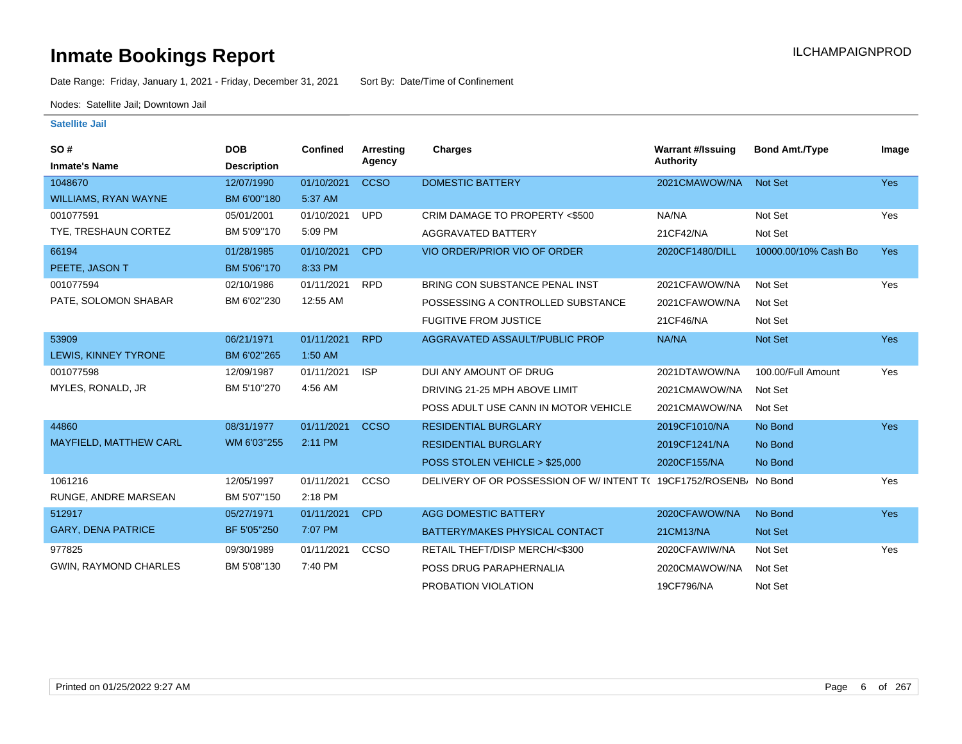# **Inmate Bookings Report Institute Bookings Report ILCHAMPAIGNPROD**

Date Range: Friday, January 1, 2021 - Friday, December 31, 2021 Sort By: Date/Time of Confinement

Nodes: Satellite Jail; Downtown Jail

| SO#<br><b>Inmate's Name</b>   | <b>DOB</b><br><b>Description</b> | <b>Confined</b> | Arresting<br>Agency | <b>Charges</b>                                                    | <b>Warrant #/Issuing</b><br><b>Authority</b> | <b>Bond Amt./Type</b> | Image      |
|-------------------------------|----------------------------------|-----------------|---------------------|-------------------------------------------------------------------|----------------------------------------------|-----------------------|------------|
| 1048670                       | 12/07/1990                       | 01/10/2021      | <b>CCSO</b>         | <b>DOMESTIC BATTERY</b>                                           | 2021CMAWOW/NA                                | <b>Not Set</b>        | <b>Yes</b> |
| <b>WILLIAMS, RYAN WAYNE</b>   | BM 6'00"180                      | 5:37 AM         |                     |                                                                   |                                              |                       |            |
| 001077591                     | 05/01/2001                       | 01/10/2021      | <b>UPD</b>          | CRIM DAMAGE TO PROPERTY <\$500                                    | NA/NA                                        | Not Set               | Yes        |
| TYE, TRESHAUN CORTEZ          | BM 5'09"170                      | 5:09 PM         |                     | AGGRAVATED BATTERY                                                | 21CF42/NA                                    | Not Set               |            |
| 66194                         | 01/28/1985                       | 01/10/2021      | <b>CPD</b>          | VIO ORDER/PRIOR VIO OF ORDER                                      | 2020CF1480/DILL                              | 10000.00/10% Cash Bo  | <b>Yes</b> |
| PEETE, JASON T                | BM 5'06"170                      | 8:33 PM         |                     |                                                                   |                                              |                       |            |
| 001077594                     | 02/10/1986                       | 01/11/2021      | <b>RPD</b>          | BRING CON SUBSTANCE PENAL INST                                    | 2021CFAWOW/NA                                | Not Set               | Yes        |
| PATE, SOLOMON SHABAR          | BM 6'02"230                      | 12:55 AM        |                     | POSSESSING A CONTROLLED SUBSTANCE                                 | 2021CFAWOW/NA                                | Not Set               |            |
|                               |                                  |                 |                     | <b>FUGITIVE FROM JUSTICE</b>                                      | 21CF46/NA                                    | Not Set               |            |
| 53909                         | 06/21/1971                       | 01/11/2021      | <b>RPD</b>          | AGGRAVATED ASSAULT/PUBLIC PROP                                    | NA/NA                                        | Not Set               | <b>Yes</b> |
| LEWIS, KINNEY TYRONE          | BM 6'02"265                      | 1:50 AM         |                     |                                                                   |                                              |                       |            |
| 001077598                     | 12/09/1987                       | 01/11/2021      | <b>ISP</b>          | DUI ANY AMOUNT OF DRUG                                            | 2021DTAWOW/NA                                | 100.00/Full Amount    | Yes        |
| MYLES, RONALD, JR             | BM 5'10"270                      | 4:56 AM         |                     | DRIVING 21-25 MPH ABOVE LIMIT                                     | 2021CMAWOW/NA                                | Not Set               |            |
|                               |                                  |                 |                     | POSS ADULT USE CANN IN MOTOR VEHICLE                              | 2021CMAWOW/NA                                | Not Set               |            |
| 44860                         | 08/31/1977                       | 01/11/2021      | <b>CCSO</b>         | <b>RESIDENTIAL BURGLARY</b>                                       | 2019CF1010/NA                                | No Bond               | <b>Yes</b> |
| <b>MAYFIELD, MATTHEW CARL</b> | WM 6'03"255                      | 2:11 PM         |                     | <b>RESIDENTIAL BURGLARY</b>                                       | 2019CF1241/NA                                | No Bond               |            |
|                               |                                  |                 |                     | POSS STOLEN VEHICLE > \$25,000                                    | 2020CF155/NA                                 | No Bond               |            |
| 1061216                       | 12/05/1997                       | 01/11/2021      | CCSO                | DELIVERY OF OR POSSESSION OF W/INTENT T( 19CF1752/ROSENB) No Bond |                                              |                       | Yes        |
| RUNGE, ANDRE MARSEAN          | BM 5'07"150                      | 2:18 PM         |                     |                                                                   |                                              |                       |            |
| 512917                        | 05/27/1971                       | 01/11/2021      | <b>CPD</b>          | <b>AGG DOMESTIC BATTERY</b>                                       | 2020CFAWOW/NA                                | No Bond               | <b>Yes</b> |
| <b>GARY, DENA PATRICE</b>     | BF 5'05"250                      | 7:07 PM         |                     | BATTERY/MAKES PHYSICAL CONTACT                                    | 21CM13/NA                                    | Not Set               |            |
| 977825                        | 09/30/1989                       | 01/11/2021      | CCSO                | RETAIL THEFT/DISP MERCH/<\$300                                    | 2020CFAWIW/NA                                | Not Set               | Yes        |
| GWIN, RAYMOND CHARLES         | BM 5'08"130                      | 7:40 PM         |                     | POSS DRUG PARAPHERNALIA                                           | 2020CMAWOW/NA                                | Not Set               |            |
|                               |                                  |                 |                     | PROBATION VIOLATION                                               | 19CF796/NA                                   | Not Set               |            |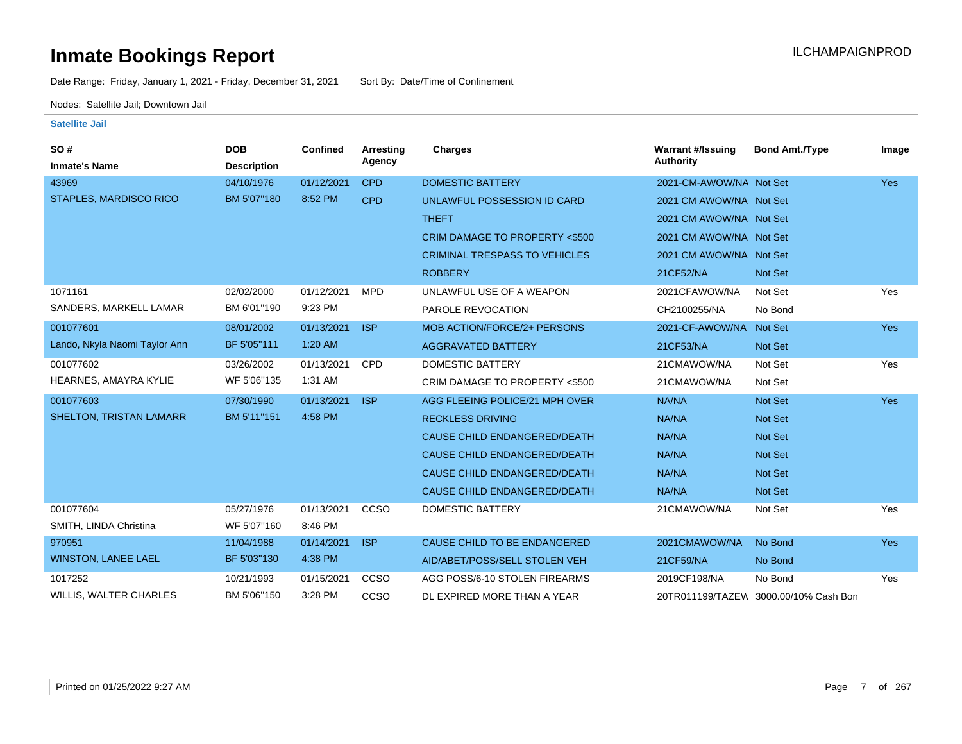Date Range: Friday, January 1, 2021 - Friday, December 31, 2021 Sort By: Date/Time of Confinement

Nodes: Satellite Jail; Downtown Jail

| SO#                            | <b>DOB</b>         | <b>Confined</b> | Arresting  | Charges                              | <b>Warrant #/Issuing</b> | <b>Bond Amt./Type</b>                 | Image      |
|--------------------------------|--------------------|-----------------|------------|--------------------------------------|--------------------------|---------------------------------------|------------|
| <b>Inmate's Name</b>           | <b>Description</b> |                 | Agency     |                                      | <b>Authority</b>         |                                       |            |
| 43969                          | 04/10/1976         | 01/12/2021      | <b>CPD</b> | <b>DOMESTIC BATTERY</b>              | 2021-CM-AWOW/NA Not Set  |                                       | <b>Yes</b> |
| <b>STAPLES, MARDISCO RICO</b>  | BM 5'07"180        | 8:52 PM         | <b>CPD</b> | UNLAWFUL POSSESSION ID CARD          | 2021 CM AWOW/NA Not Set  |                                       |            |
|                                |                    |                 |            | <b>THEFT</b>                         | 2021 CM AWOW/NA Not Set  |                                       |            |
|                                |                    |                 |            | CRIM DAMAGE TO PROPERTY <\$500       | 2021 CM AWOW/NA Not Set  |                                       |            |
|                                |                    |                 |            | <b>CRIMINAL TRESPASS TO VEHICLES</b> | 2021 CM AWOW/NA Not Set  |                                       |            |
|                                |                    |                 |            | <b>ROBBERY</b>                       | 21CF52/NA                | Not Set                               |            |
| 1071161                        | 02/02/2000         | 01/12/2021      | <b>MPD</b> | UNLAWFUL USE OF A WEAPON             | 2021CFAWOW/NA            | Not Set                               | Yes        |
| SANDERS, MARKELL LAMAR         | BM 6'01"190        | 9:23 PM         |            | PAROLE REVOCATION                    | CH2100255/NA             | No Bond                               |            |
| 001077601                      | 08/01/2002         | 01/13/2021      | <b>ISP</b> | <b>MOB ACTION/FORCE/2+ PERSONS</b>   | 2021-CF-AWOW/NA          | Not Set                               | <b>Yes</b> |
| Lando, Nkyla Naomi Taylor Ann  | BF 5'05"111        | 1:20 AM         |            | <b>AGGRAVATED BATTERY</b>            | 21CF53/NA                | Not Set                               |            |
| 001077602                      | 03/26/2002         | 01/13/2021      | <b>CPD</b> | <b>DOMESTIC BATTERY</b>              | 21CMAWOW/NA              | Not Set                               | Yes        |
| HEARNES, AMAYRA KYLIE          | WF 5'06"135        | 1:31 AM         |            | CRIM DAMAGE TO PROPERTY <\$500       | 21CMAWOW/NA              | Not Set                               |            |
| 001077603                      | 07/30/1990         | 01/13/2021      | <b>ISP</b> | AGG FLEEING POLICE/21 MPH OVER       | NA/NA                    | Not Set                               | <b>Yes</b> |
| <b>SHELTON, TRISTAN LAMARR</b> | BM 5'11"151        | 4:58 PM         |            | <b>RECKLESS DRIVING</b>              | NA/NA                    | Not Set                               |            |
|                                |                    |                 |            | <b>CAUSE CHILD ENDANGERED/DEATH</b>  | NA/NA                    | Not Set                               |            |
|                                |                    |                 |            | CAUSE CHILD ENDANGERED/DEATH         | NA/NA                    | <b>Not Set</b>                        |            |
|                                |                    |                 |            | CAUSE CHILD ENDANGERED/DEATH         | NA/NA                    | <b>Not Set</b>                        |            |
|                                |                    |                 |            | CAUSE CHILD ENDANGERED/DEATH         | NA/NA                    | Not Set                               |            |
| 001077604                      | 05/27/1976         | 01/13/2021      | CCSO       | <b>DOMESTIC BATTERY</b>              | 21CMAWOW/NA              | Not Set                               | Yes        |
| SMITH, LINDA Christina         | WF 5'07"160        | 8:46 PM         |            |                                      |                          |                                       |            |
| 970951                         | 11/04/1988         | 01/14/2021      | <b>ISP</b> | CAUSE CHILD TO BE ENDANGERED         | 2021CMAWOW/NA            | No Bond                               | <b>Yes</b> |
| <b>WINSTON, LANEE LAEL</b>     | BF 5'03"130        | 4:38 PM         |            | AID/ABET/POSS/SELL STOLEN VEH        | 21CF59/NA                | No Bond                               |            |
| 1017252                        | 10/21/1993         | 01/15/2021      | CCSO       | AGG POSS/6-10 STOLEN FIREARMS        | 2019CF198/NA             | No Bond                               | Yes        |
| <b>WILLIS, WALTER CHARLES</b>  | BM 5'06"150        | 3:28 PM         | CCSO       | DL EXPIRED MORE THAN A YEAR          |                          | 20TR011199/TAZEW 3000.00/10% Cash Bon |            |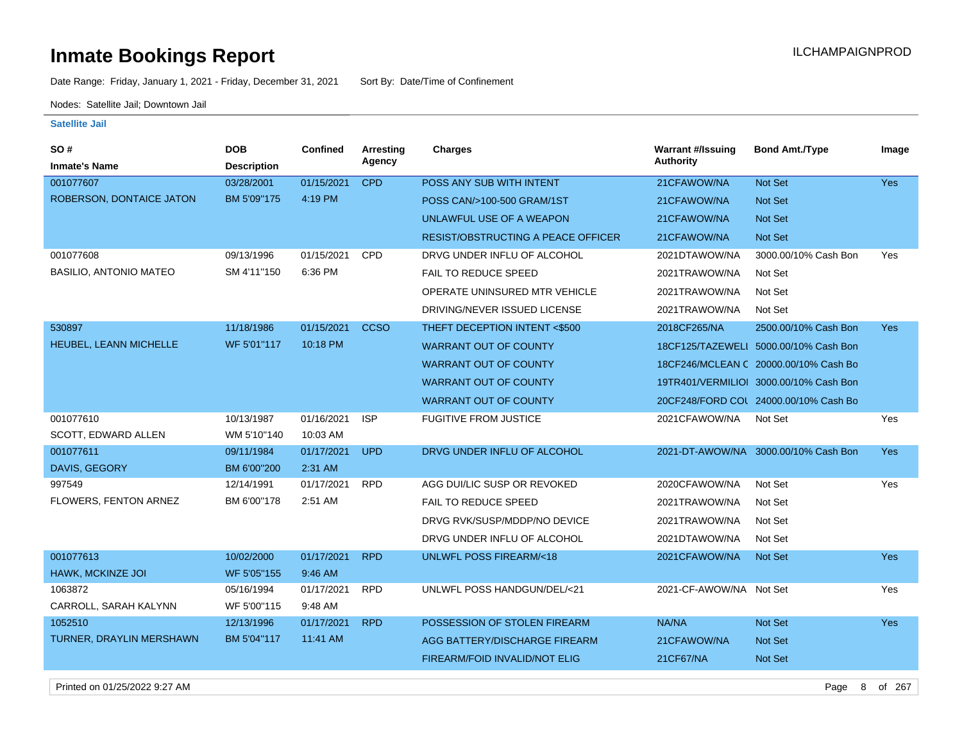Date Range: Friday, January 1, 2021 - Friday, December 31, 2021 Sort By: Date/Time of Confinement

Nodes: Satellite Jail; Downtown Jail

| <b>SO#</b>                      | <b>DOB</b>         | <b>Confined</b> | Arresting   | Charges                                   | <b>Warrant #/Issuing</b> | <b>Bond Amt./Type</b>                  | Image      |
|---------------------------------|--------------------|-----------------|-------------|-------------------------------------------|--------------------------|----------------------------------------|------------|
| <b>Inmate's Name</b>            | <b>Description</b> |                 | Agency      |                                           | Authority                |                                        |            |
| 001077607                       | 03/28/2001         | 01/15/2021      | <b>CPD</b>  | POSS ANY SUB WITH INTENT                  | 21CFAWOW/NA              | Not Set                                | Yes        |
| ROBERSON, DONTAICE JATON        | BM 5'09"175        | 4:19 PM         |             | POSS CAN/>100-500 GRAM/1ST                | 21CFAWOW/NA              | Not Set                                |            |
|                                 |                    |                 |             | UNLAWFUL USE OF A WEAPON                  | 21CFAWOW/NA              | Not Set                                |            |
|                                 |                    |                 |             | <b>RESIST/OBSTRUCTING A PEACE OFFICER</b> | 21CFAWOW/NA              | <b>Not Set</b>                         |            |
| 001077608                       | 09/13/1996         | 01/15/2021      | CPD         | DRVG UNDER INFLU OF ALCOHOL               | 2021DTAWOW/NA            | 3000.00/10% Cash Bon                   | Yes        |
| <b>BASILIO, ANTONIO MATEO</b>   | SM 4'11"150        | 6:36 PM         |             | <b>FAIL TO REDUCE SPEED</b>               | 2021TRAWOW/NA            | Not Set                                |            |
|                                 |                    |                 |             | OPERATE UNINSURED MTR VEHICLE             | 2021TRAWOW/NA            | Not Set                                |            |
|                                 |                    |                 |             | DRIVING/NEVER ISSUED LICENSE              | 2021TRAWOW/NA            | Not Set                                |            |
| 530897                          | 11/18/1986         | 01/15/2021      | <b>CCSO</b> | THEFT DECEPTION INTENT <\$500             | 2018CF265/NA             | 2500.00/10% Cash Bon                   | <b>Yes</b> |
| HEUBEL, LEANN MICHELLE          | WF 5'01"117        | 10:18 PM        |             | <b>WARRANT OUT OF COUNTY</b>              |                          | 18CF125/TAZEWELI 5000.00/10% Cash Bon  |            |
|                                 |                    |                 |             | <b>WARRANT OUT OF COUNTY</b>              |                          | 18CF246/MCLEAN C 20000.00/10% Cash Bo  |            |
|                                 |                    |                 |             | <b>WARRANT OUT OF COUNTY</b>              |                          | 19TR401/VERMILIOI 3000.00/10% Cash Bon |            |
|                                 |                    |                 |             | <b>WARRANT OUT OF COUNTY</b>              |                          | 20CF248/FORD COL 24000.00/10% Cash Bo  |            |
| 001077610                       | 10/13/1987         | 01/16/2021      | <b>ISP</b>  | <b>FUGITIVE FROM JUSTICE</b>              | 2021CFAWOW/NA            | Not Set                                | Yes        |
| SCOTT, EDWARD ALLEN             | WM 5'10"140        | 10:03 AM        |             |                                           |                          |                                        |            |
| 001077611                       | 09/11/1984         | 01/17/2021      | <b>UPD</b>  | DRVG UNDER INFLU OF ALCOHOL               |                          | 2021-DT-AWOW/NA 3000.00/10% Cash Bon   | <b>Yes</b> |
| DAVIS, GEGORY                   | BM 6'00"200        | 2:31 AM         |             |                                           |                          |                                        |            |
| 997549                          | 12/14/1991         | 01/17/2021      | <b>RPD</b>  | AGG DUI/LIC SUSP OR REVOKED               | 2020CFAWOW/NA            | Not Set                                | Yes        |
| FLOWERS, FENTON ARNEZ           | BM 6'00"178        | 2:51 AM         |             | <b>FAIL TO REDUCE SPEED</b>               | 2021TRAWOW/NA            | Not Set                                |            |
|                                 |                    |                 |             | DRVG RVK/SUSP/MDDP/NO DEVICE              | 2021TRAWOW/NA            | Not Set                                |            |
|                                 |                    |                 |             | DRVG UNDER INFLU OF ALCOHOL               | 2021DTAWOW/NA            | Not Set                                |            |
| 001077613                       | 10/02/2000         | 01/17/2021      | <b>RPD</b>  | <b>UNLWFL POSS FIREARM/&lt;18</b>         | 2021CFAWOW/NA            | <b>Not Set</b>                         | Yes        |
| HAWK, MCKINZE JOI               | WF 5'05"155        | 9:46 AM         |             |                                           |                          |                                        |            |
| 1063872                         | 05/16/1994         | 01/17/2021      | <b>RPD</b>  | UNLWFL POSS HANDGUN/DEL/<21               | 2021-CF-AWOW/NA Not Set  |                                        | Yes        |
| CARROLL, SARAH KALYNN           | WF 5'00"115        | 9:48 AM         |             |                                           |                          |                                        |            |
| 1052510                         | 12/13/1996         | 01/17/2021      | <b>RPD</b>  | POSSESSION OF STOLEN FIREARM              | NA/NA                    | Not Set                                | Yes        |
| <b>TURNER, DRAYLIN MERSHAWN</b> | BM 5'04"117        | 11:41 AM        |             | AGG BATTERY/DISCHARGE FIREARM             | 21CFAWOW/NA              | Not Set                                |            |
|                                 |                    |                 |             | FIREARM/FOID INVALID/NOT ELIG             | 21CF67/NA                | Not Set                                |            |
| Printed on 01/25/2022 9:27 AM   |                    |                 |             |                                           |                          | 8<br>Page                              | of 267     |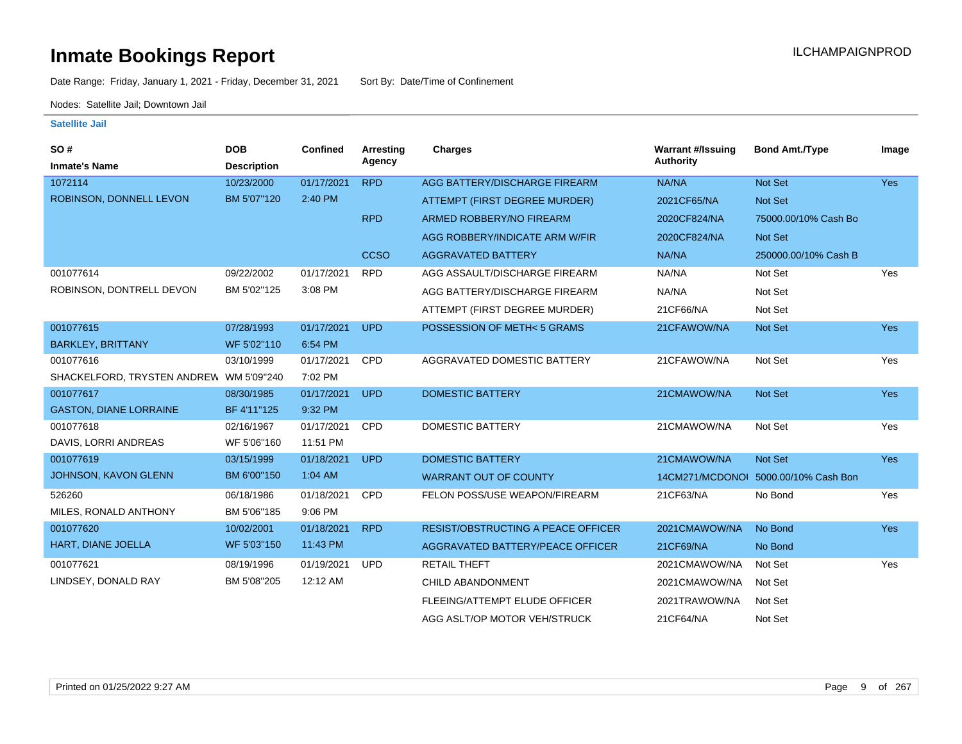Date Range: Friday, January 1, 2021 - Friday, December 31, 2021 Sort By: Date/Time of Confinement

Nodes: Satellite Jail; Downtown Jail

| SO#                                     | <b>DOB</b>         | Confined   | Arresting<br>Agency | <b>Charges</b>                     | <b>Warrant #/Issuing</b><br><b>Authority</b> | <b>Bond Amt./Type</b> | Image      |
|-----------------------------------------|--------------------|------------|---------------------|------------------------------------|----------------------------------------------|-----------------------|------------|
| <b>Inmate's Name</b>                    | <b>Description</b> |            |                     |                                    |                                              |                       |            |
| 1072114                                 | 10/23/2000         | 01/17/2021 | <b>RPD</b>          | AGG BATTERY/DISCHARGE FIREARM      | NA/NA                                        | <b>Not Set</b>        | <b>Yes</b> |
| ROBINSON, DONNELL LEVON                 | BM 5'07"120        | 2:40 PM    |                     | ATTEMPT (FIRST DEGREE MURDER)      | 2021CF65/NA                                  | Not Set               |            |
|                                         |                    |            | <b>RPD</b>          | ARMED ROBBERY/NO FIREARM           | 2020CF824/NA                                 | 75000.00/10% Cash Bo  |            |
|                                         |                    |            |                     | AGG ROBBERY/INDICATE ARM W/FIR     | 2020CF824/NA                                 | <b>Not Set</b>        |            |
|                                         |                    |            | <b>CCSO</b>         | <b>AGGRAVATED BATTERY</b>          | NA/NA                                        | 250000.00/10% Cash B  |            |
| 001077614                               | 09/22/2002         | 01/17/2021 | <b>RPD</b>          | AGG ASSAULT/DISCHARGE FIREARM      | NA/NA                                        | Not Set               | Yes        |
| ROBINSON, DONTRELL DEVON                | BM 5'02"125        | 3:08 PM    |                     | AGG BATTERY/DISCHARGE FIREARM      | NA/NA                                        | Not Set               |            |
|                                         |                    |            |                     | ATTEMPT (FIRST DEGREE MURDER)      | 21CF66/NA                                    | Not Set               |            |
| 001077615                               | 07/28/1993         | 01/17/2021 | <b>UPD</b>          | POSSESSION OF METH<5 GRAMS         | 21CFAWOW/NA                                  | Not Set               | <b>Yes</b> |
| <b>BARKLEY, BRITTANY</b>                | WF 5'02"110        | 6:54 PM    |                     |                                    |                                              |                       |            |
| 001077616                               | 03/10/1999         | 01/17/2021 | <b>CPD</b>          | AGGRAVATED DOMESTIC BATTERY        | 21CFAWOW/NA                                  | Not Set               | Yes        |
| SHACKELFORD, TRYSTEN ANDREW WM 5'09"240 |                    | 7:02 PM    |                     |                                    |                                              |                       |            |
| 001077617                               | 08/30/1985         | 01/17/2021 | <b>UPD</b>          | <b>DOMESTIC BATTERY</b>            | 21CMAWOW/NA                                  | <b>Not Set</b>        | <b>Yes</b> |
| <b>GASTON, DIANE LORRAINE</b>           | BF 4'11"125        | 9:32 PM    |                     |                                    |                                              |                       |            |
| 001077618                               | 02/16/1967         | 01/17/2021 | <b>CPD</b>          | <b>DOMESTIC BATTERY</b>            | 21CMAWOW/NA                                  | Not Set               | Yes        |
| DAVIS, LORRI ANDREAS                    | WF 5'06"160        | 11:51 PM   |                     |                                    |                                              |                       |            |
| 001077619                               | 03/15/1999         | 01/18/2021 | <b>UPD</b>          | <b>DOMESTIC BATTERY</b>            | 21CMAWOW/NA                                  | Not Set               | <b>Yes</b> |
| <b>JOHNSON, KAVON GLENN</b>             | BM 6'00"150        | 1:04 AM    |                     | <b>WARRANT OUT OF COUNTY</b>       | 14CM271/MCDONOI                              | 5000.00/10% Cash Bon  |            |
| 526260                                  | 06/18/1986         | 01/18/2021 | <b>CPD</b>          | FELON POSS/USE WEAPON/FIREARM      | 21CF63/NA                                    | No Bond               | Yes        |
| MILES, RONALD ANTHONY                   | BM 5'06"185        | 9:06 PM    |                     |                                    |                                              |                       |            |
| 001077620                               | 10/02/2001         | 01/18/2021 | <b>RPD</b>          | RESIST/OBSTRUCTING A PEACE OFFICER | 2021CMAWOW/NA                                | No Bond               | <b>Yes</b> |
| HART, DIANE JOELLA                      | WF 5'03"150        | 11:43 PM   |                     | AGGRAVATED BATTERY/PEACE OFFICER   | 21CF69/NA                                    | No Bond               |            |
| 001077621                               | 08/19/1996         | 01/19/2021 | <b>UPD</b>          | <b>RETAIL THEFT</b>                | 2021CMAWOW/NA                                | Not Set               | Yes        |
| LINDSEY, DONALD RAY                     | BM 5'08"205        | 12:12 AM   |                     | CHILD ABANDONMENT                  | 2021CMAWOW/NA                                | Not Set               |            |
|                                         |                    |            |                     | FLEEING/ATTEMPT ELUDE OFFICER      | 2021TRAWOW/NA                                | Not Set               |            |
|                                         |                    |            |                     | AGG ASLT/OP MOTOR VEH/STRUCK       | 21CF64/NA                                    | Not Set               |            |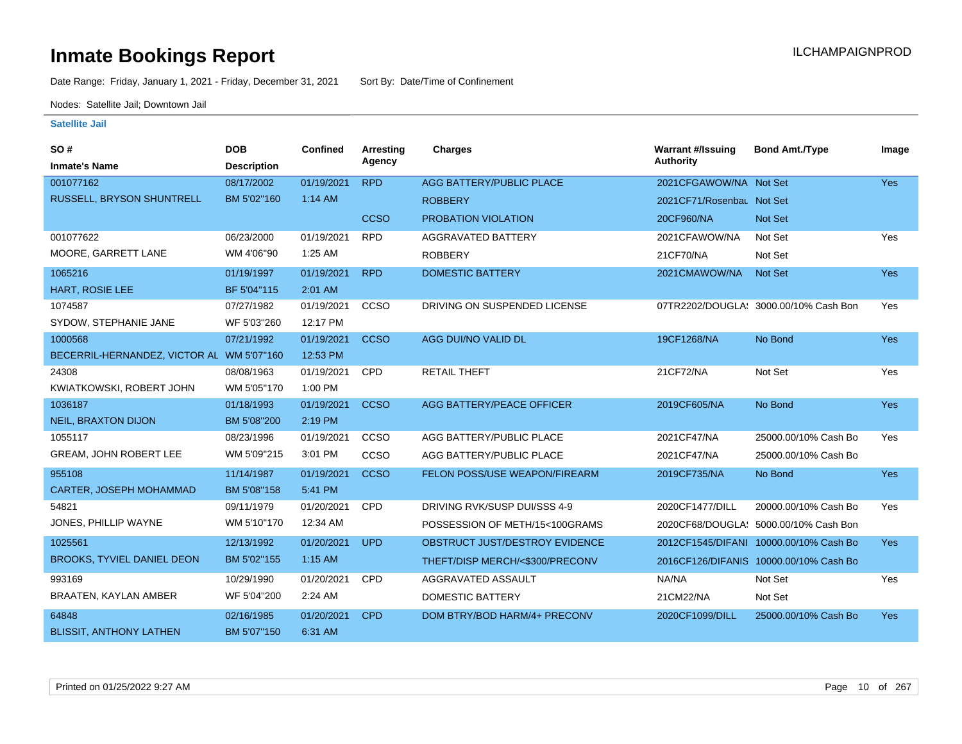Date Range: Friday, January 1, 2021 - Friday, December 31, 2021 Sort By: Date/Time of Confinement

Nodes: Satellite Jail; Downtown Jail

| SO#                               | <b>DOB</b>         | Confined   | <b>Arresting</b> | <b>Charges</b>                  | <b>Warrant #/Issuing</b>  | <b>Bond Amt./Type</b>                  | Image      |
|-----------------------------------|--------------------|------------|------------------|---------------------------------|---------------------------|----------------------------------------|------------|
| <b>Inmate's Name</b>              | <b>Description</b> |            | Agency           |                                 | Authority                 |                                        |            |
| 001077162                         | 08/17/2002         | 01/19/2021 | <b>RPD</b>       | <b>AGG BATTERY/PUBLIC PLACE</b> | 2021CFGAWOW/NA Not Set    |                                        | Yes        |
| RUSSELL, BRYSON SHUNTRELL         | BM 5'02"160        | 1:14 AM    |                  | <b>ROBBERY</b>                  | 2021CF71/Rosenbau Not Set |                                        |            |
|                                   |                    |            | <b>CCSO</b>      | PROBATION VIOLATION             | 20CF960/NA                | Not Set                                |            |
| 001077622                         | 06/23/2000         | 01/19/2021 | <b>RPD</b>       | AGGRAVATED BATTERY              | 2021CFAWOW/NA             | Not Set                                | Yes        |
| MOORE, GARRETT LANE               | WM 4'06"90         | 1:25 AM    |                  | <b>ROBBERY</b>                  | 21CF70/NA                 | Not Set                                |            |
| 1065216                           | 01/19/1997         | 01/19/2021 | <b>RPD</b>       | <b>DOMESTIC BATTERY</b>         | 2021CMAWOW/NA             | <b>Not Set</b>                         | <b>Yes</b> |
| HART, ROSIE LEE                   | BF 5'04"115        | 2:01 AM    |                  |                                 |                           |                                        |            |
| 1074587                           | 07/27/1982         | 01/19/2021 | <b>CCSO</b>      | DRIVING ON SUSPENDED LICENSE    |                           | 07TR2202/DOUGLA: 3000.00/10% Cash Bon  | Yes        |
| SYDOW, STEPHANIE JANE             | WF 5'03"260        | 12:17 PM   |                  |                                 |                           |                                        |            |
| 1000568                           | 07/21/1992         | 01/19/2021 | <b>CCSO</b>      | AGG DUI/NO VALID DL             | 19CF1268/NA               | No Bond                                | <b>Yes</b> |
| BECERRIL-HERNANDEZ, VICTOR AL     | WM 5'07"160        | 12:53 PM   |                  |                                 |                           |                                        |            |
| 24308                             | 08/08/1963         | 01/19/2021 | <b>CPD</b>       | <b>RETAIL THEFT</b>             | 21CF72/NA                 | Not Set                                | Yes        |
| KWIATKOWSKI, ROBERT JOHN          | WM 5'05"170        | 1:00 PM    |                  |                                 |                           |                                        |            |
| 1036187                           | 01/18/1993         | 01/19/2021 | <b>CCSO</b>      | AGG BATTERY/PEACE OFFICER       | 2019CF605/NA              | No Bond                                | <b>Yes</b> |
| <b>NEIL, BRAXTON DIJON</b>        | BM 5'08"200        | 2:19 PM    |                  |                                 |                           |                                        |            |
| 1055117                           | 08/23/1996         | 01/19/2021 | CCSO             | AGG BATTERY/PUBLIC PLACE        | 2021CF47/NA               | 25000.00/10% Cash Bo                   | Yes        |
| <b>GREAM, JOHN ROBERT LEE</b>     | WM 5'09"215        | 3:01 PM    | <b>CCSO</b>      | AGG BATTERY/PUBLIC PLACE        | 2021CF47/NA               | 25000.00/10% Cash Bo                   |            |
| 955108                            | 11/14/1987         | 01/19/2021 | <b>CCSO</b>      | FELON POSS/USE WEAPON/FIREARM   | 2019CF735/NA              | No Bond                                | <b>Yes</b> |
| CARTER, JOSEPH MOHAMMAD           | BM 5'08"158        | 5:41 PM    |                  |                                 |                           |                                        |            |
| 54821                             | 09/11/1979         | 01/20/2021 | <b>CPD</b>       | DRIVING RVK/SUSP DUI/SSS 4-9    | 2020CF1477/DILL           | 20000.00/10% Cash Bo                   | Yes        |
| JONES, PHILLIP WAYNE              | WM 5'10"170        | 12:34 AM   |                  | POSSESSION OF METH/15<100GRAMS  |                           | 2020CF68/DOUGLA: 5000.00/10% Cash Bon  |            |
| 1025561                           | 12/13/1992         | 01/20/2021 | <b>UPD</b>       | OBSTRUCT JUST/DESTROY EVIDENCE  |                           | 2012CF1545/DIFANI 10000.00/10% Cash Bo | <b>Yes</b> |
| <b>BROOKS, TYVIEL DANIEL DEON</b> | BM 5'02"155        | 1:15 AM    |                  | THEFT/DISP MERCH/<\$300/PRECONV |                           | 2016CF126/DIFANIS 10000.00/10% Cash Bo |            |
| 993169                            | 10/29/1990         | 01/20/2021 | CPD              | AGGRAVATED ASSAULT              | NA/NA                     | Not Set                                | Yes        |
| BRAATEN, KAYLAN AMBER             | WF 5'04"200        | 2:24 AM    |                  | <b>DOMESTIC BATTERY</b>         | 21CM22/NA                 | Not Set                                |            |
| 64848                             | 02/16/1985         | 01/20/2021 | <b>CPD</b>       | DOM BTRY/BOD HARM/4+ PRECONV    | 2020CF1099/DILL           | 25000.00/10% Cash Bo                   | <b>Yes</b> |
| <b>BLISSIT, ANTHONY LATHEN</b>    | BM 5'07"150        | 6:31 AM    |                  |                                 |                           |                                        |            |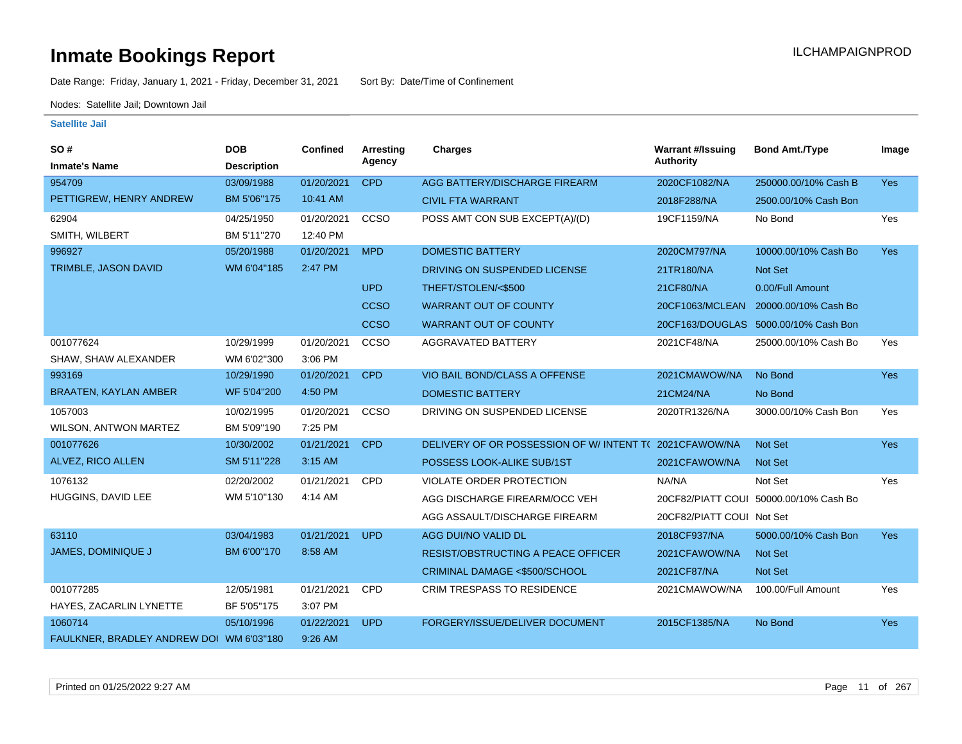Date Range: Friday, January 1, 2021 - Friday, December 31, 2021 Sort By: Date/Time of Confinement

Nodes: Satellite Jail; Downtown Jail

| SO#                                      | <b>DOB</b>         | Confined   | Arresting   | <b>Charges</b>                            | <b>Warrant #/Issuing</b>  | <b>Bond Amt./Type</b>                  | Image      |
|------------------------------------------|--------------------|------------|-------------|-------------------------------------------|---------------------------|----------------------------------------|------------|
| <b>Inmate's Name</b>                     | <b>Description</b> |            | Agency      |                                           | <b>Authority</b>          |                                        |            |
| 954709                                   | 03/09/1988         | 01/20/2021 | <b>CPD</b>  | AGG BATTERY/DISCHARGE FIREARM             | 2020CF1082/NA             | 250000.00/10% Cash B                   | Yes        |
| PETTIGREW, HENRY ANDREW                  | BM 5'06"175        | 10:41 AM   |             | <b>CIVIL FTA WARRANT</b>                  | 2018F288/NA               | 2500.00/10% Cash Bon                   |            |
| 62904                                    | 04/25/1950         | 01/20/2021 | CCSO        | POSS AMT CON SUB EXCEPT(A)/(D)            | 19CF1159/NA               | No Bond                                | Yes        |
| SMITH, WILBERT                           | BM 5'11"270        | 12:40 PM   |             |                                           |                           |                                        |            |
| 996927                                   | 05/20/1988         | 01/20/2021 | <b>MPD</b>  | <b>DOMESTIC BATTERY</b>                   | 2020CM797/NA              | 10000.00/10% Cash Bo                   | <b>Yes</b> |
| TRIMBLE, JASON DAVID                     | WM 6'04"185        | 2:47 PM    |             | DRIVING ON SUSPENDED LICENSE              | 21TR180/NA                | Not Set                                |            |
|                                          |                    |            | <b>UPD</b>  | THEFT/STOLEN/<\$500                       | 21CF80/NA                 | 0.00/Full Amount                       |            |
|                                          |                    |            | <b>CCSO</b> | <b>WARRANT OUT OF COUNTY</b>              | 20CF1063/MCLEAN           | 20000.00/10% Cash Bo                   |            |
|                                          |                    |            | <b>CCSO</b> | <b>WARRANT OUT OF COUNTY</b>              |                           | 20CF163/DOUGLAS 5000.00/10% Cash Bon   |            |
| 001077624                                | 10/29/1999         | 01/20/2021 | CCSO        | <b>AGGRAVATED BATTERY</b>                 | 2021CF48/NA               | 25000.00/10% Cash Bo                   | Yes        |
| SHAW, SHAW ALEXANDER                     | WM 6'02"300        | 3:06 PM    |             |                                           |                           |                                        |            |
| 993169                                   | 10/29/1990         | 01/20/2021 | <b>CPD</b>  | VIO BAIL BOND/CLASS A OFFENSE             | 2021CMAWOW/NA             | No Bond                                | <b>Yes</b> |
| <b>BRAATEN, KAYLAN AMBER</b>             | WF 5'04"200        | 4:50 PM    |             | <b>DOMESTIC BATTERY</b>                   | 21CM24/NA                 | No Bond                                |            |
| 1057003                                  | 10/02/1995         | 01/20/2021 | ccso        | DRIVING ON SUSPENDED LICENSE              | 2020TR1326/NA             | 3000.00/10% Cash Bon                   | Yes        |
| WILSON, ANTWON MARTEZ                    | BM 5'09"190        | 7:25 PM    |             |                                           |                           |                                        |            |
| 001077626                                | 10/30/2002         | 01/21/2021 | <b>CPD</b>  | DELIVERY OF OR POSSESSION OF W/ INTENT TO | 2021CFAWOW/NA             | Not Set                                | Yes        |
| ALVEZ, RICO ALLEN                        | SM 5'11"228        | 3:15 AM    |             | POSSESS LOOK-ALIKE SUB/1ST                | 2021CFAWOW/NA             | <b>Not Set</b>                         |            |
| 1076132                                  | 02/20/2002         | 01/21/2021 | <b>CPD</b>  | VIOLATE ORDER PROTECTION                  | NA/NA                     | Not Set                                | Yes        |
| HUGGINS, DAVID LEE                       | WM 5'10"130        | 4:14 AM    |             | AGG DISCHARGE FIREARM/OCC VEH             |                           | 20CF82/PIATT COUI 50000.00/10% Cash Bo |            |
|                                          |                    |            |             | AGG ASSAULT/DISCHARGE FIREARM             | 20CF82/PIATT COUI Not Set |                                        |            |
| 63110                                    | 03/04/1983         | 01/21/2021 | <b>UPD</b>  | AGG DUI/NO VALID DL                       | 2018CF937/NA              | 5000.00/10% Cash Bon                   | <b>Yes</b> |
| JAMES, DOMINIQUE J                       | BM 6'00"170        | 8:58 AM    |             | <b>RESIST/OBSTRUCTING A PEACE OFFICER</b> | 2021CFAWOW/NA             | <b>Not Set</b>                         |            |
|                                          |                    |            |             | CRIMINAL DAMAGE <\$500/SCHOOL             | 2021CF87/NA               | Not Set                                |            |
| 001077285                                | 12/05/1981         | 01/21/2021 | <b>CPD</b>  | CRIM TRESPASS TO RESIDENCE                | 2021CMAWOW/NA             | 100.00/Full Amount                     | Yes        |
| HAYES, ZACARLIN LYNETTE                  | BF 5'05"175        | 3:07 PM    |             |                                           |                           |                                        |            |
| 1060714                                  | 05/10/1996         | 01/22/2021 | <b>UPD</b>  | FORGERY/ISSUE/DELIVER DOCUMENT            | 2015CF1385/NA             | No Bond                                | <b>Yes</b> |
| FAULKNER, BRADLEY ANDREW DOI WM 6'03"180 |                    | 9:26 AM    |             |                                           |                           |                                        |            |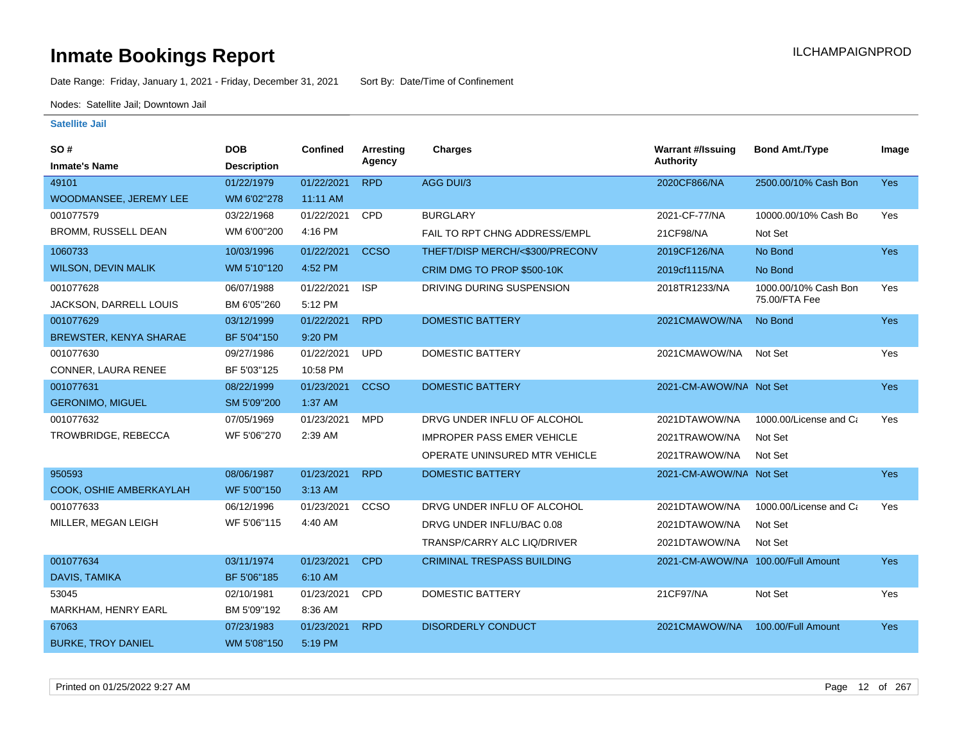Date Range: Friday, January 1, 2021 - Friday, December 31, 2021 Sort By: Date/Time of Confinement

Nodes: Satellite Jail; Downtown Jail

| SO #                       | <b>DOB</b>         | <b>Confined</b> | <b>Arresting</b> | Charges                            | <b>Warrant #/Issuing</b>           | <b>Bond Amt./Type</b>  | Image      |
|----------------------------|--------------------|-----------------|------------------|------------------------------------|------------------------------------|------------------------|------------|
| <b>Inmate's Name</b>       | <b>Description</b> |                 | Agency           |                                    | <b>Authority</b>                   |                        |            |
| 49101                      | 01/22/1979         | 01/22/2021      | <b>RPD</b>       | AGG DUI/3                          | 2020CF866/NA                       | 2500.00/10% Cash Bon   | <b>Yes</b> |
| WOODMANSEE, JEREMY LEE     | WM 6'02"278        | 11:11 AM        |                  |                                    |                                    |                        |            |
| 001077579                  | 03/22/1968         | 01/22/2021      | <b>CPD</b>       | <b>BURGLARY</b>                    | 2021-CF-77/NA                      | 10000.00/10% Cash Bo   | Yes        |
| BROMM, RUSSELL DEAN        | WM 6'00"200        | 4:16 PM         |                  | FAIL TO RPT CHNG ADDRESS/EMPL      | 21CF98/NA                          | Not Set                |            |
| 1060733                    | 10/03/1996         | 01/22/2021      | <b>CCSO</b>      | THEFT/DISP MERCH/<\$300/PRECONV    | 2019CF126/NA                       | No Bond                | <b>Yes</b> |
| <b>WILSON, DEVIN MALIK</b> | WM 5'10"120        | 4:52 PM         |                  | CRIM DMG TO PROP \$500-10K         | 2019cf1115/NA                      | No Bond                |            |
| 001077628                  | 06/07/1988         | 01/22/2021      | <b>ISP</b>       | DRIVING DURING SUSPENSION          | 2018TR1233/NA                      | 1000.00/10% Cash Bon   | Yes        |
| JACKSON, DARRELL LOUIS     | BM 6'05"260        | 5:12 PM         |                  |                                    |                                    | 75.00/FTA Fee          |            |
| 001077629                  | 03/12/1999         | 01/22/2021      | <b>RPD</b>       | <b>DOMESTIC BATTERY</b>            | 2021CMAWOW/NA                      | No Bond                | <b>Yes</b> |
| BREWSTER, KENYA SHARAE     | BF 5'04"150        | 9:20 PM         |                  |                                    |                                    |                        |            |
| 001077630                  | 09/27/1986         | 01/22/2021      | <b>UPD</b>       | <b>DOMESTIC BATTERY</b>            | 2021CMAWOW/NA                      | Not Set                | Yes        |
| CONNER, LAURA RENEE        | BF 5'03"125        | 10:58 PM        |                  |                                    |                                    |                        |            |
| 001077631                  | 08/22/1999         | 01/23/2021      | <b>CCSO</b>      | <b>DOMESTIC BATTERY</b>            | 2021-CM-AWOW/NA Not Set            |                        | Yes        |
| <b>GERONIMO, MIGUEL</b>    | SM 5'09"200        | 1:37 AM         |                  |                                    |                                    |                        |            |
| 001077632                  | 07/05/1969         | 01/23/2021      | <b>MPD</b>       | DRVG UNDER INFLU OF ALCOHOL        | 2021DTAWOW/NA                      | 1000.00/License and Ca | Yes        |
| TROWBRIDGE, REBECCA        | WF 5'06"270        | 2:39 AM         |                  | <b>IMPROPER PASS EMER VEHICLE</b>  | 2021TRAWOW/NA                      | Not Set                |            |
|                            |                    |                 |                  | OPERATE UNINSURED MTR VEHICLE      | 2021TRAWOW/NA                      | Not Set                |            |
| 950593                     | 08/06/1987         | 01/23/2021      | <b>RPD</b>       | <b>DOMESTIC BATTERY</b>            | 2021-CM-AWOW/NA Not Set            |                        | Yes        |
| COOK, OSHIE AMBERKAYLAH    | WF 5'00"150        | 3:13 AM         |                  |                                    |                                    |                        |            |
| 001077633                  | 06/12/1996         | 01/23/2021      | <b>CCSO</b>      | DRVG UNDER INFLU OF ALCOHOL        | 2021DTAWOW/NA                      | 1000.00/License and Ca | Yes        |
| MILLER, MEGAN LEIGH        | WF 5'06"115        | 4:40 AM         |                  | DRVG UNDER INFLU/BAC 0.08          | 2021DTAWOW/NA                      | Not Set                |            |
|                            |                    |                 |                  | <b>TRANSP/CARRY ALC LIQ/DRIVER</b> | 2021DTAWOW/NA                      | Not Set                |            |
| 001077634                  | 03/11/1974         | 01/23/2021      | <b>CPD</b>       | <b>CRIMINAL TRESPASS BUILDING</b>  | 2021-CM-AWOW/NA 100.00/Full Amount |                        | <b>Yes</b> |
| <b>DAVIS, TAMIKA</b>       | BF 5'06"185        | 6:10 AM         |                  |                                    |                                    |                        |            |
| 53045                      | 02/10/1981         | 01/23/2021      | CPD              | <b>DOMESTIC BATTERY</b>            | 21CF97/NA                          | Not Set                | Yes        |
| MARKHAM, HENRY EARL        | BM 5'09"192        | 8:36 AM         |                  |                                    |                                    |                        |            |
| 67063                      | 07/23/1983         | 01/23/2021      | <b>RPD</b>       | <b>DISORDERLY CONDUCT</b>          | 2021CMAWOW/NA                      | 100.00/Full Amount     | <b>Yes</b> |
| <b>BURKE, TROY DANIEL</b>  | WM 5'08"150        | 5:19 PM         |                  |                                    |                                    |                        |            |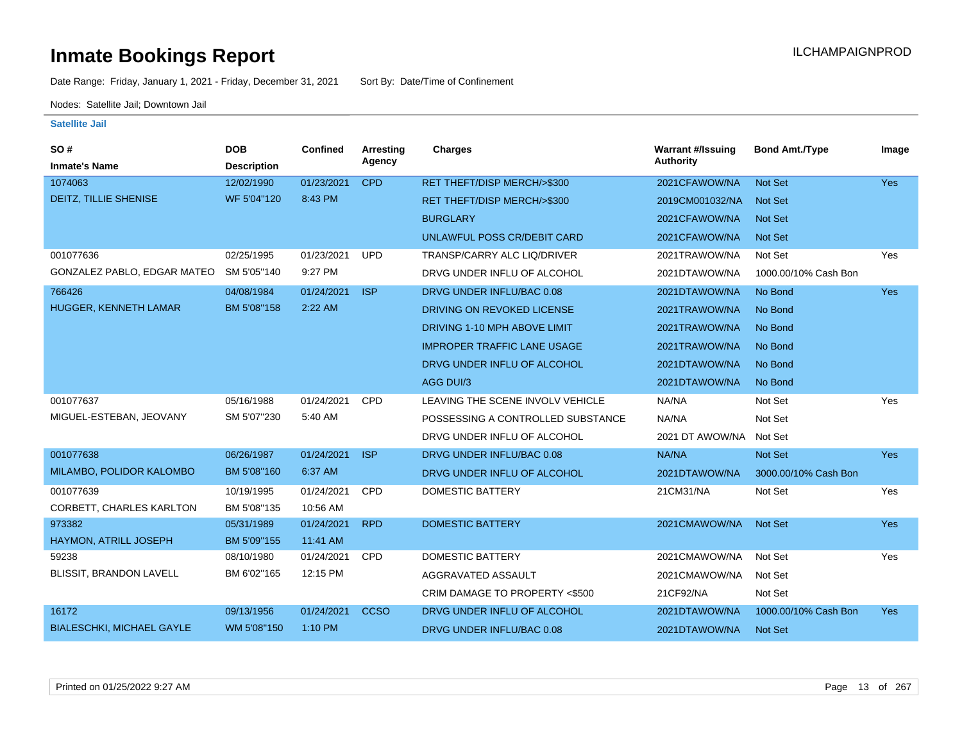Date Range: Friday, January 1, 2021 - Friday, December 31, 2021 Sort By: Date/Time of Confinement

Nodes: Satellite Jail; Downtown Jail

| SO#                              | <b>DOB</b>         | Confined   | Arresting   | <b>Charges</b>                     | <b>Warrant #/Issuing</b> | <b>Bond Amt./Type</b> | Image      |
|----------------------------------|--------------------|------------|-------------|------------------------------------|--------------------------|-----------------------|------------|
| <b>Inmate's Name</b>             | <b>Description</b> |            | Agency      |                                    | <b>Authority</b>         |                       |            |
| 1074063                          | 12/02/1990         | 01/23/2021 | <b>CPD</b>  | RET THEFT/DISP MERCH/>\$300        | 2021CFAWOW/NA            | Not Set               | Yes        |
| DEITZ, TILLIE SHENISE            | WF 5'04"120        | 8:43 PM    |             | RET THEFT/DISP MERCH/>\$300        | 2019CM001032/NA          | <b>Not Set</b>        |            |
|                                  |                    |            |             | <b>BURGLARY</b>                    | 2021CFAWOW/NA            | <b>Not Set</b>        |            |
|                                  |                    |            |             | UNLAWFUL POSS CR/DEBIT CARD        | 2021CFAWOW/NA            | <b>Not Set</b>        |            |
| 001077636                        | 02/25/1995         | 01/23/2021 | <b>UPD</b>  | TRANSP/CARRY ALC LIQ/DRIVER        | 2021TRAWOW/NA            | Not Set               | Yes        |
| GONZALEZ PABLO, EDGAR MATEO      | SM 5'05"140        | 9:27 PM    |             | DRVG UNDER INFLU OF ALCOHOL        | 2021DTAWOW/NA            | 1000.00/10% Cash Bon  |            |
| 766426                           | 04/08/1984         | 01/24/2021 | <b>ISP</b>  | DRVG UNDER INFLU/BAC 0.08          | 2021DTAWOW/NA            | No Bond               | Yes        |
| HUGGER, KENNETH LAMAR            | BM 5'08"158        | 2:22 AM    |             | DRIVING ON REVOKED LICENSE         | 2021TRAWOW/NA            | No Bond               |            |
|                                  |                    |            |             | DRIVING 1-10 MPH ABOVE LIMIT       | 2021TRAWOW/NA            | No Bond               |            |
|                                  |                    |            |             | <b>IMPROPER TRAFFIC LANE USAGE</b> | 2021TRAWOW/NA            | No Bond               |            |
|                                  |                    |            |             | DRVG UNDER INFLU OF ALCOHOL        | 2021DTAWOW/NA            | No Bond               |            |
|                                  |                    |            |             | AGG DUI/3                          | 2021DTAWOW/NA            | No Bond               |            |
| 001077637                        | 05/16/1988         | 01/24/2021 | <b>CPD</b>  | LEAVING THE SCENE INVOLV VEHICLE   | NA/NA                    | Not Set               | Yes        |
| MIGUEL-ESTEBAN, JEOVANY          | SM 5'07"230        | 5:40 AM    |             | POSSESSING A CONTROLLED SUBSTANCE  | NA/NA                    | Not Set               |            |
|                                  |                    |            |             | DRVG UNDER INFLU OF ALCOHOL        | 2021 DT AWOW/NA          | Not Set               |            |
| 001077638                        | 06/26/1987         | 01/24/2021 | <b>ISP</b>  | DRVG UNDER INFLU/BAC 0.08          | NA/NA                    | Not Set               | <b>Yes</b> |
| MILAMBO, POLIDOR KALOMBO         | BM 5'08"160        | 6:37 AM    |             | DRVG UNDER INFLU OF ALCOHOL        | 2021DTAWOW/NA            | 3000.00/10% Cash Bon  |            |
| 001077639                        | 10/19/1995         | 01/24/2021 | CPD         | <b>DOMESTIC BATTERY</b>            | 21CM31/NA                | Not Set               | Yes        |
| CORBETT, CHARLES KARLTON         | BM 5'08"135        | 10:56 AM   |             |                                    |                          |                       |            |
| 973382                           | 05/31/1989         | 01/24/2021 | <b>RPD</b>  | <b>DOMESTIC BATTERY</b>            | 2021CMAWOW/NA            | Not Set               | Yes        |
| HAYMON, ATRILL JOSEPH            | BM 5'09"155        | 11:41 AM   |             |                                    |                          |                       |            |
| 59238                            | 08/10/1980         | 01/24/2021 | <b>CPD</b>  | <b>DOMESTIC BATTERY</b>            | 2021CMAWOW/NA            | Not Set               | Yes        |
| BLISSIT, BRANDON LAVELL          | BM 6'02"165        | 12:15 PM   |             | AGGRAVATED ASSAULT                 | 2021CMAWOW/NA            | Not Set               |            |
|                                  |                    |            |             | CRIM DAMAGE TO PROPERTY <\$500     | 21CF92/NA                | Not Set               |            |
| 16172                            | 09/13/1956         | 01/24/2021 | <b>CCSO</b> | DRVG UNDER INFLU OF ALCOHOL        | 2021DTAWOW/NA            | 1000.00/10% Cash Bon  | <b>Yes</b> |
| <b>BIALESCHKI, MICHAEL GAYLE</b> | WM 5'08"150        | 1:10 PM    |             | DRVG UNDER INFLU/BAC 0.08          | 2021DTAWOW/NA            | <b>Not Set</b>        |            |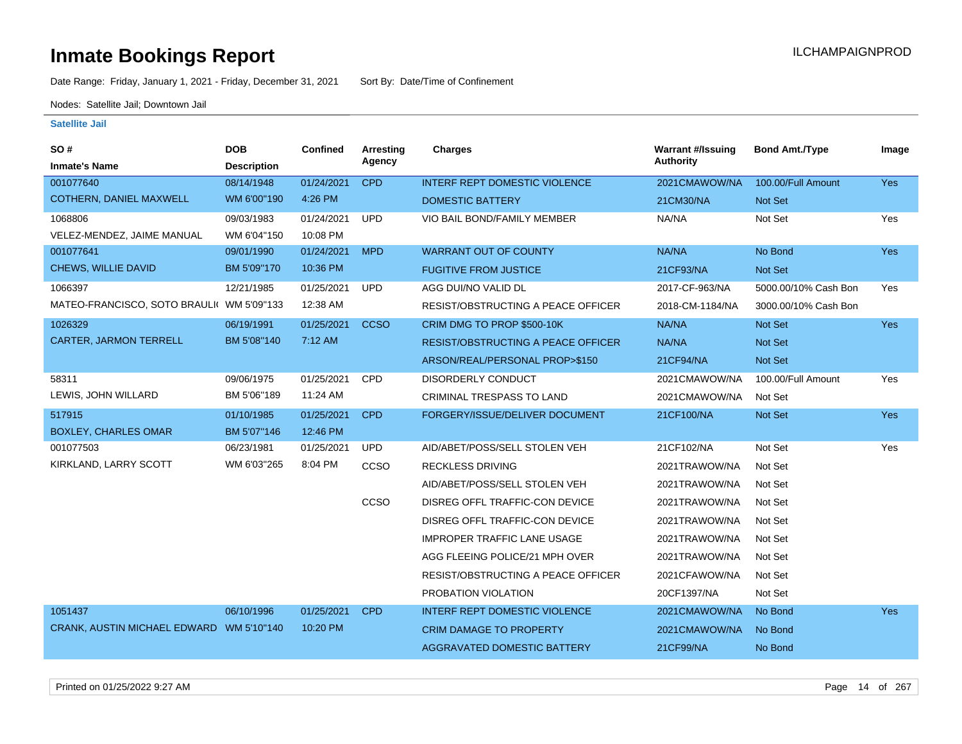Date Range: Friday, January 1, 2021 - Friday, December 31, 2021 Sort By: Date/Time of Confinement

Nodes: Satellite Jail; Downtown Jail

### **Satellite Jail**

| SO#                                       | <b>DOB</b>         | <b>Confined</b> | Arresting   | <b>Charges</b>                            | <b>Warrant #/Issuing</b> | <b>Bond Amt./Type</b> | Image      |
|-------------------------------------------|--------------------|-----------------|-------------|-------------------------------------------|--------------------------|-----------------------|------------|
| <b>Inmate's Name</b>                      | <b>Description</b> |                 | Agency      |                                           | <b>Authority</b>         |                       |            |
| 001077640                                 | 08/14/1948         | 01/24/2021      | <b>CPD</b>  | <b>INTERF REPT DOMESTIC VIOLENCE</b>      | 2021CMAWOW/NA            | 100.00/Full Amount    | Yes        |
| COTHERN, DANIEL MAXWELL                   | WM 6'00"190        | 4:26 PM         |             | <b>DOMESTIC BATTERY</b>                   | 21CM30/NA                | Not Set               |            |
| 1068806                                   | 09/03/1983         | 01/24/2021      | <b>UPD</b>  | VIO BAIL BOND/FAMILY MEMBER               | NA/NA                    | Not Set               | Yes        |
| VELEZ-MENDEZ, JAIME MANUAL                | WM 6'04"150        | 10:08 PM        |             |                                           |                          |                       |            |
| 001077641                                 | 09/01/1990         | 01/24/2021      | <b>MPD</b>  | <b>WARRANT OUT OF COUNTY</b>              | NA/NA                    | No Bond               | <b>Yes</b> |
| CHEWS, WILLIE DAVID                       | BM 5'09"170        | 10:36 PM        |             | <b>FUGITIVE FROM JUSTICE</b>              | 21CF93/NA                | Not Set               |            |
| 1066397                                   | 12/21/1985         | 01/25/2021      | <b>UPD</b>  | AGG DUI/NO VALID DL                       | 2017-CF-963/NA           | 5000.00/10% Cash Bon  | Yes        |
| MATEO-FRANCISCO, SOTO BRAULI( WM 5'09"133 |                    | 12:38 AM        |             | RESIST/OBSTRUCTING A PEACE OFFICER        | 2018-CM-1184/NA          | 3000.00/10% Cash Bon  |            |
| 1026329                                   | 06/19/1991         | 01/25/2021      | <b>CCSO</b> | CRIM DMG TO PROP \$500-10K                | NA/NA                    | Not Set               | Yes        |
| <b>CARTER, JARMON TERRELL</b>             | BM 5'08"140        | 7:12 AM         |             | <b>RESIST/OBSTRUCTING A PEACE OFFICER</b> | NA/NA                    | Not Set               |            |
|                                           |                    |                 |             | ARSON/REAL/PERSONAL PROP>\$150            | 21CF94/NA                | <b>Not Set</b>        |            |
| 58311                                     | 09/06/1975         | 01/25/2021      | <b>CPD</b>  | DISORDERLY CONDUCT                        | 2021CMAWOW/NA            | 100.00/Full Amount    | Yes        |
| LEWIS, JOHN WILLARD                       | BM 5'06"189        | 11:24 AM        |             | CRIMINAL TRESPASS TO LAND                 | 2021CMAWOW/NA            | Not Set               |            |
| 517915                                    | 01/10/1985         | 01/25/2021      | <b>CPD</b>  | FORGERY/ISSUE/DELIVER DOCUMENT            | 21CF100/NA               | Not Set               | <b>Yes</b> |
| <b>BOXLEY, CHARLES OMAR</b>               | BM 5'07"146        | 12:46 PM        |             |                                           |                          |                       |            |
| 001077503                                 | 06/23/1981         | 01/25/2021      | UPD         | AID/ABET/POSS/SELL STOLEN VEH             | 21CF102/NA               | Not Set               | Yes        |
| KIRKLAND, LARRY SCOTT                     | WM 6'03"265        | 8:04 PM         | CCSO        | <b>RECKLESS DRIVING</b>                   | 2021TRAWOW/NA            | Not Set               |            |
|                                           |                    |                 |             | AID/ABET/POSS/SELL STOLEN VEH             | 2021TRAWOW/NA            | Not Set               |            |
|                                           |                    |                 | CCSO        | DISREG OFFL TRAFFIC-CON DEVICE            | 2021TRAWOW/NA            | Not Set               |            |
|                                           |                    |                 |             | DISREG OFFL TRAFFIC-CON DEVICE            | 2021TRAWOW/NA            | Not Set               |            |
|                                           |                    |                 |             | <b>IMPROPER TRAFFIC LANE USAGE</b>        | 2021TRAWOW/NA            | Not Set               |            |
|                                           |                    |                 |             | AGG FLEEING POLICE/21 MPH OVER            | 2021TRAWOW/NA            | Not Set               |            |
|                                           |                    |                 |             | <b>RESIST/OBSTRUCTING A PEACE OFFICER</b> | 2021CFAWOW/NA            | Not Set               |            |
|                                           |                    |                 |             | PROBATION VIOLATION                       | 20CF1397/NA              | Not Set               |            |
| 1051437                                   | 06/10/1996         | 01/25/2021      | <b>CPD</b>  | <b>INTERF REPT DOMESTIC VIOLENCE</b>      | 2021CMAWOW/NA            | No Bond               | <b>Yes</b> |
| CRANK, AUSTIN MICHAEL EDWARD WM 5'10"140  |                    | 10:20 PM        |             | <b>CRIM DAMAGE TO PROPERTY</b>            | 2021CMAWOW/NA            | No Bond               |            |
|                                           |                    |                 |             | AGGRAVATED DOMESTIC BATTERY               | 21CF99/NA                | No Bond               |            |

Printed on 01/25/2022 9:27 AM Page 14 of 267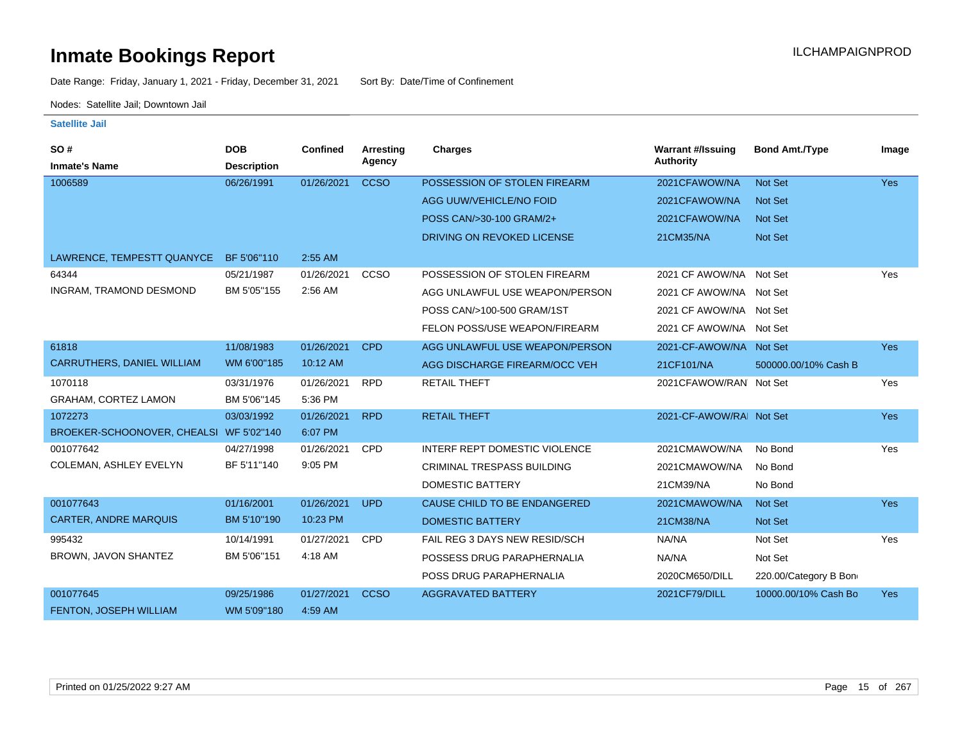Date Range: Friday, January 1, 2021 - Friday, December 31, 2021 Sort By: Date/Time of Confinement

Nodes: Satellite Jail; Downtown Jail

| SO#                                     | <b>DOB</b>         | <b>Confined</b> | Arresting   | <b>Charges</b>                    | <b>Warrant #/Issuing</b> | <b>Bond Amt./Type</b> | Image      |
|-----------------------------------------|--------------------|-----------------|-------------|-----------------------------------|--------------------------|-----------------------|------------|
| <b>Inmate's Name</b>                    | <b>Description</b> |                 | Agency      |                                   | <b>Authority</b>         |                       |            |
| 1006589                                 | 06/26/1991         | 01/26/2021      | <b>CCSO</b> | POSSESSION OF STOLEN FIREARM      | 2021CFAWOW/NA            | <b>Not Set</b>        | <b>Yes</b> |
|                                         |                    |                 |             | AGG UUW/VEHICLE/NO FOID           | 2021CFAWOW/NA            | <b>Not Set</b>        |            |
|                                         |                    |                 |             | POSS CAN/>30-100 GRAM/2+          | 2021CFAWOW/NA            | <b>Not Set</b>        |            |
|                                         |                    |                 |             | DRIVING ON REVOKED LICENSE        | 21CM35/NA                | <b>Not Set</b>        |            |
| LAWRENCE, TEMPESTT QUANYCE              | BF 5'06"110        | 2:55 AM         |             |                                   |                          |                       |            |
| 64344                                   | 05/21/1987         | 01/26/2021      | CCSO        | POSSESSION OF STOLEN FIREARM      | 2021 CF AWOW/NA Not Set  |                       | Yes        |
| INGRAM, TRAMOND DESMOND                 | BM 5'05"155        | 2:56 AM         |             | AGG UNLAWFUL USE WEAPON/PERSON    | 2021 CF AWOW/NA Not Set  |                       |            |
|                                         |                    |                 |             | POSS CAN/>100-500 GRAM/1ST        | 2021 CF AWOW/NA Not Set  |                       |            |
|                                         |                    |                 |             | FELON POSS/USE WEAPON/FIREARM     | 2021 CF AWOW/NA Not Set  |                       |            |
| 61818                                   | 11/08/1983         | 01/26/2021      | <b>CPD</b>  | AGG UNLAWFUL USE WEAPON/PERSON    | 2021-CF-AWOW/NA Not Set  |                       | <b>Yes</b> |
| <b>CARRUTHERS, DANIEL WILLIAM</b>       | WM 6'00"185        | 10:12 AM        |             | AGG DISCHARGE FIREARM/OCC VEH     | 21CF101/NA               | 500000.00/10% Cash B  |            |
| 1070118                                 | 03/31/1976         | 01/26/2021      | <b>RPD</b>  | <b>RETAIL THEFT</b>               | 2021 CFAWOW/RAN Not Set  |                       | Yes        |
| <b>GRAHAM, CORTEZ LAMON</b>             | BM 5'06"145        | 5:36 PM         |             |                                   |                          |                       |            |
| 1072273                                 | 03/03/1992         | 01/26/2021      | <b>RPD</b>  | <b>RETAIL THEFT</b>               | 2021-CF-AWOW/RAI Not Set |                       | <b>Yes</b> |
| BROEKER-SCHOONOVER, CHEALSI WF 5'02"140 |                    | 6:07 PM         |             |                                   |                          |                       |            |
| 001077642                               | 04/27/1998         | 01/26/2021      | <b>CPD</b>  | INTERF REPT DOMESTIC VIOLENCE     | 2021CMAWOW/NA            | No Bond               | Yes        |
| COLEMAN, ASHLEY EVELYN                  | BF 5'11"140        | 9:05 PM         |             | <b>CRIMINAL TRESPASS BUILDING</b> | 2021CMAWOW/NA            | No Bond               |            |
|                                         |                    |                 |             | <b>DOMESTIC BATTERY</b>           | 21CM39/NA                | No Bond               |            |
| 001077643                               | 01/16/2001         | 01/26/2021      | <b>UPD</b>  | CAUSE CHILD TO BE ENDANGERED      | 2021CMAWOW/NA            | <b>Not Set</b>        | <b>Yes</b> |
| <b>CARTER, ANDRE MARQUIS</b>            | BM 5'10"190        | 10:23 PM        |             | <b>DOMESTIC BATTERY</b>           | 21CM38/NA                | Not Set               |            |
| 995432                                  | 10/14/1991         | 01/27/2021      | <b>CPD</b>  | FAIL REG 3 DAYS NEW RESID/SCH     | NA/NA                    | Not Set               | Yes        |
| BROWN, JAVON SHANTEZ                    | BM 5'06"151        | 4:18 AM         |             | POSSESS DRUG PARAPHERNALIA        | NA/NA                    | Not Set               |            |
|                                         |                    |                 |             | POSS DRUG PARAPHERNALIA           | 2020CM650/DILL           | 220.00/Category B Bon |            |
| 001077645                               | 09/25/1986         | 01/27/2021      | <b>CCSO</b> | <b>AGGRAVATED BATTERY</b>         | 2021CF79/DILL            | 10000.00/10% Cash Bo  | <b>Yes</b> |
| FENTON, JOSEPH WILLIAM                  | WM 5'09"180        | 4:59 AM         |             |                                   |                          |                       |            |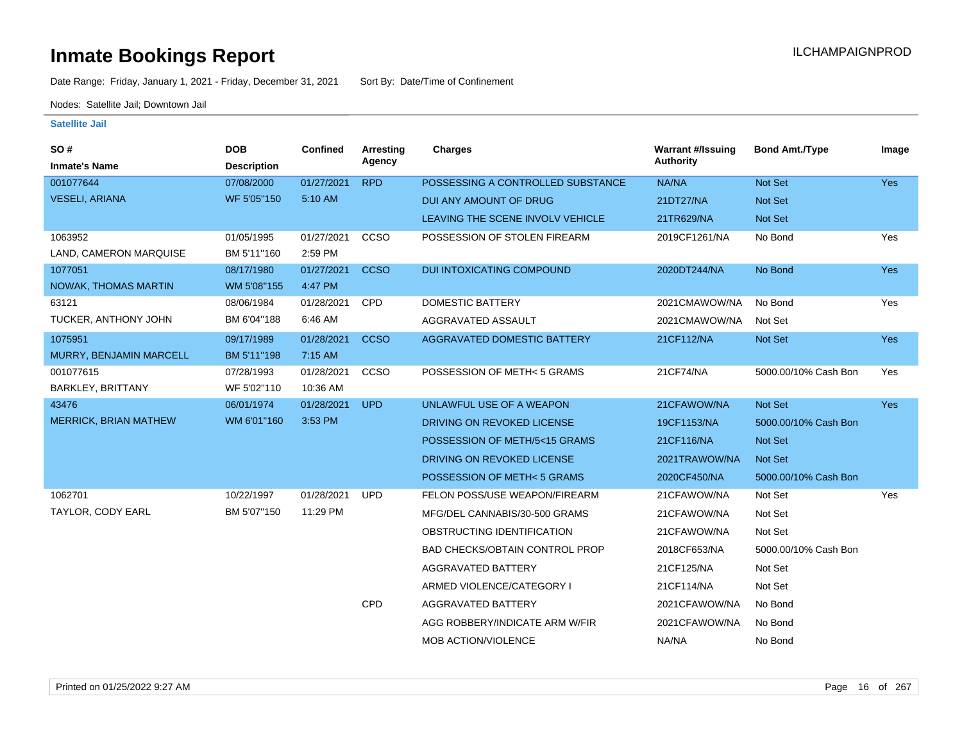Date Range: Friday, January 1, 2021 - Friday, December 31, 2021 Sort By: Date/Time of Confinement

Nodes: Satellite Jail; Downtown Jail

| SO#                          | <b>DOB</b>         | <b>Confined</b> | <b>Arresting</b> | Charges                               | <b>Warrant #/Issuing</b> | <b>Bond Amt./Type</b> | Image      |
|------------------------------|--------------------|-----------------|------------------|---------------------------------------|--------------------------|-----------------------|------------|
| <b>Inmate's Name</b>         | <b>Description</b> |                 | Agency           |                                       | Authority                |                       |            |
| 001077644                    | 07/08/2000         | 01/27/2021      | <b>RPD</b>       | POSSESSING A CONTROLLED SUBSTANCE     | NA/NA                    | Not Set               | Yes        |
| <b>VESELI, ARIANA</b>        | WF 5'05"150        | 5:10 AM         |                  | DUI ANY AMOUNT OF DRUG                | 21DT27/NA                | Not Set               |            |
|                              |                    |                 |                  | LEAVING THE SCENE INVOLV VEHICLE      | 21TR629/NA               | <b>Not Set</b>        |            |
| 1063952                      | 01/05/1995         | 01/27/2021      | CCSO             | POSSESSION OF STOLEN FIREARM          | 2019CF1261/NA            | No Bond               | Yes        |
| LAND, CAMERON MARQUISE       | BM 5'11"160        | 2:59 PM         |                  |                                       |                          |                       |            |
| 1077051                      | 08/17/1980         | 01/27/2021      | <b>CCSO</b>      | DUI INTOXICATING COMPOUND             | 2020DT244/NA             | No Bond               | <b>Yes</b> |
| <b>NOWAK, THOMAS MARTIN</b>  | WM 5'08"155        | 4:47 PM         |                  |                                       |                          |                       |            |
| 63121                        | 08/06/1984         | 01/28/2021      | CPD              | <b>DOMESTIC BATTERY</b>               | 2021CMAWOW/NA            | No Bond               | Yes        |
| TUCKER, ANTHONY JOHN         | BM 6'04"188        | 6:46 AM         |                  | AGGRAVATED ASSAULT                    | 2021CMAWOW/NA            | Not Set               |            |
| 1075951                      | 09/17/1989         | 01/28/2021      | <b>CCSO</b>      | <b>AGGRAVATED DOMESTIC BATTERY</b>    | 21CF112/NA               | Not Set               | <b>Yes</b> |
| MURRY, BENJAMIN MARCELL      | BM 5'11"198        | 7:15 AM         |                  |                                       |                          |                       |            |
| 001077615                    | 07/28/1993         | 01/28/2021      | CCSO             | POSSESSION OF METH< 5 GRAMS           | 21CF74/NA                | 5000.00/10% Cash Bon  | Yes        |
| <b>BARKLEY, BRITTANY</b>     | WF 5'02"110        | 10:36 AM        |                  |                                       |                          |                       |            |
| 43476                        | 06/01/1974         | 01/28/2021      | <b>UPD</b>       | UNLAWFUL USE OF A WEAPON              | 21CFAWOW/NA              | Not Set               | <b>Yes</b> |
| <b>MERRICK, BRIAN MATHEW</b> | WM 6'01"160        | 3:53 PM         |                  | DRIVING ON REVOKED LICENSE            | 19CF1153/NA              | 5000.00/10% Cash Bon  |            |
|                              |                    |                 |                  | POSSESSION OF METH/5<15 GRAMS         | 21CF116/NA               | Not Set               |            |
|                              |                    |                 |                  | DRIVING ON REVOKED LICENSE            | 2021TRAWOW/NA            | Not Set               |            |
|                              |                    |                 |                  | POSSESSION OF METH< 5 GRAMS           | 2020CF450/NA             | 5000.00/10% Cash Bon  |            |
| 1062701                      | 10/22/1997         | 01/28/2021      | <b>UPD</b>       | FELON POSS/USE WEAPON/FIREARM         | 21CFAWOW/NA              | Not Set               | Yes        |
| TAYLOR, CODY EARL            | BM 5'07"150        | 11:29 PM        |                  | MFG/DEL CANNABIS/30-500 GRAMS         | 21CFAWOW/NA              | Not Set               |            |
|                              |                    |                 |                  | OBSTRUCTING IDENTIFICATION            | 21CFAWOW/NA              | Not Set               |            |
|                              |                    |                 |                  | <b>BAD CHECKS/OBTAIN CONTROL PROP</b> | 2018CF653/NA             | 5000.00/10% Cash Bon  |            |
|                              |                    |                 |                  | AGGRAVATED BATTERY                    | 21CF125/NA               | Not Set               |            |
|                              |                    |                 |                  | ARMED VIOLENCE/CATEGORY I             | 21CF114/NA               | Not Set               |            |
|                              |                    |                 | CPD              | AGGRAVATED BATTERY                    | 2021CFAWOW/NA            | No Bond               |            |
|                              |                    |                 |                  | AGG ROBBERY/INDICATE ARM W/FIR        | 2021CFAWOW/NA            | No Bond               |            |
|                              |                    |                 |                  | MOB ACTION/VIOLENCE                   | NA/NA                    | No Bond               |            |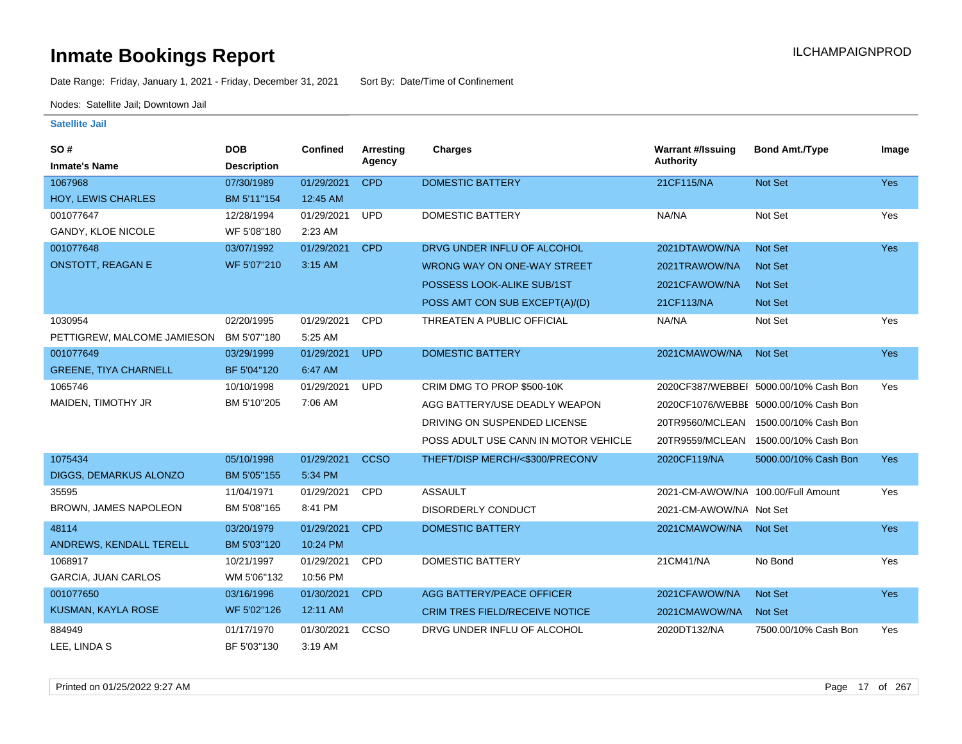Date Range: Friday, January 1, 2021 - Friday, December 31, 2021 Sort By: Date/Time of Confinement

Nodes: Satellite Jail; Downtown Jail

| SO#                          | <b>DOB</b>         | <b>Confined</b> | <b>Arresting</b><br>Agency | <b>Charges</b>                        | <b>Warrant #/Issuing</b><br><b>Authority</b> | <b>Bond Amt./Type</b>                 | Image      |
|------------------------------|--------------------|-----------------|----------------------------|---------------------------------------|----------------------------------------------|---------------------------------------|------------|
| <b>Inmate's Name</b>         | <b>Description</b> |                 |                            |                                       |                                              |                                       |            |
| 1067968                      | 07/30/1989         | 01/29/2021      | <b>CPD</b>                 | <b>DOMESTIC BATTERY</b>               | 21CF115/NA                                   | Not Set                               | Yes        |
| HOY, LEWIS CHARLES           | BM 5'11"154        | 12:45 AM        |                            |                                       |                                              |                                       |            |
| 001077647                    | 12/28/1994         | 01/29/2021      | <b>UPD</b>                 | <b>DOMESTIC BATTERY</b>               | NA/NA                                        | Not Set                               | Yes        |
| <b>GANDY, KLOE NICOLE</b>    | WF 5'08"180        | 2:23 AM         |                            |                                       |                                              |                                       |            |
| 001077648                    | 03/07/1992         | 01/29/2021      | <b>CPD</b>                 | DRVG UNDER INFLU OF ALCOHOL           | 2021DTAWOW/NA                                | Not Set                               | Yes        |
| <b>ONSTOTT, REAGAN E</b>     | WF 5'07"210        | 3:15 AM         |                            | WRONG WAY ON ONE-WAY STREET           | 2021TRAWOW/NA                                | Not Set                               |            |
|                              |                    |                 |                            | POSSESS LOOK-ALIKE SUB/1ST            | 2021CFAWOW/NA                                | <b>Not Set</b>                        |            |
|                              |                    |                 |                            | POSS AMT CON SUB EXCEPT(A)/(D)        | 21CF113/NA                                   | Not Set                               |            |
| 1030954                      | 02/20/1995         | 01/29/2021      | CPD                        | THREATEN A PUBLIC OFFICIAL            | NA/NA                                        | Not Set                               | Yes        |
| PETTIGREW. MALCOME JAMIESON  | BM 5'07"180        | 5:25 AM         |                            |                                       |                                              |                                       |            |
| 001077649                    | 03/29/1999         | 01/29/2021      | <b>UPD</b>                 | <b>DOMESTIC BATTERY</b>               | 2021CMAWOW/NA                                | Not Set                               | Yes        |
| <b>GREENE, TIYA CHARNELL</b> | BF 5'04"120        | 6:47 AM         |                            |                                       |                                              |                                       |            |
| 1065746                      | 10/10/1998         | 01/29/2021      | <b>UPD</b>                 | CRIM DMG TO PROP \$500-10K            |                                              | 2020CF387/WEBBEI 5000.00/10% Cash Bon | Yes        |
| MAIDEN, TIMOTHY JR           | BM 5'10"205        | 7:06 AM         |                            | AGG BATTERY/USE DEADLY WEAPON         |                                              | 2020CF1076/WEBBE 5000.00/10% Cash Bon |            |
|                              |                    |                 |                            | DRIVING ON SUSPENDED LICENSE          | 20TR9560/MCLEAN                              | 1500.00/10% Cash Bon                  |            |
|                              |                    |                 |                            | POSS ADULT USE CANN IN MOTOR VEHICLE  | 20TR9559/MCLEAN                              | 1500.00/10% Cash Bon                  |            |
| 1075434                      | 05/10/1998         | 01/29/2021      | <b>CCSO</b>                | THEFT/DISP MERCH/<\$300/PRECONV       | 2020CF119/NA                                 | 5000.00/10% Cash Bon                  | <b>Yes</b> |
| DIGGS, DEMARKUS ALONZO       | BM 5'05"155        | 5:34 PM         |                            |                                       |                                              |                                       |            |
| 35595                        | 11/04/1971         | 01/29/2021      | <b>CPD</b>                 | <b>ASSAULT</b>                        | 2021-CM-AWOW/NA 100.00/Full Amount           |                                       | Yes        |
| BROWN, JAMES NAPOLEON        | BM 5'08"165        | 8:41 PM         |                            | <b>DISORDERLY CONDUCT</b>             | 2021-CM-AWOW/NA Not Set                      |                                       |            |
| 48114                        | 03/20/1979         | 01/29/2021      | <b>CPD</b>                 | <b>DOMESTIC BATTERY</b>               | 2021CMAWOW/NA                                | <b>Not Set</b>                        | Yes        |
| ANDREWS, KENDALL TERELL      | BM 5'03"120        | 10:24 PM        |                            |                                       |                                              |                                       |            |
| 1068917                      | 10/21/1997         | 01/29/2021      | <b>CPD</b>                 | <b>DOMESTIC BATTERY</b>               | 21CM41/NA                                    | No Bond                               | Yes        |
| <b>GARCIA, JUAN CARLOS</b>   | WM 5'06"132        | 10:56 PM        |                            |                                       |                                              |                                       |            |
| 001077650                    | 03/16/1996         | 01/30/2021      | <b>CPD</b>                 | AGG BATTERY/PEACE OFFICER             | 2021CFAWOW/NA                                | Not Set                               | <b>Yes</b> |
| KUSMAN, KAYLA ROSE           | WF 5'02"126        | 12:11 AM        |                            | <b>CRIM TRES FIELD/RECEIVE NOTICE</b> | 2021CMAWOW/NA                                | <b>Not Set</b>                        |            |
| 884949                       | 01/17/1970         | 01/30/2021      | CCSO                       | DRVG UNDER INFLU OF ALCOHOL           | 2020DT132/NA                                 | 7500.00/10% Cash Bon                  | Yes        |
| LEE, LINDA S                 | BF 5'03"130        | 3:19 AM         |                            |                                       |                                              |                                       |            |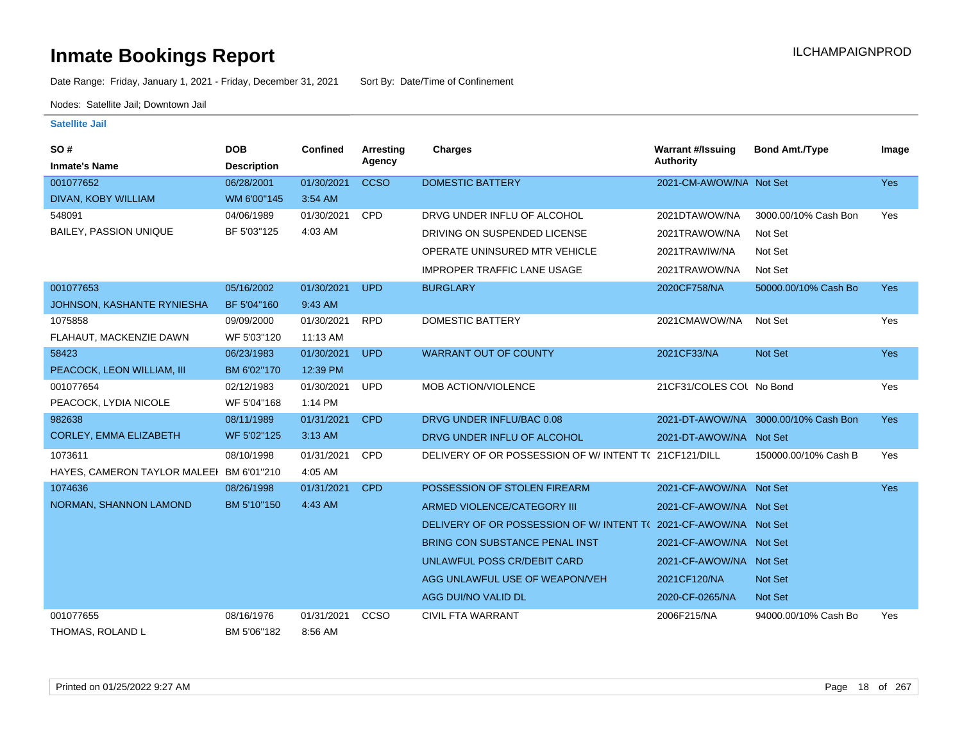Date Range: Friday, January 1, 2021 - Friday, December 31, 2021 Sort By: Date/Time of Confinement

Nodes: Satellite Jail; Downtown Jail

| SO#<br><b>Inmate's Name</b>              | <b>DOB</b><br><b>Description</b> | <b>Confined</b> | Arresting<br>Agency | <b>Charges</b>                                       | <b>Warrant #/Issuing</b><br><b>Authority</b> | <b>Bond Amt./Type</b>                | Image      |
|------------------------------------------|----------------------------------|-----------------|---------------------|------------------------------------------------------|----------------------------------------------|--------------------------------------|------------|
| 001077652                                | 06/28/2001                       | 01/30/2021      | <b>CCSO</b>         | <b>DOMESTIC BATTERY</b>                              | 2021-CM-AWOW/NA Not Set                      |                                      | <b>Yes</b> |
| DIVAN, KOBY WILLIAM                      | WM 6'00"145                      | 3:54 AM         |                     |                                                      |                                              |                                      |            |
| 548091                                   | 04/06/1989                       | 01/30/2021      | <b>CPD</b>          | DRVG UNDER INFLU OF ALCOHOL                          | 2021DTAWOW/NA                                | 3000.00/10% Cash Bon                 | Yes        |
| <b>BAILEY, PASSION UNIQUE</b>            | BF 5'03"125                      | 4:03 AM         |                     | DRIVING ON SUSPENDED LICENSE                         | 2021TRAWOW/NA                                | Not Set                              |            |
|                                          |                                  |                 |                     | OPERATE UNINSURED MTR VEHICLE                        | 2021TRAWIW/NA                                | Not Set                              |            |
|                                          |                                  |                 |                     | <b>IMPROPER TRAFFIC LANE USAGE</b>                   | 2021TRAWOW/NA                                | Not Set                              |            |
| 001077653                                | 05/16/2002                       | 01/30/2021      | <b>UPD</b>          | <b>BURGLARY</b>                                      | 2020CF758/NA                                 | 50000.00/10% Cash Bo                 | <b>Yes</b> |
| JOHNSON, KASHANTE RYNIESHA               | BF 5'04"160                      | 9:43 AM         |                     |                                                      |                                              |                                      |            |
| 1075858                                  | 09/09/2000                       | 01/30/2021      | <b>RPD</b>          | <b>DOMESTIC BATTERY</b>                              | 2021CMAWOW/NA                                | Not Set                              | Yes        |
| FLAHAUT, MACKENZIE DAWN                  | WF 5'03"120                      | 11:13 AM        |                     |                                                      |                                              |                                      |            |
| 58423                                    | 06/23/1983                       | 01/30/2021      | <b>UPD</b>          | <b>WARRANT OUT OF COUNTY</b>                         | 2021CF33/NA                                  | Not Set                              | <b>Yes</b> |
| PEACOCK, LEON WILLIAM, III               | BM 6'02"170                      | 12:39 PM        |                     |                                                      |                                              |                                      |            |
| 001077654                                | 02/12/1983                       | 01/30/2021      | <b>UPD</b>          | MOB ACTION/VIOLENCE                                  | 21CF31/COLES COL No Bond                     |                                      | Yes        |
| PEACOCK, LYDIA NICOLE                    | WF 5'04"168                      | 1:14 PM         |                     |                                                      |                                              |                                      |            |
| 982638                                   | 08/11/1989                       | 01/31/2021      | <b>CPD</b>          | DRVG UNDER INFLU/BAC 0.08                            |                                              | 2021-DT-AWOW/NA 3000.00/10% Cash Bon | <b>Yes</b> |
| CORLEY, EMMA ELIZABETH                   | WF 5'02"125                      | 3:13 AM         |                     | DRVG UNDER INFLU OF ALCOHOL                          | 2021-DT-AWOW/NA Not Set                      |                                      |            |
| 1073611                                  | 08/10/1998                       | 01/31/2021      | <b>CPD</b>          | DELIVERY OF OR POSSESSION OF W/INTENT T(21CF121/DILL |                                              | 150000.00/10% Cash B                 | Yes        |
| HAYES, CAMERON TAYLOR MALEEI BM 6'01"210 |                                  | 4:05 AM         |                     |                                                      |                                              |                                      |            |
| 1074636                                  | 08/26/1998                       | 01/31/2021      | <b>CPD</b>          | POSSESSION OF STOLEN FIREARM                         | 2021-CF-AWOW/NA Not Set                      |                                      | <b>Yes</b> |
| NORMAN, SHANNON LAMOND                   | BM 5'10"150                      | 4:43 AM         |                     | ARMED VIOLENCE/CATEGORY III                          | 2021-CF-AWOW/NA Not Set                      |                                      |            |
|                                          |                                  |                 |                     | DELIVERY OF OR POSSESSION OF W/ INTENT TO            | 2021-CF-AWOW/NA Not Set                      |                                      |            |
|                                          |                                  |                 |                     | <b>BRING CON SUBSTANCE PENAL INST</b>                | 2021-CF-AWOW/NA Not Set                      |                                      |            |
|                                          |                                  |                 |                     | UNLAWFUL POSS CR/DEBIT CARD                          | 2021-CF-AWOW/NA Not Set                      |                                      |            |
|                                          |                                  |                 |                     | AGG UNLAWFUL USE OF WEAPON/VEH                       | 2021CF120/NA                                 | Not Set                              |            |
|                                          |                                  |                 |                     | AGG DUI/NO VALID DL                                  | 2020-CF-0265/NA                              | <b>Not Set</b>                       |            |
| 001077655                                | 08/16/1976                       | 01/31/2021      | CCSO                | CIVIL FTA WARRANT                                    | 2006F215/NA                                  | 94000.00/10% Cash Bo                 | Yes        |
| THOMAS, ROLAND L                         | BM 5'06"182                      | 8:56 AM         |                     |                                                      |                                              |                                      |            |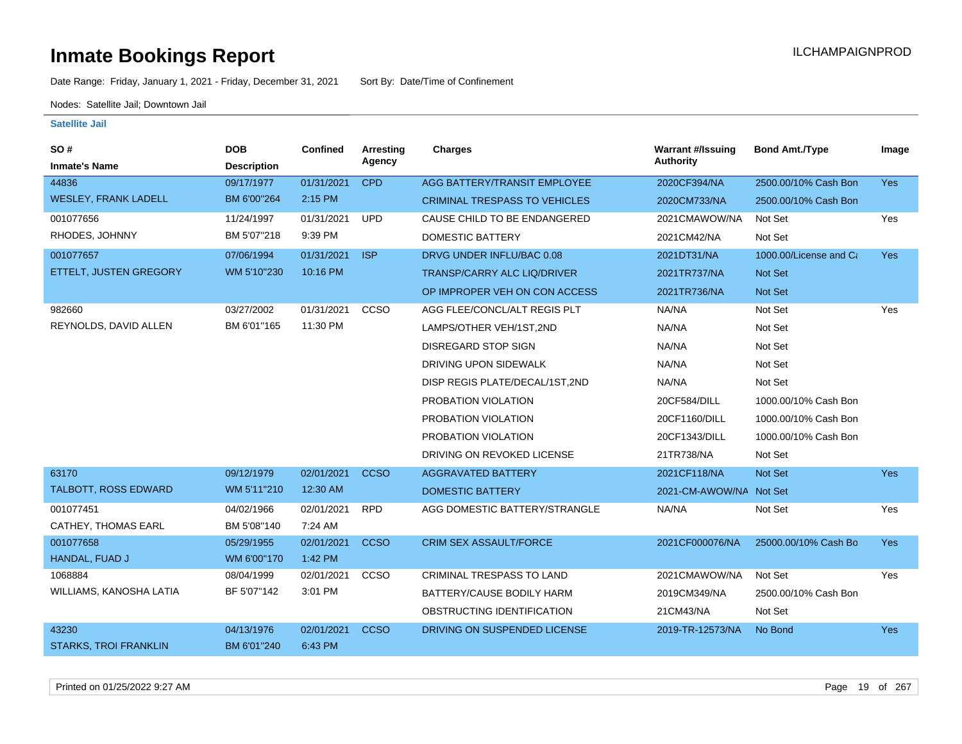Date Range: Friday, January 1, 2021 - Friday, December 31, 2021 Sort By: Date/Time of Confinement

Nodes: Satellite Jail; Downtown Jail

| <b>SO#</b>                   | <b>DOB</b>         | Confined   | Arresting   | <b>Charges</b>                       | <b>Warrant #/Issuing</b> | <b>Bond Amt./Type</b>  | Image      |
|------------------------------|--------------------|------------|-------------|--------------------------------------|--------------------------|------------------------|------------|
| <b>Inmate's Name</b>         | <b>Description</b> |            | Agency      |                                      | <b>Authority</b>         |                        |            |
| 44836                        | 09/17/1977         | 01/31/2021 | <b>CPD</b>  | AGG BATTERY/TRANSIT EMPLOYEE         | 2020CF394/NA             | 2500.00/10% Cash Bon   | <b>Yes</b> |
| <b>WESLEY, FRANK LADELL</b>  | BM 6'00"264        | 2:15 PM    |             | <b>CRIMINAL TRESPASS TO VEHICLES</b> | 2020CM733/NA             | 2500.00/10% Cash Bon   |            |
| 001077656                    | 11/24/1997         | 01/31/2021 | <b>UPD</b>  | CAUSE CHILD TO BE ENDANGERED         | 2021CMAWOW/NA            | Not Set                | Yes        |
| RHODES, JOHNNY               | BM 5'07"218        | 9:39 PM    |             | <b>DOMESTIC BATTERY</b>              | 2021CM42/NA              | Not Set                |            |
| 001077657                    | 07/06/1994         | 01/31/2021 | <b>ISP</b>  | DRVG UNDER INFLU/BAC 0.08            | 2021DT31/NA              | 1000.00/License and Ca | <b>Yes</b> |
| ETTELT, JUSTEN GREGORY       | WM 5'10"230        | 10:16 PM   |             | TRANSP/CARRY ALC LIQ/DRIVER          | 2021TR737/NA             | Not Set                |            |
|                              |                    |            |             | OP IMPROPER VEH ON CON ACCESS        | 2021TR736/NA             | Not Set                |            |
| 982660                       | 03/27/2002         | 01/31/2021 | CCSO        | AGG FLEE/CONCL/ALT REGIS PLT         | NA/NA                    | Not Set                | Yes        |
| REYNOLDS, DAVID ALLEN        | BM 6'01"165        | 11:30 PM   |             | LAMPS/OTHER VEH/1ST,2ND              | NA/NA                    | Not Set                |            |
|                              |                    |            |             | <b>DISREGARD STOP SIGN</b>           | NA/NA                    | Not Set                |            |
|                              |                    |            |             | DRIVING UPON SIDEWALK                | NA/NA                    | Not Set                |            |
|                              |                    |            |             | DISP REGIS PLATE/DECAL/1ST,2ND       | NA/NA                    | Not Set                |            |
|                              |                    |            |             | PROBATION VIOLATION                  | 20CF584/DILL             | 1000.00/10% Cash Bon   |            |
|                              |                    |            |             | PROBATION VIOLATION                  | 20CF1160/DILL            | 1000.00/10% Cash Bon   |            |
|                              |                    |            |             | PROBATION VIOLATION                  | 20CF1343/DILL            | 1000.00/10% Cash Bon   |            |
|                              |                    |            |             | DRIVING ON REVOKED LICENSE           | 21TR738/NA               | Not Set                |            |
| 63170                        | 09/12/1979         | 02/01/2021 | <b>CCSO</b> | <b>AGGRAVATED BATTERY</b>            | 2021CF118/NA             | Not Set                | <b>Yes</b> |
| TALBOTT, ROSS EDWARD         | WM 5'11"210        | 12:30 AM   |             | <b>DOMESTIC BATTERY</b>              | 2021-CM-AWOW/NA Not Set  |                        |            |
| 001077451                    | 04/02/1966         | 02/01/2021 | <b>RPD</b>  | AGG DOMESTIC BATTERY/STRANGLE        | NA/NA                    | Not Set                | Yes        |
| <b>CATHEY, THOMAS EARL</b>   | BM 5'08"140        | 7:24 AM    |             |                                      |                          |                        |            |
| 001077658                    | 05/29/1955         | 02/01/2021 | <b>CCSO</b> | <b>CRIM SEX ASSAULT/FORCE</b>        | 2021CF000076/NA          | 25000.00/10% Cash Bo   | <b>Yes</b> |
| HANDAL, FUAD J               | WM 6'00"170        | 1:42 PM    |             |                                      |                          |                        |            |
| 1068884                      | 08/04/1999         | 02/01/2021 | CCSO        | CRIMINAL TRESPASS TO LAND            | 2021CMAWOW/NA            | Not Set                | Yes        |
| WILLIAMS, KANOSHA LATIA      | BF 5'07"142        | 3:01 PM    |             | BATTERY/CAUSE BODILY HARM            | 2019CM349/NA             | 2500.00/10% Cash Bon   |            |
|                              |                    |            |             | OBSTRUCTING IDENTIFICATION           | 21CM43/NA                | Not Set                |            |
| 43230                        | 04/13/1976         | 02/01/2021 | <b>CCSO</b> | DRIVING ON SUSPENDED LICENSE         | 2019-TR-12573/NA         | No Bond                | <b>Yes</b> |
| <b>STARKS, TROI FRANKLIN</b> | BM 6'01"240        | 6:43 PM    |             |                                      |                          |                        |            |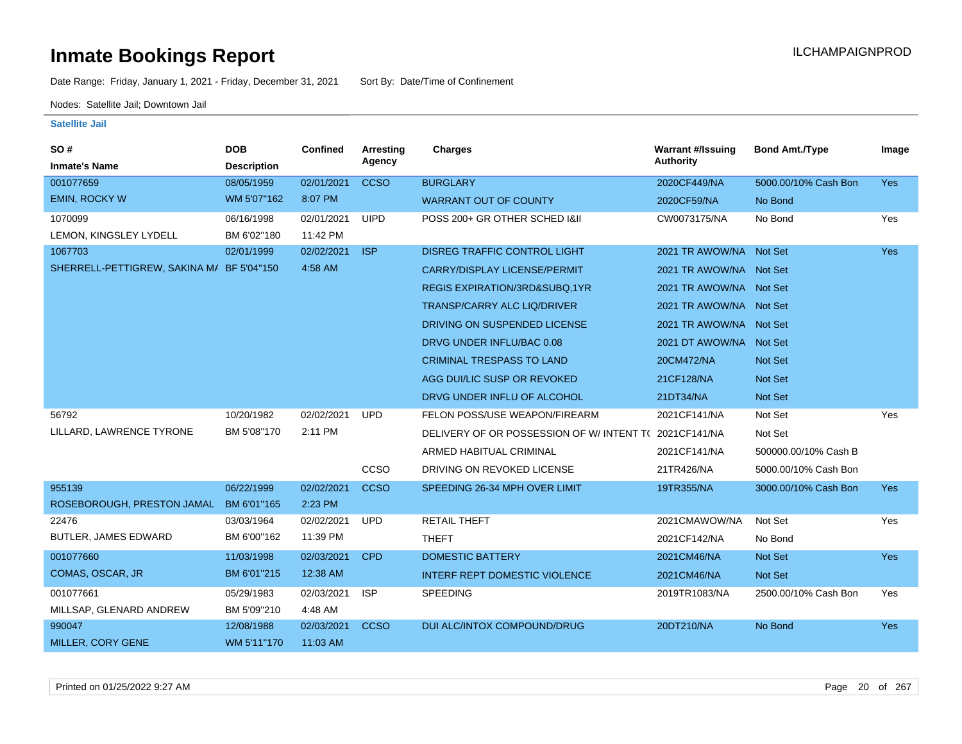Date Range: Friday, January 1, 2021 - Friday, December 31, 2021 Sort By: Date/Time of Confinement

Nodes: Satellite Jail; Downtown Jail

| <b>SO#</b><br><b>Inmate's Name</b>        | <b>DOB</b><br><b>Description</b> | <b>Confined</b> | Arresting<br>Agency | <b>Charges</b>                            | <b>Warrant #/Issuing</b><br><b>Authority</b> | <b>Bond Amt./Type</b> | Image      |
|-------------------------------------------|----------------------------------|-----------------|---------------------|-------------------------------------------|----------------------------------------------|-----------------------|------------|
| 001077659                                 | 08/05/1959                       | 02/01/2021      | <b>CCSO</b>         | <b>BURGLARY</b>                           | 2020CF449/NA                                 | 5000.00/10% Cash Bon  | Yes        |
| <b>EMIN, ROCKY W</b>                      | WM 5'07"162                      | 8:07 PM         |                     | <b>WARRANT OUT OF COUNTY</b>              | 2020CF59/NA                                  | No Bond               |            |
| 1070099                                   | 06/16/1998                       | 02/01/2021      | <b>UIPD</b>         | POSS 200+ GR OTHER SCHED 1&11             | CW0073175/NA                                 | No Bond               | Yes        |
| LEMON, KINGSLEY LYDELL                    | BM 6'02"180                      | 11:42 PM        |                     |                                           |                                              |                       |            |
| 1067703                                   | 02/01/1999                       | 02/02/2021      | <b>ISP</b>          | <b>DISREG TRAFFIC CONTROL LIGHT</b>       | 2021 TR AWOW/NA Not Set                      |                       | Yes        |
| SHERRELL-PETTIGREW, SAKINA M/ BF 5'04"150 |                                  | 4:58 AM         |                     | <b>CARRY/DISPLAY LICENSE/PERMIT</b>       | 2021 TR AWOW/NA Not Set                      |                       |            |
|                                           |                                  |                 |                     | REGIS EXPIRATION/3RD&SUBQ,1YR             | 2021 TR AWOW/NA Not Set                      |                       |            |
|                                           |                                  |                 |                     | <b>TRANSP/CARRY ALC LIQ/DRIVER</b>        | 2021 TR AWOW/NA Not Set                      |                       |            |
|                                           |                                  |                 |                     | DRIVING ON SUSPENDED LICENSE              | 2021 TR AWOW/NA Not Set                      |                       |            |
|                                           |                                  |                 |                     | DRVG UNDER INFLU/BAC 0.08                 | 2021 DT AWOW/NA Not Set                      |                       |            |
|                                           |                                  |                 |                     | <b>CRIMINAL TRESPASS TO LAND</b>          | 20CM472/NA                                   | Not Set               |            |
|                                           |                                  |                 |                     | AGG DUI/LIC SUSP OR REVOKED               | 21CF128/NA                                   | <b>Not Set</b>        |            |
|                                           |                                  |                 |                     | DRVG UNDER INFLU OF ALCOHOL               | 21DT34/NA                                    | Not Set               |            |
| 56792                                     | 10/20/1982                       | 02/02/2021      | <b>UPD</b>          | FELON POSS/USE WEAPON/FIREARM             | 2021CF141/NA                                 | Not Set               | Yes        |
| LILLARD, LAWRENCE TYRONE                  | BM 5'08"170                      | 2:11 PM         |                     | DELIVERY OF OR POSSESSION OF W/ INTENT TO | 2021CF141/NA                                 | Not Set               |            |
|                                           |                                  |                 |                     | ARMED HABITUAL CRIMINAL                   | 2021CF141/NA                                 | 500000.00/10% Cash B  |            |
|                                           |                                  |                 | CCSO                | DRIVING ON REVOKED LICENSE                | 21TR426/NA                                   | 5000.00/10% Cash Bon  |            |
| 955139                                    | 06/22/1999                       | 02/02/2021      | <b>CCSO</b>         | SPEEDING 26-34 MPH OVER LIMIT             | 19TR355/NA                                   | 3000.00/10% Cash Bon  | <b>Yes</b> |
| ROSEBOROUGH, PRESTON JAMAL                | BM 6'01"165                      | 2:23 PM         |                     |                                           |                                              |                       |            |
| 22476                                     | 03/03/1964                       | 02/02/2021      | <b>UPD</b>          | <b>RETAIL THEFT</b>                       | 2021CMAWOW/NA                                | Not Set               | Yes        |
| <b>BUTLER, JAMES EDWARD</b>               | BM 6'00"162                      | 11:39 PM        |                     | <b>THEFT</b>                              | 2021CF142/NA                                 | No Bond               |            |
| 001077660                                 | 11/03/1998                       | 02/03/2021      | <b>CPD</b>          | <b>DOMESTIC BATTERY</b>                   | 2021CM46/NA                                  | Not Set               | <b>Yes</b> |
| COMAS, OSCAR, JR                          | BM 6'01"215                      | 12:38 AM        |                     | <b>INTERF REPT DOMESTIC VIOLENCE</b>      | 2021CM46/NA                                  | Not Set               |            |
| 001077661                                 | 05/29/1983                       | 02/03/2021      | <b>ISP</b>          | <b>SPEEDING</b>                           | 2019TR1083/NA                                | 2500.00/10% Cash Bon  | Yes        |
| MILLSAP, GLENARD ANDREW                   | BM 5'09"210                      | 4:48 AM         |                     |                                           |                                              |                       |            |
| 990047                                    | 12/08/1988                       | 02/03/2021      | <b>CCSO</b>         | DUI ALC/INTOX COMPOUND/DRUG               | 20DT210/NA                                   | No Bond               | Yes        |
| MILLER, CORY GENE                         | WM 5'11"170                      | 11:03 AM        |                     |                                           |                                              |                       |            |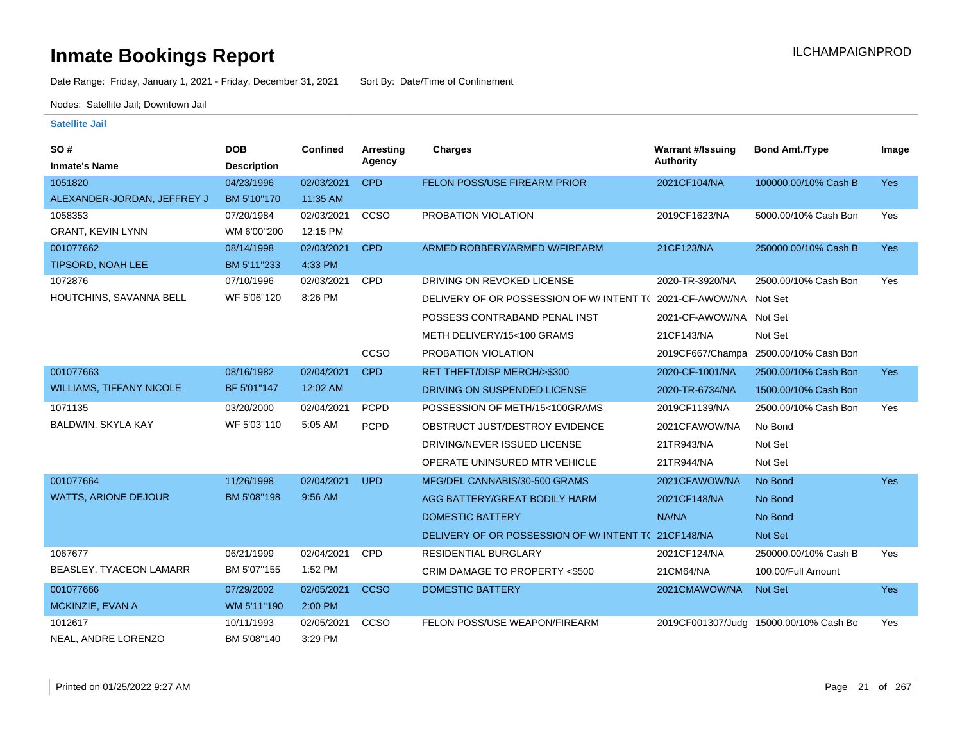Date Range: Friday, January 1, 2021 - Friday, December 31, 2021 Sort By: Date/Time of Confinement

Nodes: Satellite Jail; Downtown Jail

| <b>SO#</b>                      | <b>DOB</b>         | <b>Confined</b> | Arresting   | <b>Charges</b>                                                  | <b>Warrant #/Issuing</b> | <b>Bond Amt./Type</b>                  | Image      |
|---------------------------------|--------------------|-----------------|-------------|-----------------------------------------------------------------|--------------------------|----------------------------------------|------------|
| <b>Inmate's Name</b>            | <b>Description</b> |                 | Agency      |                                                                 | <b>Authority</b>         |                                        |            |
| 1051820                         | 04/23/1996         | 02/03/2021      | <b>CPD</b>  | FELON POSS/USE FIREARM PRIOR                                    | 2021CF104/NA             | 100000.00/10% Cash B                   | <b>Yes</b> |
| ALEXANDER-JORDAN, JEFFREY J     | BM 5'10"170        | 11:35 AM        |             |                                                                 |                          |                                        |            |
| 1058353                         | 07/20/1984         | 02/03/2021      | CCSO        | PROBATION VIOLATION                                             | 2019CF1623/NA            | 5000.00/10% Cash Bon                   | Yes        |
| <b>GRANT, KEVIN LYNN</b>        | WM 6'00"200        | 12:15 PM        |             |                                                                 |                          |                                        |            |
| 001077662                       | 08/14/1998         | 02/03/2021      | <b>CPD</b>  | ARMED ROBBERY/ARMED W/FIREARM                                   | 21CF123/NA               | 250000.00/10% Cash B                   | Yes        |
| <b>TIPSORD, NOAH LEE</b>        | BM 5'11"233        | 4:33 PM         |             |                                                                 |                          |                                        |            |
| 1072876                         | 07/10/1996         | 02/03/2021      | CPD         | DRIVING ON REVOKED LICENSE                                      | 2020-TR-3920/NA          | 2500.00/10% Cash Bon                   | Yes        |
| HOUTCHINS, SAVANNA BELL         | WF 5'06"120        | 8:26 PM         |             | DELIVERY OF OR POSSESSION OF W/INTENT T(2021-CF-AWOW/NA Not Set |                          |                                        |            |
|                                 |                    |                 |             | POSSESS CONTRABAND PENAL INST                                   | 2021-CF-AWOW/NA Not Set  |                                        |            |
|                                 |                    |                 |             | METH DELIVERY/15<100 GRAMS                                      | 21CF143/NA               | Not Set                                |            |
|                                 |                    |                 | CCSO        | PROBATION VIOLATION                                             |                          | 2019CF667/Champa 2500.00/10% Cash Bon  |            |
| 001077663                       | 08/16/1982         | 02/04/2021      | <b>CPD</b>  | RET THEFT/DISP MERCH/>\$300                                     | 2020-CF-1001/NA          | 2500.00/10% Cash Bon                   | <b>Yes</b> |
| <b>WILLIAMS, TIFFANY NICOLE</b> | BF 5'01"147        | 12:02 AM        |             | DRIVING ON SUSPENDED LICENSE                                    | 2020-TR-6734/NA          | 1500.00/10% Cash Bon                   |            |
| 1071135                         | 03/20/2000         | 02/04/2021      | <b>PCPD</b> | POSSESSION OF METH/15<100GRAMS                                  | 2019CF1139/NA            | 2500.00/10% Cash Bon                   | Yes        |
| BALDWIN, SKYLA KAY              | WF 5'03"110        | 5:05 AM         | <b>PCPD</b> | OBSTRUCT JUST/DESTROY EVIDENCE                                  | 2021CFAWOW/NA            | No Bond                                |            |
|                                 |                    |                 |             | DRIVING/NEVER ISSUED LICENSE                                    | 21TR943/NA               | Not Set                                |            |
|                                 |                    |                 |             | OPERATE UNINSURED MTR VEHICLE                                   | 21TR944/NA               | Not Set                                |            |
| 001077664                       | 11/26/1998         | 02/04/2021      | <b>UPD</b>  | MFG/DEL CANNABIS/30-500 GRAMS                                   | 2021CFAWOW/NA            | No Bond                                | Yes        |
| <b>WATTS, ARIONE DEJOUR</b>     | BM 5'08"198        | 9:56 AM         |             | AGG BATTERY/GREAT BODILY HARM                                   | 2021CF148/NA             | No Bond                                |            |
|                                 |                    |                 |             | DOMESTIC BATTERY                                                | NA/NA                    | No Bond                                |            |
|                                 |                    |                 |             | DELIVERY OF OR POSSESSION OF W/INTENT TO                        | 21CF148/NA               | Not Set                                |            |
| 1067677                         | 06/21/1999         | 02/04/2021      | CPD         | <b>RESIDENTIAL BURGLARY</b>                                     | 2021CF124/NA             | 250000.00/10% Cash B                   | Yes        |
| <b>BEASLEY, TYACEON LAMARR</b>  | BM 5'07"155        | 1:52 PM         |             | CRIM DAMAGE TO PROPERTY <\$500                                  | 21CM64/NA                | 100.00/Full Amount                     |            |
| 001077666                       | 07/29/2002         | 02/05/2021      | <b>CCSO</b> | <b>DOMESTIC BATTERY</b>                                         | 2021CMAWOW/NA            | Not Set                                | Yes        |
| MCKINZIE, EVAN A                | WM 5'11"190        | 2:00 PM         |             |                                                                 |                          |                                        |            |
| 1012617                         | 10/11/1993         | 02/05/2021      | <b>CCSO</b> | FELON POSS/USE WEAPON/FIREARM                                   |                          | 2019CF001307/Judg 15000.00/10% Cash Bo | Yes        |
| NEAL, ANDRE LORENZO             | BM 5'08"140        | 3:29 PM         |             |                                                                 |                          |                                        |            |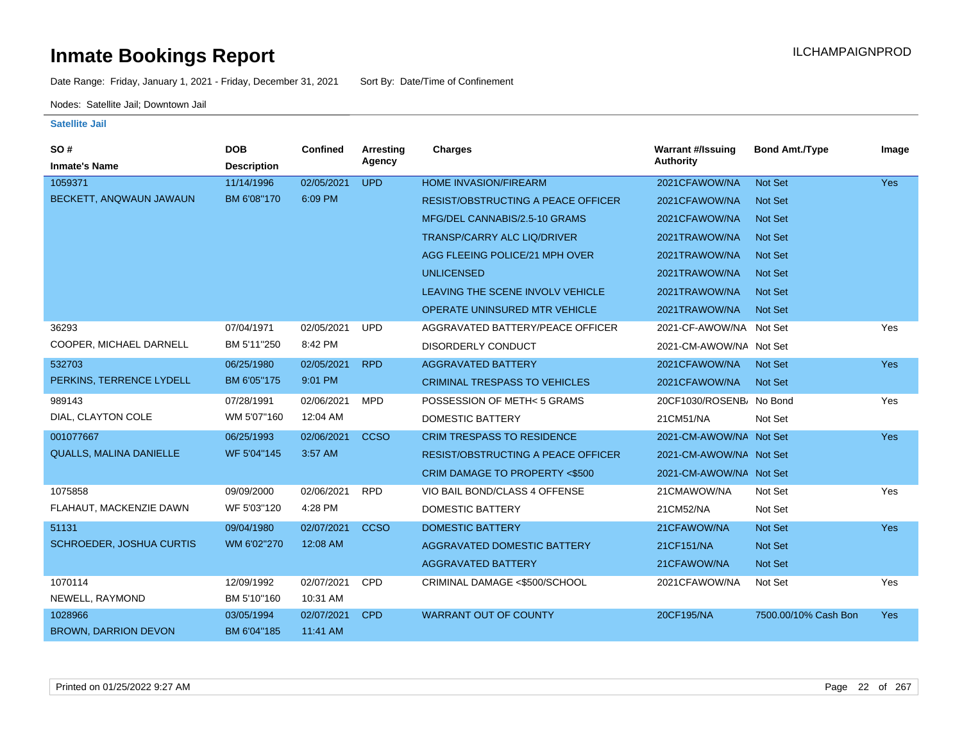Date Range: Friday, January 1, 2021 - Friday, December 31, 2021 Sort By: Date/Time of Confinement

Nodes: Satellite Jail; Downtown Jail

| SO#                            | <b>DOB</b>         | <b>Confined</b> | Arresting   | <b>Charges</b>                            | <b>Warrant #/Issuing</b> | <b>Bond Amt./Type</b> | Image      |
|--------------------------------|--------------------|-----------------|-------------|-------------------------------------------|--------------------------|-----------------------|------------|
| <b>Inmate's Name</b>           | <b>Description</b> |                 | Agency      |                                           | <b>Authority</b>         |                       |            |
| 1059371                        | 11/14/1996         | 02/05/2021      | <b>UPD</b>  | <b>HOME INVASION/FIREARM</b>              | 2021CFAWOW/NA            | Not Set               | <b>Yes</b> |
| BECKETT, ANQWAUN JAWAUN        | BM 6'08"170        | 6:09 PM         |             | <b>RESIST/OBSTRUCTING A PEACE OFFICER</b> | 2021CFAWOW/NA            | Not Set               |            |
|                                |                    |                 |             | MFG/DEL CANNABIS/2.5-10 GRAMS             | 2021CFAWOW/NA            | Not Set               |            |
|                                |                    |                 |             | <b>TRANSP/CARRY ALC LIQ/DRIVER</b>        | 2021TRAWOW/NA            | Not Set               |            |
|                                |                    |                 |             | AGG FLEEING POLICE/21 MPH OVER            | 2021TRAWOW/NA            | Not Set               |            |
|                                |                    |                 |             | <b>UNLICENSED</b>                         | 2021TRAWOW/NA            | Not Set               |            |
|                                |                    |                 |             | LEAVING THE SCENE INVOLV VEHICLE          | 2021TRAWOW/NA            | Not Set               |            |
|                                |                    |                 |             | <b>OPERATE UNINSURED MTR VEHICLE</b>      | 2021TRAWOW/NA            | Not Set               |            |
| 36293                          | 07/04/1971         | 02/05/2021      | <b>UPD</b>  | AGGRAVATED BATTERY/PEACE OFFICER          | 2021-CF-AWOW/NA Not Set  |                       | Yes        |
| COOPER, MICHAEL DARNELL        | BM 5'11"250        | 8:42 PM         |             | <b>DISORDERLY CONDUCT</b>                 | 2021-CM-AWOW/NA Not Set  |                       |            |
| 532703                         | 06/25/1980         | 02/05/2021      | <b>RPD</b>  | <b>AGGRAVATED BATTERY</b>                 | 2021CFAWOW/NA            | Not Set               | <b>Yes</b> |
| PERKINS, TERRENCE LYDELL       | BM 6'05"175        | 9:01 PM         |             | <b>CRIMINAL TRESPASS TO VEHICLES</b>      | 2021CFAWOW/NA            | <b>Not Set</b>        |            |
| 989143                         | 07/28/1991         | 02/06/2021      | <b>MPD</b>  | POSSESSION OF METH<5 GRAMS                | 20CF1030/ROSENB/ No Bond |                       | Yes        |
| DIAL, CLAYTON COLE             | WM 5'07"160        | 12:04 AM        |             | DOMESTIC BATTERY                          | 21CM51/NA                | Not Set               |            |
| 001077667                      | 06/25/1993         | 02/06/2021      | <b>CCSO</b> | <b>CRIM TRESPASS TO RESIDENCE</b>         | 2021-CM-AWOW/NA Not Set  |                       | Yes        |
| <b>QUALLS, MALINA DANIELLE</b> | WF 5'04"145        | 3:57 AM         |             | <b>RESIST/OBSTRUCTING A PEACE OFFICER</b> | 2021-CM-AWOW/NA Not Set  |                       |            |
|                                |                    |                 |             | CRIM DAMAGE TO PROPERTY <\$500            | 2021-CM-AWOW/NA Not Set  |                       |            |
| 1075858                        | 09/09/2000         | 02/06/2021      | <b>RPD</b>  | VIO BAIL BOND/CLASS 4 OFFENSE             | 21CMAWOW/NA              | Not Set               | Yes        |
| FLAHAUT, MACKENZIE DAWN        | WF 5'03"120        | 4:28 PM         |             | DOMESTIC BATTERY                          | 21CM52/NA                | Not Set               |            |
| 51131                          | 09/04/1980         | 02/07/2021      | <b>CCSO</b> | <b>DOMESTIC BATTERY</b>                   | 21CFAWOW/NA              | Not Set               | <b>Yes</b> |
| SCHROEDER, JOSHUA CURTIS       | WM 6'02"270        | 12:08 AM        |             | <b>AGGRAVATED DOMESTIC BATTERY</b>        | 21CF151/NA               | Not Set               |            |
|                                |                    |                 |             | <b>AGGRAVATED BATTERY</b>                 | 21CFAWOW/NA              | Not Set               |            |
| 1070114                        | 12/09/1992         | 02/07/2021      | <b>CPD</b>  | CRIMINAL DAMAGE <\$500/SCHOOL             | 2021CFAWOW/NA            | Not Set               | Yes        |
| NEWELL, RAYMOND                | BM 5'10"160        | 10:31 AM        |             |                                           |                          |                       |            |
| 1028966                        | 03/05/1994         | 02/07/2021      | <b>CPD</b>  | <b>WARRANT OUT OF COUNTY</b>              | 20CF195/NA               | 7500.00/10% Cash Bon  | <b>Yes</b> |
| <b>BROWN, DARRION DEVON</b>    | BM 6'04"185        | 11:41 AM        |             |                                           |                          |                       |            |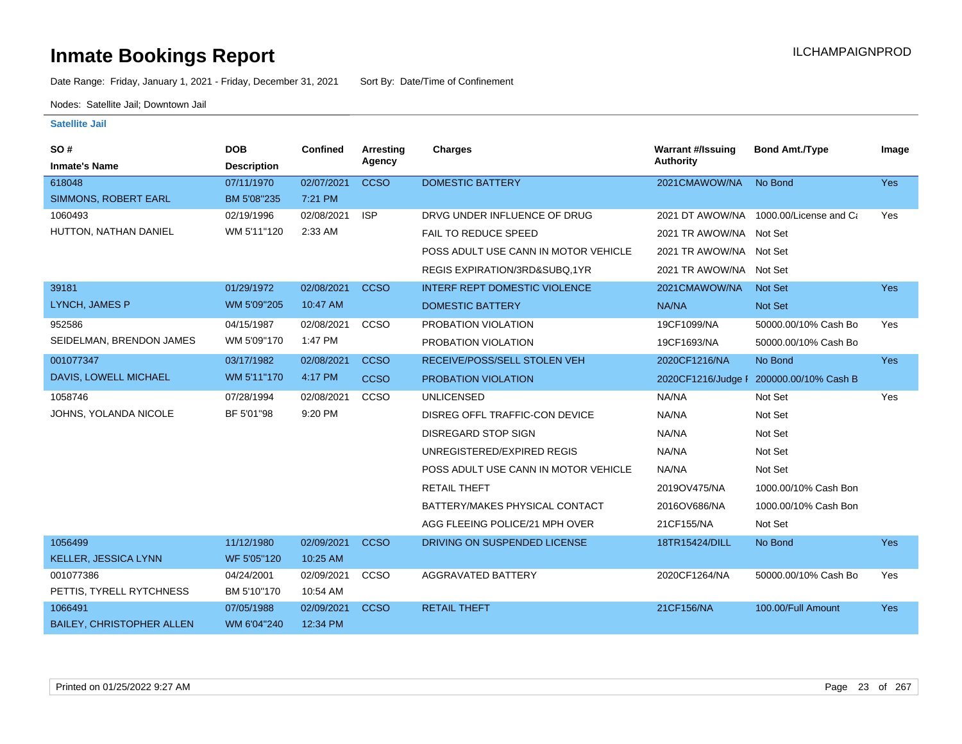Date Range: Friday, January 1, 2021 - Friday, December 31, 2021 Sort By: Date/Time of Confinement

Nodes: Satellite Jail; Downtown Jail

| SO#<br><b>Inmate's Name</b>      | <b>DOB</b><br><b>Description</b> | Confined   | Arresting<br>Agency | <b>Charges</b>                       | <b>Warrant #/Issuing</b><br><b>Authority</b> | <b>Bond Amt./Type</b>                  | Image      |
|----------------------------------|----------------------------------|------------|---------------------|--------------------------------------|----------------------------------------------|----------------------------------------|------------|
| 618048                           | 07/11/1970                       | 02/07/2021 | <b>CCSO</b>         | <b>DOMESTIC BATTERY</b>              | 2021CMAWOW/NA                                | No Bond                                | Yes        |
| <b>SIMMONS, ROBERT EARL</b>      | BM 5'08"235                      | 7:21 PM    |                     |                                      |                                              |                                        |            |
| 1060493                          | 02/19/1996                       | 02/08/2021 | <b>ISP</b>          | DRVG UNDER INFLUENCE OF DRUG         |                                              | 2021 DT AWOW/NA 1000.00/License and Ca | Yes        |
| HUTTON, NATHAN DANIEL            | WM 5'11"120                      | 2:33 AM    |                     | <b>FAIL TO REDUCE SPEED</b>          | 2021 TR AWOW/NA Not Set                      |                                        |            |
|                                  |                                  |            |                     | POSS ADULT USE CANN IN MOTOR VEHICLE | 2021 TR AWOW/NA Not Set                      |                                        |            |
|                                  |                                  |            |                     | REGIS EXPIRATION/3RD&SUBQ.1YR        | 2021 TR AWOW/NA Not Set                      |                                        |            |
| 39181                            | 01/29/1972                       | 02/08/2021 | <b>CCSO</b>         | <b>INTERF REPT DOMESTIC VIOLENCE</b> | 2021CMAWOW/NA                                | <b>Not Set</b>                         | Yes        |
| LYNCH, JAMES P                   | WM 5'09"205                      | 10:47 AM   |                     | <b>DOMESTIC BATTERY</b>              | NA/NA                                        | Not Set                                |            |
| 952586                           | 04/15/1987                       | 02/08/2021 | CCSO                | PROBATION VIOLATION                  | 19CF1099/NA                                  | 50000.00/10% Cash Bo                   | Yes        |
| SEIDELMAN, BRENDON JAMES         | WM 5'09"170                      | 1:47 PM    |                     | PROBATION VIOLATION                  | 19CF1693/NA                                  | 50000.00/10% Cash Bo                   |            |
| 001077347                        | 03/17/1982                       | 02/08/2021 | <b>CCSO</b>         | RECEIVE/POSS/SELL STOLEN VEH         | 2020CF1216/NA                                | No Bond                                | <b>Yes</b> |
| DAVIS, LOWELL MICHAEL            | WM 5'11"170                      | 4:17 PM    | <b>CCSO</b>         | PROBATION VIOLATION                  | 2020CF1216/Judge F                           | 200000.00/10% Cash B                   |            |
| 1058746                          | 07/28/1994                       | 02/08/2021 | CCSO                | <b>UNLICENSED</b>                    | NA/NA                                        | Not Set                                | Yes        |
| JOHNS, YOLANDA NICOLE            | BF 5'01"98                       | 9:20 PM    |                     | DISREG OFFL TRAFFIC-CON DEVICE       | NA/NA                                        | Not Set                                |            |
|                                  |                                  |            |                     | <b>DISREGARD STOP SIGN</b>           | NA/NA                                        | Not Set                                |            |
|                                  |                                  |            |                     | UNREGISTERED/EXPIRED REGIS           | NA/NA                                        | Not Set                                |            |
|                                  |                                  |            |                     | POSS ADULT USE CANN IN MOTOR VEHICLE | NA/NA                                        | Not Set                                |            |
|                                  |                                  |            |                     | <b>RETAIL THEFT</b>                  | 2019OV475/NA                                 | 1000.00/10% Cash Bon                   |            |
|                                  |                                  |            |                     | BATTERY/MAKES PHYSICAL CONTACT       | 2016OV686/NA                                 | 1000.00/10% Cash Bon                   |            |
|                                  |                                  |            |                     | AGG FLEEING POLICE/21 MPH OVER       | 21CF155/NA                                   | Not Set                                |            |
| 1056499                          | 11/12/1980                       | 02/09/2021 | <b>CCSO</b>         | DRIVING ON SUSPENDED LICENSE         | 18TR15424/DILL                               | No Bond                                | <b>Yes</b> |
| <b>KELLER, JESSICA LYNN</b>      | WF 5'05"120                      | 10:25 AM   |                     |                                      |                                              |                                        |            |
| 001077386                        | 04/24/2001                       | 02/09/2021 | CCSO                | <b>AGGRAVATED BATTERY</b>            | 2020CF1264/NA                                | 50000.00/10% Cash Bo                   | Yes        |
| PETTIS, TYRELL RYTCHNESS         | BM 5'10"170                      | 10:54 AM   |                     |                                      |                                              |                                        |            |
| 1066491                          | 07/05/1988                       | 02/09/2021 | <b>CCSO</b>         | <b>RETAIL THEFT</b>                  | 21CF156/NA                                   | 100.00/Full Amount                     | Yes        |
| <b>BAILEY, CHRISTOPHER ALLEN</b> | WM 6'04"240                      | 12:34 PM   |                     |                                      |                                              |                                        |            |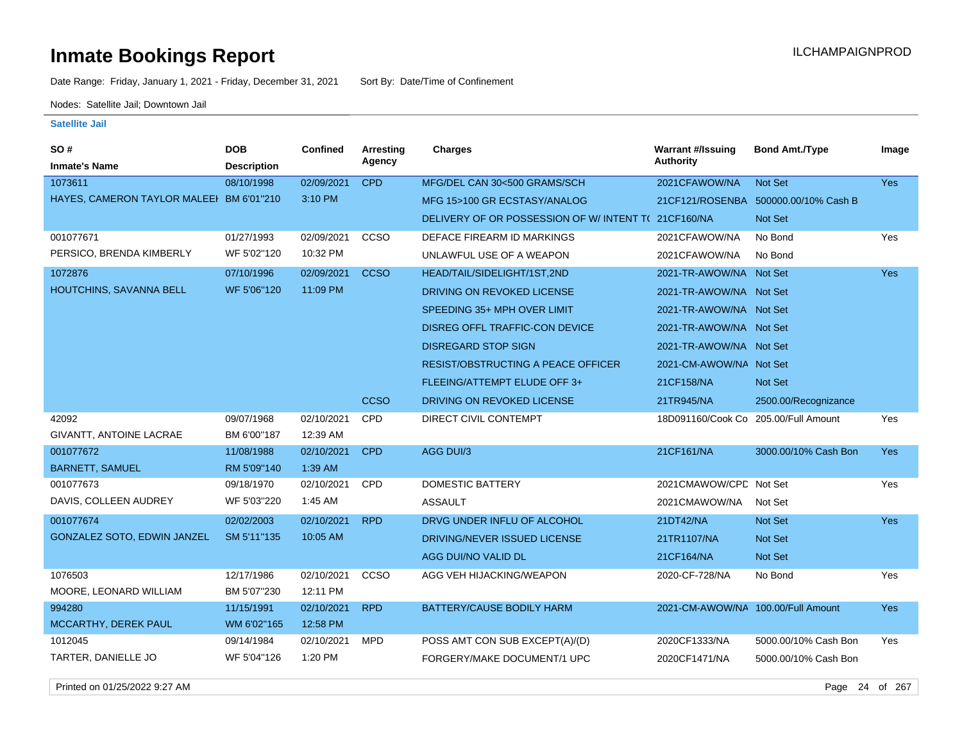Date Range: Friday, January 1, 2021 - Friday, December 31, 2021 Sort By: Date/Time of Confinement

Nodes: Satellite Jail; Downtown Jail

### **Satellite Jail**

| SO#                                      | <b>DOB</b>         | Confined   | Arresting   | <b>Charges</b>                                     | <b>Warrant #/Issuing</b>             | <b>Bond Amt./Type</b>                | Image      |
|------------------------------------------|--------------------|------------|-------------|----------------------------------------------------|--------------------------------------|--------------------------------------|------------|
| <b>Inmate's Name</b>                     | <b>Description</b> |            | Agency      |                                                    | <b>Authority</b>                     |                                      |            |
| 1073611                                  | 08/10/1998         | 02/09/2021 | <b>CPD</b>  | MFG/DEL CAN 30<500 GRAMS/SCH                       | 2021CFAWOW/NA                        | <b>Not Set</b>                       | Yes        |
| HAYES, CAMERON TAYLOR MALEEI BM 6'01"210 |                    | 3:10 PM    |             | MFG 15>100 GR ECSTASY/ANALOG                       |                                      | 21CF121/ROSENBA 500000.00/10% Cash B |            |
|                                          |                    |            |             | DELIVERY OF OR POSSESSION OF W/INTENT T(21CF160/NA |                                      | <b>Not Set</b>                       |            |
| 001077671                                | 01/27/1993         | 02/09/2021 | CCSO        | DEFACE FIREARM ID MARKINGS                         | 2021CFAWOW/NA                        | No Bond                              | Yes        |
| PERSICO, BRENDA KIMBERLY                 | WF 5'02"120        | 10:32 PM   |             | UNLAWFUL USE OF A WEAPON                           | 2021CFAWOW/NA                        | No Bond                              |            |
| 1072876                                  | 07/10/1996         | 02/09/2021 | <b>CCSO</b> | HEAD/TAIL/SIDELIGHT/1ST,2ND                        | 2021-TR-AWOW/NA Not Set              |                                      | <b>Yes</b> |
| HOUTCHINS, SAVANNA BELL                  | WF 5'06"120        | 11:09 PM   |             | DRIVING ON REVOKED LICENSE                         | 2021-TR-AWOW/NA Not Set              |                                      |            |
|                                          |                    |            |             | SPEEDING 35+ MPH OVER LIMIT                        | 2021-TR-AWOW/NA Not Set              |                                      |            |
|                                          |                    |            |             | DISREG OFFL TRAFFIC-CON DEVICE                     | 2021-TR-AWOW/NA Not Set              |                                      |            |
|                                          |                    |            |             | <b>DISREGARD STOP SIGN</b>                         | 2021-TR-AWOW/NA Not Set              |                                      |            |
|                                          |                    |            |             | <b>RESIST/OBSTRUCTING A PEACE OFFICER</b>          | 2021-CM-AWOW/NA Not Set              |                                      |            |
|                                          |                    |            |             | FLEEING/ATTEMPT ELUDE OFF 3+                       | 21CF158/NA                           | <b>Not Set</b>                       |            |
|                                          |                    |            | <b>CCSO</b> | DRIVING ON REVOKED LICENSE                         | 21TR945/NA                           | 2500.00/Recognizance                 |            |
| 42092                                    | 09/07/1968         | 02/10/2021 | CPD         | DIRECT CIVIL CONTEMPT                              | 18D091160/Cook Co 205.00/Full Amount |                                      | Yes        |
| GIVANTT, ANTOINE LACRAE                  | BM 6'00"187        | 12:39 AM   |             |                                                    |                                      |                                      |            |
| 001077672                                | 11/08/1988         | 02/10/2021 | <b>CPD</b>  | AGG DUI/3                                          | 21CF161/NA                           | 3000.00/10% Cash Bon                 | <b>Yes</b> |
| <b>BARNETT, SAMUEL</b>                   | RM 5'09"140        | 1:39 AM    |             |                                                    |                                      |                                      |            |
| 001077673                                | 09/18/1970         | 02/10/2021 | CPD         | <b>DOMESTIC BATTERY</b>                            | 2021CMAWOW/CPD Not Set               |                                      | Yes        |
| DAVIS, COLLEEN AUDREY                    | WF 5'03"220        | 1:45 AM    |             | <b>ASSAULT</b>                                     | 2021CMAWOW/NA                        | Not Set                              |            |
| 001077674                                | 02/02/2003         | 02/10/2021 | <b>RPD</b>  | DRVG UNDER INFLU OF ALCOHOL                        | 21DT42/NA                            | Not Set                              | <b>Yes</b> |
| GONZALEZ SOTO, EDWIN JANZEL              | SM 5'11"135        | 10:05 AM   |             | DRIVING/NEVER ISSUED LICENSE                       | 21TR1107/NA                          | Not Set                              |            |
|                                          |                    |            |             | AGG DUI/NO VALID DL                                | 21CF164/NA                           | <b>Not Set</b>                       |            |
| 1076503                                  | 12/17/1986         | 02/10/2021 | CCSO        | AGG VEH HIJACKING/WEAPON                           | 2020-CF-728/NA                       | No Bond                              | Yes        |
| MOORE, LEONARD WILLIAM                   | BM 5'07"230        | 12:11 PM   |             |                                                    |                                      |                                      |            |
| 994280                                   | 11/15/1991         | 02/10/2021 | <b>RPD</b>  | BATTERY/CAUSE BODILY HARM                          | 2021-CM-AWOW/NA 100.00/Full Amount   |                                      | Yes        |
| MCCARTHY, DEREK PAUL                     | WM 6'02"165        | 12:58 PM   |             |                                                    |                                      |                                      |            |
| 1012045                                  | 09/14/1984         | 02/10/2021 | MPD         | POSS AMT CON SUB EXCEPT(A)/(D)                     | 2020CF1333/NA                        | 5000.00/10% Cash Bon                 | Yes        |
| TARTER, DANIELLE JO                      | WF 5'04"126        | 1:20 PM    |             | FORGERY/MAKE DOCUMENT/1 UPC                        | 2020CF1471/NA                        | 5000.00/10% Cash Bon                 |            |

Printed on 01/25/2022 9:27 AM Page 24 of 267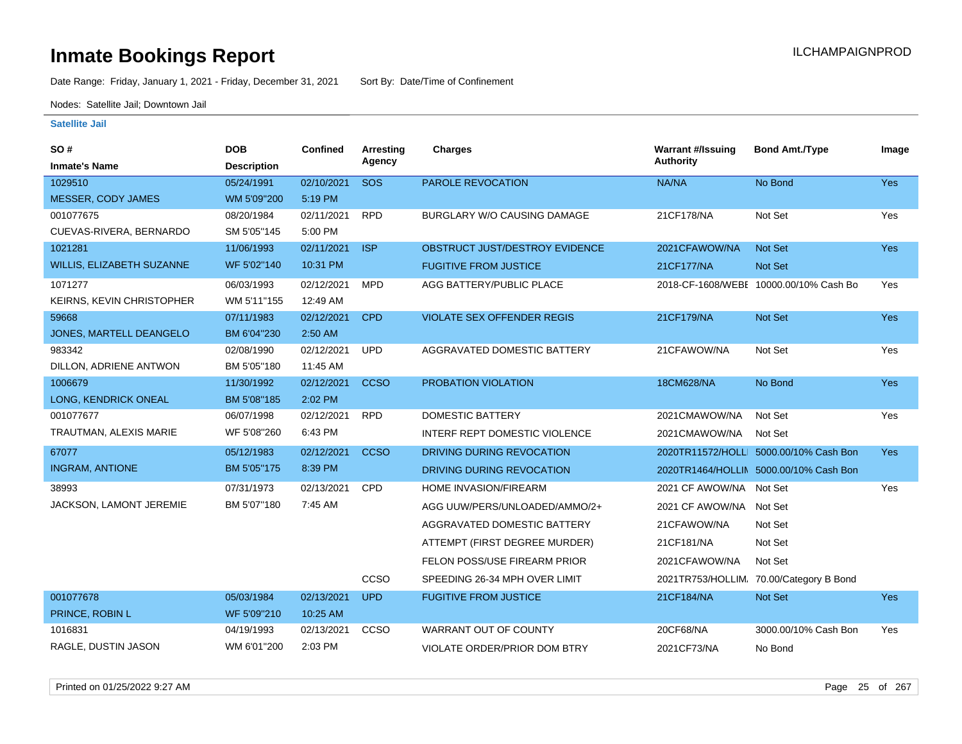Date Range: Friday, January 1, 2021 - Friday, December 31, 2021 Sort By: Date/Time of Confinement

Nodes: Satellite Jail; Downtown Jail

| <b>SO#</b><br><b>Inmate's Name</b> | <b>DOB</b><br><b>Description</b> | <b>Confined</b> | Arresting<br>Agency | Charges                             | <b>Warrant #/Issuing</b><br><b>Authority</b> | <b>Bond Amt./Type</b>                   | Image      |
|------------------------------------|----------------------------------|-----------------|---------------------|-------------------------------------|----------------------------------------------|-----------------------------------------|------------|
| 1029510                            | 05/24/1991                       | 02/10/2021      | <b>SOS</b>          | PAROLE REVOCATION                   | NA/NA                                        | No Bond                                 | Yes        |
| MESSER, CODY JAMES                 | WM 5'09"200                      | 5:19 PM         |                     |                                     |                                              |                                         |            |
| 001077675                          | 08/20/1984                       | 02/11/2021      | <b>RPD</b>          | BURGLARY W/O CAUSING DAMAGE         | 21CF178/NA                                   | Not Set                                 | Yes        |
| CUEVAS-RIVERA, BERNARDO            | SM 5'05"145                      | 5:00 PM         |                     |                                     |                                              |                                         |            |
| 1021281                            | 11/06/1993                       | 02/11/2021      | <b>ISP</b>          | OBSTRUCT JUST/DESTROY EVIDENCE      | 2021CFAWOW/NA                                | Not Set                                 | Yes        |
| WILLIS, ELIZABETH SUZANNE          | WF 5'02"140                      | 10:31 PM        |                     | <b>FUGITIVE FROM JUSTICE</b>        | 21CF177/NA                                   | Not Set                                 |            |
| 1071277                            | 06/03/1993                       | 02/12/2021      | <b>MPD</b>          | AGG BATTERY/PUBLIC PLACE            |                                              | 2018-CF-1608/WEBE 10000.00/10% Cash Bo  | Yes        |
| KEIRNS, KEVIN CHRISTOPHER          | WM 5'11"155                      | 12:49 AM        |                     |                                     |                                              |                                         |            |
| 59668                              | 07/11/1983                       | 02/12/2021      | <b>CPD</b>          | <b>VIOLATE SEX OFFENDER REGIS</b>   | 21CF179/NA                                   | Not Set                                 | Yes        |
| JONES, MARTELL DEANGELO            | BM 6'04"230                      | 2:50 AM         |                     |                                     |                                              |                                         |            |
| 983342                             | 02/08/1990                       | 02/12/2021      | <b>UPD</b>          | AGGRAVATED DOMESTIC BATTERY         | 21CFAWOW/NA                                  | Not Set                                 | Yes        |
| DILLON, ADRIENE ANTWON             | BM 5'05"180                      | 11:45 AM        |                     |                                     |                                              |                                         |            |
| 1006679                            | 11/30/1992                       | 02/12/2021      | <b>CCSO</b>         | PROBATION VIOLATION                 | 18CM628/NA                                   | No Bond                                 | Yes        |
| LONG, KENDRICK ONEAL               | BM 5'08"185                      | 2:02 PM         |                     |                                     |                                              |                                         |            |
| 001077677                          | 06/07/1998                       | 02/12/2021      | <b>RPD</b>          | <b>DOMESTIC BATTERY</b>             | 2021CMAWOW/NA                                | Not Set                                 | Yes        |
| TRAUTMAN, ALEXIS MARIE             | WF 5'08"260                      | 6:43 PM         |                     | INTERF REPT DOMESTIC VIOLENCE       | 2021CMAWOW/NA                                | Not Set                                 |            |
| 67077                              | 05/12/1983                       | 02/12/2021      | <b>CCSO</b>         | DRIVING DURING REVOCATION           |                                              | 2020TR11572/HOLLI 5000.00/10% Cash Bon  | Yes        |
| <b>INGRAM, ANTIONE</b>             | BM 5'05"175                      | 8:39 PM         |                     | DRIVING DURING REVOCATION           |                                              | 2020TR1464/HOLLIN 5000.00/10% Cash Bon  |            |
| 38993                              | 07/31/1973                       | 02/13/2021      | CPD                 | HOME INVASION/FIREARM               | 2021 CF AWOW/NA Not Set                      |                                         | Yes        |
| JACKSON, LAMONT JEREMIE            | BM 5'07"180                      | 7:45 AM         |                     | AGG UUW/PERS/UNLOADED/AMMO/2+       | 2021 CF AWOW/NA Not Set                      |                                         |            |
|                                    |                                  |                 |                     | AGGRAVATED DOMESTIC BATTERY         | 21CFAWOW/NA                                  | Not Set                                 |            |
|                                    |                                  |                 |                     | ATTEMPT (FIRST DEGREE MURDER)       | 21CF181/NA                                   | Not Set                                 |            |
|                                    |                                  |                 |                     | FELON POSS/USE FIREARM PRIOR        | 2021CFAWOW/NA                                | Not Set                                 |            |
|                                    |                                  |                 | CCSO                | SPEEDING 26-34 MPH OVER LIMIT       |                                              | 2021TR753/HOLLIM, 70.00/Category B Bond |            |
| 001077678                          | 05/03/1984                       | 02/13/2021      | <b>UPD</b>          | <b>FUGITIVE FROM JUSTICE</b>        | 21CF184/NA                                   | Not Set                                 | <b>Yes</b> |
| PRINCE, ROBIN L                    | WF 5'09"210                      | 10:25 AM        |                     |                                     |                                              |                                         |            |
| 1016831                            | 04/19/1993                       | 02/13/2021      | CCSO                | <b>WARRANT OUT OF COUNTY</b>        | 20CF68/NA                                    | 3000.00/10% Cash Bon                    | Yes        |
| RAGLE, DUSTIN JASON                | WM 6'01"200                      | 2:03 PM         |                     | <b>VIOLATE ORDER/PRIOR DOM BTRY</b> | 2021CF73/NA                                  | No Bond                                 |            |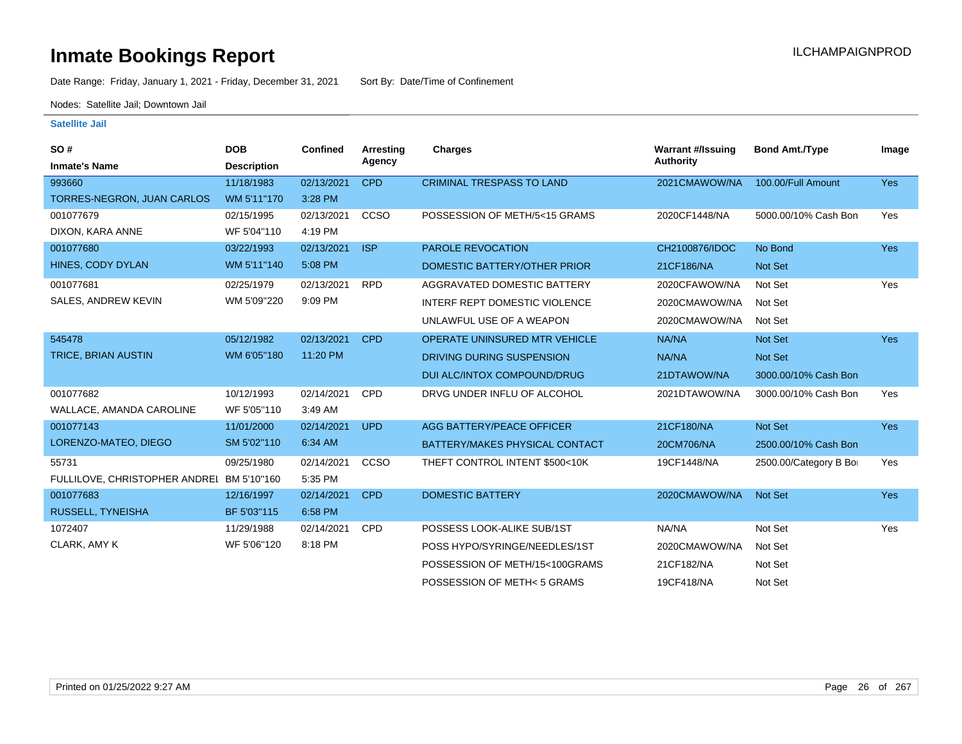# **Inmate Bookings Report Institute Bookings Report ILCHAMPAIGNPROD**

Date Range: Friday, January 1, 2021 - Friday, December 31, 2021 Sort By: Date/Time of Confinement

Nodes: Satellite Jail; Downtown Jail

| <b>SO#</b><br><b>Inmate's Name</b>        | <b>DOB</b><br><b>Description</b> | <b>Confined</b> | <b>Arresting</b><br>Agency | <b>Charges</b>                       | <b>Warrant #/Issuing</b><br><b>Authority</b> | <b>Bond Amt./Type</b> | Image      |
|-------------------------------------------|----------------------------------|-----------------|----------------------------|--------------------------------------|----------------------------------------------|-----------------------|------------|
| 993660                                    | 11/18/1983                       | 02/13/2021      | <b>CPD</b>                 | <b>CRIMINAL TRESPASS TO LAND</b>     | 2021CMAWOW/NA                                | 100.00/Full Amount    | <b>Yes</b> |
| TORRES-NEGRON, JUAN CARLOS                | WM 5'11"170                      | 3:28 PM         |                            |                                      |                                              |                       |            |
| 001077679                                 | 02/15/1995                       | 02/13/2021      | CCSO                       | POSSESSION OF METH/5<15 GRAMS        | 2020CF1448/NA                                | 5000.00/10% Cash Bon  | Yes        |
| DIXON, KARA ANNE                          | WF 5'04"110                      | 4:19 PM         |                            |                                      |                                              |                       |            |
| 001077680                                 | 03/22/1993                       | 02/13/2021      | <b>ISP</b>                 | <b>PAROLE REVOCATION</b>             | CH2100876/IDOC                               | No Bond               | <b>Yes</b> |
| HINES, CODY DYLAN                         | WM 5'11"140                      | 5:08 PM         |                            | DOMESTIC BATTERY/OTHER PRIOR         | 21CF186/NA                                   | <b>Not Set</b>        |            |
| 001077681                                 | 02/25/1979                       | 02/13/2021      | <b>RPD</b>                 | AGGRAVATED DOMESTIC BATTERY          | 2020CFAWOW/NA                                | Not Set               | Yes        |
| SALES, ANDREW KEVIN                       | WM 5'09"220                      | 9:09 PM         |                            | <b>INTERF REPT DOMESTIC VIOLENCE</b> | 2020CMAWOW/NA                                | Not Set               |            |
|                                           |                                  |                 |                            | UNLAWFUL USE OF A WEAPON             | 2020CMAWOW/NA                                | Not Set               |            |
| 545478                                    | 05/12/1982                       | 02/13/2021      | <b>CPD</b>                 | <b>OPERATE UNINSURED MTR VEHICLE</b> | NA/NA                                        | <b>Not Set</b>        | <b>Yes</b> |
| <b>TRICE, BRIAN AUSTIN</b>                | WM 6'05"180                      | 11:20 PM        |                            | DRIVING DURING SUSPENSION            | NA/NA                                        | Not Set               |            |
|                                           |                                  |                 |                            | DUI ALC/INTOX COMPOUND/DRUG          | 21DTAWOW/NA                                  | 3000.00/10% Cash Bon  |            |
| 001077682                                 | 10/12/1993                       | 02/14/2021      | CPD                        | DRVG UNDER INFLU OF ALCOHOL          | 2021DTAWOW/NA                                | 3000.00/10% Cash Bon  | Yes        |
| WALLACE, AMANDA CAROLINE                  | WF 5'05"110                      | 3:49 AM         |                            |                                      |                                              |                       |            |
| 001077143                                 | 11/01/2000                       | 02/14/2021      | <b>UPD</b>                 | <b>AGG BATTERY/PEACE OFFICER</b>     | 21CF180/NA                                   | Not Set               | <b>Yes</b> |
| LORENZO-MATEO, DIEGO                      | SM 5'02"110                      | 6:34 AM         |                            | BATTERY/MAKES PHYSICAL CONTACT       | 20CM706/NA                                   | 2500.00/10% Cash Bon  |            |
| 55731                                     | 09/25/1980                       | 02/14/2021      | CCSO                       | THEFT CONTROL INTENT \$500<10K       | 19CF1448/NA                                  | 2500.00/Category B Bo | Yes        |
| FULLILOVE, CHRISTOPHER ANDREI BM 5'10"160 |                                  | 5:35 PM         |                            |                                      |                                              |                       |            |
| 001077683                                 | 12/16/1997                       | 02/14/2021      | <b>CPD</b>                 | <b>DOMESTIC BATTERY</b>              | 2020CMAWOW/NA                                | Not Set               | <b>Yes</b> |
| RUSSELL, TYNEISHA                         | BF 5'03"115                      | 6:58 PM         |                            |                                      |                                              |                       |            |
| 1072407                                   | 11/29/1988                       | 02/14/2021      | <b>CPD</b>                 | POSSESS LOOK-ALIKE SUB/1ST           | NA/NA                                        | Not Set               | Yes        |
| CLARK, AMY K                              | WF 5'06"120                      | 8:18 PM         |                            | POSS HYPO/SYRINGE/NEEDLES/1ST        | 2020CMAWOW/NA                                | Not Set               |            |
|                                           |                                  |                 |                            | POSSESSION OF METH/15<100GRAMS       | 21CF182/NA                                   | Not Set               |            |
|                                           |                                  |                 |                            | POSSESSION OF METH<5 GRAMS           | 19CF418/NA                                   | Not Set               |            |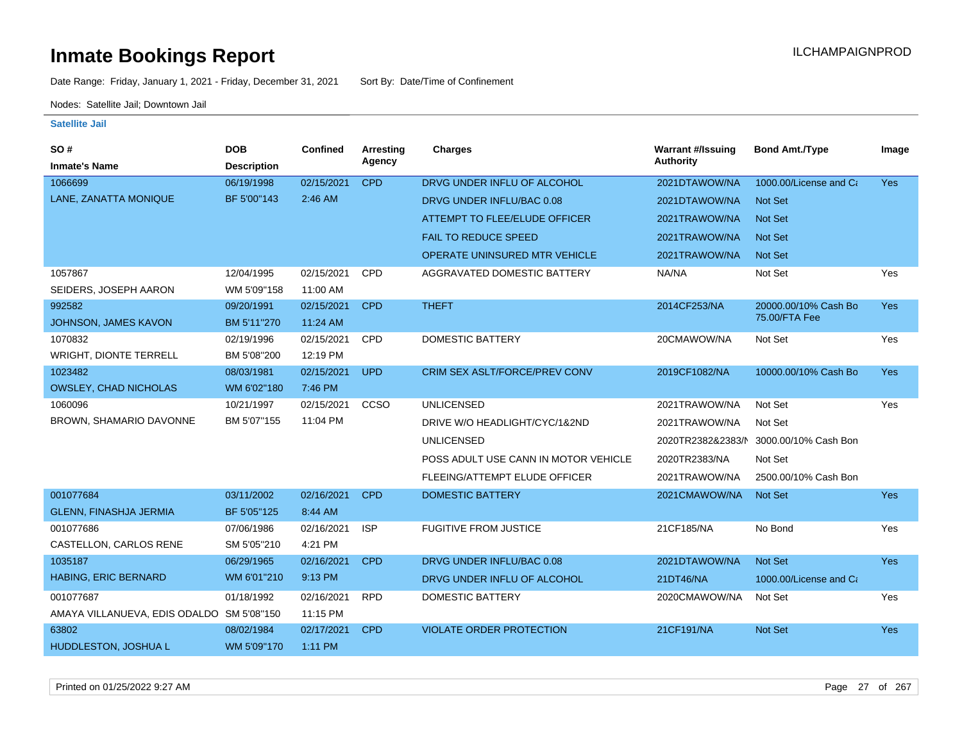Date Range: Friday, January 1, 2021 - Friday, December 31, 2021 Sort By: Date/Time of Confinement

Nodes: Satellite Jail; Downtown Jail

### **Satellite Jail**

| SO#                                       | <b>DOB</b>         | Confined   | Arresting   | Charges                              | <b>Warrant #/Issuing</b> | <b>Bond Amt./Type</b>  | Image      |
|-------------------------------------------|--------------------|------------|-------------|--------------------------------------|--------------------------|------------------------|------------|
| <b>Inmate's Name</b>                      | <b>Description</b> |            | Agency      |                                      | <b>Authority</b>         |                        |            |
| 1066699                                   | 06/19/1998         | 02/15/2021 | <b>CPD</b>  | DRVG UNDER INFLU OF ALCOHOL          | 2021DTAWOW/NA            | 1000.00/License and Ca | <b>Yes</b> |
| LANE, ZANATTA MONIQUE                     | BF 5'00"143        | 2:46 AM    |             | DRVG UNDER INFLU/BAC 0.08            | 2021DTAWOW/NA            | <b>Not Set</b>         |            |
|                                           |                    |            |             | ATTEMPT TO FLEE/ELUDE OFFICER        | 2021TRAWOW/NA            | Not Set                |            |
|                                           |                    |            |             | <b>FAIL TO REDUCE SPEED</b>          | 2021TRAWOW/NA            | <b>Not Set</b>         |            |
|                                           |                    |            |             | OPERATE UNINSURED MTR VEHICLE        | 2021TRAWOW/NA            | <b>Not Set</b>         |            |
| 1057867                                   | 12/04/1995         | 02/15/2021 | <b>CPD</b>  | AGGRAVATED DOMESTIC BATTERY          | NA/NA                    | Not Set                | Yes        |
| SEIDERS, JOSEPH AARON                     | WM 5'09"158        | 11:00 AM   |             |                                      |                          |                        |            |
| 992582                                    | 09/20/1991         | 02/15/2021 | <b>CPD</b>  | <b>THEFT</b>                         | 2014CF253/NA             | 20000.00/10% Cash Bo   | <b>Yes</b> |
| JOHNSON, JAMES KAVON                      | BM 5'11"270        | 11:24 AM   |             |                                      |                          | 75.00/FTA Fee          |            |
| 1070832                                   | 02/19/1996         | 02/15/2021 | CPD         | <b>DOMESTIC BATTERY</b>              | 20CMAWOW/NA              | Not Set                | Yes        |
| <b>WRIGHT, DIONTE TERRELL</b>             | BM 5'08"200        | 12:19 PM   |             |                                      |                          |                        |            |
| 1023482                                   | 08/03/1981         | 02/15/2021 | <b>UPD</b>  | <b>CRIM SEX ASLT/FORCE/PREV CONV</b> | 2019CF1082/NA            | 10000.00/10% Cash Bo   | <b>Yes</b> |
| <b>OWSLEY, CHAD NICHOLAS</b>              | WM 6'02"180        | 7:46 PM    |             |                                      |                          |                        |            |
| 1060096                                   | 10/21/1997         | 02/15/2021 | <b>CCSO</b> | <b>UNLICENSED</b>                    | 2021TRAWOW/NA            | Not Set                | Yes        |
| BROWN, SHAMARIO DAVONNE                   | BM 5'07"155        | 11:04 PM   |             | DRIVE W/O HEADLIGHT/CYC/1&2ND        | 2021TRAWOW/NA            | Not Set                |            |
|                                           |                    |            |             | <b>UNLICENSED</b>                    | 2020TR2382&2383/N        | 3000.00/10% Cash Bon   |            |
|                                           |                    |            |             | POSS ADULT USE CANN IN MOTOR VEHICLE | 2020TR2383/NA            | Not Set                |            |
|                                           |                    |            |             | FLEEING/ATTEMPT ELUDE OFFICER        | 2021TRAWOW/NA            | 2500.00/10% Cash Bon   |            |
| 001077684                                 | 03/11/2002         | 02/16/2021 | <b>CPD</b>  | <b>DOMESTIC BATTERY</b>              | 2021CMAWOW/NA            | Not Set                | <b>Yes</b> |
| <b>GLENN, FINASHJA JERMIA</b>             | BF 5'05"125        | 8:44 AM    |             |                                      |                          |                        |            |
| 001077686                                 | 07/06/1986         | 02/16/2021 | <b>ISP</b>  | <b>FUGITIVE FROM JUSTICE</b>         | 21CF185/NA               | No Bond                | Yes        |
| CASTELLON, CARLOS RENE                    | SM 5'05"210        | 4:21 PM    |             |                                      |                          |                        |            |
| 1035187                                   | 06/29/1965         | 02/16/2021 | <b>CPD</b>  | DRVG UNDER INFLU/BAC 0.08            | 2021DTAWOW/NA            | Not Set                | Yes        |
| HABING, ERIC BERNARD                      | WM 6'01"210        | 9:13 PM    |             | DRVG UNDER INFLU OF ALCOHOL          | 21DT46/NA                | 1000.00/License and Ca |            |
| 001077687                                 | 01/18/1992         | 02/16/2021 | <b>RPD</b>  | <b>DOMESTIC BATTERY</b>              | 2020CMAWOW/NA            | Not Set                | Yes        |
| AMAYA VILLANUEVA, EDIS ODALDO SM 5'08"150 |                    | 11:15 PM   |             |                                      |                          |                        |            |
| 63802                                     | 08/02/1984         | 02/17/2021 | <b>CPD</b>  | <b>VIOLATE ORDER PROTECTION</b>      | 21CF191/NA               | Not Set                | <b>Yes</b> |
| HUDDLESTON, JOSHUA L                      | WM 5'09"170        | 1:11 PM    |             |                                      |                          |                        |            |

Printed on 01/25/2022 9:27 AM Page 27 of 267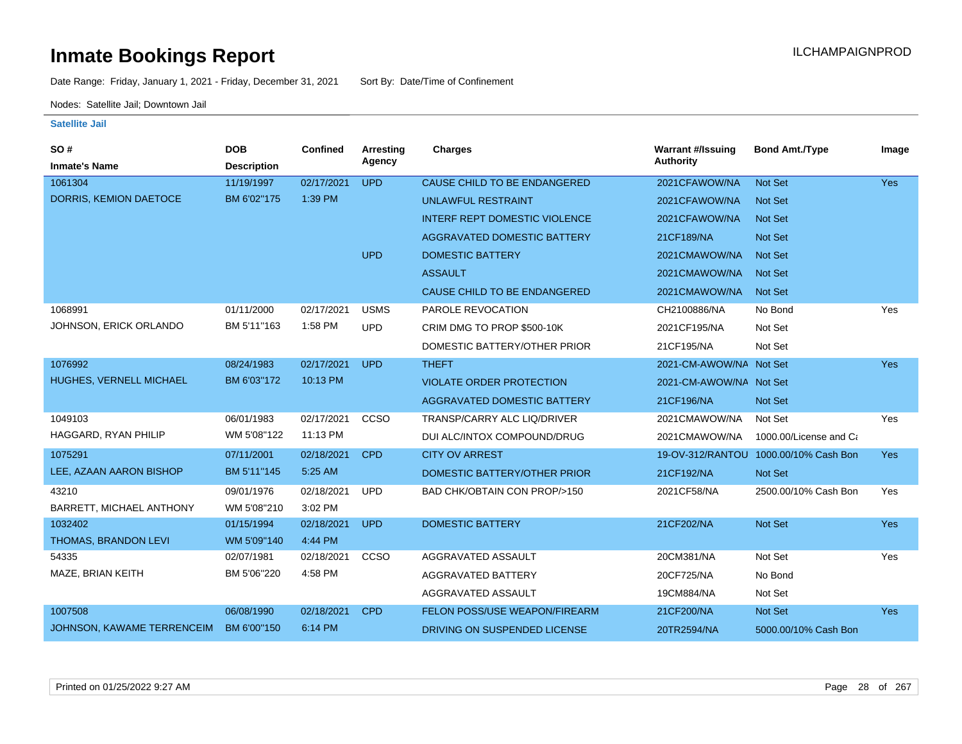Date Range: Friday, January 1, 2021 - Friday, December 31, 2021 Sort By: Date/Time of Confinement

Nodes: Satellite Jail; Downtown Jail

| SO#                        | <b>DOB</b>         | Confined   | <b>Arresting</b> | <b>Charges</b>                       | <b>Warrant #/Issuing</b> | <b>Bond Amt./Type</b>                 | Image |
|----------------------------|--------------------|------------|------------------|--------------------------------------|--------------------------|---------------------------------------|-------|
| <b>Inmate's Name</b>       | <b>Description</b> |            | Agency           |                                      | <b>Authority</b>         |                                       |       |
| 1061304                    | 11/19/1997         | 02/17/2021 | <b>UPD</b>       | CAUSE CHILD TO BE ENDANGERED         | 2021CFAWOW/NA            | Not Set                               | Yes   |
| DORRIS, KEMION DAETOCE     | BM 6'02"175        | 1:39 PM    |                  | <b>UNLAWFUL RESTRAINT</b>            | 2021CFAWOW/NA            | <b>Not Set</b>                        |       |
|                            |                    |            |                  | <b>INTERF REPT DOMESTIC VIOLENCE</b> | 2021CFAWOW/NA            | <b>Not Set</b>                        |       |
|                            |                    |            |                  | AGGRAVATED DOMESTIC BATTERY          | 21CF189/NA               | Not Set                               |       |
|                            |                    |            | <b>UPD</b>       | <b>DOMESTIC BATTERY</b>              | 2021CMAWOW/NA            | <b>Not Set</b>                        |       |
|                            |                    |            |                  | <b>ASSAULT</b>                       | 2021CMAWOW/NA            | <b>Not Set</b>                        |       |
|                            |                    |            |                  | CAUSE CHILD TO BE ENDANGERED         | 2021CMAWOW/NA            | <b>Not Set</b>                        |       |
| 1068991                    | 01/11/2000         | 02/17/2021 | <b>USMS</b>      | PAROLE REVOCATION                    | CH2100886/NA             | No Bond                               | Yes   |
| JOHNSON, ERICK ORLANDO     | BM 5'11"163        | 1:58 PM    | <b>UPD</b>       | CRIM DMG TO PROP \$500-10K           | 2021CF195/NA             | Not Set                               |       |
|                            |                    |            |                  | DOMESTIC BATTERY/OTHER PRIOR         | 21CF195/NA               | Not Set                               |       |
| 1076992                    | 08/24/1983         | 02/17/2021 | <b>UPD</b>       | <b>THEFT</b>                         | 2021-CM-AWOW/NA Not Set  |                                       | Yes   |
| HUGHES, VERNELL MICHAEL    | BM 6'03"172        | 10:13 PM   |                  | <b>VIOLATE ORDER PROTECTION</b>      | 2021-CM-AWOW/NA Not Set  |                                       |       |
|                            |                    |            |                  | <b>AGGRAVATED DOMESTIC BATTERY</b>   | 21CF196/NA               | <b>Not Set</b>                        |       |
| 1049103                    | 06/01/1983         | 02/17/2021 | CCSO             | TRANSP/CARRY ALC LIQ/DRIVER          | 2021CMAWOW/NA            | Not Set                               | Yes   |
| HAGGARD, RYAN PHILIP       | WM 5'08"122        | 11:13 PM   |                  | DUI ALC/INTOX COMPOUND/DRUG          | 2021CMAWOW/NA            | 1000.00/License and Ca                |       |
| 1075291                    | 07/11/2001         | 02/18/2021 | <b>CPD</b>       | <b>CITY OV ARREST</b>                |                          | 19-OV-312/RANTOU 1000.00/10% Cash Bon | Yes   |
| LEE, AZAAN AARON BISHOP    | BM 5'11"145        | 5:25 AM    |                  | DOMESTIC BATTERY/OTHER PRIOR         | 21CF192/NA               | Not Set                               |       |
| 43210                      | 09/01/1976         | 02/18/2021 | <b>UPD</b>       | BAD CHK/OBTAIN CON PROP/>150         | 2021CF58/NA              | 2500.00/10% Cash Bon                  | Yes   |
| BARRETT, MICHAEL ANTHONY   | WM 5'08"210        | 3:02 PM    |                  |                                      |                          |                                       |       |
| 1032402                    | 01/15/1994         | 02/18/2021 | <b>UPD</b>       | <b>DOMESTIC BATTERY</b>              | 21CF202/NA               | Not Set                               | Yes   |
| THOMAS, BRANDON LEVI       | WM 5'09"140        | 4:44 PM    |                  |                                      |                          |                                       |       |
| 54335                      | 02/07/1981         | 02/18/2021 | CCSO             | AGGRAVATED ASSAULT                   | 20CM381/NA               | Not Set                               | Yes   |
| MAZE, BRIAN KEITH          | BM 5'06"220        | 4:58 PM    |                  | AGGRAVATED BATTERY                   | 20CF725/NA               | No Bond                               |       |
|                            |                    |            |                  | AGGRAVATED ASSAULT                   | 19CM884/NA               | Not Set                               |       |
| 1007508                    | 06/08/1990         | 02/18/2021 | <b>CPD</b>       | FELON POSS/USE WEAPON/FIREARM        | 21CF200/NA               | Not Set                               | Yes   |
| JOHNSON, KAWAME TERRENCEIM | BM 6'00"150        | 6:14 PM    |                  | DRIVING ON SUSPENDED LICENSE         | 20TR2594/NA              | 5000.00/10% Cash Bon                  |       |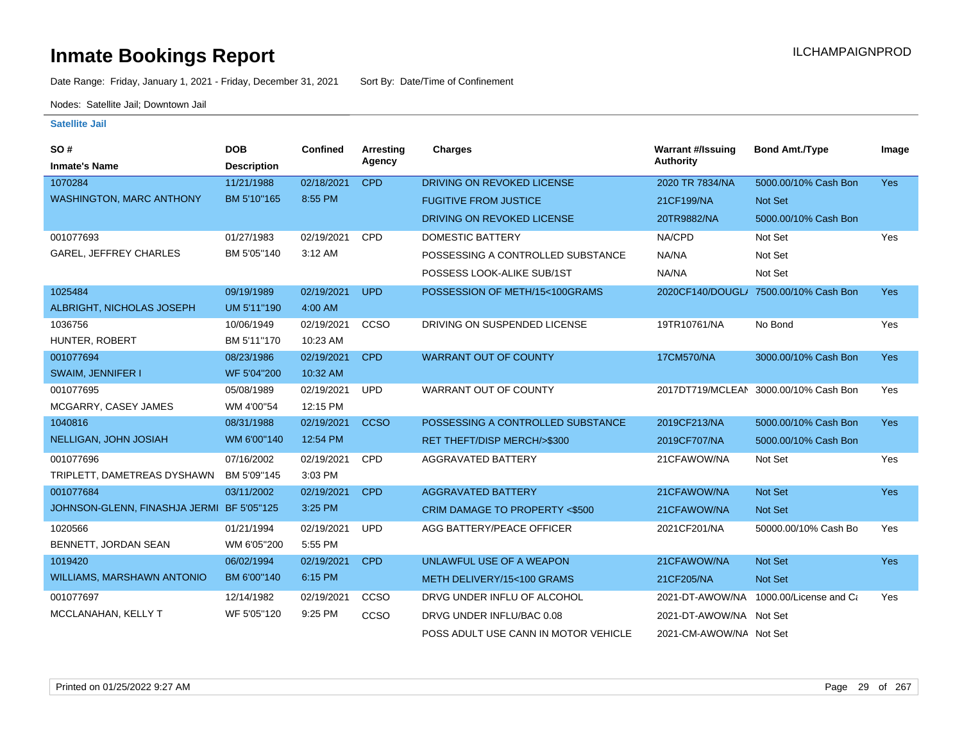Date Range: Friday, January 1, 2021 - Friday, December 31, 2021 Sort By: Date/Time of Confinement

Nodes: Satellite Jail; Downtown Jail

| SO#                                       | <b>DOB</b>         | Confined   | Arresting   | <b>Charges</b>                       | <b>Warrant #/Issuing</b> | <b>Bond Amt./Type</b>                  | Image      |
|-------------------------------------------|--------------------|------------|-------------|--------------------------------------|--------------------------|----------------------------------------|------------|
| <b>Inmate's Name</b>                      | <b>Description</b> |            | Agency      |                                      | <b>Authority</b>         |                                        |            |
| 1070284                                   | 11/21/1988         | 02/18/2021 | <b>CPD</b>  | DRIVING ON REVOKED LICENSE           | 2020 TR 7834/NA          | 5000.00/10% Cash Bon                   | <b>Yes</b> |
| <b>WASHINGTON, MARC ANTHONY</b>           | BM 5'10"165        | 8:55 PM    |             | <b>FUGITIVE FROM JUSTICE</b>         | 21CF199/NA               | Not Set                                |            |
|                                           |                    |            |             | DRIVING ON REVOKED LICENSE           | 20TR9882/NA              | 5000.00/10% Cash Bon                   |            |
| 001077693                                 | 01/27/1983         | 02/19/2021 | <b>CPD</b>  | DOMESTIC BATTERY                     | NA/CPD                   | Not Set                                | Yes        |
| <b>GAREL, JEFFREY CHARLES</b>             | BM 5'05"140        | 3:12 AM    |             | POSSESSING A CONTROLLED SUBSTANCE    | NA/NA                    | Not Set                                |            |
|                                           |                    |            |             | POSSESS LOOK-ALIKE SUB/1ST           | NA/NA                    | Not Set                                |            |
| 1025484                                   | 09/19/1989         | 02/19/2021 | <b>UPD</b>  | POSSESSION OF METH/15<100GRAMS       |                          | 2020CF140/DOUGL/ 7500.00/10% Cash Bon  | <b>Yes</b> |
| ALBRIGHT, NICHOLAS JOSEPH                 | UM 5'11"190        | 4:00 AM    |             |                                      |                          |                                        |            |
| 1036756                                   | 10/06/1949         | 02/19/2021 | CCSO        | DRIVING ON SUSPENDED LICENSE         | 19TR10761/NA             | No Bond                                | Yes        |
| HUNTER, ROBERT                            | BM 5'11"170        | 10:23 AM   |             |                                      |                          |                                        |            |
| 001077694                                 | 08/23/1986         | 02/19/2021 | <b>CPD</b>  | <b>WARRANT OUT OF COUNTY</b>         | 17CM570/NA               | 3000.00/10% Cash Bon                   | Yes        |
| <b>SWAIM, JENNIFER I</b>                  | WF 5'04"200        | 10:32 AM   |             |                                      |                          |                                        |            |
| 001077695                                 | 05/08/1989         | 02/19/2021 | <b>UPD</b>  | WARRANT OUT OF COUNTY                |                          | 2017DT719/MCLEAN 3000.00/10% Cash Bon  | Yes        |
| MCGARRY, CASEY JAMES                      | WM 4'00"54         | 12:15 PM   |             |                                      |                          |                                        |            |
| 1040816                                   | 08/31/1988         | 02/19/2021 | <b>CCSO</b> | POSSESSING A CONTROLLED SUBSTANCE    | 2019CF213/NA             | 5000.00/10% Cash Bon                   | <b>Yes</b> |
| NELLIGAN, JOHN JOSIAH                     | WM 6'00"140        | 12:54 PM   |             | RET THEFT/DISP MERCH/>\$300          | 2019CF707/NA             | 5000.00/10% Cash Bon                   |            |
| 001077696                                 | 07/16/2002         | 02/19/2021 | CPD         | <b>AGGRAVATED BATTERY</b>            | 21CFAWOW/NA              | Not Set                                | Yes        |
| TRIPLETT, DAMETREAS DYSHAWN               | BM 5'09"145        | 3:03 PM    |             |                                      |                          |                                        |            |
| 001077684                                 | 03/11/2002         | 02/19/2021 | <b>CPD</b>  | <b>AGGRAVATED BATTERY</b>            | 21CFAWOW/NA              | <b>Not Set</b>                         | <b>Yes</b> |
| JOHNSON-GLENN, FINASHJA JERMI BF 5'05"125 |                    | 3:25 PM    |             | CRIM DAMAGE TO PROPERTY <\$500       | 21CFAWOW/NA              | <b>Not Set</b>                         |            |
| 1020566                                   | 01/21/1994         | 02/19/2021 | <b>UPD</b>  | AGG BATTERY/PEACE OFFICER            | 2021CF201/NA             | 50000.00/10% Cash Bo                   | Yes        |
| BENNETT, JORDAN SEAN                      | WM 6'05"200        | 5:55 PM    |             |                                      |                          |                                        |            |
| 1019420                                   | 06/02/1994         | 02/19/2021 | <b>CPD</b>  | UNLAWFUL USE OF A WEAPON             | 21CFAWOW/NA              | <b>Not Set</b>                         | <b>Yes</b> |
| WILLIAMS, MARSHAWN ANTONIO                | BM 6'00"140        | 6:15 PM    |             | METH DELIVERY/15<100 GRAMS           | 21CF205/NA               | <b>Not Set</b>                         |            |
| 001077697                                 | 12/14/1982         | 02/19/2021 | CCSO        | DRVG UNDER INFLU OF ALCOHOL          |                          | 2021-DT-AWOW/NA 1000.00/License and Ca | Yes        |
| MCCLANAHAN, KELLY T                       | WF 5'05"120        | 9:25 PM    | CCSO        | DRVG UNDER INFLU/BAC 0.08            | 2021-DT-AWOW/NA Not Set  |                                        |            |
|                                           |                    |            |             | POSS ADULT USE CANN IN MOTOR VEHICLE | 2021-CM-AWOW/NA Not Set  |                                        |            |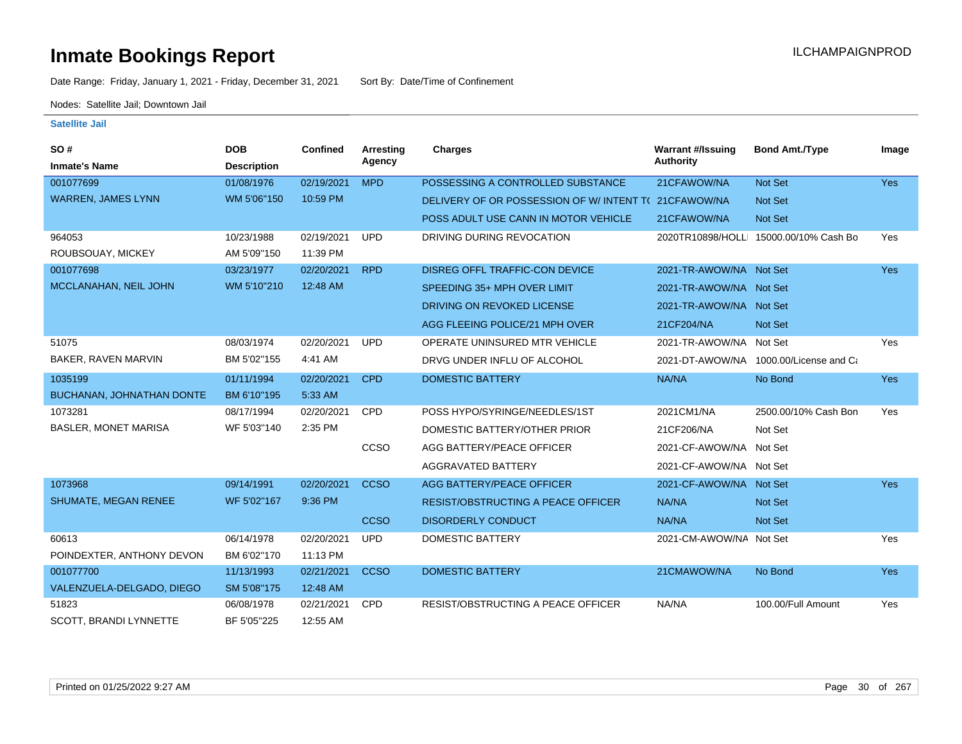Date Range: Friday, January 1, 2021 - Friday, December 31, 2021 Sort By: Date/Time of Confinement

Nodes: Satellite Jail; Downtown Jail

| SO#                         | <b>DOB</b>         | Confined   | <b>Arresting</b> | <b>Charges</b>                                      | <b>Warrant #/Issuing</b> | <b>Bond Amt./Type</b>                  | Image      |
|-----------------------------|--------------------|------------|------------------|-----------------------------------------------------|--------------------------|----------------------------------------|------------|
| <b>Inmate's Name</b>        | <b>Description</b> |            | Agency           |                                                     | <b>Authority</b>         |                                        |            |
| 001077699                   | 01/08/1976         | 02/19/2021 | <b>MPD</b>       | POSSESSING A CONTROLLED SUBSTANCE                   | 21CFAWOW/NA              | Not Set                                | Yes        |
| <b>WARREN, JAMES LYNN</b>   | WM 5'06"150        | 10:59 PM   |                  | DELIVERY OF OR POSSESSION OF W/INTENT T(21CFAWOW/NA |                          | Not Set                                |            |
|                             |                    |            |                  | POSS ADULT USE CANN IN MOTOR VEHICLE                | 21CFAWOW/NA              | <b>Not Set</b>                         |            |
| 964053                      | 10/23/1988         | 02/19/2021 | <b>UPD</b>       | DRIVING DURING REVOCATION                           |                          | 2020TR10898/HOLLI 15000.00/10% Cash Bo | Yes        |
| ROUBSOUAY, MICKEY           | AM 5'09"150        | 11:39 PM   |                  |                                                     |                          |                                        |            |
| 001077698                   | 03/23/1977         | 02/20/2021 | <b>RPD</b>       | DISREG OFFL TRAFFIC-CON DEVICE                      | 2021-TR-AWOW/NA Not Set  |                                        | <b>Yes</b> |
| MCCLANAHAN, NEIL JOHN       | WM 5'10"210        | 12:48 AM   |                  | SPEEDING 35+ MPH OVER LIMIT                         | 2021-TR-AWOW/NA Not Set  |                                        |            |
|                             |                    |            |                  | DRIVING ON REVOKED LICENSE                          | 2021-TR-AWOW/NA Not Set  |                                        |            |
|                             |                    |            |                  | AGG FLEEING POLICE/21 MPH OVER                      | 21CF204/NA               | <b>Not Set</b>                         |            |
| 51075                       | 08/03/1974         | 02/20/2021 | <b>UPD</b>       | OPERATE UNINSURED MTR VEHICLE                       | 2021-TR-AWOW/NA Not Set  |                                        | Yes        |
| BAKER, RAVEN MARVIN         | BM 5'02"155        | 4:41 AM    |                  | DRVG UNDER INFLU OF ALCOHOL                         |                          | 2021-DT-AWOW/NA 1000.00/License and Ca |            |
| 1035199                     | 01/11/1994         | 02/20/2021 | <b>CPD</b>       | <b>DOMESTIC BATTERY</b>                             | NA/NA                    | No Bond                                | <b>Yes</b> |
| BUCHANAN, JOHNATHAN DONTE   | BM 6'10"195        | 5:33 AM    |                  |                                                     |                          |                                        |            |
| 1073281                     | 08/17/1994         | 02/20/2021 | <b>CPD</b>       | POSS HYPO/SYRINGE/NEEDLES/1ST                       | 2021CM1/NA               | 2500.00/10% Cash Bon                   | Yes        |
| <b>BASLER, MONET MARISA</b> | WF 5'03"140        | 2:35 PM    |                  | DOMESTIC BATTERY/OTHER PRIOR                        | 21CF206/NA               | Not Set                                |            |
|                             |                    |            | CCSO             | AGG BATTERY/PEACE OFFICER                           | 2021-CF-AWOW/NA Not Set  |                                        |            |
|                             |                    |            |                  | AGGRAVATED BATTERY                                  | 2021-CF-AWOW/NA Not Set  |                                        |            |
| 1073968                     | 09/14/1991         | 02/20/2021 | <b>CCSO</b>      | AGG BATTERY/PEACE OFFICER                           | 2021-CF-AWOW/NA Not Set  |                                        | <b>Yes</b> |
| <b>SHUMATE, MEGAN RENEE</b> | WF 5'02"167        | 9:36 PM    |                  | <b>RESIST/OBSTRUCTING A PEACE OFFICER</b>           | NA/NA                    | <b>Not Set</b>                         |            |
|                             |                    |            | <b>CCSO</b>      | <b>DISORDERLY CONDUCT</b>                           | NA/NA                    | Not Set                                |            |
| 60613                       | 06/14/1978         | 02/20/2021 | <b>UPD</b>       | <b>DOMESTIC BATTERY</b>                             | 2021-CM-AWOW/NA Not Set  |                                        | Yes        |
| POINDEXTER, ANTHONY DEVON   | BM 6'02"170        | 11:13 PM   |                  |                                                     |                          |                                        |            |
| 001077700                   | 11/13/1993         | 02/21/2021 | <b>CCSO</b>      | <b>DOMESTIC BATTERY</b>                             | 21CMAWOW/NA              | No Bond                                | <b>Yes</b> |
| VALENZUELA-DELGADO, DIEGO   | SM 5'08"175        | 12:48 AM   |                  |                                                     |                          |                                        |            |
| 51823                       | 06/08/1978         | 02/21/2021 | <b>CPD</b>       | <b>RESIST/OBSTRUCTING A PEACE OFFICER</b>           | NA/NA                    | 100.00/Full Amount                     | Yes        |
| SCOTT, BRANDI LYNNETTE      | BF 5'05"225        | 12:55 AM   |                  |                                                     |                          |                                        |            |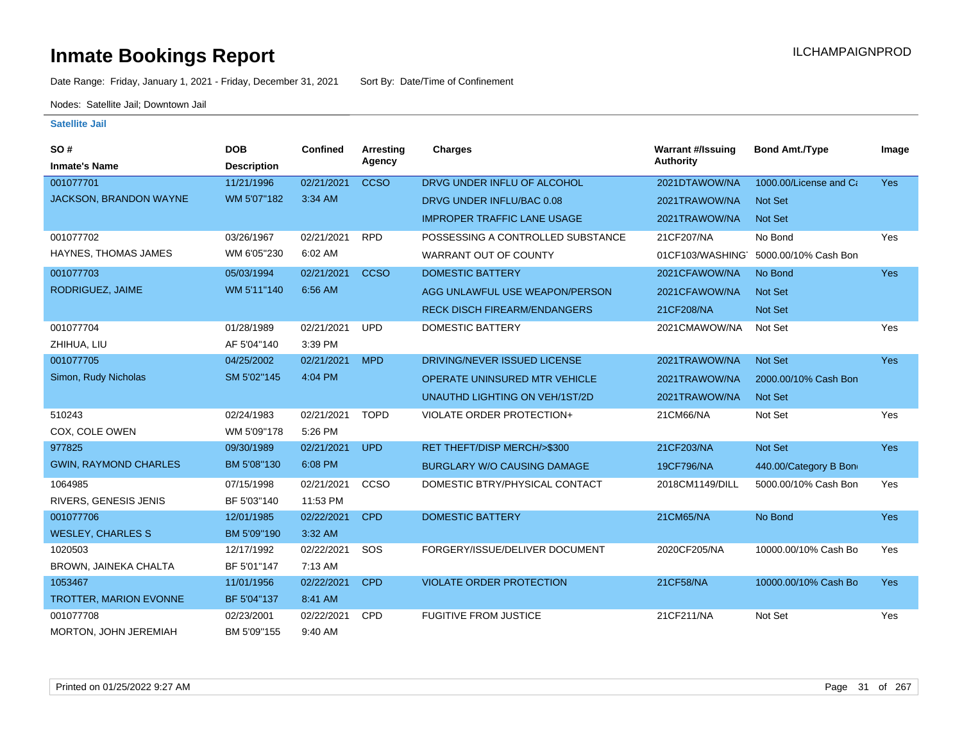Date Range: Friday, January 1, 2021 - Friday, December 31, 2021 Sort By: Date/Time of Confinement

Nodes: Satellite Jail; Downtown Jail

| SO#                           | <b>DOB</b>         | Confined   | <b>Arresting</b> | Charges                             | <b>Warrant #/Issuing</b> | <b>Bond Amt./Type</b>  | Image      |
|-------------------------------|--------------------|------------|------------------|-------------------------------------|--------------------------|------------------------|------------|
| <b>Inmate's Name</b>          | <b>Description</b> |            | Agency           |                                     | <b>Authority</b>         |                        |            |
| 001077701                     | 11/21/1996         | 02/21/2021 | <b>CCSO</b>      | DRVG UNDER INFLU OF ALCOHOL         | 2021DTAWOW/NA            | 1000.00/License and Ca | <b>Yes</b> |
| JACKSON, BRANDON WAYNE        | WM 5'07"182        | 3:34 AM    |                  | DRVG UNDER INFLU/BAC 0.08           | 2021TRAWOW/NA            | <b>Not Set</b>         |            |
|                               |                    |            |                  | <b>IMPROPER TRAFFIC LANE USAGE</b>  | 2021TRAWOW/NA            | Not Set                |            |
| 001077702                     | 03/26/1967         | 02/21/2021 | <b>RPD</b>       | POSSESSING A CONTROLLED SUBSTANCE   | 21CF207/NA               | No Bond                | Yes        |
| HAYNES, THOMAS JAMES          | WM 6'05"230        | 6:02 AM    |                  | WARRANT OUT OF COUNTY               | 01CF103/WASHING          | 5000.00/10% Cash Bon   |            |
| 001077703                     | 05/03/1994         | 02/21/2021 | <b>CCSO</b>      | <b>DOMESTIC BATTERY</b>             | 2021CFAWOW/NA            | No Bond                | <b>Yes</b> |
| RODRIGUEZ, JAIME              | WM 5'11"140        | 6:56 AM    |                  | AGG UNLAWFUL USE WEAPON/PERSON      | 2021CFAWOW/NA            | <b>Not Set</b>         |            |
|                               |                    |            |                  | <b>RECK DISCH FIREARM/ENDANGERS</b> | 21CF208/NA               | <b>Not Set</b>         |            |
| 001077704                     | 01/28/1989         | 02/21/2021 | <b>UPD</b>       | <b>DOMESTIC BATTERY</b>             | 2021CMAWOW/NA            | Not Set                | Yes        |
| ZHIHUA, LIU                   | AF 5'04"140        | 3:39 PM    |                  |                                     |                          |                        |            |
| 001077705                     | 04/25/2002         | 02/21/2021 | <b>MPD</b>       | DRIVING/NEVER ISSUED LICENSE        | 2021TRAWOW/NA            | Not Set                | <b>Yes</b> |
| Simon, Rudy Nicholas          | SM 5'02"145        | 4:04 PM    |                  | OPERATE UNINSURED MTR VEHICLE       | 2021TRAWOW/NA            | 2000.00/10% Cash Bon   |            |
|                               |                    |            |                  | UNAUTHD LIGHTING ON VEH/1ST/2D      | 2021TRAWOW/NA            | <b>Not Set</b>         |            |
| 510243                        | 02/24/1983         | 02/21/2021 | <b>TOPD</b>      | VIOLATE ORDER PROTECTION+           | 21CM66/NA                | Not Set                | Yes        |
| COX, COLE OWEN                | WM 5'09"178        | 5:26 PM    |                  |                                     |                          |                        |            |
| 977825                        | 09/30/1989         | 02/21/2021 | <b>UPD</b>       | RET THEFT/DISP MERCH/>\$300         | 21CF203/NA               | Not Set                | Yes        |
| <b>GWIN, RAYMOND CHARLES</b>  | BM 5'08"130        | 6:08 PM    |                  | <b>BURGLARY W/O CAUSING DAMAGE</b>  | 19CF796/NA               | 440.00/Category B Bon  |            |
| 1064985                       | 07/15/1998         | 02/21/2021 | ccso             | DOMESTIC BTRY/PHYSICAL CONTACT      | 2018CM1149/DILL          | 5000.00/10% Cash Bon   | Yes        |
| RIVERS, GENESIS JENIS         | BF 5'03"140        | 11:53 PM   |                  |                                     |                          |                        |            |
| 001077706                     | 12/01/1985         | 02/22/2021 | <b>CPD</b>       | <b>DOMESTIC BATTERY</b>             | 21CM65/NA                | No Bond                | Yes        |
| <b>WESLEY, CHARLES S</b>      | BM 5'09"190        | 3:32 AM    |                  |                                     |                          |                        |            |
| 1020503                       | 12/17/1992         | 02/22/2021 | SOS              | FORGERY/ISSUE/DELIVER DOCUMENT      | 2020CF205/NA             | 10000.00/10% Cash Bo   | Yes        |
| BROWN, JAINEKA CHALTA         | BF 5'01"147        | 7:13 AM    |                  |                                     |                          |                        |            |
| 1053467                       | 11/01/1956         | 02/22/2021 | <b>CPD</b>       | <b>VIOLATE ORDER PROTECTION</b>     | 21CF58/NA                | 10000.00/10% Cash Bo   | Yes        |
| <b>TROTTER, MARION EVONNE</b> | BF 5'04"137        | 8:41 AM    |                  |                                     |                          |                        |            |
| 001077708                     | 02/23/2001         | 02/22/2021 | <b>CPD</b>       | <b>FUGITIVE FROM JUSTICE</b>        | 21CF211/NA               | Not Set                | Yes        |
| MORTON, JOHN JEREMIAH         | BM 5'09"155        | 9:40 AM    |                  |                                     |                          |                        |            |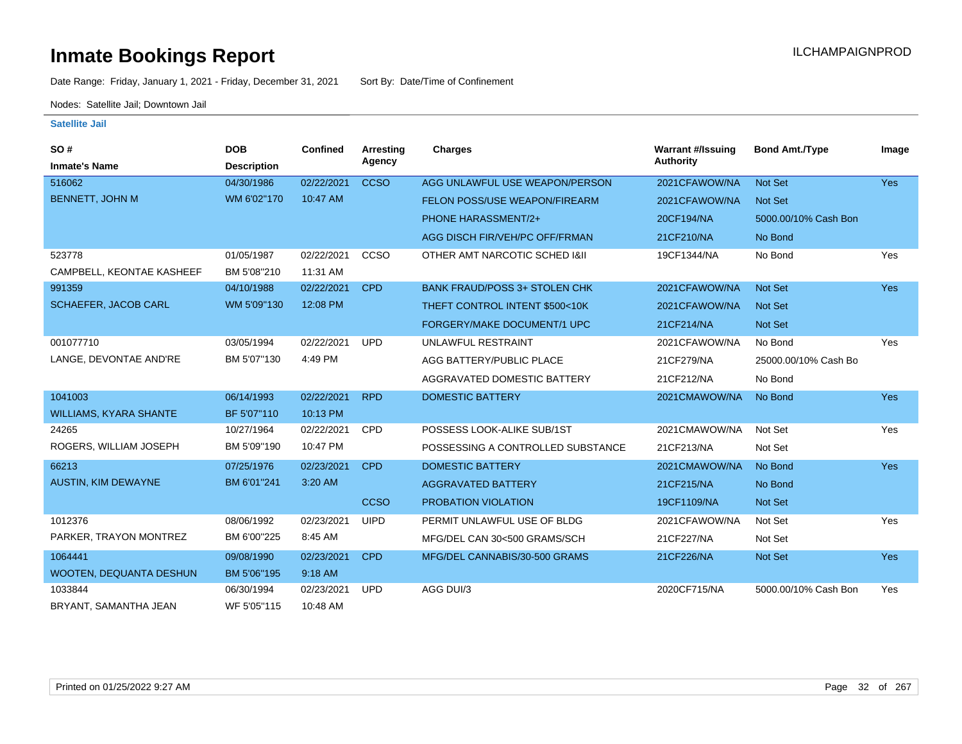Date Range: Friday, January 1, 2021 - Friday, December 31, 2021 Sort By: Date/Time of Confinement

Nodes: Satellite Jail; Downtown Jail

| SO#                           | <b>DOB</b>         | Confined   | Arresting<br>Agency | <b>Charges</b>                       | <b>Warrant #/Issuing</b><br>Authority | <b>Bond Amt./Type</b> | Image      |
|-------------------------------|--------------------|------------|---------------------|--------------------------------------|---------------------------------------|-----------------------|------------|
| <b>Inmate's Name</b>          | <b>Description</b> |            |                     |                                      |                                       |                       |            |
| 516062                        | 04/30/1986         | 02/22/2021 | <b>CCSO</b>         | AGG UNLAWFUL USE WEAPON/PERSON       | 2021CFAWOW/NA                         | Not Set               | <b>Yes</b> |
| <b>BENNETT, JOHN M</b>        | WM 6'02"170        | 10:47 AM   |                     | FELON POSS/USE WEAPON/FIREARM        | 2021CFAWOW/NA                         | Not Set               |            |
|                               |                    |            |                     | PHONE HARASSMENT/2+                  | 20CF194/NA                            | 5000.00/10% Cash Bon  |            |
|                               |                    |            |                     | AGG DISCH FIR/VEH/PC OFF/FRMAN       | 21CF210/NA                            | No Bond               |            |
| 523778                        | 01/05/1987         | 02/22/2021 | CCSO                | OTHER AMT NARCOTIC SCHED I&II        | 19CF1344/NA                           | No Bond               | Yes        |
| CAMPBELL, KEONTAE KASHEEF     | BM 5'08"210        | 11:31 AM   |                     |                                      |                                       |                       |            |
| 991359                        | 04/10/1988         | 02/22/2021 | <b>CPD</b>          | <b>BANK FRAUD/POSS 3+ STOLEN CHK</b> | 2021CFAWOW/NA                         | <b>Not Set</b>        | <b>Yes</b> |
| <b>SCHAEFER, JACOB CARL</b>   | WM 5'09"130        | 12:08 PM   |                     | THEFT CONTROL INTENT \$500<10K       | 2021CFAWOW/NA                         | <b>Not Set</b>        |            |
|                               |                    |            |                     | FORGERY/MAKE DOCUMENT/1 UPC          | 21CF214/NA                            | Not Set               |            |
| 001077710                     | 03/05/1994         | 02/22/2021 | <b>UPD</b>          | UNLAWFUL RESTRAINT                   | 2021CFAWOW/NA                         | No Bond               | Yes        |
| LANGE, DEVONTAE AND'RE        | BM 5'07"130        | 4:49 PM    |                     | AGG BATTERY/PUBLIC PLACE             | 21CF279/NA                            | 25000.00/10% Cash Bo  |            |
|                               |                    |            |                     | AGGRAVATED DOMESTIC BATTERY          | 21CF212/NA                            | No Bond               |            |
| 1041003                       | 06/14/1993         | 02/22/2021 | <b>RPD</b>          | <b>DOMESTIC BATTERY</b>              | 2021CMAWOW/NA                         | No Bond               | <b>Yes</b> |
| <b>WILLIAMS, KYARA SHANTE</b> | BF 5'07"110        | 10:13 PM   |                     |                                      |                                       |                       |            |
| 24265                         | 10/27/1964         | 02/22/2021 | <b>CPD</b>          | POSSESS LOOK-ALIKE SUB/1ST           | 2021CMAWOW/NA                         | Not Set               | Yes        |
| ROGERS, WILLIAM JOSEPH        | BM 5'09"190        | 10:47 PM   |                     | POSSESSING A CONTROLLED SUBSTANCE    | 21CF213/NA                            | Not Set               |            |
| 66213                         | 07/25/1976         | 02/23/2021 | <b>CPD</b>          | <b>DOMESTIC BATTERY</b>              | 2021CMAWOW/NA                         | No Bond               | <b>Yes</b> |
| <b>AUSTIN, KIM DEWAYNE</b>    | BM 6'01"241        | 3:20 AM    |                     | <b>AGGRAVATED BATTERY</b>            | 21CF215/NA                            | No Bond               |            |
|                               |                    |            | <b>CCSO</b>         | PROBATION VIOLATION                  | 19CF1109/NA                           | <b>Not Set</b>        |            |
| 1012376                       | 08/06/1992         | 02/23/2021 | <b>UIPD</b>         | PERMIT UNLAWFUL USE OF BLDG          | 2021CFAWOW/NA                         | Not Set               | Yes        |
| PARKER, TRAYON MONTREZ        | BM 6'00"225        | 8:45 AM    |                     | MFG/DEL CAN 30<500 GRAMS/SCH         | 21CF227/NA                            | Not Set               |            |
| 1064441                       | 09/08/1990         | 02/23/2021 | <b>CPD</b>          | MFG/DEL CANNABIS/30-500 GRAMS        | 21CF226/NA                            | Not Set               | <b>Yes</b> |
| WOOTEN, DEQUANTA DESHUN       | BM 5'06"195        | 9:18 AM    |                     |                                      |                                       |                       |            |
| 1033844                       | 06/30/1994         | 02/23/2021 | <b>UPD</b>          | AGG DUI/3                            | 2020CF715/NA                          | 5000.00/10% Cash Bon  | Yes        |
| BRYANT, SAMANTHA JEAN         | WF 5'05"115        | 10:48 AM   |                     |                                      |                                       |                       |            |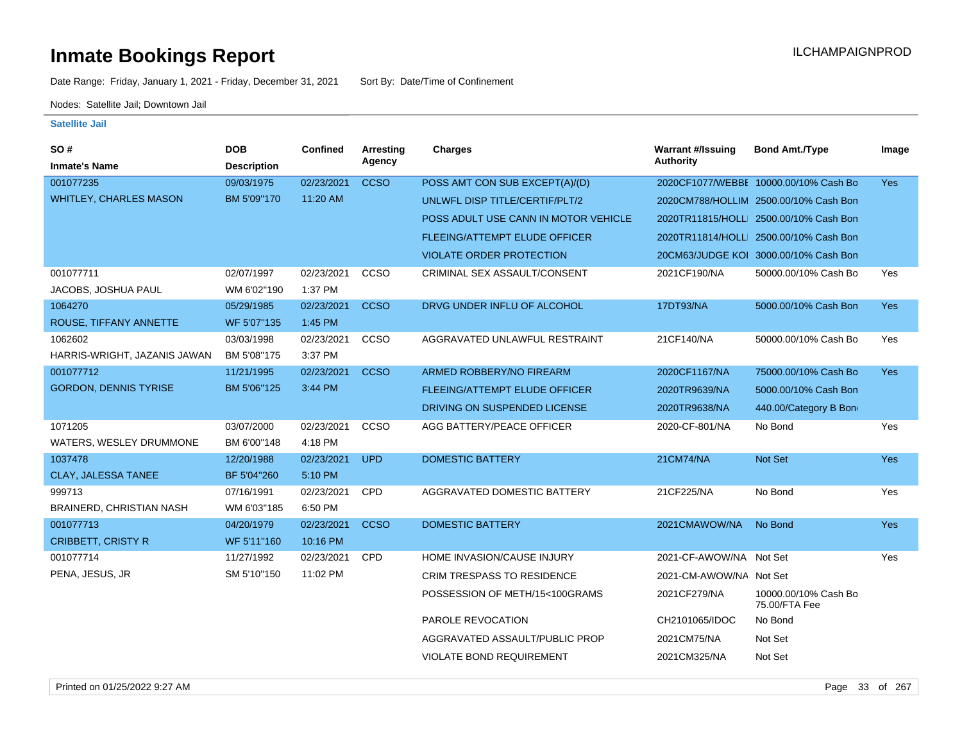Date Range: Friday, January 1, 2021 - Friday, December 31, 2021 Sort By: Date/Time of Confinement

Nodes: Satellite Jail; Downtown Jail

| SO#                           | <b>DOB</b>         | Confined   | Arresting   | <b>Charges</b>                       | <b>Warrant #/Issuing</b> | <b>Bond Amt./Type</b>                  | Image      |
|-------------------------------|--------------------|------------|-------------|--------------------------------------|--------------------------|----------------------------------------|------------|
| <b>Inmate's Name</b>          | <b>Description</b> |            | Agency      |                                      | <b>Authority</b>         |                                        |            |
| 001077235                     | 09/03/1975         | 02/23/2021 | <b>CCSO</b> | POSS AMT CON SUB EXCEPT(A)/(D)       |                          | 2020CF1077/WEBBE 10000.00/10% Cash Bo  | <b>Yes</b> |
| <b>WHITLEY, CHARLES MASON</b> | BM 5'09"170        | 11:20 AM   |             | UNLWFL DISP TITLE/CERTIF/PLT/2       |                          | 2020CM788/HOLLIM 2500.00/10% Cash Bon  |            |
|                               |                    |            |             | POSS ADULT USE CANN IN MOTOR VEHICLE |                          | 2020TR11815/HOLLI 2500.00/10% Cash Bon |            |
|                               |                    |            |             | <b>FLEEING/ATTEMPT ELUDE OFFICER</b> |                          | 2020TR11814/HOLLI 2500.00/10% Cash Bon |            |
|                               |                    |            |             | <b>VIOLATE ORDER PROTECTION</b>      |                          | 20CM63/JUDGE KOI 3000.00/10% Cash Bon  |            |
| 001077711                     | 02/07/1997         | 02/23/2021 | CCSO        | CRIMINAL SEX ASSAULT/CONSENT         | 2021CF190/NA             | 50000.00/10% Cash Bo                   | Yes        |
| JACOBS, JOSHUA PAUL           | WM 6'02"190        | 1:37 PM    |             |                                      |                          |                                        |            |
| 1064270                       | 05/29/1985         | 02/23/2021 | <b>CCSO</b> | DRVG UNDER INFLU OF ALCOHOL          | 17DT93/NA                | 5000.00/10% Cash Bon                   | Yes        |
| ROUSE, TIFFANY ANNETTE        | WF 5'07"135        | 1:45 PM    |             |                                      |                          |                                        |            |
| 1062602                       | 03/03/1998         | 02/23/2021 | CCSO        | AGGRAVATED UNLAWFUL RESTRAINT        | 21CF140/NA               | 50000.00/10% Cash Bo                   | Yes        |
| HARRIS-WRIGHT, JAZANIS JAWAN  | BM 5'08"175        | 3:37 PM    |             |                                      |                          |                                        |            |
| 001077712                     | 11/21/1995         | 02/23/2021 | <b>CCSO</b> | ARMED ROBBERY/NO FIREARM             | 2020CF1167/NA            | 75000.00/10% Cash Bo                   | <b>Yes</b> |
| <b>GORDON, DENNIS TYRISE</b>  | BM 5'06"125        | 3:44 PM    |             | <b>FLEEING/ATTEMPT ELUDE OFFICER</b> | 2020TR9639/NA            | 5000.00/10% Cash Bon                   |            |
|                               |                    |            |             | DRIVING ON SUSPENDED LICENSE         | 2020TR9638/NA            | 440.00/Category B Bon                  |            |
| 1071205                       | 03/07/2000         | 02/23/2021 | CCSO        | AGG BATTERY/PEACE OFFICER            | 2020-CF-801/NA           | No Bond                                | Yes        |
| WATERS, WESLEY DRUMMONE       | BM 6'00"148        | 4:18 PM    |             |                                      |                          |                                        |            |
| 1037478                       | 12/20/1988         | 02/23/2021 | <b>UPD</b>  | <b>DOMESTIC BATTERY</b>              | 21CM74/NA                | <b>Not Set</b>                         | Yes        |
| CLAY, JALESSA TANEE           | BF 5'04"260        | 5:10 PM    |             |                                      |                          |                                        |            |
| 999713                        | 07/16/1991         | 02/23/2021 | CPD         | AGGRAVATED DOMESTIC BATTERY          | 21CF225/NA               | No Bond                                | Yes        |
| BRAINERD, CHRISTIAN NASH      | WM 6'03"185        | 6:50 PM    |             |                                      |                          |                                        |            |
| 001077713                     | 04/20/1979         | 02/23/2021 | <b>CCSO</b> | <b>DOMESTIC BATTERY</b>              | 2021CMAWOW/NA            | No Bond                                | <b>Yes</b> |
| <b>CRIBBETT, CRISTY R</b>     | WF 5'11"160        | 10:16 PM   |             |                                      |                          |                                        |            |
| 001077714                     | 11/27/1992         | 02/23/2021 | CPD         | HOME INVASION/CAUSE INJURY           | 2021-CF-AWOW/NA Not Set  |                                        | Yes        |
| PENA, JESUS, JR               | SM 5'10"150        | 11:02 PM   |             | <b>CRIM TRESPASS TO RESIDENCE</b>    | 2021-CM-AWOW/NA Not Set  |                                        |            |
|                               |                    |            |             | POSSESSION OF METH/15<100GRAMS       | 2021CF279/NA             | 10000.00/10% Cash Bo<br>75.00/FTA Fee  |            |
|                               |                    |            |             | PAROLE REVOCATION                    | CH2101065/IDOC           | No Bond                                |            |
|                               |                    |            |             | AGGRAVATED ASSAULT/PUBLIC PROP       | 2021CM75/NA              | Not Set                                |            |
|                               |                    |            |             | <b>VIOLATE BOND REQUIREMENT</b>      | 2021CM325/NA             | Not Set                                |            |
|                               |                    |            |             |                                      |                          |                                        |            |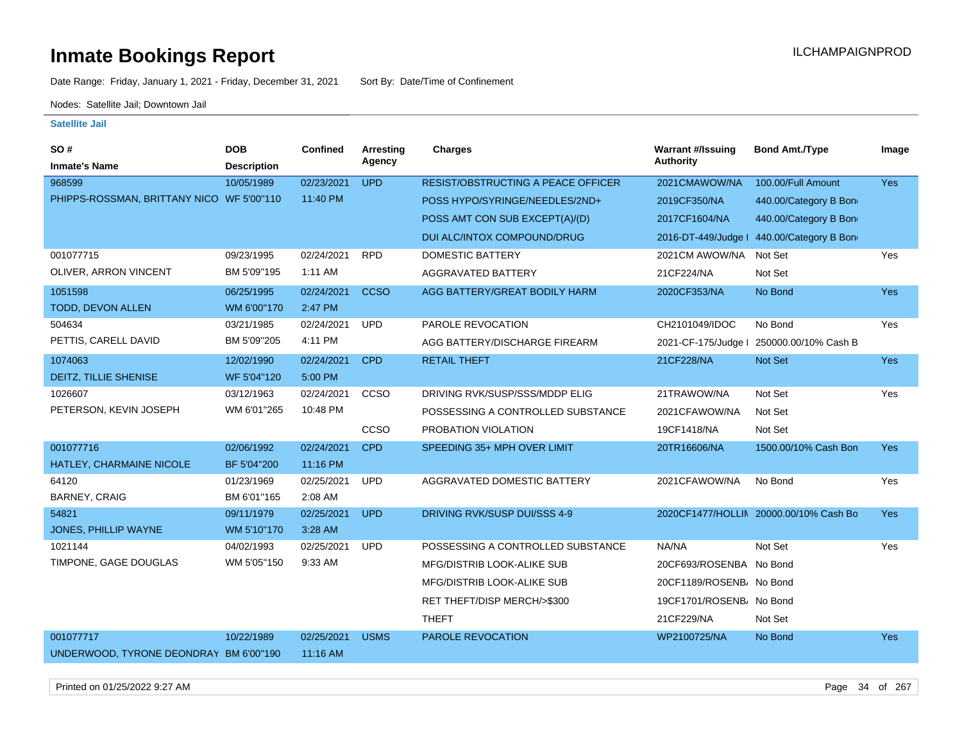Date Range: Friday, January 1, 2021 - Friday, December 31, 2021 Sort By: Date/Time of Confinement

Nodes: Satellite Jail; Downtown Jail

### **Satellite Jail**

| SO#                                       | <b>DOB</b>         | <b>Confined</b> | Arresting   | <b>Charges</b>                            | <b>Warrant #/Issuing</b> | <b>Bond Amt./Type</b>                     | Image      |
|-------------------------------------------|--------------------|-----------------|-------------|-------------------------------------------|--------------------------|-------------------------------------------|------------|
| <b>Inmate's Name</b>                      | <b>Description</b> |                 | Agency      |                                           | <b>Authority</b>         |                                           |            |
| 968599                                    | 10/05/1989         | 02/23/2021      | <b>UPD</b>  | <b>RESIST/OBSTRUCTING A PEACE OFFICER</b> | 2021CMAWOW/NA            | 100.00/Full Amount                        | <b>Yes</b> |
| PHIPPS-ROSSMAN, BRITTANY NICO WF 5'00"110 |                    | 11:40 PM        |             | POSS HYPO/SYRINGE/NEEDLES/2ND+            | 2019CF350/NA             | 440.00/Category B Bon                     |            |
|                                           |                    |                 |             | POSS AMT CON SUB EXCEPT(A)/(D)            | 2017CF1604/NA            | 440.00/Category B Bon                     |            |
|                                           |                    |                 |             | DUI ALC/INTOX COMPOUND/DRUG               |                          | 2016-DT-449/Judge   440.00/Category B Bon |            |
| 001077715                                 | 09/23/1995         | 02/24/2021      | <b>RPD</b>  | <b>DOMESTIC BATTERY</b>                   | 2021CM AWOW/NA           | Not Set                                   | Yes        |
| OLIVER, ARRON VINCENT                     | BM 5'09"195        | 1:11 AM         |             | <b>AGGRAVATED BATTERY</b>                 | 21CF224/NA               | Not Set                                   |            |
| 1051598                                   | 06/25/1995         | 02/24/2021      | <b>CCSO</b> | AGG BATTERY/GREAT BODILY HARM             | 2020CF353/NA             | No Bond                                   | <b>Yes</b> |
| TODD, DEVON ALLEN                         | WM 6'00"170        | 2:47 PM         |             |                                           |                          |                                           |            |
| 504634                                    | 03/21/1985         | 02/24/2021      | <b>UPD</b>  | PAROLE REVOCATION                         | CH2101049/IDOC           | No Bond                                   | Yes        |
| PETTIS, CARELL DAVID                      | BM 5'09"205        | 4:11 PM         |             | AGG BATTERY/DISCHARGE FIREARM             | 2021-CF-175/Judge I      | 250000.00/10% Cash B                      |            |
| 1074063                                   | 12/02/1990         | 02/24/2021      | <b>CPD</b>  | <b>RETAIL THEFT</b>                       | 21CF228/NA               | Not Set                                   | <b>Yes</b> |
| DEITZ, TILLIE SHENISE                     | WF 5'04"120        | 5:00 PM         |             |                                           |                          |                                           |            |
| 1026607                                   | 03/12/1963         | 02/24/2021      | <b>CCSO</b> | DRIVING RVK/SUSP/SSS/MDDP ELIG            | 21TRAWOW/NA              | Not Set                                   | Yes        |
| PETERSON, KEVIN JOSEPH                    | WM 6'01"265        | 10:48 PM        |             | POSSESSING A CONTROLLED SUBSTANCE         | 2021CFAWOW/NA            | Not Set                                   |            |
|                                           |                    |                 | CCSO        | PROBATION VIOLATION                       | 19CF1418/NA              | Not Set                                   |            |
| 001077716                                 | 02/06/1992         | 02/24/2021      | <b>CPD</b>  | SPEEDING 35+ MPH OVER LIMIT               | 20TR16606/NA             | 1500.00/10% Cash Bon                      | <b>Yes</b> |
| HATLEY, CHARMAINE NICOLE                  | BF 5'04"200        | 11:16 PM        |             |                                           |                          |                                           |            |
| 64120                                     | 01/23/1969         | 02/25/2021      | <b>UPD</b>  | AGGRAVATED DOMESTIC BATTERY               | 2021CFAWOW/NA            | No Bond                                   | Yes        |
| <b>BARNEY, CRAIG</b>                      | BM 6'01"165        | 2:08 AM         |             |                                           |                          |                                           |            |
| 54821                                     | 09/11/1979         | 02/25/2021      | <b>UPD</b>  | DRIVING RVK/SUSP DUI/SSS 4-9              |                          | 2020CF1477/HOLLIN 20000.00/10% Cash Bo    | <b>Yes</b> |
| JONES, PHILLIP WAYNE                      | WM 5'10"170        | 3:28 AM         |             |                                           |                          |                                           |            |
| 1021144                                   | 04/02/1993         | 02/25/2021      | <b>UPD</b>  | POSSESSING A CONTROLLED SUBSTANCE         | NA/NA                    | Not Set                                   | Yes        |
| TIMPONE, GAGE DOUGLAS                     | WM 5'05"150        | 9:33 AM         |             | MFG/DISTRIB LOOK-ALIKE SUB                | 20CF693/ROSENBA No Bond  |                                           |            |
|                                           |                    |                 |             | MFG/DISTRIB LOOK-ALIKE SUB                | 20CF1189/ROSENB/ No Bond |                                           |            |
|                                           |                    |                 |             | RET THEFT/DISP MERCH/>\$300               | 19CF1701/ROSENB/ No Bond |                                           |            |
|                                           |                    |                 |             | <b>THEFT</b>                              | 21CF229/NA               | Not Set                                   |            |
| 001077717                                 | 10/22/1989         | 02/25/2021      | <b>USMS</b> | PAROLE REVOCATION                         | WP2100725/NA             | No Bond                                   | Yes        |
| UNDERWOOD, TYRONE DEONDRAY BM 6'00"190    |                    | 11:16 AM        |             |                                           |                          |                                           |            |

Printed on 01/25/2022 9:27 AM Page 34 of 267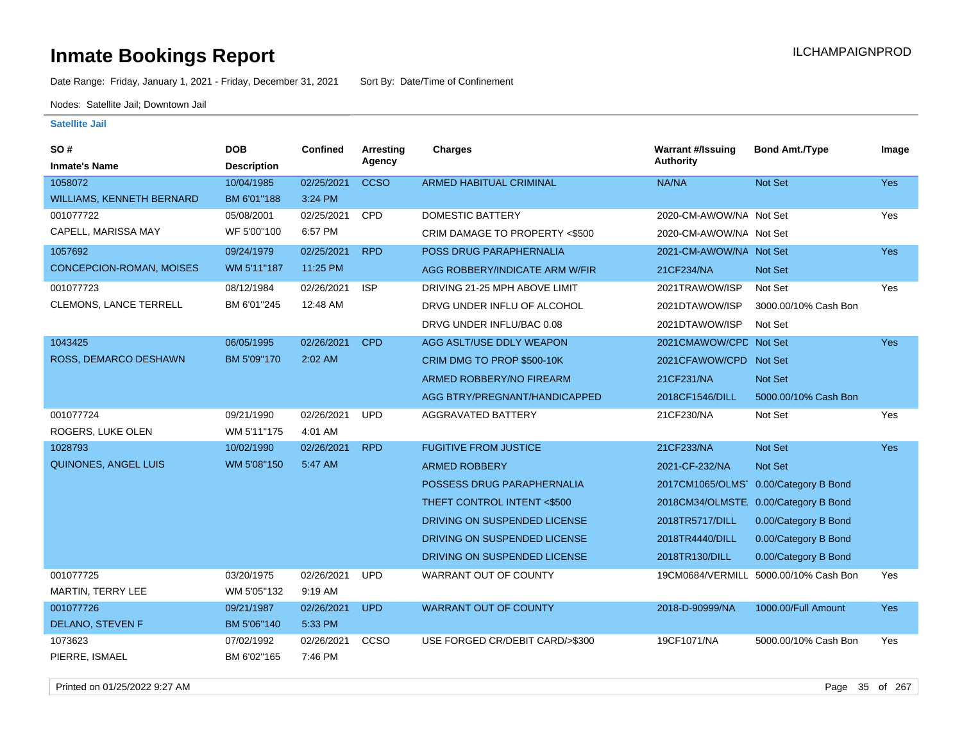Date Range: Friday, January 1, 2021 - Friday, December 31, 2021 Sort By: Date/Time of Confinement

Nodes: Satellite Jail; Downtown Jail

### **Satellite Jail**

| SO#                              | <b>DOB</b>         | <b>Confined</b> | Arresting   | <b>Charges</b>                  | <b>Warrant #/Issuing</b> | <b>Bond Amt./Type</b>                 | Image      |
|----------------------------------|--------------------|-----------------|-------------|---------------------------------|--------------------------|---------------------------------------|------------|
| <b>Inmate's Name</b>             | <b>Description</b> |                 | Agency      |                                 | Authority                |                                       |            |
| 1058072                          | 10/04/1985         | 02/25/2021      | <b>CCSO</b> | ARMED HABITUAL CRIMINAL         | NA/NA                    | Not Set                               | Yes        |
| <b>WILLIAMS, KENNETH BERNARD</b> | BM 6'01"188        | 3:24 PM         |             |                                 |                          |                                       |            |
| 001077722                        | 05/08/2001         | 02/25/2021      | CPD         | <b>DOMESTIC BATTERY</b>         | 2020-CM-AWOW/NA Not Set  |                                       | Yes        |
| CAPELL, MARISSA MAY              | WF 5'00"100        | 6:57 PM         |             | CRIM DAMAGE TO PROPERTY <\$500  | 2020-CM-AWOW/NA Not Set  |                                       |            |
| 1057692                          | 09/24/1979         | 02/25/2021      | <b>RPD</b>  | POSS DRUG PARAPHERNALIA         | 2021-CM-AWOW/NA Not Set  |                                       | Yes        |
| <b>CONCEPCION-ROMAN, MOISES</b>  | WM 5'11"187        | 11:25 PM        |             | AGG ROBBERY/INDICATE ARM W/FIR  | 21CF234/NA               | Not Set                               |            |
| 001077723                        | 08/12/1984         | 02/26/2021      | <b>ISP</b>  | DRIVING 21-25 MPH ABOVE LIMIT   | 2021TRAWOW/ISP           | Not Set                               | Yes        |
| <b>CLEMONS, LANCE TERRELL</b>    | BM 6'01"245        | 12:48 AM        |             | DRVG UNDER INFLU OF ALCOHOL     | 2021DTAWOW/ISP           | 3000.00/10% Cash Bon                  |            |
|                                  |                    |                 |             | DRVG UNDER INFLU/BAC 0.08       | 2021DTAWOW/ISP           | Not Set                               |            |
| 1043425                          | 06/05/1995         | 02/26/2021      | <b>CPD</b>  | AGG ASLT/USE DDLY WEAPON        | 2021CMAWOW/CPD Not Set   |                                       | <b>Yes</b> |
| <b>ROSS, DEMARCO DESHAWN</b>     | BM 5'09"170        | $2:02$ AM       |             | CRIM DMG TO PROP \$500-10K      | 2021 CFAWOW/CPD Not Set  |                                       |            |
|                                  |                    |                 |             | ARMED ROBBERY/NO FIREARM        | 21CF231/NA               | Not Set                               |            |
|                                  |                    |                 |             | AGG BTRY/PREGNANT/HANDICAPPED   | 2018CF1546/DILL          | 5000.00/10% Cash Bon                  |            |
| 001077724                        | 09/21/1990         | 02/26/2021      | <b>UPD</b>  | <b>AGGRAVATED BATTERY</b>       | 21CF230/NA               | Not Set                               | Yes        |
| ROGERS, LUKE OLEN                | WM 5'11"175        | 4:01 AM         |             |                                 |                          |                                       |            |
| 1028793                          | 10/02/1990         | 02/26/2021      | <b>RPD</b>  | <b>FUGITIVE FROM JUSTICE</b>    | 21CF233/NA               | Not Set                               | Yes        |
| <b>QUINONES, ANGEL LUIS</b>      | WM 5'08"150        | 5:47 AM         |             | <b>ARMED ROBBERY</b>            | 2021-CF-232/NA           | <b>Not Set</b>                        |            |
|                                  |                    |                 |             | POSSESS DRUG PARAPHERNALIA      |                          | 2017CM1065/OLMS 0.00/Category B Bond  |            |
|                                  |                    |                 |             | THEFT CONTROL INTENT <\$500     |                          | 2018CM34/OLMSTE. 0.00/Category B Bond |            |
|                                  |                    |                 |             | DRIVING ON SUSPENDED LICENSE    | 2018TR5717/DILL          | 0.00/Category B Bond                  |            |
|                                  |                    |                 |             | DRIVING ON SUSPENDED LICENSE    | 2018TR4440/DILL          | 0.00/Category B Bond                  |            |
|                                  |                    |                 |             | DRIVING ON SUSPENDED LICENSE    | 2018TR130/DILL           | 0.00/Category B Bond                  |            |
| 001077725                        | 03/20/1975         | 02/26/2021      | <b>UPD</b>  | WARRANT OUT OF COUNTY           | 19CM0684/VERMILL         | 5000.00/10% Cash Bon                  | Yes        |
| MARTIN, TERRY LEE                | WM 5'05"132        | 9:19 AM         |             |                                 |                          |                                       |            |
| 001077726                        | 09/21/1987         | 02/26/2021      | <b>UPD</b>  | <b>WARRANT OUT OF COUNTY</b>    | 2018-D-90999/NA          | 1000.00/Full Amount                   | <b>Yes</b> |
| DELANO, STEVEN F                 | BM 5'06"140        | 5:33 PM         |             |                                 |                          |                                       |            |
| 1073623                          | 07/02/1992         | 02/26/2021      | CCSO        | USE FORGED CR/DEBIT CARD/>\$300 | 19CF1071/NA              | 5000.00/10% Cash Bon                  | Yes        |
| PIERRE, ISMAEL                   | BM 6'02"165        | 7:46 PM         |             |                                 |                          |                                       |            |

Printed on 01/25/2022 9:27 AM Page 35 of 267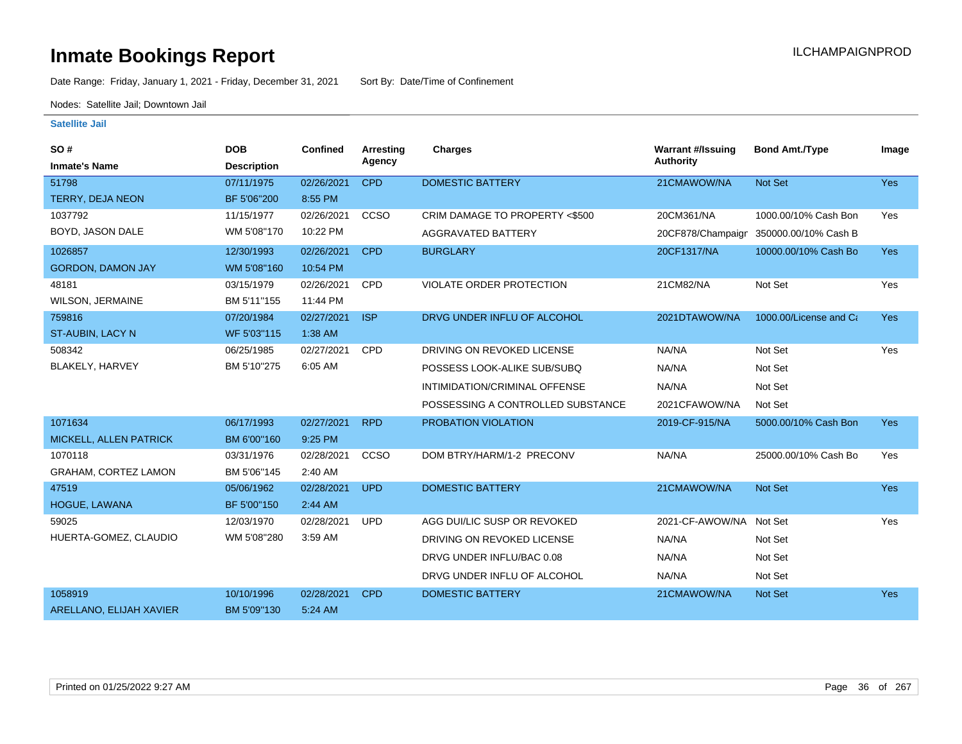Date Range: Friday, January 1, 2021 - Friday, December 31, 2021 Sort By: Date/Time of Confinement

Nodes: Satellite Jail; Downtown Jail

| SO#                         | <b>DOB</b>         | <b>Confined</b> | Arresting  | <b>Charges</b>                    | <b>Warrant #/Issuing</b> | <b>Bond Amt./Type</b>  | Image      |
|-----------------------------|--------------------|-----------------|------------|-----------------------------------|--------------------------|------------------------|------------|
| <b>Inmate's Name</b>        | <b>Description</b> |                 | Agency     |                                   | <b>Authority</b>         |                        |            |
| 51798                       | 07/11/1975         | 02/26/2021      | <b>CPD</b> | <b>DOMESTIC BATTERY</b>           | 21CMAWOW/NA              | Not Set                | Yes        |
| TERRY, DEJA NEON            | BF 5'06"200        | 8:55 PM         |            |                                   |                          |                        |            |
| 1037792                     | 11/15/1977         | 02/26/2021      | CCSO       | CRIM DAMAGE TO PROPERTY <\$500    | 20CM361/NA               | 1000.00/10% Cash Bon   | Yes        |
| BOYD, JASON DALE            | WM 5'08"170        | 10:22 PM        |            | AGGRAVATED BATTERY                | 20CF878/Champaign        | 350000.00/10% Cash B   |            |
| 1026857                     | 12/30/1993         | 02/26/2021      | <b>CPD</b> | <b>BURGLARY</b>                   | 20CF1317/NA              | 10000.00/10% Cash Bo   | <b>Yes</b> |
| <b>GORDON, DAMON JAY</b>    | WM 5'08"160        | 10:54 PM        |            |                                   |                          |                        |            |
| 48181                       | 03/15/1979         | 02/26/2021      | CPD        | VIOLATE ORDER PROTECTION          | 21CM82/NA                | Not Set                | Yes        |
| <b>WILSON, JERMAINE</b>     | BM 5'11"155        | 11:44 PM        |            |                                   |                          |                        |            |
| 759816                      | 07/20/1984         | 02/27/2021      | <b>ISP</b> | DRVG UNDER INFLU OF ALCOHOL       | 2021DTAWOW/NA            | 1000.00/License and Ca | <b>Yes</b> |
| ST-AUBIN, LACY N            | WF 5'03"115        | 1:38 AM         |            |                                   |                          |                        |            |
| 508342                      | 06/25/1985         | 02/27/2021      | CPD        | DRIVING ON REVOKED LICENSE        | NA/NA                    | Not Set                | Yes        |
| BLAKELY, HARVEY             | BM 5'10"275        | 6:05 AM         |            | POSSESS LOOK-ALIKE SUB/SUBQ       | NA/NA                    | Not Set                |            |
|                             |                    |                 |            | INTIMIDATION/CRIMINAL OFFENSE     | NA/NA                    | Not Set                |            |
|                             |                    |                 |            | POSSESSING A CONTROLLED SUBSTANCE | 2021CFAWOW/NA            | Not Set                |            |
| 1071634                     | 06/17/1993         | 02/27/2021      | <b>RPD</b> | PROBATION VIOLATION               | 2019-CF-915/NA           | 5000.00/10% Cash Bon   | <b>Yes</b> |
| MICKELL, ALLEN PATRICK      | BM 6'00"160        | 9:25 PM         |            |                                   |                          |                        |            |
| 1070118                     | 03/31/1976         | 02/28/2021      | CCSO       | DOM BTRY/HARM/1-2 PRECONV         | NA/NA                    | 25000.00/10% Cash Bo   | Yes        |
| <b>GRAHAM, CORTEZ LAMON</b> | BM 5'06"145        | 2:40 AM         |            |                                   |                          |                        |            |
| 47519                       | 05/06/1962         | 02/28/2021      | <b>UPD</b> | <b>DOMESTIC BATTERY</b>           | 21CMAWOW/NA              | <b>Not Set</b>         | Yes        |
| HOGUE, LAWANA               | BF 5'00"150        | 2:44 AM         |            |                                   |                          |                        |            |
| 59025                       | 12/03/1970         | 02/28/2021      | <b>UPD</b> | AGG DUI/LIC SUSP OR REVOKED       | 2021-CF-AWOW/NA          | Not Set                | Yes        |
| HUERTA-GOMEZ, CLAUDIO       | WM 5'08"280        | 3:59 AM         |            | DRIVING ON REVOKED LICENSE        | NA/NA                    | Not Set                |            |
|                             |                    |                 |            | DRVG UNDER INFLU/BAC 0.08         | NA/NA                    | Not Set                |            |
|                             |                    |                 |            | DRVG UNDER INFLU OF ALCOHOL       | NA/NA                    | Not Set                |            |
| 1058919                     | 10/10/1996         | 02/28/2021      | <b>CPD</b> | <b>DOMESTIC BATTERY</b>           | 21CMAWOW/NA              | Not Set                | Yes        |
| ARELLANO, ELIJAH XAVIER     | BM 5'09"130        | 5:24 AM         |            |                                   |                          |                        |            |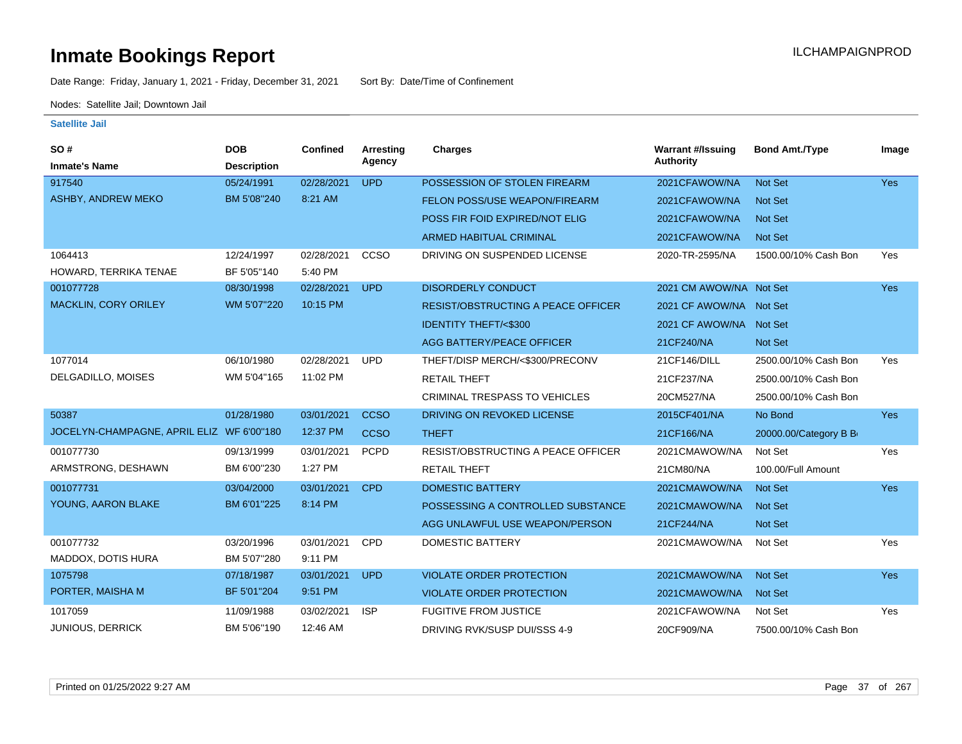Date Range: Friday, January 1, 2021 - Friday, December 31, 2021 Sort By: Date/Time of Confinement

Nodes: Satellite Jail; Downtown Jail

| SO#                                       | <b>DOB</b>         | <b>Confined</b> | Arresting   | <b>Charges</b>                            | <b>Warrant #/Issuing</b> | <b>Bond Amt./Type</b> | Image      |
|-------------------------------------------|--------------------|-----------------|-------------|-------------------------------------------|--------------------------|-----------------------|------------|
| <b>Inmate's Name</b>                      | <b>Description</b> |                 | Agency      |                                           | Authority                |                       |            |
| 917540                                    | 05/24/1991         | 02/28/2021      | <b>UPD</b>  | POSSESSION OF STOLEN FIREARM              | 2021CFAWOW/NA            | Not Set               | <b>Yes</b> |
| ASHBY, ANDREW MEKO                        | BM 5'08"240        | 8:21 AM         |             | <b>FELON POSS/USE WEAPON/FIREARM</b>      | 2021CFAWOW/NA            | <b>Not Set</b>        |            |
|                                           |                    |                 |             | POSS FIR FOID EXPIRED/NOT ELIG            | 2021CFAWOW/NA            | Not Set               |            |
|                                           |                    |                 |             | <b>ARMED HABITUAL CRIMINAL</b>            | 2021CFAWOW/NA            | <b>Not Set</b>        |            |
| 1064413                                   | 12/24/1997         | 02/28/2021      | CCSO        | DRIVING ON SUSPENDED LICENSE              | 2020-TR-2595/NA          | 1500.00/10% Cash Bon  | Yes        |
| HOWARD, TERRIKA TENAE                     | BF 5'05"140        | 5:40 PM         |             |                                           |                          |                       |            |
| 001077728                                 | 08/30/1998         | 02/28/2021      | <b>UPD</b>  | <b>DISORDERLY CONDUCT</b>                 | 2021 CM AWOW/NA Not Set  |                       | <b>Yes</b> |
| <b>MACKLIN, CORY ORILEY</b>               | WM 5'07"220        | 10:15 PM        |             | <b>RESIST/OBSTRUCTING A PEACE OFFICER</b> | 2021 CF AWOW/NA Not Set  |                       |            |
|                                           |                    |                 |             | <b>IDENTITY THEFT/&lt;\$300</b>           | 2021 CF AWOW/NA Not Set  |                       |            |
|                                           |                    |                 |             | <b>AGG BATTERY/PEACE OFFICER</b>          | 21CF240/NA               | Not Set               |            |
| 1077014                                   | 06/10/1980         | 02/28/2021      | <b>UPD</b>  | THEFT/DISP MERCH/<\$300/PRECONV           | 21CF146/DILL             | 2500.00/10% Cash Bon  | Yes        |
| DELGADILLO, MOISES                        | WM 5'04"165        | 11:02 PM        |             | <b>RETAIL THEFT</b>                       | 21CF237/NA               | 2500.00/10% Cash Bon  |            |
|                                           |                    |                 |             | <b>CRIMINAL TRESPASS TO VEHICLES</b>      | 20CM527/NA               | 2500.00/10% Cash Bon  |            |
| 50387                                     | 01/28/1980         | 03/01/2021      | <b>CCSO</b> | DRIVING ON REVOKED LICENSE                | 2015CF401/NA             | No Bond               | <b>Yes</b> |
| JOCELYN-CHAMPAGNE, APRIL ELIZ WF 6'00"180 |                    | 12:37 PM        | <b>CCSO</b> | <b>THEFT</b>                              | 21CF166/NA               | 20000.00/Category B B |            |
| 001077730                                 | 09/13/1999         | 03/01/2021      | <b>PCPD</b> | RESIST/OBSTRUCTING A PEACE OFFICER        | 2021CMAWOW/NA            | Not Set               | Yes        |
| ARMSTRONG, DESHAWN                        | BM 6'00"230        | 1:27 PM         |             | <b>RETAIL THEFT</b>                       | 21CM80/NA                | 100.00/Full Amount    |            |
| 001077731                                 | 03/04/2000         | 03/01/2021      | <b>CPD</b>  | <b>DOMESTIC BATTERY</b>                   | 2021CMAWOW/NA            | Not Set               | <b>Yes</b> |
| YOUNG, AARON BLAKE                        | BM 6'01"225        | 8:14 PM         |             | POSSESSING A CONTROLLED SUBSTANCE         | 2021CMAWOW/NA            | Not Set               |            |
|                                           |                    |                 |             | AGG UNLAWFUL USE WEAPON/PERSON            | 21CF244/NA               | Not Set               |            |
| 001077732                                 | 03/20/1996         | 03/01/2021      | <b>CPD</b>  | <b>DOMESTIC BATTERY</b>                   | 2021CMAWOW/NA            | Not Set               | Yes        |
| MADDOX, DOTIS HURA                        | BM 5'07"280        | 9:11 PM         |             |                                           |                          |                       |            |
| 1075798                                   | 07/18/1987         | 03/01/2021      | <b>UPD</b>  | <b>VIOLATE ORDER PROTECTION</b>           | 2021CMAWOW/NA            | Not Set               | <b>Yes</b> |
| PORTER, MAISHA M                          | BF 5'01"204        | 9:51 PM         |             | <b>VIOLATE ORDER PROTECTION</b>           | 2021CMAWOW/NA            | <b>Not Set</b>        |            |
| 1017059                                   | 11/09/1988         | 03/02/2021      | <b>ISP</b>  | <b>FUGITIVE FROM JUSTICE</b>              | 2021CFAWOW/NA            | Not Set               | Yes        |
| <b>JUNIOUS, DERRICK</b>                   | BM 5'06"190        | 12:46 AM        |             | DRIVING RVK/SUSP DUI/SSS 4-9              | 20CF909/NA               | 7500.00/10% Cash Bon  |            |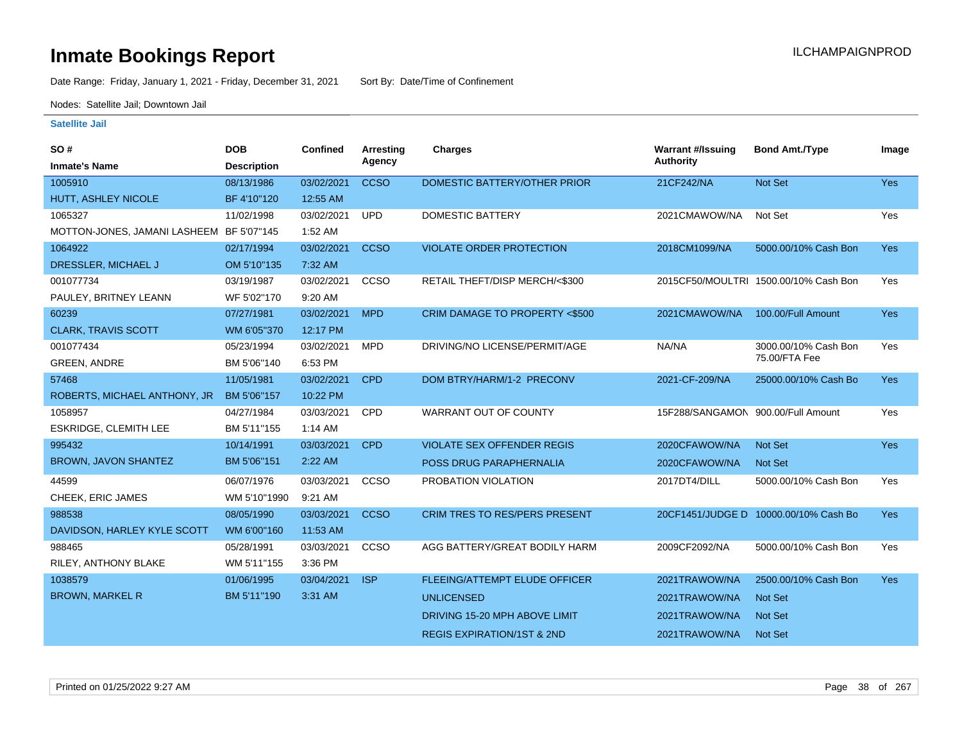Date Range: Friday, January 1, 2021 - Friday, December 31, 2021 Sort By: Date/Time of Confinement

Nodes: Satellite Jail; Downtown Jail

| SO#                                      | <b>DOB</b>         | <b>Confined</b> | <b>Arresting</b> | <b>Charges</b>                           | <b>Warrant #/Issuing</b>           | <b>Bond Amt./Type</b>                 | Image      |
|------------------------------------------|--------------------|-----------------|------------------|------------------------------------------|------------------------------------|---------------------------------------|------------|
| <b>Inmate's Name</b>                     | <b>Description</b> |                 | Agency           |                                          | <b>Authority</b>                   |                                       |            |
| 1005910                                  | 08/13/1986         | 03/02/2021      | <b>CCSO</b>      | DOMESTIC BATTERY/OTHER PRIOR             | 21CF242/NA                         | <b>Not Set</b>                        | Yes        |
| HUTT, ASHLEY NICOLE                      | BF 4'10"120        | 12:55 AM        |                  |                                          |                                    |                                       |            |
| 1065327                                  | 11/02/1998         | 03/02/2021      | <b>UPD</b>       | <b>DOMESTIC BATTERY</b>                  | 2021CMAWOW/NA                      | Not Set                               | Yes        |
| MOTTON-JONES, JAMANI LASHEEM BF 5'07"145 |                    | 1:52 AM         |                  |                                          |                                    |                                       |            |
| 1064922                                  | 02/17/1994         | 03/02/2021      | <b>CCSO</b>      | <b>VIOLATE ORDER PROTECTION</b>          | 2018CM1099/NA                      | 5000.00/10% Cash Bon                  | <b>Yes</b> |
| DRESSLER, MICHAEL J                      | OM 5'10"135        | 7:32 AM         |                  |                                          |                                    |                                       |            |
| 001077734                                | 03/19/1987         | 03/02/2021      | <b>CCSO</b>      | RETAIL THEFT/DISP MERCH/<\$300           |                                    | 2015CF50/MOULTRI 1500.00/10% Cash Bon | Yes        |
| PAULEY, BRITNEY LEANN                    | WF 5'02"170        | 9:20 AM         |                  |                                          |                                    |                                       |            |
| 60239                                    | 07/27/1981         | 03/02/2021      | <b>MPD</b>       | <b>CRIM DAMAGE TO PROPERTY &lt;\$500</b> | 2021CMAWOW/NA                      | 100.00/Full Amount                    | <b>Yes</b> |
| <b>CLARK, TRAVIS SCOTT</b>               | WM 6'05"370        | 12:17 PM        |                  |                                          |                                    |                                       |            |
| 001077434                                | 05/23/1994         | 03/02/2021      | <b>MPD</b>       | DRIVING/NO LICENSE/PERMIT/AGE            | NA/NA                              | 3000.00/10% Cash Bon                  | Yes        |
| <b>GREEN, ANDRE</b>                      | BM 5'06"140        | 6:53 PM         |                  |                                          |                                    | 75.00/FTA Fee                         |            |
| 57468                                    | 11/05/1981         | 03/02/2021      | <b>CPD</b>       | DOM BTRY/HARM/1-2 PRECONV                | 2021-CF-209/NA                     | 25000.00/10% Cash Bo                  | Yes        |
| ROBERTS, MICHAEL ANTHONY, JR             | BM 5'06"157        | 10:22 PM        |                  |                                          |                                    |                                       |            |
| 1058957                                  | 04/27/1984         | 03/03/2021      | <b>CPD</b>       | <b>WARRANT OUT OF COUNTY</b>             | 15F288/SANGAMON 900.00/Full Amount |                                       | Yes        |
| <b>ESKRIDGE, CLEMITH LEE</b>             | BM 5'11"155        | $1:14$ AM       |                  |                                          |                                    |                                       |            |
| 995432                                   | 10/14/1991         | 03/03/2021      | <b>CPD</b>       | <b>VIOLATE SEX OFFENDER REGIS</b>        | 2020CFAWOW/NA                      | <b>Not Set</b>                        | Yes        |
| BROWN, JAVON SHANTEZ                     | BM 5'06"151        | 2:22 AM         |                  | <b>POSS DRUG PARAPHERNALIA</b>           | 2020CFAWOW/NA                      | <b>Not Set</b>                        |            |
| 44599                                    | 06/07/1976         | 03/03/2021      | CCSO             | PROBATION VIOLATION                      | 2017DT4/DILL                       | 5000.00/10% Cash Bon                  | Yes        |
| CHEEK, ERIC JAMES                        | WM 5'10"1990       | 9:21 AM         |                  |                                          |                                    |                                       |            |
| 988538                                   | 08/05/1990         | 03/03/2021      | <b>CCSO</b>      | <b>CRIM TRES TO RES/PERS PRESENT</b>     |                                    | 20CF1451/JUDGE D 10000.00/10% Cash Bo | Yes        |
| DAVIDSON, HARLEY KYLE SCOTT              | WM 6'00"160        | 11:53 AM        |                  |                                          |                                    |                                       |            |
| 988465                                   | 05/28/1991         | 03/03/2021      | CCSO             | AGG BATTERY/GREAT BODILY HARM            | 2009CF2092/NA                      | 5000.00/10% Cash Bon                  | Yes        |
| RILEY, ANTHONY BLAKE                     | WM 5'11"155        | 3:36 PM         |                  |                                          |                                    |                                       |            |
| 1038579                                  | 01/06/1995         | 03/04/2021      | <b>ISP</b>       | <b>FLEEING/ATTEMPT ELUDE OFFICER</b>     | 2021TRAWOW/NA                      | 2500.00/10% Cash Bon                  | Yes        |
| <b>BROWN, MARKEL R</b>                   | BM 5'11"190        | 3:31 AM         |                  | <b>UNLICENSED</b>                        | 2021TRAWOW/NA                      | <b>Not Set</b>                        |            |
|                                          |                    |                 |                  | DRIVING 15-20 MPH ABOVE LIMIT            | 2021TRAWOW/NA                      | <b>Not Set</b>                        |            |
|                                          |                    |                 |                  | <b>REGIS EXPIRATION/1ST &amp; 2ND</b>    | 2021TRAWOW/NA                      | <b>Not Set</b>                        |            |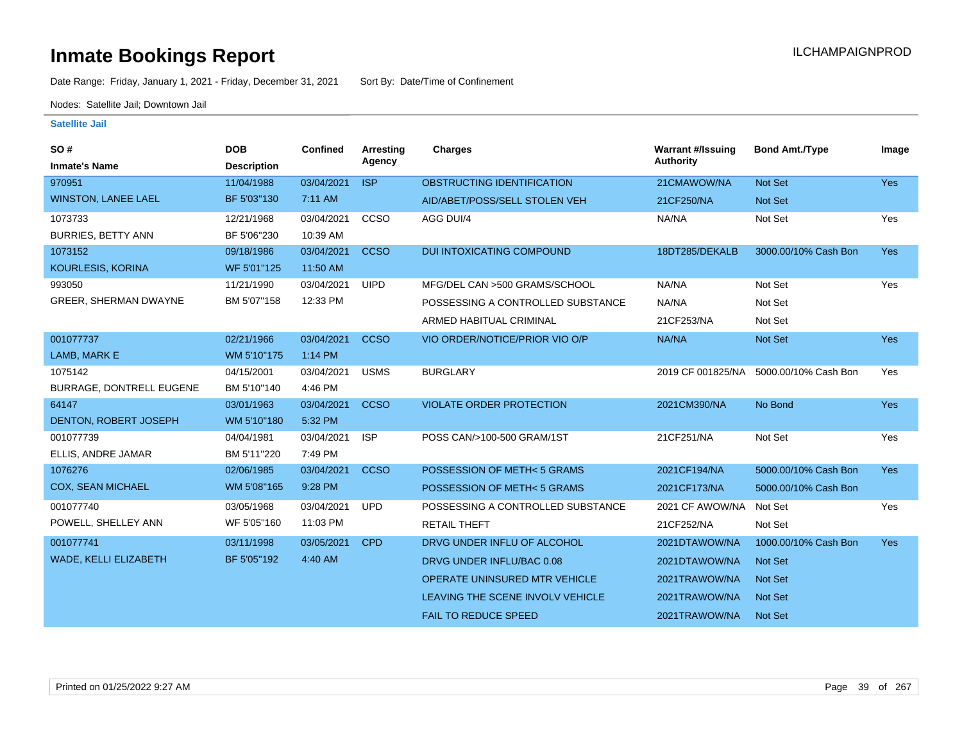Date Range: Friday, January 1, 2021 - Friday, December 31, 2021 Sort By: Date/Time of Confinement

Nodes: Satellite Jail; Downtown Jail

| SO#<br><b>Inmate's Name</b>          | <b>DOB</b><br><b>Description</b> | <b>Confined</b>        | <b>Arresting</b><br>Agency | Charges                           | <b>Warrant #/Issuing</b><br><b>Authority</b> | <b>Bond Amt./Type</b> | Image      |
|--------------------------------------|----------------------------------|------------------------|----------------------------|-----------------------------------|----------------------------------------------|-----------------------|------------|
| 970951                               | 11/04/1988                       | 03/04/2021             | <b>ISP</b>                 | OBSTRUCTING IDENTIFICATION        | 21CMAWOW/NA                                  | Not Set               | Yes        |
| <b>WINSTON, LANEE LAEL</b>           | BF 5'03"130                      | 7:11 AM                |                            | AID/ABET/POSS/SELL STOLEN VEH     | 21CF250/NA                                   | <b>Not Set</b>        |            |
| 1073733<br><b>BURRIES, BETTY ANN</b> | 12/21/1968<br>BF 5'06"230        | 03/04/2021<br>10:39 AM | CCSO                       | AGG DUI/4                         | NA/NA                                        | Not Set               | Yes        |
| 1073152                              | 09/18/1986                       | 03/04/2021             | <b>CCSO</b>                | <b>DUI INTOXICATING COMPOUND</b>  | 18DT285/DEKALB                               | 3000.00/10% Cash Bon  | <b>Yes</b> |
| KOURLESIS, KORINA                    | WF 5'01"125                      | 11:50 AM               |                            |                                   |                                              |                       |            |
| 993050                               | 11/21/1990                       | 03/04/2021             | <b>UIPD</b>                | MFG/DEL CAN >500 GRAMS/SCHOOL     | NA/NA                                        | Not Set               | Yes        |
| GREER, SHERMAN DWAYNE                | BM 5'07"158                      | 12:33 PM               |                            | POSSESSING A CONTROLLED SUBSTANCE | NA/NA                                        | Not Set               |            |
|                                      |                                  |                        |                            | ARMED HABITUAL CRIMINAL           | 21CF253/NA                                   | Not Set               |            |
| 001077737                            | 02/21/1966                       | 03/04/2021             | <b>CCSO</b>                | VIO ORDER/NOTICE/PRIOR VIO O/P    | NA/NA                                        | Not Set               | <b>Yes</b> |
| LAMB, MARK E                         | WM 5'10"175                      | 1:14 PM                |                            |                                   |                                              |                       |            |
| 1075142                              | 04/15/2001                       | 03/04/2021             | <b>USMS</b>                | <b>BURGLARY</b>                   | 2019 CF 001825/NA                            | 5000.00/10% Cash Bon  | Yes        |
| BURRAGE, DONTRELL EUGENE             | BM 5'10"140                      | 4:46 PM                |                            |                                   |                                              |                       |            |
| 64147                                | 03/01/1963                       | 03/04/2021             | <b>CCSO</b>                | <b>VIOLATE ORDER PROTECTION</b>   | 2021CM390/NA                                 | No Bond               | <b>Yes</b> |
| DENTON, ROBERT JOSEPH                | WM 5'10"180                      | 5:32 PM                |                            |                                   |                                              |                       |            |
| 001077739                            | 04/04/1981                       | 03/04/2021             | <b>ISP</b>                 | POSS CAN/>100-500 GRAM/1ST        | 21CF251/NA                                   | Not Set               | Yes        |
| ELLIS, ANDRE JAMAR                   | BM 5'11"220                      | 7:49 PM                |                            |                                   |                                              |                       |            |
| 1076276                              | 02/06/1985                       | 03/04/2021             | <b>CCSO</b>                | POSSESSION OF METH<5 GRAMS        | 2021CF194/NA                                 | 5000.00/10% Cash Bon  | <b>Yes</b> |
| <b>COX, SEAN MICHAEL</b>             | WM 5'08"165                      | 9:28 PM                |                            | POSSESSION OF METH<5 GRAMS        | 2021CF173/NA                                 | 5000.00/10% Cash Bon  |            |
| 001077740                            | 03/05/1968                       | 03/04/2021             | <b>UPD</b>                 | POSSESSING A CONTROLLED SUBSTANCE | 2021 CF AWOW/NA                              | Not Set               | Yes        |
| POWELL, SHELLEY ANN                  | WF 5'05"160                      | 11:03 PM               |                            | <b>RETAIL THEFT</b>               | 21CF252/NA                                   | Not Set               |            |
| 001077741                            | 03/11/1998                       | 03/05/2021             | <b>CPD</b>                 | DRVG UNDER INFLU OF ALCOHOL       | 2021DTAWOW/NA                                | 1000.00/10% Cash Bon  | <b>Yes</b> |
| WADE, KELLI ELIZABETH                | BF 5'05"192                      | 4:40 AM                |                            | DRVG UNDER INFLU/BAC 0.08         | 2021DTAWOW/NA                                | <b>Not Set</b>        |            |
|                                      |                                  |                        |                            | OPERATE UNINSURED MTR VEHICLE     | 2021TRAWOW/NA                                | <b>Not Set</b>        |            |
|                                      |                                  |                        |                            | LEAVING THE SCENE INVOLV VEHICLE  | 2021TRAWOW/NA                                | <b>Not Set</b>        |            |
|                                      |                                  |                        |                            | <b>FAIL TO REDUCE SPEED</b>       | 2021TRAWOW/NA                                | <b>Not Set</b>        |            |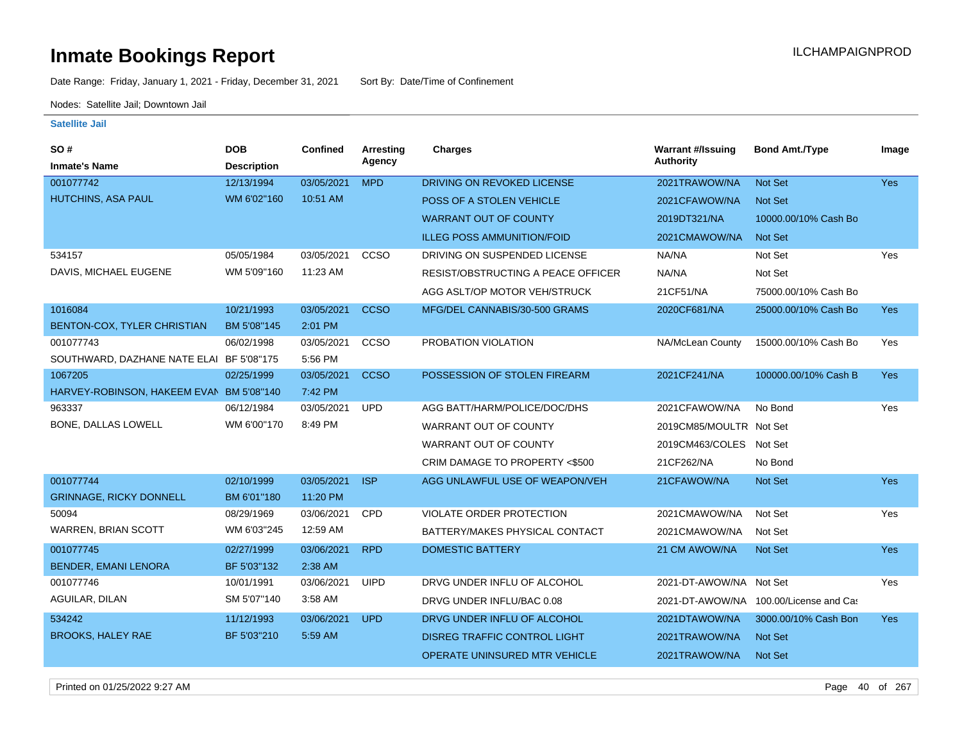Date Range: Friday, January 1, 2021 - Friday, December 31, 2021 Sort By: Date/Time of Confinement

Nodes: Satellite Jail; Downtown Jail

| SO#                                      | <b>DOB</b>         | Confined   | Arresting   | <b>Charges</b>                       | <b>Warrant #/Issuing</b> | <b>Bond Amt./Type</b>                  | Image      |
|------------------------------------------|--------------------|------------|-------------|--------------------------------------|--------------------------|----------------------------------------|------------|
| <b>Inmate's Name</b>                     | <b>Description</b> |            | Agency      |                                      | <b>Authority</b>         |                                        |            |
| 001077742                                | 12/13/1994         | 03/05/2021 | <b>MPD</b>  | DRIVING ON REVOKED LICENSE           | 2021TRAWOW/NA            | <b>Not Set</b>                         | <b>Yes</b> |
| <b>HUTCHINS, ASA PAUL</b>                | WM 6'02"160        | 10:51 AM   |             | POSS OF A STOLEN VEHICLE             | 2021CFAWOW/NA            | <b>Not Set</b>                         |            |
|                                          |                    |            |             | <b>WARRANT OUT OF COUNTY</b>         | 2019DT321/NA             | 10000.00/10% Cash Bo                   |            |
|                                          |                    |            |             | <b>ILLEG POSS AMMUNITION/FOID</b>    | 2021CMAWOW/NA            | <b>Not Set</b>                         |            |
| 534157                                   | 05/05/1984         | 03/05/2021 | CCSO        | DRIVING ON SUSPENDED LICENSE         | NA/NA                    | Not Set                                | Yes        |
| DAVIS, MICHAEL EUGENE                    | WM 5'09"160        | 11:23 AM   |             | RESIST/OBSTRUCTING A PEACE OFFICER   | NA/NA                    | Not Set                                |            |
|                                          |                    |            |             | AGG ASLT/OP MOTOR VEH/STRUCK         | 21CF51/NA                | 75000.00/10% Cash Bo                   |            |
| 1016084                                  | 10/21/1993         | 03/05/2021 | <b>CCSO</b> | MFG/DEL CANNABIS/30-500 GRAMS        | 2020CF681/NA             | 25000.00/10% Cash Bo                   | <b>Yes</b> |
| BENTON-COX, TYLER CHRISTIAN              | BM 5'08"145        | 2:01 PM    |             |                                      |                          |                                        |            |
| 001077743                                | 06/02/1998         | 03/05/2021 | CCSO        | PROBATION VIOLATION                  | NA/McLean County         | 15000.00/10% Cash Bo                   | Yes        |
| SOUTHWARD, DAZHANE NATE ELAI BF 5'08"175 |                    | 5:56 PM    |             |                                      |                          |                                        |            |
| 1067205                                  | 02/25/1999         | 03/05/2021 | <b>CCSO</b> | POSSESSION OF STOLEN FIREARM         | 2021CF241/NA             | 100000.00/10% Cash B                   | <b>Yes</b> |
| HARVEY-ROBINSON, HAKEEM EVAN BM 5'08"140 |                    | 7:42 PM    |             |                                      |                          |                                        |            |
| 963337                                   | 06/12/1984         | 03/05/2021 | <b>UPD</b>  | AGG BATT/HARM/POLICE/DOC/DHS         | 2021CFAWOW/NA            | No Bond                                | Yes        |
| BONE, DALLAS LOWELL                      | WM 6'00"170        | 8:49 PM    |             | WARRANT OUT OF COUNTY                | 2019CM85/MOULTR Not Set  |                                        |            |
|                                          |                    |            |             | WARRANT OUT OF COUNTY                | 2019CM463/COLES Not Set  |                                        |            |
|                                          |                    |            |             | CRIM DAMAGE TO PROPERTY <\$500       | 21CF262/NA               | No Bond                                |            |
| 001077744                                | 02/10/1999         | 03/05/2021 | <b>ISP</b>  | AGG UNLAWFUL USE OF WEAPON/VEH       | 21CFAWOW/NA              | <b>Not Set</b>                         | <b>Yes</b> |
| <b>GRINNAGE, RICKY DONNELL</b>           | BM 6'01"180        | 11:20 PM   |             |                                      |                          |                                        |            |
| 50094                                    | 08/29/1969         | 03/06/2021 | CPD         | <b>VIOLATE ORDER PROTECTION</b>      | 2021CMAWOW/NA            | Not Set                                | Yes        |
| <b>WARREN, BRIAN SCOTT</b>               | WM 6'03"245        | 12:59 AM   |             | BATTERY/MAKES PHYSICAL CONTACT       | 2021CMAWOW/NA            | Not Set                                |            |
| 001077745                                | 02/27/1999         | 03/06/2021 | <b>RPD</b>  | <b>DOMESTIC BATTERY</b>              | 21 CM AWOW/NA            | <b>Not Set</b>                         | <b>Yes</b> |
| <b>BENDER, EMANI LENORA</b>              | BF 5'03"132        | 2:38 AM    |             |                                      |                          |                                        |            |
| 001077746                                | 10/01/1991         | 03/06/2021 | <b>UIPD</b> | DRVG UNDER INFLU OF ALCOHOL          | 2021-DT-AWOW/NA Not Set  |                                        | Yes        |
| AGUILAR, DILAN                           | SM 5'07"140        | 3:58 AM    |             | DRVG UNDER INFLU/BAC 0.08            |                          | 2021-DT-AWOW/NA 100.00/License and Cas |            |
| 534242                                   | 11/12/1993         | 03/06/2021 | <b>UPD</b>  | DRVG UNDER INFLU OF ALCOHOL          | 2021DTAWOW/NA            | 3000.00/10% Cash Bon                   | Yes        |
| <b>BROOKS, HALEY RAE</b>                 | BF 5'03"210        | 5:59 AM    |             | <b>DISREG TRAFFIC CONTROL LIGHT</b>  | 2021TRAWOW/NA            | <b>Not Set</b>                         |            |
|                                          |                    |            |             | <b>OPERATE UNINSURED MTR VEHICLE</b> | 2021TRAWOW/NA            | <b>Not Set</b>                         |            |
|                                          |                    |            |             |                                      |                          |                                        |            |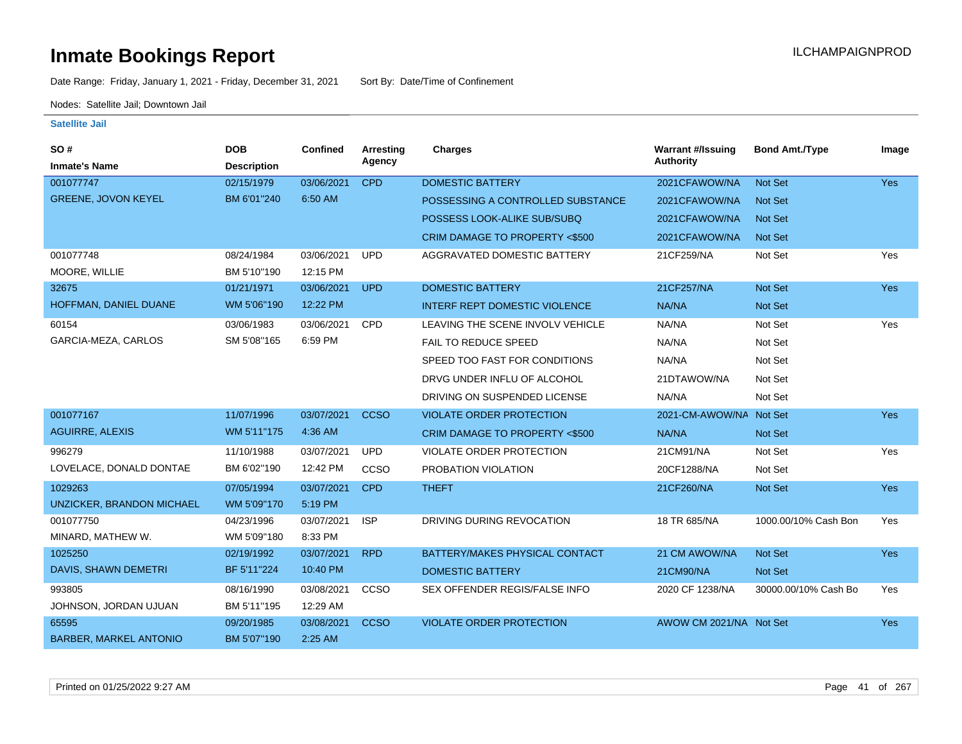Date Range: Friday, January 1, 2021 - Friday, December 31, 2021 Sort By: Date/Time of Confinement

Nodes: Satellite Jail; Downtown Jail

| SO#                              | <b>DOB</b>         | Confined   | <b>Arresting</b> | <b>Charges</b>                       | <b>Warrant #/Issuing</b> | <b>Bond Amt./Type</b> | Image |
|----------------------------------|--------------------|------------|------------------|--------------------------------------|--------------------------|-----------------------|-------|
| <b>Inmate's Name</b>             | <b>Description</b> |            | Agency           |                                      | <b>Authority</b>         |                       |       |
| 001077747                        | 02/15/1979         | 03/06/2021 | <b>CPD</b>       | <b>DOMESTIC BATTERY</b>              | 2021CFAWOW/NA            | Not Set               | Yes   |
| <b>GREENE, JOVON KEYEL</b>       | BM 6'01"240        | 6:50 AM    |                  | POSSESSING A CONTROLLED SUBSTANCE    | 2021CFAWOW/NA            | <b>Not Set</b>        |       |
|                                  |                    |            |                  | POSSESS LOOK-ALIKE SUB/SUBQ          | 2021CFAWOW/NA            | <b>Not Set</b>        |       |
|                                  |                    |            |                  | CRIM DAMAGE TO PROPERTY <\$500       | 2021CFAWOW/NA            | <b>Not Set</b>        |       |
| 001077748                        | 08/24/1984         | 03/06/2021 | <b>UPD</b>       | AGGRAVATED DOMESTIC BATTERY          | 21CF259/NA               | Not Set               | Yes   |
| MOORE, WILLIE                    | BM 5'10"190        | 12:15 PM   |                  |                                      |                          |                       |       |
| 32675                            | 01/21/1971         | 03/06/2021 | <b>UPD</b>       | <b>DOMESTIC BATTERY</b>              | 21CF257/NA               | Not Set               | Yes   |
| HOFFMAN, DANIEL DUANE            | WM 5'06"190        | 12:22 PM   |                  | <b>INTERF REPT DOMESTIC VIOLENCE</b> | NA/NA                    | Not Set               |       |
| 60154                            | 03/06/1983         | 03/06/2021 | CPD              | LEAVING THE SCENE INVOLV VEHICLE     | NA/NA                    | Not Set               | Yes   |
| GARCIA-MEZA, CARLOS              | SM 5'08"165        | 6:59 PM    |                  | FAIL TO REDUCE SPEED                 | NA/NA                    | Not Set               |       |
|                                  |                    |            |                  | SPEED TOO FAST FOR CONDITIONS        | NA/NA                    | Not Set               |       |
|                                  |                    |            |                  | DRVG UNDER INFLU OF ALCOHOL          | 21DTAWOW/NA              | Not Set               |       |
|                                  |                    |            |                  | DRIVING ON SUSPENDED LICENSE         | NA/NA                    | Not Set               |       |
| 001077167                        | 11/07/1996         | 03/07/2021 | <b>CCSO</b>      | <b>VIOLATE ORDER PROTECTION</b>      | 2021-CM-AWOW/NA          | Not Set               | Yes   |
| <b>AGUIRRE, ALEXIS</b>           | WM 5'11"175        | 4:36 AM    |                  | CRIM DAMAGE TO PROPERTY <\$500       | NA/NA                    | <b>Not Set</b>        |       |
| 996279                           | 11/10/1988         | 03/07/2021 | <b>UPD</b>       | VIOLATE ORDER PROTECTION             | 21CM91/NA                | Not Set               | Yes   |
| LOVELACE, DONALD DONTAE          | BM 6'02"190        | 12:42 PM   | CCSO             | PROBATION VIOLATION                  | 20CF1288/NA              | Not Set               |       |
| 1029263                          | 07/05/1994         | 03/07/2021 | <b>CPD</b>       | <b>THEFT</b>                         | 21CF260/NA               | Not Set               | Yes   |
| <b>UNZICKER, BRANDON MICHAEL</b> | WM 5'09"170        | 5:19 PM    |                  |                                      |                          |                       |       |
| 001077750                        | 04/23/1996         | 03/07/2021 | <b>ISP</b>       | DRIVING DURING REVOCATION            | 18 TR 685/NA             | 1000.00/10% Cash Bon  | Yes   |
| MINARD, MATHEW W.                | WM 5'09"180        | 8:33 PM    |                  |                                      |                          |                       |       |
| 1025250                          | 02/19/1992         | 03/07/2021 | <b>RPD</b>       | BATTERY/MAKES PHYSICAL CONTACT       | 21 CM AWOW/NA            | <b>Not Set</b>        | Yes   |
| DAVIS, SHAWN DEMETRI             | BF 5'11"224        | 10:40 PM   |                  | <b>DOMESTIC BATTERY</b>              | 21CM90/NA                | Not Set               |       |
| 993805                           | 08/16/1990         | 03/08/2021 | CCSO             | SEX OFFENDER REGIS/FALSE INFO        | 2020 CF 1238/NA          | 30000.00/10% Cash Bo  | Yes   |
| JOHNSON, JORDAN UJUAN            | BM 5'11"195        | 12:29 AM   |                  |                                      |                          |                       |       |
| 65595                            | 09/20/1985         | 03/08/2021 | <b>CCSO</b>      | <b>VIOLATE ORDER PROTECTION</b>      | AWOW CM 2021/NA Not Set  |                       | Yes   |
| <b>BARBER, MARKEL ANTONIO</b>    | BM 5'07"190        | 2:25 AM    |                  |                                      |                          |                       |       |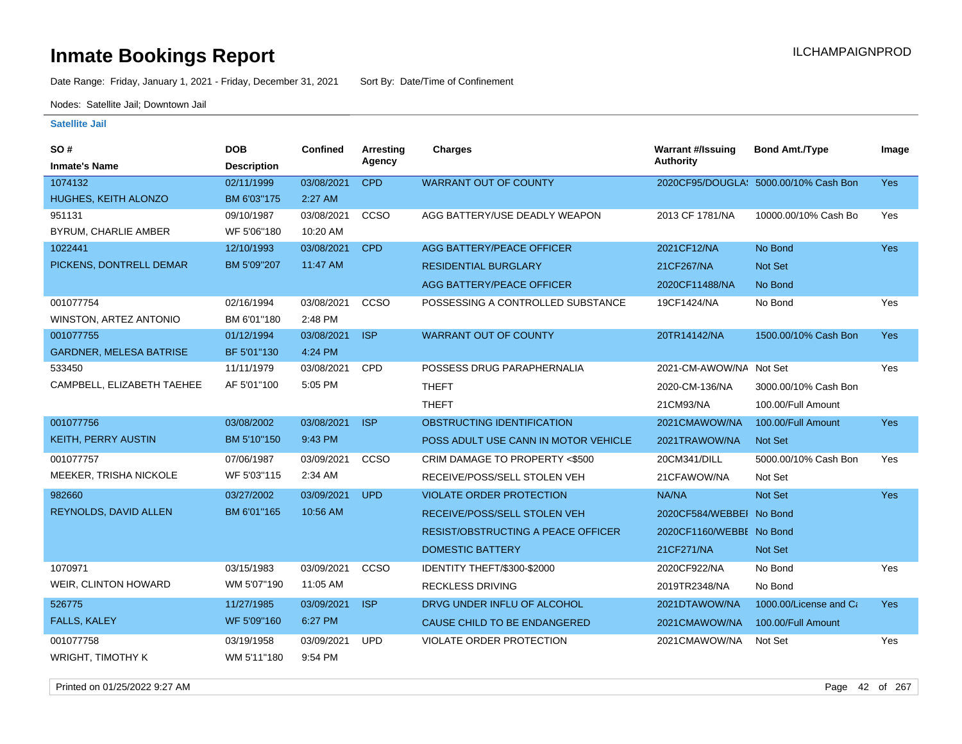Date Range: Friday, January 1, 2021 - Friday, December 31, 2021 Sort By: Date/Time of Confinement

Nodes: Satellite Jail; Downtown Jail

### **Satellite Jail**

| SO#<br><b>Inmate's Name</b>    | <b>DOB</b><br><b>Description</b> | <b>Confined</b> | Arresting<br>Agency | <b>Charges</b>                            | <b>Warrant #/Issuing</b><br><b>Authority</b> | <b>Bond Amt./Type</b>                 | Image      |
|--------------------------------|----------------------------------|-----------------|---------------------|-------------------------------------------|----------------------------------------------|---------------------------------------|------------|
| 1074132                        | 02/11/1999                       | 03/08/2021      | <b>CPD</b>          | <b>WARRANT OUT OF COUNTY</b>              |                                              | 2020CF95/DOUGLA: 5000.00/10% Cash Bon | <b>Yes</b> |
| HUGHES, KEITH ALONZO           | BM 6'03"175                      | 2:27 AM         |                     |                                           |                                              |                                       |            |
| 951131                         | 09/10/1987                       | 03/08/2021      | CCSO                | AGG BATTERY/USE DEADLY WEAPON             | 2013 CF 1781/NA                              | 10000.00/10% Cash Bo                  | Yes        |
| <b>BYRUM, CHARLIE AMBER</b>    | WF 5'06"180                      | 10:20 AM        |                     |                                           |                                              |                                       |            |
| 1022441                        | 12/10/1993                       | 03/08/2021      | <b>CPD</b>          | <b>AGG BATTERY/PEACE OFFICER</b>          | 2021CF12/NA                                  | No Bond                               | <b>Yes</b> |
| PICKENS, DONTRELL DEMAR        | BM 5'09"207                      | 11:47 AM        |                     | <b>RESIDENTIAL BURGLARY</b>               | 21CF267/NA                                   | <b>Not Set</b>                        |            |
|                                |                                  |                 |                     | AGG BATTERY/PEACE OFFICER                 | 2020CF11488/NA                               | No Bond                               |            |
| 001077754                      | 02/16/1994                       | 03/08/2021      | CCSO                | POSSESSING A CONTROLLED SUBSTANCE         | 19CF1424/NA                                  | No Bond                               | Yes        |
| WINSTON, ARTEZ ANTONIO         | BM 6'01"180                      | 2:48 PM         |                     |                                           |                                              |                                       |            |
| 001077755                      | 01/12/1994                       | 03/08/2021      | <b>ISP</b>          | <b>WARRANT OUT OF COUNTY</b>              | 20TR14142/NA                                 | 1500.00/10% Cash Bon                  | <b>Yes</b> |
| <b>GARDNER, MELESA BATRISE</b> | BF 5'01"130                      | 4:24 PM         |                     |                                           |                                              |                                       |            |
| 533450                         | 11/11/1979                       | 03/08/2021      | <b>CPD</b>          | POSSESS DRUG PARAPHERNALIA                | 2021-CM-AWOW/NA Not Set                      |                                       | Yes        |
| CAMPBELL, ELIZABETH TAEHEE     | AF 5'01"100                      | 5:05 PM         |                     | <b>THEFT</b>                              | 2020-CM-136/NA                               | 3000.00/10% Cash Bon                  |            |
|                                |                                  |                 |                     | <b>THEFT</b>                              | 21CM93/NA                                    | 100.00/Full Amount                    |            |
| 001077756                      | 03/08/2002                       | 03/08/2021      | <b>ISP</b>          | OBSTRUCTING IDENTIFICATION                | 2021CMAWOW/NA                                | 100.00/Full Amount                    | Yes        |
| <b>KEITH, PERRY AUSTIN</b>     | BM 5'10"150                      | 9:43 PM         |                     | POSS ADULT USE CANN IN MOTOR VEHICLE      | 2021TRAWOW/NA                                | Not Set                               |            |
| 001077757                      | 07/06/1987                       | 03/09/2021      | CCSO                | CRIM DAMAGE TO PROPERTY <\$500            | 20CM341/DILL                                 | 5000.00/10% Cash Bon                  | <b>Yes</b> |
| MEEKER, TRISHA NICKOLE         | WF 5'03"115                      | 2:34 AM         |                     | RECEIVE/POSS/SELL STOLEN VEH              | 21CFAWOW/NA                                  | Not Set                               |            |
| 982660                         | 03/27/2002                       | 03/09/2021      | <b>UPD</b>          | <b>VIOLATE ORDER PROTECTION</b>           | NA/NA                                        | <b>Not Set</b>                        | <b>Yes</b> |
| REYNOLDS, DAVID ALLEN          | BM 6'01"165                      | 10:56 AM        |                     | RECEIVE/POSS/SELL STOLEN VEH              | 2020CF584/WEBBEI No Bond                     |                                       |            |
|                                |                                  |                 |                     | <b>RESIST/OBSTRUCTING A PEACE OFFICER</b> | 2020CF1160/WEBBE No Bond                     |                                       |            |
|                                |                                  |                 |                     | <b>DOMESTIC BATTERY</b>                   | 21CF271/NA                                   | <b>Not Set</b>                        |            |
| 1070971                        | 03/15/1983                       | 03/09/2021      | CCSO                | IDENTITY THEFT/\$300-\$2000               | 2020CF922/NA                                 | No Bond                               | Yes        |
| WEIR, CLINTON HOWARD           | WM 5'07"190                      | 11:05 AM        |                     | <b>RECKLESS DRIVING</b>                   | 2019TR2348/NA                                | No Bond                               |            |
| 526775                         | 11/27/1985                       | 03/09/2021      | <b>ISP</b>          | DRVG UNDER INFLU OF ALCOHOL               | 2021DTAWOW/NA                                | 1000.00/License and Ca                | <b>Yes</b> |
| FALLS, KALEY                   | WF 5'09"160                      | 6:27 PM         |                     | CAUSE CHILD TO BE ENDANGERED              | 2021CMAWOW/NA                                | 100.00/Full Amount                    |            |
| 001077758                      | 03/19/1958                       | 03/09/2021      | <b>UPD</b>          | <b>VIOLATE ORDER PROTECTION</b>           | 2021CMAWOW/NA                                | Not Set                               | Yes        |
| <b>WRIGHT, TIMOTHY K</b>       | WM 5'11"180                      | 9:54 PM         |                     |                                           |                                              |                                       |            |

Printed on 01/25/2022 9:27 AM Page 42 of 267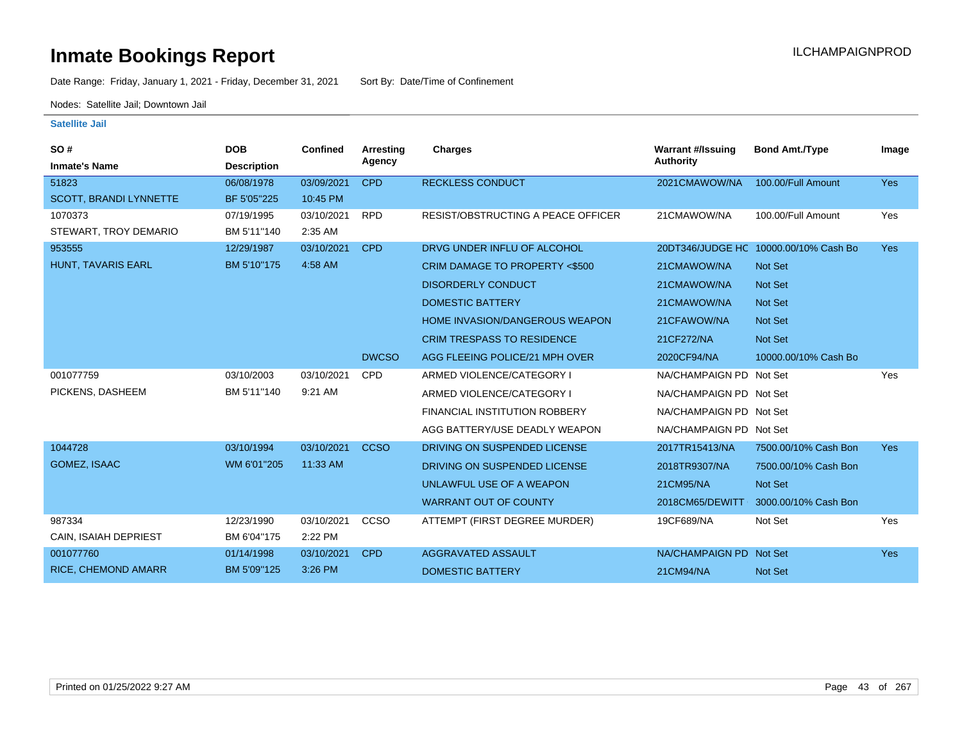Date Range: Friday, January 1, 2021 - Friday, December 31, 2021 Sort By: Date/Time of Confinement

Nodes: Satellite Jail; Downtown Jail

| SO#                        | <b>DOB</b>         | <b>Confined</b> | Arresting    | <b>Charges</b>                       | <b>Warrant #/Issuing</b> | <b>Bond Amt./Type</b>                 | Image      |
|----------------------------|--------------------|-----------------|--------------|--------------------------------------|--------------------------|---------------------------------------|------------|
| <b>Inmate's Name</b>       | <b>Description</b> |                 | Agency       |                                      | <b>Authority</b>         |                                       |            |
| 51823                      | 06/08/1978         | 03/09/2021      | <b>CPD</b>   | <b>RECKLESS CONDUCT</b>              | 2021CMAWOW/NA            | 100.00/Full Amount                    | Yes        |
| SCOTT, BRANDI LYNNETTE     | BF 5'05"225        | 10:45 PM        |              |                                      |                          |                                       |            |
| 1070373                    | 07/19/1995         | 03/10/2021      | <b>RPD</b>   | RESIST/OBSTRUCTING A PEACE OFFICER   | 21CMAWOW/NA              | 100.00/Full Amount                    | Yes        |
| STEWART, TROY DEMARIO      | BM 5'11"140        | 2:35 AM         |              |                                      |                          |                                       |            |
| 953555                     | 12/29/1987         | 03/10/2021      | <b>CPD</b>   | DRVG UNDER INFLU OF ALCOHOL          |                          | 20DT346/JUDGE HC 10000.00/10% Cash Bo | Yes        |
| HUNT, TAVARIS EARL         | BM 5'10"175        | 4:58 AM         |              | CRIM DAMAGE TO PROPERTY <\$500       | 21CMAWOW/NA              | Not Set                               |            |
|                            |                    |                 |              | <b>DISORDERLY CONDUCT</b>            | 21CMAWOW/NA              | <b>Not Set</b>                        |            |
|                            |                    |                 |              | <b>DOMESTIC BATTERY</b>              | 21CMAWOW/NA              | Not Set                               |            |
|                            |                    |                 |              | HOME INVASION/DANGEROUS WEAPON       | 21CFAWOW/NA              | <b>Not Set</b>                        |            |
|                            |                    |                 |              | <b>CRIM TRESPASS TO RESIDENCE</b>    | 21CF272/NA               | Not Set                               |            |
|                            |                    |                 | <b>DWCSO</b> | AGG FLEEING POLICE/21 MPH OVER       | 2020CF94/NA              | 10000.00/10% Cash Bo                  |            |
| 001077759                  | 03/10/2003         | 03/10/2021      | <b>CPD</b>   | ARMED VIOLENCE/CATEGORY I            | NA/CHAMPAIGN PD Not Set  |                                       | Yes        |
| PICKENS, DASHEEM           | BM 5'11"140        | 9:21 AM         |              | ARMED VIOLENCE/CATEGORY I            | NA/CHAMPAIGN PD Not Set  |                                       |            |
|                            |                    |                 |              | <b>FINANCIAL INSTITUTION ROBBERY</b> | NA/CHAMPAIGN PD Not Set  |                                       |            |
|                            |                    |                 |              | AGG BATTERY/USE DEADLY WEAPON        | NA/CHAMPAIGN PD Not Set  |                                       |            |
| 1044728                    | 03/10/1994         | 03/10/2021      | <b>CCSO</b>  | DRIVING ON SUSPENDED LICENSE         | 2017TR15413/NA           | 7500.00/10% Cash Bon                  | Yes        |
| GOMEZ, ISAAC               | WM 6'01"205        | 11:33 AM        |              | DRIVING ON SUSPENDED LICENSE         | 2018TR9307/NA            | 7500.00/10% Cash Bon                  |            |
|                            |                    |                 |              | UNLAWFUL USE OF A WEAPON             | 21CM95/NA                | Not Set                               |            |
|                            |                    |                 |              | <b>WARRANT OUT OF COUNTY</b>         | 2018CM65/DEWITT          | 3000.00/10% Cash Bon                  |            |
| 987334                     | 12/23/1990         | 03/10/2021      | CCSO         | ATTEMPT (FIRST DEGREE MURDER)        | 19CF689/NA               | Not Set                               | Yes        |
| CAIN, ISAIAH DEPRIEST      | BM 6'04"175        | 2:22 PM         |              |                                      |                          |                                       |            |
| 001077760                  | 01/14/1998         | 03/10/2021      | <b>CPD</b>   | AGGRAVATED ASSAULT                   | NA/CHAMPAIGN PD Not Set  |                                       | <b>Yes</b> |
| <b>RICE, CHEMOND AMARR</b> | BM 5'09"125        | 3:26 PM         |              | <b>DOMESTIC BATTERY</b>              | 21CM94/NA                | <b>Not Set</b>                        |            |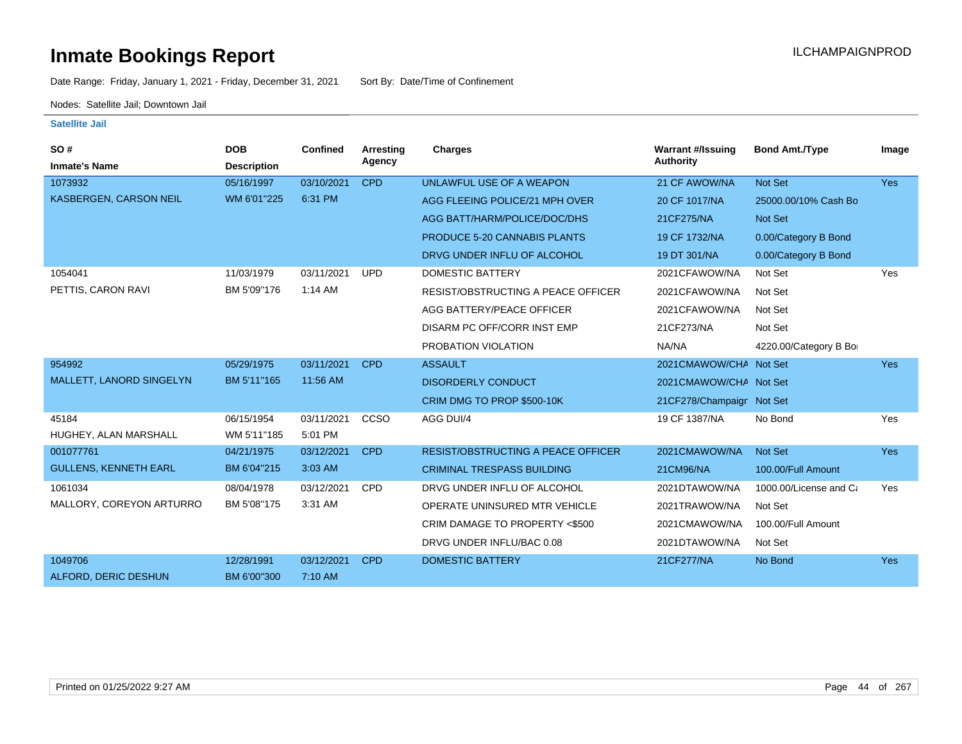Date Range: Friday, January 1, 2021 - Friday, December 31, 2021 Sort By: Date/Time of Confinement

Nodes: Satellite Jail; Downtown Jail

| SO#<br><b>Inmate's Name</b>   | <b>DOB</b><br><b>Description</b> | <b>Confined</b> | <b>Arresting</b><br>Agency | Charges                                   | <b>Warrant #/Issuing</b><br><b>Authority</b> | <b>Bond Amt./Type</b>  | Image      |
|-------------------------------|----------------------------------|-----------------|----------------------------|-------------------------------------------|----------------------------------------------|------------------------|------------|
| 1073932                       | 05/16/1997                       | 03/10/2021      | <b>CPD</b>                 | UNLAWFUL USE OF A WEAPON                  | 21 CF AWOW/NA                                | Not Set                | <b>Yes</b> |
| <b>KASBERGEN, CARSON NEIL</b> | WM 6'01"225                      | 6:31 PM         |                            | AGG FLEEING POLICE/21 MPH OVER            | 20 CF 1017/NA                                | 25000.00/10% Cash Bo   |            |
|                               |                                  |                 |                            | AGG BATT/HARM/POLICE/DOC/DHS              | 21CF275/NA                                   | <b>Not Set</b>         |            |
|                               |                                  |                 |                            | <b>PRODUCE 5-20 CANNABIS PLANTS</b>       | 19 CF 1732/NA                                | 0.00/Category B Bond   |            |
|                               |                                  |                 |                            | DRVG UNDER INFLU OF ALCOHOL               | 19 DT 301/NA                                 | 0.00/Category B Bond   |            |
| 1054041                       | 11/03/1979                       | 03/11/2021      | <b>UPD</b>                 | <b>DOMESTIC BATTERY</b>                   | 2021CFAWOW/NA                                | Not Set                | Yes        |
| PETTIS, CARON RAVI            | BM 5'09"176                      | 1:14 AM         |                            | <b>RESIST/OBSTRUCTING A PEACE OFFICER</b> | 2021CFAWOW/NA                                | Not Set                |            |
|                               |                                  |                 |                            | AGG BATTERY/PEACE OFFICER                 | 2021CFAWOW/NA                                | Not Set                |            |
|                               |                                  |                 |                            | DISARM PC OFF/CORR INST EMP               | 21CF273/NA                                   | Not Set                |            |
|                               |                                  |                 |                            | PROBATION VIOLATION                       | NA/NA                                        | 4220.00/Category B Bo  |            |
| 954992                        | 05/29/1975                       | 03/11/2021      | <b>CPD</b>                 | <b>ASSAULT</b>                            | 2021CMAWOW/CHA Not Set                       |                        | <b>Yes</b> |
| MALLETT, LANORD SINGELYN      | BM 5'11"165                      | 11:56 AM        |                            | <b>DISORDERLY CONDUCT</b>                 | 2021CMAWOW/CHA Not Set                       |                        |            |
|                               |                                  |                 |                            | CRIM DMG TO PROP \$500-10K                | 21CF278/Champaign Not Set                    |                        |            |
| 45184                         | 06/15/1954                       | 03/11/2021      | CCSO                       | AGG DUI/4                                 | 19 CF 1387/NA                                | No Bond                | Yes        |
| HUGHEY, ALAN MARSHALL         | WM 5'11"185                      | 5:01 PM         |                            |                                           |                                              |                        |            |
| 001077761                     | 04/21/1975                       | 03/12/2021      | <b>CPD</b>                 | <b>RESIST/OBSTRUCTING A PEACE OFFICER</b> | 2021CMAWOW/NA                                | Not Set                | <b>Yes</b> |
| <b>GULLENS, KENNETH EARL</b>  | BM 6'04"215                      | 3:03 AM         |                            | <b>CRIMINAL TRESPASS BUILDING</b>         | 21CM96/NA                                    | 100.00/Full Amount     |            |
| 1061034                       | 08/04/1978                       | 03/12/2021      | <b>CPD</b>                 | DRVG UNDER INFLU OF ALCOHOL               | 2021DTAWOW/NA                                | 1000.00/License and Ca | Yes        |
| MALLORY, COREYON ARTURRO      | BM 5'08"175                      | 3:31 AM         |                            | OPERATE UNINSURED MTR VEHICLE             | 2021TRAWOW/NA                                | Not Set                |            |
|                               |                                  |                 |                            | CRIM DAMAGE TO PROPERTY <\$500            | 2021CMAWOW/NA                                | 100.00/Full Amount     |            |
|                               |                                  |                 |                            | DRVG UNDER INFLU/BAC 0.08                 | 2021DTAWOW/NA                                | Not Set                |            |
| 1049706                       | 12/28/1991                       | 03/12/2021      | <b>CPD</b>                 | <b>DOMESTIC BATTERY</b>                   | 21CF277/NA                                   | No Bond                | Yes        |
| ALFORD, DERIC DESHUN          | BM 6'00"300                      | 7:10 AM         |                            |                                           |                                              |                        |            |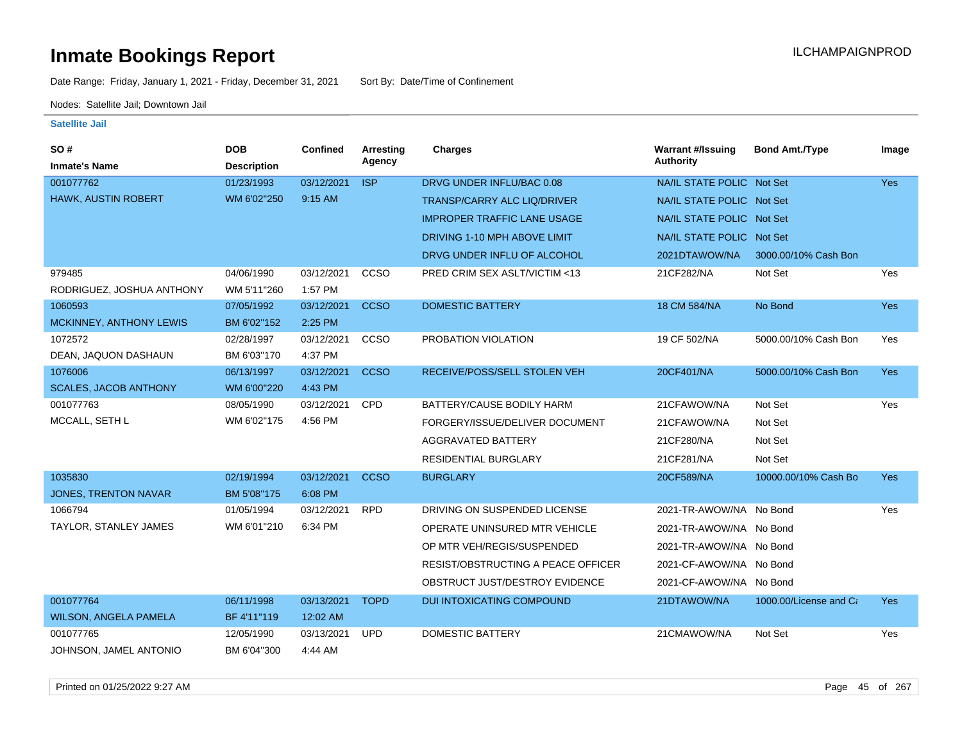Date Range: Friday, January 1, 2021 - Friday, December 31, 2021 Sort By: Date/Time of Confinement

Nodes: Satellite Jail; Downtown Jail

| SO#                          | <b>DOB</b>         | <b>Confined</b> | <b>Arresting</b> | Charges                            | <b>Warrant #/Issuing</b>  | <b>Bond Amt./Type</b>  | Image      |
|------------------------------|--------------------|-----------------|------------------|------------------------------------|---------------------------|------------------------|------------|
| <b>Inmate's Name</b>         | <b>Description</b> |                 | Agency           |                                    | <b>Authority</b>          |                        |            |
| 001077762                    | 01/23/1993         | 03/12/2021      | <b>ISP</b>       | DRVG UNDER INFLU/BAC 0.08          | NA/IL STATE POLIC Not Set |                        | Yes        |
| HAWK, AUSTIN ROBERT          | WM 6'02"250        | 9:15 AM         |                  | <b>TRANSP/CARRY ALC LIQ/DRIVER</b> | NA/IL STATE POLIC Not Set |                        |            |
|                              |                    |                 |                  | <b>IMPROPER TRAFFIC LANE USAGE</b> | NA/IL STATE POLIC Not Set |                        |            |
|                              |                    |                 |                  | DRIVING 1-10 MPH ABOVE LIMIT       | NA/IL STATE POLIC Not Set |                        |            |
|                              |                    |                 |                  | DRVG UNDER INFLU OF ALCOHOL        | 2021DTAWOW/NA             | 3000.00/10% Cash Bon   |            |
| 979485                       | 04/06/1990         | 03/12/2021      | CCSO             | PRED CRIM SEX ASLT/VICTIM <13      | 21CF282/NA                | Not Set                | Yes        |
| RODRIGUEZ, JOSHUA ANTHONY    | WM 5'11"260        | 1:57 PM         |                  |                                    |                           |                        |            |
| 1060593                      | 07/05/1992         | 03/12/2021      | <b>CCSO</b>      | <b>DOMESTIC BATTERY</b>            | 18 CM 584/NA              | No Bond                | Yes        |
| MCKINNEY, ANTHONY LEWIS      | BM 6'02"152        | 2:25 PM         |                  |                                    |                           |                        |            |
| 1072572                      | 02/28/1997         | 03/12/2021      | CCSO             | PROBATION VIOLATION                | 19 CF 502/NA              | 5000.00/10% Cash Bon   | Yes        |
| DEAN, JAQUON DASHAUN         | BM 6'03"170        | 4:37 PM         |                  |                                    |                           |                        |            |
| 1076006                      | 06/13/1997         | 03/12/2021      | <b>CCSO</b>      | RECEIVE/POSS/SELL STOLEN VEH       | 20CF401/NA                | 5000.00/10% Cash Bon   | Yes:       |
| <b>SCALES, JACOB ANTHONY</b> | WM 6'00"220        | 4:43 PM         |                  |                                    |                           |                        |            |
| 001077763                    | 08/05/1990         | 03/12/2021      | <b>CPD</b>       | BATTERY/CAUSE BODILY HARM          | 21CFAWOW/NA               | Not Set                | Yes        |
| MCCALL, SETH L               | WM 6'02"175        | 4:56 PM         |                  | FORGERY/ISSUE/DELIVER DOCUMENT     | 21CFAWOW/NA               | Not Set                |            |
|                              |                    |                 |                  | AGGRAVATED BATTERY                 | 21CF280/NA                | Not Set                |            |
|                              |                    |                 |                  | <b>RESIDENTIAL BURGLARY</b>        | 21CF281/NA                | Not Set                |            |
| 1035830                      | 02/19/1994         | 03/12/2021      | <b>CCSO</b>      | <b>BURGLARY</b>                    | 20CF589/NA                | 10000.00/10% Cash Bo   | <b>Yes</b> |
| <b>JONES, TRENTON NAVAR</b>  | BM 5'08"175        | 6:08 PM         |                  |                                    |                           |                        |            |
| 1066794                      | 01/05/1994         | 03/12/2021      | <b>RPD</b>       | DRIVING ON SUSPENDED LICENSE       | 2021-TR-AWOW/NA No Bond   |                        | Yes        |
| TAYLOR, STANLEY JAMES        | WM 6'01"210        | 6:34 PM         |                  | OPERATE UNINSURED MTR VEHICLE      | 2021-TR-AWOW/NA No Bond   |                        |            |
|                              |                    |                 |                  | OP MTR VEH/REGIS/SUSPENDED         | 2021-TR-AWOW/NA No Bond   |                        |            |
|                              |                    |                 |                  | RESIST/OBSTRUCTING A PEACE OFFICER | 2021-CF-AWOW/NA No Bond   |                        |            |
|                              |                    |                 |                  | OBSTRUCT JUST/DESTROY EVIDENCE     | 2021-CF-AWOW/NA No Bond   |                        |            |
| 001077764                    | 06/11/1998         | 03/13/2021      | <b>TOPD</b>      | <b>DUI INTOXICATING COMPOUND</b>   | 21DTAWOW/NA               | 1000.00/License and Ca | Yes:       |
| <b>WILSON, ANGELA PAMELA</b> | BF 4'11"119        | 12:02 AM        |                  |                                    |                           |                        |            |
| 001077765                    | 12/05/1990         | 03/13/2021      | <b>UPD</b>       | <b>DOMESTIC BATTERY</b>            | 21CMAWOW/NA               | Not Set                | Yes        |
| JOHNSON, JAMEL ANTONIO       | BM 6'04"300        | 4:44 AM         |                  |                                    |                           |                        |            |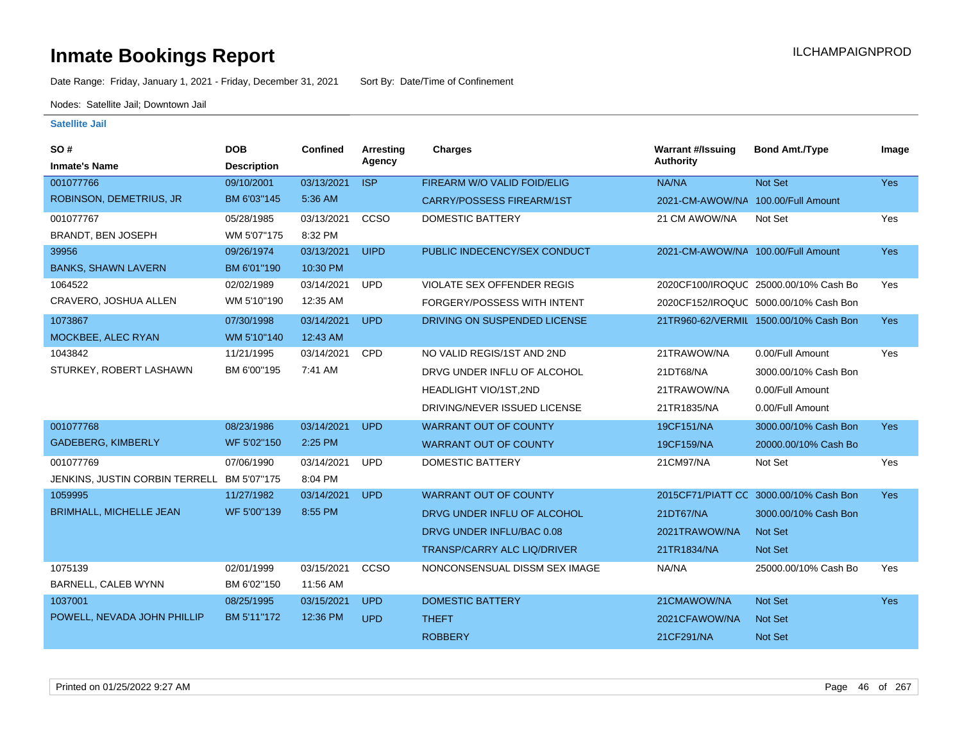Date Range: Friday, January 1, 2021 - Friday, December 31, 2021 Sort By: Date/Time of Confinement

Nodes: Satellite Jail; Downtown Jail

| <b>SO#</b><br><b>Inmate's Name</b>         | <b>DOB</b><br><b>Description</b> | <b>Confined</b> | <b>Arresting</b><br>Agency | Charges                            | <b>Warrant #/Issuing</b><br><b>Authority</b> | <b>Bond Amt./Type</b>                  | Image      |
|--------------------------------------------|----------------------------------|-----------------|----------------------------|------------------------------------|----------------------------------------------|----------------------------------------|------------|
| 001077766                                  | 09/10/2001                       | 03/13/2021      | <b>ISP</b>                 | FIREARM W/O VALID FOID/ELIG        | NA/NA                                        | Not Set                                | <b>Yes</b> |
| ROBINSON, DEMETRIUS, JR                    | BM 6'03"145                      | 5:36 AM         |                            | CARRY/POSSESS FIREARM/1ST          | 2021-CM-AWOW/NA 100.00/Full Amount           |                                        |            |
| 001077767                                  | 05/28/1985                       | 03/13/2021      | ccso                       | DOMESTIC BATTERY                   | 21 CM AWOW/NA                                | Not Set                                | Yes        |
| BRANDT, BEN JOSEPH                         | WM 5'07"175                      | 8:32 PM         |                            |                                    |                                              |                                        |            |
| 39956                                      | 09/26/1974                       | 03/13/2021      | <b>UIPD</b>                | PUBLIC INDECENCY/SEX CONDUCT       | 2021-CM-AWOW/NA 100.00/Full Amount           |                                        | Yes        |
| <b>BANKS, SHAWN LAVERN</b>                 | BM 6'01"190                      | 10:30 PM        |                            |                                    |                                              |                                        |            |
| 1064522                                    | 02/02/1989                       | 03/14/2021      | <b>UPD</b>                 | <b>VIOLATE SEX OFFENDER REGIS</b>  |                                              | 2020CF100/IROQUC 25000.00/10% Cash Bo  | Yes        |
| CRAVERO, JOSHUA ALLEN                      | WM 5'10"190                      | 12:35 AM        |                            | FORGERY/POSSESS WITH INTENT        |                                              | 2020CF152/IROQUC 5000.00/10% Cash Bon  |            |
| 1073867                                    | 07/30/1998                       | 03/14/2021      | <b>UPD</b>                 | DRIVING ON SUSPENDED LICENSE       |                                              | 21TR960-62/VERMIL 1500.00/10% Cash Bon | Yes        |
| MOCKBEE, ALEC RYAN                         | WM 5'10"140                      | 12:43 AM        |                            |                                    |                                              |                                        |            |
| 1043842                                    | 11/21/1995                       | 03/14/2021      | CPD                        | NO VALID REGIS/1ST AND 2ND         | 21TRAWOW/NA                                  | 0.00/Full Amount                       | Yes        |
| STURKEY, ROBERT LASHAWN                    | BM 6'00"195                      | 7:41 AM         |                            | DRVG UNDER INFLU OF ALCOHOL        | 21DT68/NA                                    | 3000.00/10% Cash Bon                   |            |
|                                            |                                  |                 |                            | <b>HEADLIGHT VIO/1ST,2ND</b>       | 21TRAWOW/NA                                  | 0.00/Full Amount                       |            |
|                                            |                                  |                 |                            | DRIVING/NEVER ISSUED LICENSE       | 21TR1835/NA                                  | 0.00/Full Amount                       |            |
| 001077768                                  | 08/23/1986                       | 03/14/2021      | <b>UPD</b>                 | <b>WARRANT OUT OF COUNTY</b>       | 19CF151/NA                                   | 3000.00/10% Cash Bon                   | <b>Yes</b> |
| <b>GADEBERG, KIMBERLY</b>                  | WF 5'02"150                      | 2:25 PM         |                            | <b>WARRANT OUT OF COUNTY</b>       | 19CF159/NA                                   | 20000.00/10% Cash Bo                   |            |
| 001077769                                  | 07/06/1990                       | 03/14/2021      | <b>UPD</b>                 | <b>DOMESTIC BATTERY</b>            | 21CM97/NA                                    | Not Set                                | Yes        |
| JENKINS, JUSTIN CORBIN TERRELL BM 5'07"175 |                                  | 8:04 PM         |                            |                                    |                                              |                                        |            |
| 1059995                                    | 11/27/1982                       | 03/14/2021      | <b>UPD</b>                 | <b>WARRANT OUT OF COUNTY</b>       |                                              | 2015CF71/PIATT CC 3000.00/10% Cash Bon | <b>Yes</b> |
| <b>BRIMHALL, MICHELLE JEAN</b>             | WF 5'00"139                      | 8:55 PM         |                            | DRVG UNDER INFLU OF ALCOHOL        | 21DT67/NA                                    | 3000.00/10% Cash Bon                   |            |
|                                            |                                  |                 |                            | DRVG UNDER INFLU/BAC 0.08          | 2021TRAWOW/NA                                | <b>Not Set</b>                         |            |
|                                            |                                  |                 |                            | <b>TRANSP/CARRY ALC LIQ/DRIVER</b> | 21TR1834/NA                                  | Not Set                                |            |
| 1075139                                    | 02/01/1999                       | 03/15/2021      | CCSO                       | NONCONSENSUAL DISSM SEX IMAGE      | NA/NA                                        | 25000.00/10% Cash Bo                   | Yes        |
| <b>BARNELL, CALEB WYNN</b>                 | BM 6'02"150                      | 11:56 AM        |                            |                                    |                                              |                                        |            |
| 1037001                                    | 08/25/1995                       | 03/15/2021      | <b>UPD</b>                 | <b>DOMESTIC BATTERY</b>            | 21CMAWOW/NA                                  | Not Set                                | <b>Yes</b> |
| POWELL, NEVADA JOHN PHILLIP                | BM 5'11"172                      | 12:36 PM        | <b>UPD</b>                 | <b>THEFT</b>                       | 2021CFAWOW/NA                                | Not Set                                |            |
|                                            |                                  |                 |                            | <b>ROBBERY</b>                     | 21CF291/NA                                   | Not Set                                |            |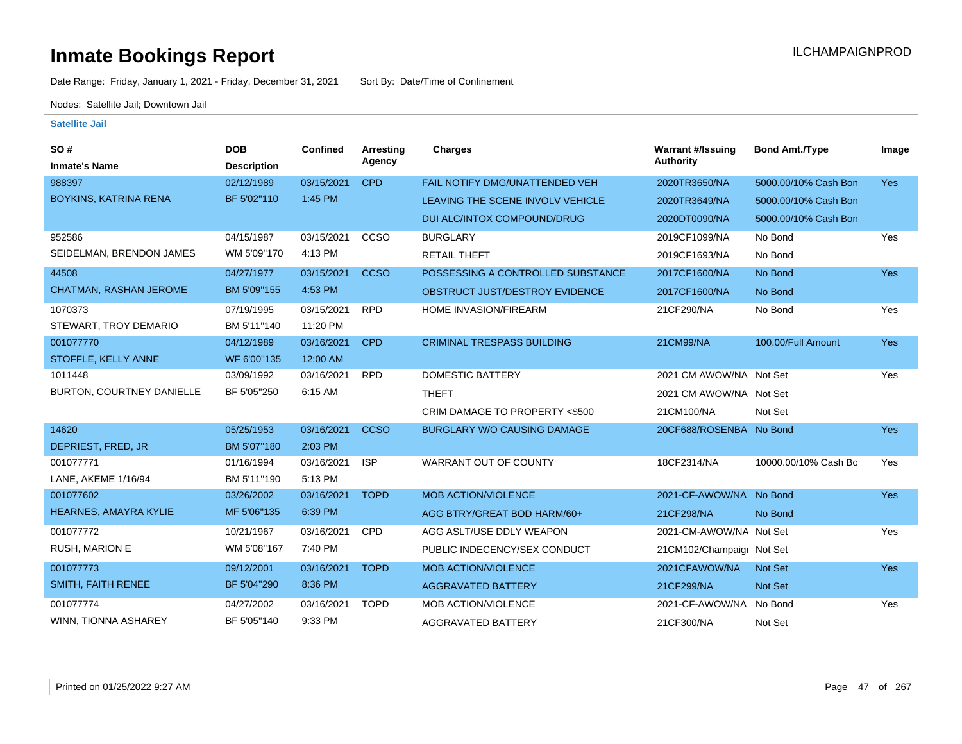Date Range: Friday, January 1, 2021 - Friday, December 31, 2021 Sort By: Date/Time of Confinement

Nodes: Satellite Jail; Downtown Jail

| <b>SO#</b>                    | <b>DOB</b>         | <b>Confined</b> | Arresting   | Charges                            | <b>Warrant #/Issuing</b>  | <b>Bond Amt./Type</b> | Image      |
|-------------------------------|--------------------|-----------------|-------------|------------------------------------|---------------------------|-----------------------|------------|
| <b>Inmate's Name</b>          | <b>Description</b> |                 | Agency      |                                    | <b>Authority</b>          |                       |            |
| 988397                        | 02/12/1989         | 03/15/2021      | <b>CPD</b>  | FAIL NOTIFY DMG/UNATTENDED VEH     | 2020TR3650/NA             | 5000.00/10% Cash Bon  | <b>Yes</b> |
| BOYKINS, KATRINA RENA         | BF 5'02"110        | 1:45 PM         |             | LEAVING THE SCENE INVOLV VEHICLE   | 2020TR3649/NA             | 5000.00/10% Cash Bon  |            |
|                               |                    |                 |             | DUI ALC/INTOX COMPOUND/DRUG        | 2020DT0090/NA             | 5000.00/10% Cash Bon  |            |
| 952586                        | 04/15/1987         | 03/15/2021      | CCSO        | <b>BURGLARY</b>                    | 2019CF1099/NA             | No Bond               | Yes        |
| SEIDELMAN, BRENDON JAMES      | WM 5'09"170        | 4:13 PM         |             | <b>RETAIL THEFT</b>                | 2019CF1693/NA             | No Bond               |            |
| 44508                         | 04/27/1977         | 03/15/2021      | <b>CCSO</b> | POSSESSING A CONTROLLED SUBSTANCE  | 2017CF1600/NA             | No Bond               | <b>Yes</b> |
| <b>CHATMAN, RASHAN JEROME</b> | BM 5'09"155        | 4:53 PM         |             | OBSTRUCT JUST/DESTROY EVIDENCE     | 2017CF1600/NA             | No Bond               |            |
| 1070373                       | 07/19/1995         | 03/15/2021      | <b>RPD</b>  | HOME INVASION/FIREARM              | 21CF290/NA                | No Bond               | Yes        |
| STEWART, TROY DEMARIO         | BM 5'11"140        | 11:20 PM        |             |                                    |                           |                       |            |
| 001077770                     | 04/12/1989         | 03/16/2021      | <b>CPD</b>  | <b>CRIMINAL TRESPASS BUILDING</b>  | 21CM99/NA                 | 100.00/Full Amount    | Yes        |
| STOFFLE, KELLY ANNE           | WF 6'00"135        | 12:00 AM        |             |                                    |                           |                       |            |
| 1011448                       | 03/09/1992         | 03/16/2021      | <b>RPD</b>  | <b>DOMESTIC BATTERY</b>            | 2021 CM AWOW/NA Not Set   |                       | Yes        |
| BURTON, COURTNEY DANIELLE     | BF 5'05"250        | 6:15 AM         |             | <b>THEFT</b>                       | 2021 CM AWOW/NA Not Set   |                       |            |
|                               |                    |                 |             | CRIM DAMAGE TO PROPERTY <\$500     | 21CM100/NA                | Not Set               |            |
| 14620                         | 05/25/1953         | 03/16/2021      | <b>CCSO</b> | <b>BURGLARY W/O CAUSING DAMAGE</b> | 20CF688/ROSENBA No Bond   |                       | Yes        |
| DEPRIEST, FRED, JR            | BM 5'07"180        | 2:03 PM         |             |                                    |                           |                       |            |
| 001077771                     | 01/16/1994         | 03/16/2021      | <b>ISP</b>  | <b>WARRANT OUT OF COUNTY</b>       | 18CF2314/NA               | 10000.00/10% Cash Bo  | Yes        |
| LANE, AKEME 1/16/94           | BM 5'11"190        | 5:13 PM         |             |                                    |                           |                       |            |
| 001077602                     | 03/26/2002         | 03/16/2021      | <b>TOPD</b> | <b>MOB ACTION/VIOLENCE</b>         | 2021-CF-AWOW/NA No Bond   |                       | Yes        |
| <b>HEARNES, AMAYRA KYLIE</b>  | MF 5'06"135        | 6:39 PM         |             | AGG BTRY/GREAT BOD HARM/60+        | 21CF298/NA                | No Bond               |            |
| 001077772                     | 10/21/1967         | 03/16/2021      | <b>CPD</b>  | AGG ASLT/USE DDLY WEAPON           | 2021-CM-AWOW/NA Not Set   |                       | Yes        |
| <b>RUSH, MARION E</b>         | WM 5'08"167        | 7:40 PM         |             | PUBLIC INDECENCY/SEX CONDUCT       | 21CM102/Champaigr Not Set |                       |            |
| 001077773                     | 09/12/2001         | 03/16/2021      | <b>TOPD</b> | <b>MOB ACTION/VIOLENCE</b>         | 2021CFAWOW/NA             | Not Set               | <b>Yes</b> |
| <b>SMITH, FAITH RENEE</b>     | BF 5'04"290        | 8:36 PM         |             | <b>AGGRAVATED BATTERY</b>          | 21CF299/NA                | <b>Not Set</b>        |            |
| 001077774                     | 04/27/2002         | 03/16/2021      | <b>TOPD</b> | MOB ACTION/VIOLENCE                | 2021-CF-AWOW/NA           | No Bond               | Yes        |
| WINN, TIONNA ASHAREY          | BF 5'05"140        | 9:33 PM         |             | <b>AGGRAVATED BATTERY</b>          | 21CF300/NA                | Not Set               |            |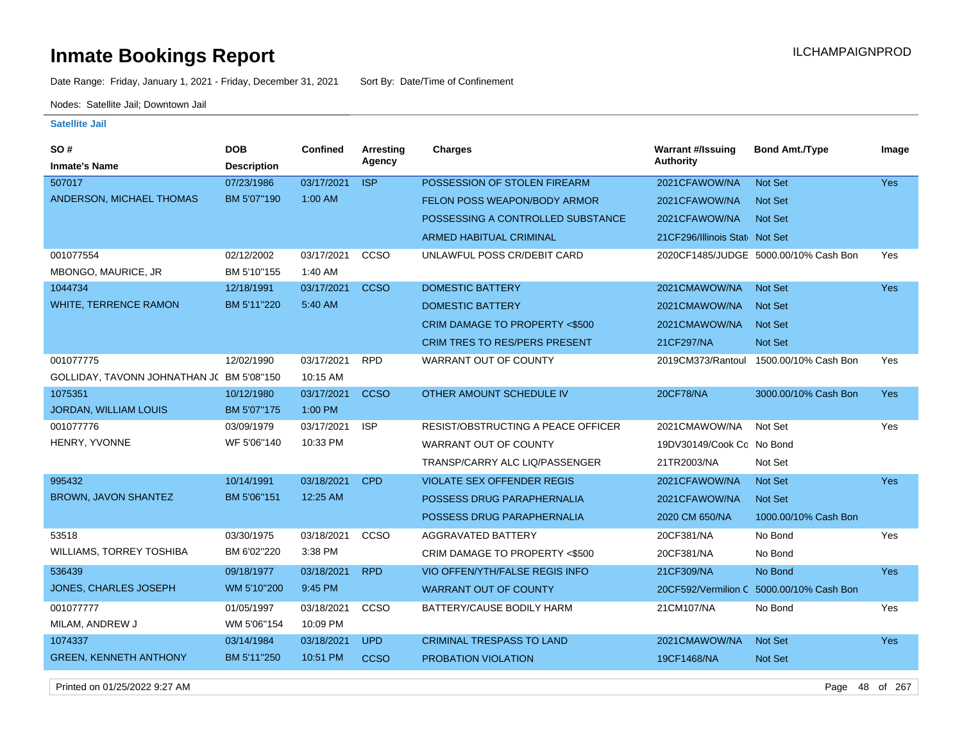Date Range: Friday, January 1, 2021 - Friday, December 31, 2021 Sort By: Date/Time of Confinement

Nodes: Satellite Jail; Downtown Jail

### **Satellite Jail**

| SO #<br><b>Inmate's Name</b>             | <b>DOB</b><br><b>Description</b> | <b>Confined</b> | Arresting<br>Agency | <b>Charges</b>                            | <b>Warrant #/Issuing</b><br><b>Authority</b> | <b>Bond Amt./Type</b>                    | Image      |
|------------------------------------------|----------------------------------|-----------------|---------------------|-------------------------------------------|----------------------------------------------|------------------------------------------|------------|
| 507017                                   | 07/23/1986                       | 03/17/2021      | <b>ISP</b>          | POSSESSION OF STOLEN FIREARM              | 2021CFAWOW/NA                                | <b>Not Set</b>                           | <b>Yes</b> |
| ANDERSON, MICHAEL THOMAS                 | BM 5'07"190                      | 1:00 AM         |                     | FELON POSS WEAPON/BODY ARMOR              | 2021CFAWOW/NA                                | <b>Not Set</b>                           |            |
|                                          |                                  |                 |                     | POSSESSING A CONTROLLED SUBSTANCE         | 2021CFAWOW/NA                                | <b>Not Set</b>                           |            |
|                                          |                                  |                 |                     | <b>ARMED HABITUAL CRIMINAL</b>            | 21CF296/Illinois Stat Not Set                |                                          |            |
| 001077554                                | 02/12/2002                       | 03/17/2021      | CCSO                | UNLAWFUL POSS CR/DEBIT CARD               |                                              | 2020CF1485/JUDGE 5000.00/10% Cash Bon    | Yes        |
| MBONGO, MAURICE, JR                      | BM 5'10"155                      | 1:40 AM         |                     |                                           |                                              |                                          |            |
| 1044734                                  | 12/18/1991                       | 03/17/2021      | <b>CCSO</b>         | <b>DOMESTIC BATTERY</b>                   | 2021CMAWOW/NA                                | <b>Not Set</b>                           | Yes        |
| <b>WHITE, TERRENCE RAMON</b>             | BM 5'11"220                      | 5:40 AM         |                     | <b>DOMESTIC BATTERY</b>                   | 2021CMAWOW/NA                                | <b>Not Set</b>                           |            |
|                                          |                                  |                 |                     | <b>CRIM DAMAGE TO PROPERTY &lt;\$500</b>  | 2021CMAWOW/NA                                | <b>Not Set</b>                           |            |
|                                          |                                  |                 |                     | <b>CRIM TRES TO RES/PERS PRESENT</b>      | 21CF297/NA                                   | Not Set                                  |            |
| 001077775                                | 12/02/1990                       | 03/17/2021      | <b>RPD</b>          | WARRANT OUT OF COUNTY                     | 2019CM373/Rantoul                            | 1500.00/10% Cash Bon                     | Yes        |
| GOLLIDAY, TAVONN JOHNATHAN J(BM 5'08"150 |                                  | 10:15 AM        |                     |                                           |                                              |                                          |            |
| 1075351                                  | 10/12/1980                       | 03/17/2021      | <b>CCSO</b>         | OTHER AMOUNT SCHEDULE IV                  | 20CF78/NA                                    | 3000.00/10% Cash Bon                     | <b>Yes</b> |
| JORDAN, WILLIAM LOUIS                    | BM 5'07"175                      | 1:00 PM         |                     |                                           |                                              |                                          |            |
| 001077776                                | 03/09/1979                       | 03/17/2021      | <b>ISP</b>          | <b>RESIST/OBSTRUCTING A PEACE OFFICER</b> | 2021CMAWOW/NA                                | Not Set                                  | Yes        |
| HENRY, YVONNE                            | WF 5'06"140                      | 10:33 PM        |                     | WARRANT OUT OF COUNTY                     | 19DV30149/Cook Co No Bond                    |                                          |            |
|                                          |                                  |                 |                     | TRANSP/CARRY ALC LIQ/PASSENGER            | 21TR2003/NA                                  | Not Set                                  |            |
| 995432                                   | 10/14/1991                       | 03/18/2021      | <b>CPD</b>          | <b>VIOLATE SEX OFFENDER REGIS</b>         | 2021CFAWOW/NA                                | <b>Not Set</b>                           | Yes        |
| BROWN, JAVON SHANTEZ                     | BM 5'06"151                      | 12:25 AM        |                     | POSSESS DRUG PARAPHERNALIA                | 2021CFAWOW/NA                                | <b>Not Set</b>                           |            |
|                                          |                                  |                 |                     | POSSESS DRUG PARAPHERNALIA                | 2020 CM 650/NA                               | 1000.00/10% Cash Bon                     |            |
| 53518                                    | 03/30/1975                       | 03/18/2021      | CCSO                | AGGRAVATED BATTERY                        | 20CF381/NA                                   | No Bond                                  | Yes        |
| <b>WILLIAMS, TORREY TOSHIBA</b>          | BM 6'02"220                      | 3:38 PM         |                     | CRIM DAMAGE TO PROPERTY <\$500            | 20CF381/NA                                   | No Bond                                  |            |
| 536439                                   | 09/18/1977                       | 03/18/2021      | <b>RPD</b>          | <b>VIO OFFEN/YTH/FALSE REGIS INFO</b>     | 21CF309/NA                                   | No Bond                                  | Yes        |
| JONES, CHARLES JOSEPH                    | WM 5'10"200                      | 9:45 PM         |                     | <b>WARRANT OUT OF COUNTY</b>              |                                              | 20CF592/Vermilion C 5000.00/10% Cash Bon |            |
| 001077777                                | 01/05/1997                       | 03/18/2021      | CCSO                | BATTERY/CAUSE BODILY HARM                 | 21CM107/NA                                   | No Bond                                  | Yes        |
| MILAM, ANDREW J                          | WM 5'06"154                      | 10:09 PM        |                     |                                           |                                              |                                          |            |
| 1074337                                  | 03/14/1984                       | 03/18/2021      | <b>UPD</b>          | <b>CRIMINAL TRESPASS TO LAND</b>          | 2021CMAWOW/NA                                | Not Set                                  | <b>Yes</b> |
| <b>GREEN, KENNETH ANTHONY</b>            | BM 5'11"250                      | 10:51 PM        | <b>CCSO</b>         | <b>PROBATION VIOLATION</b>                | 19CF1468/NA                                  | <b>Not Set</b>                           |            |
|                                          |                                  |                 |                     |                                           |                                              |                                          |            |

Printed on 01/25/2022 9:27 AM Page 48 of 267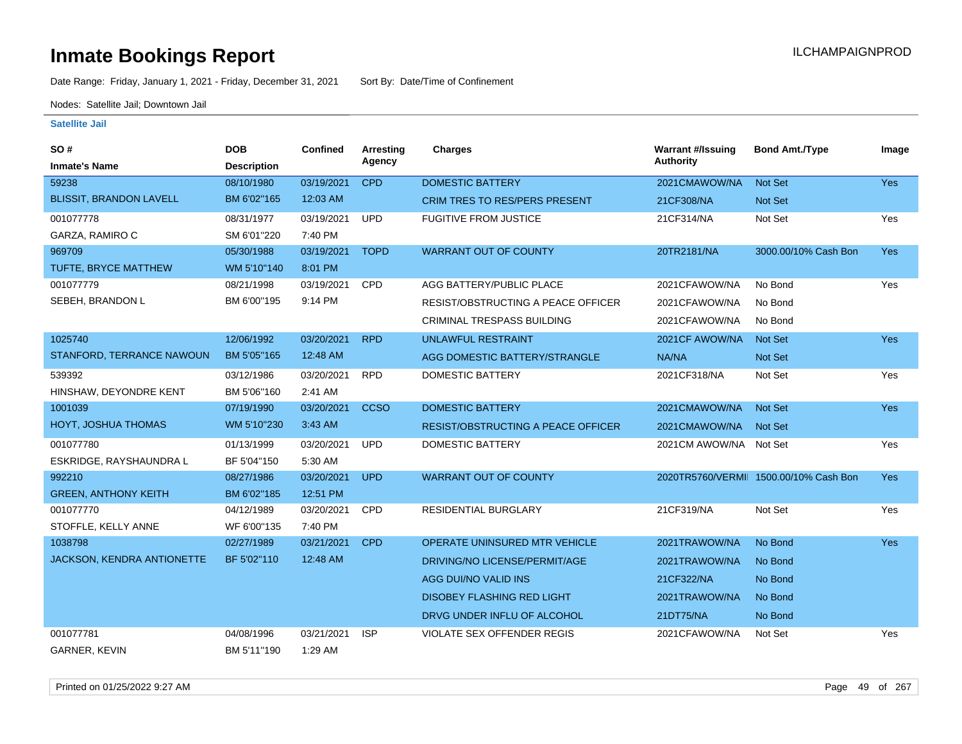Date Range: Friday, January 1, 2021 - Friday, December 31, 2021 Sort By: Date/Time of Confinement

Nodes: Satellite Jail; Downtown Jail

| SO#<br><b>Inmate's Name</b>    | <b>DOB</b><br><b>Description</b> | <b>Confined</b> | Arresting<br>Agency | <b>Charges</b>                            | <b>Warrant #/Issuing</b><br><b>Authority</b> | <b>Bond Amt./Type</b>                  | Image      |
|--------------------------------|----------------------------------|-----------------|---------------------|-------------------------------------------|----------------------------------------------|----------------------------------------|------------|
| 59238                          | 08/10/1980                       | 03/19/2021      | <b>CPD</b>          | <b>DOMESTIC BATTERY</b>                   | 2021CMAWOW/NA                                | Not Set                                | Yes        |
| <b>BLISSIT, BRANDON LAVELL</b> | BM 6'02"165                      | 12:03 AM        |                     | <b>CRIM TRES TO RES/PERS PRESENT</b>      | 21CF308/NA                                   | <b>Not Set</b>                         |            |
| 001077778                      | 08/31/1977                       | 03/19/2021      | <b>UPD</b>          | <b>FUGITIVE FROM JUSTICE</b>              | 21CF314/NA                                   | Not Set                                | Yes        |
| GARZA, RAMIRO C                | SM 6'01"220                      | 7:40 PM         |                     |                                           |                                              |                                        |            |
| 969709                         | 05/30/1988                       | 03/19/2021      | <b>TOPD</b>         | <b>WARRANT OUT OF COUNTY</b>              | 20TR2181/NA                                  | 3000.00/10% Cash Bon                   | <b>Yes</b> |
| TUFTE, BRYCE MATTHEW           | WM 5'10"140                      | 8:01 PM         |                     |                                           |                                              |                                        |            |
| 001077779                      | 08/21/1998                       | 03/19/2021      | <b>CPD</b>          | AGG BATTERY/PUBLIC PLACE                  | 2021CFAWOW/NA                                | No Bond                                | Yes        |
| SEBEH, BRANDON L               | BM 6'00"195                      | 9:14 PM         |                     | <b>RESIST/OBSTRUCTING A PEACE OFFICER</b> | 2021CFAWOW/NA                                | No Bond                                |            |
|                                |                                  |                 |                     | <b>CRIMINAL TRESPASS BUILDING</b>         | 2021CFAWOW/NA                                | No Bond                                |            |
| 1025740                        | 12/06/1992                       | 03/20/2021      | <b>RPD</b>          | <b>UNLAWFUL RESTRAINT</b>                 | 2021CF AWOW/NA                               | <b>Not Set</b>                         | <b>Yes</b> |
| STANFORD, TERRANCE NAWOUN      | BM 5'05"165                      | 12:48 AM        |                     | AGG DOMESTIC BATTERY/STRANGLE             | NA/NA                                        | <b>Not Set</b>                         |            |
| 539392                         | 03/12/1986                       | 03/20/2021      | <b>RPD</b>          | <b>DOMESTIC BATTERY</b>                   | 2021CF318/NA                                 | Not Set                                | Yes        |
| HINSHAW, DEYONDRE KENT         | BM 5'06"160                      | 2:41 AM         |                     |                                           |                                              |                                        |            |
| 1001039                        | 07/19/1990                       | 03/20/2021      | <b>CCSO</b>         | <b>DOMESTIC BATTERY</b>                   | 2021CMAWOW/NA                                | <b>Not Set</b>                         | <b>Yes</b> |
| HOYT, JOSHUA THOMAS            | WM 5'10"230                      | 3:43 AM         |                     | RESIST/OBSTRUCTING A PEACE OFFICER        | 2021CMAWOW/NA                                | <b>Not Set</b>                         |            |
| 001077780                      | 01/13/1999                       | 03/20/2021      | <b>UPD</b>          | <b>DOMESTIC BATTERY</b>                   | 2021CM AWOW/NA                               | Not Set                                | Yes        |
| ESKRIDGE, RAYSHAUNDRA L        | BF 5'04"150                      | 5:30 AM         |                     |                                           |                                              |                                        |            |
| 992210                         | 08/27/1986                       | 03/20/2021      | <b>UPD</b>          | <b>WARRANT OUT OF COUNTY</b>              |                                              | 2020TR5760/VERMII 1500.00/10% Cash Bon | <b>Yes</b> |
| <b>GREEN, ANTHONY KEITH</b>    | BM 6'02"185                      | 12:51 PM        |                     |                                           |                                              |                                        |            |
| 001077770                      | 04/12/1989                       | 03/20/2021      | <b>CPD</b>          | <b>RESIDENTIAL BURGLARY</b>               | 21CF319/NA                                   | Not Set                                | Yes        |
| STOFFLE, KELLY ANNE            | WF 6'00"135                      | 7:40 PM         |                     |                                           |                                              |                                        |            |
| 1038798                        | 02/27/1989                       | 03/21/2021      | <b>CPD</b>          | OPERATE UNINSURED MTR VEHICLE             | 2021TRAWOW/NA                                | No Bond                                | Yes        |
| JACKSON, KENDRA ANTIONETTE     | BF 5'02"110                      | 12:48 AM        |                     | DRIVING/NO LICENSE/PERMIT/AGE             | 2021TRAWOW/NA                                | No Bond                                |            |
|                                |                                  |                 |                     | AGG DUI/NO VALID INS                      | 21CF322/NA                                   | No Bond                                |            |
|                                |                                  |                 |                     | <b>DISOBEY FLASHING RED LIGHT</b>         | 2021TRAWOW/NA                                | No Bond                                |            |
|                                |                                  |                 |                     | DRVG UNDER INFLU OF ALCOHOL               | 21DT75/NA                                    | No Bond                                |            |
| 001077781                      | 04/08/1996                       | 03/21/2021      | <b>ISP</b>          | VIOLATE SEX OFFENDER REGIS                | 2021CFAWOW/NA                                | Not Set                                | Yes        |
| GARNER, KEVIN                  | BM 5'11"190                      | 1:29 AM         |                     |                                           |                                              |                                        |            |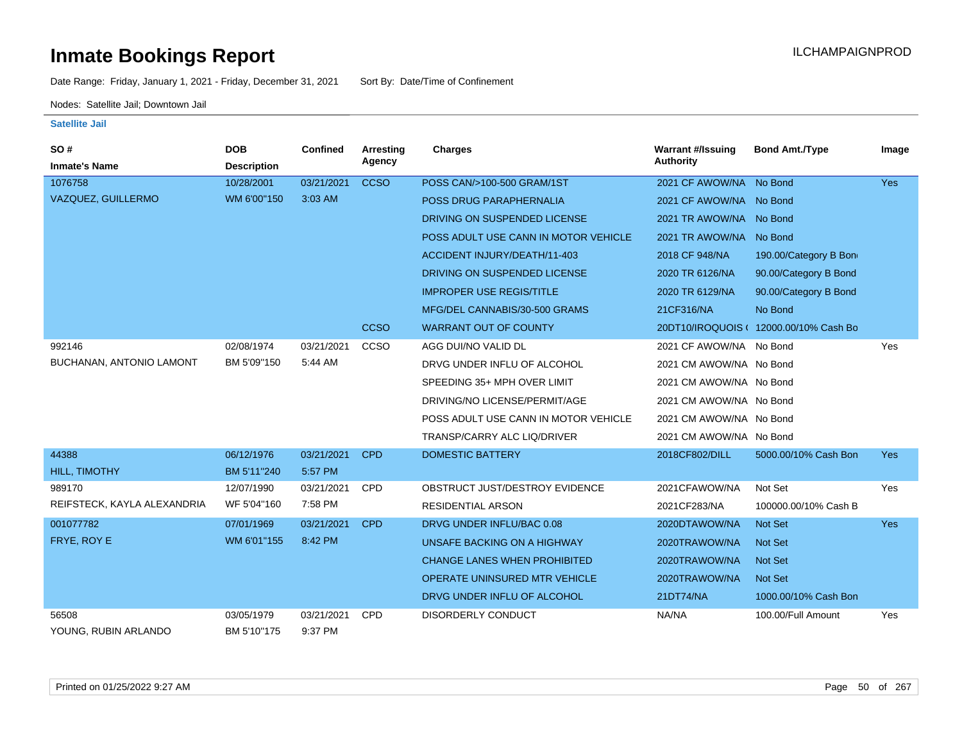Date Range: Friday, January 1, 2021 - Friday, December 31, 2021 Sort By: Date/Time of Confinement

Nodes: Satellite Jail; Downtown Jail

| <b>SO#</b>                  | <b>DOB</b>         | Confined   | <b>Arresting</b> | <b>Charges</b>                       | <b>Warrant #/Issuing</b> | <b>Bond Amt./Type</b>                  | Image      |
|-----------------------------|--------------------|------------|------------------|--------------------------------------|--------------------------|----------------------------------------|------------|
| <b>Inmate's Name</b>        | <b>Description</b> |            | Agency           |                                      | <b>Authority</b>         |                                        |            |
| 1076758                     | 10/28/2001         | 03/21/2021 | <b>CCSO</b>      | POSS CAN/>100-500 GRAM/1ST           | 2021 CF AWOW/NA          | No Bond                                | <b>Yes</b> |
| VAZQUEZ, GUILLERMO          | WM 6'00"150        | 3:03 AM    |                  | POSS DRUG PARAPHERNALIA              | 2021 CF AWOW/NA No Bond  |                                        |            |
|                             |                    |            |                  | DRIVING ON SUSPENDED LICENSE         | 2021 TR AWOW/NA No Bond  |                                        |            |
|                             |                    |            |                  | POSS ADULT USE CANN IN MOTOR VEHICLE | 2021 TR AWOW/NA No Bond  |                                        |            |
|                             |                    |            |                  | ACCIDENT INJURY/DEATH/11-403         | 2018 CF 948/NA           | 190.00/Category B Bon                  |            |
|                             |                    |            |                  | DRIVING ON SUSPENDED LICENSE         | 2020 TR 6126/NA          | 90.00/Category B Bond                  |            |
|                             |                    |            |                  | <b>IMPROPER USE REGIS/TITLE</b>      | 2020 TR 6129/NA          | 90.00/Category B Bond                  |            |
|                             |                    |            |                  | MFG/DEL CANNABIS/30-500 GRAMS        | 21CF316/NA               | No Bond                                |            |
|                             |                    |            | <b>CCSO</b>      | <b>WARRANT OUT OF COUNTY</b>         |                          | 20DT10/IROQUOIS ( 12000.00/10% Cash Bo |            |
| 992146                      | 02/08/1974         | 03/21/2021 | CCSO             | AGG DUI/NO VALID DL                  | 2021 CF AWOW/NA No Bond  |                                        | Yes        |
| BUCHANAN, ANTONIO LAMONT    | BM 5'09"150        | 5:44 AM    |                  | DRVG UNDER INFLU OF ALCOHOL          | 2021 CM AWOW/NA No Bond  |                                        |            |
|                             |                    |            |                  | SPEEDING 35+ MPH OVER LIMIT          | 2021 CM AWOW/NA No Bond  |                                        |            |
|                             |                    |            |                  | DRIVING/NO LICENSE/PERMIT/AGE        | 2021 CM AWOW/NA No Bond  |                                        |            |
|                             |                    |            |                  | POSS ADULT USE CANN IN MOTOR VEHICLE | 2021 CM AWOW/NA No Bond  |                                        |            |
|                             |                    |            |                  | TRANSP/CARRY ALC LIQ/DRIVER          | 2021 CM AWOW/NA No Bond  |                                        |            |
| 44388                       | 06/12/1976         | 03/21/2021 | <b>CPD</b>       | <b>DOMESTIC BATTERY</b>              | 2018CF802/DILL           | 5000.00/10% Cash Bon                   | <b>Yes</b> |
| HILL, TIMOTHY               | BM 5'11"240        | 5:57 PM    |                  |                                      |                          |                                        |            |
| 989170                      | 12/07/1990         | 03/21/2021 | <b>CPD</b>       | OBSTRUCT JUST/DESTROY EVIDENCE       | 2021CFAWOW/NA            | Not Set                                | Yes        |
| REIFSTECK, KAYLA ALEXANDRIA | WF 5'04"160        | 7:58 PM    |                  | <b>RESIDENTIAL ARSON</b>             | 2021CF283/NA             | 100000.00/10% Cash B                   |            |
| 001077782                   | 07/01/1969         | 03/21/2021 | <b>CPD</b>       | DRVG UNDER INFLU/BAC 0.08            | 2020DTAWOW/NA            | <b>Not Set</b>                         | <b>Yes</b> |
| FRYE, ROY E                 | WM 6'01"155        | 8:42 PM    |                  | UNSAFE BACKING ON A HIGHWAY          | 2020TRAWOW/NA            | <b>Not Set</b>                         |            |
|                             |                    |            |                  | <b>CHANGE LANES WHEN PROHIBITED</b>  | 2020TRAWOW/NA            | <b>Not Set</b>                         |            |
|                             |                    |            |                  | <b>OPERATE UNINSURED MTR VEHICLE</b> | 2020TRAWOW/NA            | <b>Not Set</b>                         |            |
|                             |                    |            |                  | DRVG UNDER INFLU OF ALCOHOL          | 21DT74/NA                | 1000.00/10% Cash Bon                   |            |
| 56508                       | 03/05/1979         | 03/21/2021 | CPD              | DISORDERLY CONDUCT                   | NA/NA                    | 100.00/Full Amount                     | Yes        |
| YOUNG, RUBIN ARLANDO        | BM 5'10"175        | 9:37 PM    |                  |                                      |                          |                                        |            |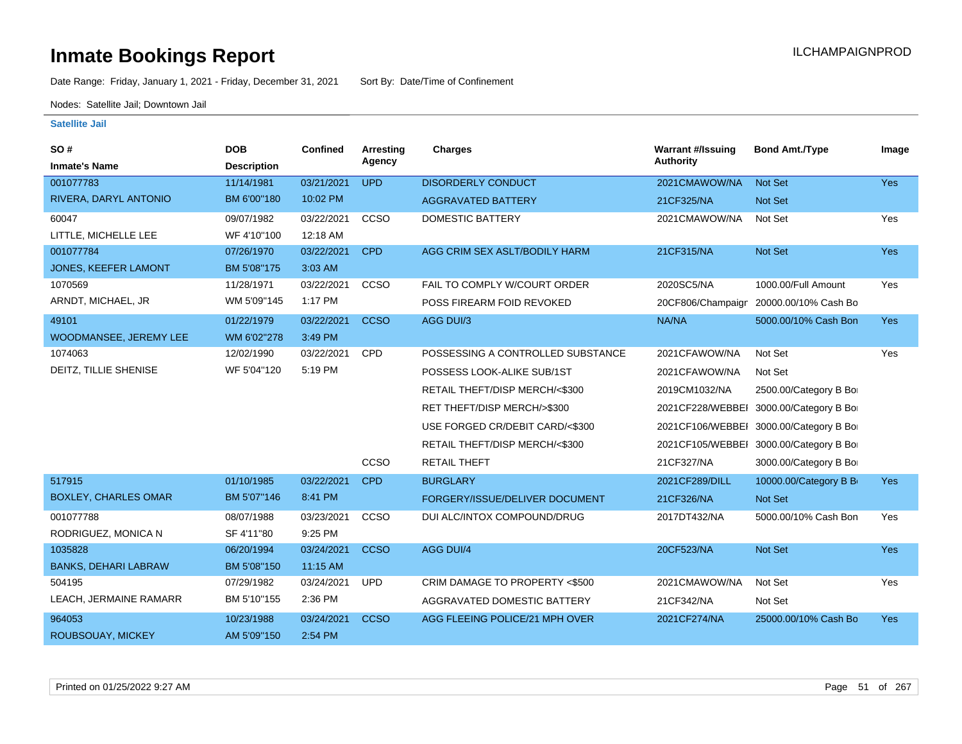Date Range: Friday, January 1, 2021 - Friday, December 31, 2021 Sort By: Date/Time of Confinement

Nodes: Satellite Jail; Downtown Jail

| SO#                         | <b>DOB</b>         | <b>Confined</b> | Arresting   | <b>Charges</b>                    | <b>Warrant #/Issuing</b> | <b>Bond Amt./Type</b>                  | Image      |
|-----------------------------|--------------------|-----------------|-------------|-----------------------------------|--------------------------|----------------------------------------|------------|
| <b>Inmate's Name</b>        | <b>Description</b> |                 | Agency      |                                   | <b>Authority</b>         |                                        |            |
| 001077783                   | 11/14/1981         | 03/21/2021      | <b>UPD</b>  | <b>DISORDERLY CONDUCT</b>         | 2021CMAWOW/NA            | Not Set                                | Yes        |
| RIVERA, DARYL ANTONIO       | BM 6'00"180        | 10:02 PM        |             | <b>AGGRAVATED BATTERY</b>         | 21CF325/NA               | Not Set                                |            |
| 60047                       | 09/07/1982         | 03/22/2021      | CCSO        | DOMESTIC BATTERY                  | 2021CMAWOW/NA            | Not Set                                | Yes        |
| LITTLE, MICHELLE LEE        | WF 4'10"100        | 12:18 AM        |             |                                   |                          |                                        |            |
| 001077784                   | 07/26/1970         | 03/22/2021      | <b>CPD</b>  | AGG CRIM SEX ASLT/BODILY HARM     | 21CF315/NA               | Not Set                                | <b>Yes</b> |
| <b>JONES, KEEFER LAMONT</b> | BM 5'08"175        | 3:03 AM         |             |                                   |                          |                                        |            |
| 1070569                     | 11/28/1971         | 03/22/2021      | <b>CCSO</b> | FAIL TO COMPLY W/COURT ORDER      | 2020SC5/NA               | 1000.00/Full Amount                    | Yes        |
| ARNDT, MICHAEL, JR          | WM 5'09"145        | 1:17 PM         |             | POSS FIREARM FOID REVOKED         | 20CF806/Champaign        | 20000.00/10% Cash Bo                   |            |
| 49101                       | 01/22/1979         | 03/22/2021      | <b>CCSO</b> | AGG DUI/3                         | NA/NA                    | 5000.00/10% Cash Bon                   | Yes        |
| WOODMANSEE, JEREMY LEE      | WM 6'02"278        | 3:49 PM         |             |                                   |                          |                                        |            |
| 1074063                     | 12/02/1990         | 03/22/2021      | <b>CPD</b>  | POSSESSING A CONTROLLED SUBSTANCE | 2021CFAWOW/NA            | Not Set                                | Yes        |
| DEITZ, TILLIE SHENISE       | WF 5'04"120        | 5:19 PM         |             | POSSESS LOOK-ALIKE SUB/1ST        | 2021CFAWOW/NA            | Not Set                                |            |
|                             |                    |                 |             | RETAIL THEFT/DISP MERCH/<\$300    | 2019CM1032/NA            | 2500.00/Category B Bo                  |            |
|                             |                    |                 |             | RET THEFT/DISP MERCH/>\$300       |                          | 2021CF228/WEBBEI 3000.00/Category B Bo |            |
|                             |                    |                 |             | USE FORGED CR/DEBIT CARD/<\$300   |                          | 2021CF106/WEBBEI 3000.00/Category B Bo |            |
|                             |                    |                 |             | RETAIL THEFT/DISP MERCH/<\$300    |                          | 2021CF105/WEBBEI 3000.00/Category B Bo |            |
|                             |                    |                 | CCSO        | <b>RETAIL THEFT</b>               | 21CF327/NA               | 3000.00/Category B Bo                  |            |
| 517915                      | 01/10/1985         | 03/22/2021      | <b>CPD</b>  | <b>BURGLARY</b>                   | 2021CF289/DILL           | 10000.00/Category B B                  | <b>Yes</b> |
| <b>BOXLEY, CHARLES OMAR</b> | BM 5'07"146        | 8:41 PM         |             | FORGERY/ISSUE/DELIVER DOCUMENT    | 21CF326/NA               | Not Set                                |            |
| 001077788                   | 08/07/1988         | 03/23/2021      | CCSO        | DUI ALC/INTOX COMPOUND/DRUG       | 2017DT432/NA             | 5000.00/10% Cash Bon                   | Yes        |
| RODRIGUEZ, MONICA N         | SF 4'11"80         | 9:25 PM         |             |                                   |                          |                                        |            |
| 1035828                     | 06/20/1994         | 03/24/2021      | <b>CCSO</b> | AGG DUI/4                         | 20CF523/NA               | Not Set                                | Yes        |
| <b>BANKS, DEHARI LABRAW</b> | BM 5'08"150        | 11:15 AM        |             |                                   |                          |                                        |            |
| 504195                      | 07/29/1982         | 03/24/2021      | <b>UPD</b>  | CRIM DAMAGE TO PROPERTY <\$500    | 2021CMAWOW/NA            | Not Set                                | Yes        |
| LEACH, JERMAINE RAMARR      | BM 5'10"155        | 2:36 PM         |             | AGGRAVATED DOMESTIC BATTERY       | 21CF342/NA               | Not Set                                |            |
| 964053                      | 10/23/1988         | 03/24/2021      | <b>CCSO</b> | AGG FLEEING POLICE/21 MPH OVER    | 2021CF274/NA             | 25000.00/10% Cash Bo                   | <b>Yes</b> |
| ROUBSOUAY, MICKEY           | AM 5'09"150        | 2:54 PM         |             |                                   |                          |                                        |            |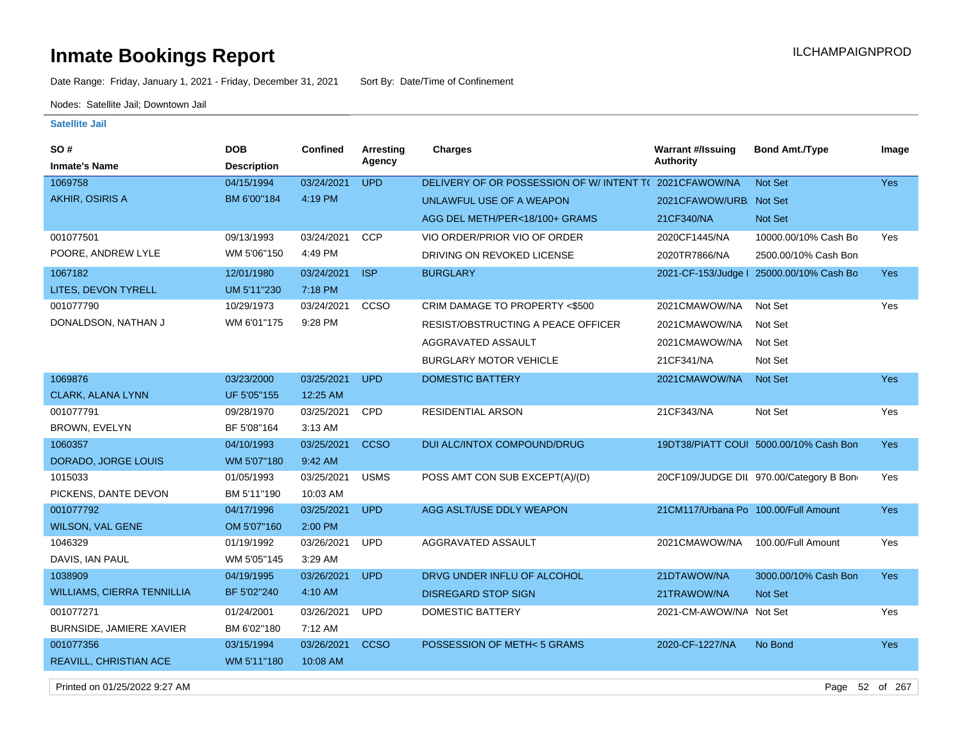Date Range: Friday, January 1, 2021 - Friday, December 31, 2021 Sort By: Date/Time of Confinement

Nodes: Satellite Jail; Downtown Jail

#### **Satellite Jail**

| SO#                               | <b>DOB</b>         | <b>Confined</b> | <b>Arresting</b> | <b>Charges</b>                                        | <b>Warrant #/Issuing</b>             | <b>Bond Amt./Type</b>                   | Image      |
|-----------------------------------|--------------------|-----------------|------------------|-------------------------------------------------------|--------------------------------------|-----------------------------------------|------------|
| <b>Inmate's Name</b>              | <b>Description</b> |                 | Agency           |                                                       | Authority                            |                                         |            |
| 1069758                           | 04/15/1994         | 03/24/2021      | <b>UPD</b>       | DELIVERY OF OR POSSESSION OF W/INTENT T(2021CFAWOW/NA |                                      | <b>Not Set</b>                          | <b>Yes</b> |
| AKHIR, OSIRIS A                   | BM 6'00"184        | 4:19 PM         |                  | UNLAWFUL USE OF A WEAPON                              | 2021CFAWOW/URB. Not Set              |                                         |            |
|                                   |                    |                 |                  | AGG DEL METH/PER<18/100+ GRAMS                        | 21CF340/NA                           | <b>Not Set</b>                          |            |
| 001077501                         | 09/13/1993         | 03/24/2021      | <b>CCP</b>       | VIO ORDER/PRIOR VIO OF ORDER                          | 2020CF1445/NA                        | 10000.00/10% Cash Bo                    | Yes        |
| POORE, ANDREW LYLE                | WM 5'06"150        | 4:49 PM         |                  | DRIVING ON REVOKED LICENSE                            | 2020TR7866/NA                        | 2500.00/10% Cash Bon                    |            |
| 1067182                           | 12/01/1980         | 03/24/2021      | <b>ISP</b>       | <b>BURGLARY</b>                                       | 2021-CF-153/Judge I                  | 25000.00/10% Cash Bo                    | Yes        |
| LITES, DEVON TYRELL               | UM 5'11"230        | 7:18 PM         |                  |                                                       |                                      |                                         |            |
| 001077790                         | 10/29/1973         | 03/24/2021      | CCSO             | CRIM DAMAGE TO PROPERTY <\$500                        | 2021CMAWOW/NA                        | Not Set                                 | Yes        |
| DONALDSON, NATHAN J               | WM 6'01"175        | 9:28 PM         |                  | RESIST/OBSTRUCTING A PEACE OFFICER                    | 2021CMAWOW/NA                        | Not Set                                 |            |
|                                   |                    |                 |                  | AGGRAVATED ASSAULT                                    | 2021CMAWOW/NA                        | Not Set                                 |            |
|                                   |                    |                 |                  | <b>BURGLARY MOTOR VEHICLE</b>                         | 21CF341/NA                           | Not Set                                 |            |
| 1069876                           | 03/23/2000         | 03/25/2021      | <b>UPD</b>       | <b>DOMESTIC BATTERY</b>                               | 2021CMAWOW/NA                        | <b>Not Set</b>                          | Yes        |
| CLARK, ALANA LYNN                 | UF 5'05"155        | 12:25 AM        |                  |                                                       |                                      |                                         |            |
| 001077791                         | 09/28/1970         | 03/25/2021      | <b>CPD</b>       | <b>RESIDENTIAL ARSON</b>                              | 21CF343/NA                           | Not Set                                 | Yes        |
| BROWN, EVELYN                     | BF 5'08"164        | 3:13 AM         |                  |                                                       |                                      |                                         |            |
| 1060357                           | 04/10/1993         | 03/25/2021      | <b>CCSO</b>      | DUI ALC/INTOX COMPOUND/DRUG                           |                                      | 19DT38/PIATT COUI 5000.00/10% Cash Bon  | <b>Yes</b> |
| DORADO, JORGE LOUIS               | WM 5'07"180        | 9:42 AM         |                  |                                                       |                                      |                                         |            |
| 1015033                           | 01/05/1993         | 03/25/2021      | <b>USMS</b>      | POSS AMT CON SUB EXCEPT(A)/(D)                        |                                      | 20CF109/JUDGE DIL 970.00/Category B Bon | Yes        |
| PICKENS, DANTE DEVON              | BM 5'11"190        | 10:03 AM        |                  |                                                       |                                      |                                         |            |
| 001077792                         | 04/17/1996         | 03/25/2021      | <b>UPD</b>       | AGG ASLT/USE DDLY WEAPON                              | 21CM117/Urbana Po 100.00/Full Amount |                                         | <b>Yes</b> |
| WILSON, VAL GENE                  | OM 5'07"160        | 2:00 PM         |                  |                                                       |                                      |                                         |            |
| 1046329                           | 01/19/1992         | 03/26/2021      | <b>UPD</b>       | AGGRAVATED ASSAULT                                    | 2021CMAWOW/NA                        | 100.00/Full Amount                      | Yes        |
| DAVIS, IAN PAUL                   | WM 5'05"145        | 3:29 AM         |                  |                                                       |                                      |                                         |            |
| 1038909                           | 04/19/1995         | 03/26/2021      | <b>UPD</b>       | DRVG UNDER INFLU OF ALCOHOL                           | 21DTAWOW/NA                          | 3000.00/10% Cash Bon                    | Yes        |
| <b>WILLIAMS, CIERRA TENNILLIA</b> | BF 5'02"240        | 4:10 AM         |                  | <b>DISREGARD STOP SIGN</b>                            | 21TRAWOW/NA                          | <b>Not Set</b>                          |            |
| 001077271                         | 01/24/2001         | 03/26/2021      | <b>UPD</b>       | <b>DOMESTIC BATTERY</b>                               | 2021-CM-AWOW/NA Not Set              |                                         | Yes        |
| BURNSIDE, JAMIERE XAVIER          | BM 6'02"180        | 7:12 AM         |                  |                                                       |                                      |                                         |            |
| 001077356                         | 03/15/1994         | 03/26/2021      | <b>CCSO</b>      | POSSESSION OF METH<5 GRAMS                            | 2020-CF-1227/NA                      | No Bond                                 | Yes        |
| REAVILL, CHRISTIAN ACE            | WM 5'11"180        | 10:08 AM        |                  |                                                       |                                      |                                         |            |

Printed on 01/25/2022 9:27 AM Page 52 of 267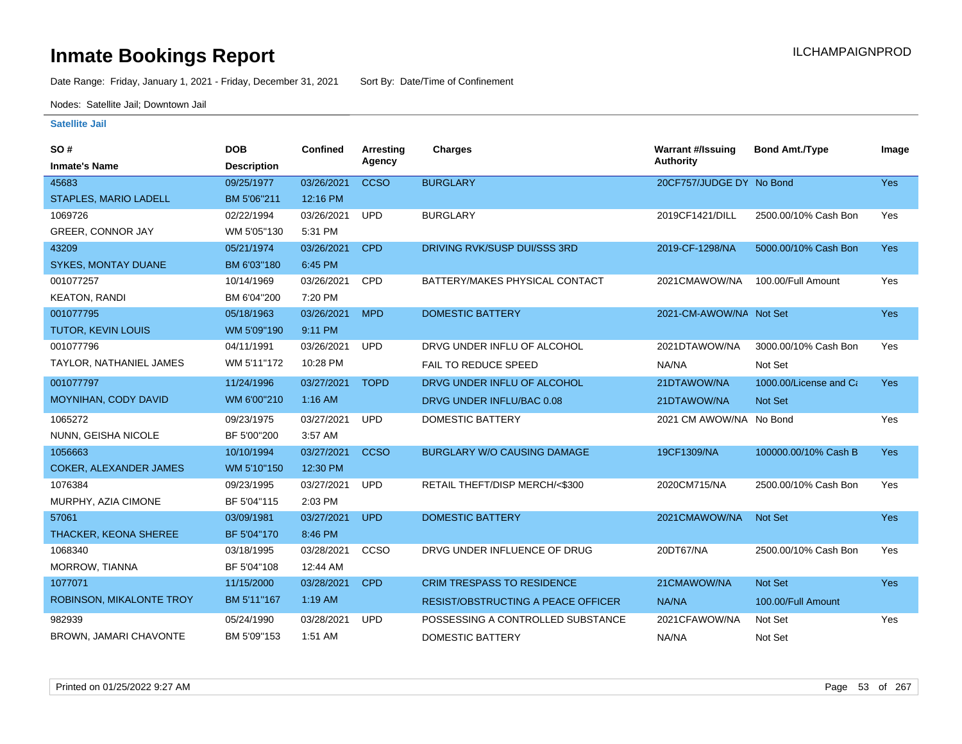Date Range: Friday, January 1, 2021 - Friday, December 31, 2021 Sort By: Date/Time of Confinement

Nodes: Satellite Jail; Downtown Jail

| <b>SO#</b>                    | <b>DOB</b>         | Confined   | Arresting   | <b>Charges</b>                     | <b>Warrant #/Issuing</b> | <b>Bond Amt./Type</b>  | Image      |
|-------------------------------|--------------------|------------|-------------|------------------------------------|--------------------------|------------------------|------------|
| <b>Inmate's Name</b>          | <b>Description</b> |            | Agency      |                                    | <b>Authority</b>         |                        |            |
| 45683                         | 09/25/1977         | 03/26/2021 | <b>CCSO</b> | <b>BURGLARY</b>                    | 20CF757/JUDGE DY No Bond |                        | Yes        |
| STAPLES, MARIO LADELL         | BM 5'06"211        | 12:16 PM   |             |                                    |                          |                        |            |
| 1069726                       | 02/22/1994         | 03/26/2021 | <b>UPD</b>  | <b>BURGLARY</b>                    | 2019CF1421/DILL          | 2500.00/10% Cash Bon   | Yes        |
| GREER, CONNOR JAY             | WM 5'05"130        | 5:31 PM    |             |                                    |                          |                        |            |
| 43209                         | 05/21/1974         | 03/26/2021 | <b>CPD</b>  | DRIVING RVK/SUSP DUI/SSS 3RD       | 2019-CF-1298/NA          | 5000.00/10% Cash Bon   | Yes        |
| <b>SYKES, MONTAY DUANE</b>    | BM 6'03"180        | 6:45 PM    |             |                                    |                          |                        |            |
| 001077257                     | 10/14/1969         | 03/26/2021 | <b>CPD</b>  | BATTERY/MAKES PHYSICAL CONTACT     | 2021CMAWOW/NA            | 100.00/Full Amount     | Yes        |
| <b>KEATON, RANDI</b>          | BM 6'04"200        | 7:20 PM    |             |                                    |                          |                        |            |
| 001077795                     | 05/18/1963         | 03/26/2021 | <b>MPD</b>  | <b>DOMESTIC BATTERY</b>            | 2021-CM-AWOW/NA Not Set  |                        | Yes        |
| <b>TUTOR, KEVIN LOUIS</b>     | WM 5'09"190        | 9:11 PM    |             |                                    |                          |                        |            |
| 001077796                     | 04/11/1991         | 03/26/2021 | <b>UPD</b>  | DRVG UNDER INFLU OF ALCOHOL        | 2021DTAWOW/NA            | 3000.00/10% Cash Bon   | Yes        |
| TAYLOR, NATHANIEL JAMES       | WM 5'11"172        | 10:28 PM   |             | <b>FAIL TO REDUCE SPEED</b>        | NA/NA                    | Not Set                |            |
| 001077797                     | 11/24/1996         | 03/27/2021 | <b>TOPD</b> | DRVG UNDER INFLU OF ALCOHOL        | 21DTAWOW/NA              | 1000.00/License and Ca | <b>Yes</b> |
| MOYNIHAN, CODY DAVID          | WM 6'00"210        | $1:16$ AM  |             | DRVG UNDER INFLU/BAC 0.08          | 21DTAWOW/NA              | Not Set                |            |
| 1065272                       | 09/23/1975         | 03/27/2021 | <b>UPD</b>  | <b>DOMESTIC BATTERY</b>            | 2021 CM AWOW/NA No Bond  |                        | Yes        |
| NUNN, GEISHA NICOLE           | BF 5'00"200        | 3:57 AM    |             |                                    |                          |                        |            |
| 1056663                       | 10/10/1994         | 03/27/2021 | <b>CCSO</b> | <b>BURGLARY W/O CAUSING DAMAGE</b> | 19CF1309/NA              | 100000.00/10% Cash B   | <b>Yes</b> |
| <b>COKER, ALEXANDER JAMES</b> | WM 5'10"150        | 12:30 PM   |             |                                    |                          |                        |            |
| 1076384                       | 09/23/1995         | 03/27/2021 | <b>UPD</b>  | RETAIL THEFT/DISP MERCH/<\$300     | 2020CM715/NA             | 2500.00/10% Cash Bon   | Yes        |
| MURPHY, AZIA CIMONE           | BF 5'04"115        | 2:03 PM    |             |                                    |                          |                        |            |
| 57061                         | 03/09/1981         | 03/27/2021 | <b>UPD</b>  | <b>DOMESTIC BATTERY</b>            | 2021CMAWOW/NA            | Not Set                | Yes        |
| THACKER, KEONA SHEREE         | BF 5'04"170        | 8:46 PM    |             |                                    |                          |                        |            |
| 1068340                       | 03/18/1995         | 03/28/2021 | CCSO        | DRVG UNDER INFLUENCE OF DRUG       | 20DT67/NA                | 2500.00/10% Cash Bon   | Yes        |
| <b>MORROW, TIANNA</b>         | BF 5'04"108        | 12:44 AM   |             |                                    |                          |                        |            |
| 1077071                       | 11/15/2000         | 03/28/2021 | <b>CPD</b>  | <b>CRIM TRESPASS TO RESIDENCE</b>  | 21CMAWOW/NA              | Not Set                | <b>Yes</b> |
| ROBINSON, MIKALONTE TROY      | BM 5'11"167        | $1:19$ AM  |             | RESIST/OBSTRUCTING A PEACE OFFICER | NA/NA                    | 100.00/Full Amount     |            |
| 982939                        | 05/24/1990         | 03/28/2021 | <b>UPD</b>  | POSSESSING A CONTROLLED SUBSTANCE  | 2021CFAWOW/NA            | Not Set                | Yes        |
| BROWN, JAMARI CHAVONTE        | BM 5'09"153        | 1:51 AM    |             | DOMESTIC BATTERY                   | NA/NA                    | Not Set                |            |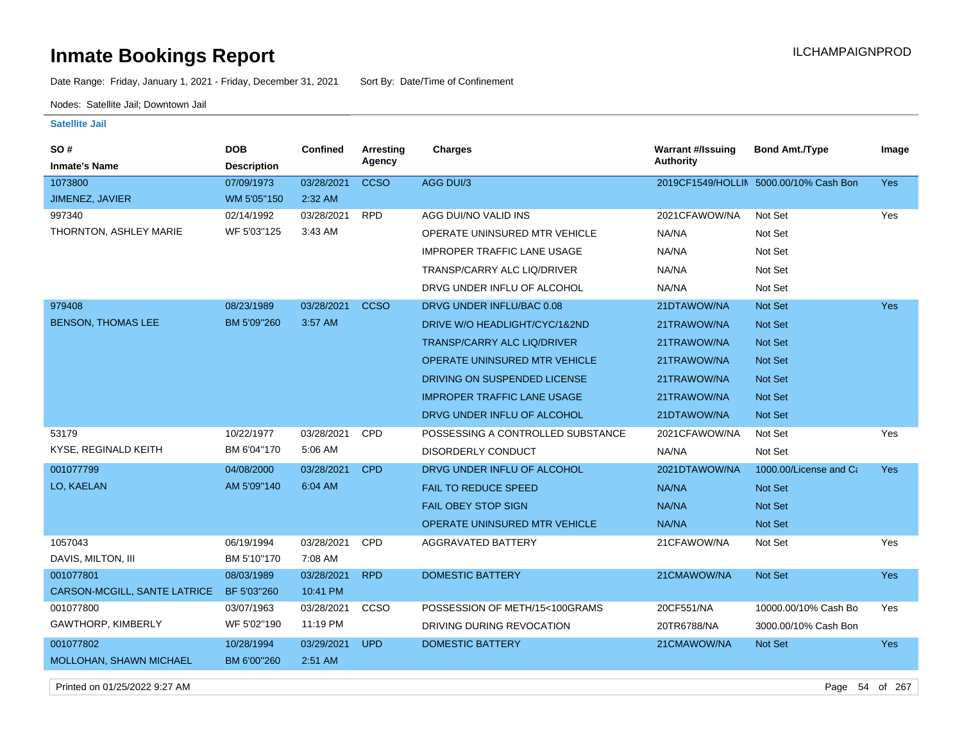Date Range: Friday, January 1, 2021 - Friday, December 31, 2021 Sort By: Date/Time of Confinement

Nodes: Satellite Jail; Downtown Jail

**Satellite Jail**

| SO#<br><b>Inmate's Name</b>  | <b>DOB</b><br><b>Description</b> | <b>Confined</b> | <b>Arresting</b><br>Agency | <b>Charges</b>                       | <b>Warrant #/Issuing</b><br><b>Authority</b> | <b>Bond Amt./Type</b>                  | Image      |
|------------------------------|----------------------------------|-----------------|----------------------------|--------------------------------------|----------------------------------------------|----------------------------------------|------------|
| 1073800                      | 07/09/1973                       | 03/28/2021      | <b>CCSO</b>                | AGG DUI/3                            |                                              | 2019CF1549/HOLLIN 5000.00/10% Cash Bon | Yes        |
| JIMENEZ, JAVIER              | WM 5'05"150                      | 2:32 AM         |                            |                                      |                                              |                                        |            |
| 997340                       | 02/14/1992                       | 03/28/2021      | <b>RPD</b>                 | AGG DUI/NO VALID INS                 | 2021CFAWOW/NA                                | Not Set                                | Yes        |
| THORNTON, ASHLEY MARIE       | WF 5'03"125                      | 3:43 AM         |                            | OPERATE UNINSURED MTR VEHICLE        | NA/NA                                        | Not Set                                |            |
|                              |                                  |                 |                            | <b>IMPROPER TRAFFIC LANE USAGE</b>   | NA/NA                                        | Not Set                                |            |
|                              |                                  |                 |                            | TRANSP/CARRY ALC LIQ/DRIVER          | NA/NA                                        | Not Set                                |            |
|                              |                                  |                 |                            | DRVG UNDER INFLU OF ALCOHOL          | NA/NA                                        | Not Set                                |            |
| 979408                       | 08/23/1989                       | 03/28/2021      | <b>CCSO</b>                | DRVG UNDER INFLU/BAC 0.08            | 21DTAWOW/NA                                  | Not Set                                | Yes        |
| <b>BENSON, THOMAS LEE</b>    | BM 5'09"260                      | 3:57 AM         |                            | DRIVE W/O HEADLIGHT/CYC/1&2ND        | 21TRAWOW/NA                                  | Not Set                                |            |
|                              |                                  |                 |                            | <b>TRANSP/CARRY ALC LIQ/DRIVER</b>   | 21TRAWOW/NA                                  | <b>Not Set</b>                         |            |
|                              |                                  |                 |                            | OPERATE UNINSURED MTR VEHICLE        | 21TRAWOW/NA                                  | <b>Not Set</b>                         |            |
|                              |                                  |                 |                            | DRIVING ON SUSPENDED LICENSE         | 21TRAWOW/NA                                  | Not Set                                |            |
|                              |                                  |                 |                            | <b>IMPROPER TRAFFIC LANE USAGE</b>   | 21TRAWOW/NA                                  | <b>Not Set</b>                         |            |
|                              |                                  |                 |                            | DRVG UNDER INFLU OF ALCOHOL          | 21DTAWOW/NA                                  | Not Set                                |            |
| 53179                        | 10/22/1977                       | 03/28/2021      | CPD                        | POSSESSING A CONTROLLED SUBSTANCE    | 2021CFAWOW/NA                                | Not Set                                | Yes        |
| KYSE, REGINALD KEITH         | BM 6'04"170                      | 5:06 AM         |                            | DISORDERLY CONDUCT                   | NA/NA                                        | Not Set                                |            |
| 001077799                    | 04/08/2000                       | 03/28/2021      | <b>CPD</b>                 | DRVG UNDER INFLU OF ALCOHOL          | 2021DTAWOW/NA                                | 1000.00/License and Ca                 | <b>Yes</b> |
| LO, KAELAN                   | AM 5'09"140                      | 6:04 AM         |                            | <b>FAIL TO REDUCE SPEED</b>          | NA/NA                                        | Not Set                                |            |
|                              |                                  |                 |                            | <b>FAIL OBEY STOP SIGN</b>           | NA/NA                                        | Not Set                                |            |
|                              |                                  |                 |                            | <b>OPERATE UNINSURED MTR VEHICLE</b> | NA/NA                                        | Not Set                                |            |
| 1057043                      | 06/19/1994                       | 03/28/2021      | CPD                        | AGGRAVATED BATTERY                   | 21CFAWOW/NA                                  | Not Set                                | Yes        |
| DAVIS, MILTON, III           | BM 5'10"170                      | 7:08 AM         |                            |                                      |                                              |                                        |            |
| 001077801                    | 08/03/1989                       | 03/28/2021      | <b>RPD</b>                 | <b>DOMESTIC BATTERY</b>              | 21CMAWOW/NA                                  | <b>Not Set</b>                         | <b>Yes</b> |
| CARSON-MCGILL, SANTE LATRICE | BF 5'03"260                      | 10:41 PM        |                            |                                      |                                              |                                        |            |
| 001077800                    | 03/07/1963                       | 03/28/2021      | CCSO                       | POSSESSION OF METH/15<100GRAMS       | 20CF551/NA                                   | 10000.00/10% Cash Bo                   | Yes        |
| <b>GAWTHORP, KIMBERLY</b>    | WF 5'02"190                      | 11:19 PM        |                            | DRIVING DURING REVOCATION            | 20TR6788/NA                                  | 3000.00/10% Cash Bon                   |            |
| 001077802                    | 10/28/1994                       | 03/29/2021      | <b>UPD</b>                 | <b>DOMESTIC BATTERY</b>              | 21CMAWOW/NA                                  | Not Set                                | <b>Yes</b> |
| MOLLOHAN, SHAWN MICHAEL      | BM 6'00"260                      | 2:51 AM         |                            |                                      |                                              |                                        |            |

Printed on 01/25/2022 9:27 AM Page 54 of 267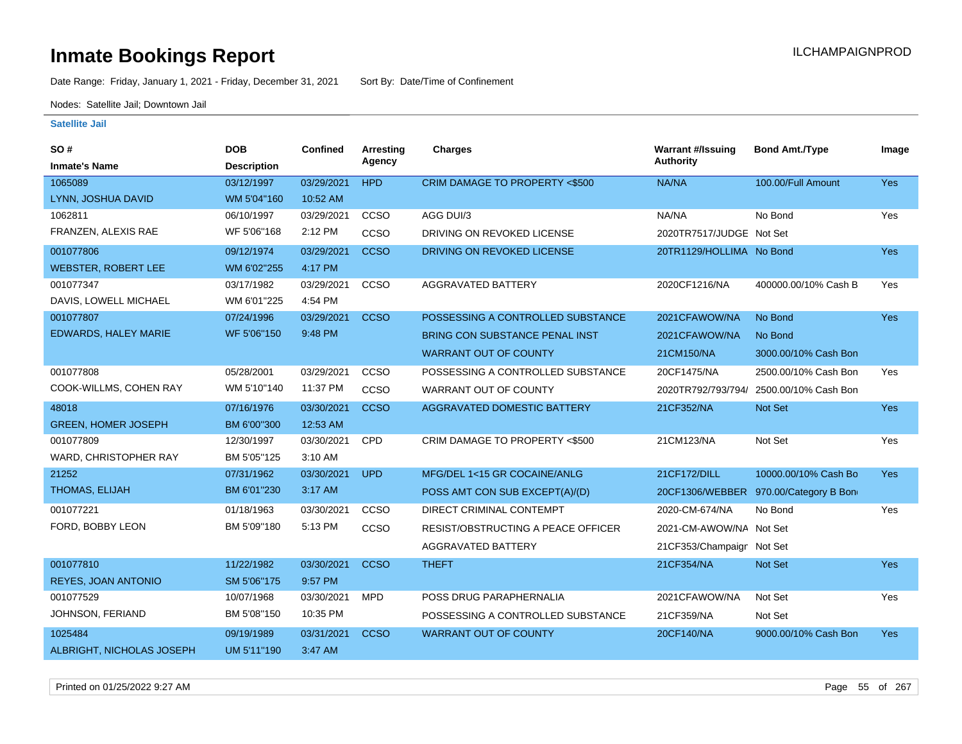Date Range: Friday, January 1, 2021 - Friday, December 31, 2021 Sort By: Date/Time of Confinement

Nodes: Satellite Jail; Downtown Jail

| SO#                         | <b>DOB</b>         | <b>Confined</b> | Arresting   | Charges                            | <b>Warrant #/Issuing</b>  | <b>Bond Amt./Type</b>                 | Image      |
|-----------------------------|--------------------|-----------------|-------------|------------------------------------|---------------------------|---------------------------------------|------------|
| <b>Inmate's Name</b>        | <b>Description</b> |                 | Agency      |                                    | <b>Authority</b>          |                                       |            |
| 1065089                     | 03/12/1997         | 03/29/2021      | <b>HPD</b>  | CRIM DAMAGE TO PROPERTY <\$500     | NA/NA                     | 100.00/Full Amount                    | Yes        |
| LYNN, JOSHUA DAVID          | WM 5'04"160        | 10:52 AM        |             |                                    |                           |                                       |            |
| 1062811                     | 06/10/1997         | 03/29/2021      | <b>CCSO</b> | AGG DUI/3                          | NA/NA                     | No Bond                               | Yes        |
| FRANZEN, ALEXIS RAE         | WF 5'06"168        | 2:12 PM         | CCSO        | DRIVING ON REVOKED LICENSE         | 2020TR7517/JUDGE Not Set  |                                       |            |
| 001077806                   | 09/12/1974         | 03/29/2021      | <b>CCSO</b> | DRIVING ON REVOKED LICENSE         | 20TR1129/HOLLIMA No Bond  |                                       | Yes        |
| <b>WEBSTER, ROBERT LEE</b>  | WM 6'02"255        | 4:17 PM         |             |                                    |                           |                                       |            |
| 001077347                   | 03/17/1982         | 03/29/2021      | ccso        | <b>AGGRAVATED BATTERY</b>          | 2020CF1216/NA             | 400000.00/10% Cash B                  | Yes        |
| DAVIS, LOWELL MICHAEL       | WM 6'01"225        | 4:54 PM         |             |                                    |                           |                                       |            |
| 001077807                   | 07/24/1996         | 03/29/2021      | <b>CCSO</b> | POSSESSING A CONTROLLED SUBSTANCE  | 2021CFAWOW/NA             | No Bond                               | <b>Yes</b> |
| <b>EDWARDS, HALEY MARIE</b> | WF 5'06"150        | 9:48 PM         |             | BRING CON SUBSTANCE PENAL INST     | 2021CFAWOW/NA             | No Bond                               |            |
|                             |                    |                 |             | <b>WARRANT OUT OF COUNTY</b>       | 21CM150/NA                | 3000.00/10% Cash Bon                  |            |
| 001077808                   | 05/28/2001         | 03/29/2021      | CCSO        | POSSESSING A CONTROLLED SUBSTANCE  | 20CF1475/NA               | 2500.00/10% Cash Bon                  | Yes        |
| COOK-WILLMS, COHEN RAY      | WM 5'10"140        | 11:37 PM        | CCSO        | WARRANT OUT OF COUNTY              | 2020TR792/793/794/        | 2500.00/10% Cash Bon                  |            |
| 48018                       | 07/16/1976         | 03/30/2021      | <b>CCSO</b> | <b>AGGRAVATED DOMESTIC BATTERY</b> | 21CF352/NA                | Not Set                               | Yes        |
| <b>GREEN, HOMER JOSEPH</b>  | BM 6'00"300        | 12:53 AM        |             |                                    |                           |                                       |            |
| 001077809                   | 12/30/1997         | 03/30/2021      | CPD         | CRIM DAMAGE TO PROPERTY <\$500     | 21CM123/NA                | Not Set                               | Yes        |
| WARD, CHRISTOPHER RAY       | BM 5'05"125        | 3:10 AM         |             |                                    |                           |                                       |            |
| 21252                       | 07/31/1962         | 03/30/2021      | <b>UPD</b>  | MFG/DEL 1<15 GR COCAINE/ANLG       | 21CF172/DILL              | 10000.00/10% Cash Bo                  | <b>Yes</b> |
| THOMAS, ELIJAH              | BM 6'01"230        | 3:17 AM         |             | POSS AMT CON SUB EXCEPT(A)/(D)     |                           | 20CF1306/WEBBER 970.00/Category B Bon |            |
| 001077221                   | 01/18/1963         | 03/30/2021      | CCSO        | DIRECT CRIMINAL CONTEMPT           | 2020-CM-674/NA            | No Bond                               | Yes        |
| FORD, BOBBY LEON            | BM 5'09"180        | 5:13 PM         | CCSO        | RESIST/OBSTRUCTING A PEACE OFFICER | 2021-CM-AWOW/NA Not Set   |                                       |            |
|                             |                    |                 |             | <b>AGGRAVATED BATTERY</b>          | 21CF353/Champaign Not Set |                                       |            |
| 001077810                   | 11/22/1982         | 03/30/2021      | <b>CCSO</b> | <b>THEFT</b>                       | 21CF354/NA                | Not Set                               | <b>Yes</b> |
| REYES, JOAN ANTONIO         | SM 5'06"175        | 9:57 PM         |             |                                    |                           |                                       |            |
| 001077529                   | 10/07/1968         | 03/30/2021      | <b>MPD</b>  | POSS DRUG PARAPHERNALIA            | 2021CFAWOW/NA             | Not Set                               | Yes        |
| JOHNSON, FERIAND            | BM 5'08"150        | 10:35 PM        |             | POSSESSING A CONTROLLED SUBSTANCE  | 21CF359/NA                | Not Set                               |            |
| 1025484                     | 09/19/1989         | 03/31/2021      | <b>CCSO</b> | <b>WARRANT OUT OF COUNTY</b>       | 20CF140/NA                | 9000.00/10% Cash Bon                  | Yes        |
| ALBRIGHT, NICHOLAS JOSEPH   | UM 5'11"190        | 3:47 AM         |             |                                    |                           |                                       |            |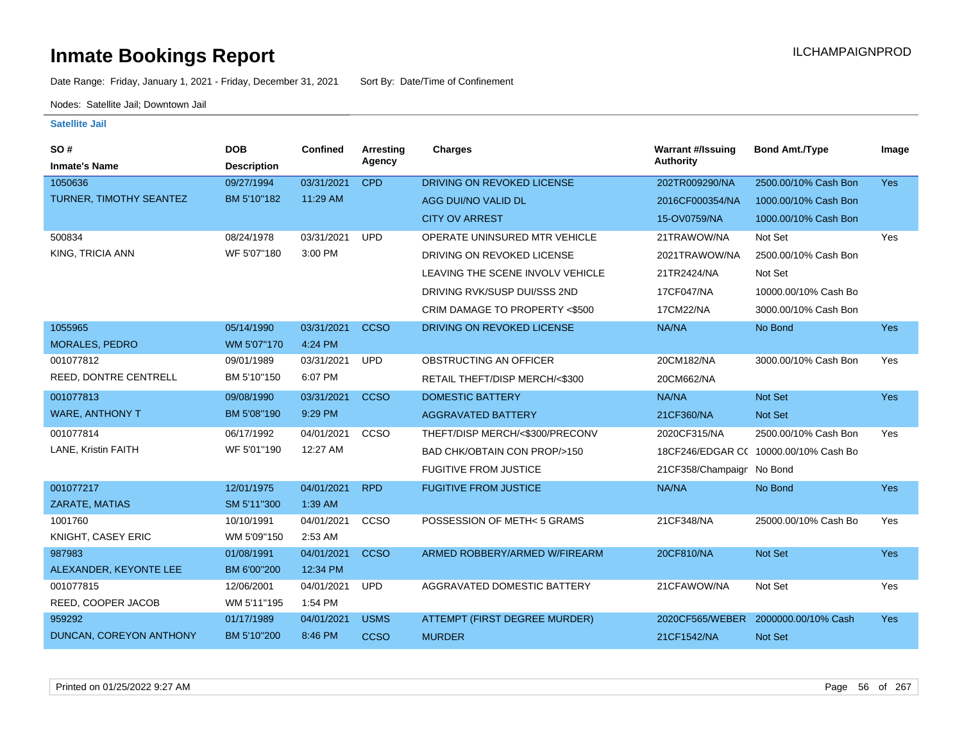Date Range: Friday, January 1, 2021 - Friday, December 31, 2021 Sort By: Date/Time of Confinement

Nodes: Satellite Jail; Downtown Jail

| <b>SO#</b>              | <b>DOB</b>         | <b>Confined</b> | Arresting   | <b>Charges</b>                         | <b>Warrant #/Issuing</b>  | <b>Bond Amt./Type</b>                 | Image      |
|-------------------------|--------------------|-----------------|-------------|----------------------------------------|---------------------------|---------------------------------------|------------|
| <b>Inmate's Name</b>    | <b>Description</b> |                 | Agency      |                                        | <b>Authority</b>          |                                       |            |
| 1050636                 | 09/27/1994         | 03/31/2021      | <b>CPD</b>  | DRIVING ON REVOKED LICENSE             | 202TR009290/NA            | 2500.00/10% Cash Bon                  | Yes        |
| TURNER, TIMOTHY SEANTEZ | BM 5'10"182        | 11:29 AM        |             | AGG DUI/NO VALID DL                    | 2016CF000354/NA           | 1000.00/10% Cash Bon                  |            |
|                         |                    |                 |             | <b>CITY OV ARREST</b>                  | 15-OV0759/NA              | 1000.00/10% Cash Bon                  |            |
| 500834                  | 08/24/1978         | 03/31/2021      | <b>UPD</b>  | OPERATE UNINSURED MTR VEHICLE          | 21TRAWOW/NA               | Not Set                               | Yes        |
| KING, TRICIA ANN        | WF 5'07"180        | 3:00 PM         |             | DRIVING ON REVOKED LICENSE             | 2021TRAWOW/NA             | 2500.00/10% Cash Bon                  |            |
|                         |                    |                 |             | LEAVING THE SCENE INVOLV VEHICLE       | 21TR2424/NA               | Not Set                               |            |
|                         |                    |                 |             | DRIVING RVK/SUSP DUI/SSS 2ND           | 17CF047/NA                | 10000.00/10% Cash Bo                  |            |
|                         |                    |                 |             | CRIM DAMAGE TO PROPERTY <\$500         | 17CM22/NA                 | 3000.00/10% Cash Bon                  |            |
| 1055965                 | 05/14/1990         | 03/31/2021      | <b>CCSO</b> | DRIVING ON REVOKED LICENSE             | NA/NA                     | No Bond                               | <b>Yes</b> |
| <b>MORALES, PEDRO</b>   | WM 5'07"170        | 4:24 PM         |             |                                        |                           |                                       |            |
| 001077812               | 09/01/1989         | 03/31/2021      | <b>UPD</b>  | OBSTRUCTING AN OFFICER                 | 20CM182/NA                | 3000.00/10% Cash Bon                  | Yes        |
| REED, DONTRE CENTRELL   | BM 5'10"150        | 6:07 PM         |             | RETAIL THEFT/DISP MERCH/<\$300         | 20CM662/NA                |                                       |            |
| 001077813               | 09/08/1990         | 03/31/2021      | <b>CCSO</b> | <b>DOMESTIC BATTERY</b>                | NA/NA                     | Not Set                               | Yes        |
| <b>WARE, ANTHONY T</b>  | BM 5'08"190        | 9:29 PM         |             | <b>AGGRAVATED BATTERY</b>              | 21CF360/NA                | Not Set                               |            |
| 001077814               | 06/17/1992         | 04/01/2021      | CCSO        | THEFT/DISP MERCH/<\$300/PRECONV        | 2020CF315/NA              | 2500.00/10% Cash Bon                  | Yes        |
| LANE, Kristin FAITH     | WF 5'01"190        | 12:27 AM        |             | <b>BAD CHK/OBTAIN CON PROP/&gt;150</b> |                           | 18CF246/EDGAR CC 10000.00/10% Cash Bo |            |
|                         |                    |                 |             | <b>FUGITIVE FROM JUSTICE</b>           | 21CF358/Champaign No Bond |                                       |            |
| 001077217               | 12/01/1975         | 04/01/2021      | <b>RPD</b>  | <b>FUGITIVE FROM JUSTICE</b>           | NA/NA                     | No Bond                               | <b>Yes</b> |
| ZARATE, MATIAS          | SM 5'11"300        | 1:39 AM         |             |                                        |                           |                                       |            |
| 1001760                 | 10/10/1991         | 04/01/2021      | CCSO        | POSSESSION OF METH< 5 GRAMS            | 21CF348/NA                | 25000.00/10% Cash Bo                  | Yes        |
| KNIGHT, CASEY ERIC      | WM 5'09"150        | 2:53 AM         |             |                                        |                           |                                       |            |
| 987983                  | 01/08/1991         | 04/01/2021      | <b>CCSO</b> | ARMED ROBBERY/ARMED W/FIREARM          | 20CF810/NA                | Not Set                               | <b>Yes</b> |
| ALEXANDER, KEYONTE LEE  | BM 6'00"200        | 12:34 PM        |             |                                        |                           |                                       |            |
| 001077815               | 12/06/2001         | 04/01/2021      | <b>UPD</b>  | AGGRAVATED DOMESTIC BATTERY            | 21CFAWOW/NA               | Not Set                               | Yes        |
| REED, COOPER JACOB      | WM 5'11"195        | 1:54 PM         |             |                                        |                           |                                       |            |
| 959292                  | 01/17/1989         | 04/01/2021      | <b>USMS</b> | ATTEMPT (FIRST DEGREE MURDER)          | 2020CF565/WEBER           | 2000000.00/10% Cash                   | Yes        |
| DUNCAN, COREYON ANTHONY | BM 5'10"200        | 8:46 PM         | <b>CCSO</b> | <b>MURDER</b>                          | 21CF1542/NA               | Not Set                               |            |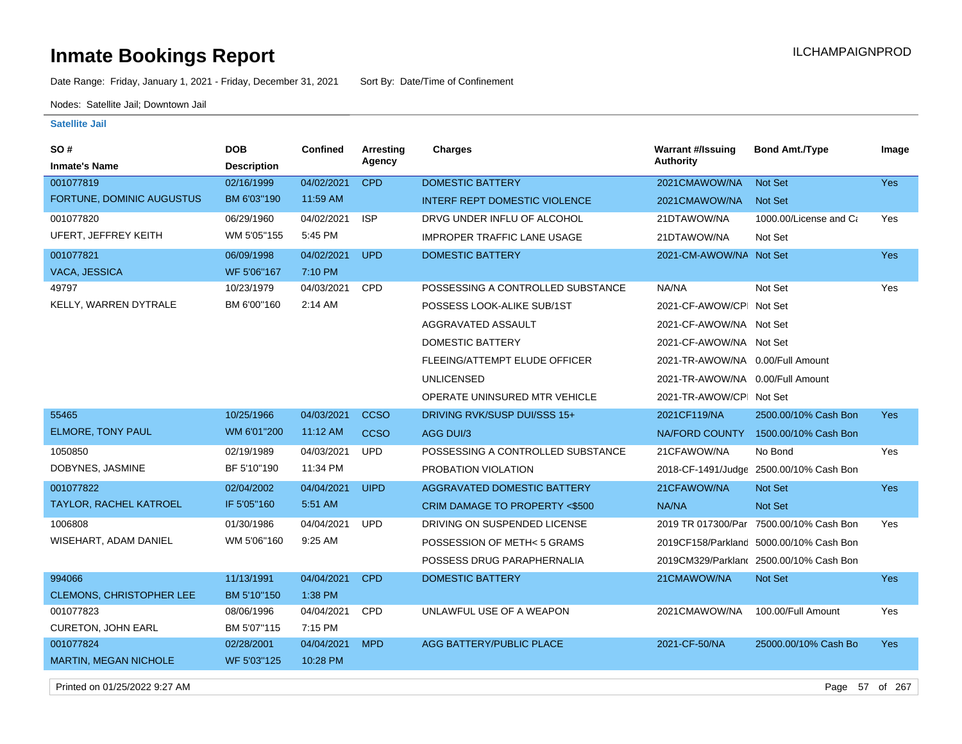Date Range: Friday, January 1, 2021 - Friday, December 31, 2021 Sort By: Date/Time of Confinement

Nodes: Satellite Jail; Downtown Jail

### **Satellite Jail**

| SO #                            | <b>DOB</b>         | <b>Confined</b> | Arresting   | <b>Charges</b>                       | <b>Warrant #/Issuing</b>         | <b>Bond Amt./Type</b>                    | Image      |
|---------------------------------|--------------------|-----------------|-------------|--------------------------------------|----------------------------------|------------------------------------------|------------|
| <b>Inmate's Name</b>            | <b>Description</b> |                 | Agency      |                                      | <b>Authority</b>                 |                                          |            |
| 001077819                       | 02/16/1999         | 04/02/2021      | <b>CPD</b>  | <b>DOMESTIC BATTERY</b>              | 2021CMAWOW/NA                    | <b>Not Set</b>                           | Yes        |
| FORTUNE, DOMINIC AUGUSTUS       | BM 6'03"190        | 11:59 AM        |             | <b>INTERF REPT DOMESTIC VIOLENCE</b> | 2021CMAWOW/NA                    | <b>Not Set</b>                           |            |
| 001077820                       | 06/29/1960         | 04/02/2021      | <b>ISP</b>  | DRVG UNDER INFLU OF ALCOHOL          | 21DTAWOW/NA                      | 1000.00/License and Ca                   | Yes        |
| UFERT, JEFFREY KEITH            | WM 5'05"155        | 5:45 PM         |             | <b>IMPROPER TRAFFIC LANE USAGE</b>   | 21DTAWOW/NA                      | Not Set                                  |            |
| 001077821                       | 06/09/1998         | 04/02/2021      | <b>UPD</b>  | DOMESTIC BATTERY                     | 2021-CM-AWOW/NA Not Set          |                                          | <b>Yes</b> |
| VACA, JESSICA                   | WF 5'06"167        | 7:10 PM         |             |                                      |                                  |                                          |            |
| 49797                           | 10/23/1979         | 04/03/2021      | CPD         | POSSESSING A CONTROLLED SUBSTANCE    | NA/NA                            | Not Set                                  | Yes        |
| KELLY, WARREN DYTRALE           | BM 6'00"160        | 2:14 AM         |             | POSSESS LOOK-ALIKE SUB/1ST           | 2021-CF-AWOW/CPI Not Set         |                                          |            |
|                                 |                    |                 |             | AGGRAVATED ASSAULT                   | 2021-CF-AWOW/NA Not Set          |                                          |            |
|                                 |                    |                 |             | <b>DOMESTIC BATTERY</b>              | 2021-CF-AWOW/NA Not Set          |                                          |            |
|                                 |                    |                 |             | FLEEING/ATTEMPT ELUDE OFFICER        | 2021-TR-AWOW/NA 0.00/Full Amount |                                          |            |
|                                 |                    |                 |             | <b>UNLICENSED</b>                    | 2021-TR-AWOW/NA 0.00/Full Amount |                                          |            |
|                                 |                    |                 |             | OPERATE UNINSURED MTR VEHICLE        | 2021-TR-AWOW/CPI Not Set         |                                          |            |
| 55465                           | 10/25/1966         | 04/03/2021      | <b>CCSO</b> | DRIVING RVK/SUSP DUI/SSS 15+         | 2021CF119/NA                     | 2500.00/10% Cash Bon                     | <b>Yes</b> |
| <b>ELMORE, TONY PAUL</b>        | WM 6'01"200        | 11:12 AM        | <b>CCSO</b> | <b>AGG DUI/3</b>                     | NA/FORD COUNTY                   | 1500.00/10% Cash Bon                     |            |
| 1050850                         | 02/19/1989         | 04/03/2021      | <b>UPD</b>  | POSSESSING A CONTROLLED SUBSTANCE    | 21CFAWOW/NA                      | No Bond                                  | Yes        |
| DOBYNES, JASMINE                | BF 5'10"190        | 11:34 PM        |             | PROBATION VIOLATION                  |                                  | 2018-CF-1491/Judge 2500.00/10% Cash Bon  |            |
| 001077822                       | 02/04/2002         | 04/04/2021      | <b>UIPD</b> | <b>AGGRAVATED DOMESTIC BATTERY</b>   | 21CFAWOW/NA                      | <b>Not Set</b>                           | <b>Yes</b> |
| <b>TAYLOR, RACHEL KATROEL</b>   | IF 5'05"160        | 5:51 AM         |             | CRIM DAMAGE TO PROPERTY <\$500       | NA/NA                            | <b>Not Set</b>                           |            |
| 1006808                         | 01/30/1986         | 04/04/2021      | <b>UPD</b>  | DRIVING ON SUSPENDED LICENSE         |                                  | 2019 TR 017300/Parl 7500.00/10% Cash Bon | Yes        |
| WISEHART, ADAM DANIEL           | WM 5'06"160        | 9:25 AM         |             | POSSESSION OF METH<5 GRAMS           |                                  | 2019CF158/Parkland 5000.00/10% Cash Bon  |            |
|                                 |                    |                 |             | POSSESS DRUG PARAPHERNALIA           |                                  | 2019CM329/Parklan( 2500.00/10% Cash Bon  |            |
| 994066                          | 11/13/1991         | 04/04/2021      | <b>CPD</b>  | DOMESTIC BATTERY                     | 21CMAWOW/NA                      | Not Set                                  | <b>Yes</b> |
| <b>CLEMONS, CHRISTOPHER LEE</b> | BM 5'10"150        | 1:38 PM         |             |                                      |                                  |                                          |            |
| 001077823                       | 08/06/1996         | 04/04/2021      | <b>CPD</b>  | UNLAWFUL USE OF A WEAPON             | 2021CMAWOW/NA                    | 100.00/Full Amount                       | Yes        |
| <b>CURETON, JOHN EARL</b>       | BM 5'07"115        | 7:15 PM         |             |                                      |                                  |                                          |            |
| 001077824                       | 02/28/2001         | 04/04/2021      | <b>MPD</b>  | AGG BATTERY/PUBLIC PLACE             | 2021-CF-50/NA                    | 25000.00/10% Cash Bo                     | <b>Yes</b> |
| MARTIN, MEGAN NICHOLE           | WF 5'03"125        | 10:28 PM        |             |                                      |                                  |                                          |            |

Printed on 01/25/2022 9:27 AM Page 57 of 267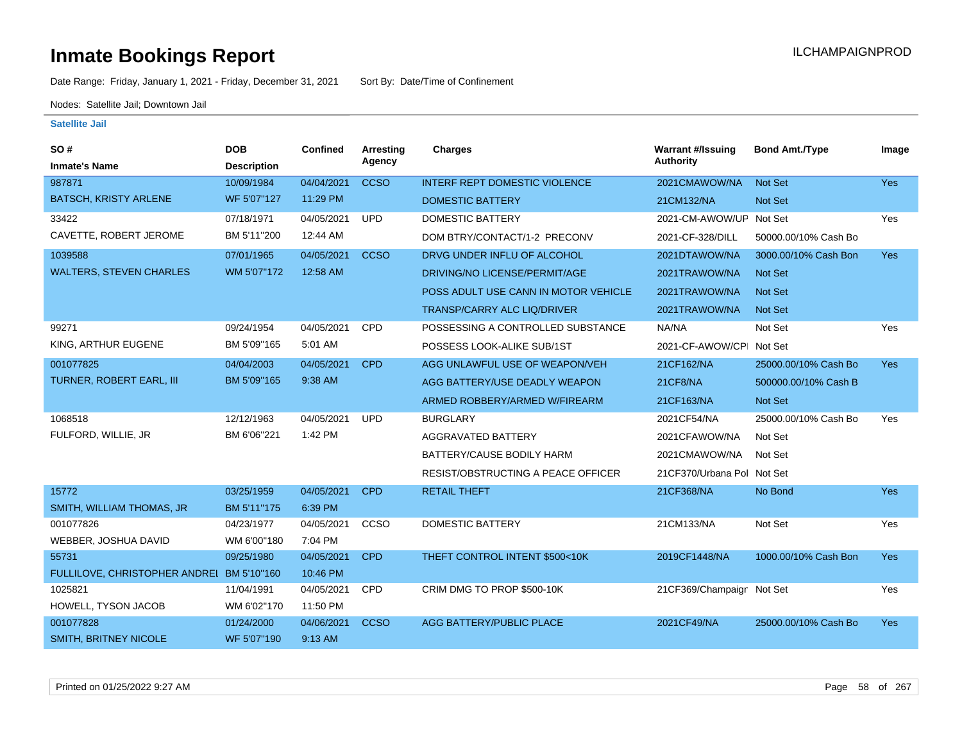Date Range: Friday, January 1, 2021 - Friday, December 31, 2021 Sort By: Date/Time of Confinement

Nodes: Satellite Jail; Downtown Jail

| <b>SO#</b>                                | <b>DOB</b>         | <b>Confined</b> | Arresting   | <b>Charges</b>                       | <b>Warrant #/Issuing</b>   | <b>Bond Amt./Type</b> | Image      |
|-------------------------------------------|--------------------|-----------------|-------------|--------------------------------------|----------------------------|-----------------------|------------|
| <b>Inmate's Name</b>                      | <b>Description</b> |                 | Agency      |                                      | Authority                  |                       |            |
| 987871                                    | 10/09/1984         | 04/04/2021      | <b>CCSO</b> | <b>INTERF REPT DOMESTIC VIOLENCE</b> | 2021CMAWOW/NA              | Not Set               | Yes        |
| <b>BATSCH, KRISTY ARLENE</b>              | WF 5'07"127        | 11:29 PM        |             | <b>DOMESTIC BATTERY</b>              | 21CM132/NA                 | Not Set               |            |
| 33422                                     | 07/18/1971         | 04/05/2021      | <b>UPD</b>  | <b>DOMESTIC BATTERY</b>              | 2021-CM-AWOW/UP Not Set    |                       | Yes        |
| CAVETTE, ROBERT JEROME                    | BM 5'11"200        | 12:44 AM        |             | DOM BTRY/CONTACT/1-2 PRECONV         | 2021-CF-328/DILL           | 50000.00/10% Cash Bo  |            |
| 1039588                                   | 07/01/1965         | 04/05/2021      | <b>CCSO</b> | DRVG UNDER INFLU OF ALCOHOL          | 2021DTAWOW/NA              | 3000.00/10% Cash Bon  | Yes        |
| <b>WALTERS, STEVEN CHARLES</b>            | WM 5'07"172        | 12:58 AM        |             | DRIVING/NO LICENSE/PERMIT/AGE        | 2021TRAWOW/NA              | <b>Not Set</b>        |            |
|                                           |                    |                 |             | POSS ADULT USE CANN IN MOTOR VEHICLE | 2021TRAWOW/NA              | <b>Not Set</b>        |            |
|                                           |                    |                 |             | <b>TRANSP/CARRY ALC LIQ/DRIVER</b>   | 2021TRAWOW/NA              | <b>Not Set</b>        |            |
| 99271                                     | 09/24/1954         | 04/05/2021      | CPD         | POSSESSING A CONTROLLED SUBSTANCE    | NA/NA                      | Not Set               | Yes        |
| KING, ARTHUR EUGENE                       | BM 5'09"165        | 5:01 AM         |             | POSSESS LOOK-ALIKE SUB/1ST           | 2021-CF-AWOW/CPI Not Set   |                       |            |
| 001077825                                 | 04/04/2003         | 04/05/2021      | <b>CPD</b>  | AGG UNLAWFUL USE OF WEAPON/VEH       | 21CF162/NA                 | 25000.00/10% Cash Bo  | Yes        |
| TURNER, ROBERT EARL, III                  | BM 5'09"165        | 9:38 AM         |             | AGG BATTERY/USE DEADLY WEAPON        | 21CF8/NA                   | 500000.00/10% Cash B  |            |
|                                           |                    |                 |             | ARMED ROBBERY/ARMED W/FIREARM        | 21CF163/NA                 | Not Set               |            |
| 1068518                                   | 12/12/1963         | 04/05/2021      | <b>UPD</b>  | <b>BURGLARY</b>                      | 2021CF54/NA                | 25000.00/10% Cash Bo  | Yes        |
| FULFORD, WILLIE, JR                       | BM 6'06"221        | 1:42 PM         |             | AGGRAVATED BATTERY                   | 2021CFAWOW/NA              | Not Set               |            |
|                                           |                    |                 |             | BATTERY/CAUSE BODILY HARM            | 2021CMAWOW/NA              | Not Set               |            |
|                                           |                    |                 |             | RESIST/OBSTRUCTING A PEACE OFFICER   | 21CF370/Urbana Pol Not Set |                       |            |
| 15772                                     | 03/25/1959         | 04/05/2021      | <b>CPD</b>  | <b>RETAIL THEFT</b>                  | 21CF368/NA                 | No Bond               | Yes        |
| SMITH, WILLIAM THOMAS, JR                 | BM 5'11"175        | 6:39 PM         |             |                                      |                            |                       |            |
| 001077826                                 | 04/23/1977         | 04/05/2021      | CCSO        | <b>DOMESTIC BATTERY</b>              | 21CM133/NA                 | Not Set               | Yes        |
| WEBBER, JOSHUA DAVID                      | WM 6'00"180        | 7:04 PM         |             |                                      |                            |                       |            |
| 55731                                     | 09/25/1980         | 04/05/2021      | <b>CPD</b>  | THEFT CONTROL INTENT \$500<10K       | 2019CF1448/NA              | 1000.00/10% Cash Bon  | <b>Yes</b> |
| FULLILOVE, CHRISTOPHER ANDREI BM 5'10"160 |                    | 10:46 PM        |             |                                      |                            |                       |            |
| 1025821                                   | 11/04/1991         | 04/05/2021      | CPD         | CRIM DMG TO PROP \$500-10K           | 21CF369/Champaign Not Set  |                       | Yes        |
| HOWELL, TYSON JACOB                       | WM 6'02"170        | 11:50 PM        |             |                                      |                            |                       |            |
| 001077828                                 | 01/24/2000         | 04/06/2021      | <b>CCSO</b> | AGG BATTERY/PUBLIC PLACE             | 2021CF49/NA                | 25000.00/10% Cash Bo  | <b>Yes</b> |
| <b>SMITH, BRITNEY NICOLE</b>              | WF 5'07"190        | 9:13 AM         |             |                                      |                            |                       |            |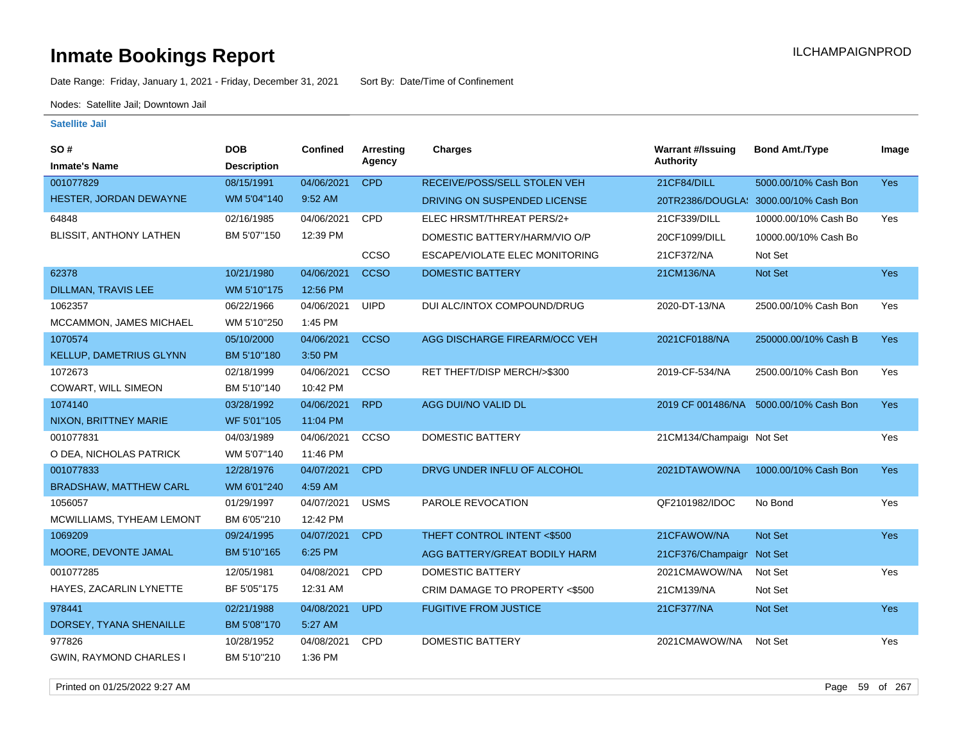Date Range: Friday, January 1, 2021 - Friday, December 31, 2021 Sort By: Date/Time of Confinement

Nodes: Satellite Jail; Downtown Jail

| <b>SO#</b>                     | <b>DOB</b>         | <b>Confined</b> | <b>Arresting</b> | <b>Charges</b>                 | <b>Warrant #/Issuing</b>  | <b>Bond Amt./Type</b>                  | Image      |
|--------------------------------|--------------------|-----------------|------------------|--------------------------------|---------------------------|----------------------------------------|------------|
| <b>Inmate's Name</b>           | <b>Description</b> |                 | Agency           |                                | <b>Authority</b>          |                                        |            |
| 001077829                      | 08/15/1991         | 04/06/2021      | <b>CPD</b>       | RECEIVE/POSS/SELL STOLEN VEH   | 21CF84/DILL               | 5000.00/10% Cash Bon                   | Yes        |
| HESTER, JORDAN DEWAYNE         | WM 5'04"140        | 9:52 AM         |                  | DRIVING ON SUSPENDED LICENSE   |                           | 20TR2386/DOUGLA: 3000.00/10% Cash Bon  |            |
| 64848                          | 02/16/1985         | 04/06/2021      | CPD              | ELEC HRSMT/THREAT PERS/2+      | 21CF339/DILL              | 10000.00/10% Cash Bo                   | Yes        |
| <b>BLISSIT, ANTHONY LATHEN</b> | BM 5'07"150        | 12:39 PM        |                  | DOMESTIC BATTERY/HARM/VIO O/P  | 20CF1099/DILL             | 10000.00/10% Cash Bo                   |            |
|                                |                    |                 | CCSO             | ESCAPE/VIOLATE ELEC MONITORING | 21CF372/NA                | Not Set                                |            |
| 62378                          | 10/21/1980         | 04/06/2021      | <b>CCSO</b>      | <b>DOMESTIC BATTERY</b>        | 21CM136/NA                | Not Set                                | <b>Yes</b> |
| <b>DILLMAN, TRAVIS LEE</b>     | WM 5'10"175        | 12:56 PM        |                  |                                |                           |                                        |            |
| 1062357                        | 06/22/1966         | 04/06/2021      | <b>UIPD</b>      | DUI ALC/INTOX COMPOUND/DRUG    | 2020-DT-13/NA             | 2500.00/10% Cash Bon                   | Yes        |
| MCCAMMON, JAMES MICHAEL        | WM 5'10"250        | 1:45 PM         |                  |                                |                           |                                        |            |
| 1070574                        | 05/10/2000         | 04/06/2021      | <b>CCSO</b>      | AGG DISCHARGE FIREARM/OCC VEH  | 2021CF0188/NA             | 250000.00/10% Cash B                   | <b>Yes</b> |
| KELLUP, DAMETRIUS GLYNN        | BM 5'10"180        | 3:50 PM         |                  |                                |                           |                                        |            |
| 1072673                        | 02/18/1999         | 04/06/2021      | CCSO             | RET THEFT/DISP MERCH/>\$300    | 2019-CF-534/NA            | 2500.00/10% Cash Bon                   | Yes        |
| COWART, WILL SIMEON            | BM 5'10"140        | 10:42 PM        |                  |                                |                           |                                        |            |
| 1074140                        | 03/28/1992         | 04/06/2021      | <b>RPD</b>       | AGG DUI/NO VALID DL            |                           | 2019 CF 001486/NA 5000.00/10% Cash Bon | Yes        |
| NIXON, BRITTNEY MARIE          | WF 5'01"105        | 11:04 PM        |                  |                                |                           |                                        |            |
| 001077831                      | 04/03/1989         | 04/06/2021      | CCSO             | <b>DOMESTIC BATTERY</b>        | 21CM134/Champaigr Not Set |                                        | Yes        |
| O DEA, NICHOLAS PATRICK        | WM 5'07"140        | 11:46 PM        |                  |                                |                           |                                        |            |
| 001077833                      | 12/28/1976         | 04/07/2021      | <b>CPD</b>       | DRVG UNDER INFLU OF ALCOHOL    | 2021DTAWOW/NA             | 1000.00/10% Cash Bon                   | <b>Yes</b> |
| <b>BRADSHAW, MATTHEW CARL</b>  | WM 6'01"240        | 4:59 AM         |                  |                                |                           |                                        |            |
| 1056057                        | 01/29/1997         | 04/07/2021      | <b>USMS</b>      | PAROLE REVOCATION              | QF2101982/IDOC            | No Bond                                | Yes        |
| MCWILLIAMS, TYHEAM LEMONT      | BM 6'05"210        | 12:42 PM        |                  |                                |                           |                                        |            |
| 1069209                        | 09/24/1995         | 04/07/2021      | <b>CPD</b>       | THEFT CONTROL INTENT <\$500    | 21CFAWOW/NA               | Not Set                                | <b>Yes</b> |
| MOORE, DEVONTE JAMAL           | BM 5'10"165        | 6:25 PM         |                  | AGG BATTERY/GREAT BODILY HARM  | 21CF376/Champaign Not Set |                                        |            |
| 001077285                      | 12/05/1981         | 04/08/2021      | <b>CPD</b>       | DOMESTIC BATTERY               | 2021CMAWOW/NA             | Not Set                                | Yes        |
| HAYES, ZACARLIN LYNETTE        | BF 5'05"175        | 12:31 AM        |                  | CRIM DAMAGE TO PROPERTY <\$500 | 21CM139/NA                | Not Set                                |            |
| 978441                         | 02/21/1988         | 04/08/2021      | <b>UPD</b>       | <b>FUGITIVE FROM JUSTICE</b>   | 21CF377/NA                | <b>Not Set</b>                         | Yes        |
| DORSEY, TYANA SHENAILLE        | BM 5'08"170        | 5:27 AM         |                  |                                |                           |                                        |            |
| 977826                         | 10/28/1952         | 04/08/2021      | <b>CPD</b>       | <b>DOMESTIC BATTERY</b>        | 2021CMAWOW/NA             | Not Set                                | Yes        |
| <b>GWIN, RAYMOND CHARLES I</b> | BM 5'10"210        | 1:36 PM         |                  |                                |                           |                                        |            |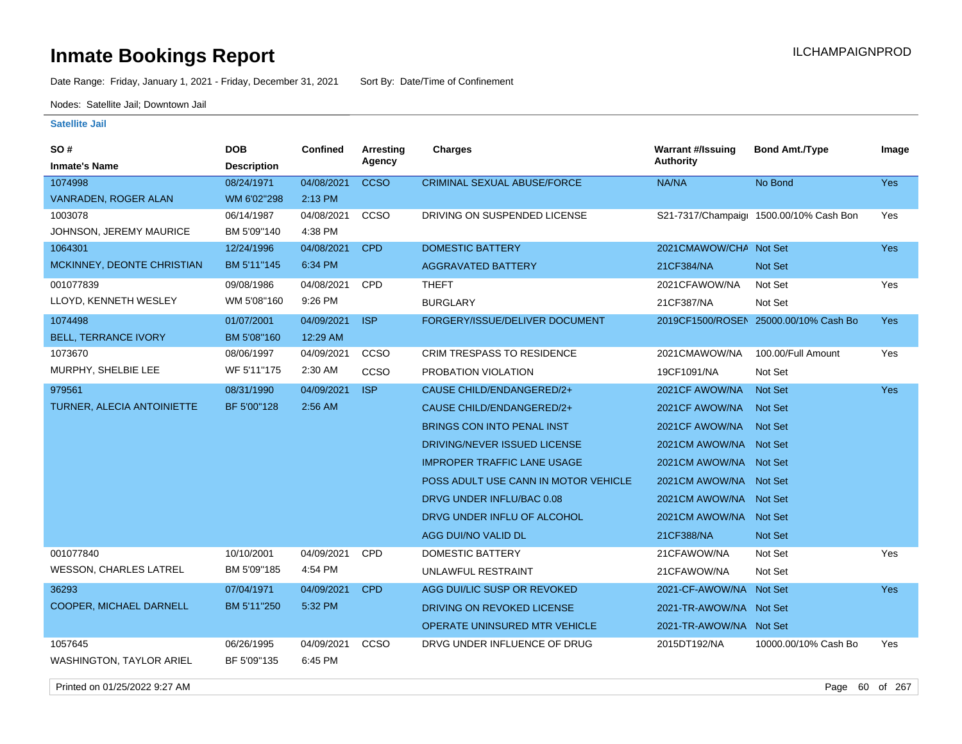Date Range: Friday, January 1, 2021 - Friday, December 31, 2021 Sort By: Date/Time of Confinement

Nodes: Satellite Jail; Downtown Jail

### **Satellite Jail**

| SO#                             | <b>DOB</b>         | <b>Confined</b> | <b>Arresting</b> | Charges                              | <b>Warrant #/Issuing</b> | <b>Bond Amt./Type</b>                   | Image      |
|---------------------------------|--------------------|-----------------|------------------|--------------------------------------|--------------------------|-----------------------------------------|------------|
| <b>Inmate's Name</b>            | <b>Description</b> |                 | Agency           |                                      | <b>Authority</b>         |                                         |            |
| 1074998                         | 08/24/1971         | 04/08/2021      | <b>CCSO</b>      | <b>CRIMINAL SEXUAL ABUSE/FORCE</b>   | NA/NA                    | No Bond                                 | Yes        |
| VANRADEN, ROGER ALAN            | WM 6'02"298        | 2:13 PM         |                  |                                      |                          |                                         |            |
| 1003078                         | 06/14/1987         | 04/08/2021      | CCSO             | DRIVING ON SUSPENDED LICENSE         |                          | S21-7317/Champaig: 1500.00/10% Cash Bon | Yes        |
| JOHNSON, JEREMY MAURICE         | BM 5'09"140        | 4:38 PM         |                  |                                      |                          |                                         |            |
| 1064301                         | 12/24/1996         | 04/08/2021      | <b>CPD</b>       | DOMESTIC BATTERY                     | 2021CMAWOW/CHA Not Set   |                                         | Yes        |
| MCKINNEY, DEONTE CHRISTIAN      | BM 5'11"145        | 6:34 PM         |                  | <b>AGGRAVATED BATTERY</b>            | 21CF384/NA               | <b>Not Set</b>                          |            |
| 001077839                       | 09/08/1986         | 04/08/2021      | <b>CPD</b>       | <b>THEFT</b>                         | 2021CFAWOW/NA            | Not Set                                 | Yes        |
| LLOYD, KENNETH WESLEY           | WM 5'08"160        | 9:26 PM         |                  | <b>BURGLARY</b>                      | 21CF387/NA               | Not Set                                 |            |
| 1074498                         | 01/07/2001         | 04/09/2021      | <b>ISP</b>       | FORGERY/ISSUE/DELIVER DOCUMENT       |                          | 2019CF1500/ROSEN 25000.00/10% Cash Bo   | Yes        |
| <b>BELL, TERRANCE IVORY</b>     | BM 5'08"160        | 12:29 AM        |                  |                                      |                          |                                         |            |
| 1073670                         | 08/06/1997         | 04/09/2021      | <b>CCSO</b>      | <b>CRIM TRESPASS TO RESIDENCE</b>    | 2021CMAWOW/NA            | 100.00/Full Amount                      | Yes        |
| MURPHY, SHELBIE LEE             | WF 5'11"175        | 2:30 AM         | <b>CCSO</b>      | PROBATION VIOLATION                  | 19CF1091/NA              | Not Set                                 |            |
| 979561                          | 08/31/1990         | 04/09/2021      | <b>ISP</b>       | CAUSE CHILD/ENDANGERED/2+            | 2021CF AWOW/NA           | <b>Not Set</b>                          | <b>Yes</b> |
| TURNER, ALECIA ANTOINIETTE      | BF 5'00"128        | 2:56 AM         |                  | CAUSE CHILD/ENDANGERED/2+            | 2021CF AWOW/NA           | <b>Not Set</b>                          |            |
|                                 |                    |                 |                  | BRINGS CON INTO PENAL INST           | 2021CF AWOW/NA           | <b>Not Set</b>                          |            |
|                                 |                    |                 |                  | DRIVING/NEVER ISSUED LICENSE         | 2021CM AWOW/NA Not Set   |                                         |            |
|                                 |                    |                 |                  | <b>IMPROPER TRAFFIC LANE USAGE</b>   | 2021 CM AWOW/NA Not Set  |                                         |            |
|                                 |                    |                 |                  | POSS ADULT USE CANN IN MOTOR VEHICLE | 2021 CM AWOW/NA Not Set  |                                         |            |
|                                 |                    |                 |                  | DRVG UNDER INFLU/BAC 0.08            | 2021CM AWOW/NA Not Set   |                                         |            |
|                                 |                    |                 |                  | DRVG UNDER INFLU OF ALCOHOL          | 2021 CM AWOW/NA Not Set  |                                         |            |
|                                 |                    |                 |                  | AGG DUI/NO VALID DL                  | 21CF388/NA               | <b>Not Set</b>                          |            |
| 001077840                       | 10/10/2001         | 04/09/2021      | CPD              | <b>DOMESTIC BATTERY</b>              | 21CFAWOW/NA              | Not Set                                 | Yes        |
| <b>WESSON, CHARLES LATREL</b>   | BM 5'09"185        | 4:54 PM         |                  | UNLAWFUL RESTRAINT                   | 21CFAWOW/NA              | Not Set                                 |            |
| 36293                           | 07/04/1971         | 04/09/2021      | <b>CPD</b>       | AGG DUI/LIC SUSP OR REVOKED          | 2021-CF-AWOW/NA Not Set  |                                         | <b>Yes</b> |
| COOPER, MICHAEL DARNELL         | BM 5'11"250        | 5:32 PM         |                  | DRIVING ON REVOKED LICENSE           | 2021-TR-AWOW/NA Not Set  |                                         |            |
|                                 |                    |                 |                  | <b>OPERATE UNINSURED MTR VEHICLE</b> | 2021-TR-AWOW/NA Not Set  |                                         |            |
| 1057645                         | 06/26/1995         | 04/09/2021      | CCSO             | DRVG UNDER INFLUENCE OF DRUG         | 2015DT192/NA             | 10000.00/10% Cash Bo                    | Yes        |
| <b>WASHINGTON, TAYLOR ARIEL</b> | BF 5'09"135        | 6:45 PM         |                  |                                      |                          |                                         |            |

Printed on 01/25/2022 9:27 AM Page 60 of 267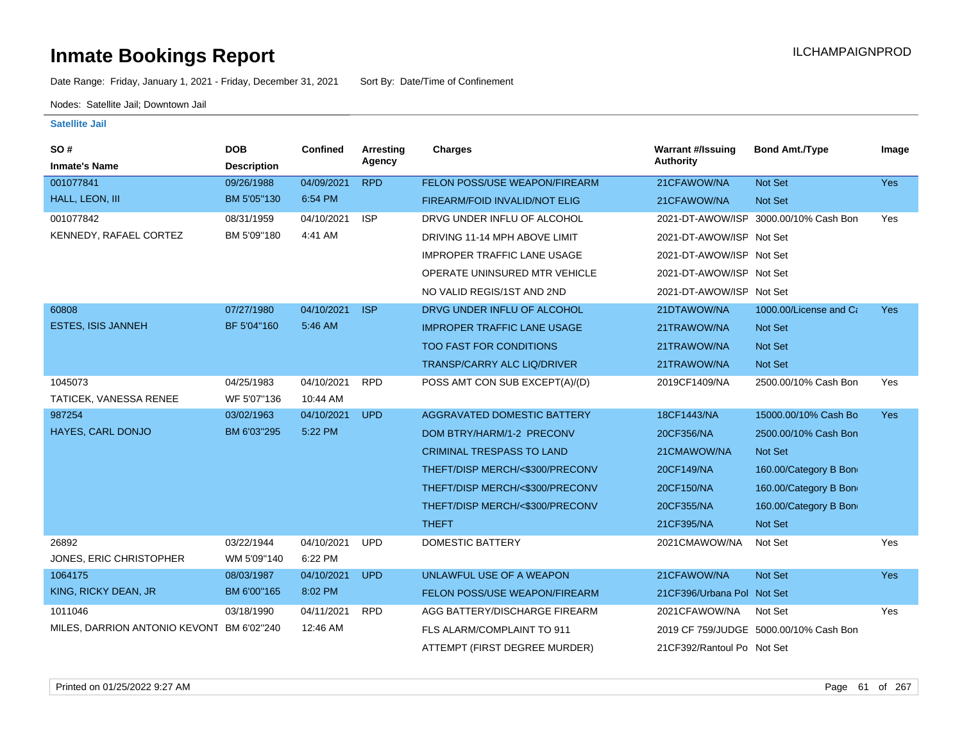Date Range: Friday, January 1, 2021 - Friday, December 31, 2021 Sort By: Date/Time of Confinement

Nodes: Satellite Jail; Downtown Jail

| SO#<br><b>Inmate's Name</b>               | <b>DOB</b><br><b>Description</b> | Confined   | Arresting<br>Agency | Charges                            | <b>Warrant #/Issuing</b><br><b>Authority</b> | <b>Bond Amt./Type</b>                  | Image      |
|-------------------------------------------|----------------------------------|------------|---------------------|------------------------------------|----------------------------------------------|----------------------------------------|------------|
| 001077841                                 | 09/26/1988                       | 04/09/2021 | <b>RPD</b>          | FELON POSS/USE WEAPON/FIREARM      | 21CFAWOW/NA                                  | Not Set                                | Yes        |
| HALL, LEON, III                           | BM 5'05"130                      | 6:54 PM    |                     |                                    |                                              |                                        |            |
|                                           |                                  |            |                     | FIREARM/FOID INVALID/NOT ELIG      | 21CFAWOW/NA                                  | Not Set                                |            |
| 001077842                                 | 08/31/1959                       | 04/10/2021 | <b>ISP</b>          | DRVG UNDER INFLU OF ALCOHOL        |                                              | 2021-DT-AWOW/ISP 3000.00/10% Cash Bon  | Yes        |
| KENNEDY, RAFAEL CORTEZ                    | BM 5'09"180                      | 4:41 AM    |                     | DRIVING 11-14 MPH ABOVE LIMIT      | 2021-DT-AWOW/ISP Not Set                     |                                        |            |
|                                           |                                  |            |                     | <b>IMPROPER TRAFFIC LANE USAGE</b> | 2021-DT-AWOW/ISP Not Set                     |                                        |            |
|                                           |                                  |            |                     | OPERATE UNINSURED MTR VEHICLE      | 2021-DT-AWOW/ISP Not Set                     |                                        |            |
|                                           |                                  |            |                     | NO VALID REGIS/1ST AND 2ND         | 2021-DT-AWOW/ISP Not Set                     |                                        |            |
| 60808                                     | 07/27/1980                       | 04/10/2021 | <b>ISP</b>          | DRVG UNDER INFLU OF ALCOHOL        | 21DTAWOW/NA                                  | 1000.00/License and Ca                 | <b>Yes</b> |
| <b>ESTES, ISIS JANNEH</b>                 | BF 5'04"160                      | 5:46 AM    |                     | <b>IMPROPER TRAFFIC LANE USAGE</b> | 21TRAWOW/NA                                  | <b>Not Set</b>                         |            |
|                                           |                                  |            |                     | <b>TOO FAST FOR CONDITIONS</b>     | 21TRAWOW/NA                                  | Not Set                                |            |
|                                           |                                  |            |                     | TRANSP/CARRY ALC LIQ/DRIVER        | 21TRAWOW/NA                                  | Not Set                                |            |
| 1045073                                   | 04/25/1983                       | 04/10/2021 | <b>RPD</b>          | POSS AMT CON SUB EXCEPT(A)/(D)     | 2019CF1409/NA                                | 2500.00/10% Cash Bon                   | Yes        |
| TATICEK, VANESSA RENEE                    | WF 5'07"136                      | 10:44 AM   |                     |                                    |                                              |                                        |            |
| 987254                                    | 03/02/1963                       | 04/10/2021 | <b>UPD</b>          | AGGRAVATED DOMESTIC BATTERY        | 18CF1443/NA                                  | 15000.00/10% Cash Bo                   | <b>Yes</b> |
| HAYES, CARL DONJO                         | BM 6'03"295                      | 5:22 PM    |                     | DOM BTRY/HARM/1-2 PRECONV          | 20CF356/NA                                   | 2500.00/10% Cash Bon                   |            |
|                                           |                                  |            |                     | <b>CRIMINAL TRESPASS TO LAND</b>   | 21CMAWOW/NA                                  | Not Set                                |            |
|                                           |                                  |            |                     | THEFT/DISP MERCH/<\$300/PRECONV    | 20CF149/NA                                   | 160.00/Category B Bon                  |            |
|                                           |                                  |            |                     | THEFT/DISP MERCH/<\$300/PRECONV    | 20CF150/NA                                   | 160.00/Category B Bon                  |            |
|                                           |                                  |            |                     | THEFT/DISP MERCH/<\$300/PRECONV    | 20CF355/NA                                   | 160.00/Category B Bon                  |            |
|                                           |                                  |            |                     | <b>THEFT</b>                       | 21CF395/NA                                   | Not Set                                |            |
| 26892                                     | 03/22/1944                       | 04/10/2021 | <b>UPD</b>          | <b>DOMESTIC BATTERY</b>            | 2021CMAWOW/NA                                | Not Set                                | Yes        |
| JONES, ERIC CHRISTOPHER                   | WM 5'09"140                      | 6:22 PM    |                     |                                    |                                              |                                        |            |
| 1064175                                   | 08/03/1987                       | 04/10/2021 | <b>UPD</b>          | UNLAWFUL USE OF A WEAPON           | 21CFAWOW/NA                                  | <b>Not Set</b>                         | <b>Yes</b> |
| KING, RICKY DEAN, JR                      | BM 6'00"165                      | 8:02 PM    |                     | FELON POSS/USE WEAPON/FIREARM      | 21CF396/Urbana Pol Not Set                   |                                        |            |
| 1011046                                   | 03/18/1990                       | 04/11/2021 | <b>RPD</b>          | AGG BATTERY/DISCHARGE FIREARM      | 2021CFAWOW/NA                                | Not Set                                | Yes        |
| MILES, DARRION ANTONIO KEVONT BM 6'02"240 |                                  | 12:46 AM   |                     | FLS ALARM/COMPLAINT TO 911         |                                              | 2019 CF 759/JUDGE 5000.00/10% Cash Bon |            |
|                                           |                                  |            |                     | ATTEMPT (FIRST DEGREE MURDER)      | 21CF392/Rantoul Po Not Set                   |                                        |            |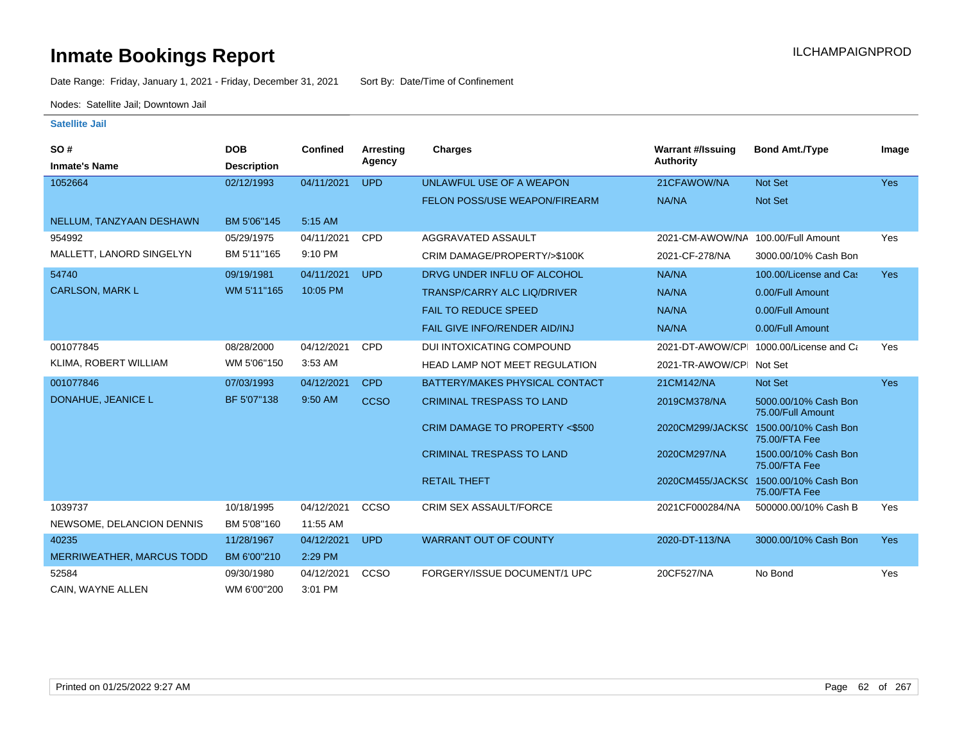Date Range: Friday, January 1, 2021 - Friday, December 31, 2021 Sort By: Date/Time of Confinement

Nodes: Satellite Jail; Downtown Jail

| <b>SO#</b><br><b>Inmate's Name</b> | <b>DOB</b><br><b>Description</b> | <b>Confined</b> | Arresting<br>Agency | Charges                              | <b>Warrant #/Issuing</b><br><b>Authority</b> | <b>Bond Amt./Type</b>                                  | Image      |
|------------------------------------|----------------------------------|-----------------|---------------------|--------------------------------------|----------------------------------------------|--------------------------------------------------------|------------|
| 1052664                            | 02/12/1993                       | 04/11/2021      | <b>UPD</b>          | UNLAWFUL USE OF A WEAPON             | 21CFAWOW/NA                                  | Not Set                                                | <b>Yes</b> |
|                                    |                                  |                 |                     | <b>FELON POSS/USE WEAPON/FIREARM</b> | NA/NA                                        | Not Set                                                |            |
| NELLUM, TANZYAAN DESHAWN           | BM 5'06"145                      | 5:15 AM         |                     |                                      |                                              |                                                        |            |
| 954992                             | 05/29/1975                       | 04/11/2021      | <b>CPD</b>          | AGGRAVATED ASSAULT                   | 2021-CM-AWOW/NA 100.00/Full Amount           |                                                        | Yes        |
| MALLETT, LANORD SINGELYN           | BM 5'11"165                      | 9:10 PM         |                     | CRIM DAMAGE/PROPERTY/>\$100K         | 2021-CF-278/NA                               | 3000.00/10% Cash Bon                                   |            |
| 54740                              | 09/19/1981                       | 04/11/2021      | <b>UPD</b>          | DRVG UNDER INFLU OF ALCOHOL          | NA/NA                                        | 100.00/License and Cas                                 | <b>Yes</b> |
| <b>CARLSON, MARK L</b>             | WM 5'11"165                      | 10:05 PM        |                     | <b>TRANSP/CARRY ALC LIQ/DRIVER</b>   | NA/NA                                        | 0.00/Full Amount                                       |            |
|                                    |                                  |                 |                     | <b>FAIL TO REDUCE SPEED</b>          | NA/NA                                        | 0.00/Full Amount                                       |            |
|                                    |                                  |                 |                     | <b>FAIL GIVE INFO/RENDER AID/INJ</b> | NA/NA                                        | 0.00/Full Amount                                       |            |
| 001077845                          | 08/28/2000                       | 04/12/2021      | <b>CPD</b>          | DUI INTOXICATING COMPOUND            |                                              | 2021-DT-AWOW/CPL 1000.00/License and Ca                | Yes        |
| KLIMA, ROBERT WILLIAM              | WM 5'06"150                      | 3:53 AM         |                     | <b>HEAD LAMP NOT MEET REGULATION</b> | 2021-TR-AWOW/CPI Not Set                     |                                                        |            |
| 001077846                          | 07/03/1993                       | 04/12/2021      | <b>CPD</b>          | BATTERY/MAKES PHYSICAL CONTACT       | 21CM142/NA                                   | Not Set                                                | <b>Yes</b> |
| DONAHUE, JEANICE L                 | BF 5'07"138                      | 9:50 AM         | <b>CCSO</b>         | <b>CRIMINAL TRESPASS TO LAND</b>     | 2019CM378/NA                                 | 5000.00/10% Cash Bon<br>75.00/Full Amount              |            |
|                                    |                                  |                 |                     | CRIM DAMAGE TO PROPERTY <\$500       |                                              | 2020CM299/JACKS( 1500.00/10% Cash Bon<br>75.00/FTA Fee |            |
|                                    |                                  |                 |                     | <b>CRIMINAL TRESPASS TO LAND</b>     | 2020CM297/NA                                 | 1500.00/10% Cash Bon<br>75.00/FTA Fee                  |            |
|                                    |                                  |                 |                     | <b>RETAIL THEFT</b>                  |                                              | 2020CM455/JACKS( 1500.00/10% Cash Bon<br>75.00/FTA Fee |            |
| 1039737                            | 10/18/1995                       | 04/12/2021      | CCSO                | <b>CRIM SEX ASSAULT/FORCE</b>        | 2021CF000284/NA                              | 500000.00/10% Cash B                                   | Yes        |
| NEWSOME, DELANCION DENNIS          | BM 5'08"160                      | 11:55 AM        |                     |                                      |                                              |                                                        |            |
| 40235                              | 11/28/1967                       | 04/12/2021      | <b>UPD</b>          | <b>WARRANT OUT OF COUNTY</b>         | 2020-DT-113/NA                               | 3000.00/10% Cash Bon                                   | <b>Yes</b> |
| MERRIWEATHER, MARCUS TODD          | BM 6'00"210                      | 2:29 PM         |                     |                                      |                                              |                                                        |            |
| 52584                              | 09/30/1980                       | 04/12/2021      | CCSO                | FORGERY/ISSUE DOCUMENT/1 UPC         | 20CF527/NA                                   | No Bond                                                | Yes        |
| CAIN. WAYNE ALLEN                  | WM 6'00"200                      | 3:01 PM         |                     |                                      |                                              |                                                        |            |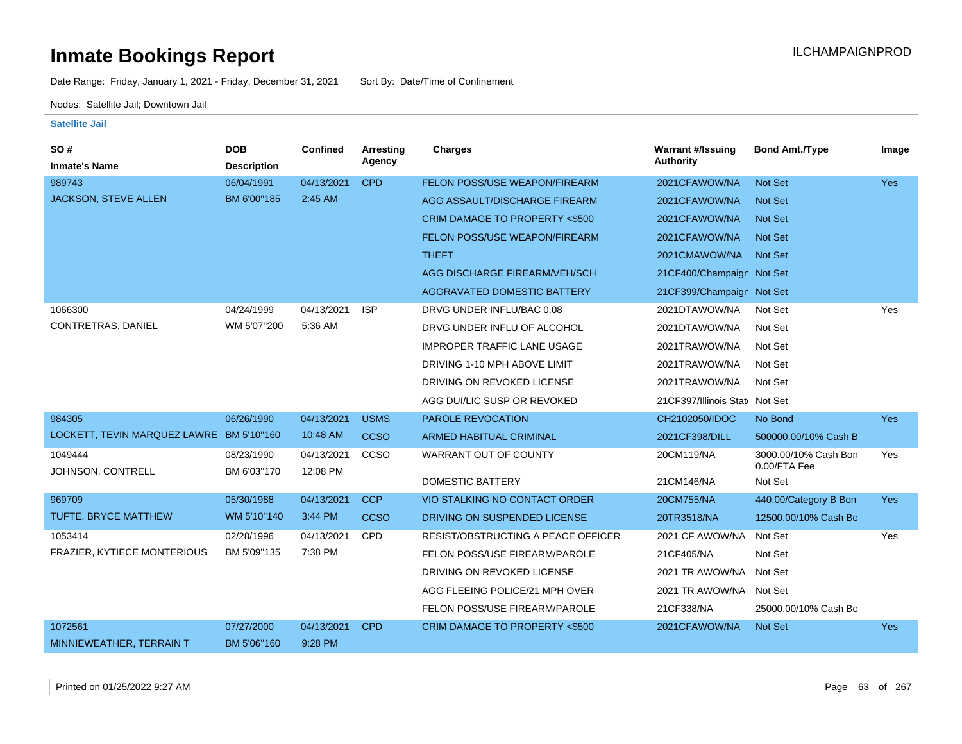Date Range: Friday, January 1, 2021 - Friday, December 31, 2021 Sort By: Date/Time of Confinement

Nodes: Satellite Jail; Downtown Jail

| <b>SO#</b>                               | <b>DOB</b>                | <b>Confined</b>        | <b>Arresting</b> | <b>Charges</b>                       | <b>Warrant #/Issuing</b>        | <b>Bond Amt./Type</b>                | Image      |
|------------------------------------------|---------------------------|------------------------|------------------|--------------------------------------|---------------------------------|--------------------------------------|------------|
| <b>Inmate's Name</b>                     | <b>Description</b>        |                        | Agency           |                                      | <b>Authority</b>                |                                      |            |
| 989743                                   | 06/04/1991                | 04/13/2021             | <b>CPD</b>       | FELON POSS/USE WEAPON/FIREARM        | 2021CFAWOW/NA                   | Not Set                              | <b>Yes</b> |
| JACKSON, STEVE ALLEN                     | BM 6'00"185               | 2:45 AM                |                  | AGG ASSAULT/DISCHARGE FIREARM        | 2021CFAWOW/NA                   | <b>Not Set</b>                       |            |
|                                          |                           |                        |                  | CRIM DAMAGE TO PROPERTY <\$500       | 2021CFAWOW/NA                   | <b>Not Set</b>                       |            |
|                                          |                           |                        |                  | FELON POSS/USE WEAPON/FIREARM        | 2021CFAWOW/NA                   | <b>Not Set</b>                       |            |
|                                          |                           |                        |                  | <b>THEFT</b>                         | 2021CMAWOW/NA                   | Not Set                              |            |
|                                          |                           |                        |                  | AGG DISCHARGE FIREARM/VEH/SCH        | 21CF400/Champaign Not Set       |                                      |            |
|                                          |                           |                        |                  | <b>AGGRAVATED DOMESTIC BATTERY</b>   | 21CF399/Champaign Not Set       |                                      |            |
| 1066300                                  | 04/24/1999                | 04/13/2021             | <b>ISP</b>       | DRVG UNDER INFLU/BAC 0.08            | 2021DTAWOW/NA                   | Not Set                              | Yes        |
| CONTRETRAS, DANIEL                       | WM 5'07"200               | 5:36 AM                |                  | DRVG UNDER INFLU OF ALCOHOL          | 2021DTAWOW/NA                   | Not Set                              |            |
|                                          |                           |                        |                  | <b>IMPROPER TRAFFIC LANE USAGE</b>   | 2021TRAWOW/NA                   | Not Set                              |            |
|                                          |                           |                        |                  | DRIVING 1-10 MPH ABOVE LIMIT         | 2021TRAWOW/NA                   | Not Set                              |            |
|                                          |                           |                        |                  | DRIVING ON REVOKED LICENSE           | 2021TRAWOW/NA                   | Not Set                              |            |
|                                          |                           |                        |                  | AGG DUI/LIC SUSP OR REVOKED          | 21 CF397/Illinois State Not Set |                                      |            |
| 984305                                   | 06/26/1990                | 04/13/2021             | <b>USMS</b>      | PAROLE REVOCATION                    | CH2102050/IDOC                  | No Bond                              | <b>Yes</b> |
| LOCKETT, TEVIN MARQUEZ LAWRE BM 5'10"160 |                           | 10:48 AM               | <b>CCSO</b>      | <b>ARMED HABITUAL CRIMINAL</b>       | 2021CF398/DILL                  | 500000.00/10% Cash B                 |            |
| 1049444<br>JOHNSON, CONTRELL             | 08/23/1990<br>BM 6'03"170 | 04/13/2021<br>12:08 PM | CCSO             | WARRANT OUT OF COUNTY                | 20CM119/NA                      | 3000.00/10% Cash Bon<br>0.00/FTA Fee | Yes        |
|                                          |                           |                        |                  | <b>DOMESTIC BATTERY</b>              | 21CM146/NA                      | Not Set                              |            |
| 969709                                   | 05/30/1988                | 04/13/2021             | <b>CCP</b>       | <b>VIO STALKING NO CONTACT ORDER</b> | 20CM755/NA                      | 440.00/Category B Bon                | <b>Yes</b> |
| TUFTE, BRYCE MATTHEW                     | WM 5'10"140               | 3:44 PM                | <b>CCSO</b>      | DRIVING ON SUSPENDED LICENSE         | 20TR3518/NA                     | 12500.00/10% Cash Bo                 |            |
| 1053414                                  | 02/28/1996                | 04/13/2021             | <b>CPD</b>       | RESIST/OBSTRUCTING A PEACE OFFICER   | 2021 CF AWOW/NA                 | Not Set                              | Yes        |
| FRAZIER, KYTIECE MONTERIOUS              | BM 5'09"135               | 7:38 PM                |                  | FELON POSS/USE FIREARM/PAROLE        | 21CF405/NA                      | Not Set                              |            |
|                                          |                           |                        |                  | DRIVING ON REVOKED LICENSE           | 2021 TR AWOW/NA                 | Not Set                              |            |
|                                          |                           |                        |                  | AGG FLEEING POLICE/21 MPH OVER       | 2021 TR AWOW/NA                 | Not Set                              |            |
|                                          |                           |                        |                  | FELON POSS/USE FIREARM/PAROLE        | 21CF338/NA                      | 25000.00/10% Cash Bo                 |            |
| 1072561                                  | 07/27/2000                | 04/13/2021             | <b>CPD</b>       | CRIM DAMAGE TO PROPERTY <\$500       | 2021CFAWOW/NA                   | <b>Not Set</b>                       | Yes        |
| MINNIEWEATHER, TERRAIN T                 | BM 5'06"160               | 9:28 PM                |                  |                                      |                                 |                                      |            |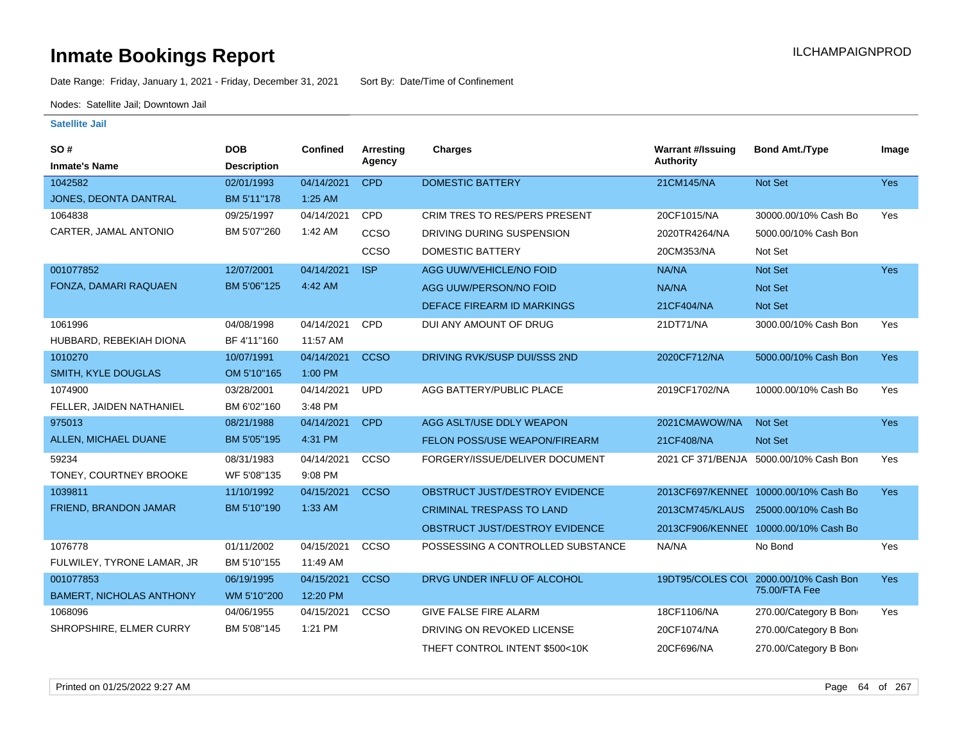Date Range: Friday, January 1, 2021 - Friday, December 31, 2021 Sort By: Date/Time of Confinement

Nodes: Satellite Jail; Downtown Jail

| <b>SO#</b>                      | <b>DOB</b>         | <b>Confined</b> | Arresting<br>Agency | <b>Charges</b>                       | <b>Warrant #/Issuing</b><br><b>Authority</b> | <b>Bond Amt./Type</b>                  | Image      |
|---------------------------------|--------------------|-----------------|---------------------|--------------------------------------|----------------------------------------------|----------------------------------------|------------|
| <b>Inmate's Name</b>            | <b>Description</b> |                 |                     |                                      |                                              |                                        |            |
| 1042582                         | 02/01/1993         | 04/14/2021      | <b>CPD</b>          | <b>DOMESTIC BATTERY</b>              | 21CM145/NA                                   | Not Set                                | <b>Yes</b> |
| JONES, DEONTA DANTRAL           | BM 5'11"178        | 1:25 AM         |                     |                                      |                                              |                                        |            |
| 1064838                         | 09/25/1997         | 04/14/2021      | <b>CPD</b>          | <b>CRIM TRES TO RES/PERS PRESENT</b> | 20CF1015/NA                                  | 30000.00/10% Cash Bo                   | Yes        |
| CARTER, JAMAL ANTONIO           | BM 5'07"260        | 1:42 AM         | CCSO                | DRIVING DURING SUSPENSION            | 2020TR4264/NA                                | 5000.00/10% Cash Bon                   |            |
|                                 |                    |                 | CCSO                | DOMESTIC BATTERY                     | 20CM353/NA                                   | Not Set                                |            |
| 001077852                       | 12/07/2001         | 04/14/2021      | <b>ISP</b>          | AGG UUW/VEHICLE/NO FOID              | NA/NA                                        | Not Set                                | <b>Yes</b> |
| FONZA, DAMARI RAQUAEN           | BM 5'06"125        | 4:42 AM         |                     | AGG UUW/PERSON/NO FOID               | NA/NA                                        | Not Set                                |            |
|                                 |                    |                 |                     | <b>DEFACE FIREARM ID MARKINGS</b>    | 21CF404/NA                                   | Not Set                                |            |
| 1061996                         | 04/08/1998         | 04/14/2021      | CPD                 | DUI ANY AMOUNT OF DRUG               | 21DT71/NA                                    | 3000.00/10% Cash Bon                   | Yes        |
| HUBBARD, REBEKIAH DIONA         | BF 4'11"160        | 11:57 AM        |                     |                                      |                                              |                                        |            |
| 1010270                         | 10/07/1991         | 04/14/2021      | <b>CCSO</b>         | DRIVING RVK/SUSP DUI/SSS 2ND         | 2020CF712/NA                                 | 5000.00/10% Cash Bon                   | <b>Yes</b> |
| SMITH, KYLE DOUGLAS             | OM 5'10"165        | 1:00 PM         |                     |                                      |                                              |                                        |            |
| 1074900                         | 03/28/2001         | 04/14/2021      | <b>UPD</b>          | AGG BATTERY/PUBLIC PLACE             | 2019CF1702/NA                                | 10000.00/10% Cash Bo                   | Yes        |
| FELLER, JAIDEN NATHANIEL        | BM 6'02"160        | 3:48 PM         |                     |                                      |                                              |                                        |            |
| 975013                          | 08/21/1988         | 04/14/2021      | <b>CPD</b>          | AGG ASLT/USE DDLY WEAPON             | 2021CMAWOW/NA                                | Not Set                                | <b>Yes</b> |
| ALLEN, MICHAEL DUANE            | BM 5'05"195        | 4:31 PM         |                     | FELON POSS/USE WEAPON/FIREARM        | 21CF408/NA                                   | Not Set                                |            |
| 59234                           | 08/31/1983         | 04/14/2021      | CCSO                | FORGERY/ISSUE/DELIVER DOCUMENT       |                                              | 2021 CF 371/BENJA 5000.00/10% Cash Bon | Yes        |
| TONEY, COURTNEY BROOKE          | WF 5'08"135        | 9:08 PM         |                     |                                      |                                              |                                        |            |
| 1039811                         | 11/10/1992         | 04/15/2021      | <b>CCSO</b>         | OBSTRUCT JUST/DESTROY EVIDENCE       |                                              | 2013CF697/KENNEL 10000.00/10% Cash Bo  | <b>Yes</b> |
| FRIEND, BRANDON JAMAR           | BM 5'10"190        | 1:33 AM         |                     | <b>CRIMINAL TRESPASS TO LAND</b>     | 2013CM745/KLAUS                              | 25000.00/10% Cash Bo                   |            |
|                                 |                    |                 |                     | OBSTRUCT JUST/DESTROY EVIDENCE       |                                              | 2013CF906/KENNEL 10000.00/10% Cash Bo  |            |
| 1076778                         | 01/11/2002         | 04/15/2021      | CCSO                | POSSESSING A CONTROLLED SUBSTANCE    | NA/NA                                        | No Bond                                | Yes        |
| FULWILEY, TYRONE LAMAR, JR      | BM 5'10"155        | 11:49 AM        |                     |                                      |                                              |                                        |            |
| 001077853                       | 06/19/1995         | 04/15/2021      | <b>CCSO</b>         | DRVG UNDER INFLU OF ALCOHOL          |                                              | 19DT95/COLES COL 2000.00/10% Cash Bon  | <b>Yes</b> |
| <b>BAMERT, NICHOLAS ANTHONY</b> | WM 5'10"200        | 12:20 PM        |                     |                                      |                                              | 75.00/FTA Fee                          |            |
| 1068096                         | 04/06/1955         | 04/15/2021      | CCSO                | <b>GIVE FALSE FIRE ALARM</b>         | 18CF1106/NA                                  | 270.00/Category B Bon                  | Yes        |
| SHROPSHIRE, ELMER CURRY         | BM 5'08"145        | 1:21 PM         |                     | DRIVING ON REVOKED LICENSE           | 20CF1074/NA                                  | 270.00/Category B Bon                  |            |
|                                 |                    |                 |                     | THEFT CONTROL INTENT \$500<10K       | 20CF696/NA                                   | 270.00/Category B Bon                  |            |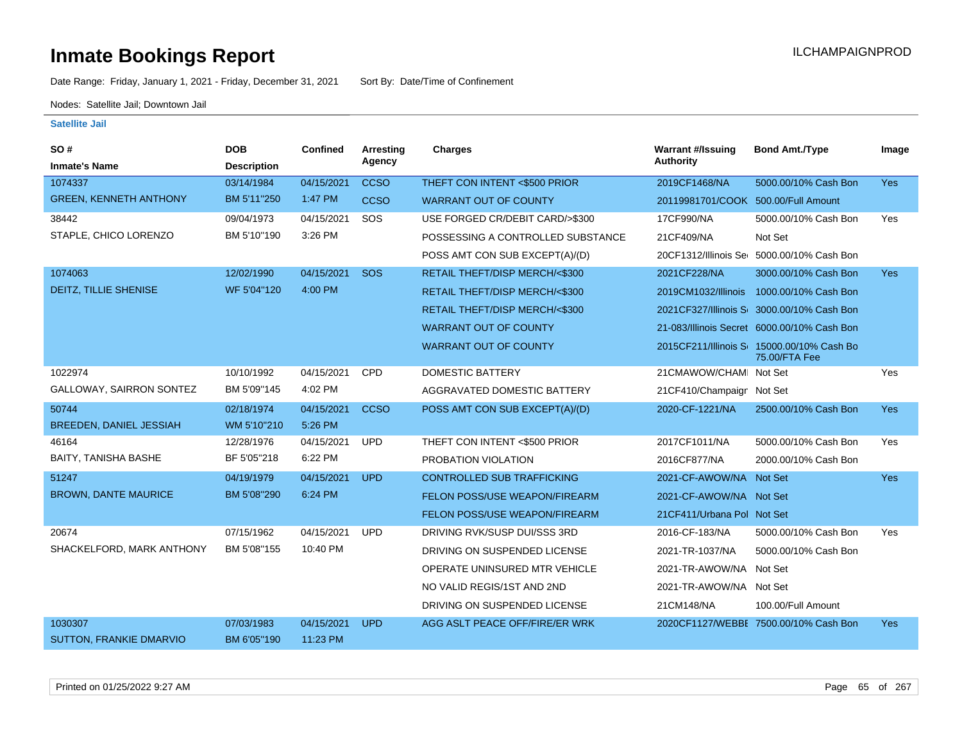Date Range: Friday, January 1, 2021 - Friday, December 31, 2021 Sort By: Date/Time of Confinement

Nodes: Satellite Jail; Downtown Jail

| <b>SO#</b><br><b>Inmate's Name</b> | <b>DOB</b><br><b>Description</b> | <b>Confined</b> | Arresting<br>Agency | <b>Charges</b>                    | <b>Warrant #/Issuing</b><br><b>Authority</b> | <b>Bond Amt./Type</b>                                      | Image      |
|------------------------------------|----------------------------------|-----------------|---------------------|-----------------------------------|----------------------------------------------|------------------------------------------------------------|------------|
| 1074337                            | 03/14/1984                       | 04/15/2021      | <b>CCSO</b>         | THEFT CON INTENT <\$500 PRIOR     | 2019CF1468/NA                                | 5000.00/10% Cash Bon                                       | <b>Yes</b> |
| <b>GREEN, KENNETH ANTHONY</b>      | BM 5'11"250                      | 1:47 PM         | <b>CCSO</b>         | <b>WARRANT OUT OF COUNTY</b>      | 20119981701/COOK 500.00/Full Amount          |                                                            |            |
| 38442                              | 09/04/1973                       | 04/15/2021      | SOS                 | USE FORGED CR/DEBIT CARD/>\$300   | 17CF990/NA                                   | 5000.00/10% Cash Bon                                       | Yes        |
| STAPLE, CHICO LORENZO              | BM 5'10"190                      | 3:26 PM         |                     |                                   |                                              |                                                            |            |
|                                    |                                  |                 |                     | POSSESSING A CONTROLLED SUBSTANCE | 21CF409/NA                                   | Not Set                                                    |            |
|                                    |                                  |                 |                     | POSS AMT CON SUB EXCEPT(A)/(D)    |                                              | 20CF1312/Illinois Sei 5000.00/10% Cash Bon                 |            |
| 1074063                            | 12/02/1990                       | 04/15/2021      | SOS                 | RETAIL THEFT/DISP MERCH/<\$300    | 2021CF228/NA                                 | 3000.00/10% Cash Bon                                       | <b>Yes</b> |
| <b>DEITZ, TILLIE SHENISE</b>       | WF 5'04"120                      | 4:00 PM         |                     | RETAIL THEFT/DISP MERCH/<\$300    | 2019CM1032/Illinois                          | 1000.00/10% Cash Bon                                       |            |
|                                    |                                  |                 |                     | RETAIL THEFT/DISP MERCH/<\$300    |                                              | 2021CF327/Illinois S 3000.00/10% Cash Bon                  |            |
|                                    |                                  |                 |                     | <b>WARRANT OUT OF COUNTY</b>      |                                              | 21-083/Illinois Secret 6000.00/10% Cash Bon                |            |
|                                    |                                  |                 |                     | <b>WARRANT OUT OF COUNTY</b>      |                                              | 2015CF211/Illinois S 15000.00/10% Cash Bo<br>75.00/FTA Fee |            |
| 1022974                            | 10/10/1992                       | 04/15/2021      | <b>CPD</b>          | <b>DOMESTIC BATTERY</b>           | 21CMAWOW/CHAMI Not Set                       |                                                            | Yes        |
| GALLOWAY, SAIRRON SONTEZ           | BM 5'09"145                      | 4:02 PM         |                     | AGGRAVATED DOMESTIC BATTERY       | 21CF410/Champaign Not Set                    |                                                            |            |
| 50744                              | 02/18/1974                       | 04/15/2021      | <b>CCSO</b>         | POSS AMT CON SUB EXCEPT(A)/(D)    | 2020-CF-1221/NA                              | 2500.00/10% Cash Bon                                       | Yes        |
| BREEDEN, DANIEL JESSIAH            | WM 5'10"210                      | 5:26 PM         |                     |                                   |                                              |                                                            |            |
| 46164                              | 12/28/1976                       | 04/15/2021      | <b>UPD</b>          | THEFT CON INTENT <\$500 PRIOR     | 2017CF1011/NA                                | 5000.00/10% Cash Bon                                       | Yes        |
| BAITY, TANISHA BASHE               | BF 5'05"218                      | 6:22 PM         |                     | PROBATION VIOLATION               | 2016CF877/NA                                 | 2000.00/10% Cash Bon                                       |            |
| 51247                              | 04/19/1979                       | 04/15/2021      | <b>UPD</b>          | <b>CONTROLLED SUB TRAFFICKING</b> | 2021-CF-AWOW/NA Not Set                      |                                                            | <b>Yes</b> |
| <b>BROWN, DANTE MAURICE</b>        | BM 5'08"290                      | 6:24 PM         |                     | FELON POSS/USE WEAPON/FIREARM     | 2021-CF-AWOW/NA Not Set                      |                                                            |            |
|                                    |                                  |                 |                     | FELON POSS/USE WEAPON/FIREARM     | 21CF411/Urbana Pol Not Set                   |                                                            |            |
| 20674                              | 07/15/1962                       | 04/15/2021      | <b>UPD</b>          | DRIVING RVK/SUSP DUI/SSS 3RD      | 2016-CF-183/NA                               | 5000.00/10% Cash Bon                                       | Yes        |
| SHACKELFORD, MARK ANTHONY          | BM 5'08"155                      | 10:40 PM        |                     | DRIVING ON SUSPENDED LICENSE      | 2021-TR-1037/NA                              | 5000.00/10% Cash Bon                                       |            |
|                                    |                                  |                 |                     | OPERATE UNINSURED MTR VEHICLE     | 2021-TR-AWOW/NA Not Set                      |                                                            |            |
|                                    |                                  |                 |                     | NO VALID REGIS/1ST AND 2ND        | 2021-TR-AWOW/NA Not Set                      |                                                            |            |
|                                    |                                  |                 |                     | DRIVING ON SUSPENDED LICENSE      | 21CM148/NA                                   | 100.00/Full Amount                                         |            |
| 1030307                            | 07/03/1983                       | 04/15/2021      | <b>UPD</b>          | AGG ASLT PEACE OFF/FIRE/ER WRK    |                                              | 2020CF1127/WEBBE 7500.00/10% Cash Bon                      | <b>Yes</b> |
| <b>SUTTON, FRANKIE DMARVIO</b>     | BM 6'05"190                      | 11:23 PM        |                     |                                   |                                              |                                                            |            |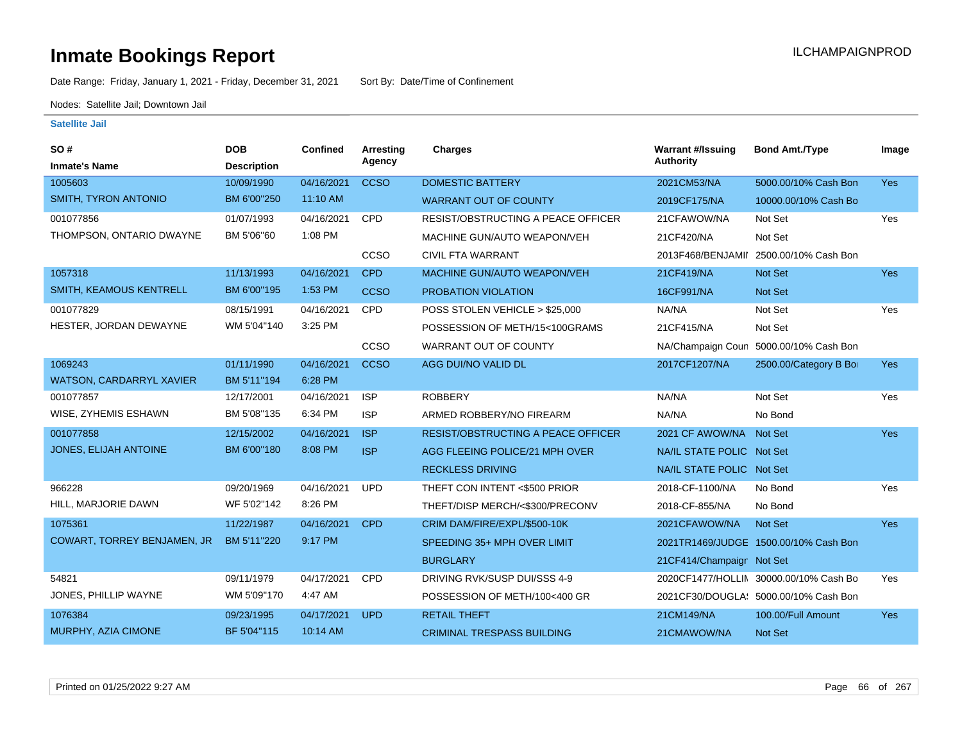Date Range: Friday, January 1, 2021 - Friday, December 31, 2021 Sort By: Date/Time of Confinement

Nodes: Satellite Jail; Downtown Jail

| <b>SO#</b><br><b>Inmate's Name</b> | <b>DOB</b><br><b>Description</b> | <b>Confined</b> | <b>Arresting</b><br>Agency | <b>Charges</b>                            | <b>Warrant #/Issuing</b><br><b>Authority</b> | <b>Bond Amt./Type</b>                  | Image      |
|------------------------------------|----------------------------------|-----------------|----------------------------|-------------------------------------------|----------------------------------------------|----------------------------------------|------------|
| 1005603                            | 10/09/1990                       | 04/16/2021      | <b>CCSO</b>                | <b>DOMESTIC BATTERY</b>                   | 2021CM53/NA                                  | 5000.00/10% Cash Bon                   | <b>Yes</b> |
| <b>SMITH, TYRON ANTONIO</b>        | BM 6'00"250                      | 11:10 AM        |                            | <b>WARRANT OUT OF COUNTY</b>              | 2019CF175/NA                                 | 10000.00/10% Cash Bo                   |            |
| 001077856                          | 01/07/1993                       | 04/16/2021      | CPD                        | <b>RESIST/OBSTRUCTING A PEACE OFFICER</b> | 21CFAWOW/NA                                  | Not Set                                | Yes        |
| THOMPSON, ONTARIO DWAYNE           | BM 5'06"60                       | 1:08 PM         |                            | MACHINE GUN/AUTO WEAPON/VEH               | 21CF420/NA                                   | Not Set                                |            |
|                                    |                                  |                 | CCSO                       | <b>CIVIL FTA WARRANT</b>                  |                                              | 2013F468/BENJAMII 2500.00/10% Cash Bon |            |
| 1057318                            | 11/13/1993                       | 04/16/2021      | <b>CPD</b>                 | MACHINE GUN/AUTO WEAPON/VEH               | 21CF419/NA                                   | Not Set                                | Yes        |
| SMITH, KEAMOUS KENTRELL            | BM 6'00"195                      | 1:53 PM         |                            |                                           |                                              |                                        |            |
|                                    |                                  |                 | <b>CCSO</b>                | <b>PROBATION VIOLATION</b>                | 16CF991/NA                                   | <b>Not Set</b>                         |            |
| 001077829                          | 08/15/1991                       | 04/16/2021      | CPD                        | POSS STOLEN VEHICLE > \$25,000            | NA/NA                                        | Not Set                                | Yes        |
| HESTER, JORDAN DEWAYNE             | WM 5'04"140                      | 3:25 PM         |                            | POSSESSION OF METH/15<100GRAMS            | 21CF415/NA                                   | Not Set                                |            |
|                                    |                                  |                 | <b>CCSO</b>                | WARRANT OUT OF COUNTY                     | NA/Champaign Coun                            | 5000.00/10% Cash Bon                   |            |
| 1069243                            | 01/11/1990                       | 04/16/2021      | <b>CCSO</b>                | AGG DUI/NO VALID DL                       | 2017CF1207/NA                                | 2500.00/Category B Bo                  | <b>Yes</b> |
| <b>WATSON, CARDARRYL XAVIER</b>    | BM 5'11"194                      | 6:28 PM         |                            |                                           |                                              |                                        |            |
| 001077857                          | 12/17/2001                       | 04/16/2021      | <b>ISP</b>                 | <b>ROBBERY</b>                            | NA/NA                                        | Not Set                                | Yes        |
| WISE, ZYHEMIS ESHAWN               | BM 5'08"135                      | 6:34 PM         | <b>ISP</b>                 | ARMED ROBBERY/NO FIREARM                  | NA/NA                                        | No Bond                                |            |
| 001077858                          | 12/15/2002                       | 04/16/2021      | <b>ISP</b>                 | <b>RESIST/OBSTRUCTING A PEACE OFFICER</b> | 2021 CF AWOW/NA                              | Not Set                                | <b>Yes</b> |
| JONES, ELIJAH ANTOINE              | BM 6'00"180                      | 8:08 PM         | <b>ISP</b>                 | AGG FLEEING POLICE/21 MPH OVER            | NA/IL STATE POLIC Not Set                    |                                        |            |
|                                    |                                  |                 |                            | <b>RECKLESS DRIVING</b>                   | NA/IL STATE POLIC Not Set                    |                                        |            |
| 966228                             | 09/20/1969                       | 04/16/2021      | <b>UPD</b>                 | THEFT CON INTENT <\$500 PRIOR             | 2018-CF-1100/NA                              | No Bond                                | Yes        |
| HILL, MARJORIE DAWN                | WF 5'02"142                      | 8:26 PM         |                            | THEFT/DISP MERCH/<\$300/PRECONV           | 2018-CF-855/NA                               | No Bond                                |            |
| 1075361                            | 11/22/1987                       | 04/16/2021      | <b>CPD</b>                 | CRIM DAM/FIRE/EXPL/\$500-10K              | 2021CFAWOW/NA                                | Not Set                                | <b>Yes</b> |
| <b>COWART, TORREY BENJAMEN, JR</b> | BM 5'11"220                      | 9:17 PM         |                            | SPEEDING 35+ MPH OVER LIMIT               |                                              | 2021TR1469/JUDGE 1500.00/10% Cash Bon  |            |
|                                    |                                  |                 |                            | <b>BURGLARY</b>                           | 21CF414/Champaign Not Set                    |                                        |            |
| 54821                              | 09/11/1979                       | 04/17/2021      | CPD                        | DRIVING RVK/SUSP DUI/SSS 4-9              |                                              | 2020CF1477/HOLLIN 30000.00/10% Cash Bo | Yes        |
| JONES, PHILLIP WAYNE               | WM 5'09"170                      | 4:47 AM         |                            | POSSESSION OF METH/100<400 GR             |                                              | 2021CF30/DOUGLA: 5000.00/10% Cash Bon  |            |
| 1076384                            | 09/23/1995                       | 04/17/2021      | <b>UPD</b>                 | <b>RETAIL THEFT</b>                       | 21CM149/NA                                   | 100.00/Full Amount                     | <b>Yes</b> |
| MURPHY, AZIA CIMONE                | BF 5'04"115                      | 10:14 AM        |                            | <b>CRIMINAL TRESPASS BUILDING</b>         | 21CMAWOW/NA                                  | Not Set                                |            |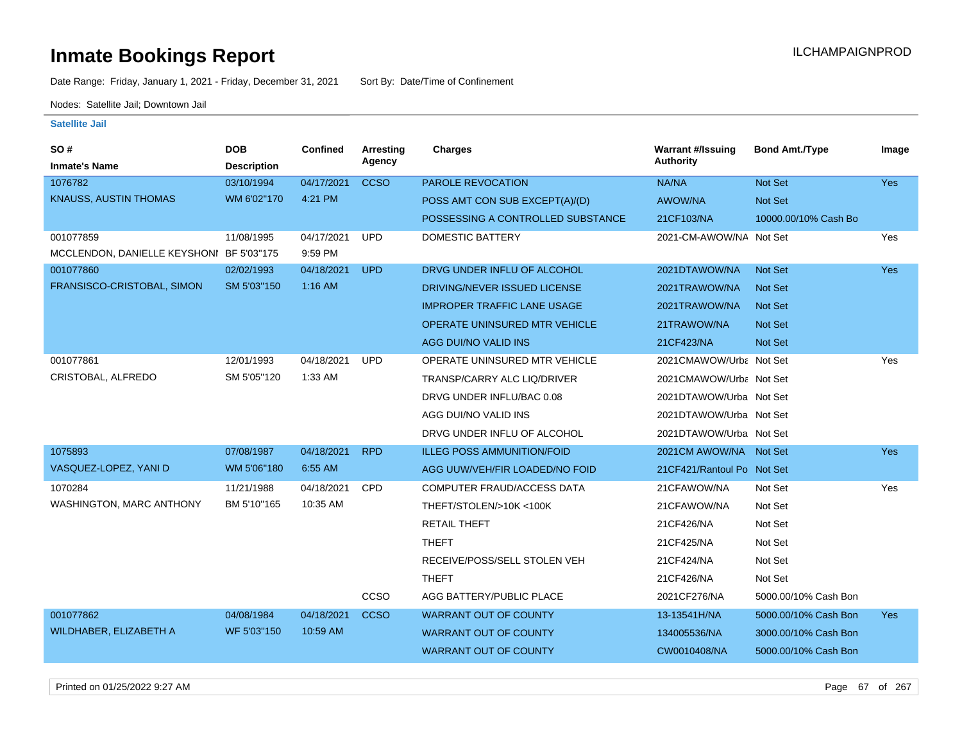Date Range: Friday, January 1, 2021 - Friday, December 31, 2021 Sort By: Date/Time of Confinement

Nodes: Satellite Jail; Downtown Jail

**Satellite Jail**

| <b>SO#</b><br><b>Inmate's Name</b>       | <b>DOB</b><br><b>Description</b> | <b>Confined</b> | <b>Arresting</b><br>Agency | <b>Charges</b>                       | <b>Warrant #/Issuing</b><br><b>Authority</b> | <b>Bond Amt./Type</b> | Image      |
|------------------------------------------|----------------------------------|-----------------|----------------------------|--------------------------------------|----------------------------------------------|-----------------------|------------|
| 1076782                                  | 03/10/1994                       | 04/17/2021      | <b>CCSO</b>                | PAROLE REVOCATION                    | NA/NA                                        | Not Set               | Yes        |
| <b>KNAUSS, AUSTIN THOMAS</b>             | WM 6'02"170                      | 4:21 PM         |                            | POSS AMT CON SUB EXCEPT(A)/(D)       | <b>AWOW/NA</b>                               | Not Set               |            |
|                                          |                                  |                 |                            | POSSESSING A CONTROLLED SUBSTANCE    | 21CF103/NA                                   | 10000.00/10% Cash Bo  |            |
| 001077859                                | 11/08/1995                       | 04/17/2021      | <b>UPD</b>                 | <b>DOMESTIC BATTERY</b>              | 2021-CM-AWOW/NA Not Set                      |                       | Yes        |
| MCCLENDON, DANIELLE KEYSHONI BF 5'03"175 |                                  | 9:59 PM         |                            |                                      |                                              |                       |            |
| 001077860                                | 02/02/1993                       | 04/18/2021      | <b>UPD</b>                 | DRVG UNDER INFLU OF ALCOHOL          | 2021DTAWOW/NA                                | <b>Not Set</b>        | <b>Yes</b> |
| FRANSISCO-CRISTOBAL, SIMON               | SM 5'03"150                      | 1:16 AM         |                            | DRIVING/NEVER ISSUED LICENSE         | 2021TRAWOW/NA                                | <b>Not Set</b>        |            |
|                                          |                                  |                 |                            | <b>IMPROPER TRAFFIC LANE USAGE</b>   | 2021TRAWOW/NA                                | Not Set               |            |
|                                          |                                  |                 |                            | <b>OPERATE UNINSURED MTR VEHICLE</b> | 21TRAWOW/NA                                  | Not Set               |            |
|                                          |                                  |                 |                            | AGG DUI/NO VALID INS                 | 21CF423/NA                                   | Not Set               |            |
| 001077861                                | 12/01/1993                       | 04/18/2021      | <b>UPD</b>                 | OPERATE UNINSURED MTR VEHICLE        | 2021CMAWOW/Urba Not Set                      |                       | Yes        |
| CRISTOBAL, ALFREDO                       | SM 5'05"120                      | 1:33 AM         |                            | TRANSP/CARRY ALC LIQ/DRIVER          | 2021CMAWOW/Urba Not Set                      |                       |            |
|                                          |                                  |                 |                            | DRVG UNDER INFLU/BAC 0.08            | 2021DTAWOW/Urba Not Set                      |                       |            |
|                                          |                                  |                 |                            | AGG DUI/NO VALID INS                 | 2021DTAWOW/Urba Not Set                      |                       |            |
|                                          |                                  |                 |                            | DRVG UNDER INFLU OF ALCOHOL          | 2021DTAWOW/Urba Not Set                      |                       |            |
| 1075893                                  | 07/08/1987                       | 04/18/2021      | <b>RPD</b>                 | <b>ILLEG POSS AMMUNITION/FOID</b>    | 2021CM AWOW/NA Not Set                       |                       | <b>Yes</b> |
| VASQUEZ-LOPEZ, YANI D                    | WM 5'06"180                      | 6:55 AM         |                            | AGG UUW/VEH/FIR LOADED/NO FOID       | 21 CF421/Rantoul Po Not Set                  |                       |            |
| 1070284                                  | 11/21/1988                       | 04/18/2021      | <b>CPD</b>                 | COMPUTER FRAUD/ACCESS DATA           | 21CFAWOW/NA                                  | Not Set               | Yes        |
| WASHINGTON, MARC ANTHONY                 | BM 5'10"165                      | 10:35 AM        |                            | THEFT/STOLEN/>10K <100K              | 21CFAWOW/NA                                  | Not Set               |            |
|                                          |                                  |                 |                            | <b>RETAIL THEFT</b>                  | 21CF426/NA                                   | Not Set               |            |
|                                          |                                  |                 |                            | <b>THEFT</b>                         | 21CF425/NA                                   | Not Set               |            |
|                                          |                                  |                 |                            | RECEIVE/POSS/SELL STOLEN VEH         | 21CF424/NA                                   | Not Set               |            |
|                                          |                                  |                 |                            | <b>THEFT</b>                         | 21CF426/NA                                   | Not Set               |            |
|                                          |                                  |                 | CCSO                       | AGG BATTERY/PUBLIC PLACE             | 2021CF276/NA                                 | 5000.00/10% Cash Bon  |            |
| 001077862                                | 04/08/1984                       | 04/18/2021      | <b>CCSO</b>                | <b>WARRANT OUT OF COUNTY</b>         | 13-13541H/NA                                 | 5000.00/10% Cash Bon  | <b>Yes</b> |
| WILDHABER, ELIZABETH A                   | WF 5'03"150                      | 10:59 AM        |                            | <b>WARRANT OUT OF COUNTY</b>         | 134005536/NA                                 | 3000.00/10% Cash Bon  |            |
|                                          |                                  |                 |                            | <b>WARRANT OUT OF COUNTY</b>         | CW0010408/NA                                 | 5000.00/10% Cash Bon  |            |
|                                          |                                  |                 |                            |                                      |                                              |                       |            |

Printed on 01/25/2022 9:27 AM Page 67 of 267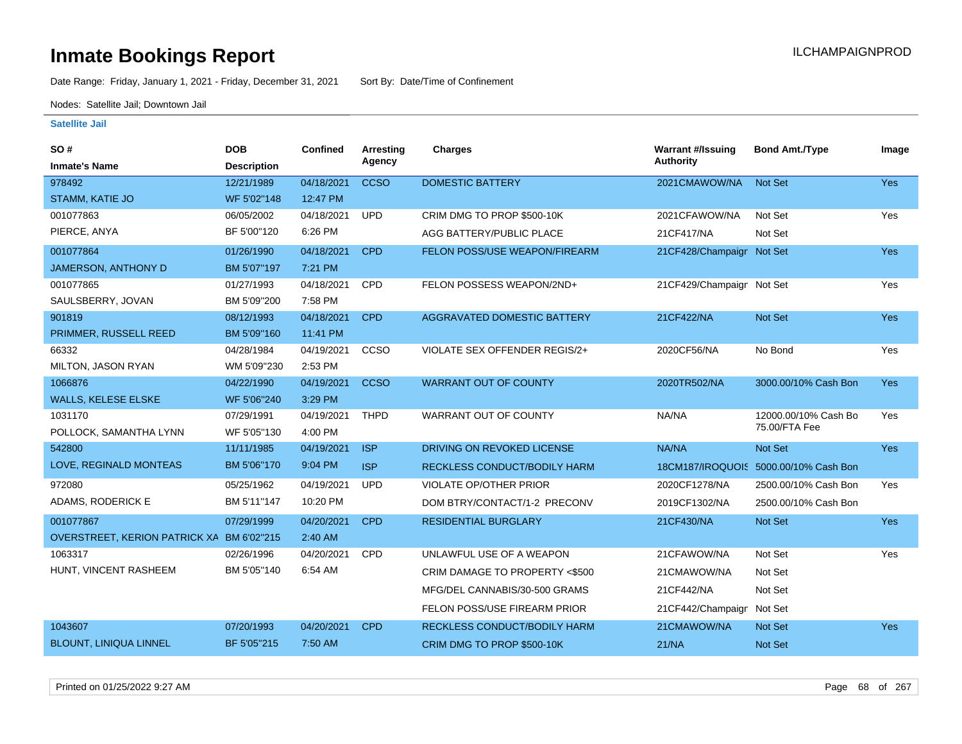Date Range: Friday, January 1, 2021 - Friday, December 31, 2021 Sort By: Date/Time of Confinement

Nodes: Satellite Jail; Downtown Jail

| <b>SO#</b>                                | <b>DOB</b>         | <b>Confined</b> | Arresting   | <b>Charges</b>                 | <b>Warrant #/Issuing</b>  | <b>Bond Amt./Type</b>                 | Image      |
|-------------------------------------------|--------------------|-----------------|-------------|--------------------------------|---------------------------|---------------------------------------|------------|
| <b>Inmate's Name</b>                      | <b>Description</b> |                 | Agency      |                                | <b>Authority</b>          |                                       |            |
| 978492                                    | 12/21/1989         | 04/18/2021      | <b>CCSO</b> | <b>DOMESTIC BATTERY</b>        | 2021CMAWOW/NA             | <b>Not Set</b>                        | Yes        |
| STAMM, KATIE JO                           | WF 5'02"148        | 12:47 PM        |             |                                |                           |                                       |            |
| 001077863                                 | 06/05/2002         | 04/18/2021      | <b>UPD</b>  | CRIM DMG TO PROP \$500-10K     | 2021CFAWOW/NA             | Not Set                               | Yes        |
| PIERCE, ANYA                              | BF 5'00"120        | 6:26 PM         |             | AGG BATTERY/PUBLIC PLACE       | 21CF417/NA                | Not Set                               |            |
| 001077864                                 | 01/26/1990         | 04/18/2021      | <b>CPD</b>  | FELON POSS/USE WEAPON/FIREARM  | 21CF428/Champaign Not Set |                                       | <b>Yes</b> |
| <b>JAMERSON, ANTHONY D</b>                | BM 5'07"197        | 7:21 PM         |             |                                |                           |                                       |            |
| 001077865                                 | 01/27/1993         | 04/18/2021      | <b>CPD</b>  | FELON POSSESS WEAPON/2ND+      | 21CF429/Champaign Not Set |                                       | Yes        |
| SAULSBERRY, JOVAN                         | BM 5'09"200        | 7:58 PM         |             |                                |                           |                                       |            |
| 901819                                    | 08/12/1993         | 04/18/2021      | <b>CPD</b>  | AGGRAVATED DOMESTIC BATTERY    | 21CF422/NA                | Not Set                               | <b>Yes</b> |
| PRIMMER, RUSSELL REED                     | BM 5'09"160        | 11:41 PM        |             |                                |                           |                                       |            |
| 66332                                     | 04/28/1984         | 04/19/2021      | CCSO        | VIOLATE SEX OFFENDER REGIS/2+  | 2020CF56/NA               | No Bond                               | Yes        |
| MILTON, JASON RYAN                        | WM 5'09"230        | 2:53 PM         |             |                                |                           |                                       |            |
| 1066876                                   | 04/22/1990         | 04/19/2021      | <b>CCSO</b> | <b>WARRANT OUT OF COUNTY</b>   | 2020TR502/NA              | 3000.00/10% Cash Bon                  | <b>Yes</b> |
| <b>WALLS, KELESE ELSKE</b>                | WF 5'06"240        | 3:29 PM         |             |                                |                           |                                       |            |
| 1031170                                   | 07/29/1991         | 04/19/2021      | <b>THPD</b> | <b>WARRANT OUT OF COUNTY</b>   | NA/NA                     | 12000.00/10% Cash Bo                  | Yes        |
| POLLOCK, SAMANTHA LYNN                    | WF 5'05"130        | 4:00 PM         |             |                                |                           | 75.00/FTA Fee                         |            |
| 542800                                    | 11/11/1985         | 04/19/2021      | <b>ISP</b>  | DRIVING ON REVOKED LICENSE     | NA/NA                     | Not Set                               | <b>Yes</b> |
| LOVE, REGINALD MONTEAS                    | BM 5'06"170        | 9:04 PM         | <b>ISP</b>  | RECKLESS CONDUCT/BODILY HARM   |                           | 18CM187/IROQUOIS 5000.00/10% Cash Bon |            |
| 972080                                    | 05/25/1962         | 04/19/2021      | <b>UPD</b>  | VIOLATE OP/OTHER PRIOR         | 2020CF1278/NA             | 2500.00/10% Cash Bon                  | Yes        |
| ADAMS, RODERICK E                         | BM 5'11"147        | 10:20 PM        |             | DOM BTRY/CONTACT/1-2 PRECONV   | 2019CF1302/NA             | 2500.00/10% Cash Bon                  |            |
| 001077867                                 | 07/29/1999         | 04/20/2021      | <b>CPD</b>  | <b>RESIDENTIAL BURGLARY</b>    | 21CF430/NA                | Not Set                               | <b>Yes</b> |
| OVERSTREET, KERION PATRICK XA BM 6'02"215 |                    | 2:40 AM         |             |                                |                           |                                       |            |
| 1063317                                   | 02/26/1996         | 04/20/2021      | CPD         | UNLAWFUL USE OF A WEAPON       | 21CFAWOW/NA               | Not Set                               | Yes        |
| HUNT, VINCENT RASHEEM                     | BM 5'05"140        | 6:54 AM         |             | CRIM DAMAGE TO PROPERTY <\$500 | 21CMAWOW/NA               | Not Set                               |            |
|                                           |                    |                 |             | MFG/DEL CANNABIS/30-500 GRAMS  | 21CF442/NA                | Not Set                               |            |
|                                           |                    |                 |             | FELON POSS/USE FIREARM PRIOR   | 21CF442/Champaign         | Not Set                               |            |
| 1043607                                   | 07/20/1993         | 04/20/2021      | <b>CPD</b>  | RECKLESS CONDUCT/BODILY HARM   | 21CMAWOW/NA               | <b>Not Set</b>                        | <b>Yes</b> |
| <b>BLOUNT, LINIQUA LINNEL</b>             | BF 5'05"215        | 7:50 AM         |             | CRIM DMG TO PROP \$500-10K     | 21/NA                     | Not Set                               |            |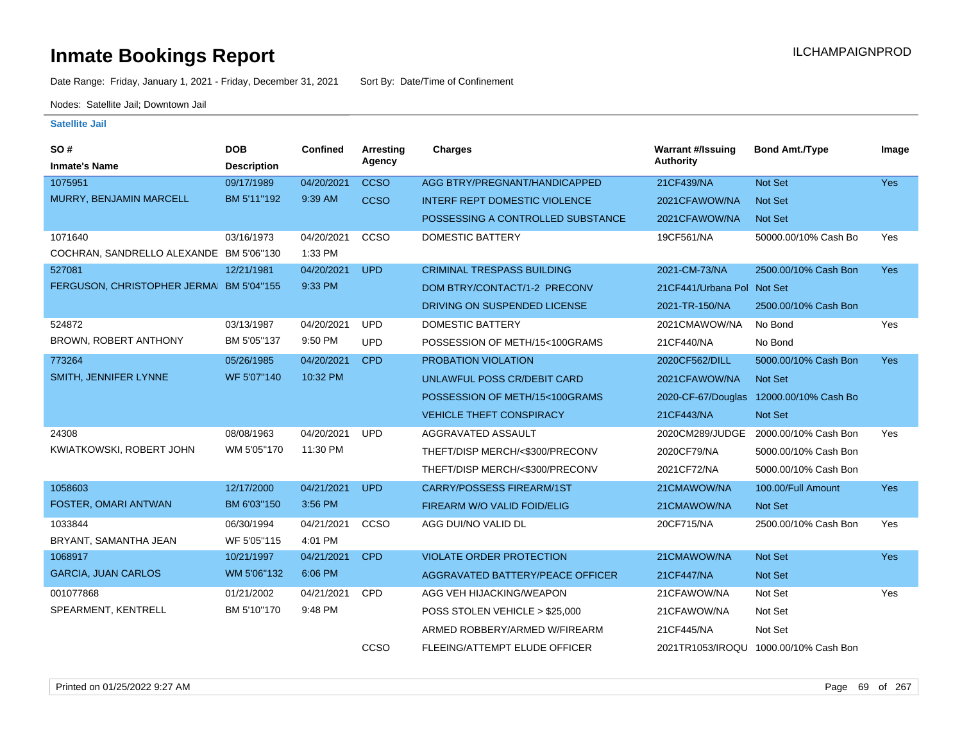Date Range: Friday, January 1, 2021 - Friday, December 31, 2021 Sort By: Date/Time of Confinement

Nodes: Satellite Jail; Downtown Jail

| <b>SO#</b>                              | <b>DOB</b>         | Confined   | Arresting   | Charges                              | <b>Warrant #/Issuing</b>    | <b>Bond Amt./Type</b>                   | Image      |
|-----------------------------------------|--------------------|------------|-------------|--------------------------------------|-----------------------------|-----------------------------------------|------------|
| <b>Inmate's Name</b>                    | <b>Description</b> |            | Agency      |                                      | <b>Authority</b>            |                                         |            |
| 1075951                                 | 09/17/1989         | 04/20/2021 | <b>CCSO</b> | AGG BTRY/PREGNANT/HANDICAPPED        | 21CF439/NA                  | Not Set                                 | <b>Yes</b> |
| MURRY, BENJAMIN MARCELL                 | BM 5'11"192        | 9:39 AM    | <b>CCSO</b> | <b>INTERF REPT DOMESTIC VIOLENCE</b> | 2021CFAWOW/NA               | Not Set                                 |            |
|                                         |                    |            |             | POSSESSING A CONTROLLED SUBSTANCE    | 2021CFAWOW/NA               | Not Set                                 |            |
| 1071640                                 | 03/16/1973         | 04/20/2021 | ccso        | <b>DOMESTIC BATTERY</b>              | 19CF561/NA                  | 50000.00/10% Cash Bo                    | Yes        |
| COCHRAN, SANDRELLO ALEXANDE BM 5'06"130 |                    | 1:33 PM    |             |                                      |                             |                                         |            |
| 527081                                  | 12/21/1981         | 04/20/2021 | <b>UPD</b>  | <b>CRIMINAL TRESPASS BUILDING</b>    | 2021-CM-73/NA               | 2500.00/10% Cash Bon                    | <b>Yes</b> |
| FERGUSON, CHRISTOPHER JERMA BM 5'04"155 |                    | 9:33 PM    |             | DOM BTRY/CONTACT/1-2 PRECONV         | 21 CF441/Urbana Pol Not Set |                                         |            |
|                                         |                    |            |             | DRIVING ON SUSPENDED LICENSE         | 2021-TR-150/NA              | 2500.00/10% Cash Bon                    |            |
| 524872                                  | 03/13/1987         | 04/20/2021 | <b>UPD</b>  | <b>DOMESTIC BATTERY</b>              | 2021CMAWOW/NA               | No Bond                                 | Yes        |
| <b>BROWN, ROBERT ANTHONY</b>            | BM 5'05"137        | 9:50 PM    | <b>UPD</b>  | POSSESSION OF METH/15<100GRAMS       | 21CF440/NA                  | No Bond                                 |            |
| 773264                                  | 05/26/1985         | 04/20/2021 | <b>CPD</b>  | <b>PROBATION VIOLATION</b>           | 2020CF562/DILL              | 5000.00/10% Cash Bon                    | <b>Yes</b> |
| SMITH, JENNIFER LYNNE                   | WF 5'07"140        | 10:32 PM   |             | UNLAWFUL POSS CR/DEBIT CARD          | 2021CFAWOW/NA               | <b>Not Set</b>                          |            |
|                                         |                    |            |             | POSSESSION OF METH/15<100GRAMS       |                             | 2020-CF-67/Douglas 12000.00/10% Cash Bo |            |
|                                         |                    |            |             | <b>VEHICLE THEFT CONSPIRACY</b>      | 21CF443/NA                  | Not Set                                 |            |
| 24308                                   | 08/08/1963         | 04/20/2021 | <b>UPD</b>  | AGGRAVATED ASSAULT                   | 2020CM289/JUDGE             | 2000.00/10% Cash Bon                    | Yes        |
| KWIATKOWSKI, ROBERT JOHN                | WM 5'05"170        | 11:30 PM   |             | THEFT/DISP MERCH/<\$300/PRECONV      | 2020CF79/NA                 | 5000.00/10% Cash Bon                    |            |
|                                         |                    |            |             | THEFT/DISP MERCH/<\$300/PRECONV      | 2021CF72/NA                 | 5000.00/10% Cash Bon                    |            |
| 1058603                                 | 12/17/2000         | 04/21/2021 | <b>UPD</b>  | <b>CARRY/POSSESS FIREARM/1ST</b>     | 21CMAWOW/NA                 | 100.00/Full Amount                      | Yes        |
| <b>FOSTER, OMARI ANTWAN</b>             | BM 6'03"150        | 3:56 PM    |             | FIREARM W/O VALID FOID/ELIG          | 21CMAWOW/NA                 | Not Set                                 |            |
| 1033844                                 | 06/30/1994         | 04/21/2021 | CCSO        | AGG DUI/NO VALID DL                  | 20CF715/NA                  | 2500.00/10% Cash Bon                    | Yes        |
| BRYANT, SAMANTHA JEAN                   | WF 5'05"115        | 4:01 PM    |             |                                      |                             |                                         |            |
| 1068917                                 | 10/21/1997         | 04/21/2021 | <b>CPD</b>  | <b>VIOLATE ORDER PROTECTION</b>      | 21CMAWOW/NA                 | Not Set                                 | Yes        |
| <b>GARCIA, JUAN CARLOS</b>              | WM 5'06"132        | 6:06 PM    |             | AGGRAVATED BATTERY/PEACE OFFICER     | 21CF447/NA                  | <b>Not Set</b>                          |            |
| 001077868                               | 01/21/2002         | 04/21/2021 | <b>CPD</b>  | AGG VEH HIJACKING/WEAPON             | 21CFAWOW/NA                 | Not Set                                 | Yes        |
| SPEARMENT, KENTRELL                     | BM 5'10"170        | 9:48 PM    |             | POSS STOLEN VEHICLE > \$25,000       | 21CFAWOW/NA                 | Not Set                                 |            |
|                                         |                    |            |             | ARMED ROBBERY/ARMED W/FIREARM        | 21CF445/NA                  | Not Set                                 |            |
|                                         |                    |            | CCSO        | FLEEING/ATTEMPT ELUDE OFFICER        |                             | 2021TR1053/IROQU 1000.00/10% Cash Bon   |            |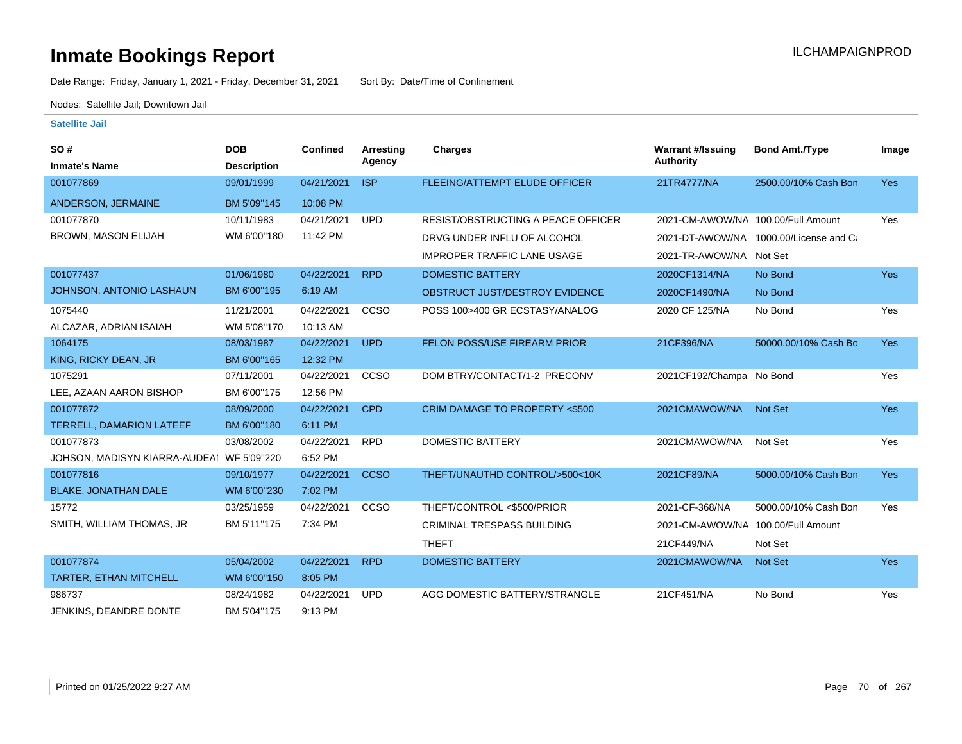Date Range: Friday, January 1, 2021 - Friday, December 31, 2021 Sort By: Date/Time of Confinement

Nodes: Satellite Jail; Downtown Jail

| SO#<br><b>Inmate's Name</b>               | <b>DOB</b><br><b>Description</b> | <b>Confined</b> | Arresting<br>Agency | Charges                                   | <b>Warrant #/Issuing</b><br>Authority | <b>Bond Amt./Type</b>                  | Image      |
|-------------------------------------------|----------------------------------|-----------------|---------------------|-------------------------------------------|---------------------------------------|----------------------------------------|------------|
| 001077869                                 | 09/01/1999                       | 04/21/2021      | <b>ISP</b>          | FLEEING/ATTEMPT ELUDE OFFICER             | 21TR4777/NA                           | 2500.00/10% Cash Bon                   | <b>Yes</b> |
| ANDERSON, JERMAINE                        | BM 5'09"145                      | 10:08 PM        |                     |                                           |                                       |                                        |            |
| 001077870                                 | 10/11/1983                       | 04/21/2021      | <b>UPD</b>          | <b>RESIST/OBSTRUCTING A PEACE OFFICER</b> | 2021-CM-AWOW/NA 100.00/Full Amount    |                                        | Yes        |
| <b>BROWN, MASON ELIJAH</b>                | WM 6'00"180                      | 11:42 PM        |                     | DRVG UNDER INFLU OF ALCOHOL               |                                       | 2021-DT-AWOW/NA 1000.00/License and Ca |            |
|                                           |                                  |                 |                     | <b>IMPROPER TRAFFIC LANE USAGE</b>        | 2021-TR-AWOW/NA Not Set               |                                        |            |
| 001077437                                 | 01/06/1980                       | 04/22/2021      | <b>RPD</b>          | <b>DOMESTIC BATTERY</b>                   | 2020CF1314/NA                         | No Bond                                | <b>Yes</b> |
| JOHNSON, ANTONIO LASHAUN                  | BM 6'00"195                      | 6:19 AM         |                     | OBSTRUCT JUST/DESTROY EVIDENCE            | 2020CF1490/NA                         | No Bond                                |            |
| 1075440                                   | 11/21/2001                       | 04/22/2021      | CCSO                | POSS 100>400 GR ECSTASY/ANALOG            | 2020 CF 125/NA                        | No Bond                                | Yes        |
| ALCAZAR, ADRIAN ISAIAH                    | WM 5'08"170                      | 10:13 AM        |                     |                                           |                                       |                                        |            |
| 1064175                                   | 08/03/1987                       | 04/22/2021      | <b>UPD</b>          | <b>FELON POSS/USE FIREARM PRIOR</b>       | 21CF396/NA                            | 50000.00/10% Cash Bo                   | <b>Yes</b> |
| KING, RICKY DEAN, JR                      | BM 6'00"165                      | 12:32 PM        |                     |                                           |                                       |                                        |            |
| 1075291                                   | 07/11/2001                       | 04/22/2021      | CCSO                | DOM BTRY/CONTACT/1-2 PRECONV              | 2021CF192/Champai No Bond             |                                        | Yes        |
| LEE, AZAAN AARON BISHOP                   | BM 6'00"175                      | 12:56 PM        |                     |                                           |                                       |                                        |            |
| 001077872                                 | 08/09/2000                       | 04/22/2021      | <b>CPD</b>          | CRIM DAMAGE TO PROPERTY <\$500            | 2021CMAWOW/NA                         | <b>Not Set</b>                         | <b>Yes</b> |
| <b>TERRELL, DAMARION LATEEF</b>           | BM 6'00"180                      | 6:11 PM         |                     |                                           |                                       |                                        |            |
| 001077873                                 | 03/08/2002                       | 04/22/2021      | <b>RPD</b>          | <b>DOMESTIC BATTERY</b>                   | 2021CMAWOW/NA                         | Not Set                                | Yes        |
| JOHSON, MADISYN KIARRA-AUDEAI WF 5'09"220 |                                  | 6:52 PM         |                     |                                           |                                       |                                        |            |
| 001077816                                 | 09/10/1977                       | 04/22/2021      | <b>CCSO</b>         | THEFT/UNAUTHD CONTROL/>500<10K            | 2021CF89/NA                           | 5000.00/10% Cash Bon                   | Yes        |
| <b>BLAKE, JONATHAN DALE</b>               | WM 6'00"230                      | 7:02 PM         |                     |                                           |                                       |                                        |            |
| 15772                                     | 03/25/1959                       | 04/22/2021      | CCSO                | THEFT/CONTROL <\$500/PRIOR                | 2021-CF-368/NA                        | 5000.00/10% Cash Bon                   | Yes        |
| SMITH, WILLIAM THOMAS, JR                 | BM 5'11"175                      | 7:34 PM         |                     | CRIMINAL TRESPASS BUILDING                | 2021-CM-AWOW/NA 100.00/Full Amount    |                                        |            |
|                                           |                                  |                 |                     | <b>THEFT</b>                              | 21CF449/NA                            | Not Set                                |            |
| 001077874                                 | 05/04/2002                       | 04/22/2021      | <b>RPD</b>          | <b>DOMESTIC BATTERY</b>                   | 2021CMAWOW/NA                         | <b>Not Set</b>                         | <b>Yes</b> |
| TARTER, ETHAN MITCHELL                    | WM 6'00"150                      | 8:05 PM         |                     |                                           |                                       |                                        |            |
| 986737                                    | 08/24/1982                       | 04/22/2021      | <b>UPD</b>          | AGG DOMESTIC BATTERY/STRANGLE             | 21CF451/NA                            | No Bond                                | Yes        |
| JENKINS, DEANDRE DONTE                    | BM 5'04"175                      | 9:13 PM         |                     |                                           |                                       |                                        |            |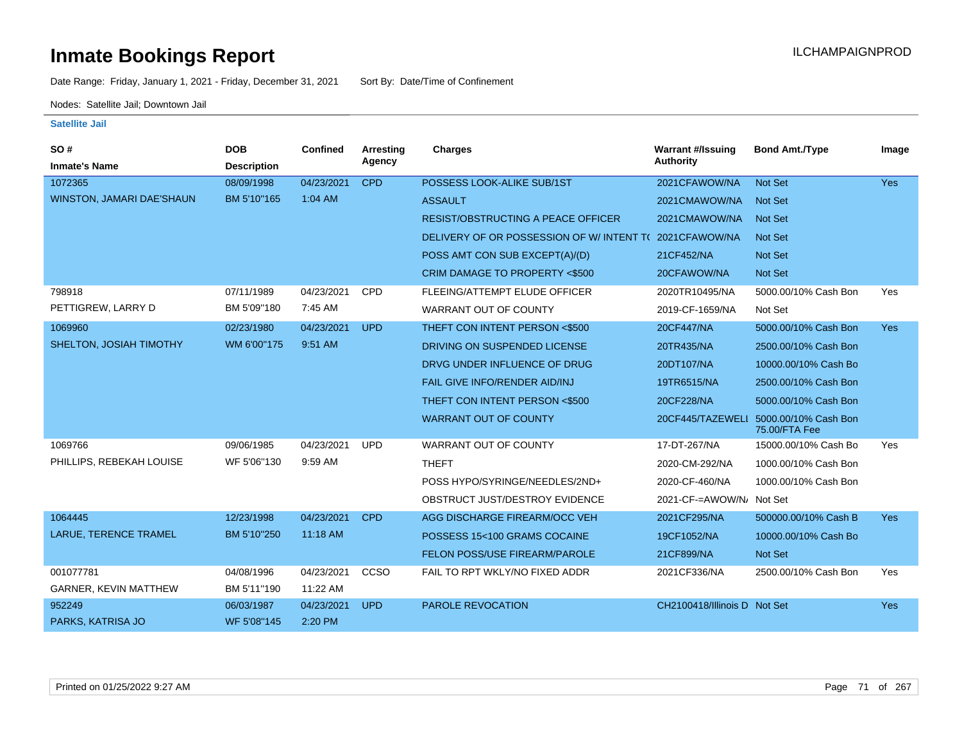Date Range: Friday, January 1, 2021 - Friday, December 31, 2021 Sort By: Date/Time of Confinement

Nodes: Satellite Jail; Downtown Jail

| SO#                          | <b>DOB</b>         | <b>Confined</b> | Arresting  | <b>Charges</b>                            | <b>Warrant #/Issuing</b><br><b>Authority</b> | <b>Bond Amt./Type</b>                 | Image      |
|------------------------------|--------------------|-----------------|------------|-------------------------------------------|----------------------------------------------|---------------------------------------|------------|
| <b>Inmate's Name</b>         | <b>Description</b> |                 | Agency     |                                           |                                              |                                       |            |
| 1072365                      | 08/09/1998         | 04/23/2021      | <b>CPD</b> | POSSESS LOOK-ALIKE SUB/1ST                | 2021CFAWOW/NA                                | Not Set                               | <b>Yes</b> |
| WINSTON, JAMARI DAE'SHAUN    | BM 5'10"165        | 1:04 AM         |            | <b>ASSAULT</b>                            | 2021CMAWOW/NA                                | <b>Not Set</b>                        |            |
|                              |                    |                 |            | <b>RESIST/OBSTRUCTING A PEACE OFFICER</b> | 2021CMAWOW/NA                                | <b>Not Set</b>                        |            |
|                              |                    |                 |            | DELIVERY OF OR POSSESSION OF W/INTENT TO  | 2021CFAWOW/NA                                | <b>Not Set</b>                        |            |
|                              |                    |                 |            | POSS AMT CON SUB EXCEPT(A)/(D)            | 21CF452/NA                                   | Not Set                               |            |
|                              |                    |                 |            | CRIM DAMAGE TO PROPERTY <\$500            | 20CFAWOW/NA                                  | <b>Not Set</b>                        |            |
| 798918                       | 07/11/1989         | 04/23/2021      | <b>CPD</b> | FLEEING/ATTEMPT ELUDE OFFICER             | 2020TR10495/NA                               | 5000.00/10% Cash Bon                  | Yes        |
| PETTIGREW, LARRY D           | BM 5'09"180        | 7:45 AM         |            | <b>WARRANT OUT OF COUNTY</b>              | 2019-CF-1659/NA                              | Not Set                               |            |
| 1069960                      | 02/23/1980         | 04/23/2021      | <b>UPD</b> | THEFT CON INTENT PERSON <\$500            | 20CF447/NA                                   | 5000.00/10% Cash Bon                  | <b>Yes</b> |
| SHELTON, JOSIAH TIMOTHY      | WM 6'00"175        | 9:51 AM         |            | DRIVING ON SUSPENDED LICENSE              | 20TR435/NA                                   | 2500.00/10% Cash Bon                  |            |
|                              |                    |                 |            | DRVG UNDER INFLUENCE OF DRUG              | 20DT107/NA                                   | 10000.00/10% Cash Bo                  |            |
|                              |                    |                 |            | FAIL GIVE INFO/RENDER AID/INJ             | 19TR6515/NA                                  | 2500.00/10% Cash Bon                  |            |
|                              |                    |                 |            | THEFT CON INTENT PERSON <\$500            | 20CF228/NA                                   | 5000.00/10% Cash Bon                  |            |
|                              |                    |                 |            | <b>WARRANT OUT OF COUNTY</b>              | 20CF445/TAZEWELI                             | 5000.00/10% Cash Bon<br>75.00/FTA Fee |            |
| 1069766                      | 09/06/1985         | 04/23/2021      | <b>UPD</b> | <b>WARRANT OUT OF COUNTY</b>              | 17-DT-267/NA                                 | 15000.00/10% Cash Bo                  | Yes        |
| PHILLIPS, REBEKAH LOUISE     | WF 5'06"130        | 9:59 AM         |            | <b>THEFT</b>                              | 2020-CM-292/NA                               | 1000.00/10% Cash Bon                  |            |
|                              |                    |                 |            | POSS HYPO/SYRINGE/NEEDLES/2ND+            | 2020-CF-460/NA                               | 1000.00/10% Cash Bon                  |            |
|                              |                    |                 |            | OBSTRUCT JUST/DESTROY EVIDENCE            | 2021-CF-=AWOW/N/ Not Set                     |                                       |            |
| 1064445                      | 12/23/1998         | 04/23/2021      | <b>CPD</b> | AGG DISCHARGE FIREARM/OCC VEH             | 2021CF295/NA                                 | 500000.00/10% Cash B                  | <b>Yes</b> |
| <b>LARUE, TERENCE TRAMEL</b> | BM 5'10"250        | 11:18 AM        |            | POSSESS 15<100 GRAMS COCAINE              | 19CF1052/NA                                  | 10000.00/10% Cash Bo                  |            |
|                              |                    |                 |            | FELON POSS/USE FIREARM/PAROLE             | 21CF899/NA                                   | <b>Not Set</b>                        |            |
| 001077781                    | 04/08/1996         | 04/23/2021      | CCSO       | FAIL TO RPT WKLY/NO FIXED ADDR            | 2021CF336/NA                                 | 2500.00/10% Cash Bon                  | Yes        |
| GARNER, KEVIN MATTHEW        | BM 5'11"190        | 11:22 AM        |            |                                           |                                              |                                       |            |
| 952249                       | 06/03/1987         | 04/23/2021      | <b>UPD</b> | PAROLE REVOCATION                         | CH2100418/Illinois D Not Set                 |                                       | <b>Yes</b> |
| PARKS, KATRISA JO            | WF 5'08"145        | 2:20 PM         |            |                                           |                                              |                                       |            |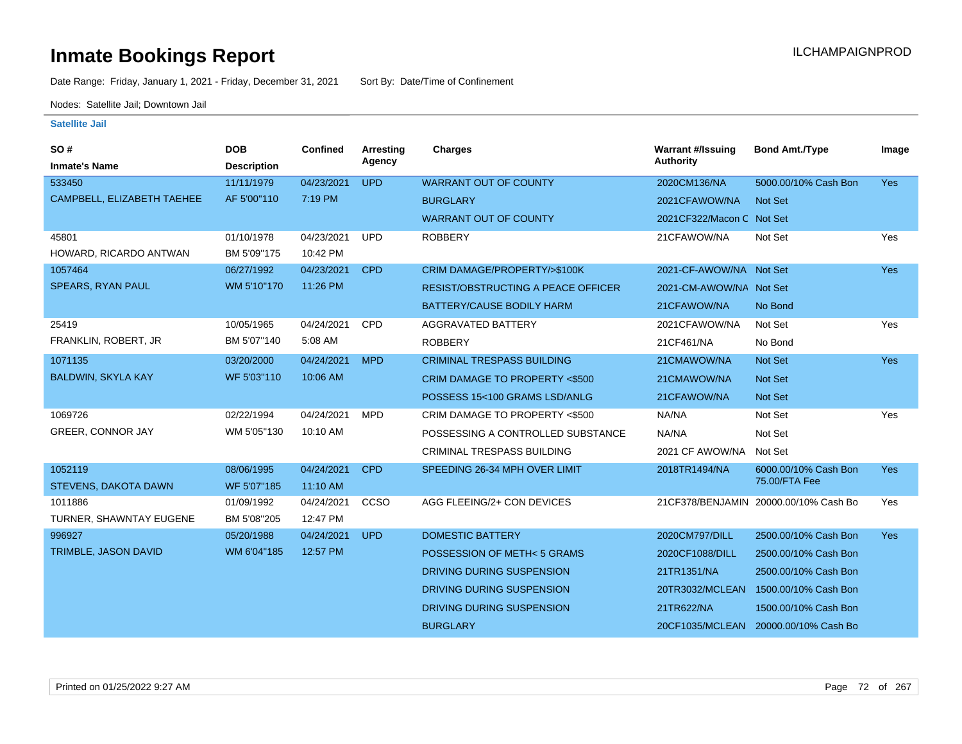Date Range: Friday, January 1, 2021 - Friday, December 31, 2021 Sort By: Date/Time of Confinement

Nodes: Satellite Jail; Downtown Jail

| SO#                         | <b>DOB</b>         | Confined   | <b>Arresting</b> | <b>Charges</b>                            | <b>Warrant #/Issuing</b>  | <b>Bond Amt./Type</b>                 | Image      |
|-----------------------------|--------------------|------------|------------------|-------------------------------------------|---------------------------|---------------------------------------|------------|
| <b>Inmate's Name</b>        | <b>Description</b> |            | Agency           |                                           | <b>Authority</b>          |                                       |            |
| 533450                      | 11/11/1979         | 04/23/2021 | <b>UPD</b>       | <b>WARRANT OUT OF COUNTY</b>              | 2020CM136/NA              | 5000.00/10% Cash Bon                  | <b>Yes</b> |
| CAMPBELL, ELIZABETH TAEHEE  | AF 5'00"110        | 7:19 PM    |                  | <b>BURGLARY</b>                           | 2021CFAWOW/NA             | <b>Not Set</b>                        |            |
|                             |                    |            |                  | <b>WARRANT OUT OF COUNTY</b>              | 2021CF322/Macon C Not Set |                                       |            |
| 45801                       | 01/10/1978         | 04/23/2021 | <b>UPD</b>       | <b>ROBBERY</b>                            | 21CFAWOW/NA               | Not Set                               | Yes        |
| HOWARD, RICARDO ANTWAN      | BM 5'09"175        | 10:42 PM   |                  |                                           |                           |                                       |            |
| 1057464                     | 06/27/1992         | 04/23/2021 | <b>CPD</b>       | CRIM DAMAGE/PROPERTY/>\$100K              | 2021-CF-AWOW/NA Not Set   |                                       | <b>Yes</b> |
| SPEARS, RYAN PAUL           | WM 5'10"170        | 11:26 PM   |                  | <b>RESIST/OBSTRUCTING A PEACE OFFICER</b> | 2021-CM-AWOW/NA Not Set   |                                       |            |
|                             |                    |            |                  | BATTERY/CAUSE BODILY HARM                 | 21CFAWOW/NA               | No Bond                               |            |
| 25419                       | 10/05/1965         | 04/24/2021 | <b>CPD</b>       | AGGRAVATED BATTERY                        | 2021CFAWOW/NA             | Not Set                               | Yes        |
| FRANKLIN, ROBERT, JR        | BM 5'07"140        | 5:08 AM    |                  | <b>ROBBERY</b>                            | 21CF461/NA                | No Bond                               |            |
| 1071135                     | 03/20/2000         | 04/24/2021 | <b>MPD</b>       | <b>CRIMINAL TRESPASS BUILDING</b>         | 21CMAWOW/NA               | Not Set                               | <b>Yes</b> |
| <b>BALDWIN, SKYLA KAY</b>   | WF 5'03"110        | 10:06 AM   |                  | <b>CRIM DAMAGE TO PROPERTY &lt;\$500</b>  | 21CMAWOW/NA               | <b>Not Set</b>                        |            |
|                             |                    |            |                  | POSSESS 15<100 GRAMS LSD/ANLG             | 21CFAWOW/NA               | Not Set                               |            |
| 1069726                     | 02/22/1994         | 04/24/2021 | <b>MPD</b>       | CRIM DAMAGE TO PROPERTY <\$500            | NA/NA                     | Not Set                               | Yes        |
| GREER, CONNOR JAY           | WM 5'05"130        | 10:10 AM   |                  | POSSESSING A CONTROLLED SUBSTANCE         | NA/NA                     | Not Set                               |            |
|                             |                    |            |                  | <b>CRIMINAL TRESPASS BUILDING</b>         | 2021 CF AWOW/NA           | Not Set                               |            |
| 1052119                     | 08/06/1995         | 04/24/2021 | <b>CPD</b>       | SPEEDING 26-34 MPH OVER LIMIT             | 2018TR1494/NA             | 6000.00/10% Cash Bon                  | <b>Yes</b> |
| <b>STEVENS, DAKOTA DAWN</b> | WF 5'07"185        | 11:10 AM   |                  |                                           |                           | 75.00/FTA Fee                         |            |
| 1011886                     | 01/09/1992         | 04/24/2021 | <b>CCSO</b>      | AGG FLEEING/2+ CON DEVICES                |                           | 21CF378/BENJAMIN 20000.00/10% Cash Bo | Yes        |
| TURNER, SHAWNTAY EUGENE     | BM 5'08"205        | 12:47 PM   |                  |                                           |                           |                                       |            |
| 996927                      | 05/20/1988         | 04/24/2021 | <b>UPD</b>       | <b>DOMESTIC BATTERY</b>                   | 2020CM797/DILL            | 2500.00/10% Cash Bon                  | <b>Yes</b> |
| TRIMBLE, JASON DAVID        | WM 6'04"185        | 12:57 PM   |                  | POSSESSION OF METH<5 GRAMS                | 2020CF1088/DILL           | 2500.00/10% Cash Bon                  |            |
|                             |                    |            |                  | DRIVING DURING SUSPENSION                 | 21TR1351/NA               | 2500.00/10% Cash Bon                  |            |
|                             |                    |            |                  | DRIVING DURING SUSPENSION                 | 20TR3032/MCLEAN           | 1500.00/10% Cash Bon                  |            |
|                             |                    |            |                  | DRIVING DURING SUSPENSION                 | 21TR622/NA                | 1500.00/10% Cash Bon                  |            |
|                             |                    |            |                  | <b>BURGLARY</b>                           | 20CF1035/MCLEAN           | 20000.00/10% Cash Bo                  |            |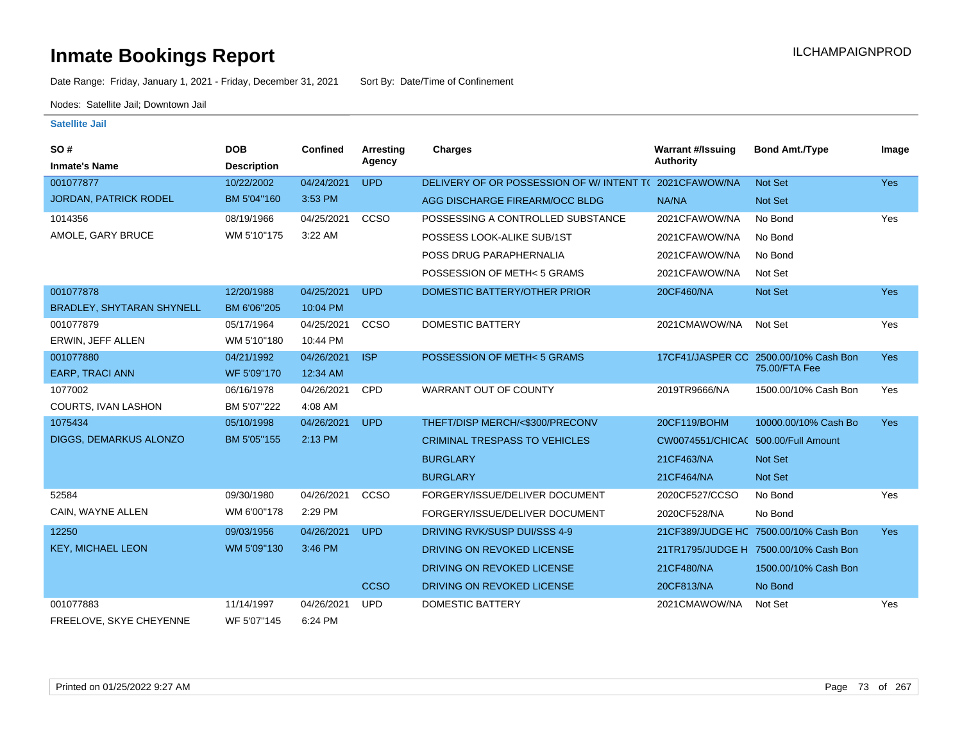Date Range: Friday, January 1, 2021 - Friday, December 31, 2021 Sort By: Date/Time of Confinement

Nodes: Satellite Jail; Downtown Jail

| SO#<br><b>Inmate's Name</b>  | <b>DOB</b><br><b>Description</b> | <b>Confined</b> | Arresting<br>Agency | <b>Charges</b>                                        | <b>Warrant #/Issuing</b><br><b>Authority</b> | <b>Bond Amt./Type</b>                 | Image      |
|------------------------------|----------------------------------|-----------------|---------------------|-------------------------------------------------------|----------------------------------------------|---------------------------------------|------------|
| 001077877                    | 10/22/2002                       | 04/24/2021      | <b>UPD</b>          | DELIVERY OF OR POSSESSION OF W/INTENT T(2021CFAWOW/NA |                                              | <b>Not Set</b>                        | Yes        |
| <b>JORDAN, PATRICK RODEL</b> | BM 5'04"160                      | 3:53 PM         |                     | AGG DISCHARGE FIREARM/OCC BLDG                        | NA/NA                                        | Not Set                               |            |
| 1014356                      | 08/19/1966                       | 04/25/2021      | CCSO                | POSSESSING A CONTROLLED SUBSTANCE                     | 2021CFAWOW/NA                                | No Bond                               | Yes        |
| AMOLE, GARY BRUCE            | WM 5'10"175                      | 3:22 AM         |                     | POSSESS LOOK-ALIKE SUB/1ST                            | 2021CFAWOW/NA                                | No Bond                               |            |
|                              |                                  |                 |                     | POSS DRUG PARAPHERNALIA                               | 2021CFAWOW/NA                                | No Bond                               |            |
|                              |                                  |                 |                     | POSSESSION OF METH< 5 GRAMS                           | 2021CFAWOW/NA                                | Not Set                               |            |
| 001077878                    | 12/20/1988                       | 04/25/2021      | <b>UPD</b>          | DOMESTIC BATTERY/OTHER PRIOR                          | 20CF460/NA                                   | Not Set                               | <b>Yes</b> |
| BRADLEY, SHYTARAN SHYNELL    | BM 6'06"205                      | 10:04 PM        |                     |                                                       |                                              |                                       |            |
| 001077879                    | 05/17/1964                       | 04/25/2021      | CCSO                | <b>DOMESTIC BATTERY</b>                               | 2021CMAWOW/NA                                | Not Set                               | Yes        |
| ERWIN, JEFF ALLEN            | WM 5'10"180                      | 10:44 PM        |                     |                                                       |                                              |                                       |            |
| 001077880                    | 04/21/1992                       | 04/26/2021      | <b>ISP</b>          | POSSESSION OF METH< 5 GRAMS                           |                                              | 17CF41/JASPER CC 2500.00/10% Cash Bon | Yes        |
| <b>EARP, TRACI ANN</b>       | WF 5'09"170                      | 12:34 AM        |                     |                                                       |                                              | 75.00/FTA Fee                         |            |
| 1077002                      | 06/16/1978                       | 04/26/2021      | <b>CPD</b>          | <b>WARRANT OUT OF COUNTY</b>                          | 2019TR9666/NA                                | 1500.00/10% Cash Bon                  | Yes        |
| <b>COURTS, IVAN LASHON</b>   | BM 5'07"222                      | 4:08 AM         |                     |                                                       |                                              |                                       |            |
| 1075434                      | 05/10/1998                       | 04/26/2021      | <b>UPD</b>          | THEFT/DISP MERCH/<\$300/PRECONV                       | 20CF119/BOHM                                 | 10000.00/10% Cash Bo                  | <b>Yes</b> |
| DIGGS, DEMARKUS ALONZO       | BM 5'05"155                      | 2:13 PM         |                     | <b>CRIMINAL TRESPASS TO VEHICLES</b>                  | CW0074551/CHICAC 500.00/Full Amount          |                                       |            |
|                              |                                  |                 |                     | <b>BURGLARY</b>                                       | 21CF463/NA                                   | <b>Not Set</b>                        |            |
|                              |                                  |                 |                     | <b>BURGLARY</b>                                       | 21CF464/NA                                   | <b>Not Set</b>                        |            |
| 52584                        | 09/30/1980                       | 04/26/2021      | CCSO                | FORGERY/ISSUE/DELIVER DOCUMENT                        | 2020CF527/CCSO                               | No Bond                               | Yes        |
| CAIN, WAYNE ALLEN            | WM 6'00"178                      | 2:29 PM         |                     | FORGERY/ISSUE/DELIVER DOCUMENT                        | 2020CF528/NA                                 | No Bond                               |            |
| 12250                        | 09/03/1956                       | 04/26/2021      | <b>UPD</b>          | <b>DRIVING RVK/SUSP DUI/SSS 4-9</b>                   |                                              | 21CF389/JUDGE HC 7500.00/10% Cash Bon | <b>Yes</b> |
| <b>KEY, MICHAEL LEON</b>     | WM 5'09"130                      | 3:46 PM         |                     | DRIVING ON REVOKED LICENSE                            |                                              | 21TR1795/JUDGE H 7500.00/10% Cash Bon |            |
|                              |                                  |                 |                     | DRIVING ON REVOKED LICENSE                            | 21CF480/NA                                   | 1500.00/10% Cash Bon                  |            |
|                              |                                  |                 | <b>CCSO</b>         | DRIVING ON REVOKED LICENSE                            | 20CF813/NA                                   | No Bond                               |            |
| 001077883                    | 11/14/1997                       | 04/26/2021      | <b>UPD</b>          | <b>DOMESTIC BATTERY</b>                               | 2021CMAWOW/NA                                | Not Set                               | Yes        |
| FREELOVE, SKYE CHEYENNE      | WF 5'07"145                      | 6:24 PM         |                     |                                                       |                                              |                                       |            |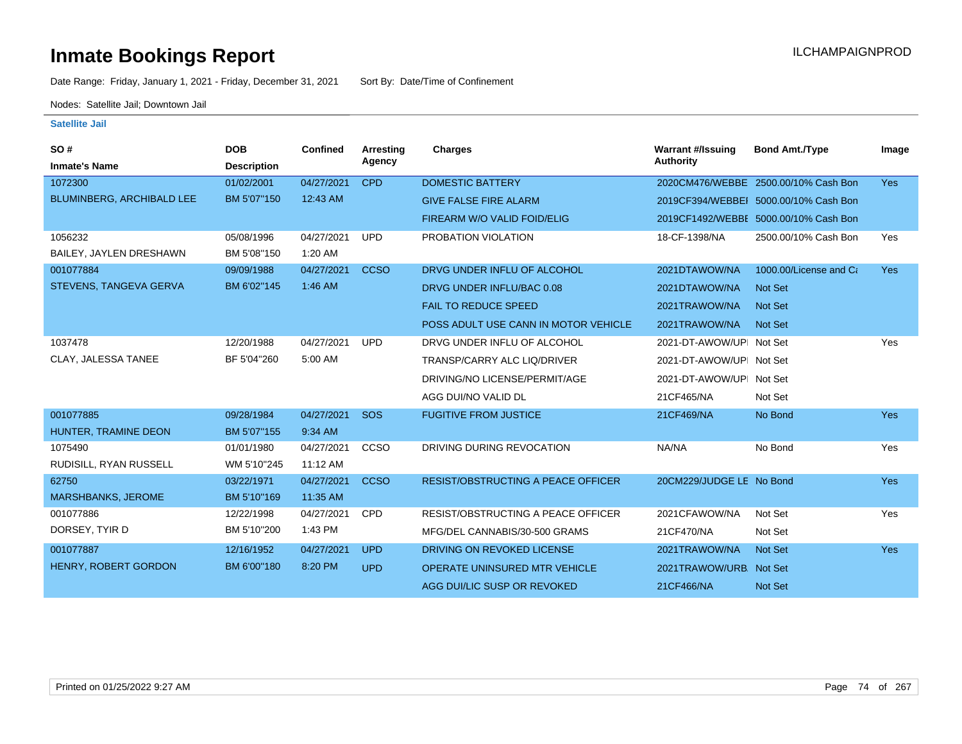Date Range: Friday, January 1, 2021 - Friday, December 31, 2021 Sort By: Date/Time of Confinement

Nodes: Satellite Jail; Downtown Jail

| SO#                       | <b>DOB</b>         | Confined   | Arresting   | <b>Charges</b>                            | <b>Warrant #/Issuing</b> | <b>Bond Amt./Type</b>                 | Image      |
|---------------------------|--------------------|------------|-------------|-------------------------------------------|--------------------------|---------------------------------------|------------|
| <b>Inmate's Name</b>      | <b>Description</b> |            | Agency      |                                           | Authority                |                                       |            |
| 1072300                   | 01/02/2001         | 04/27/2021 | <b>CPD</b>  | <b>DOMESTIC BATTERY</b>                   |                          | 2020CM476/WEBBE 2500.00/10% Cash Bon  | <b>Yes</b> |
| BLUMINBERG, ARCHIBALD LEE | BM 5'07"150        | 12:43 AM   |             | <b>GIVE FALSE FIRE ALARM</b>              |                          | 2019CF394/WEBBEI 5000.00/10% Cash Bon |            |
|                           |                    |            |             | FIREARM W/O VALID FOID/ELIG               |                          | 2019CF1492/WEBBE 5000.00/10% Cash Bon |            |
| 1056232                   | 05/08/1996         | 04/27/2021 | <b>UPD</b>  | PROBATION VIOLATION                       | 18-CF-1398/NA            | 2500.00/10% Cash Bon                  | Yes        |
| BAILEY, JAYLEN DRESHAWN   | BM 5'08"150        | 1:20 AM    |             |                                           |                          |                                       |            |
| 001077884                 | 09/09/1988         | 04/27/2021 | <b>CCSO</b> | DRVG UNDER INFLU OF ALCOHOL               | 2021DTAWOW/NA            | 1000.00/License and Ca                | <b>Yes</b> |
| STEVENS, TANGEVA GERVA    | BM 6'02"145        | 1:46 AM    |             | DRVG UNDER INFLU/BAC 0.08                 | 2021DTAWOW/NA            | Not Set                               |            |
|                           |                    |            |             | <b>FAIL TO REDUCE SPEED</b>               | 2021TRAWOW/NA            | Not Set                               |            |
|                           |                    |            |             | POSS ADULT USE CANN IN MOTOR VEHICLE      | 2021TRAWOW/NA            | Not Set                               |            |
| 1037478                   | 12/20/1988         | 04/27/2021 | <b>UPD</b>  | DRVG UNDER INFLU OF ALCOHOL               | 2021-DT-AWOW/UPI Not Set |                                       | Yes        |
| CLAY, JALESSA TANEE       | BF 5'04"260        | 5:00 AM    |             | TRANSP/CARRY ALC LIQ/DRIVER               | 2021-DT-AWOW/UPI Not Set |                                       |            |
|                           |                    |            |             | DRIVING/NO LICENSE/PERMIT/AGE             | 2021-DT-AWOW/UPI Not Set |                                       |            |
|                           |                    |            |             | AGG DUI/NO VALID DL                       | 21CF465/NA               | Not Set                               |            |
| 001077885                 | 09/28/1984         | 04/27/2021 | SOS         | <b>FUGITIVE FROM JUSTICE</b>              | 21CF469/NA               | No Bond                               | <b>Yes</b> |
| HUNTER, TRAMINE DEON      | BM 5'07"155        | 9:34 AM    |             |                                           |                          |                                       |            |
| 1075490                   | 01/01/1980         | 04/27/2021 | CCSO        | DRIVING DURING REVOCATION                 | NA/NA                    | No Bond                               | Yes        |
| RUDISILL, RYAN RUSSELL    | WM 5'10"245        | 11:12 AM   |             |                                           |                          |                                       |            |
| 62750                     | 03/22/1971         | 04/27/2021 | <b>CCSO</b> | <b>RESIST/OBSTRUCTING A PEACE OFFICER</b> | 20CM229/JUDGE LE No Bond |                                       | <b>Yes</b> |
| <b>MARSHBANKS, JEROME</b> | BM 5'10"169        | 11:35 AM   |             |                                           |                          |                                       |            |
| 001077886                 | 12/22/1998         | 04/27/2021 | <b>CPD</b>  | <b>RESIST/OBSTRUCTING A PEACE OFFICER</b> | 2021CFAWOW/NA            | Not Set                               | Yes        |
| DORSEY, TYIR D            | BM 5'10"200        | 1:43 PM    |             | MFG/DEL CANNABIS/30-500 GRAMS             | 21CF470/NA               | Not Set                               |            |
| 001077887                 | 12/16/1952         | 04/27/2021 | <b>UPD</b>  | DRIVING ON REVOKED LICENSE                | 2021TRAWOW/NA            | Not Set                               | <b>Yes</b> |
| HENRY, ROBERT GORDON      | BM 6'00"180        | 8:20 PM    | <b>UPD</b>  | <b>OPERATE UNINSURED MTR VEHICLE</b>      | 2021TRAWOW/URB. Not Set  |                                       |            |
|                           |                    |            |             | AGG DUI/LIC SUSP OR REVOKED               | 21CF466/NA               | Not Set                               |            |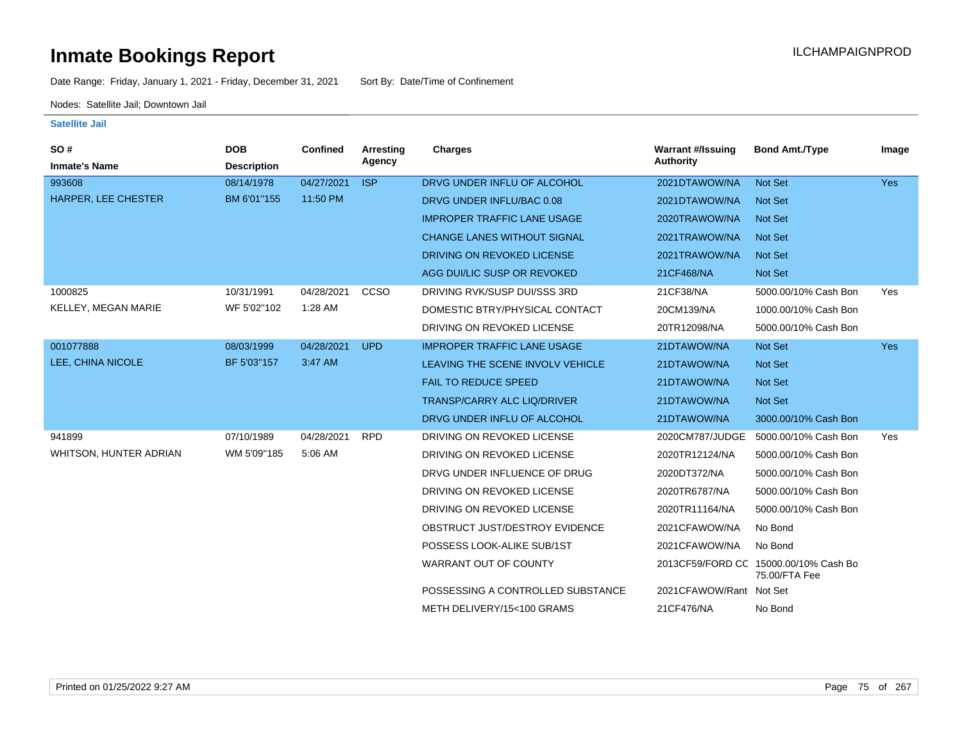Date Range: Friday, January 1, 2021 - Friday, December 31, 2021 Sort By: Date/Time of Confinement

Nodes: Satellite Jail; Downtown Jail

| <b>SO#</b><br><b>Inmate's Name</b> | <b>DOB</b><br><b>Description</b> | Confined   | Arresting<br>Agency | <b>Charges</b>                     | <b>Warrant #/Issuing</b><br>Authority | <b>Bond Amt./Type</b>                                  | Image      |
|------------------------------------|----------------------------------|------------|---------------------|------------------------------------|---------------------------------------|--------------------------------------------------------|------------|
| 993608                             | 08/14/1978                       | 04/27/2021 | <b>ISP</b>          | DRVG UNDER INFLU OF ALCOHOL        | 2021DTAWOW/NA                         | Not Set                                                | Yes        |
| <b>HARPER, LEE CHESTER</b>         | BM 6'01"155                      | 11:50 PM   |                     | DRVG UNDER INFLU/BAC 0.08          | 2021DTAWOW/NA                         | <b>Not Set</b>                                         |            |
|                                    |                                  |            |                     | <b>IMPROPER TRAFFIC LANE USAGE</b> | 2020TRAWOW/NA                         | <b>Not Set</b>                                         |            |
|                                    |                                  |            |                     | <b>CHANGE LANES WITHOUT SIGNAL</b> | 2021TRAWOW/NA                         | <b>Not Set</b>                                         |            |
|                                    |                                  |            |                     | DRIVING ON REVOKED LICENSE         | 2021TRAWOW/NA                         | <b>Not Set</b>                                         |            |
|                                    |                                  |            |                     | AGG DUI/LIC SUSP OR REVOKED        | 21CF468/NA                            | Not Set                                                |            |
| 1000825                            | 10/31/1991                       | 04/28/2021 | CCSO                | DRIVING RVK/SUSP DUI/SSS 3RD       | 21CF38/NA                             | 5000.00/10% Cash Bon                                   | Yes        |
| KELLEY, MEGAN MARIE                | WF 5'02"102                      | 1:28 AM    |                     | DOMESTIC BTRY/PHYSICAL CONTACT     | 20CM139/NA                            | 1000.00/10% Cash Bon                                   |            |
|                                    |                                  |            |                     | DRIVING ON REVOKED LICENSE         | 20TR12098/NA                          | 5000.00/10% Cash Bon                                   |            |
| 001077888                          | 08/03/1999                       | 04/28/2021 | <b>UPD</b>          | <b>IMPROPER TRAFFIC LANE USAGE</b> | 21DTAWOW/NA                           | Not Set                                                | <b>Yes</b> |
| LEE, CHINA NICOLE                  | BF 5'03"157                      | 3:47 AM    |                     | LEAVING THE SCENE INVOLV VEHICLE   | 21DTAWOW/NA                           | <b>Not Set</b>                                         |            |
|                                    |                                  |            |                     | <b>FAIL TO REDUCE SPEED</b>        | 21DTAWOW/NA                           | <b>Not Set</b>                                         |            |
|                                    |                                  |            |                     | <b>TRANSP/CARRY ALC LIQ/DRIVER</b> | 21DTAWOW/NA                           | Not Set                                                |            |
|                                    |                                  |            |                     | DRVG UNDER INFLU OF ALCOHOL        | 21DTAWOW/NA                           | 3000.00/10% Cash Bon                                   |            |
| 941899                             | 07/10/1989                       | 04/28/2021 | <b>RPD</b>          | DRIVING ON REVOKED LICENSE         | 2020CM787/JUDGE                       | 5000.00/10% Cash Bon                                   | Yes        |
| <b>WHITSON, HUNTER ADRIAN</b>      | WM 5'09"185                      | 5:06 AM    |                     | DRIVING ON REVOKED LICENSE         | 2020TR12124/NA                        | 5000.00/10% Cash Bon                                   |            |
|                                    |                                  |            |                     | DRVG UNDER INFLUENCE OF DRUG       | 2020DT372/NA                          | 5000.00/10% Cash Bon                                   |            |
|                                    |                                  |            |                     | DRIVING ON REVOKED LICENSE         | 2020TR6787/NA                         | 5000.00/10% Cash Bon                                   |            |
|                                    |                                  |            |                     | DRIVING ON REVOKED LICENSE         | 2020TR11164/NA                        | 5000.00/10% Cash Bon                                   |            |
|                                    |                                  |            |                     | OBSTRUCT JUST/DESTROY EVIDENCE     | 2021CFAWOW/NA                         | No Bond                                                |            |
|                                    |                                  |            |                     | POSSESS LOOK-ALIKE SUB/1ST         | 2021CFAWOW/NA                         | No Bond                                                |            |
|                                    |                                  |            |                     | WARRANT OUT OF COUNTY              |                                       | 2013CF59/FORD CC 15000.00/10% Cash Bo<br>75.00/FTA Fee |            |
|                                    |                                  |            |                     | POSSESSING A CONTROLLED SUBSTANCE  | 2021CFAWOW/Rant Not Set               |                                                        |            |
|                                    |                                  |            |                     | METH DELIVERY/15<100 GRAMS         | 21CF476/NA                            | No Bond                                                |            |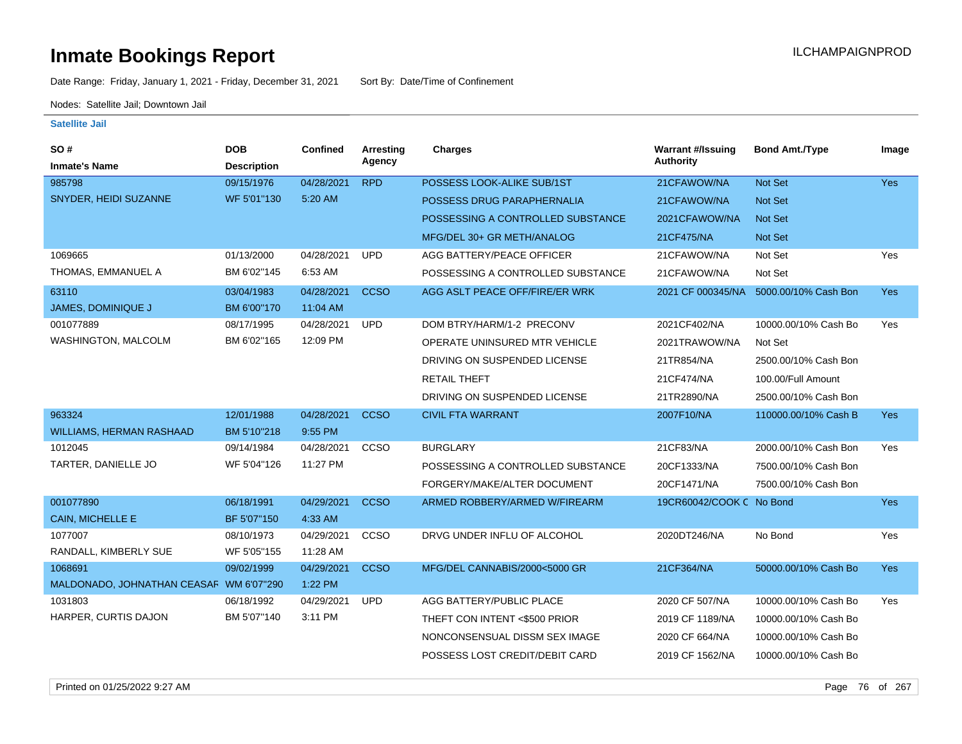Date Range: Friday, January 1, 2021 - Friday, December 31, 2021 Sort By: Date/Time of Confinement

Nodes: Satellite Jail; Downtown Jail

| SO#                                     | <b>DOB</b>         | Confined   | Arresting   | <b>Charges</b>                    | <b>Warrant #/Issuing</b> | <b>Bond Amt./Type</b> | Image      |
|-----------------------------------------|--------------------|------------|-------------|-----------------------------------|--------------------------|-----------------------|------------|
| <b>Inmate's Name</b>                    | <b>Description</b> |            | Agency      |                                   | <b>Authority</b>         |                       |            |
| 985798                                  | 09/15/1976         | 04/28/2021 | <b>RPD</b>  | POSSESS LOOK-ALIKE SUB/1ST        | 21CFAWOW/NA              | Not Set               | Yes        |
| SNYDER, HEIDI SUZANNE                   | WF 5'01"130        | 5:20 AM    |             | POSSESS DRUG PARAPHERNALIA        | 21CFAWOW/NA              | Not Set               |            |
|                                         |                    |            |             | POSSESSING A CONTROLLED SUBSTANCE | 2021CFAWOW/NA            | Not Set               |            |
|                                         |                    |            |             | MFG/DEL 30+ GR METH/ANALOG        | 21CF475/NA               | Not Set               |            |
| 1069665                                 | 01/13/2000         | 04/28/2021 | <b>UPD</b>  | AGG BATTERY/PEACE OFFICER         | 21CFAWOW/NA              | Not Set               | Yes        |
| THOMAS, EMMANUEL A                      | BM 6'02"145        | 6:53 AM    |             | POSSESSING A CONTROLLED SUBSTANCE | 21CFAWOW/NA              | Not Set               |            |
| 63110                                   | 03/04/1983         | 04/28/2021 | <b>CCSO</b> | AGG ASLT PEACE OFF/FIRE/ER WRK    | 2021 CF 000345/NA        | 5000.00/10% Cash Bon  | Yes        |
| <b>JAMES, DOMINIQUE J</b>               | BM 6'00"170        | 11:04 AM   |             |                                   |                          |                       |            |
| 001077889                               | 08/17/1995         | 04/28/2021 | <b>UPD</b>  | DOM BTRY/HARM/1-2 PRECONV         | 2021CF402/NA             | 10000.00/10% Cash Bo  | Yes        |
| WASHINGTON, MALCOLM                     | BM 6'02"165        | 12:09 PM   |             | OPERATE UNINSURED MTR VEHICLE     | 2021TRAWOW/NA            | Not Set               |            |
|                                         |                    |            |             | DRIVING ON SUSPENDED LICENSE      | 21TR854/NA               | 2500.00/10% Cash Bon  |            |
|                                         |                    |            |             | <b>RETAIL THEFT</b>               | 21CF474/NA               | 100.00/Full Amount    |            |
|                                         |                    |            |             | DRIVING ON SUSPENDED LICENSE      | 21TR2890/NA              | 2500.00/10% Cash Bon  |            |
| 963324                                  | 12/01/1988         | 04/28/2021 | <b>CCSO</b> | <b>CIVIL FTA WARRANT</b>          | 2007F10/NA               | 110000.00/10% Cash B  | <b>Yes</b> |
| <b>WILLIAMS, HERMAN RASHAAD</b>         | BM 5'10"218        | 9:55 PM    |             |                                   |                          |                       |            |
| 1012045                                 | 09/14/1984         | 04/28/2021 | CCSO        | <b>BURGLARY</b>                   | 21CF83/NA                | 2000.00/10% Cash Bon  | Yes        |
| TARTER, DANIELLE JO                     | WF 5'04"126        | 11:27 PM   |             | POSSESSING A CONTROLLED SUBSTANCE | 20CF1333/NA              | 7500.00/10% Cash Bon  |            |
|                                         |                    |            |             | FORGERY/MAKE/ALTER DOCUMENT       | 20CF1471/NA              | 7500.00/10% Cash Bon  |            |
| 001077890                               | 06/18/1991         | 04/29/2021 | <b>CCSO</b> | ARMED ROBBERY/ARMED W/FIREARM     | 19CR60042/COOK C No Bond |                       | Yes        |
| <b>CAIN, MICHELLE E</b>                 | BF 5'07"150        | 4:33 AM    |             |                                   |                          |                       |            |
| 1077007                                 | 08/10/1973         | 04/29/2021 | CCSO        | DRVG UNDER INFLU OF ALCOHOL       | 2020DT246/NA             | No Bond               | Yes        |
| RANDALL, KIMBERLY SUE                   | WF 5'05"155        | 11:28 AM   |             |                                   |                          |                       |            |
| 1068691                                 | 09/02/1999         | 04/29/2021 | <b>CCSO</b> | MFG/DEL CANNABIS/2000<5000 GR     | 21CF364/NA               | 50000.00/10% Cash Bo  | <b>Yes</b> |
| MALDONADO, JOHNATHAN CEASAF WM 6'07"290 |                    | 1:22 PM    |             |                                   |                          |                       |            |
| 1031803                                 | 06/18/1992         | 04/29/2021 | <b>UPD</b>  | AGG BATTERY/PUBLIC PLACE          | 2020 CF 507/NA           | 10000.00/10% Cash Bo  | Yes        |
| HARPER, CURTIS DAJON                    | BM 5'07"140        | 3:11 PM    |             | THEFT CON INTENT <\$500 PRIOR     | 2019 CF 1189/NA          | 10000.00/10% Cash Bo  |            |
|                                         |                    |            |             | NONCONSENSUAL DISSM SEX IMAGE     | 2020 CF 664/NA           | 10000.00/10% Cash Bo  |            |
|                                         |                    |            |             | POSSESS LOST CREDIT/DEBIT CARD    | 2019 CF 1562/NA          | 10000.00/10% Cash Bo  |            |
|                                         |                    |            |             |                                   |                          |                       |            |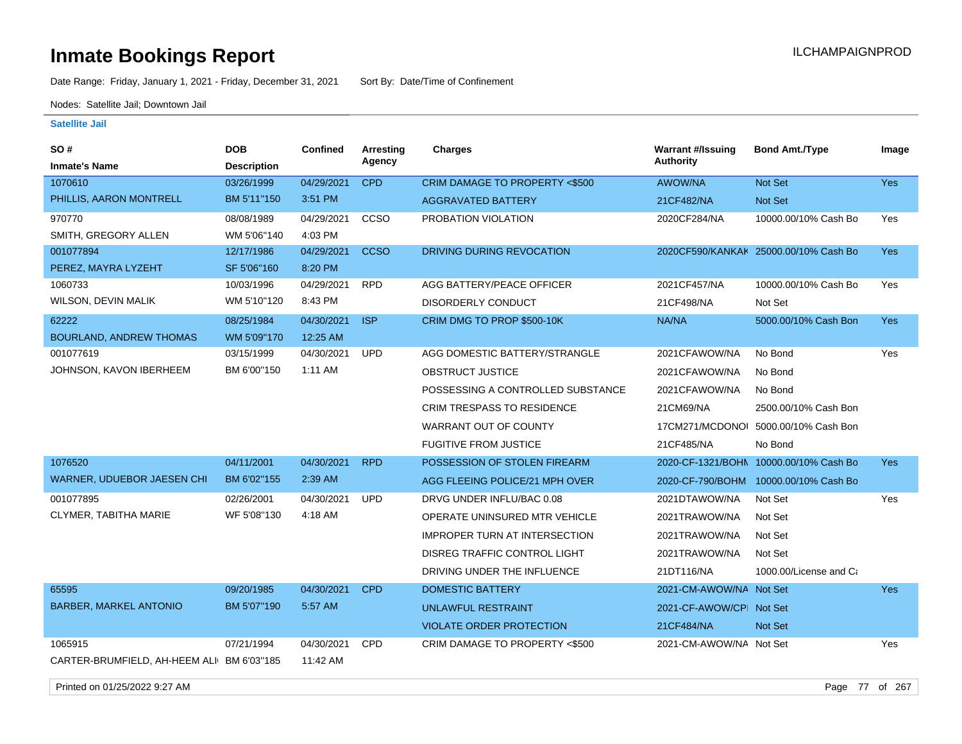Date Range: Friday, January 1, 2021 - Friday, December 31, 2021 Sort By: Date/Time of Confinement

Nodes: Satellite Jail; Downtown Jail

#### **Satellite Jail**

| <b>SO#</b>                                | <b>DOB</b>         | Confined   | <b>Arresting</b> | <b>Charges</b>                       | <b>Warrant #/Issuing</b> | <b>Bond Amt./Type</b>                 | Image      |
|-------------------------------------------|--------------------|------------|------------------|--------------------------------------|--------------------------|---------------------------------------|------------|
| <b>Inmate's Name</b>                      | <b>Description</b> |            | Agency           |                                      | <b>Authority</b>         |                                       |            |
| 1070610                                   | 03/26/1999         | 04/29/2021 | <b>CPD</b>       | CRIM DAMAGE TO PROPERTY <\$500       | AWOW/NA                  | Not Set                               | Yes        |
| PHILLIS, AARON MONTRELL                   | BM 5'11"150        | 3:51 PM    |                  | <b>AGGRAVATED BATTERY</b>            | 21CF482/NA               | Not Set                               |            |
| 970770                                    | 08/08/1989         | 04/29/2021 | ccso             | PROBATION VIOLATION                  | 2020CF284/NA             | 10000.00/10% Cash Bo                  | Yes        |
| SMITH, GREGORY ALLEN                      | WM 5'06"140        | 4:03 PM    |                  |                                      |                          |                                       |            |
| 001077894                                 | 12/17/1986         | 04/29/2021 | <b>CCSO</b>      | DRIVING DURING REVOCATION            |                          | 2020CF590/KANKAK 25000.00/10% Cash Bo | <b>Yes</b> |
| PEREZ, MAYRA LYZEHT                       | SF 5'06"160        | 8:20 PM    |                  |                                      |                          |                                       |            |
| 1060733                                   | 10/03/1996         | 04/29/2021 | RPD              | AGG BATTERY/PEACE OFFICER            | 2021CF457/NA             | 10000.00/10% Cash Bo                  | Yes        |
| WILSON, DEVIN MALIK                       | WM 5'10"120        | 8:43 PM    |                  | <b>DISORDERLY CONDUCT</b>            | 21CF498/NA               | Not Set                               |            |
| 62222                                     | 08/25/1984         | 04/30/2021 | <b>ISP</b>       | CRIM DMG TO PROP \$500-10K           | NA/NA                    | 5000.00/10% Cash Bon                  | <b>Yes</b> |
| BOURLAND, ANDREW THOMAS                   | WM 5'09"170        | 12:25 AM   |                  |                                      |                          |                                       |            |
| 001077619                                 | 03/15/1999         | 04/30/2021 | <b>UPD</b>       | AGG DOMESTIC BATTERY/STRANGLE        | 2021CFAWOW/NA            | No Bond                               | Yes        |
| JOHNSON, KAVON IBERHEEM                   | BM 6'00"150        | 1:11 AM    |                  | <b>OBSTRUCT JUSTICE</b>              | 2021CFAWOW/NA            | No Bond                               |            |
|                                           |                    |            |                  | POSSESSING A CONTROLLED SUBSTANCE    | 2021CFAWOW/NA            | No Bond                               |            |
|                                           |                    |            |                  | <b>CRIM TRESPASS TO RESIDENCE</b>    | 21CM69/NA                | 2500.00/10% Cash Bon                  |            |
|                                           |                    |            |                  | <b>WARRANT OUT OF COUNTY</b>         | 17CM271/MCDONOL          | 5000.00/10% Cash Bon                  |            |
|                                           |                    |            |                  | <b>FUGITIVE FROM JUSTICE</b>         | 21CF485/NA               | No Bond                               |            |
| 1076520                                   | 04/11/2001         | 04/30/2021 | <b>RPD</b>       | POSSESSION OF STOLEN FIREARM         | 2020-CF-1321/BOHN        | 10000.00/10% Cash Bo                  | <b>Yes</b> |
| WARNER, UDUEBOR JAESEN CHI                | BM 6'02"155        | 2:39 AM    |                  | AGG FLEEING POLICE/21 MPH OVER       | 2020-CF-790/BOHM         | 10000.00/10% Cash Bo                  |            |
| 001077895                                 | 02/26/2001         | 04/30/2021 | <b>UPD</b>       | DRVG UNDER INFLU/BAC 0.08            | 2021DTAWOW/NA            | Not Set                               | Yes        |
| CLYMER, TABITHA MARIE                     | WF 5'08"130        | 4:18 AM    |                  | OPERATE UNINSURED MTR VEHICLE        | 2021TRAWOW/NA            | Not Set                               |            |
|                                           |                    |            |                  | <b>IMPROPER TURN AT INTERSECTION</b> | 2021TRAWOW/NA            | Not Set                               |            |
|                                           |                    |            |                  | DISREG TRAFFIC CONTROL LIGHT         | 2021TRAWOW/NA            | Not Set                               |            |
|                                           |                    |            |                  | DRIVING UNDER THE INFLUENCE          | 21DT116/NA               | 1000.00/License and Ca                |            |
| 65595                                     | 09/20/1985         | 04/30/2021 | <b>CPD</b>       | <b>DOMESTIC BATTERY</b>              | 2021-CM-AWOW/NA Not Set  |                                       | Yes        |
| <b>BARBER, MARKEL ANTONIO</b>             | BM 5'07"190        | 5:57 AM    |                  | <b>UNLAWFUL RESTRAINT</b>            | 2021-CF-AWOW/CPI Not Set |                                       |            |
|                                           |                    |            |                  | <b>VIOLATE ORDER PROTECTION</b>      | 21CF484/NA               | Not Set                               |            |
| 1065915                                   | 07/21/1994         | 04/30/2021 | <b>CPD</b>       | CRIM DAMAGE TO PROPERTY <\$500       | 2021-CM-AWOW/NA Not Set  |                                       | Yes        |
| CARTER-BRUMFIELD, AH-HEEM ALI BM 6'03"185 |                    | 11:42 AM   |                  |                                      |                          |                                       |            |

Printed on 01/25/2022 9:27 AM Page 77 of 267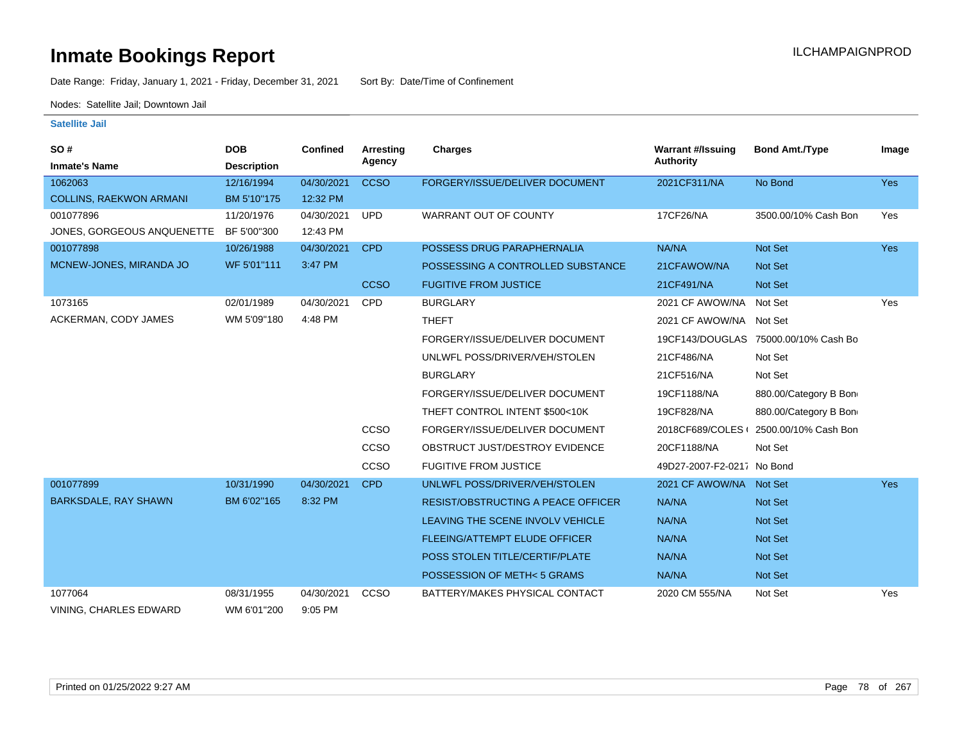Date Range: Friday, January 1, 2021 - Friday, December 31, 2021 Sort By: Date/Time of Confinement

Nodes: Satellite Jail; Downtown Jail

| SO#                            | <b>DOB</b>         | <b>Confined</b> | <b>Arresting</b> | <b>Charges</b>                            | <b>Warrant #/Issuing</b>   | <b>Bond Amt./Type</b>                | Image      |
|--------------------------------|--------------------|-----------------|------------------|-------------------------------------------|----------------------------|--------------------------------------|------------|
| <b>Inmate's Name</b>           | <b>Description</b> |                 | Agency           |                                           | Authority                  |                                      |            |
| 1062063                        | 12/16/1994         | 04/30/2021      | <b>CCSO</b>      | FORGERY/ISSUE/DELIVER DOCUMENT            | 2021CF311/NA               | No Bond                              | <b>Yes</b> |
| <b>COLLINS, RAEKWON ARMANI</b> | BM 5'10"175        | 12:32 PM        |                  |                                           |                            |                                      |            |
| 001077896                      | 11/20/1976         | 04/30/2021      | <b>UPD</b>       | <b>WARRANT OUT OF COUNTY</b>              | 17CF26/NA                  | 3500.00/10% Cash Bon                 | Yes        |
| JONES, GORGEOUS ANQUENETTE     | BF 5'00"300        | 12:43 PM        |                  |                                           |                            |                                      |            |
| 001077898                      | 10/26/1988         | 04/30/2021      | <b>CPD</b>       | POSSESS DRUG PARAPHERNALIA                | NA/NA                      | Not Set                              | <b>Yes</b> |
| MCNEW-JONES, MIRANDA JO        | WF 5'01"111        | 3:47 PM         |                  | POSSESSING A CONTROLLED SUBSTANCE         | 21CFAWOW/NA                | Not Set                              |            |
|                                |                    |                 | <b>CCSO</b>      | <b>FUGITIVE FROM JUSTICE</b>              | 21CF491/NA                 | Not Set                              |            |
| 1073165                        | 02/01/1989         | 04/30/2021      | <b>CPD</b>       | <b>BURGLARY</b>                           | 2021 CF AWOW/NA            | Not Set                              | Yes        |
| ACKERMAN, CODY JAMES           | WM 5'09"180        | 4:48 PM         |                  | <b>THEFT</b>                              | 2021 CF AWOW/NA Not Set    |                                      |            |
|                                |                    |                 |                  | FORGERY/ISSUE/DELIVER DOCUMENT            |                            | 19CF143/DOUGLAS 75000.00/10% Cash Bo |            |
|                                |                    |                 |                  | UNLWFL POSS/DRIVER/VEH/STOLEN             | 21CF486/NA                 | Not Set                              |            |
|                                |                    |                 |                  | <b>BURGLARY</b>                           | 21CF516/NA                 | Not Set                              |            |
|                                |                    |                 |                  | FORGERY/ISSUE/DELIVER DOCUMENT            | 19CF1188/NA                | 880.00/Category B Bon                |            |
|                                |                    |                 |                  | THEFT CONTROL INTENT \$500<10K            | 19CF828/NA                 | 880.00/Category B Bon                |            |
|                                |                    |                 | CCSO             | FORGERY/ISSUE/DELIVER DOCUMENT            | 2018CF689/COLES            | 2500.00/10% Cash Bon                 |            |
|                                |                    |                 | CCSO             | OBSTRUCT JUST/DESTROY EVIDENCE            | 20CF1188/NA                | Not Set                              |            |
|                                |                    |                 | CCSO             | <b>FUGITIVE FROM JUSTICE</b>              | 49D27-2007-F2-0217 No Bond |                                      |            |
| 001077899                      | 10/31/1990         | 04/30/2021      | <b>CPD</b>       | UNLWFL POSS/DRIVER/VEH/STOLEN             | 2021 CF AWOW/NA Not Set    |                                      | <b>Yes</b> |
| <b>BARKSDALE, RAY SHAWN</b>    | BM 6'02"165        | 8:32 PM         |                  | <b>RESIST/OBSTRUCTING A PEACE OFFICER</b> | NA/NA                      | <b>Not Set</b>                       |            |
|                                |                    |                 |                  | LEAVING THE SCENE INVOLV VEHICLE          | NA/NA                      | Not Set                              |            |
|                                |                    |                 |                  | <b>FLEEING/ATTEMPT ELUDE OFFICER</b>      | NA/NA                      | Not Set                              |            |
|                                |                    |                 |                  | POSS STOLEN TITLE/CERTIF/PLATE            | NA/NA                      | Not Set                              |            |
|                                |                    |                 |                  | POSSESSION OF METH<5 GRAMS                | NA/NA                      | Not Set                              |            |
| 1077064                        | 08/31/1955         | 04/30/2021      | CCSO             | BATTERY/MAKES PHYSICAL CONTACT            | 2020 CM 555/NA             | Not Set                              | Yes        |
| VINING, CHARLES EDWARD         | WM 6'01"200        | 9:05 PM         |                  |                                           |                            |                                      |            |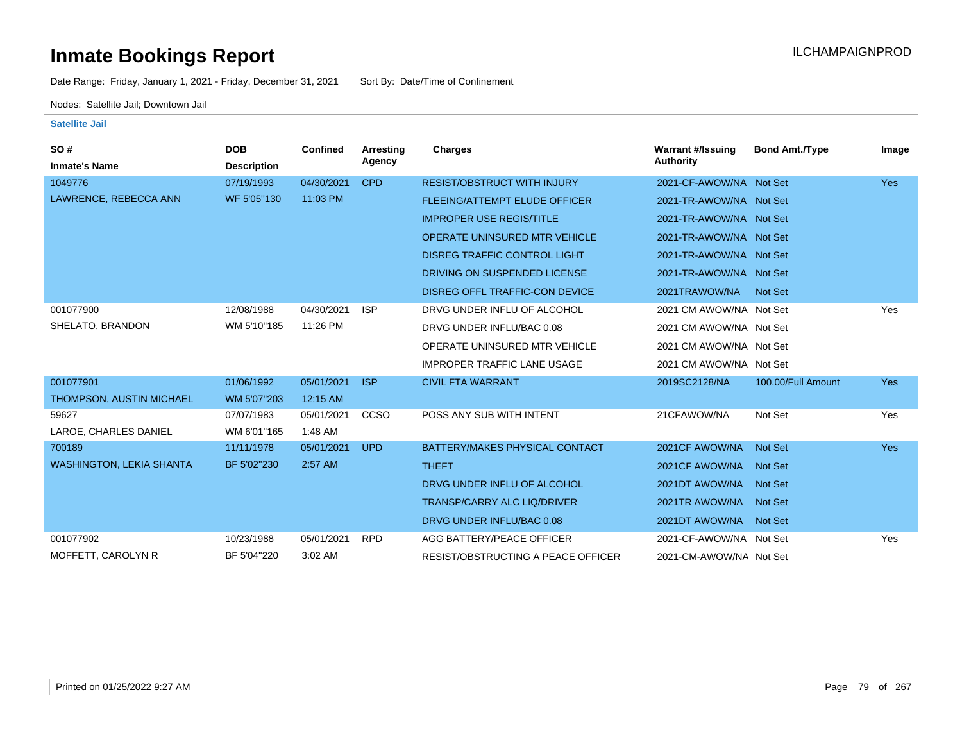Date Range: Friday, January 1, 2021 - Friday, December 31, 2021 Sort By: Date/Time of Confinement

Nodes: Satellite Jail; Downtown Jail

| SO#                             | <b>DOB</b>         | <b>Confined</b> | Arresting   | Charges                                   | <b>Warrant #/Issuing</b> | <b>Bond Amt./Type</b> | Image      |
|---------------------------------|--------------------|-----------------|-------------|-------------------------------------------|--------------------------|-----------------------|------------|
| <b>Inmate's Name</b>            | <b>Description</b> |                 | Agency      |                                           | <b>Authority</b>         |                       |            |
| 1049776                         | 07/19/1993         | 04/30/2021      | <b>CPD</b>  | <b>RESIST/OBSTRUCT WITH INJURY</b>        | 2021-CF-AWOW/NA Not Set  |                       | <b>Yes</b> |
| LAWRENCE, REBECCA ANN           | WF 5'05"130        | 11:03 PM        |             | <b>FLEEING/ATTEMPT ELUDE OFFICER</b>      | 2021-TR-AWOW/NA Not Set  |                       |            |
|                                 |                    |                 |             | <b>IMPROPER USE REGIS/TITLE</b>           | 2021-TR-AWOW/NA Not Set  |                       |            |
|                                 |                    |                 |             | OPERATE UNINSURED MTR VEHICLE             | 2021-TR-AWOW/NA Not Set  |                       |            |
|                                 |                    |                 |             | <b>DISREG TRAFFIC CONTROL LIGHT</b>       | 2021-TR-AWOW/NA Not Set  |                       |            |
|                                 |                    |                 |             | DRIVING ON SUSPENDED LICENSE              | 2021-TR-AWOW/NA Not Set  |                       |            |
|                                 |                    |                 |             | DISREG OFFL TRAFFIC-CON DEVICE            | 2021TRAWOW/NA            | Not Set               |            |
| 001077900                       | 12/08/1988         | 04/30/2021      | <b>ISP</b>  | DRVG UNDER INFLU OF ALCOHOL               | 2021 CM AWOW/NA Not Set  |                       | Yes        |
| SHELATO, BRANDON                | WM 5'10"185        | 11:26 PM        |             | DRVG UNDER INFLU/BAC 0.08                 | 2021 CM AWOW/NA Not Set  |                       |            |
|                                 |                    |                 |             | OPERATE UNINSURED MTR VEHICLE             | 2021 CM AWOW/NA Not Set  |                       |            |
|                                 |                    |                 |             | <b>IMPROPER TRAFFIC LANE USAGE</b>        | 2021 CM AWOW/NA Not Set  |                       |            |
| 001077901                       | 01/06/1992         | 05/01/2021      | <b>ISP</b>  | <b>CIVIL FTA WARRANT</b>                  | 2019SC2128/NA            | 100.00/Full Amount    | <b>Yes</b> |
| THOMPSON, AUSTIN MICHAEL        | WM 5'07"203        | 12:15 AM        |             |                                           |                          |                       |            |
| 59627                           | 07/07/1983         | 05/01/2021      | <b>CCSO</b> | POSS ANY SUB WITH INTENT                  | 21CFAWOW/NA              | Not Set               | Yes        |
| LAROE, CHARLES DANIEL           | WM 6'01"165        | 1:48 AM         |             |                                           |                          |                       |            |
| 700189                          | 11/11/1978         | 05/01/2021      | <b>UPD</b>  | BATTERY/MAKES PHYSICAL CONTACT            | 2021 CF AWOW/NA          | <b>Not Set</b>        | <b>Yes</b> |
| <b>WASHINGTON, LEKIA SHANTA</b> | BF 5'02"230        | 2:57 AM         |             | <b>THEFT</b>                              | 2021CF AWOW/NA           | <b>Not Set</b>        |            |
|                                 |                    |                 |             | DRVG UNDER INFLU OF ALCOHOL               | 2021DT AWOW/NA Not Set   |                       |            |
|                                 |                    |                 |             | <b>TRANSP/CARRY ALC LIQ/DRIVER</b>        | 2021TR AWOW/NA Not Set   |                       |            |
|                                 |                    |                 |             | DRVG UNDER INFLU/BAC 0.08                 | 2021DT AWOW/NA Not Set   |                       |            |
| 001077902                       | 10/23/1988         | 05/01/2021      | <b>RPD</b>  | AGG BATTERY/PEACE OFFICER                 | 2021-CF-AWOW/NA Not Set  |                       | Yes        |
| MOFFETT, CAROLYN R              | BF 5'04"220        | 3:02 AM         |             | <b>RESIST/OBSTRUCTING A PEACE OFFICER</b> | 2021-CM-AWOW/NA Not Set  |                       |            |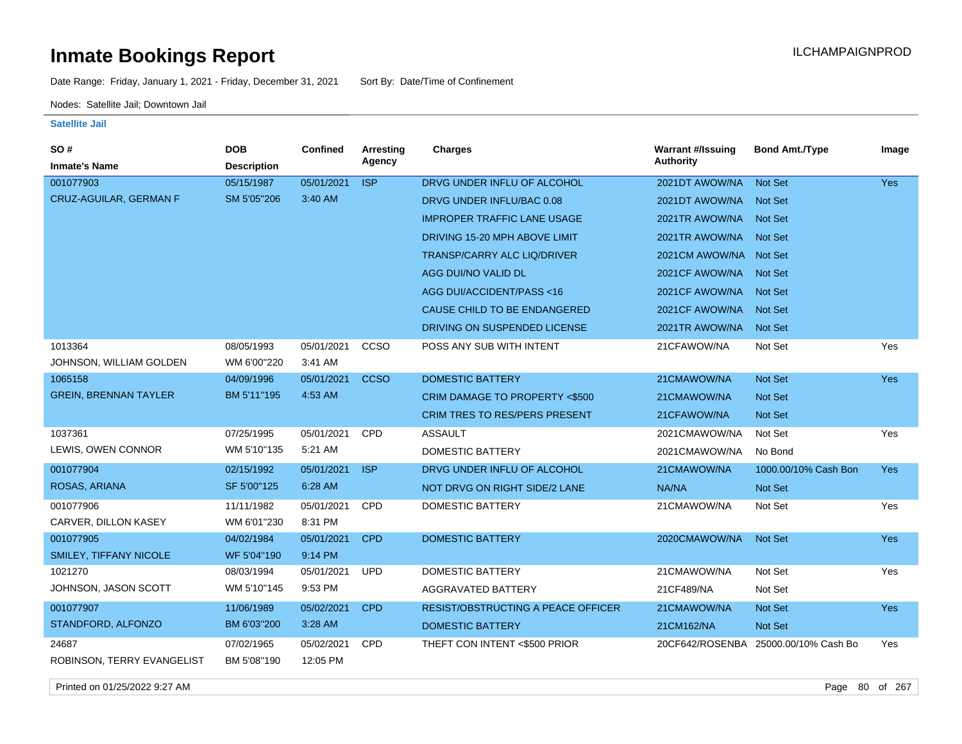Date Range: Friday, January 1, 2021 - Friday, December 31, 2021 Sort By: Date/Time of Confinement

Nodes: Satellite Jail; Downtown Jail

**Satellite Jail**

| SO#                          | <b>DOB</b>         | <b>Confined</b> | Arresting   | <b>Charges</b>                           | <b>Warrant #/Issuing</b> | <b>Bond Amt./Type</b>                | Image      |
|------------------------------|--------------------|-----------------|-------------|------------------------------------------|--------------------------|--------------------------------------|------------|
| <b>Inmate's Name</b>         | <b>Description</b> |                 | Agency      |                                          | <b>Authority</b>         |                                      |            |
| 001077903                    | 05/15/1987         | 05/01/2021      | <b>ISP</b>  | DRVG UNDER INFLU OF ALCOHOL              | 2021DT AWOW/NA           | <b>Not Set</b>                       | <b>Yes</b> |
| CRUZ-AGUILAR, GERMAN F       | SM 5'05"206        | 3:40 AM         |             | DRVG UNDER INFLU/BAC 0.08                | 2021DT AWOW/NA           | <b>Not Set</b>                       |            |
|                              |                    |                 |             | <b>IMPROPER TRAFFIC LANE USAGE</b>       | 2021TR AWOW/NA           | <b>Not Set</b>                       |            |
|                              |                    |                 |             | DRIVING 15-20 MPH ABOVE LIMIT            | 2021TR AWOW/NA           | <b>Not Set</b>                       |            |
|                              |                    |                 |             | TRANSP/CARRY ALC LIQ/DRIVER              | 2021CM AWOW/NA Not Set   |                                      |            |
|                              |                    |                 |             | AGG DUI/NO VALID DL                      | 2021 CF AWOW/NA          | <b>Not Set</b>                       |            |
|                              |                    |                 |             | AGG DUI/ACCIDENT/PASS <16                | 2021CF AWOW/NA           | <b>Not Set</b>                       |            |
|                              |                    |                 |             | CAUSE CHILD TO BE ENDANGERED             | 2021CF AWOW/NA           | <b>Not Set</b>                       |            |
|                              |                    |                 |             | DRIVING ON SUSPENDED LICENSE             | 2021TR AWOW/NA           | <b>Not Set</b>                       |            |
| 1013364                      | 08/05/1993         | 05/01/2021      | ccso        | POSS ANY SUB WITH INTENT                 | 21CFAWOW/NA              | Not Set                              | Yes        |
| JOHNSON, WILLIAM GOLDEN      | WM 6'00"220        | 3:41 AM         |             |                                          |                          |                                      |            |
| 1065158                      | 04/09/1996         | 05/01/2021      | <b>CCSO</b> | <b>DOMESTIC BATTERY</b>                  | 21CMAWOW/NA              | Not Set                              | Yes        |
| <b>GREIN, BRENNAN TAYLER</b> | BM 5'11"195        | 4:53 AM         |             | <b>CRIM DAMAGE TO PROPERTY &lt;\$500</b> | 21CMAWOW/NA              | <b>Not Set</b>                       |            |
|                              |                    |                 |             | <b>CRIM TRES TO RES/PERS PRESENT</b>     | 21CFAWOW/NA              | <b>Not Set</b>                       |            |
| 1037361                      | 07/25/1995         | 05/01/2021      | CPD         | <b>ASSAULT</b>                           | 2021CMAWOW/NA            | Not Set                              | Yes        |
| LEWIS, OWEN CONNOR           | WM 5'10"135        | 5:21 AM         |             | DOMESTIC BATTERY                         | 2021CMAWOW/NA            | No Bond                              |            |
| 001077904                    | 02/15/1992         | 05/01/2021      | <b>ISP</b>  | DRVG UNDER INFLU OF ALCOHOL              | 21CMAWOW/NA              | 1000.00/10% Cash Bon                 | <b>Yes</b> |
| ROSAS, ARIANA                | SF 5'00"125        | 6:28 AM         |             | NOT DRVG ON RIGHT SIDE/2 LANE            | NA/NA                    | <b>Not Set</b>                       |            |
| 001077906                    | 11/11/1982         | 05/01/2021      | CPD         | <b>DOMESTIC BATTERY</b>                  | 21CMAWOW/NA              | Not Set                              | Yes        |
| CARVER, DILLON KASEY         | WM 6'01"230        | 8:31 PM         |             |                                          |                          |                                      |            |
| 001077905                    | 04/02/1984         | 05/01/2021      | <b>CPD</b>  | <b>DOMESTIC BATTERY</b>                  | 2020CMAWOW/NA            | <b>Not Set</b>                       | <b>Yes</b> |
| SMILEY, TIFFANY NICOLE       | WF 5'04"190        | 9:14 PM         |             |                                          |                          |                                      |            |
| 1021270                      | 08/03/1994         | 05/01/2021      | <b>UPD</b>  | <b>DOMESTIC BATTERY</b>                  | 21CMAWOW/NA              | Not Set                              | Yes        |
| JOHNSON, JASON SCOTT         | WM 5'10"145        | 9:53 PM         |             | <b>AGGRAVATED BATTERY</b>                | 21CF489/NA               | Not Set                              |            |
| 001077907                    | 11/06/1989         | 05/02/2021      | <b>CPD</b>  | RESIST/OBSTRUCTING A PEACE OFFICER       | 21CMAWOW/NA              | Not Set                              | <b>Yes</b> |
| STANDFORD, ALFONZO           | BM 6'03"200        | 3:28 AM         |             | <b>DOMESTIC BATTERY</b>                  | 21CM162/NA               | <b>Not Set</b>                       |            |
| 24687                        | 07/02/1965         | 05/02/2021      | CPD         | THEFT CON INTENT <\$500 PRIOR            |                          | 20CF642/ROSENBA 25000.00/10% Cash Bo | Yes        |
| ROBINSON, TERRY EVANGELIST   | BM 5'08"190        | 12:05 PM        |             |                                          |                          |                                      |            |

Printed on 01/25/2022 9:27 AM Page 80 of 267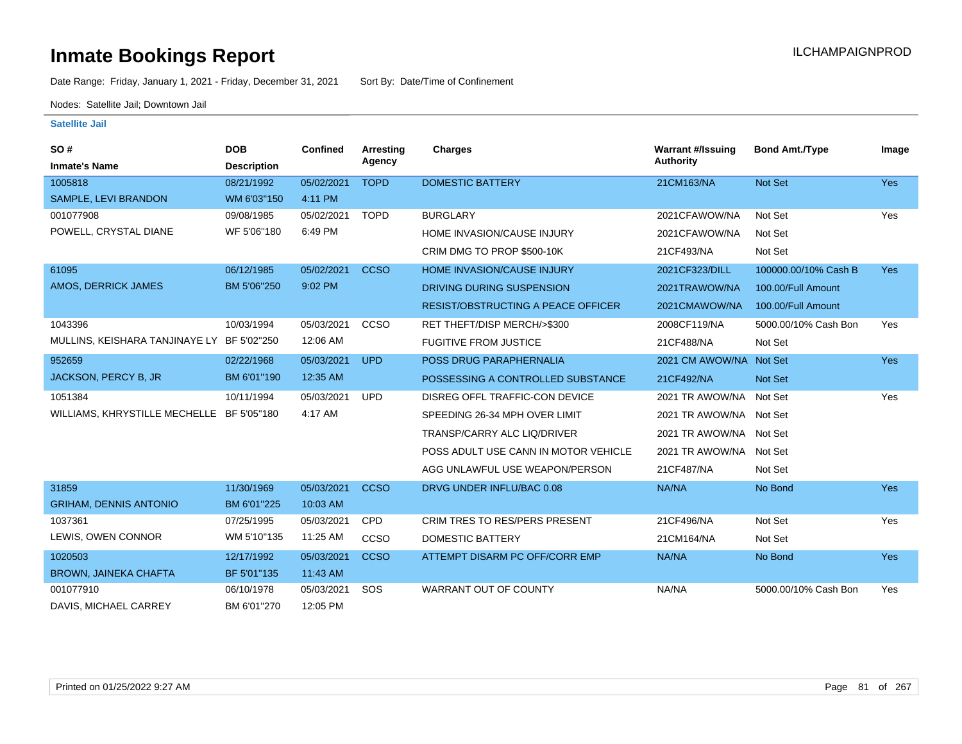Date Range: Friday, January 1, 2021 - Friday, December 31, 2021 Sort By: Date/Time of Confinement

Nodes: Satellite Jail; Downtown Jail

| SO#<br><b>Inmate's Name</b>                | <b>DOB</b>         | Confined   | <b>Arresting</b><br>Agency | Charges                                   | <b>Warrant #/Issuing</b><br>Authority | <b>Bond Amt./Type</b> | Image      |
|--------------------------------------------|--------------------|------------|----------------------------|-------------------------------------------|---------------------------------------|-----------------------|------------|
|                                            | <b>Description</b> |            |                            |                                           |                                       |                       |            |
| 1005818                                    | 08/21/1992         | 05/02/2021 | <b>TOPD</b>                | <b>DOMESTIC BATTERY</b>                   | 21CM163/NA                            | Not Set               | Yes        |
| SAMPLE, LEVI BRANDON                       | WM 6'03"150        | 4:11 PM    |                            |                                           |                                       |                       |            |
| 001077908                                  | 09/08/1985         | 05/02/2021 | <b>TOPD</b>                | <b>BURGLARY</b>                           | 2021CFAWOW/NA                         | Not Set               | Yes        |
| POWELL, CRYSTAL DIANE                      | WF 5'06"180        | 6:49 PM    |                            | HOME INVASION/CAUSE INJURY                | 2021CFAWOW/NA                         | Not Set               |            |
|                                            |                    |            |                            | CRIM DMG TO PROP \$500-10K                | 21CF493/NA                            | Not Set               |            |
| 61095                                      | 06/12/1985         | 05/02/2021 | <b>CCSO</b>                | <b>HOME INVASION/CAUSE INJURY</b>         | 2021CF323/DILL                        | 100000.00/10% Cash B  | <b>Yes</b> |
| AMOS, DERRICK JAMES                        | BM 5'06"250        | 9:02 PM    |                            | DRIVING DURING SUSPENSION                 | 2021TRAWOW/NA                         | 100.00/Full Amount    |            |
|                                            |                    |            |                            | <b>RESIST/OBSTRUCTING A PEACE OFFICER</b> | 2021CMAWOW/NA                         | 100.00/Full Amount    |            |
| 1043396                                    | 10/03/1994         | 05/03/2021 | CCSO                       | RET THEFT/DISP MERCH/>\$300               | 2008CF119/NA                          | 5000.00/10% Cash Bon  | Yes        |
| MULLINS, KEISHARA TANJINAYE LY BF 5'02"250 |                    | 12:06 AM   |                            | <b>FUGITIVE FROM JUSTICE</b>              | 21CF488/NA                            | Not Set               |            |
| 952659                                     | 02/22/1968         | 05/03/2021 | <b>UPD</b>                 | POSS DRUG PARAPHERNALIA                   | 2021 CM AWOW/NA Not Set               |                       | <b>Yes</b> |
| JACKSON, PERCY B, JR                       | BM 6'01"190        | 12:35 AM   |                            | POSSESSING A CONTROLLED SUBSTANCE         | 21CF492/NA                            | Not Set               |            |
| 1051384                                    | 10/11/1994         | 05/03/2021 | <b>UPD</b>                 | DISREG OFFL TRAFFIC-CON DEVICE            | 2021 TR AWOW/NA Not Set               |                       | Yes        |
| WILLIAMS, KHRYSTILLE MECHELLE BF 5'05"180  |                    | 4:17 AM    |                            | SPEEDING 26-34 MPH OVER LIMIT             | 2021 TR AWOW/NA Not Set               |                       |            |
|                                            |                    |            |                            | TRANSP/CARRY ALC LIQ/DRIVER               | 2021 TR AWOW/NA Not Set               |                       |            |
|                                            |                    |            |                            | POSS ADULT USE CANN IN MOTOR VEHICLE      | 2021 TR AWOW/NA Not Set               |                       |            |
|                                            |                    |            |                            | AGG UNLAWFUL USE WEAPON/PERSON            | 21CF487/NA                            | Not Set               |            |
| 31859                                      | 11/30/1969         | 05/03/2021 | <b>CCSO</b>                | DRVG UNDER INFLU/BAC 0.08                 | NA/NA                                 | No Bond               | Yes        |
| <b>GRIHAM, DENNIS ANTONIO</b>              | BM 6'01"225        | 10:03 AM   |                            |                                           |                                       |                       |            |
| 1037361                                    | 07/25/1995         | 05/03/2021 | <b>CPD</b>                 | CRIM TRES TO RES/PERS PRESENT             | 21CF496/NA                            | Not Set               | Yes        |
| LEWIS, OWEN CONNOR                         | WM 5'10"135        | 11:25 AM   | CCSO                       | DOMESTIC BATTERY                          | 21CM164/NA                            | Not Set               |            |
| 1020503                                    | 12/17/1992         | 05/03/2021 | <b>CCSO</b>                | ATTEMPT DISARM PC OFF/CORR EMP            | NA/NA                                 | No Bond               | <b>Yes</b> |
| <b>BROWN, JAINEKA CHAFTA</b>               | BF 5'01"135        | 11:43 AM   |                            |                                           |                                       |                       |            |
| 001077910                                  | 06/10/1978         | 05/03/2021 | SOS                        | <b>WARRANT OUT OF COUNTY</b>              | NA/NA                                 | 5000.00/10% Cash Bon  | Yes        |
| DAVIS, MICHAEL CARREY                      | BM 6'01"270        | 12:05 PM   |                            |                                           |                                       |                       |            |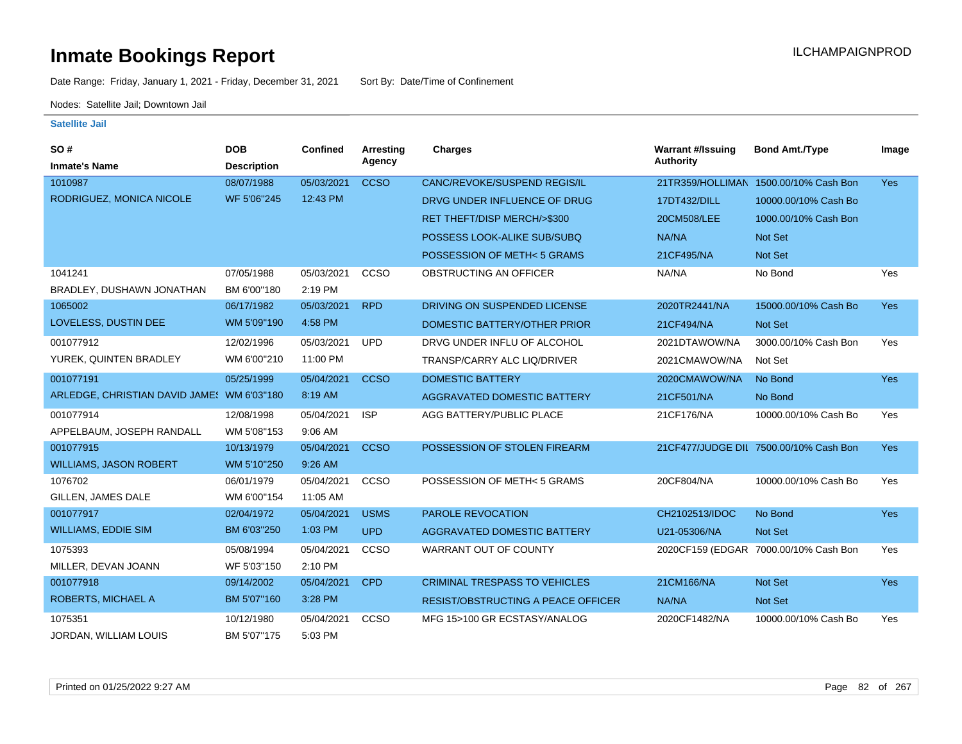Date Range: Friday, January 1, 2021 - Friday, December 31, 2021 Sort By: Date/Time of Confinement

Nodes: Satellite Jail; Downtown Jail

| SO#                                        | <b>DOB</b>         | <b>Confined</b> | <b>Arresting</b> | <b>Charges</b>                            | <b>Warrant #/Issuing</b> | <b>Bond Amt./Type</b>                  | Image      |
|--------------------------------------------|--------------------|-----------------|------------------|-------------------------------------------|--------------------------|----------------------------------------|------------|
| <b>Inmate's Name</b>                       | <b>Description</b> |                 | Agency           |                                           | <b>Authority</b>         |                                        |            |
| 1010987                                    | 08/07/1988         | 05/03/2021      | <b>CCSO</b>      | CANC/REVOKE/SUSPEND REGIS/IL              |                          | 21TR359/HOLLIMAN 1500.00/10% Cash Bon  | <b>Yes</b> |
| RODRIGUEZ, MONICA NICOLE                   | WF 5'06"245        | 12:43 PM        |                  | DRVG UNDER INFLUENCE OF DRUG              | 17DT432/DILL             | 10000.00/10% Cash Bo                   |            |
|                                            |                    |                 |                  | RET THEFT/DISP MERCH/>\$300               | 20CM508/LEE              | 1000.00/10% Cash Bon                   |            |
|                                            |                    |                 |                  | POSSESS LOOK-ALIKE SUB/SUBQ               | NA/NA                    | <b>Not Set</b>                         |            |
|                                            |                    |                 |                  | POSSESSION OF METH<5 GRAMS                | 21CF495/NA               | <b>Not Set</b>                         |            |
| 1041241                                    | 07/05/1988         | 05/03/2021      | CCSO             | OBSTRUCTING AN OFFICER                    | NA/NA                    | No Bond                                | Yes        |
| BRADLEY, DUSHAWN JONATHAN                  | BM 6'00"180        | 2:19 PM         |                  |                                           |                          |                                        |            |
| 1065002                                    | 06/17/1982         | 05/03/2021      | <b>RPD</b>       | DRIVING ON SUSPENDED LICENSE              | 2020TR2441/NA            | 15000.00/10% Cash Bo                   | <b>Yes</b> |
| LOVELESS, DUSTIN DEE                       | WM 5'09"190        | 4:58 PM         |                  | DOMESTIC BATTERY/OTHER PRIOR              | 21CF494/NA               | Not Set                                |            |
| 001077912                                  | 12/02/1996         | 05/03/2021      | <b>UPD</b>       | DRVG UNDER INFLU OF ALCOHOL               | 2021DTAWOW/NA            | 3000.00/10% Cash Bon                   | Yes        |
| YUREK, QUINTEN BRADLEY                     | WM 6'00"210        | 11:00 PM        |                  | TRANSP/CARRY ALC LIQ/DRIVER               | 2021CMAWOW/NA            | Not Set                                |            |
| 001077191                                  | 05/25/1999         | 05/04/2021      | <b>CCSO</b>      | <b>DOMESTIC BATTERY</b>                   | 2020CMAWOW/NA            | No Bond                                | <b>Yes</b> |
| ARLEDGE, CHRISTIAN DAVID JAME! WM 6'03"180 |                    | 8:19 AM         |                  | AGGRAVATED DOMESTIC BATTERY               | 21CF501/NA               | No Bond                                |            |
| 001077914                                  | 12/08/1998         | 05/04/2021      | <b>ISP</b>       | AGG BATTERY/PUBLIC PLACE                  | 21CF176/NA               | 10000.00/10% Cash Bo                   | Yes        |
| APPELBAUM, JOSEPH RANDALL                  | WM 5'08"153        | 9:06 AM         |                  |                                           |                          |                                        |            |
| 001077915                                  | 10/13/1979         | 05/04/2021      | <b>CCSO</b>      | POSSESSION OF STOLEN FIREARM              |                          | 21CF477/JUDGE DIL 7500.00/10% Cash Bon | Yes        |
| <b>WILLIAMS, JASON ROBERT</b>              | WM 5'10"250        | 9:26 AM         |                  |                                           |                          |                                        |            |
| 1076702                                    | 06/01/1979         | 05/04/2021      | CCSO             | POSSESSION OF METH<5 GRAMS                | 20CF804/NA               | 10000.00/10% Cash Bo                   | Yes        |
| GILLEN, JAMES DALE                         | WM 6'00"154        | 11:05 AM        |                  |                                           |                          |                                        |            |
| 001077917                                  | 02/04/1972         | 05/04/2021      | <b>USMS</b>      | PAROLE REVOCATION                         | CH2102513/IDOC           | No Bond                                | <b>Yes</b> |
| <b>WILLIAMS, EDDIE SIM</b>                 | BM 6'03"250        | 1:03 PM         | <b>UPD</b>       | AGGRAVATED DOMESTIC BATTERY               | U21-05306/NA             | Not Set                                |            |
| 1075393                                    | 05/08/1994         | 05/04/2021      | CCSO             | <b>WARRANT OUT OF COUNTY</b>              |                          | 2020CF159 (EDGAR 7000.00/10% Cash Bon  | Yes        |
| MILLER, DEVAN JOANN                        | WF 5'03"150        | 2:10 PM         |                  |                                           |                          |                                        |            |
| 001077918                                  | 09/14/2002         | 05/04/2021      | <b>CPD</b>       | <b>CRIMINAL TRESPASS TO VEHICLES</b>      | 21CM166/NA               | Not Set                                | <b>Yes</b> |
| ROBERTS, MICHAEL A                         | BM 5'07"160        | 3:28 PM         |                  | <b>RESIST/OBSTRUCTING A PEACE OFFICER</b> | NA/NA                    | <b>Not Set</b>                         |            |
| 1075351                                    | 10/12/1980         | 05/04/2021      | CCSO             | MFG 15>100 GR ECSTASY/ANALOG              | 2020CF1482/NA            | 10000.00/10% Cash Bo                   | Yes        |
| JORDAN, WILLIAM LOUIS                      | BM 5'07"175        | 5:03 PM         |                  |                                           |                          |                                        |            |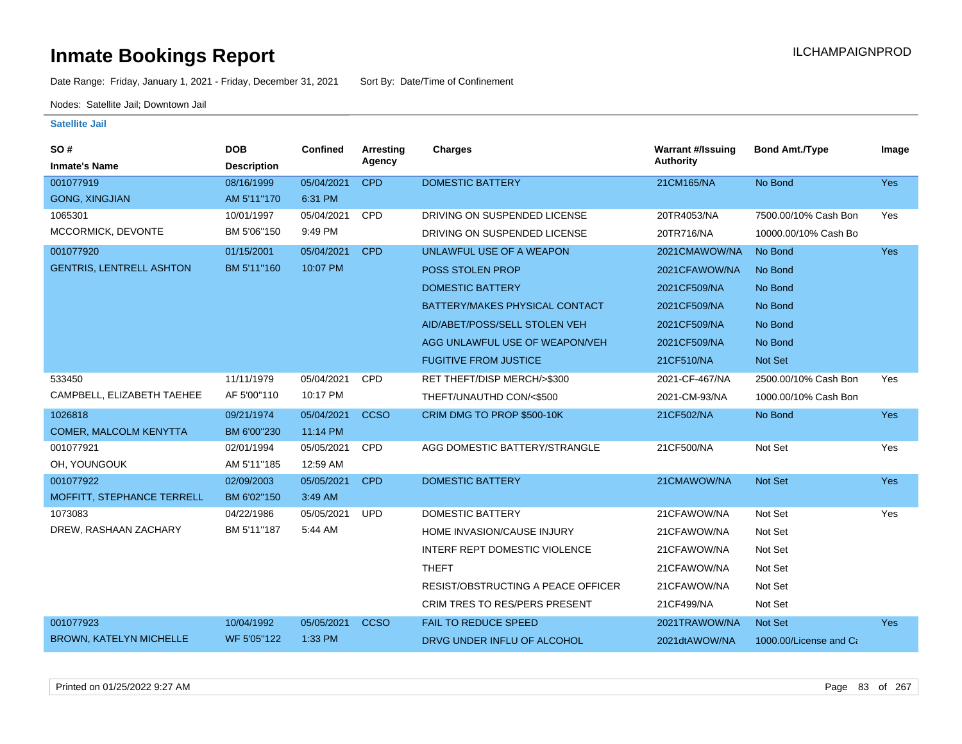Date Range: Friday, January 1, 2021 - Friday, December 31, 2021 Sort By: Date/Time of Confinement

Nodes: Satellite Jail; Downtown Jail

| SO#<br><b>Inmate's Name</b>     | <b>DOB</b><br><b>Description</b> | <b>Confined</b> | <b>Arresting</b><br>Agency | Charges                                   | <b>Warrant #/Issuing</b><br><b>Authority</b> | <b>Bond Amt./Type</b>  | Image      |
|---------------------------------|----------------------------------|-----------------|----------------------------|-------------------------------------------|----------------------------------------------|------------------------|------------|
| 001077919                       | 08/16/1999                       | 05/04/2021      | <b>CPD</b>                 | <b>DOMESTIC BATTERY</b>                   | 21CM165/NA                                   | No Bond                | Yes        |
| <b>GONG, XINGJIAN</b>           | AM 5'11"170                      | 6:31 PM         |                            |                                           |                                              |                        |            |
| 1065301                         | 10/01/1997                       | 05/04/2021      | CPD                        | DRIVING ON SUSPENDED LICENSE              | 20TR4053/NA                                  | 7500.00/10% Cash Bon   | Yes        |
| MCCORMICK, DEVONTE              | BM 5'06"150                      | 9:49 PM         |                            | DRIVING ON SUSPENDED LICENSE              | 20TR716/NA                                   | 10000.00/10% Cash Bo   |            |
| 001077920                       | 01/15/2001                       | 05/04/2021      | <b>CPD</b>                 | UNLAWFUL USE OF A WEAPON                  | 2021CMAWOW/NA                                | No Bond                | Yes        |
| <b>GENTRIS, LENTRELL ASHTON</b> | BM 5'11"160                      | 10:07 PM        |                            | POSS STOLEN PROP                          | 2021CFAWOW/NA                                | No Bond                |            |
|                                 |                                  |                 |                            | <b>DOMESTIC BATTERY</b>                   | 2021CF509/NA                                 | No Bond                |            |
|                                 |                                  |                 |                            | BATTERY/MAKES PHYSICAL CONTACT            | 2021CF509/NA                                 | No Bond                |            |
|                                 |                                  |                 |                            | AID/ABET/POSS/SELL STOLEN VEH             | 2021CF509/NA                                 | No Bond                |            |
|                                 |                                  |                 |                            | AGG UNLAWFUL USE OF WEAPON/VEH            | 2021CF509/NA                                 | No Bond                |            |
|                                 |                                  |                 |                            | <b>FUGITIVE FROM JUSTICE</b>              | 21CF510/NA                                   | Not Set                |            |
| 533450                          | 11/11/1979                       | 05/04/2021      | CPD                        | RET THEFT/DISP MERCH/>\$300               | 2021-CF-467/NA                               | 2500.00/10% Cash Bon   | Yes        |
| CAMPBELL, ELIZABETH TAEHEE      | AF 5'00"110                      | 10:17 PM        |                            | THEFT/UNAUTHD CON/<\$500                  | 2021-CM-93/NA                                | 1000.00/10% Cash Bon   |            |
| 1026818                         | 09/21/1974                       | 05/04/2021      | <b>CCSO</b>                | CRIM DMG TO PROP \$500-10K                | 21CF502/NA                                   | No Bond                | <b>Yes</b> |
| <b>COMER, MALCOLM KENYTTA</b>   | BM 6'00"230                      | 11:14 PM        |                            |                                           |                                              |                        |            |
| 001077921                       | 02/01/1994                       | 05/05/2021      | CPD                        | AGG DOMESTIC BATTERY/STRANGLE             | 21CF500/NA                                   | Not Set                | Yes        |
| OH, YOUNGOUK                    | AM 5'11"185                      | 12:59 AM        |                            |                                           |                                              |                        |            |
| 001077922                       | 02/09/2003                       | 05/05/2021      | <b>CPD</b>                 | <b>DOMESTIC BATTERY</b>                   | 21CMAWOW/NA                                  | <b>Not Set</b>         | <b>Yes</b> |
| MOFFITT, STEPHANCE TERRELL      | BM 6'02"150                      | 3:49 AM         |                            |                                           |                                              |                        |            |
| 1073083                         | 04/22/1986                       | 05/05/2021      | <b>UPD</b>                 | <b>DOMESTIC BATTERY</b>                   | 21CFAWOW/NA                                  | Not Set                | Yes        |
| DREW, RASHAAN ZACHARY           | BM 5'11"187                      | 5:44 AM         |                            | HOME INVASION/CAUSE INJURY                | 21CFAWOW/NA                                  | Not Set                |            |
|                                 |                                  |                 |                            | INTERF REPT DOMESTIC VIOLENCE             | 21CFAWOW/NA                                  | Not Set                |            |
|                                 |                                  |                 |                            | <b>THEFT</b>                              | 21CFAWOW/NA                                  | Not Set                |            |
|                                 |                                  |                 |                            | <b>RESIST/OBSTRUCTING A PEACE OFFICER</b> | 21CFAWOW/NA                                  | Not Set                |            |
|                                 |                                  |                 |                            | CRIM TRES TO RES/PERS PRESENT             | 21CF499/NA                                   | Not Set                |            |
| 001077923                       | 10/04/1992                       | 05/05/2021      | <b>CCSO</b>                | <b>FAIL TO REDUCE SPEED</b>               | 2021TRAWOW/NA                                | Not Set                | <b>Yes</b> |
| <b>BROWN, KATELYN MICHELLE</b>  | WF 5'05"122                      | 1:33 PM         |                            | DRVG UNDER INFLU OF ALCOHOL               | 2021dtAWOW/NA                                | 1000.00/License and Ca |            |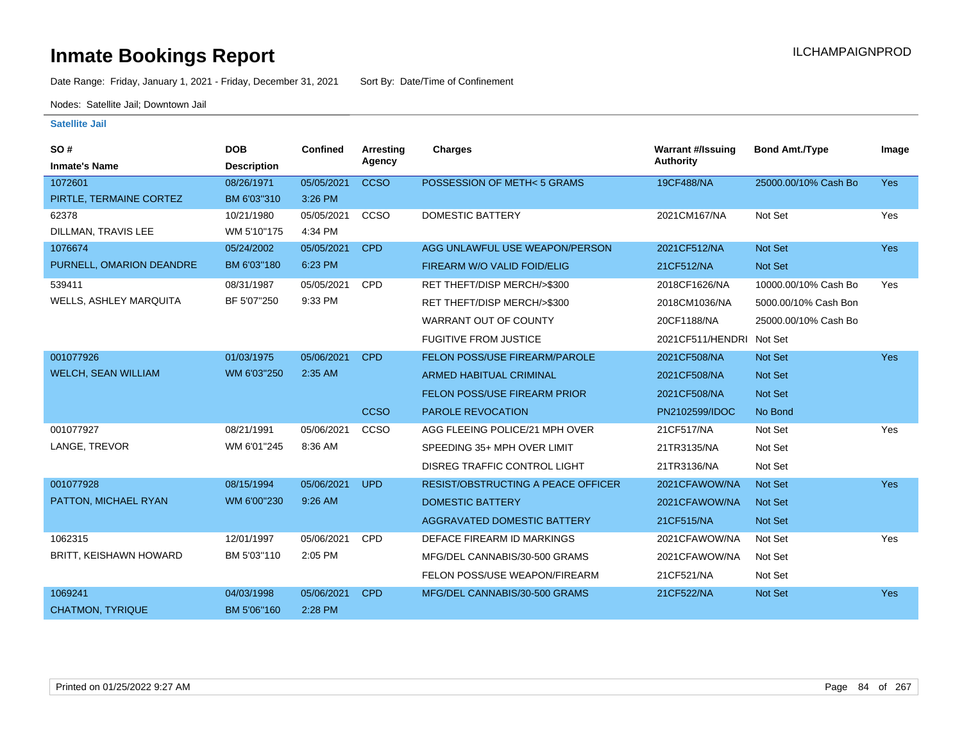Date Range: Friday, January 1, 2021 - Friday, December 31, 2021 Sort By: Date/Time of Confinement

Nodes: Satellite Jail; Downtown Jail

| SO#<br><b>Inmate's Name</b>   | <b>DOB</b><br><b>Description</b> | Confined   | <b>Arresting</b><br>Agency | <b>Charges</b>                            | <b>Warrant #/Issuing</b><br><b>Authority</b> | <b>Bond Amt./Type</b> | Image      |
|-------------------------------|----------------------------------|------------|----------------------------|-------------------------------------------|----------------------------------------------|-----------------------|------------|
| 1072601                       | 08/26/1971                       | 05/05/2021 | <b>CCSO</b>                | POSSESSION OF METH<5 GRAMS                | 19CF488/NA                                   | 25000.00/10% Cash Bo  | Yes        |
| PIRTLE, TERMAINE CORTEZ       | BM 6'03"310                      | 3:26 PM    |                            |                                           |                                              |                       |            |
| 62378                         | 10/21/1980                       | 05/05/2021 | CCSO                       | DOMESTIC BATTERY                          | 2021CM167/NA                                 | Not Set               | Yes        |
| DILLMAN, TRAVIS LEE           | WM 5'10"175                      | 4:34 PM    |                            |                                           |                                              |                       |            |
| 1076674                       | 05/24/2002                       | 05/05/2021 | <b>CPD</b>                 | AGG UNLAWFUL USE WEAPON/PERSON            | 2021CF512/NA                                 | Not Set               | <b>Yes</b> |
| PURNELL, OMARION DEANDRE      | BM 6'03"180                      | 6:23 PM    |                            | FIREARM W/O VALID FOID/ELIG               | 21CF512/NA                                   | Not Set               |            |
| 539411                        | 08/31/1987                       | 05/05/2021 | CPD                        | RET THEFT/DISP MERCH/>\$300               | 2018CF1626/NA                                | 10000.00/10% Cash Bo  | Yes        |
| <b>WELLS, ASHLEY MARQUITA</b> | BF 5'07"250                      | 9:33 PM    |                            | RET THEFT/DISP MERCH/>\$300               | 2018CM1036/NA                                | 5000.00/10% Cash Bon  |            |
|                               |                                  |            |                            | <b>WARRANT OUT OF COUNTY</b>              | 20CF1188/NA                                  | 25000.00/10% Cash Bo  |            |
|                               |                                  |            |                            | <b>FUGITIVE FROM JUSTICE</b>              | 2021CF511/HENDRI Not Set                     |                       |            |
| 001077926                     | 01/03/1975                       | 05/06/2021 | <b>CPD</b>                 | FELON POSS/USE FIREARM/PAROLE             | 2021CF508/NA                                 | Not Set               | Yes        |
| <b>WELCH, SEAN WILLIAM</b>    | WM 6'03"250                      | 2:35 AM    |                            | <b>ARMED HABITUAL CRIMINAL</b>            | 2021CF508/NA                                 | <b>Not Set</b>        |            |
|                               |                                  |            |                            | <b>FELON POSS/USE FIREARM PRIOR</b>       | 2021CF508/NA                                 | Not Set               |            |
|                               |                                  |            | <b>CCSO</b>                | <b>PAROLE REVOCATION</b>                  | PN2102599/IDOC                               | No Bond               |            |
| 001077927                     | 08/21/1991                       | 05/06/2021 | CCSO                       | AGG FLEEING POLICE/21 MPH OVER            | 21CF517/NA                                   | Not Set               | Yes        |
| LANGE, TREVOR                 | WM 6'01"245                      | 8:36 AM    |                            | SPEEDING 35+ MPH OVER LIMIT               | 21TR3135/NA                                  | Not Set               |            |
|                               |                                  |            |                            | DISREG TRAFFIC CONTROL LIGHT              | 21TR3136/NA                                  | Not Set               |            |
| 001077928                     | 08/15/1994                       | 05/06/2021 | <b>UPD</b>                 | <b>RESIST/OBSTRUCTING A PEACE OFFICER</b> | 2021CFAWOW/NA                                | Not Set               | <b>Yes</b> |
| PATTON, MICHAEL RYAN          | WM 6'00"230                      | 9:26 AM    |                            | <b>DOMESTIC BATTERY</b>                   | 2021CFAWOW/NA                                | <b>Not Set</b>        |            |
|                               |                                  |            |                            | <b>AGGRAVATED DOMESTIC BATTERY</b>        | 21CF515/NA                                   | <b>Not Set</b>        |            |
| 1062315                       | 12/01/1997                       | 05/06/2021 | CPD                        | DEFACE FIREARM ID MARKINGS                | 2021CFAWOW/NA                                | Not Set               | Yes        |
| <b>BRITT, KEISHAWN HOWARD</b> | BM 5'03"110                      | 2:05 PM    |                            | MFG/DEL CANNABIS/30-500 GRAMS             | 2021CFAWOW/NA                                | Not Set               |            |
|                               |                                  |            |                            | FELON POSS/USE WEAPON/FIREARM             | 21CF521/NA                                   | Not Set               |            |
| 1069241                       | 04/03/1998                       | 05/06/2021 | <b>CPD</b>                 | MFG/DEL CANNABIS/30-500 GRAMS             | 21CF522/NA                                   | <b>Not Set</b>        | <b>Yes</b> |
| <b>CHATMON, TYRIQUE</b>       | BM 5'06"160                      | 2:28 PM    |                            |                                           |                                              |                       |            |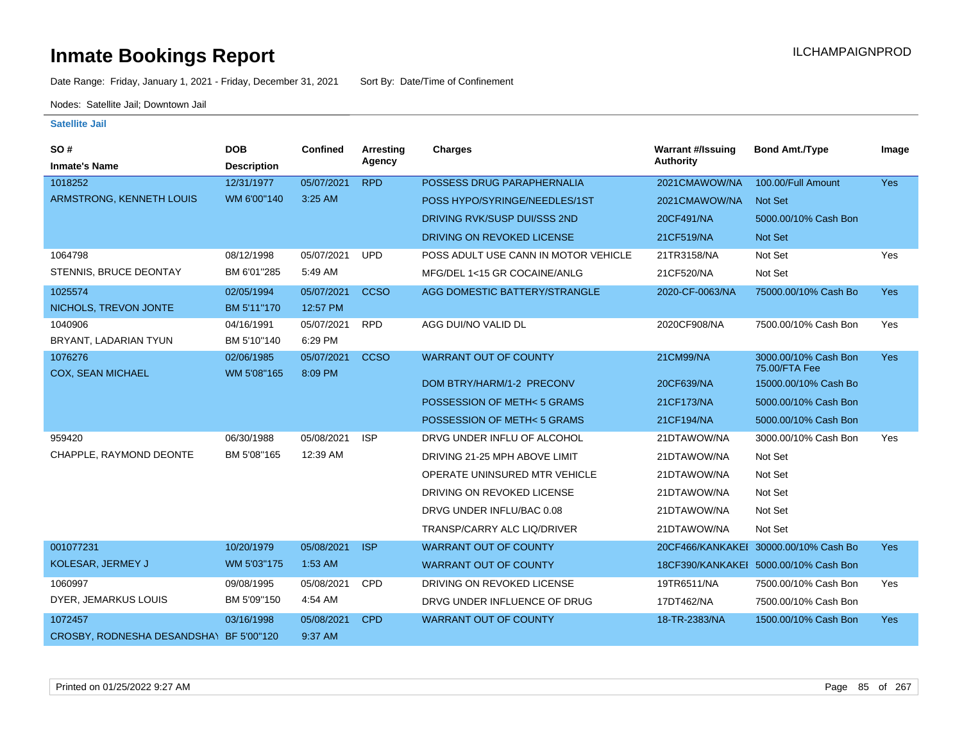Date Range: Friday, January 1, 2021 - Friday, December 31, 2021 Sort By: Date/Time of Confinement

Nodes: Satellite Jail; Downtown Jail

| SO#                         | <b>DOB</b>         | Confined   | <b>Arresting</b> | Charges                              | <b>Warrant #/Issuing</b> | <b>Bond Amt./Type</b>                 | Image      |
|-----------------------------|--------------------|------------|------------------|--------------------------------------|--------------------------|---------------------------------------|------------|
| <b>Inmate's Name</b>        | <b>Description</b> |            | Agency           |                                      | <b>Authority</b>         |                                       |            |
| 1018252                     | 12/31/1977         | 05/07/2021 | <b>RPD</b>       | POSSESS DRUG PARAPHERNALIA           | 2021CMAWOW/NA            | 100.00/Full Amount                    | Yes        |
| ARMSTRONG, KENNETH LOUIS    | WM 6'00"140        | 3:25 AM    |                  | POSS HYPO/SYRINGE/NEEDLES/1ST        | 2021CMAWOW/NA            | Not Set                               |            |
|                             |                    |            |                  | DRIVING RVK/SUSP DUI/SSS 2ND         | 20CF491/NA               | 5000.00/10% Cash Bon                  |            |
|                             |                    |            |                  | DRIVING ON REVOKED LICENSE           | 21CF519/NA               | Not Set                               |            |
| 1064798                     | 08/12/1998         | 05/07/2021 | <b>UPD</b>       | POSS ADULT USE CANN IN MOTOR VEHICLE | 21TR3158/NA              | Not Set                               | Yes        |
| STENNIS, BRUCE DEONTAY      | BM 6'01"285        | 5:49 AM    |                  | MFG/DEL 1<15 GR COCAINE/ANLG         | 21CF520/NA               | Not Set                               |            |
| 1025574                     | 02/05/1994         | 05/07/2021 | <b>CCSO</b>      | AGG DOMESTIC BATTERY/STRANGLE        | 2020-CF-0063/NA          | 75000.00/10% Cash Bo                  | <b>Yes</b> |
| NICHOLS, TREVON JONTE       | BM 5'11"170        | 12:57 PM   |                  |                                      |                          |                                       |            |
| 1040906                     | 04/16/1991         | 05/07/2021 | <b>RPD</b>       | AGG DUI/NO VALID DL                  | 2020CF908/NA             | 7500.00/10% Cash Bon                  | Yes        |
| BRYANT, LADARIAN TYUN       | BM 5'10"140        | 6:29 PM    |                  |                                      |                          |                                       |            |
| 1076276                     | 02/06/1985         | 05/07/2021 | <b>CCSO</b>      | <b>WARRANT OUT OF COUNTY</b>         | 21CM99/NA                | 3000.00/10% Cash Bon<br>75.00/FTA Fee | <b>Yes</b> |
| <b>COX, SEAN MICHAEL</b>    | WM 5'08"165        | 8:09 PM    |                  | DOM BTRY/HARM/1-2 PRECONV            | 20CF639/NA               | 15000.00/10% Cash Bo                  |            |
|                             |                    |            |                  | POSSESSION OF METH<5 GRAMS           | 21CF173/NA               | 5000.00/10% Cash Bon                  |            |
|                             |                    |            |                  | POSSESSION OF METH<5 GRAMS           | 21CF194/NA               | 5000.00/10% Cash Bon                  |            |
| 959420                      | 06/30/1988         | 05/08/2021 | <b>ISP</b>       | DRVG UNDER INFLU OF ALCOHOL          | 21DTAWOW/NA              | 3000.00/10% Cash Bon                  | Yes        |
| CHAPPLE, RAYMOND DEONTE     | BM 5'08"165        | 12:39 AM   |                  | DRIVING 21-25 MPH ABOVE LIMIT        | 21DTAWOW/NA              | Not Set                               |            |
|                             |                    |            |                  | OPERATE UNINSURED MTR VEHICLE        | 21DTAWOW/NA              | Not Set                               |            |
|                             |                    |            |                  | DRIVING ON REVOKED LICENSE           | 21DTAWOW/NA              | Not Set                               |            |
|                             |                    |            |                  | DRVG UNDER INFLU/BAC 0.08            | 21DTAWOW/NA              | Not Set                               |            |
|                             |                    |            |                  | TRANSP/CARRY ALC LIQ/DRIVER          | 21DTAWOW/NA              | Not Set                               |            |
| 001077231                   | 10/20/1979         | 05/08/2021 | <b>ISP</b>       | <b>WARRANT OUT OF COUNTY</b>         | 20CF466/KANKAKEI         | 30000.00/10% Cash Bo                  | <b>Yes</b> |
| KOLESAR, JERMEY J           | WM 5'03"175        | 1:53 AM    |                  | <b>WARRANT OUT OF COUNTY</b>         |                          | 18CF390/KANKAKEI 5000.00/10% Cash Bon |            |
| 1060997                     | 09/08/1995         | 05/08/2021 | <b>CPD</b>       | DRIVING ON REVOKED LICENSE           | 19TR6511/NA              | 7500.00/10% Cash Bon                  | Yes        |
| DYER, JEMARKUS LOUIS        | BM 5'09"150        | 4:54 AM    |                  | DRVG UNDER INFLUENCE OF DRUG         | 17DT462/NA               | 7500.00/10% Cash Bon                  |            |
| 1072457                     | 03/16/1998         | 05/08/2021 | <b>CPD</b>       | <b>WARRANT OUT OF COUNTY</b>         | 18-TR-2383/NA            | 1500.00/10% Cash Bon                  | <b>Yes</b> |
| CROSBY, RODNESHA DESANDSHAY | BF 5'00"120        | 9:37 AM    |                  |                                      |                          |                                       |            |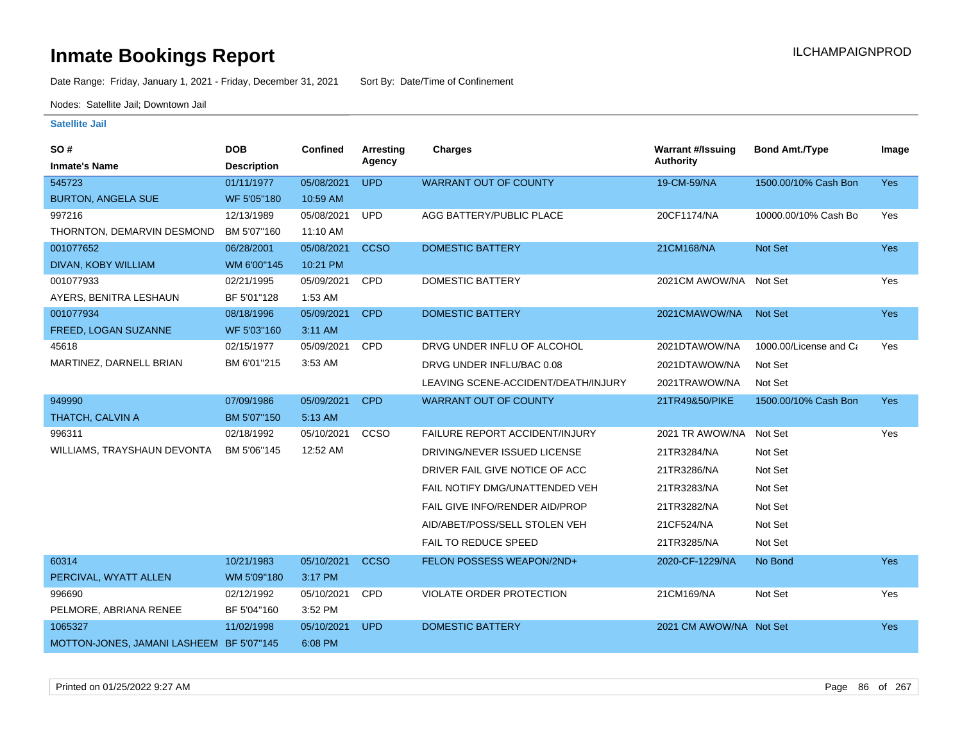Date Range: Friday, January 1, 2021 - Friday, December 31, 2021 Sort By: Date/Time of Confinement

Nodes: Satellite Jail; Downtown Jail

| SO #                                     | <b>DOB</b>         | Confined   | <b>Arresting</b> | Charges                               | <b>Warrant #/Issuing</b> | <b>Bond Amt./Type</b>  | Image      |
|------------------------------------------|--------------------|------------|------------------|---------------------------------------|--------------------------|------------------------|------------|
| <b>Inmate's Name</b>                     | <b>Description</b> |            | Agency           |                                       | <b>Authority</b>         |                        |            |
| 545723                                   | 01/11/1977         | 05/08/2021 | <b>UPD</b>       | <b>WARRANT OUT OF COUNTY</b>          | 19-CM-59/NA              | 1500.00/10% Cash Bon   | Yes        |
| <b>BURTON, ANGELA SUE</b>                | WF 5'05"180        | 10:59 AM   |                  |                                       |                          |                        |            |
| 997216                                   | 12/13/1989         | 05/08/2021 | <b>UPD</b>       | AGG BATTERY/PUBLIC PLACE              | 20CF1174/NA              | 10000.00/10% Cash Bo   | Yes        |
| THORNTON, DEMARVIN DESMOND               | BM 5'07"160        | 11:10 AM   |                  |                                       |                          |                        |            |
| 001077652                                | 06/28/2001         | 05/08/2021 | <b>CCSO</b>      | <b>DOMESTIC BATTERY</b>               | 21CM168/NA               | Not Set                | Yes        |
| DIVAN, KOBY WILLIAM                      | WM 6'00"145        | 10:21 PM   |                  |                                       |                          |                        |            |
| 001077933                                | 02/21/1995         | 05/09/2021 | <b>CPD</b>       | <b>DOMESTIC BATTERY</b>               | 2021CM AWOW/NA           | Not Set                | Yes        |
| AYERS, BENITRA LESHAUN                   | BF 5'01"128        | 1:53 AM    |                  |                                       |                          |                        |            |
| 001077934                                | 08/18/1996         | 05/09/2021 | <b>CPD</b>       | <b>DOMESTIC BATTERY</b>               | 2021CMAWOW/NA            | Not Set                | Yes        |
| FREED, LOGAN SUZANNE                     | WF 5'03"160        | 3:11 AM    |                  |                                       |                          |                        |            |
| 45618                                    | 02/15/1977         | 05/09/2021 | <b>CPD</b>       | DRVG UNDER INFLU OF ALCOHOL           | 2021DTAWOW/NA            | 1000.00/License and Ca | Yes        |
| MARTINEZ, DARNELL BRIAN                  | BM 6'01"215        | 3:53 AM    |                  | DRVG UNDER INFLU/BAC 0.08             | 2021DTAWOW/NA            | Not Set                |            |
|                                          |                    |            |                  | LEAVING SCENE-ACCIDENT/DEATH/INJURY   | 2021TRAWOW/NA            | Not Set                |            |
| 949990                                   | 07/09/1986         | 05/09/2021 | <b>CPD</b>       | <b>WARRANT OUT OF COUNTY</b>          | 21TR49&50/PIKE           | 1500.00/10% Cash Bon   | <b>Yes</b> |
| THATCH, CALVIN A                         | BM 5'07"150        | 5:13 AM    |                  |                                       |                          |                        |            |
| 996311                                   | 02/18/1992         | 05/10/2021 | CCSO             | <b>FAILURE REPORT ACCIDENT/INJURY</b> | 2021 TR AWOW/NA          | Not Set                | Yes        |
| WILLIAMS, TRAYSHAUN DEVONTA              | BM 5'06"145        | 12:52 AM   |                  | DRIVING/NEVER ISSUED LICENSE          | 21TR3284/NA              | Not Set                |            |
|                                          |                    |            |                  | DRIVER FAIL GIVE NOTICE OF ACC.       | 21TR3286/NA              | Not Set                |            |
|                                          |                    |            |                  | FAIL NOTIFY DMG/UNATTENDED VEH        | 21TR3283/NA              | Not Set                |            |
|                                          |                    |            |                  | FAIL GIVE INFO/RENDER AID/PROP        | 21TR3282/NA              | Not Set                |            |
|                                          |                    |            |                  | AID/ABET/POSS/SELL STOLEN VEH         | 21CF524/NA               | Not Set                |            |
|                                          |                    |            |                  | FAIL TO REDUCE SPEED                  | 21TR3285/NA              | Not Set                |            |
| 60314                                    | 10/21/1983         | 05/10/2021 | <b>CCSO</b>      | FELON POSSESS WEAPON/2ND+             | 2020-CF-1229/NA          | No Bond                | <b>Yes</b> |
| PERCIVAL, WYATT ALLEN                    | WM 5'09"180        | 3:17 PM    |                  |                                       |                          |                        |            |
| 996690                                   | 02/12/1992         | 05/10/2021 | <b>CPD</b>       | VIOLATE ORDER PROTECTION              | 21CM169/NA               | Not Set                | Yes        |
| PELMORE, ABRIANA RENEE                   | BF 5'04"160        | 3:52 PM    |                  |                                       |                          |                        |            |
| 1065327                                  | 11/02/1998         | 05/10/2021 | <b>UPD</b>       | <b>DOMESTIC BATTERY</b>               | 2021 CM AWOW/NA Not Set  |                        | <b>Yes</b> |
| MOTTON-JONES, JAMANI LASHEEM BF 5'07"145 |                    | 6:08 PM    |                  |                                       |                          |                        |            |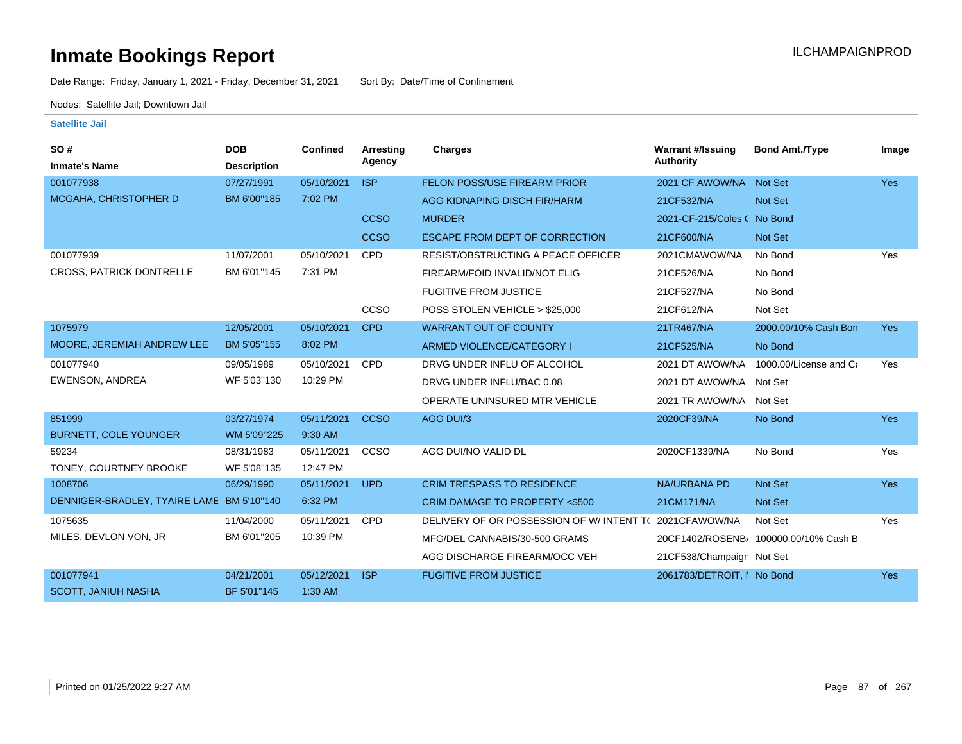Date Range: Friday, January 1, 2021 - Friday, December 31, 2021 Sort By: Date/Time of Confinement

Nodes: Satellite Jail; Downtown Jail

| <b>SO#</b>                                | <b>DOB</b>         | <b>Confined</b> | Arresting   | Charges                                   | <b>Warrant #/Issuing</b>    | <b>Bond Amt./Type</b>                 | Image      |
|-------------------------------------------|--------------------|-----------------|-------------|-------------------------------------------|-----------------------------|---------------------------------------|------------|
| <b>Inmate's Name</b>                      | <b>Description</b> |                 | Agency      |                                           | <b>Authority</b>            |                                       |            |
| 001077938                                 | 07/27/1991         | 05/10/2021      | <b>ISP</b>  | FELON POSS/USE FIREARM PRIOR              | 2021 CF AWOW/NA             | Not Set                               | <b>Yes</b> |
| MCGAHA, CHRISTOPHER D                     | BM 6'00"185        | 7:02 PM         |             | AGG KIDNAPING DISCH FIR/HARM              | 21CF532/NA                  | <b>Not Set</b>                        |            |
|                                           |                    |                 | <b>CCSO</b> | <b>MURDER</b>                             | 2021-CF-215/Coles ( No Bond |                                       |            |
|                                           |                    |                 | <b>CCSO</b> | ESCAPE FROM DEPT OF CORRECTION            | 21CF600/NA                  | <b>Not Set</b>                        |            |
| 001077939                                 | 11/07/2001         | 05/10/2021      | <b>CPD</b>  | <b>RESIST/OBSTRUCTING A PEACE OFFICER</b> | 2021CMAWOW/NA               | No Bond                               | Yes        |
| <b>CROSS, PATRICK DONTRELLE</b>           | BM 6'01"145        | 7:31 PM         |             | FIREARM/FOID INVALID/NOT ELIG             | 21CF526/NA                  | No Bond                               |            |
|                                           |                    |                 |             | <b>FUGITIVE FROM JUSTICE</b>              | 21CF527/NA                  | No Bond                               |            |
|                                           |                    |                 | CCSO        | POSS STOLEN VEHICLE > \$25,000            | 21CF612/NA                  | Not Set                               |            |
| 1075979                                   | 12/05/2001         | 05/10/2021      | <b>CPD</b>  | <b>WARRANT OUT OF COUNTY</b>              | 21TR467/NA                  | 2000.00/10% Cash Bon                  | <b>Yes</b> |
| MOORE, JEREMIAH ANDREW LEE                | BM 5'05"155        | 8:02 PM         |             | ARMED VIOLENCE/CATEGORY I                 | 21CF525/NA                  | No Bond                               |            |
| 001077940                                 | 09/05/1989         | 05/10/2021      | <b>CPD</b>  | DRVG UNDER INFLU OF ALCOHOL               | 2021 DT AWOW/NA             | 1000.00/License and Ca                | Yes        |
| EWENSON, ANDREA                           | WF 5'03"130        | 10:29 PM        |             | DRVG UNDER INFLU/BAC 0.08                 | 2021 DT AWOW/NA Not Set     |                                       |            |
|                                           |                    |                 |             | OPERATE UNINSURED MTR VEHICLE             | 2021 TR AWOW/NA             | Not Set                               |            |
| 851999                                    | 03/27/1974         | 05/11/2021      | <b>CCSO</b> | AGG DUI/3                                 | 2020CF39/NA                 | No Bond                               | <b>Yes</b> |
| <b>BURNETT, COLE YOUNGER</b>              | WM 5'09"225        | 9:30 AM         |             |                                           |                             |                                       |            |
| 59234                                     | 08/31/1983         | 05/11/2021      | CCSO        | AGG DUI/NO VALID DL                       | 2020CF1339/NA               | No Bond                               | Yes        |
| TONEY, COURTNEY BROOKE                    | WF 5'08"135        | 12:47 PM        |             |                                           |                             |                                       |            |
| 1008706                                   | 06/29/1990         | 05/11/2021      | <b>UPD</b>  | <b>CRIM TRESPASS TO RESIDENCE</b>         | NA/URBANA PD                | <b>Not Set</b>                        | <b>Yes</b> |
| DENNIGER-BRADLEY, TYAIRE LAME BM 5'10"140 |                    | 6:32 PM         |             | CRIM DAMAGE TO PROPERTY <\$500            | 21CM171/NA                  | <b>Not Set</b>                        |            |
| 1075635                                   | 11/04/2000         | 05/11/2021      | <b>CPD</b>  | DELIVERY OF OR POSSESSION OF W/ INTENT TO | 2021CFAWOW/NA               | Not Set                               | Yes        |
| MILES, DEVLON VON, JR                     | BM 6'01"205        | 10:39 PM        |             | MFG/DEL CANNABIS/30-500 GRAMS             |                             | 20CF1402/ROSENB/ 100000.00/10% Cash B |            |
|                                           |                    |                 |             | AGG DISCHARGE FIREARM/OCC VEH             | 21CF538/Champaigr Not Set   |                                       |            |
| 001077941                                 | 04/21/2001         | 05/12/2021      | <b>ISP</b>  | <b>FUGITIVE FROM JUSTICE</b>              | 2061783/DETROIT, I No Bond  |                                       | <b>Yes</b> |
| <b>SCOTT, JANIUH NASHA</b>                | BF 5'01"145        | 1:30 AM         |             |                                           |                             |                                       |            |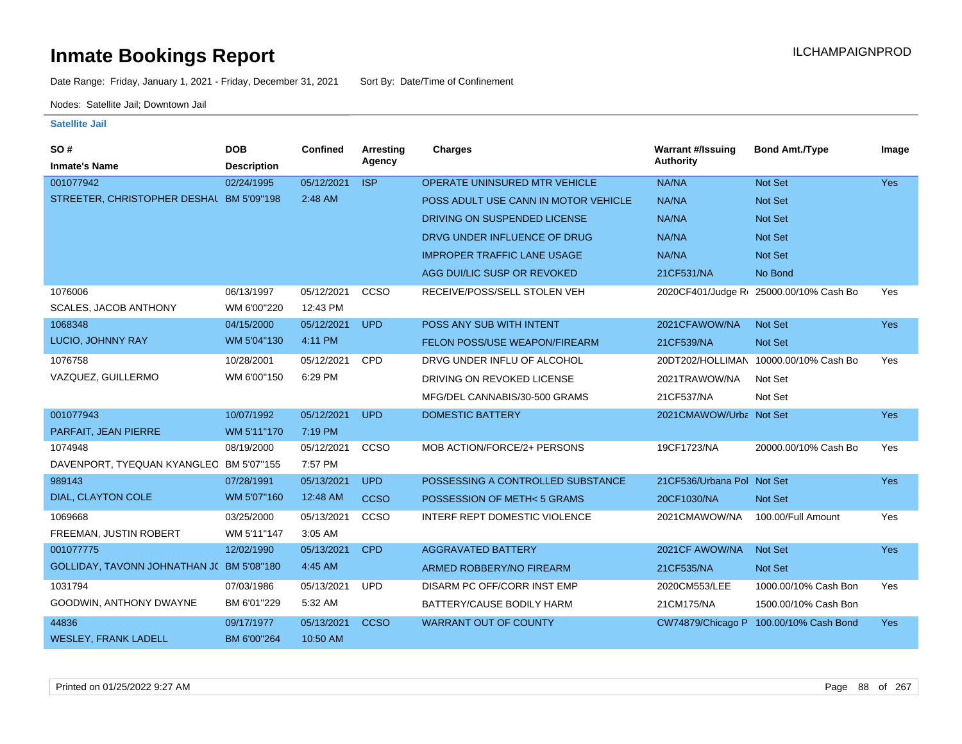Date Range: Friday, January 1, 2021 - Friday, December 31, 2021 Sort By: Date/Time of Confinement

Nodes: Satellite Jail; Downtown Jail

| SO#                                      | <b>DOB</b>         | <b>Confined</b> | Arresting   | <b>Charges</b>                       | <b>Warrant #/Issuing</b>   | <b>Bond Amt./Type</b>                  | Image      |
|------------------------------------------|--------------------|-----------------|-------------|--------------------------------------|----------------------------|----------------------------------------|------------|
| <b>Inmate's Name</b>                     | <b>Description</b> |                 | Agency      |                                      | Authority                  |                                        |            |
| 001077942                                | 02/24/1995         | 05/12/2021      | <b>ISP</b>  | OPERATE UNINSURED MTR VEHICLE        | NA/NA                      | Not Set                                | Yes        |
| STREETER, CHRISTOPHER DESHAL BM 5'09"198 |                    | 2:48 AM         |             | POSS ADULT USE CANN IN MOTOR VEHICLE | NA/NA                      | <b>Not Set</b>                         |            |
|                                          |                    |                 |             | DRIVING ON SUSPENDED LICENSE         | NA/NA                      | <b>Not Set</b>                         |            |
|                                          |                    |                 |             | DRVG UNDER INFLUENCE OF DRUG         | NA/NA                      | <b>Not Set</b>                         |            |
|                                          |                    |                 |             | <b>IMPROPER TRAFFIC LANE USAGE</b>   | NA/NA                      | Not Set                                |            |
|                                          |                    |                 |             | AGG DUI/LIC SUSP OR REVOKED          | 21CF531/NA                 | No Bond                                |            |
| 1076006                                  | 06/13/1997         | 05/12/2021      | CCSO        | RECEIVE/POSS/SELL STOLEN VEH         |                            | 2020CF401/Judge R 25000.00/10% Cash Bo | Yes        |
| <b>SCALES, JACOB ANTHONY</b>             | WM 6'00"220        | 12:43 PM        |             |                                      |                            |                                        |            |
| 1068348                                  | 04/15/2000         | 05/12/2021      | <b>UPD</b>  | POSS ANY SUB WITH INTENT             | 2021CFAWOW/NA              | <b>Not Set</b>                         | Yes        |
| LUCIO, JOHNNY RAY                        | WM 5'04"130        | 4:11 PM         |             | FELON POSS/USE WEAPON/FIREARM        | 21CF539/NA                 | Not Set                                |            |
| 1076758                                  | 10/28/2001         | 05/12/2021      | <b>CPD</b>  | DRVG UNDER INFLU OF ALCOHOL          |                            | 20DT202/HOLLIMAN 10000.00/10% Cash Bo  | Yes        |
| VAZQUEZ, GUILLERMO                       | WM 6'00"150        | 6:29 PM         |             | DRIVING ON REVOKED LICENSE           | 2021TRAWOW/NA              | Not Set                                |            |
|                                          |                    |                 |             | MFG/DEL CANNABIS/30-500 GRAMS        | 21CF537/NA                 | Not Set                                |            |
| 001077943                                | 10/07/1992         | 05/12/2021      | <b>UPD</b>  | <b>DOMESTIC BATTERY</b>              | 2021CMAWOW/Urba Not Set    |                                        | Yes        |
| PARFAIT, JEAN PIERRE                     | WM 5'11"170        | 7:19 PM         |             |                                      |                            |                                        |            |
| 1074948                                  | 08/19/2000         | 05/12/2021      | CCSO        | MOB ACTION/FORCE/2+ PERSONS          | 19CF1723/NA                | 20000.00/10% Cash Bo                   | Yes        |
| DAVENPORT, TYEQUAN KYANGLEC BM 5'07"155  |                    | 7:57 PM         |             |                                      |                            |                                        |            |
| 989143                                   | 07/28/1991         | 05/13/2021      | <b>UPD</b>  | POSSESSING A CONTROLLED SUBSTANCE    | 21CF536/Urbana Pol Not Set |                                        | <b>Yes</b> |
| DIAL, CLAYTON COLE                       | WM 5'07"160        | 12:48 AM        | <b>CCSO</b> | POSSESSION OF METH< 5 GRAMS          | 20CF1030/NA                | <b>Not Set</b>                         |            |
| 1069668                                  | 03/25/2000         | 05/13/2021      | CCSO        | INTERF REPT DOMESTIC VIOLENCE        | 2021CMAWOW/NA              | 100.00/Full Amount                     | Yes        |
| FREEMAN, JUSTIN ROBERT                   | WM 5'11"147        | 3:05 AM         |             |                                      |                            |                                        |            |
| 001077775                                | 12/02/1990         | 05/13/2021      | <b>CPD</b>  | <b>AGGRAVATED BATTERY</b>            | 2021CF AWOW/NA             | <b>Not Set</b>                         | Yes        |
| GOLLIDAY, TAVONN JOHNATHAN J(BM 5'08"180 |                    | 4:45 AM         |             | ARMED ROBBERY/NO FIREARM             | 21CF535/NA                 | <b>Not Set</b>                         |            |
| 1031794                                  | 07/03/1986         | 05/13/2021      | <b>UPD</b>  | DISARM PC OFF/CORR INST EMP          | 2020CM553/LEE              | 1000.00/10% Cash Bon                   | Yes        |
| GOODWIN, ANTHONY DWAYNE                  | BM 6'01"229        | 5:32 AM         |             | BATTERY/CAUSE BODILY HARM            | 21CM175/NA                 | 1500.00/10% Cash Bon                   |            |
| 44836                                    | 09/17/1977         | 05/13/2021      | <b>CCSO</b> | <b>WARRANT OUT OF COUNTY</b>         |                            | CW74879/Chicago P 100.00/10% Cash Bond | <b>Yes</b> |
| <b>WESLEY, FRANK LADELL</b>              | BM 6'00"264        | 10:50 AM        |             |                                      |                            |                                        |            |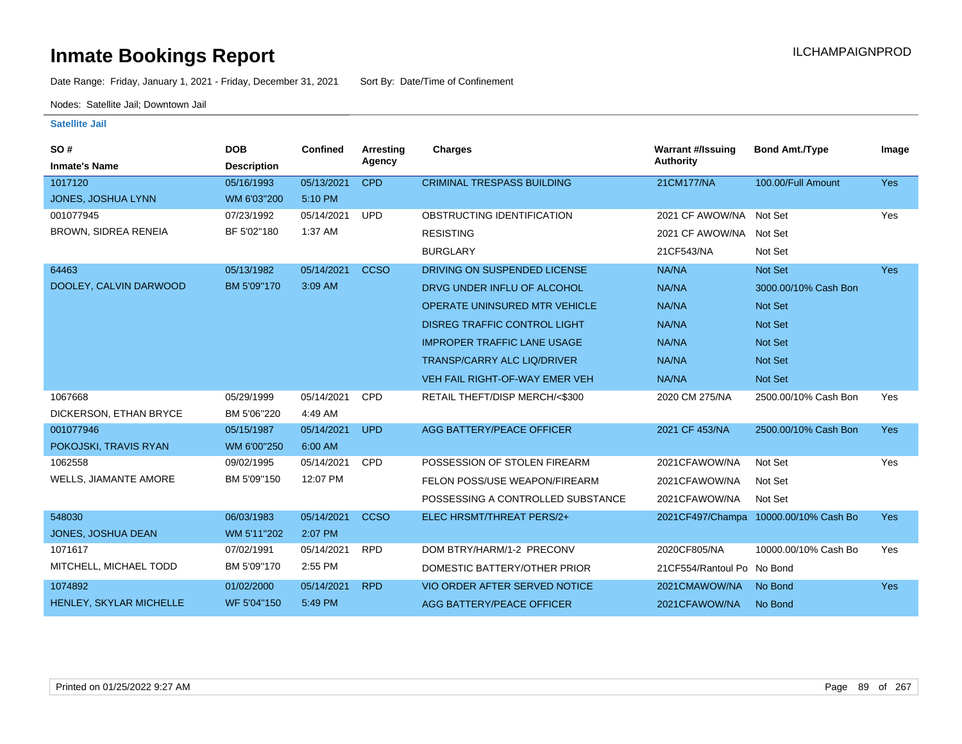Date Range: Friday, January 1, 2021 - Friday, December 31, 2021 Sort By: Date/Time of Confinement

Nodes: Satellite Jail; Downtown Jail

| SO#<br><b>Inmate's Name</b>  | <b>DOB</b><br><b>Description</b> | Confined   | <b>Arresting</b><br>Agency | <b>Charges</b>                       | <b>Warrant #/Issuing</b><br><b>Authority</b> | <b>Bond Amt./Type</b>                 | Image      |
|------------------------------|----------------------------------|------------|----------------------------|--------------------------------------|----------------------------------------------|---------------------------------------|------------|
| 1017120                      | 05/16/1993                       | 05/13/2021 | <b>CPD</b>                 | <b>CRIMINAL TRESPASS BUILDING</b>    | 21CM177/NA                                   | 100.00/Full Amount                    | <b>Yes</b> |
| JONES, JOSHUA LYNN           | WM 6'03"200                      | 5:10 PM    |                            |                                      |                                              |                                       |            |
| 001077945                    | 07/23/1992                       | 05/14/2021 | <b>UPD</b>                 | OBSTRUCTING IDENTIFICATION           | 2021 CF AWOW/NA Not Set                      |                                       | Yes        |
| <b>BROWN, SIDREA RENEIA</b>  | BF 5'02"180                      | 1:37 AM    |                            | <b>RESISTING</b>                     | 2021 CF AWOW/NA Not Set                      |                                       |            |
|                              |                                  |            |                            | <b>BURGLARY</b>                      | 21CF543/NA                                   | Not Set                               |            |
| 64463                        | 05/13/1982                       | 05/14/2021 | <b>CCSO</b>                | DRIVING ON SUSPENDED LICENSE         | <b>NA/NA</b>                                 | Not Set                               | <b>Yes</b> |
| DOOLEY, CALVIN DARWOOD       | BM 5'09"170                      | 3:09 AM    |                            | DRVG UNDER INFLU OF ALCOHOL          | NA/NA                                        | 3000.00/10% Cash Bon                  |            |
|                              |                                  |            |                            | <b>OPERATE UNINSURED MTR VEHICLE</b> | NA/NA                                        | <b>Not Set</b>                        |            |
|                              |                                  |            |                            | <b>DISREG TRAFFIC CONTROL LIGHT</b>  | NA/NA                                        | Not Set                               |            |
|                              |                                  |            |                            | <b>IMPROPER TRAFFIC LANE USAGE</b>   | NA/NA                                        | Not Set                               |            |
|                              |                                  |            |                            | TRANSP/CARRY ALC LIQ/DRIVER          | NA/NA                                        | <b>Not Set</b>                        |            |
|                              |                                  |            |                            | VEH FAIL RIGHT-OF-WAY EMER VEH       | NA/NA                                        | Not Set                               |            |
| 1067668                      | 05/29/1999                       | 05/14/2021 | <b>CPD</b>                 | RETAIL THEFT/DISP MERCH/<\$300       | 2020 CM 275/NA                               | 2500.00/10% Cash Bon                  | Yes        |
| DICKERSON, ETHAN BRYCE       | BM 5'06"220                      | 4:49 AM    |                            |                                      |                                              |                                       |            |
| 001077946                    | 05/15/1987                       | 05/14/2021 | <b>UPD</b>                 | AGG BATTERY/PEACE OFFICER            | 2021 CF 453/NA                               | 2500.00/10% Cash Bon                  | <b>Yes</b> |
| POKOJSKI, TRAVIS RYAN        | WM 6'00"250                      | 6:00 AM    |                            |                                      |                                              |                                       |            |
| 1062558                      | 09/02/1995                       | 05/14/2021 | <b>CPD</b>                 | POSSESSION OF STOLEN FIREARM         | 2021CFAWOW/NA                                | Not Set                               | Yes        |
| <b>WELLS, JIAMANTE AMORE</b> | BM 5'09"150                      | 12:07 PM   |                            | FELON POSS/USE WEAPON/FIREARM        | 2021CFAWOW/NA                                | Not Set                               |            |
|                              |                                  |            |                            | POSSESSING A CONTROLLED SUBSTANCE    | 2021CFAWOW/NA                                | Not Set                               |            |
| 548030                       | 06/03/1983                       | 05/14/2021 | <b>CCSO</b>                | ELEC HRSMT/THREAT PERS/2+            |                                              | 2021CF497/Champa 10000.00/10% Cash Bo | <b>Yes</b> |
| JONES, JOSHUA DEAN           | WM 5'11"202                      | 2:07 PM    |                            |                                      |                                              |                                       |            |
| 1071617                      | 07/02/1991                       | 05/14/2021 | <b>RPD</b>                 | DOM BTRY/HARM/1-2 PRECONV            | 2020CF805/NA                                 | 10000.00/10% Cash Bo                  | Yes        |
| MITCHELL, MICHAEL TODD       | BM 5'09"170                      | 2:55 PM    |                            | DOMESTIC BATTERY/OTHER PRIOR         | 21CF554/Rantoul Po No Bond                   |                                       |            |
| 1074892                      | 01/02/2000                       | 05/14/2021 | <b>RPD</b>                 | <b>VIO ORDER AFTER SERVED NOTICE</b> | 2021CMAWOW/NA                                | No Bond                               | <b>Yes</b> |
| HENLEY, SKYLAR MICHELLE      | WF 5'04"150                      | 5:49 PM    |                            | AGG BATTERY/PEACE OFFICER            | 2021CFAWOW/NA                                | No Bond                               |            |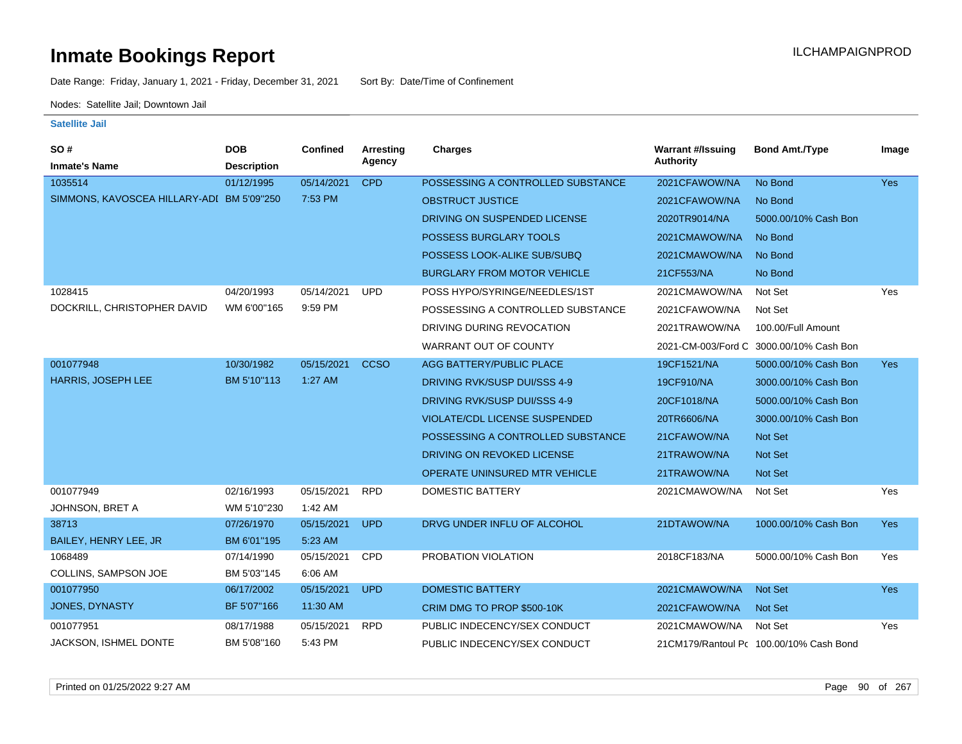Date Range: Friday, January 1, 2021 - Friday, December 31, 2021 Sort By: Date/Time of Confinement

Nodes: Satellite Jail; Downtown Jail

| SO#                                       | <b>DOB</b>         | Confined   | Arresting   | Charges                              | <b>Warrant #/Issuing</b> | <b>Bond Amt./Type</b>                   | Image      |
|-------------------------------------------|--------------------|------------|-------------|--------------------------------------|--------------------------|-----------------------------------------|------------|
| <b>Inmate's Name</b>                      | <b>Description</b> |            | Agency      |                                      | <b>Authority</b>         |                                         |            |
| 1035514                                   | 01/12/1995         | 05/14/2021 | <b>CPD</b>  | POSSESSING A CONTROLLED SUBSTANCE    | 2021CFAWOW/NA            | No Bond                                 | <b>Yes</b> |
| SIMMONS, KAVOSCEA HILLARY-ADI BM 5'09"250 |                    | 7:53 PM    |             | <b>OBSTRUCT JUSTICE</b>              | 2021CFAWOW/NA            | No Bond                                 |            |
|                                           |                    |            |             | DRIVING ON SUSPENDED LICENSE         | 2020TR9014/NA            | 5000.00/10% Cash Bon                    |            |
|                                           |                    |            |             | POSSESS BURGLARY TOOLS               | 2021CMAWOW/NA            | No Bond                                 |            |
|                                           |                    |            |             | POSSESS LOOK-ALIKE SUB/SUBQ          | 2021CMAWOW/NA            | No Bond                                 |            |
|                                           |                    |            |             | <b>BURGLARY FROM MOTOR VEHICLE</b>   | 21CF553/NA               | No Bond                                 |            |
| 1028415                                   | 04/20/1993         | 05/14/2021 | <b>UPD</b>  | POSS HYPO/SYRINGE/NEEDLES/1ST        | 2021CMAWOW/NA            | Not Set                                 | Yes        |
| DOCKRILL, CHRISTOPHER DAVID               | WM 6'00"165        | 9:59 PM    |             | POSSESSING A CONTROLLED SUBSTANCE    | 2021CFAWOW/NA            | Not Set                                 |            |
|                                           |                    |            |             | DRIVING DURING REVOCATION            | 2021TRAWOW/NA            | 100.00/Full Amount                      |            |
|                                           |                    |            |             | WARRANT OUT OF COUNTY                |                          | 2021-CM-003/Ford C 3000.00/10% Cash Bon |            |
| 001077948                                 | 10/30/1982         | 05/15/2021 | <b>CCSO</b> | AGG BATTERY/PUBLIC PLACE             | 19CF1521/NA              | 5000.00/10% Cash Bon                    | <b>Yes</b> |
| <b>HARRIS, JOSEPH LEE</b>                 | BM 5'10"113        | $1:27$ AM  |             | DRIVING RVK/SUSP DUI/SSS 4-9         | 19CF910/NA               | 3000.00/10% Cash Bon                    |            |
|                                           |                    |            |             | DRIVING RVK/SUSP DUI/SSS 4-9         | 20CF1018/NA              | 5000.00/10% Cash Bon                    |            |
|                                           |                    |            |             | <b>VIOLATE/CDL LICENSE SUSPENDED</b> | 20TR6606/NA              | 3000.00/10% Cash Bon                    |            |
|                                           |                    |            |             | POSSESSING A CONTROLLED SUBSTANCE    | 21CFAWOW/NA              | <b>Not Set</b>                          |            |
|                                           |                    |            |             | DRIVING ON REVOKED LICENSE           | 21TRAWOW/NA              | <b>Not Set</b>                          |            |
|                                           |                    |            |             | OPERATE UNINSURED MTR VEHICLE        | 21TRAWOW/NA              | <b>Not Set</b>                          |            |
| 001077949                                 | 02/16/1993         | 05/15/2021 | <b>RPD</b>  | <b>DOMESTIC BATTERY</b>              | 2021CMAWOW/NA            | Not Set                                 | Yes        |
| JOHNSON, BRET A                           | WM 5'10"230        | 1:42 AM    |             |                                      |                          |                                         |            |
| 38713                                     | 07/26/1970         | 05/15/2021 | <b>UPD</b>  | DRVG UNDER INFLU OF ALCOHOL          | 21DTAWOW/NA              | 1000.00/10% Cash Bon                    | <b>Yes</b> |
| BAILEY, HENRY LEE, JR                     | BM 6'01"195        | 5:23 AM    |             |                                      |                          |                                         |            |
| 1068489                                   | 07/14/1990         | 05/15/2021 | CPD         | PROBATION VIOLATION                  | 2018CF183/NA             | 5000.00/10% Cash Bon                    | Yes        |
| COLLINS, SAMPSON JOE                      | BM 5'03"145        | 6:06 AM    |             |                                      |                          |                                         |            |
| 001077950                                 | 06/17/2002         | 05/15/2021 | <b>UPD</b>  | <b>DOMESTIC BATTERY</b>              | 2021CMAWOW/NA            | <b>Not Set</b>                          | Yes        |
| JONES, DYNASTY                            | BF 5'07"166        | 11:30 AM   |             | CRIM DMG TO PROP \$500-10K           | 2021CFAWOW/NA            | <b>Not Set</b>                          |            |
| 001077951                                 | 08/17/1988         | 05/15/2021 | <b>RPD</b>  | PUBLIC INDECENCY/SEX CONDUCT         | 2021CMAWOW/NA            | Not Set                                 | Yes        |
| JACKSON, ISHMEL DONTE                     | BM 5'08"160        | 5:43 PM    |             | PUBLIC INDECENCY/SEX CONDUCT         |                          | 21CM179/Rantoul Pc 100.00/10% Cash Bond |            |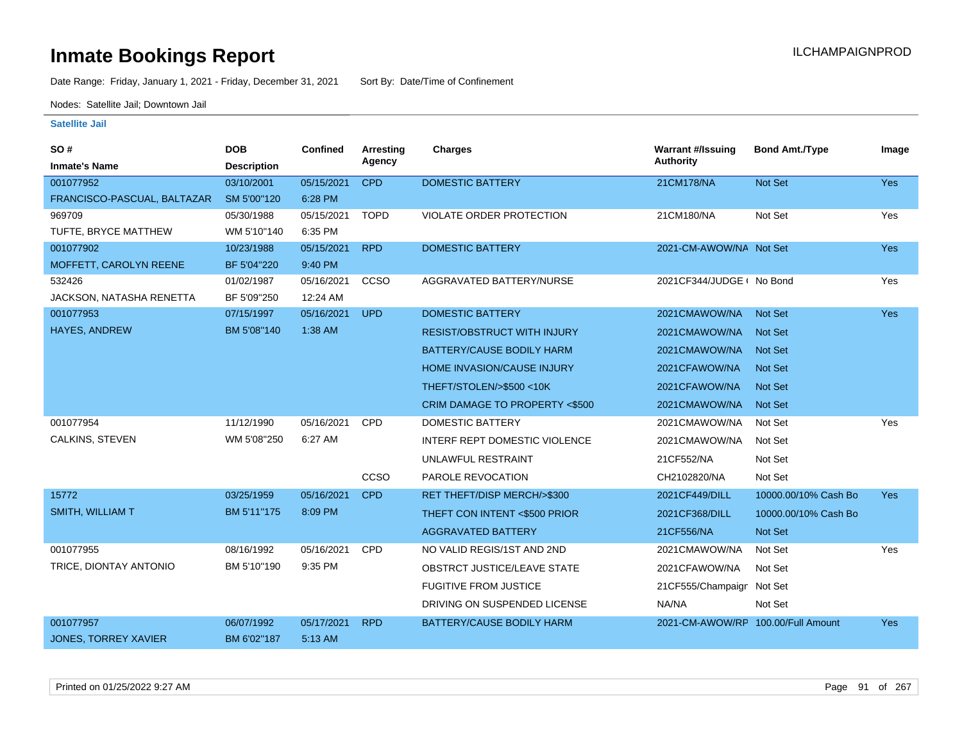Date Range: Friday, January 1, 2021 - Friday, December 31, 2021 Sort By: Date/Time of Confinement

Nodes: Satellite Jail; Downtown Jail

| SO#                         | <b>DOB</b>         | <b>Confined</b> | Arresting   | <b>Charges</b>                     | <b>Warrant #/Issuing</b>           | <b>Bond Amt./Type</b> | Image      |
|-----------------------------|--------------------|-----------------|-------------|------------------------------------|------------------------------------|-----------------------|------------|
| <b>Inmate's Name</b>        | <b>Description</b> |                 | Agency      |                                    | Authority                          |                       |            |
| 001077952                   | 03/10/2001         | 05/15/2021      | <b>CPD</b>  | <b>DOMESTIC BATTERY</b>            | 21CM178/NA                         | Not Set               | <b>Yes</b> |
| FRANCISCO-PASCUAL, BALTAZAR | SM 5'00"120        | 6:28 PM         |             |                                    |                                    |                       |            |
| 969709                      | 05/30/1988         | 05/15/2021      | <b>TOPD</b> | VIOLATE ORDER PROTECTION           | 21CM180/NA                         | Not Set               | Yes        |
| TUFTE, BRYCE MATTHEW        | WM 5'10"140        | 6:35 PM         |             |                                    |                                    |                       |            |
| 001077902                   | 10/23/1988         | 05/15/2021      | <b>RPD</b>  | <b>DOMESTIC BATTERY</b>            | 2021-CM-AWOW/NA Not Set            |                       | Yes        |
| MOFFETT, CAROLYN REENE      | BF 5'04"220        | 9:40 PM         |             |                                    |                                    |                       |            |
| 532426                      | 01/02/1987         | 05/16/2021      | CCSO        | AGGRAVATED BATTERY/NURSE           | 2021CF344/JUDGE ( No Bond          |                       | Yes        |
| JACKSON, NATASHA RENETTA    | BF 5'09"250        | 12:24 AM        |             |                                    |                                    |                       |            |
| 001077953                   | 07/15/1997         | 05/16/2021      | <b>UPD</b>  | <b>DOMESTIC BATTERY</b>            | 2021CMAWOW/NA                      | Not Set               | Yes        |
| HAYES, ANDREW               | BM 5'08"140        | 1:38 AM         |             | <b>RESIST/OBSTRUCT WITH INJURY</b> | 2021CMAWOW/NA                      | <b>Not Set</b>        |            |
|                             |                    |                 |             | <b>BATTERY/CAUSE BODILY HARM</b>   | 2021CMAWOW/NA                      | <b>Not Set</b>        |            |
|                             |                    |                 |             | HOME INVASION/CAUSE INJURY         | 2021CFAWOW/NA                      | <b>Not Set</b>        |            |
|                             |                    |                 |             | THEFT/STOLEN/>\$500 <10K           | 2021CFAWOW/NA                      | <b>Not Set</b>        |            |
|                             |                    |                 |             | CRIM DAMAGE TO PROPERTY <\$500     | 2021CMAWOW/NA                      | <b>Not Set</b>        |            |
| 001077954                   | 11/12/1990         | 05/16/2021      | <b>CPD</b>  | <b>DOMESTIC BATTERY</b>            | 2021CMAWOW/NA                      | Not Set               | Yes        |
| CALKINS, STEVEN             | WM 5'08"250        | 6:27 AM         |             | INTERF REPT DOMESTIC VIOLENCE      | 2021CMAWOW/NA                      | Not Set               |            |
|                             |                    |                 |             | UNLAWFUL RESTRAINT                 | 21CF552/NA                         | Not Set               |            |
|                             |                    |                 | CCSO        | PAROLE REVOCATION                  | CH2102820/NA                       | Not Set               |            |
| 15772                       | 03/25/1959         | 05/16/2021      | <b>CPD</b>  | RET THEFT/DISP MERCH/>\$300        | 2021CF449/DILL                     | 10000.00/10% Cash Bo  | Yes        |
| <b>SMITH, WILLIAM T</b>     | BM 5'11"175        | 8:09 PM         |             | THEFT CON INTENT <\$500 PRIOR      | 2021CF368/DILL                     | 10000.00/10% Cash Bo  |            |
|                             |                    |                 |             | <b>AGGRAVATED BATTERY</b>          | 21CF556/NA                         | Not Set               |            |
| 001077955                   | 08/16/1992         | 05/16/2021      | CPD         | NO VALID REGIS/1ST AND 2ND         | 2021CMAWOW/NA                      | Not Set               | Yes        |
| TRICE, DIONTAY ANTONIO      | BM 5'10"190        | 9:35 PM         |             | OBSTRCT JUSTICE/LEAVE STATE        | 2021CFAWOW/NA                      | Not Set               |            |
|                             |                    |                 |             | <b>FUGITIVE FROM JUSTICE</b>       | 21CF555/Champaign Not Set          |                       |            |
|                             |                    |                 |             | DRIVING ON SUSPENDED LICENSE       | NA/NA                              | Not Set               |            |
| 001077957                   | 06/07/1992         | 05/17/2021      | <b>RPD</b>  | <b>BATTERY/CAUSE BODILY HARM</b>   | 2021-CM-AWOW/RP 100.00/Full Amount |                       | <b>Yes</b> |
| <b>JONES, TORREY XAVIER</b> | BM 6'02"187        | 5:13 AM         |             |                                    |                                    |                       |            |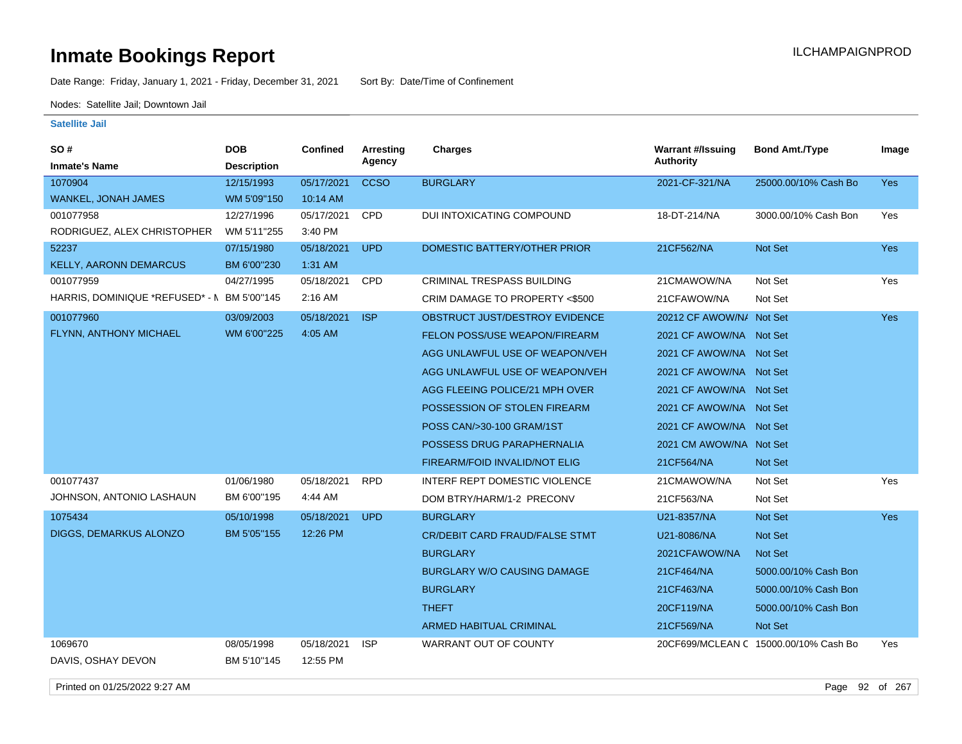Date Range: Friday, January 1, 2021 - Friday, December 31, 2021 Sort By: Date/Time of Confinement

Nodes: Satellite Jail; Downtown Jail

#### **Satellite Jail**

| <b>SO#</b>                                  | <b>DOB</b>                | Confined               | Arresting   | <b>Charges</b>                        | <b>Warrant #/Issuing</b> | <b>Bond Amt./Type</b>                 | Image      |
|---------------------------------------------|---------------------------|------------------------|-------------|---------------------------------------|--------------------------|---------------------------------------|------------|
| <b>Inmate's Name</b>                        | <b>Description</b>        |                        | Agency      |                                       | <b>Authority</b>         |                                       |            |
| 1070904                                     | 12/15/1993                | 05/17/2021             | <b>CCSO</b> | <b>BURGLARY</b>                       | 2021-CF-321/NA           | 25000.00/10% Cash Bo                  | Yes        |
| WANKEL, JONAH JAMES                         | WM 5'09"150               | 10:14 AM               |             |                                       |                          |                                       |            |
| 001077958                                   | 12/27/1996                | 05/17/2021             | CPD         | DUI INTOXICATING COMPOUND             | 18-DT-214/NA             | 3000.00/10% Cash Bon                  | Yes        |
| RODRIGUEZ, ALEX CHRISTOPHER                 | WM 5'11"255               | 3:40 PM                |             |                                       |                          |                                       |            |
| 52237                                       | 07/15/1980                | 05/18/2021             | <b>UPD</b>  | DOMESTIC BATTERY/OTHER PRIOR          | 21CF562/NA               | Not Set                               | Yes        |
| <b>KELLY, AARONN DEMARCUS</b>               | BM 6'00"230               | 1:31 AM                |             |                                       |                          |                                       |            |
| 001077959                                   | 04/27/1995                | 05/18/2021             | CPD         | <b>CRIMINAL TRESPASS BUILDING</b>     | 21CMAWOW/NA              | Not Set                               | Yes        |
| HARRIS, DOMINIQUE *REFUSED* - N BM 5'00"145 |                           | 2:16 AM                |             | CRIM DAMAGE TO PROPERTY <\$500        | 21CFAWOW/NA              | Not Set                               |            |
| 001077960                                   | 03/09/2003                | 05/18/2021             | <b>ISP</b>  | OBSTRUCT JUST/DESTROY EVIDENCE        | 20212 CF AWOW/N/ Not Set |                                       | Yes        |
| FLYNN, ANTHONY MICHAEL                      | WM 6'00"225               | 4:05 AM                |             | FELON POSS/USE WEAPON/FIREARM         | 2021 CF AWOW/NA Not Set  |                                       |            |
|                                             |                           |                        |             | AGG UNLAWFUL USE OF WEAPON/VEH        | 2021 CF AWOW/NA Not Set  |                                       |            |
|                                             |                           |                        |             | AGG UNLAWFUL USE OF WEAPON/VEH        | 2021 CF AWOW/NA Not Set  |                                       |            |
|                                             |                           |                        |             | AGG FLEEING POLICE/21 MPH OVER        | 2021 CF AWOW/NA Not Set  |                                       |            |
|                                             |                           |                        |             | POSSESSION OF STOLEN FIREARM          | 2021 CF AWOW/NA Not Set  |                                       |            |
|                                             |                           |                        |             | POSS CAN/>30-100 GRAM/1ST             | 2021 CF AWOW/NA Not Set  |                                       |            |
|                                             |                           |                        |             | POSSESS DRUG PARAPHERNALIA            | 2021 CM AWOW/NA Not Set  |                                       |            |
|                                             |                           |                        |             | <b>FIREARM/FOID INVALID/NOT ELIG</b>  | 21CF564/NA               | Not Set                               |            |
| 001077437                                   | 01/06/1980                | 05/18/2021             | <b>RPD</b>  | INTERF REPT DOMESTIC VIOLENCE         | 21CMAWOW/NA              | Not Set                               | Yes        |
| JOHNSON, ANTONIO LASHAUN                    | BM 6'00"195               | 4:44 AM                |             | DOM BTRY/HARM/1-2 PRECONV             | 21CF563/NA               | Not Set                               |            |
| 1075434                                     | 05/10/1998                | 05/18/2021             | <b>UPD</b>  | <b>BURGLARY</b>                       | U21-8357/NA              | Not Set                               | <b>Yes</b> |
| DIGGS, DEMARKUS ALONZO                      | BM 5'05"155               | 12:26 PM               |             | <b>CR/DEBIT CARD FRAUD/FALSE STMT</b> | U21-8086/NA              | Not Set                               |            |
|                                             |                           |                        |             | <b>BURGLARY</b>                       | 2021CFAWOW/NA            | Not Set                               |            |
|                                             |                           |                        |             | <b>BURGLARY W/O CAUSING DAMAGE</b>    | 21CF464/NA               | 5000.00/10% Cash Bon                  |            |
|                                             |                           |                        |             | <b>BURGLARY</b>                       | 21CF463/NA               | 5000.00/10% Cash Bon                  |            |
|                                             |                           |                        |             | <b>THEFT</b>                          | 20CF119/NA               | 5000.00/10% Cash Bon                  |            |
|                                             |                           |                        |             | <b>ARMED HABITUAL CRIMINAL</b>        | 21CF569/NA               | Not Set                               |            |
| 1069670<br>DAVIS, OSHAY DEVON               | 08/05/1998<br>BM 5'10"145 | 05/18/2021<br>12:55 PM | <b>ISP</b>  | WARRANT OUT OF COUNTY                 |                          | 20CF699/MCLEAN C 15000.00/10% Cash Bo | Yes        |

Printed on 01/25/2022 9:27 AM Page 92 of 267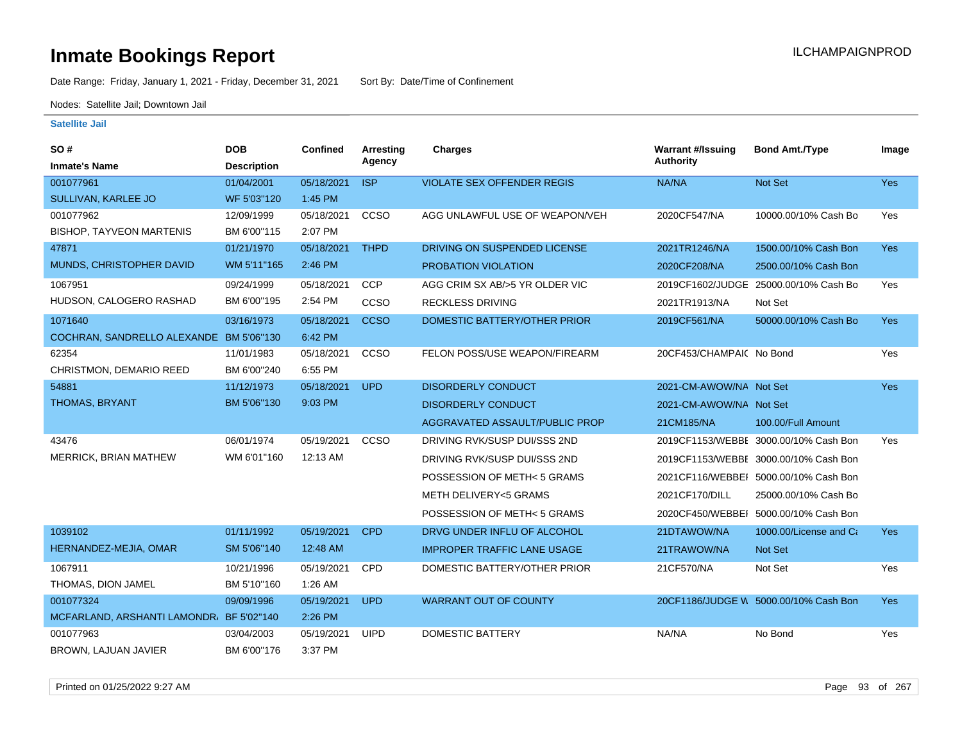Date Range: Friday, January 1, 2021 - Friday, December 31, 2021 Sort By: Date/Time of Confinement

Nodes: Satellite Jail; Downtown Jail

| SO #                                     | <b>DOB</b>         | Confined   | Arresting   | <b>Charges</b>                     | <b>Warrant #/Issuing</b> | <b>Bond Amt./Type</b>                 | Image      |
|------------------------------------------|--------------------|------------|-------------|------------------------------------|--------------------------|---------------------------------------|------------|
| <b>Inmate's Name</b>                     | <b>Description</b> |            | Agency      |                                    | <b>Authority</b>         |                                       |            |
| 001077961                                | 01/04/2001         | 05/18/2021 | <b>ISP</b>  | <b>VIOLATE SEX OFFENDER REGIS</b>  | NA/NA                    | Not Set                               | <b>Yes</b> |
| SULLIVAN, KARLEE JO                      | WF 5'03"120        | 1:45 PM    |             |                                    |                          |                                       |            |
| 001077962                                | 12/09/1999         | 05/18/2021 | CCSO        | AGG UNLAWFUL USE OF WEAPON/VEH     | 2020CF547/NA             | 10000.00/10% Cash Bo                  | Yes        |
| <b>BISHOP, TAYVEON MARTENIS</b>          | BM 6'00"115        | 2:07 PM    |             |                                    |                          |                                       |            |
| 47871                                    | 01/21/1970         | 05/18/2021 | <b>THPD</b> | DRIVING ON SUSPENDED LICENSE       | 2021TR1246/NA            | 1500.00/10% Cash Bon                  | <b>Yes</b> |
| MUNDS, CHRISTOPHER DAVID                 | WM 5'11"165        | 2:46 PM    |             | PROBATION VIOLATION                | 2020CF208/NA             | 2500.00/10% Cash Bon                  |            |
| 1067951                                  | 09/24/1999         | 05/18/2021 | <b>CCP</b>  | AGG CRIM SX AB/>5 YR OLDER VIC     |                          | 2019CF1602/JUDGE 25000.00/10% Cash Bo | Yes        |
| HUDSON, CALOGERO RASHAD                  | BM 6'00"195        | 2:54 PM    | CCSO        | <b>RECKLESS DRIVING</b>            | 2021TR1913/NA            | Not Set                               |            |
| 1071640                                  | 03/16/1973         | 05/18/2021 | <b>CCSO</b> | DOMESTIC BATTERY/OTHER PRIOR       | 2019CF561/NA             | 50000.00/10% Cash Bo                  | <b>Yes</b> |
| COCHRAN, SANDRELLO ALEXANDE              | BM 5'06"130        | 6:42 PM    |             |                                    |                          |                                       |            |
| 62354                                    | 11/01/1983         | 05/18/2021 | CCSO        | FELON POSS/USE WEAPON/FIREARM      | 20CF453/CHAMPAIC No Bond |                                       | Yes        |
| CHRISTMON, DEMARIO REED                  | BM 6'00"240        | 6:55 PM    |             |                                    |                          |                                       |            |
| 54881                                    | 11/12/1973         | 05/18/2021 | <b>UPD</b>  | <b>DISORDERLY CONDUCT</b>          | 2021-CM-AWOW/NA Not Set  |                                       | Yes        |
| THOMAS, BRYANT                           | BM 5'06"130        | 9:03 PM    |             | <b>DISORDERLY CONDUCT</b>          | 2021-CM-AWOW/NA Not Set  |                                       |            |
|                                          |                    |            |             | AGGRAVATED ASSAULT/PUBLIC PROP     | 21CM185/NA               | 100.00/Full Amount                    |            |
| 43476                                    | 06/01/1974         | 05/19/2021 | CCSO        | DRIVING RVK/SUSP DUI/SSS 2ND       |                          | 2019CF1153/WEBBI 3000.00/10% Cash Bon | Yes        |
| MERRICK, BRIAN MATHEW                    | WM 6'01"160        | 12:13 AM   |             | DRIVING RVK/SUSP DUI/SSS 2ND       |                          | 2019CF1153/WEBBE 3000.00/10% Cash Bon |            |
|                                          |                    |            |             | POSSESSION OF METH<5 GRAMS         |                          | 2021CF116/WEBBEI 5000.00/10% Cash Bon |            |
|                                          |                    |            |             | METH DELIVERY<5 GRAMS              | 2021CF170/DILL           | 25000.00/10% Cash Bo                  |            |
|                                          |                    |            |             | POSSESSION OF METH<5 GRAMS         |                          | 2020CF450/WEBBEI 5000.00/10% Cash Bon |            |
| 1039102                                  | 01/11/1992         | 05/19/2021 | <b>CPD</b>  | DRVG UNDER INFLU OF ALCOHOL        | 21DTAWOW/NA              | 1000.00/License and Ca                | <b>Yes</b> |
| HERNANDEZ-MEJIA, OMAR                    | SM 5'06"140        | 12:48 AM   |             | <b>IMPROPER TRAFFIC LANE USAGE</b> | 21TRAWOW/NA              | <b>Not Set</b>                        |            |
| 1067911                                  | 10/21/1996         | 05/19/2021 | <b>CPD</b>  | DOMESTIC BATTERY/OTHER PRIOR       | 21CF570/NA               | Not Set                               | Yes        |
| THOMAS, DION JAMEL                       | BM 5'10"160        | 1:26 AM    |             |                                    |                          |                                       |            |
| 001077324                                | 09/09/1996         | 05/19/2021 | <b>UPD</b>  | <b>WARRANT OUT OF COUNTY</b>       |                          | 20CF1186/JUDGE W 5000.00/10% Cash Bon | <b>Yes</b> |
| MCFARLAND, ARSHANTI LAMONDR. BF 5'02"140 |                    | 2:26 PM    |             |                                    |                          |                                       |            |
| 001077963                                | 03/04/2003         | 05/19/2021 | <b>UIPD</b> | <b>DOMESTIC BATTERY</b>            | NA/NA                    | No Bond                               | Yes        |
| BROWN, LAJUAN JAVIER                     | BM 6'00"176        | 3:37 PM    |             |                                    |                          |                                       |            |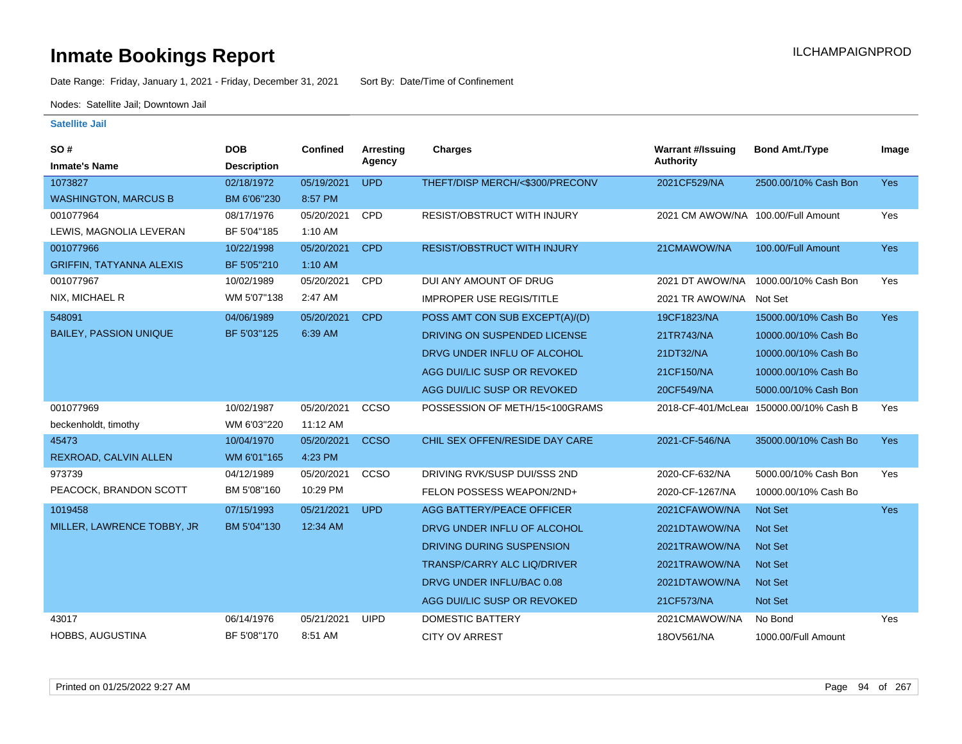Date Range: Friday, January 1, 2021 - Friday, December 31, 2021 Sort By: Date/Time of Confinement

Nodes: Satellite Jail; Downtown Jail

| SO#                             | <b>DOB</b>         | Confined   | <b>Arresting</b><br>Agency | Charges                            | <b>Warrant #/Issuing</b><br><b>Authority</b> | <b>Bond Amt./Type</b>                   | Image      |
|---------------------------------|--------------------|------------|----------------------------|------------------------------------|----------------------------------------------|-----------------------------------------|------------|
| <b>Inmate's Name</b>            | <b>Description</b> |            |                            |                                    |                                              |                                         |            |
| 1073827                         | 02/18/1972         | 05/19/2021 | <b>UPD</b>                 | THEFT/DISP MERCH/<\$300/PRECONV    | 2021CF529/NA                                 | 2500.00/10% Cash Bon                    | Yes        |
| <b>WASHINGTON, MARCUS B</b>     | BM 6'06"230        | 8:57 PM    |                            |                                    |                                              |                                         |            |
| 001077964                       | 08/17/1976         | 05/20/2021 | CPD                        | RESIST/OBSTRUCT WITH INJURY        | 2021 CM AWOW/NA 100.00/Full Amount           |                                         | Yes        |
| LEWIS, MAGNOLIA LEVERAN         | BF 5'04"185        | 1:10 AM    |                            |                                    |                                              |                                         |            |
| 001077966                       | 10/22/1998         | 05/20/2021 | <b>CPD</b>                 | <b>RESIST/OBSTRUCT WITH INJURY</b> | 21CMAWOW/NA                                  | 100.00/Full Amount                      | <b>Yes</b> |
| <b>GRIFFIN, TATYANNA ALEXIS</b> | BF 5'05"210        | 1:10 AM    |                            |                                    |                                              |                                         |            |
| 001077967                       | 10/02/1989         | 05/20/2021 | <b>CPD</b>                 | DUI ANY AMOUNT OF DRUG             | 2021 DT AWOW/NA                              | 1000.00/10% Cash Bon                    | Yes        |
| NIX, MICHAEL R                  | WM 5'07"138        | 2:47 AM    |                            | <b>IMPROPER USE REGIS/TITLE</b>    | 2021 TR AWOW/NA                              | Not Set                                 |            |
| 548091                          | 04/06/1989         | 05/20/2021 | <b>CPD</b>                 | POSS AMT CON SUB EXCEPT(A)/(D)     | 19CF1823/NA                                  | 15000.00/10% Cash Bo                    | <b>Yes</b> |
| <b>BAILEY, PASSION UNIQUE</b>   | BF 5'03"125        | 6:39 AM    |                            | DRIVING ON SUSPENDED LICENSE       | 21TR743/NA                                   | 10000.00/10% Cash Bo                    |            |
|                                 |                    |            |                            | DRVG UNDER INFLU OF ALCOHOL        | 21DT32/NA                                    | 10000.00/10% Cash Bo                    |            |
|                                 |                    |            |                            | AGG DUI/LIC SUSP OR REVOKED        | 21CF150/NA                                   | 10000.00/10% Cash Bo                    |            |
|                                 |                    |            |                            | AGG DUI/LIC SUSP OR REVOKED        | 20CF549/NA                                   | 5000.00/10% Cash Bon                    |            |
| 001077969                       | 10/02/1987         | 05/20/2021 | CCSO                       | POSSESSION OF METH/15<100GRAMS     |                                              | 2018-CF-401/McLear 150000.00/10% Cash B | Yes        |
| beckenholdt, timothy            | WM 6'03"220        | 11:12 AM   |                            |                                    |                                              |                                         |            |
| 45473                           | 10/04/1970         | 05/20/2021 | <b>CCSO</b>                | CHIL SEX OFFEN/RESIDE DAY CARE     | 2021-CF-546/NA                               | 35000.00/10% Cash Bo                    | <b>Yes</b> |
| REXROAD, CALVIN ALLEN           | WM 6'01"165        | 4:23 PM    |                            |                                    |                                              |                                         |            |
| 973739                          | 04/12/1989         | 05/20/2021 | CCSO                       | DRIVING RVK/SUSP DUI/SSS 2ND       | 2020-CF-632/NA                               | 5000.00/10% Cash Bon                    | Yes        |
| PEACOCK, BRANDON SCOTT          | BM 5'08"160        | 10:29 PM   |                            | FELON POSSESS WEAPON/2ND+          | 2020-CF-1267/NA                              | 10000.00/10% Cash Bo                    |            |
| 1019458                         | 07/15/1993         | 05/21/2021 | <b>UPD</b>                 | AGG BATTERY/PEACE OFFICER          | 2021CFAWOW/NA                                | <b>Not Set</b>                          | <b>Yes</b> |
| MILLER, LAWRENCE TOBBY, JR      | BM 5'04"130        | 12:34 AM   |                            | DRVG UNDER INFLU OF ALCOHOL        | 2021DTAWOW/NA                                | <b>Not Set</b>                          |            |
|                                 |                    |            |                            | DRIVING DURING SUSPENSION          | 2021TRAWOW/NA                                | Not Set                                 |            |
|                                 |                    |            |                            | <b>TRANSP/CARRY ALC LIQ/DRIVER</b> | 2021TRAWOW/NA                                | <b>Not Set</b>                          |            |
|                                 |                    |            |                            | DRVG UNDER INFLU/BAC 0.08          | 2021DTAWOW/NA                                | <b>Not Set</b>                          |            |
|                                 |                    |            |                            | AGG DUI/LIC SUSP OR REVOKED        | 21CF573/NA                                   | Not Set                                 |            |
| 43017                           | 06/14/1976         | 05/21/2021 | <b>UIPD</b>                | DOMESTIC BATTERY                   | 2021CMAWOW/NA                                | No Bond                                 | Yes        |
| <b>HOBBS, AUGUSTINA</b>         | BF 5'08"170        | 8:51 AM    |                            | <b>CITY OV ARREST</b>              | 18OV561/NA                                   | 1000.00/Full Amount                     |            |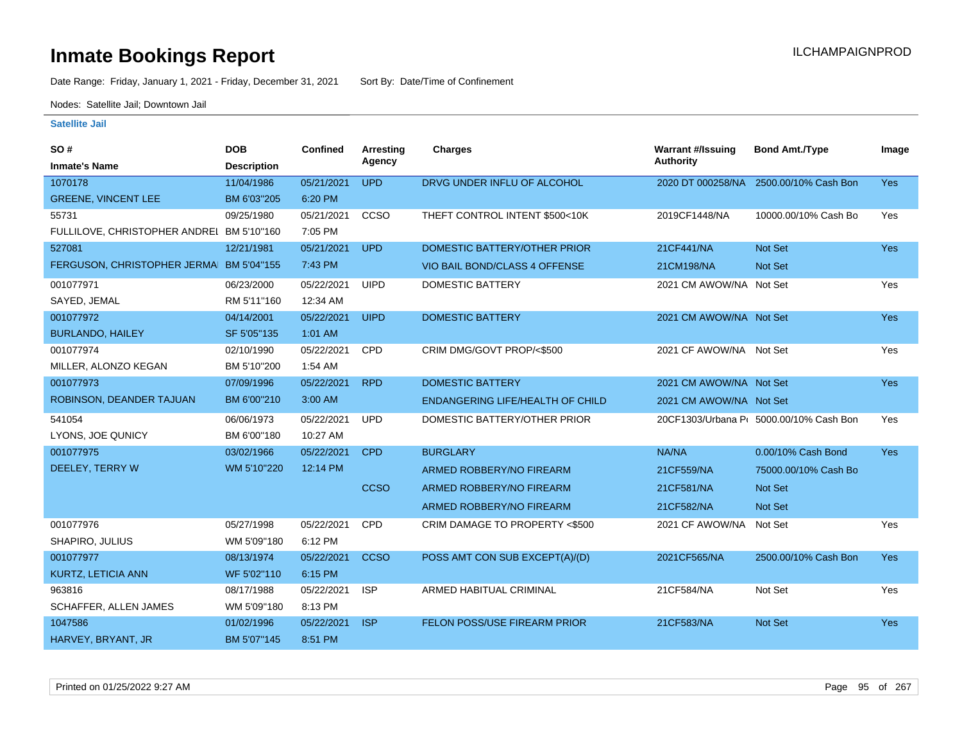Date Range: Friday, January 1, 2021 - Friday, December 31, 2021 Sort By: Date/Time of Confinement

Nodes: Satellite Jail; Downtown Jail

| SO#                                       | <b>DOB</b>         | Confined   | <b>Arresting</b> | Charges                             | <b>Warrant #/Issuing</b> | <b>Bond Amt./Type</b>                   | Image      |
|-------------------------------------------|--------------------|------------|------------------|-------------------------------------|--------------------------|-----------------------------------------|------------|
| <b>Inmate's Name</b>                      | <b>Description</b> |            | Agency           |                                     | Authority                |                                         |            |
| 1070178                                   | 11/04/1986         | 05/21/2021 | <b>UPD</b>       | DRVG UNDER INFLU OF ALCOHOL         | 2020 DT 000258/NA        | 2500.00/10% Cash Bon                    | <b>Yes</b> |
| <b>GREENE, VINCENT LEE</b>                | BM 6'03"205        | 6:20 PM    |                  |                                     |                          |                                         |            |
| 55731                                     | 09/25/1980         | 05/21/2021 | CCSO             | THEFT CONTROL INTENT \$500<10K      | 2019CF1448/NA            | 10000.00/10% Cash Bo                    | Yes        |
| FULLILOVE, CHRISTOPHER ANDREI BM 5'10"160 |                    | 7:05 PM    |                  |                                     |                          |                                         |            |
| 527081                                    | 12/21/1981         | 05/21/2021 | <b>UPD</b>       | DOMESTIC BATTERY/OTHER PRIOR        | 21CF441/NA               | <b>Not Set</b>                          | <b>Yes</b> |
| FERGUSON, CHRISTOPHER JERMA               | BM 5'04"155        | 7:43 PM    |                  | VIO BAIL BOND/CLASS 4 OFFENSE       | 21CM198/NA               | Not Set                                 |            |
| 001077971                                 | 06/23/2000         | 05/22/2021 | <b>UIPD</b>      | <b>DOMESTIC BATTERY</b>             | 2021 CM AWOW/NA Not Set  |                                         | Yes        |
| SAYED, JEMAL                              | RM 5'11"160        | 12:34 AM   |                  |                                     |                          |                                         |            |
| 001077972                                 | 04/14/2001         | 05/22/2021 | <b>UIPD</b>      | <b>DOMESTIC BATTERY</b>             | 2021 CM AWOW/NA Not Set  |                                         | <b>Yes</b> |
| <b>BURLANDO, HAILEY</b>                   | SF 5'05"135        | 1:01 AM    |                  |                                     |                          |                                         |            |
| 001077974                                 | 02/10/1990         | 05/22/2021 | CPD              | CRIM DMG/GOVT PROP/<\$500           | 2021 CF AWOW/NA Not Set  |                                         | Yes        |
| MILLER, ALONZO KEGAN                      | BM 5'10"200        | 1:54 AM    |                  |                                     |                          |                                         |            |
| 001077973                                 | 07/09/1996         | 05/22/2021 | <b>RPD</b>       | <b>DOMESTIC BATTERY</b>             | 2021 CM AWOW/NA Not Set  |                                         | <b>Yes</b> |
| ROBINSON, DEANDER TAJUAN                  | BM 6'00"210        | $3:00$ AM  |                  | ENDANGERING LIFE/HEALTH OF CHILD    | 2021 CM AWOW/NA Not Set  |                                         |            |
| 541054                                    | 06/06/1973         | 05/22/2021 | <b>UPD</b>       | DOMESTIC BATTERY/OTHER PRIOR        |                          | 20CF1303/Urbana P( 5000.00/10% Cash Bon | Yes        |
| LYONS, JOE QUNICY                         | BM 6'00"180        | 10:27 AM   |                  |                                     |                          |                                         |            |
| 001077975                                 | 03/02/1966         | 05/22/2021 | <b>CPD</b>       | <b>BURGLARY</b>                     | NA/NA                    | 0.00/10% Cash Bond                      | <b>Yes</b> |
| DEELEY, TERRY W                           | WM 5'10"220        | 12:14 PM   |                  | ARMED ROBBERY/NO FIREARM            | 21CF559/NA               | 75000.00/10% Cash Bo                    |            |
|                                           |                    |            | <b>CCSO</b>      | ARMED ROBBERY/NO FIREARM            | 21CF581/NA               | Not Set                                 |            |
|                                           |                    |            |                  | ARMED ROBBERY/NO FIREARM            | 21CF582/NA               | <b>Not Set</b>                          |            |
| 001077976                                 | 05/27/1998         | 05/22/2021 | CPD              | CRIM DAMAGE TO PROPERTY <\$500      | 2021 CF AWOW/NA          | Not Set                                 | Yes        |
| SHAPIRO, JULIUS                           | WM 5'09"180        | 6:12 PM    |                  |                                     |                          |                                         |            |
| 001077977                                 | 08/13/1974         | 05/22/2021 | <b>CCSO</b>      | POSS AMT CON SUB EXCEPT(A)/(D)      | 2021CF565/NA             | 2500.00/10% Cash Bon                    | Yes:       |
| <b>KURTZ, LETICIA ANN</b>                 | WF 5'02"110        | 6:15 PM    |                  |                                     |                          |                                         |            |
| 963816                                    | 08/17/1988         | 05/22/2021 | <b>ISP</b>       | ARMED HABITUAL CRIMINAL             | 21CF584/NA               | Not Set                                 | Yes        |
| SCHAFFER, ALLEN JAMES                     | WM 5'09"180        | 8:13 PM    |                  |                                     |                          |                                         |            |
| 1047586                                   | 01/02/1996         | 05/22/2021 | <b>ISP</b>       | <b>FELON POSS/USE FIREARM PRIOR</b> | 21CF583/NA               | <b>Not Set</b>                          | <b>Yes</b> |
| HARVEY, BRYANT, JR                        | BM 5'07"145        | 8:51 PM    |                  |                                     |                          |                                         |            |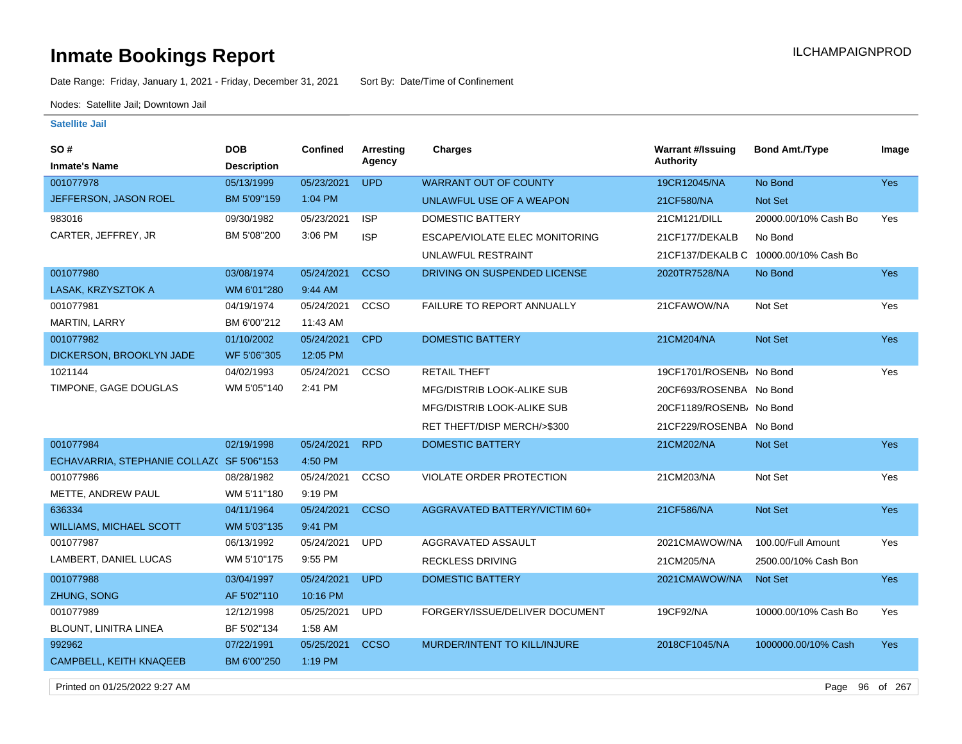# **Inmate Bookings Report Installation ILCHAMPAIGNPROD**

Date Range: Friday, January 1, 2021 - Friday, December 31, 2021 Sort By: Date/Time of Confinement

Nodes: Satellite Jail; Downtown Jail

#### **Satellite Jail**

| SO #                                      | <b>DOB</b>         | <b>Confined</b> | <b>Arresting</b> | <b>Charges</b>                    | <b>Warrant #/Issuing</b>             | <b>Bond Amt./Type</b>                 | Image      |
|-------------------------------------------|--------------------|-----------------|------------------|-----------------------------------|--------------------------------------|---------------------------------------|------------|
| <b>Inmate's Name</b>                      | <b>Description</b> |                 | Agency           |                                   | Authority                            |                                       |            |
| 001077978                                 | 05/13/1999         | 05/23/2021      | <b>UPD</b>       | <b>WARRANT OUT OF COUNTY</b>      | 19CR12045/NA                         | No Bond                               | <b>Yes</b> |
| JEFFERSON, JASON ROEL                     | BM 5'09"159        | $1:04$ PM       |                  | UNLAWFUL USE OF A WEAPON          | 21CF580/NA                           | Not Set                               |            |
| 983016                                    | 09/30/1982         | 05/23/2021      | <b>ISP</b>       | <b>DOMESTIC BATTERY</b>           | 21CM121/DILL                         | 20000.00/10% Cash Bo                  | Yes        |
| CARTER, JEFFREY, JR                       | BM 5'08"200        | 3:06 PM         | <b>ISP</b>       | ESCAPE/VIOLATE ELEC MONITORING    | 21CF177/DEKALB                       | No Bond                               |            |
|                                           |                    |                 |                  | UNLAWFUL RESTRAINT                |                                      | 21CF137/DEKALB C 10000.00/10% Cash Bo |            |
| 001077980                                 | 03/08/1974         | 05/24/2021      | <b>CCSO</b>      | DRIVING ON SUSPENDED LICENSE      | 2020TR7528/NA                        | No Bond                               | Yes        |
| LASAK, KRZYSZTOK A                        | WM 6'01"280        | 9:44 AM         |                  |                                   |                                      |                                       |            |
| 001077981                                 | 04/19/1974         | 05/24/2021      | CCSO             | FAILURE TO REPORT ANNUALLY        | 21CFAWOW/NA                          | Not Set                               | Yes        |
| <b>MARTIN, LARRY</b>                      | BM 6'00"212        | 11:43 AM        |                  |                                   |                                      |                                       |            |
| 001077982                                 | 01/10/2002         | 05/24/2021      | <b>CPD</b>       | <b>DOMESTIC BATTERY</b>           | 21CM204/NA                           | Not Set                               | Yes        |
| DICKERSON, BROOKLYN JADE                  | WF 5'06"305        | 12:05 PM        |                  |                                   |                                      |                                       |            |
| 1021144                                   | 04/02/1993         | 05/24/2021      | CCSO             | <b>RETAIL THEFT</b>               | 19CF1701/ROSENB/ No Bond             |                                       | Yes        |
| TIMPONE, GAGE DOUGLAS                     | WM 5'05"140        | 2:41 PM         |                  | <b>MFG/DISTRIB LOOK-ALIKE SUB</b> | 20CF693/ROSENBA No Bond              |                                       |            |
|                                           |                    |                 |                  | <b>MFG/DISTRIB LOOK-ALIKE SUB</b> | 20CF1189/ROSENB <sub>i</sub> No Bond |                                       |            |
|                                           |                    |                 |                  | RET THEFT/DISP MERCH/>\$300       | 21CF229/ROSENBA No Bond              |                                       |            |
| 001077984                                 | 02/19/1998         | 05/24/2021      | <b>RPD</b>       | <b>DOMESTIC BATTERY</b>           | 21CM202/NA                           | Not Set                               | <b>Yes</b> |
| ECHAVARRIA, STEPHANIE COLLAZ( SF 5'06"153 |                    | 4:50 PM         |                  |                                   |                                      |                                       |            |
| 001077986                                 | 08/28/1982         | 05/24/2021      | CCSO             | VIOLATE ORDER PROTECTION          | 21CM203/NA                           | Not Set                               | Yes        |
| METTE, ANDREW PAUL                        | WM 5'11"180        | 9:19 PM         |                  |                                   |                                      |                                       |            |
| 636334                                    | 04/11/1964         | 05/24/2021      | <b>CCSO</b>      | AGGRAVATED BATTERY/VICTIM 60+     | 21CF586/NA                           | Not Set                               | Yes        |
| <b>WILLIAMS, MICHAEL SCOTT</b>            | WM 5'03"135        | 9:41 PM         |                  |                                   |                                      |                                       |            |
| 001077987                                 | 06/13/1992         | 05/24/2021      | <b>UPD</b>       | AGGRAVATED ASSAULT                | 2021CMAWOW/NA                        | 100.00/Full Amount                    | Yes        |
| LAMBERT, DANIEL LUCAS                     | WM 5'10"175        | 9:55 PM         |                  | <b>RECKLESS DRIVING</b>           | 21CM205/NA                           | 2500.00/10% Cash Bon                  |            |
| 001077988                                 | 03/04/1997         | 05/24/2021      | <b>UPD</b>       | <b>DOMESTIC BATTERY</b>           | 2021CMAWOW/NA                        | <b>Not Set</b>                        | <b>Yes</b> |
| ZHUNG, SONG                               | AF 5'02"110        | 10:16 PM        |                  |                                   |                                      |                                       |            |
| 001077989                                 | 12/12/1998         | 05/25/2021      | <b>UPD</b>       | FORGERY/ISSUE/DELIVER DOCUMENT    | 19CF92/NA                            | 10000.00/10% Cash Bo                  | Yes        |
| BLOUNT, LINITRA LINEA                     | BF 5'02"134        | 1:58 AM         |                  |                                   |                                      |                                       |            |
| 992962                                    | 07/22/1991         | 05/25/2021      | <b>CCSO</b>      | MURDER/INTENT TO KILL/INJURE      | 2018CF1045/NA                        | 1000000.00/10% Cash                   | <b>Yes</b> |
| <b>CAMPBELL, KEITH KNAQEEB</b>            | BM 6'00"250        | 1:19 PM         |                  |                                   |                                      |                                       |            |
|                                           |                    |                 |                  |                                   |                                      |                                       |            |

Printed on 01/25/2022 9:27 AM Page 96 of 267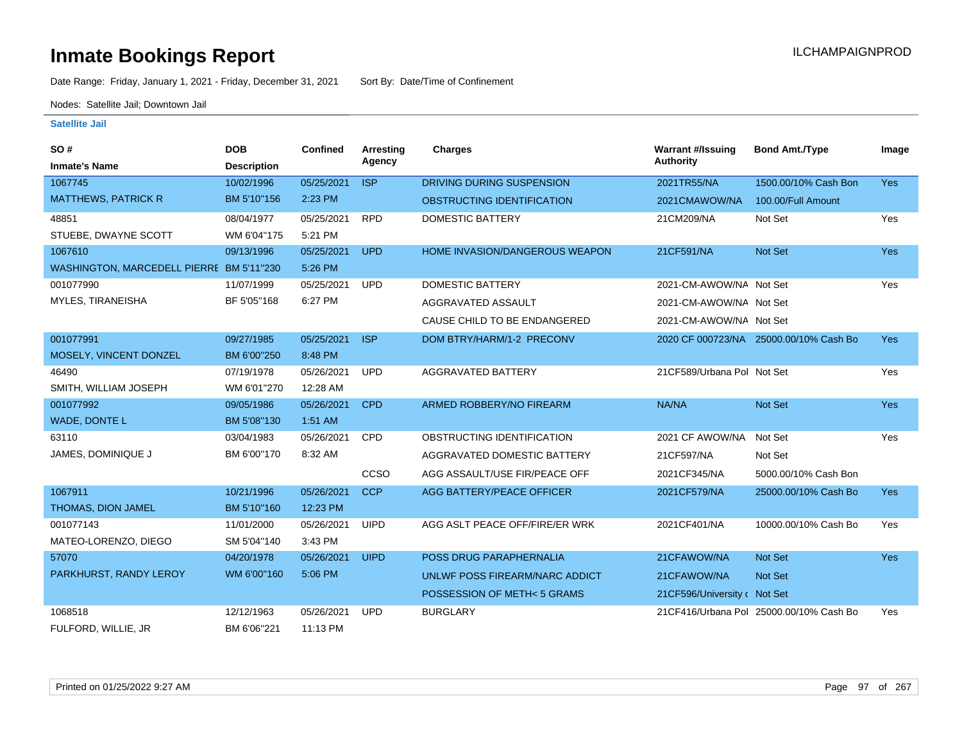Date Range: Friday, January 1, 2021 - Friday, December 31, 2021 Sort By: Date/Time of Confinement

Nodes: Satellite Jail; Downtown Jail

| SO#                                      | <b>DOB</b>         | <b>Confined</b> | Arresting   | <b>Charges</b>                 | <b>Warrant #/Issuing</b>     | <b>Bond Amt./Type</b>                   | Image      |
|------------------------------------------|--------------------|-----------------|-------------|--------------------------------|------------------------------|-----------------------------------------|------------|
| <b>Inmate's Name</b>                     | <b>Description</b> |                 | Agency      |                                | <b>Authority</b>             |                                         |            |
| 1067745                                  | 10/02/1996         | 05/25/2021      | <b>ISP</b>  | DRIVING DURING SUSPENSION      | 2021TR55/NA                  | 1500.00/10% Cash Bon                    | <b>Yes</b> |
| <b>MATTHEWS, PATRICK R</b>               | BM 5'10"156        | 2:23 PM         |             | OBSTRUCTING IDENTIFICATION     | 2021CMAWOW/NA                | 100.00/Full Amount                      |            |
| 48851                                    | 08/04/1977         | 05/25/2021      | <b>RPD</b>  | DOMESTIC BATTERY               | 21CM209/NA                   | Not Set                                 | Yes        |
| STUEBE, DWAYNE SCOTT                     | WM 6'04"175        | 5:21 PM         |             |                                |                              |                                         |            |
| 1067610                                  | 09/13/1996         | 05/25/2021      | <b>UPD</b>  | HOME INVASION/DANGEROUS WEAPON | 21CF591/NA                   | Not Set                                 | <b>Yes</b> |
| WASHINGTON, MARCEDELL PIERRE BM 5'11"230 |                    | 5:26 PM         |             |                                |                              |                                         |            |
| 001077990                                | 11/07/1999         | 05/25/2021      | <b>UPD</b>  | <b>DOMESTIC BATTERY</b>        | 2021-CM-AWOW/NA Not Set      |                                         | Yes        |
| MYLES, TIRANEISHA                        | BF 5'05"168        | 6:27 PM         |             | AGGRAVATED ASSAULT             | 2021-CM-AWOW/NA Not Set      |                                         |            |
|                                          |                    |                 |             | CAUSE CHILD TO BE ENDANGERED   | 2021-CM-AWOW/NA Not Set      |                                         |            |
| 001077991                                | 09/27/1985         | 05/25/2021      | <b>ISP</b>  | DOM BTRY/HARM/1-2 PRECONV      |                              | 2020 CF 000723/NA 25000.00/10% Cash Bo  | <b>Yes</b> |
| MOSELY, VINCENT DONZEL                   | BM 6'00"250        | 8:48 PM         |             |                                |                              |                                         |            |
| 46490                                    | 07/19/1978         | 05/26/2021      | <b>UPD</b>  | AGGRAVATED BATTERY             | 21CF589/Urbana Pol Not Set   |                                         | Yes        |
| SMITH, WILLIAM JOSEPH                    | WM 6'01"270        | 12:28 AM        |             |                                |                              |                                         |            |
| 001077992                                | 09/05/1986         | 05/26/2021      | <b>CPD</b>  | ARMED ROBBERY/NO FIREARM       | NA/NA                        | Not Set                                 | <b>Yes</b> |
| WADE, DONTE L                            | BM 5'08"130        | 1:51 AM         |             |                                |                              |                                         |            |
| 63110                                    | 03/04/1983         | 05/26/2021      | <b>CPD</b>  | OBSTRUCTING IDENTIFICATION     | 2021 CF AWOW/NA              | Not Set                                 | Yes        |
| JAMES, DOMINIQUE J                       | BM 6'00"170        | 8:32 AM         |             | AGGRAVATED DOMESTIC BATTERY    | 21CF597/NA                   | Not Set                                 |            |
|                                          |                    |                 | CCSO        | AGG ASSAULT/USE FIR/PEACE OFF  | 2021CF345/NA                 | 5000.00/10% Cash Bon                    |            |
| 1067911                                  | 10/21/1996         | 05/26/2021      | <b>CCP</b>  | AGG BATTERY/PEACE OFFICER      | 2021CF579/NA                 | 25000.00/10% Cash Bo                    | <b>Yes</b> |
| THOMAS, DION JAMEL                       | BM 5'10"160        | 12:23 PM        |             |                                |                              |                                         |            |
| 001077143                                | 11/01/2000         | 05/26/2021      | <b>UIPD</b> | AGG ASLT PEACE OFF/FIRE/ER WRK | 2021CF401/NA                 | 10000.00/10% Cash Bo                    | Yes        |
| MATEO-LORENZO, DIEGO                     | SM 5'04"140        | 3:43 PM         |             |                                |                              |                                         |            |
| 57070                                    | 04/20/1978         | 05/26/2021      | <b>UIPD</b> | POSS DRUG PARAPHERNALIA        | 21CFAWOW/NA                  | <b>Not Set</b>                          | <b>Yes</b> |
| PARKHURST, RANDY LEROY                   | WM 6'00"160        | 5:06 PM         |             | UNLWF POSS FIREARM/NARC ADDICT | 21CFAWOW/NA                  | <b>Not Set</b>                          |            |
|                                          |                    |                 |             | POSSESSION OF METH<5 GRAMS     | 21CF596/University c Not Set |                                         |            |
| 1068518                                  | 12/12/1963         | 05/26/2021      | <b>UPD</b>  | <b>BURGLARY</b>                |                              | 21CF416/Urbana Pol 25000.00/10% Cash Bo | Yes        |
| FULFORD, WILLIE, JR                      | BM 6'06"221        | 11:13 PM        |             |                                |                              |                                         |            |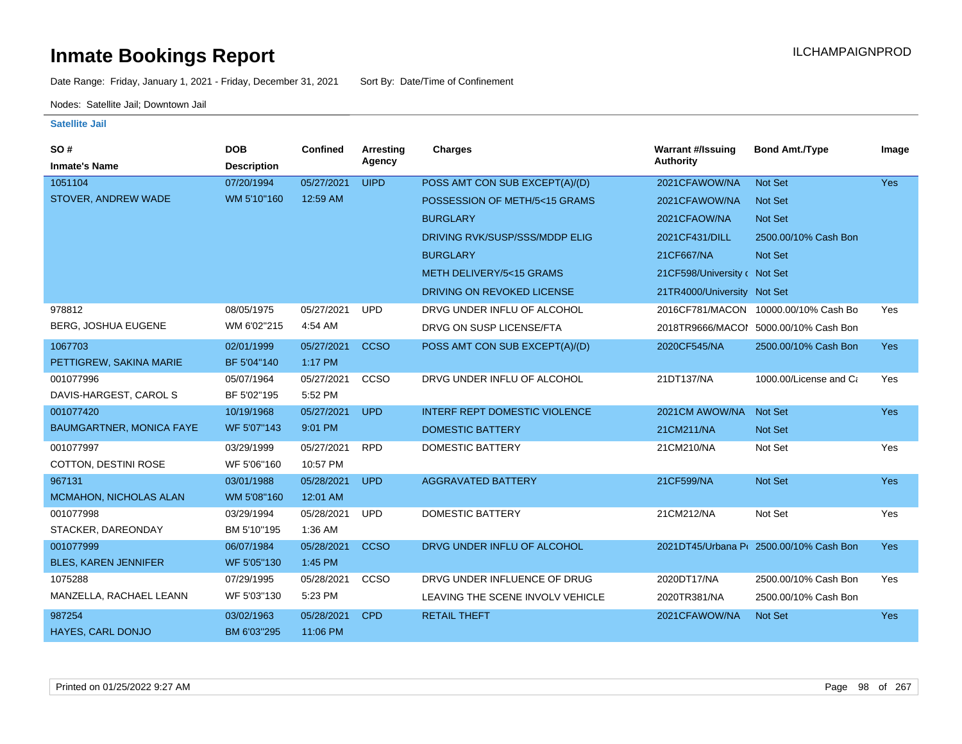Date Range: Friday, January 1, 2021 - Friday, December 31, 2021 Sort By: Date/Time of Confinement

Nodes: Satellite Jail; Downtown Jail

| SO#                             | <b>DOB</b>         | Confined   | Arresting   | Charges                              | <b>Warrant #/Issuing</b>     | <b>Bond Amt./Type</b>                  | Image      |
|---------------------------------|--------------------|------------|-------------|--------------------------------------|------------------------------|----------------------------------------|------------|
| <b>Inmate's Name</b>            | <b>Description</b> |            | Agency      |                                      | <b>Authority</b>             |                                        |            |
| 1051104                         | 07/20/1994         | 05/27/2021 | <b>UIPD</b> | POSS AMT CON SUB EXCEPT(A)/(D)       | 2021CFAWOW/NA                | <b>Not Set</b>                         | <b>Yes</b> |
| STOVER, ANDREW WADE             | WM 5'10"160        | 12:59 AM   |             | POSSESSION OF METH/5<15 GRAMS        | 2021CFAWOW/NA                | Not Set                                |            |
|                                 |                    |            |             | <b>BURGLARY</b>                      | 2021CFAOW/NA                 | Not Set                                |            |
|                                 |                    |            |             | DRIVING RVK/SUSP/SSS/MDDP ELIG       | 2021CF431/DILL               | 2500.00/10% Cash Bon                   |            |
|                                 |                    |            |             | <b>BURGLARY</b>                      | 21CF667/NA                   | <b>Not Set</b>                         |            |
|                                 |                    |            |             | METH DELIVERY/5<15 GRAMS             | 21CF598/University c Not Set |                                        |            |
|                                 |                    |            |             | DRIVING ON REVOKED LICENSE           | 21TR4000/University Not Set  |                                        |            |
| 978812                          | 08/05/1975         | 05/27/2021 | <b>UPD</b>  | DRVG UNDER INFLU OF ALCOHOL          |                              | 2016CF781/MACON 10000.00/10% Cash Bo   | Yes        |
| <b>BERG, JOSHUA EUGENE</b>      | WM 6'02"215        | 4:54 AM    |             | DRVG ON SUSP LICENSE/FTA             |                              | 2018TR9666/MACOI 5000.00/10% Cash Bon  |            |
| 1067703                         | 02/01/1999         | 05/27/2021 | <b>CCSO</b> | POSS AMT CON SUB EXCEPT(A)/(D)       | 2020CF545/NA                 | 2500.00/10% Cash Bon                   | <b>Yes</b> |
| PETTIGREW, SAKINA MARIE         | BF 5'04"140        | 1:17 PM    |             |                                      |                              |                                        |            |
| 001077996                       | 05/07/1964         | 05/27/2021 | CCSO        | DRVG UNDER INFLU OF ALCOHOL          | 21DT137/NA                   | 1000.00/License and Ca                 | Yes        |
| DAVIS-HARGEST, CAROL S          | BF 5'02"195        | 5:52 PM    |             |                                      |                              |                                        |            |
| 001077420                       | 10/19/1968         | 05/27/2021 | <b>UPD</b>  | <b>INTERF REPT DOMESTIC VIOLENCE</b> | 2021CM AWOW/NA               | <b>Not Set</b>                         | <b>Yes</b> |
| <b>BAUMGARTNER, MONICA FAYE</b> | WF 5'07"143        | 9:01 PM    |             | <b>DOMESTIC BATTERY</b>              | 21CM211/NA                   | <b>Not Set</b>                         |            |
| 001077997                       | 03/29/1999         | 05/27/2021 | <b>RPD</b>  | DOMESTIC BATTERY                     | 21CM210/NA                   | Not Set                                | Yes        |
| COTTON, DESTINI ROSE            | WF 5'06"160        | 10:57 PM   |             |                                      |                              |                                        |            |
| 967131                          | 03/01/1988         | 05/28/2021 | <b>UPD</b>  | <b>AGGRAVATED BATTERY</b>            | 21CF599/NA                   | Not Set                                | Yes        |
| MCMAHON, NICHOLAS ALAN          | WM 5'08"160        | 12:01 AM   |             |                                      |                              |                                        |            |
| 001077998                       | 03/29/1994         | 05/28/2021 | <b>UPD</b>  | <b>DOMESTIC BATTERY</b>              | 21CM212/NA                   | Not Set                                | Yes        |
| STACKER, DAREONDAY              | BM 5'10"195        | 1:36 AM    |             |                                      |                              |                                        |            |
| 001077999                       | 06/07/1984         | 05/28/2021 | <b>CCSO</b> | DRVG UNDER INFLU OF ALCOHOL          |                              | 2021DT45/Urbana P(2500.00/10% Cash Bon | <b>Yes</b> |
| <b>BLES, KAREN JENNIFER</b>     | WF 5'05"130        | 1:45 PM    |             |                                      |                              |                                        |            |
| 1075288                         | 07/29/1995         | 05/28/2021 | CCSO        | DRVG UNDER INFLUENCE OF DRUG         | 2020DT17/NA                  | 2500.00/10% Cash Bon                   | Yes        |
| MANZELLA, RACHAEL LEANN         | WF 5'03"130        | 5:23 PM    |             | LEAVING THE SCENE INVOLV VEHICLE     | 2020TR381/NA                 | 2500.00/10% Cash Bon                   |            |
| 987254                          | 03/02/1963         | 05/28/2021 | <b>CPD</b>  | <b>RETAIL THEFT</b>                  | 2021CFAWOW/NA                | Not Set                                | <b>Yes</b> |
| <b>HAYES, CARL DONJO</b>        | BM 6'03"295        | 11:06 PM   |             |                                      |                              |                                        |            |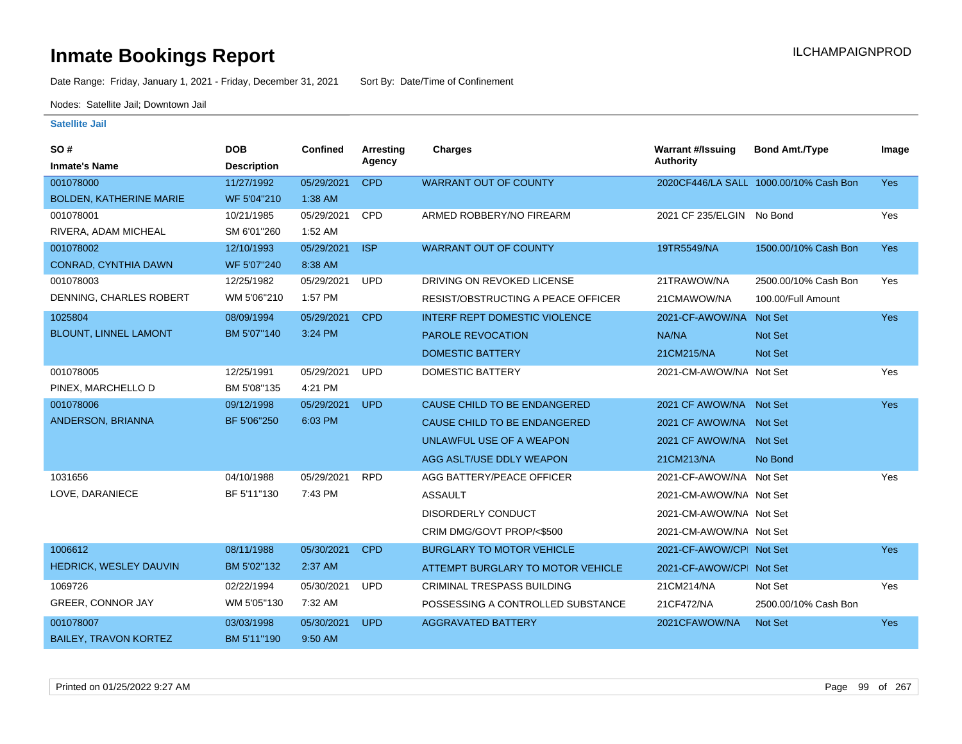Date Range: Friday, January 1, 2021 - Friday, December 31, 2021 Sort By: Date/Time of Confinement

Nodes: Satellite Jail; Downtown Jail

| SO#                            | <b>DOB</b>         | <b>Confined</b> | <b>Arresting</b> | <b>Charges</b>                            | <b>Warrant #/Issuing</b>  | <b>Bond Amt./Type</b>                  | Image      |
|--------------------------------|--------------------|-----------------|------------------|-------------------------------------------|---------------------------|----------------------------------------|------------|
| <b>Inmate's Name</b>           | <b>Description</b> |                 | Agency           |                                           | <b>Authority</b>          |                                        |            |
| 001078000                      | 11/27/1992         | 05/29/2021      | <b>CPD</b>       | <b>WARRANT OUT OF COUNTY</b>              |                           | 2020CF446/LA SALL 1000.00/10% Cash Bon | <b>Yes</b> |
| <b>BOLDEN, KATHERINE MARIE</b> | WF 5'04"210        | 1:38 AM         |                  |                                           |                           |                                        |            |
| 001078001                      | 10/21/1985         | 05/29/2021      | CPD              | ARMED ROBBERY/NO FIREARM                  | 2021 CF 235/ELGIN No Bond |                                        | Yes        |
| RIVERA, ADAM MICHEAL           | SM 6'01"260        | 1:52 AM         |                  |                                           |                           |                                        |            |
| 001078002                      | 12/10/1993         | 05/29/2021      | <b>ISP</b>       | <b>WARRANT OUT OF COUNTY</b>              | 19TR5549/NA               | 1500.00/10% Cash Bon                   | <b>Yes</b> |
| <b>CONRAD, CYNTHIA DAWN</b>    | WF 5'07"240        | 8:38 AM         |                  |                                           |                           |                                        |            |
| 001078003                      | 12/25/1982         | 05/29/2021      | <b>UPD</b>       | DRIVING ON REVOKED LICENSE                | 21TRAWOW/NA               | 2500.00/10% Cash Bon                   | Yes        |
| DENNING, CHARLES ROBERT        | WM 5'06"210        | 1:57 PM         |                  | <b>RESIST/OBSTRUCTING A PEACE OFFICER</b> | 21CMAWOW/NA               | 100.00/Full Amount                     |            |
| 1025804                        | 08/09/1994         | 05/29/2021      | <b>CPD</b>       | <b>INTERF REPT DOMESTIC VIOLENCE</b>      | 2021-CF-AWOW/NA           | <b>Not Set</b>                         | <b>Yes</b> |
| <b>BLOUNT, LINNEL LAMONT</b>   | BM 5'07"140        | 3:24 PM         |                  | <b>PAROLE REVOCATION</b>                  | NA/NA                     | <b>Not Set</b>                         |            |
|                                |                    |                 |                  | <b>DOMESTIC BATTERY</b>                   | 21CM215/NA                | Not Set                                |            |
| 001078005                      | 12/25/1991         | 05/29/2021      | <b>UPD</b>       | <b>DOMESTIC BATTERY</b>                   | 2021-CM-AWOW/NA Not Set   |                                        | Yes        |
| PINEX, MARCHELLO D             | BM 5'08"135        | 4:21 PM         |                  |                                           |                           |                                        |            |
| 001078006                      | 09/12/1998         | 05/29/2021      | <b>UPD</b>       | CAUSE CHILD TO BE ENDANGERED              | 2021 CF AWOW/NA Not Set   |                                        | <b>Yes</b> |
| ANDERSON, BRIANNA              | BF 5'06"250        | 6:03 PM         |                  | CAUSE CHILD TO BE ENDANGERED              | 2021 CF AWOW/NA Not Set   |                                        |            |
|                                |                    |                 |                  | UNLAWFUL USE OF A WEAPON                  | 2021 CF AWOW/NA Not Set   |                                        |            |
|                                |                    |                 |                  | AGG ASLT/USE DDLY WEAPON                  | 21CM213/NA                | No Bond                                |            |
| 1031656                        | 04/10/1988         | 05/29/2021      | <b>RPD</b>       | AGG BATTERY/PEACE OFFICER                 | 2021-CF-AWOW/NA Not Set   |                                        | Yes        |
| LOVE, DARANIECE                | BF 5'11"130        | 7:43 PM         |                  | <b>ASSAULT</b>                            | 2021-CM-AWOW/NA Not Set   |                                        |            |
|                                |                    |                 |                  | DISORDERLY CONDUCT                        | 2021-CM-AWOW/NA Not Set   |                                        |            |
|                                |                    |                 |                  | CRIM DMG/GOVT PROP/<\$500                 | 2021-CM-AWOW/NA Not Set   |                                        |            |
| 1006612                        | 08/11/1988         | 05/30/2021      | <b>CPD</b>       | <b>BURGLARY TO MOTOR VEHICLE</b>          | 2021-CF-AWOW/CPI Not Set  |                                        | Yes        |
| HEDRICK, WESLEY DAUVIN         | BM 5'02"132        | 2:37 AM         |                  | ATTEMPT BURGLARY TO MOTOR VEHICLE         | 2021-CF-AWOW/CPI Not Set  |                                        |            |
| 1069726                        | 02/22/1994         | 05/30/2021      | <b>UPD</b>       | <b>CRIMINAL TRESPASS BUILDING</b>         | 21CM214/NA                | Not Set                                | Yes        |
| GREER, CONNOR JAY              | WM 5'05"130        | 7:32 AM         |                  | POSSESSING A CONTROLLED SUBSTANCE         | 21CF472/NA                | 2500.00/10% Cash Bon                   |            |
| 001078007                      | 03/03/1998         | 05/30/2021      | <b>UPD</b>       | <b>AGGRAVATED BATTERY</b>                 | 2021CFAWOW/NA             | Not Set                                | Yes        |
| <b>BAILEY, TRAVON KORTEZ</b>   | BM 5'11"190        | 9:50 AM         |                  |                                           |                           |                                        |            |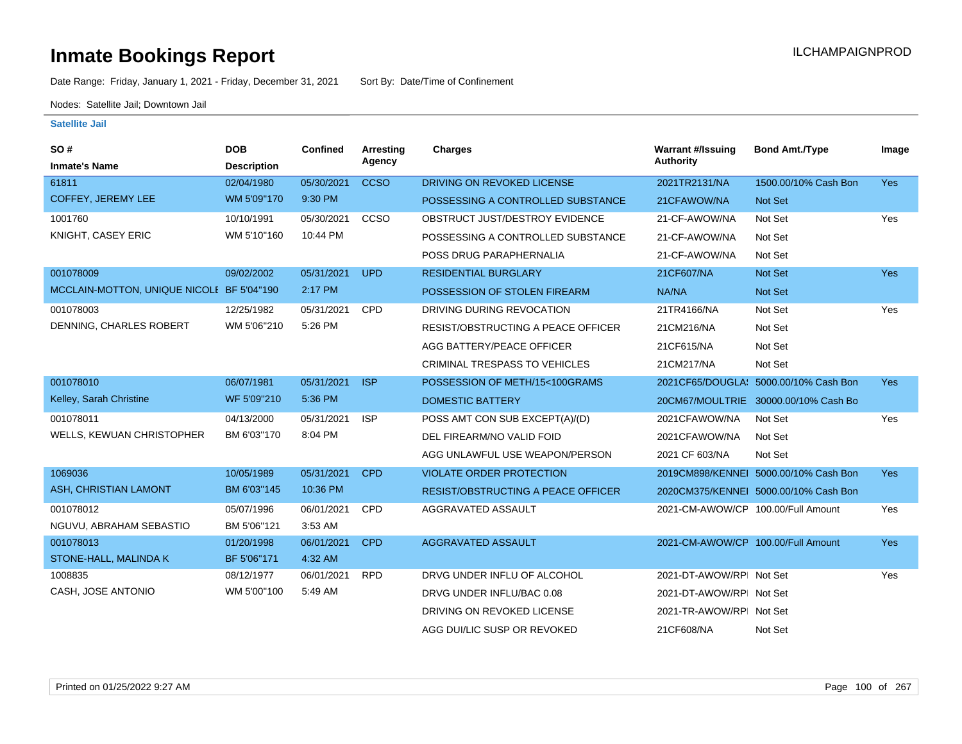# **Inmate Bookings Report Installation Control Control Control Control Control Control Control Control Control Control Control Control Control Control Control Control Control Control Control Control Control Control Control**

Date Range: Friday, January 1, 2021 - Friday, December 31, 2021 Sort By: Date/Time of Confinement

Nodes: Satellite Jail; Downtown Jail

| SO#<br><b>Inmate's Name</b>               | <b>DOB</b><br><b>Description</b> | <b>Confined</b> | Arresting<br>Agency | <b>Charges</b>                            | <b>Warrant #/Issuing</b><br><b>Authority</b> | <b>Bond Amt./Type</b>                 | Image      |
|-------------------------------------------|----------------------------------|-----------------|---------------------|-------------------------------------------|----------------------------------------------|---------------------------------------|------------|
| 61811                                     | 02/04/1980                       | 05/30/2021      | <b>CCSO</b>         | DRIVING ON REVOKED LICENSE                | 2021TR2131/NA                                | 1500.00/10% Cash Bon                  | Yes        |
| COFFEY, JEREMY LEE                        | WM 5'09"170                      | 9:30 PM         |                     | POSSESSING A CONTROLLED SUBSTANCE         | 21CFAWOW/NA                                  | Not Set                               |            |
| 1001760                                   | 10/10/1991                       | 05/30/2021      | <b>CCSO</b>         | OBSTRUCT JUST/DESTROY EVIDENCE            | 21-CF-AWOW/NA                                | Not Set                               | Yes        |
| KNIGHT, CASEY ERIC                        | WM 5'10"160                      | 10:44 PM        |                     | POSSESSING A CONTROLLED SUBSTANCE         | 21-CF-AWOW/NA                                | Not Set                               |            |
|                                           |                                  |                 |                     | POSS DRUG PARAPHERNALIA                   | 21-CF-AWOW/NA                                | Not Set                               |            |
| 001078009                                 | 09/02/2002                       | 05/31/2021      | <b>UPD</b>          | <b>RESIDENTIAL BURGLARY</b>               | 21CF607/NA                                   | Not Set                               | <b>Yes</b> |
| MCCLAIN-MOTTON, UNIQUE NICOLE BF 5'04"190 |                                  | 2:17 PM         |                     | POSSESSION OF STOLEN FIREARM              | NA/NA                                        | <b>Not Set</b>                        |            |
| 001078003                                 | 12/25/1982                       | 05/31/2021      | CPD                 | DRIVING DURING REVOCATION                 | 21TR4166/NA                                  | Not Set                               | Yes        |
| DENNING, CHARLES ROBERT                   | WM 5'06"210                      | 5:26 PM         |                     | <b>RESIST/OBSTRUCTING A PEACE OFFICER</b> | 21CM216/NA                                   | Not Set                               |            |
|                                           |                                  |                 |                     | AGG BATTERY/PEACE OFFICER                 | 21CF615/NA                                   | Not Set                               |            |
|                                           |                                  |                 |                     | CRIMINAL TRESPASS TO VEHICLES             | 21CM217/NA                                   | Not Set                               |            |
| 001078010                                 | 06/07/1981                       | 05/31/2021      | <b>ISP</b>          | POSSESSION OF METH/15<100GRAMS            |                                              | 2021CF65/DOUGLA: 5000.00/10% Cash Bon | <b>Yes</b> |
| Kelley, Sarah Christine                   | WF 5'09"210                      | 5:36 PM         |                     | <b>DOMESTIC BATTERY</b>                   |                                              | 20CM67/MOULTRIE 30000.00/10% Cash Bo  |            |
| 001078011                                 | 04/13/2000                       | 05/31/2021      | <b>ISP</b>          | POSS AMT CON SUB EXCEPT(A)/(D)            | 2021CFAWOW/NA                                | Not Set                               | Yes        |
| WELLS, KEWUAN CHRISTOPHER                 | BM 6'03"170                      | 8:04 PM         |                     | DEL FIREARM/NO VALID FOID                 | 2021CFAWOW/NA                                | Not Set                               |            |
|                                           |                                  |                 |                     | AGG UNLAWFUL USE WEAPON/PERSON            | 2021 CF 603/NA                               | Not Set                               |            |
| 1069036                                   | 10/05/1989                       | 05/31/2021      | <b>CPD</b>          | <b>VIOLATE ORDER PROTECTION</b>           |                                              | 2019CM898/KENNEL 5000.00/10% Cash Bon | <b>Yes</b> |
| ASH, CHRISTIAN LAMONT                     | BM 6'03"145                      | 10:36 PM        |                     | <b>RESIST/OBSTRUCTING A PEACE OFFICER</b> |                                              | 2020CM375/KENNEI 5000.00/10% Cash Bon |            |
| 001078012                                 | 05/07/1996                       | 06/01/2021      | <b>CPD</b>          | AGGRAVATED ASSAULT                        | 2021-CM-AWOW/CP 100.00/Full Amount           |                                       | Yes        |
| NGUVU, ABRAHAM SEBASTIO                   | BM 5'06"121                      | 3:53 AM         |                     |                                           |                                              |                                       |            |
| 001078013                                 | 01/20/1998                       | 06/01/2021      | <b>CPD</b>          | <b>AGGRAVATED ASSAULT</b>                 | 2021-CM-AWOW/CP 100.00/Full Amount           |                                       | <b>Yes</b> |
| STONE-HALL, MALINDA K                     | BF 5'06"171                      | 4:32 AM         |                     |                                           |                                              |                                       |            |
| 1008835                                   | 08/12/1977                       | 06/01/2021      | <b>RPD</b>          | DRVG UNDER INFLU OF ALCOHOL               | 2021-DT-AWOW/RPI Not Set                     |                                       | Yes        |
| CASH, JOSE ANTONIO                        | WM 5'00"100                      | 5:49 AM         |                     | DRVG UNDER INFLU/BAC 0.08                 | 2021-DT-AWOW/RPI Not Set                     |                                       |            |
|                                           |                                  |                 |                     | DRIVING ON REVOKED LICENSE                | 2021-TR-AWOW/RPI Not Set                     |                                       |            |
|                                           |                                  |                 |                     | AGG DUI/LIC SUSP OR REVOKED               | 21CF608/NA                                   | Not Set                               |            |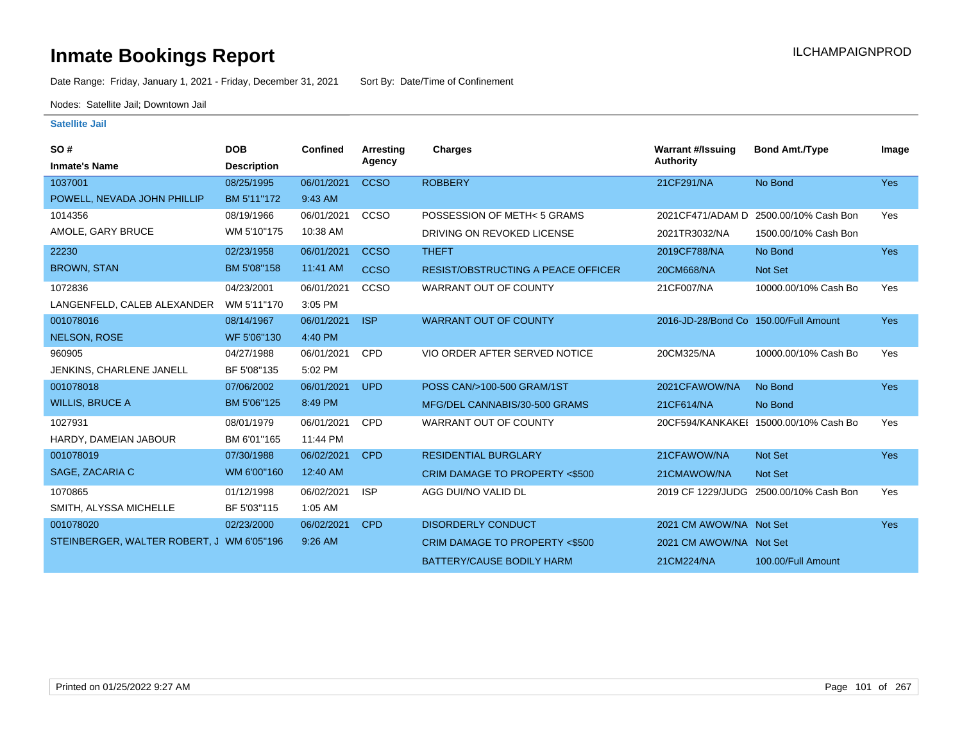Date Range: Friday, January 1, 2021 - Friday, December 31, 2021 Sort By: Date/Time of Confinement

Nodes: Satellite Jail; Downtown Jail

| <b>SO#</b>                                | <b>DOB</b>         | <b>Confined</b> | Arresting   | <b>Charges</b>                            | <b>Warrant #/Issuing</b>              | <b>Bond Amt./Type</b>                 | Image      |
|-------------------------------------------|--------------------|-----------------|-------------|-------------------------------------------|---------------------------------------|---------------------------------------|------------|
| <b>Inmate's Name</b>                      | <b>Description</b> |                 | Agency      |                                           | <b>Authority</b>                      |                                       |            |
| 1037001                                   | 08/25/1995         | 06/01/2021      | <b>CCSO</b> | <b>ROBBERY</b>                            | 21CF291/NA                            | No Bond                               | <b>Yes</b> |
| POWELL, NEVADA JOHN PHILLIP               | BM 5'11"172        | 9:43 AM         |             |                                           |                                       |                                       |            |
| 1014356                                   | 08/19/1966         | 06/01/2021      | CCSO        | POSSESSION OF METH<5 GRAMS                |                                       | 2021CF471/ADAM D 2500.00/10% Cash Bon | Yes        |
| AMOLE, GARY BRUCE                         | WM 5'10"175        | 10:38 AM        |             | DRIVING ON REVOKED LICENSE                | 2021TR3032/NA                         | 1500.00/10% Cash Bon                  |            |
| 22230                                     | 02/23/1958         | 06/01/2021      | <b>CCSO</b> | <b>THEFT</b>                              | 2019CF788/NA                          | No Bond                               | Yes        |
| <b>BROWN, STAN</b>                        | BM 5'08"158        | 11:41 AM        | <b>CCSO</b> | <b>RESIST/OBSTRUCTING A PEACE OFFICER</b> | 20CM668/NA                            | Not Set                               |            |
| 1072836                                   | 04/23/2001         | 06/01/2021      | CCSO        | WARRANT OUT OF COUNTY                     | 21CF007/NA                            | 10000.00/10% Cash Bo                  | Yes        |
| LANGENFELD, CALEB ALEXANDER               | WM 5'11"170        | 3:05 PM         |             |                                           |                                       |                                       |            |
| 001078016                                 | 08/14/1967         | 06/01/2021      | <b>ISP</b>  | <b>WARRANT OUT OF COUNTY</b>              | 2016-JD-28/Bond Co 150.00/Full Amount |                                       | Yes        |
| <b>NELSON, ROSE</b>                       | WF 5'06"130        | 4:40 PM         |             |                                           |                                       |                                       |            |
| 960905                                    | 04/27/1988         | 06/01/2021      | <b>CPD</b>  | VIO ORDER AFTER SERVED NOTICE             | 20CM325/NA                            | 10000.00/10% Cash Bo                  | Yes        |
| JENKINS, CHARLENE JANELL                  | BF 5'08"135        | 5:02 PM         |             |                                           |                                       |                                       |            |
| 001078018                                 | 07/06/2002         | 06/01/2021      | <b>UPD</b>  | POSS CAN/>100-500 GRAM/1ST                | 2021CFAWOW/NA                         | No Bond                               | <b>Yes</b> |
| <b>WILLIS, BRUCE A</b>                    | BM 5'06"125        | 8:49 PM         |             | MFG/DEL CANNABIS/30-500 GRAMS             | 21CF614/NA                            | No Bond                               |            |
| 1027931                                   | 08/01/1979         | 06/01/2021      | <b>CPD</b>  | WARRANT OUT OF COUNTY                     |                                       | 20CF594/KANKAKEI 15000.00/10% Cash Bo | Yes        |
| HARDY, DAMEIAN JABOUR                     | BM 6'01"165        | 11:44 PM        |             |                                           |                                       |                                       |            |
| 001078019                                 | 07/30/1988         | 06/02/2021      | <b>CPD</b>  | <b>RESIDENTIAL BURGLARY</b>               | 21CFAWOW/NA                           | Not Set                               | Yes        |
| SAGE, ZACARIA C                           | WM 6'00"160        | 12:40 AM        |             | CRIM DAMAGE TO PROPERTY <\$500            | 21CMAWOW/NA                           | Not Set                               |            |
| 1070865                                   | 01/12/1998         | 06/02/2021      | <b>ISP</b>  | AGG DUI/NO VALID DL                       | 2019 CF 1229/JUDG                     | 2500.00/10% Cash Bon                  | Yes        |
| SMITH, ALYSSA MICHELLE                    | BF 5'03"115        | 1:05 AM         |             |                                           |                                       |                                       |            |
| 001078020                                 | 02/23/2000         | 06/02/2021      | <b>CPD</b>  | <b>DISORDERLY CONDUCT</b>                 | 2021 CM AWOW/NA Not Set               |                                       | <b>Yes</b> |
| STEINBERGER, WALTER ROBERT, J WM 6'05"196 |                    | 9:26 AM         |             | CRIM DAMAGE TO PROPERTY <\$500            | 2021 CM AWOW/NA Not Set               |                                       |            |
|                                           |                    |                 |             | <b>BATTERY/CAUSE BODILY HARM</b>          | 21CM224/NA                            | 100.00/Full Amount                    |            |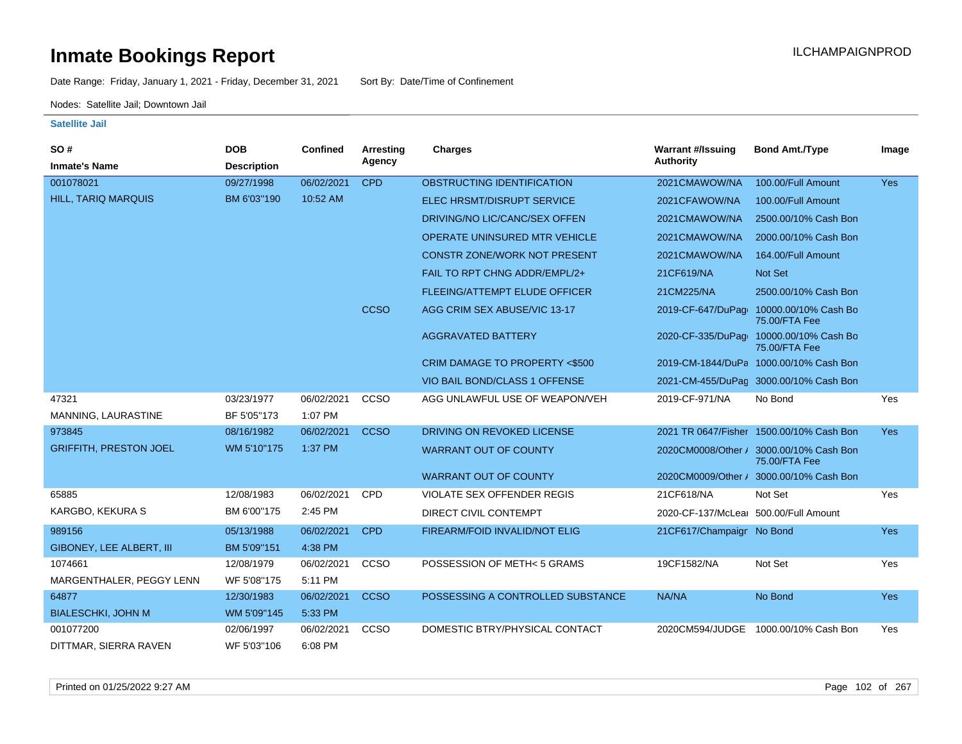Date Range: Friday, January 1, 2021 - Friday, December 31, 2021 Sort By: Date/Time of Confinement

Nodes: Satellite Jail; Downtown Jail

| <b>SO#</b>                    | <b>DOB</b>         | <b>Confined</b> | Arresting   | <b>Charges</b>                           | <b>Warrant #/Issuing</b>              | <b>Bond Amt./Type</b>                                    | Image      |
|-------------------------------|--------------------|-----------------|-------------|------------------------------------------|---------------------------------------|----------------------------------------------------------|------------|
| <b>Inmate's Name</b>          | <b>Description</b> |                 | Agency      |                                          | Authority                             |                                                          |            |
| 001078021                     | 09/27/1998         | 06/02/2021      | <b>CPD</b>  | OBSTRUCTING IDENTIFICATION               | 2021CMAWOW/NA                         | 100.00/Full Amount                                       | <b>Yes</b> |
| <b>HILL, TARIQ MARQUIS</b>    | BM 6'03"190        | 10:52 AM        |             | <b>ELEC HRSMT/DISRUPT SERVICE</b>        | 2021CFAWOW/NA                         | 100.00/Full Amount                                       |            |
|                               |                    |                 |             | DRIVING/NO LIC/CANC/SEX OFFEN            | 2021CMAWOW/NA                         | 2500.00/10% Cash Bon                                     |            |
|                               |                    |                 |             | OPERATE UNINSURED MTR VEHICLE            | 2021CMAWOW/NA                         | 2000.00/10% Cash Bon                                     |            |
|                               |                    |                 |             | <b>CONSTR ZONE/WORK NOT PRESENT</b>      | 2021CMAWOW/NA                         | 164.00/Full Amount                                       |            |
|                               |                    |                 |             | FAIL TO RPT CHNG ADDR/EMPL/2+            | 21CF619/NA                            | Not Set                                                  |            |
|                               |                    |                 |             | <b>FLEEING/ATTEMPT ELUDE OFFICER</b>     | 21CM225/NA                            | 2500.00/10% Cash Bon                                     |            |
|                               |                    |                 | <b>CCSO</b> | AGG CRIM SEX ABUSE/VIC 13-17             | 2019-CF-647/DuPage                    | 10000.00/10% Cash Bo<br>75.00/FTA Fee                    |            |
|                               |                    |                 |             | <b>AGGRAVATED BATTERY</b>                | 2020-CF-335/DuPago                    | 10000.00/10% Cash Bo<br>75.00/FTA Fee                    |            |
|                               |                    |                 |             | <b>CRIM DAMAGE TO PROPERTY &lt;\$500</b> |                                       | 2019-CM-1844/DuPa 1000.00/10% Cash Bon                   |            |
|                               |                    |                 |             | VIO BAIL BOND/CLASS 1 OFFENSE            |                                       | 2021-CM-455/DuPaq 3000.00/10% Cash Bon                   |            |
| 47321                         | 03/23/1977         | 06/02/2021      | CCSO        | AGG UNLAWFUL USE OF WEAPON/VEH           | 2019-CF-971/NA                        | No Bond                                                  | Yes        |
| MANNING, LAURASTINE           | BF 5'05"173        | 1:07 PM         |             |                                          |                                       |                                                          |            |
| 973845                        | 08/16/1982         | 06/02/2021      | <b>CCSO</b> | DRIVING ON REVOKED LICENSE               |                                       | 2021 TR 0647/Fisher 1500.00/10% Cash Bon                 | <b>Yes</b> |
| <b>GRIFFITH, PRESTON JOEL</b> | WM 5'10"175        | 1:37 PM         |             | <b>WARRANT OUT OF COUNTY</b>             |                                       | 2020CM0008/Other / 3000.00/10% Cash Bon<br>75.00/FTA Fee |            |
|                               |                    |                 |             | <b>WARRANT OUT OF COUNTY</b>             |                                       | 2020CM0009/Other / 3000.00/10% Cash Bon                  |            |
| 65885                         | 12/08/1983         | 06/02/2021      | CPD         | <b>VIOLATE SEX OFFENDER REGIS</b>        | 21CF618/NA                            | Not Set                                                  | Yes        |
| KARGBO, KEKURA S              | BM 6'00"175        | 2:45 PM         |             | DIRECT CIVIL CONTEMPT                    | 2020-CF-137/McLear 500.00/Full Amount |                                                          |            |
| 989156                        | 05/13/1988         | 06/02/2021      | <b>CPD</b>  | FIREARM/FOID INVALID/NOT ELIG            | 21CF617/Champaign No Bond             |                                                          | <b>Yes</b> |
| GIBONEY, LEE ALBERT, III      | BM 5'09"151        | 4:38 PM         |             |                                          |                                       |                                                          |            |
| 1074661                       | 12/08/1979         | 06/02/2021      | CCSO        | POSSESSION OF METH< 5 GRAMS              | 19CF1582/NA                           | Not Set                                                  | Yes        |
| MARGENTHALER, PEGGY LENN      | WF 5'08"175        | 5:11 PM         |             |                                          |                                       |                                                          |            |
| 64877                         | 12/30/1983         | 06/02/2021      | <b>CCSO</b> | POSSESSING A CONTROLLED SUBSTANCE        | NA/NA                                 | No Bond                                                  | Yes        |
| <b>BIALESCHKI, JOHN M</b>     | WM 5'09"145        | 5:33 PM         |             |                                          |                                       |                                                          |            |
| 001077200                     | 02/06/1997         | 06/02/2021      | <b>CCSO</b> | DOMESTIC BTRY/PHYSICAL CONTACT           |                                       | 2020CM594/JUDGE 1000.00/10% Cash Bon                     | Yes        |
| DITTMAR, SIERRA RAVEN         | WF 5'03"106        | 6:08 PM         |             |                                          |                                       |                                                          |            |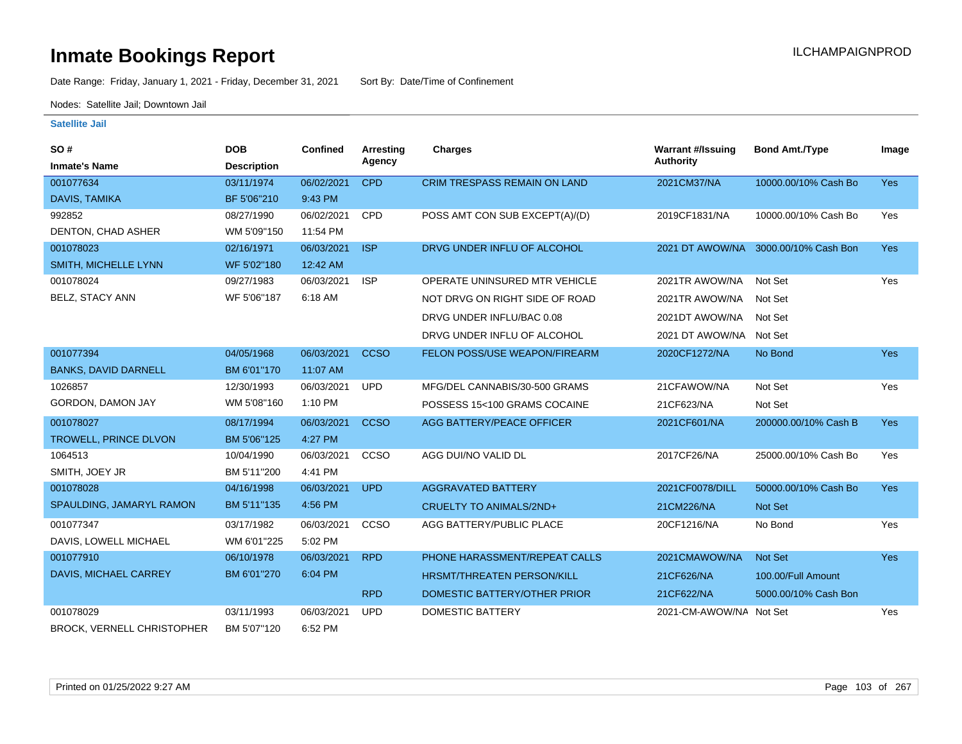Date Range: Friday, January 1, 2021 - Friday, December 31, 2021 Sort By: Date/Time of Confinement

Nodes: Satellite Jail; Downtown Jail

| SO#                         | <b>DOB</b>         | <b>Confined</b> | Arresting   | <b>Charges</b>                      | <b>Warrant #/Issuing</b> | <b>Bond Amt./Type</b> | Image      |
|-----------------------------|--------------------|-----------------|-------------|-------------------------------------|--------------------------|-----------------------|------------|
| <b>Inmate's Name</b>        | <b>Description</b> |                 | Agency      |                                     | <b>Authority</b>         |                       |            |
| 001077634                   | 03/11/1974         | 06/02/2021      | <b>CPD</b>  | <b>CRIM TRESPASS REMAIN ON LAND</b> | 2021CM37/NA              | 10000.00/10% Cash Bo  | <b>Yes</b> |
| <b>DAVIS, TAMIKA</b>        | BF 5'06"210        | 9:43 PM         |             |                                     |                          |                       |            |
| 992852                      | 08/27/1990         | 06/02/2021      | CPD         | POSS AMT CON SUB EXCEPT(A)/(D)      | 2019CF1831/NA            | 10000.00/10% Cash Bo  | Yes        |
| DENTON, CHAD ASHER          | WM 5'09"150        | 11:54 PM        |             |                                     |                          |                       |            |
| 001078023                   | 02/16/1971         | 06/03/2021      | <b>ISP</b>  | DRVG UNDER INFLU OF ALCOHOL         | 2021 DT AWOW/NA          | 3000.00/10% Cash Bon  | <b>Yes</b> |
| SMITH, MICHELLE LYNN        | WF 5'02"180        | 12:42 AM        |             |                                     |                          |                       |            |
| 001078024                   | 09/27/1983         | 06/03/2021      | <b>ISP</b>  | OPERATE UNINSURED MTR VEHICLE       | 2021TR AWOW/NA           | Not Set               | Yes        |
| <b>BELZ, STACY ANN</b>      | WF 5'06"187        | 6:18 AM         |             | NOT DRVG ON RIGHT SIDE OF ROAD      | 2021TR AWOW/NA           | Not Set               |            |
|                             |                    |                 |             | DRVG UNDER INFLU/BAC 0.08           | 2021DT AWOW/NA           | Not Set               |            |
|                             |                    |                 |             | DRVG UNDER INFLU OF ALCOHOL         | 2021 DT AWOW/NA Not Set  |                       |            |
| 001077394                   | 04/05/1968         | 06/03/2021      | <b>CCSO</b> | FELON POSS/USE WEAPON/FIREARM       | 2020CF1272/NA            | No Bond               | <b>Yes</b> |
| <b>BANKS, DAVID DARNELL</b> | BM 6'01"170        | 11:07 AM        |             |                                     |                          |                       |            |
| 1026857                     | 12/30/1993         | 06/03/2021      | <b>UPD</b>  | MFG/DEL CANNABIS/30-500 GRAMS       | 21CFAWOW/NA              | Not Set               | Yes        |
| GORDON, DAMON JAY           | WM 5'08"160        | 1:10 PM         |             | POSSESS 15<100 GRAMS COCAINE        | 21CF623/NA               | Not Set               |            |
| 001078027                   | 08/17/1994         | 06/03/2021      | <b>CCSO</b> | <b>AGG BATTERY/PEACE OFFICER</b>    | 2021CF601/NA             | 200000.00/10% Cash B  | <b>Yes</b> |
| TROWELL, PRINCE DLVON       | BM 5'06"125        | 4:27 PM         |             |                                     |                          |                       |            |
| 1064513                     | 10/04/1990         | 06/03/2021      | CCSO        | AGG DUI/NO VALID DL                 | 2017CF26/NA              | 25000.00/10% Cash Bo  | Yes        |
| SMITH, JOEY JR              | BM 5'11"200        | 4:41 PM         |             |                                     |                          |                       |            |
| 001078028                   | 04/16/1998         | 06/03/2021      | <b>UPD</b>  | <b>AGGRAVATED BATTERY</b>           | 2021CF0078/DILL          | 50000.00/10% Cash Bo  | Yes        |
| SPAULDING, JAMARYL RAMON    | BM 5'11"135        | 4:56 PM         |             | <b>CRUELTY TO ANIMALS/2ND+</b>      | 21CM226/NA               | Not Set               |            |
| 001077347                   | 03/17/1982         | 06/03/2021      | CCSO        | AGG BATTERY/PUBLIC PLACE            | 20CF1216/NA              | No Bond               | Yes        |
| DAVIS, LOWELL MICHAEL       | WM 6'01"225        | 5:02 PM         |             |                                     |                          |                       |            |
| 001077910                   | 06/10/1978         | 06/03/2021      | <b>RPD</b>  | PHONE HARASSMENT/REPEAT CALLS       | 2021CMAWOW/NA            | Not Set               | <b>Yes</b> |
| DAVIS, MICHAEL CARREY       | BM 6'01"270        | 6:04 PM         |             | <b>HRSMT/THREATEN PERSON/KILL</b>   | 21CF626/NA               | 100.00/Full Amount    |            |
|                             |                    |                 | <b>RPD</b>  | DOMESTIC BATTERY/OTHER PRIOR        | 21CF622/NA               | 5000.00/10% Cash Bon  |            |
| 001078029                   | 03/11/1993         | 06/03/2021      | <b>UPD</b>  | <b>DOMESTIC BATTERY</b>             | 2021-CM-AWOW/NA Not Set  |                       | Yes        |
| BROCK, VERNELL CHRISTOPHER  | BM 5'07"120        | 6:52 PM         |             |                                     |                          |                       |            |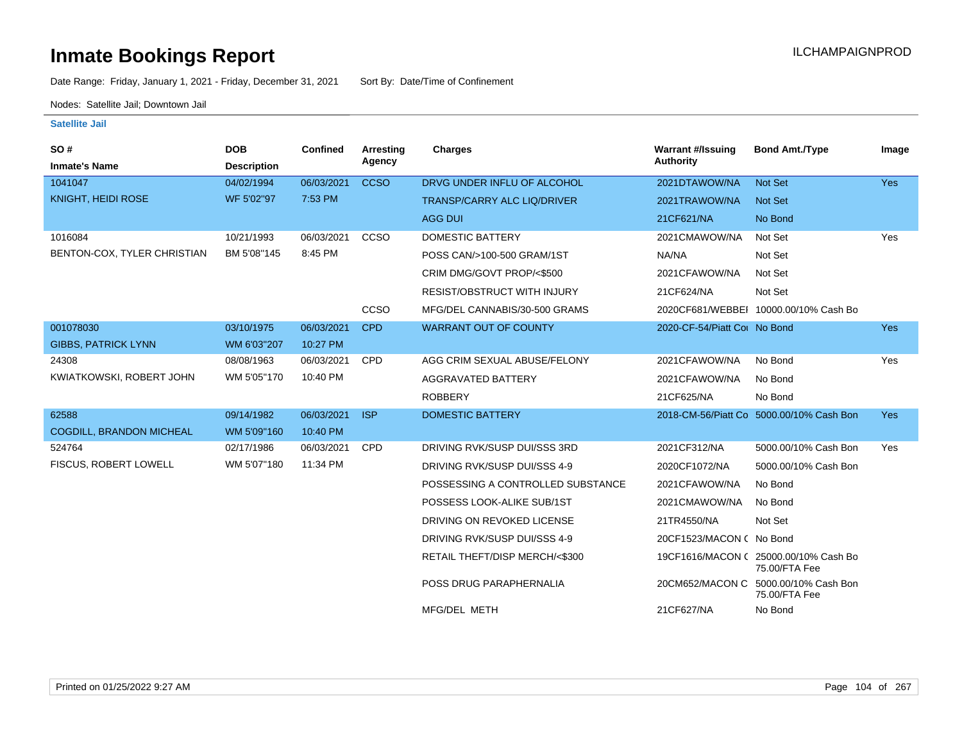Date Range: Friday, January 1, 2021 - Friday, December 31, 2021 Sort By: Date/Time of Confinement

Nodes: Satellite Jail; Downtown Jail

| SO#<br><b>Inmate's Name</b>  | <b>DOB</b><br><b>Description</b> | <b>Confined</b> | Arresting<br>Agency | Charges                            | <b>Warrant #/Issuing</b><br>Authority | <b>Bond Amt./Type</b>                                 | Image      |
|------------------------------|----------------------------------|-----------------|---------------------|------------------------------------|---------------------------------------|-------------------------------------------------------|------------|
| 1041047                      | 04/02/1994                       | 06/03/2021      | <b>CCSO</b>         | DRVG UNDER INFLU OF ALCOHOL        | 2021DTAWOW/NA                         | <b>Not Set</b>                                        | <b>Yes</b> |
| KNIGHT, HEIDI ROSE           | WF 5'02"97                       | 7:53 PM         |                     | <b>TRANSP/CARRY ALC LIQ/DRIVER</b> | 2021TRAWOW/NA                         | Not Set                                               |            |
|                              |                                  |                 |                     | <b>AGG DUI</b>                     | 21CF621/NA                            | No Bond                                               |            |
| 1016084                      | 10/21/1993                       | 06/03/2021      | CCSO                | DOMESTIC BATTERY                   | 2021CMAWOW/NA                         | Not Set                                               | Yes        |
| BENTON-COX, TYLER CHRISTIAN  | BM 5'08"145                      | 8:45 PM         |                     | POSS CAN/>100-500 GRAM/1ST         | NA/NA                                 | Not Set                                               |            |
|                              |                                  |                 |                     | CRIM DMG/GOVT PROP/<\$500          | 2021CFAWOW/NA                         | Not Set                                               |            |
|                              |                                  |                 |                     | <b>RESIST/OBSTRUCT WITH INJURY</b> | 21CF624/NA                            | Not Set                                               |            |
|                              |                                  |                 | <b>CCSO</b>         | MFG/DEL CANNABIS/30-500 GRAMS      |                                       | 2020CF681/WEBBEI 10000.00/10% Cash Bo                 |            |
| 001078030                    | 03/10/1975                       | 06/03/2021      | <b>CPD</b>          | <b>WARRANT OUT OF COUNTY</b>       | 2020-CF-54/Piatt Cot No Bond          |                                                       | <b>Yes</b> |
| <b>GIBBS, PATRICK LYNN</b>   | WM 6'03"207                      | 10:27 PM        |                     |                                    |                                       |                                                       |            |
| 24308                        | 08/08/1963                       | 06/03/2021      | <b>CPD</b>          | AGG CRIM SEXUAL ABUSE/FELONY       | 2021CFAWOW/NA                         | No Bond                                               | Yes        |
| KWIATKOWSKI, ROBERT JOHN     | WM 5'05"170                      | 10:40 PM        |                     | AGGRAVATED BATTERY                 | 2021CFAWOW/NA                         | No Bond                                               |            |
|                              |                                  |                 |                     | <b>ROBBERY</b>                     | 21CF625/NA                            | No Bond                                               |            |
| 62588                        | 09/14/1982                       | 06/03/2021      | <b>ISP</b>          | <b>DOMESTIC BATTERY</b>            |                                       | 2018-CM-56/Piatt Co 5000.00/10% Cash Bon              | <b>Yes</b> |
| COGDILL, BRANDON MICHEAL     | WM 5'09"160                      | 10:40 PM        |                     |                                    |                                       |                                                       |            |
| 524764                       | 02/17/1986                       | 06/03/2021      | <b>CPD</b>          | DRIVING RVK/SUSP DUI/SSS 3RD       | 2021CF312/NA                          | 5000.00/10% Cash Bon                                  | Yes        |
| <b>FISCUS, ROBERT LOWELL</b> | WM 5'07"180                      | 11:34 PM        |                     | DRIVING RVK/SUSP DUI/SSS 4-9       | 2020CF1072/NA                         | 5000.00/10% Cash Bon                                  |            |
|                              |                                  |                 |                     | POSSESSING A CONTROLLED SUBSTANCE  | 2021CFAWOW/NA                         | No Bond                                               |            |
|                              |                                  |                 |                     | POSSESS LOOK-ALIKE SUB/1ST         | 2021CMAWOW/NA                         | No Bond                                               |            |
|                              |                                  |                 |                     | DRIVING ON REVOKED LICENSE         | 21TR4550/NA                           | Not Set                                               |            |
|                              |                                  |                 |                     | DRIVING RVK/SUSP DUI/SSS 4-9       | 20CF1523/MACON ( No Bond              |                                                       |            |
|                              |                                  |                 |                     | RETAIL THEFT/DISP MERCH/<\$300     |                                       | 19CF1616/MACON (25000.00/10% Cash Bo<br>75.00/FTA Fee |            |
|                              |                                  |                 |                     | POSS DRUG PARAPHERNALIA            | 20CM652/MACON C                       | 5000.00/10% Cash Bon<br>75.00/FTA Fee                 |            |
|                              |                                  |                 |                     | MFG/DEL METH                       | 21CF627/NA                            | No Bond                                               |            |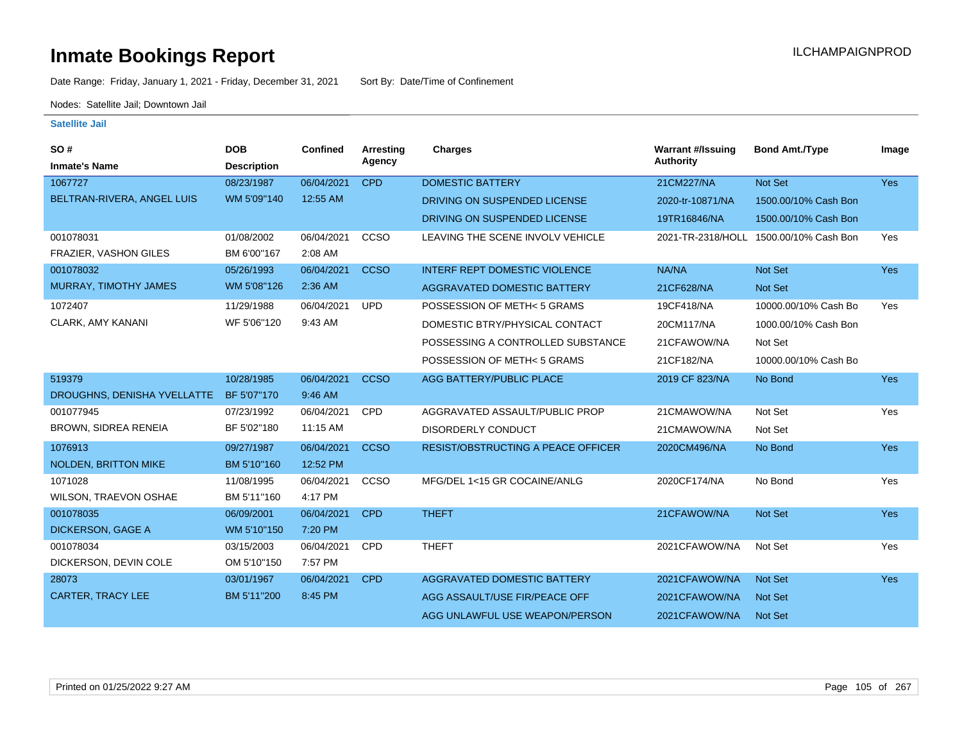Date Range: Friday, January 1, 2021 - Friday, December 31, 2021 Sort By: Date/Time of Confinement

Nodes: Satellite Jail; Downtown Jail

| <b>SO#</b><br><b>Inmate's Name</b> | <b>DOB</b><br><b>Description</b> | <b>Confined</b> | <b>Arresting</b><br>Agency | Charges                              | <b>Warrant #/Issuing</b><br><b>Authority</b> | <b>Bond Amt./Type</b>                  | Image      |
|------------------------------------|----------------------------------|-----------------|----------------------------|--------------------------------------|----------------------------------------------|----------------------------------------|------------|
| 1067727                            | 08/23/1987                       | 06/04/2021      | <b>CPD</b>                 | <b>DOMESTIC BATTERY</b>              | 21CM227/NA                                   | Not Set                                | Yes        |
| BELTRAN-RIVERA, ANGEL LUIS         | WM 5'09"140                      | 12:55 AM        |                            | DRIVING ON SUSPENDED LICENSE         | 2020-tr-10871/NA                             | 1500.00/10% Cash Bon                   |            |
|                                    |                                  |                 |                            | DRIVING ON SUSPENDED LICENSE         | 19TR16846/NA                                 | 1500.00/10% Cash Bon                   |            |
| 001078031                          | 01/08/2002                       | 06/04/2021      | CCSO                       | LEAVING THE SCENE INVOLV VEHICLE     |                                              | 2021-TR-2318/HOLL 1500.00/10% Cash Bon | Yes        |
| FRAZIER, VASHON GILES              | BM 6'00"167                      | 2:08 AM         |                            |                                      |                                              |                                        |            |
| 001078032                          | 05/26/1993                       | 06/04/2021      | <b>CCSO</b>                | <b>INTERF REPT DOMESTIC VIOLENCE</b> | NA/NA                                        | Not Set                                | Yes        |
| MURRAY, TIMOTHY JAMES              | WM 5'08"126                      | 2:36 AM         |                            | AGGRAVATED DOMESTIC BATTERY          | 21CF628/NA                                   | Not Set                                |            |
| 1072407                            | 11/29/1988                       | 06/04/2021      | <b>UPD</b>                 | POSSESSION OF METH<5 GRAMS           | 19CF418/NA                                   | 10000.00/10% Cash Bo                   | Yes        |
| <b>CLARK, AMY KANANI</b>           | WF 5'06"120                      | 9:43 AM         |                            | DOMESTIC BTRY/PHYSICAL CONTACT       | 20CM117/NA                                   | 1000.00/10% Cash Bon                   |            |
|                                    |                                  |                 |                            | POSSESSING A CONTROLLED SUBSTANCE    | 21CFAWOW/NA                                  | Not Set                                |            |
|                                    |                                  |                 |                            | POSSESSION OF METH<5 GRAMS           | 21CF182/NA                                   | 10000.00/10% Cash Bo                   |            |
| 519379                             | 10/28/1985                       | 06/04/2021      | <b>CCSO</b>                | AGG BATTERY/PUBLIC PLACE             | 2019 CF 823/NA                               | No Bond                                | <b>Yes</b> |
| DROUGHNS, DENISHA YVELLATTE        | BF 5'07"170                      | 9:46 AM         |                            |                                      |                                              |                                        |            |
| 001077945                          | 07/23/1992                       | 06/04/2021      | CPD                        | AGGRAVATED ASSAULT/PUBLIC PROP       | 21CMAWOW/NA                                  | Not Set                                | Yes        |
| <b>BROWN, SIDREA RENEIA</b>        | BF 5'02"180                      | 11:15 AM        |                            | <b>DISORDERLY CONDUCT</b>            | 21CMAWOW/NA                                  | Not Set                                |            |
| 1076913                            | 09/27/1987                       | 06/04/2021      | <b>CCSO</b>                | RESIST/OBSTRUCTING A PEACE OFFICER   | 2020CM496/NA                                 | No Bond                                | <b>Yes</b> |
| <b>NOLDEN, BRITTON MIKE</b>        | BM 5'10"160                      | 12:52 PM        |                            |                                      |                                              |                                        |            |
| 1071028                            | 11/08/1995                       | 06/04/2021      | CCSO                       | MFG/DEL 1<15 GR COCAINE/ANLG         | 2020CF174/NA                                 | No Bond                                | Yes        |
| WILSON, TRAEVON OSHAE              | BM 5'11"160                      | 4:17 PM         |                            |                                      |                                              |                                        |            |
| 001078035                          | 06/09/2001                       | 06/04/2021      | <b>CPD</b>                 | <b>THEFT</b>                         | 21CFAWOW/NA                                  | Not Set                                | <b>Yes</b> |
| <b>DICKERSON, GAGE A</b>           | WM 5'10"150                      | 7:20 PM         |                            |                                      |                                              |                                        |            |
| 001078034                          | 03/15/2003                       | 06/04/2021      | <b>CPD</b>                 | <b>THEFT</b>                         | 2021CFAWOW/NA                                | Not Set                                | Yes        |
| DICKERSON, DEVIN COLE              | OM 5'10"150                      | 7:57 PM         |                            |                                      |                                              |                                        |            |
| 28073                              | 03/01/1967                       | 06/04/2021      | <b>CPD</b>                 | <b>AGGRAVATED DOMESTIC BATTERY</b>   | 2021CFAWOW/NA                                | Not Set                                | Yes        |
| <b>CARTER, TRACY LEE</b>           | BM 5'11"200                      | 8:45 PM         |                            | AGG ASSAULT/USE FIR/PEACE OFF        | 2021CFAWOW/NA                                | <b>Not Set</b>                         |            |
|                                    |                                  |                 |                            | AGG UNLAWFUL USE WEAPON/PERSON       | 2021CFAWOW/NA                                | <b>Not Set</b>                         |            |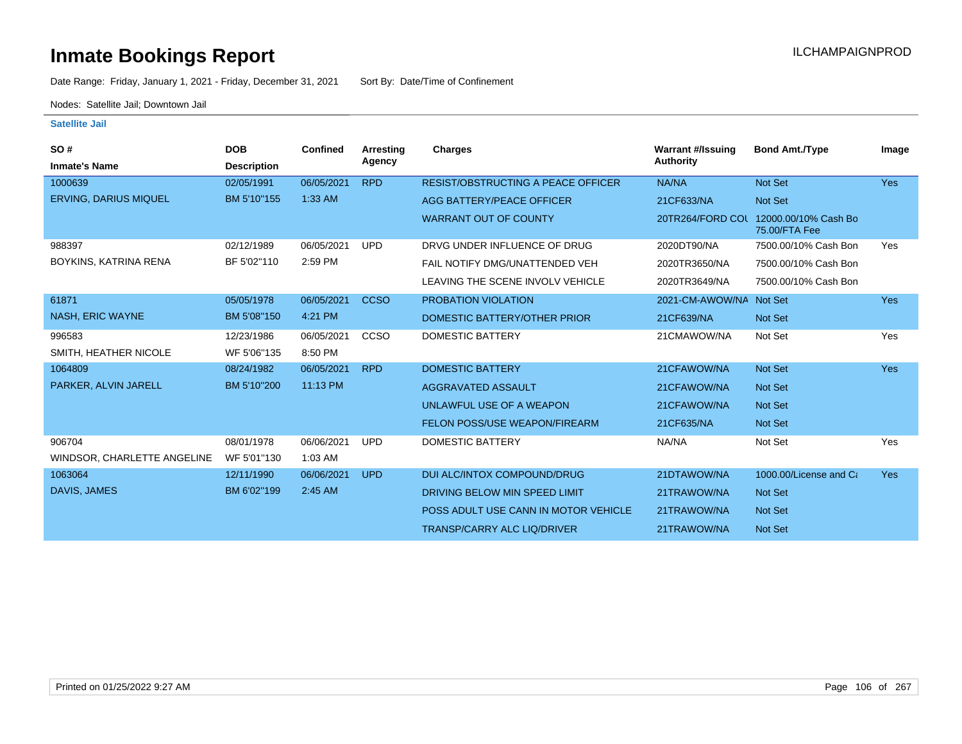Date Range: Friday, January 1, 2021 - Friday, December 31, 2021 Sort By: Date/Time of Confinement

Nodes: Satellite Jail; Downtown Jail

| SO#                          | <b>DOB</b>         | <b>Confined</b> | Arresting   | Charges                                   | <b>Warrant #/Issuing</b> | <b>Bond Amt./Type</b>                 | Image      |
|------------------------------|--------------------|-----------------|-------------|-------------------------------------------|--------------------------|---------------------------------------|------------|
| <b>Inmate's Name</b>         | <b>Description</b> |                 | Agency      |                                           | Authority                |                                       |            |
| 1000639                      | 02/05/1991         | 06/05/2021      | <b>RPD</b>  | <b>RESIST/OBSTRUCTING A PEACE OFFICER</b> | NA/NA                    | <b>Not Set</b>                        | <b>Yes</b> |
| <b>ERVING, DARIUS MIQUEL</b> | BM 5'10"155        | $1:33$ AM       |             | AGG BATTERY/PEACE OFFICER                 | 21CF633/NA               | Not Set                               |            |
|                              |                    |                 |             | <b>WARRANT OUT OF COUNTY</b>              | 20TR264/FORD COL         | 12000.00/10% Cash Bo<br>75.00/FTA Fee |            |
| 988397                       | 02/12/1989         | 06/05/2021      | <b>UPD</b>  | DRVG UNDER INFLUENCE OF DRUG              | 2020DT90/NA              | 7500.00/10% Cash Bon                  | Yes        |
| BOYKINS, KATRINA RENA        | BF 5'02"110        | 2:59 PM         |             | FAIL NOTIFY DMG/UNATTENDED VEH            | 2020TR3650/NA            | 7500.00/10% Cash Bon                  |            |
|                              |                    |                 |             | LEAVING THE SCENE INVOLV VEHICLE          | 2020TR3649/NA            | 7500.00/10% Cash Bon                  |            |
| 61871                        | 05/05/1978         | 06/05/2021      | <b>CCSO</b> | <b>PROBATION VIOLATION</b>                | 2021-CM-AWOW/NA Not Set  |                                       | <b>Yes</b> |
| <b>NASH, ERIC WAYNE</b>      | BM 5'08"150        | 4:21 PM         |             | DOMESTIC BATTERY/OTHER PRIOR              | 21CF639/NA               | <b>Not Set</b>                        |            |
| 996583                       | 12/23/1986         | 06/05/2021      | CCSO        | <b>DOMESTIC BATTERY</b>                   | 21CMAWOW/NA              | Not Set                               | Yes        |
| SMITH, HEATHER NICOLE        | WF 5'06"135        | 8:50 PM         |             |                                           |                          |                                       |            |
| 1064809                      | 08/24/1982         | 06/05/2021      | <b>RPD</b>  | <b>DOMESTIC BATTERY</b>                   | 21CFAWOW/NA              | Not Set                               | <b>Yes</b> |
| PARKER, ALVIN JARELL         | BM 5'10"200        | 11:13 PM        |             | AGGRAVATED ASSAULT                        | 21CFAWOW/NA              | <b>Not Set</b>                        |            |
|                              |                    |                 |             | UNLAWFUL USE OF A WEAPON                  | 21CFAWOW/NA              | <b>Not Set</b>                        |            |
|                              |                    |                 |             | <b>FELON POSS/USE WEAPON/FIREARM</b>      | 21CF635/NA               | <b>Not Set</b>                        |            |
| 906704                       | 08/01/1978         | 06/06/2021      | <b>UPD</b>  | <b>DOMESTIC BATTERY</b>                   | NA/NA                    | Not Set                               | Yes        |
| WINDSOR, CHARLETTE ANGELINE  | WF 5'01"130        | 1:03 AM         |             |                                           |                          |                                       |            |
| 1063064                      | 12/11/1990         | 06/06/2021      | <b>UPD</b>  | DUI ALC/INTOX COMPOUND/DRUG               | 21DTAWOW/NA              | 1000.00/License and Ca                | <b>Yes</b> |
| DAVIS, JAMES                 | BM 6'02"199        | 2:45 AM         |             | DRIVING BELOW MIN SPEED LIMIT             | 21TRAWOW/NA              | Not Set                               |            |
|                              |                    |                 |             | POSS ADULT USE CANN IN MOTOR VEHICLE      | 21TRAWOW/NA              | <b>Not Set</b>                        |            |
|                              |                    |                 |             | <b>TRANSP/CARRY ALC LIQ/DRIVER</b>        | 21TRAWOW/NA              | <b>Not Set</b>                        |            |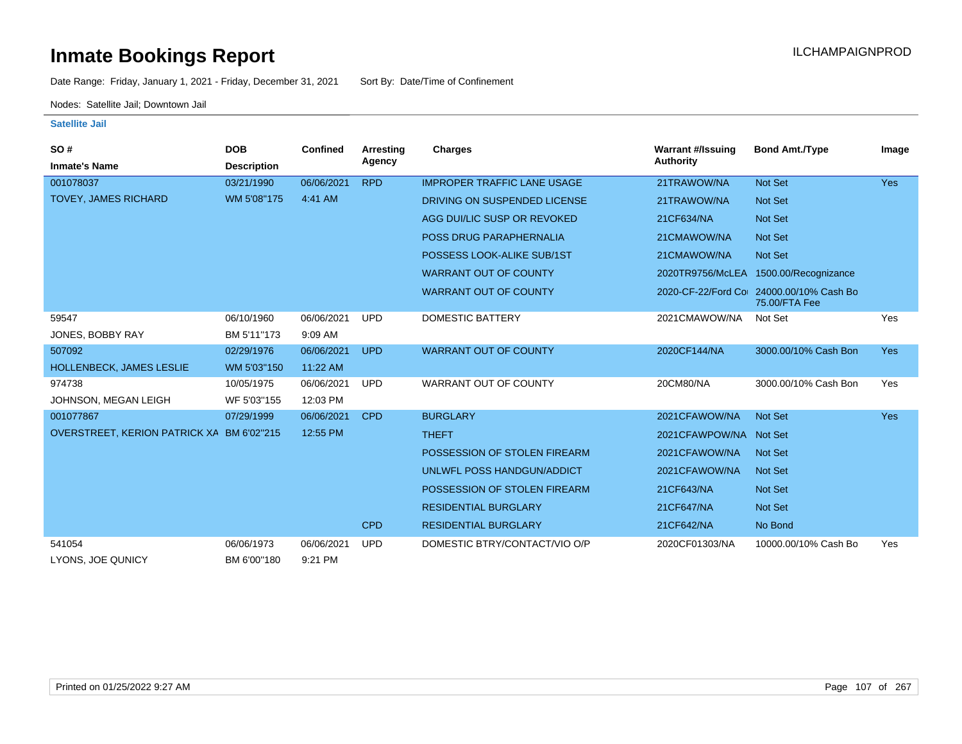Date Range: Friday, January 1, 2021 - Friday, December 31, 2021 Sort By: Date/Time of Confinement

Nodes: Satellite Jail; Downtown Jail

| SO#                             | <b>DOB</b>         | <b>Confined</b> | <b>Arresting</b> | Charges                            | <b>Warrant #/Issuing</b> | <b>Bond Amt./Type</b>                 | Image      |
|---------------------------------|--------------------|-----------------|------------------|------------------------------------|--------------------------|---------------------------------------|------------|
| <b>Inmate's Name</b>            | <b>Description</b> |                 | Agency           |                                    | Authority                |                                       |            |
| 001078037                       | 03/21/1990         | 06/06/2021      | <b>RPD</b>       | <b>IMPROPER TRAFFIC LANE USAGE</b> | 21TRAWOW/NA              | Not Set                               | <b>Yes</b> |
| <b>TOVEY, JAMES RICHARD</b>     | WM 5'08"175        | 4:41 AM         |                  | DRIVING ON SUSPENDED LICENSE       | 21TRAWOW/NA              | <b>Not Set</b>                        |            |
|                                 |                    |                 |                  | AGG DUI/LIC SUSP OR REVOKED        | 21CF634/NA               | Not Set                               |            |
|                                 |                    |                 |                  | POSS DRUG PARAPHERNALIA            | 21CMAWOW/NA              | <b>Not Set</b>                        |            |
|                                 |                    |                 |                  | POSSESS LOOK-ALIKE SUB/1ST         | 21CMAWOW/NA              | Not Set                               |            |
|                                 |                    |                 |                  | <b>WARRANT OUT OF COUNTY</b>       |                          | 2020TR9756/McLEA 1500.00/Recognizance |            |
|                                 |                    |                 |                  | <b>WARRANT OUT OF COUNTY</b>       | 2020-CF-22/Ford Co       | 24000.00/10% Cash Bo<br>75.00/FTA Fee |            |
| 59547                           | 06/10/1960         | 06/06/2021      | <b>UPD</b>       | <b>DOMESTIC BATTERY</b>            | 2021CMAWOW/NA            | Not Set                               | Yes        |
| JONES, BOBBY RAY                | BM 5'11"173        | 9:09 AM         |                  |                                    |                          |                                       |            |
| 507092                          | 02/29/1976         | 06/06/2021      | <b>UPD</b>       | <b>WARRANT OUT OF COUNTY</b>       | 2020CF144/NA             | 3000.00/10% Cash Bon                  | <b>Yes</b> |
| <b>HOLLENBECK, JAMES LESLIE</b> | WM 5'03"150        | 11:22 AM        |                  |                                    |                          |                                       |            |
| 974738                          | 10/05/1975         | 06/06/2021      | <b>UPD</b>       | <b>WARRANT OUT OF COUNTY</b>       | 20CM80/NA                | 3000.00/10% Cash Bon                  | Yes        |
| JOHNSON, MEGAN LEIGH            | WF 5'03"155        | 12:03 PM        |                  |                                    |                          |                                       |            |
| 001077867                       | 07/29/1999         | 06/06/2021      | <b>CPD</b>       | <b>BURGLARY</b>                    | 2021CFAWOW/NA            | <b>Not Set</b>                        | <b>Yes</b> |
| OVERSTREET, KERION PATRICK XA   | BM 6'02"215        | 12:55 PM        |                  | <b>THEFT</b>                       | 2021CFAWPOW/NA Not Set   |                                       |            |
|                                 |                    |                 |                  | POSSESSION OF STOLEN FIREARM       | 2021CFAWOW/NA            | <b>Not Set</b>                        |            |
|                                 |                    |                 |                  | UNLWFL POSS HANDGUN/ADDICT         | 2021CFAWOW/NA            | <b>Not Set</b>                        |            |
|                                 |                    |                 |                  | POSSESSION OF STOLEN FIREARM       | 21CF643/NA               | Not Set                               |            |
|                                 |                    |                 |                  | <b>RESIDENTIAL BURGLARY</b>        | 21CF647/NA               | <b>Not Set</b>                        |            |
|                                 |                    |                 | <b>CPD</b>       | <b>RESIDENTIAL BURGLARY</b>        | 21CF642/NA               | No Bond                               |            |
| 541054                          | 06/06/1973         | 06/06/2021      | <b>UPD</b>       | DOMESTIC BTRY/CONTACT/VIO O/P      | 2020CF01303/NA           | 10000.00/10% Cash Bo                  | Yes        |
| LYONS, JOE QUNICY               | BM 6'00"180        | 9:21 PM         |                  |                                    |                          |                                       |            |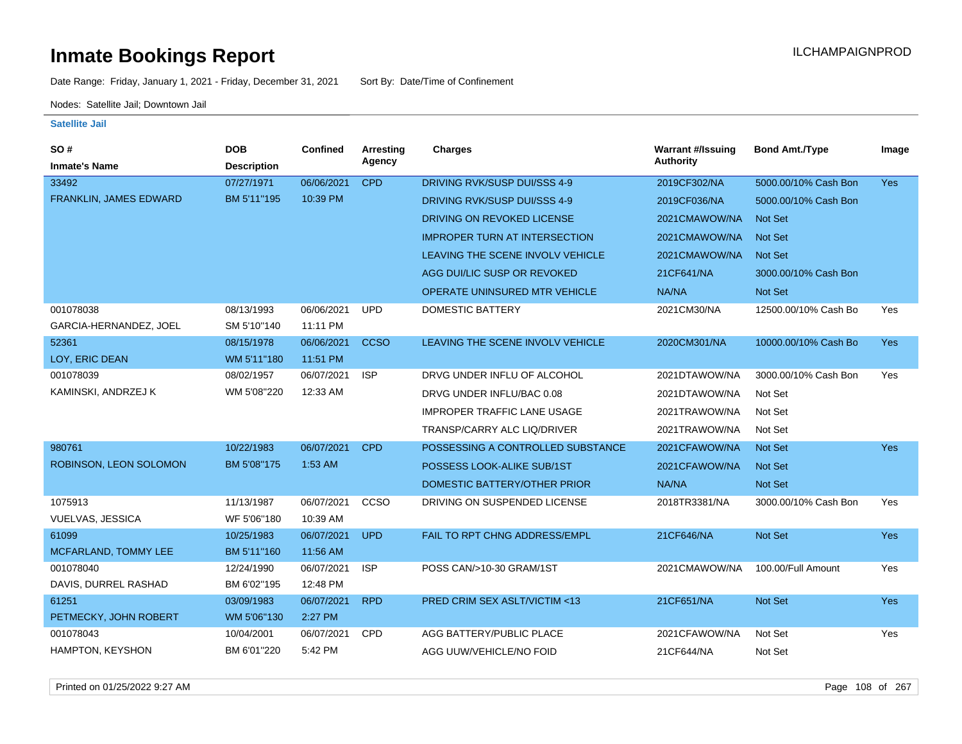Date Range: Friday, January 1, 2021 - Friday, December 31, 2021 Sort By: Date/Time of Confinement

Nodes: Satellite Jail; Downtown Jail

#### **Satellite Jail**

| SO#                     | <b>DOB</b>         | <b>Confined</b> | <b>Arresting</b> | <b>Charges</b>                       | <b>Warrant #/Issuing</b> | <b>Bond Amt./Type</b> | Image      |
|-------------------------|--------------------|-----------------|------------------|--------------------------------------|--------------------------|-----------------------|------------|
| <b>Inmate's Name</b>    | <b>Description</b> |                 | Agency           |                                      | <b>Authority</b>         |                       |            |
| 33492                   | 07/27/1971         | 06/06/2021      | <b>CPD</b>       | DRIVING RVK/SUSP DUI/SSS 4-9         | 2019CF302/NA             | 5000.00/10% Cash Bon  | <b>Yes</b> |
| FRANKLIN, JAMES EDWARD  | BM 5'11"195        | 10:39 PM        |                  | <b>DRIVING RVK/SUSP DUI/SSS 4-9</b>  | 2019CF036/NA             | 5000.00/10% Cash Bon  |            |
|                         |                    |                 |                  | DRIVING ON REVOKED LICENSE           | 2021CMAWOW/NA            | <b>Not Set</b>        |            |
|                         |                    |                 |                  | <b>IMPROPER TURN AT INTERSECTION</b> | 2021CMAWOW/NA            | Not Set               |            |
|                         |                    |                 |                  | LEAVING THE SCENE INVOLV VEHICLE     | 2021CMAWOW/NA            | Not Set               |            |
|                         |                    |                 |                  | AGG DUI/LIC SUSP OR REVOKED          | 21CF641/NA               | 3000.00/10% Cash Bon  |            |
|                         |                    |                 |                  | OPERATE UNINSURED MTR VEHICLE        | NA/NA                    | Not Set               |            |
| 001078038               | 08/13/1993         | 06/06/2021      | <b>UPD</b>       | DOMESTIC BATTERY                     | 2021CM30/NA              | 12500.00/10% Cash Bo  | Yes        |
| GARCIA-HERNANDEZ, JOEL  | SM 5'10"140        | 11:11 PM        |                  |                                      |                          |                       |            |
| 52361                   | 08/15/1978         | 06/06/2021      | <b>CCSO</b>      | LEAVING THE SCENE INVOLV VEHICLE     | 2020CM301/NA             | 10000.00/10% Cash Bo  | <b>Yes</b> |
| LOY, ERIC DEAN          | WM 5'11"180        | 11:51 PM        |                  |                                      |                          |                       |            |
| 001078039               | 08/02/1957         | 06/07/2021      | <b>ISP</b>       | DRVG UNDER INFLU OF ALCOHOL          | 2021DTAWOW/NA            | 3000.00/10% Cash Bon  | Yes        |
| KAMINSKI, ANDRZEJ K     | WM 5'08"220        | 12:33 AM        |                  | DRVG UNDER INFLU/BAC 0.08            | 2021DTAWOW/NA            | Not Set               |            |
|                         |                    |                 |                  | <b>IMPROPER TRAFFIC LANE USAGE</b>   | 2021TRAWOW/NA            | Not Set               |            |
|                         |                    |                 |                  | TRANSP/CARRY ALC LIQ/DRIVER          | 2021TRAWOW/NA            | Not Set               |            |
| 980761                  | 10/22/1983         | 06/07/2021      | <b>CPD</b>       | POSSESSING A CONTROLLED SUBSTANCE    | 2021CFAWOW/NA            | Not Set               | <b>Yes</b> |
| ROBINSON, LEON SOLOMON  | BM 5'08"175        | 1:53 AM         |                  | POSSESS LOOK-ALIKE SUB/1ST           | 2021CFAWOW/NA            | <b>Not Set</b>        |            |
|                         |                    |                 |                  | DOMESTIC BATTERY/OTHER PRIOR         | NA/NA                    | Not Set               |            |
| 1075913                 | 11/13/1987         | 06/07/2021      | CCSO             | DRIVING ON SUSPENDED LICENSE         | 2018TR3381/NA            | 3000.00/10% Cash Bon  | Yes        |
| <b>VUELVAS, JESSICA</b> | WF 5'06"180        | 10:39 AM        |                  |                                      |                          |                       |            |
| 61099                   | 10/25/1983         | 06/07/2021      | <b>UPD</b>       | FAIL TO RPT CHNG ADDRESS/EMPL        | 21CF646/NA               | Not Set               | <b>Yes</b> |
| MCFARLAND, TOMMY LEE    | BM 5'11"160        | 11:56 AM        |                  |                                      |                          |                       |            |
| 001078040               | 12/24/1990         | 06/07/2021      | <b>ISP</b>       | POSS CAN/>10-30 GRAM/1ST             | 2021CMAWOW/NA            | 100.00/Full Amount    | Yes        |
| DAVIS, DURREL RASHAD    | BM 6'02"195        | 12:48 PM        |                  |                                      |                          |                       |            |
| 61251                   | 03/09/1983         | 06/07/2021      | <b>RPD</b>       | PRED CRIM SEX ASLT/VICTIM <13        | 21CF651/NA               | Not Set               | <b>Yes</b> |
| PETMECKY, JOHN ROBERT   | WM 5'06"130        | 2:27 PM         |                  |                                      |                          |                       |            |
| 001078043               | 10/04/2001         | 06/07/2021      | <b>CPD</b>       | AGG BATTERY/PUBLIC PLACE             | 2021CFAWOW/NA            | Not Set               | Yes        |
| HAMPTON, KEYSHON        | BM 6'01"220        | 5:42 PM         |                  | AGG UUW/VEHICLE/NO FOID              | 21CF644/NA               | Not Set               |            |

Printed on 01/25/2022 9:27 AM Page 108 of 267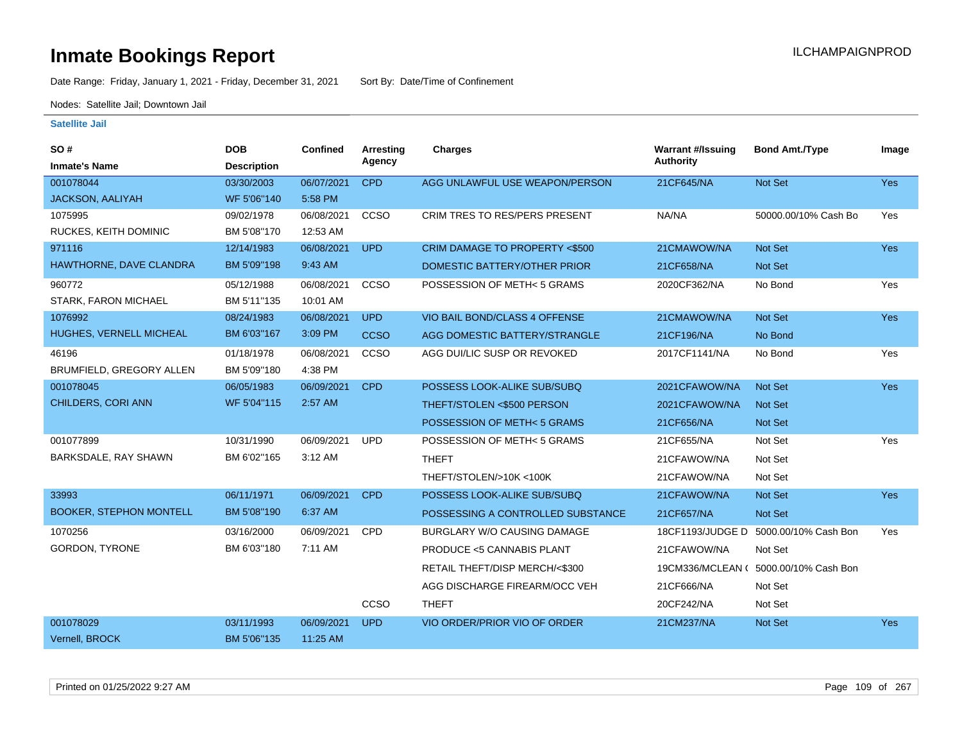Date Range: Friday, January 1, 2021 - Friday, December 31, 2021 Sort By: Date/Time of Confinement

Nodes: Satellite Jail; Downtown Jail

| SO#                            | <b>DOB</b>         | Confined   | <b>Arresting</b> | Charges                             | <b>Warrant #/Issuing</b> | <b>Bond Amt./Type</b>                 | Image      |
|--------------------------------|--------------------|------------|------------------|-------------------------------------|--------------------------|---------------------------------------|------------|
| <b>Inmate's Name</b>           | <b>Description</b> |            | Agency           |                                     | Authority                |                                       |            |
| 001078044                      | 03/30/2003         | 06/07/2021 | <b>CPD</b>       | AGG UNLAWFUL USE WEAPON/PERSON      | 21CF645/NA               | Not Set                               | Yes        |
| JACKSON, AALIYAH               | WF 5'06"140        | 5:58 PM    |                  |                                     |                          |                                       |            |
| 1075995                        | 09/02/1978         | 06/08/2021 | CCSO             | CRIM TRES TO RES/PERS PRESENT       | NA/NA                    | 50000.00/10% Cash Bo                  | Yes        |
| RUCKES, KEITH DOMINIC          | BM 5'08"170        | 12:53 AM   |                  |                                     |                          |                                       |            |
| 971116                         | 12/14/1983         | 06/08/2021 | <b>UPD</b>       | CRIM DAMAGE TO PROPERTY <\$500      | 21CMAWOW/NA              | <b>Not Set</b>                        | <b>Yes</b> |
| HAWTHORNE, DAVE CLANDRA        | BM 5'09"198        | 9:43 AM    |                  | DOMESTIC BATTERY/OTHER PRIOR        | 21CF658/NA               | <b>Not Set</b>                        |            |
| 960772                         | 05/12/1988         | 06/08/2021 | CCSO             | POSSESSION OF METH<5 GRAMS          | 2020CF362/NA             | No Bond                               | Yes        |
| STARK, FARON MICHAEL           | BM 5'11"135        | 10:01 AM   |                  |                                     |                          |                                       |            |
| 1076992                        | 08/24/1983         | 06/08/2021 | <b>UPD</b>       | VIO BAIL BOND/CLASS 4 OFFENSE       | 21CMAWOW/NA              | Not Set                               | <b>Yes</b> |
| HUGHES, VERNELL MICHEAL        | BM 6'03"167        | 3:09 PM    | <b>CCSO</b>      | AGG DOMESTIC BATTERY/STRANGLE       | 21CF196/NA               | No Bond                               |            |
| 46196                          | 01/18/1978         | 06/08/2021 | CCSO             | AGG DUI/LIC SUSP OR REVOKED         | 2017CF1141/NA            | No Bond                               | Yes        |
| BRUMFIELD, GREGORY ALLEN       | BM 5'09"180        | 4:38 PM    |                  |                                     |                          |                                       |            |
| 001078045                      | 06/05/1983         | 06/09/2021 | <b>CPD</b>       | POSSESS LOOK-ALIKE SUB/SUBQ         | 2021CFAWOW/NA            | <b>Not Set</b>                        | <b>Yes</b> |
| <b>CHILDERS, CORI ANN</b>      | WF 5'04"115        | 2:57 AM    |                  | THEFT/STOLEN <\$500 PERSON          | 2021CFAWOW/NA            | Not Set                               |            |
|                                |                    |            |                  | POSSESSION OF METH< 5 GRAMS         | 21CF656/NA               | Not Set                               |            |
| 001077899                      | 10/31/1990         | 06/09/2021 | <b>UPD</b>       | POSSESSION OF METH< 5 GRAMS         | 21CF655/NA               | Not Set                               | Yes        |
| BARKSDALE, RAY SHAWN           | BM 6'02"165        | 3:12 AM    |                  | <b>THEFT</b>                        | 21CFAWOW/NA              | Not Set                               |            |
|                                |                    |            |                  | THEFT/STOLEN/>10K <100K             | 21CFAWOW/NA              | Not Set                               |            |
| 33993                          | 06/11/1971         | 06/09/2021 | <b>CPD</b>       | POSSESS LOOK-ALIKE SUB/SUBQ         | 21CFAWOW/NA              | Not Set                               | <b>Yes</b> |
| <b>BOOKER, STEPHON MONTELL</b> | BM 5'08"190        | 6:37 AM    |                  | POSSESSING A CONTROLLED SUBSTANCE   | 21CF657/NA               | <b>Not Set</b>                        |            |
| 1070256                        | 03/16/2000         | 06/09/2021 | <b>CPD</b>       | <b>BURGLARY W/O CAUSING DAMAGE</b>  | 18CF1193/JUDGE D         | 5000.00/10% Cash Bon                  | Yes        |
| GORDON, TYRONE                 | BM 6'03"180        | 7:11 AM    |                  | <b>PRODUCE &lt;5 CANNABIS PLANT</b> | 21CFAWOW/NA              | Not Set                               |            |
|                                |                    |            |                  | RETAIL THEFT/DISP MERCH/<\$300      |                          | 19CM336/MCLEAN ( 5000.00/10% Cash Bon |            |
|                                |                    |            |                  | AGG DISCHARGE FIREARM/OCC VEH       | 21CF666/NA               | Not Set                               |            |
|                                |                    |            | <b>CCSO</b>      | <b>THEFT</b>                        | 20CF242/NA               | Not Set                               |            |
| 001078029                      | 03/11/1993         | 06/09/2021 | <b>UPD</b>       | VIO ORDER/PRIOR VIO OF ORDER        | 21CM237/NA               | <b>Not Set</b>                        | <b>Yes</b> |
| Vernell, BROCK                 | BM 5'06"135        | 11:25 AM   |                  |                                     |                          |                                       |            |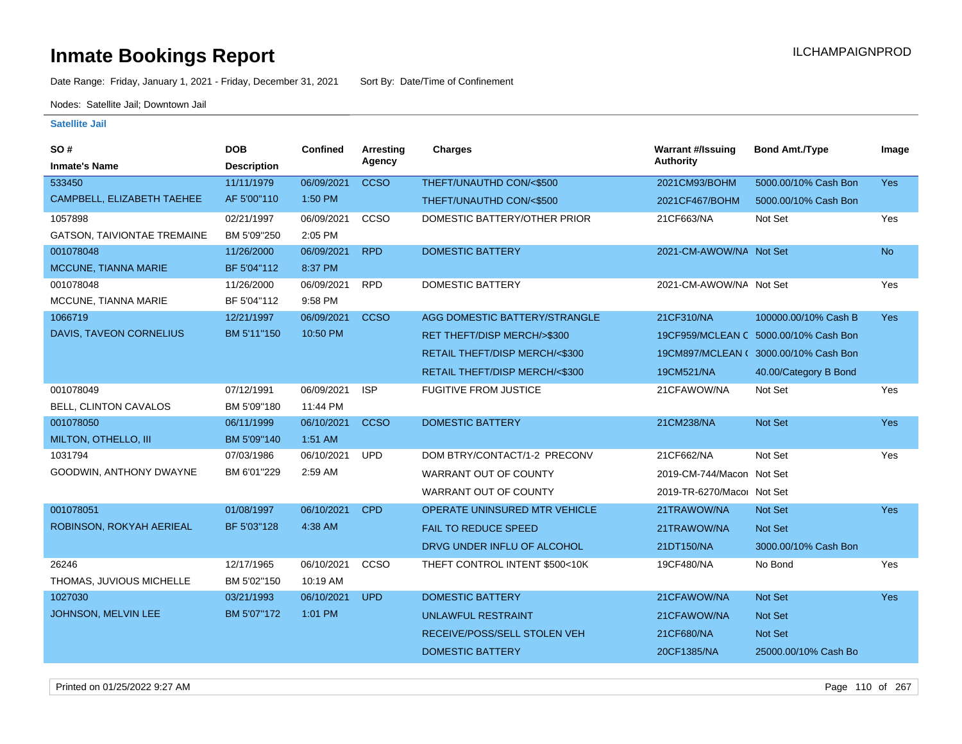Date Range: Friday, January 1, 2021 - Friday, December 31, 2021 Sort By: Date/Time of Confinement

Nodes: Satellite Jail; Downtown Jail

| SO #                               | <b>DOB</b>         | <b>Confined</b> | <b>Arresting</b> | <b>Charges</b>                           | <b>Warrant #/Issuing</b>   | <b>Bond Amt./Type</b>                 | Image      |
|------------------------------------|--------------------|-----------------|------------------|------------------------------------------|----------------------------|---------------------------------------|------------|
| <b>Inmate's Name</b>               | <b>Description</b> |                 | Agency           |                                          | <b>Authority</b>           |                                       |            |
| 533450                             | 11/11/1979         | 06/09/2021      | <b>CCSO</b>      | THEFT/UNAUTHD CON/<\$500                 | 2021CM93/BOHM              | 5000.00/10% Cash Bon                  | <b>Yes</b> |
| CAMPBELL, ELIZABETH TAEHEE         | AF 5'00"110        | 1:50 PM         |                  | THEFT/UNAUTHD CON/<\$500                 | 2021CF467/BOHM             | 5000.00/10% Cash Bon                  |            |
| 1057898                            | 02/21/1997         | 06/09/2021      | ccso             | DOMESTIC BATTERY/OTHER PRIOR             | 21CF663/NA                 | Not Set                               | Yes        |
| <b>GATSON, TAIVIONTAE TREMAINE</b> | BM 5'09"250        | 2:05 PM         |                  |                                          |                            |                                       |            |
| 001078048                          | 11/26/2000         | 06/09/2021      | <b>RPD</b>       | <b>DOMESTIC BATTERY</b>                  | 2021-CM-AWOW/NA Not Set    |                                       | <b>No</b>  |
| MCCUNE, TIANNA MARIE               | BF 5'04"112        | 8:37 PM         |                  |                                          |                            |                                       |            |
| 001078048                          | 11/26/2000         | 06/09/2021      | <b>RPD</b>       | <b>DOMESTIC BATTERY</b>                  | 2021-CM-AWOW/NA Not Set    |                                       | Yes        |
| MCCUNE, TIANNA MARIE               | BF 5'04"112        | 9:58 PM         |                  |                                          |                            |                                       |            |
| 1066719                            | 12/21/1997         | 06/09/2021      | <b>CCSO</b>      | AGG DOMESTIC BATTERY/STRANGLE            | 21CF310/NA                 | 100000.00/10% Cash B                  | Yes        |
| DAVIS, TAVEON CORNELIUS            | BM 5'11"150        | 10:50 PM        |                  | RET THEFT/DISP MERCH/>\$300              |                            | 19CF959/MCLEAN C 5000.00/10% Cash Bon |            |
|                                    |                    |                 |                  | <b>RETAIL THEFT/DISP MERCH/&lt;\$300</b> |                            | 19CM897/MCLEAN ( 3000.00/10% Cash Bon |            |
|                                    |                    |                 |                  | RETAIL THEFT/DISP MERCH/<\$300           | 19CM521/NA                 | 40.00/Category B Bond                 |            |
| 001078049                          | 07/12/1991         | 06/09/2021      | <b>ISP</b>       | <b>FUGITIVE FROM JUSTICE</b>             | 21CFAWOW/NA                | Not Set                               | Yes        |
| BELL, CLINTON CAVALOS              | BM 5'09"180        | 11:44 PM        |                  |                                          |                            |                                       |            |
| 001078050                          | 06/11/1999         | 06/10/2021      | <b>CCSO</b>      | <b>DOMESTIC BATTERY</b>                  | 21CM238/NA                 | <b>Not Set</b>                        | <b>Yes</b> |
| MILTON, OTHELLO, III               | BM 5'09"140        | 1:51 AM         |                  |                                          |                            |                                       |            |
| 1031794                            | 07/03/1986         | 06/10/2021      | <b>UPD</b>       | DOM BTRY/CONTACT/1-2 PRECONV             | 21CF662/NA                 | Not Set                               | Yes        |
| GOODWIN, ANTHONY DWAYNE            | BM 6'01"229        | 2:59 AM         |                  | WARRANT OUT OF COUNTY                    | 2019-CM-744/Macon Not Set  |                                       |            |
|                                    |                    |                 |                  | <b>WARRANT OUT OF COUNTY</b>             | 2019-TR-6270/Macor Not Set |                                       |            |
| 001078051                          | 01/08/1997         | 06/10/2021      | <b>CPD</b>       | OPERATE UNINSURED MTR VEHICLE            | 21TRAWOW/NA                | Not Set                               | Yes        |
| ROBINSON, ROKYAH AERIEAL           | BF 5'03"128        | 4:38 AM         |                  | <b>FAIL TO REDUCE SPEED</b>              | 21TRAWOW/NA                | Not Set                               |            |
|                                    |                    |                 |                  | DRVG UNDER INFLU OF ALCOHOL              | 21DT150/NA                 | 3000.00/10% Cash Bon                  |            |
| 26246                              | 12/17/1965         | 06/10/2021      | CCSO             | THEFT CONTROL INTENT \$500<10K           | 19CF480/NA                 | No Bond                               | Yes        |
| THOMAS, JUVIOUS MICHELLE           | BM 5'02"150        | 10:19 AM        |                  |                                          |                            |                                       |            |
| 1027030                            | 03/21/1993         | 06/10/2021      | <b>UPD</b>       | <b>DOMESTIC BATTERY</b>                  | 21CFAWOW/NA                | Not Set                               | <b>Yes</b> |
| JOHNSON, MELVIN LEE                | BM 5'07"172        | 1:01 PM         |                  | <b>UNLAWFUL RESTRAINT</b>                | 21CFAWOW/NA                | Not Set                               |            |
|                                    |                    |                 |                  | RECEIVE/POSS/SELL STOLEN VEH             | 21CF680/NA                 | <b>Not Set</b>                        |            |
|                                    |                    |                 |                  | <b>DOMESTIC BATTERY</b>                  | 20CF1385/NA                | 25000.00/10% Cash Bo                  |            |
|                                    |                    |                 |                  |                                          |                            |                                       |            |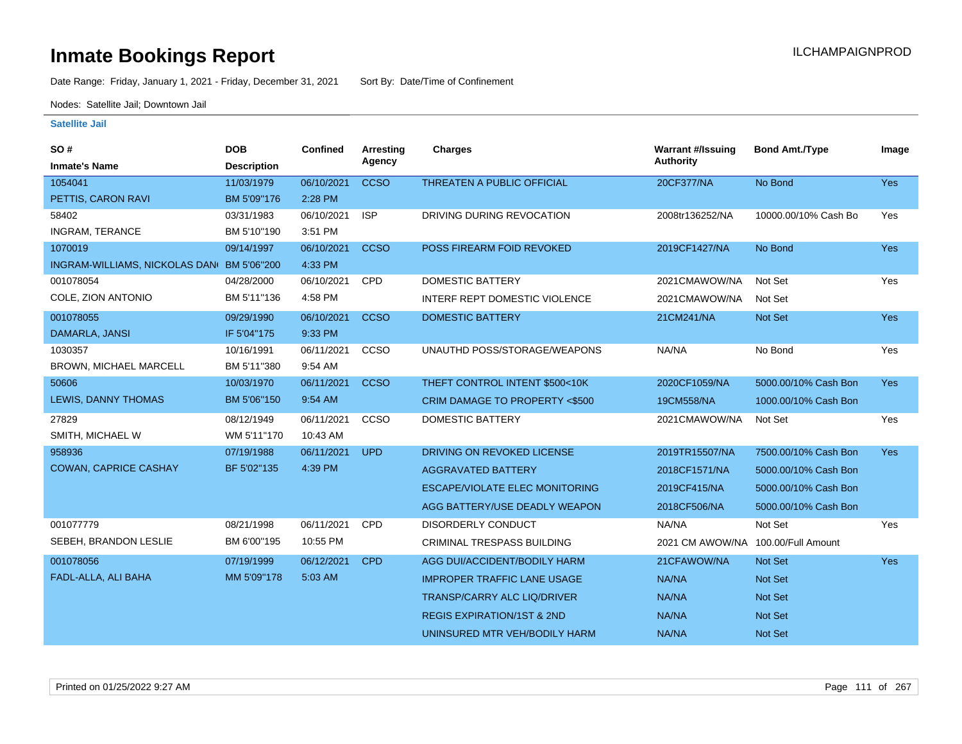Date Range: Friday, January 1, 2021 - Friday, December 31, 2021 Sort By: Date/Time of Confinement

Nodes: Satellite Jail; Downtown Jail

| SO#                                       | <b>DOB</b>         | Confined   | <b>Arresting</b> | <b>Charges</b>                        | <b>Warrant #/Issuing</b> | <b>Bond Amt./Type</b> | Image      |
|-------------------------------------------|--------------------|------------|------------------|---------------------------------------|--------------------------|-----------------------|------------|
| <b>Inmate's Name</b>                      | <b>Description</b> |            | Agency           |                                       | <b>Authority</b>         |                       |            |
| 1054041                                   | 11/03/1979         | 06/10/2021 | <b>CCSO</b>      | <b>THREATEN A PUBLIC OFFICIAL</b>     | 20CF377/NA               | No Bond               | Yes        |
| PETTIS, CARON RAVI                        | BM 5'09"176        | 2:28 PM    |                  |                                       |                          |                       |            |
| 58402                                     | 03/31/1983         | 06/10/2021 | <b>ISP</b>       | DRIVING DURING REVOCATION             | 2008tr136252/NA          | 10000.00/10% Cash Bo  | Yes        |
| <b>INGRAM, TERANCE</b>                    | BM 5'10"190        | 3:51 PM    |                  |                                       |                          |                       |            |
| 1070019                                   | 09/14/1997         | 06/10/2021 | <b>CCSO</b>      | POSS FIREARM FOID REVOKED             | 2019CF1427/NA            | No Bond               | <b>Yes</b> |
| INGRAM-WILLIAMS, NICKOLAS DAN BM 5'06"200 |                    | 4:33 PM    |                  |                                       |                          |                       |            |
| 001078054                                 | 04/28/2000         | 06/10/2021 | <b>CPD</b>       | <b>DOMESTIC BATTERY</b>               | 2021CMAWOW/NA            | Not Set               | Yes        |
| COLE, ZION ANTONIO                        | BM 5'11"136        | 4:58 PM    |                  | INTERF REPT DOMESTIC VIOLENCE         | 2021CMAWOW/NA            | Not Set               |            |
| 001078055                                 | 09/29/1990         | 06/10/2021 | <b>CCSO</b>      | <b>DOMESTIC BATTERY</b>               | 21CM241/NA               | <b>Not Set</b>        | <b>Yes</b> |
| DAMARLA, JANSI                            | IF 5'04"175        | 9:33 PM    |                  |                                       |                          |                       |            |
| 1030357                                   | 10/16/1991         | 06/11/2021 | CCSO             | UNAUTHD POSS/STORAGE/WEAPONS          | NA/NA                    | No Bond               | Yes        |
| BROWN, MICHAEL MARCELL                    | BM 5'11"380        | 9:54 AM    |                  |                                       |                          |                       |            |
| 50606                                     | 10/03/1970         | 06/11/2021 | <b>CCSO</b>      | THEFT CONTROL INTENT \$500<10K        | 2020CF1059/NA            | 5000.00/10% Cash Bon  | <b>Yes</b> |
| LEWIS, DANNY THOMAS                       | BM 5'06"150        | 9:54 AM    |                  | CRIM DAMAGE TO PROPERTY <\$500        | 19CM558/NA               | 1000.00/10% Cash Bon  |            |
| 27829                                     | 08/12/1949         | 06/11/2021 | CCSO             | <b>DOMESTIC BATTERY</b>               | 2021CMAWOW/NA            | Not Set               | Yes        |
| SMITH, MICHAEL W                          | WM 5'11"170        | 10:43 AM   |                  |                                       |                          |                       |            |
| 958936                                    | 07/19/1988         | 06/11/2021 | <b>UPD</b>       | DRIVING ON REVOKED LICENSE            | 2019TR15507/NA           | 7500.00/10% Cash Bon  | <b>Yes</b> |
| <b>COWAN, CAPRICE CASHAY</b>              | BF 5'02"135        | 4:39 PM    |                  | <b>AGGRAVATED BATTERY</b>             | 2018CF1571/NA            | 5000.00/10% Cash Bon  |            |
|                                           |                    |            |                  | <b>ESCAPE/VIOLATE ELEC MONITORING</b> | 2019CF415/NA             | 5000.00/10% Cash Bon  |            |
|                                           |                    |            |                  | AGG BATTERY/USE DEADLY WEAPON         | 2018CF506/NA             | 5000.00/10% Cash Bon  |            |
| 001077779                                 | 08/21/1998         | 06/11/2021 | <b>CPD</b>       | <b>DISORDERLY CONDUCT</b>             | NA/NA                    | Not Set               | Yes        |
| SEBEH, BRANDON LESLIE                     | BM 6'00"195        | 10:55 PM   |                  | <b>CRIMINAL TRESPASS BUILDING</b>     | 2021 CM AWOW/NA          | 100.00/Full Amount    |            |
| 001078056                                 | 07/19/1999         | 06/12/2021 | <b>CPD</b>       | AGG DUI/ACCIDENT/BODILY HARM          | 21CFAWOW/NA              | <b>Not Set</b>        | <b>Yes</b> |
| FADL-ALLA, ALI BAHA                       | MM 5'09"178        | 5:03 AM    |                  | <b>IMPROPER TRAFFIC LANE USAGE</b>    | NA/NA                    | Not Set               |            |
|                                           |                    |            |                  | <b>TRANSP/CARRY ALC LIQ/DRIVER</b>    | <b>NA/NA</b>             | Not Set               |            |
|                                           |                    |            |                  | <b>REGIS EXPIRATION/1ST &amp; 2ND</b> | NA/NA                    | Not Set               |            |
|                                           |                    |            |                  | UNINSURED MTR VEH/BODILY HARM         | NA/NA                    | Not Set               |            |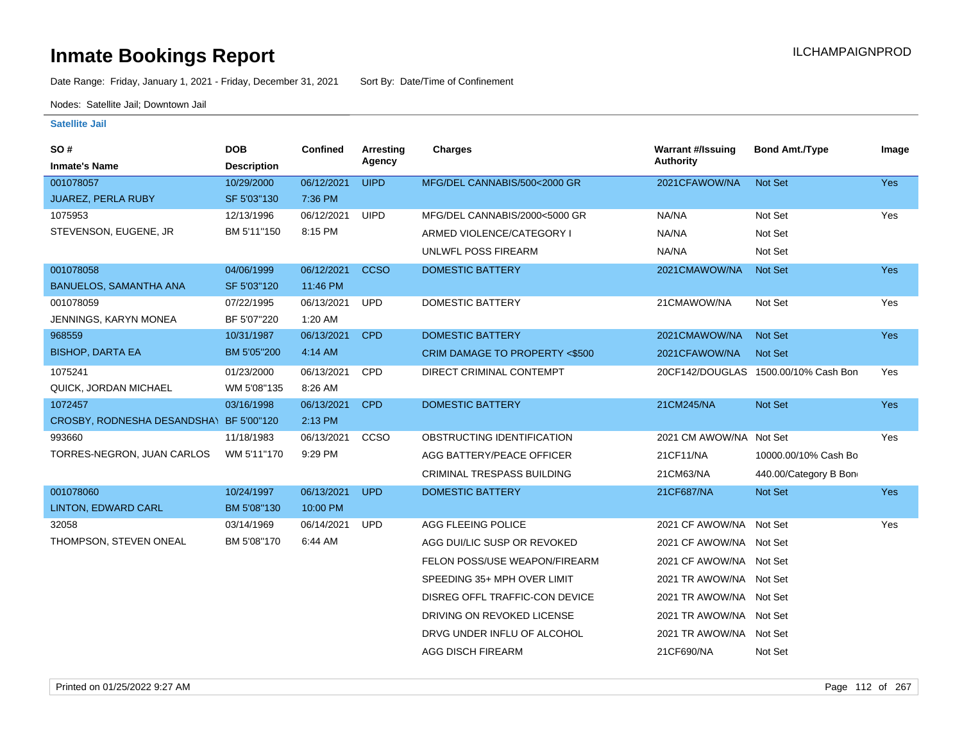Date Range: Friday, January 1, 2021 - Friday, December 31, 2021 Sort By: Date/Time of Confinement

Nodes: Satellite Jail; Downtown Jail

| <b>SO#</b>                              | <b>DOB</b>         | Confined   | <b>Arresting</b> | <b>Charges</b>                 | <b>Warrant #/Issuing</b> | <b>Bond Amt./Type</b>                | Image      |
|-----------------------------------------|--------------------|------------|------------------|--------------------------------|--------------------------|--------------------------------------|------------|
| <b>Inmate's Name</b>                    | <b>Description</b> |            | Agency           |                                | <b>Authority</b>         |                                      |            |
| 001078057                               | 10/29/2000         | 06/12/2021 | <b>UIPD</b>      | MFG/DEL CANNABIS/500<2000 GR   | 2021CFAWOW/NA            | Not Set                              | <b>Yes</b> |
| <b>JUAREZ, PERLA RUBY</b>               | SF 5'03"130        | 7:36 PM    |                  |                                |                          |                                      |            |
| 1075953                                 | 12/13/1996         | 06/12/2021 | <b>UIPD</b>      | MFG/DEL CANNABIS/2000<5000 GR  | NA/NA                    | Not Set                              | Yes        |
| STEVENSON, EUGENE, JR                   | BM 5'11"150        | 8:15 PM    |                  | ARMED VIOLENCE/CATEGORY I      | NA/NA                    | Not Set                              |            |
|                                         |                    |            |                  | UNLWFL POSS FIREARM            | NA/NA                    | Not Set                              |            |
| 001078058                               | 04/06/1999         | 06/12/2021 | <b>CCSO</b>      | <b>DOMESTIC BATTERY</b>        | 2021CMAWOW/NA            | Not Set                              | Yes        |
| <b>BANUELOS, SAMANTHA ANA</b>           | SF 5'03"120        | 11:46 PM   |                  |                                |                          |                                      |            |
| 001078059                               | 07/22/1995         | 06/13/2021 | <b>UPD</b>       | DOMESTIC BATTERY               | 21CMAWOW/NA              | Not Set                              | Yes        |
| JENNINGS, KARYN MONEA                   | BF 5'07"220        | 1:20 AM    |                  |                                |                          |                                      |            |
| 968559                                  | 10/31/1987         | 06/13/2021 | <b>CPD</b>       | <b>DOMESTIC BATTERY</b>        | 2021CMAWOW/NA            | <b>Not Set</b>                       | <b>Yes</b> |
| <b>BISHOP, DARTA EA</b>                 | BM 5'05"200        | 4:14 AM    |                  | CRIM DAMAGE TO PROPERTY <\$500 | 2021CFAWOW/NA            | <b>Not Set</b>                       |            |
| 1075241                                 | 01/23/2000         | 06/13/2021 | CPD              | DIRECT CRIMINAL CONTEMPT       |                          | 20CF142/DOUGLAS 1500.00/10% Cash Bon | Yes        |
| QUICK, JORDAN MICHAEL                   | WM 5'08"135        | 8:26 AM    |                  |                                |                          |                                      |            |
| 1072457                                 | 03/16/1998         | 06/13/2021 | <b>CPD</b>       | <b>DOMESTIC BATTERY</b>        | 21CM245/NA               | Not Set                              | <b>Yes</b> |
| CROSBY, RODNESHA DESANDSHA\ BF 5'00"120 |                    | 2:13 PM    |                  |                                |                          |                                      |            |
| 993660                                  | 11/18/1983         | 06/13/2021 | CCSO             | OBSTRUCTING IDENTIFICATION     | 2021 CM AWOW/NA Not Set  |                                      | Yes        |
| TORRES-NEGRON, JUAN CARLOS              | WM 5'11"170        | 9:29 PM    |                  | AGG BATTERY/PEACE OFFICER      | 21CF11/NA                | 10000.00/10% Cash Bo                 |            |
|                                         |                    |            |                  | CRIMINAL TRESPASS BUILDING     | 21CM63/NA                | 440.00/Category B Bon                |            |
| 001078060                               | 10/24/1997         | 06/13/2021 | <b>UPD</b>       | <b>DOMESTIC BATTERY</b>        | 21CF687/NA               | Not Set                              | <b>Yes</b> |
| <b>LINTON, EDWARD CARL</b>              | BM 5'08"130        | 10:00 PM   |                  |                                |                          |                                      |            |
| 32058                                   | 03/14/1969         | 06/14/2021 | <b>UPD</b>       | <b>AGG FLEEING POLICE</b>      | 2021 CF AWOW/NA Not Set  |                                      | Yes        |
| THOMPSON, STEVEN ONEAL                  | BM 5'08"170        | 6:44 AM    |                  | AGG DUI/LIC SUSP OR REVOKED    | 2021 CF AWOW/NA Not Set  |                                      |            |
|                                         |                    |            |                  | FELON POSS/USE WEAPON/FIREARM  | 2021 CF AWOW/NA Not Set  |                                      |            |
|                                         |                    |            |                  | SPEEDING 35+ MPH OVER LIMIT    | 2021 TR AWOW/NA Not Set  |                                      |            |
|                                         |                    |            |                  | DISREG OFFL TRAFFIC-CON DEVICE | 2021 TR AWOW/NA Not Set  |                                      |            |
|                                         |                    |            |                  | DRIVING ON REVOKED LICENSE     | 2021 TR AWOW/NA Not Set  |                                      |            |
|                                         |                    |            |                  | DRVG UNDER INFLU OF ALCOHOL    | 2021 TR AWOW/NA Not Set  |                                      |            |
|                                         |                    |            |                  | AGG DISCH FIREARM              | 21CF690/NA               | Not Set                              |            |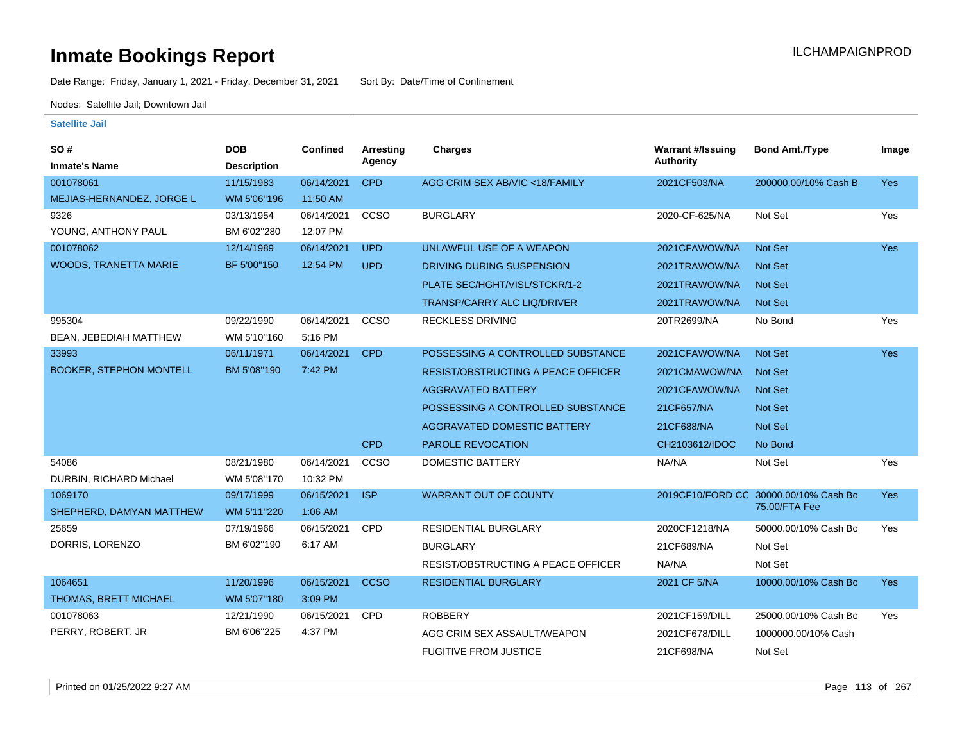Date Range: Friday, January 1, 2021 - Friday, December 31, 2021 Sort By: Date/Time of Confinement

Nodes: Satellite Jail; Downtown Jail

| SO #<br><b>Inmate's Name</b>   | <b>DOB</b><br><b>Description</b> | <b>Confined</b> | <b>Arresting</b><br>Agency | <b>Charges</b>                            | <b>Warrant #/Issuing</b><br><b>Authority</b> | <b>Bond Amt./Type</b>                 | Image      |
|--------------------------------|----------------------------------|-----------------|----------------------------|-------------------------------------------|----------------------------------------------|---------------------------------------|------------|
| 001078061                      | 11/15/1983                       | 06/14/2021      | <b>CPD</b>                 | AGG CRIM SEX AB/VIC <18/FAMILY            | 2021CF503/NA                                 | 200000.00/10% Cash B                  | Yes        |
| MEJIAS-HERNANDEZ, JORGE L      | WM 5'06"196                      | 11:50 AM        |                            |                                           |                                              |                                       |            |
| 9326                           | 03/13/1954                       | 06/14/2021      | CCSO                       | <b>BURGLARY</b>                           | 2020-CF-625/NA                               | Not Set                               | Yes        |
| YOUNG, ANTHONY PAUL            | BM 6'02"280                      | 12:07 PM        |                            |                                           |                                              |                                       |            |
| 001078062                      | 12/14/1989                       | 06/14/2021      | <b>UPD</b>                 | UNLAWFUL USE OF A WEAPON                  | 2021CFAWOW/NA                                | <b>Not Set</b>                        | <b>Yes</b> |
| <b>WOODS, TRANETTA MARIE</b>   | BF 5'00"150                      | 12:54 PM        | <b>UPD</b>                 | DRIVING DURING SUSPENSION                 | 2021TRAWOW/NA                                | <b>Not Set</b>                        |            |
|                                |                                  |                 |                            | PLATE SEC/HGHT/VISL/STCKR/1-2             | 2021TRAWOW/NA                                | <b>Not Set</b>                        |            |
|                                |                                  |                 |                            | <b>TRANSP/CARRY ALC LIQ/DRIVER</b>        | 2021TRAWOW/NA                                | <b>Not Set</b>                        |            |
| 995304                         | 09/22/1990                       | 06/14/2021      | CCSO                       | <b>RECKLESS DRIVING</b>                   | 20TR2699/NA                                  | No Bond                               | Yes        |
| BEAN, JEBEDIAH MATTHEW         | WM 5'10"160                      | 5:16 PM         |                            |                                           |                                              |                                       |            |
| 33993                          | 06/11/1971                       | 06/14/2021      | <b>CPD</b>                 | POSSESSING A CONTROLLED SUBSTANCE         | 2021CFAWOW/NA                                | <b>Not Set</b>                        | Yes        |
| <b>BOOKER, STEPHON MONTELL</b> | BM 5'08"190                      | 7:42 PM         |                            | <b>RESIST/OBSTRUCTING A PEACE OFFICER</b> | 2021CMAWOW/NA                                | <b>Not Set</b>                        |            |
|                                |                                  |                 |                            | <b>AGGRAVATED BATTERY</b>                 | 2021CFAWOW/NA                                | <b>Not Set</b>                        |            |
|                                |                                  |                 |                            | POSSESSING A CONTROLLED SUBSTANCE         | 21CF657/NA                                   | <b>Not Set</b>                        |            |
|                                |                                  |                 |                            | <b>AGGRAVATED DOMESTIC BATTERY</b>        | 21CF688/NA                                   | <b>Not Set</b>                        |            |
|                                |                                  |                 | <b>CPD</b>                 | PAROLE REVOCATION                         | CH2103612/IDOC                               | No Bond                               |            |
| 54086                          | 08/21/1980                       | 06/14/2021      | CCSO                       | <b>DOMESTIC BATTERY</b>                   | NA/NA                                        | Not Set                               | Yes        |
| DURBIN, RICHARD Michael        | WM 5'08"170                      | 10:32 PM        |                            |                                           |                                              |                                       |            |
| 1069170                        | 09/17/1999                       | 06/15/2021      | <b>ISP</b>                 | <b>WARRANT OUT OF COUNTY</b>              |                                              | 2019CF10/FORD CC 30000.00/10% Cash Bo | Yes        |
| SHEPHERD, DAMYAN MATTHEW       | WM 5'11"220                      | 1:06 AM         |                            |                                           |                                              | 75.00/FTA Fee                         |            |
| 25659                          | 07/19/1966                       | 06/15/2021      | <b>CPD</b>                 | <b>RESIDENTIAL BURGLARY</b>               | 2020CF1218/NA                                | 50000.00/10% Cash Bo                  | Yes        |
| DORRIS, LORENZO                | BM 6'02"190                      | 6:17 AM         |                            | <b>BURGLARY</b>                           | 21CF689/NA                                   | Not Set                               |            |
|                                |                                  |                 |                            | RESIST/OBSTRUCTING A PEACE OFFICER        | NA/NA                                        | Not Set                               |            |
| 1064651                        | 11/20/1996                       | 06/15/2021      | <b>CCSO</b>                | <b>RESIDENTIAL BURGLARY</b>               | 2021 CF 5/NA                                 | 10000.00/10% Cash Bo                  | <b>Yes</b> |
| THOMAS, BRETT MICHAEL          | WM 5'07"180                      | 3:09 PM         |                            |                                           |                                              |                                       |            |
| 001078063                      | 12/21/1990                       | 06/15/2021      | CPD                        | <b>ROBBERY</b>                            | 2021CF159/DILL                               | 25000.00/10% Cash Bo                  | Yes        |
| PERRY, ROBERT, JR              | BM 6'06"225                      | 4:37 PM         |                            | AGG CRIM SEX ASSAULT/WEAPON               | 2021CF678/DILL                               | 1000000.00/10% Cash                   |            |
|                                |                                  |                 |                            | <b>FUGITIVE FROM JUSTICE</b>              | 21CF698/NA                                   | Not Set                               |            |
|                                |                                  |                 |                            |                                           |                                              |                                       |            |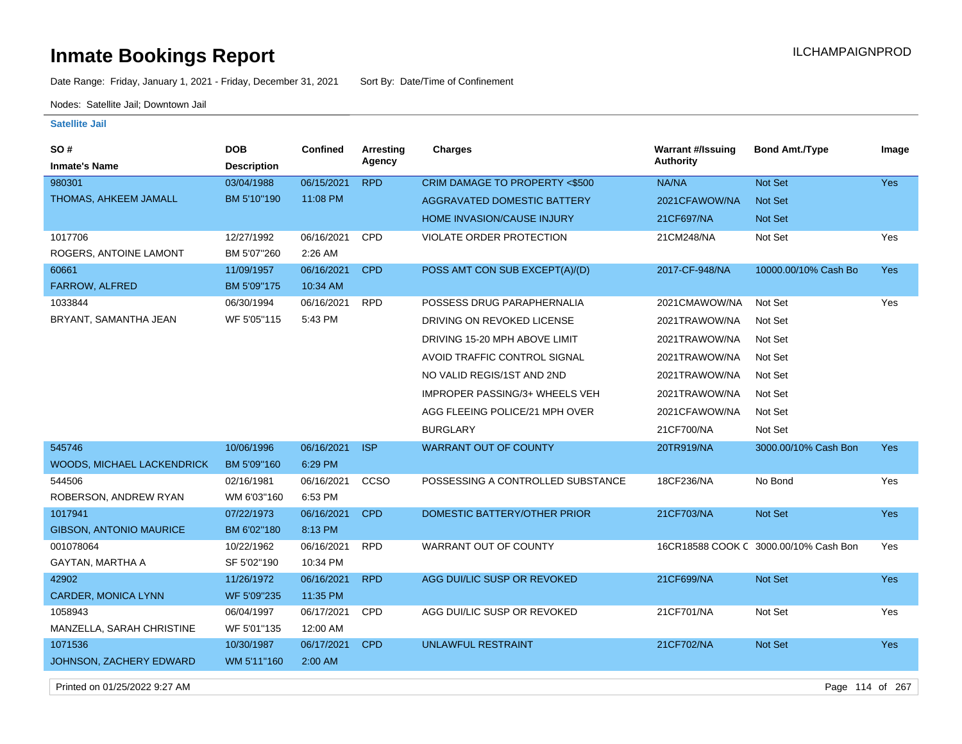# **Inmate Bookings Report Installation ILCHAMPAIGNPROD**

Date Range: Friday, January 1, 2021 - Friday, December 31, 2021 Sort By: Date/Time of Confinement

Nodes: Satellite Jail; Downtown Jail

#### **Satellite Jail**

| SO#                               | <b>DOB</b>         | <b>Confined</b> | <b>Arresting</b> | <b>Charges</b>                     | <b>Warrant #/Issuing</b> | <b>Bond Amt./Type</b>                 | Image      |
|-----------------------------------|--------------------|-----------------|------------------|------------------------------------|--------------------------|---------------------------------------|------------|
| <b>Inmate's Name</b>              | <b>Description</b> |                 | Agency           |                                    | <b>Authority</b>         |                                       |            |
| 980301                            | 03/04/1988         | 06/15/2021      | <b>RPD</b>       | CRIM DAMAGE TO PROPERTY <\$500     | NA/NA                    | Not Set                               | Yes        |
| THOMAS, AHKEEM JAMALL             | BM 5'10"190        | 11:08 PM        |                  | <b>AGGRAVATED DOMESTIC BATTERY</b> | 2021CFAWOW/NA            | Not Set                               |            |
|                                   |                    |                 |                  | <b>HOME INVASION/CAUSE INJURY</b>  | 21CF697/NA               | Not Set                               |            |
| 1017706                           | 12/27/1992         | 06/16/2021      | CPD              | VIOLATE ORDER PROTECTION           | 21CM248/NA               | Not Set                               | Yes        |
| ROGERS, ANTOINE LAMONT            | BM 5'07"260        | 2:26 AM         |                  |                                    |                          |                                       |            |
| 60661                             | 11/09/1957         | 06/16/2021      | <b>CPD</b>       | POSS AMT CON SUB EXCEPT(A)/(D)     | 2017-CF-948/NA           | 10000.00/10% Cash Bo                  | <b>Yes</b> |
| FARROW, ALFRED                    | BM 5'09"175        | 10:34 AM        |                  |                                    |                          |                                       |            |
| 1033844                           | 06/30/1994         | 06/16/2021      | <b>RPD</b>       | POSSESS DRUG PARAPHERNALIA         | 2021CMAWOW/NA            | Not Set                               | Yes        |
| BRYANT, SAMANTHA JEAN             | WF 5'05"115        | 5:43 PM         |                  | DRIVING ON REVOKED LICENSE         | 2021TRAWOW/NA            | Not Set                               |            |
|                                   |                    |                 |                  | DRIVING 15-20 MPH ABOVE LIMIT      | 2021TRAWOW/NA            | Not Set                               |            |
|                                   |                    |                 |                  | AVOID TRAFFIC CONTROL SIGNAL       | 2021TRAWOW/NA            | Not Set                               |            |
|                                   |                    |                 |                  | NO VALID REGIS/1ST AND 2ND         | 2021TRAWOW/NA            | Not Set                               |            |
|                                   |                    |                 |                  | IMPROPER PASSING/3+ WHEELS VEH     | 2021TRAWOW/NA            | Not Set                               |            |
|                                   |                    |                 |                  | AGG FLEEING POLICE/21 MPH OVER     | 2021CFAWOW/NA            | Not Set                               |            |
|                                   |                    |                 |                  | <b>BURGLARY</b>                    | 21CF700/NA               | Not Set                               |            |
| 545746                            | 10/06/1996         | 06/16/2021      | <b>ISP</b>       | <b>WARRANT OUT OF COUNTY</b>       | 20TR919/NA               | 3000.00/10% Cash Bon                  | Yes        |
| <b>WOODS, MICHAEL LACKENDRICK</b> | BM 5'09"160        | 6:29 PM         |                  |                                    |                          |                                       |            |
| 544506                            | 02/16/1981         | 06/16/2021      | CCSO             | POSSESSING A CONTROLLED SUBSTANCE  | 18CF236/NA               | No Bond                               | Yes        |
| ROBERSON, ANDREW RYAN             | WM 6'03"160        | 6:53 PM         |                  |                                    |                          |                                       |            |
| 1017941                           | 07/22/1973         | 06/16/2021      | <b>CPD</b>       | DOMESTIC BATTERY/OTHER PRIOR       | 21CF703/NA               | Not Set                               | Yes        |
| <b>GIBSON, ANTONIO MAURICE</b>    | BM 6'02"180        | 8:13 PM         |                  |                                    |                          |                                       |            |
| 001078064                         | 10/22/1962         | 06/16/2021      | <b>RPD</b>       | WARRANT OUT OF COUNTY              |                          | 16CR18588 COOK C 3000.00/10% Cash Bon | Yes        |
| <b>GAYTAN, MARTHA A</b>           | SF 5'02"190        | 10:34 PM        |                  |                                    |                          |                                       |            |
| 42902                             | 11/26/1972         | 06/16/2021      | <b>RPD</b>       | AGG DUI/LIC SUSP OR REVOKED        | 21CF699/NA               | Not Set                               | Yes        |
| CARDER, MONICA LYNN               | WF 5'09"235        | 11:35 PM        |                  |                                    |                          |                                       |            |
| 1058943                           | 06/04/1997         | 06/17/2021      | CPD              | AGG DUI/LIC SUSP OR REVOKED        | 21CF701/NA               | Not Set                               | Yes        |
| MANZELLA, SARAH CHRISTINE         | WF 5'01"135        | 12:00 AM        |                  |                                    |                          |                                       |            |
| 1071536                           | 10/30/1987         | 06/17/2021      | <b>CPD</b>       | <b>UNLAWFUL RESTRAINT</b>          | 21CF702/NA               | Not Set                               | <b>Yes</b> |
| JOHNSON, ZACHERY EDWARD           | WM 5'11"160        | 2:00 AM         |                  |                                    |                          |                                       |            |
|                                   |                    |                 |                  |                                    |                          |                                       |            |

Printed on 01/25/2022 9:27 AM Page 114 of 267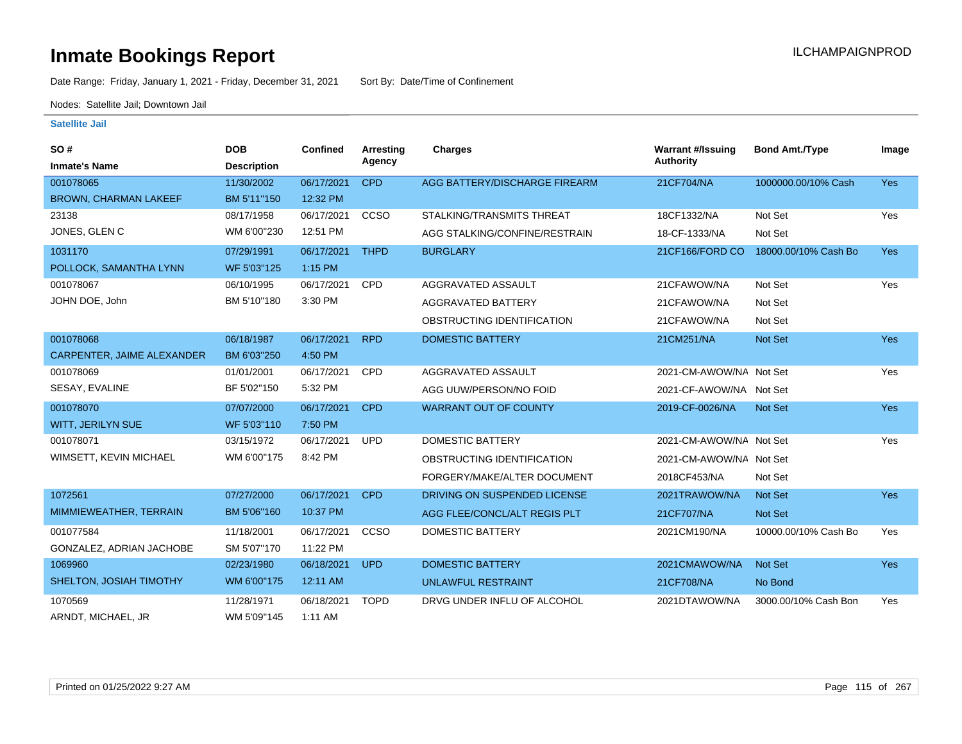Date Range: Friday, January 1, 2021 - Friday, December 31, 2021 Sort By: Date/Time of Confinement

Nodes: Satellite Jail; Downtown Jail

| SO#                               | <b>DOB</b>         | Confined   | <b>Arresting</b> | <b>Charges</b>                | <b>Warrant #/Issuing</b> | <b>Bond Amt./Type</b> | Image      |
|-----------------------------------|--------------------|------------|------------------|-------------------------------|--------------------------|-----------------------|------------|
| <b>Inmate's Name</b>              | <b>Description</b> |            | Agency           |                               | Authority                |                       |            |
| 001078065                         | 11/30/2002         | 06/17/2021 | <b>CPD</b>       | AGG BATTERY/DISCHARGE FIREARM | 21CF704/NA               | 1000000.00/10% Cash   | <b>Yes</b> |
| <b>BROWN, CHARMAN LAKEEF</b>      | BM 5'11"150        | 12:32 PM   |                  |                               |                          |                       |            |
| 23138                             | 08/17/1958         | 06/17/2021 | <b>CCSO</b>      | STALKING/TRANSMITS THREAT     | 18CF1332/NA              | Not Set               | Yes        |
| JONES, GLEN C                     | WM 6'00"230        | 12:51 PM   |                  | AGG STALKING/CONFINE/RESTRAIN | 18-CF-1333/NA            | Not Set               |            |
| 1031170                           | 07/29/1991         | 06/17/2021 | <b>THPD</b>      | <b>BURGLARY</b>               | 21CF166/FORD CO          | 18000.00/10% Cash Bo  | <b>Yes</b> |
| POLLOCK, SAMANTHA LYNN            | WF 5'03"125        | 1:15 PM    |                  |                               |                          |                       |            |
| 001078067                         | 06/10/1995         | 06/17/2021 | <b>CPD</b>       | AGGRAVATED ASSAULT            | 21CFAWOW/NA              | Not Set               | Yes        |
| JOHN DOE, John                    | BM 5'10"180        | 3:30 PM    |                  | AGGRAVATED BATTERY            | 21CFAWOW/NA              | Not Set               |            |
|                                   |                    |            |                  | OBSTRUCTING IDENTIFICATION    | 21CFAWOW/NA              | Not Set               |            |
| 001078068                         | 06/18/1987         | 06/17/2021 | <b>RPD</b>       | <b>DOMESTIC BATTERY</b>       | 21CM251/NA               | Not Set               | <b>Yes</b> |
| <b>CARPENTER, JAIME ALEXANDER</b> | BM 6'03"250        | 4:50 PM    |                  |                               |                          |                       |            |
| 001078069                         | 01/01/2001         | 06/17/2021 | <b>CPD</b>       | AGGRAVATED ASSAULT            | 2021-CM-AWOW/NA Not Set  |                       | Yes        |
| SESAY, EVALINE                    | BF 5'02"150        | 5:32 PM    |                  | AGG UUW/PERSON/NO FOID        | 2021-CF-AWOW/NA Not Set  |                       |            |
| 001078070                         | 07/07/2000         | 06/17/2021 | <b>CPD</b>       | <b>WARRANT OUT OF COUNTY</b>  | 2019-CF-0026/NA          | <b>Not Set</b>        | <b>Yes</b> |
| <b>WITT, JERILYN SUE</b>          | WF 5'03"110        | 7:50 PM    |                  |                               |                          |                       |            |
| 001078071                         | 03/15/1972         | 06/17/2021 | <b>UPD</b>       | <b>DOMESTIC BATTERY</b>       | 2021-CM-AWOW/NA Not Set  |                       | Yes        |
| WIMSETT, KEVIN MICHAEL            | WM 6'00"175        | 8:42 PM    |                  | OBSTRUCTING IDENTIFICATION    | 2021-CM-AWOW/NA Not Set  |                       |            |
|                                   |                    |            |                  | FORGERY/MAKE/ALTER DOCUMENT   | 2018CF453/NA             | Not Set               |            |
| 1072561                           | 07/27/2000         | 06/17/2021 | <b>CPD</b>       | DRIVING ON SUSPENDED LICENSE  | 2021TRAWOW/NA            | <b>Not Set</b>        | <b>Yes</b> |
| MIMMIEWEATHER, TERRAIN            | BM 5'06"160        | 10:37 PM   |                  | AGG FLEE/CONCL/ALT REGIS PLT  | 21CF707/NA               | <b>Not Set</b>        |            |
| 001077584                         | 11/18/2001         | 06/17/2021 | CCSO             | <b>DOMESTIC BATTERY</b>       | 2021CM190/NA             | 10000.00/10% Cash Bo  | Yes        |
| GONZALEZ, ADRIAN JACHOBE          | SM 5'07"170        | 11:22 PM   |                  |                               |                          |                       |            |
| 1069960                           | 02/23/1980         | 06/18/2021 | <b>UPD</b>       | <b>DOMESTIC BATTERY</b>       | 2021CMAWOW/NA            | <b>Not Set</b>        | <b>Yes</b> |
| SHELTON, JOSIAH TIMOTHY           | WM 6'00"175        | 12:11 AM   |                  | <b>UNLAWFUL RESTRAINT</b>     | 21CF708/NA               | No Bond               |            |
| 1070569                           | 11/28/1971         | 06/18/2021 | <b>TOPD</b>      | DRVG UNDER INFLU OF ALCOHOL   | 2021DTAWOW/NA            | 3000.00/10% Cash Bon  | Yes        |
| ARNDT, MICHAEL, JR                | WM 5'09"145        | 1:11 AM    |                  |                               |                          |                       |            |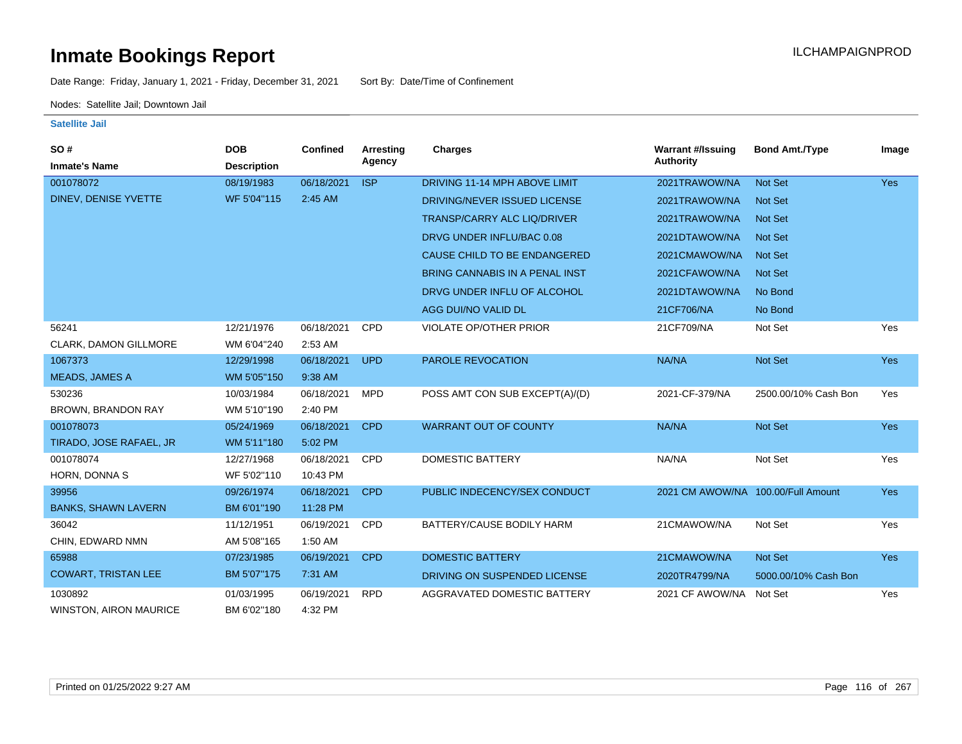Date Range: Friday, January 1, 2021 - Friday, December 31, 2021 Sort By: Date/Time of Confinement

Nodes: Satellite Jail; Downtown Jail

| SO#                           | <b>DOB</b>         | Confined   | <b>Arresting</b> | <b>Charges</b>                     | <b>Warrant #/Issuing</b>           | <b>Bond Amt./Type</b> | Image      |
|-------------------------------|--------------------|------------|------------------|------------------------------------|------------------------------------|-----------------------|------------|
| <b>Inmate's Name</b>          | <b>Description</b> |            | Agency           |                                    | <b>Authority</b>                   |                       |            |
| 001078072                     | 08/19/1983         | 06/18/2021 | <b>ISP</b>       | DRIVING 11-14 MPH ABOVE LIMIT      | 2021TRAWOW/NA                      | <b>Not Set</b>        | Yes        |
| DINEV, DENISE YVETTE          | WF 5'04"115        | 2:45 AM    |                  | DRIVING/NEVER ISSUED LICENSE       | 2021TRAWOW/NA                      | <b>Not Set</b>        |            |
|                               |                    |            |                  | <b>TRANSP/CARRY ALC LIQ/DRIVER</b> | 2021TRAWOW/NA                      | Not Set               |            |
|                               |                    |            |                  | DRVG UNDER INFLU/BAC 0.08          | 2021DTAWOW/NA                      | Not Set               |            |
|                               |                    |            |                  | CAUSE CHILD TO BE ENDANGERED       | 2021CMAWOW/NA                      | Not Set               |            |
|                               |                    |            |                  | BRING CANNABIS IN A PENAL INST     | 2021CFAWOW/NA                      | <b>Not Set</b>        |            |
|                               |                    |            |                  | DRVG UNDER INFLU OF ALCOHOL        | 2021DTAWOW/NA                      | No Bond               |            |
|                               |                    |            |                  | AGG DUI/NO VALID DL                | 21CF706/NA                         | No Bond               |            |
| 56241                         | 12/21/1976         | 06/18/2021 | <b>CPD</b>       | <b>VIOLATE OP/OTHER PRIOR</b>      | 21CF709/NA                         | Not Set               | Yes        |
| CLARK, DAMON GILLMORE         | WM 6'04"240        | 2:53 AM    |                  |                                    |                                    |                       |            |
| 1067373                       | 12/29/1998         | 06/18/2021 | <b>UPD</b>       | <b>PAROLE REVOCATION</b>           | NA/NA                              | Not Set               | <b>Yes</b> |
| <b>MEADS, JAMES A</b>         | WM 5'05"150        | 9:38 AM    |                  |                                    |                                    |                       |            |
| 530236                        | 10/03/1984         | 06/18/2021 | <b>MPD</b>       | POSS AMT CON SUB EXCEPT(A)/(D)     | 2021-CF-379/NA                     | 2500.00/10% Cash Bon  | Yes        |
| <b>BROWN, BRANDON RAY</b>     | WM 5'10"190        | 2:40 PM    |                  |                                    |                                    |                       |            |
| 001078073                     | 05/24/1969         | 06/18/2021 | <b>CPD</b>       | <b>WARRANT OUT OF COUNTY</b>       | NA/NA                              | Not Set               | <b>Yes</b> |
| TIRADO, JOSE RAFAEL, JR       | WM 5'11"180        | 5:02 PM    |                  |                                    |                                    |                       |            |
| 001078074                     | 12/27/1968         | 06/18/2021 | <b>CPD</b>       | <b>DOMESTIC BATTERY</b>            | NA/NA                              | Not Set               | Yes        |
| HORN, DONNA S                 | WF 5'02"110        | 10:43 PM   |                  |                                    |                                    |                       |            |
| 39956                         | 09/26/1974         | 06/18/2021 | <b>CPD</b>       | PUBLIC INDECENCY/SEX CONDUCT       | 2021 CM AWOW/NA 100.00/Full Amount |                       | <b>Yes</b> |
| <b>BANKS, SHAWN LAVERN</b>    | BM 6'01"190        | 11:28 PM   |                  |                                    |                                    |                       |            |
| 36042                         | 11/12/1951         | 06/19/2021 | <b>CPD</b>       | BATTERY/CAUSE BODILY HARM          | 21CMAWOW/NA                        | Not Set               | Yes        |
| CHIN, EDWARD NMN              | AM 5'08"165        | 1:50 AM    |                  |                                    |                                    |                       |            |
| 65988                         | 07/23/1985         | 06/19/2021 | <b>CPD</b>       | <b>DOMESTIC BATTERY</b>            | 21CMAWOW/NA                        | Not Set               | <b>Yes</b> |
| <b>COWART, TRISTAN LEE</b>    | BM 5'07"175        | 7:31 AM    |                  | DRIVING ON SUSPENDED LICENSE       | 2020TR4799/NA                      | 5000.00/10% Cash Bon  |            |
| 1030892                       | 01/03/1995         | 06/19/2021 | <b>RPD</b>       | AGGRAVATED DOMESTIC BATTERY        | 2021 CF AWOW/NA                    | Not Set               | Yes        |
| <b>WINSTON, AIRON MAURICE</b> | BM 6'02"180        | 4:32 PM    |                  |                                    |                                    |                       |            |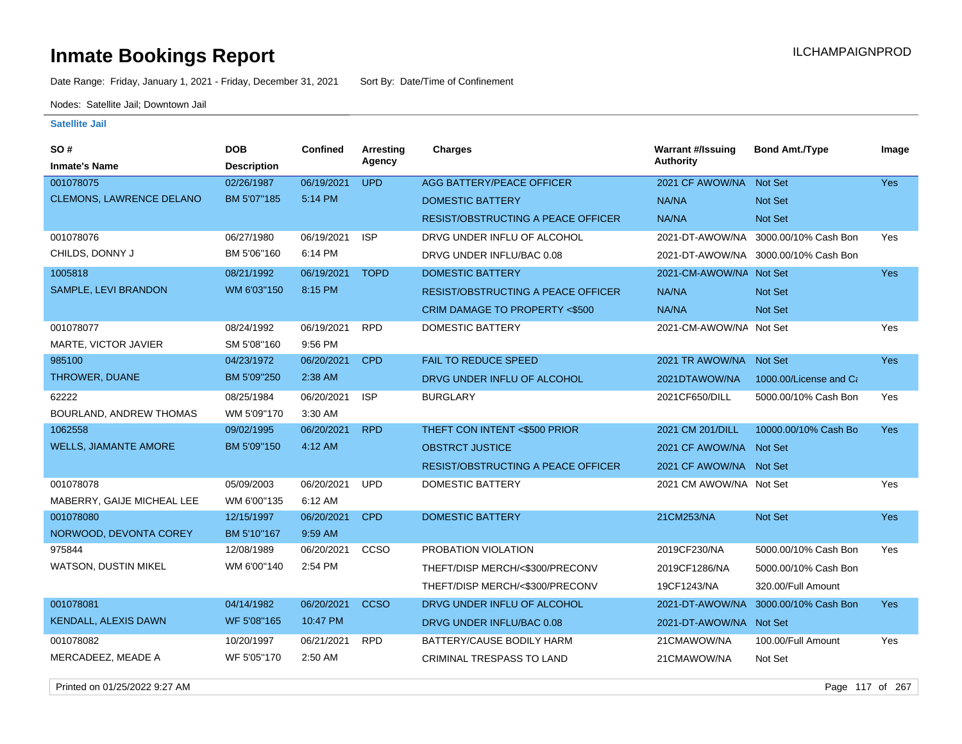Date Range: Friday, January 1, 2021 - Friday, December 31, 2021 Sort By: Date/Time of Confinement

Nodes: Satellite Jail; Downtown Jail

#### **Satellite Jail**

| <b>SO#</b>                      | <b>DOB</b>         | Confined   | Arresting   | <b>Charges</b>                            | <b>Warrant #/Issuing</b> | <b>Bond Amt./Type</b>                | Image      |
|---------------------------------|--------------------|------------|-------------|-------------------------------------------|--------------------------|--------------------------------------|------------|
| <b>Inmate's Name</b>            | <b>Description</b> |            | Agency      |                                           | <b>Authority</b>         |                                      |            |
| 001078075                       | 02/26/1987         | 06/19/2021 | <b>UPD</b>  | AGG BATTERY/PEACE OFFICER                 | 2021 CF AWOW/NA          | Not Set                              | <b>Yes</b> |
| <b>CLEMONS, LAWRENCE DELANO</b> | BM 5'07"185        | 5:14 PM    |             | <b>DOMESTIC BATTERY</b>                   | NA/NA                    | <b>Not Set</b>                       |            |
|                                 |                    |            |             | <b>RESIST/OBSTRUCTING A PEACE OFFICER</b> | <b>NA/NA</b>             | Not Set                              |            |
| 001078076                       | 06/27/1980         | 06/19/2021 | <b>ISP</b>  | DRVG UNDER INFLU OF ALCOHOL               | 2021-DT-AWOW/NA          | 3000.00/10% Cash Bon                 | Yes        |
| CHILDS, DONNY J                 | BM 5'06"160        | 6:14 PM    |             | DRVG UNDER INFLU/BAC 0.08                 |                          | 2021-DT-AWOW/NA 3000.00/10% Cash Bon |            |
| 1005818                         | 08/21/1992         | 06/19/2021 | <b>TOPD</b> | <b>DOMESTIC BATTERY</b>                   | 2021-CM-AWOW/NA Not Set  |                                      | <b>Yes</b> |
| SAMPLE, LEVI BRANDON            | WM 6'03"150        | 8:15 PM    |             | <b>RESIST/OBSTRUCTING A PEACE OFFICER</b> | NA/NA                    | Not Set                              |            |
|                                 |                    |            |             | CRIM DAMAGE TO PROPERTY <\$500            | NA/NA                    | Not Set                              |            |
| 001078077                       | 08/24/1992         | 06/19/2021 | <b>RPD</b>  | DOMESTIC BATTERY                          | 2021-CM-AWOW/NA Not Set  |                                      | Yes        |
| MARTE, VICTOR JAVIER            | SM 5'08"160        | 9:56 PM    |             |                                           |                          |                                      |            |
| 985100                          | 04/23/1972         | 06/20/2021 | <b>CPD</b>  | <b>FAIL TO REDUCE SPEED</b>               | 2021 TR AWOW/NA Not Set  |                                      | <b>Yes</b> |
| THROWER, DUANE                  | BM 5'09"250        | 2:38 AM    |             | DRVG UNDER INFLU OF ALCOHOL               | 2021DTAWOW/NA            | 1000.00/License and Ca               |            |
| 62222                           | 08/25/1984         | 06/20/2021 | <b>ISP</b>  | <b>BURGLARY</b>                           | 2021CF650/DILL           | 5000.00/10% Cash Bon                 | Yes        |
| BOURLAND, ANDREW THOMAS         | WM 5'09"170        | 3:30 AM    |             |                                           |                          |                                      |            |
| 1062558                         | 09/02/1995         | 06/20/2021 | <b>RPD</b>  | THEFT CON INTENT <\$500 PRIOR             | 2021 CM 201/DILL         | 10000.00/10% Cash Bo                 | Yes        |
| <b>WELLS, JIAMANTE AMORE</b>    | BM 5'09"150        | 4:12 AM    |             | <b>OBSTRCT JUSTICE</b>                    | 2021 CF AWOW/NA Not Set  |                                      |            |
|                                 |                    |            |             | <b>RESIST/OBSTRUCTING A PEACE OFFICER</b> | 2021 CF AWOW/NA Not Set  |                                      |            |
| 001078078                       | 05/09/2003         | 06/20/2021 | <b>UPD</b>  | <b>DOMESTIC BATTERY</b>                   | 2021 CM AWOW/NA Not Set  |                                      | Yes        |
| MABERRY, GAIJE MICHEAL LEE      | WM 6'00"135        | 6:12 AM    |             |                                           |                          |                                      |            |
| 001078080                       | 12/15/1997         | 06/20/2021 | <b>CPD</b>  | <b>DOMESTIC BATTERY</b>                   | 21CM253/NA               | Not Set                              | <b>Yes</b> |
| NORWOOD, DEVONTA COREY          | BM 5'10"167        | 9:59 AM    |             |                                           |                          |                                      |            |
| 975844                          | 12/08/1989         | 06/20/2021 | CCSO        | PROBATION VIOLATION                       | 2019CF230/NA             | 5000.00/10% Cash Bon                 | Yes        |
| <b>WATSON, DUSTIN MIKEL</b>     | WM 6'00"140        | 2:54 PM    |             | THEFT/DISP MERCH/<\$300/PRECONV           | 2019CF1286/NA            | 5000.00/10% Cash Bon                 |            |
|                                 |                    |            |             | THEFT/DISP MERCH/<\$300/PRECONV           | 19CF1243/NA              | 320.00/Full Amount                   |            |
| 001078081                       | 04/14/1982         | 06/20/2021 | <b>CCSO</b> | DRVG UNDER INFLU OF ALCOHOL               | 2021-DT-AWOW/NA          | 3000.00/10% Cash Bon                 | <b>Yes</b> |
| <b>KENDALL, ALEXIS DAWN</b>     | WF 5'08"165        | 10:47 PM   |             | DRVG UNDER INFLU/BAC 0.08                 | 2021-DT-AWOW/NA Not Set  |                                      |            |
| 001078082                       | 10/20/1997         | 06/21/2021 | <b>RPD</b>  | BATTERY/CAUSE BODILY HARM                 | 21CMAWOW/NA              | 100.00/Full Amount                   | Yes        |
| MERCADEEZ, MEADE A              | WF 5'05"170        | 2:50 AM    |             | <b>CRIMINAL TRESPASS TO LAND</b>          | 21CMAWOW/NA              | Not Set                              |            |

Printed on 01/25/2022 9:27 AM Page 117 of 267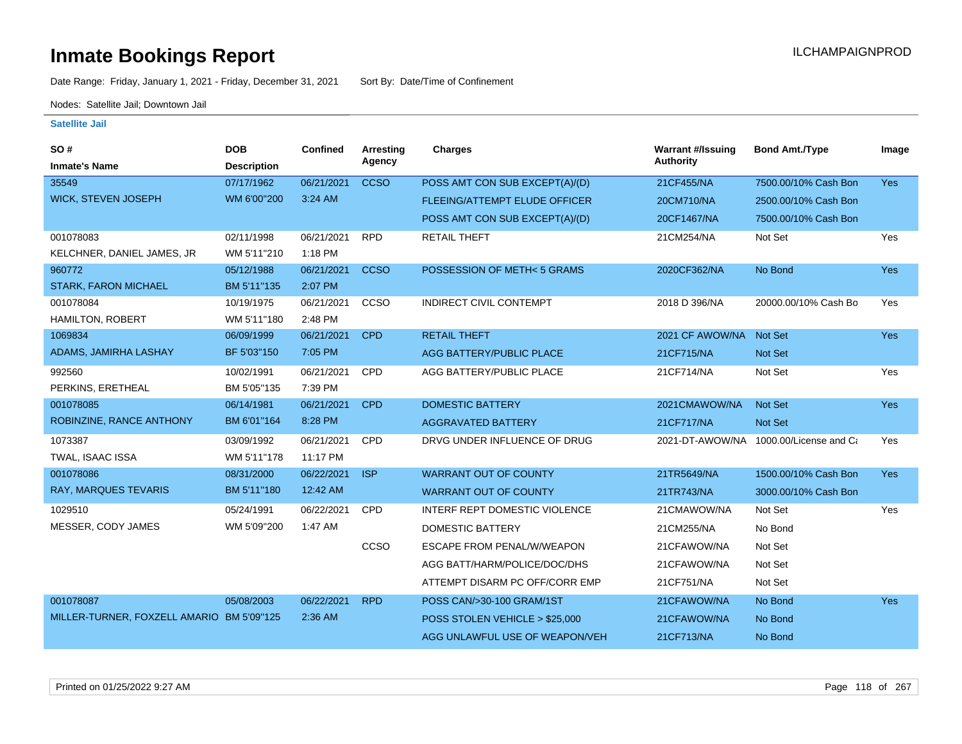Date Range: Friday, January 1, 2021 - Friday, December 31, 2021 Sort By: Date/Time of Confinement

Nodes: Satellite Jail; Downtown Jail

| SO#                                       | <b>DOB</b>         | <b>Confined</b> | Arresting   | <b>Charges</b>                       | <b>Warrant #/Issuing</b> | <b>Bond Amt./Type</b>  | Image      |
|-------------------------------------------|--------------------|-----------------|-------------|--------------------------------------|--------------------------|------------------------|------------|
| <b>Inmate's Name</b>                      | <b>Description</b> |                 | Agency      |                                      | <b>Authority</b>         |                        |            |
| 35549                                     | 07/17/1962         | 06/21/2021      | <b>CCSO</b> | POSS AMT CON SUB EXCEPT(A)/(D)       | 21CF455/NA               | 7500.00/10% Cash Bon   | <b>Yes</b> |
| <b>WICK, STEVEN JOSEPH</b>                | WM 6'00"200        | 3:24 AM         |             | <b>FLEEING/ATTEMPT ELUDE OFFICER</b> | 20CM710/NA               | 2500.00/10% Cash Bon   |            |
|                                           |                    |                 |             | POSS AMT CON SUB EXCEPT(A)/(D)       | 20CF1467/NA              | 7500.00/10% Cash Bon   |            |
| 001078083                                 | 02/11/1998         | 06/21/2021      | <b>RPD</b>  | <b>RETAIL THEFT</b>                  | 21CM254/NA               | Not Set                | Yes        |
| KELCHNER, DANIEL JAMES, JR                | WM 5'11"210        | 1:18 PM         |             |                                      |                          |                        |            |
| 960772                                    | 05/12/1988         | 06/21/2021      | <b>CCSO</b> | POSSESSION OF METH<5 GRAMS           | 2020CF362/NA             | No Bond                | Yes        |
| <b>STARK, FARON MICHAEL</b>               | BM 5'11"135        | 2:07 PM         |             |                                      |                          |                        |            |
| 001078084                                 | 10/19/1975         | 06/21/2021      | CCSO        | INDIRECT CIVIL CONTEMPT              | 2018 D 396/NA            | 20000.00/10% Cash Bo   | Yes        |
| HAMILTON, ROBERT                          | WM 5'11"180        | 2:48 PM         |             |                                      |                          |                        |            |
| 1069834                                   | 06/09/1999         | 06/21/2021      | <b>CPD</b>  | <b>RETAIL THEFT</b>                  | 2021 CF AWOW/NA          | <b>Not Set</b>         | Yes        |
| ADAMS, JAMIRHA LASHAY                     | BF 5'03"150        | 7:05 PM         |             | AGG BATTERY/PUBLIC PLACE             | 21CF715/NA               | <b>Not Set</b>         |            |
| 992560                                    | 10/02/1991         | 06/21/2021      | <b>CPD</b>  | AGG BATTERY/PUBLIC PLACE             | 21CF714/NA               | Not Set                | Yes        |
| PERKINS, ERETHEAL                         | BM 5'05"135        | 7:39 PM         |             |                                      |                          |                        |            |
| 001078085                                 | 06/14/1981         | 06/21/2021      | <b>CPD</b>  | <b>DOMESTIC BATTERY</b>              | 2021CMAWOW/NA            | <b>Not Set</b>         | Yes        |
| ROBINZINE, RANCE ANTHONY                  | BM 6'01"164        | 8:28 PM         |             | <b>AGGRAVATED BATTERY</b>            | 21CF717/NA               | Not Set                |            |
| 1073387                                   | 03/09/1992         | 06/21/2021      | CPD         | DRVG UNDER INFLUENCE OF DRUG         | 2021-DT-AWOW/NA          | 1000.00/License and Ca | Yes        |
| TWAL, ISAAC ISSA                          | WM 5'11"178        | 11:17 PM        |             |                                      |                          |                        |            |
| 001078086                                 | 08/31/2000         | 06/22/2021      | <b>ISP</b>  | <b>WARRANT OUT OF COUNTY</b>         | 21TR5649/NA              | 1500.00/10% Cash Bon   | Yes        |
| RAY, MARQUES TEVARIS                      | BM 5'11"180        | 12:42 AM        |             | <b>WARRANT OUT OF COUNTY</b>         | 21TR743/NA               | 3000.00/10% Cash Bon   |            |
| 1029510                                   | 05/24/1991         | 06/22/2021      | CPD         | INTERF REPT DOMESTIC VIOLENCE        | 21CMAWOW/NA              | Not Set                | Yes        |
| MESSER, CODY JAMES                        | WM 5'09"200        | 1:47 AM         |             | <b>DOMESTIC BATTERY</b>              | 21CM255/NA               | No Bond                |            |
|                                           |                    |                 | CCSO        | ESCAPE FROM PENAL/W/WEAPON           | 21CFAWOW/NA              | Not Set                |            |
|                                           |                    |                 |             | AGG BATT/HARM/POLICE/DOC/DHS         | 21CFAWOW/NA              | Not Set                |            |
|                                           |                    |                 |             | ATTEMPT DISARM PC OFF/CORR EMP       | 21CF751/NA               | Not Set                |            |
| 001078087                                 | 05/08/2003         | 06/22/2021      | <b>RPD</b>  | POSS CAN/>30-100 GRAM/1ST            | 21CFAWOW/NA              | No Bond                | Yes        |
| MILLER-TURNER, FOXZELL AMARIO BM 5'09"125 |                    | 2:36 AM         |             | POSS STOLEN VEHICLE > \$25,000       | 21CFAWOW/NA              | No Bond                |            |
|                                           |                    |                 |             | AGG UNLAWFUL USE OF WEAPON/VEH       | 21CF713/NA               | No Bond                |            |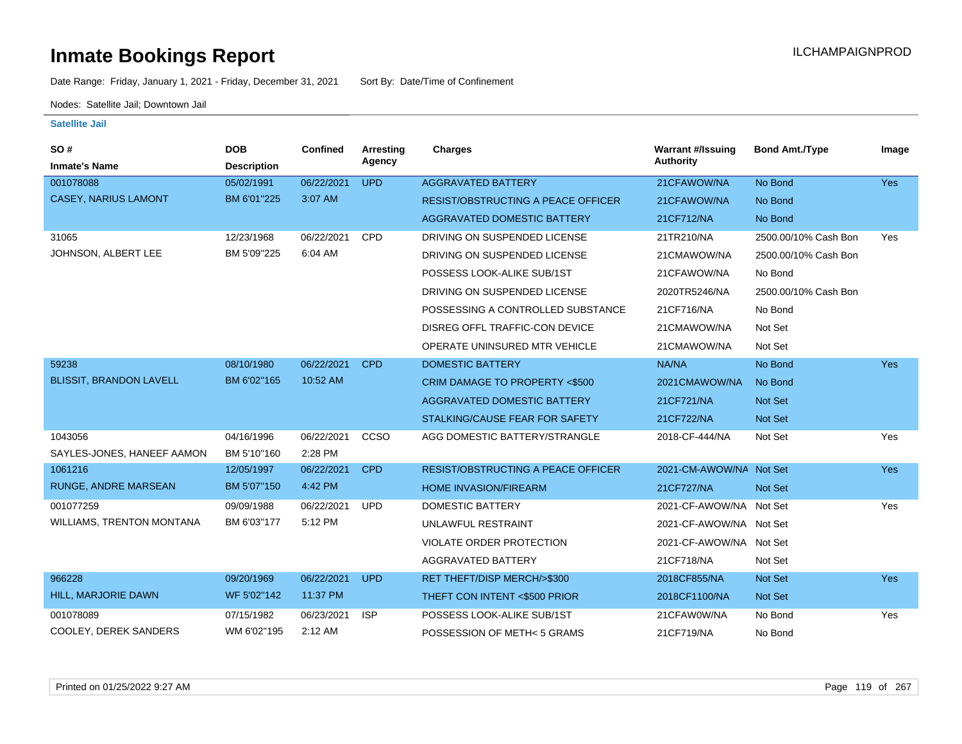Date Range: Friday, January 1, 2021 - Friday, December 31, 2021 Sort By: Date/Time of Confinement

Nodes: Satellite Jail; Downtown Jail

| SO#<br><b>Inmate's Name</b>      | <b>DOB</b><br><b>Description</b> | Confined   | <b>Arresting</b><br>Agency | <b>Charges</b>                            | <b>Warrant #/Issuing</b><br><b>Authority</b> | <b>Bond Amt./Type</b> | Image      |
|----------------------------------|----------------------------------|------------|----------------------------|-------------------------------------------|----------------------------------------------|-----------------------|------------|
| 001078088                        | 05/02/1991                       | 06/22/2021 | <b>UPD</b>                 | <b>AGGRAVATED BATTERY</b>                 | 21CFAWOW/NA                                  | No Bond               | <b>Yes</b> |
| CASEY, NARIUS LAMONT             | BM 6'01"225                      | 3:07 AM    |                            | <b>RESIST/OBSTRUCTING A PEACE OFFICER</b> | 21CFAWOW/NA                                  | No Bond               |            |
|                                  |                                  |            |                            | <b>AGGRAVATED DOMESTIC BATTERY</b>        | 21CF712/NA                                   | No Bond               |            |
| 31065                            | 12/23/1968                       | 06/22/2021 | CPD                        | DRIVING ON SUSPENDED LICENSE              | 21TR210/NA                                   | 2500.00/10% Cash Bon  | Yes        |
| JOHNSON, ALBERT LEE              | BM 5'09"225                      | 6:04 AM    |                            | DRIVING ON SUSPENDED LICENSE              | 21CMAWOW/NA                                  | 2500.00/10% Cash Bon  |            |
|                                  |                                  |            |                            | POSSESS LOOK-ALIKE SUB/1ST                | 21CFAWOW/NA                                  | No Bond               |            |
|                                  |                                  |            |                            | DRIVING ON SUSPENDED LICENSE              | 2020TR5246/NA                                | 2500.00/10% Cash Bon  |            |
|                                  |                                  |            |                            | POSSESSING A CONTROLLED SUBSTANCE         | 21CF716/NA                                   | No Bond               |            |
|                                  |                                  |            |                            | DISREG OFFL TRAFFIC-CON DEVICE            | 21CMAWOW/NA                                  | Not Set               |            |
|                                  |                                  |            |                            | OPERATE UNINSURED MTR VEHICLE             | 21CMAWOW/NA                                  | Not Set               |            |
| 59238                            | 08/10/1980                       | 06/22/2021 | <b>CPD</b>                 | <b>DOMESTIC BATTERY</b>                   | NA/NA                                        | No Bond               | Yes        |
| <b>BLISSIT, BRANDON LAVELL</b>   | BM 6'02"165                      | 10:52 AM   |                            | CRIM DAMAGE TO PROPERTY <\$500            | 2021CMAWOW/NA                                | No Bond               |            |
|                                  |                                  |            |                            | <b>AGGRAVATED DOMESTIC BATTERY</b>        | 21CF721/NA                                   | <b>Not Set</b>        |            |
|                                  |                                  |            |                            | STALKING/CAUSE FEAR FOR SAFETY            | 21CF722/NA                                   | Not Set               |            |
| 1043056                          | 04/16/1996                       | 06/22/2021 | CCSO                       | AGG DOMESTIC BATTERY/STRANGLE             | 2018-CF-444/NA                               | Not Set               | Yes        |
| SAYLES-JONES, HANEEF AAMON       | BM 5'10"160                      | 2:28 PM    |                            |                                           |                                              |                       |            |
| 1061216                          | 12/05/1997                       | 06/22/2021 | <b>CPD</b>                 | <b>RESIST/OBSTRUCTING A PEACE OFFICER</b> | 2021-CM-AWOW/NA Not Set                      |                       | <b>Yes</b> |
| <b>RUNGE, ANDRE MARSEAN</b>      | BM 5'07"150                      | 4:42 PM    |                            | HOME INVASION/FIREARM                     | 21CF727/NA                                   | Not Set               |            |
| 001077259                        | 09/09/1988                       | 06/22/2021 | <b>UPD</b>                 | <b>DOMESTIC BATTERY</b>                   | 2021-CF-AWOW/NA Not Set                      |                       | Yes        |
| <b>WILLIAMS, TRENTON MONTANA</b> | BM 6'03"177                      | 5:12 PM    |                            | UNLAWFUL RESTRAINT                        | 2021-CF-AWOW/NA Not Set                      |                       |            |
|                                  |                                  |            |                            | <b>VIOLATE ORDER PROTECTION</b>           | 2021-CF-AWOW/NA Not Set                      |                       |            |
|                                  |                                  |            |                            | AGGRAVATED BATTERY                        | 21CF718/NA                                   | Not Set               |            |
| 966228                           | 09/20/1969                       | 06/22/2021 | <b>UPD</b>                 | RET THEFT/DISP MERCH/>\$300               | 2018CF855/NA                                 | Not Set               | <b>Yes</b> |
| HILL, MARJORIE DAWN              | WF 5'02"142                      | 11:37 PM   |                            | THEFT CON INTENT <\$500 PRIOR             | 2018CF1100/NA                                | Not Set               |            |
| 001078089                        | 07/15/1982                       | 06/23/2021 | <b>ISP</b>                 | POSSESS LOOK-ALIKE SUB/1ST                | 21CFAW0W/NA                                  | No Bond               | Yes        |
| COOLEY, DEREK SANDERS            | WM 6'02"195                      | $2:12$ AM  |                            | POSSESSION OF METH<5 GRAMS                | 21CF719/NA                                   | No Bond               |            |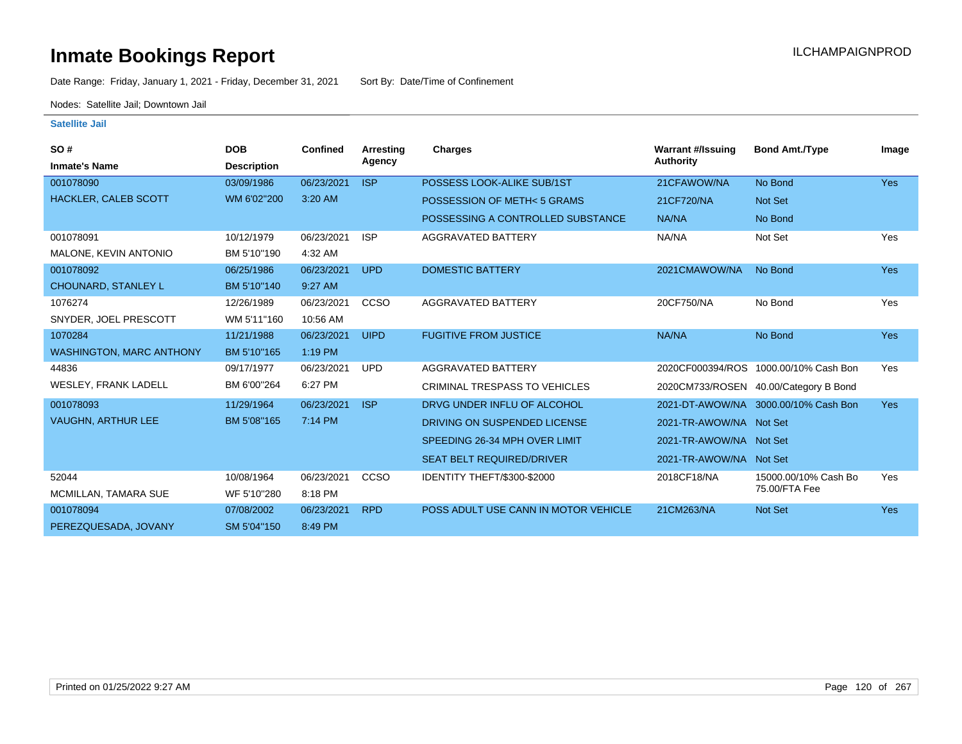Date Range: Friday, January 1, 2021 - Friday, December 31, 2021 Sort By: Date/Time of Confinement

Nodes: Satellite Jail; Downtown Jail

| SO#                             | <b>DOB</b>         | <b>Confined</b> | Arresting   | <b>Charges</b>                       | <b>Warrant #/Issuing</b> | <b>Bond Amt./Type</b>                 | Image      |
|---------------------------------|--------------------|-----------------|-------------|--------------------------------------|--------------------------|---------------------------------------|------------|
| <b>Inmate's Name</b>            | <b>Description</b> |                 | Agency      |                                      | <b>Authority</b>         |                                       |            |
| 001078090                       | 03/09/1986         | 06/23/2021      | <b>ISP</b>  | POSSESS LOOK-ALIKE SUB/1ST           | 21CFAWOW/NA              | No Bond                               | <b>Yes</b> |
| <b>HACKLER, CALEB SCOTT</b>     | WM 6'02"200        | 3:20 AM         |             | POSSESSION OF METH< 5 GRAMS          | 21CF720/NA               | Not Set                               |            |
|                                 |                    |                 |             | POSSESSING A CONTROLLED SUBSTANCE    | NA/NA                    | No Bond                               |            |
| 001078091                       | 10/12/1979         | 06/23/2021      | <b>ISP</b>  | AGGRAVATED BATTERY                   | NA/NA                    | Not Set                               | Yes        |
| MALONE, KEVIN ANTONIO           | BM 5'10"190        | 4:32 AM         |             |                                      |                          |                                       |            |
| 001078092                       | 06/25/1986         | 06/23/2021      | <b>UPD</b>  | <b>DOMESTIC BATTERY</b>              | 2021CMAWOW/NA            | No Bond                               | <b>Yes</b> |
| <b>CHOUNARD, STANLEY L</b>      | BM 5'10"140        | 9:27 AM         |             |                                      |                          |                                       |            |
| 1076274                         | 12/26/1989         | 06/23/2021      | CCSO        | AGGRAVATED BATTERY                   | 20CF750/NA               | No Bond                               | Yes        |
| SNYDER, JOEL PRESCOTT           | WM 5'11"160        | 10:56 AM        |             |                                      |                          |                                       |            |
| 1070284                         | 11/21/1988         | 06/23/2021      | <b>UIPD</b> | <b>FUGITIVE FROM JUSTICE</b>         | NA/NA                    | No Bond                               | <b>Yes</b> |
| <b>WASHINGTON, MARC ANTHONY</b> | BM 5'10"165        | $1:19$ PM       |             |                                      |                          |                                       |            |
| 44836                           | 09/17/1977         | 06/23/2021      | <b>UPD</b>  | AGGRAVATED BATTERY                   |                          | 2020CF000394/ROS 1000.00/10% Cash Bon | Yes        |
| <b>WESLEY, FRANK LADELL</b>     | BM 6'00"264        | 6:27 PM         |             | <b>CRIMINAL TRESPASS TO VEHICLES</b> |                          | 2020CM733/ROSEN 40.00/Category B Bond |            |
| 001078093                       | 11/29/1964         | 06/23/2021      | <b>ISP</b>  | DRVG UNDER INFLU OF ALCOHOL          |                          | 2021-DT-AWOW/NA 3000.00/10% Cash Bon  | <b>Yes</b> |
| <b>VAUGHN, ARTHUR LEE</b>       | BM 5'08"165        | 7:14 PM         |             | DRIVING ON SUSPENDED LICENSE         | 2021-TR-AWOW/NA Not Set  |                                       |            |
|                                 |                    |                 |             | SPEEDING 26-34 MPH OVER LIMIT        | 2021-TR-AWOW/NA Not Set  |                                       |            |
|                                 |                    |                 |             | <b>SEAT BELT REQUIRED/DRIVER</b>     | 2021-TR-AWOW/NA Not Set  |                                       |            |
| 52044                           | 10/08/1964         | 06/23/2021      | <b>CCSO</b> | IDENTITY THEFT/\$300-\$2000          | 2018CF18/NA              | 15000.00/10% Cash Bo                  | Yes        |
| MCMILLAN, TAMARA SUE            | WF 5'10"280        | 8:18 PM         |             |                                      |                          | 75.00/FTA Fee                         |            |
| 001078094                       | 07/08/2002         | 06/23/2021      | <b>RPD</b>  | POSS ADULT USE CANN IN MOTOR VEHICLE | 21CM263/NA               | <b>Not Set</b>                        | <b>Yes</b> |
| PEREZQUESADA, JOVANY            | SM 5'04"150        | 8:49 PM         |             |                                      |                          |                                       |            |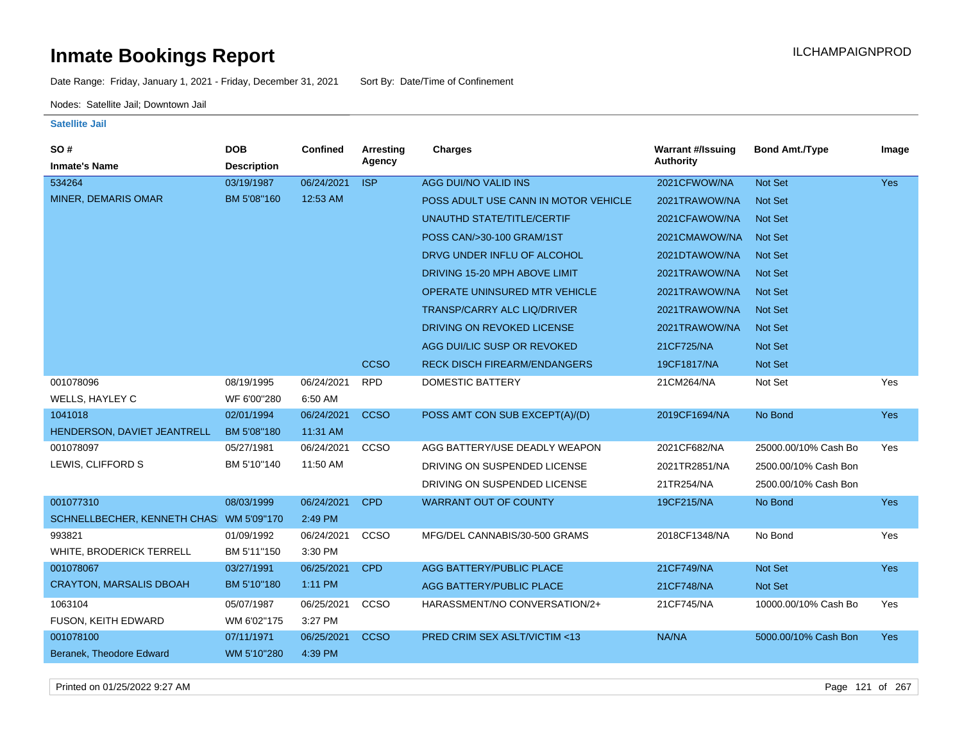Date Range: Friday, January 1, 2021 - Friday, December 31, 2021 Sort By: Date/Time of Confinement

Nodes: Satellite Jail; Downtown Jail

#### **Satellite Jail**

| SO#                                     | <b>DOB</b>         | Confined   | <b>Arresting</b> | <b>Charges</b>                       | <b>Warrant #/Issuing</b> | <b>Bond Amt./Type</b> | Image      |
|-----------------------------------------|--------------------|------------|------------------|--------------------------------------|--------------------------|-----------------------|------------|
| <b>Inmate's Name</b>                    | <b>Description</b> |            | Agency           |                                      | <b>Authority</b>         |                       |            |
| 534264                                  | 03/19/1987         | 06/24/2021 | <b>ISP</b>       | AGG DUI/NO VALID INS                 | 2021CFWOW/NA             | <b>Not Set</b>        | <b>Yes</b> |
| MINER, DEMARIS OMAR                     | BM 5'08"160        | 12:53 AM   |                  | POSS ADULT USE CANN IN MOTOR VEHICLE | 2021TRAWOW/NA            | <b>Not Set</b>        |            |
|                                         |                    |            |                  | UNAUTHD STATE/TITLE/CERTIF           | 2021CFAWOW/NA            | <b>Not Set</b>        |            |
|                                         |                    |            |                  | POSS CAN/>30-100 GRAM/1ST            | 2021CMAWOW/NA            | <b>Not Set</b>        |            |
|                                         |                    |            |                  | DRVG UNDER INFLU OF ALCOHOL          | 2021DTAWOW/NA            | <b>Not Set</b>        |            |
|                                         |                    |            |                  | DRIVING 15-20 MPH ABOVE LIMIT        | 2021TRAWOW/NA            | <b>Not Set</b>        |            |
|                                         |                    |            |                  | OPERATE UNINSURED MTR VEHICLE        | 2021TRAWOW/NA            | <b>Not Set</b>        |            |
|                                         |                    |            |                  | <b>TRANSP/CARRY ALC LIQ/DRIVER</b>   | 2021TRAWOW/NA            | <b>Not Set</b>        |            |
|                                         |                    |            |                  | DRIVING ON REVOKED LICENSE           | 2021TRAWOW/NA            | <b>Not Set</b>        |            |
|                                         |                    |            |                  | AGG DUI/LIC SUSP OR REVOKED          | 21CF725/NA               | Not Set               |            |
|                                         |                    |            | <b>CCSO</b>      | <b>RECK DISCH FIREARM/ENDANGERS</b>  | 19CF1817/NA              | Not Set               |            |
| 001078096                               | 08/19/1995         | 06/24/2021 | <b>RPD</b>       | <b>DOMESTIC BATTERY</b>              | 21CM264/NA               | Not Set               | Yes        |
| WELLS, HAYLEY C                         | WF 6'00"280        | 6:50 AM    |                  |                                      |                          |                       |            |
| 1041018                                 | 02/01/1994         | 06/24/2021 | <b>CCSO</b>      | POSS AMT CON SUB EXCEPT(A)/(D)       | 2019CF1694/NA            | No Bond               | <b>Yes</b> |
| HENDERSON, DAVIET JEANTRELL             | BM 5'08"180        | 11:31 AM   |                  |                                      |                          |                       |            |
| 001078097                               | 05/27/1981         | 06/24/2021 | CCSO             | AGG BATTERY/USE DEADLY WEAPON        | 2021CF682/NA             | 25000.00/10% Cash Bo  | Yes        |
| LEWIS, CLIFFORD S                       | BM 5'10"140        | 11:50 AM   |                  | DRIVING ON SUSPENDED LICENSE         | 2021TR2851/NA            | 2500.00/10% Cash Bon  |            |
|                                         |                    |            |                  | DRIVING ON SUSPENDED LICENSE         | 21TR254/NA               | 2500.00/10% Cash Bon  |            |
| 001077310                               | 08/03/1999         | 06/24/2021 | <b>CPD</b>       | <b>WARRANT OUT OF COUNTY</b>         | 19CF215/NA               | No Bond               | <b>Yes</b> |
| SCHNELLBECHER, KENNETH CHAS WM 5'09"170 |                    | 2:49 PM    |                  |                                      |                          |                       |            |
| 993821                                  | 01/09/1992         | 06/24/2021 | CCSO             | MFG/DEL CANNABIS/30-500 GRAMS        | 2018CF1348/NA            | No Bond               | Yes        |
| WHITE, BRODERICK TERRELL                | BM 5'11"150        | 3:30 PM    |                  |                                      |                          |                       |            |
| 001078067                               | 03/27/1991         | 06/25/2021 | <b>CPD</b>       | AGG BATTERY/PUBLIC PLACE             | 21CF749/NA               | Not Set               | Yes        |
| <b>CRAYTON, MARSALIS DBOAH</b>          | BM 5'10"180        | 1:11 PM    |                  | AGG BATTERY/PUBLIC PLACE             | 21CF748/NA               | <b>Not Set</b>        |            |
| 1063104                                 | 05/07/1987         | 06/25/2021 | CCSO             | HARASSMENT/NO CONVERSATION/2+        | 21CF745/NA               | 10000.00/10% Cash Bo  | Yes        |
| FUSON, KEITH EDWARD                     | WM 6'02"175        | 3:27 PM    |                  |                                      |                          |                       |            |
| 001078100                               | 07/11/1971         | 06/25/2021 | <b>CCSO</b>      | PRED CRIM SEX ASLT/VICTIM <13        | NA/NA                    | 5000.00/10% Cash Bon  | <b>Yes</b> |
| Beranek, Theodore Edward                | WM 5'10"280        | 4:39 PM    |                  |                                      |                          |                       |            |

Printed on 01/25/2022 9:27 AM Page 121 of 267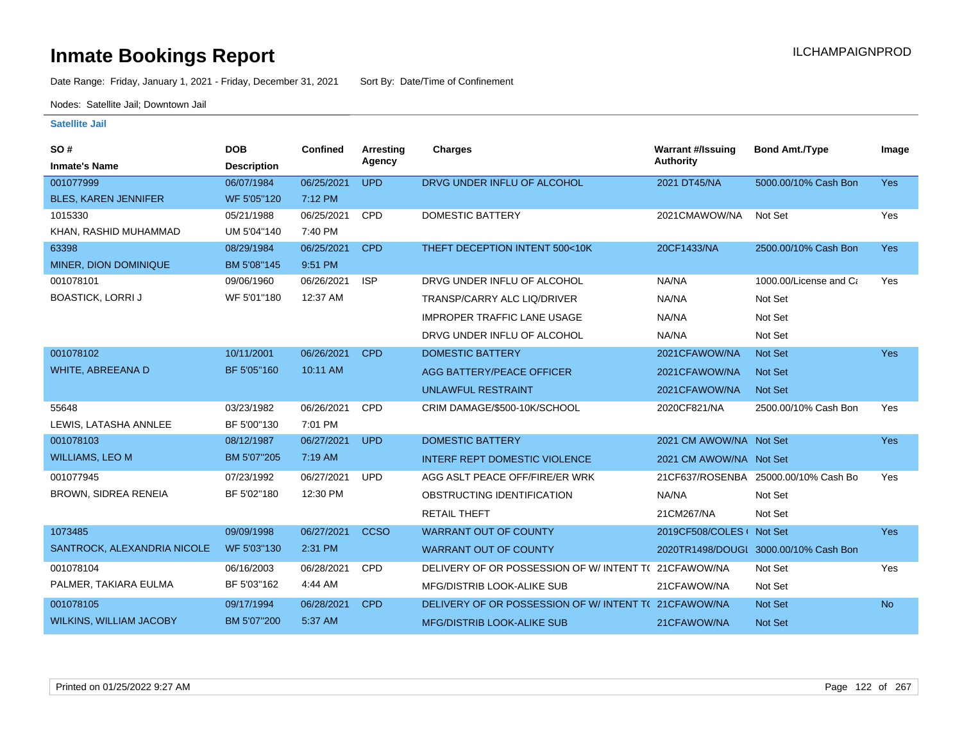Date Range: Friday, January 1, 2021 - Friday, December 31, 2021 Sort By: Date/Time of Confinement

Nodes: Satellite Jail; Downtown Jail

| SO#<br><b>Inmate's Name</b>    | <b>DOB</b><br><b>Description</b> | <b>Confined</b> | Arresting<br>Agency | Charges                                             | <b>Warrant #/Issuing</b><br><b>Authority</b> | <b>Bond Amt./Type</b>                 | Image     |
|--------------------------------|----------------------------------|-----------------|---------------------|-----------------------------------------------------|----------------------------------------------|---------------------------------------|-----------|
| 001077999                      | 06/07/1984                       | 06/25/2021      | <b>UPD</b>          | DRVG UNDER INFLU OF ALCOHOL                         | 2021 DT45/NA                                 | 5000.00/10% Cash Bon                  | Yes       |
| <b>BLES, KAREN JENNIFER</b>    | WF 5'05"120                      | 7:12 PM         |                     |                                                     |                                              |                                       |           |
| 1015330                        | 05/21/1988                       | 06/25/2021      | CPD                 | <b>DOMESTIC BATTERY</b>                             | 2021CMAWOW/NA                                | Not Set                               | Yes       |
| KHAN, RASHID MUHAMMAD          | UM 5'04"140                      | 7:40 PM         |                     |                                                     |                                              |                                       |           |
| 63398                          | 08/29/1984                       | 06/25/2021      | <b>CPD</b>          | THEFT DECEPTION INTENT 500<10K                      | 20CF1433/NA                                  | 2500.00/10% Cash Bon                  | Yes       |
| MINER, DION DOMINIQUE          | BM 5'08"145                      | 9:51 PM         |                     |                                                     |                                              |                                       |           |
| 001078101                      | 09/06/1960                       | 06/26/2021      | <b>ISP</b>          | DRVG UNDER INFLU OF ALCOHOL                         | NA/NA                                        | 1000.00/License and Ca                | Yes       |
| <b>BOASTICK, LORRI J</b>       | WF 5'01"180                      | 12:37 AM        |                     | <b>TRANSP/CARRY ALC LIQ/DRIVER</b>                  | NA/NA                                        | Not Set                               |           |
|                                |                                  |                 |                     | <b>IMPROPER TRAFFIC LANE USAGE</b>                  | NA/NA                                        | Not Set                               |           |
|                                |                                  |                 |                     | DRVG UNDER INFLU OF ALCOHOL                         | NA/NA                                        | Not Set                               |           |
| 001078102                      | 10/11/2001                       | 06/26/2021      | <b>CPD</b>          | <b>DOMESTIC BATTERY</b>                             | 2021CFAWOW/NA                                | Not Set                               | Yes       |
| WHITE, ABREEANA D              | BF 5'05"160                      | 10:11 AM        |                     | <b>AGG BATTERY/PEACE OFFICER</b>                    | 2021CFAWOW/NA                                | <b>Not Set</b>                        |           |
|                                |                                  |                 |                     | <b>UNLAWFUL RESTRAINT</b>                           | 2021CFAWOW/NA                                | Not Set                               |           |
| 55648                          | 03/23/1982                       | 06/26/2021      | <b>CPD</b>          | CRIM DAMAGE/\$500-10K/SCHOOL                        | 2020CF821/NA                                 | 2500.00/10% Cash Bon                  | Yes       |
| LEWIS, LATASHA ANNLEE          | BF 5'00"130                      | 7:01 PM         |                     |                                                     |                                              |                                       |           |
| 001078103                      | 08/12/1987                       | 06/27/2021      | <b>UPD</b>          | <b>DOMESTIC BATTERY</b>                             | 2021 CM AWOW/NA Not Set                      |                                       | Yes       |
| <b>WILLIAMS, LEO M</b>         | BM 5'07"205                      | 7:19 AM         |                     | <b>INTERF REPT DOMESTIC VIOLENCE</b>                | 2021 CM AWOW/NA Not Set                      |                                       |           |
| 001077945                      | 07/23/1992                       | 06/27/2021      | <b>UPD</b>          | AGG ASLT PEACE OFF/FIRE/ER WRK                      |                                              | 21CF637/ROSENBA 25000.00/10% Cash Bo  | Yes       |
| <b>BROWN, SIDREA RENEIA</b>    | BF 5'02"180                      | 12:30 PM        |                     | OBSTRUCTING IDENTIFICATION                          | NA/NA                                        | Not Set                               |           |
|                                |                                  |                 |                     | <b>RETAIL THEFT</b>                                 | 21CM267/NA                                   | Not Set                               |           |
| 1073485                        | 09/09/1998                       | 06/27/2021      | <b>CCSO</b>         | <b>WARRANT OUT OF COUNTY</b>                        | 2019CF508/COLES ( Not Set                    |                                       | Yes       |
| SANTROCK, ALEXANDRIA NICOLE    | WF 5'03"130                      | 2:31 PM         |                     | <b>WARRANT OUT OF COUNTY</b>                        |                                              | 2020TR1498/DOUGL 3000.00/10% Cash Bon |           |
| 001078104                      | 06/16/2003                       | 06/28/2021      | CPD                 | DELIVERY OF OR POSSESSION OF W/INTENT T(21CFAWOW/NA |                                              | Not Set                               | Yes       |
| PALMER, TAKIARA EULMA          | BF 5'03"162                      | 4:44 AM         |                     | MFG/DISTRIB LOOK-ALIKE SUB                          | 21CFAWOW/NA                                  | Not Set                               |           |
| 001078105                      | 09/17/1994                       | 06/28/2021      | <b>CPD</b>          | DELIVERY OF OR POSSESSION OF W/INTENT T(21CFAWOW/NA |                                              | Not Set                               | <b>No</b> |
| <b>WILKINS, WILLIAM JACOBY</b> | BM 5'07"200                      | 5:37 AM         |                     | <b>MFG/DISTRIB LOOK-ALIKE SUB</b>                   | 21CFAWOW/NA                                  | Not Set                               |           |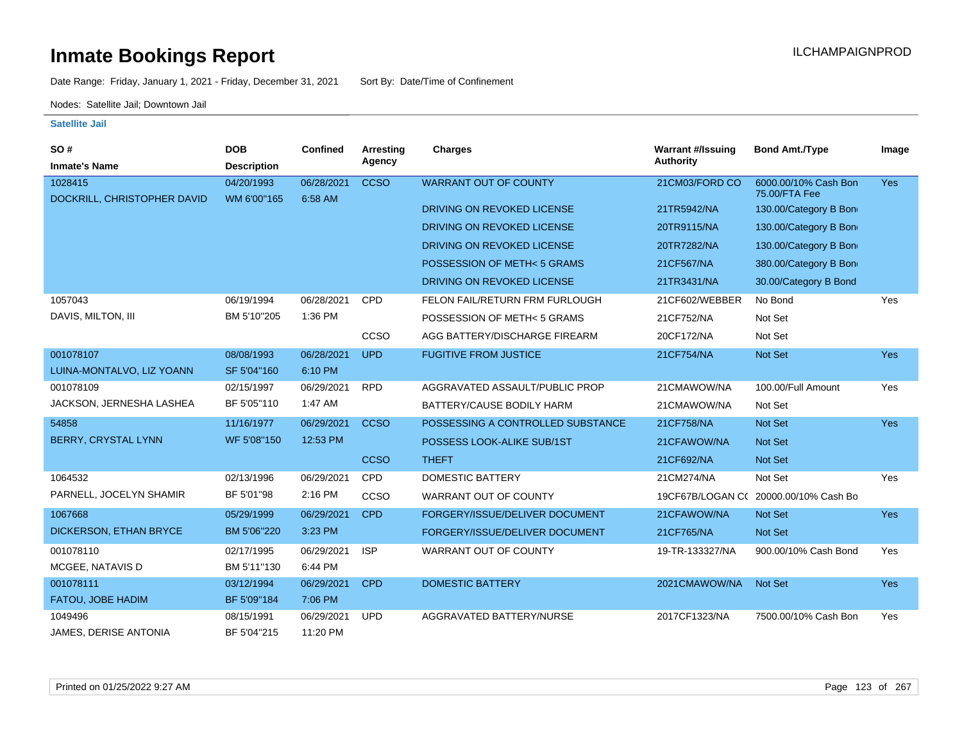Date Range: Friday, January 1, 2021 - Friday, December 31, 2021 Sort By: Date/Time of Confinement

Nodes: Satellite Jail; Downtown Jail

| SO#                                    | <b>DOB</b>                | Confined              | Arresting   | <b>Charges</b>                    | <b>Warrant #/Issuing</b> | <b>Bond Amt./Type</b>                 | Image      |
|----------------------------------------|---------------------------|-----------------------|-------------|-----------------------------------|--------------------------|---------------------------------------|------------|
| <b>Inmate's Name</b>                   | <b>Description</b>        |                       | Agency      |                                   | <b>Authority</b>         |                                       |            |
| 1028415<br>DOCKRILL, CHRISTOPHER DAVID | 04/20/1993<br>WM 6'00"165 | 06/28/2021<br>6:58 AM | <b>CCSO</b> | <b>WARRANT OUT OF COUNTY</b>      | 21CM03/FORD CO           | 6000.00/10% Cash Bon<br>75.00/FTA Fee | <b>Yes</b> |
|                                        |                           |                       |             | DRIVING ON REVOKED LICENSE        | 21TR5942/NA              | 130.00/Category B Bon                 |            |
|                                        |                           |                       |             | DRIVING ON REVOKED LICENSE        | 20TR9115/NA              | 130.00/Category B Bon                 |            |
|                                        |                           |                       |             | DRIVING ON REVOKED LICENSE        | 20TR7282/NA              | 130.00/Category B Bon                 |            |
|                                        |                           |                       |             | POSSESSION OF METH< 5 GRAMS       | 21CF567/NA               | 380.00/Category B Bon                 |            |
|                                        |                           |                       |             | DRIVING ON REVOKED LICENSE        | 21TR3431/NA              | 30.00/Category B Bond                 |            |
| 1057043                                | 06/19/1994                | 06/28/2021            | <b>CPD</b>  | FELON FAIL/RETURN FRM FURLOUGH    | 21CF602/WEBBER           | No Bond                               | Yes        |
| DAVIS, MILTON, III                     | BM 5'10"205               | 1:36 PM               |             | POSSESSION OF METH<5 GRAMS        | 21CF752/NA               | Not Set                               |            |
|                                        |                           |                       | CCSO        | AGG BATTERY/DISCHARGE FIREARM     | 20CF172/NA               | Not Set                               |            |
| 001078107                              | 08/08/1993                | 06/28/2021            | <b>UPD</b>  | <b>FUGITIVE FROM JUSTICE</b>      | 21CF754/NA               | Not Set                               | <b>Yes</b> |
| LUINA-MONTALVO, LIZ YOANN              | SF 5'04"160               | 6:10 PM               |             |                                   |                          |                                       |            |
| 001078109                              | 02/15/1997                | 06/29/2021            | <b>RPD</b>  | AGGRAVATED ASSAULT/PUBLIC PROP    | 21CMAWOW/NA              | 100.00/Full Amount                    | Yes        |
| JACKSON, JERNESHA LASHEA               | BF 5'05"110               | 1:47 AM               |             | BATTERY/CAUSE BODILY HARM         | 21CMAWOW/NA              | Not Set                               |            |
| 54858                                  | 11/16/1977                | 06/29/2021            | <b>CCSO</b> | POSSESSING A CONTROLLED SUBSTANCE | 21CF758/NA               | Not Set                               | Yes        |
| <b>BERRY, CRYSTAL LYNN</b>             | WF 5'08"150               | 12:53 PM              |             | POSSESS LOOK-ALIKE SUB/1ST        | 21CFAWOW/NA              | <b>Not Set</b>                        |            |
|                                        |                           |                       | <b>CCSO</b> | <b>THEFT</b>                      | 21CF692/NA               | <b>Not Set</b>                        |            |
| 1064532                                | 02/13/1996                | 06/29/2021            | <b>CPD</b>  | <b>DOMESTIC BATTERY</b>           | 21CM274/NA               | Not Set                               | Yes        |
| PARNELL, JOCELYN SHAMIR                | BF 5'01"98                | 2:16 PM               | CCSO        | WARRANT OUT OF COUNTY             |                          | 19CF67B/LOGAN C( 20000.00/10% Cash Bo |            |
| 1067668                                | 05/29/1999                | 06/29/2021            | <b>CPD</b>  | FORGERY/ISSUE/DELIVER DOCUMENT    | 21CFAWOW/NA              | Not Set                               | <b>Yes</b> |
| DICKERSON, ETHAN BRYCE                 | BM 5'06"220               | 3:23 PM               |             | FORGERY/ISSUE/DELIVER DOCUMENT    | 21CF765/NA               | Not Set                               |            |
| 001078110                              | 02/17/1995                | 06/29/2021            | <b>ISP</b>  | WARRANT OUT OF COUNTY             | 19-TR-133327/NA          | 900.00/10% Cash Bond                  | Yes        |
| <b>MCGEE, NATAVIS D</b>                | BM 5'11"130               | 6:44 PM               |             |                                   |                          |                                       |            |
| 001078111                              | 03/12/1994                | 06/29/2021            | <b>CPD</b>  | <b>DOMESTIC BATTERY</b>           | 2021CMAWOW/NA            | Not Set                               | Yes        |
| FATOU, JOBE HADIM                      | BF 5'09"184               | 7:06 PM               |             |                                   |                          |                                       |            |
| 1049496                                | 08/15/1991                | 06/29/2021            | <b>UPD</b>  | AGGRAVATED BATTERY/NURSE          | 2017CF1323/NA            | 7500.00/10% Cash Bon                  | Yes        |
| JAMES, DERISE ANTONIA                  | BF 5'04"215               | 11:20 PM              |             |                                   |                          |                                       |            |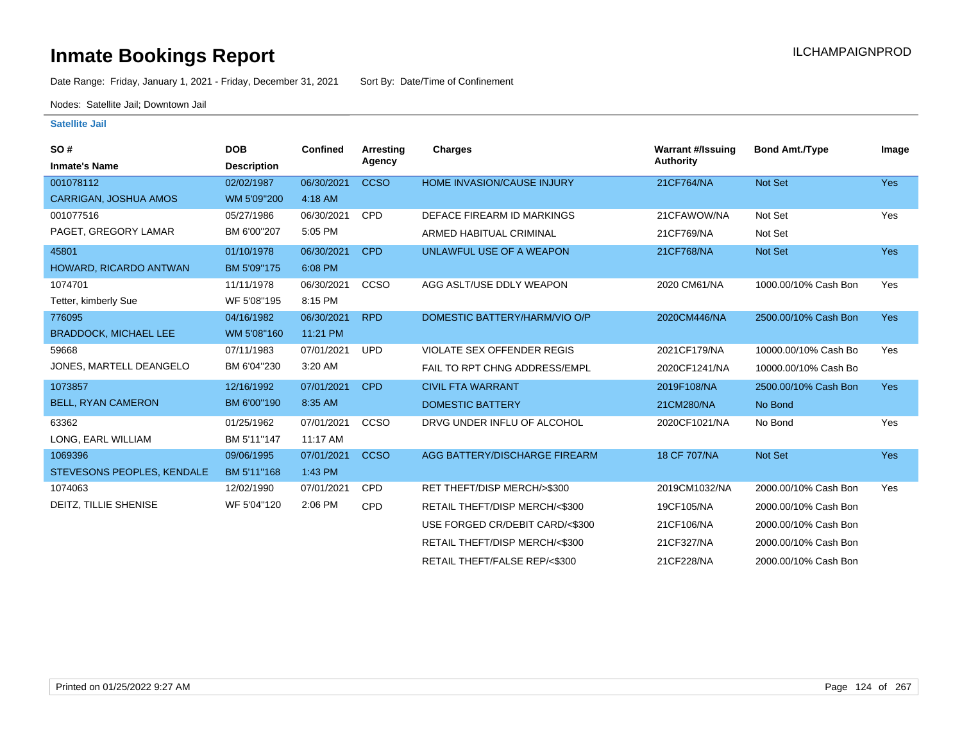## **Inmate Bookings Report Institute Bookings Report ILCHAMPAIGNPROD**

Date Range: Friday, January 1, 2021 - Friday, December 31, 2021 Sort By: Date/Time of Confinement

Nodes: Satellite Jail; Downtown Jail

| SO#                          | <b>DOB</b>         | <b>Confined</b> | Arresting   | <b>Charges</b>                    | <b>Warrant #/Issuing</b> | <b>Bond Amt./Type</b> | Image      |
|------------------------------|--------------------|-----------------|-------------|-----------------------------------|--------------------------|-----------------------|------------|
| <b>Inmate's Name</b>         | <b>Description</b> |                 | Agency      |                                   | <b>Authority</b>         |                       |            |
| 001078112                    | 02/02/1987         | 06/30/2021      | <b>CCSO</b> | <b>HOME INVASION/CAUSE INJURY</b> | 21CF764/NA               | Not Set               | <b>Yes</b> |
| <b>CARRIGAN, JOSHUA AMOS</b> | WM 5'09"200        | 4:18 AM         |             |                                   |                          |                       |            |
| 001077516                    | 05/27/1986         | 06/30/2021      | <b>CPD</b>  | DEFACE FIREARM ID MARKINGS        | 21CFAWOW/NA              | Not Set               | Yes        |
| PAGET, GREGORY LAMAR         | BM 6'00"207        | 5:05 PM         |             | ARMED HABITUAL CRIMINAL           | 21CF769/NA               | Not Set               |            |
| 45801                        | 01/10/1978         | 06/30/2021      | <b>CPD</b>  | UNLAWFUL USE OF A WEAPON          | 21CF768/NA               | Not Set               | <b>Yes</b> |
| HOWARD, RICARDO ANTWAN       | BM 5'09"175        | 6:08 PM         |             |                                   |                          |                       |            |
| 1074701                      | 11/11/1978         | 06/30/2021      | CCSO        | AGG ASLT/USE DDLY WEAPON          | 2020 CM61/NA             | 1000.00/10% Cash Bon  | Yes        |
| Tetter, kimberly Sue         | WF 5'08"195        | 8:15 PM         |             |                                   |                          |                       |            |
| 776095                       | 04/16/1982         | 06/30/2021      | <b>RPD</b>  | DOMESTIC BATTERY/HARM/VIO O/P     | 2020CM446/NA             | 2500.00/10% Cash Bon  | <b>Yes</b> |
| <b>BRADDOCK, MICHAEL LEE</b> | WM 5'08"160        | 11:21 PM        |             |                                   |                          |                       |            |
| 59668                        | 07/11/1983         | 07/01/2021      | <b>UPD</b>  | <b>VIOLATE SEX OFFENDER REGIS</b> | 2021CF179/NA             | 10000.00/10% Cash Bo  | Yes        |
| JONES, MARTELL DEANGELO      | BM 6'04"230        | 3:20 AM         |             | FAIL TO RPT CHNG ADDRESS/EMPL     | 2020CF1241/NA            | 10000.00/10% Cash Bo  |            |
| 1073857                      | 12/16/1992         | 07/01/2021      | <b>CPD</b>  | <b>CIVIL FTA WARRANT</b>          | 2019F108/NA              | 2500.00/10% Cash Bon  | <b>Yes</b> |
| <b>BELL, RYAN CAMERON</b>    | BM 6'00"190        | 8:35 AM         |             | <b>DOMESTIC BATTERY</b>           | 21CM280/NA               | No Bond               |            |
| 63362                        | 01/25/1962         | 07/01/2021      | CCSO        | DRVG UNDER INFLU OF ALCOHOL       | 2020CF1021/NA            | No Bond               | Yes        |
| LONG, EARL WILLIAM           | BM 5'11"147        | 11:17 AM        |             |                                   |                          |                       |            |
| 1069396                      | 09/06/1995         | 07/01/2021      | <b>CCSO</b> | AGG BATTERY/DISCHARGE FIREARM     | 18 CF 707/NA             | Not Set               | <b>Yes</b> |
| STEVESONS PEOPLES, KENDALE   | BM 5'11"168        | 1:43 PM         |             |                                   |                          |                       |            |
| 1074063                      | 12/02/1990         | 07/01/2021      | <b>CPD</b>  | RET THEFT/DISP MERCH/>\$300       | 2019CM1032/NA            | 2000.00/10% Cash Bon  | Yes        |
| DEITZ, TILLIE SHENISE        | WF 5'04"120        | 2:06 PM         | <b>CPD</b>  | RETAIL THEFT/DISP MERCH/<\$300    | 19CF105/NA               | 2000.00/10% Cash Bon  |            |
|                              |                    |                 |             | USE FORGED CR/DEBIT CARD/<\$300   | 21CF106/NA               | 2000.00/10% Cash Bon  |            |
|                              |                    |                 |             | RETAIL THEFT/DISP MERCH/<\$300    | 21CF327/NA               | 2000.00/10% Cash Bon  |            |
|                              |                    |                 |             | RETAIL THEFT/FALSE REP/<\$300     | 21CF228/NA               | 2000.00/10% Cash Bon  |            |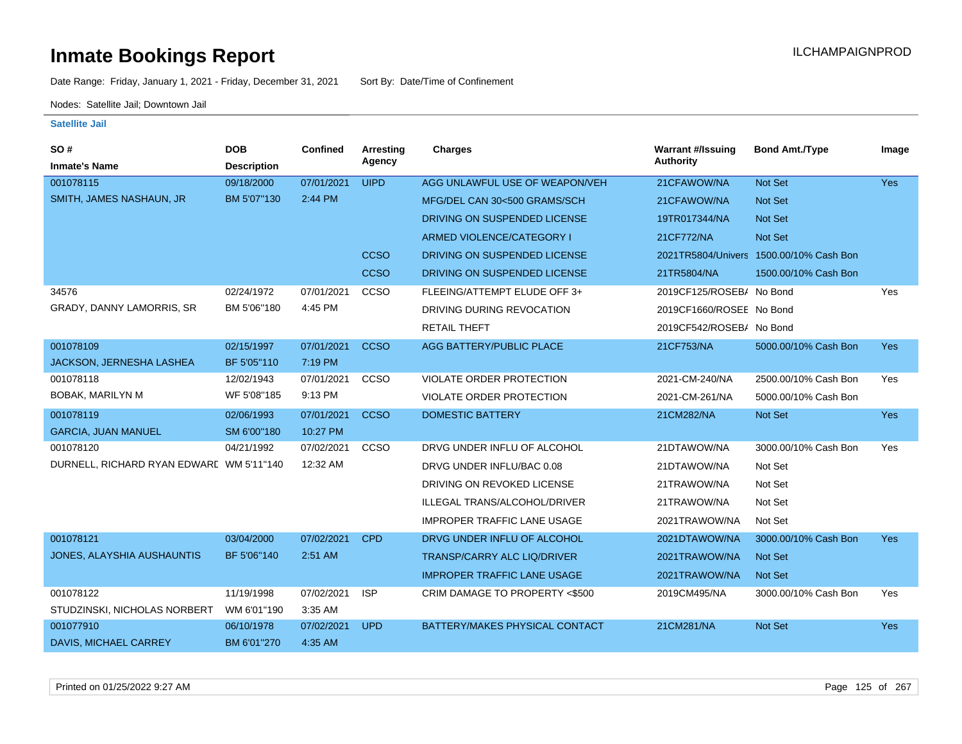Date Range: Friday, January 1, 2021 - Friday, December 31, 2021 Sort By: Date/Time of Confinement

Nodes: Satellite Jail; Downtown Jail

#### **Satellite Jail**

| SO#                                      | <b>DOB</b>         | <b>Confined</b> | <b>Arresting</b> | Charges                            | <b>Warrant #/Issuing</b> | <b>Bond Amt./Type</b>                   | Image      |
|------------------------------------------|--------------------|-----------------|------------------|------------------------------------|--------------------------|-----------------------------------------|------------|
| <b>Inmate's Name</b>                     | <b>Description</b> |                 | Agency           |                                    | <b>Authority</b>         |                                         |            |
| 001078115                                | 09/18/2000         | 07/01/2021      | <b>UIPD</b>      | AGG UNLAWFUL USE OF WEAPON/VEH     | 21CFAWOW/NA              | <b>Not Set</b>                          | <b>Yes</b> |
| SMITH, JAMES NASHAUN, JR                 | BM 5'07"130        | 2:44 PM         |                  | MFG/DEL CAN 30<500 GRAMS/SCH       | 21CFAWOW/NA              | Not Set                                 |            |
|                                          |                    |                 |                  | DRIVING ON SUSPENDED LICENSE       | 19TR017344/NA            | <b>Not Set</b>                          |            |
|                                          |                    |                 |                  | ARMED VIOLENCE/CATEGORY I          | 21CF772/NA               | <b>Not Set</b>                          |            |
|                                          |                    |                 | <b>CCSO</b>      | DRIVING ON SUSPENDED LICENSE       |                          | 2021TR5804/Univers 1500.00/10% Cash Bon |            |
|                                          |                    |                 | <b>CCSO</b>      | DRIVING ON SUSPENDED LICENSE       | 21TR5804/NA              | 1500.00/10% Cash Bon                    |            |
| 34576                                    | 02/24/1972         | 07/01/2021      | CCSO             | FLEEING/ATTEMPT ELUDE OFF 3+       | 2019CF125/ROSEB/ No Bond |                                         | Yes        |
| GRADY, DANNY LAMORRIS, SR                | BM 5'06"180        | 4:45 PM         |                  | DRIVING DURING REVOCATION          | 2019CF1660/ROSEE No Bond |                                         |            |
|                                          |                    |                 |                  | <b>RETAIL THEFT</b>                | 2019CF542/ROSEB/ No Bond |                                         |            |
| 001078109                                | 02/15/1997         | 07/01/2021      | <b>CCSO</b>      | AGG BATTERY/PUBLIC PLACE           | 21CF753/NA               | 5000.00/10% Cash Bon                    | <b>Yes</b> |
| JACKSON, JERNESHA LASHEA                 | BF 5'05"110        | 7:19 PM         |                  |                                    |                          |                                         |            |
| 001078118                                | 12/02/1943         | 07/01/2021      | <b>CCSO</b>      | VIOLATE ORDER PROTECTION           | 2021-CM-240/NA           | 2500.00/10% Cash Bon                    | Yes        |
| <b>BOBAK, MARILYN M</b>                  | WF 5'08"185        | 9:13 PM         |                  | VIOLATE ORDER PROTECTION           | 2021-CM-261/NA           | 5000.00/10% Cash Bon                    |            |
| 001078119                                | 02/06/1993         | 07/01/2021      | <b>CCSO</b>      | <b>DOMESTIC BATTERY</b>            | 21CM282/NA               | Not Set                                 | <b>Yes</b> |
| <b>GARCIA, JUAN MANUEL</b>               | SM 6'00"180        | 10:27 PM        |                  |                                    |                          |                                         |            |
| 001078120                                | 04/21/1992         | 07/02/2021      | <b>CCSO</b>      | DRVG UNDER INFLU OF ALCOHOL        | 21DTAWOW/NA              | 3000.00/10% Cash Bon                    | Yes        |
| DURNELL, RICHARD RYAN EDWARL WM 5'11"140 |                    | 12:32 AM        |                  | DRVG UNDER INFLU/BAC 0.08          | 21DTAWOW/NA              | Not Set                                 |            |
|                                          |                    |                 |                  | DRIVING ON REVOKED LICENSE         | 21TRAWOW/NA              | Not Set                                 |            |
|                                          |                    |                 |                  | ILLEGAL TRANS/ALCOHOL/DRIVER       | 21TRAWOW/NA              | Not Set                                 |            |
|                                          |                    |                 |                  | <b>IMPROPER TRAFFIC LANE USAGE</b> | 2021TRAWOW/NA            | Not Set                                 |            |
| 001078121                                | 03/04/2000         | 07/02/2021      | <b>CPD</b>       | DRVG UNDER INFLU OF ALCOHOL        | 2021DTAWOW/NA            | 3000.00/10% Cash Bon                    | <b>Yes</b> |
| JONES, ALAYSHIA AUSHAUNTIS               | BF 5'06"140        | 2:51 AM         |                  | TRANSP/CARRY ALC LIQ/DRIVER        | 2021TRAWOW/NA            | <b>Not Set</b>                          |            |
|                                          |                    |                 |                  | <b>IMPROPER TRAFFIC LANE USAGE</b> | 2021TRAWOW/NA            | Not Set                                 |            |
| 001078122                                | 11/19/1998         | 07/02/2021      | <b>ISP</b>       | CRIM DAMAGE TO PROPERTY <\$500     | 2019CM495/NA             | 3000.00/10% Cash Bon                    | Yes        |
| STUDZINSKI, NICHOLAS NORBERT             | WM 6'01"190        | 3:35 AM         |                  |                                    |                          |                                         |            |
| 001077910                                | 06/10/1978         | 07/02/2021      | <b>UPD</b>       | BATTERY/MAKES PHYSICAL CONTACT     | 21CM281/NA               | <b>Not Set</b>                          | <b>Yes</b> |
| DAVIS, MICHAEL CARREY                    | BM 6'01"270        | 4:35 AM         |                  |                                    |                          |                                         |            |

Printed on 01/25/2022 9:27 AM Page 125 of 267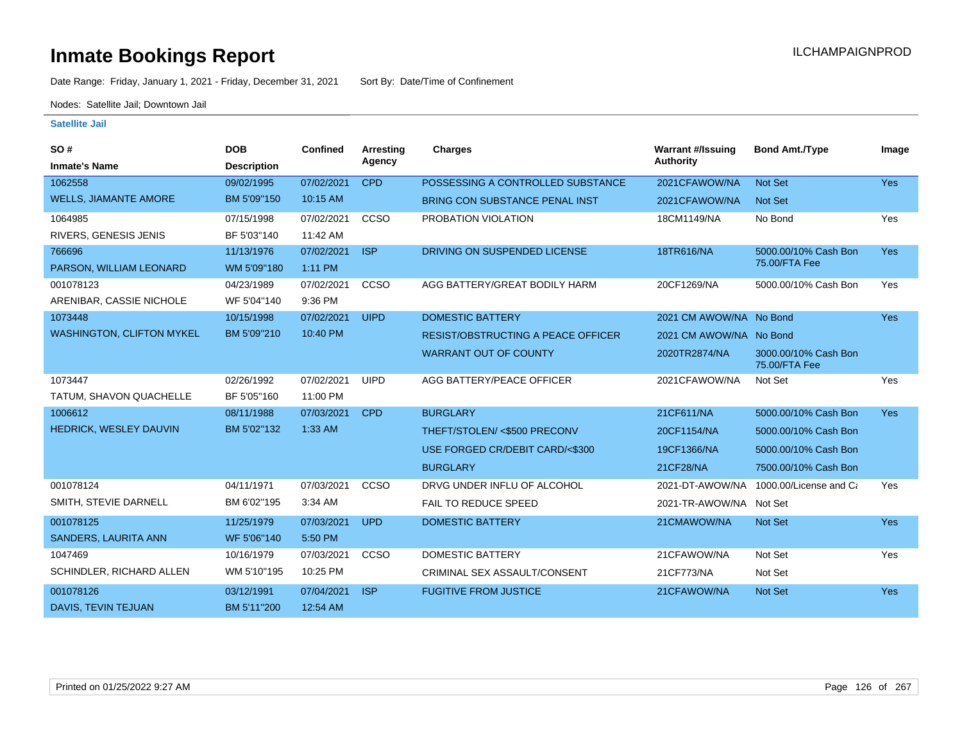Date Range: Friday, January 1, 2021 - Friday, December 31, 2021 Sort By: Date/Time of Confinement

Nodes: Satellite Jail; Downtown Jail

| <b>SO#</b>                       | <b>DOB</b>         | <b>Confined</b> | Arresting<br>Agency | <b>Charges</b>                     | <b>Warrant #/Issuing</b><br><b>Authority</b> | <b>Bond Amt./Type</b>                 | Image      |
|----------------------------------|--------------------|-----------------|---------------------|------------------------------------|----------------------------------------------|---------------------------------------|------------|
| <b>Inmate's Name</b>             | <b>Description</b> |                 |                     |                                    |                                              |                                       |            |
| 1062558                          | 09/02/1995         | 07/02/2021      | <b>CPD</b>          | POSSESSING A CONTROLLED SUBSTANCE  | 2021CFAWOW/NA                                | Not Set                               | <b>Yes</b> |
| <b>WELLS, JIAMANTE AMORE</b>     | BM 5'09"150        | 10:15 AM        |                     | BRING CON SUBSTANCE PENAL INST     | 2021CFAWOW/NA                                | Not Set                               |            |
| 1064985                          | 07/15/1998         | 07/02/2021      | CCSO                | PROBATION VIOLATION                | 18CM1149/NA                                  | No Bond                               | Yes        |
| RIVERS, GENESIS JENIS            | BF 5'03"140        | 11:42 AM        |                     |                                    |                                              |                                       |            |
| 766696                           | 11/13/1976         | 07/02/2021      | <b>ISP</b>          | DRIVING ON SUSPENDED LICENSE       | 18TR616/NA                                   | 5000.00/10% Cash Bon                  | Yes        |
| PARSON, WILLIAM LEONARD          | WM 5'09"180        | 1:11 PM         |                     |                                    |                                              | 75.00/FTA Fee                         |            |
| 001078123                        | 04/23/1989         | 07/02/2021      | CCSO                | AGG BATTERY/GREAT BODILY HARM      | 20CF1269/NA                                  | 5000.00/10% Cash Bon                  | Yes        |
| ARENIBAR, CASSIE NICHOLE         | WF 5'04"140        | 9:36 PM         |                     |                                    |                                              |                                       |            |
| 1073448                          | 10/15/1998         | 07/02/2021      | <b>UIPD</b>         | <b>DOMESTIC BATTERY</b>            | 2021 CM AWOW/NA No Bond                      |                                       | <b>Yes</b> |
| <b>WASHINGTON, CLIFTON MYKEL</b> | BM 5'09"210        | 10:40 PM        |                     | RESIST/OBSTRUCTING A PEACE OFFICER | 2021 CM AWOW/NA No Bond                      |                                       |            |
|                                  |                    |                 |                     | <b>WARRANT OUT OF COUNTY</b>       | 2020TR2874/NA                                | 3000.00/10% Cash Bon<br>75.00/FTA Fee |            |
| 1073447                          | 02/26/1992         | 07/02/2021      | <b>UIPD</b>         | AGG BATTERY/PEACE OFFICER          | 2021CFAWOW/NA                                | Not Set                               | Yes        |
| TATUM, SHAVON QUACHELLE          | BF 5'05"160        | 11:00 PM        |                     |                                    |                                              |                                       |            |
| 1006612                          | 08/11/1988         | 07/03/2021      | <b>CPD</b>          | <b>BURGLARY</b>                    | 21CF611/NA                                   | 5000.00/10% Cash Bon                  | <b>Yes</b> |
| HEDRICK, WESLEY DAUVIN           | BM 5'02"132        | 1:33 AM         |                     | THEFT/STOLEN/ <\$500 PRECONV       | 20CF1154/NA                                  | 5000.00/10% Cash Bon                  |            |
|                                  |                    |                 |                     | USE FORGED CR/DEBIT CARD/<\$300    | 19CF1366/NA                                  | 5000.00/10% Cash Bon                  |            |
|                                  |                    |                 |                     | <b>BURGLARY</b>                    | 21CF28/NA                                    | 7500.00/10% Cash Bon                  |            |
| 001078124                        | 04/11/1971         | 07/03/2021      | CCSO                | DRVG UNDER INFLU OF ALCOHOL        | 2021-DT-AWOW/NA                              | 1000.00/License and Ca                | Yes        |
| SMITH, STEVIE DARNELL            | BM 6'02"195        | 3:34 AM         |                     | <b>FAIL TO REDUCE SPEED</b>        | 2021-TR-AWOW/NA Not Set                      |                                       |            |
| 001078125                        | 11/25/1979         | 07/03/2021      | <b>UPD</b>          | <b>DOMESTIC BATTERY</b>            | 21CMAWOW/NA                                  | Not Set                               | <b>Yes</b> |
| <b>SANDERS, LAURITA ANN</b>      | WF 5'06"140        | 5:50 PM         |                     |                                    |                                              |                                       |            |
| 1047469                          | 10/16/1979         | 07/03/2021      | CCSO                | <b>DOMESTIC BATTERY</b>            | 21CFAWOW/NA                                  | Not Set                               | Yes        |
| SCHINDLER, RICHARD ALLEN         | WM 5'10"195        | 10:25 PM        |                     | CRIMINAL SEX ASSAULT/CONSENT       | 21CF773/NA                                   | Not Set                               |            |
| 001078126                        | 03/12/1991         | 07/04/2021      | <b>ISP</b>          | <b>FUGITIVE FROM JUSTICE</b>       | 21CFAWOW/NA                                  | Not Set                               | <b>Yes</b> |
| DAVIS, TEVIN TEJUAN              | BM 5'11"200        | 12:54 AM        |                     |                                    |                                              |                                       |            |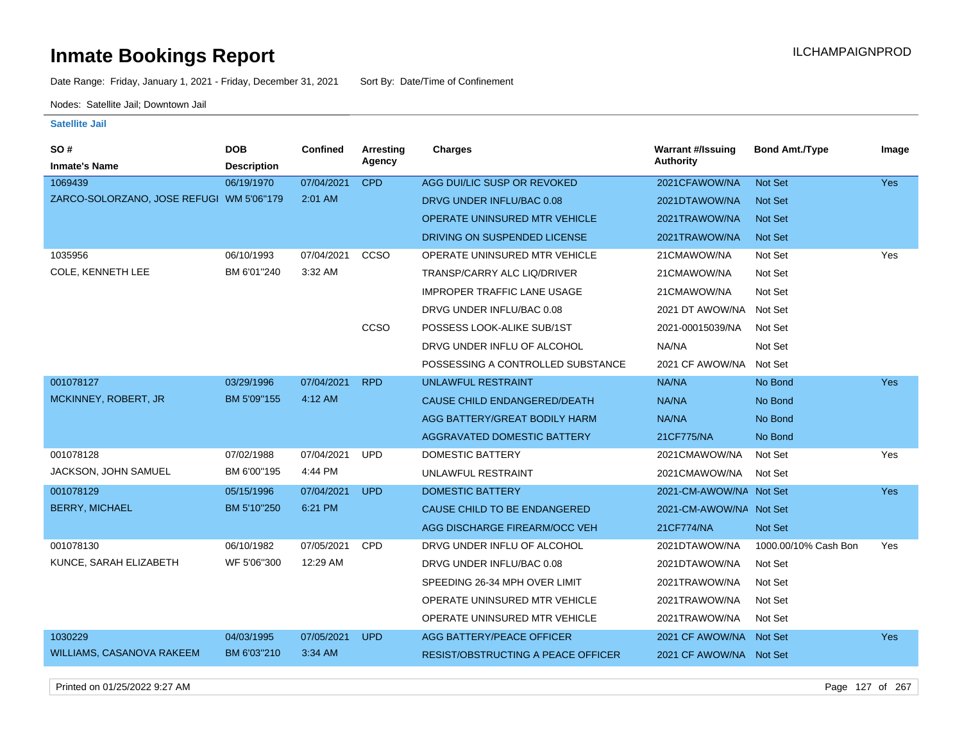Date Range: Friday, January 1, 2021 - Friday, December 31, 2021 Sort By: Date/Time of Confinement

Nodes: Satellite Jail; Downtown Jail

### **Satellite Jail**

| SO #                                     | <b>DOB</b>         | <b>Confined</b> | Arresting<br>Agency | <b>Charges</b>                            | <b>Warrant #/Issuing</b><br><b>Authority</b> | <b>Bond Amt./Type</b> | Image      |
|------------------------------------------|--------------------|-----------------|---------------------|-------------------------------------------|----------------------------------------------|-----------------------|------------|
| <b>Inmate's Name</b>                     | <b>Description</b> |                 |                     |                                           |                                              |                       |            |
| 1069439                                  | 06/19/1970         | 07/04/2021      | <b>CPD</b>          | AGG DUI/LIC SUSP OR REVOKED               | 2021CFAWOW/NA                                | Not Set               | <b>Yes</b> |
| ZARCO-SOLORZANO, JOSE REFUGI WM 5'06"179 |                    | 2:01 AM         |                     | DRVG UNDER INFLU/BAC 0.08                 | 2021DTAWOW/NA                                | <b>Not Set</b>        |            |
|                                          |                    |                 |                     | OPERATE UNINSURED MTR VEHICLE             | 2021TRAWOW/NA                                | <b>Not Set</b>        |            |
|                                          |                    |                 |                     | DRIVING ON SUSPENDED LICENSE              | 2021TRAWOW/NA                                | <b>Not Set</b>        |            |
| 1035956                                  | 06/10/1993         | 07/04/2021      | ccso                | OPERATE UNINSURED MTR VEHICLE             | 21CMAWOW/NA                                  | Not Set               | Yes        |
| COLE, KENNETH LEE                        | BM 6'01"240        | 3:32 AM         |                     | <b>TRANSP/CARRY ALC LIQ/DRIVER</b>        | 21CMAWOW/NA                                  | Not Set               |            |
|                                          |                    |                 |                     | <b>IMPROPER TRAFFIC LANE USAGE</b>        | 21CMAWOW/NA                                  | Not Set               |            |
|                                          |                    |                 |                     | DRVG UNDER INFLU/BAC 0.08                 | 2021 DT AWOW/NA                              | Not Set               |            |
|                                          |                    |                 | CCSO                | POSSESS LOOK-ALIKE SUB/1ST                | 2021-00015039/NA                             | Not Set               |            |
|                                          |                    |                 |                     | DRVG UNDER INFLU OF ALCOHOL               | NA/NA                                        | Not Set               |            |
|                                          |                    |                 |                     | POSSESSING A CONTROLLED SUBSTANCE         | 2021 CF AWOW/NA                              | Not Set               |            |
| 001078127                                | 03/29/1996         | 07/04/2021      | <b>RPD</b>          | <b>UNLAWFUL RESTRAINT</b>                 | NA/NA                                        | No Bond               | Yes        |
| MCKINNEY, ROBERT, JR                     | BM 5'09"155        | 4:12 AM         |                     | CAUSE CHILD ENDANGERED/DEATH              | NA/NA                                        | No Bond               |            |
|                                          |                    |                 |                     | AGG BATTERY/GREAT BODILY HARM             | NA/NA                                        | No Bond               |            |
|                                          |                    |                 |                     | AGGRAVATED DOMESTIC BATTERY               | 21CF775/NA                                   | No Bond               |            |
| 001078128                                | 07/02/1988         | 07/04/2021      | <b>UPD</b>          | <b>DOMESTIC BATTERY</b>                   | 2021CMAWOW/NA                                | Not Set               | Yes        |
| JACKSON, JOHN SAMUEL                     | BM 6'00"195        | 4:44 PM         |                     | UNLAWFUL RESTRAINT                        | 2021CMAWOW/NA                                | Not Set               |            |
| 001078129                                | 05/15/1996         | 07/04/2021      | <b>UPD</b>          | <b>DOMESTIC BATTERY</b>                   | 2021-CM-AWOW/NA Not Set                      |                       | Yes        |
| <b>BERRY, MICHAEL</b>                    | BM 5'10"250        | 6:21 PM         |                     | CAUSE CHILD TO BE ENDANGERED              | 2021-CM-AWOW/NA Not Set                      |                       |            |
|                                          |                    |                 |                     | AGG DISCHARGE FIREARM/OCC VEH             | 21CF774/NA                                   | Not Set               |            |
| 001078130                                | 06/10/1982         | 07/05/2021      | <b>CPD</b>          | DRVG UNDER INFLU OF ALCOHOL               | 2021DTAWOW/NA                                | 1000.00/10% Cash Bon  | Yes        |
| KUNCE, SARAH ELIZABETH                   | WF 5'06"300        | 12:29 AM        |                     | DRVG UNDER INFLU/BAC 0.08                 | 2021DTAWOW/NA                                | Not Set               |            |
|                                          |                    |                 |                     | SPEEDING 26-34 MPH OVER LIMIT             | 2021TRAWOW/NA                                | Not Set               |            |
|                                          |                    |                 |                     | OPERATE UNINSURED MTR VEHICLE             | 2021TRAWOW/NA                                | Not Set               |            |
|                                          |                    |                 |                     | OPERATE UNINSURED MTR VEHICLE             | 2021TRAWOW/NA                                | Not Set               |            |
| 1030229                                  | 04/03/1995         | 07/05/2021      | <b>UPD</b>          | AGG BATTERY/PEACE OFFICER                 | 2021 CF AWOW/NA Not Set                      |                       | <b>Yes</b> |
| <b>WILLIAMS, CASANOVA RAKEEM</b>         | BM 6'03"210        | 3:34 AM         |                     | <b>RESIST/OBSTRUCTING A PEACE OFFICER</b> | 2021 CF AWOW/NA Not Set                      |                       |            |
|                                          |                    |                 |                     |                                           |                                              |                       |            |

Printed on 01/25/2022 9:27 AM Page 127 of 267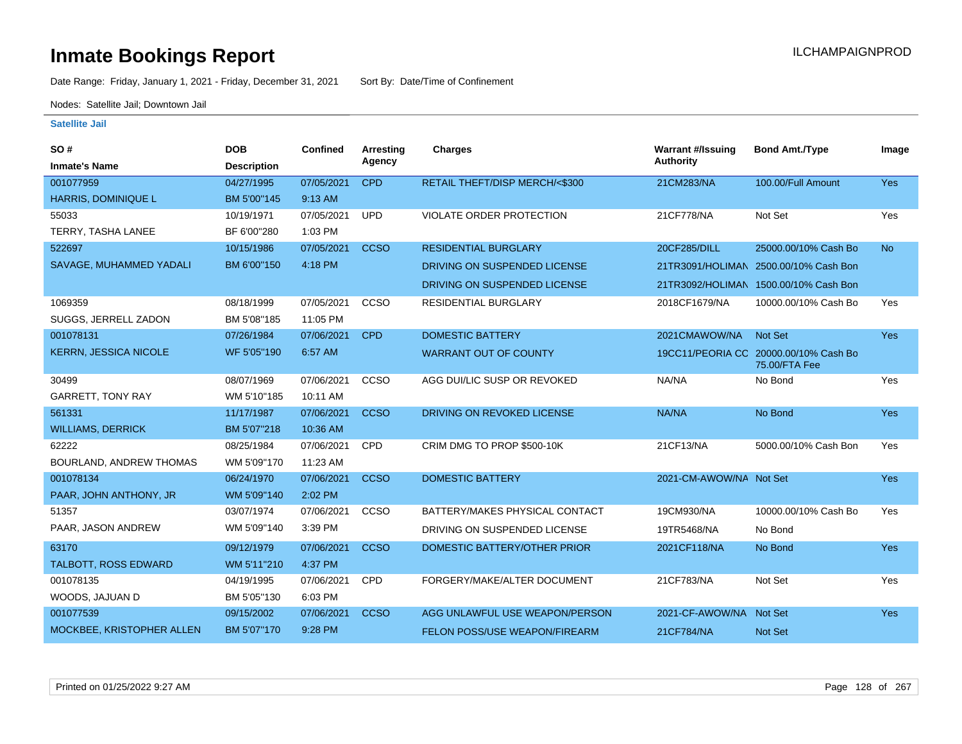Date Range: Friday, January 1, 2021 - Friday, December 31, 2021 Sort By: Date/Time of Confinement

Nodes: Satellite Jail; Downtown Jail

| SO#                          | <b>DOB</b>         | Confined   | <b>Arresting</b> | <b>Charges</b>                 | <b>Warrant #/Issuing</b> | <b>Bond Amt./Type</b>                                  | Image     |
|------------------------------|--------------------|------------|------------------|--------------------------------|--------------------------|--------------------------------------------------------|-----------|
| <b>Inmate's Name</b>         | <b>Description</b> |            | Agency           |                                | <b>Authority</b>         |                                                        |           |
| 001077959                    | 04/27/1995         | 07/05/2021 | <b>CPD</b>       | RETAIL THEFT/DISP MERCH/<\$300 | 21CM283/NA               | 100.00/Full Amount                                     | Yes       |
| HARRIS, DOMINIQUE L          | BM 5'00"145        | 9:13 AM    |                  |                                |                          |                                                        |           |
| 55033                        | 10/19/1971         | 07/05/2021 | <b>UPD</b>       | VIOLATE ORDER PROTECTION       | 21CF778/NA               | Not Set                                                | Yes       |
| TERRY, TASHA LANEE           | BF 6'00"280        | 1:03 PM    |                  |                                |                          |                                                        |           |
| 522697                       | 10/15/1986         | 07/05/2021 | <b>CCSO</b>      | <b>RESIDENTIAL BURGLARY</b>    | 20CF285/DILL             | 25000.00/10% Cash Bo                                   | <b>No</b> |
| SAVAGE, MUHAMMED YADALI      | BM 6'00"150        | 4:18 PM    |                  | DRIVING ON SUSPENDED LICENSE   |                          | 21TR3091/HOLIMAN 2500.00/10% Cash Bon                  |           |
|                              |                    |            |                  | DRIVING ON SUSPENDED LICENSE   |                          | 21TR3092/HOLIMAN 1500.00/10% Cash Bon                  |           |
| 1069359                      | 08/18/1999         | 07/05/2021 | ccso             | RESIDENTIAL BURGLARY           | 2018CF1679/NA            | 10000.00/10% Cash Bo                                   | Yes       |
| SUGGS, JERRELL ZADON         | BM 5'08"185        | 11:05 PM   |                  |                                |                          |                                                        |           |
| 001078131                    | 07/26/1984         | 07/06/2021 | <b>CPD</b>       | <b>DOMESTIC BATTERY</b>        | 2021CMAWOW/NA            | <b>Not Set</b>                                         | Yes       |
| <b>KERRN, JESSICA NICOLE</b> | WF 5'05"190        | 6:57 AM    |                  | <b>WARRANT OUT OF COUNTY</b>   |                          | 19CC11/PEORIA CC 20000.00/10% Cash Bo<br>75.00/FTA Fee |           |
| 30499                        | 08/07/1969         | 07/06/2021 | CCSO             | AGG DUI/LIC SUSP OR REVOKED    | NA/NA                    | No Bond                                                | Yes       |
| <b>GARRETT, TONY RAY</b>     | WM 5'10"185        | 10:11 AM   |                  |                                |                          |                                                        |           |
| 561331                       | 11/17/1987         | 07/06/2021 | <b>CCSO</b>      | DRIVING ON REVOKED LICENSE     | NA/NA                    | No Bond                                                | Yes       |
| <b>WILLIAMS, DERRICK</b>     | BM 5'07"218        | 10:36 AM   |                  |                                |                          |                                                        |           |
| 62222                        | 08/25/1984         | 07/06/2021 | <b>CPD</b>       | CRIM DMG TO PROP \$500-10K     | 21CF13/NA                | 5000.00/10% Cash Bon                                   | Yes       |
| BOURLAND, ANDREW THOMAS      | WM 5'09"170        | 11:23 AM   |                  |                                |                          |                                                        |           |
| 001078134                    | 06/24/1970         | 07/06/2021 | <b>CCSO</b>      | <b>DOMESTIC BATTERY</b>        | 2021-CM-AWOW/NA Not Set  |                                                        | Yes       |
| PAAR, JOHN ANTHONY, JR       | WM 5'09"140        | 2:02 PM    |                  |                                |                          |                                                        |           |
| 51357                        | 03/07/1974         | 07/06/2021 | CCSO             | BATTERY/MAKES PHYSICAL CONTACT | 19CM930/NA               | 10000.00/10% Cash Bo                                   | Yes       |
| PAAR, JASON ANDREW           | WM 5'09"140        | 3:39 PM    |                  | DRIVING ON SUSPENDED LICENSE   | 19TR5468/NA              | No Bond                                                |           |
| 63170                        | 09/12/1979         | 07/06/2021 | <b>CCSO</b>      | DOMESTIC BATTERY/OTHER PRIOR   | 2021CF118/NA             | No Bond                                                | Yes       |
| TALBOTT, ROSS EDWARD         | WM 5'11"210        | 4:37 PM    |                  |                                |                          |                                                        |           |
| 001078135                    | 04/19/1995         | 07/06/2021 | <b>CPD</b>       | FORGERY/MAKE/ALTER DOCUMENT    | 21CF783/NA               | Not Set                                                | Yes       |
| WOODS, JAJUAN D              | BM 5'05"130        | 6:03 PM    |                  |                                |                          |                                                        |           |
| 001077539                    | 09/15/2002         | 07/06/2021 | <b>CCSO</b>      | AGG UNLAWFUL USE WEAPON/PERSON | 2021-CF-AWOW/NA Not Set  |                                                        | Yes       |
| MOCKBEE, KRISTOPHER ALLEN    | BM 5'07"170        | 9:28 PM    |                  | FELON POSS/USE WEAPON/FIREARM  | 21CF784/NA               | <b>Not Set</b>                                         |           |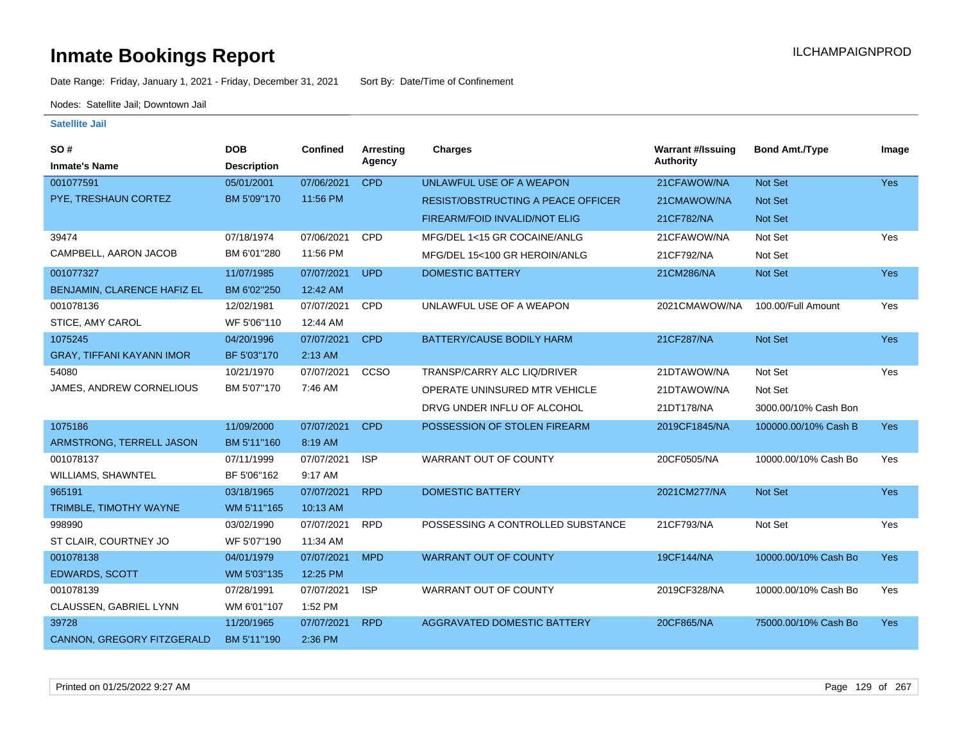Date Range: Friday, January 1, 2021 - Friday, December 31, 2021 Sort By: Date/Time of Confinement

Nodes: Satellite Jail; Downtown Jail

| <b>SO#</b>                       | <b>DOB</b>         | <b>Confined</b> | Arresting  | Charges                                   | <b>Warrant #/Issuing</b> | <b>Bond Amt./Type</b> | Image      |
|----------------------------------|--------------------|-----------------|------------|-------------------------------------------|--------------------------|-----------------------|------------|
| <b>Inmate's Name</b>             | <b>Description</b> |                 | Agency     |                                           | Authority                |                       |            |
| 001077591                        | 05/01/2001         | 07/06/2021      | <b>CPD</b> | UNLAWFUL USE OF A WEAPON                  | 21CFAWOW/NA              | Not Set               | <b>Yes</b> |
| PYE, TRESHAUN CORTEZ             | BM 5'09"170        | 11:56 PM        |            | <b>RESIST/OBSTRUCTING A PEACE OFFICER</b> | 21CMAWOW/NA              | Not Set               |            |
|                                  |                    |                 |            | <b>FIREARM/FOID INVALID/NOT ELIG</b>      | 21CF782/NA               | <b>Not Set</b>        |            |
| 39474                            | 07/18/1974         | 07/06/2021      | CPD        | MFG/DEL 1<15 GR COCAINE/ANLG              | 21CFAWOW/NA              | Not Set               | Yes        |
| CAMPBELL, AARON JACOB            | BM 6'01"280        | 11:56 PM        |            | MFG/DEL 15<100 GR HEROIN/ANLG             | 21CF792/NA               | Not Set               |            |
| 001077327                        | 11/07/1985         | 07/07/2021      | <b>UPD</b> | <b>DOMESTIC BATTERY</b>                   | 21CM286/NA               | Not Set               | Yes        |
| BENJAMIN, CLARENCE HAFIZ EL      | BM 6'02"250        | 12:42 AM        |            |                                           |                          |                       |            |
| 001078136                        | 12/02/1981         | 07/07/2021      | <b>CPD</b> | UNLAWFUL USE OF A WEAPON                  | 2021CMAWOW/NA            | 100.00/Full Amount    | Yes        |
| STICE, AMY CAROL                 | WF 5'06"110        | 12:44 AM        |            |                                           |                          |                       |            |
| 1075245                          | 04/20/1996         | 07/07/2021      | <b>CPD</b> | BATTERY/CAUSE BODILY HARM                 | 21CF287/NA               | Not Set               | Yes        |
| <b>GRAY, TIFFANI KAYANN IMOR</b> | BF 5'03"170        | 2:13 AM         |            |                                           |                          |                       |            |
| 54080                            | 10/21/1970         | 07/07/2021      | CCSO       | TRANSP/CARRY ALC LIQ/DRIVER               | 21DTAWOW/NA              | Not Set               | Yes        |
| JAMES, ANDREW CORNELIOUS         | BM 5'07"170        | 7:46 AM         |            | OPERATE UNINSURED MTR VEHICLE             | 21DTAWOW/NA              | Not Set               |            |
|                                  |                    |                 |            | DRVG UNDER INFLU OF ALCOHOL               | 21DT178/NA               | 3000.00/10% Cash Bon  |            |
| 1075186                          | 11/09/2000         | 07/07/2021      | <b>CPD</b> | POSSESSION OF STOLEN FIREARM              | 2019CF1845/NA            | 100000.00/10% Cash B  | <b>Yes</b> |
| ARMSTRONG, TERRELL JASON         | BM 5'11"160        | 8:19 AM         |            |                                           |                          |                       |            |
| 001078137                        | 07/11/1999         | 07/07/2021      | <b>ISP</b> | WARRANT OUT OF COUNTY                     | 20CF0505/NA              | 10000.00/10% Cash Bo  | Yes        |
| WILLIAMS, SHAWNTEL               | BF 5'06"162        | 9:17 AM         |            |                                           |                          |                       |            |
| 965191                           | 03/18/1965         | 07/07/2021      | <b>RPD</b> | <b>DOMESTIC BATTERY</b>                   | 2021CM277/NA             | Not Set               | Yes        |
| TRIMBLE, TIMOTHY WAYNE           | WM 5'11"165        | 10:13 AM        |            |                                           |                          |                       |            |
| 998990                           | 03/02/1990         | 07/07/2021      | <b>RPD</b> | POSSESSING A CONTROLLED SUBSTANCE         | 21CF793/NA               | Not Set               | Yes        |
| ST CLAIR, COURTNEY JO            | WF 5'07"190        | 11:34 AM        |            |                                           |                          |                       |            |
| 001078138                        | 04/01/1979         | 07/07/2021      | <b>MPD</b> | <b>WARRANT OUT OF COUNTY</b>              | 19CF144/NA               | 10000.00/10% Cash Bo  | Yes        |
| <b>EDWARDS, SCOTT</b>            | WM 5'03"135        | 12:25 PM        |            |                                           |                          |                       |            |
| 001078139                        | 07/28/1991         | 07/07/2021      | <b>ISP</b> | WARRANT OUT OF COUNTY                     | 2019CF328/NA             | 10000.00/10% Cash Bo  | Yes        |
| CLAUSSEN, GABRIEL LYNN           | WM 6'01"107        | 1:52 PM         |            |                                           |                          |                       |            |
| 39728                            | 11/20/1965         | 07/07/2021      | <b>RPD</b> | <b>AGGRAVATED DOMESTIC BATTERY</b>        | 20CF865/NA               | 75000.00/10% Cash Bo  | <b>Yes</b> |
| CANNON, GREGORY FITZGERALD       | BM 5'11"190        | 2:36 PM         |            |                                           |                          |                       |            |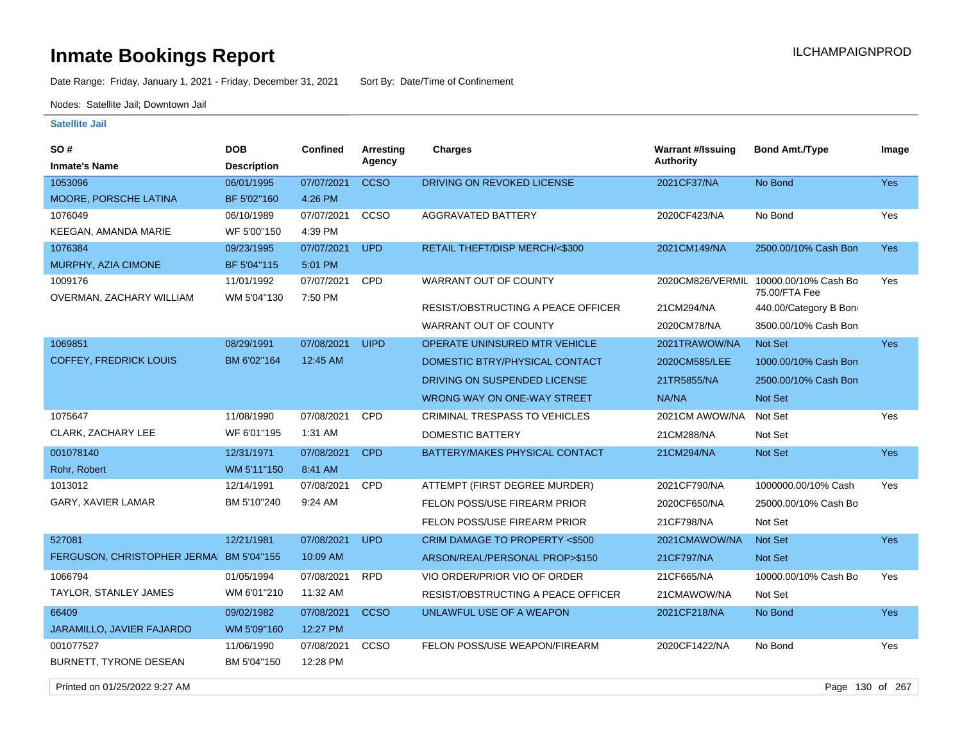Date Range: Friday, January 1, 2021 - Friday, December 31, 2021 Sort By: Date/Time of Confinement

Nodes: Satellite Jail; Downtown Jail

#### **Satellite Jail**

| <b>SO#</b>                    | <b>DOB</b>         | <b>Confined</b> | <b>Arresting</b> | <b>Charges</b>                       | <b>Warrant #/Issuing</b> | <b>Bond Amt./Type</b>                 | Image      |
|-------------------------------|--------------------|-----------------|------------------|--------------------------------------|--------------------------|---------------------------------------|------------|
| <b>Inmate's Name</b>          | <b>Description</b> |                 | Agency           |                                      | Authority                |                                       |            |
| 1053096                       | 06/01/1995         | 07/07/2021      | <b>CCSO</b>      | DRIVING ON REVOKED LICENSE           | 2021CF37/NA              | No Bond                               | Yes        |
| MOORE, PORSCHE LATINA         | BF 5'02"160        | 4:26 PM         |                  |                                      |                          |                                       |            |
| 1076049                       | 06/10/1989         | 07/07/2021      | CCSO             | <b>AGGRAVATED BATTERY</b>            | 2020CF423/NA             | No Bond                               | Yes        |
| KEEGAN, AMANDA MARIE          | WF 5'00"150        | 4:39 PM         |                  |                                      |                          |                                       |            |
| 1076384                       | 09/23/1995         | 07/07/2021      | <b>UPD</b>       | RETAIL THEFT/DISP MERCH/<\$300       | 2021CM149/NA             | 2500.00/10% Cash Bon                  | Yes        |
| MURPHY, AZIA CIMONE           | BF 5'04"115        | 5:01 PM         |                  |                                      |                          |                                       |            |
| 1009176                       | 11/01/1992         | 07/07/2021      | <b>CPD</b>       | WARRANT OUT OF COUNTY                | 2020CM826/VERMIL         | 10000.00/10% Cash Bo<br>75.00/FTA Fee | Yes        |
| OVERMAN, ZACHARY WILLIAM      | WM 5'04"130        | 7:50 PM         |                  | RESIST/OBSTRUCTING A PEACE OFFICER   | 21CM294/NA               | 440.00/Category B Bon                 |            |
|                               |                    |                 |                  | WARRANT OUT OF COUNTY                | 2020CM78/NA              | 3500.00/10% Cash Bon                  |            |
| 1069851                       | 08/29/1991         | 07/08/2021      | <b>UIPD</b>      | OPERATE UNINSURED MTR VEHICLE        | 2021TRAWOW/NA            | Not Set                               | <b>Yes</b> |
| <b>COFFEY, FREDRICK LOUIS</b> | BM 6'02"164        | 12:45 AM        |                  | DOMESTIC BTRY/PHYSICAL CONTACT       | 2020CM585/LEE            | 1000.00/10% Cash Bon                  |            |
|                               |                    |                 |                  | DRIVING ON SUSPENDED LICENSE         | 21TR5855/NA              | 2500.00/10% Cash Bon                  |            |
|                               |                    |                 |                  | WRONG WAY ON ONE-WAY STREET          | NA/NA                    | Not Set                               |            |
| 1075647                       | 11/08/1990         | 07/08/2021      | CPD              | <b>CRIMINAL TRESPASS TO VEHICLES</b> | 2021CM AWOW/NA           | Not Set                               | Yes        |
| CLARK, ZACHARY LEE            | WF 6'01"195        | 1:31 AM         |                  | <b>DOMESTIC BATTERY</b>              | 21CM288/NA               | Not Set                               |            |
| 001078140                     | 12/31/1971         | 07/08/2021      | <b>CPD</b>       | BATTERY/MAKES PHYSICAL CONTACT       | 21CM294/NA               | Not Set                               | Yes        |
| Rohr, Robert                  | WM 5'11"150        | 8:41 AM         |                  |                                      |                          |                                       |            |
| 1013012                       | 12/14/1991         | 07/08/2021      | <b>CPD</b>       | ATTEMPT (FIRST DEGREE MURDER)        | 2021CF790/NA             | 1000000.00/10% Cash                   | Yes        |
| <b>GARY, XAVIER LAMAR</b>     | BM 5'10"240        | 9:24 AM         |                  | FELON POSS/USE FIREARM PRIOR         | 2020CF650/NA             | 25000.00/10% Cash Bo                  |            |
|                               |                    |                 |                  | FELON POSS/USE FIREARM PRIOR         | 21CF798/NA               | Not Set                               |            |
| 527081                        | 12/21/1981         | 07/08/2021      | <b>UPD</b>       | CRIM DAMAGE TO PROPERTY <\$500       | 2021CMAWOW/NA            | <b>Not Set</b>                        | <b>Yes</b> |
| FERGUSON, CHRISTOPHER JERMA   | BM 5'04"155        | 10:09 AM        |                  | ARSON/REAL/PERSONAL PROP>\$150       | 21CF797/NA               | Not Set                               |            |
| 1066794                       | 01/05/1994         | 07/08/2021      | <b>RPD</b>       | VIO ORDER/PRIOR VIO OF ORDER         | 21CF665/NA               | 10000.00/10% Cash Bo                  | Yes        |
| TAYLOR, STANLEY JAMES         | WM 6'01"210        | 11:32 AM        |                  | RESIST/OBSTRUCTING A PEACE OFFICER   | 21CMAWOW/NA              | Not Set                               |            |
| 66409                         | 09/02/1982         | 07/08/2021      | <b>CCSO</b>      | UNLAWFUL USE OF A WEAPON             | 2021CF218/NA             | No Bond                               | <b>Yes</b> |
| JARAMILLO, JAVIER FAJARDO     | WM 5'09"160        | 12:27 PM        |                  |                                      |                          |                                       |            |
| 001077527                     | 11/06/1990         | 07/08/2021      | CCSO             | FELON POSS/USE WEAPON/FIREARM        | 2020CF1422/NA            | No Bond                               | Yes        |
| BURNETT, TYRONE DESEAN        | BM 5'04"150        | 12:28 PM        |                  |                                      |                          |                                       |            |

Printed on 01/25/2022 9:27 AM Page 130 of 267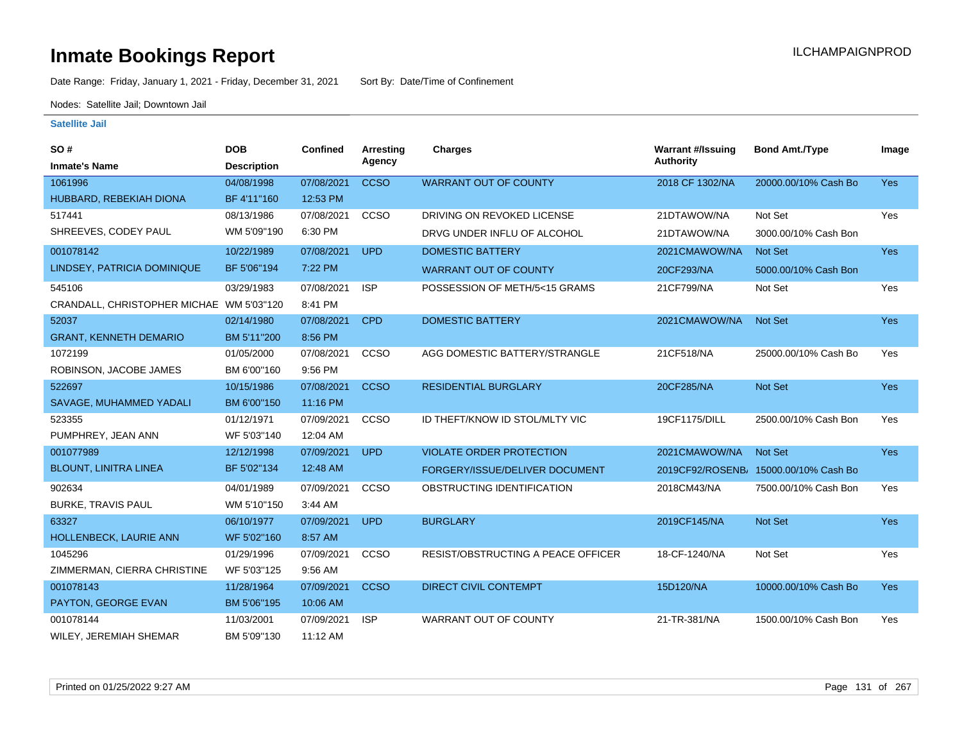Date Range: Friday, January 1, 2021 - Friday, December 31, 2021 Sort By: Date/Time of Confinement

Nodes: Satellite Jail; Downtown Jail

| <b>SO#</b>                    | <b>DOB</b>         | <b>Confined</b> | Arresting   | <b>Charges</b>                            | <b>Warrant #/Issuing</b> | <b>Bond Amt./Type</b>                 | Image      |
|-------------------------------|--------------------|-----------------|-------------|-------------------------------------------|--------------------------|---------------------------------------|------------|
| <b>Inmate's Name</b>          | <b>Description</b> |                 | Agency      |                                           | <b>Authority</b>         |                                       |            |
| 1061996                       | 04/08/1998         | 07/08/2021      | <b>CCSO</b> | <b>WARRANT OUT OF COUNTY</b>              | 2018 CF 1302/NA          | 20000.00/10% Cash Bo                  | <b>Yes</b> |
| HUBBARD, REBEKIAH DIONA       | BF 4'11"160        | 12:53 PM        |             |                                           |                          |                                       |            |
| 517441                        | 08/13/1986         | 07/08/2021      | CCSO        | DRIVING ON REVOKED LICENSE                | 21DTAWOW/NA              | Not Set                               | Yes        |
| SHREEVES, CODEY PAUL          | WM 5'09"190        | 6:30 PM         |             | DRVG UNDER INFLU OF ALCOHOL               | 21DTAWOW/NA              | 3000.00/10% Cash Bon                  |            |
| 001078142                     | 10/22/1989         | 07/08/2021      | <b>UPD</b>  | <b>DOMESTIC BATTERY</b>                   | 2021CMAWOW/NA            | Not Set                               | Yes        |
| LINDSEY, PATRICIA DOMINIQUE   | BF 5'06"194        | 7:22 PM         |             | <b>WARRANT OUT OF COUNTY</b>              | 20CF293/NA               | 5000.00/10% Cash Bon                  |            |
| 545106                        | 03/29/1983         | 07/08/2021      | <b>ISP</b>  | POSSESSION OF METH/5<15 GRAMS             | 21CF799/NA               | Not Set                               | Yes        |
| CRANDALL, CHRISTOPHER MICHAE  | WM 5'03"120        | 8:41 PM         |             |                                           |                          |                                       |            |
| 52037                         | 02/14/1980         | 07/08/2021      | <b>CPD</b>  | <b>DOMESTIC BATTERY</b>                   | 2021CMAWOW/NA            | <b>Not Set</b>                        | Yes        |
| <b>GRANT, KENNETH DEMARIO</b> | BM 5'11"200        | 8:56 PM         |             |                                           |                          |                                       |            |
| 1072199                       | 01/05/2000         | 07/08/2021      | CCSO        | AGG DOMESTIC BATTERY/STRANGLE             | 21CF518/NA               | 25000.00/10% Cash Bo                  | Yes        |
| ROBINSON, JACOBE JAMES        | BM 6'00"160        | 9:56 PM         |             |                                           |                          |                                       |            |
| 522697                        | 10/15/1986         | 07/08/2021      | <b>CCSO</b> | <b>RESIDENTIAL BURGLARY</b>               | 20CF285/NA               | Not Set                               | <b>Yes</b> |
| SAVAGE, MUHAMMED YADALI       | BM 6'00"150        | 11:16 PM        |             |                                           |                          |                                       |            |
| 523355                        | 01/12/1971         | 07/09/2021      | CCSO        | ID THEFT/KNOW ID STOL/MLTY VIC            | 19CF1175/DILL            | 2500.00/10% Cash Bon                  | Yes        |
| PUMPHREY, JEAN ANN            | WF 5'03"140        | 12:04 AM        |             |                                           |                          |                                       |            |
| 001077989                     | 12/12/1998         | 07/09/2021      | <b>UPD</b>  | <b>VIOLATE ORDER PROTECTION</b>           | 2021CMAWOW/NA            | Not Set                               | <b>Yes</b> |
| <b>BLOUNT, LINITRA LINEA</b>  | BF 5'02"134        | 12:48 AM        |             | FORGERY/ISSUE/DELIVER DOCUMENT            |                          | 2019CF92/ROSENB/ 15000.00/10% Cash Bo |            |
| 902634                        | 04/01/1989         | 07/09/2021      | CCSO        | OBSTRUCTING IDENTIFICATION                | 2018CM43/NA              | 7500.00/10% Cash Bon                  | Yes        |
| BURKE, TRAVIS PAUL            | WM 5'10"150        | 3:44 AM         |             |                                           |                          |                                       |            |
| 63327                         | 06/10/1977         | 07/09/2021      | <b>UPD</b>  | <b>BURGLARY</b>                           | 2019CF145/NA             | Not Set                               | Yes        |
| HOLLENBECK, LAURIE ANN        | WF 5'02"160        | 8:57 AM         |             |                                           |                          |                                       |            |
| 1045296                       | 01/29/1996         | 07/09/2021      | CCSO        | <b>RESIST/OBSTRUCTING A PEACE OFFICER</b> | 18-CF-1240/NA            | Not Set                               | Yes        |
| ZIMMERMAN, CIERRA CHRISTINE   | WF 5'03"125        | 9:56 AM         |             |                                           |                          |                                       |            |
| 001078143                     | 11/28/1964         | 07/09/2021      | <b>CCSO</b> | <b>DIRECT CIVIL CONTEMPT</b>              | 15D120/NA                | 10000.00/10% Cash Bo                  | <b>Yes</b> |
| PAYTON, GEORGE EVAN           | BM 5'06"195        | 10:06 AM        |             |                                           |                          |                                       |            |
| 001078144                     | 11/03/2001         | 07/09/2021      | <b>ISP</b>  | <b>WARRANT OUT OF COUNTY</b>              | 21-TR-381/NA             | 1500.00/10% Cash Bon                  | Yes        |
| WILEY, JEREMIAH SHEMAR        | BM 5'09"130        | 11:12 AM        |             |                                           |                          |                                       |            |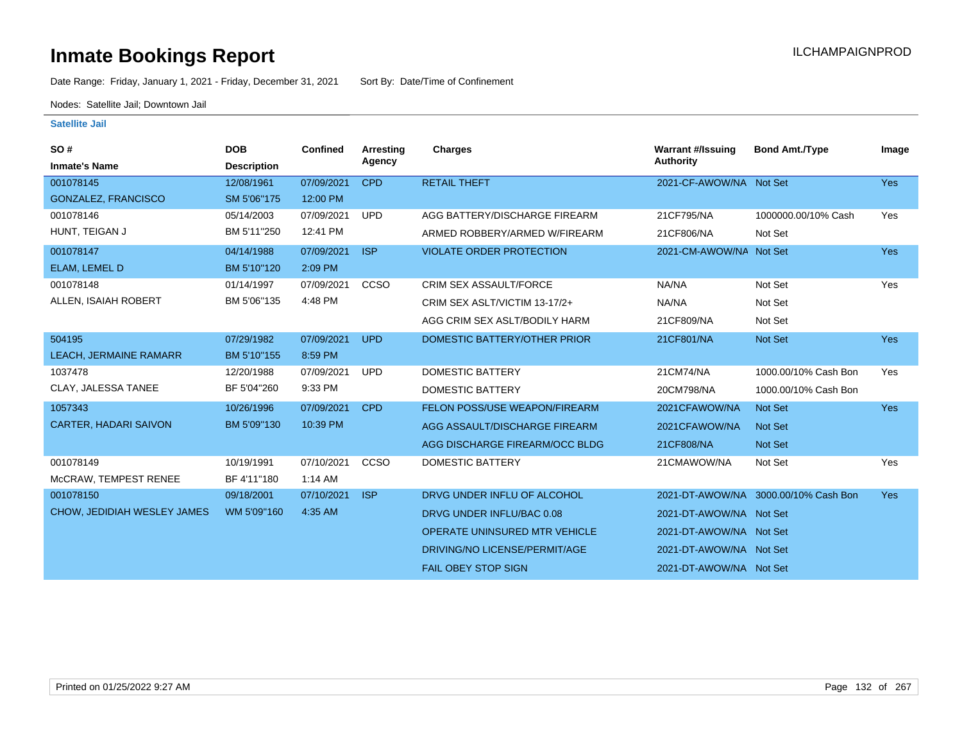Date Range: Friday, January 1, 2021 - Friday, December 31, 2021 Sort By: Date/Time of Confinement

Nodes: Satellite Jail; Downtown Jail

| SO#                           | <b>DOB</b>         | <b>Confined</b> | Arresting   | Charges                              | <b>Warrant #/Issuing</b> | <b>Bond Amt./Type</b>                | Image      |
|-------------------------------|--------------------|-----------------|-------------|--------------------------------------|--------------------------|--------------------------------------|------------|
| <b>Inmate's Name</b>          | <b>Description</b> |                 | Agency      |                                      | <b>Authority</b>         |                                      |            |
| 001078145                     | 12/08/1961         | 07/09/2021      | <b>CPD</b>  | <b>RETAIL THEFT</b>                  | 2021-CF-AWOW/NA Not Set  |                                      | <b>Yes</b> |
| GONZALEZ, FRANCISCO           | SM 5'06"175        | 12:00 PM        |             |                                      |                          |                                      |            |
| 001078146                     | 05/14/2003         | 07/09/2021      | <b>UPD</b>  | AGG BATTERY/DISCHARGE FIREARM        | 21CF795/NA               | 1000000.00/10% Cash                  | Yes        |
| HUNT, TEIGAN J                | BM 5'11"250        | 12:41 PM        |             | ARMED ROBBERY/ARMED W/FIREARM        | 21CF806/NA               | Not Set                              |            |
| 001078147                     | 04/14/1988         | 07/09/2021      | <b>ISP</b>  | <b>VIOLATE ORDER PROTECTION</b>      | 2021-CM-AWOW/NA Not Set  |                                      | <b>Yes</b> |
| ELAM, LEMEL D                 | BM 5'10"120        | 2:09 PM         |             |                                      |                          |                                      |            |
| 001078148                     | 01/14/1997         | 07/09/2021      | <b>CCSO</b> | <b>CRIM SEX ASSAULT/FORCE</b>        | NA/NA                    | Not Set                              | Yes        |
| ALLEN, ISAIAH ROBERT          | BM 5'06"135        | 4:48 PM         |             | CRIM SEX ASLT/VICTIM 13-17/2+        | NA/NA                    | Not Set                              |            |
|                               |                    |                 |             | AGG CRIM SEX ASLT/BODILY HARM        | 21CF809/NA               | Not Set                              |            |
| 504195                        | 07/29/1982         | 07/09/2021      | <b>UPD</b>  | DOMESTIC BATTERY/OTHER PRIOR         | 21CF801/NA               | <b>Not Set</b>                       | <b>Yes</b> |
| <b>LEACH, JERMAINE RAMARR</b> | BM 5'10"155        | 8:59 PM         |             |                                      |                          |                                      |            |
| 1037478                       | 12/20/1988         | 07/09/2021      | <b>UPD</b>  | <b>DOMESTIC BATTERY</b>              | 21CM74/NA                | 1000.00/10% Cash Bon                 | Yes        |
| CLAY, JALESSA TANEE           | BF 5'04"260        | 9:33 PM         |             | DOMESTIC BATTERY                     | 20CM798/NA               | 1000.00/10% Cash Bon                 |            |
| 1057343                       | 10/26/1996         | 07/09/2021      | <b>CPD</b>  | FELON POSS/USE WEAPON/FIREARM        | 2021CFAWOW/NA            | <b>Not Set</b>                       | <b>Yes</b> |
| <b>CARTER, HADARI SAIVON</b>  | BM 5'09"130        | 10:39 PM        |             | AGG ASSAULT/DISCHARGE FIREARM        | 2021CFAWOW/NA            | <b>Not Set</b>                       |            |
|                               |                    |                 |             | AGG DISCHARGE FIREARM/OCC BLDG       | 21CF808/NA               | <b>Not Set</b>                       |            |
| 001078149                     | 10/19/1991         | 07/10/2021      | CCSO        | <b>DOMESTIC BATTERY</b>              | 21CMAWOW/NA              | Not Set                              | Yes        |
| McCRAW, TEMPEST RENEE         | BF 4'11"180        | $1:14$ AM       |             |                                      |                          |                                      |            |
| 001078150                     | 09/18/2001         | 07/10/2021      | <b>ISP</b>  | DRVG UNDER INFLU OF ALCOHOL          |                          | 2021-DT-AWOW/NA 3000.00/10% Cash Bon | <b>Yes</b> |
| CHOW, JEDIDIAH WESLEY JAMES   | WM 5'09"160        | 4:35 AM         |             | DRVG UNDER INFLU/BAC 0.08            | 2021-DT-AWOW/NA Not Set  |                                      |            |
|                               |                    |                 |             | <b>OPERATE UNINSURED MTR VEHICLE</b> | 2021-DT-AWOW/NA Not Set  |                                      |            |
|                               |                    |                 |             | DRIVING/NO LICENSE/PERMIT/AGE        | 2021-DT-AWOW/NA Not Set  |                                      |            |
|                               |                    |                 |             | <b>FAIL OBEY STOP SIGN</b>           | 2021-DT-AWOW/NA Not Set  |                                      |            |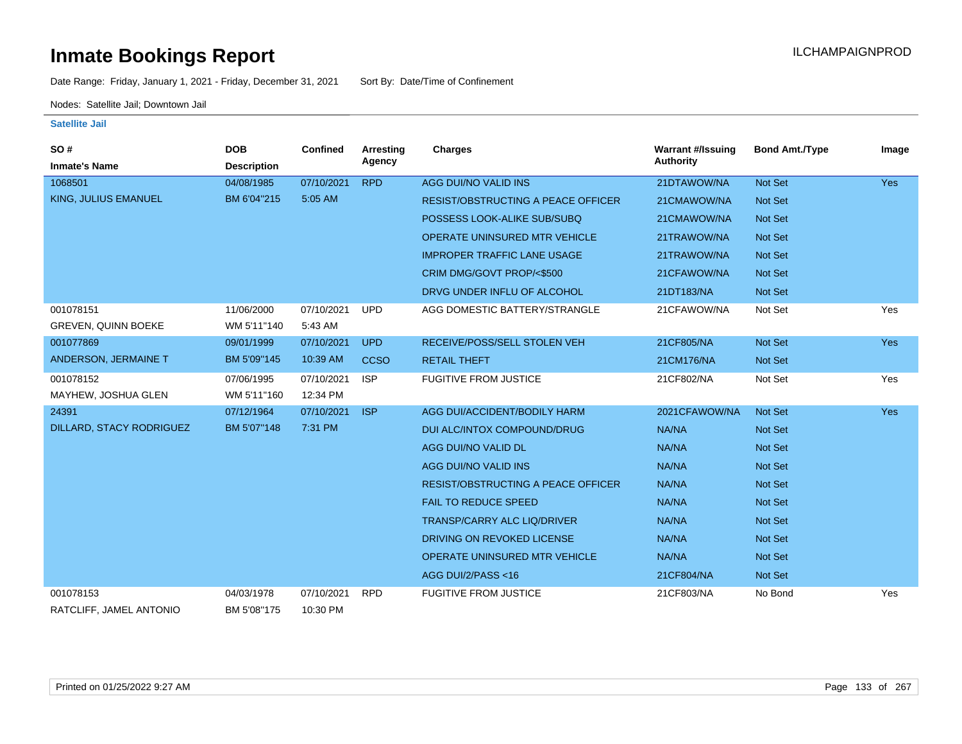Date Range: Friday, January 1, 2021 - Friday, December 31, 2021 Sort By: Date/Time of Confinement

Nodes: Satellite Jail; Downtown Jail

| SO#<br><b>Inmate's Name</b> | <b>DOB</b><br><b>Description</b> | Confined   | Arresting<br>Agency | <b>Charges</b>                            | <b>Warrant #/Issuing</b><br>Authority | <b>Bond Amt./Type</b> | Image      |
|-----------------------------|----------------------------------|------------|---------------------|-------------------------------------------|---------------------------------------|-----------------------|------------|
| 1068501                     | 04/08/1985                       | 07/10/2021 | <b>RPD</b>          | AGG DUI/NO VALID INS                      | 21DTAWOW/NA                           | Not Set               | <b>Yes</b> |
| KING, JULIUS EMANUEL        | BM 6'04"215                      | 5:05 AM    |                     | <b>RESIST/OBSTRUCTING A PEACE OFFICER</b> | 21CMAWOW/NA                           | <b>Not Set</b>        |            |
|                             |                                  |            |                     | POSSESS LOOK-ALIKE SUB/SUBQ               | 21CMAWOW/NA                           | <b>Not Set</b>        |            |
|                             |                                  |            |                     | OPERATE UNINSURED MTR VEHICLE             | 21TRAWOW/NA                           | <b>Not Set</b>        |            |
|                             |                                  |            |                     | <b>IMPROPER TRAFFIC LANE USAGE</b>        | 21TRAWOW/NA                           | <b>Not Set</b>        |            |
|                             |                                  |            |                     | CRIM DMG/GOVT PROP/<\$500                 | 21CFAWOW/NA                           | Not Set               |            |
|                             |                                  |            |                     | DRVG UNDER INFLU OF ALCOHOL               | 21DT183/NA                            | <b>Not Set</b>        |            |
| 001078151                   | 11/06/2000                       | 07/10/2021 | <b>UPD</b>          | AGG DOMESTIC BATTERY/STRANGLE             | 21CFAWOW/NA                           | Not Set               | Yes        |
| <b>GREVEN, QUINN BOEKE</b>  | WM 5'11"140                      | 5:43 AM    |                     |                                           |                                       |                       |            |
| 001077869                   | 09/01/1999                       | 07/10/2021 | <b>UPD</b>          | RECEIVE/POSS/SELL STOLEN VEH              | 21CF805/NA                            | <b>Not Set</b>        | <b>Yes</b> |
| ANDERSON, JERMAINE T        | BM 5'09"145                      | 10:39 AM   | <b>CCSO</b>         | <b>RETAIL THEFT</b>                       | 21CM176/NA                            | Not Set               |            |
| 001078152                   | 07/06/1995                       | 07/10/2021 | <b>ISP</b>          | <b>FUGITIVE FROM JUSTICE</b>              | 21CF802/NA                            | Not Set               | Yes        |
| MAYHEW, JOSHUA GLEN         | WM 5'11"160                      | 12:34 PM   |                     |                                           |                                       |                       |            |
| 24391                       | 07/12/1964                       | 07/10/2021 | <b>ISP</b>          | AGG DUI/ACCIDENT/BODILY HARM              | 2021CFAWOW/NA                         | <b>Not Set</b>        | <b>Yes</b> |
| DILLARD, STACY RODRIGUEZ    | BM 5'07"148                      | 7:31 PM    |                     | DUI ALC/INTOX COMPOUND/DRUG               | NA/NA                                 | Not Set               |            |
|                             |                                  |            |                     | AGG DUI/NO VALID DL                       | NA/NA                                 | Not Set               |            |
|                             |                                  |            |                     | AGG DUI/NO VALID INS                      | NA/NA                                 | <b>Not Set</b>        |            |
|                             |                                  |            |                     | RESIST/OBSTRUCTING A PEACE OFFICER        | NA/NA                                 | Not Set               |            |
|                             |                                  |            |                     | <b>FAIL TO REDUCE SPEED</b>               | NA/NA                                 | Not Set               |            |
|                             |                                  |            |                     | TRANSP/CARRY ALC LIQ/DRIVER               | NA/NA                                 | Not Set               |            |
|                             |                                  |            |                     | DRIVING ON REVOKED LICENSE                | NA/NA                                 | Not Set               |            |
|                             |                                  |            |                     | <b>OPERATE UNINSURED MTR VEHICLE</b>      | NA/NA                                 | Not Set               |            |
|                             |                                  |            |                     | AGG DUI/2/PASS <16                        | 21CF804/NA                            | Not Set               |            |
| 001078153                   | 04/03/1978                       | 07/10/2021 | <b>RPD</b>          | <b>FUGITIVE FROM JUSTICE</b>              | 21CF803/NA                            | No Bond               | Yes        |
| RATCLIFF, JAMEL ANTONIO     | BM 5'08"175                      | 10:30 PM   |                     |                                           |                                       |                       |            |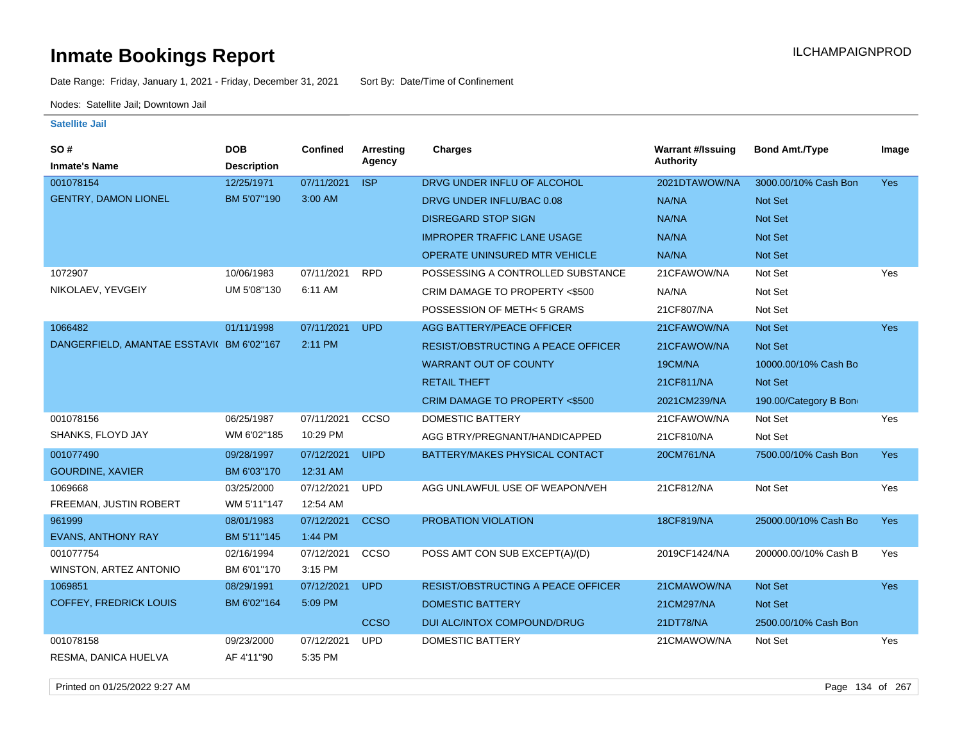Date Range: Friday, January 1, 2021 - Friday, December 31, 2021 Sort By: Date/Time of Confinement

Nodes: Satellite Jail; Downtown Jail

#### **Satellite Jail**

| SO#                                       | <b>DOB</b>         | <b>Confined</b> | Arresting   | <b>Charges</b>                            | <b>Warrant #/Issuing</b> | <b>Bond Amt./Type</b> | Image      |
|-------------------------------------------|--------------------|-----------------|-------------|-------------------------------------------|--------------------------|-----------------------|------------|
| <b>Inmate's Name</b>                      | <b>Description</b> |                 | Agency      |                                           | <b>Authority</b>         |                       |            |
| 001078154                                 | 12/25/1971         | 07/11/2021      | <b>ISP</b>  | DRVG UNDER INFLU OF ALCOHOL               | 2021DTAWOW/NA            | 3000.00/10% Cash Bon  | <b>Yes</b> |
| <b>GENTRY, DAMON LIONEL</b>               | BM 5'07"190        | 3:00 AM         |             | DRVG UNDER INFLU/BAC 0.08                 | NA/NA                    | Not Set               |            |
|                                           |                    |                 |             | <b>DISREGARD STOP SIGN</b>                | NA/NA                    | Not Set               |            |
|                                           |                    |                 |             | <b>IMPROPER TRAFFIC LANE USAGE</b>        | NA/NA                    | Not Set               |            |
|                                           |                    |                 |             | <b>OPERATE UNINSURED MTR VEHICLE</b>      | NA/NA                    | Not Set               |            |
| 1072907                                   | 10/06/1983         | 07/11/2021      | <b>RPD</b>  | POSSESSING A CONTROLLED SUBSTANCE         | 21CFAWOW/NA              | Not Set               | Yes        |
| NIKOLAEV, YEVGEIY                         | UM 5'08"130        | 6:11 AM         |             | CRIM DAMAGE TO PROPERTY <\$500            | NA/NA                    | Not Set               |            |
|                                           |                    |                 |             | POSSESSION OF METH< 5 GRAMS               | 21CF807/NA               | Not Set               |            |
| 1066482                                   | 01/11/1998         | 07/11/2021      | <b>UPD</b>  | <b>AGG BATTERY/PEACE OFFICER</b>          | 21CFAWOW/NA              | Not Set               | Yes        |
| DANGERFIELD, AMANTAE ESSTAVI( BM 6'02"167 |                    | 2:11 PM         |             | <b>RESIST/OBSTRUCTING A PEACE OFFICER</b> | 21CFAWOW/NA              | Not Set               |            |
|                                           |                    |                 |             | <b>WARRANT OUT OF COUNTY</b>              | 19CM/NA                  | 10000.00/10% Cash Bo  |            |
|                                           |                    |                 |             | <b>RETAIL THEFT</b>                       | 21CF811/NA               | Not Set               |            |
|                                           |                    |                 |             | CRIM DAMAGE TO PROPERTY <\$500            | 2021CM239/NA             | 190.00/Category B Bon |            |
| 001078156                                 | 06/25/1987         | 07/11/2021      | CCSO        | <b>DOMESTIC BATTERY</b>                   | 21CFAWOW/NA              | Not Set               | Yes        |
| SHANKS, FLOYD JAY                         | WM 6'02"185        | 10:29 PM        |             | AGG BTRY/PREGNANT/HANDICAPPED             | 21CF810/NA               | Not Set               |            |
| 001077490                                 | 09/28/1997         | 07/12/2021      | <b>UIPD</b> | BATTERY/MAKES PHYSICAL CONTACT            | 20CM761/NA               | 7500.00/10% Cash Bon  | Yes        |
| <b>GOURDINE, XAVIER</b>                   | BM 6'03"170        | 12:31 AM        |             |                                           |                          |                       |            |
| 1069668                                   | 03/25/2000         | 07/12/2021      | <b>UPD</b>  | AGG UNLAWFUL USE OF WEAPON/VEH            | 21CF812/NA               | Not Set               | Yes        |
| FREEMAN, JUSTIN ROBERT                    | WM 5'11"147        | 12:54 AM        |             |                                           |                          |                       |            |
| 961999                                    | 08/01/1983         | 07/12/2021      | <b>CCSO</b> | PROBATION VIOLATION                       | 18CF819/NA               | 25000.00/10% Cash Bo  | <b>Yes</b> |
| <b>EVANS, ANTHONY RAY</b>                 | BM 5'11"145        | 1:44 PM         |             |                                           |                          |                       |            |
| 001077754                                 | 02/16/1994         | 07/12/2021      | CCSO        | POSS AMT CON SUB EXCEPT(A)/(D)            | 2019CF1424/NA            | 200000.00/10% Cash B  | Yes        |
| WINSTON, ARTEZ ANTONIO                    | BM 6'01"170        | 3:15 PM         |             |                                           |                          |                       |            |
| 1069851                                   | 08/29/1991         | 07/12/2021      | <b>UPD</b>  | <b>RESIST/OBSTRUCTING A PEACE OFFICER</b> | 21CMAWOW/NA              | Not Set               | <b>Yes</b> |
| <b>COFFEY, FREDRICK LOUIS</b>             | BM 6'02"164        | 5:09 PM         |             | <b>DOMESTIC BATTERY</b>                   | 21CM297/NA               | Not Set               |            |
|                                           |                    |                 | <b>CCSO</b> | DUI ALC/INTOX COMPOUND/DRUG               | 21DT78/NA                | 2500.00/10% Cash Bon  |            |
| 001078158                                 | 09/23/2000         | 07/12/2021      | <b>UPD</b>  | <b>DOMESTIC BATTERY</b>                   | 21CMAWOW/NA              | Not Set               | Yes        |
| RESMA, DANICA HUELVA                      | AF 4'11"90         | 5:35 PM         |             |                                           |                          |                       |            |

Printed on 01/25/2022 9:27 AM Page 134 of 267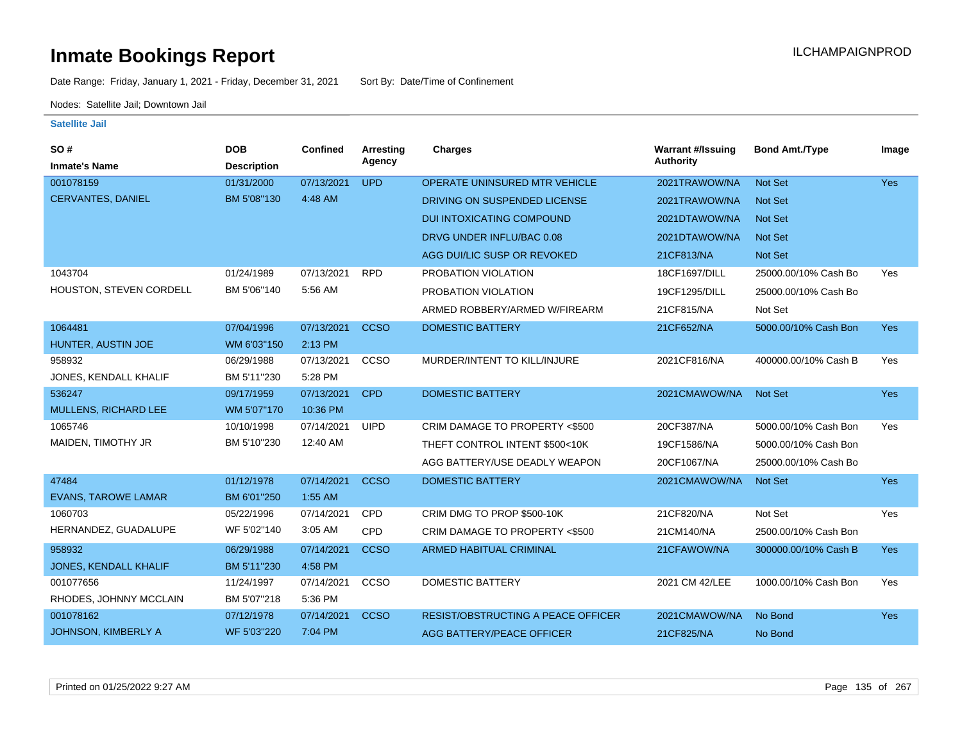Date Range: Friday, January 1, 2021 - Friday, December 31, 2021 Sort By: Date/Time of Confinement

Nodes: Satellite Jail; Downtown Jail

| SO#                          | <b>DOB</b>         | <b>Confined</b> | <b>Arresting</b> | <b>Charges</b>                            | <b>Warrant #/Issuing</b> | <b>Bond Amt./Type</b> | Image      |
|------------------------------|--------------------|-----------------|------------------|-------------------------------------------|--------------------------|-----------------------|------------|
| <b>Inmate's Name</b>         | <b>Description</b> |                 | Agency           |                                           | <b>Authority</b>         |                       |            |
| 001078159                    | 01/31/2000         | 07/13/2021      | <b>UPD</b>       | OPERATE UNINSURED MTR VEHICLE             | 2021TRAWOW/NA            | <b>Not Set</b>        | <b>Yes</b> |
| CERVANTES, DANIEL            | BM 5'08"130        | 4:48 AM         |                  | DRIVING ON SUSPENDED LICENSE              | 2021TRAWOW/NA            | <b>Not Set</b>        |            |
|                              |                    |                 |                  | <b>DUI INTOXICATING COMPOUND</b>          | 2021DTAWOW/NA            | <b>Not Set</b>        |            |
|                              |                    |                 |                  | DRVG UNDER INFLU/BAC 0.08                 | 2021DTAWOW/NA            | <b>Not Set</b>        |            |
|                              |                    |                 |                  | AGG DUI/LIC SUSP OR REVOKED               | 21CF813/NA               | <b>Not Set</b>        |            |
| 1043704                      | 01/24/1989         | 07/13/2021      | <b>RPD</b>       | PROBATION VIOLATION                       | 18CF1697/DILL            | 25000.00/10% Cash Bo  | <b>Yes</b> |
| HOUSTON, STEVEN CORDELL      | BM 5'06"140        | 5:56 AM         |                  | PROBATION VIOLATION                       | 19CF1295/DILL            | 25000.00/10% Cash Bo  |            |
|                              |                    |                 |                  | ARMED ROBBERY/ARMED W/FIREARM             | 21CF815/NA               | Not Set               |            |
| 1064481                      | 07/04/1996         | 07/13/2021      | <b>CCSO</b>      | <b>DOMESTIC BATTERY</b>                   | 21CF652/NA               | 5000.00/10% Cash Bon  | <b>Yes</b> |
| HUNTER, AUSTIN JOE           | WM 6'03"150        | 2:13 PM         |                  |                                           |                          |                       |            |
| 958932                       | 06/29/1988         | 07/13/2021      | CCSO             | MURDER/INTENT TO KILL/INJURE              | 2021CF816/NA             | 400000.00/10% Cash B  | Yes        |
| JONES, KENDALL KHALIF        | BM 5'11"230        | 5:28 PM         |                  |                                           |                          |                       |            |
| 536247                       | 09/17/1959         | 07/13/2021      | <b>CPD</b>       | <b>DOMESTIC BATTERY</b>                   | 2021CMAWOW/NA            | <b>Not Set</b>        | Yes        |
| MULLENS, RICHARD LEE         | WM 5'07"170        | 10:36 PM        |                  |                                           |                          |                       |            |
| 1065746                      | 10/10/1998         | 07/14/2021      | <b>UIPD</b>      | CRIM DAMAGE TO PROPERTY <\$500            | 20CF387/NA               | 5000.00/10% Cash Bon  | Yes        |
| MAIDEN, TIMOTHY JR           | BM 5'10"230        | 12:40 AM        |                  | THEFT CONTROL INTENT \$500<10K            | 19CF1586/NA              | 5000.00/10% Cash Bon  |            |
|                              |                    |                 |                  | AGG BATTERY/USE DEADLY WEAPON             | 20CF1067/NA              | 25000.00/10% Cash Bo  |            |
| 47484                        | 01/12/1978         | 07/14/2021      | <b>CCSO</b>      | <b>DOMESTIC BATTERY</b>                   | 2021CMAWOW/NA            | <b>Not Set</b>        | <b>Yes</b> |
| <b>EVANS, TAROWE LAMAR</b>   | BM 6'01"250        | 1:55 AM         |                  |                                           |                          |                       |            |
| 1060703                      | 05/22/1996         | 07/14/2021      | <b>CPD</b>       | CRIM DMG TO PROP \$500-10K                | 21CF820/NA               | Not Set               | Yes        |
| HERNANDEZ, GUADALUPE         | WF 5'02"140        | 3:05 AM         | CPD              | CRIM DAMAGE TO PROPERTY <\$500            | 21CM140/NA               | 2500.00/10% Cash Bon  |            |
| 958932                       | 06/29/1988         | 07/14/2021      | <b>CCSO</b>      | <b>ARMED HABITUAL CRIMINAL</b>            | 21CFAWOW/NA              | 300000.00/10% Cash B  | <b>Yes</b> |
| <b>JONES, KENDALL KHALIF</b> | BM 5'11"230        | 4:58 PM         |                  |                                           |                          |                       |            |
| 001077656                    | 11/24/1997         | 07/14/2021      | CCSO             | DOMESTIC BATTERY                          | 2021 CM 42/LEE           | 1000.00/10% Cash Bon  | Yes        |
| RHODES, JOHNNY MCCLAIN       | BM 5'07"218        | 5:36 PM         |                  |                                           |                          |                       |            |
| 001078162                    | 07/12/1978         | 07/14/2021      | <b>CCSO</b>      | <b>RESIST/OBSTRUCTING A PEACE OFFICER</b> | 2021CMAWOW/NA            | No Bond               | <b>Yes</b> |
| JOHNSON, KIMBERLY A          | WF 5'03"220        | 7:04 PM         |                  | AGG BATTERY/PEACE OFFICER                 | 21CF825/NA               | No Bond               |            |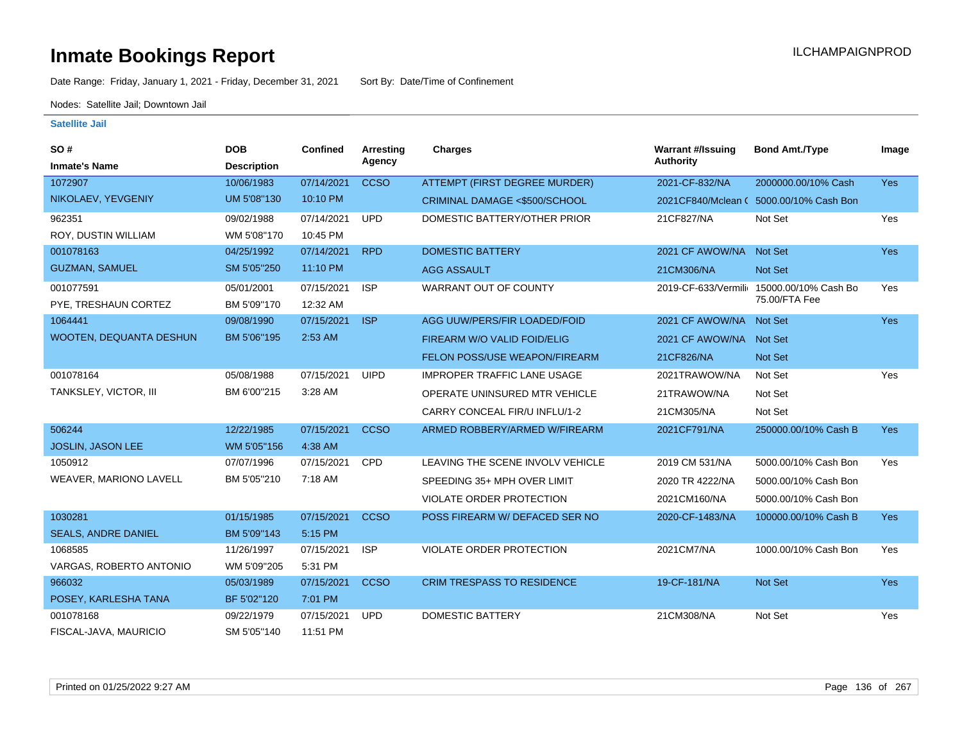Date Range: Friday, January 1, 2021 - Friday, December 31, 2021 Sort By: Date/Time of Confinement

Nodes: Satellite Jail; Downtown Jail

| SO#                            | <b>DOB</b>         | Confined   | Arresting   | <b>Charges</b>                          | <b>Warrant #/Issuing</b> | <b>Bond Amt./Type</b>                   | Image      |
|--------------------------------|--------------------|------------|-------------|-----------------------------------------|--------------------------|-----------------------------------------|------------|
| <b>Inmate's Name</b>           | <b>Description</b> |            | Agency      |                                         | <b>Authority</b>         |                                         |            |
| 1072907                        | 10/06/1983         | 07/14/2021 | <b>CCSO</b> | <b>ATTEMPT (FIRST DEGREE MURDER)</b>    | 2021-CF-832/NA           | 2000000.00/10% Cash                     | <b>Yes</b> |
| NIKOLAEV, YEVGENIY             | UM 5'08"130        | 10:10 PM   |             | <b>CRIMINAL DAMAGE &lt;\$500/SCHOOL</b> |                          | 2021 CF840/Mclean (5000.00/10% Cash Bon |            |
| 962351                         | 09/02/1988         | 07/14/2021 | <b>UPD</b>  | DOMESTIC BATTERY/OTHER PRIOR            | 21CF827/NA               | Not Set                                 | Yes        |
| ROY, DUSTIN WILLIAM            | WM 5'08"170        | 10:45 PM   |             |                                         |                          |                                         |            |
| 001078163                      | 04/25/1992         | 07/14/2021 | <b>RPD</b>  | <b>DOMESTIC BATTERY</b>                 | 2021 CF AWOW/NA          | <b>Not Set</b>                          | Yes        |
| <b>GUZMAN, SAMUEL</b>          | SM 5'05"250        | 11:10 PM   |             | <b>AGG ASSAULT</b>                      | 21CM306/NA               | <b>Not Set</b>                          |            |
| 001077591                      | 05/01/2001         | 07/15/2021 | <b>ISP</b>  | WARRANT OUT OF COUNTY                   | 2019-CF-633/Vermilio     | 15000.00/10% Cash Bo                    | Yes        |
| PYE, TRESHAUN CORTEZ           | BM 5'09"170        | 12:32 AM   |             |                                         |                          | 75.00/FTA Fee                           |            |
| 1064441                        | 09/08/1990         | 07/15/2021 | <b>ISP</b>  | AGG UUW/PERS/FIR LOADED/FOID            | 2021 CF AWOW/NA Not Set  |                                         | <b>Yes</b> |
| <b>WOOTEN, DEQUANTA DESHUN</b> | BM 5'06"195        | 2:53 AM    |             | FIREARM W/O VALID FOID/ELIG             | 2021 CF AWOW/NA Not Set  |                                         |            |
|                                |                    |            |             | FELON POSS/USE WEAPON/FIREARM           | 21CF826/NA               | <b>Not Set</b>                          |            |
| 001078164                      | 05/08/1988         | 07/15/2021 | <b>UIPD</b> | <b>IMPROPER TRAFFIC LANE USAGE</b>      | 2021TRAWOW/NA            | Not Set                                 | Yes        |
| TANKSLEY, VICTOR, III          | BM 6'00"215        | 3:28 AM    |             | OPERATE UNINSURED MTR VEHICLE           | 21TRAWOW/NA              | Not Set                                 |            |
|                                |                    |            |             | CARRY CONCEAL FIR/U INFLU/1-2           | 21CM305/NA               | Not Set                                 |            |
| 506244                         | 12/22/1985         | 07/15/2021 | <b>CCSO</b> | ARMED ROBBERY/ARMED W/FIREARM           | 2021CF791/NA             | 250000.00/10% Cash B                    | <b>Yes</b> |
| <b>JOSLIN, JASON LEE</b>       | WM 5'05"156        | 4:38 AM    |             |                                         |                          |                                         |            |
| 1050912                        | 07/07/1996         | 07/15/2021 | <b>CPD</b>  | LEAVING THE SCENE INVOLV VEHICLE        | 2019 CM 531/NA           | 5000.00/10% Cash Bon                    | Yes        |
| <b>WEAVER, MARIONO LAVELL</b>  | BM 5'05"210        | 7:18 AM    |             | SPEEDING 35+ MPH OVER LIMIT             | 2020 TR 4222/NA          | 5000.00/10% Cash Bon                    |            |
|                                |                    |            |             | VIOLATE ORDER PROTECTION                | 2021CM160/NA             | 5000.00/10% Cash Bon                    |            |
| 1030281                        | 01/15/1985         | 07/15/2021 | <b>CCSO</b> | POSS FIREARM W/ DEFACED SER NO          | 2020-CF-1483/NA          | 100000.00/10% Cash B                    | <b>Yes</b> |
| <b>SEALS, ANDRE DANIEL</b>     | BM 5'09"143        | 5:15 PM    |             |                                         |                          |                                         |            |
| 1068585                        | 11/26/1997         | 07/15/2021 | <b>ISP</b>  | VIOLATE ORDER PROTECTION                | 2021CM7/NA               | 1000.00/10% Cash Bon                    | Yes        |
| VARGAS, ROBERTO ANTONIO        | WM 5'09"205        | 5:31 PM    |             |                                         |                          |                                         |            |
| 966032                         | 05/03/1989         | 07/15/2021 | <b>CCSO</b> | <b>CRIM TRESPASS TO RESIDENCE</b>       | 19-CF-181/NA             | <b>Not Set</b>                          | Yes        |
| POSEY, KARLESHA TANA           | BF 5'02"120        | 7:01 PM    |             |                                         |                          |                                         |            |
| 001078168                      | 09/22/1979         | 07/15/2021 | <b>UPD</b>  | <b>DOMESTIC BATTERY</b>                 | 21CM308/NA               | Not Set                                 | Yes        |
| FISCAL-JAVA, MAURICIO          | SM 5'05"140        | 11:51 PM   |             |                                         |                          |                                         |            |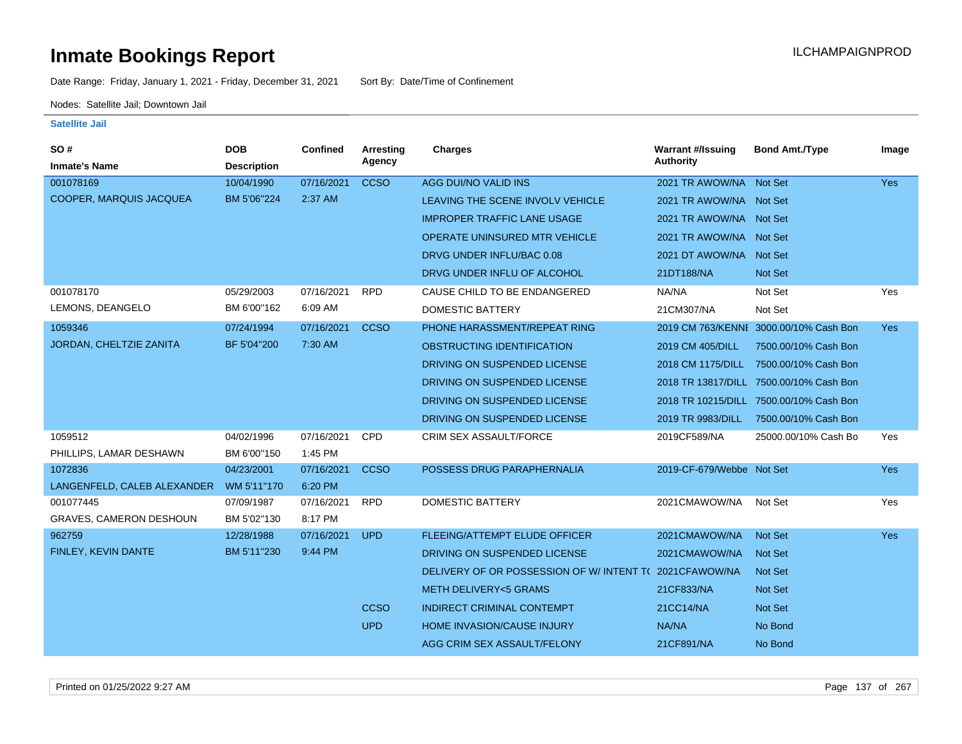Date Range: Friday, January 1, 2021 - Friday, December 31, 2021 Sort By: Date/Time of Confinement

Nodes: Satellite Jail; Downtown Jail

| <b>SO#</b><br><b>Inmate's Name</b> | <b>DOB</b><br><b>Description</b> | Confined   | Arresting<br>Agency | <b>Charges</b>                           | <b>Warrant #/Issuing</b><br><b>Authority</b> | <b>Bond Amt./Type</b>                   | Image      |
|------------------------------------|----------------------------------|------------|---------------------|------------------------------------------|----------------------------------------------|-----------------------------------------|------------|
| 001078169                          | 10/04/1990                       | 07/16/2021 | <b>CCSO</b>         | AGG DUI/NO VALID INS                     | 2021 TR AWOW/NA Not Set                      |                                         | <b>Yes</b> |
| <b>COOPER, MARQUIS JACQUEA</b>     | BM 5'06"224                      | 2:37 AM    |                     | LEAVING THE SCENE INVOLV VEHICLE         | 2021 TR AWOW/NA Not Set                      |                                         |            |
|                                    |                                  |            |                     | <b>IMPROPER TRAFFIC LANE USAGE</b>       | 2021 TR AWOW/NA Not Set                      |                                         |            |
|                                    |                                  |            |                     | <b>OPERATE UNINSURED MTR VEHICLE</b>     | 2021 TR AWOW/NA Not Set                      |                                         |            |
|                                    |                                  |            |                     | DRVG UNDER INFLU/BAC 0.08                | 2021 DT AWOW/NA Not Set                      |                                         |            |
|                                    |                                  |            |                     | DRVG UNDER INFLU OF ALCOHOL              | 21DT188/NA                                   | <b>Not Set</b>                          |            |
| 001078170                          | 05/29/2003                       | 07/16/2021 | <b>RPD</b>          | CAUSE CHILD TO BE ENDANGERED             | NA/NA                                        | Not Set                                 | Yes        |
| LEMONS, DEANGELO                   | BM 6'00"162                      | 6:09 AM    |                     | <b>DOMESTIC BATTERY</b>                  | 21CM307/NA                                   | Not Set                                 |            |
| 1059346                            | 07/24/1994                       | 07/16/2021 | <b>CCSO</b>         | PHONE HARASSMENT/REPEAT RING             |                                              | 2019 CM 763/KENNI 3000.00/10% Cash Bon  | <b>Yes</b> |
| JORDAN, CHELTZIE ZANITA            | BF 5'04"200                      | 7:30 AM    |                     | OBSTRUCTING IDENTIFICATION               | 2019 CM 405/DILL                             | 7500.00/10% Cash Bon                    |            |
|                                    |                                  |            |                     | DRIVING ON SUSPENDED LICENSE             | 2018 CM 1175/DILL                            | 7500.00/10% Cash Bon                    |            |
|                                    |                                  |            |                     | DRIVING ON SUSPENDED LICENSE             |                                              | 2018 TR 13817/DILL 7500.00/10% Cash Bon |            |
|                                    |                                  |            |                     | DRIVING ON SUSPENDED LICENSE             |                                              | 2018 TR 10215/DILL 7500.00/10% Cash Bon |            |
|                                    |                                  |            |                     | DRIVING ON SUSPENDED LICENSE             | 2019 TR 9983/DILL                            | 7500.00/10% Cash Bon                    |            |
| 1059512                            | 04/02/1996                       | 07/16/2021 | <b>CPD</b>          | CRIM SEX ASSAULT/FORCE                   | 2019CF589/NA                                 | 25000.00/10% Cash Bo                    | Yes        |
| PHILLIPS, LAMAR DESHAWN            | BM 6'00"150                      | 1:45 PM    |                     |                                          |                                              |                                         |            |
| 1072836                            | 04/23/2001                       | 07/16/2021 | <b>CCSO</b>         | POSSESS DRUG PARAPHERNALIA               | 2019-CF-679/Webbe Not Set                    |                                         | <b>Yes</b> |
| LANGENFELD, CALEB ALEXANDER        | WM 5'11"170                      | 6:20 PM    |                     |                                          |                                              |                                         |            |
| 001077445                          | 07/09/1987                       | 07/16/2021 | <b>RPD</b>          | <b>DOMESTIC BATTERY</b>                  | 2021CMAWOW/NA                                | Not Set                                 | Yes        |
| <b>GRAVES, CAMERON DESHOUN</b>     | BM 5'02"130                      | 8:17 PM    |                     |                                          |                                              |                                         |            |
| 962759                             | 12/28/1988                       | 07/16/2021 | <b>UPD</b>          | <b>FLEEING/ATTEMPT ELUDE OFFICER</b>     | 2021CMAWOW/NA                                | <b>Not Set</b>                          | <b>Yes</b> |
| FINLEY, KEVIN DANTE                | BM 5'11"230                      | 9:44 PM    |                     | DRIVING ON SUSPENDED LICENSE             | 2021CMAWOW/NA                                | <b>Not Set</b>                          |            |
|                                    |                                  |            |                     | DELIVERY OF OR POSSESSION OF W/INTENT TO | 2021CFAWOW/NA                                | Not Set                                 |            |
|                                    |                                  |            |                     | <b>METH DELIVERY&lt;5 GRAMS</b>          | 21CF833/NA                                   | Not Set                                 |            |
|                                    |                                  |            | <b>CCSO</b>         | <b>INDIRECT CRIMINAL CONTEMPT</b>        | 21CC14/NA                                    | Not Set                                 |            |
|                                    |                                  |            | <b>UPD</b>          | HOME INVASION/CAUSE INJURY               | NA/NA                                        | No Bond                                 |            |
|                                    |                                  |            |                     | AGG CRIM SEX ASSAULT/FELONY              | 21CF891/NA                                   | No Bond                                 |            |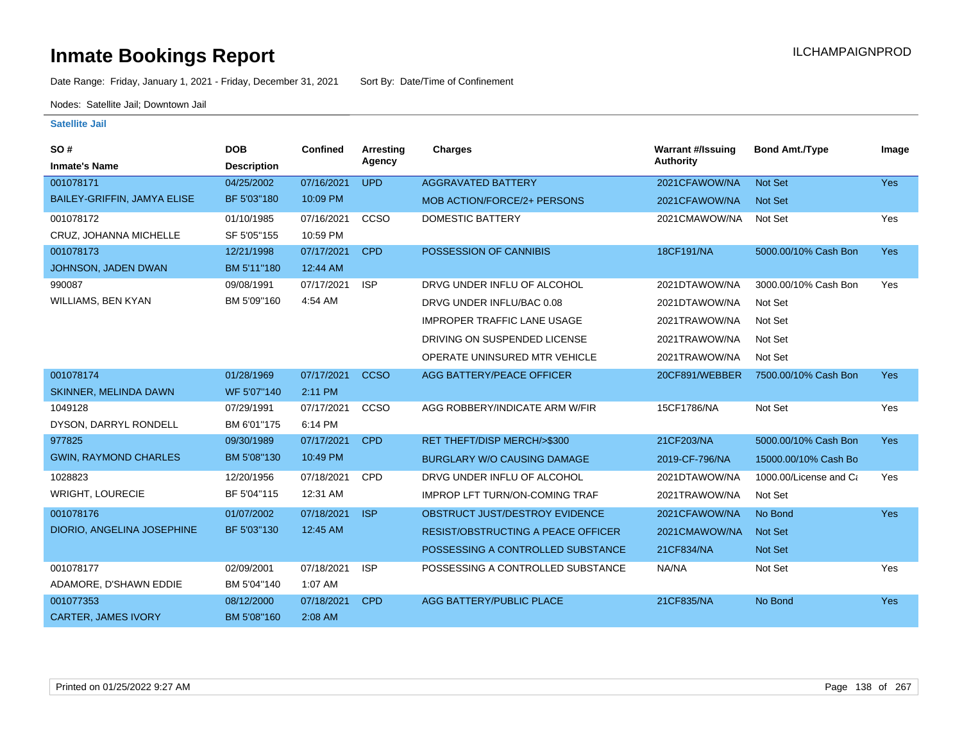Date Range: Friday, January 1, 2021 - Friday, December 31, 2021 Sort By: Date/Time of Confinement

Nodes: Satellite Jail; Downtown Jail

| <b>SO#</b><br><b>Inmate's Name</b> | <b>DOB</b><br><b>Description</b> | <b>Confined</b> | <b>Arresting</b><br>Agency | Charges                                   | <b>Warrant #/Issuing</b><br>Authority | <b>Bond Amt./Type</b>  | Image      |
|------------------------------------|----------------------------------|-----------------|----------------------------|-------------------------------------------|---------------------------------------|------------------------|------------|
| 001078171                          | 04/25/2002                       | 07/16/2021      | <b>UPD</b>                 | <b>AGGRAVATED BATTERY</b>                 | 2021CFAWOW/NA                         | Not Set                | Yes        |
| <b>BAILEY-GRIFFIN, JAMYA ELISE</b> | BF 5'03"180                      | 10:09 PM        |                            | MOB ACTION/FORCE/2+ PERSONS               | 2021CFAWOW/NA                         | <b>Not Set</b>         |            |
| 001078172                          | 01/10/1985                       | 07/16/2021      | CCSO                       | <b>DOMESTIC BATTERY</b>                   | 2021CMAWOW/NA                         | Not Set                | Yes        |
| CRUZ, JOHANNA MICHELLE             | SF 5'05"155                      | 10:59 PM        |                            |                                           |                                       |                        |            |
| 001078173                          | 12/21/1998                       | 07/17/2021      | <b>CPD</b>                 | POSSESSION OF CANNIBIS                    | 18CF191/NA                            | 5000.00/10% Cash Bon   | <b>Yes</b> |
| JOHNSON, JADEN DWAN                | BM 5'11"180                      | 12:44 AM        |                            |                                           |                                       |                        |            |
| 990087                             | 09/08/1991                       | 07/17/2021      | <b>ISP</b>                 | DRVG UNDER INFLU OF ALCOHOL               | 2021DTAWOW/NA                         | 3000.00/10% Cash Bon   | Yes        |
| WILLIAMS, BEN KYAN                 | BM 5'09"160                      | 4:54 AM         |                            | DRVG UNDER INFLU/BAC 0.08                 | 2021DTAWOW/NA                         | Not Set                |            |
|                                    |                                  |                 |                            | <b>IMPROPER TRAFFIC LANE USAGE</b>        | 2021TRAWOW/NA                         | Not Set                |            |
|                                    |                                  |                 |                            | DRIVING ON SUSPENDED LICENSE              | 2021TRAWOW/NA                         | Not Set                |            |
|                                    |                                  |                 |                            | OPERATE UNINSURED MTR VEHICLE             | 2021TRAWOW/NA                         | Not Set                |            |
| 001078174                          | 01/28/1969                       | 07/17/2021      | <b>CCSO</b>                | AGG BATTERY/PEACE OFFICER                 | 20CF891/WEBBER                        | 7500.00/10% Cash Bon   | <b>Yes</b> |
| <b>SKINNER, MELINDA DAWN</b>       | WF 5'07"140                      | 2:11 PM         |                            |                                           |                                       |                        |            |
| 1049128                            | 07/29/1991                       | 07/17/2021      | CCSO                       | AGG ROBBERY/INDICATE ARM W/FIR            | 15CF1786/NA                           | Not Set                | Yes        |
| DYSON, DARRYL RONDELL              | BM 6'01"175                      | 6:14 PM         |                            |                                           |                                       |                        |            |
| 977825                             | 09/30/1989                       | 07/17/2021      | <b>CPD</b>                 | RET THEFT/DISP MERCH/>\$300               | 21CF203/NA                            | 5000.00/10% Cash Bon   | <b>Yes</b> |
| <b>GWIN, RAYMOND CHARLES</b>       | BM 5'08"130                      | 10:49 PM        |                            | <b>BURGLARY W/O CAUSING DAMAGE</b>        | 2019-CF-796/NA                        | 15000.00/10% Cash Bo   |            |
| 1028823                            | 12/20/1956                       | 07/18/2021      | CPD                        | DRVG UNDER INFLU OF ALCOHOL               | 2021DTAWOW/NA                         | 1000.00/License and Ca | Yes        |
| WRIGHT, LOURECIE                   | BF 5'04"115                      | 12:31 AM        |                            | <b>IMPROP LFT TURN/ON-COMING TRAF</b>     | 2021TRAWOW/NA                         | Not Set                |            |
| 001078176                          | 01/07/2002                       | 07/18/2021      | <b>ISP</b>                 | OBSTRUCT JUST/DESTROY EVIDENCE            | 2021CFAWOW/NA                         | No Bond                | Yes        |
| DIORIO, ANGELINA JOSEPHINE         | BF 5'03"130                      | 12:45 AM        |                            | <b>RESIST/OBSTRUCTING A PEACE OFFICER</b> | 2021CMAWOW/NA                         | Not Set                |            |
|                                    |                                  |                 |                            | POSSESSING A CONTROLLED SUBSTANCE         | 21CF834/NA                            | Not Set                |            |
| 001078177                          | 02/09/2001                       | 07/18/2021      | <b>ISP</b>                 | POSSESSING A CONTROLLED SUBSTANCE         | NA/NA                                 | Not Set                | Yes        |
| ADAMORE, D'SHAWN EDDIE             | BM 5'04"140                      | 1:07 AM         |                            |                                           |                                       |                        |            |
| 001077353                          | 08/12/2000                       | 07/18/2021      | <b>CPD</b>                 | <b>AGG BATTERY/PUBLIC PLACE</b>           | 21CF835/NA                            | No Bond                | Yes        |
| <b>CARTER, JAMES IVORY</b>         | BM 5'08"160                      | 2:08 AM         |                            |                                           |                                       |                        |            |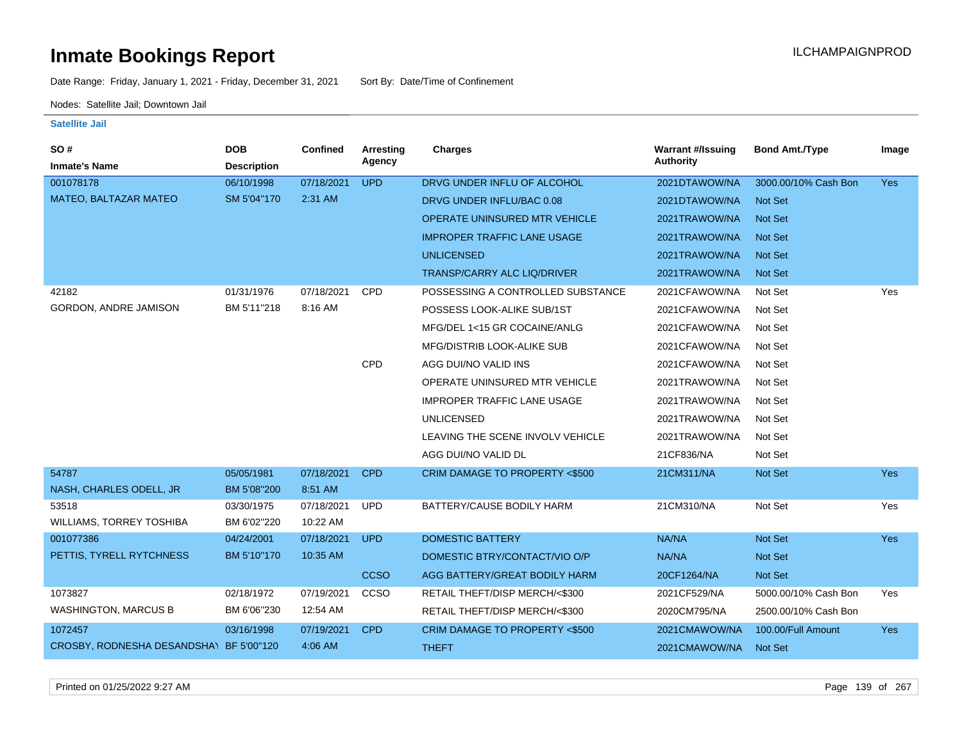Date Range: Friday, January 1, 2021 - Friday, December 31, 2021 Sort By: Date/Time of Confinement

Nodes: Satellite Jail; Downtown Jail

| SO#                                     | <b>DOB</b>         | <b>Confined</b> | Arresting   | <b>Charges</b>                       | <b>Warrant #/Issuing</b> | <b>Bond Amt./Type</b> | Image      |
|-----------------------------------------|--------------------|-----------------|-------------|--------------------------------------|--------------------------|-----------------------|------------|
| <b>Inmate's Name</b>                    | <b>Description</b> |                 | Agency      |                                      | <b>Authority</b>         |                       |            |
| 001078178                               | 06/10/1998         | 07/18/2021      | <b>UPD</b>  | DRVG UNDER INFLU OF ALCOHOL          | 2021DTAWOW/NA            | 3000.00/10% Cash Bon  | <b>Yes</b> |
| MATEO, BALTAZAR MATEO                   | SM 5'04"170        | 2:31 AM         |             | DRVG UNDER INFLU/BAC 0.08            | 2021DTAWOW/NA            | Not Set               |            |
|                                         |                    |                 |             | <b>OPERATE UNINSURED MTR VEHICLE</b> | 2021TRAWOW/NA            | Not Set               |            |
|                                         |                    |                 |             | <b>IMPROPER TRAFFIC LANE USAGE</b>   | 2021TRAWOW/NA            | Not Set               |            |
|                                         |                    |                 |             | <b>UNLICENSED</b>                    | 2021TRAWOW/NA            | <b>Not Set</b>        |            |
|                                         |                    |                 |             | <b>TRANSP/CARRY ALC LIQ/DRIVER</b>   | 2021TRAWOW/NA            | Not Set               |            |
| 42182                                   | 01/31/1976         | 07/18/2021      | <b>CPD</b>  | POSSESSING A CONTROLLED SUBSTANCE    | 2021CFAWOW/NA            | Not Set               | Yes        |
| <b>GORDON, ANDRE JAMISON</b>            | BM 5'11"218        | 8:16 AM         |             | POSSESS LOOK-ALIKE SUB/1ST           | 2021CFAWOW/NA            | Not Set               |            |
|                                         |                    |                 |             | MFG/DEL 1<15 GR COCAINE/ANLG         | 2021CFAWOW/NA            | Not Set               |            |
|                                         |                    |                 |             | MFG/DISTRIB LOOK-ALIKE SUB           | 2021CFAWOW/NA            | Not Set               |            |
|                                         |                    |                 | <b>CPD</b>  | AGG DUI/NO VALID INS                 | 2021CFAWOW/NA            | Not Set               |            |
|                                         |                    |                 |             | OPERATE UNINSURED MTR VEHICLE        | 2021TRAWOW/NA            | Not Set               |            |
|                                         |                    |                 |             | <b>IMPROPER TRAFFIC LANE USAGE</b>   | 2021TRAWOW/NA            | Not Set               |            |
|                                         |                    |                 |             | <b>UNLICENSED</b>                    | 2021TRAWOW/NA            | Not Set               |            |
|                                         |                    |                 |             | LEAVING THE SCENE INVOLV VEHICLE     | 2021TRAWOW/NA            | Not Set               |            |
|                                         |                    |                 |             | AGG DUI/NO VALID DL                  | 21CF836/NA               | Not Set               |            |
| 54787                                   | 05/05/1981         | 07/18/2021      | <b>CPD</b>  | CRIM DAMAGE TO PROPERTY <\$500       | 21CM311/NA               | Not Set               | Yes        |
| NASH, CHARLES ODELL, JR                 | BM 5'08"200        | 8:51 AM         |             |                                      |                          |                       |            |
| 53518                                   | 03/30/1975         | 07/18/2021      | <b>UPD</b>  | BATTERY/CAUSE BODILY HARM            | 21CM310/NA               | Not Set               | Yes        |
| <b>WILLIAMS, TORREY TOSHIBA</b>         | BM 6'02"220        | 10:22 AM        |             |                                      |                          |                       |            |
| 001077386                               | 04/24/2001         | 07/18/2021      | <b>UPD</b>  | <b>DOMESTIC BATTERY</b>              | NA/NA                    | Not Set               | <b>Yes</b> |
| PETTIS, TYRELL RYTCHNESS                | BM 5'10"170        | 10:35 AM        |             | DOMESTIC BTRY/CONTACT/VIO O/P        | NA/NA                    | Not Set               |            |
|                                         |                    |                 | <b>CCSO</b> | AGG BATTERY/GREAT BODILY HARM        | 20CF1264/NA              | Not Set               |            |
| 1073827                                 | 02/18/1972         | 07/19/2021      | CCSO        | RETAIL THEFT/DISP MERCH/<\$300       | 2021CF529/NA             | 5000.00/10% Cash Bon  | Yes        |
| <b>WASHINGTON, MARCUS B</b>             | BM 6'06"230        | 12:54 AM        |             | RETAIL THEFT/DISP MERCH/<\$300       | 2020CM795/NA             | 2500.00/10% Cash Bon  |            |
| 1072457                                 | 03/16/1998         | 07/19/2021      | <b>CPD</b>  | CRIM DAMAGE TO PROPERTY <\$500       | 2021CMAWOW/NA            | 100.00/Full Amount    | <b>Yes</b> |
| CROSBY, RODNESHA DESANDSHA\ BF 5'00"120 |                    | 4:06 AM         |             | <b>THEFT</b>                         | 2021CMAWOW/NA            | Not Set               |            |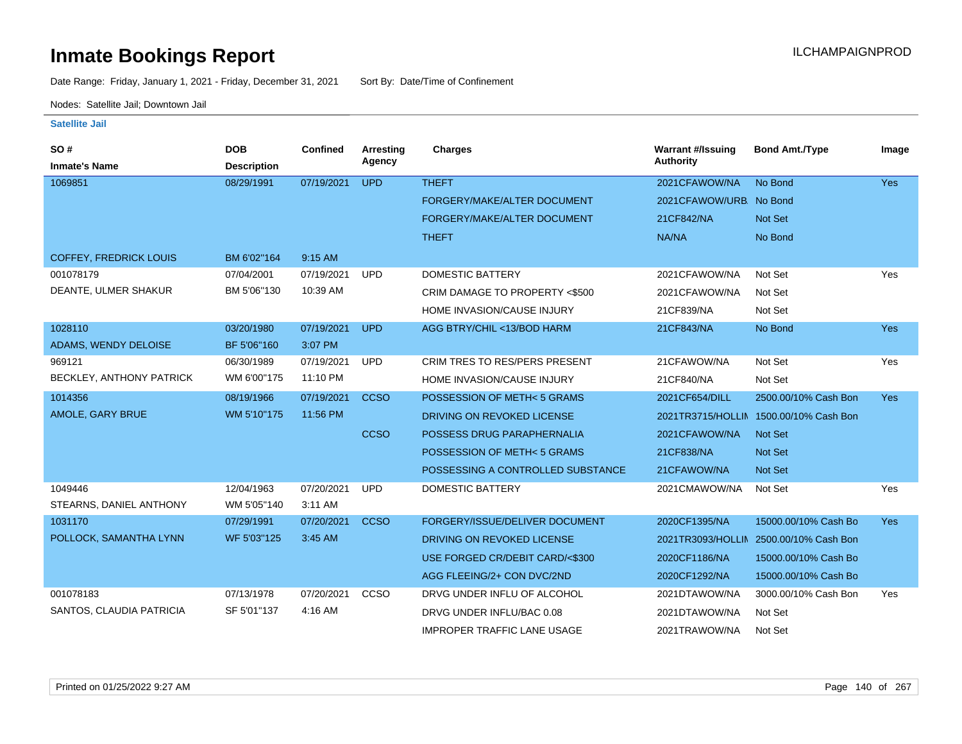Date Range: Friday, January 1, 2021 - Friday, December 31, 2021 Sort By: Date/Time of Confinement

Nodes: Satellite Jail; Downtown Jail

| SO#                           | <b>DOB</b>         | <b>Confined</b> | Arresting<br>Agency | <b>Charges</b>                       | <b>Warrant #/Issuing</b><br><b>Authority</b> | <b>Bond Amt./Type</b>                  | Image      |
|-------------------------------|--------------------|-----------------|---------------------|--------------------------------------|----------------------------------------------|----------------------------------------|------------|
| <b>Inmate's Name</b>          | <b>Description</b> |                 |                     |                                      |                                              |                                        |            |
| 1069851                       | 08/29/1991         | 07/19/2021      | <b>UPD</b>          | <b>THEFT</b>                         | 2021CFAWOW/NA                                | No Bond                                | <b>Yes</b> |
|                               |                    |                 |                     | FORGERY/MAKE/ALTER DOCUMENT          | 2021CFAWOW/URB. No Bond                      |                                        |            |
|                               |                    |                 |                     | FORGERY/MAKE/ALTER DOCUMENT          | 21CF842/NA                                   | Not Set                                |            |
|                               |                    |                 |                     | <b>THEFT</b>                         | NA/NA                                        | No Bond                                |            |
| <b>COFFEY, FREDRICK LOUIS</b> | BM 6'02"164        | 9:15 AM         |                     |                                      |                                              |                                        |            |
| 001078179                     | 07/04/2001         | 07/19/2021      | <b>UPD</b>          | <b>DOMESTIC BATTERY</b>              | 2021CFAWOW/NA                                | Not Set                                | Yes        |
| DEANTE, ULMER SHAKUR          | BM 5'06"130        | 10:39 AM        |                     | CRIM DAMAGE TO PROPERTY <\$500       | 2021CFAWOW/NA                                | Not Set                                |            |
|                               |                    |                 |                     | HOME INVASION/CAUSE INJURY           | 21CF839/NA                                   | Not Set                                |            |
| 1028110                       | 03/20/1980         | 07/19/2021      | <b>UPD</b>          | AGG BTRY/CHIL <13/BOD HARM           | 21CF843/NA                                   | No Bond                                | <b>Yes</b> |
| ADAMS, WENDY DELOISE          | BF 5'06"160        | 3:07 PM         |                     |                                      |                                              |                                        |            |
| 969121                        | 06/30/1989         | 07/19/2021      | <b>UPD</b>          | <b>CRIM TRES TO RES/PERS PRESENT</b> | 21CFAWOW/NA                                  | Not Set                                | Yes        |
| BECKLEY, ANTHONY PATRICK      | WM 6'00"175        | 11:10 PM        |                     | HOME INVASION/CAUSE INJURY           | 21CF840/NA                                   | Not Set                                |            |
| 1014356                       | 08/19/1966         | 07/19/2021      | <b>CCSO</b>         | POSSESSION OF METH<5 GRAMS           | 2021CF654/DILL                               | 2500.00/10% Cash Bon                   | Yes        |
| AMOLE, GARY BRUE              | WM 5'10"175        | 11:56 PM        |                     | DRIVING ON REVOKED LICENSE           |                                              | 2021TR3715/HOLLIN 1500.00/10% Cash Bon |            |
|                               |                    |                 | <b>CCSO</b>         | POSSESS DRUG PARAPHERNALIA           | 2021CFAWOW/NA                                | <b>Not Set</b>                         |            |
|                               |                    |                 |                     | POSSESSION OF METH<5 GRAMS           | 21CF838/NA                                   | <b>Not Set</b>                         |            |
|                               |                    |                 |                     | POSSESSING A CONTROLLED SUBSTANCE    | 21CFAWOW/NA                                  | <b>Not Set</b>                         |            |
| 1049446                       | 12/04/1963         | 07/20/2021      | <b>UPD</b>          | <b>DOMESTIC BATTERY</b>              | 2021CMAWOW/NA                                | Not Set                                | Yes        |
| STEARNS, DANIEL ANTHONY       | WM 5'05"140        | 3:11 AM         |                     |                                      |                                              |                                        |            |
| 1031170                       | 07/29/1991         | 07/20/2021      | <b>CCSO</b>         | FORGERY/ISSUE/DELIVER DOCUMENT       | 2020CF1395/NA                                | 15000.00/10% Cash Bo                   | <b>Yes</b> |
| POLLOCK, SAMANTHA LYNN        | WF 5'03"125        | 3:45 AM         |                     | DRIVING ON REVOKED LICENSE           | 2021TR3093/HOLLIN                            | 2500.00/10% Cash Bon                   |            |
|                               |                    |                 |                     | USE FORGED CR/DEBIT CARD/<\$300      | 2020CF1186/NA                                | 15000.00/10% Cash Bo                   |            |
|                               |                    |                 |                     | AGG FLEEING/2+ CON DVC/2ND           | 2020CF1292/NA                                | 15000.00/10% Cash Bo                   |            |
| 001078183                     | 07/13/1978         | 07/20/2021      | CCSO                | DRVG UNDER INFLU OF ALCOHOL          | 2021DTAWOW/NA                                | 3000.00/10% Cash Bon                   | Yes        |
| SANTOS, CLAUDIA PATRICIA      | SF 5'01"137        | 4:16 AM         |                     | DRVG UNDER INFLU/BAC 0.08            | 2021DTAWOW/NA                                | Not Set                                |            |
|                               |                    |                 |                     | <b>IMPROPER TRAFFIC LANE USAGE</b>   | 2021TRAWOW/NA                                | Not Set                                |            |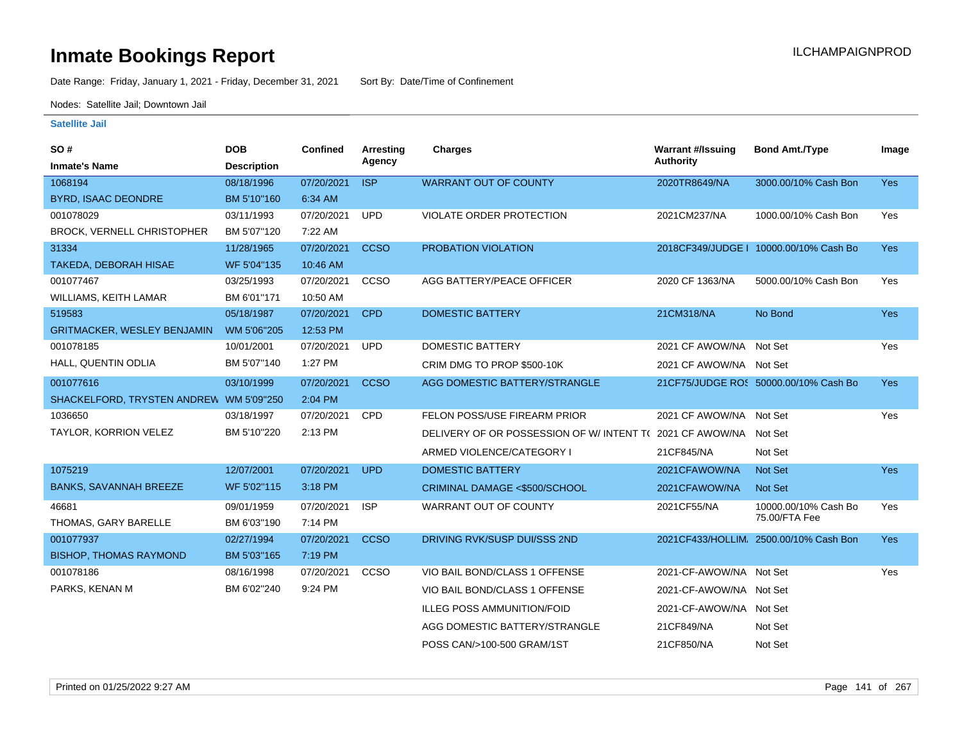Date Range: Friday, January 1, 2021 - Friday, December 31, 2021 Sort By: Date/Time of Confinement

Nodes: Satellite Jail; Downtown Jail

| SO#                                     | <b>DOB</b>         | <b>Confined</b> | Arresting   | <b>Charges</b>                                                  | <b>Warrant #/Issuing</b> | <b>Bond Amt./Type</b>                  | Image      |
|-----------------------------------------|--------------------|-----------------|-------------|-----------------------------------------------------------------|--------------------------|----------------------------------------|------------|
| <b>Inmate's Name</b>                    | <b>Description</b> |                 | Agency      |                                                                 | <b>Authority</b>         |                                        |            |
| 1068194                                 | 08/18/1996         | 07/20/2021      | <b>ISP</b>  | <b>WARRANT OUT OF COUNTY</b>                                    | 2020TR8649/NA            | 3000.00/10% Cash Bon                   | <b>Yes</b> |
| <b>BYRD, ISAAC DEONDRE</b>              | BM 5'10"160        | 6:34 AM         |             |                                                                 |                          |                                        |            |
| 001078029                               | 03/11/1993         | 07/20/2021      | <b>UPD</b>  | VIOLATE ORDER PROTECTION                                        | 2021CM237/NA             | 1000.00/10% Cash Bon                   | Yes        |
| <b>BROCK, VERNELL CHRISTOPHER</b>       | BM 5'07"120        | 7:22 AM         |             |                                                                 |                          |                                        |            |
| 31334                                   | 11/28/1965         | 07/20/2021      | <b>CCSO</b> | PROBATION VIOLATION                                             |                          | 2018CF349/JUDGE   10000.00/10% Cash Bo | <b>Yes</b> |
| TAKEDA, DEBORAH HISAE                   | WF 5'04"135        | 10:46 AM        |             |                                                                 |                          |                                        |            |
| 001077467                               | 03/25/1993         | 07/20/2021      | CCSO        | AGG BATTERY/PEACE OFFICER                                       | 2020 CF 1363/NA          | 5000.00/10% Cash Bon                   | Yes        |
| WILLIAMS, KEITH LAMAR                   | BM 6'01"171        | 10:50 AM        |             |                                                                 |                          |                                        |            |
| 519583                                  | 05/18/1987         | 07/20/2021      | <b>CPD</b>  | <b>DOMESTIC BATTERY</b>                                         | 21CM318/NA               | No Bond                                | <b>Yes</b> |
| <b>GRITMACKER, WESLEY BENJAMIN</b>      | WM 5'06"205        | 12:53 PM        |             |                                                                 |                          |                                        |            |
| 001078185                               | 10/01/2001         | 07/20/2021      | <b>UPD</b>  | <b>DOMESTIC BATTERY</b>                                         | 2021 CF AWOW/NA Not Set  |                                        | Yes        |
| HALL, QUENTIN ODLIA                     | BM 5'07"140        | 1:27 PM         |             | CRIM DMG TO PROP \$500-10K                                      | 2021 CF AWOW/NA Not Set  |                                        |            |
| 001077616                               | 03/10/1999         | 07/20/2021      | <b>CCSO</b> | AGG DOMESTIC BATTERY/STRANGLE                                   |                          | 21CF75/JUDGE ROS 50000.00/10% Cash Bo  | <b>Yes</b> |
| SHACKELFORD, TRYSTEN ANDREW WM 5'09"250 |                    | 2:04 PM         |             |                                                                 |                          |                                        |            |
| 1036650                                 | 03/18/1997         | 07/20/2021      | <b>CPD</b>  | FELON POSS/USE FIREARM PRIOR                                    | 2021 CF AWOW/NA Not Set  |                                        | Yes        |
| TAYLOR, KORRION VELEZ                   | BM 5'10"220        | 2:13 PM         |             | DELIVERY OF OR POSSESSION OF W/INTENT T(2021 CF AWOW/NA Not Set |                          |                                        |            |
|                                         |                    |                 |             | ARMED VIOLENCE/CATEGORY I                                       | 21CF845/NA               | Not Set                                |            |
| 1075219                                 | 12/07/2001         | 07/20/2021      | <b>UPD</b>  | <b>DOMESTIC BATTERY</b>                                         | 2021CFAWOW/NA            | Not Set                                | <b>Yes</b> |
| <b>BANKS, SAVANNAH BREEZE</b>           | WF 5'02"115        | 3:18 PM         |             | CRIMINAL DAMAGE <\$500/SCHOOL                                   | 2021CFAWOW/NA            | <b>Not Set</b>                         |            |
| 46681                                   | 09/01/1959         | 07/20/2021      | <b>ISP</b>  | WARRANT OUT OF COUNTY                                           | 2021CF55/NA              | 10000.00/10% Cash Bo                   | Yes        |
| THOMAS, GARY BARELLE                    | BM 6'03"190        | 7:14 PM         |             |                                                                 |                          | 75.00/FTA Fee                          |            |
| 001077937                               | 02/27/1994         | 07/20/2021      | <b>CCSO</b> | DRIVING RVK/SUSP DUI/SSS 2ND                                    |                          | 2021CF433/HOLLIM. 2500.00/10% Cash Bon | <b>Yes</b> |
| <b>BISHOP, THOMAS RAYMOND</b>           | BM 5'03"165        | 7:19 PM         |             |                                                                 |                          |                                        |            |
| 001078186                               | 08/16/1998         | 07/20/2021      | CCSO        | VIO BAIL BOND/CLASS 1 OFFENSE                                   | 2021-CF-AWOW/NA Not Set  |                                        | Yes        |
| PARKS, KENAN M                          | BM 6'02"240        | 9:24 PM         |             | VIO BAIL BOND/CLASS 1 OFFENSE                                   | 2021-CF-AWOW/NA Not Set  |                                        |            |
|                                         |                    |                 |             | <b>ILLEG POSS AMMUNITION/FOID</b>                               | 2021-CF-AWOW/NA Not Set  |                                        |            |
|                                         |                    |                 |             | AGG DOMESTIC BATTERY/STRANGLE                                   | 21CF849/NA               | Not Set                                |            |
|                                         |                    |                 |             | POSS CAN/>100-500 GRAM/1ST                                      | 21CF850/NA               | Not Set                                |            |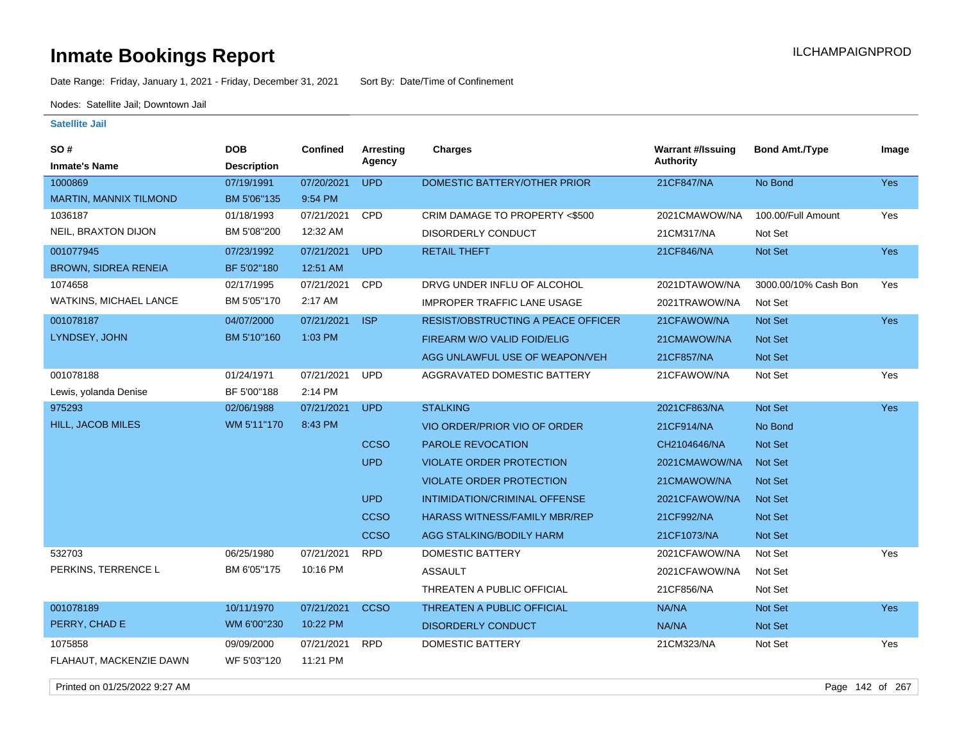Date Range: Friday, January 1, 2021 - Friday, December 31, 2021 Sort By: Date/Time of Confinement

Nodes: Satellite Jail; Downtown Jail

### **Satellite Jail**

| Image                       |
|-----------------------------|
|                             |
| Yes                         |
|                             |
| 100.00/Full Amount<br>Yes   |
|                             |
| <b>Yes</b>                  |
|                             |
| 3000.00/10% Cash Bon<br>Yes |
|                             |
| <b>Yes</b>                  |
|                             |
|                             |
| Yes                         |
|                             |
| Yes                         |
|                             |
|                             |
|                             |
|                             |
|                             |
|                             |
|                             |
| Yes                         |
|                             |
|                             |
| Yes                         |
|                             |
| Yes                         |
|                             |
|                             |

Printed on 01/25/2022 9:27 AM Page 142 of 267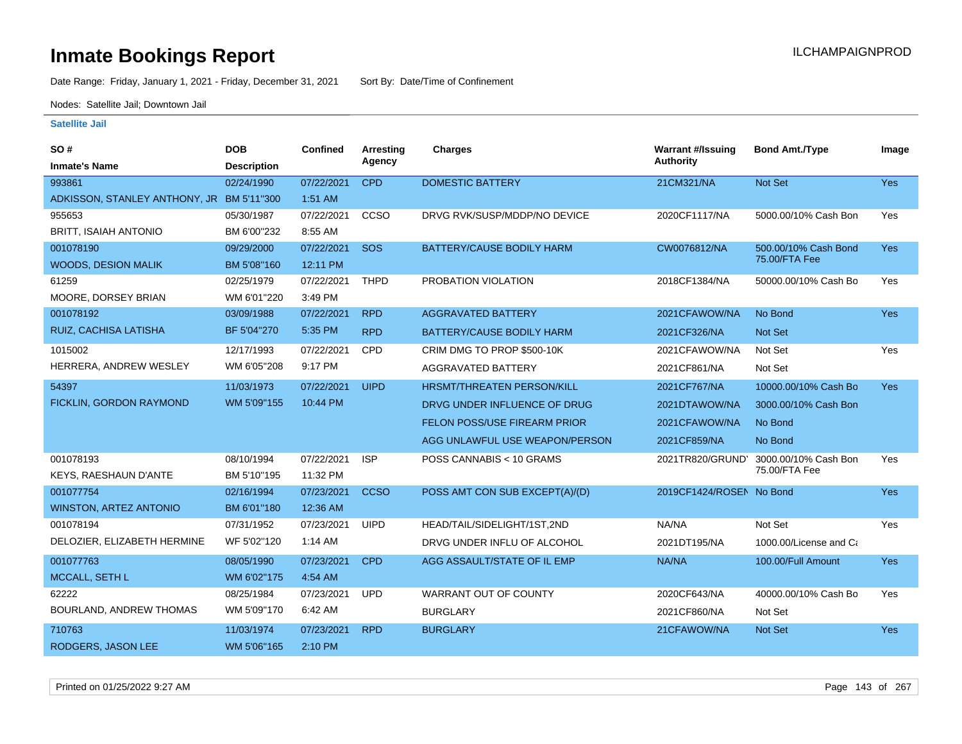Date Range: Friday, January 1, 2021 - Friday, December 31, 2021 Sort By: Date/Time of Confinement

Nodes: Satellite Jail; Downtown Jail

| SO#                                       | <b>DOB</b>         | Confined   | <b>Arresting</b> | <b>Charges</b>                      | <b>Warrant #/Issuing</b> | <b>Bond Amt./Type</b>  | Image      |
|-------------------------------------------|--------------------|------------|------------------|-------------------------------------|--------------------------|------------------------|------------|
| <b>Inmate's Name</b>                      | <b>Description</b> |            | Agency           |                                     | <b>Authority</b>         |                        |            |
| 993861                                    | 02/24/1990         | 07/22/2021 | <b>CPD</b>       | <b>DOMESTIC BATTERY</b>             | 21CM321/NA               | <b>Not Set</b>         | Yes        |
| ADKISSON, STANLEY ANTHONY, JR BM 5'11"300 |                    | $1:51$ AM  |                  |                                     |                          |                        |            |
| 955653                                    | 05/30/1987         | 07/22/2021 | CCSO             | DRVG RVK/SUSP/MDDP/NO DEVICE        | 2020CF1117/NA            | 5000.00/10% Cash Bon   | Yes        |
| <b>BRITT, ISAIAH ANTONIO</b>              | BM 6'00"232        | 8:55 AM    |                  |                                     |                          |                        |            |
| 001078190                                 | 09/29/2000         | 07/22/2021 | SOS              | <b>BATTERY/CAUSE BODILY HARM</b>    | CW0076812/NA             | 500.00/10% Cash Bond   | Yes        |
| <b>WOODS, DESION MALIK</b>                | BM 5'08"160        | 12:11 PM   |                  |                                     |                          | 75.00/FTA Fee          |            |
| 61259                                     | 02/25/1979         | 07/22/2021 | <b>THPD</b>      | PROBATION VIOLATION                 | 2018CF1384/NA            | 50000.00/10% Cash Bo   | Yes        |
| MOORE, DORSEY BRIAN                       | WM 6'01"220        | 3:49 PM    |                  |                                     |                          |                        |            |
| 001078192                                 | 03/09/1988         | 07/22/2021 | <b>RPD</b>       | <b>AGGRAVATED BATTERY</b>           | 2021CFAWOW/NA            | No Bond                | Yes        |
| RUIZ, CACHISA LATISHA                     | BF 5'04"270        | 5:35 PM    | <b>RPD</b>       | BATTERY/CAUSE BODILY HARM           | 2021CF326/NA             | <b>Not Set</b>         |            |
| 1015002                                   | 12/17/1993         | 07/22/2021 | <b>CPD</b>       | CRIM DMG TO PROP \$500-10K          | 2021CFAWOW/NA            | Not Set                | Yes        |
| HERRERA, ANDREW WESLEY                    | WM 6'05"208        | 9:17 PM    |                  | AGGRAVATED BATTERY                  | 2021CF861/NA             | Not Set                |            |
| 54397                                     | 11/03/1973         | 07/22/2021 | <b>UIPD</b>      | <b>HRSMT/THREATEN PERSON/KILL</b>   | 2021CF767/NA             | 10000.00/10% Cash Bo   | Yes        |
| FICKLIN, GORDON RAYMOND                   | WM 5'09"155        | 10:44 PM   |                  | DRVG UNDER INFLUENCE OF DRUG        | 2021DTAWOW/NA            | 3000.00/10% Cash Bon   |            |
|                                           |                    |            |                  | <b>FELON POSS/USE FIREARM PRIOR</b> | 2021CFAWOW/NA            | No Bond                |            |
|                                           |                    |            |                  | AGG UNLAWFUL USE WEAPON/PERSON      | 2021CF859/NA             | No Bond                |            |
| 001078193                                 | 08/10/1994         | 07/22/2021 | <b>ISP</b>       | POSS CANNABIS < 10 GRAMS            | 2021TR820/GRUND'         | 3000.00/10% Cash Bon   | Yes        |
| <b>KEYS, RAESHAUN D'ANTE</b>              | BM 5'10"195        | 11:32 PM   |                  |                                     |                          | 75.00/FTA Fee          |            |
| 001077754                                 | 02/16/1994         | 07/23/2021 | <b>CCSO</b>      | POSS AMT CON SUB EXCEPT(A)/(D)      | 2019CF1424/ROSEN No Bond |                        | <b>Yes</b> |
| WINSTON, ARTEZ ANTONIO                    | BM 6'01"180        | 12:36 AM   |                  |                                     |                          |                        |            |
| 001078194                                 | 07/31/1952         | 07/23/2021 | <b>UIPD</b>      | HEAD/TAIL/SIDELIGHT/1ST,2ND         | NA/NA                    | Not Set                | Yes        |
| DELOZIER, ELIZABETH HERMINE               | WF 5'02"120        | $1:14$ AM  |                  | DRVG UNDER INFLU OF ALCOHOL         | 2021DT195/NA             | 1000.00/License and Ca |            |
| 001077763                                 | 08/05/1990         | 07/23/2021 | <b>CPD</b>       | AGG ASSAULT/STATE OF IL EMP         | NA/NA                    | 100.00/Full Amount     | <b>Yes</b> |
| MCCALL, SETH L                            | WM 6'02"175        | 4:54 AM    |                  |                                     |                          |                        |            |
| 62222                                     | 08/25/1984         | 07/23/2021 | <b>UPD</b>       | WARRANT OUT OF COUNTY               | 2020CF643/NA             | 40000.00/10% Cash Bo   | Yes        |
| BOURLAND, ANDREW THOMAS                   | WM 5'09"170        | 6:42 AM    |                  | <b>BURGLARY</b>                     | 2021CF860/NA             | Not Set                |            |
| 710763                                    | 11/03/1974         | 07/23/2021 | <b>RPD</b>       | <b>BURGLARY</b>                     | 21CFAWOW/NA              | <b>Not Set</b>         | <b>Yes</b> |
| RODGERS, JASON LEE                        | WM 5'06"165        | 2:10 PM    |                  |                                     |                          |                        |            |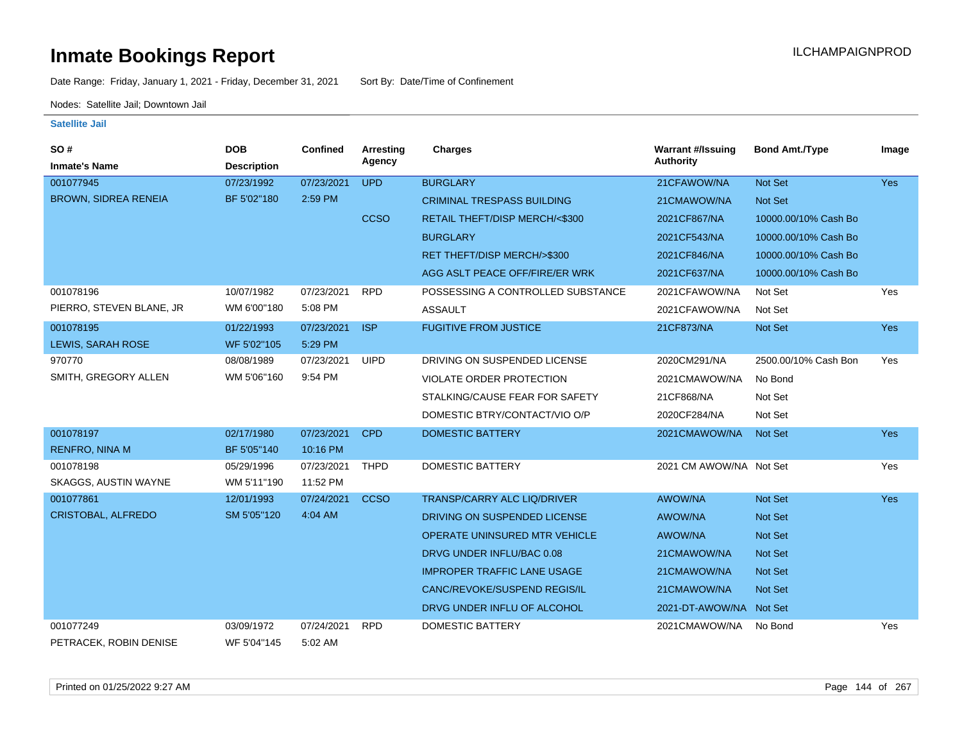Date Range: Friday, January 1, 2021 - Friday, December 31, 2021 Sort By: Date/Time of Confinement

Nodes: Satellite Jail; Downtown Jail

| SO#                         | <b>DOB</b>         | <b>Confined</b> | Arresting   | <b>Charges</b>                       | <b>Warrant #/Issuing</b> | <b>Bond Amt./Type</b> | Image      |
|-----------------------------|--------------------|-----------------|-------------|--------------------------------------|--------------------------|-----------------------|------------|
| <b>Inmate's Name</b>        | <b>Description</b> |                 | Agency      |                                      | <b>Authority</b>         |                       |            |
| 001077945                   | 07/23/1992         | 07/23/2021      | <b>UPD</b>  | <b>BURGLARY</b>                      | 21CFAWOW/NA              | Not Set               | Yes        |
| <b>BROWN, SIDREA RENEIA</b> | BF 5'02"180        | 2:59 PM         |             | <b>CRIMINAL TRESPASS BUILDING</b>    | 21CMAWOW/NA              | <b>Not Set</b>        |            |
|                             |                    |                 | <b>CCSO</b> | RETAIL THEFT/DISP MERCH/<\$300       | 2021CF867/NA             | 10000.00/10% Cash Bo  |            |
|                             |                    |                 |             | <b>BURGLARY</b>                      | 2021CF543/NA             | 10000.00/10% Cash Bo  |            |
|                             |                    |                 |             | RET THEFT/DISP MERCH/>\$300          | 2021CF846/NA             | 10000.00/10% Cash Bo  |            |
|                             |                    |                 |             | AGG ASLT PEACE OFF/FIRE/ER WRK       | 2021CF637/NA             | 10000.00/10% Cash Bo  |            |
| 001078196                   | 10/07/1982         | 07/23/2021      | <b>RPD</b>  | POSSESSING A CONTROLLED SUBSTANCE    | 2021CFAWOW/NA            | Not Set               | Yes        |
| PIERRO, STEVEN BLANE, JR    | WM 6'00"180        | 5:08 PM         |             | <b>ASSAULT</b>                       | 2021CFAWOW/NA            | Not Set               |            |
| 001078195                   | 01/22/1993         | 07/23/2021      | <b>ISP</b>  | <b>FUGITIVE FROM JUSTICE</b>         | 21CF873/NA               | Not Set               | Yes        |
| <b>LEWIS, SARAH ROSE</b>    | WF 5'02"105        | 5:29 PM         |             |                                      |                          |                       |            |
| 970770                      | 08/08/1989         | 07/23/2021      | <b>UIPD</b> | DRIVING ON SUSPENDED LICENSE         | 2020CM291/NA             | 2500.00/10% Cash Bon  | Yes        |
| SMITH, GREGORY ALLEN        | WM 5'06"160        | 9:54 PM         |             | VIOLATE ORDER PROTECTION             | 2021CMAWOW/NA            | No Bond               |            |
|                             |                    |                 |             | STALKING/CAUSE FEAR FOR SAFETY       | 21CF868/NA               | Not Set               |            |
|                             |                    |                 |             | DOMESTIC BTRY/CONTACT/VIO O/P        | 2020CF284/NA             | Not Set               |            |
| 001078197                   | 02/17/1980         | 07/23/2021      | <b>CPD</b>  | <b>DOMESTIC BATTERY</b>              | 2021CMAWOW/NA            | <b>Not Set</b>        | <b>Yes</b> |
| <b>RENFRO, NINA M</b>       | BF 5'05"140        | 10:16 PM        |             |                                      |                          |                       |            |
| 001078198                   | 05/29/1996         | 07/23/2021      | <b>THPD</b> | <b>DOMESTIC BATTERY</b>              | 2021 CM AWOW/NA Not Set  |                       | Yes        |
| SKAGGS, AUSTIN WAYNE        | WM 5'11"190        | 11:52 PM        |             |                                      |                          |                       |            |
| 001077861                   | 12/01/1993         | 07/24/2021      | <b>CCSO</b> | TRANSP/CARRY ALC LIQ/DRIVER          | <b>AWOW/NA</b>           | Not Set               | Yes        |
| <b>CRISTOBAL, ALFREDO</b>   | SM 5'05"120        | 4:04 AM         |             | DRIVING ON SUSPENDED LICENSE         | <b>AWOW/NA</b>           | Not Set               |            |
|                             |                    |                 |             | <b>OPERATE UNINSURED MTR VEHICLE</b> | <b>AWOW/NA</b>           | Not Set               |            |
|                             |                    |                 |             | DRVG UNDER INFLU/BAC 0.08            | 21CMAWOW/NA              | <b>Not Set</b>        |            |
|                             |                    |                 |             | <b>IMPROPER TRAFFIC LANE USAGE</b>   | 21CMAWOW/NA              | <b>Not Set</b>        |            |
|                             |                    |                 |             | CANC/REVOKE/SUSPEND REGIS/IL         | 21CMAWOW/NA              | <b>Not Set</b>        |            |
|                             |                    |                 |             | DRVG UNDER INFLU OF ALCOHOL          | 2021-DT-AWOW/NA Not Set  |                       |            |
| 001077249                   | 03/09/1972         | 07/24/2021      | <b>RPD</b>  | <b>DOMESTIC BATTERY</b>              | 2021CMAWOW/NA            | No Bond               | Yes        |
| PETRACEK, ROBIN DENISE      | WF 5'04"145        | 5:02 AM         |             |                                      |                          |                       |            |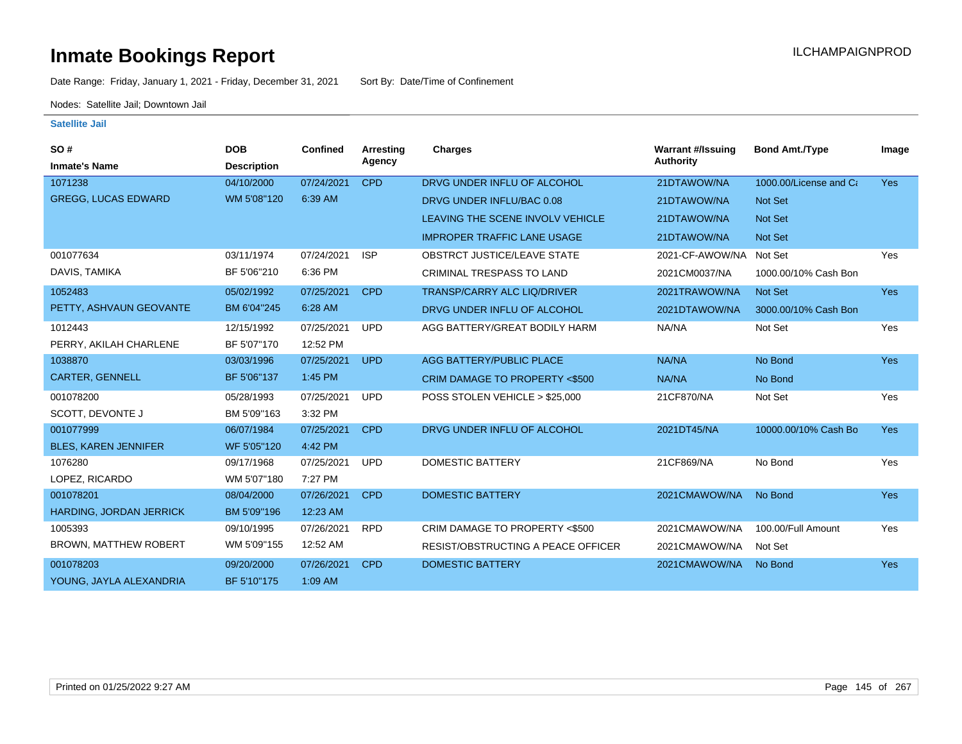Date Range: Friday, January 1, 2021 - Friday, December 31, 2021 Sort By: Date/Time of Confinement

Nodes: Satellite Jail; Downtown Jail

| <b>SO#</b>                   | <b>DOB</b>         | Confined   | Arresting  | <b>Charges</b>                            | <b>Warrant #/Issuing</b> | <b>Bond Amt./Type</b>  | Image      |
|------------------------------|--------------------|------------|------------|-------------------------------------------|--------------------------|------------------------|------------|
| <b>Inmate's Name</b>         | <b>Description</b> |            | Agency     |                                           | <b>Authority</b>         |                        |            |
| 1071238                      | 04/10/2000         | 07/24/2021 | <b>CPD</b> | DRVG UNDER INFLU OF ALCOHOL               | 21DTAWOW/NA              | 1000.00/License and Ca | <b>Yes</b> |
| <b>GREGG, LUCAS EDWARD</b>   | WM 5'08"120        | 6:39 AM    |            | DRVG UNDER INFLU/BAC 0.08                 | 21DTAWOW/NA              | Not Set                |            |
|                              |                    |            |            | LEAVING THE SCENE INVOLV VEHICLE          | 21DTAWOW/NA              | <b>Not Set</b>         |            |
|                              |                    |            |            | <b>IMPROPER TRAFFIC LANE USAGE</b>        | 21DTAWOW/NA              | Not Set                |            |
| 001077634                    | 03/11/1974         | 07/24/2021 | <b>ISP</b> | <b>OBSTRCT JUSTICE/LEAVE STATE</b>        | 2021-CF-AWOW/NA          | Not Set                | Yes        |
| DAVIS, TAMIKA                | BF 5'06"210        | 6:36 PM    |            | <b>CRIMINAL TRESPASS TO LAND</b>          | 2021CM0037/NA            | 1000.00/10% Cash Bon   |            |
| 1052483                      | 05/02/1992         | 07/25/2021 | <b>CPD</b> | <b>TRANSP/CARRY ALC LIQ/DRIVER</b>        | 2021TRAWOW/NA            | Not Set                | <b>Yes</b> |
| PETTY, ASHVAUN GEOVANTE      | BM 6'04"245        | 6:28 AM    |            | DRVG UNDER INFLU OF ALCOHOL               | 2021DTAWOW/NA            | 3000.00/10% Cash Bon   |            |
| 1012443                      | 12/15/1992         | 07/25/2021 | <b>UPD</b> | AGG BATTERY/GREAT BODILY HARM             | NA/NA                    | Not Set                | Yes        |
| PERRY, AKILAH CHARLENE       | BF 5'07"170        | 12:52 PM   |            |                                           |                          |                        |            |
| 1038870                      | 03/03/1996         | 07/25/2021 | <b>UPD</b> | AGG BATTERY/PUBLIC PLACE                  | NA/NA                    | No Bond                | Yes        |
| CARTER, GENNELL              | BF 5'06"137        | 1:45 PM    |            | CRIM DAMAGE TO PROPERTY <\$500            | NA/NA                    | No Bond                |            |
| 001078200                    | 05/28/1993         | 07/25/2021 | <b>UPD</b> | POSS STOLEN VEHICLE > \$25,000            | 21CF870/NA               | Not Set                | Yes        |
| SCOTT, DEVONTE J             | BM 5'09"163        | 3:32 PM    |            |                                           |                          |                        |            |
| 001077999                    | 06/07/1984         | 07/25/2021 | <b>CPD</b> | DRVG UNDER INFLU OF ALCOHOL               | 2021DT45/NA              | 10000.00/10% Cash Bo   | <b>Yes</b> |
| <b>BLES, KAREN JENNIFER</b>  | WF 5'05"120        | 4:42 PM    |            |                                           |                          |                        |            |
| 1076280                      | 09/17/1968         | 07/25/2021 | <b>UPD</b> | <b>DOMESTIC BATTERY</b>                   | 21CF869/NA               | No Bond                | Yes        |
| LOPEZ, RICARDO               | WM 5'07"180        | 7:27 PM    |            |                                           |                          |                        |            |
| 001078201                    | 08/04/2000         | 07/26/2021 | <b>CPD</b> | <b>DOMESTIC BATTERY</b>                   | 2021CMAWOW/NA            | No Bond                | <b>Yes</b> |
| HARDING, JORDAN JERRICK      | BM 5'09"196        | 12:23 AM   |            |                                           |                          |                        |            |
| 1005393                      | 09/10/1995         | 07/26/2021 | <b>RPD</b> | CRIM DAMAGE TO PROPERTY <\$500            | 2021CMAWOW/NA            | 100.00/Full Amount     | Yes        |
| <b>BROWN, MATTHEW ROBERT</b> | WM 5'09"155        | 12:52 AM   |            | <b>RESIST/OBSTRUCTING A PEACE OFFICER</b> | 2021CMAWOW/NA            | Not Set                |            |
| 001078203                    | 09/20/2000         | 07/26/2021 | <b>CPD</b> | <b>DOMESTIC BATTERY</b>                   | 2021CMAWOW/NA            | No Bond                | <b>Yes</b> |
| YOUNG, JAYLA ALEXANDRIA      | BF 5'10"175        | 1:09 AM    |            |                                           |                          |                        |            |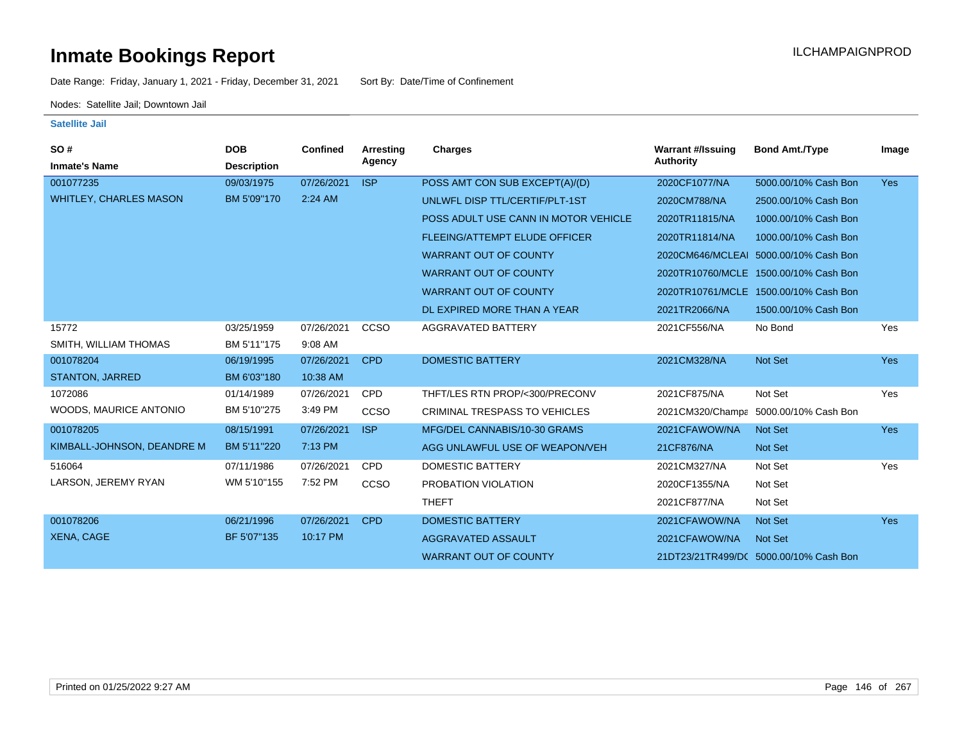Date Range: Friday, January 1, 2021 - Friday, December 31, 2021 Sort By: Date/Time of Confinement

Nodes: Satellite Jail; Downtown Jail

| <b>SO#</b><br><b>Inmate's Name</b> | <b>DOB</b><br><b>Description</b> | <b>Confined</b> | Arresting<br>Agency | Charges                              | <b>Warrant #/Issuing</b><br>Authority | <b>Bond Amt./Type</b>                  | Image      |
|------------------------------------|----------------------------------|-----------------|---------------------|--------------------------------------|---------------------------------------|----------------------------------------|------------|
| 001077235                          | 09/03/1975                       | 07/26/2021      | <b>ISP</b>          | POSS AMT CON SUB EXCEPT(A)/(D)       | 2020CF1077/NA                         | 5000.00/10% Cash Bon                   | <b>Yes</b> |
| <b>WHITLEY, CHARLES MASON</b>      | BM 5'09"170                      | 2:24 AM         |                     | UNLWFL DISP TTL/CERTIF/PLT-1ST       | 2020CM788/NA                          | 2500.00/10% Cash Bon                   |            |
|                                    |                                  |                 |                     | POSS ADULT USE CANN IN MOTOR VEHICLE | 2020TR11815/NA                        | 1000.00/10% Cash Bon                   |            |
|                                    |                                  |                 |                     | <b>FLEEING/ATTEMPT ELUDE OFFICER</b> | 2020TR11814/NA                        | 1000.00/10% Cash Bon                   |            |
|                                    |                                  |                 |                     | <b>WARRANT OUT OF COUNTY</b>         |                                       | 2020CM646/MCLEAI 5000.00/10% Cash Bon  |            |
|                                    |                                  |                 |                     | <b>WARRANT OUT OF COUNTY</b>         |                                       | 2020TR10760/MCLE 1500.00/10% Cash Bon  |            |
|                                    |                                  |                 |                     | <b>WARRANT OUT OF COUNTY</b>         |                                       | 2020TR10761/MCLE 1500.00/10% Cash Bon  |            |
|                                    |                                  |                 |                     | DL EXPIRED MORE THAN A YEAR          | 2021TR2066/NA                         | 1500.00/10% Cash Bon                   |            |
| 15772                              | 03/25/1959                       | 07/26/2021      | CCSO                | <b>AGGRAVATED BATTERY</b>            | 2021CF556/NA                          | No Bond                                | Yes        |
| SMITH, WILLIAM THOMAS              | BM 5'11"175                      | 9:08 AM         |                     |                                      |                                       |                                        |            |
| 001078204                          | 06/19/1995                       | 07/26/2021      | <b>CPD</b>          | <b>DOMESTIC BATTERY</b>              | 2021CM328/NA                          | Not Set                                | <b>Yes</b> |
| <b>STANTON, JARRED</b>             | BM 6'03"180                      | 10:38 AM        |                     |                                      |                                       |                                        |            |
| 1072086                            | 01/14/1989                       | 07/26/2021      | <b>CPD</b>          | THFT/LES RTN PROP/<300/PRECONV       | 2021CF875/NA                          | Not Set                                | Yes        |
| WOODS, MAURICE ANTONIO             | BM 5'10"275                      | 3:49 PM         | CCSO                | <b>CRIMINAL TRESPASS TO VEHICLES</b> |                                       | 2021CM320/Champa 5000.00/10% Cash Bon  |            |
| 001078205                          | 08/15/1991                       | 07/26/2021      | <b>ISP</b>          | MFG/DEL CANNABIS/10-30 GRAMS         | 2021CFAWOW/NA                         | <b>Not Set</b>                         | <b>Yes</b> |
| KIMBALL-JOHNSON, DEANDRE M         | BM 5'11"220                      | 7:13 PM         |                     | AGG UNLAWFUL USE OF WEAPON/VEH       | 21CF876/NA                            | Not Set                                |            |
| 516064                             | 07/11/1986                       | 07/26/2021      | <b>CPD</b>          | DOMESTIC BATTERY                     | 2021CM327/NA                          | Not Set                                | Yes        |
| LARSON, JEREMY RYAN                | WM 5'10"155                      | 7:52 PM         | CCSO                | PROBATION VIOLATION                  | 2020CF1355/NA                         | Not Set                                |            |
|                                    |                                  |                 |                     | <b>THEFT</b>                         | 2021CF877/NA                          | Not Set                                |            |
| 001078206                          | 06/21/1996                       | 07/26/2021      | <b>CPD</b>          | <b>DOMESTIC BATTERY</b>              | 2021CFAWOW/NA                         | Not Set                                | <b>Yes</b> |
| <b>XENA, CAGE</b>                  | BF 5'07"135                      | 10:17 PM        |                     | AGGRAVATED ASSAULT                   | 2021CFAWOW/NA                         | <b>Not Set</b>                         |            |
|                                    |                                  |                 |                     | <b>WARRANT OUT OF COUNTY</b>         |                                       | 21DT23/21TR499/DC 5000.00/10% Cash Bon |            |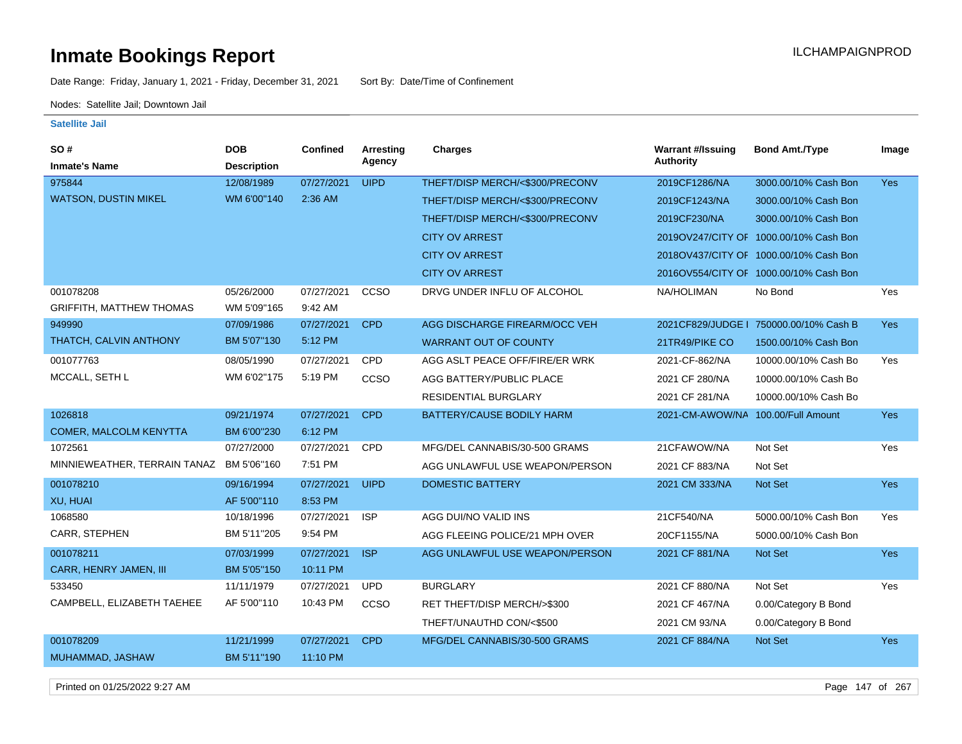Date Range: Friday, January 1, 2021 - Friday, December 31, 2021 Sort By: Date/Time of Confinement

Nodes: Satellite Jail; Downtown Jail

#### **Satellite Jail**

| SO#                             | <b>DOB</b>         | Confined   | Arresting   | <b>Charges</b>                  | <b>Warrant #/Issuing</b>           | <b>Bond Amt./Type</b>                  | Image      |
|---------------------------------|--------------------|------------|-------------|---------------------------------|------------------------------------|----------------------------------------|------------|
| <b>Inmate's Name</b>            | <b>Description</b> |            | Agency      |                                 | <b>Authority</b>                   |                                        |            |
| 975844                          | 12/08/1989         | 07/27/2021 | <b>UIPD</b> | THEFT/DISP MERCH/<\$300/PRECONV | 2019CF1286/NA                      | 3000.00/10% Cash Bon                   | <b>Yes</b> |
| <b>WATSON, DUSTIN MIKEL</b>     | WM 6'00"140        | 2:36 AM    |             | THEFT/DISP MERCH/<\$300/PRECONV | 2019CF1243/NA                      | 3000.00/10% Cash Bon                   |            |
|                                 |                    |            |             | THEFT/DISP MERCH/<\$300/PRECONV | 2019CF230/NA                       | 3000.00/10% Cash Bon                   |            |
|                                 |                    |            |             | <b>CITY OV ARREST</b>           |                                    | 2019OV247/CITY OF 1000.00/10% Cash Bon |            |
|                                 |                    |            |             | <b>CITY OV ARREST</b>           |                                    | 2018OV437/CITY OF 1000.00/10% Cash Bon |            |
|                                 |                    |            |             | <b>CITY OV ARREST</b>           |                                    | 2016OV554/CITY OF 1000.00/10% Cash Bon |            |
| 001078208                       | 05/26/2000         | 07/27/2021 | CCSO        | DRVG UNDER INFLU OF ALCOHOL     | NA/HOLIMAN                         | No Bond                                | Yes        |
| <b>GRIFFITH, MATTHEW THOMAS</b> | WM 5'09"165        | 9:42 AM    |             |                                 |                                    |                                        |            |
| 949990                          | 07/09/1986         | 07/27/2021 | <b>CPD</b>  | AGG DISCHARGE FIREARM/OCC VEH   |                                    | 2021CF829/JUDGE   750000.00/10% Cash B | <b>Yes</b> |
| THATCH, CALVIN ANTHONY          | BM 5'07"130        | 5:12 PM    |             | <b>WARRANT OUT OF COUNTY</b>    | 21TR49/PIKE CO                     | 1500.00/10% Cash Bon                   |            |
| 001077763                       | 08/05/1990         | 07/27/2021 | CPD         | AGG ASLT PEACE OFF/FIRE/ER WRK  | 2021-CF-862/NA                     | 10000.00/10% Cash Bo                   | Yes        |
| MCCALL, SETH L                  | WM 6'02"175        | 5:19 PM    | ccso        | AGG BATTERY/PUBLIC PLACE        | 2021 CF 280/NA                     | 10000.00/10% Cash Bo                   |            |
|                                 |                    |            |             | <b>RESIDENTIAL BURGLARY</b>     | 2021 CF 281/NA                     | 10000.00/10% Cash Bo                   |            |
| 1026818                         | 09/21/1974         | 07/27/2021 | <b>CPD</b>  | BATTERY/CAUSE BODILY HARM       | 2021-CM-AWOW/NA 100.00/Full Amount |                                        | <b>Yes</b> |
| <b>COMER, MALCOLM KENYTTA</b>   | BM 6'00"230        | 6:12 PM    |             |                                 |                                    |                                        |            |
| 1072561                         | 07/27/2000         | 07/27/2021 | CPD         | MFG/DEL CANNABIS/30-500 GRAMS   | 21CFAWOW/NA                        | Not Set                                | Yes        |
| MINNIEWEATHER, TERRAIN TANAZ    | BM 5'06"160        | 7:51 PM    |             | AGG UNLAWFUL USE WEAPON/PERSON  | 2021 CF 883/NA                     | Not Set                                |            |
| 001078210                       | 09/16/1994         | 07/27/2021 | <b>UIPD</b> | <b>DOMESTIC BATTERY</b>         | 2021 CM 333/NA                     | Not Set                                | Yes        |
| XU, HUAI                        | AF 5'00"110        | 8:53 PM    |             |                                 |                                    |                                        |            |
| 1068580                         | 10/18/1996         | 07/27/2021 | <b>ISP</b>  | AGG DUI/NO VALID INS            | 21CF540/NA                         | 5000.00/10% Cash Bon                   | Yes        |
| CARR, STEPHEN                   | BM 5'11"205        | 9:54 PM    |             | AGG FLEEING POLICE/21 MPH OVER  | 20CF1155/NA                        | 5000.00/10% Cash Bon                   |            |
| 001078211                       | 07/03/1999         | 07/27/2021 | <b>ISP</b>  | AGG UNLAWFUL USE WEAPON/PERSON  | 2021 CF 881/NA                     | Not Set                                | <b>Yes</b> |
| CARR, HENRY JAMEN, III          | BM 5'05"150        | 10:11 PM   |             |                                 |                                    |                                        |            |
| 533450                          | 11/11/1979         | 07/27/2021 | <b>UPD</b>  | <b>BURGLARY</b>                 | 2021 CF 880/NA                     | Not Set                                | Yes        |
| CAMPBELL, ELIZABETH TAEHEE      | AF 5'00"110        | 10:43 PM   | CCSO        | RET THEFT/DISP MERCH/>\$300     | 2021 CF 467/NA                     | 0.00/Category B Bond                   |            |
|                                 |                    |            |             | THEFT/UNAUTHD CON/<\$500        | 2021 CM 93/NA                      | 0.00/Category B Bond                   |            |
| 001078209                       | 11/21/1999         | 07/27/2021 | <b>CPD</b>  | MFG/DEL CANNABIS/30-500 GRAMS   | 2021 CF 884/NA                     | Not Set                                | Yes        |
| MUHAMMAD, JASHAW                | BM 5'11"190        | 11:10 PM   |             |                                 |                                    |                                        |            |

Printed on 01/25/2022 9:27 AM Page 147 of 267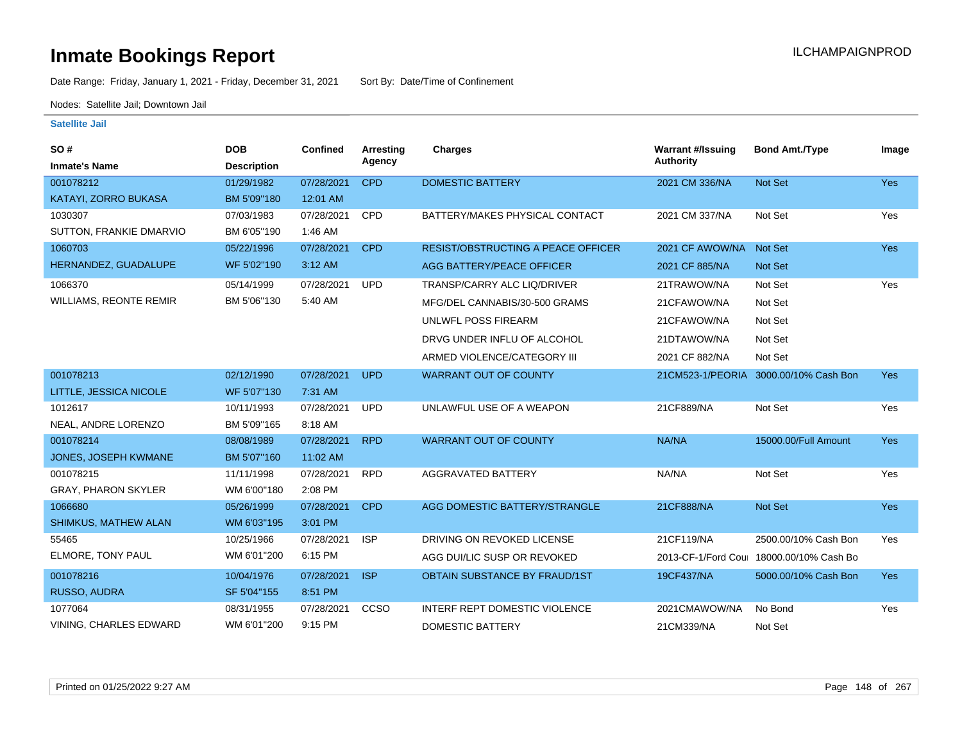Date Range: Friday, January 1, 2021 - Friday, December 31, 2021 Sort By: Date/Time of Confinement

Nodes: Satellite Jail; Downtown Jail

| SO#<br><b>Inmate's Name</b>   | <b>DOB</b><br><b>Description</b> | Confined   | Arresting<br>Agency | <b>Charges</b>                            | <b>Warrant #/Issuing</b><br><b>Authority</b> | <b>Bond Amt./Type</b>                    | Image      |
|-------------------------------|----------------------------------|------------|---------------------|-------------------------------------------|----------------------------------------------|------------------------------------------|------------|
| 001078212                     | 01/29/1982                       | 07/28/2021 | <b>CPD</b>          | <b>DOMESTIC BATTERY</b>                   | 2021 CM 336/NA                               | Not Set                                  | Yes        |
| KATAYI, ZORRO BUKASA          | BM 5'09"180                      | 12:01 AM   |                     |                                           |                                              |                                          |            |
| 1030307                       | 07/03/1983                       | 07/28/2021 | <b>CPD</b>          | BATTERY/MAKES PHYSICAL CONTACT            | 2021 CM 337/NA                               | Not Set                                  | Yes        |
| SUTTON, FRANKIE DMARVIO       | BM 6'05"190                      | 1:46 AM    |                     |                                           |                                              |                                          |            |
| 1060703                       | 05/22/1996                       | 07/28/2021 | <b>CPD</b>          | <b>RESIST/OBSTRUCTING A PEACE OFFICER</b> | 2021 CF AWOW/NA                              | Not Set                                  | Yes        |
| HERNANDEZ, GUADALUPE          | WF 5'02"190                      | 3:12 AM    |                     | AGG BATTERY/PEACE OFFICER                 | 2021 CF 885/NA                               | Not Set                                  |            |
| 1066370                       | 05/14/1999                       | 07/28/2021 | <b>UPD</b>          | TRANSP/CARRY ALC LIQ/DRIVER               | 21TRAWOW/NA                                  | Not Set                                  | Yes        |
| <b>WILLIAMS, REONTE REMIR</b> | BM 5'06"130                      | 5:40 AM    |                     | MFG/DEL CANNABIS/30-500 GRAMS             | 21CFAWOW/NA                                  | Not Set                                  |            |
|                               |                                  |            |                     | UNLWFL POSS FIREARM                       | 21CFAWOW/NA                                  | Not Set                                  |            |
|                               |                                  |            |                     | DRVG UNDER INFLU OF ALCOHOL               | 21DTAWOW/NA                                  | Not Set                                  |            |
|                               |                                  |            |                     | ARMED VIOLENCE/CATEGORY III               | 2021 CF 882/NA                               | Not Set                                  |            |
| 001078213                     | 02/12/1990                       | 07/28/2021 | <b>UPD</b>          | <b>WARRANT OUT OF COUNTY</b>              |                                              | 21CM523-1/PEORIA 3000.00/10% Cash Bon    | Yes        |
| LITTLE, JESSICA NICOLE        | WF 5'07"130                      | 7:31 AM    |                     |                                           |                                              |                                          |            |
| 1012617                       | 10/11/1993                       | 07/28/2021 | <b>UPD</b>          | UNLAWFUL USE OF A WEAPON                  | 21CF889/NA                                   | Not Set                                  | Yes        |
| NEAL, ANDRE LORENZO           | BM 5'09"165                      | 8:18 AM    |                     |                                           |                                              |                                          |            |
| 001078214                     | 08/08/1989                       | 07/28/2021 | <b>RPD</b>          | <b>WARRANT OUT OF COUNTY</b>              | NA/NA                                        | 15000.00/Full Amount                     | <b>Yes</b> |
| JONES, JOSEPH KWMANE          | BM 5'07"160                      | 11:02 AM   |                     |                                           |                                              |                                          |            |
| 001078215                     | 11/11/1998                       | 07/28/2021 | <b>RPD</b>          | <b>AGGRAVATED BATTERY</b>                 | NA/NA                                        | Not Set                                  | Yes        |
| <b>GRAY, PHARON SKYLER</b>    | WM 6'00"180                      | 2:08 PM    |                     |                                           |                                              |                                          |            |
| 1066680                       | 05/26/1999                       | 07/28/2021 | <b>CPD</b>          | AGG DOMESTIC BATTERY/STRANGLE             | 21CF888/NA                                   | Not Set                                  | Yes        |
| <b>SHIMKUS, MATHEW ALAN</b>   | WM 6'03"195                      | 3:01 PM    |                     |                                           |                                              |                                          |            |
| 55465                         | 10/25/1966                       | 07/28/2021 | <b>ISP</b>          | DRIVING ON REVOKED LICENSE                | 21CF119/NA                                   | 2500.00/10% Cash Bon                     | Yes        |
| ELMORE, TONY PAUL             | WM 6'01"200                      | 6:15 PM    |                     | AGG DUI/LIC SUSP OR REVOKED               |                                              | 2013-CF-1/Ford Coul 18000.00/10% Cash Bo |            |
| 001078216                     | 10/04/1976                       | 07/28/2021 | <b>ISP</b>          | OBTAIN SUBSTANCE BY FRAUD/1ST             | 19CF437/NA                                   | 5000.00/10% Cash Bon                     | <b>Yes</b> |
| RUSSO, AUDRA                  | SF 5'04"155                      | 8:51 PM    |                     |                                           |                                              |                                          |            |
| 1077064                       | 08/31/1955                       | 07/28/2021 | CCSO                | <b>INTERF REPT DOMESTIC VIOLENCE</b>      | 2021CMAWOW/NA                                | No Bond                                  | Yes        |
| VINING, CHARLES EDWARD        | WM 6'01"200                      | 9:15 PM    |                     | DOMESTIC BATTERY                          | 21CM339/NA                                   | Not Set                                  |            |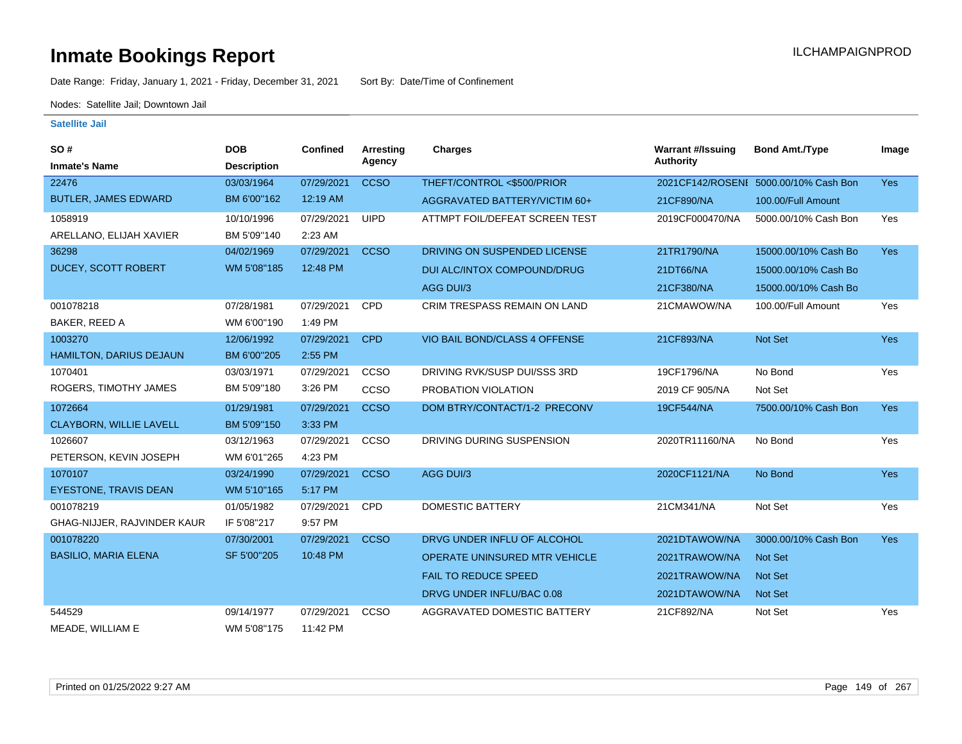Date Range: Friday, January 1, 2021 - Friday, December 31, 2021 Sort By: Date/Time of Confinement

Nodes: Satellite Jail; Downtown Jail

| SO#                            | <b>DOB</b>         | <b>Confined</b> | <b>Arresting</b> | <b>Charges</b>                       | <b>Warrant #/Issuing</b> | <b>Bond Amt./Type</b>                 | Image      |
|--------------------------------|--------------------|-----------------|------------------|--------------------------------------|--------------------------|---------------------------------------|------------|
| <b>Inmate's Name</b>           | <b>Description</b> |                 | Agency           |                                      | <b>Authority</b>         |                                       |            |
| 22476                          | 03/03/1964         | 07/29/2021      | <b>CCSO</b>      | THEFT/CONTROL <\$500/PRIOR           |                          | 2021CF142/ROSENI 5000.00/10% Cash Bon | <b>Yes</b> |
| <b>BUTLER, JAMES EDWARD</b>    | BM 6'00"162        | 12:19 AM        |                  | AGGRAVATED BATTERY/VICTIM 60+        | 21CF890/NA               | 100.00/Full Amount                    |            |
| 1058919                        | 10/10/1996         | 07/29/2021      | <b>UIPD</b>      | ATTMPT FOIL/DEFEAT SCREEN TEST       | 2019CF000470/NA          | 5000.00/10% Cash Bon                  | Yes        |
| ARELLANO, ELIJAH XAVIER        | BM 5'09"140        | 2:23 AM         |                  |                                      |                          |                                       |            |
| 36298                          | 04/02/1969         | 07/29/2021      | <b>CCSO</b>      | DRIVING ON SUSPENDED LICENSE         | 21TR1790/NA              | 15000.00/10% Cash Bo                  | <b>Yes</b> |
| <b>DUCEY, SCOTT ROBERT</b>     | WM 5'08"185        | 12:48 PM        |                  | DUI ALC/INTOX COMPOUND/DRUG          | 21DT66/NA                | 15000.00/10% Cash Bo                  |            |
|                                |                    |                 |                  | AGG DUI/3                            | 21CF380/NA               | 15000.00/10% Cash Bo                  |            |
| 001078218                      | 07/28/1981         | 07/29/2021      | <b>CPD</b>       | <b>CRIM TRESPASS REMAIN ON LAND</b>  | 21CMAWOW/NA              | 100.00/Full Amount                    | Yes        |
| BAKER, REED A                  | WM 6'00"190        | 1:49 PM         |                  |                                      |                          |                                       |            |
| 1003270                        | 12/06/1992         | 07/29/2021      | <b>CPD</b>       | VIO BAIL BOND/CLASS 4 OFFENSE        | 21CF893/NA               | Not Set                               | <b>Yes</b> |
| HAMILTON, DARIUS DEJAUN        | BM 6'00"205        | 2:55 PM         |                  |                                      |                          |                                       |            |
| 1070401                        | 03/03/1971         | 07/29/2021      | <b>CCSO</b>      | DRIVING RVK/SUSP DUI/SSS 3RD         | 19CF1796/NA              | No Bond                               | Yes        |
| ROGERS, TIMOTHY JAMES          | BM 5'09"180        | 3:26 PM         | <b>CCSO</b>      | PROBATION VIOLATION                  | 2019 CF 905/NA           | Not Set                               |            |
| 1072664                        | 01/29/1981         | 07/29/2021      | <b>CCSO</b>      | DOM BTRY/CONTACT/1-2 PRECONV         | 19CF544/NA               | 7500.00/10% Cash Bon                  | <b>Yes</b> |
| <b>CLAYBORN, WILLIE LAVELL</b> | BM 5'09"150        | 3:33 PM         |                  |                                      |                          |                                       |            |
| 1026607                        | 03/12/1963         | 07/29/2021      | CCSO             | DRIVING DURING SUSPENSION            | 2020TR11160/NA           | No Bond                               | Yes        |
| PETERSON, KEVIN JOSEPH         | WM 6'01"265        | 4:23 PM         |                  |                                      |                          |                                       |            |
| 1070107                        | 03/24/1990         | 07/29/2021      | <b>CCSO</b>      | AGG DUI/3                            | 2020CF1121/NA            | No Bond                               | Yes        |
| <b>EYESTONE, TRAVIS DEAN</b>   | WM 5'10"165        | 5:17 PM         |                  |                                      |                          |                                       |            |
| 001078219                      | 01/05/1982         | 07/29/2021      | <b>CPD</b>       | <b>DOMESTIC BATTERY</b>              | 21CM341/NA               | Not Set                               | Yes        |
| GHAG-NIJJER, RAJVINDER KAUR    | IF 5'08"217        | 9:57 PM         |                  |                                      |                          |                                       |            |
| 001078220                      | 07/30/2001         | 07/29/2021      | <b>CCSO</b>      | DRVG UNDER INFLU OF ALCOHOL          | 2021DTAWOW/NA            | 3000.00/10% Cash Bon                  | Yes        |
| <b>BASILIO, MARIA ELENA</b>    | SF 5'00"205        | 10:48 PM        |                  | <b>OPERATE UNINSURED MTR VEHICLE</b> | 2021TRAWOW/NA            | Not Set                               |            |
|                                |                    |                 |                  | <b>FAIL TO REDUCE SPEED</b>          | 2021TRAWOW/NA            | <b>Not Set</b>                        |            |
|                                |                    |                 |                  | DRVG UNDER INFLU/BAC 0.08            | 2021DTAWOW/NA            | <b>Not Set</b>                        |            |
| 544529                         | 09/14/1977         | 07/29/2021      | CCSO             | AGGRAVATED DOMESTIC BATTERY          | 21CF892/NA               | Not Set                               | Yes        |
| MEADE, WILLIAM E               | WM 5'08"175        | 11:42 PM        |                  |                                      |                          |                                       |            |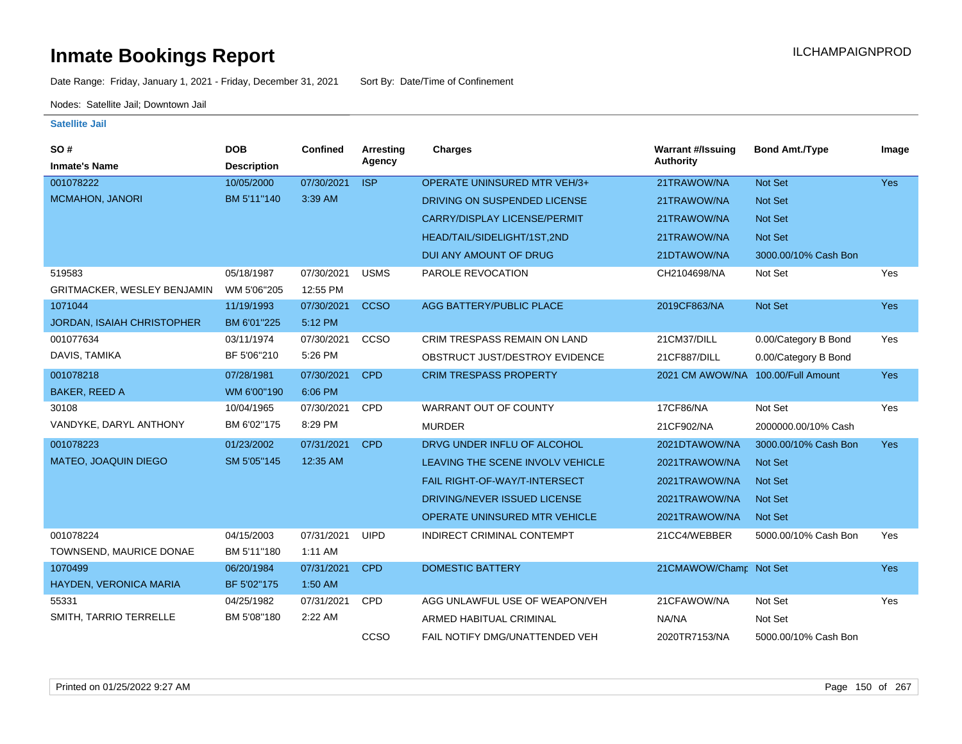Date Range: Friday, January 1, 2021 - Friday, December 31, 2021 Sort By: Date/Time of Confinement

Nodes: Satellite Jail; Downtown Jail

| SO#<br><b>Inmate's Name</b>        | <b>DOB</b><br><b>Description</b> | Confined   | Arresting<br>Agency | Charges                              | <b>Warrant #/Issuing</b><br><b>Authority</b> | <b>Bond Amt./Type</b> | Image      |
|------------------------------------|----------------------------------|------------|---------------------|--------------------------------------|----------------------------------------------|-----------------------|------------|
| 001078222                          | 10/05/2000                       | 07/30/2021 | <b>ISP</b>          | OPERATE UNINSURED MTR VEH/3+         | 21TRAWOW/NA                                  | Not Set               | Yes        |
| <b>MCMAHON, JANORI</b>             | BM 5'11"140                      | 3:39 AM    |                     |                                      |                                              |                       |            |
|                                    |                                  |            |                     | DRIVING ON SUSPENDED LICENSE         | 21TRAWOW/NA                                  | <b>Not Set</b>        |            |
|                                    |                                  |            |                     | CARRY/DISPLAY LICENSE/PERMIT         | 21TRAWOW/NA                                  | Not Set               |            |
|                                    |                                  |            |                     | HEAD/TAIL/SIDELIGHT/1ST,2ND          | 21TRAWOW/NA                                  | Not Set               |            |
|                                    |                                  |            |                     | DUI ANY AMOUNT OF DRUG               | 21DTAWOW/NA                                  | 3000.00/10% Cash Bon  |            |
| 519583                             | 05/18/1987                       | 07/30/2021 | <b>USMS</b>         | PAROLE REVOCATION                    | CH2104698/NA                                 | Not Set               | Yes        |
| <b>GRITMACKER, WESLEY BENJAMIN</b> | WM 5'06"205                      | 12:55 PM   |                     |                                      |                                              |                       |            |
| 1071044                            | 11/19/1993                       | 07/30/2021 | <b>CCSO</b>         | AGG BATTERY/PUBLIC PLACE             | 2019CF863/NA                                 | Not Set               | Yes        |
| <b>JORDAN, ISAIAH CHRISTOPHER</b>  | BM 6'01"225                      | 5:12 PM    |                     |                                      |                                              |                       |            |
| 001077634                          | 03/11/1974                       | 07/30/2021 | ccso                | <b>CRIM TRESPASS REMAIN ON LAND</b>  | 21CM37/DILL                                  | 0.00/Category B Bond  | Yes        |
| DAVIS, TAMIKA                      | BF 5'06"210                      | 5:26 PM    |                     | OBSTRUCT JUST/DESTROY EVIDENCE       | 21CF887/DILL                                 | 0.00/Category B Bond  |            |
| 001078218                          | 07/28/1981                       | 07/30/2021 | <b>CPD</b>          | <b>CRIM TRESPASS PROPERTY</b>        | 2021 CM AWOW/NA 100.00/Full Amount           |                       | <b>Yes</b> |
| <b>BAKER, REED A</b>               | WM 6'00"190                      | 6:06 PM    |                     |                                      |                                              |                       |            |
| 30108                              | 10/04/1965                       | 07/30/2021 | <b>CPD</b>          | <b>WARRANT OUT OF COUNTY</b>         | 17CF86/NA                                    | Not Set               | Yes        |
| VANDYKE, DARYL ANTHONY             | BM 6'02"175                      | 8:29 PM    |                     | <b>MURDER</b>                        | 21CF902/NA                                   | 2000000.00/10% Cash   |            |
| 001078223                          | 01/23/2002                       | 07/31/2021 | <b>CPD</b>          | DRVG UNDER INFLU OF ALCOHOL          | 2021DTAWOW/NA                                | 3000.00/10% Cash Bon  | <b>Yes</b> |
| MATEO, JOAQUIN DIEGO               | SM 5'05"145                      | 12:35 AM   |                     | LEAVING THE SCENE INVOLV VEHICLE     | 2021TRAWOW/NA                                | <b>Not Set</b>        |            |
|                                    |                                  |            |                     | <b>FAIL RIGHT-OF-WAY/T-INTERSECT</b> | 2021TRAWOW/NA                                | <b>Not Set</b>        |            |
|                                    |                                  |            |                     | DRIVING/NEVER ISSUED LICENSE         | 2021TRAWOW/NA                                | Not Set               |            |
|                                    |                                  |            |                     | OPERATE UNINSURED MTR VEHICLE        | 2021TRAWOW/NA                                | <b>Not Set</b>        |            |
| 001078224                          | 04/15/2003                       | 07/31/2021 | <b>UIPD</b>         | INDIRECT CRIMINAL CONTEMPT           | 21CC4/WEBBER                                 | 5000.00/10% Cash Bon  | Yes        |
| TOWNSEND, MAURICE DONAE            | BM 5'11"180                      | 1:11 AM    |                     |                                      |                                              |                       |            |
| 1070499                            | 06/20/1984                       | 07/31/2021 | <b>CPD</b>          | <b>DOMESTIC BATTERY</b>              | 21CMAWOW/Champ Not Set                       |                       | <b>Yes</b> |
| HAYDEN, VERONICA MARIA             | BF 5'02"175                      | 1:50 AM    |                     |                                      |                                              |                       |            |
| 55331                              | 04/25/1982                       | 07/31/2021 | CPD                 | AGG UNLAWFUL USE OF WEAPON/VEH       | 21CFAWOW/NA                                  | Not Set               | Yes        |
| SMITH, TARRIO TERRELLE             | BM 5'08"180                      | 2:22 AM    |                     | ARMED HABITUAL CRIMINAL              | NA/NA                                        | Not Set               |            |
|                                    |                                  |            | CCSO                | FAIL NOTIFY DMG/UNATTENDED VEH       | 2020TR7153/NA                                | 5000.00/10% Cash Bon  |            |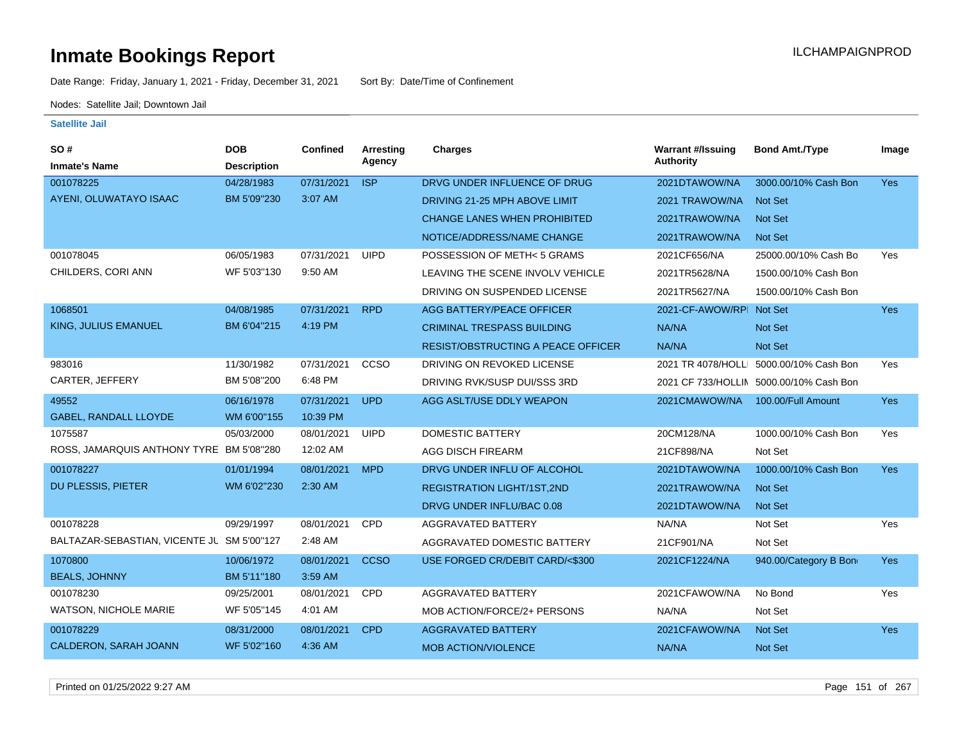Date Range: Friday, January 1, 2021 - Friday, December 31, 2021 Sort By: Date/Time of Confinement

Nodes: Satellite Jail; Downtown Jail

| SO#                                        | <b>DOB</b>         | Confined   | <b>Arresting</b> | <b>Charges</b>                            | <b>Warrant #/Issuing</b> | <b>Bond Amt./Type</b>                   | Image      |
|--------------------------------------------|--------------------|------------|------------------|-------------------------------------------|--------------------------|-----------------------------------------|------------|
| <b>Inmate's Name</b>                       | <b>Description</b> |            | Agency           |                                           | <b>Authority</b>         |                                         |            |
| 001078225                                  | 04/28/1983         | 07/31/2021 | <b>ISP</b>       | DRVG UNDER INFLUENCE OF DRUG              | 2021DTAWOW/NA            | 3000.00/10% Cash Bon                    | <b>Yes</b> |
| AYENI, OLUWATAYO ISAAC                     | BM 5'09"230        | 3:07 AM    |                  | DRIVING 21-25 MPH ABOVE LIMIT             | 2021 TRAWOW/NA           | <b>Not Set</b>                          |            |
|                                            |                    |            |                  | <b>CHANGE LANES WHEN PROHIBITED</b>       | 2021TRAWOW/NA            | <b>Not Set</b>                          |            |
|                                            |                    |            |                  | NOTICE/ADDRESS/NAME CHANGE                | 2021TRAWOW/NA            | Not Set                                 |            |
| 001078045                                  | 06/05/1983         | 07/31/2021 | <b>UIPD</b>      | POSSESSION OF METH<5 GRAMS                | 2021CF656/NA             | 25000.00/10% Cash Bo                    | Yes        |
| CHILDERS, CORI ANN                         | WF 5'03"130        | 9:50 AM    |                  | LEAVING THE SCENE INVOLV VEHICLE          | 2021TR5628/NA            | 1500.00/10% Cash Bon                    |            |
|                                            |                    |            |                  | DRIVING ON SUSPENDED LICENSE              | 2021TR5627/NA            | 1500.00/10% Cash Bon                    |            |
| 1068501                                    | 04/08/1985         | 07/31/2021 | <b>RPD</b>       | <b>AGG BATTERY/PEACE OFFICER</b>          | 2021-CF-AWOW/RPI Not Set |                                         | <b>Yes</b> |
| KING, JULIUS EMANUEL                       | BM 6'04"215        | 4:19 PM    |                  | <b>CRIMINAL TRESPASS BUILDING</b>         | NA/NA                    | <b>Not Set</b>                          |            |
|                                            |                    |            |                  | <b>RESIST/OBSTRUCTING A PEACE OFFICER</b> | NA/NA                    | Not Set                                 |            |
| 983016                                     | 11/30/1982         | 07/31/2021 | CCSO             | DRIVING ON REVOKED LICENSE                |                          | 2021 TR 4078/HOLLI 5000.00/10% Cash Bon | Yes        |
| CARTER, JEFFERY                            | BM 5'08"200        | 6:48 PM    |                  | DRIVING RVK/SUSP DUI/SSS 3RD              |                          | 2021 CF 733/HOLLIN 5000.00/10% Cash Bon |            |
| 49552                                      | 06/16/1978         | 07/31/2021 | <b>UPD</b>       | AGG ASLT/USE DDLY WEAPON                  | 2021CMAWOW/NA            | 100.00/Full Amount                      | Yes        |
| <b>GABEL, RANDALL LLOYDE</b>               | WM 6'00"155        | 10:39 PM   |                  |                                           |                          |                                         |            |
| 1075587                                    | 05/03/2000         | 08/01/2021 | <b>UIPD</b>      | <b>DOMESTIC BATTERY</b>                   | 20CM128/NA               | 1000.00/10% Cash Bon                    | Yes        |
| ROSS, JAMARQUIS ANTHONY TYRE BM 5'08"280   |                    | 12:02 AM   |                  | <b>AGG DISCH FIREARM</b>                  | 21CF898/NA               | Not Set                                 |            |
| 001078227                                  | 01/01/1994         | 08/01/2021 | <b>MPD</b>       | DRVG UNDER INFLU OF ALCOHOL               | 2021DTAWOW/NA            | 1000.00/10% Cash Bon                    | Yes        |
| DU PLESSIS, PIETER                         | WM 6'02"230        | 2:30 AM    |                  | <b>REGISTRATION LIGHT/1ST,2ND</b>         | 2021TRAWOW/NA            | <b>Not Set</b>                          |            |
|                                            |                    |            |                  | DRVG UNDER INFLU/BAC 0.08                 | 2021DTAWOW/NA            | Not Set                                 |            |
| 001078228                                  | 09/29/1997         | 08/01/2021 | <b>CPD</b>       | AGGRAVATED BATTERY                        | NA/NA                    | Not Set                                 | Yes        |
| BALTAZAR-SEBASTIAN, VICENTE JL SM 5'00"127 |                    | 2:48 AM    |                  | AGGRAVATED DOMESTIC BATTERY               | 21CF901/NA               | Not Set                                 |            |
| 1070800                                    | 10/06/1972         | 08/01/2021 | <b>CCSO</b>      | USE FORGED CR/DEBIT CARD/<\$300           | 2021CF1224/NA            | 940.00/Category B Bon                   | Yes        |
| <b>BEALS, JOHNNY</b>                       | BM 5'11"180        | 3:59 AM    |                  |                                           |                          |                                         |            |
| 001078230                                  | 09/25/2001         | 08/01/2021 | CPD              | AGGRAVATED BATTERY                        | 2021CFAWOW/NA            | No Bond                                 | Yes        |
| <b>WATSON, NICHOLE MARIE</b>               | WF 5'05"145        | 4:01 AM    |                  | MOB ACTION/FORCE/2+ PERSONS               | NA/NA                    | Not Set                                 |            |
| 001078229                                  | 08/31/2000         | 08/01/2021 | <b>CPD</b>       | <b>AGGRAVATED BATTERY</b>                 | 2021CFAWOW/NA            | <b>Not Set</b>                          | Yes        |
| CALDERON, SARAH JOANN                      | WF 5'02"160        | 4:36 AM    |                  | <b>MOB ACTION/VIOLENCE</b>                | NA/NA                    | Not Set                                 |            |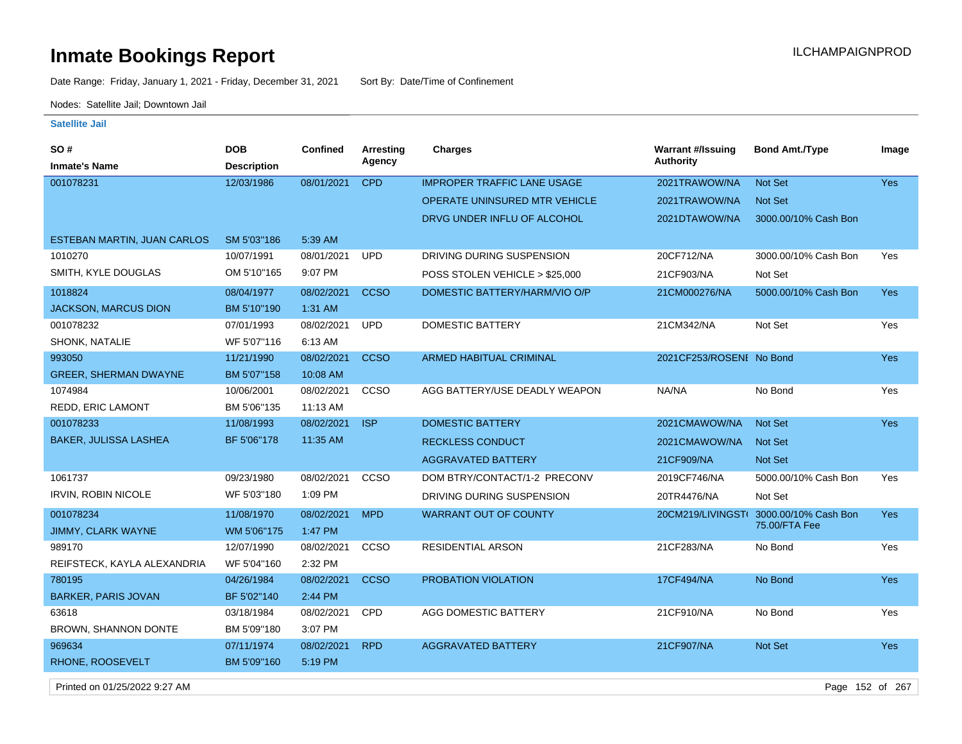Date Range: Friday, January 1, 2021 - Friday, December 31, 2021 Sort By: Date/Time of Confinement

Nodes: Satellite Jail; Downtown Jail

#### **Satellite Jail**

| SO #                         | <b>DOB</b>         | <b>Confined</b> | <b>Arresting</b> | <b>Charges</b>                       | <b>Warrant #/Issuing</b> | <b>Bond Amt./Type</b> | Image      |
|------------------------------|--------------------|-----------------|------------------|--------------------------------------|--------------------------|-----------------------|------------|
| <b>Inmate's Name</b>         | <b>Description</b> |                 | Agency           |                                      | <b>Authority</b>         |                       |            |
| 001078231                    | 12/03/1986         | 08/01/2021      | <b>CPD</b>       | <b>IMPROPER TRAFFIC LANE USAGE</b>   | 2021TRAWOW/NA            | <b>Not Set</b>        | Yes        |
|                              |                    |                 |                  | <b>OPERATE UNINSURED MTR VEHICLE</b> | 2021TRAWOW/NA            | <b>Not Set</b>        |            |
|                              |                    |                 |                  | DRVG UNDER INFLU OF ALCOHOL          | 2021DTAWOW/NA            | 3000.00/10% Cash Bon  |            |
| ESTEBAN MARTIN, JUAN CARLOS  | SM 5'03"186        | 5:39 AM         |                  |                                      |                          |                       |            |
| 1010270                      | 10/07/1991         | 08/01/2021      | <b>UPD</b>       | DRIVING DURING SUSPENSION            | 20CF712/NA               | 3000.00/10% Cash Bon  | Yes        |
| SMITH, KYLE DOUGLAS          | OM 5'10"165        | 9:07 PM         |                  | POSS STOLEN VEHICLE > \$25,000       | 21CF903/NA               | Not Set               |            |
| 1018824                      | 08/04/1977         | 08/02/2021      | <b>CCSO</b>      | DOMESTIC BATTERY/HARM/VIO O/P        | 21CM000276/NA            | 5000.00/10% Cash Bon  | Yes        |
| <b>JACKSON, MARCUS DION</b>  | BM 5'10"190        | 1:31 AM         |                  |                                      |                          |                       |            |
| 001078232                    | 07/01/1993         | 08/02/2021      | <b>UPD</b>       | <b>DOMESTIC BATTERY</b>              | 21CM342/NA               | Not Set               | Yes        |
| SHONK, NATALIE               | WF 5'07"116        | 6:13 AM         |                  |                                      |                          |                       |            |
| 993050                       | 11/21/1990         | 08/02/2021      | <b>CCSO</b>      | <b>ARMED HABITUAL CRIMINAL</b>       | 2021CF253/ROSENI No Bond |                       | Yes        |
| <b>GREER, SHERMAN DWAYNE</b> | BM 5'07"158        | 10:08 AM        |                  |                                      |                          |                       |            |
| 1074984                      | 10/06/2001         | 08/02/2021      | CCSO             | AGG BATTERY/USE DEADLY WEAPON        | NA/NA                    | No Bond               | Yes        |
| REDD, ERIC LAMONT            | BM 5'06"135        | 11:13 AM        |                  |                                      |                          |                       |            |
| 001078233                    | 11/08/1993         | 08/02/2021      | <b>ISP</b>       | <b>DOMESTIC BATTERY</b>              | 2021CMAWOW/NA            | Not Set               | Yes        |
| BAKER, JULISSA LASHEA        | BF 5'06"178        | 11:35 AM        |                  | <b>RECKLESS CONDUCT</b>              | 2021CMAWOW/NA            | <b>Not Set</b>        |            |
|                              |                    |                 |                  | <b>AGGRAVATED BATTERY</b>            | 21CF909/NA               | Not Set               |            |
| 1061737                      | 09/23/1980         | 08/02/2021      | CCSO             | DOM BTRY/CONTACT/1-2 PRECONV         | 2019CF746/NA             | 5000.00/10% Cash Bon  | Yes        |
| IRVIN, ROBIN NICOLE          | WF 5'03"180        | 1:09 PM         |                  | DRIVING DURING SUSPENSION            | 20TR4476/NA              | Not Set               |            |
| 001078234                    | 11/08/1970         | 08/02/2021      | <b>MPD</b>       | <b>WARRANT OUT OF COUNTY</b>         | 20CM219/LIVINGST(        | 3000.00/10% Cash Bon  | Yes        |
| JIMMY, CLARK WAYNE           | WM 5'06"175        | 1:47 PM         |                  |                                      |                          | 75.00/FTA Fee         |            |
| 989170                       | 12/07/1990         | 08/02/2021      | CCSO             | <b>RESIDENTIAL ARSON</b>             | 21CF283/NA               | No Bond               | Yes        |
| REIFSTECK, KAYLA ALEXANDRIA  | WF 5'04"160        | 2:32 PM         |                  |                                      |                          |                       |            |
| 780195                       | 04/26/1984         | 08/02/2021      | <b>CCSO</b>      | PROBATION VIOLATION                  | 17CF494/NA               | No Bond               | Yes        |
| <b>BARKER, PARIS JOVAN</b>   | BF 5'02"140        | 2:44 PM         |                  |                                      |                          |                       |            |
| 63618                        | 03/18/1984         | 08/02/2021      | CPD              | AGG DOMESTIC BATTERY                 | 21CF910/NA               | No Bond               | Yes        |
| BROWN, SHANNON DONTE         | BM 5'09"180        | 3:07 PM         |                  |                                      |                          |                       |            |
| 969634                       | 07/11/1974         | 08/02/2021      | <b>RPD</b>       | <b>AGGRAVATED BATTERY</b>            | 21CF907/NA               | Not Set               | <b>Yes</b> |
| RHONE, ROOSEVELT             | BM 5'09"160        | 5:19 PM         |                  |                                      |                          |                       |            |

Printed on 01/25/2022 9:27 AM Page 152 of 267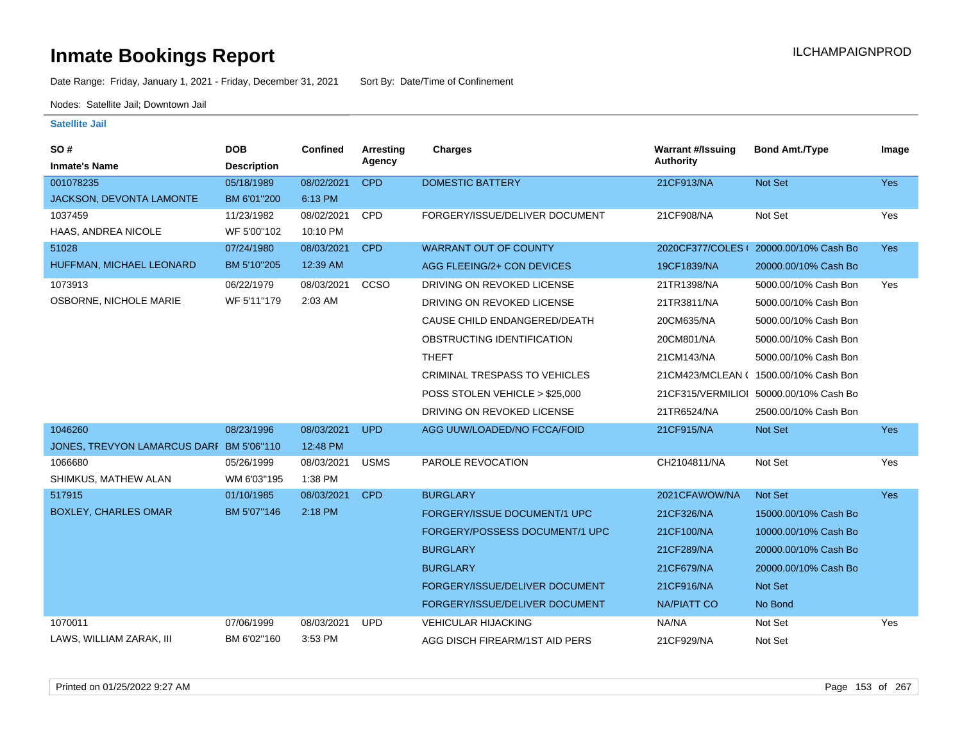Date Range: Friday, January 1, 2021 - Friday, December 31, 2021 Sort By: Date/Time of Confinement

Nodes: Satellite Jail; Downtown Jail

| SO#<br><b>Inmate's Name</b>              | <b>DOB</b><br><b>Description</b> | <b>Confined</b> | Arresting<br>Agency | <b>Charges</b>                 | <b>Warrant #/Issuing</b><br><b>Authority</b> | <b>Bond Amt./Type</b>                  | Image      |
|------------------------------------------|----------------------------------|-----------------|---------------------|--------------------------------|----------------------------------------------|----------------------------------------|------------|
| 001078235                                | 05/18/1989                       | 08/02/2021      | <b>CPD</b>          | <b>DOMESTIC BATTERY</b>        | 21CF913/NA                                   | <b>Not Set</b>                         | Yes        |
| <b>JACKSON, DEVONTA LAMONTE</b>          | BM 6'01"200                      | 6:13 PM         |                     |                                |                                              |                                        |            |
| 1037459                                  | 11/23/1982                       | 08/02/2021      | CPD                 | FORGERY/ISSUE/DELIVER DOCUMENT | 21CF908/NA                                   | Not Set                                | Yes        |
| HAAS, ANDREA NICOLE                      | WF 5'00"102                      | 10:10 PM        |                     |                                |                                              |                                        |            |
| 51028                                    | 07/24/1980                       | 08/03/2021      | <b>CPD</b>          | <b>WARRANT OUT OF COUNTY</b>   |                                              | 2020CF377/COLES (20000.00/10% Cash Bo  | <b>Yes</b> |
| HUFFMAN, MICHAEL LEONARD                 | BM 5'10"205                      | 12:39 AM        |                     | AGG FLEEING/2+ CON DEVICES     | 19CF1839/NA                                  | 20000.00/10% Cash Bo                   |            |
| 1073913                                  | 06/22/1979                       | 08/03/2021      | CCSO                | DRIVING ON REVOKED LICENSE     | 21TR1398/NA                                  | 5000.00/10% Cash Bon                   | Yes        |
| OSBORNE, NICHOLE MARIE                   | WF 5'11"179                      | 2:03 AM         |                     | DRIVING ON REVOKED LICENSE     | 21TR3811/NA                                  | 5000.00/10% Cash Bon                   |            |
|                                          |                                  |                 |                     | CAUSE CHILD ENDANGERED/DEATH   | 20CM635/NA                                   | 5000.00/10% Cash Bon                   |            |
|                                          |                                  |                 |                     | OBSTRUCTING IDENTIFICATION     | 20CM801/NA                                   | 5000.00/10% Cash Bon                   |            |
|                                          |                                  |                 |                     | <b>THEFT</b>                   | 21CM143/NA                                   | 5000.00/10% Cash Bon                   |            |
|                                          |                                  |                 |                     | CRIMINAL TRESPASS TO VEHICLES  |                                              | 21CM423/MCLEAN ( 1500.00/10% Cash Bon  |            |
|                                          |                                  |                 |                     | POSS STOLEN VEHICLE > \$25,000 |                                              | 21CF315/VERMILIOI 50000.00/10% Cash Bo |            |
|                                          |                                  |                 |                     | DRIVING ON REVOKED LICENSE     | 21TR6524/NA                                  | 2500.00/10% Cash Bon                   |            |
| 1046260                                  | 08/23/1996                       | 08/03/2021      | <b>UPD</b>          | AGG UUW/LOADED/NO FCCA/FOID    | 21CF915/NA                                   | Not Set                                | <b>Yes</b> |
| JONES, TREVYON LAMARCUS DARI BM 5'06"110 |                                  | 12:48 PM        |                     |                                |                                              |                                        |            |
| 1066680                                  | 05/26/1999                       | 08/03/2021      | <b>USMS</b>         | PAROLE REVOCATION              | CH2104811/NA                                 | Not Set                                | Yes        |
| SHIMKUS, MATHEW ALAN                     | WM 6'03"195                      | 1:38 PM         |                     |                                |                                              |                                        |            |
| 517915                                   | 01/10/1985                       | 08/03/2021      | <b>CPD</b>          | <b>BURGLARY</b>                | 2021CFAWOW/NA                                | Not Set                                | <b>Yes</b> |
| <b>BOXLEY, CHARLES OMAR</b>              | BM 5'07"146                      | 2:18 PM         |                     | FORGERY/ISSUE DOCUMENT/1 UPC   | 21CF326/NA                                   | 15000.00/10% Cash Bo                   |            |
|                                          |                                  |                 |                     | FORGERY/POSSESS DOCUMENT/1 UPC | 21CF100/NA                                   | 10000.00/10% Cash Bo                   |            |
|                                          |                                  |                 |                     | <b>BURGLARY</b>                | 21CF289/NA                                   | 20000.00/10% Cash Bo                   |            |
|                                          |                                  |                 |                     | <b>BURGLARY</b>                | 21CF679/NA                                   | 20000.00/10% Cash Bo                   |            |
|                                          |                                  |                 |                     | FORGERY/ISSUE/DELIVER DOCUMENT | 21CF916/NA                                   | Not Set                                |            |
|                                          |                                  |                 |                     | FORGERY/ISSUE/DELIVER DOCUMENT | <b>NA/PIATT CO</b>                           | No Bond                                |            |
| 1070011                                  | 07/06/1999                       | 08/03/2021      | <b>UPD</b>          | <b>VEHICULAR HIJACKING</b>     | NA/NA                                        | Not Set                                | Yes        |
| LAWS, WILLIAM ZARAK, III                 | BM 6'02"160                      | 3:53 PM         |                     | AGG DISCH FIREARM/1ST AID PERS | 21CF929/NA                                   | Not Set                                |            |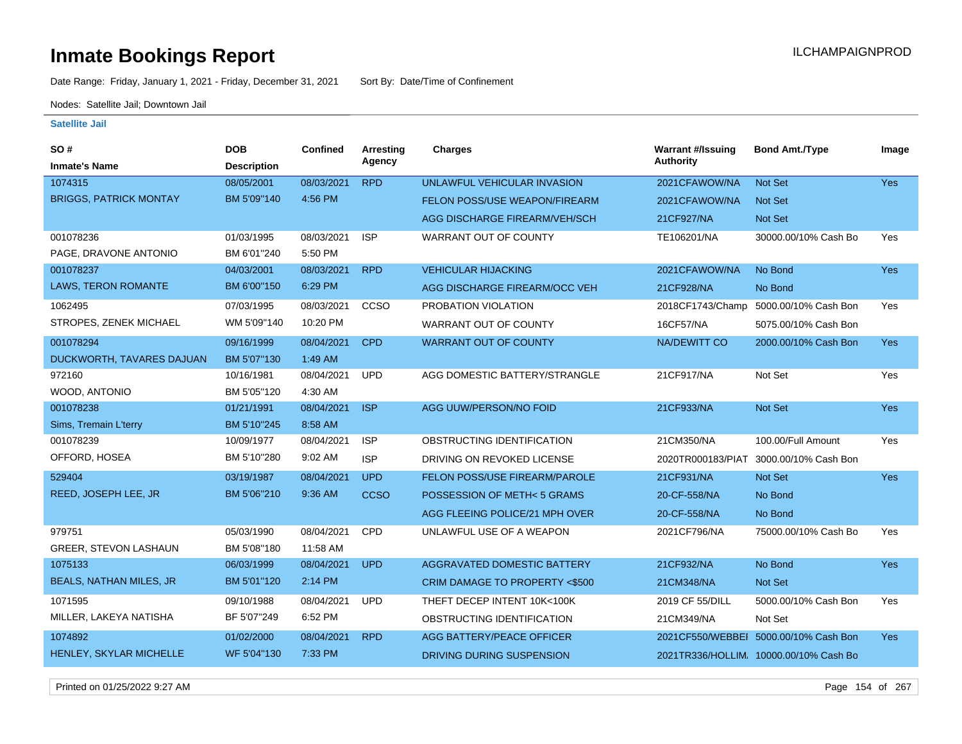Date Range: Friday, January 1, 2021 - Friday, December 31, 2021 Sort By: Date/Time of Confinement

Nodes: Satellite Jail; Downtown Jail

#### **Satellite Jail**

| SO#                            | <b>DOB</b>         | <b>Confined</b> | <b>Arresting</b> | <b>Charges</b>                       | <b>Warrant #/Issuing</b> | <b>Bond Amt./Type</b>                 | Image      |
|--------------------------------|--------------------|-----------------|------------------|--------------------------------------|--------------------------|---------------------------------------|------------|
| <b>Inmate's Name</b>           | <b>Description</b> |                 | Agency           |                                      | Authority                |                                       |            |
| 1074315                        | 08/05/2001         | 08/03/2021      | <b>RPD</b>       | UNLAWFUL VEHICULAR INVASION          | 2021CFAWOW/NA            | <b>Not Set</b>                        | <b>Yes</b> |
| <b>BRIGGS, PATRICK MONTAY</b>  | BM 5'09"140        | 4:56 PM         |                  | FELON POSS/USE WEAPON/FIREARM        | 2021CFAWOW/NA            | <b>Not Set</b>                        |            |
|                                |                    |                 |                  | AGG DISCHARGE FIREARM/VEH/SCH        | 21CF927/NA               | <b>Not Set</b>                        |            |
| 001078236                      | 01/03/1995         | 08/03/2021      | <b>ISP</b>       | <b>WARRANT OUT OF COUNTY</b>         | TE106201/NA              | 30000.00/10% Cash Bo                  | Yes        |
| PAGE, DRAVONE ANTONIO          | BM 6'01"240        | 5:50 PM         |                  |                                      |                          |                                       |            |
| 001078237                      | 04/03/2001         | 08/03/2021      | <b>RPD</b>       | <b>VEHICULAR HIJACKING</b>           | 2021CFAWOW/NA            | No Bond                               | Yes        |
| <b>LAWS, TERON ROMANTE</b>     | BM 6'00"150        | 6:29 PM         |                  | AGG DISCHARGE FIREARM/OCC VEH        | 21CF928/NA               | No Bond                               |            |
| 1062495                        | 07/03/1995         | 08/03/2021      | CCSO             | PROBATION VIOLATION                  | 2018CF1743/Champ         | 5000.00/10% Cash Bon                  | Yes        |
| STROPES, ZENEK MICHAEL         | WM 5'09"140        | 10:20 PM        |                  | WARRANT OUT OF COUNTY                | <b>16CF57/NA</b>         | 5075.00/10% Cash Bon                  |            |
| 001078294                      | 09/16/1999         | 08/04/2021      | <b>CPD</b>       | <b>WARRANT OUT OF COUNTY</b>         | <b>NA/DEWITT CO</b>      | 2000.00/10% Cash Bon                  | <b>Yes</b> |
| DUCKWORTH, TAVARES DAJUAN      | BM 5'07"130        | 1:49 AM         |                  |                                      |                          |                                       |            |
| 972160                         | 10/16/1981         | 08/04/2021      | <b>UPD</b>       | AGG DOMESTIC BATTERY/STRANGLE        | 21CF917/NA               | Not Set                               | Yes        |
| WOOD, ANTONIO                  | BM 5'05"120        | 4:30 AM         |                  |                                      |                          |                                       |            |
| 001078238                      | 01/21/1991         | 08/04/2021      | <b>ISP</b>       | AGG UUW/PERSON/NO FOID               | 21CF933/NA               | Not Set                               | Yes        |
| Sims, Tremain L'terry          | BM 5'10"245        | 8:58 AM         |                  |                                      |                          |                                       |            |
| 001078239                      | 10/09/1977         | 08/04/2021      | <b>ISP</b>       | OBSTRUCTING IDENTIFICATION           | 21CM350/NA               | 100.00/Full Amount                    | Yes        |
| OFFORD, HOSEA                  | BM 5'10"280        | 9:02 AM         | <b>ISP</b>       | DRIVING ON REVOKED LICENSE           | 2020TR000183/PIAT        | 3000.00/10% Cash Bon                  |            |
| 529404                         | 03/19/1987         | 08/04/2021      | <b>UPD</b>       | <b>FELON POSS/USE FIREARM/PAROLE</b> | 21CF931/NA               | Not Set                               | Yes        |
| REED, JOSEPH LEE, JR           | BM 5'06"210        | 9:36 AM         | <b>CCSO</b>      | POSSESSION OF METH<5 GRAMS           | 20-CF-558/NA             | No Bond                               |            |
|                                |                    |                 |                  | AGG FLEEING POLICE/21 MPH OVER       | 20-CF-558/NA             | No Bond                               |            |
| 979751                         | 05/03/1990         | 08/04/2021      | <b>CPD</b>       | UNLAWFUL USE OF A WEAPON             | 2021CF796/NA             | 75000.00/10% Cash Bo                  | Yes        |
| <b>GREER, STEVON LASHAUN</b>   | BM 5'08"180        | 11:58 AM        |                  |                                      |                          |                                       |            |
| 1075133                        | 06/03/1999         | 08/04/2021      | <b>UPD</b>       | AGGRAVATED DOMESTIC BATTERY          | 21CF932/NA               | No Bond                               | Yes        |
| <b>BEALS, NATHAN MILES, JR</b> | BM 5'01"120        | 2:14 PM         |                  | CRIM DAMAGE TO PROPERTY <\$500       | 21CM348/NA               | <b>Not Set</b>                        |            |
| 1071595                        | 09/10/1988         | 08/04/2021      | <b>UPD</b>       | THEFT DECEP INTENT 10K<100K          | 2019 CF 55/DILL          | 5000.00/10% Cash Bon                  | Yes        |
| MILLER, LAKEYA NATISHA         | BF 5'07"249        | 6:52 PM         |                  | OBSTRUCTING IDENTIFICATION           | 21CM349/NA               | Not Set                               |            |
| 1074892                        | 01/02/2000         | 08/04/2021      | <b>RPD</b>       | <b>AGG BATTERY/PEACE OFFICER</b>     |                          | 2021CF550/WEBBEI 5000.00/10% Cash Bon | <b>Yes</b> |
| HENLEY, SKYLAR MICHELLE        | WF 5'04"130        | 7:33 PM         |                  | DRIVING DURING SUSPENSION            |                          | 2021TR336/HOLLIM 10000.00/10% Cash Bo |            |

Printed on 01/25/2022 9:27 AM Page 154 of 267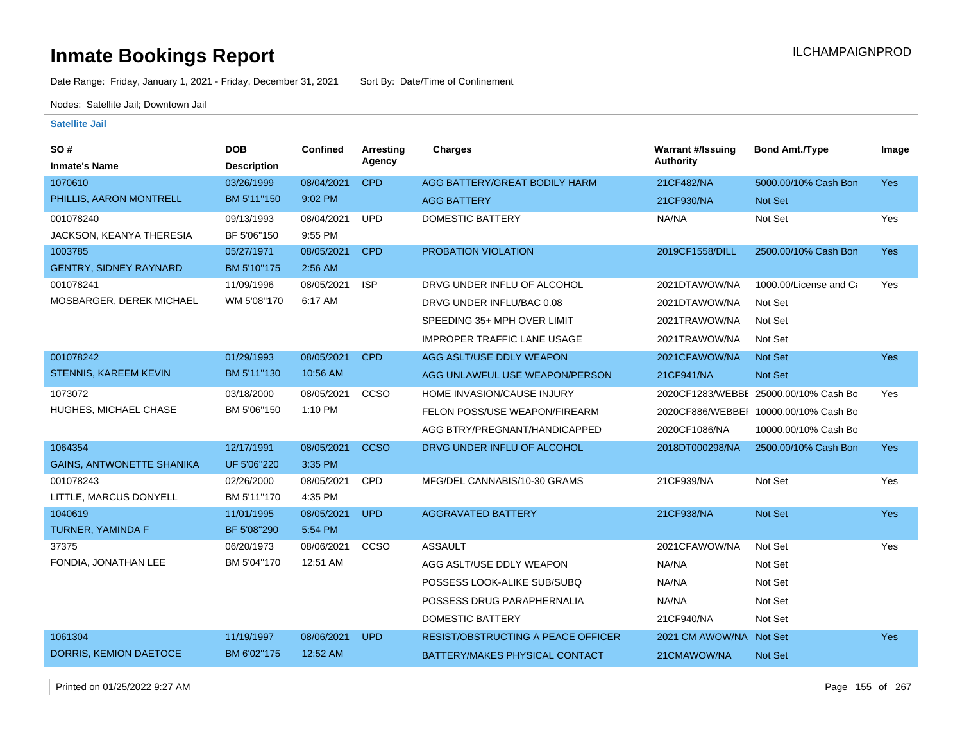Date Range: Friday, January 1, 2021 - Friday, December 31, 2021 Sort By: Date/Time of Confinement

Nodes: Satellite Jail; Downtown Jail

#### **Satellite Jail**

| SO #                             | <b>DOB</b>         | Confined   | Arresting   | <b>Charges</b>                            | <b>Warrant #/Issuing</b> | <b>Bond Amt./Type</b>                 | Image      |
|----------------------------------|--------------------|------------|-------------|-------------------------------------------|--------------------------|---------------------------------------|------------|
| <b>Inmate's Name</b>             | <b>Description</b> |            | Agency      |                                           | Authority                |                                       |            |
| 1070610                          | 03/26/1999         | 08/04/2021 | <b>CPD</b>  | AGG BATTERY/GREAT BODILY HARM             | 21CF482/NA               | 5000.00/10% Cash Bon                  | Yes        |
| PHILLIS, AARON MONTRELL          | BM 5'11"150        | 9:02 PM    |             | <b>AGG BATTERY</b>                        | 21CF930/NA               | Not Set                               |            |
| 001078240                        | 09/13/1993         | 08/04/2021 | <b>UPD</b>  | <b>DOMESTIC BATTERY</b>                   | NA/NA                    | Not Set                               | Yes        |
| JACKSON, KEANYA THERESIA         | BF 5'06"150        | 9:55 PM    |             |                                           |                          |                                       |            |
| 1003785                          | 05/27/1971         | 08/05/2021 | <b>CPD</b>  | PROBATION VIOLATION                       | 2019CF1558/DILL          | 2500.00/10% Cash Bon                  | <b>Yes</b> |
| <b>GENTRY, SIDNEY RAYNARD</b>    | BM 5'10"175        | 2:56 AM    |             |                                           |                          |                                       |            |
| 001078241                        | 11/09/1996         | 08/05/2021 | <b>ISP</b>  | DRVG UNDER INFLU OF ALCOHOL               | 2021DTAWOW/NA            | 1000.00/License and Ca                | Yes        |
| MOSBARGER, DEREK MICHAEL         | WM 5'08"170        | 6:17 AM    |             | DRVG UNDER INFLU/BAC 0.08                 | 2021DTAWOW/NA            | Not Set                               |            |
|                                  |                    |            |             | SPEEDING 35+ MPH OVER LIMIT               | 2021TRAWOW/NA            | Not Set                               |            |
|                                  |                    |            |             | <b>IMPROPER TRAFFIC LANE USAGE</b>        | 2021TRAWOW/NA            | Not Set                               |            |
| 001078242                        | 01/29/1993         | 08/05/2021 | <b>CPD</b>  | AGG ASLT/USE DDLY WEAPON                  | 2021CFAWOW/NA            | <b>Not Set</b>                        | Yes        |
| <b>STENNIS, KAREEM KEVIN</b>     | BM 5'11"130        | 10:56 AM   |             | AGG UNLAWFUL USE WEAPON/PERSON            | 21CF941/NA               | Not Set                               |            |
| 1073072                          | 03/18/2000         | 08/05/2021 | CCSO        | HOME INVASION/CAUSE INJURY                |                          | 2020CF1283/WEBBI 25000.00/10% Cash Bo | Yes        |
| HUGHES, MICHAEL CHASE            | BM 5'06"150        | 1:10 PM    |             | FELON POSS/USE WEAPON/FIREARM             |                          | 2020CF886/WEBBEI 10000.00/10% Cash Bo |            |
|                                  |                    |            |             | AGG BTRY/PREGNANT/HANDICAPPED             | 2020CF1086/NA            | 10000.00/10% Cash Bo                  |            |
| 1064354                          | 12/17/1991         | 08/05/2021 | <b>CCSO</b> | DRVG UNDER INFLU OF ALCOHOL               | 2018DT000298/NA          | 2500.00/10% Cash Bon                  | Yes        |
| <b>GAINS, ANTWONETTE SHANIKA</b> | UF 5'06"220        | 3:35 PM    |             |                                           |                          |                                       |            |
| 001078243                        | 02/26/2000         | 08/05/2021 | <b>CPD</b>  | MFG/DEL CANNABIS/10-30 GRAMS              | 21CF939/NA               | Not Set                               | Yes        |
| LITTLE, MARCUS DONYELL           | BM 5'11"170        | 4:35 PM    |             |                                           |                          |                                       |            |
| 1040619                          | 11/01/1995         | 08/05/2021 | <b>UPD</b>  | <b>AGGRAVATED BATTERY</b>                 | 21CF938/NA               | Not Set                               | Yes        |
| TURNER, YAMINDA F                | BF 5'08"290        | 5:54 PM    |             |                                           |                          |                                       |            |
| 37375                            | 06/20/1973         | 08/06/2021 | CCSO        | <b>ASSAULT</b>                            | 2021CFAWOW/NA            | Not Set                               | Yes        |
| FONDIA, JONATHAN LEE             | BM 5'04"170        | 12:51 AM   |             | AGG ASLT/USE DDLY WEAPON                  | NA/NA                    | Not Set                               |            |
|                                  |                    |            |             | POSSESS LOOK-ALIKE SUB/SUBQ               | NA/NA                    | Not Set                               |            |
|                                  |                    |            |             | POSSESS DRUG PARAPHERNALIA                | NA/NA                    | Not Set                               |            |
|                                  |                    |            |             | <b>DOMESTIC BATTERY</b>                   | 21CF940/NA               | Not Set                               |            |
| 1061304                          | 11/19/1997         | 08/06/2021 | <b>UPD</b>  | <b>RESIST/OBSTRUCTING A PEACE OFFICER</b> | 2021 CM AWOW/NA Not Set  |                                       | <b>Yes</b> |
| DORRIS, KEMION DAETOCE           | BM 6'02"175        | 12:52 AM   |             | BATTERY/MAKES PHYSICAL CONTACT            | 21CMAWOW/NA              | Not Set                               |            |
|                                  |                    |            |             |                                           |                          |                                       |            |

Printed on 01/25/2022 9:27 AM Page 155 of 267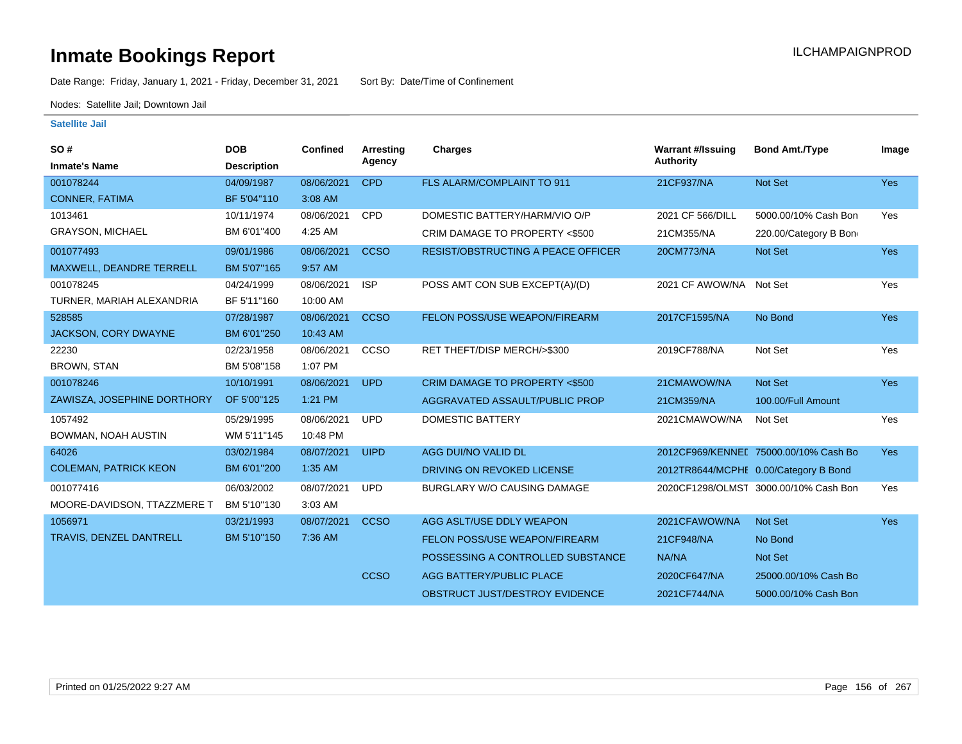Date Range: Friday, January 1, 2021 - Friday, December 31, 2021 Sort By: Date/Time of Confinement

Nodes: Satellite Jail; Downtown Jail

| SO#<br><b>Inmate's Name</b>  | <b>DOB</b><br><b>Description</b> | <b>Confined</b> | Arresting<br>Agency | Charges                                   | <b>Warrant #/Issuing</b><br><b>Authority</b> | <b>Bond Amt./Type</b>                 | Image      |
|------------------------------|----------------------------------|-----------------|---------------------|-------------------------------------------|----------------------------------------------|---------------------------------------|------------|
| 001078244                    | 04/09/1987                       | 08/06/2021      | <b>CPD</b>          | FLS ALARM/COMPLAINT TO 911                | 21CF937/NA                                   | Not Set                               | Yes        |
| <b>CONNER, FATIMA</b>        | BF 5'04"110                      | 3:08 AM         |                     |                                           |                                              |                                       |            |
| 1013461                      | 10/11/1974                       | 08/06/2021      | <b>CPD</b>          | DOMESTIC BATTERY/HARM/VIO O/P             | 2021 CF 566/DILL                             | 5000.00/10% Cash Bon                  | Yes        |
| <b>GRAYSON, MICHAEL</b>      | BM 6'01"400                      | 4:25 AM         |                     | CRIM DAMAGE TO PROPERTY <\$500            | 21CM355/NA                                   | 220.00/Category B Bon                 |            |
| 001077493                    | 09/01/1986                       | 08/06/2021      | <b>CCSO</b>         | <b>RESIST/OBSTRUCTING A PEACE OFFICER</b> | 20CM773/NA                                   | Not Set                               | <b>Yes</b> |
| MAXWELL, DEANDRE TERRELL     | BM 5'07"165                      | 9:57 AM         |                     |                                           |                                              |                                       |            |
| 001078245                    | 04/24/1999                       | 08/06/2021      | <b>ISP</b>          | POSS AMT CON SUB EXCEPT(A)/(D)            | 2021 CF AWOW/NA Not Set                      |                                       | Yes        |
| TURNER, MARIAH ALEXANDRIA    | BF 5'11"160                      | 10:00 AM        |                     |                                           |                                              |                                       |            |
| 528585                       | 07/28/1987                       | 08/06/2021      | <b>CCSO</b>         | FELON POSS/USE WEAPON/FIREARM             | 2017CF1595/NA                                | No Bond                               | Yes        |
| JACKSON, CORY DWAYNE         | BM 6'01"250                      | 10:43 AM        |                     |                                           |                                              |                                       |            |
| 22230                        | 02/23/1958                       | 08/06/2021      | <b>CCSO</b>         | RET THEFT/DISP MERCH/>\$300               | 2019CF788/NA                                 | Not Set                               | Yes        |
| <b>BROWN, STAN</b>           | BM 5'08"158                      | 1:07 PM         |                     |                                           |                                              |                                       |            |
| 001078246                    | 10/10/1991                       | 08/06/2021      | <b>UPD</b>          | <b>CRIM DAMAGE TO PROPERTY &lt;\$500</b>  | 21CMAWOW/NA                                  | Not Set                               | <b>Yes</b> |
| ZAWISZA, JOSEPHINE DORTHORY  | OF 5'00"125                      | 1:21 PM         |                     | AGGRAVATED ASSAULT/PUBLIC PROP            | 21CM359/NA                                   | 100.00/Full Amount                    |            |
| 1057492                      | 05/29/1995                       | 08/06/2021      | <b>UPD</b>          | <b>DOMESTIC BATTERY</b>                   | 2021CMAWOW/NA                                | Not Set                               | Yes        |
| BOWMAN, NOAH AUSTIN          | WM 5'11"145                      | 10:48 PM        |                     |                                           |                                              |                                       |            |
| 64026                        | 03/02/1984                       | 08/07/2021      | <b>UIPD</b>         | AGG DUI/NO VALID DL                       |                                              | 2012CF969/KENNEL 75000.00/10% Cash Bo | Yes        |
| <b>COLEMAN, PATRICK KEON</b> | BM 6'01"200                      | 1:35 AM         |                     | DRIVING ON REVOKED LICENSE                |                                              | 2012TR8644/MCPHE 0.00/Category B Bond |            |
| 001077416                    | 06/03/2002                       | 08/07/2021      | <b>UPD</b>          | <b>BURGLARY W/O CAUSING DAMAGE</b>        |                                              | 2020CF1298/OLMST 3000.00/10% Cash Bon | Yes        |
| MOORE-DAVIDSON, TTAZZMERE T  | BM 5'10"130                      | 3:03 AM         |                     |                                           |                                              |                                       |            |
| 1056971                      | 03/21/1993                       | 08/07/2021      | <b>CCSO</b>         | AGG ASLT/USE DDLY WEAPON                  | 2021CFAWOW/NA                                | Not Set                               | <b>Yes</b> |
| TRAVIS, DENZEL DANTRELL      | BM 5'10"150                      | 7:36 AM         |                     | FELON POSS/USE WEAPON/FIREARM             | 21CF948/NA                                   | No Bond                               |            |
|                              |                                  |                 |                     | POSSESSING A CONTROLLED SUBSTANCE         | NA/NA                                        | Not Set                               |            |
|                              |                                  |                 | <b>CCSO</b>         | AGG BATTERY/PUBLIC PLACE                  | 2020CF647/NA                                 | 25000.00/10% Cash Bo                  |            |
|                              |                                  |                 |                     | OBSTRUCT JUST/DESTROY EVIDENCE            | 2021CF744/NA                                 | 5000.00/10% Cash Bon                  |            |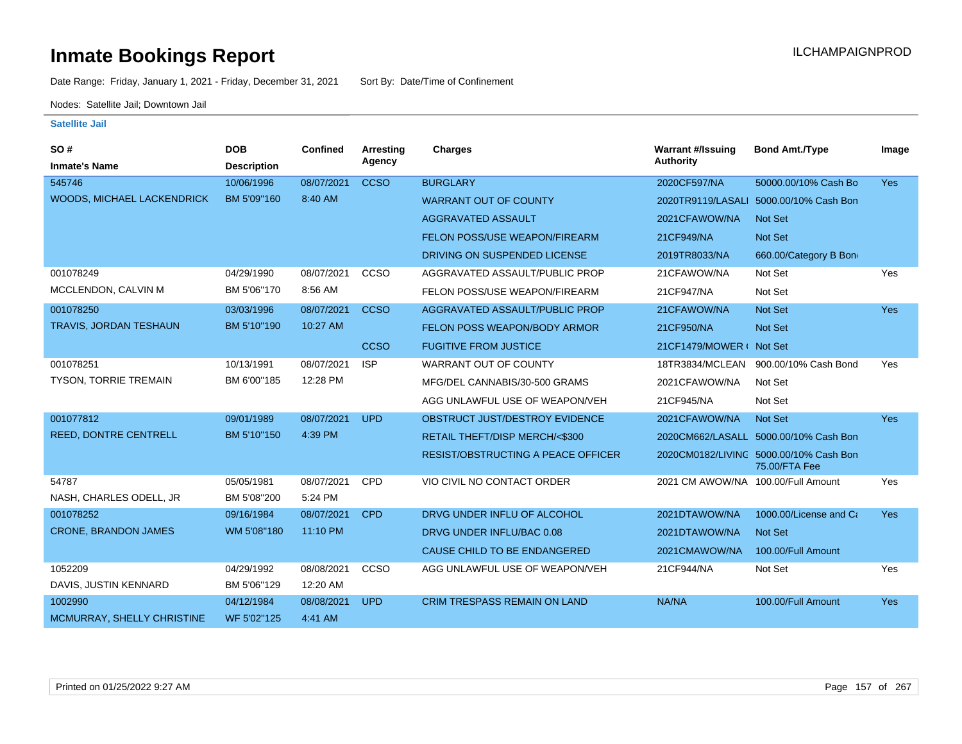Date Range: Friday, January 1, 2021 - Friday, December 31, 2021 Sort By: Date/Time of Confinement

Nodes: Satellite Jail; Downtown Jail

| SO#                          | <b>DOB</b>         | <b>Confined</b> | <b>Arresting</b> | Charges                                   | <b>Warrant #/Issuing</b>           | <b>Bond Amt./Type</b>                                   | Image      |
|------------------------------|--------------------|-----------------|------------------|-------------------------------------------|------------------------------------|---------------------------------------------------------|------------|
| <b>Inmate's Name</b>         | <b>Description</b> |                 | Agency           |                                           | <b>Authority</b>                   |                                                         |            |
| 545746                       | 10/06/1996         | 08/07/2021      | <b>CCSO</b>      | <b>BURGLARY</b>                           | 2020CF597/NA                       | 50000.00/10% Cash Bo                                    | <b>Yes</b> |
| WOODS, MICHAEL LACKENDRICK   | BM 5'09"160        | 8:40 AM         |                  | <b>WARRANT OUT OF COUNTY</b>              |                                    | 2020TR9119/LASALI 5000.00/10% Cash Bon                  |            |
|                              |                    |                 |                  | AGGRAVATED ASSAULT                        | 2021CFAWOW/NA                      | <b>Not Set</b>                                          |            |
|                              |                    |                 |                  | FELON POSS/USE WEAPON/FIREARM             | 21CF949/NA                         | Not Set                                                 |            |
|                              |                    |                 |                  | DRIVING ON SUSPENDED LICENSE              | 2019TR8033/NA                      | 660.00/Category B Bon                                   |            |
| 001078249                    | 04/29/1990         | 08/07/2021      | <b>CCSO</b>      | AGGRAVATED ASSAULT/PUBLIC PROP            | 21CFAWOW/NA                        | Not Set                                                 | Yes        |
| MCCLENDON, CALVIN M          | BM 5'06"170        | 8:56 AM         |                  | FELON POSS/USE WEAPON/FIREARM             | 21CF947/NA                         | Not Set                                                 |            |
| 001078250                    | 03/03/1996         | 08/07/2021      | <b>CCSO</b>      | AGGRAVATED ASSAULT/PUBLIC PROP            | 21CFAWOW/NA                        | <b>Not Set</b>                                          | <b>Yes</b> |
| TRAVIS, JORDAN TESHAUN       | BM 5'10"190        | 10:27 AM        |                  | FELON POSS WEAPON/BODY ARMOR              | 21CF950/NA                         | Not Set                                                 |            |
|                              |                    |                 | <b>CCSO</b>      | <b>FUGITIVE FROM JUSTICE</b>              | 21CF1479/MOWER ( Not Set           |                                                         |            |
| 001078251                    | 10/13/1991         | 08/07/2021      | <b>ISP</b>       | <b>WARRANT OUT OF COUNTY</b>              | 18TR3834/MCLEAN                    | 900.00/10% Cash Bond                                    | Yes        |
| <b>TYSON, TORRIE TREMAIN</b> | BM 6'00"185        | 12:28 PM        |                  | MFG/DEL CANNABIS/30-500 GRAMS             | 2021CFAWOW/NA                      | Not Set                                                 |            |
|                              |                    |                 |                  | AGG UNLAWFUL USE OF WEAPON/VEH            | 21CF945/NA                         | Not Set                                                 |            |
| 001077812                    | 09/01/1989         | 08/07/2021      | <b>UPD</b>       | OBSTRUCT JUST/DESTROY EVIDENCE            | 2021CFAWOW/NA                      | Not Set                                                 | Yes        |
| <b>REED, DONTRE CENTRELL</b> | BM 5'10"150        | 4:39 PM         |                  | RETAIL THEFT/DISP MERCH/<\$300            |                                    | 2020CM662/LASALL 5000.00/10% Cash Bon                   |            |
|                              |                    |                 |                  | <b>RESIST/OBSTRUCTING A PEACE OFFICER</b> |                                    | 2020CM0182/LIVING 5000.00/10% Cash Bon<br>75.00/FTA Fee |            |
| 54787                        | 05/05/1981         | 08/07/2021      | CPD              | VIO CIVIL NO CONTACT ORDER                | 2021 CM AWOW/NA 100.00/Full Amount |                                                         | Yes        |
| NASH, CHARLES ODELL, JR      | BM 5'08"200        | 5:24 PM         |                  |                                           |                                    |                                                         |            |
| 001078252                    | 09/16/1984         | 08/07/2021      | <b>CPD</b>       | DRVG UNDER INFLU OF ALCOHOL               | 2021DTAWOW/NA                      | 1000.00/License and Ca                                  | Yes        |
| <b>CRONE, BRANDON JAMES</b>  | WM 5'08"180        | 11:10 PM        |                  | DRVG UNDER INFLU/BAC 0.08                 | 2021DTAWOW/NA                      | Not Set                                                 |            |
|                              |                    |                 |                  | CAUSE CHILD TO BE ENDANGERED              | 2021CMAWOW/NA                      | 100.00/Full Amount                                      |            |
| 1052209                      | 04/29/1992         | 08/08/2021      | CCSO             | AGG UNLAWFUL USE OF WEAPON/VEH            | 21CF944/NA                         | Not Set                                                 | Yes        |
| DAVIS, JUSTIN KENNARD        | BM 5'06"129        | 12:20 AM        |                  |                                           |                                    |                                                         |            |
| 1002990                      | 04/12/1984         | 08/08/2021      | <b>UPD</b>       | <b>CRIM TRESPASS REMAIN ON LAND</b>       | NA/NA                              | 100.00/Full Amount                                      | Yes        |
| MCMURRAY, SHELLY CHRISTINE   | WF 5'02"125        | 4:41 AM         |                  |                                           |                                    |                                                         |            |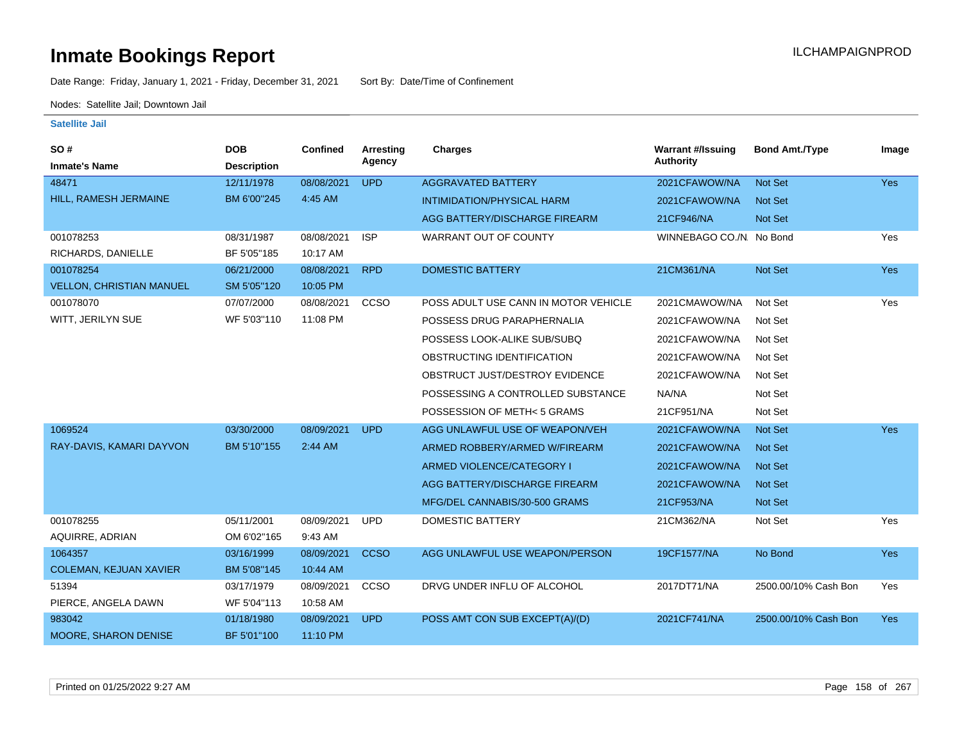Date Range: Friday, January 1, 2021 - Friday, December 31, 2021 Sort By: Date/Time of Confinement

Nodes: Satellite Jail; Downtown Jail

| <b>SO#</b>                      | <b>DOB</b>         | <b>Confined</b> | <b>Arresting</b> | <b>Charges</b>                       | <b>Warrant #/Issuing</b> | <b>Bond Amt./Type</b> | Image      |
|---------------------------------|--------------------|-----------------|------------------|--------------------------------------|--------------------------|-----------------------|------------|
| <b>Inmate's Name</b>            | <b>Description</b> |                 | Agency           |                                      | <b>Authority</b>         |                       |            |
| 48471                           | 12/11/1978         | 08/08/2021      | <b>UPD</b>       | <b>AGGRAVATED BATTERY</b>            | 2021CFAWOW/NA            | Not Set               | <b>Yes</b> |
| HILL, RAMESH JERMAINE           | BM 6'00"245        | 4:45 AM         |                  | <b>INTIMIDATION/PHYSICAL HARM</b>    | 2021CFAWOW/NA            | Not Set               |            |
|                                 |                    |                 |                  | AGG BATTERY/DISCHARGE FIREARM        | 21CF946/NA               | Not Set               |            |
| 001078253                       | 08/31/1987         | 08/08/2021      | <b>ISP</b>       | WARRANT OUT OF COUNTY                | WINNEBAGO CO./N. No Bond |                       | Yes        |
| RICHARDS, DANIELLE              | BF 5'05"185        | 10:17 AM        |                  |                                      |                          |                       |            |
| 001078254                       | 06/21/2000         | 08/08/2021      | <b>RPD</b>       | <b>DOMESTIC BATTERY</b>              | 21CM361/NA               | Not Set               | Yes        |
| <b>VELLON, CHRISTIAN MANUEL</b> | SM 5'05"120        | 10:05 PM        |                  |                                      |                          |                       |            |
| 001078070                       | 07/07/2000         | 08/08/2021      | CCSO             | POSS ADULT USE CANN IN MOTOR VEHICLE | 2021CMAWOW/NA            | Not Set               | Yes        |
| WITT, JERILYN SUE               | WF 5'03"110        | 11:08 PM        |                  | POSSESS DRUG PARAPHERNALIA           | 2021CFAWOW/NA            | Not Set               |            |
|                                 |                    |                 |                  | POSSESS LOOK-ALIKE SUB/SUBQ          | 2021CFAWOW/NA            | Not Set               |            |
|                                 |                    |                 |                  | OBSTRUCTING IDENTIFICATION           | 2021CFAWOW/NA            | Not Set               |            |
|                                 |                    |                 |                  | OBSTRUCT JUST/DESTROY EVIDENCE       | 2021CFAWOW/NA            | Not Set               |            |
|                                 |                    |                 |                  | POSSESSING A CONTROLLED SUBSTANCE    | NA/NA                    | Not Set               |            |
|                                 |                    |                 |                  | POSSESSION OF METH<5 GRAMS           | 21CF951/NA               | Not Set               |            |
| 1069524                         | 03/30/2000         | 08/09/2021      | <b>UPD</b>       | AGG UNLAWFUL USE OF WEAPON/VEH       | 2021CFAWOW/NA            | Not Set               | Yes        |
| RAY-DAVIS, KAMARI DAYVON        | BM 5'10"155        | 2:44 AM         |                  | ARMED ROBBERY/ARMED W/FIREARM        | 2021CFAWOW/NA            | Not Set               |            |
|                                 |                    |                 |                  | ARMED VIOLENCE/CATEGORY I            | 2021CFAWOW/NA            | Not Set               |            |
|                                 |                    |                 |                  | AGG BATTERY/DISCHARGE FIREARM        | 2021CFAWOW/NA            | <b>Not Set</b>        |            |
|                                 |                    |                 |                  | MFG/DEL CANNABIS/30-500 GRAMS        | 21CF953/NA               | Not Set               |            |
| 001078255                       | 05/11/2001         | 08/09/2021      | <b>UPD</b>       | <b>DOMESTIC BATTERY</b>              | 21CM362/NA               | Not Set               | Yes        |
| <b>AQUIRRE, ADRIAN</b>          | OM 6'02"165        | 9:43 AM         |                  |                                      |                          |                       |            |
| 1064357                         | 03/16/1999         | 08/09/2021      | <b>CCSO</b>      | AGG UNLAWFUL USE WEAPON/PERSON       | 19CF1577/NA              | No Bond               | Yes        |
| <b>COLEMAN, KEJUAN XAVIER</b>   | BM 5'08"145        | 10:44 AM        |                  |                                      |                          |                       |            |
| 51394                           | 03/17/1979         | 08/09/2021      | CCSO             | DRVG UNDER INFLU OF ALCOHOL          | 2017DT71/NA              | 2500.00/10% Cash Bon  | Yes        |
| PIERCE, ANGELA DAWN             | WF 5'04"113        | 10:58 AM        |                  |                                      |                          |                       |            |
| 983042                          | 01/18/1980         | 08/09/2021      | <b>UPD</b>       | POSS AMT CON SUB EXCEPT(A)/(D)       | 2021CF741/NA             | 2500.00/10% Cash Bon  | <b>Yes</b> |
| MOORE, SHARON DENISE            | BF 5'01"100        | 11:10 PM        |                  |                                      |                          |                       |            |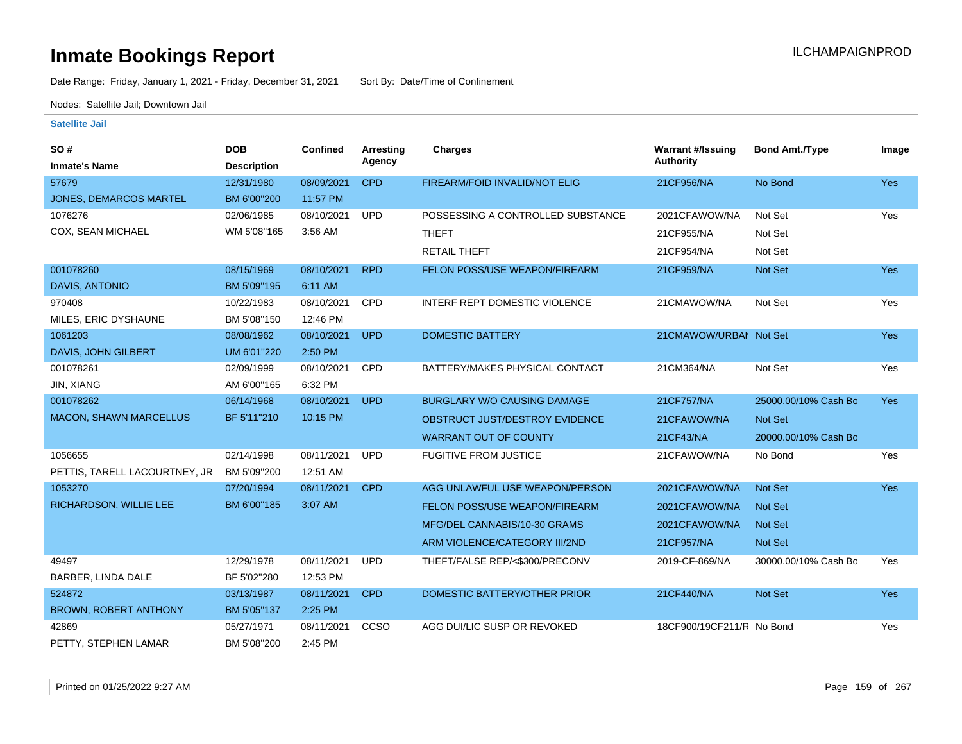Date Range: Friday, January 1, 2021 - Friday, December 31, 2021 Sort By: Date/Time of Confinement

Nodes: Satellite Jail; Downtown Jail

#### **Satellite Jail**

| <b>SO#</b>                    | <b>DOB</b>         | <b>Confined</b> | Arresting  | Charges                              | <b>Warrant #/Issuing</b>  | <b>Bond Amt./Type</b> | Image      |
|-------------------------------|--------------------|-----------------|------------|--------------------------------------|---------------------------|-----------------------|------------|
| <b>Inmate's Name</b>          | <b>Description</b> |                 | Agency     |                                      | <b>Authority</b>          |                       |            |
| 57679                         | 12/31/1980         | 08/09/2021      | <b>CPD</b> | FIREARM/FOID INVALID/NOT ELIG        | 21CF956/NA                | No Bond               | <b>Yes</b> |
| <b>JONES, DEMARCOS MARTEL</b> | BM 6'00"200        | 11:57 PM        |            |                                      |                           |                       |            |
| 1076276                       | 02/06/1985         | 08/10/2021      | <b>UPD</b> | POSSESSING A CONTROLLED SUBSTANCE    | 2021CFAWOW/NA             | Not Set               | Yes        |
| COX, SEAN MICHAEL             | WM 5'08"165        | 3:56 AM         |            | <b>THEFT</b>                         | 21CF955/NA                | Not Set               |            |
|                               |                    |                 |            | <b>RETAIL THEFT</b>                  | 21CF954/NA                | Not Set               |            |
| 001078260                     | 08/15/1969         | 08/10/2021      | <b>RPD</b> | FELON POSS/USE WEAPON/FIREARM        | 21CF959/NA                | <b>Not Set</b>        | Yes        |
| <b>DAVIS, ANTONIO</b>         | BM 5'09"195        | 6:11 AM         |            |                                      |                           |                       |            |
| 970408                        | 10/22/1983         | 08/10/2021      | CPD        | <b>INTERF REPT DOMESTIC VIOLENCE</b> | 21CMAWOW/NA               | Not Set               | Yes        |
| MILES, ERIC DYSHAUNE          | BM 5'08"150        | 12:46 PM        |            |                                      |                           |                       |            |
| 1061203                       | 08/08/1962         | 08/10/2021      | <b>UPD</b> | <b>DOMESTIC BATTERY</b>              | 21CMAWOW/URBAI Not Set    |                       | Yes        |
| DAVIS, JOHN GILBERT           | UM 6'01"220        | 2:50 PM         |            |                                      |                           |                       |            |
| 001078261                     | 02/09/1999         | 08/10/2021      | CPD        | BATTERY/MAKES PHYSICAL CONTACT       | 21CM364/NA                | Not Set               | Yes        |
| <b>JIN, XIANG</b>             | AM 6'00"165        | 6:32 PM         |            |                                      |                           |                       |            |
| 001078262                     | 06/14/1968         | 08/10/2021      | <b>UPD</b> | BURGLARY W/O CAUSING DAMAGE          | 21CF757/NA                | 25000.00/10% Cash Bo  | <b>Yes</b> |
| MACON, SHAWN MARCELLUS        | BF 5'11"210        | 10:15 PM        |            | OBSTRUCT JUST/DESTROY EVIDENCE       | 21CFAWOW/NA               | Not Set               |            |
|                               |                    |                 |            | <b>WARRANT OUT OF COUNTY</b>         | 21CF43/NA                 | 20000.00/10% Cash Bo  |            |
| 1056655                       | 02/14/1998         | 08/11/2021      | <b>UPD</b> | <b>FUGITIVE FROM JUSTICE</b>         | 21CFAWOW/NA               | No Bond               | Yes        |
| PETTIS, TARELL LACOURTNEY, JR | BM 5'09"200        | 12:51 AM        |            |                                      |                           |                       |            |
| 1053270                       | 07/20/1994         | 08/11/2021      | <b>CPD</b> | AGG UNLAWFUL USE WEAPON/PERSON       | 2021CFAWOW/NA             | <b>Not Set</b>        | Yes        |
| RICHARDSON, WILLIE LEE        | BM 6'00"185        | 3:07 AM         |            | FELON POSS/USE WEAPON/FIREARM        | 2021CFAWOW/NA             | Not Set               |            |
|                               |                    |                 |            | MFG/DEL CANNABIS/10-30 GRAMS         | 2021CFAWOW/NA             | <b>Not Set</b>        |            |
|                               |                    |                 |            | ARM VIOLENCE/CATEGORY III/2ND        | 21CF957/NA                | <b>Not Set</b>        |            |
| 49497                         | 12/29/1978         | 08/11/2021      | <b>UPD</b> | THEFT/FALSE REP/<\$300/PRECONV       | 2019-CF-869/NA            | 30000.00/10% Cash Bo  | Yes        |
| BARBER, LINDA DALE            | BF 5'02"280        | 12:53 PM        |            |                                      |                           |                       |            |
| 524872                        | 03/13/1987         | 08/11/2021      | <b>CPD</b> | DOMESTIC BATTERY/OTHER PRIOR         | 21CF440/NA                | Not Set               | Yes        |
| <b>BROWN, ROBERT ANTHONY</b>  | BM 5'05"137        | 2:25 PM         |            |                                      |                           |                       |            |
| 42869                         | 05/27/1971         | 08/11/2021      | CCSO       | AGG DUI/LIC SUSP OR REVOKED          | 18CF900/19CF211/R No Bond |                       | Yes        |
| PETTY, STEPHEN LAMAR          | BM 5'08"200        | 2:45 PM         |            |                                      |                           |                       |            |

Printed on 01/25/2022 9:27 AM Page 159 of 267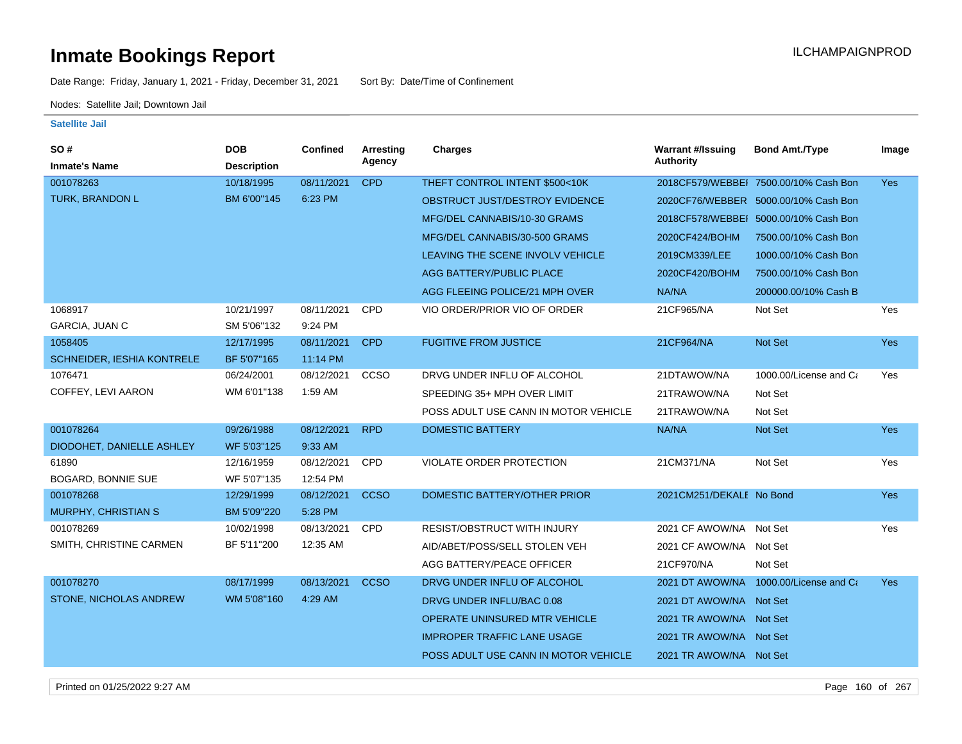Date Range: Friday, January 1, 2021 - Friday, December 31, 2021 Sort By: Date/Time of Confinement

Nodes: Satellite Jail; Downtown Jail

| SO#                               | <b>DOB</b>         | Confined   | <b>Arresting</b><br>Agency | Charges                              | <b>Warrant #/Issuing</b><br><b>Authority</b> | <b>Bond Amt./Type</b>                 | Image      |
|-----------------------------------|--------------------|------------|----------------------------|--------------------------------------|----------------------------------------------|---------------------------------------|------------|
| <b>Inmate's Name</b>              | <b>Description</b> |            |                            |                                      |                                              |                                       |            |
| 001078263                         | 10/18/1995         | 08/11/2021 | <b>CPD</b>                 | THEFT CONTROL INTENT \$500<10K       |                                              | 2018CF579/WEBBEI 7500.00/10% Cash Bon | <b>Yes</b> |
| TURK, BRANDON L                   | BM 6'00"145        | 6:23 PM    |                            | OBSTRUCT JUST/DESTROY EVIDENCE       |                                              | 2020CF76/WEBBER 5000.00/10% Cash Bon  |            |
|                                   |                    |            |                            | MFG/DEL CANNABIS/10-30 GRAMS         |                                              | 2018CF578/WEBBEI 5000.00/10% Cash Bon |            |
|                                   |                    |            |                            | MFG/DEL CANNABIS/30-500 GRAMS        | 2020CF424/BOHM                               | 7500.00/10% Cash Bon                  |            |
|                                   |                    |            |                            | LEAVING THE SCENE INVOLV VEHICLE     | 2019CM339/LEE                                | 1000.00/10% Cash Bon                  |            |
|                                   |                    |            |                            | AGG BATTERY/PUBLIC PLACE             | 2020CF420/BOHM                               | 7500.00/10% Cash Bon                  |            |
|                                   |                    |            |                            | AGG FLEEING POLICE/21 MPH OVER       | NA/NA                                        | 200000.00/10% Cash B                  |            |
| 1068917                           | 10/21/1997         | 08/11/2021 | CPD                        | VIO ORDER/PRIOR VIO OF ORDER         | 21CF965/NA                                   | Not Set                               | Yes        |
| <b>GARCIA, JUAN C</b>             | SM 5'06"132        | 9:24 PM    |                            |                                      |                                              |                                       |            |
| 1058405                           | 12/17/1995         | 08/11/2021 | <b>CPD</b>                 | <b>FUGITIVE FROM JUSTICE</b>         | 21CF964/NA                                   | <b>Not Set</b>                        | <b>Yes</b> |
| <b>SCHNEIDER, IESHIA KONTRELE</b> | BF 5'07"165        | 11:14 PM   |                            |                                      |                                              |                                       |            |
| 1076471                           | 06/24/2001         | 08/12/2021 | CCSO                       | DRVG UNDER INFLU OF ALCOHOL          | 21DTAWOW/NA                                  | 1000.00/License and Ca                | Yes        |
| COFFEY, LEVI AARON                | WM 6'01"138        | 1:59 AM    |                            | SPEEDING 35+ MPH OVER LIMIT          | 21TRAWOW/NA                                  | Not Set                               |            |
|                                   |                    |            |                            | POSS ADULT USE CANN IN MOTOR VEHICLE | 21TRAWOW/NA                                  | Not Set                               |            |
| 001078264                         | 09/26/1988         | 08/12/2021 | <b>RPD</b>                 | <b>DOMESTIC BATTERY</b>              | NA/NA                                        | Not Set                               | Yes        |
| DIODOHET, DANIELLE ASHLEY         | WF 5'03"125        | 9:33 AM    |                            |                                      |                                              |                                       |            |
| 61890                             | 12/16/1959         | 08/12/2021 | <b>CPD</b>                 | <b>VIOLATE ORDER PROTECTION</b>      | 21CM371/NA                                   | Not Set                               | Yes        |
| <b>BOGARD, BONNIE SUE</b>         | WF 5'07"135        | 12:54 PM   |                            |                                      |                                              |                                       |            |
| 001078268                         | 12/29/1999         | 08/12/2021 | <b>CCSO</b>                | DOMESTIC BATTERY/OTHER PRIOR         | 2021CM251/DEKALE No Bond                     |                                       | <b>Yes</b> |
| MURPHY, CHRISTIAN S               | BM 5'09"220        | 5:28 PM    |                            |                                      |                                              |                                       |            |
| 001078269                         | 10/02/1998         | 08/13/2021 | CPD                        | RESIST/OBSTRUCT WITH INJURY          | 2021 CF AWOW/NA Not Set                      |                                       | Yes        |
| SMITH, CHRISTINE CARMEN           | BF 5'11"200        | 12:35 AM   |                            | AID/ABET/POSS/SELL STOLEN VEH        | 2021 CF AWOW/NA Not Set                      |                                       |            |
|                                   |                    |            |                            | AGG BATTERY/PEACE OFFICER            | 21CF970/NA                                   | Not Set                               |            |
| 001078270                         | 08/17/1999         | 08/13/2021 | <b>CCSO</b>                | DRVG UNDER INFLU OF ALCOHOL          | 2021 DT AWOW/NA                              | 1000.00/License and Ca                | Yes        |
| <b>STONE, NICHOLAS ANDREW</b>     | WM 5'08"160        | 4:29 AM    |                            | DRVG UNDER INFLU/BAC 0.08            | 2021 DT AWOW/NA Not Set                      |                                       |            |
|                                   |                    |            |                            | OPERATE UNINSURED MTR VEHICLE        | 2021 TR AWOW/NA Not Set                      |                                       |            |
|                                   |                    |            |                            | <b>IMPROPER TRAFFIC LANE USAGE</b>   | 2021 TR AWOW/NA Not Set                      |                                       |            |
|                                   |                    |            |                            | POSS ADULT USE CANN IN MOTOR VEHICLE | 2021 TR AWOW/NA Not Set                      |                                       |            |
|                                   |                    |            |                            |                                      |                                              |                                       |            |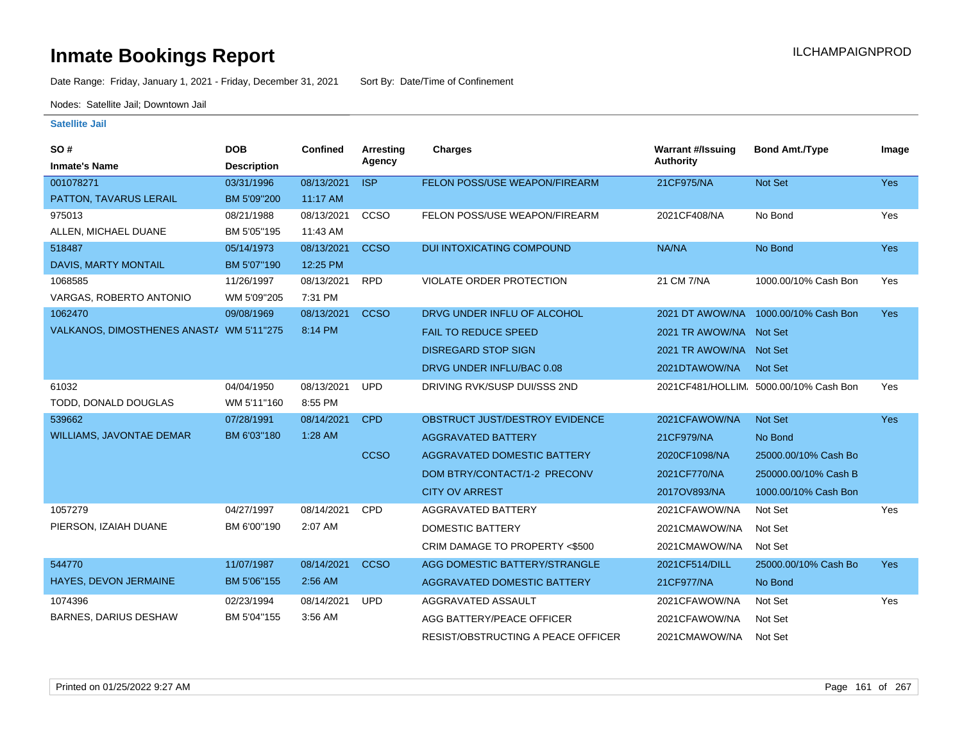Date Range: Friday, January 1, 2021 - Friday, December 31, 2021 Sort By: Date/Time of Confinement

Nodes: Satellite Jail; Downtown Jail

| SO#                                      | <b>DOB</b>         | <b>Confined</b> | <b>Arresting</b> | <b>Charges</b>                     | <b>Warrant #/Issuing</b> | <b>Bond Amt./Type</b>                 | Image      |
|------------------------------------------|--------------------|-----------------|------------------|------------------------------------|--------------------------|---------------------------------------|------------|
| <b>Inmate's Name</b>                     | <b>Description</b> |                 | Agency           |                                    | <b>Authority</b>         |                                       |            |
| 001078271                                | 03/31/1996         | 08/13/2021      | <b>ISP</b>       | FELON POSS/USE WEAPON/FIREARM      | 21CF975/NA               | Not Set                               | <b>Yes</b> |
| PATTON, TAVARUS LERAIL                   | BM 5'09"200        | 11:17 AM        |                  |                                    |                          |                                       |            |
| 975013                                   | 08/21/1988         | 08/13/2021      | <b>CCSO</b>      | FELON POSS/USE WEAPON/FIREARM      | 2021CF408/NA             | No Bond                               | Yes        |
| ALLEN, MICHAEL DUANE                     | BM 5'05"195        | 11:43 AM        |                  |                                    |                          |                                       |            |
| 518487                                   | 05/14/1973         | 08/13/2021      | <b>CCSO</b>      | DUI INTOXICATING COMPOUND          | NA/NA                    | No Bond                               | Yes        |
| DAVIS, MARTY MONTAIL                     | BM 5'07"190        | 12:25 PM        |                  |                                    |                          |                                       |            |
| 1068585                                  | 11/26/1997         | 08/13/2021      | <b>RPD</b>       | <b>VIOLATE ORDER PROTECTION</b>    | 21 CM 7/NA               | 1000.00/10% Cash Bon                  | Yes        |
| VARGAS, ROBERTO ANTONIO                  | WM 5'09"205        | 7:31 PM         |                  |                                    |                          |                                       |            |
| 1062470                                  | 09/08/1969         | 08/13/2021      | <b>CCSO</b>      | DRVG UNDER INFLU OF ALCOHOL        |                          | 2021 DT AWOW/NA 1000.00/10% Cash Bon  | <b>Yes</b> |
| VALKANOS, DIMOSTHENES ANAST/ WM 5'11"275 |                    | 8:14 PM         |                  | <b>FAIL TO REDUCE SPEED</b>        | 2021 TR AWOW/NA Not Set  |                                       |            |
|                                          |                    |                 |                  | <b>DISREGARD STOP SIGN</b>         | 2021 TR AWOW/NA Not Set  |                                       |            |
|                                          |                    |                 |                  | DRVG UNDER INFLU/BAC 0.08          | 2021DTAWOW/NA            | Not Set                               |            |
| 61032                                    | 04/04/1950         | 08/13/2021      | <b>UPD</b>       | DRIVING RVK/SUSP DUI/SSS 2ND       |                          | 2021CF481/HOLLIM 5000.00/10% Cash Bon | Yes        |
| TODD, DONALD DOUGLAS                     | WM 5'11"160        | 8:55 PM         |                  |                                    |                          |                                       |            |
| 539662                                   | 07/28/1991         | 08/14/2021      | <b>CPD</b>       | OBSTRUCT JUST/DESTROY EVIDENCE     | 2021CFAWOW/NA            | Not Set                               | Yes        |
| <b>WILLIAMS, JAVONTAE DEMAR</b>          | BM 6'03"180        | 1:28 AM         |                  | AGGRAVATED BATTERY                 | 21CF979/NA               | No Bond                               |            |
|                                          |                    |                 | <b>CCSO</b>      | AGGRAVATED DOMESTIC BATTERY        | 2020CF1098/NA            | 25000.00/10% Cash Bo                  |            |
|                                          |                    |                 |                  | DOM BTRY/CONTACT/1-2 PRECONV       | 2021CF770/NA             | 250000.00/10% Cash B                  |            |
|                                          |                    |                 |                  | <b>CITY OV ARREST</b>              | 2017OV893/NA             | 1000.00/10% Cash Bon                  |            |
| 1057279                                  | 04/27/1997         | 08/14/2021      | <b>CPD</b>       | AGGRAVATED BATTERY                 | 2021CFAWOW/NA            | Not Set                               | Yes        |
| PIERSON, IZAIAH DUANE                    | BM 6'00"190        | 2:07 AM         |                  | <b>DOMESTIC BATTERY</b>            | 2021CMAWOW/NA            | Not Set                               |            |
|                                          |                    |                 |                  | CRIM DAMAGE TO PROPERTY <\$500     | 2021CMAWOW/NA            | Not Set                               |            |
| 544770                                   | 11/07/1987         | 08/14/2021      | <b>CCSO</b>      | AGG DOMESTIC BATTERY/STRANGLE      | 2021CF514/DILL           | 25000.00/10% Cash Bo                  | <b>Yes</b> |
| HAYES, DEVON JERMAINE                    | BM 5'06"155        | 2:56 AM         |                  | AGGRAVATED DOMESTIC BATTERY        | 21CF977/NA               | No Bond                               |            |
| 1074396                                  | 02/23/1994         | 08/14/2021      | <b>UPD</b>       | AGGRAVATED ASSAULT                 | 2021CFAWOW/NA            | Not Set                               | Yes        |
| <b>BARNES, DARIUS DESHAW</b>             | BM 5'04"155        | 3:56 AM         |                  | AGG BATTERY/PEACE OFFICER          | 2021CFAWOW/NA            | Not Set                               |            |
|                                          |                    |                 |                  | RESIST/OBSTRUCTING A PEACE OFFICER | 2021CMAWOW/NA            | Not Set                               |            |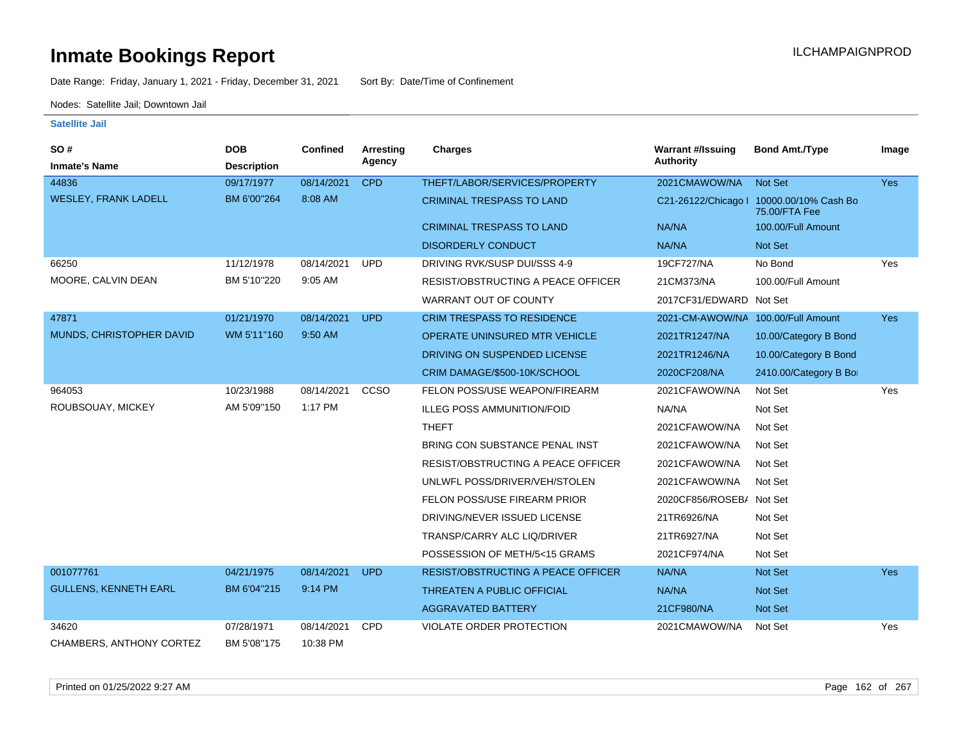Date Range: Friday, January 1, 2021 - Friday, December 31, 2021 Sort By: Date/Time of Confinement

Nodes: Satellite Jail; Downtown Jail

| SO#                          | <b>DOB</b>         | <b>Confined</b> | <b>Arresting</b> | <b>Charges</b>                            | <b>Warrant #/Issuing</b>           | <b>Bond Amt./Type</b>                                     | Image      |
|------------------------------|--------------------|-----------------|------------------|-------------------------------------------|------------------------------------|-----------------------------------------------------------|------------|
| <b>Inmate's Name</b>         | <b>Description</b> |                 | Agency           |                                           | <b>Authority</b>                   |                                                           |            |
| 44836                        | 09/17/1977         | 08/14/2021      | <b>CPD</b>       | THEFT/LABOR/SERVICES/PROPERTY             | 2021CMAWOW/NA                      | Not Set                                                   | <b>Yes</b> |
| <b>WESLEY, FRANK LADELL</b>  | BM 6'00"264        | 8:08 AM         |                  | <b>CRIMINAL TRESPASS TO LAND</b>          |                                    | C21-26122/Chicago   10000.00/10% Cash Bo<br>75.00/FTA Fee |            |
|                              |                    |                 |                  | <b>CRIMINAL TRESPASS TO LAND</b>          | NA/NA                              | 100.00/Full Amount                                        |            |
|                              |                    |                 |                  | <b>DISORDERLY CONDUCT</b>                 | NA/NA                              | Not Set                                                   |            |
| 66250                        | 11/12/1978         | 08/14/2021      | <b>UPD</b>       | DRIVING RVK/SUSP DUI/SSS 4-9              | 19CF727/NA                         | No Bond                                                   | Yes        |
| MOORE, CALVIN DEAN           | BM 5'10"220        | 9:05 AM         |                  | <b>RESIST/OBSTRUCTING A PEACE OFFICER</b> | 21CM373/NA                         | 100.00/Full Amount                                        |            |
|                              |                    |                 |                  | WARRANT OUT OF COUNTY                     | 2017CF31/EDWARD Not Set            |                                                           |            |
| 47871                        | 01/21/1970         | 08/14/2021      | <b>UPD</b>       | <b>CRIM TRESPASS TO RESIDENCE</b>         | 2021-CM-AWOW/NA 100.00/Full Amount |                                                           | <b>Yes</b> |
| MUNDS, CHRISTOPHER DAVID     | WM 5'11"160        | 9:50 AM         |                  | OPERATE UNINSURED MTR VEHICLE             | 2021TR1247/NA                      | 10.00/Category B Bond                                     |            |
|                              |                    |                 |                  | DRIVING ON SUSPENDED LICENSE              | 2021TR1246/NA                      | 10.00/Category B Bond                                     |            |
|                              |                    |                 |                  | CRIM DAMAGE/\$500-10K/SCHOOL              | 2020CF208/NA                       | 2410.00/Category B Bo                                     |            |
| 964053                       | 10/23/1988         | 08/14/2021      | <b>CCSO</b>      | FELON POSS/USE WEAPON/FIREARM             | 2021CFAWOW/NA                      | Not Set                                                   | Yes        |
| ROUBSOUAY, MICKEY            | AM 5'09"150        | 1:17 PM         |                  | <b>ILLEG POSS AMMUNITION/FOID</b>         | NA/NA                              | Not Set                                                   |            |
|                              |                    |                 |                  | <b>THEFT</b>                              | 2021CFAWOW/NA                      | Not Set                                                   |            |
|                              |                    |                 |                  | BRING CON SUBSTANCE PENAL INST            | 2021CFAWOW/NA                      | Not Set                                                   |            |
|                              |                    |                 |                  | <b>RESIST/OBSTRUCTING A PEACE OFFICER</b> | 2021CFAWOW/NA                      | Not Set                                                   |            |
|                              |                    |                 |                  | UNLWFL POSS/DRIVER/VEH/STOLEN             | 2021CFAWOW/NA                      | Not Set                                                   |            |
|                              |                    |                 |                  | FELON POSS/USE FIREARM PRIOR              | 2020CF856/ROSEB/ Not Set           |                                                           |            |
|                              |                    |                 |                  | DRIVING/NEVER ISSUED LICENSE              | 21TR6926/NA                        | Not Set                                                   |            |
|                              |                    |                 |                  | TRANSP/CARRY ALC LIQ/DRIVER               | 21TR6927/NA                        | Not Set                                                   |            |
|                              |                    |                 |                  | POSSESSION OF METH/5<15 GRAMS             | 2021CF974/NA                       | Not Set                                                   |            |
| 001077761                    | 04/21/1975         | 08/14/2021      | <b>UPD</b>       | <b>RESIST/OBSTRUCTING A PEACE OFFICER</b> | NA/NA                              | <b>Not Set</b>                                            | Yes        |
| <b>GULLENS, KENNETH EARL</b> | BM 6'04"215        | 9:14 PM         |                  | THREATEN A PUBLIC OFFICIAL                | NA/NA                              | <b>Not Set</b>                                            |            |
|                              |                    |                 |                  | <b>AGGRAVATED BATTERY</b>                 | 21CF980/NA                         | Not Set                                                   |            |
| 34620                        | 07/28/1971         | 08/14/2021      | <b>CPD</b>       | VIOLATE ORDER PROTECTION                  | 2021CMAWOW/NA                      | Not Set                                                   | Yes        |
| CHAMBERS, ANTHONY CORTEZ     | BM 5'08"175        | 10:38 PM        |                  |                                           |                                    |                                                           |            |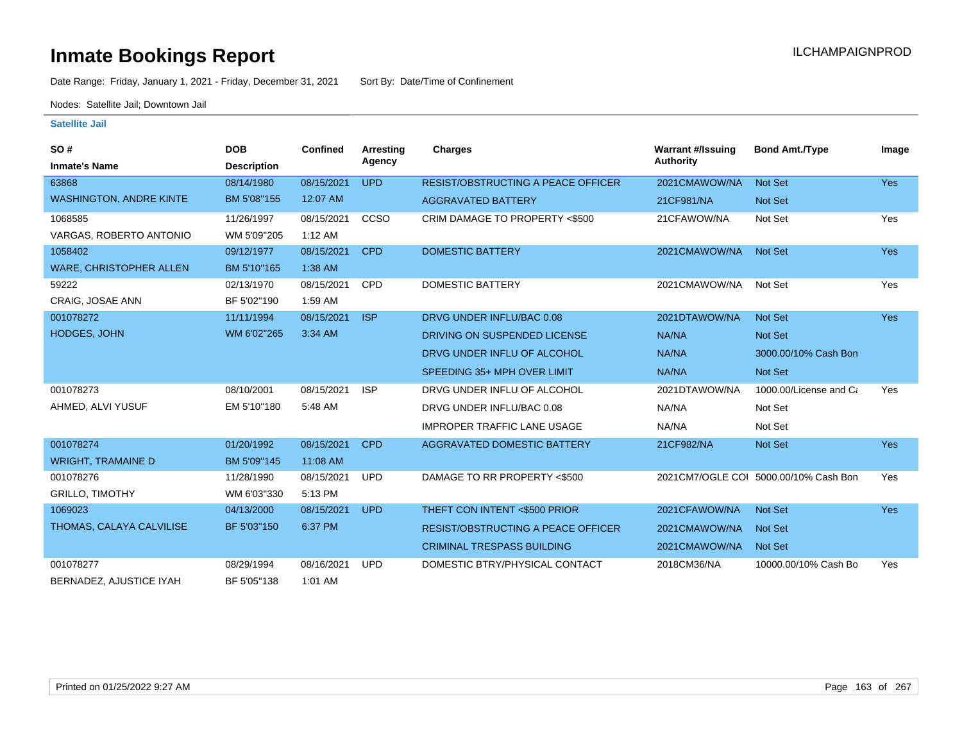Date Range: Friday, January 1, 2021 - Friday, December 31, 2021 Sort By: Date/Time of Confinement

Nodes: Satellite Jail; Downtown Jail

| <b>SO#</b>                     | <b>DOB</b>         | <b>Confined</b> | <b>Arresting</b> | <b>Charges</b>                            | <b>Warrant #/Issuing</b> | <b>Bond Amt./Type</b>                  | Image      |
|--------------------------------|--------------------|-----------------|------------------|-------------------------------------------|--------------------------|----------------------------------------|------------|
| <b>Inmate's Name</b>           | <b>Description</b> |                 | Agency           |                                           | <b>Authority</b>         |                                        |            |
| 63868                          | 08/14/1980         | 08/15/2021      | <b>UPD</b>       | <b>RESIST/OBSTRUCTING A PEACE OFFICER</b> | 2021CMAWOW/NA            | <b>Not Set</b>                         | <b>Yes</b> |
| <b>WASHINGTON, ANDRE KINTE</b> | BM 5'08"155        | 12:07 AM        |                  | <b>AGGRAVATED BATTERY</b>                 | 21CF981/NA               | <b>Not Set</b>                         |            |
| 1068585                        | 11/26/1997         | 08/15/2021      | CCSO             | CRIM DAMAGE TO PROPERTY <\$500            | 21CFAWOW/NA              | Not Set                                | Yes        |
| VARGAS, ROBERTO ANTONIO        | WM 5'09"205        | 1:12 AM         |                  |                                           |                          |                                        |            |
| 1058402                        | 09/12/1977         | 08/15/2021      | <b>CPD</b>       | <b>DOMESTIC BATTERY</b>                   | 2021CMAWOW/NA            | Not Set                                | Yes        |
| <b>WARE, CHRISTOPHER ALLEN</b> | BM 5'10"165        | 1:38 AM         |                  |                                           |                          |                                        |            |
| 59222                          | 02/13/1970         | 08/15/2021      | <b>CPD</b>       | <b>DOMESTIC BATTERY</b>                   | 2021CMAWOW/NA            | Not Set                                | Yes        |
| CRAIG, JOSAE ANN               | BF 5'02"190        | 1:59 AM         |                  |                                           |                          |                                        |            |
| 001078272                      | 11/11/1994         | 08/15/2021      | <b>ISP</b>       | DRVG UNDER INFLU/BAC 0.08                 | 2021DTAWOW/NA            | <b>Not Set</b>                         | <b>Yes</b> |
| <b>HODGES, JOHN</b>            | WM 6'02"265        | 3:34 AM         |                  | DRIVING ON SUSPENDED LICENSE              | NA/NA                    | Not Set                                |            |
|                                |                    |                 |                  | DRVG UNDER INFLU OF ALCOHOL               | NA/NA                    | 3000.00/10% Cash Bon                   |            |
|                                |                    |                 |                  | SPEEDING 35+ MPH OVER LIMIT               | NA/NA                    | Not Set                                |            |
| 001078273                      | 08/10/2001         | 08/15/2021      | <b>ISP</b>       | DRVG UNDER INFLU OF ALCOHOL               | 2021DTAWOW/NA            | 1000.00/License and Ca                 | Yes        |
| AHMED, ALVI YUSUF              | EM 5'10"180        | 5:48 AM         |                  | DRVG UNDER INFLU/BAC 0.08                 | NA/NA                    | Not Set                                |            |
|                                |                    |                 |                  | <b>IMPROPER TRAFFIC LANE USAGE</b>        | NA/NA                    | Not Set                                |            |
| 001078274                      | 01/20/1992         | 08/15/2021      | <b>CPD</b>       | <b>AGGRAVATED DOMESTIC BATTERY</b>        | 21CF982/NA               | Not Set                                | Yes        |
| <b>WRIGHT, TRAMAINE D</b>      | BM 5'09"145        | 11:08 AM        |                  |                                           |                          |                                        |            |
| 001078276                      | 11/28/1990         | 08/15/2021      | <b>UPD</b>       | DAMAGE TO RR PROPERTY <\$500              |                          | 2021 CM7/OGLE COI 5000.00/10% Cash Bon | Yes        |
| <b>GRILLO, TIMOTHY</b>         | WM 6'03"330        | 5:13 PM         |                  |                                           |                          |                                        |            |
| 1069023                        | 04/13/2000         | 08/15/2021      | <b>UPD</b>       | THEFT CON INTENT <\$500 PRIOR             | 2021CFAWOW/NA            | Not Set                                | Yes        |
| THOMAS, CALAYA CALVILISE       | BF 5'03"150        | 6:37 PM         |                  | <b>RESIST/OBSTRUCTING A PEACE OFFICER</b> | 2021CMAWOW/NA            | <b>Not Set</b>                         |            |
|                                |                    |                 |                  | <b>CRIMINAL TRESPASS BUILDING</b>         | 2021CMAWOW/NA            | <b>Not Set</b>                         |            |
| 001078277                      | 08/29/1994         | 08/16/2021      | <b>UPD</b>       | DOMESTIC BTRY/PHYSICAL CONTACT            | 2018CM36/NA              | 10000.00/10% Cash Bo                   | Yes        |
| BERNADEZ, AJUSTICE IYAH        | BF 5'05"138        | 1:01 AM         |                  |                                           |                          |                                        |            |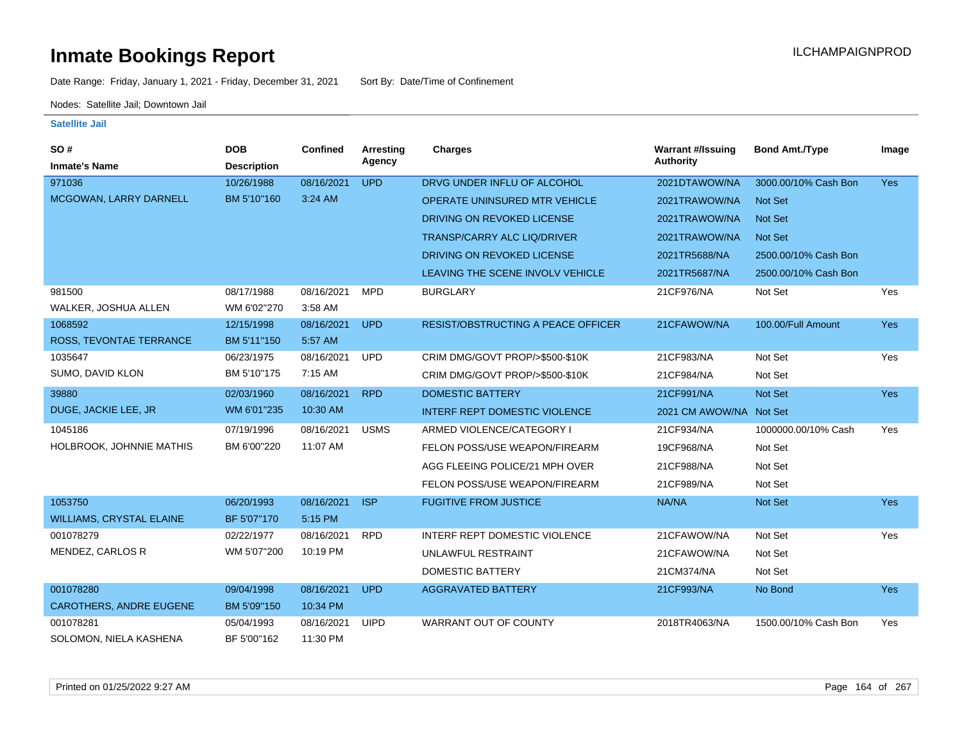Date Range: Friday, January 1, 2021 - Friday, December 31, 2021 Sort By: Date/Time of Confinement

Nodes: Satellite Jail; Downtown Jail

| <b>SO#</b>                      | <b>DOB</b>         | Confined   | <b>Arresting</b> | <b>Charges</b>                            | <b>Warrant #/Issuing</b> | <b>Bond Amt./Type</b> | Image      |
|---------------------------------|--------------------|------------|------------------|-------------------------------------------|--------------------------|-----------------------|------------|
| <b>Inmate's Name</b>            | <b>Description</b> |            | Agency           |                                           | <b>Authority</b>         |                       |            |
| 971036                          | 10/26/1988         | 08/16/2021 | <b>UPD</b>       | DRVG UNDER INFLU OF ALCOHOL               | 2021DTAWOW/NA            | 3000.00/10% Cash Bon  | <b>Yes</b> |
| MCGOWAN, LARRY DARNELL          | BM 5'10"160        | 3:24 AM    |                  | OPERATE UNINSURED MTR VEHICLE             | 2021TRAWOW/NA            | <b>Not Set</b>        |            |
|                                 |                    |            |                  | DRIVING ON REVOKED LICENSE                | 2021TRAWOW/NA            | <b>Not Set</b>        |            |
|                                 |                    |            |                  | <b>TRANSP/CARRY ALC LIQ/DRIVER</b>        | 2021TRAWOW/NA            | <b>Not Set</b>        |            |
|                                 |                    |            |                  | DRIVING ON REVOKED LICENSE                | 2021TR5688/NA            | 2500.00/10% Cash Bon  |            |
|                                 |                    |            |                  | LEAVING THE SCENE INVOLV VEHICLE          | 2021TR5687/NA            | 2500.00/10% Cash Bon  |            |
| 981500                          | 08/17/1988         | 08/16/2021 | <b>MPD</b>       | <b>BURGLARY</b>                           | 21CF976/NA               | Not Set               | Yes        |
| WALKER, JOSHUA ALLEN            | WM 6'02"270        | 3:58 AM    |                  |                                           |                          |                       |            |
| 1068592                         | 12/15/1998         | 08/16/2021 | <b>UPD</b>       | <b>RESIST/OBSTRUCTING A PEACE OFFICER</b> | 21CFAWOW/NA              | 100.00/Full Amount    | Yes        |
| ROSS, TEVONTAE TERRANCE         | BM 5'11"150        | 5:57 AM    |                  |                                           |                          |                       |            |
| 1035647                         | 06/23/1975         | 08/16/2021 | <b>UPD</b>       | CRIM DMG/GOVT PROP/>\$500-\$10K           | 21CF983/NA               | Not Set               | Yes        |
| SUMO, DAVID KLON                | BM 5'10"175        | 7:15 AM    |                  | CRIM DMG/GOVT PROP/>\$500-\$10K           | 21CF984/NA               | Not Set               |            |
| 39880                           | 02/03/1960         | 08/16/2021 | <b>RPD</b>       | <b>DOMESTIC BATTERY</b>                   | 21CF991/NA               | Not Set               | Yes        |
| DUGE, JACKIE LEE, JR            | WM 6'01"235        | 10:30 AM   |                  | <b>INTERF REPT DOMESTIC VIOLENCE</b>      | 2021 CM AWOW/NA Not Set  |                       |            |
| 1045186                         | 07/19/1996         | 08/16/2021 | <b>USMS</b>      | ARMED VIOLENCE/CATEGORY I                 | 21CF934/NA               | 1000000.00/10% Cash   | Yes        |
| HOLBROOK, JOHNNIE MATHIS        | BM 6'00"220        | 11:07 AM   |                  | FELON POSS/USE WEAPON/FIREARM             | 19CF968/NA               | Not Set               |            |
|                                 |                    |            |                  | AGG FLEEING POLICE/21 MPH OVER            | 21CF988/NA               | Not Set               |            |
|                                 |                    |            |                  | FELON POSS/USE WEAPON/FIREARM             | 21CF989/NA               | Not Set               |            |
| 1053750                         | 06/20/1993         | 08/16/2021 | <b>ISP</b>       | <b>FUGITIVE FROM JUSTICE</b>              | NA/NA                    | Not Set               | Yes        |
| <b>WILLIAMS, CRYSTAL ELAINE</b> | BF 5'07"170        | 5:15 PM    |                  |                                           |                          |                       |            |
| 001078279                       | 02/22/1977         | 08/16/2021 | <b>RPD</b>       | INTERF REPT DOMESTIC VIOLENCE             | 21CFAWOW/NA              | Not Set               | Yes        |
| MENDEZ, CARLOS R                | WM 5'07"200        | 10:19 PM   |                  | UNLAWFUL RESTRAINT                        | 21CFAWOW/NA              | Not Set               |            |
|                                 |                    |            |                  | <b>DOMESTIC BATTERY</b>                   | 21CM374/NA               | Not Set               |            |
| 001078280                       | 09/04/1998         | 08/16/2021 | <b>UPD</b>       | <b>AGGRAVATED BATTERY</b>                 | 21CF993/NA               | No Bond               | Yes        |
| <b>CAROTHERS, ANDRE EUGENE</b>  | BM 5'09"150        | 10:34 PM   |                  |                                           |                          |                       |            |
| 001078281                       | 05/04/1993         | 08/16/2021 | <b>UIPD</b>      | <b>WARRANT OUT OF COUNTY</b>              | 2018TR4063/NA            | 1500.00/10% Cash Bon  | Yes        |
| SOLOMON, NIELA KASHENA          | BF 5'00"162        | 11:30 PM   |                  |                                           |                          |                       |            |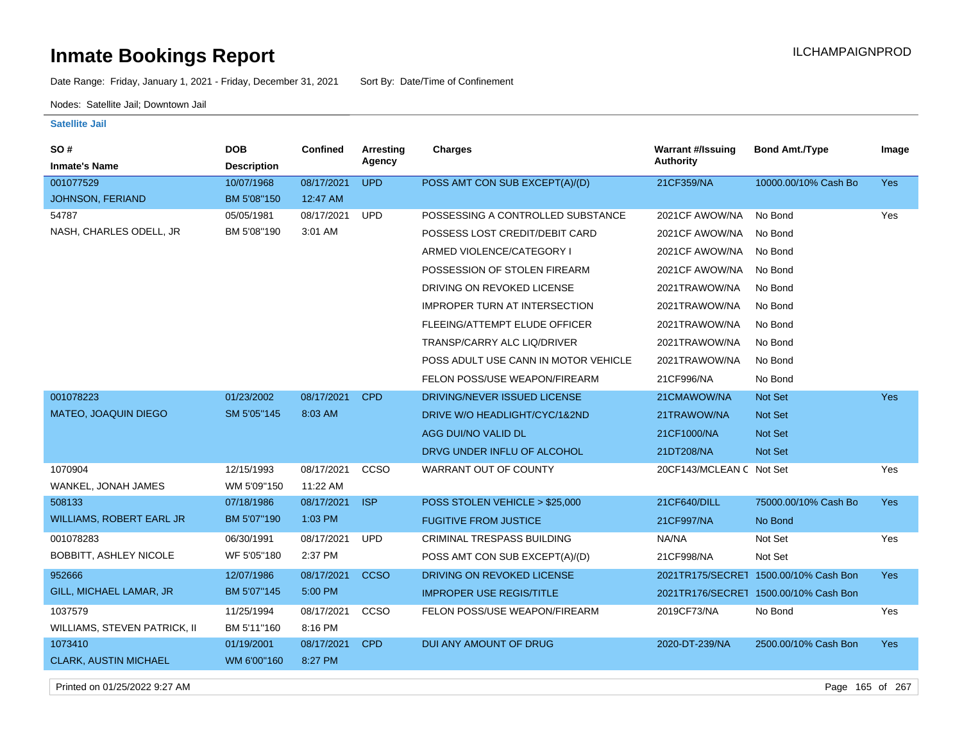Date Range: Friday, January 1, 2021 - Friday, December 31, 2021 Sort By: Date/Time of Confinement

Nodes: Satellite Jail; Downtown Jail

**Satellite Jail**

| <b>SO#</b><br><b>Inmate's Name</b>  | <b>DOB</b><br><b>Description</b> | Confined   | Arresting<br>Agency | Charges                              | <b>Warrant #/Issuing</b><br>Authority | <b>Bond Amt./Type</b>                 | Image      |
|-------------------------------------|----------------------------------|------------|---------------------|--------------------------------------|---------------------------------------|---------------------------------------|------------|
| 001077529                           | 10/07/1968                       | 08/17/2021 | <b>UPD</b>          | POSS AMT CON SUB EXCEPT(A)/(D)       | 21CF359/NA                            | 10000.00/10% Cash Bo                  | <b>Yes</b> |
| <b>JOHNSON, FERIAND</b>             | BM 5'08"150                      | 12:47 AM   |                     |                                      |                                       |                                       |            |
| 54787                               | 05/05/1981                       | 08/17/2021 | <b>UPD</b>          | POSSESSING A CONTROLLED SUBSTANCE    | 2021CF AWOW/NA                        | No Bond                               | Yes        |
| NASH, CHARLES ODELL, JR             | BM 5'08"190                      | 3:01 AM    |                     | POSSESS LOST CREDIT/DEBIT CARD       | 2021CF AWOW/NA                        | No Bond                               |            |
|                                     |                                  |            |                     | ARMED VIOLENCE/CATEGORY I            | 2021CF AWOW/NA                        | No Bond                               |            |
|                                     |                                  |            |                     | POSSESSION OF STOLEN FIREARM         | 2021CF AWOW/NA                        | No Bond                               |            |
|                                     |                                  |            |                     | DRIVING ON REVOKED LICENSE           | 2021TRAWOW/NA                         | No Bond                               |            |
|                                     |                                  |            |                     | <b>IMPROPER TURN AT INTERSECTION</b> | 2021TRAWOW/NA                         | No Bond                               |            |
|                                     |                                  |            |                     | FLEEING/ATTEMPT ELUDE OFFICER        | 2021TRAWOW/NA                         | No Bond                               |            |
|                                     |                                  |            |                     | TRANSP/CARRY ALC LIQ/DRIVER          | 2021TRAWOW/NA                         | No Bond                               |            |
|                                     |                                  |            |                     | POSS ADULT USE CANN IN MOTOR VEHICLE | 2021TRAWOW/NA                         | No Bond                               |            |
|                                     |                                  |            |                     | FELON POSS/USE WEAPON/FIREARM        | 21CF996/NA                            | No Bond                               |            |
| 001078223                           | 01/23/2002                       | 08/17/2021 | <b>CPD</b>          | DRIVING/NEVER ISSUED LICENSE         | 21CMAWOW/NA                           | <b>Not Set</b>                        | <b>Yes</b> |
| <b>MATEO, JOAQUIN DIEGO</b>         | SM 5'05"145                      | 8:03 AM    |                     | DRIVE W/O HEADLIGHT/CYC/1&2ND        | 21TRAWOW/NA                           | <b>Not Set</b>                        |            |
|                                     |                                  |            |                     | AGG DUI/NO VALID DL                  | 21CF1000/NA                           | Not Set                               |            |
|                                     |                                  |            |                     | DRVG UNDER INFLU OF ALCOHOL          | 21DT208/NA                            | <b>Not Set</b>                        |            |
| 1070904                             | 12/15/1993                       | 08/17/2021 | CCSO                | WARRANT OUT OF COUNTY                | 20CF143/MCLEAN C Not Set              |                                       | Yes        |
| WANKEL, JONAH JAMES                 | WM 5'09"150                      | 11:22 AM   |                     |                                      |                                       |                                       |            |
| 508133                              | 07/18/1986                       | 08/17/2021 | <b>ISP</b>          | POSS STOLEN VEHICLE > \$25,000       | 21CF640/DILL                          | 75000.00/10% Cash Bo                  | <b>Yes</b> |
| WILLIAMS, ROBERT EARL JR            | BM 5'07"190                      | 1:03 PM    |                     | <b>FUGITIVE FROM JUSTICE</b>         | 21CF997/NA                            | No Bond                               |            |
| 001078283                           | 06/30/1991                       | 08/17/2021 | <b>UPD</b>          | <b>CRIMINAL TRESPASS BUILDING</b>    | NA/NA                                 | Not Set                               | Yes        |
| BOBBITT, ASHLEY NICOLE              | WF 5'05"180                      | 2:37 PM    |                     | POSS AMT CON SUB EXCEPT(A)/(D)       | 21CF998/NA                            | Not Set                               |            |
| 952666                              | 12/07/1986                       | 08/17/2021 | <b>CCSO</b>         | DRIVING ON REVOKED LICENSE           |                                       | 2021TR175/SECRET 1500.00/10% Cash Bon | <b>Yes</b> |
| GILL, MICHAEL LAMAR, JR             | BM 5'07"145                      | 5:00 PM    |                     | <b>IMPROPER USE REGIS/TITLE</b>      |                                       | 2021TR176/SECRET 1500.00/10% Cash Bon |            |
| 1037579                             | 11/25/1994                       | 08/17/2021 | CCSO                | FELON POSS/USE WEAPON/FIREARM        | 2019CF73/NA                           | No Bond                               | Yes        |
| <b>WILLIAMS, STEVEN PATRICK, II</b> | BM 5'11"160                      | 8:16 PM    |                     |                                      |                                       |                                       |            |
| 1073410                             | 01/19/2001                       | 08/17/2021 | <b>CPD</b>          | DUI ANY AMOUNT OF DRUG               | 2020-DT-239/NA                        | 2500.00/10% Cash Bon                  | Yes        |
| <b>CLARK, AUSTIN MICHAEL</b>        | WM 6'00"160                      | 8:27 PM    |                     |                                      |                                       |                                       |            |

Printed on 01/25/2022 9:27 AM Page 165 of 267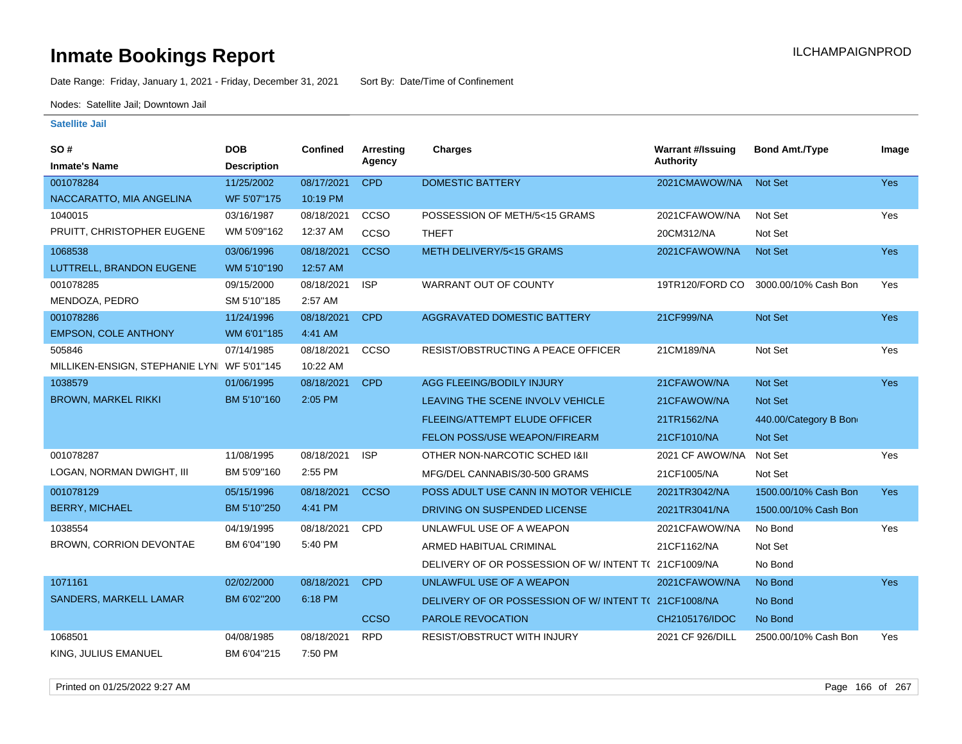Date Range: Friday, January 1, 2021 - Friday, December 31, 2021 Sort By: Date/Time of Confinement

Nodes: Satellite Jail; Downtown Jail

| SO#                                        | <b>DOB</b>         | <b>Confined</b> | <b>Arresting</b> | <b>Charges</b>                                      | <b>Warrant #/Issuing</b> | <b>Bond Amt./Type</b> | Image      |
|--------------------------------------------|--------------------|-----------------|------------------|-----------------------------------------------------|--------------------------|-----------------------|------------|
| <b>Inmate's Name</b>                       | <b>Description</b> |                 | Agency           |                                                     | Authority                |                       |            |
| 001078284                                  | 11/25/2002         | 08/17/2021      | <b>CPD</b>       | <b>DOMESTIC BATTERY</b>                             | 2021CMAWOW/NA            | <b>Not Set</b>        | Yes        |
| NACCARATTO, MIA ANGELINA                   | WF 5'07"175        | 10:19 PM        |                  |                                                     |                          |                       |            |
| 1040015                                    | 03/16/1987         | 08/18/2021      | CCSO             | POSSESSION OF METH/5<15 GRAMS                       | 2021CFAWOW/NA            | Not Set               | Yes        |
| PRUITT, CHRISTOPHER EUGENE                 | WM 5'09"162        | 12:37 AM        | CCSO             | <b>THEFT</b>                                        | 20CM312/NA               | Not Set               |            |
| 1068538                                    | 03/06/1996         | 08/18/2021      | <b>CCSO</b>      | METH DELIVERY/5<15 GRAMS                            | 2021CFAWOW/NA            | <b>Not Set</b>        | Yes        |
| LUTTRELL, BRANDON EUGENE                   | WM 5'10"190        | 12:57 AM        |                  |                                                     |                          |                       |            |
| 001078285                                  | 09/15/2000         | 08/18/2021      | <b>ISP</b>       | WARRANT OUT OF COUNTY                               | 19TR120/FORD CO          | 3000.00/10% Cash Bon  | Yes        |
| MENDOZA, PEDRO                             | SM 5'10"185        | 2:57 AM         |                  |                                                     |                          |                       |            |
| 001078286                                  | 11/24/1996         | 08/18/2021      | <b>CPD</b>       | <b>AGGRAVATED DOMESTIC BATTERY</b>                  | 21CF999/NA               | <b>Not Set</b>        | <b>Yes</b> |
| <b>EMPSON, COLE ANTHONY</b>                | WM 6'01"185        | 4:41 AM         |                  |                                                     |                          |                       |            |
| 505846                                     | 07/14/1985         | 08/18/2021      | CCSO             | <b>RESIST/OBSTRUCTING A PEACE OFFICER</b>           | 21CM189/NA               | Not Set               | <b>Yes</b> |
| MILLIKEN-ENSIGN, STEPHANIE LYN WF 5'01"145 |                    | 10:22 AM        |                  |                                                     |                          |                       |            |
| 1038579                                    | 01/06/1995         | 08/18/2021      | <b>CPD</b>       | AGG FLEEING/BODILY INJURY                           | 21CFAWOW/NA              | <b>Not Set</b>        | <b>Yes</b> |
| <b>BROWN, MARKEL RIKKI</b>                 | BM 5'10"160        | 2:05 PM         |                  | LEAVING THE SCENE INVOLV VEHICLE                    | 21CFAWOW/NA              | <b>Not Set</b>        |            |
|                                            |                    |                 |                  | <b>FLEEING/ATTEMPT ELUDE OFFICER</b>                | 21TR1562/NA              | 440.00/Category B Bon |            |
|                                            |                    |                 |                  | FELON POSS/USE WEAPON/FIREARM                       | 21CF1010/NA              | Not Set               |            |
| 001078287                                  | 11/08/1995         | 08/18/2021      | <b>ISP</b>       | OTHER NON-NARCOTIC SCHED I&II                       | 2021 CF AWOW/NA          | Not Set               | Yes        |
| LOGAN, NORMAN DWIGHT, III                  | BM 5'09"160        | 2:55 PM         |                  | MFG/DEL CANNABIS/30-500 GRAMS                       | 21CF1005/NA              | Not Set               |            |
| 001078129                                  | 05/15/1996         | 08/18/2021      | <b>CCSO</b>      | POSS ADULT USE CANN IN MOTOR VEHICLE                | 2021TR3042/NA            | 1500.00/10% Cash Bon  | <b>Yes</b> |
| <b>BERRY, MICHAEL</b>                      | BM 5'10"250        | 4:41 PM         |                  | DRIVING ON SUSPENDED LICENSE                        | 2021TR3041/NA            | 1500.00/10% Cash Bon  |            |
| 1038554                                    | 04/19/1995         | 08/18/2021      | CPD              | UNLAWFUL USE OF A WEAPON                            | 2021CFAWOW/NA            | No Bond               | Yes        |
| BROWN, CORRION DEVONTAE                    | BM 6'04"190        | 5:40 PM         |                  | ARMED HABITUAL CRIMINAL                             | 21CF1162/NA              | Not Set               |            |
|                                            |                    |                 |                  | DELIVERY OF OR POSSESSION OF W/INTENT T(21CF1009/NA |                          | No Bond               |            |
| 1071161                                    | 02/02/2000         | 08/18/2021      | <b>CPD</b>       | UNLAWFUL USE OF A WEAPON                            | 2021CFAWOW/NA            | No Bond               | <b>Yes</b> |
| SANDERS, MARKELL LAMAR                     | BM 6'02"200        | 6:18 PM         |                  | DELIVERY OF OR POSSESSION OF W/INTENT T(21CF1008/NA |                          | No Bond               |            |
|                                            |                    |                 | <b>CCSO</b>      | PAROLE REVOCATION                                   | CH2105176/IDOC           | No Bond               |            |
| 1068501                                    | 04/08/1985         | 08/18/2021      | <b>RPD</b>       | RESIST/OBSTRUCT WITH INJURY                         | 2021 CF 926/DILL         | 2500.00/10% Cash Bon  | Yes        |
| KING, JULIUS EMANUEL                       | BM 6'04"215        | 7:50 PM         |                  |                                                     |                          |                       |            |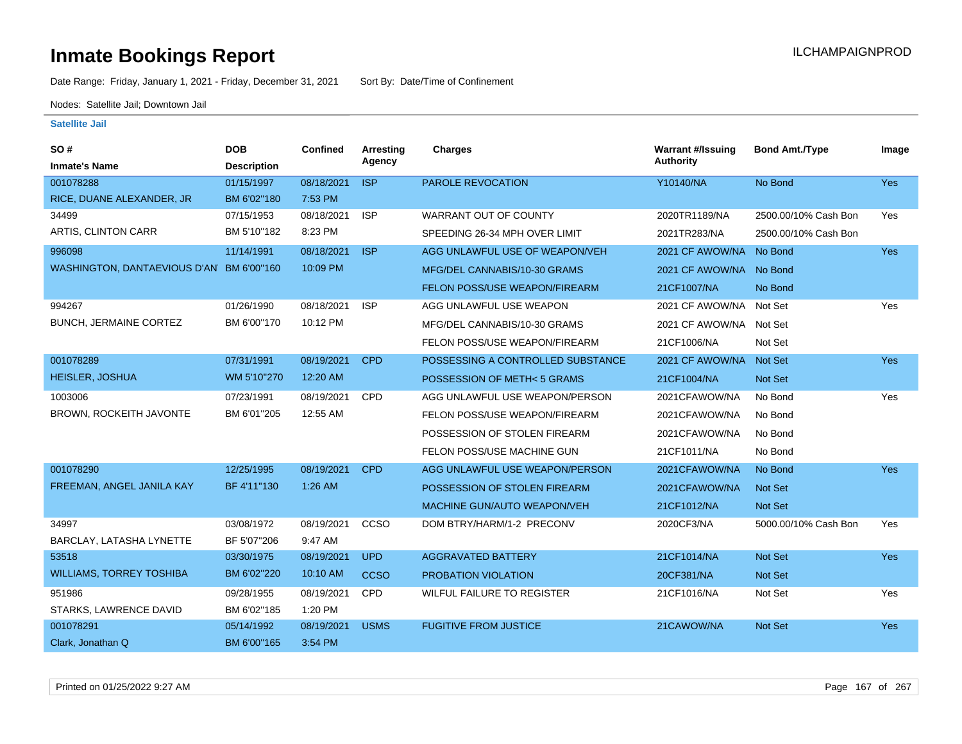Date Range: Friday, January 1, 2021 - Friday, December 31, 2021 Sort By: Date/Time of Confinement

Nodes: Satellite Jail; Downtown Jail

| <b>SO#</b><br><b>Inmate's Name</b>       | <b>DOB</b><br><b>Description</b> | <b>Confined</b> | Arresting<br>Agency | <b>Charges</b>                    | <b>Warrant #/Issuing</b><br><b>Authority</b> | <b>Bond Amt./Type</b> | Image      |
|------------------------------------------|----------------------------------|-----------------|---------------------|-----------------------------------|----------------------------------------------|-----------------------|------------|
| 001078288                                | 01/15/1997                       | 08/18/2021      | <b>ISP</b>          | <b>PAROLE REVOCATION</b>          | Y10140/NA                                    | No Bond               | <b>Yes</b> |
| RICE, DUANE ALEXANDER, JR                | BM 6'02"180                      | 7:53 PM         |                     |                                   |                                              |                       |            |
| 34499                                    | 07/15/1953                       | 08/18/2021      | <b>ISP</b>          | WARRANT OUT OF COUNTY             | 2020TR1189/NA                                | 2500.00/10% Cash Bon  | Yes        |
| ARTIS, CLINTON CARR                      | BM 5'10"182                      | 8:23 PM         |                     | SPEEDING 26-34 MPH OVER LIMIT     | 2021TR283/NA                                 | 2500.00/10% Cash Bon  |            |
| 996098                                   | 11/14/1991                       | 08/18/2021      | <b>ISP</b>          | AGG UNLAWFUL USE OF WEAPON/VEH    | 2021 CF AWOW/NA                              | No Bond               | Yes        |
| WASHINGTON, DANTAEVIOUS D'AN BM 6'00"160 |                                  | 10:09 PM        |                     | MFG/DEL CANNABIS/10-30 GRAMS      | 2021 CF AWOW/NA No Bond                      |                       |            |
|                                          |                                  |                 |                     | FELON POSS/USE WEAPON/FIREARM     | 21CF1007/NA                                  | No Bond               |            |
| 994267                                   | 01/26/1990                       | 08/18/2021      | <b>ISP</b>          | AGG UNLAWFUL USE WEAPON           | 2021 CF AWOW/NA                              | Not Set               | Yes        |
| <b>BUNCH, JERMAINE CORTEZ</b>            | BM 6'00"170                      | 10:12 PM        |                     | MFG/DEL CANNABIS/10-30 GRAMS      | 2021 CF AWOW/NA Not Set                      |                       |            |
|                                          |                                  |                 |                     | FELON POSS/USE WEAPON/FIREARM     | 21CF1006/NA                                  | Not Set               |            |
| 001078289                                | 07/31/1991                       | 08/19/2021      | <b>CPD</b>          | POSSESSING A CONTROLLED SUBSTANCE | 2021 CF AWOW/NA                              | <b>Not Set</b>        | Yes        |
| <b>HEISLER, JOSHUA</b>                   | WM 5'10"270                      | 12:20 AM        |                     | POSSESSION OF METH< 5 GRAMS       | 21CF1004/NA                                  | Not Set               |            |
| 1003006                                  | 07/23/1991                       | 08/19/2021      | CPD                 | AGG UNLAWFUL USE WEAPON/PERSON    | 2021CFAWOW/NA                                | No Bond               | Yes        |
| BROWN, ROCKEITH JAVONTE                  | BM 6'01"205                      | 12:55 AM        |                     | FELON POSS/USE WEAPON/FIREARM     | 2021CFAWOW/NA                                | No Bond               |            |
|                                          |                                  |                 |                     | POSSESSION OF STOLEN FIREARM      | 2021CFAWOW/NA                                | No Bond               |            |
|                                          |                                  |                 |                     | FELON POSS/USE MACHINE GUN        | 21CF1011/NA                                  | No Bond               |            |
| 001078290                                | 12/25/1995                       | 08/19/2021      | <b>CPD</b>          | AGG UNLAWFUL USE WEAPON/PERSON    | 2021CFAWOW/NA                                | No Bond               | <b>Yes</b> |
| FREEMAN, ANGEL JANILA KAY                | BF 4'11"130                      | $1:26$ AM       |                     | POSSESSION OF STOLEN FIREARM      | 2021CFAWOW/NA                                | <b>Not Set</b>        |            |
|                                          |                                  |                 |                     | MACHINE GUN/AUTO WEAPON/VEH       | 21CF1012/NA                                  | Not Set               |            |
| 34997                                    | 03/08/1972                       | 08/19/2021      | CCSO                | DOM BTRY/HARM/1-2 PRECONV         | 2020CF3/NA                                   | 5000.00/10% Cash Bon  | Yes        |
| BARCLAY, LATASHA LYNETTE                 | BF 5'07"206                      | 9:47 AM         |                     |                                   |                                              |                       |            |
| 53518                                    | 03/30/1975                       | 08/19/2021      | <b>UPD</b>          | <b>AGGRAVATED BATTERY</b>         | 21CF1014/NA                                  | Not Set               | <b>Yes</b> |
| <b>WILLIAMS, TORREY TOSHIBA</b>          | BM 6'02"220                      | 10:10 AM        | <b>CCSO</b>         | PROBATION VIOLATION               | 20CF381/NA                                   | Not Set               |            |
| 951986                                   | 09/28/1955                       | 08/19/2021      | <b>CPD</b>          | WILFUL FAILURE TO REGISTER        | 21CF1016/NA                                  | Not Set               | Yes        |
| STARKS, LAWRENCE DAVID                   | BM 6'02"185                      | 1:20 PM         |                     |                                   |                                              |                       |            |
| 001078291                                | 05/14/1992                       | 08/19/2021      | <b>USMS</b>         | <b>FUGITIVE FROM JUSTICE</b>      | 21CAWOW/NA                                   | Not Set               | <b>Yes</b> |
| Clark, Jonathan Q                        | BM 6'00"165                      | 3:54 PM         |                     |                                   |                                              |                       |            |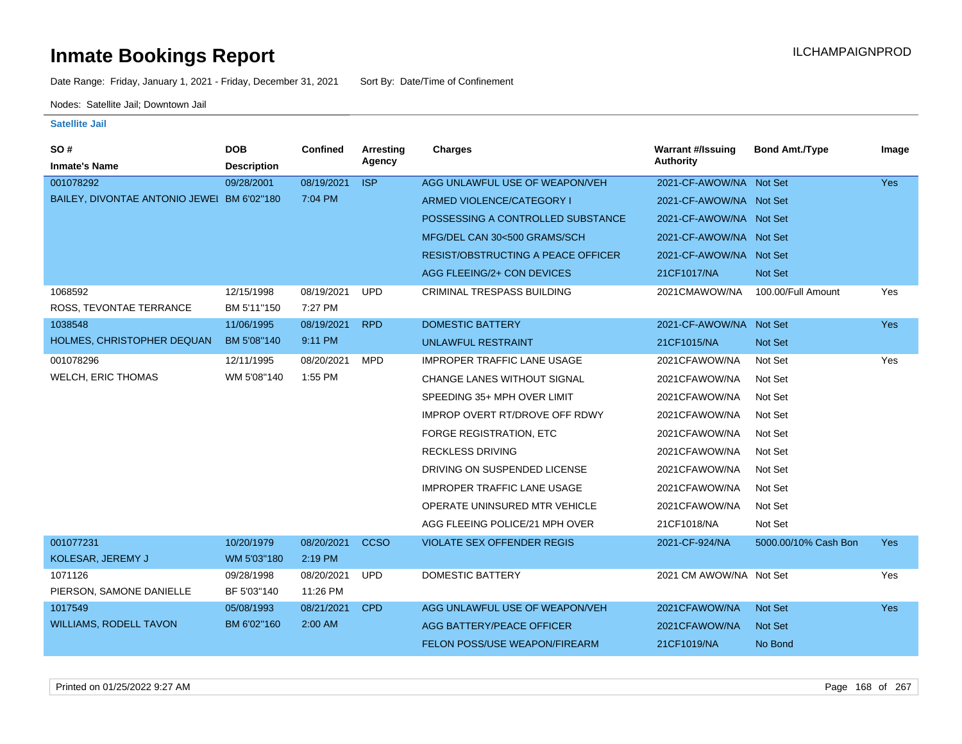Date Range: Friday, January 1, 2021 - Friday, December 31, 2021 Sort By: Date/Time of Confinement

Nodes: Satellite Jail; Downtown Jail

| SO#                                        | <b>DOB</b>         | <b>Confined</b> | Arresting   | <b>Charges</b>                        | <b>Warrant #/Issuing</b> | <b>Bond Amt./Type</b> | Image      |
|--------------------------------------------|--------------------|-----------------|-------------|---------------------------------------|--------------------------|-----------------------|------------|
| <b>Inmate's Name</b>                       | <b>Description</b> |                 | Agency      |                                       | <b>Authority</b>         |                       |            |
| 001078292                                  | 09/28/2001         | 08/19/2021      | <b>ISP</b>  | AGG UNLAWFUL USE OF WEAPON/VEH        | 2021-CF-AWOW/NA Not Set  |                       | <b>Yes</b> |
| BAILEY, DIVONTAE ANTONIO JEWEI BM 6'02"180 |                    | 7:04 PM         |             | ARMED VIOLENCE/CATEGORY I             | 2021-CF-AWOW/NA Not Set  |                       |            |
|                                            |                    |                 |             | POSSESSING A CONTROLLED SUBSTANCE     | 2021-CF-AWOW/NA Not Set  |                       |            |
|                                            |                    |                 |             | MFG/DEL CAN 30<500 GRAMS/SCH          | 2021-CF-AWOW/NA Not Set  |                       |            |
|                                            |                    |                 |             | RESIST/OBSTRUCTING A PEACE OFFICER    | 2021-CF-AWOW/NA Not Set  |                       |            |
|                                            |                    |                 |             | AGG FLEEING/2+ CON DEVICES            | 21CF1017/NA              | Not Set               |            |
| 1068592                                    | 12/15/1998         | 08/19/2021      | <b>UPD</b>  | CRIMINAL TRESPASS BUILDING            | 2021CMAWOW/NA            | 100.00/Full Amount    | Yes        |
| ROSS, TEVONTAE TERRANCE                    | BM 5'11"150        | 7:27 PM         |             |                                       |                          |                       |            |
| 1038548                                    | 11/06/1995         | 08/19/2021      | <b>RPD</b>  | <b>DOMESTIC BATTERY</b>               | 2021-CF-AWOW/NA          | Not Set               | <b>Yes</b> |
| HOLMES, CHRISTOPHER DEQUAN                 | BM 5'08"140        | 9:11 PM         |             | <b>UNLAWFUL RESTRAINT</b>             | 21CF1015/NA              | <b>Not Set</b>        |            |
| 001078296                                  | 12/11/1995         | 08/20/2021      | MPD         | <b>IMPROPER TRAFFIC LANE USAGE</b>    | 2021CFAWOW/NA            | Not Set               | Yes        |
| <b>WELCH, ERIC THOMAS</b>                  | WM 5'08"140        | 1:55 PM         |             | CHANGE LANES WITHOUT SIGNAL           | 2021CFAWOW/NA            | Not Set               |            |
|                                            |                    |                 |             | SPEEDING 35+ MPH OVER LIMIT           | 2021CFAWOW/NA            | Not Set               |            |
|                                            |                    |                 |             | <b>IMPROP OVERT RT/DROVE OFF RDWY</b> | 2021CFAWOW/NA            | Not Set               |            |
|                                            |                    |                 |             | FORGE REGISTRATION, ETC               | 2021CFAWOW/NA            | Not Set               |            |
|                                            |                    |                 |             | <b>RECKLESS DRIVING</b>               | 2021CFAWOW/NA            | Not Set               |            |
|                                            |                    |                 |             | DRIVING ON SUSPENDED LICENSE          | 2021CFAWOW/NA            | Not Set               |            |
|                                            |                    |                 |             | <b>IMPROPER TRAFFIC LANE USAGE</b>    | 2021CFAWOW/NA            | Not Set               |            |
|                                            |                    |                 |             | OPERATE UNINSURED MTR VEHICLE         | 2021CFAWOW/NA            | Not Set               |            |
|                                            |                    |                 |             | AGG FLEEING POLICE/21 MPH OVER        | 21CF1018/NA              | Not Set               |            |
| 001077231                                  | 10/20/1979         | 08/20/2021      | <b>CCSO</b> | <b>VIOLATE SEX OFFENDER REGIS</b>     | 2021-CF-924/NA           | 5000.00/10% Cash Bon  | <b>Yes</b> |
| KOLESAR, JEREMY J                          | WM 5'03"180        | 2:19 PM         |             |                                       |                          |                       |            |
| 1071126                                    | 09/28/1998         | 08/20/2021      | <b>UPD</b>  | <b>DOMESTIC BATTERY</b>               | 2021 CM AWOW/NA Not Set  |                       | Yes        |
| PIERSON, SAMONE DANIELLE                   | BF 5'03"140        | 11:26 PM        |             |                                       |                          |                       |            |
| 1017549                                    | 05/08/1993         | 08/21/2021      | <b>CPD</b>  | AGG UNLAWFUL USE OF WEAPON/VEH        | 2021CFAWOW/NA            | <b>Not Set</b>        | <b>Yes</b> |
| <b>WILLIAMS, RODELL TAVON</b>              | BM 6'02"160        | 2:00 AM         |             | AGG BATTERY/PEACE OFFICER             | 2021CFAWOW/NA            | <b>Not Set</b>        |            |
|                                            |                    |                 |             | FELON POSS/USE WEAPON/FIREARM         | 21CF1019/NA              | No Bond               |            |
|                                            |                    |                 |             |                                       |                          |                       |            |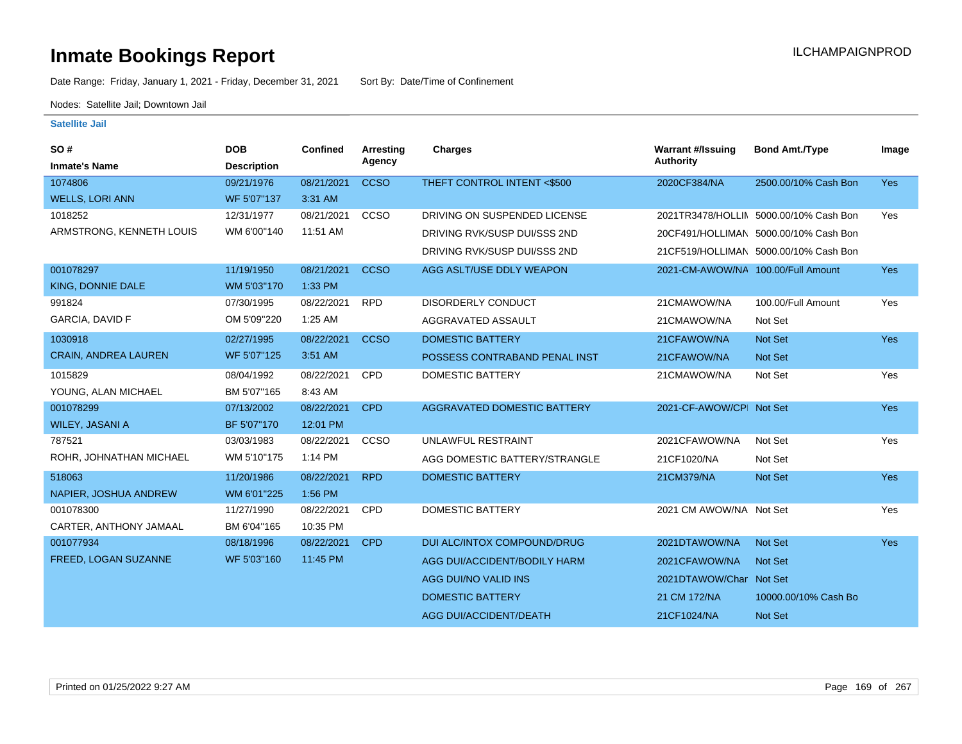Date Range: Friday, January 1, 2021 - Friday, December 31, 2021 Sort By: Date/Time of Confinement

Nodes: Satellite Jail; Downtown Jail

| SO#<br><b>Inmate's Name</b> | <b>DOB</b><br><b>Description</b> | <b>Confined</b> | Arresting<br>Agency | Charges                            | <b>Warrant #/Issuing</b><br><b>Authority</b> | <b>Bond Amt./Type</b>                  | Image      |
|-----------------------------|----------------------------------|-----------------|---------------------|------------------------------------|----------------------------------------------|----------------------------------------|------------|
| 1074806                     | 09/21/1976                       | 08/21/2021      | <b>CCSO</b>         | THEFT CONTROL INTENT <\$500        | 2020CF384/NA                                 | 2500.00/10% Cash Bon                   | <b>Yes</b> |
| <b>WELLS, LORI ANN</b>      | WF 5'07"137                      | 3:31 AM         |                     |                                    |                                              |                                        |            |
| 1018252                     | 12/31/1977                       | 08/21/2021      | <b>CCSO</b>         | DRIVING ON SUSPENDED LICENSE       |                                              | 2021TR3478/HOLLIN 5000.00/10% Cash Bon | Yes        |
| ARMSTRONG, KENNETH LOUIS    | WM 6'00"140                      | 11:51 AM        |                     | DRIVING RVK/SUSP DUI/SSS 2ND       |                                              | 20CF491/HOLLIMAN 5000.00/10% Cash Bon  |            |
|                             |                                  |                 |                     | DRIVING RVK/SUSP DUI/SSS 2ND       |                                              | 21CF519/HOLLIMAN 5000.00/10% Cash Bon  |            |
| 001078297                   | 11/19/1950                       | 08/21/2021      | <b>CCSO</b>         | AGG ASLT/USE DDLY WEAPON           | 2021-CM-AWOW/NA 100.00/Full Amount           |                                        | <b>Yes</b> |
| KING, DONNIE DALE           | WM 5'03"170                      | 1:33 PM         |                     |                                    |                                              |                                        |            |
| 991824                      | 07/30/1995                       | 08/22/2021      | <b>RPD</b>          | <b>DISORDERLY CONDUCT</b>          | 21CMAWOW/NA                                  | 100.00/Full Amount                     | Yes        |
| GARCIA, DAVID F             | OM 5'09"220                      | 1:25 AM         |                     | AGGRAVATED ASSAULT                 | 21CMAWOW/NA                                  | Not Set                                |            |
| 1030918                     | 02/27/1995                       | 08/22/2021      | <b>CCSO</b>         | <b>DOMESTIC BATTERY</b>            | 21CFAWOW/NA                                  | <b>Not Set</b>                         | Yes        |
| <b>CRAIN, ANDREA LAUREN</b> | WF 5'07"125                      | 3:51 AM         |                     | POSSESS CONTRABAND PENAL INST      | 21CFAWOW/NA                                  | Not Set                                |            |
| 1015829                     | 08/04/1992                       | 08/22/2021      | CPD                 | <b>DOMESTIC BATTERY</b>            | 21CMAWOW/NA                                  | Not Set                                | Yes        |
| YOUNG, ALAN MICHAEL         | BM 5'07"165                      | 8:43 AM         |                     |                                    |                                              |                                        |            |
| 001078299                   | 07/13/2002                       | 08/22/2021      | <b>CPD</b>          | <b>AGGRAVATED DOMESTIC BATTERY</b> | 2021-CF-AWOW/CPI Not Set                     |                                        | Yes        |
| WILEY, JASANI A             | BF 5'07"170                      | 12:01 PM        |                     |                                    |                                              |                                        |            |
| 787521                      | 03/03/1983                       | 08/22/2021      | CCSO                | UNLAWFUL RESTRAINT                 | 2021CFAWOW/NA                                | Not Set                                | Yes        |
| ROHR, JOHNATHAN MICHAEL     | WM 5'10"175                      | 1:14 PM         |                     | AGG DOMESTIC BATTERY/STRANGLE      | 21CF1020/NA                                  | Not Set                                |            |
| 518063                      | 11/20/1986                       | 08/22/2021      | <b>RPD</b>          | <b>DOMESTIC BATTERY</b>            | 21CM379/NA                                   | Not Set                                | <b>Yes</b> |
| NAPIER, JOSHUA ANDREW       | WM 6'01"225                      | 1:56 PM         |                     |                                    |                                              |                                        |            |
| 001078300                   | 11/27/1990                       | 08/22/2021      | CPD                 | <b>DOMESTIC BATTERY</b>            | 2021 CM AWOW/NA Not Set                      |                                        | Yes        |
| CARTER, ANTHONY JAMAAL      | BM 6'04"165                      | 10:35 PM        |                     |                                    |                                              |                                        |            |
| 001077934                   | 08/18/1996                       | 08/22/2021      | <b>CPD</b>          | DUI ALC/INTOX COMPOUND/DRUG        | 2021DTAWOW/NA                                | Not Set                                | <b>Yes</b> |
| FREED, LOGAN SUZANNE        | WF 5'03"160                      | 11:45 PM        |                     | AGG DUI/ACCIDENT/BODILY HARM       | 2021CFAWOW/NA                                | <b>Not Set</b>                         |            |
|                             |                                  |                 |                     | AGG DUI/NO VALID INS               | 2021DTAWOW/Char Not Set                      |                                        |            |
|                             |                                  |                 |                     | <b>DOMESTIC BATTERY</b>            | 21 CM 172/NA                                 | 10000.00/10% Cash Bo                   |            |
|                             |                                  |                 |                     | AGG DUI/ACCIDENT/DEATH             | 21CF1024/NA                                  | Not Set                                |            |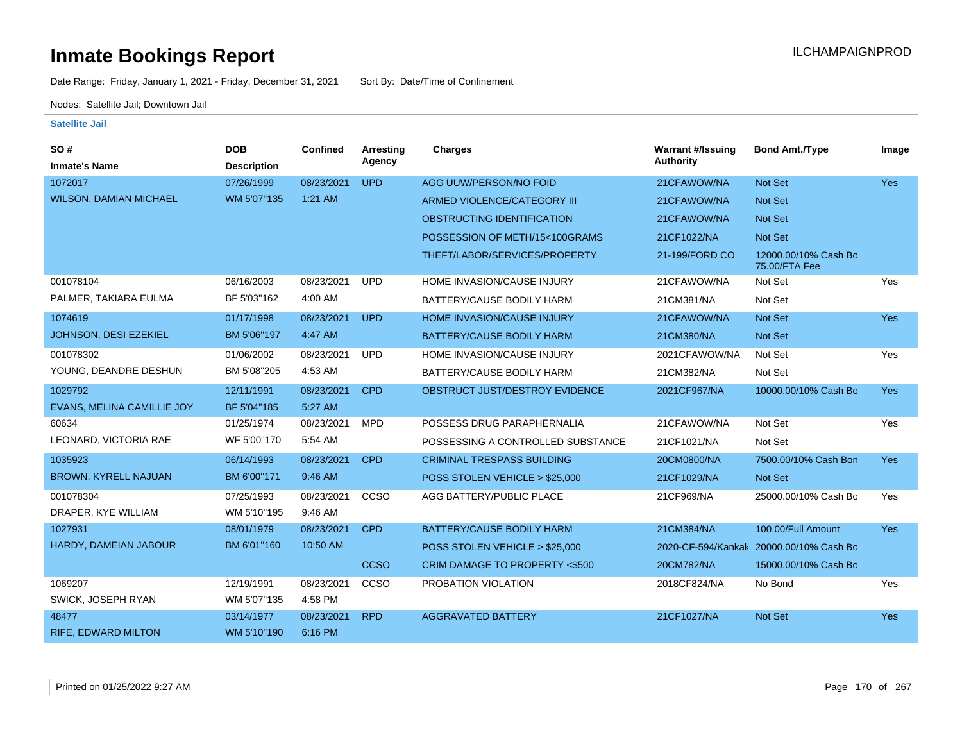Date Range: Friday, January 1, 2021 - Friday, December 31, 2021 Sort By: Date/Time of Confinement

Nodes: Satellite Jail; Downtown Jail

| SO#                           | <b>DOB</b>         | Confined   | <b>Arresting</b> | <b>Charges</b>                    | <b>Warrant #/Issuing</b> | <b>Bond Amt./Type</b>                 | Image      |
|-------------------------------|--------------------|------------|------------------|-----------------------------------|--------------------------|---------------------------------------|------------|
| <b>Inmate's Name</b>          | <b>Description</b> |            | Agency           |                                   | <b>Authority</b>         |                                       |            |
| 1072017                       | 07/26/1999         | 08/23/2021 | <b>UPD</b>       | AGG UUW/PERSON/NO FOID            | 21CFAWOW/NA              | Not Set                               | <b>Yes</b> |
| <b>WILSON, DAMIAN MICHAEL</b> | WM 5'07"135        | 1:21 AM    |                  | ARMED VIOLENCE/CATEGORY III       | 21CFAWOW/NA              | Not Set                               |            |
|                               |                    |            |                  | OBSTRUCTING IDENTIFICATION        | 21CFAWOW/NA              | Not Set                               |            |
|                               |                    |            |                  | POSSESSION OF METH/15<100GRAMS    | 21CF1022/NA              | Not Set                               |            |
|                               |                    |            |                  | THEFT/LABOR/SERVICES/PROPERTY     | 21-199/FORD CO           | 12000.00/10% Cash Bo<br>75.00/FTA Fee |            |
| 001078104                     | 06/16/2003         | 08/23/2021 | <b>UPD</b>       | HOME INVASION/CAUSE INJURY        | 21CFAWOW/NA              | Not Set                               | Yes        |
| PALMER, TAKIARA EULMA         | BF 5'03"162        | 4:00 AM    |                  | BATTERY/CAUSE BODILY HARM         | 21CM381/NA               | Not Set                               |            |
| 1074619                       | 01/17/1998         | 08/23/2021 | <b>UPD</b>       | <b>HOME INVASION/CAUSE INJURY</b> | 21CFAWOW/NA              | Not Set                               | Yes        |
| JOHNSON, DESI EZEKIEL         | BM 5'06"197        | 4:47 AM    |                  | BATTERY/CAUSE BODILY HARM         | 21CM380/NA               | Not Set                               |            |
| 001078302                     | 01/06/2002         | 08/23/2021 | <b>UPD</b>       | HOME INVASION/CAUSE INJURY        | 2021CFAWOW/NA            | Not Set                               | Yes        |
| YOUNG, DEANDRE DESHUN         | BM 5'08"205        | 4:53 AM    |                  | BATTERY/CAUSE BODILY HARM         | 21CM382/NA               | Not Set                               |            |
| 1029792                       | 12/11/1991         | 08/23/2021 | <b>CPD</b>       | OBSTRUCT JUST/DESTROY EVIDENCE    | 2021CF967/NA             | 10000.00/10% Cash Bo                  | <b>Yes</b> |
| EVANS, MELINA CAMILLIE JOY    | BF 5'04"185        | 5:27 AM    |                  |                                   |                          |                                       |            |
| 60634                         | 01/25/1974         | 08/23/2021 | <b>MPD</b>       | POSSESS DRUG PARAPHERNALIA        | 21CFAWOW/NA              | Not Set                               | Yes        |
| LEONARD, VICTORIA RAE         | WF 5'00"170        | 5:54 AM    |                  | POSSESSING A CONTROLLED SUBSTANCE | 21CF1021/NA              | Not Set                               |            |
| 1035923                       | 06/14/1993         | 08/23/2021 | <b>CPD</b>       | <b>CRIMINAL TRESPASS BUILDING</b> | 20CM0800/NA              | 7500.00/10% Cash Bon                  | <b>Yes</b> |
| <b>BROWN, KYRELL NAJUAN</b>   | BM 6'00"171        | 9:46 AM    |                  | POSS STOLEN VEHICLE > \$25,000    | 21CF1029/NA              | Not Set                               |            |
| 001078304                     | 07/25/1993         | 08/23/2021 | CCSO             | AGG BATTERY/PUBLIC PLACE          | 21CF969/NA               | 25000.00/10% Cash Bo                  | Yes        |
| DRAPER, KYE WILLIAM           | WM 5'10"195        | 9:46 AM    |                  |                                   |                          |                                       |            |
| 1027931                       | 08/01/1979         | 08/23/2021 | <b>CPD</b>       | BATTERY/CAUSE BODILY HARM         | 21CM384/NA               | 100.00/Full Amount                    | Yes        |
| HARDY, DAMEIAN JABOUR         | BM 6'01"160        | 10:50 AM   |                  | POSS STOLEN VEHICLE > \$25,000    | 2020-CF-594/Kankak       | 20000.00/10% Cash Bo                  |            |
|                               |                    |            | <b>CCSO</b>      | CRIM DAMAGE TO PROPERTY <\$500    | 20CM782/NA               | 15000.00/10% Cash Bo                  |            |
| 1069207                       | 12/19/1991         | 08/23/2021 | CCSO             | PROBATION VIOLATION               | 2018CF824/NA             | No Bond                               | Yes        |
| SWICK, JOSEPH RYAN            | WM 5'07"135        | 4:58 PM    |                  |                                   |                          |                                       |            |
| 48477                         | 03/14/1977         | 08/23/2021 | <b>RPD</b>       | <b>AGGRAVATED BATTERY</b>         | 21CF1027/NA              | Not Set                               | <b>Yes</b> |
| <b>RIFE, EDWARD MILTON</b>    | WM 5'10"190        | 6:16 PM    |                  |                                   |                          |                                       |            |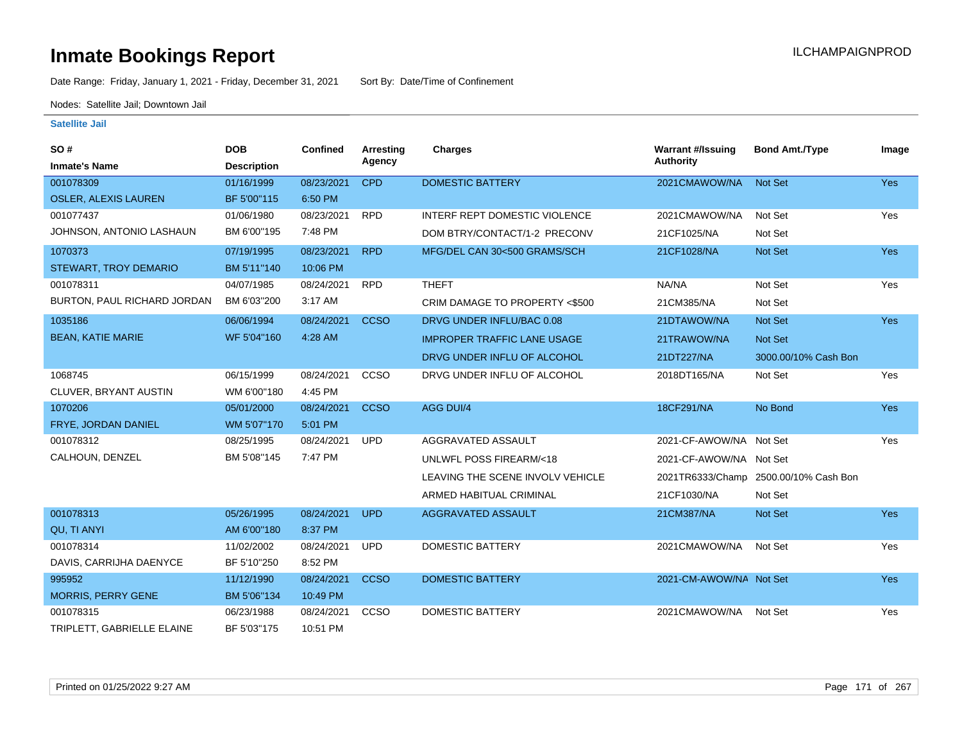Date Range: Friday, January 1, 2021 - Friday, December 31, 2021 Sort By: Date/Time of Confinement

Nodes: Satellite Jail; Downtown Jail

| SO#                          | <b>DOB</b>         | <b>Confined</b> | Arresting   | <b>Charges</b>                     | <b>Warrant #/Issuing</b> | <b>Bond Amt./Type</b>                 | Image      |
|------------------------------|--------------------|-----------------|-------------|------------------------------------|--------------------------|---------------------------------------|------------|
| <b>Inmate's Name</b>         | <b>Description</b> |                 | Agency      |                                    | Authority                |                                       |            |
| 001078309                    | 01/16/1999         | 08/23/2021      | <b>CPD</b>  | <b>DOMESTIC BATTERY</b>            | 2021CMAWOW/NA            | Not Set                               | <b>Yes</b> |
| <b>OSLER, ALEXIS LAUREN</b>  | BF 5'00"115        | 6:50 PM         |             |                                    |                          |                                       |            |
| 001077437                    | 01/06/1980         | 08/23/2021      | <b>RPD</b>  | INTERF REPT DOMESTIC VIOLENCE      | 2021CMAWOW/NA            | Not Set                               | Yes        |
| JOHNSON, ANTONIO LASHAUN     | BM 6'00"195        | 7:48 PM         |             | DOM BTRY/CONTACT/1-2 PRECONV       | 21CF1025/NA              | Not Set                               |            |
| 1070373                      | 07/19/1995         | 08/23/2021      | <b>RPD</b>  | MFG/DEL CAN 30<500 GRAMS/SCH       | 21CF1028/NA              | Not Set                               | <b>Yes</b> |
| <b>STEWART, TROY DEMARIO</b> | BM 5'11"140        | 10:06 PM        |             |                                    |                          |                                       |            |
| 001078311                    | 04/07/1985         | 08/24/2021      | <b>RPD</b>  | <b>THEFT</b>                       | NA/NA                    | Not Set                               | Yes        |
| BURTON, PAUL RICHARD JORDAN  | BM 6'03"200        | 3:17 AM         |             | CRIM DAMAGE TO PROPERTY <\$500     | 21CM385/NA               | Not Set                               |            |
| 1035186                      | 06/06/1994         | 08/24/2021      | <b>CCSO</b> | DRVG UNDER INFLU/BAC 0.08          | 21DTAWOW/NA              | Not Set                               | <b>Yes</b> |
| <b>BEAN, KATIE MARIE</b>     | WF 5'04"160        | 4:28 AM         |             | <b>IMPROPER TRAFFIC LANE USAGE</b> | 21TRAWOW/NA              | <b>Not Set</b>                        |            |
|                              |                    |                 |             | DRVG UNDER INFLU OF ALCOHOL        | 21DT227/NA               | 3000.00/10% Cash Bon                  |            |
| 1068745                      | 06/15/1999         | 08/24/2021      | CCSO        | DRVG UNDER INFLU OF ALCOHOL        | 2018DT165/NA             | Not Set                               | Yes        |
| CLUVER, BRYANT AUSTIN        | WM 6'00"180        | 4:45 PM         |             |                                    |                          |                                       |            |
| 1070206                      | 05/01/2000         | 08/24/2021      | <b>CCSO</b> | AGG DUI/4                          | 18CF291/NA               | No Bond                               | Yes        |
| FRYE, JORDAN DANIEL          | WM 5'07"170        | 5:01 PM         |             |                                    |                          |                                       |            |
| 001078312                    | 08/25/1995         | 08/24/2021      | <b>UPD</b>  | AGGRAVATED ASSAULT                 | 2021-CF-AWOW/NA Not Set  |                                       | Yes        |
| CALHOUN, DENZEL              | BM 5'08"145        | 7:47 PM         |             | UNLWFL POSS FIREARM/<18            | 2021-CF-AWOW/NA Not Set  |                                       |            |
|                              |                    |                 |             | LEAVING THE SCENE INVOLV VEHICLE   |                          | 2021TR6333/Champ 2500.00/10% Cash Bon |            |
|                              |                    |                 |             | ARMED HABITUAL CRIMINAL            | 21CF1030/NA              | Not Set                               |            |
| 001078313                    | 05/26/1995         | 08/24/2021      | <b>UPD</b>  | AGGRAVATED ASSAULT                 | 21CM387/NA               | Not Set                               | <b>Yes</b> |
| QU, TI ANYI                  | AM 6'00"180        | 8:37 PM         |             |                                    |                          |                                       |            |
| 001078314                    | 11/02/2002         | 08/24/2021      | <b>UPD</b>  | <b>DOMESTIC BATTERY</b>            | 2021CMAWOW/NA            | Not Set                               | Yes        |
| DAVIS, CARRIJHA DAENYCE      | BF 5'10"250        | 8:52 PM         |             |                                    |                          |                                       |            |
| 995952                       | 11/12/1990         | 08/24/2021      | <b>CCSO</b> | <b>DOMESTIC BATTERY</b>            | 2021-CM-AWOW/NA Not Set  |                                       | <b>Yes</b> |
| <b>MORRIS, PERRY GENE</b>    | BM 5'06"134        | 10:49 PM        |             |                                    |                          |                                       |            |
| 001078315                    | 06/23/1988         | 08/24/2021      | CCSO        | <b>DOMESTIC BATTERY</b>            | 2021CMAWOW/NA            | Not Set                               | Yes        |
| TRIPLETT, GABRIELLE ELAINE   | BF 5'03"175        | 10:51 PM        |             |                                    |                          |                                       |            |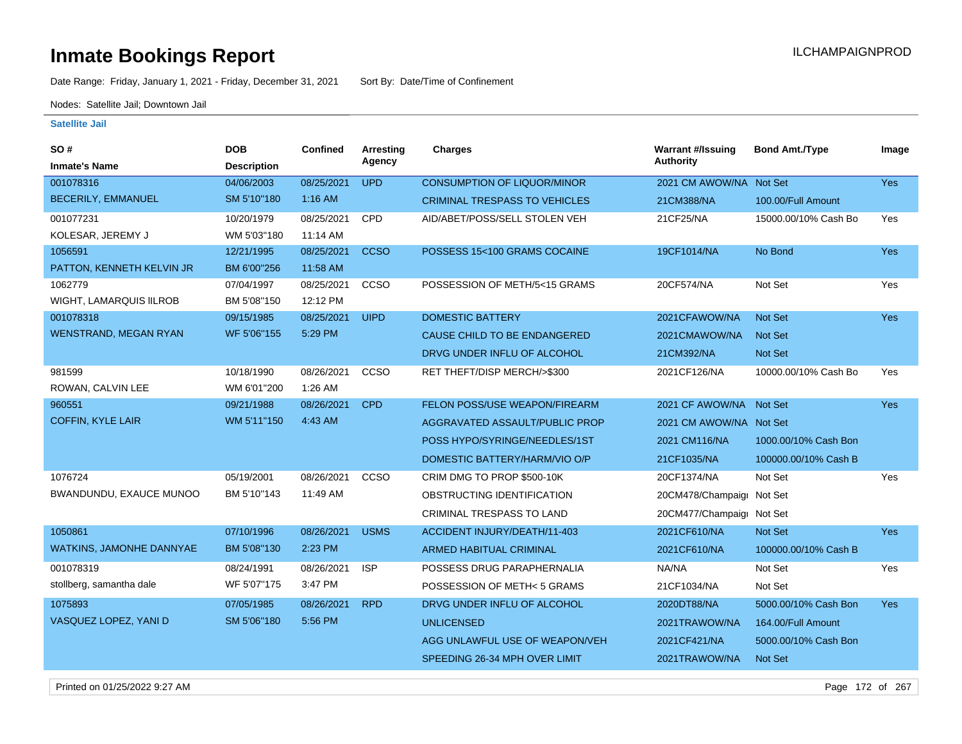Date Range: Friday, January 1, 2021 - Friday, December 31, 2021 Sort By: Date/Time of Confinement

Nodes: Satellite Jail; Downtown Jail

| <b>SO#</b>                   | <b>DOB</b>         | <b>Confined</b> | <b>Arresting</b> | <b>Charges</b>                       | <b>Warrant #/Issuing</b>  | <b>Bond Amt./Type</b> | Image      |
|------------------------------|--------------------|-----------------|------------------|--------------------------------------|---------------------------|-----------------------|------------|
| <b>Inmate's Name</b>         | <b>Description</b> |                 | Agency           |                                      | Authority                 |                       |            |
| 001078316                    | 04/06/2003         | 08/25/2021      | <b>UPD</b>       | <b>CONSUMPTION OF LIQUOR/MINOR</b>   | 2021 CM AWOW/NA Not Set   |                       | Yes        |
| <b>BECERILY, EMMANUEL</b>    | SM 5'10"180        | $1:16$ AM       |                  | <b>CRIMINAL TRESPASS TO VEHICLES</b> | 21CM388/NA                | 100.00/Full Amount    |            |
| 001077231                    | 10/20/1979         | 08/25/2021      | CPD              | AID/ABET/POSS/SELL STOLEN VEH        | 21CF25/NA                 | 15000.00/10% Cash Bo  | Yes        |
| KOLESAR, JEREMY J            | WM 5'03"180        | 11:14 AM        |                  |                                      |                           |                       |            |
| 1056591                      | 12/21/1995         | 08/25/2021      | <b>CCSO</b>      | POSSESS 15<100 GRAMS COCAINE         | 19CF1014/NA               | No Bond               | Yes        |
| PATTON, KENNETH KELVIN JR    | BM 6'00"256        | 11:58 AM        |                  |                                      |                           |                       |            |
| 1062779                      | 07/04/1997         | 08/25/2021      | CCSO             | POSSESSION OF METH/5<15 GRAMS        | 20CF574/NA                | Not Set               | Yes        |
| WIGHT, LAMARQUIS IILROB      | BM 5'08"150        | 12:12 PM        |                  |                                      |                           |                       |            |
| 001078318                    | 09/15/1985         | 08/25/2021      | <b>UIPD</b>      | <b>DOMESTIC BATTERY</b>              | 2021CFAWOW/NA             | Not Set               | <b>Yes</b> |
| <b>WENSTRAND, MEGAN RYAN</b> | WF 5'06"155        | 5:29 PM         |                  | CAUSE CHILD TO BE ENDANGERED         | 2021CMAWOW/NA             | Not Set               |            |
|                              |                    |                 |                  | DRVG UNDER INFLU OF ALCOHOL          | 21CM392/NA                | Not Set               |            |
| 981599                       | 10/18/1990         | 08/26/2021      | ccso             | RET THEFT/DISP MERCH/>\$300          | 2021CF126/NA              | 10000.00/10% Cash Bo  | Yes        |
| ROWAN, CALVIN LEE            | WM 6'01"200        | 1:26 AM         |                  |                                      |                           |                       |            |
| 960551                       | 09/21/1988         | 08/26/2021      | <b>CPD</b>       | FELON POSS/USE WEAPON/FIREARM        | 2021 CF AWOW/NA Not Set   |                       | <b>Yes</b> |
| <b>COFFIN, KYLE LAIR</b>     | WM 5'11"150        | 4:43 AM         |                  | AGGRAVATED ASSAULT/PUBLIC PROP       | 2021 CM AWOW/NA Not Set   |                       |            |
|                              |                    |                 |                  | POSS HYPO/SYRINGE/NEEDLES/1ST        | 2021 CM116/NA             | 1000.00/10% Cash Bon  |            |
|                              |                    |                 |                  | DOMESTIC BATTERY/HARM/VIO O/P        | 21CF1035/NA               | 100000.00/10% Cash B  |            |
| 1076724                      | 05/19/2001         | 08/26/2021      | CCSO             | CRIM DMG TO PROP \$500-10K           | 20CF1374/NA               | Not Set               | Yes        |
| BWANDUNDU, EXAUCE MUNOO      | BM 5'10"143        | 11:49 AM        |                  | OBSTRUCTING IDENTIFICATION           | 20CM478/Champaigr Not Set |                       |            |
|                              |                    |                 |                  | CRIMINAL TRESPASS TO LAND            | 20CM477/Champaigr Not Set |                       |            |
| 1050861                      | 07/10/1996         | 08/26/2021      | <b>USMS</b>      | ACCIDENT INJURY/DEATH/11-403         | 2021CF610/NA              | Not Set               | <b>Yes</b> |
| WATKINS, JAMONHE DANNYAE     | BM 5'08"130        | 2:23 PM         |                  | ARMED HABITUAL CRIMINAL              | 2021CF610/NA              | 100000.00/10% Cash B  |            |
| 001078319                    | 08/24/1991         | 08/26/2021      | <b>ISP</b>       | POSSESS DRUG PARAPHERNALIA           | NA/NA                     | Not Set               | Yes        |
| stollberg, samantha dale     | WF 5'07"175        | 3:47 PM         |                  | POSSESSION OF METH< 5 GRAMS          | 21CF1034/NA               | Not Set               |            |
| 1075893                      | 07/05/1985         | 08/26/2021      | <b>RPD</b>       | DRVG UNDER INFLU OF ALCOHOL          | 2020DT88/NA               | 5000.00/10% Cash Bon  | <b>Yes</b> |
| VASQUEZ LOPEZ, YANI D        | SM 5'06"180        | 5:56 PM         |                  | <b>UNLICENSED</b>                    | 2021TRAWOW/NA             | 164.00/Full Amount    |            |
|                              |                    |                 |                  | AGG UNLAWFUL USE OF WEAPON/VEH       | 2021CF421/NA              | 5000.00/10% Cash Bon  |            |
|                              |                    |                 |                  | SPEEDING 26-34 MPH OVER LIMIT        | 2021TRAWOW/NA             | Not Set               |            |
|                              |                    |                 |                  |                                      |                           |                       |            |

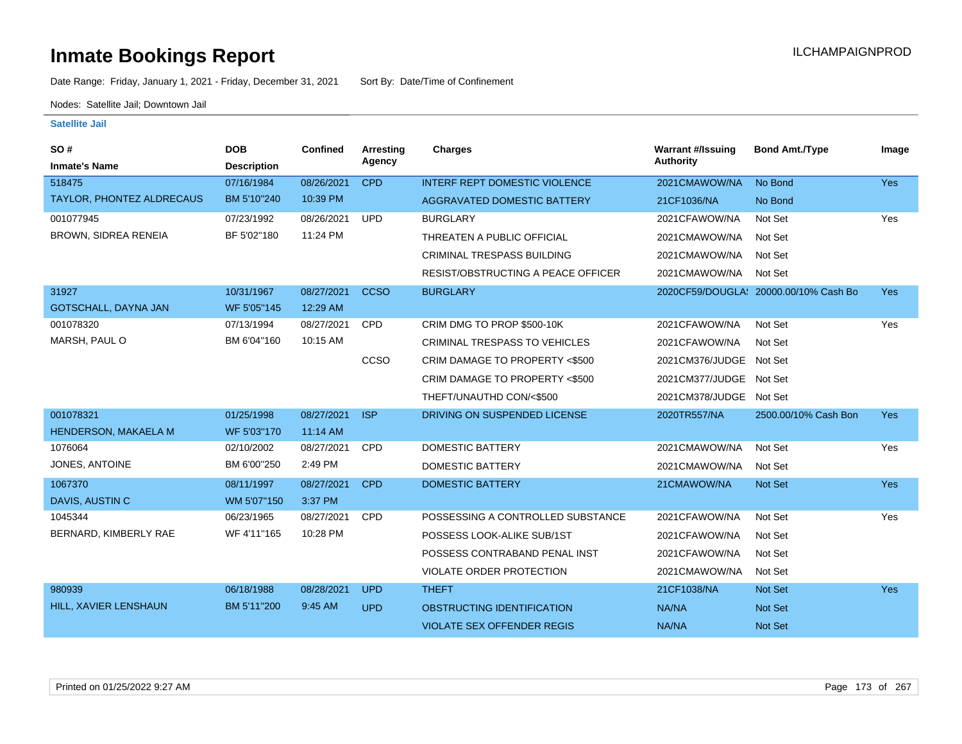Date Range: Friday, January 1, 2021 - Friday, December 31, 2021 Sort By: Date/Time of Confinement

Nodes: Satellite Jail; Downtown Jail

| SO#<br><b>Inmate's Name</b> | <b>DOB</b><br><b>Description</b> | <b>Confined</b> | Arresting<br>Agency | <b>Charges</b>                       | <b>Warrant #/Issuing</b><br><b>Authority</b> | <b>Bond Amt./Type</b>                 | Image      |
|-----------------------------|----------------------------------|-----------------|---------------------|--------------------------------------|----------------------------------------------|---------------------------------------|------------|
| 518475                      | 07/16/1984                       | 08/26/2021      | <b>CPD</b>          | <b>INTERF REPT DOMESTIC VIOLENCE</b> | 2021CMAWOW/NA                                | No Bond                               | <b>Yes</b> |
| TAYLOR, PHONTEZ ALDRECAUS   | BM 5'10"240                      | 10:39 PM        |                     | <b>AGGRAVATED DOMESTIC BATTERY</b>   | 21CF1036/NA                                  | No Bond                               |            |
| 001077945                   | 07/23/1992                       | 08/26/2021      | <b>UPD</b>          | <b>BURGLARY</b>                      | 2021CFAWOW/NA                                | Not Set                               | Yes        |
| BROWN, SIDREA RENEIA        | BF 5'02"180                      | 11:24 PM        |                     | THREATEN A PUBLIC OFFICIAL           | 2021CMAWOW/NA                                | Not Set                               |            |
|                             |                                  |                 |                     | CRIMINAL TRESPASS BUILDING           | 2021CMAWOW/NA                                | Not Set                               |            |
|                             |                                  |                 |                     | RESIST/OBSTRUCTING A PEACE OFFICER   | 2021CMAWOW/NA                                | Not Set                               |            |
| 31927                       | 10/31/1967                       | 08/27/2021      | <b>CCSO</b>         | <b>BURGLARY</b>                      |                                              | 2020CF59/DOUGLA: 20000.00/10% Cash Bo | <b>Yes</b> |
| GOTSCHALL, DAYNA JAN        | WF 5'05"145                      | 12:29 AM        |                     |                                      |                                              |                                       |            |
| 001078320                   | 07/13/1994                       | 08/27/2021      | <b>CPD</b>          | CRIM DMG TO PROP \$500-10K           | 2021CFAWOW/NA                                | Not Set                               | Yes        |
| MARSH, PAUL O               | BM 6'04"160                      | 10:15 AM        |                     | <b>CRIMINAL TRESPASS TO VEHICLES</b> | 2021CFAWOW/NA                                | Not Set                               |            |
|                             |                                  |                 | CCSO                | CRIM DAMAGE TO PROPERTY <\$500       | 2021CM376/JUDGE Not Set                      |                                       |            |
|                             |                                  |                 |                     | CRIM DAMAGE TO PROPERTY <\$500       | 2021CM377/JUDGE Not Set                      |                                       |            |
|                             |                                  |                 |                     | THEFT/UNAUTHD CON/<\$500             | 2021CM378/JUDGE Not Set                      |                                       |            |
| 001078321                   | 01/25/1998                       | 08/27/2021      | <b>ISP</b>          | DRIVING ON SUSPENDED LICENSE         | 2020TR557/NA                                 | 2500.00/10% Cash Bon                  | Yes        |
| HENDERSON, MAKAELA M        | WF 5'03"170                      | 11:14 AM        |                     |                                      |                                              |                                       |            |
| 1076064                     | 02/10/2002                       | 08/27/2021      | CPD                 | <b>DOMESTIC BATTERY</b>              | 2021CMAWOW/NA                                | Not Set                               | Yes        |
| JONES, ANTOINE              | BM 6'00"250                      | 2:49 PM         |                     | <b>DOMESTIC BATTERY</b>              | 2021CMAWOW/NA                                | Not Set                               |            |
| 1067370                     | 08/11/1997                       | 08/27/2021      | <b>CPD</b>          | <b>DOMESTIC BATTERY</b>              | 21CMAWOW/NA                                  | Not Set                               | <b>Yes</b> |
| DAVIS, AUSTIN C             | WM 5'07"150                      | 3:37 PM         |                     |                                      |                                              |                                       |            |
| 1045344                     | 06/23/1965                       | 08/27/2021      | <b>CPD</b>          | POSSESSING A CONTROLLED SUBSTANCE    | 2021CFAWOW/NA                                | Not Set                               | Yes        |
| BERNARD, KIMBERLY RAE       | WF 4'11"165                      | 10:28 PM        |                     | POSSESS LOOK-ALIKE SUB/1ST           | 2021CFAWOW/NA                                | Not Set                               |            |
|                             |                                  |                 |                     | POSSESS CONTRABAND PENAL INST        | 2021CFAWOW/NA                                | Not Set                               |            |
|                             |                                  |                 |                     | VIOLATE ORDER PROTECTION             | 2021CMAWOW/NA                                | Not Set                               |            |
| 980939                      | 06/18/1988                       | 08/28/2021      | <b>UPD</b>          | <b>THEFT</b>                         | 21CF1038/NA                                  | Not Set                               | <b>Yes</b> |
| HILL, XAVIER LENSHAUN       | BM 5'11"200                      | 9:45 AM         | <b>UPD</b>          | OBSTRUCTING IDENTIFICATION           | NA/NA                                        | Not Set                               |            |
|                             |                                  |                 |                     | <b>VIOLATE SEX OFFENDER REGIS</b>    | NA/NA                                        | Not Set                               |            |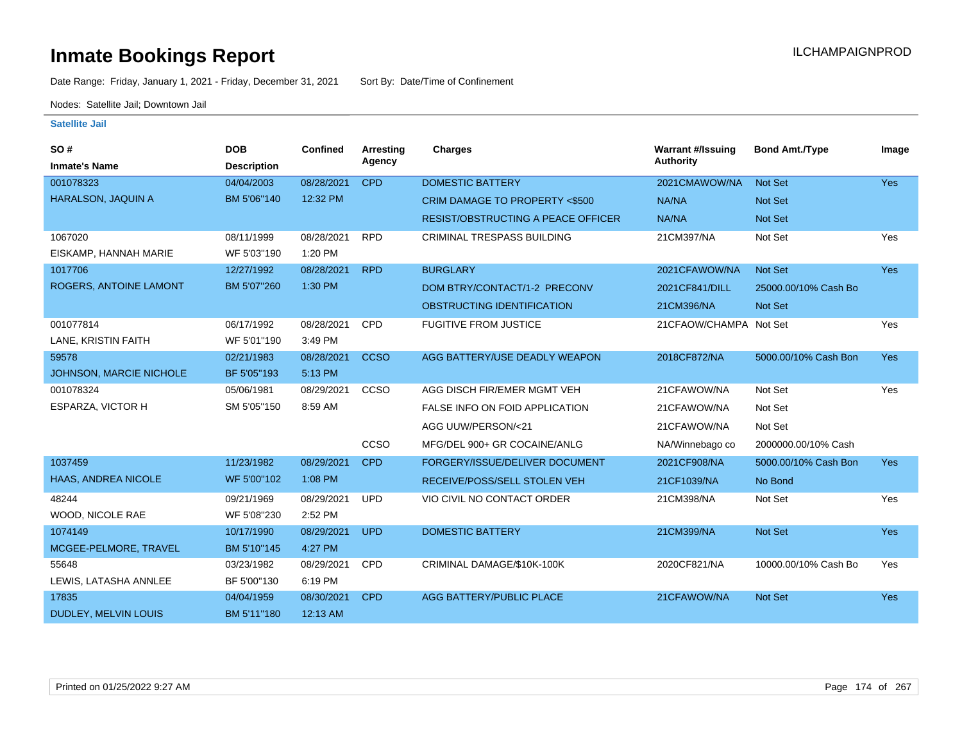Date Range: Friday, January 1, 2021 - Friday, December 31, 2021 Sort By: Date/Time of Confinement

Nodes: Satellite Jail; Downtown Jail

| SO#                            | <b>DOB</b>         | Confined   | Arresting   | <b>Charges</b>                            | <b>Warrant #/Issuing</b> | <b>Bond Amt./Type</b> | Image      |
|--------------------------------|--------------------|------------|-------------|-------------------------------------------|--------------------------|-----------------------|------------|
| <b>Inmate's Name</b>           | <b>Description</b> |            | Agency      |                                           | <b>Authority</b>         |                       |            |
| 001078323                      | 04/04/2003         | 08/28/2021 | <b>CPD</b>  | <b>DOMESTIC BATTERY</b>                   | 2021CMAWOW/NA            | <b>Not Set</b>        | Yes        |
| HARALSON, JAQUIN A             | BM 5'06"140        | 12:32 PM   |             | <b>CRIM DAMAGE TO PROPERTY &lt;\$500</b>  | NA/NA                    | <b>Not Set</b>        |            |
|                                |                    |            |             | <b>RESIST/OBSTRUCTING A PEACE OFFICER</b> | NA/NA                    | <b>Not Set</b>        |            |
| 1067020                        | 08/11/1999         | 08/28/2021 | <b>RPD</b>  | <b>CRIMINAL TRESPASS BUILDING</b>         | 21CM397/NA               | Not Set               | Yes        |
| EISKAMP, HANNAH MARIE          | WF 5'03"190        | 1:20 PM    |             |                                           |                          |                       |            |
| 1017706                        | 12/27/1992         | 08/28/2021 | <b>RPD</b>  | <b>BURGLARY</b>                           | 2021CFAWOW/NA            | Not Set               | <b>Yes</b> |
| ROGERS, ANTOINE LAMONT         | BM 5'07"260        | 1:30 PM    |             | DOM BTRY/CONTACT/1-2 PRECONV              | 2021CF841/DILL           | 25000.00/10% Cash Bo  |            |
|                                |                    |            |             | OBSTRUCTING IDENTIFICATION                | 21CM396/NA               | Not Set               |            |
| 001077814                      | 06/17/1992         | 08/28/2021 | <b>CPD</b>  | <b>FUGITIVE FROM JUSTICE</b>              | 21CFAOW/CHAMPA Not Set   |                       | Yes        |
| LANE, KRISTIN FAITH            | WF 5'01"190        | 3:49 PM    |             |                                           |                          |                       |            |
| 59578                          | 02/21/1983         | 08/28/2021 | <b>CCSO</b> | AGG BATTERY/USE DEADLY WEAPON             | 2018CF872/NA             | 5000.00/10% Cash Bon  | <b>Yes</b> |
| <b>JOHNSON, MARCIE NICHOLE</b> | BF 5'05"193        | 5:13 PM    |             |                                           |                          |                       |            |
| 001078324                      | 05/06/1981         | 08/29/2021 | CCSO        | AGG DISCH FIR/EMER MGMT VEH               | 21CFAWOW/NA              | Not Set               | Yes        |
| ESPARZA, VICTOR H              | SM 5'05"150        | 8:59 AM    |             | FALSE INFO ON FOID APPLICATION            | 21CFAWOW/NA              | Not Set               |            |
|                                |                    |            |             | AGG UUW/PERSON/<21                        | 21CFAWOW/NA              | Not Set               |            |
|                                |                    |            | CCSO        | MFG/DEL 900+ GR COCAINE/ANLG              | NA/Winnebago co          | 2000000.00/10% Cash   |            |
| 1037459                        | 11/23/1982         | 08/29/2021 | <b>CPD</b>  | FORGERY/ISSUE/DELIVER DOCUMENT            | 2021CF908/NA             | 5000.00/10% Cash Bon  | <b>Yes</b> |
| HAAS, ANDREA NICOLE            | WF 5'00"102        | 1:08 PM    |             | RECEIVE/POSS/SELL STOLEN VEH              | 21CF1039/NA              | No Bond               |            |
| 48244                          | 09/21/1969         | 08/29/2021 | <b>UPD</b>  | VIO CIVIL NO CONTACT ORDER                | 21CM398/NA               | Not Set               | Yes        |
| WOOD, NICOLE RAE               | WF 5'08"230        | 2:52 PM    |             |                                           |                          |                       |            |
| 1074149                        | 10/17/1990         | 08/29/2021 | <b>UPD</b>  | <b>DOMESTIC BATTERY</b>                   | 21CM399/NA               | Not Set               | Yes        |
| MCGEE-PELMORE, TRAVEL          | BM 5'10"145        | 4:27 PM    |             |                                           |                          |                       |            |
| 55648                          | 03/23/1982         | 08/29/2021 | <b>CPD</b>  | CRIMINAL DAMAGE/\$10K-100K                | 2020CF821/NA             | 10000.00/10% Cash Bo  | Yes        |
| LEWIS, LATASHA ANNLEE          | BF 5'00"130        | 6:19 PM    |             |                                           |                          |                       |            |
| 17835                          | 04/04/1959         | 08/30/2021 | <b>CPD</b>  | AGG BATTERY/PUBLIC PLACE                  | 21CFAWOW/NA              | Not Set               | Yes        |
| DUDLEY, MELVIN LOUIS           | BM 5'11"180        | 12:13 AM   |             |                                           |                          |                       |            |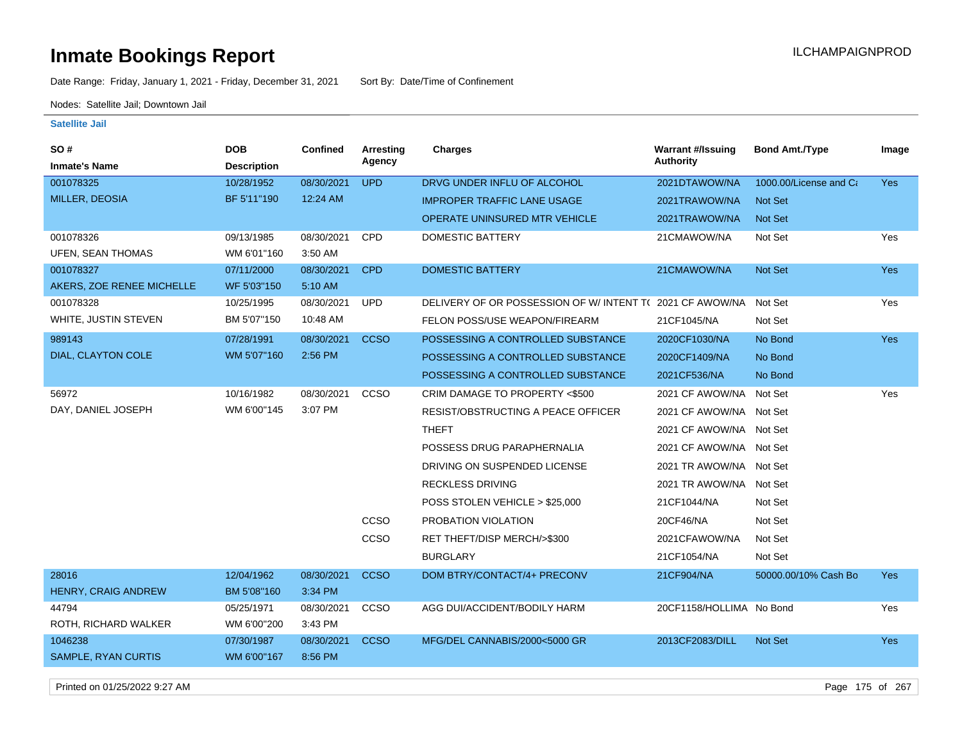Date Range: Friday, January 1, 2021 - Friday, December 31, 2021 Sort By: Date/Time of Confinement

Nodes: Satellite Jail; Downtown Jail

#### **Satellite Jail**

| <b>SO#</b>                 | <b>DOB</b>         | <b>Confined</b> | <b>Arresting</b> | <b>Charges</b>                           | <b>Warrant #/Issuing</b> | <b>Bond Amt./Type</b>  | Image      |
|----------------------------|--------------------|-----------------|------------------|------------------------------------------|--------------------------|------------------------|------------|
| <b>Inmate's Name</b>       | <b>Description</b> |                 | Agency           |                                          | Authority                |                        |            |
| 001078325                  | 10/28/1952         | 08/30/2021      | <b>UPD</b>       | DRVG UNDER INFLU OF ALCOHOL              | 2021DTAWOW/NA            | 1000.00/License and Ca | <b>Yes</b> |
| MILLER, DEOSIA             | BF 5'11"190        | 12:24 AM        |                  | <b>IMPROPER TRAFFIC LANE USAGE</b>       | 2021TRAWOW/NA            | Not Set                |            |
|                            |                    |                 |                  | OPERATE UNINSURED MTR VEHICLE            | 2021TRAWOW/NA            | Not Set                |            |
| 001078326                  | 09/13/1985         | 08/30/2021      | <b>CPD</b>       | <b>DOMESTIC BATTERY</b>                  | 21CMAWOW/NA              | Not Set                | Yes        |
| <b>UFEN, SEAN THOMAS</b>   | WM 6'01"160        | 3:50 AM         |                  |                                          |                          |                        |            |
| 001078327                  | 07/11/2000         | 08/30/2021      | <b>CPD</b>       | <b>DOMESTIC BATTERY</b>                  | 21CMAWOW/NA              | Not Set                | <b>Yes</b> |
| AKERS, ZOE RENEE MICHELLE  | WF 5'03"150        | 5:10 AM         |                  |                                          |                          |                        |            |
| 001078328                  | 10/25/1995         | 08/30/2021      | <b>UPD</b>       | DELIVERY OF OR POSSESSION OF W/INTENT TO | 2021 CF AWOW/NA          | Not Set                | Yes        |
| WHITE, JUSTIN STEVEN       | BM 5'07"150        | 10:48 AM        |                  | FELON POSS/USE WEAPON/FIREARM            | 21CF1045/NA              | Not Set                |            |
| 989143                     | 07/28/1991         | 08/30/2021      | <b>CCSO</b>      | POSSESSING A CONTROLLED SUBSTANCE        | 2020CF1030/NA            | No Bond                | Yes        |
| DIAL, CLAYTON COLE         | WM 5'07"160        | 2:56 PM         |                  | POSSESSING A CONTROLLED SUBSTANCE        | 2020CF1409/NA            | No Bond                |            |
|                            |                    |                 |                  | POSSESSING A CONTROLLED SUBSTANCE        | 2021CF536/NA             | No Bond                |            |
| 56972                      | 10/16/1982         | 08/30/2021      | CCSO             | CRIM DAMAGE TO PROPERTY <\$500           | 2021 CF AWOW/NA Not Set  |                        | Yes        |
| DAY, DANIEL JOSEPH         | WM 6'00"145        | 3:07 PM         |                  | RESIST/OBSTRUCTING A PEACE OFFICER       | 2021 CF AWOW/NA Not Set  |                        |            |
|                            |                    |                 |                  | <b>THEFT</b>                             | 2021 CF AWOW/NA Not Set  |                        |            |
|                            |                    |                 |                  | POSSESS DRUG PARAPHERNALIA               | 2021 CF AWOW/NA Not Set  |                        |            |
|                            |                    |                 |                  | DRIVING ON SUSPENDED LICENSE             | 2021 TR AWOW/NA Not Set  |                        |            |
|                            |                    |                 |                  | <b>RECKLESS DRIVING</b>                  | 2021 TR AWOW/NA Not Set  |                        |            |
|                            |                    |                 |                  | POSS STOLEN VEHICLE > \$25,000           | 21CF1044/NA              | Not Set                |            |
|                            |                    |                 | CCSO             | PROBATION VIOLATION                      | 20CF46/NA                | Not Set                |            |
|                            |                    |                 | CCSO             | RET THEFT/DISP MERCH/>\$300              | 2021CFAWOW/NA            | Not Set                |            |
|                            |                    |                 |                  | <b>BURGLARY</b>                          | 21CF1054/NA              | Not Set                |            |
| 28016                      | 12/04/1962         | 08/30/2021      | <b>CCSO</b>      | DOM BTRY/CONTACT/4+ PRECONV              | 21CF904/NA               | 50000.00/10% Cash Bo   | Yes        |
| HENRY, CRAIG ANDREW        | BM 5'08"160        | 3:34 PM         |                  |                                          |                          |                        |            |
| 44794                      | 05/25/1971         | 08/30/2021      | <b>CCSO</b>      | AGG DUI/ACCIDENT/BODILY HARM             | 20CF1158/HOLLIMA No Bond |                        | Yes        |
| ROTH, RICHARD WALKER       | WM 6'00"200        | 3:43 PM         |                  |                                          |                          |                        |            |
| 1046238                    | 07/30/1987         | 08/30/2021      | <b>CCSO</b>      | MFG/DEL CANNABIS/2000<5000 GR            | 2013CF2083/DILL          | Not Set                | <b>Yes</b> |
| <b>SAMPLE, RYAN CURTIS</b> | WM 6'00"167        | 8:56 PM         |                  |                                          |                          |                        |            |
|                            |                    |                 |                  |                                          |                          |                        |            |

Printed on 01/25/2022 9:27 AM Page 175 of 267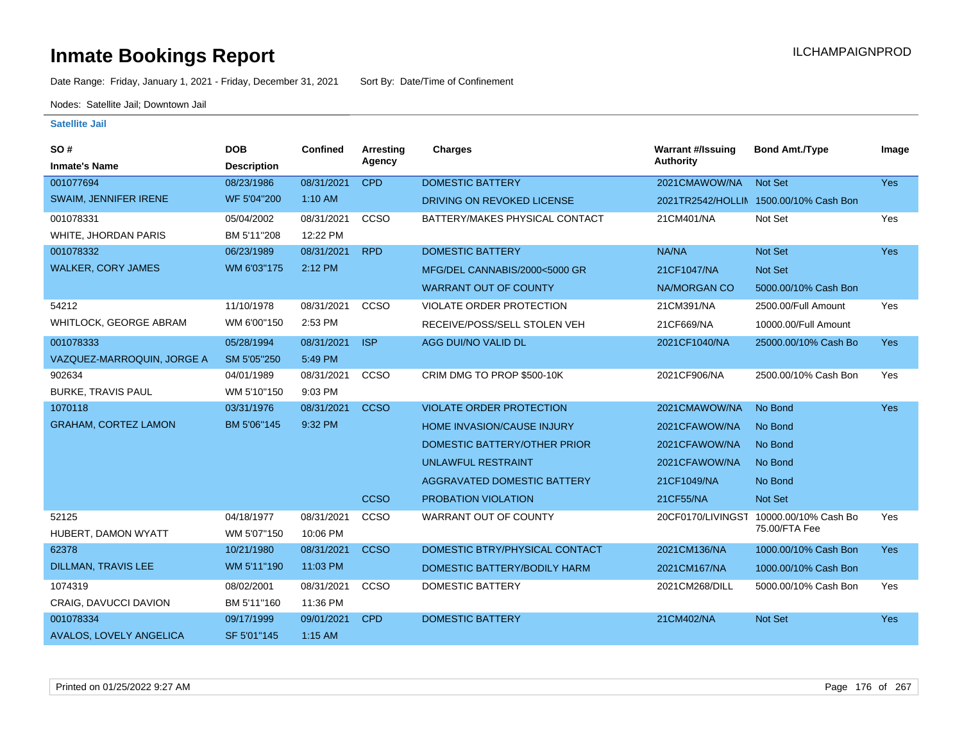Date Range: Friday, January 1, 2021 - Friday, December 31, 2021 Sort By: Date/Time of Confinement

Nodes: Satellite Jail; Downtown Jail

| SO#                            | <b>DOB</b>         | Confined   | <b>Arresting</b> | <b>Charges</b>                  | <b>Warrant #/Issuing</b> | <b>Bond Amt./Type</b>                  | Image      |
|--------------------------------|--------------------|------------|------------------|---------------------------------|--------------------------|----------------------------------------|------------|
| <b>Inmate's Name</b>           | <b>Description</b> |            | Agency           |                                 | <b>Authority</b>         |                                        |            |
| 001077694                      | 08/23/1986         | 08/31/2021 | <b>CPD</b>       | <b>DOMESTIC BATTERY</b>         | 2021CMAWOW/NA            | <b>Not Set</b>                         | Yes        |
| SWAIM, JENNIFER IRENE          | WF 5'04"200        | 1:10 AM    |                  | DRIVING ON REVOKED LICENSE      |                          | 2021TR2542/HOLLIN 1500.00/10% Cash Bon |            |
| 001078331                      | 05/04/2002         | 08/31/2021 | CCSO             | BATTERY/MAKES PHYSICAL CONTACT  | 21CM401/NA               | Not Set                                | Yes        |
| WHITE, JHORDAN PARIS           | BM 5'11"208        | 12:22 PM   |                  |                                 |                          |                                        |            |
| 001078332                      | 06/23/1989         | 08/31/2021 | <b>RPD</b>       | <b>DOMESTIC BATTERY</b>         | NA/NA                    | Not Set                                | Yes        |
| <b>WALKER, CORY JAMES</b>      | WM 6'03"175        | 2:12 PM    |                  | MFG/DEL CANNABIS/2000<5000 GR   | 21CF1047/NA              | <b>Not Set</b>                         |            |
|                                |                    |            |                  | <b>WARRANT OUT OF COUNTY</b>    | NA/MORGAN CO             | 5000.00/10% Cash Bon                   |            |
| 54212                          | 11/10/1978         | 08/31/2021 | CCSO             | VIOLATE ORDER PROTECTION        | 21CM391/NA               | 2500.00/Full Amount                    | Yes        |
| <b>WHITLOCK, GEORGE ABRAM</b>  | WM 6'00"150        | 2:53 PM    |                  | RECEIVE/POSS/SELL STOLEN VEH    | 21CF669/NA               | 10000.00/Full Amount                   |            |
| 001078333                      | 05/28/1994         | 08/31/2021 | <b>ISP</b>       | AGG DUI/NO VALID DL             | 2021CF1040/NA            | 25000.00/10% Cash Bo                   | <b>Yes</b> |
| VAZQUEZ-MARROQUIN, JORGE A     | SM 5'05"250        | 5:49 PM    |                  |                                 |                          |                                        |            |
| 902634                         | 04/01/1989         | 08/31/2021 | CCSO             | CRIM DMG TO PROP \$500-10K      | 2021CF906/NA             | 2500.00/10% Cash Bon                   | Yes        |
| <b>BURKE, TRAVIS PAUL</b>      | WM 5'10"150        | 9:03 PM    |                  |                                 |                          |                                        |            |
| 1070118                        | 03/31/1976         | 08/31/2021 | <b>CCSO</b>      | <b>VIOLATE ORDER PROTECTION</b> | 2021CMAWOW/NA            | No Bond                                | Yes        |
| <b>GRAHAM, CORTEZ LAMON</b>    | BM 5'06"145        | 9:32 PM    |                  | HOME INVASION/CAUSE INJURY      | 2021CFAWOW/NA            | No Bond                                |            |
|                                |                    |            |                  | DOMESTIC BATTERY/OTHER PRIOR    | 2021CFAWOW/NA            | No Bond                                |            |
|                                |                    |            |                  | <b>UNLAWFUL RESTRAINT</b>       | 2021CFAWOW/NA            | No Bond                                |            |
|                                |                    |            |                  | AGGRAVATED DOMESTIC BATTERY     | 21CF1049/NA              | No Bond                                |            |
|                                |                    |            | <b>CCSO</b>      | PROBATION VIOLATION             | 21CF55/NA                | Not Set                                |            |
| 52125                          | 04/18/1977         | 08/31/2021 | CCSO             | WARRANT OUT OF COUNTY           | 20CF0170/LIVINGST        | 10000.00/10% Cash Bo                   | Yes        |
| HUBERT, DAMON WYATT            | WM 5'07"150        | 10:06 PM   |                  |                                 |                          | 75.00/FTA Fee                          |            |
| 62378                          | 10/21/1980         | 08/31/2021 | <b>CCSO</b>      | DOMESTIC BTRY/PHYSICAL CONTACT  | 2021CM136/NA             | 1000.00/10% Cash Bon                   | Yes        |
| <b>DILLMAN, TRAVIS LEE</b>     | WM 5'11"190        | 11:03 PM   |                  | DOMESTIC BATTERY/BODILY HARM    | 2021CM167/NA             | 1000.00/10% Cash Bon                   |            |
| 1074319                        | 08/02/2001         | 08/31/2021 | CCSO             | <b>DOMESTIC BATTERY</b>         | 2021CM268/DILL           | 5000.00/10% Cash Bon                   | Yes        |
| CRAIG, DAVUCCI DAVION          | BM 5'11"160        | 11:36 PM   |                  |                                 |                          |                                        |            |
| 001078334                      | 09/17/1999         | 09/01/2021 | <b>CPD</b>       | <b>DOMESTIC BATTERY</b>         | 21CM402/NA               | <b>Not Set</b>                         | <b>Yes</b> |
| <b>AVALOS, LOVELY ANGELICA</b> | SF 5'01"145        | $1:15$ AM  |                  |                                 |                          |                                        |            |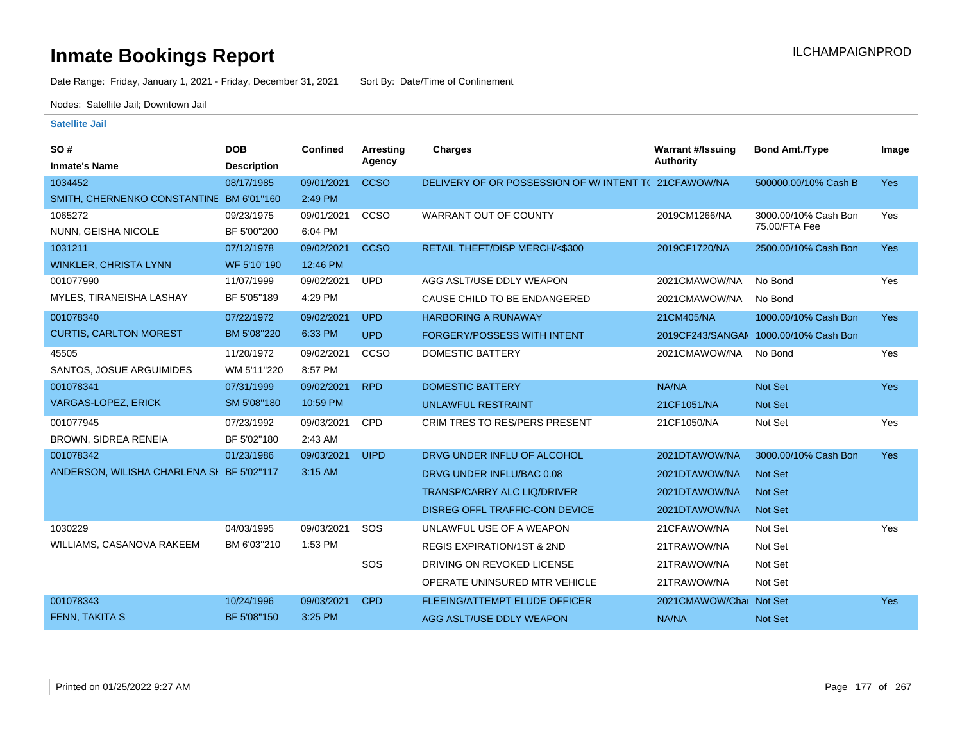Date Range: Friday, January 1, 2021 - Friday, December 31, 2021 Sort By: Date/Time of Confinement

Nodes: Satellite Jail; Downtown Jail

| SO#                                       | <b>DOB</b>         | <b>Confined</b> | <b>Arresting</b> | <b>Charges</b>                                      | <b>Warrant #/Issuing</b> | <b>Bond Amt./Type</b>                 | Image      |
|-------------------------------------------|--------------------|-----------------|------------------|-----------------------------------------------------|--------------------------|---------------------------------------|------------|
| <b>Inmate's Name</b>                      | <b>Description</b> |                 | Agency           |                                                     | <b>Authority</b>         |                                       |            |
| 1034452                                   | 08/17/1985         | 09/01/2021      | <b>CCSO</b>      | DELIVERY OF OR POSSESSION OF W/INTENT T(21CFAWOW/NA |                          | 500000.00/10% Cash B                  | <b>Yes</b> |
| SMITH, CHERNENKO CONSTANTINE BM 6'01"160  |                    | 2:49 PM         |                  |                                                     |                          |                                       |            |
| 1065272                                   | 09/23/1975         | 09/01/2021      | <b>CCSO</b>      | WARRANT OUT OF COUNTY                               | 2019CM1266/NA            | 3000.00/10% Cash Bon                  | Yes        |
| NUNN, GEISHA NICOLE                       | BF 5'00"200        | 6:04 PM         |                  |                                                     |                          | 75.00/FTA Fee                         |            |
| 1031211                                   | 07/12/1978         | 09/02/2021      | <b>CCSO</b>      | RETAIL THEFT/DISP MERCH/<\$300                      | 2019CF1720/NA            | 2500.00/10% Cash Bon                  | <b>Yes</b> |
| <b>WINKLER, CHRISTA LYNN</b>              | WF 5'10"190        | 12:46 PM        |                  |                                                     |                          |                                       |            |
| 001077990                                 | 11/07/1999         | 09/02/2021      | <b>UPD</b>       | AGG ASLT/USE DDLY WEAPON                            | 2021CMAWOW/NA            | No Bond                               | Yes        |
| MYLES, TIRANEISHA LASHAY                  | BF 5'05"189        | 4:29 PM         |                  | CAUSE CHILD TO BE ENDANGERED                        | 2021CMAWOW/NA            | No Bond                               |            |
| 001078340                                 | 07/22/1972         | 09/02/2021      | <b>UPD</b>       | <b>HARBORING A RUNAWAY</b>                          | 21CM405/NA               | 1000.00/10% Cash Bon                  | <b>Yes</b> |
| <b>CURTIS, CARLTON MOREST</b>             | BM 5'08"220        | 6:33 PM         | <b>UPD</b>       | <b>FORGERY/POSSESS WITH INTENT</b>                  |                          | 2019CF243/SANGAN 1000.00/10% Cash Bon |            |
| 45505                                     | 11/20/1972         | 09/02/2021      | CCSO             | <b>DOMESTIC BATTERY</b>                             | 2021CMAWOW/NA            | No Bond                               | Yes        |
| SANTOS, JOSUE ARGUIMIDES                  | WM 5'11"220        | 8:57 PM         |                  |                                                     |                          |                                       |            |
| 001078341                                 | 07/31/1999         | 09/02/2021      | <b>RPD</b>       | <b>DOMESTIC BATTERY</b>                             | NA/NA                    | <b>Not Set</b>                        | Yes        |
| <b>VARGAS-LOPEZ, ERICK</b>                | SM 5'08"180        | 10:59 PM        |                  | <b>UNLAWFUL RESTRAINT</b>                           | 21CF1051/NA              | <b>Not Set</b>                        |            |
| 001077945                                 | 07/23/1992         | 09/03/2021      | <b>CPD</b>       | <b>CRIM TRES TO RES/PERS PRESENT</b>                | 21CF1050/NA              | Not Set                               | Yes        |
| BROWN, SIDREA RENEIA                      | BF 5'02"180        | 2:43 AM         |                  |                                                     |                          |                                       |            |
| 001078342                                 | 01/23/1986         | 09/03/2021      | <b>UIPD</b>      | DRVG UNDER INFLU OF ALCOHOL                         | 2021DTAWOW/NA            | 3000.00/10% Cash Bon                  | <b>Yes</b> |
| ANDERSON, WILISHA CHARLENA SI BF 5'02"117 |                    | 3:15 AM         |                  | DRVG UNDER INFLU/BAC 0.08                           | 2021DTAWOW/NA            | <b>Not Set</b>                        |            |
|                                           |                    |                 |                  | TRANSP/CARRY ALC LIQ/DRIVER                         | 2021DTAWOW/NA            | <b>Not Set</b>                        |            |
|                                           |                    |                 |                  | DISREG OFFL TRAFFIC-CON DEVICE                      | 2021DTAWOW/NA            | <b>Not Set</b>                        |            |
| 1030229                                   | 04/03/1995         | 09/03/2021      | SOS              | UNLAWFUL USE OF A WEAPON                            | 21CFAWOW/NA              | Not Set                               | Yes        |
| WILLIAMS, CASANOVA RAKEEM                 | BM 6'03"210        | 1:53 PM         |                  | <b>REGIS EXPIRATION/1ST &amp; 2ND</b>               | 21TRAWOW/NA              | Not Set                               |            |
|                                           |                    |                 | SOS              | DRIVING ON REVOKED LICENSE                          | 21TRAWOW/NA              | Not Set                               |            |
|                                           |                    |                 |                  | OPERATE UNINSURED MTR VEHICLE                       | 21TRAWOW/NA              | Not Set                               |            |
| 001078343                                 | 10/24/1996         | 09/03/2021      | <b>CPD</b>       | FLEEING/ATTEMPT ELUDE OFFICER                       | 2021CMAWOW/Chai Not Set  |                                       | Yes        |
| <b>FENN, TAKITA S</b>                     | BF 5'08"150        | 3:25 PM         |                  | AGG ASLT/USE DDLY WEAPON                            | NA/NA                    | Not Set                               |            |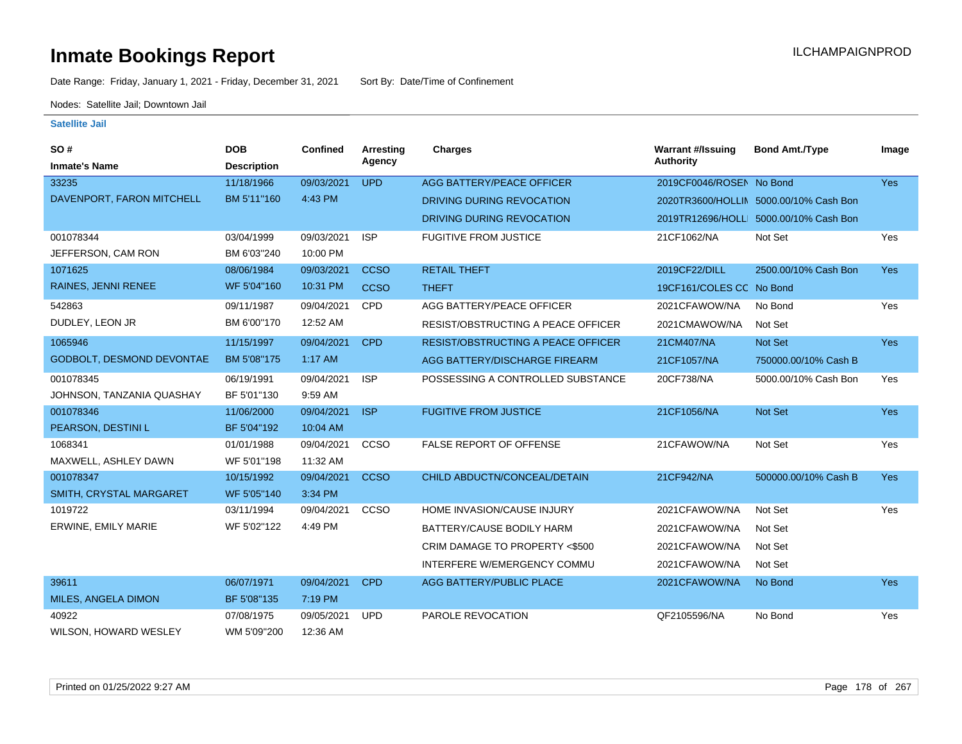Date Range: Friday, January 1, 2021 - Friday, December 31, 2021 Sort By: Date/Time of Confinement

Nodes: Satellite Jail; Downtown Jail

| SO#                       | <b>DOB</b>         | Confined   | <b>Arresting</b> | <b>Charges</b>                            | <b>Warrant #/Issuing</b> | <b>Bond Amt./Type</b>                  | Image      |
|---------------------------|--------------------|------------|------------------|-------------------------------------------|--------------------------|----------------------------------------|------------|
| <b>Inmate's Name</b>      | <b>Description</b> |            | Agency           |                                           | <b>Authority</b>         |                                        |            |
| 33235                     | 11/18/1966         | 09/03/2021 | <b>UPD</b>       | AGG BATTERY/PEACE OFFICER                 | 2019CF0046/ROSEN No Bond |                                        | Yes        |
| DAVENPORT, FARON MITCHELL | BM 5'11"160        | 4:43 PM    |                  | DRIVING DURING REVOCATION                 |                          | 2020TR3600/HOLLIN 5000.00/10% Cash Bon |            |
|                           |                    |            |                  | DRIVING DURING REVOCATION                 |                          | 2019TR12696/HOLLI 5000.00/10% Cash Bon |            |
| 001078344                 | 03/04/1999         | 09/03/2021 | <b>ISP</b>       | <b>FUGITIVE FROM JUSTICE</b>              | 21CF1062/NA              | Not Set                                | Yes        |
| JEFFERSON, CAM RON        | BM 6'03"240        | 10:00 PM   |                  |                                           |                          |                                        |            |
| 1071625                   | 08/06/1984         | 09/03/2021 | <b>CCSO</b>      | <b>RETAIL THEFT</b>                       | 2019CF22/DILL            | 2500.00/10% Cash Bon                   | Yes        |
| RAINES, JENNI RENEE       | WF 5'04"160        | 10:31 PM   | <b>CCSO</b>      | <b>THEFT</b>                              | 19CF161/COLES CC No Bond |                                        |            |
| 542863                    | 09/11/1987         | 09/04/2021 | CPD              | AGG BATTERY/PEACE OFFICER                 | 2021CFAWOW/NA            | No Bond                                | Yes        |
| DUDLEY, LEON JR           | BM 6'00"170        | 12:52 AM   |                  | RESIST/OBSTRUCTING A PEACE OFFICER        | 2021CMAWOW/NA            | Not Set                                |            |
| 1065946                   | 11/15/1997         | 09/04/2021 | <b>CPD</b>       | <b>RESIST/OBSTRUCTING A PEACE OFFICER</b> | 21CM407/NA               | <b>Not Set</b>                         | <b>Yes</b> |
| GODBOLT, DESMOND DEVONTAE | BM 5'08"175        | 1:17 AM    |                  | AGG BATTERY/DISCHARGE FIREARM             | 21CF1057/NA              | 750000.00/10% Cash B                   |            |
| 001078345                 | 06/19/1991         | 09/04/2021 | <b>ISP</b>       | POSSESSING A CONTROLLED SUBSTANCE         | 20CF738/NA               | 5000.00/10% Cash Bon                   | Yes        |
| JOHNSON, TANZANIA QUASHAY | BF 5'01"130        | 9:59 AM    |                  |                                           |                          |                                        |            |
| 001078346                 | 11/06/2000         | 09/04/2021 | <b>ISP</b>       | <b>FUGITIVE FROM JUSTICE</b>              | 21CF1056/NA              | Not Set                                | <b>Yes</b> |
| PEARSON, DESTINIL         | BF 5'04"192        | 10:04 AM   |                  |                                           |                          |                                        |            |
| 1068341                   | 01/01/1988         | 09/04/2021 | CCSO             | <b>FALSE REPORT OF OFFENSE</b>            | 21CFAWOW/NA              | Not Set                                | Yes        |
| MAXWELL, ASHLEY DAWN      | WF 5'01"198        | 11:32 AM   |                  |                                           |                          |                                        |            |
| 001078347                 | 10/15/1992         | 09/04/2021 | <b>CCSO</b>      | CHILD ABDUCTN/CONCEAL/DETAIN              | 21CF942/NA               | 500000.00/10% Cash B                   | <b>Yes</b> |
| SMITH, CRYSTAL MARGARET   | WF 5'05"140        | 3:34 PM    |                  |                                           |                          |                                        |            |
| 1019722                   | 03/11/1994         | 09/04/2021 | CCSO             | HOME INVASION/CAUSE INJURY                | 2021CFAWOW/NA            | Not Set                                | Yes        |
| ERWINE, EMILY MARIE       | WF 5'02"122        | 4:49 PM    |                  | BATTERY/CAUSE BODILY HARM                 | 2021CFAWOW/NA            | Not Set                                |            |
|                           |                    |            |                  | CRIM DAMAGE TO PROPERTY <\$500            | 2021CFAWOW/NA            | Not Set                                |            |
|                           |                    |            |                  | INTERFERE W/EMERGENCY COMMU               | 2021CFAWOW/NA            | Not Set                                |            |
| 39611                     | 06/07/1971         | 09/04/2021 | <b>CPD</b>       | AGG BATTERY/PUBLIC PLACE                  | 2021CFAWOW/NA            | No Bond                                | Yes        |
| MILES, ANGELA DIMON       | BF 5'08"135        | 7:19 PM    |                  |                                           |                          |                                        |            |
| 40922                     | 07/08/1975         | 09/05/2021 | <b>UPD</b>       | PAROLE REVOCATION                         | QF2105596/NA             | No Bond                                | Yes        |
| WILSON, HOWARD WESLEY     | WM 5'09"200        | 12:36 AM   |                  |                                           |                          |                                        |            |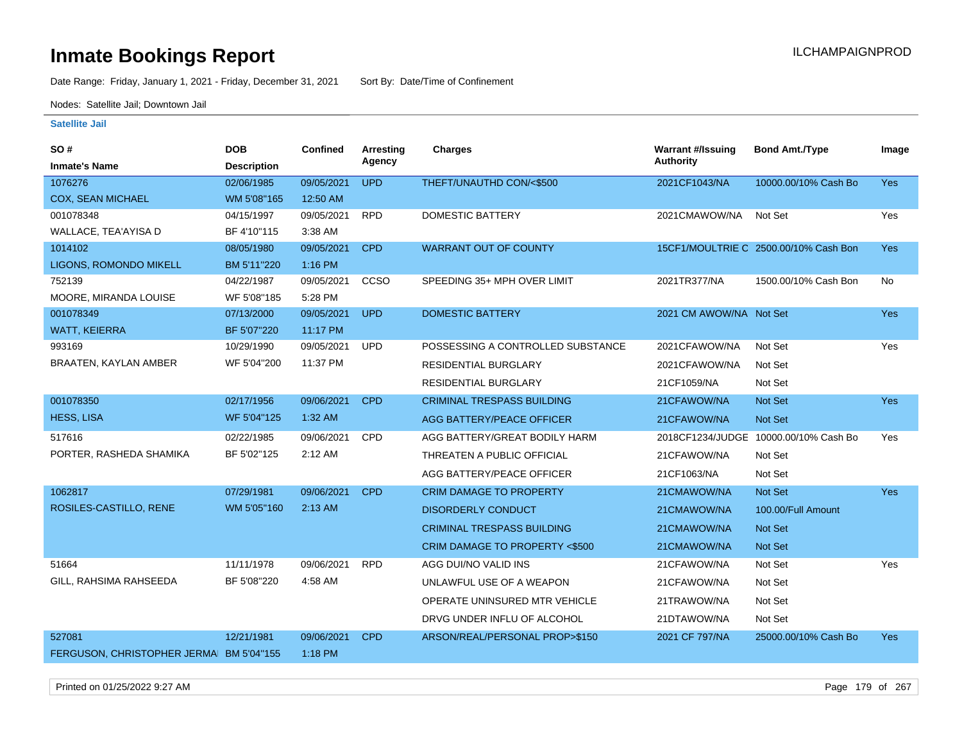Date Range: Friday, January 1, 2021 - Friday, December 31, 2021 Sort By: Date/Time of Confinement

Nodes: Satellite Jail; Downtown Jail

| SO#                         | <b>DOB</b>         | <b>Confined</b> | <b>Arresting</b> | <b>Charges</b>                    | <b>Warrant #/Issuing</b> | <b>Bond Amt./Type</b>                 | Image      |
|-----------------------------|--------------------|-----------------|------------------|-----------------------------------|--------------------------|---------------------------------------|------------|
| <b>Inmate's Name</b>        | <b>Description</b> |                 | Agency           |                                   | <b>Authority</b>         |                                       |            |
| 1076276                     | 02/06/1985         | 09/05/2021      | <b>UPD</b>       | THEFT/UNAUTHD CON/<\$500          | 2021CF1043/NA            | 10000.00/10% Cash Bo                  | <b>Yes</b> |
| <b>COX, SEAN MICHAEL</b>    | WM 5'08"165        | 12:50 AM        |                  |                                   |                          |                                       |            |
| 001078348                   | 04/15/1997         | 09/05/2021      | <b>RPD</b>       | <b>DOMESTIC BATTERY</b>           | 2021CMAWOW/NA            | Not Set                               | Yes        |
| WALLACE, TEA'AYISA D        | BF 4'10"115        | 3:38 AM         |                  |                                   |                          |                                       |            |
| 1014102                     | 08/05/1980         | 09/05/2021      | <b>CPD</b>       | <b>WARRANT OUT OF COUNTY</b>      |                          | 15CF1/MOULTRIE C 2500.00/10% Cash Bon | Yes        |
| LIGONS, ROMONDO MIKELL      | BM 5'11"220        | 1:16 PM         |                  |                                   |                          |                                       |            |
| 752139                      | 04/22/1987         | 09/05/2021      | CCSO             | SPEEDING 35+ MPH OVER LIMIT       | 2021TR377/NA             | 1500.00/10% Cash Bon                  | No         |
| MOORE, MIRANDA LOUISE       | WF 5'08"185        | 5:28 PM         |                  |                                   |                          |                                       |            |
| 001078349                   | 07/13/2000         | 09/05/2021      | <b>UPD</b>       | <b>DOMESTIC BATTERY</b>           | 2021 CM AWOW/NA Not Set  |                                       | <b>Yes</b> |
| <b>WATT, KEIERRA</b>        | BF 5'07"220        | 11:17 PM        |                  |                                   |                          |                                       |            |
| 993169                      | 10/29/1990         | 09/05/2021      | <b>UPD</b>       | POSSESSING A CONTROLLED SUBSTANCE | 2021CFAWOW/NA            | Not Set                               | Yes        |
| BRAATEN, KAYLAN AMBER       | WF 5'04"200        | 11:37 PM        |                  | <b>RESIDENTIAL BURGLARY</b>       | 2021CFAWOW/NA            | Not Set                               |            |
|                             |                    |                 |                  | <b>RESIDENTIAL BURGLARY</b>       | 21CF1059/NA              | Not Set                               |            |
| 001078350                   | 02/17/1956         | 09/06/2021      | <b>CPD</b>       | <b>CRIMINAL TRESPASS BUILDING</b> | 21CFAWOW/NA              | Not Set                               | <b>Yes</b> |
| <b>HESS, LISA</b>           | WF 5'04"125        | $1:32$ AM       |                  | AGG BATTERY/PEACE OFFICER         | 21CFAWOW/NA              | Not Set                               |            |
| 517616                      | 02/22/1985         | 09/06/2021      | <b>CPD</b>       | AGG BATTERY/GREAT BODILY HARM     |                          | 2018CF1234/JUDGE 10000.00/10% Cash Bo | Yes        |
| PORTER, RASHEDA SHAMIKA     | BF 5'02"125        | 2:12 AM         |                  | THREATEN A PUBLIC OFFICIAL        | 21CFAWOW/NA              | Not Set                               |            |
|                             |                    |                 |                  | AGG BATTERY/PEACE OFFICER         | 21CF1063/NA              | Not Set                               |            |
| 1062817                     | 07/29/1981         | 09/06/2021      | <b>CPD</b>       | <b>CRIM DAMAGE TO PROPERTY</b>    | 21CMAWOW/NA              | Not Set                               | <b>Yes</b> |
| ROSILES-CASTILLO, RENE      | WM 5'05"160        | 2:13 AM         |                  | <b>DISORDERLY CONDUCT</b>         | 21CMAWOW/NA              | 100.00/Full Amount                    |            |
|                             |                    |                 |                  | <b>CRIMINAL TRESPASS BUILDING</b> | 21CMAWOW/NA              | <b>Not Set</b>                        |            |
|                             |                    |                 |                  | CRIM DAMAGE TO PROPERTY <\$500    | 21CMAWOW/NA              | Not Set                               |            |
| 51664                       | 11/11/1978         | 09/06/2021      | <b>RPD</b>       | AGG DUI/NO VALID INS              | 21CFAWOW/NA              | Not Set                               | Yes        |
| GILL, RAHSIMA RAHSEEDA      | BF 5'08"220        | 4:58 AM         |                  | UNLAWFUL USE OF A WEAPON          | 21CFAWOW/NA              | Not Set                               |            |
|                             |                    |                 |                  | OPERATE UNINSURED MTR VEHICLE     | 21TRAWOW/NA              | Not Set                               |            |
|                             |                    |                 |                  | DRVG UNDER INFLU OF ALCOHOL       | 21DTAWOW/NA              | Not Set                               |            |
| 527081                      | 12/21/1981         | 09/06/2021      | <b>CPD</b>       | ARSON/REAL/PERSONAL PROP>\$150    | 2021 CF 797/NA           | 25000.00/10% Cash Bo                  | <b>Yes</b> |
| FERGUSON, CHRISTOPHER JERMA | BM 5'04"155        | 1:18 PM         |                  |                                   |                          |                                       |            |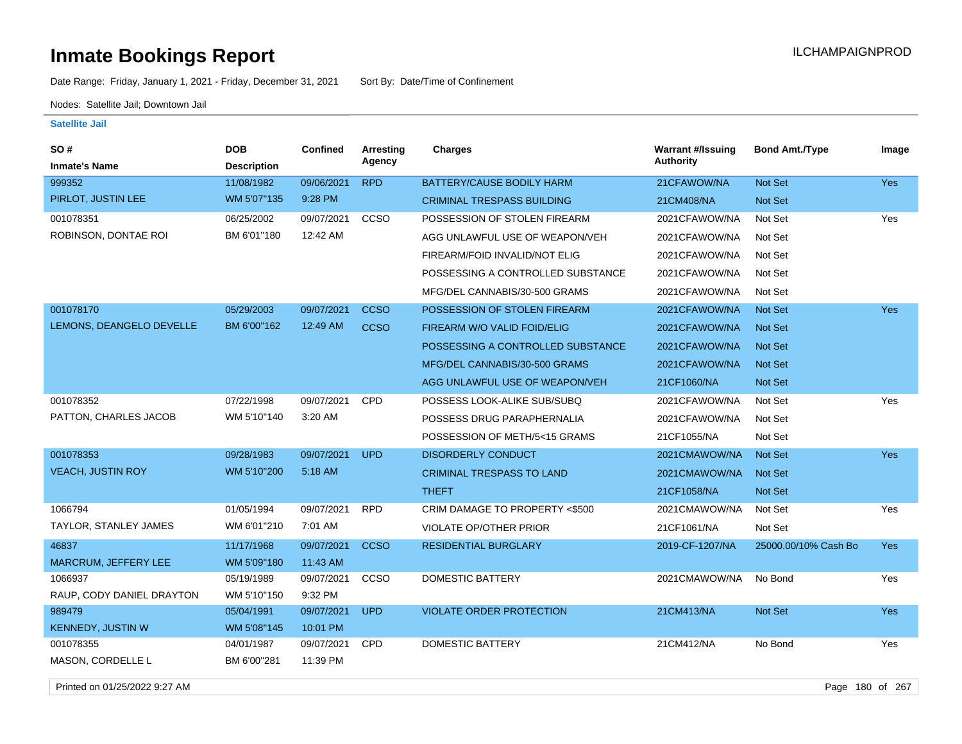Date Range: Friday, January 1, 2021 - Friday, December 31, 2021 Sort By: Date/Time of Confinement

Nodes: Satellite Jail; Downtown Jail

#### **Satellite Jail**

| <b>SO#</b>                | <b>DOB</b>         | <b>Confined</b> | Arresting   | <b>Charges</b>                    | <b>Warrant #/Issuing</b> | <b>Bond Amt./Type</b> | Image      |
|---------------------------|--------------------|-----------------|-------------|-----------------------------------|--------------------------|-----------------------|------------|
| <b>Inmate's Name</b>      | <b>Description</b> |                 | Agency      |                                   | Authority                |                       |            |
| 999352                    | 11/08/1982         | 09/06/2021      | <b>RPD</b>  | BATTERY/CAUSE BODILY HARM         | 21CFAWOW/NA              | Not Set               | <b>Yes</b> |
| PIRLOT, JUSTIN LEE        | WM 5'07"135        | 9:28 PM         |             | <b>CRIMINAL TRESPASS BUILDING</b> | 21CM408/NA               | Not Set               |            |
| 001078351                 | 06/25/2002         | 09/07/2021      | CCSO        | POSSESSION OF STOLEN FIREARM      | 2021CFAWOW/NA            | Not Set               | Yes        |
| ROBINSON, DONTAE ROI      | BM 6'01"180        | 12:42 AM        |             | AGG UNLAWFUL USE OF WEAPON/VEH    | 2021CFAWOW/NA            | Not Set               |            |
|                           |                    |                 |             | FIREARM/FOID INVALID/NOT ELIG     | 2021CFAWOW/NA            | Not Set               |            |
|                           |                    |                 |             | POSSESSING A CONTROLLED SUBSTANCE | 2021CFAWOW/NA            | Not Set               |            |
|                           |                    |                 |             | MFG/DEL CANNABIS/30-500 GRAMS     | 2021CFAWOW/NA            | Not Set               |            |
| 001078170                 | 05/29/2003         | 09/07/2021      | <b>CCSO</b> | POSSESSION OF STOLEN FIREARM      | 2021CFAWOW/NA            | Not Set               | Yes        |
| LEMONS, DEANGELO DEVELLE  | BM 6'00"162        | 12:49 AM        | <b>CCSO</b> | FIREARM W/O VALID FOID/ELIG       | 2021CFAWOW/NA            | Not Set               |            |
|                           |                    |                 |             | POSSESSING A CONTROLLED SUBSTANCE | 2021CFAWOW/NA            | Not Set               |            |
|                           |                    |                 |             | MFG/DEL CANNABIS/30-500 GRAMS     | 2021CFAWOW/NA            | Not Set               |            |
|                           |                    |                 |             | AGG UNLAWFUL USE OF WEAPON/VEH    | 21CF1060/NA              | Not Set               |            |
| 001078352                 | 07/22/1998         | 09/07/2021      | CPD         | POSSESS LOOK-ALIKE SUB/SUBQ       | 2021CFAWOW/NA            | Not Set               | Yes        |
| PATTON, CHARLES JACOB     | WM 5'10"140        | 3:20 AM         |             | POSSESS DRUG PARAPHERNALIA        | 2021CFAWOW/NA            | Not Set               |            |
|                           |                    |                 |             | POSSESSION OF METH/5<15 GRAMS     | 21CF1055/NA              | Not Set               |            |
| 001078353                 | 09/28/1983         | 09/07/2021      | <b>UPD</b>  | <b>DISORDERLY CONDUCT</b>         | 2021CMAWOW/NA            | Not Set               | <b>Yes</b> |
| <b>VEACH, JUSTIN ROY</b>  | WM 5'10"200        | 5:18 AM         |             | <b>CRIMINAL TRESPASS TO LAND</b>  | 2021CMAWOW/NA            | Not Set               |            |
|                           |                    |                 |             | <b>THEFT</b>                      | 21CF1058/NA              | Not Set               |            |
| 1066794                   | 01/05/1994         | 09/07/2021      | <b>RPD</b>  | CRIM DAMAGE TO PROPERTY <\$500    | 2021CMAWOW/NA            | Not Set               | Yes        |
| TAYLOR, STANLEY JAMES     | WM 6'01"210        | 7:01 AM         |             | <b>VIOLATE OP/OTHER PRIOR</b>     | 21CF1061/NA              | Not Set               |            |
| 46837                     | 11/17/1968         | 09/07/2021      | <b>CCSO</b> | <b>RESIDENTIAL BURGLARY</b>       | 2019-CF-1207/NA          | 25000.00/10% Cash Bo  | <b>Yes</b> |
| MARCRUM, JEFFERY LEE      | WM 5'09"180        | 11:43 AM        |             |                                   |                          |                       |            |
| 1066937                   | 05/19/1989         | 09/07/2021      | CCSO        | <b>DOMESTIC BATTERY</b>           | 2021CMAWOW/NA            | No Bond               | Yes        |
| RAUP, CODY DANIEL DRAYTON | WM 5'10"150        | 9:32 PM         |             |                                   |                          |                       |            |
| 989479                    | 05/04/1991         | 09/07/2021      | <b>UPD</b>  | <b>VIOLATE ORDER PROTECTION</b>   | 21CM413/NA               | Not Set               | <b>Yes</b> |
| <b>KENNEDY, JUSTIN W</b>  | WM 5'08"145        | 10:01 PM        |             |                                   |                          |                       |            |
| 001078355                 | 04/01/1987         | 09/07/2021      | CPD         | DOMESTIC BATTERY                  | 21CM412/NA               | No Bond               | Yes        |
| MASON, CORDELLE L         | BM 6'00"281        | 11:39 PM        |             |                                   |                          |                       |            |

Printed on 01/25/2022 9:27 AM Page 180 of 267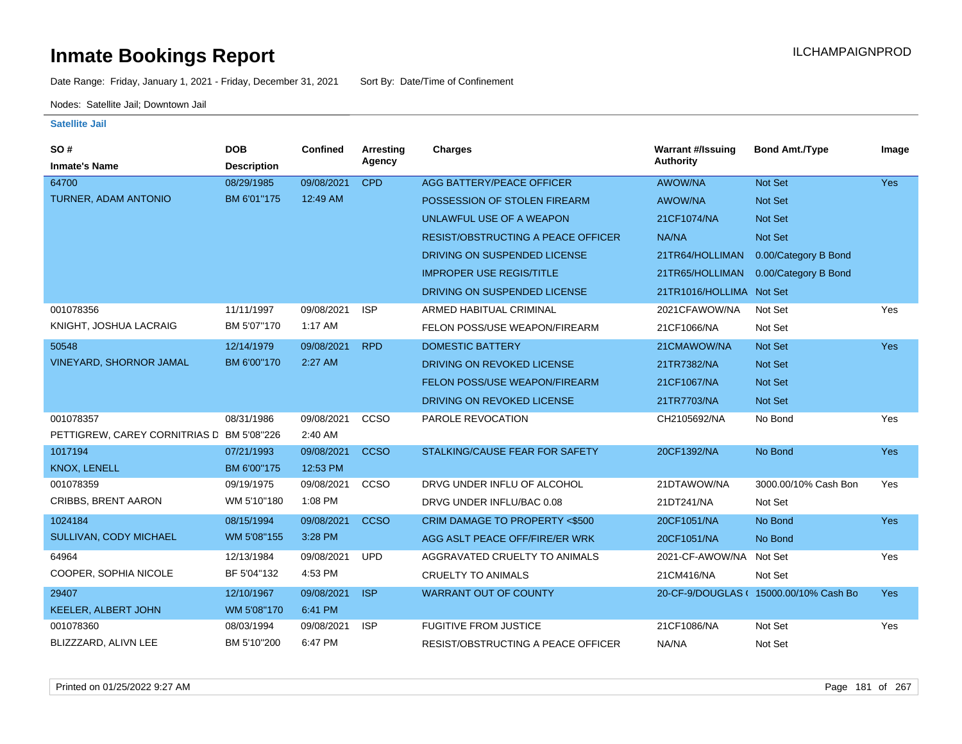Date Range: Friday, January 1, 2021 - Friday, December 31, 2021 Sort By: Date/Time of Confinement

Nodes: Satellite Jail; Downtown Jail

| SO#                                       | <b>DOB</b>         | Confined   | <b>Arresting</b> | Charges                                   | <b>Warrant #/Issuing</b> | <b>Bond Amt./Type</b>                  | Image      |
|-------------------------------------------|--------------------|------------|------------------|-------------------------------------------|--------------------------|----------------------------------------|------------|
| <b>Inmate's Name</b>                      | <b>Description</b> |            | Agency           |                                           | <b>Authority</b>         |                                        |            |
| 64700                                     | 08/29/1985         | 09/08/2021 | <b>CPD</b>       | AGG BATTERY/PEACE OFFICER                 | <b>AWOW/NA</b>           | Not Set                                | <b>Yes</b> |
| <b>TURNER, ADAM ANTONIO</b>               | BM 6'01"175        | 12:49 AM   |                  | POSSESSION OF STOLEN FIREARM              | AWOW/NA                  | Not Set                                |            |
|                                           |                    |            |                  | UNLAWFUL USE OF A WEAPON                  | 21CF1074/NA              | <b>Not Set</b>                         |            |
|                                           |                    |            |                  | <b>RESIST/OBSTRUCTING A PEACE OFFICER</b> | NA/NA                    | <b>Not Set</b>                         |            |
|                                           |                    |            |                  | DRIVING ON SUSPENDED LICENSE              | 21TR64/HOLLIMAN          | 0.00/Category B Bond                   |            |
|                                           |                    |            |                  | <b>IMPROPER USE REGIS/TITLE</b>           | 21TR65/HOLLIMAN          | 0.00/Category B Bond                   |            |
|                                           |                    |            |                  | DRIVING ON SUSPENDED LICENSE              | 21TR1016/HOLLIMA Not Set |                                        |            |
| 001078356                                 | 11/11/1997         | 09/08/2021 | <b>ISP</b>       | ARMED HABITUAL CRIMINAL                   | 2021CFAWOW/NA            | Not Set                                | Yes        |
| KNIGHT, JOSHUA LACRAIG                    | BM 5'07"170        | 1:17 AM    |                  | FELON POSS/USE WEAPON/FIREARM             | 21CF1066/NA              | Not Set                                |            |
| 50548                                     | 12/14/1979         | 09/08/2021 | <b>RPD</b>       | <b>DOMESTIC BATTERY</b>                   | 21CMAWOW/NA              | <b>Not Set</b>                         | <b>Yes</b> |
| <b>VINEYARD, SHORNOR JAMAL</b>            | BM 6'00"170        | 2:27 AM    |                  | DRIVING ON REVOKED LICENSE                | 21TR7382/NA              | <b>Not Set</b>                         |            |
|                                           |                    |            |                  | FELON POSS/USE WEAPON/FIREARM             | 21CF1067/NA              | Not Set                                |            |
|                                           |                    |            |                  | DRIVING ON REVOKED LICENSE                | 21TR7703/NA              | <b>Not Set</b>                         |            |
| 001078357                                 | 08/31/1986         | 09/08/2021 | CCSO             | PAROLE REVOCATION                         | CH2105692/NA             | No Bond                                | Yes        |
| PETTIGREW, CAREY CORNITRIAS D BM 5'08"226 |                    | 2:40 AM    |                  |                                           |                          |                                        |            |
| 1017194                                   | 07/21/1993         | 09/08/2021 | <b>CCSO</b>      | STALKING/CAUSE FEAR FOR SAFETY            | 20CF1392/NA              | No Bond                                | <b>Yes</b> |
| KNOX, LENELL                              | BM 6'00"175        | 12:53 PM   |                  |                                           |                          |                                        |            |
| 001078359                                 | 09/19/1975         | 09/08/2021 | CCSO             | DRVG UNDER INFLU OF ALCOHOL               | 21DTAWOW/NA              | 3000.00/10% Cash Bon                   | Yes        |
| <b>CRIBBS, BRENT AARON</b>                | WM 5'10"180        | 1:08 PM    |                  | DRVG UNDER INFLU/BAC 0.08                 | 21DT241/NA               | Not Set                                |            |
| 1024184                                   | 08/15/1994         | 09/08/2021 | <b>CCSO</b>      | CRIM DAMAGE TO PROPERTY <\$500            | 20CF1051/NA              | No Bond                                | <b>Yes</b> |
| SULLIVAN, CODY MICHAEL                    | WM 5'08"155        | 3:28 PM    |                  | AGG ASLT PEACE OFF/FIRE/ER WRK            | 20CF1051/NA              | No Bond                                |            |
| 64964                                     | 12/13/1984         | 09/08/2021 | <b>UPD</b>       | AGGRAVATED CRUELTY TO ANIMALS             | 2021-CF-AWOW/NA          | Not Set                                | Yes        |
| COOPER, SOPHIA NICOLE                     | BF 5'04"132        | 4:53 PM    |                  | <b>CRUELTY TO ANIMALS</b>                 | 21CM416/NA               | Not Set                                |            |
| 29407                                     | 12/10/1967         | 09/08/2021 | <b>ISP</b>       | <b>WARRANT OUT OF COUNTY</b>              |                          | 20-CF-9/DOUGLAS ( 15000.00/10% Cash Bo | <b>Yes</b> |
| <b>KEELER, ALBERT JOHN</b>                | WM 5'08"170        | 6:41 PM    |                  |                                           |                          |                                        |            |
| 001078360                                 | 08/03/1994         | 09/08/2021 | <b>ISP</b>       | <b>FUGITIVE FROM JUSTICE</b>              | 21CF1086/NA              | Not Set                                | Yes        |
| BLIZZZARD, ALIVN LEE                      | BM 5'10"200        | 6:47 PM    |                  | <b>RESIST/OBSTRUCTING A PEACE OFFICER</b> | NA/NA                    | Not Set                                |            |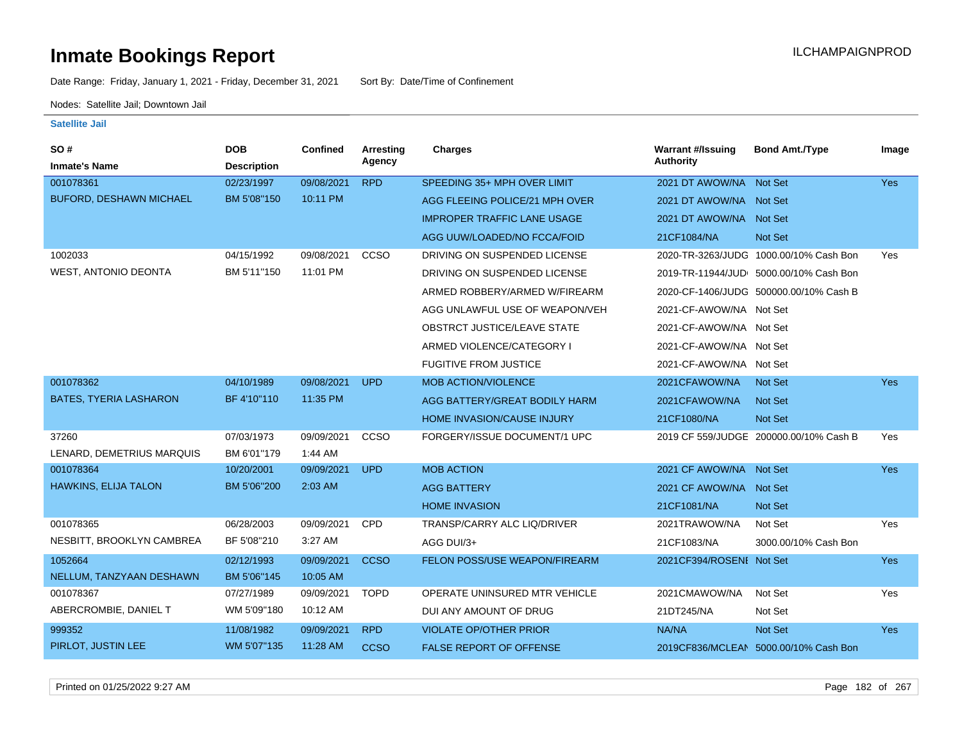Date Range: Friday, January 1, 2021 - Friday, December 31, 2021 Sort By: Date/Time of Confinement

Nodes: Satellite Jail; Downtown Jail

### **Satellite Jail**

| SO#                            | <b>DOB</b>         | Confined   | <b>Arresting</b> | Charges                            | <b>Warrant #/Issuing</b> | <b>Bond Amt./Type</b>                  | Image      |
|--------------------------------|--------------------|------------|------------------|------------------------------------|--------------------------|----------------------------------------|------------|
| <b>Inmate's Name</b>           | <b>Description</b> |            | Agency           |                                    | <b>Authority</b>         |                                        |            |
| 001078361                      | 02/23/1997         | 09/08/2021 | <b>RPD</b>       | SPEEDING 35+ MPH OVER LIMIT        | 2021 DT AWOW/NA Not Set  |                                        | Yes        |
| <b>BUFORD, DESHAWN MICHAEL</b> | BM 5'08"150        | 10:11 PM   |                  | AGG FLEEING POLICE/21 MPH OVER     | 2021 DT AWOW/NA Not Set  |                                        |            |
|                                |                    |            |                  | <b>IMPROPER TRAFFIC LANE USAGE</b> | 2021 DT AWOW/NA Not Set  |                                        |            |
|                                |                    |            |                  | AGG UUW/LOADED/NO FCCA/FOID        | 21CF1084/NA              | Not Set                                |            |
| 1002033                        | 04/15/1992         | 09/08/2021 | CCSO             | DRIVING ON SUSPENDED LICENSE       |                          | 2020-TR-3263/JUDG 1000.00/10% Cash Bon | Yes        |
| <b>WEST, ANTONIO DEONTA</b>    | BM 5'11"150        | 11:01 PM   |                  | DRIVING ON SUSPENDED LICENSE       |                          | 2019-TR-11944/JUD 5000.00/10% Cash Bon |            |
|                                |                    |            |                  | ARMED ROBBERY/ARMED W/FIREARM      |                          | 2020-CF-1406/JUDG 500000.00/10% Cash B |            |
|                                |                    |            |                  | AGG UNLAWFUL USE OF WEAPON/VEH     | 2021-CF-AWOW/NA Not Set  |                                        |            |
|                                |                    |            |                  | OBSTRCT JUSTICE/LEAVE STATE        | 2021-CF-AWOW/NA Not Set  |                                        |            |
|                                |                    |            |                  | ARMED VIOLENCE/CATEGORY I          | 2021-CF-AWOW/NA Not Set  |                                        |            |
|                                |                    |            |                  | <b>FUGITIVE FROM JUSTICE</b>       | 2021-CF-AWOW/NA Not Set  |                                        |            |
| 001078362                      | 04/10/1989         | 09/08/2021 | <b>UPD</b>       | <b>MOB ACTION/VIOLENCE</b>         | 2021CFAWOW/NA            | <b>Not Set</b>                         | <b>Yes</b> |
| <b>BATES, TYERIA LASHARON</b>  | BF 4'10"110        | 11:35 PM   |                  | AGG BATTERY/GREAT BODILY HARM      | 2021CFAWOW/NA            | <b>Not Set</b>                         |            |
|                                |                    |            |                  | HOME INVASION/CAUSE INJURY         | 21CF1080/NA              | <b>Not Set</b>                         |            |
| 37260                          | 07/03/1973         | 09/09/2021 | CCSO             | FORGERY/ISSUE DOCUMENT/1 UPC       |                          | 2019 CF 559/JUDGE 200000.00/10% Cash B | Yes        |
| LENARD, DEMETRIUS MARQUIS      | BM 6'01"179        | 1:44 AM    |                  |                                    |                          |                                        |            |
| 001078364                      | 10/20/2001         | 09/09/2021 | <b>UPD</b>       | <b>MOB ACTION</b>                  | 2021 CF AWOW/NA Not Set  |                                        | Yes        |
| HAWKINS, ELIJA TALON           | BM 5'06"200        | 2:03 AM    |                  | <b>AGG BATTERY</b>                 | 2021 CF AWOW/NA Not Set  |                                        |            |
|                                |                    |            |                  | <b>HOME INVASION</b>               | 21CF1081/NA              | Not Set                                |            |
| 001078365                      | 06/28/2003         | 09/09/2021 | CPD              | TRANSP/CARRY ALC LIQ/DRIVER        | 2021TRAWOW/NA            | Not Set                                | Yes        |
| NESBITT, BROOKLYN CAMBREA      | BF 5'08"210        | 3:27 AM    |                  | AGG DUI/3+                         | 21CF1083/NA              | 3000.00/10% Cash Bon                   |            |
| 1052664                        | 02/12/1993         | 09/09/2021 | <b>CCSO</b>      | FELON POSS/USE WEAPON/FIREARM      | 2021CF394/ROSENI Not Set |                                        | Yes        |
| NELLUM, TANZYAAN DESHAWN       | BM 5'06"145        | 10:05 AM   |                  |                                    |                          |                                        |            |
| 001078367                      | 07/27/1989         | 09/09/2021 | <b>TOPD</b>      | OPERATE UNINSURED MTR VEHICLE      | 2021CMAWOW/NA            | Not Set                                | Yes        |
| ABERCROMBIE, DANIEL T          | WM 5'09"180        | 10:12 AM   |                  | DUI ANY AMOUNT OF DRUG             | 21DT245/NA               | Not Set                                |            |
| 999352                         | 11/08/1982         | 09/09/2021 | <b>RPD</b>       | <b>VIOLATE OP/OTHER PRIOR</b>      | NA/NA                    | Not Set                                | Yes        |
| PIRLOT, JUSTIN LEE             | WM 5'07"135        | 11:28 AM   | <b>CCSO</b>      | <b>FALSE REPORT OF OFFENSE</b>     |                          | 2019CF836/MCLEAN 5000.00/10% Cash Bon  |            |

Printed on 01/25/2022 9:27 AM Page 182 of 267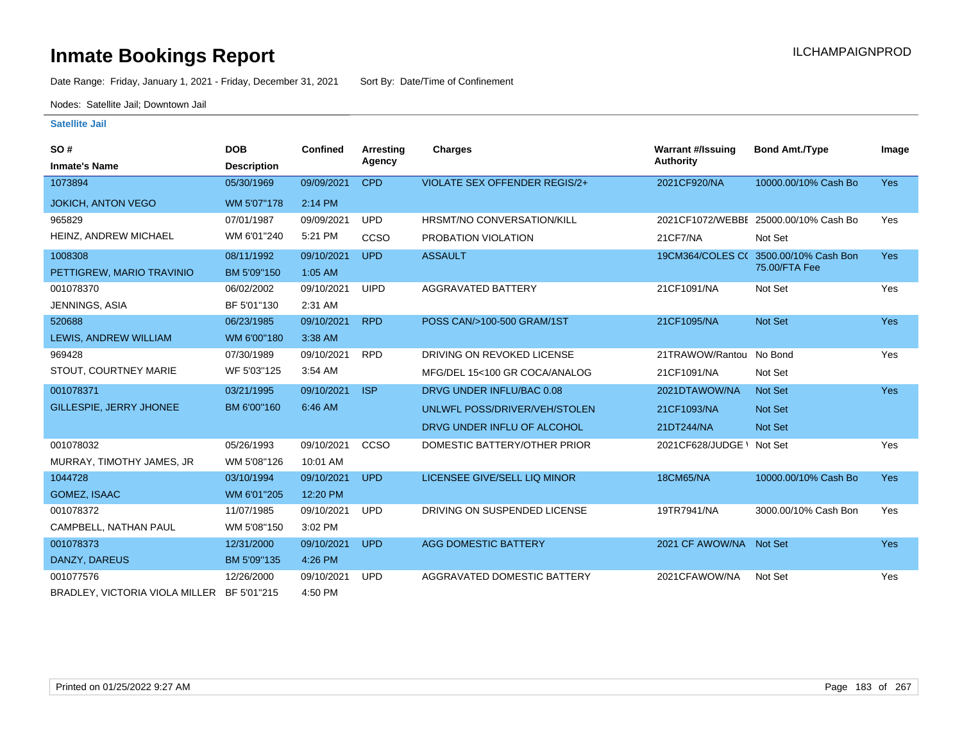Date Range: Friday, January 1, 2021 - Friday, December 31, 2021 Sort By: Date/Time of Confinement

Nodes: Satellite Jail; Downtown Jail

| SO#<br><b>Inmate's Name</b>                | <b>DOB</b><br><b>Description</b> | Confined   | Arresting<br>Agency | <b>Charges</b>                       | <b>Warrant #/Issuing</b><br><b>Authority</b> | <b>Bond Amt./Type</b>                 | Image      |
|--------------------------------------------|----------------------------------|------------|---------------------|--------------------------------------|----------------------------------------------|---------------------------------------|------------|
| 1073894                                    | 05/30/1969                       | 09/09/2021 | <b>CPD</b>          | <b>VIOLATE SEX OFFENDER REGIS/2+</b> | 2021CF920/NA                                 | 10000.00/10% Cash Bo                  | Yes        |
|                                            |                                  |            |                     |                                      |                                              |                                       |            |
| <b>JOKICH, ANTON VEGO</b>                  | WM 5'07"178                      | 2:14 PM    |                     |                                      |                                              |                                       |            |
| 965829                                     | 07/01/1987                       | 09/09/2021 | <b>UPD</b>          | HRSMT/NO CONVERSATION/KILL           |                                              | 2021CF1072/WEBBE 25000.00/10% Cash Bo | Yes        |
| HEINZ, ANDREW MICHAEL                      | WM 6'01"240                      | 5:21 PM    | CCSO                | PROBATION VIOLATION                  | 21CF7/NA                                     | Not Set                               |            |
| 1008308                                    | 08/11/1992                       | 09/10/2021 | <b>UPD</b>          | <b>ASSAULT</b>                       |                                              | 19CM364/COLES C( 3500.00/10% Cash Bon | <b>Yes</b> |
| PETTIGREW, MARIO TRAVINIO                  | BM 5'09"150                      | $1:05$ AM  |                     |                                      |                                              | 75.00/FTA Fee                         |            |
| 001078370                                  | 06/02/2002                       | 09/10/2021 | <b>UIPD</b>         | AGGRAVATED BATTERY                   | 21CF1091/NA                                  | Not Set                               | Yes        |
| JENNINGS, ASIA                             | BF 5'01"130                      | 2:31 AM    |                     |                                      |                                              |                                       |            |
| 520688                                     | 06/23/1985                       | 09/10/2021 | <b>RPD</b>          | POSS CAN/>100-500 GRAM/1ST           | 21CF1095/NA                                  | Not Set                               | <b>Yes</b> |
| LEWIS, ANDREW WILLIAM                      | WM 6'00"180                      | 3:38 AM    |                     |                                      |                                              |                                       |            |
| 969428                                     | 07/30/1989                       | 09/10/2021 | <b>RPD</b>          | DRIVING ON REVOKED LICENSE           | 21TRAWOW/Rantoul No Bond                     |                                       | Yes        |
| STOUT, COURTNEY MARIE                      | WF 5'03"125                      | 3:54 AM    |                     | MFG/DEL 15<100 GR COCA/ANALOG        | 21CF1091/NA                                  | Not Set                               |            |
| 001078371                                  | 03/21/1995                       | 09/10/2021 | <b>ISP</b>          | DRVG UNDER INFLU/BAC 0.08            | 2021DTAWOW/NA                                | <b>Not Set</b>                        | Yes        |
| GILLESPIE, JERRY JHONEE                    | BM 6'00"160                      | 6:46 AM    |                     | UNLWFL POSS/DRIVER/VEH/STOLEN        | 21CF1093/NA                                  | <b>Not Set</b>                        |            |
|                                            |                                  |            |                     | DRVG UNDER INFLU OF ALCOHOL          | 21DT244/NA                                   | <b>Not Set</b>                        |            |
| 001078032                                  | 05/26/1993                       | 09/10/2021 | CCSO                | DOMESTIC BATTERY/OTHER PRIOR         | 2021CF628/JUDGE \ Not Set                    |                                       | Yes        |
| MURRAY, TIMOTHY JAMES, JR                  | WM 5'08"126                      | 10:01 AM   |                     |                                      |                                              |                                       |            |
| 1044728                                    | 03/10/1994                       | 09/10/2021 | <b>UPD</b>          | LICENSEE GIVE/SELL LIQ MINOR         | <b>18CM65/NA</b>                             | 10000.00/10% Cash Bo                  | <b>Yes</b> |
| GOMEZ, ISAAC                               | WM 6'01"205                      | 12:20 PM   |                     |                                      |                                              |                                       |            |
| 001078372                                  | 11/07/1985                       | 09/10/2021 | <b>UPD</b>          | DRIVING ON SUSPENDED LICENSE         | 19TR7941/NA                                  | 3000.00/10% Cash Bon                  | Yes        |
| CAMPBELL, NATHAN PAUL                      | WM 5'08"150                      | 3:02 PM    |                     |                                      |                                              |                                       |            |
| 001078373                                  | 12/31/2000                       | 09/10/2021 | <b>UPD</b>          | <b>AGG DOMESTIC BATTERY</b>          | 2021 CF AWOW/NA Not Set                      |                                       | <b>Yes</b> |
| DANZY, DAREUS                              | BM 5'09"135                      | 4:26 PM    |                     |                                      |                                              |                                       |            |
| 001077576                                  | 12/26/2000                       | 09/10/2021 | <b>UPD</b>          | AGGRAVATED DOMESTIC BATTERY          | 2021CFAWOW/NA                                | Not Set                               | Yes        |
| BRADLEY, VICTORIA VIOLA MILLER BF 5'01"215 |                                  | 4:50 PM    |                     |                                      |                                              |                                       |            |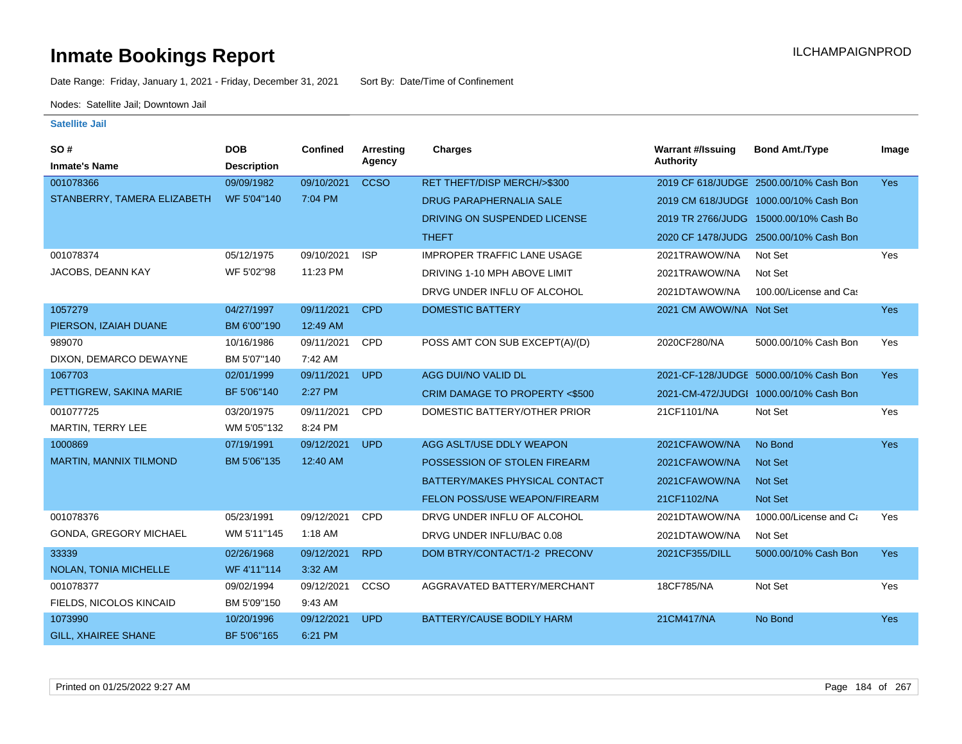Date Range: Friday, January 1, 2021 - Friday, December 31, 2021 Sort By: Date/Time of Confinement

Nodes: Satellite Jail; Downtown Jail

| SO#                           | <b>DOB</b>         | <b>Confined</b> | Arresting   | <b>Charges</b>                     | <b>Warrant #/Issuing</b> | <b>Bond Amt./Type</b>                  | Image      |
|-------------------------------|--------------------|-----------------|-------------|------------------------------------|--------------------------|----------------------------------------|------------|
| <b>Inmate's Name</b>          | <b>Description</b> |                 | Agency      |                                    | Authority                |                                        |            |
| 001078366                     | 09/09/1982         | 09/10/2021      | <b>CCSO</b> | RET THEFT/DISP MERCH/>\$300        |                          | 2019 CF 618/JUDGE 2500.00/10% Cash Bon | <b>Yes</b> |
| STANBERRY, TAMERA ELIZABETH   | WF 5'04"140        | 7:04 PM         |             | <b>DRUG PARAPHERNALIA SALE</b>     |                          | 2019 CM 618/JUDGE 1000.00/10% Cash Bon |            |
|                               |                    |                 |             | DRIVING ON SUSPENDED LICENSE       |                          | 2019 TR 2766/JUDG 15000.00/10% Cash Bo |            |
|                               |                    |                 |             | <b>THEFT</b>                       |                          | 2020 CF 1478/JUDG 2500.00/10% Cash Bon |            |
| 001078374                     | 05/12/1975         | 09/10/2021      | <b>ISP</b>  | <b>IMPROPER TRAFFIC LANE USAGE</b> | 2021TRAWOW/NA            | Not Set                                | Yes        |
| JACOBS, DEANN KAY             | WF 5'02"98         | 11:23 PM        |             | DRIVING 1-10 MPH ABOVE LIMIT       | 2021TRAWOW/NA            | Not Set                                |            |
|                               |                    |                 |             | DRVG UNDER INFLU OF ALCOHOL        | 2021DTAWOW/NA            | 100.00/License and Cas                 |            |
| 1057279                       | 04/27/1997         | 09/11/2021      | <b>CPD</b>  | <b>DOMESTIC BATTERY</b>            | 2021 CM AWOW/NA Not Set  |                                        | <b>Yes</b> |
| PIERSON, IZAIAH DUANE         | BM 6'00"190        | 12:49 AM        |             |                                    |                          |                                        |            |
| 989070                        | 10/16/1986         | 09/11/2021      | CPD         | POSS AMT CON SUB EXCEPT(A)/(D)     | 2020CF280/NA             | 5000.00/10% Cash Bon                   | Yes        |
| DIXON, DEMARCO DEWAYNE        | BM 5'07"140        | 7:42 AM         |             |                                    |                          |                                        |            |
| 1067703                       | 02/01/1999         | 09/11/2021      | <b>UPD</b>  | AGG DUI/NO VALID DL                |                          | 2021-CF-128/JUDGE 5000.00/10% Cash Bon | <b>Yes</b> |
| PETTIGREW, SAKINA MARIE       | BF 5'06"140        | 2:27 PM         |             | CRIM DAMAGE TO PROPERTY <\$500     |                          | 2021-CM-472/JUDGI 1000.00/10% Cash Bon |            |
| 001077725                     | 03/20/1975         | 09/11/2021      | <b>CPD</b>  | DOMESTIC BATTERY/OTHER PRIOR       | 21CF1101/NA              | Not Set                                | Yes        |
| MARTIN, TERRY LEE             | WM 5'05"132        | 8:24 PM         |             |                                    |                          |                                        |            |
| 1000869                       | 07/19/1991         | 09/12/2021      | <b>UPD</b>  | AGG ASLT/USE DDLY WEAPON           | 2021CFAWOW/NA            | No Bond                                | Yes        |
| MARTIN, MANNIX TILMOND        | BM 5'06"135        | 12:40 AM        |             | POSSESSION OF STOLEN FIREARM       | 2021CFAWOW/NA            | Not Set                                |            |
|                               |                    |                 |             | BATTERY/MAKES PHYSICAL CONTACT     | 2021CFAWOW/NA            | <b>Not Set</b>                         |            |
|                               |                    |                 |             | FELON POSS/USE WEAPON/FIREARM      | 21CF1102/NA              | <b>Not Set</b>                         |            |
| 001078376                     | 05/23/1991         | 09/12/2021      | <b>CPD</b>  | DRVG UNDER INFLU OF ALCOHOL        | 2021DTAWOW/NA            | 1000.00/License and Ca                 | Yes        |
| <b>GONDA, GREGORY MICHAEL</b> | WM 5'11"145        | $1:18$ AM       |             | DRVG UNDER INFLU/BAC 0.08          | 2021DTAWOW/NA            | Not Set                                |            |
| 33339                         | 02/26/1968         | 09/12/2021      | <b>RPD</b>  | DOM BTRY/CONTACT/1-2 PRECONV       | 2021CF355/DILL           | 5000.00/10% Cash Bon                   | <b>Yes</b> |
| NOLAN, TONIA MICHELLE         | WF 4'11"114        | 3:32 AM         |             |                                    |                          |                                        |            |
| 001078377                     | 09/02/1994         | 09/12/2021      | CCSO        | AGGRAVATED BATTERY/MERCHANT        | 18CF785/NA               | Not Set                                | Yes        |
| FIELDS, NICOLOS KINCAID       | BM 5'09"150        | 9:43 AM         |             |                                    |                          |                                        |            |
| 1073990                       | 10/20/1996         | 09/12/2021      | <b>UPD</b>  | BATTERY/CAUSE BODILY HARM          | 21CM417/NA               | No Bond                                | Yes        |
| <b>GILL, XHAIREE SHANE</b>    | BF 5'06"165        | 6:21 PM         |             |                                    |                          |                                        |            |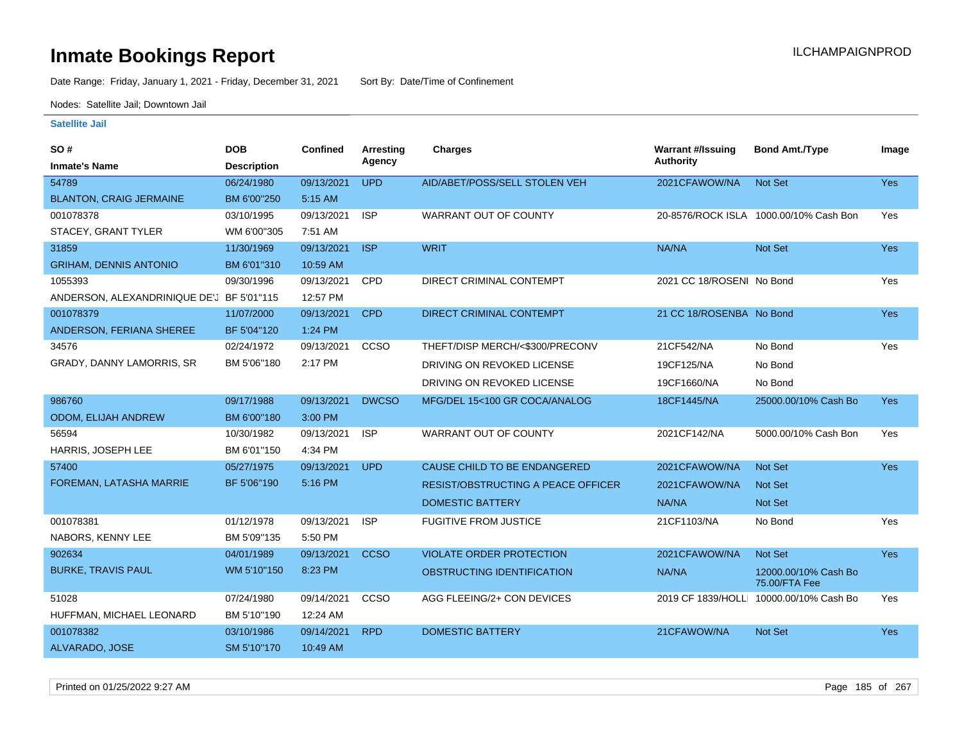Date Range: Friday, January 1, 2021 - Friday, December 31, 2021 Sort By: Date/Time of Confinement

Nodes: Satellite Jail; Downtown Jail

| SO#                                       | <b>DOB</b>         | <b>Confined</b> | Arresting    | <b>Charges</b>                            | <b>Warrant #/Issuing</b>  | <b>Bond Amt./Type</b>                   | Image      |
|-------------------------------------------|--------------------|-----------------|--------------|-------------------------------------------|---------------------------|-----------------------------------------|------------|
| <b>Inmate's Name</b>                      | <b>Description</b> |                 | Agency       |                                           | <b>Authority</b>          |                                         |            |
| 54789                                     | 06/24/1980         | 09/13/2021      | <b>UPD</b>   | AID/ABET/POSS/SELL STOLEN VEH             | 2021CFAWOW/NA             | <b>Not Set</b>                          | Yes        |
| <b>BLANTON, CRAIG JERMAINE</b>            | BM 6'00"250        | 5:15 AM         |              |                                           |                           |                                         |            |
| 001078378                                 | 03/10/1995         | 09/13/2021      | <b>ISP</b>   | <b>WARRANT OUT OF COUNTY</b>              |                           | 20-8576/ROCK ISLA 1000.00/10% Cash Bon  | Yes        |
| STACEY, GRANT TYLER                       | WM 6'00"305        | 7:51 AM         |              |                                           |                           |                                         |            |
| 31859                                     | 11/30/1969         | 09/13/2021      | <b>ISP</b>   | <b>WRIT</b>                               | NA/NA                     | Not Set                                 | Yes        |
| <b>GRIHAM, DENNIS ANTONIO</b>             | BM 6'01"310        | 10:59 AM        |              |                                           |                           |                                         |            |
| 1055393                                   | 09/30/1996         | 09/13/2021      | CPD          | DIRECT CRIMINAL CONTEMPT                  | 2021 CC 18/ROSENI No Bond |                                         | Yes        |
| ANDERSON, ALEXANDRINIQUE DE'J BF 5'01"115 |                    | 12:57 PM        |              |                                           |                           |                                         |            |
| 001078379                                 | 11/07/2000         | 09/13/2021      | <b>CPD</b>   | DIRECT CRIMINAL CONTEMPT                  | 21 CC 18/ROSENBA No Bond  |                                         | <b>Yes</b> |
| ANDERSON, FERIANA SHEREE                  | BF 5'04"120        | 1:24 PM         |              |                                           |                           |                                         |            |
| 34576                                     | 02/24/1972         | 09/13/2021      | CCSO         | THEFT/DISP MERCH/<\$300/PRECONV           | 21CF542/NA                | No Bond                                 | Yes        |
| GRADY, DANNY LAMORRIS, SR                 | BM 5'06"180        | 2:17 PM         |              | DRIVING ON REVOKED LICENSE                | 19CF125/NA                | No Bond                                 |            |
|                                           |                    |                 |              | DRIVING ON REVOKED LICENSE                | 19CF1660/NA               | No Bond                                 |            |
| 986760                                    | 09/17/1988         | 09/13/2021      | <b>DWCSO</b> | MFG/DEL 15<100 GR COCA/ANALOG             | 18CF1445/NA               | 25000.00/10% Cash Bo                    | Yes        |
| <b>ODOM, ELIJAH ANDREW</b>                | BM 6'00"180        | 3:00 PM         |              |                                           |                           |                                         |            |
| 56594                                     | 10/30/1982         | 09/13/2021      | <b>ISP</b>   | WARRANT OUT OF COUNTY                     | 2021CF142/NA              | 5000.00/10% Cash Bon                    | Yes        |
| HARRIS, JOSEPH LEE                        | BM 6'01"150        | 4:34 PM         |              |                                           |                           |                                         |            |
| 57400                                     | 05/27/1975         | 09/13/2021      | <b>UPD</b>   | CAUSE CHILD TO BE ENDANGERED              | 2021CFAWOW/NA             | <b>Not Set</b>                          | Yes        |
| FOREMAN, LATASHA MARRIE                   | BF 5'06"190        | 5:16 PM         |              | <b>RESIST/OBSTRUCTING A PEACE OFFICER</b> | 2021CFAWOW/NA             | Not Set                                 |            |
|                                           |                    |                 |              | <b>DOMESTIC BATTERY</b>                   | NA/NA                     | Not Set                                 |            |
| 001078381                                 | 01/12/1978         | 09/13/2021      | <b>ISP</b>   | <b>FUGITIVE FROM JUSTICE</b>              | 21CF1103/NA               | No Bond                                 | Yes        |
| NABORS, KENNY LEE                         | BM 5'09"135        | 5:50 PM         |              |                                           |                           |                                         |            |
| 902634                                    | 04/01/1989         | 09/13/2021      | <b>CCSO</b>  | <b>VIOLATE ORDER PROTECTION</b>           | 2021CFAWOW/NA             | <b>Not Set</b>                          | Yes        |
| <b>BURKE, TRAVIS PAUL</b>                 | WM 5'10"150        | 8:23 PM         |              | OBSTRUCTING IDENTIFICATION                | NA/NA                     | 12000.00/10% Cash Bo<br>75.00/FTA Fee   |            |
| 51028                                     | 07/24/1980         | 09/14/2021      | CCSO         | AGG FLEEING/2+ CON DEVICES                |                           | 2019 CF 1839/HOLLI 10000.00/10% Cash Bo | Yes        |
| HUFFMAN, MICHAEL LEONARD                  | BM 5'10"190        | 12:24 AM        |              |                                           |                           |                                         |            |
| 001078382                                 | 03/10/1986         | 09/14/2021      | <b>RPD</b>   | <b>DOMESTIC BATTERY</b>                   | 21CFAWOW/NA               | Not Set                                 | <b>Yes</b> |
| ALVARADO, JOSE                            | SM 5'10"170        | 10:49 AM        |              |                                           |                           |                                         |            |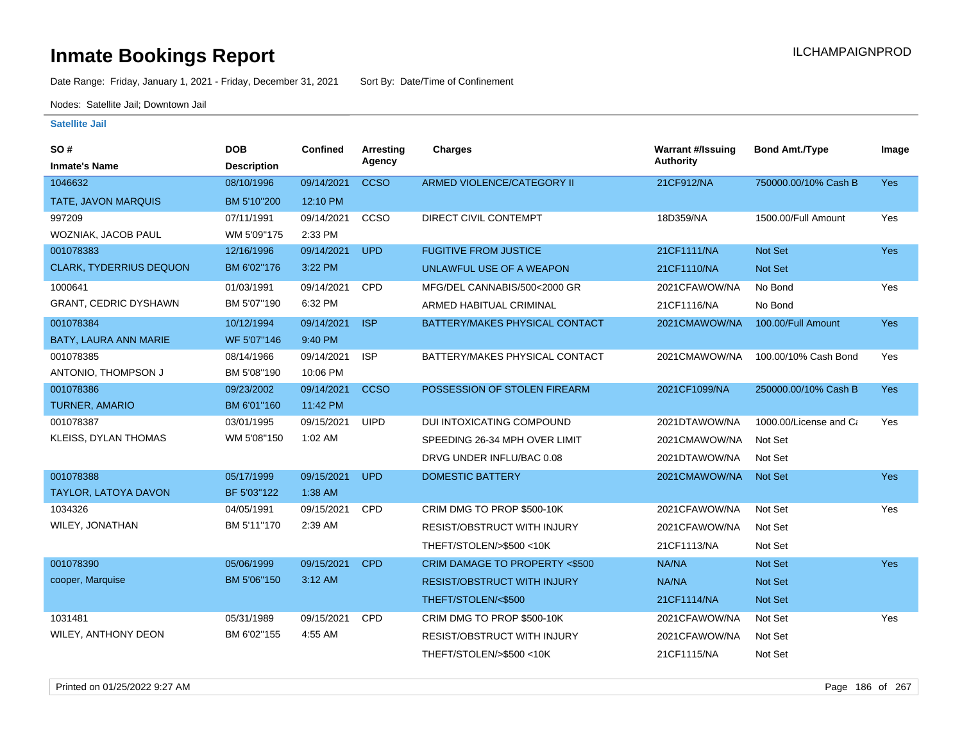Date Range: Friday, January 1, 2021 - Friday, December 31, 2021 Sort By: Date/Time of Confinement

Nodes: Satellite Jail; Downtown Jail

| SO#                            | <b>DOB</b>         | <b>Confined</b> | <b>Arresting</b><br>Agency | Charges                            | <b>Warrant #/Issuing</b><br><b>Authority</b> | <b>Bond Amt./Type</b>  | Image      |
|--------------------------------|--------------------|-----------------|----------------------------|------------------------------------|----------------------------------------------|------------------------|------------|
| <b>Inmate's Name</b>           | <b>Description</b> |                 |                            |                                    |                                              |                        |            |
| 1046632                        | 08/10/1996         | 09/14/2021      | <b>CCSO</b>                | ARMED VIOLENCE/CATEGORY II         | 21CF912/NA                                   | 750000.00/10% Cash B   | Yes        |
| TATE, JAVON MARQUIS            | BM 5'10"200        | 12:10 PM        |                            |                                    |                                              |                        |            |
| 997209                         | 07/11/1991         | 09/14/2021      | ccso                       | DIRECT CIVIL CONTEMPT              | 18D359/NA                                    | 1500.00/Full Amount    | Yes        |
| WOZNIAK, JACOB PAUL            | WM 5'09"175        | 2:33 PM         |                            |                                    |                                              |                        |            |
| 001078383                      | 12/16/1996         | 09/14/2021      | <b>UPD</b>                 | <b>FUGITIVE FROM JUSTICE</b>       | 21CF1111/NA                                  | Not Set                | <b>Yes</b> |
| <b>CLARK, TYDERRIUS DEQUON</b> | BM 6'02"176        | 3:22 PM         |                            | UNLAWFUL USE OF A WEAPON           | 21CF1110/NA                                  | Not Set                |            |
| 1000641                        | 01/03/1991         | 09/14/2021      | <b>CPD</b>                 | MFG/DEL CANNABIS/500<2000 GR       | 2021CFAWOW/NA                                | No Bond                | Yes        |
| <b>GRANT, CEDRIC DYSHAWN</b>   | BM 5'07"190        | 6:32 PM         |                            | ARMED HABITUAL CRIMINAL            | 21CF1116/NA                                  | No Bond                |            |
| 001078384                      | 10/12/1994         | 09/14/2021      | <b>ISP</b>                 | BATTERY/MAKES PHYSICAL CONTACT     | 2021CMAWOW/NA                                | 100.00/Full Amount     | <b>Yes</b> |
| BATY, LAURA ANN MARIE          | WF 5'07"146        | 9:40 PM         |                            |                                    |                                              |                        |            |
| 001078385                      | 08/14/1966         | 09/14/2021      | <b>ISP</b>                 | BATTERY/MAKES PHYSICAL CONTACT     | 2021CMAWOW/NA                                | 100.00/10% Cash Bond   | Yes        |
| ANTONIO, THOMPSON J            | BM 5'08"190        | 10:06 PM        |                            |                                    |                                              |                        |            |
| 001078386                      | 09/23/2002         | 09/14/2021      | <b>CCSO</b>                | POSSESSION OF STOLEN FIREARM       | 2021CF1099/NA                                | 250000.00/10% Cash B   | Yes        |
| <b>TURNER, AMARIO</b>          | BM 6'01"160        | 11:42 PM        |                            |                                    |                                              |                        |            |
| 001078387                      | 03/01/1995         | 09/15/2021      | <b>UIPD</b>                | DUI INTOXICATING COMPOUND          | 2021DTAWOW/NA                                | 1000.00/License and Ca | Yes        |
| KLEISS, DYLAN THOMAS           | WM 5'08"150        | 1:02 AM         |                            | SPEEDING 26-34 MPH OVER LIMIT      | 2021CMAWOW/NA                                | Not Set                |            |
|                                |                    |                 |                            | DRVG UNDER INFLU/BAC 0.08          | 2021DTAWOW/NA                                | Not Set                |            |
| 001078388                      | 05/17/1999         | 09/15/2021      | <b>UPD</b>                 | <b>DOMESTIC BATTERY</b>            | 2021CMAWOW/NA                                | <b>Not Set</b>         | <b>Yes</b> |
| TAYLOR, LATOYA DAVON           | BF 5'03"122        | 1:38 AM         |                            |                                    |                                              |                        |            |
| 1034326                        | 04/05/1991         | 09/15/2021      | CPD                        | CRIM DMG TO PROP \$500-10K         | 2021CFAWOW/NA                                | Not Set                | Yes        |
| WILEY, JONATHAN                | BM 5'11"170        | 2:39 AM         |                            | <b>RESIST/OBSTRUCT WITH INJURY</b> | 2021CFAWOW/NA                                | Not Set                |            |
|                                |                    |                 |                            | THEFT/STOLEN/>\$500 <10K           | 21CF1113/NA                                  | Not Set                |            |
| 001078390                      | 05/06/1999         | 09/15/2021      | <b>CPD</b>                 | CRIM DAMAGE TO PROPERTY <\$500     | NA/NA                                        | Not Set                | Yes        |
| cooper, Marquise               | BM 5'06"150        | 3:12 AM         |                            | <b>RESIST/OBSTRUCT WITH INJURY</b> | NA/NA                                        | <b>Not Set</b>         |            |
|                                |                    |                 |                            | THEFT/STOLEN/<\$500                | 21CF1114/NA                                  | Not Set                |            |
| 1031481                        | 05/31/1989         | 09/15/2021      | CPD                        | CRIM DMG TO PROP \$500-10K         | 2021CFAWOW/NA                                | Not Set                | Yes        |
| WILEY, ANTHONY DEON            | BM 6'02"155        | 4:55 AM         |                            | RESIST/OBSTRUCT WITH INJURY        | 2021CFAWOW/NA                                | Not Set                |            |
|                                |                    |                 |                            | THEFT/STOLEN/>\$500 <10K           | 21CF1115/NA                                  | Not Set                |            |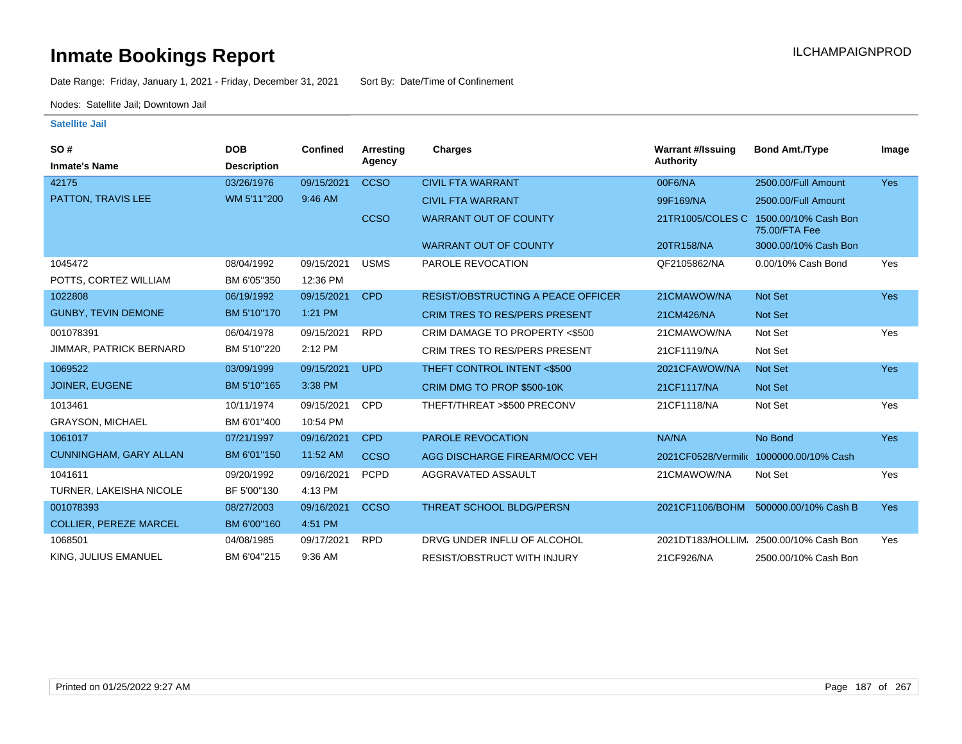Date Range: Friday, January 1, 2021 - Friday, December 31, 2021 Sort By: Date/Time of Confinement

Nodes: Satellite Jail; Downtown Jail

| SO#                            | <b>DOB</b>         | Confined   | Arresting   | Charges                                   | <b>Warrant #/Issuing</b> | <b>Bond Amt./Type</b>                   | Image      |
|--------------------------------|--------------------|------------|-------------|-------------------------------------------|--------------------------|-----------------------------------------|------------|
| <b>Inmate's Name</b>           | <b>Description</b> |            | Agency      |                                           | <b>Authority</b>         |                                         |            |
| 42175                          | 03/26/1976         | 09/15/2021 | <b>CCSO</b> | <b>CIVIL FTA WARRANT</b>                  | 00F6/NA                  | 2500.00/Full Amount                     | <b>Yes</b> |
| <b>PATTON, TRAVIS LEE</b>      | WM 5'11"200        | 9:46 AM    |             | <b>CIVIL FTA WARRANT</b>                  | 99F169/NA                | 2500.00/Full Amount                     |            |
|                                |                    |            | <b>CCSO</b> | <b>WARRANT OUT OF COUNTY</b>              | 21TR1005/COLES C         | 1500.00/10% Cash Bon<br>75.00/FTA Fee   |            |
|                                |                    |            |             | <b>WARRANT OUT OF COUNTY</b>              | 20TR158/NA               | 3000.00/10% Cash Bon                    |            |
| 1045472                        | 08/04/1992         | 09/15/2021 | <b>USMS</b> | PAROLE REVOCATION                         | QF2105862/NA             | 0.00/10% Cash Bond                      | Yes        |
| POTTS, CORTEZ WILLIAM          | BM 6'05"350        | 12:36 PM   |             |                                           |                          |                                         |            |
| 1022808                        | 06/19/1992         | 09/15/2021 | <b>CPD</b>  | <b>RESIST/OBSTRUCTING A PEACE OFFICER</b> | 21CMAWOW/NA              | Not Set                                 | <b>Yes</b> |
| <b>GUNBY, TEVIN DEMONE</b>     | BM 5'10"170        | 1:21 PM    |             | <b>CRIM TRES TO RES/PERS PRESENT</b>      | 21CM426/NA               | <b>Not Set</b>                          |            |
| 001078391                      | 06/04/1978         | 09/15/2021 | <b>RPD</b>  | CRIM DAMAGE TO PROPERTY <\$500            | 21CMAWOW/NA              | Not Set                                 | Yes        |
| <b>JIMMAR, PATRICK BERNARD</b> | BM 5'10"220        | 2:12 PM    |             | CRIM TRES TO RES/PERS PRESENT             | 21CF1119/NA              | Not Set                                 |            |
| 1069522                        | 03/09/1999         | 09/15/2021 | <b>UPD</b>  | THEFT CONTROL INTENT <\$500               | 2021CFAWOW/NA            | Not Set                                 | Yes        |
| <b>JOINER, EUGENE</b>          | BM 5'10"165        | 3:38 PM    |             | CRIM DMG TO PROP \$500-10K                | 21CF1117/NA              | <b>Not Set</b>                          |            |
| 1013461                        | 10/11/1974         | 09/15/2021 | <b>CPD</b>  | THEFT/THREAT >\$500 PRECONV               | 21CF1118/NA              | Not Set                                 | Yes        |
| <b>GRAYSON, MICHAEL</b>        | BM 6'01"400        | 10:54 PM   |             |                                           |                          |                                         |            |
| 1061017                        | 07/21/1997         | 09/16/2021 | <b>CPD</b>  | PAROLE REVOCATION                         | NA/NA                    | No Bond                                 | Yes        |
| <b>CUNNINGHAM, GARY ALLAN</b>  | BM 6'01"150        | 11:52 AM   | <b>CCSO</b> | AGG DISCHARGE FIREARM/OCC VEH             |                          | 2021CF0528/Vermilic 1000000.00/10% Cash |            |
| 1041611                        | 09/20/1992         | 09/16/2021 | <b>PCPD</b> | AGGRAVATED ASSAULT                        | 21CMAWOW/NA              | Not Set                                 | Yes        |
| TURNER, LAKEISHA NICOLE        | BF 5'00"130        | 4:13 PM    |             |                                           |                          |                                         |            |
| 001078393                      | 08/27/2003         | 09/16/2021 | <b>CCSO</b> | <b>THREAT SCHOOL BLDG/PERSN</b>           | 2021CF1106/BOHM          | 500000.00/10% Cash B                    | <b>Yes</b> |
| <b>COLLIER, PEREZE MARCEL</b>  | BM 6'00"160        | 4:51 PM    |             |                                           |                          |                                         |            |
| 1068501                        | 04/08/1985         | 09/17/2021 | <b>RPD</b>  | DRVG UNDER INFLU OF ALCOHOL               | 2021DT183/HOLLIM         | 2500.00/10% Cash Bon                    | Yes        |
| KING, JULIUS EMANUEL           | BM 6'04"215        | 9:36 AM    |             | <b>RESIST/OBSTRUCT WITH INJURY</b>        | 21CF926/NA               | 2500.00/10% Cash Bon                    |            |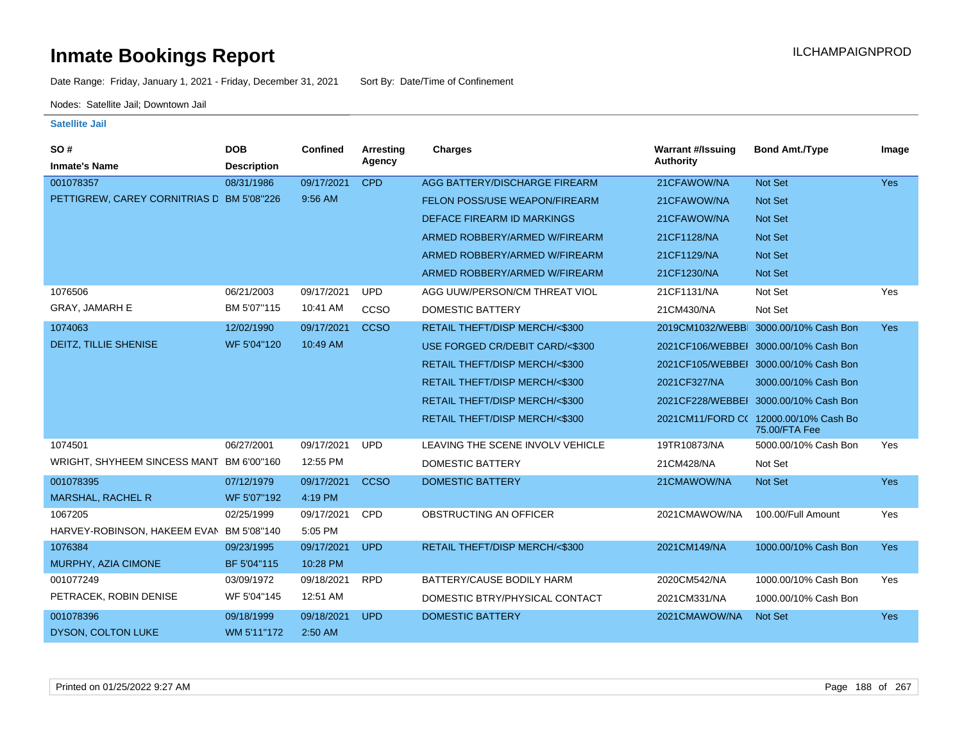Date Range: Friday, January 1, 2021 - Friday, December 31, 2021 Sort By: Date/Time of Confinement

Nodes: Satellite Jail; Downtown Jail

| SO#                                       | <b>DOB</b>         | <b>Confined</b> | <b>Arresting</b> | <b>Charges</b>                   | <b>Warrant #/Issuing</b> | <b>Bond Amt./Type</b>                                  | Image      |
|-------------------------------------------|--------------------|-----------------|------------------|----------------------------------|--------------------------|--------------------------------------------------------|------------|
| <b>Inmate's Name</b>                      | <b>Description</b> |                 | Agency           |                                  | <b>Authority</b>         |                                                        |            |
| 001078357                                 | 08/31/1986         | 09/17/2021      | <b>CPD</b>       | AGG BATTERY/DISCHARGE FIREARM    | 21CFAWOW/NA              | Not Set                                                | Yes        |
| PETTIGREW, CAREY CORNITRIAS D BM 5'08"226 |                    | 9:56 AM         |                  | FELON POSS/USE WEAPON/FIREARM    | 21CFAWOW/NA              | <b>Not Set</b>                                         |            |
|                                           |                    |                 |                  | DEFACE FIREARM ID MARKINGS       | 21CFAWOW/NA              | <b>Not Set</b>                                         |            |
|                                           |                    |                 |                  | ARMED ROBBERY/ARMED W/FIREARM    | 21CF1128/NA              | Not Set                                                |            |
|                                           |                    |                 |                  | ARMED ROBBERY/ARMED W/FIREARM    | 21CF1129/NA              | Not Set                                                |            |
|                                           |                    |                 |                  | ARMED ROBBERY/ARMED W/FIREARM    | 21CF1230/NA              | <b>Not Set</b>                                         |            |
| 1076506                                   | 06/21/2003         | 09/17/2021      | <b>UPD</b>       | AGG UUW/PERSON/CM THREAT VIOL    | 21CF1131/NA              | Not Set                                                | Yes        |
| <b>GRAY, JAMARH E</b>                     | BM 5'07"115        | 10:41 AM        | CCSO             | DOMESTIC BATTERY                 | 21CM430/NA               | Not Set                                                |            |
| 1074063                                   | 12/02/1990         | 09/17/2021      | <b>CCSO</b>      | RETAIL THEFT/DISP MERCH/<\$300   | 2019CM1032/WEBBI         | 3000.00/10% Cash Bon                                   | <b>Yes</b> |
| DEITZ, TILLIE SHENISE                     | WF 5'04"120        | 10:49 AM        |                  | USE FORGED CR/DEBIT CARD/<\$300  |                          | 2021CF106/WEBBEI 3000.00/10% Cash Bon                  |            |
|                                           |                    |                 |                  | RETAIL THEFT/DISP MERCH/<\$300   |                          | 2021CF105/WEBBEI 3000.00/10% Cash Bon                  |            |
|                                           |                    |                 |                  | RETAIL THEFT/DISP MERCH/<\$300   | 2021CF327/NA             | 3000.00/10% Cash Bon                                   |            |
|                                           |                    |                 |                  | RETAIL THEFT/DISP MERCH/<\$300   |                          | 2021CF228/WEBBEI 3000.00/10% Cash Bon                  |            |
|                                           |                    |                 |                  | RETAIL THEFT/DISP MERCH/<\$300   |                          | 2021CM11/FORD C( 12000.00/10% Cash Bo<br>75.00/FTA Fee |            |
| 1074501                                   | 06/27/2001         | 09/17/2021      | <b>UPD</b>       | LEAVING THE SCENE INVOLV VEHICLE | 19TR10873/NA             | 5000.00/10% Cash Bon                                   | Yes        |
| WRIGHT, SHYHEEM SINCESS MANT BM 6'00"160  |                    | 12:55 PM        |                  | <b>DOMESTIC BATTERY</b>          | 21CM428/NA               | Not Set                                                |            |
| 001078395                                 | 07/12/1979         | 09/17/2021      | <b>CCSO</b>      | <b>DOMESTIC BATTERY</b>          | 21CMAWOW/NA              | Not Set                                                | <b>Yes</b> |
| <b>MARSHAL, RACHEL R</b>                  | WF 5'07"192        | 4:19 PM         |                  |                                  |                          |                                                        |            |
| 1067205                                   | 02/25/1999         | 09/17/2021      | <b>CPD</b>       | OBSTRUCTING AN OFFICER           | 2021CMAWOW/NA            | 100.00/Full Amount                                     | Yes        |
| HARVEY-ROBINSON, HAKEEM EVAN              | BM 5'08"140        | 5:05 PM         |                  |                                  |                          |                                                        |            |
| 1076384                                   | 09/23/1995         | 09/17/2021      | <b>UPD</b>       | RETAIL THEFT/DISP MERCH/<\$300   | 2021CM149/NA             | 1000.00/10% Cash Bon                                   | <b>Yes</b> |
| MURPHY, AZIA CIMONE                       | BF 5'04"115        | 10:28 PM        |                  |                                  |                          |                                                        |            |
| 001077249                                 | 03/09/1972         | 09/18/2021      | <b>RPD</b>       | BATTERY/CAUSE BODILY HARM        | 2020CM542/NA             | 1000.00/10% Cash Bon                                   | Yes        |
| PETRACEK, ROBIN DENISE                    | WF 5'04"145        | 12:51 AM        |                  | DOMESTIC BTRY/PHYSICAL CONTACT   | 2021CM331/NA             | 1000.00/10% Cash Bon                                   |            |
| 001078396                                 | 09/18/1999         | 09/18/2021      | <b>UPD</b>       | <b>DOMESTIC BATTERY</b>          | 2021CMAWOW/NA            | Not Set                                                | <b>Yes</b> |
| <b>DYSON, COLTON LUKE</b>                 | WM 5'11"172        | 2:50 AM         |                  |                                  |                          |                                                        |            |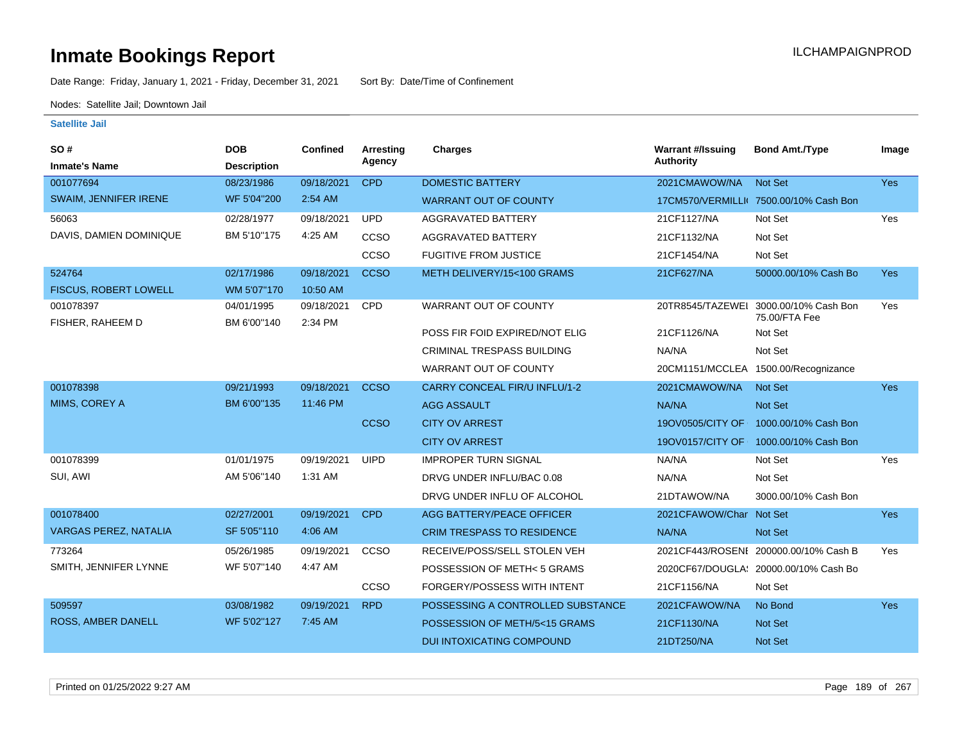Date Range: Friday, January 1, 2021 - Friday, December 31, 2021 Sort By: Date/Time of Confinement

Nodes: Satellite Jail; Downtown Jail

| SO#<br><b>Inmate's Name</b>  | <b>DOB</b><br><b>Description</b> | Confined   | Arrestina<br>Agency | <b>Charges</b>                       | <b>Warrant #/Issuing</b><br><b>Authority</b> | <b>Bond Amt./Type</b>                   | Image      |
|------------------------------|----------------------------------|------------|---------------------|--------------------------------------|----------------------------------------------|-----------------------------------------|------------|
| 001077694                    | 08/23/1986                       | 09/18/2021 | <b>CPD</b>          | <b>DOMESTIC BATTERY</b>              | 2021CMAWOW/NA                                | <b>Not Set</b>                          | Yes        |
| SWAIM, JENNIFER IRENE        | WF 5'04"200                      | $2:54$ AM  |                     | <b>WARRANT OUT OF COUNTY</b>         |                                              | 17CM570/VERMILLI( 7500.00/10% Cash Bon  |            |
| 56063                        | 02/28/1977                       | 09/18/2021 | <b>UPD</b>          | AGGRAVATED BATTERY                   | 21CF1127/NA                                  | Not Set                                 | Yes        |
| DAVIS, DAMIEN DOMINIQUE      | BM 5'10"175                      | 4:25 AM    | CCSO                | AGGRAVATED BATTERY                   | 21CF1132/NA                                  | Not Set                                 |            |
|                              |                                  |            | CCSO                | <b>FUGITIVE FROM JUSTICE</b>         | 21CF1454/NA                                  | Not Set                                 |            |
| 524764                       | 02/17/1986                       | 09/18/2021 | <b>CCSO</b>         | METH DELIVERY/15<100 GRAMS           | 21CF627/NA                                   | 50000.00/10% Cash Bo                    | <b>Yes</b> |
| FISCUS, ROBERT LOWELL        | WM 5'07"170                      | 10:50 AM   |                     |                                      |                                              |                                         |            |
| 001078397                    | 04/01/1995                       | 09/18/2021 | <b>CPD</b>          | WARRANT OUT OF COUNTY                | 20TR8545/TAZEWEI                             | 3000.00/10% Cash Bon<br>75.00/FTA Fee   | Yes        |
| FISHER, RAHEEM D             | BM 6'00"140                      | 2:34 PM    |                     | POSS FIR FOID EXPIRED/NOT ELIG       | 21CF1126/NA                                  | Not Set                                 |            |
|                              |                                  |            |                     | <b>CRIMINAL TRESPASS BUILDING</b>    | NA/NA                                        | Not Set                                 |            |
|                              |                                  |            |                     | WARRANT OUT OF COUNTY                |                                              | 20CM1151/MCCLEA 1500.00/Recognizance    |            |
| 001078398                    | 09/21/1993                       | 09/18/2021 | <b>CCSO</b>         | <b>CARRY CONCEAL FIR/U INFLU/1-2</b> | 2021CMAWOW/NA                                | Not Set                                 | <b>Yes</b> |
| MIMS, COREY A                | BM 6'00"135                      | 11:46 PM   |                     | <b>AGG ASSAULT</b>                   | NA/NA                                        | <b>Not Set</b>                          |            |
|                              |                                  |            | <b>CCSO</b>         | <b>CITY OV ARREST</b>                |                                              | 19OV0505/CITY OF   1000.00/10% Cash Bon |            |
|                              |                                  |            |                     | <b>CITY OV ARREST</b>                |                                              | 19OV0157/CITY OF   1000.00/10% Cash Bon |            |
| 001078399                    | 01/01/1975                       | 09/19/2021 | <b>UIPD</b>         | <b>IMPROPER TURN SIGNAL</b>          | NA/NA                                        | Not Set                                 | Yes        |
| SUI, AWI                     | AM 5'06"140                      | 1:31 AM    |                     | DRVG UNDER INFLU/BAC 0.08            | NA/NA                                        | Not Set                                 |            |
|                              |                                  |            |                     | DRVG UNDER INFLU OF ALCOHOL          | 21DTAWOW/NA                                  | 3000.00/10% Cash Bon                    |            |
| 001078400                    | 02/27/2001                       | 09/19/2021 | <b>CPD</b>          | <b>AGG BATTERY/PEACE OFFICER</b>     | 2021CFAWOW/Char Not Set                      |                                         | Yes        |
| <b>VARGAS PEREZ, NATALIA</b> | SF 5'05"110                      | 4:06 AM    |                     | <b>CRIM TRESPASS TO RESIDENCE</b>    | NA/NA                                        | <b>Not Set</b>                          |            |
| 773264                       | 05/26/1985                       | 09/19/2021 | CCSO                | RECEIVE/POSS/SELL STOLEN VEH         |                                              | 2021CF443/ROSENI 200000.00/10% Cash B   | Yes        |
| SMITH, JENNIFER LYNNE        | WF 5'07"140                      | 4:47 AM    |                     | POSSESSION OF METH< 5 GRAMS          |                                              | 2020CF67/DOUGLA: 20000.00/10% Cash Bo   |            |
|                              |                                  |            | ccso                | <b>FORGERY/POSSESS WITH INTENT</b>   | 21CF1156/NA                                  | Not Set                                 |            |
| 509597                       | 03/08/1982                       | 09/19/2021 | <b>RPD</b>          | POSSESSING A CONTROLLED SUBSTANCE    | 2021CFAWOW/NA                                | No Bond                                 | <b>Yes</b> |
| <b>ROSS, AMBER DANELL</b>    | WF 5'02"127                      | 7:45 AM    |                     | POSSESSION OF METH/5<15 GRAMS        | 21CF1130/NA                                  | Not Set                                 |            |
|                              |                                  |            |                     | <b>DUI INTOXICATING COMPOUND</b>     | 21DT250/NA                                   | <b>Not Set</b>                          |            |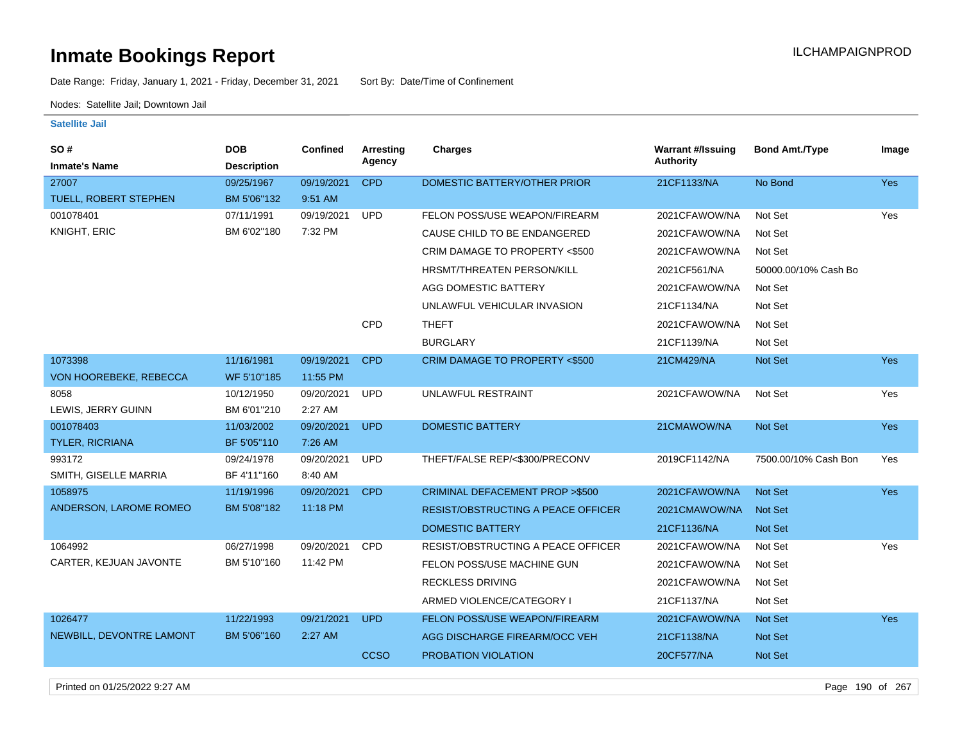Date Range: Friday, January 1, 2021 - Friday, December 31, 2021 Sort By: Date/Time of Confinement

Nodes: Satellite Jail; Downtown Jail

| SO#<br><b>Inmate's Name</b> | <b>DOB</b><br><b>Description</b> | Confined   | <b>Arresting</b><br>Agency | <b>Charges</b>                            | <b>Warrant #/Issuing</b><br><b>Authority</b> | <b>Bond Amt./Type</b> | Image      |
|-----------------------------|----------------------------------|------------|----------------------------|-------------------------------------------|----------------------------------------------|-----------------------|------------|
| 27007                       | 09/25/1967                       | 09/19/2021 | <b>CPD</b>                 | DOMESTIC BATTERY/OTHER PRIOR              | 21CF1133/NA                                  | No Bond               | Yes        |
| TUELL, ROBERT STEPHEN       | BM 5'06"132                      | 9:51 AM    |                            |                                           |                                              |                       |            |
| 001078401                   | 07/11/1991                       | 09/19/2021 | <b>UPD</b>                 | FELON POSS/USE WEAPON/FIREARM             | 2021CFAWOW/NA                                | Not Set               | Yes        |
| KNIGHT, ERIC                | BM 6'02"180                      | 7:32 PM    |                            | CAUSE CHILD TO BE ENDANGERED              | 2021CFAWOW/NA                                | Not Set               |            |
|                             |                                  |            |                            | CRIM DAMAGE TO PROPERTY <\$500            | 2021CFAWOW/NA                                | Not Set               |            |
|                             |                                  |            |                            | <b>HRSMT/THREATEN PERSON/KILL</b>         | 2021CF561/NA                                 | 50000.00/10% Cash Bo  |            |
|                             |                                  |            |                            | AGG DOMESTIC BATTERY                      | 2021CFAWOW/NA                                | Not Set               |            |
|                             |                                  |            |                            | UNLAWFUL VEHICULAR INVASION               | 21CF1134/NA                                  | Not Set               |            |
|                             |                                  |            | CPD                        | <b>THEFT</b>                              | 2021CFAWOW/NA                                | Not Set               |            |
|                             |                                  |            |                            | <b>BURGLARY</b>                           | 21CF1139/NA                                  | Not Set               |            |
| 1073398                     | 11/16/1981                       | 09/19/2021 | <b>CPD</b>                 | CRIM DAMAGE TO PROPERTY <\$500            | 21CM429/NA                                   | Not Set               | Yes        |
| VON HOOREBEKE, REBECCA      | WF 5'10"185                      | 11:55 PM   |                            |                                           |                                              |                       |            |
| 8058                        | 10/12/1950                       | 09/20/2021 | <b>UPD</b>                 | UNLAWFUL RESTRAINT                        | 2021CFAWOW/NA                                | Not Set               | Yes        |
| LEWIS, JERRY GUINN          | BM 6'01"210                      | 2:27 AM    |                            |                                           |                                              |                       |            |
| 001078403                   | 11/03/2002                       | 09/20/2021 | <b>UPD</b>                 | <b>DOMESTIC BATTERY</b>                   | 21CMAWOW/NA                                  | Not Set               | <b>Yes</b> |
| TYLER, RICRIANA             | BF 5'05"110                      | 7:26 AM    |                            |                                           |                                              |                       |            |
| 993172                      | 09/24/1978                       | 09/20/2021 | <b>UPD</b>                 | THEFT/FALSE REP/<\$300/PRECONV            | 2019CF1142/NA                                | 7500.00/10% Cash Bon  | Yes        |
| SMITH, GISELLE MARRIA       | BF 4'11"160                      | 8:40 AM    |                            |                                           |                                              |                       |            |
| 1058975                     | 11/19/1996                       | 09/20/2021 | <b>CPD</b>                 | <b>CRIMINAL DEFACEMENT PROP &gt;\$500</b> | 2021CFAWOW/NA                                | <b>Not Set</b>        | Yes        |
| ANDERSON, LAROME ROMEO      | BM 5'08"182                      | 11:18 PM   |                            | RESIST/OBSTRUCTING A PEACE OFFICER        | 2021CMAWOW/NA                                | <b>Not Set</b>        |            |
|                             |                                  |            |                            | <b>DOMESTIC BATTERY</b>                   | 21CF1136/NA                                  | <b>Not Set</b>        |            |
| 1064992                     | 06/27/1998                       | 09/20/2021 | CPD                        | RESIST/OBSTRUCTING A PEACE OFFICER        | 2021CFAWOW/NA                                | Not Set               | Yes        |
| CARTER, KEJUAN JAVONTE      | BM 5'10"160                      | 11:42 PM   |                            | FELON POSS/USE MACHINE GUN                | 2021CFAWOW/NA                                | Not Set               |            |
|                             |                                  |            |                            | <b>RECKLESS DRIVING</b>                   | 2021CFAWOW/NA                                | Not Set               |            |
|                             |                                  |            |                            | ARMED VIOLENCE/CATEGORY I                 | 21CF1137/NA                                  | Not Set               |            |
| 1026477                     | 11/22/1993                       | 09/21/2021 | <b>UPD</b>                 | FELON POSS/USE WEAPON/FIREARM             | 2021CFAWOW/NA                                | <b>Not Set</b>        | <b>Yes</b> |
| NEWBILL, DEVONTRE LAMONT    | BM 5'06"160                      | 2:27 AM    |                            | AGG DISCHARGE FIREARM/OCC VEH             | 21CF1138/NA                                  | <b>Not Set</b>        |            |
|                             |                                  |            | <b>CCSO</b>                | PROBATION VIOLATION                       | 20CF577/NA                                   | <b>Not Set</b>        |            |
|                             |                                  |            |                            |                                           |                                              |                       |            |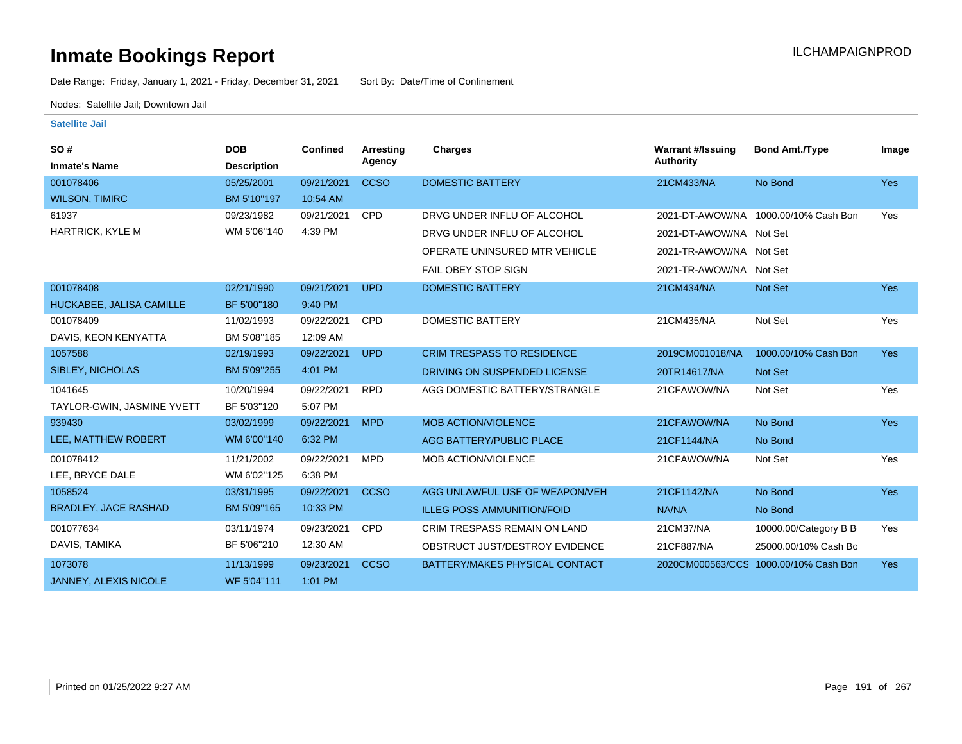Date Range: Friday, January 1, 2021 - Friday, December 31, 2021 Sort By: Date/Time of Confinement

Nodes: Satellite Jail; Downtown Jail

| SO#<br><b>Inmate's Name</b>  | <b>DOB</b><br><b>Description</b> | <b>Confined</b> | Arresting<br>Agency | Charges                             | <b>Warrant #/Issuing</b><br><b>Authority</b> | <b>Bond Amt./Type</b>                 | Image      |
|------------------------------|----------------------------------|-----------------|---------------------|-------------------------------------|----------------------------------------------|---------------------------------------|------------|
| 001078406                    | 05/25/2001                       | 09/21/2021      | <b>CCSO</b>         | <b>DOMESTIC BATTERY</b>             | 21CM433/NA                                   | No Bond                               | <b>Yes</b> |
| <b>WILSON, TIMIRC</b>        | BM 5'10"197                      | 10:54 AM        |                     |                                     |                                              |                                       |            |
| 61937                        | 09/23/1982                       | 09/21/2021      | <b>CPD</b>          | DRVG UNDER INFLU OF ALCOHOL         | 2021-DT-AWOW/NA                              | 1000.00/10% Cash Bon                  | Yes        |
| <b>HARTRICK, KYLE M</b>      | WM 5'06"140                      | 4:39 PM         |                     | DRVG UNDER INFLU OF ALCOHOL         | 2021-DT-AWOW/NA Not Set                      |                                       |            |
|                              |                                  |                 |                     | OPERATE UNINSURED MTR VEHICLE       | 2021-TR-AWOW/NA Not Set                      |                                       |            |
|                              |                                  |                 |                     | <b>FAIL OBEY STOP SIGN</b>          | 2021-TR-AWOW/NA Not Set                      |                                       |            |
| 001078408                    | 02/21/1990                       | 09/21/2021      | <b>UPD</b>          | <b>DOMESTIC BATTERY</b>             | 21CM434/NA                                   | <b>Not Set</b>                        | <b>Yes</b> |
| HUCKABEE, JALISA CAMILLE     | BF 5'00"180                      | 9:40 PM         |                     |                                     |                                              |                                       |            |
| 001078409                    | 11/02/1993                       | 09/22/2021      | <b>CPD</b>          | <b>DOMESTIC BATTERY</b>             | 21CM435/NA                                   | Not Set                               | Yes        |
| DAVIS, KEON KENYATTA         | BM 5'08"185                      | 12:09 AM        |                     |                                     |                                              |                                       |            |
| 1057588                      | 02/19/1993                       | 09/22/2021      | <b>UPD</b>          | <b>CRIM TRESPASS TO RESIDENCE</b>   | 2019CM001018/NA                              | 1000.00/10% Cash Bon                  | Yes        |
| SIBLEY, NICHOLAS             | BM 5'09"255                      | 4:01 PM         |                     | DRIVING ON SUSPENDED LICENSE        | 20TR14617/NA                                 | <b>Not Set</b>                        |            |
| 1041645                      | 10/20/1994                       | 09/22/2021      | <b>RPD</b>          | AGG DOMESTIC BATTERY/STRANGLE       | 21CFAWOW/NA                                  | Not Set                               | Yes        |
| TAYLOR-GWIN, JASMINE YVETT   | BF 5'03"120                      | 5:07 PM         |                     |                                     |                                              |                                       |            |
| 939430                       | 03/02/1999                       | 09/22/2021      | <b>MPD</b>          | <b>MOB ACTION/VIOLENCE</b>          | 21CFAWOW/NA                                  | No Bond                               | <b>Yes</b> |
| LEE, MATTHEW ROBERT          | WM 6'00"140                      | 6:32 PM         |                     | AGG BATTERY/PUBLIC PLACE            | 21CF1144/NA                                  | No Bond                               |            |
| 001078412                    | 11/21/2002                       | 09/22/2021      | <b>MPD</b>          | MOB ACTION/VIOLENCE                 | 21CFAWOW/NA                                  | Not Set                               | Yes        |
| LEE. BRYCE DALE              | WM 6'02"125                      | 6:38 PM         |                     |                                     |                                              |                                       |            |
| 1058524                      | 03/31/1995                       | 09/22/2021      | <b>CCSO</b>         | AGG UNLAWFUL USE OF WEAPON/VEH      | 21CF1142/NA                                  | No Bond                               | Yes        |
| <b>BRADLEY, JACE RASHAD</b>  | BM 5'09"165                      | 10:33 PM        |                     | <b>ILLEG POSS AMMUNITION/FOID</b>   | NA/NA                                        | No Bond                               |            |
| 001077634                    | 03/11/1974                       | 09/23/2021      | <b>CPD</b>          | <b>CRIM TRESPASS REMAIN ON LAND</b> | 21CM37/NA                                    | 10000.00/Category B B                 | Yes        |
| DAVIS, TAMIKA                | BF 5'06"210                      | 12:30 AM        |                     | OBSTRUCT JUST/DESTROY EVIDENCE      | 21CF887/NA                                   | 25000.00/10% Cash Bo                  |            |
| 1073078                      | 11/13/1999                       | 09/23/2021      | <b>CCSO</b>         | BATTERY/MAKES PHYSICAL CONTACT      |                                              | 2020CM000563/CCS 1000.00/10% Cash Bon | <b>Yes</b> |
| <b>JANNEY, ALEXIS NICOLE</b> | WF 5'04"111                      | 1:01 PM         |                     |                                     |                                              |                                       |            |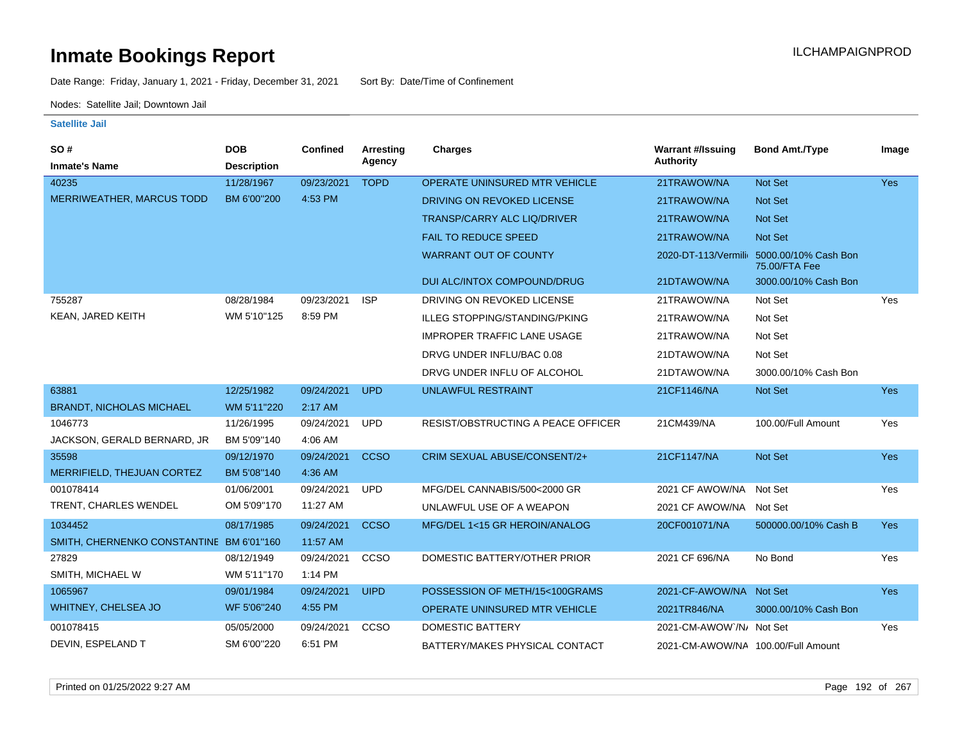Date Range: Friday, January 1, 2021 - Friday, December 31, 2021 Sort By: Date/Time of Confinement

Nodes: Satellite Jail; Downtown Jail

| <b>SO#</b>                               | <b>DOB</b>         | <b>Confined</b> | Arresting   | <b>Charges</b>                       | <b>Warrant #/Issuing</b>           | <b>Bond Amt./Type</b>                                     | Image      |
|------------------------------------------|--------------------|-----------------|-------------|--------------------------------------|------------------------------------|-----------------------------------------------------------|------------|
| <b>Inmate's Name</b>                     | <b>Description</b> |                 | Agency      |                                      | <b>Authority</b>                   |                                                           |            |
| 40235                                    | 11/28/1967         | 09/23/2021      | <b>TOPD</b> | OPERATE UNINSURED MTR VEHICLE        | 21TRAWOW/NA                        | Not Set                                                   | Yes        |
| <b>MERRIWEATHER, MARCUS TODD</b>         | BM 6'00"200        | 4:53 PM         |             | DRIVING ON REVOKED LICENSE           | 21TRAWOW/NA                        | Not Set                                                   |            |
|                                          |                    |                 |             | <b>TRANSP/CARRY ALC LIQ/DRIVER</b>   | 21TRAWOW/NA                        | <b>Not Set</b>                                            |            |
|                                          |                    |                 |             | <b>FAIL TO REDUCE SPEED</b>          | 21TRAWOW/NA                        | <b>Not Set</b>                                            |            |
|                                          |                    |                 |             | <b>WARRANT OUT OF COUNTY</b>         |                                    | 2020-DT-113/Vermili 5000.00/10% Cash Bon<br>75.00/FTA Fee |            |
|                                          |                    |                 |             | DUI ALC/INTOX COMPOUND/DRUG          | 21DTAWOW/NA                        | 3000.00/10% Cash Bon                                      |            |
| 755287                                   | 08/28/1984         | 09/23/2021      | <b>ISP</b>  | DRIVING ON REVOKED LICENSE           | 21TRAWOW/NA                        | Not Set                                                   | Yes        |
| KEAN, JARED KEITH                        | WM 5'10"125        | 8:59 PM         |             | ILLEG STOPPING/STANDING/PKING        | 21TRAWOW/NA                        | Not Set                                                   |            |
|                                          |                    |                 |             | <b>IMPROPER TRAFFIC LANE USAGE</b>   | 21TRAWOW/NA                        | Not Set                                                   |            |
|                                          |                    |                 |             | DRVG UNDER INFLU/BAC 0.08            | 21DTAWOW/NA                        | Not Set                                                   |            |
|                                          |                    |                 |             | DRVG UNDER INFLU OF ALCOHOL          | 21DTAWOW/NA                        | 3000.00/10% Cash Bon                                      |            |
| 63881                                    | 12/25/1982         | 09/24/2021      | <b>UPD</b>  | <b>UNLAWFUL RESTRAINT</b>            | 21CF1146/NA                        | Not Set                                                   | Yes        |
| <b>BRANDT, NICHOLAS MICHAEL</b>          | WM 5'11"220        | 2:17 AM         |             |                                      |                                    |                                                           |            |
| 1046773                                  | 11/26/1995         | 09/24/2021      | <b>UPD</b>  | RESIST/OBSTRUCTING A PEACE OFFICER   | 21CM439/NA                         | 100.00/Full Amount                                        | Yes        |
| JACKSON, GERALD BERNARD, JR              | BM 5'09"140        | 4:06 AM         |             |                                      |                                    |                                                           |            |
| 35598                                    | 09/12/1970         | 09/24/2021      | <b>CCSO</b> | CRIM SEXUAL ABUSE/CONSENT/2+         | 21CF1147/NA                        | Not Set                                                   | <b>Yes</b> |
| MERRIFIELD, THEJUAN CORTEZ               | BM 5'08"140        | 4:36 AM         |             |                                      |                                    |                                                           |            |
| 001078414                                | 01/06/2001         | 09/24/2021      | <b>UPD</b>  | MFG/DEL CANNABIS/500<2000 GR         | 2021 CF AWOW/NA Not Set            |                                                           | Yes        |
| TRENT, CHARLES WENDEL                    | OM 5'09"170        | 11:27 AM        |             | UNLAWFUL USE OF A WEAPON             | 2021 CF AWOW/NA Not Set            |                                                           |            |
| 1034452                                  | 08/17/1985         | 09/24/2021      | <b>CCSO</b> | MFG/DEL 1<15 GR HEROIN/ANALOG        | 20CF001071/NA                      | 500000.00/10% Cash B                                      | <b>Yes</b> |
| SMITH, CHERNENKO CONSTANTINE BM 6'01"160 |                    | 11:57 AM        |             |                                      |                                    |                                                           |            |
| 27829                                    | 08/12/1949         | 09/24/2021      | <b>CCSO</b> | DOMESTIC BATTERY/OTHER PRIOR         | 2021 CF 696/NA                     | No Bond                                                   | Yes        |
| SMITH, MICHAEL W                         | WM 5'11"170        | 1:14 PM         |             |                                      |                                    |                                                           |            |
| 1065967                                  | 09/01/1984         | 09/24/2021      | <b>UIPD</b> | POSSESSION OF METH/15<100GRAMS       | 2021-CF-AWOW/NA Not Set            |                                                           | Yes        |
| <b>WHITNEY, CHELSEA JO</b>               | WF 5'06"240        | 4:55 PM         |             | <b>OPERATE UNINSURED MTR VEHICLE</b> | 2021TR846/NA                       | 3000.00/10% Cash Bon                                      |            |
| 001078415                                | 05/05/2000         | 09/24/2021      | CCSO        | DOMESTIC BATTERY                     | 2021-CM-AWOW /N/ Not Set           |                                                           | Yes        |
| DEVIN, ESPELAND T                        | SM 6'00"220        | 6:51 PM         |             | BATTERY/MAKES PHYSICAL CONTACT       | 2021-CM-AWOW/NA 100.00/Full Amount |                                                           |            |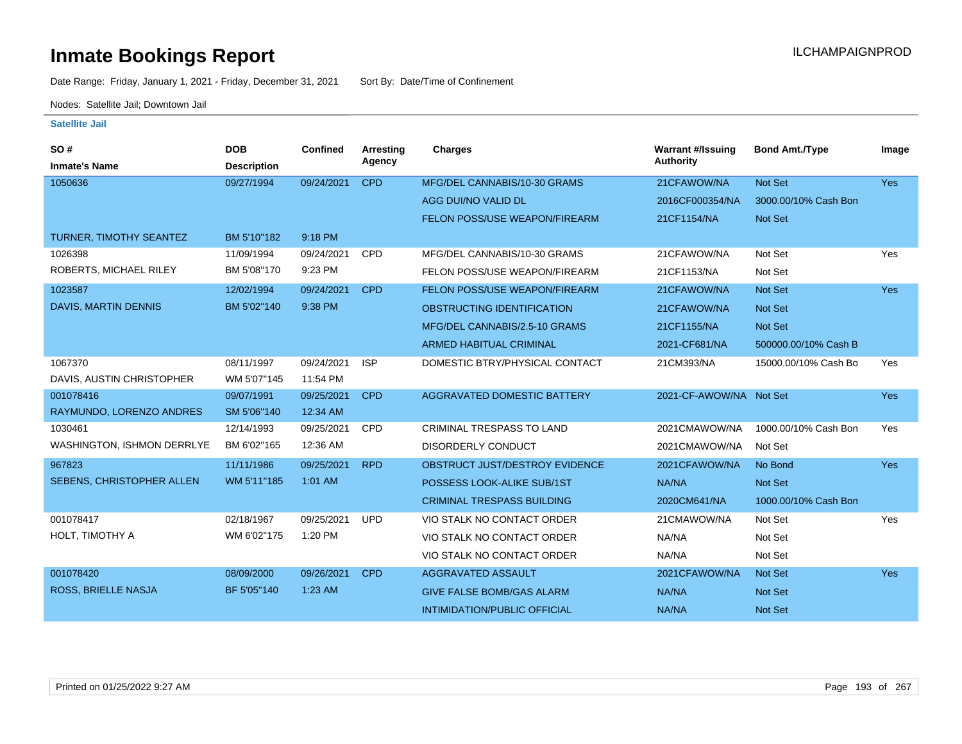Date Range: Friday, January 1, 2021 - Friday, December 31, 2021 Sort By: Date/Time of Confinement

Nodes: Satellite Jail; Downtown Jail

| <b>SO#</b><br><b>Inmate's Name</b> | <b>DOB</b><br><b>Description</b> | <b>Confined</b> | Arresting<br>Agency | <b>Charges</b>                      | <b>Warrant #/Issuing</b><br><b>Authority</b> | <b>Bond Amt./Type</b> | Image      |
|------------------------------------|----------------------------------|-----------------|---------------------|-------------------------------------|----------------------------------------------|-----------------------|------------|
| 1050636                            | 09/27/1994                       | 09/24/2021      | <b>CPD</b>          | MFG/DEL CANNABIS/10-30 GRAMS        | 21CFAWOW/NA                                  | Not Set               | <b>Yes</b> |
|                                    |                                  |                 |                     | AGG DUI/NO VALID DL                 | 2016CF000354/NA                              | 3000.00/10% Cash Bon  |            |
|                                    |                                  |                 |                     | FELON POSS/USE WEAPON/FIREARM       | 21CF1154/NA                                  | Not Set               |            |
| TURNER, TIMOTHY SEANTEZ            | BM 5'10"182                      | 9:18 PM         |                     |                                     |                                              |                       |            |
| 1026398                            | 11/09/1994                       | 09/24/2021      | CPD                 | MFG/DEL CANNABIS/10-30 GRAMS        | 21CFAWOW/NA                                  | Not Set               | Yes        |
| ROBERTS, MICHAEL RILEY             | BM 5'08"170                      | 9:23 PM         |                     | FELON POSS/USE WEAPON/FIREARM       | 21CF1153/NA                                  | Not Set               |            |
| 1023587                            | 12/02/1994                       | 09/24/2021      | <b>CPD</b>          | FELON POSS/USE WEAPON/FIREARM       | 21CFAWOW/NA                                  | Not Set               | Yes        |
| <b>DAVIS, MARTIN DENNIS</b>        | BM 5'02"140                      | 9:38 PM         |                     | OBSTRUCTING IDENTIFICATION          | 21CFAWOW/NA                                  | <b>Not Set</b>        |            |
|                                    |                                  |                 |                     | MFG/DEL CANNABIS/2.5-10 GRAMS       | 21CF1155/NA                                  | Not Set               |            |
|                                    |                                  |                 |                     | <b>ARMED HABITUAL CRIMINAL</b>      | 2021-CF681/NA                                | 500000.00/10% Cash B  |            |
| 1067370                            | 08/11/1997                       | 09/24/2021      | <b>ISP</b>          | DOMESTIC BTRY/PHYSICAL CONTACT      | 21CM393/NA                                   | 15000.00/10% Cash Bo  | Yes        |
| DAVIS, AUSTIN CHRISTOPHER          | WM 5'07"145                      | 11:54 PM        |                     |                                     |                                              |                       |            |
| 001078416                          | 09/07/1991                       | 09/25/2021      | <b>CPD</b>          | <b>AGGRAVATED DOMESTIC BATTERY</b>  | 2021-CF-AWOW/NA Not Set                      |                       | <b>Yes</b> |
| RAYMUNDO, LORENZO ANDRES           | SM 5'06"140                      | 12:34 AM        |                     |                                     |                                              |                       |            |
| 1030461                            | 12/14/1993                       | 09/25/2021      | <b>CPD</b>          | <b>CRIMINAL TRESPASS TO LAND</b>    | 2021CMAWOW/NA                                | 1000.00/10% Cash Bon  | Yes        |
| <b>WASHINGTON, ISHMON DERRLYE</b>  | BM 6'02"165                      | 12:36 AM        |                     | DISORDERLY CONDUCT                  | 2021CMAWOW/NA                                | Not Set               |            |
| 967823                             | 11/11/1986                       | 09/25/2021      | <b>RPD</b>          | OBSTRUCT JUST/DESTROY EVIDENCE      | 2021CFAWOW/NA                                | No Bond               | Yes        |
| SEBENS, CHRISTOPHER ALLEN          | WM 5'11"185                      | 1:01 AM         |                     | POSSESS LOOK-ALIKE SUB/1ST          | NA/NA                                        | Not Set               |            |
|                                    |                                  |                 |                     | <b>CRIMINAL TRESPASS BUILDING</b>   | 2020CM641/NA                                 | 1000.00/10% Cash Bon  |            |
| 001078417                          | 02/18/1967                       | 09/25/2021      | <b>UPD</b>          | VIO STALK NO CONTACT ORDER          | 21CMAWOW/NA                                  | Not Set               | Yes        |
| HOLT, TIMOTHY A                    | WM 6'02"175                      | 1:20 PM         |                     | VIO STALK NO CONTACT ORDER          | NA/NA                                        | Not Set               |            |
|                                    |                                  |                 |                     | VIO STALK NO CONTACT ORDER          | NA/NA                                        | Not Set               |            |
| 001078420                          | 08/09/2000                       | 09/26/2021      | <b>CPD</b>          | AGGRAVATED ASSAULT                  | 2021CFAWOW/NA                                | <b>Not Set</b>        | Yes        |
| ROSS, BRIELLE NASJA                | BF 5'05"140                      | $1:23$ AM       |                     | <b>GIVE FALSE BOMB/GAS ALARM</b>    | <b>NA/NA</b>                                 | Not Set               |            |
|                                    |                                  |                 |                     | <b>INTIMIDATION/PUBLIC OFFICIAL</b> | <b>NA/NA</b>                                 | Not Set               |            |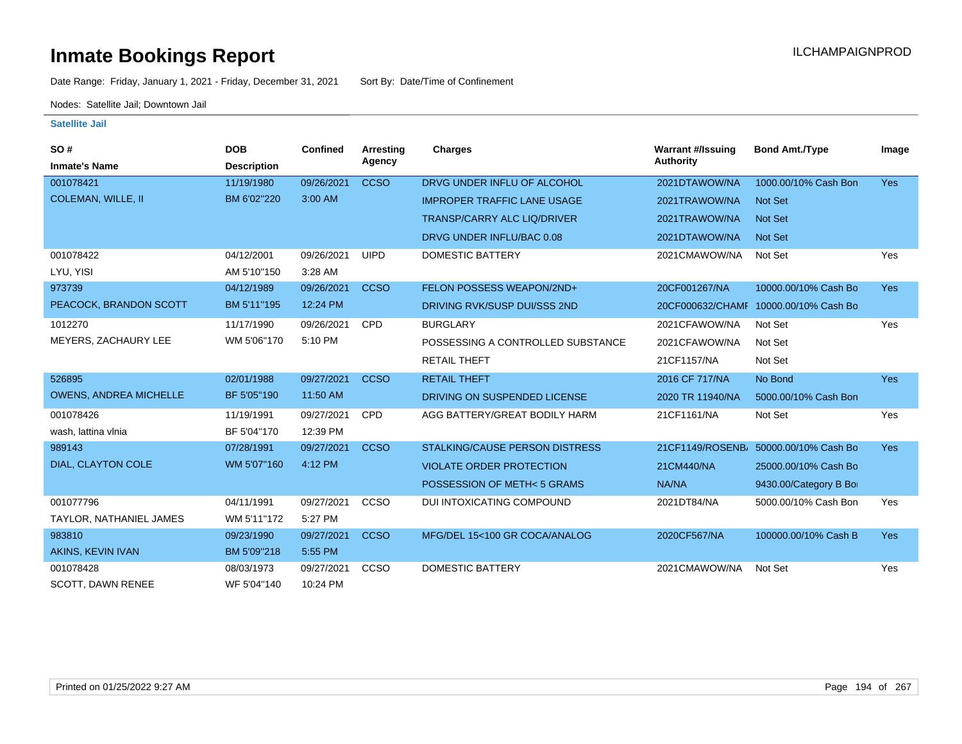Date Range: Friday, January 1, 2021 - Friday, December 31, 2021 Sort By: Date/Time of Confinement

Nodes: Satellite Jail; Downtown Jail

| SO#<br><b>Inmate's Name</b>   | <b>DOB</b><br><b>Description</b> | Confined   | Arresting<br>Agency | <b>Charges</b>                        | <b>Warrant #/Issuing</b><br><b>Authority</b> | <b>Bond Amt./Type</b>                 | Image      |
|-------------------------------|----------------------------------|------------|---------------------|---------------------------------------|----------------------------------------------|---------------------------------------|------------|
| 001078421                     | 11/19/1980                       | 09/26/2021 | <b>CCSO</b>         | DRVG UNDER INFLU OF ALCOHOL           | 2021DTAWOW/NA                                | 1000.00/10% Cash Bon                  | <b>Yes</b> |
| <b>COLEMAN, WILLE, II</b>     | BM 6'02"220                      | 3:00 AM    |                     | <b>IMPROPER TRAFFIC LANE USAGE</b>    | 2021TRAWOW/NA                                | <b>Not Set</b>                        |            |
|                               |                                  |            |                     | <b>TRANSP/CARRY ALC LIQ/DRIVER</b>    | 2021TRAWOW/NA                                | <b>Not Set</b>                        |            |
|                               |                                  |            |                     | DRVG UNDER INFLU/BAC 0.08             | 2021DTAWOW/NA                                | <b>Not Set</b>                        |            |
| 001078422                     | 04/12/2001                       | 09/26/2021 | <b>UIPD</b>         | DOMESTIC BATTERY                      | 2021CMAWOW/NA                                | Not Set                               | Yes        |
| LYU, YISI                     | AM 5'10"150                      | 3:28 AM    |                     |                                       |                                              |                                       |            |
| 973739                        | 04/12/1989                       | 09/26/2021 | <b>CCSO</b>         | FELON POSSESS WEAPON/2ND+             | 20CF001267/NA                                | 10000.00/10% Cash Bo                  | <b>Yes</b> |
| PEACOCK, BRANDON SCOTT        | BM 5'11"195                      | 12:24 PM   |                     | DRIVING RVK/SUSP DUI/SSS 2ND          |                                              | 20CF000632/CHAMF 10000.00/10% Cash Bo |            |
| 1012270                       | 11/17/1990                       | 09/26/2021 | <b>CPD</b>          | <b>BURGLARY</b>                       | 2021CFAWOW/NA                                | Not Set                               | Yes        |
| MEYERS, ZACHAURY LEE          | WM 5'06"170                      | 5:10 PM    |                     | POSSESSING A CONTROLLED SUBSTANCE     | 2021CFAWOW/NA                                | Not Set                               |            |
|                               |                                  |            |                     | <b>RETAIL THEFT</b>                   | 21CF1157/NA                                  | Not Set                               |            |
| 526895                        | 02/01/1988                       | 09/27/2021 | <b>CCSO</b>         | <b>RETAIL THEFT</b>                   | 2016 CF 717/NA                               | No Bond                               | <b>Yes</b> |
| <b>OWENS, ANDREA MICHELLE</b> | BF 5'05"190                      | 11:50 AM   |                     | DRIVING ON SUSPENDED LICENSE          | 2020 TR 11940/NA                             | 5000.00/10% Cash Bon                  |            |
| 001078426                     | 11/19/1991                       | 09/27/2021 | <b>CPD</b>          | AGG BATTERY/GREAT BODILY HARM         | 21CF1161/NA                                  | Not Set                               | Yes        |
| wash, lattina vlnia           | BF 5'04"170                      | 12:39 PM   |                     |                                       |                                              |                                       |            |
| 989143                        | 07/28/1991                       | 09/27/2021 | <b>CCSO</b>         | <b>STALKING/CAUSE PERSON DISTRESS</b> |                                              | 21CF1149/ROSENB/ 50000.00/10% Cash Bo | <b>Yes</b> |
| DIAL, CLAYTON COLE            | WM 5'07"160                      | 4:12 PM    |                     | <b>VIOLATE ORDER PROTECTION</b>       | 21CM440/NA                                   | 25000.00/10% Cash Bo                  |            |
|                               |                                  |            |                     | POSSESSION OF METH<5 GRAMS            | NA/NA                                        | 9430.00/Category B Bo                 |            |
| 001077796                     | 04/11/1991                       | 09/27/2021 | CCSO                | DUI INTOXICATING COMPOUND             | 2021DT84/NA                                  | 5000.00/10% Cash Bon                  | Yes        |
| TAYLOR, NATHANIEL JAMES       | WM 5'11"172                      | 5:27 PM    |                     |                                       |                                              |                                       |            |
| 983810                        | 09/23/1990                       | 09/27/2021 | <b>CCSO</b>         | MFG/DEL 15<100 GR COCA/ANALOG         | 2020CF567/NA                                 | 100000.00/10% Cash B                  | <b>Yes</b> |
| AKINS, KEVIN IVAN             | BM 5'09"218                      | 5:55 PM    |                     |                                       |                                              |                                       |            |
| 001078428                     | 08/03/1973                       | 09/27/2021 | <b>CCSO</b>         | <b>DOMESTIC BATTERY</b>               | 2021CMAWOW/NA                                | Not Set                               | Yes        |
| <b>SCOTT, DAWN RENEE</b>      | WF 5'04"140                      | 10:24 PM   |                     |                                       |                                              |                                       |            |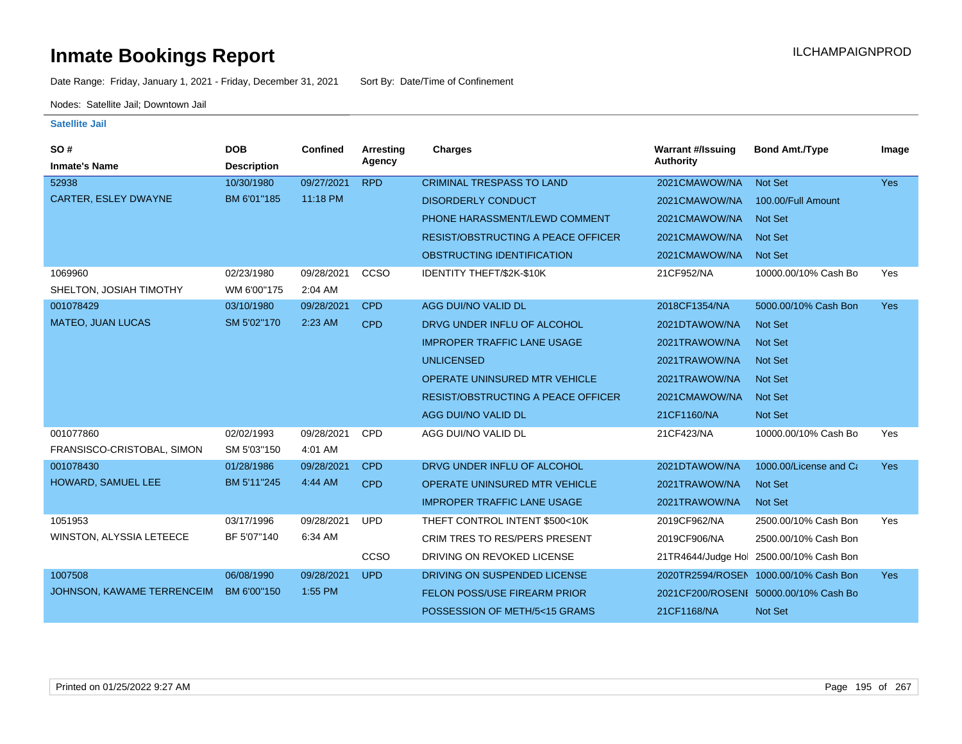Date Range: Friday, January 1, 2021 - Friday, December 31, 2021 Sort By: Date/Time of Confinement

Nodes: Satellite Jail; Downtown Jail

| <b>SO#</b><br><b>Inmate's Name</b> | <b>DOB</b><br><b>Description</b> | <b>Confined</b> | <b>Arresting</b><br>Agency | <b>Charges</b>                            | <b>Warrant #/Issuing</b><br>Authority | <b>Bond Amt./Type</b>                   | Image      |
|------------------------------------|----------------------------------|-----------------|----------------------------|-------------------------------------------|---------------------------------------|-----------------------------------------|------------|
| 52938                              | 10/30/1980                       | 09/27/2021      | <b>RPD</b>                 | <b>CRIMINAL TRESPASS TO LAND</b>          | 2021CMAWOW/NA                         | <b>Not Set</b>                          | <b>Yes</b> |
| CARTER, ESLEY DWAYNE               | BM 6'01"185                      | 11:18 PM        |                            | <b>DISORDERLY CONDUCT</b>                 | 2021CMAWOW/NA                         | 100.00/Full Amount                      |            |
|                                    |                                  |                 |                            | PHONE HARASSMENT/LEWD COMMENT             | 2021CMAWOW/NA                         | <b>Not Set</b>                          |            |
|                                    |                                  |                 |                            | <b>RESIST/OBSTRUCTING A PEACE OFFICER</b> | 2021CMAWOW/NA                         | <b>Not Set</b>                          |            |
|                                    |                                  |                 |                            | OBSTRUCTING IDENTIFICATION                | 2021CMAWOW/NA                         | <b>Not Set</b>                          |            |
| 1069960                            | 02/23/1980                       | 09/28/2021      | CCSO                       | IDENTITY THEFT/\$2K-\$10K                 | 21CF952/NA                            | 10000.00/10% Cash Bo                    | Yes        |
| SHELTON, JOSIAH TIMOTHY            | WM 6'00"175                      | 2:04 AM         |                            |                                           |                                       |                                         |            |
| 001078429                          | 03/10/1980                       | 09/28/2021      | <b>CPD</b>                 | AGG DUI/NO VALID DL                       | 2018CF1354/NA                         | 5000.00/10% Cash Bon                    | <b>Yes</b> |
| <b>MATEO, JUAN LUCAS</b>           | SM 5'02"170                      | 2:23 AM         | <b>CPD</b>                 | DRVG UNDER INFLU OF ALCOHOL               | 2021DTAWOW/NA                         | <b>Not Set</b>                          |            |
|                                    |                                  |                 |                            | <b>IMPROPER TRAFFIC LANE USAGE</b>        | 2021TRAWOW/NA                         | <b>Not Set</b>                          |            |
|                                    |                                  |                 |                            | <b>UNLICENSED</b>                         | 2021TRAWOW/NA                         | <b>Not Set</b>                          |            |
|                                    |                                  |                 |                            | <b>OPERATE UNINSURED MTR VEHICLE</b>      | 2021TRAWOW/NA                         | <b>Not Set</b>                          |            |
|                                    |                                  |                 |                            | <b>RESIST/OBSTRUCTING A PEACE OFFICER</b> | 2021CMAWOW/NA                         | <b>Not Set</b>                          |            |
|                                    |                                  |                 |                            | AGG DUI/NO VALID DL                       | 21CF1160/NA                           | <b>Not Set</b>                          |            |
| 001077860                          | 02/02/1993                       | 09/28/2021      | <b>CPD</b>                 | AGG DUI/NO VALID DL                       | 21CF423/NA                            | 10000.00/10% Cash Bo                    | Yes        |
| FRANSISCO-CRISTOBAL, SIMON         | SM 5'03"150                      | 4:01 AM         |                            |                                           |                                       |                                         |            |
| 001078430                          | 01/28/1986                       | 09/28/2021      | <b>CPD</b>                 | DRVG UNDER INFLU OF ALCOHOL               | 2021DTAWOW/NA                         | 1000.00/License and Ca                  | <b>Yes</b> |
| HOWARD, SAMUEL LEE                 | BM 5'11"245                      | 4:44 AM         | <b>CPD</b>                 | OPERATE UNINSURED MTR VEHICLE             | 2021TRAWOW/NA                         | <b>Not Set</b>                          |            |
|                                    |                                  |                 |                            | <b>IMPROPER TRAFFIC LANE USAGE</b>        | 2021TRAWOW/NA                         | <b>Not Set</b>                          |            |
| 1051953                            | 03/17/1996                       | 09/28/2021      | <b>UPD</b>                 | THEFT CONTROL INTENT \$500<10K            | 2019CF962/NA                          | 2500.00/10% Cash Bon                    | Yes        |
| WINSTON, ALYSSIA LETEECE           | BF 5'07"140                      | 6:34 AM         |                            | <b>CRIM TRES TO RES/PERS PRESENT</b>      | 2019CF906/NA                          | 2500.00/10% Cash Bon                    |            |
|                                    |                                  |                 | CCSO                       | DRIVING ON REVOKED LICENSE                |                                       | 21TR4644/Judge Hol 2500.00/10% Cash Bon |            |
| 1007508                            | 06/08/1990                       | 09/28/2021      | <b>UPD</b>                 | DRIVING ON SUSPENDED LICENSE              |                                       | 2020TR2594/ROSEN 1000.00/10% Cash Bon   | Yes        |
| JOHNSON, KAWAME TERRENCEIM         | BM 6'00"150                      | 1:55 PM         |                            | <b>FELON POSS/USE FIREARM PRIOR</b>       |                                       | 2021CF200/ROSENI 50000.00/10% Cash Bo   |            |
|                                    |                                  |                 |                            | POSSESSION OF METH/5<15 GRAMS             | 21CF1168/NA                           | Not Set                                 |            |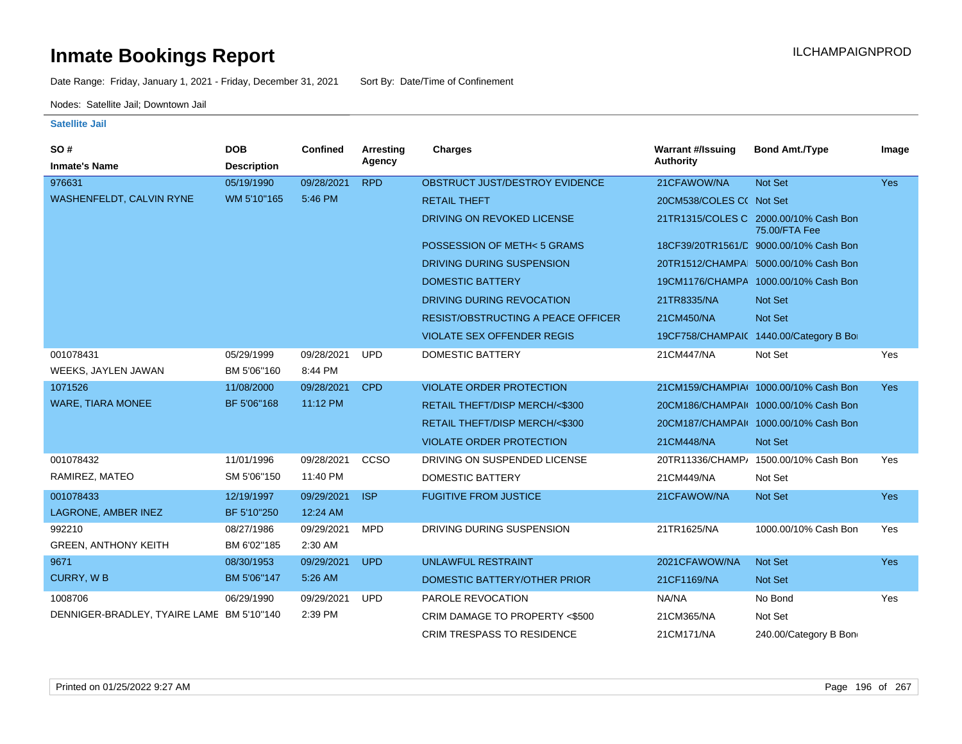Date Range: Friday, January 1, 2021 - Friday, December 31, 2021 Sort By: Date/Time of Confinement

Nodes: Satellite Jail; Downtown Jail

| SO#                                       | <b>DOB</b>         | <b>Confined</b> | Arresting  | Charges                                   | <b>Warrant #/Issuing</b> | <b>Bond Amt./Type</b>                                  | Image      |
|-------------------------------------------|--------------------|-----------------|------------|-------------------------------------------|--------------------------|--------------------------------------------------------|------------|
| <b>Inmate's Name</b>                      | <b>Description</b> |                 | Agency     |                                           | <b>Authority</b>         |                                                        |            |
| 976631                                    | 05/19/1990         | 09/28/2021      | <b>RPD</b> | OBSTRUCT JUST/DESTROY EVIDENCE            | 21CFAWOW/NA              | Not Set                                                | <b>Yes</b> |
| WASHENFELDT, CALVIN RYNE                  | WM 5'10"165        | 5:46 PM         |            | <b>RETAIL THEFT</b>                       | 20CM538/COLES C( Not Set |                                                        |            |
|                                           |                    |                 |            | DRIVING ON REVOKED LICENSE                |                          | 21TR1315/COLES C 2000.00/10% Cash Bon<br>75.00/FTA Fee |            |
|                                           |                    |                 |            | POSSESSION OF METH<5 GRAMS                |                          | 18CF39/20TR1561/D 9000.00/10% Cash Bon                 |            |
|                                           |                    |                 |            | DRIVING DURING SUSPENSION                 |                          | 20TR1512/CHAMPA 5000.00/10% Cash Bon                   |            |
|                                           |                    |                 |            | <b>DOMESTIC BATTERY</b>                   |                          | 19CM1176/CHAMPA 1000.00/10% Cash Bon                   |            |
|                                           |                    |                 |            | DRIVING DURING REVOCATION                 | 21TR8335/NA              | <b>Not Set</b>                                         |            |
|                                           |                    |                 |            | <b>RESIST/OBSTRUCTING A PEACE OFFICER</b> | 21CM450/NA               | Not Set                                                |            |
|                                           |                    |                 |            | <b>VIOLATE SEX OFFENDER REGIS</b>         |                          | 19CF758/CHAMPAIC 1440.00/Category B Bo                 |            |
| 001078431                                 | 05/29/1999         | 09/28/2021      | <b>UPD</b> | <b>DOMESTIC BATTERY</b>                   | 21CM447/NA               | Not Set                                                | Yes        |
| WEEKS, JAYLEN JAWAN                       | BM 5'06"160        | 8:44 PM         |            |                                           |                          |                                                        |            |
| 1071526                                   | 11/08/2000         | 09/28/2021      | <b>CPD</b> | <b>VIOLATE ORDER PROTECTION</b>           |                          | 21CM159/CHAMPIA( 1000.00/10% Cash Bon                  | <b>Yes</b> |
| <b>WARE, TIARA MONEE</b>                  | BF 5'06"168        | 11:12 PM        |            | RETAIL THEFT/DISP MERCH/<\$300            |                          | 20CM186/CHAMPAI( 1000.00/10% Cash Bon                  |            |
|                                           |                    |                 |            | RETAIL THEFT/DISP MERCH/<\$300            |                          | 20CM187/CHAMPAI( 1000.00/10% Cash Bon                  |            |
|                                           |                    |                 |            | <b>VIOLATE ORDER PROTECTION</b>           | 21CM448/NA               | Not Set                                                |            |
| 001078432                                 | 11/01/1996         | 09/28/2021      | CCSO       | DRIVING ON SUSPENDED LICENSE              |                          | 20TR11336/CHAMP/ 1500.00/10% Cash Bon                  | Yes        |
| RAMIREZ, MATEO                            | SM 5'06"150        | 11:40 PM        |            | <b>DOMESTIC BATTERY</b>                   | 21CM449/NA               | Not Set                                                |            |
| 001078433                                 | 12/19/1997         | 09/29/2021      | <b>ISP</b> | <b>FUGITIVE FROM JUSTICE</b>              | 21CFAWOW/NA              | <b>Not Set</b>                                         | <b>Yes</b> |
| LAGRONE, AMBER INEZ                       | BF 5'10"250        | 12:24 AM        |            |                                           |                          |                                                        |            |
| 992210                                    | 08/27/1986         | 09/29/2021      | <b>MPD</b> | DRIVING DURING SUSPENSION                 | 21TR1625/NA              | 1000.00/10% Cash Bon                                   | Yes        |
| <b>GREEN, ANTHONY KEITH</b>               | BM 6'02"185        | 2:30 AM         |            |                                           |                          |                                                        |            |
| 9671                                      | 08/30/1953         | 09/29/2021      | <b>UPD</b> | <b>UNLAWFUL RESTRAINT</b>                 | 2021CFAWOW/NA            | <b>Not Set</b>                                         | <b>Yes</b> |
| <b>CURRY, WB</b>                          | BM 5'06"147        | 5:26 AM         |            | DOMESTIC BATTERY/OTHER PRIOR              | 21CF1169/NA              | Not Set                                                |            |
| 1008706                                   | 06/29/1990         | 09/29/2021      | <b>UPD</b> | PAROLE REVOCATION                         | NA/NA                    | No Bond                                                | Yes        |
| DENNIGER-BRADLEY, TYAIRE LAME BM 5'10"140 |                    | 2:39 PM         |            | CRIM DAMAGE TO PROPERTY <\$500            | 21CM365/NA               | Not Set                                                |            |
|                                           |                    |                 |            | <b>CRIM TRESPASS TO RESIDENCE</b>         | 21CM171/NA               | 240.00/Category B Bon                                  |            |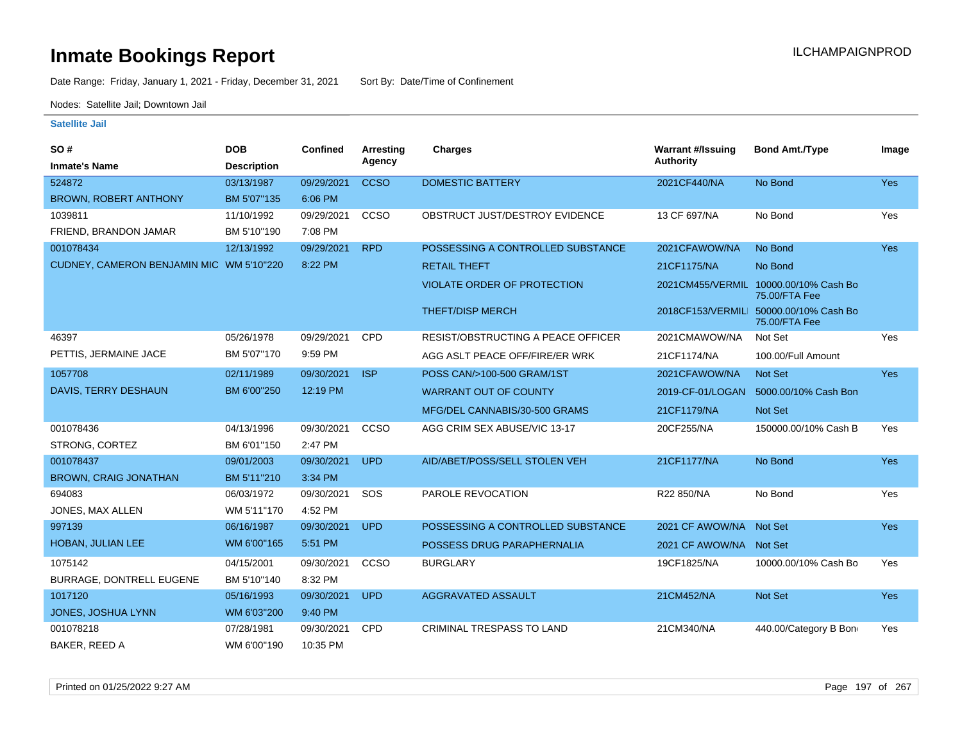Date Range: Friday, January 1, 2021 - Friday, December 31, 2021 Sort By: Date/Time of Confinement

Nodes: Satellite Jail; Downtown Jail

| SO#                                      | <b>DOB</b>         | <b>Confined</b> | Arresting   | <b>Charges</b>                            | <b>Warrant #/Issuing</b> | <b>Bond Amt./Type</b>                                   | Image      |
|------------------------------------------|--------------------|-----------------|-------------|-------------------------------------------|--------------------------|---------------------------------------------------------|------------|
| <b>Inmate's Name</b>                     | <b>Description</b> |                 | Agency      |                                           | <b>Authority</b>         |                                                         |            |
| 524872                                   | 03/13/1987         | 09/29/2021      | <b>CCSO</b> | <b>DOMESTIC BATTERY</b>                   | 2021CF440/NA             | No Bond                                                 | Yes        |
| <b>BROWN, ROBERT ANTHONY</b>             | BM 5'07"135        | 6:06 PM         |             |                                           |                          |                                                         |            |
| 1039811                                  | 11/10/1992         | 09/29/2021      | CCSO        | OBSTRUCT JUST/DESTROY EVIDENCE            | 13 CF 697/NA             | No Bond                                                 | Yes        |
| FRIEND, BRANDON JAMAR                    | BM 5'10"190        | 7:08 PM         |             |                                           |                          |                                                         |            |
| 001078434                                | 12/13/1992         | 09/29/2021      | <b>RPD</b>  | POSSESSING A CONTROLLED SUBSTANCE         | 2021CFAWOW/NA            | No Bond                                                 | Yes        |
| CUDNEY, CAMERON BENJAMIN MIC WM 5'10"220 |                    | 8:22 PM         |             | <b>RETAIL THEFT</b>                       | 21CF1175/NA              | No Bond                                                 |            |
|                                          |                    |                 |             | <b>VIOLATE ORDER OF PROTECTION</b>        |                          | 2021CM455/VERMIL 10000.00/10% Cash Bo<br>75.00/FTA Fee  |            |
|                                          |                    |                 |             | <b>THEFT/DISP MERCH</b>                   |                          | 2018CF153/VERMILI 50000.00/10% Cash Bo<br>75.00/FTA Fee |            |
| 46397                                    | 05/26/1978         | 09/29/2021      | <b>CPD</b>  | <b>RESIST/OBSTRUCTING A PEACE OFFICER</b> | 2021CMAWOW/NA            | Not Set                                                 | Yes        |
| PETTIS, JERMAINE JACE                    | BM 5'07"170        | 9:59 PM         |             | AGG ASLT PEACE OFF/FIRE/ER WRK            | 21CF1174/NA              | 100.00/Full Amount                                      |            |
| 1057708                                  | 02/11/1989         | 09/30/2021      | <b>ISP</b>  | POSS CAN/>100-500 GRAM/1ST                | 2021CFAWOW/NA            | Not Set                                                 | <b>Yes</b> |
| DAVIS, TERRY DESHAUN                     | BM 6'00"250        | 12:19 PM        |             | <b>WARRANT OUT OF COUNTY</b>              | 2019-CF-01/LOGAN         | 5000.00/10% Cash Bon                                    |            |
|                                          |                    |                 |             | MFG/DEL CANNABIS/30-500 GRAMS             | 21CF1179/NA              | Not Set                                                 |            |
| 001078436                                | 04/13/1996         | 09/30/2021      | CCSO        | AGG CRIM SEX ABUSE/VIC 13-17              | 20CF255/NA               | 150000.00/10% Cash B                                    | Yes        |
| STRONG, CORTEZ                           | BM 6'01"150        | 2:47 PM         |             |                                           |                          |                                                         |            |
| 001078437                                | 09/01/2003         | 09/30/2021      | <b>UPD</b>  | AID/ABET/POSS/SELL STOLEN VEH             | 21CF1177/NA              | No Bond                                                 | Yes        |
| <b>BROWN, CRAIG JONATHAN</b>             | BM 5'11"210        | 3:34 PM         |             |                                           |                          |                                                         |            |
| 694083                                   | 06/03/1972         | 09/30/2021      | SOS         | PAROLE REVOCATION                         | R22 850/NA               | No Bond                                                 | Yes        |
| JONES, MAX ALLEN                         | WM 5'11"170        | 4:52 PM         |             |                                           |                          |                                                         |            |
| 997139                                   | 06/16/1987         | 09/30/2021      | <b>UPD</b>  | POSSESSING A CONTROLLED SUBSTANCE         | 2021 CF AWOW/NA Not Set  |                                                         | Yes        |
| HOBAN, JULIAN LEE                        | WM 6'00"165        | 5:51 PM         |             | POSSESS DRUG PARAPHERNALIA                | 2021 CF AWOW/NA Not Set  |                                                         |            |
| 1075142                                  | 04/15/2001         | 09/30/2021      | CCSO        | <b>BURGLARY</b>                           | 19CF1825/NA              | 10000.00/10% Cash Bo                                    | Yes        |
| BURRAGE, DONTRELL EUGENE                 | BM 5'10"140        | 8:32 PM         |             |                                           |                          |                                                         |            |
| 1017120                                  | 05/16/1993         | 09/30/2021      | <b>UPD</b>  | <b>AGGRAVATED ASSAULT</b>                 | 21CM452/NA               | <b>Not Set</b>                                          | Yes        |
| JONES, JOSHUA LYNN                       | WM 6'03"200        | 9:40 PM         |             |                                           |                          |                                                         |            |
| 001078218                                | 07/28/1981         | 09/30/2021      | <b>CPD</b>  | <b>CRIMINAL TRESPASS TO LAND</b>          | 21CM340/NA               | 440.00/Category B Bon                                   | Yes        |
| BAKER, REED A                            | WM 6'00"190        | 10:35 PM        |             |                                           |                          |                                                         |            |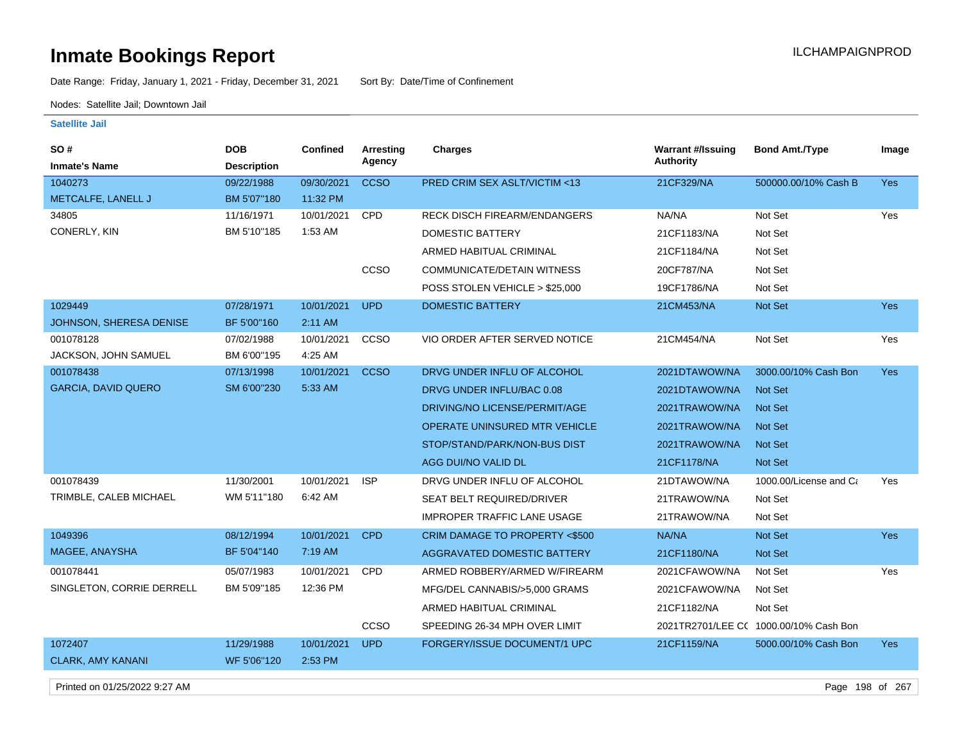Date Range: Friday, January 1, 2021 - Friday, December 31, 2021 Sort By: Date/Time of Confinement

Nodes: Satellite Jail; Downtown Jail

**Satellite Jail**

| <b>SO#</b>                 | <b>DOB</b>         | <b>Confined</b> | Arresting   | <b>Charges</b>                      | <b>Warrant #/Issuing</b> | <b>Bond Amt./Type</b>                  | Image      |
|----------------------------|--------------------|-----------------|-------------|-------------------------------------|--------------------------|----------------------------------------|------------|
| <b>Inmate's Name</b>       | <b>Description</b> |                 | Agency      |                                     | Authority                |                                        |            |
| 1040273                    | 09/22/1988         | 09/30/2021      | <b>CCSO</b> | PRED CRIM SEX ASLT/VICTIM <13       | 21CF329/NA               | 500000.00/10% Cash B                   | <b>Yes</b> |
| METCALFE, LANELL J         | BM 5'07"180        | 11:32 PM        |             |                                     |                          |                                        |            |
| 34805                      | 11/16/1971         | 10/01/2021      | CPD         | <b>RECK DISCH FIREARM/ENDANGERS</b> | NA/NA                    | Not Set                                | Yes        |
| CONERLY, KIN               | BM 5'10"185        | 1:53 AM         |             | <b>DOMESTIC BATTERY</b>             | 21CF1183/NA              | Not Set                                |            |
|                            |                    |                 |             | ARMED HABITUAL CRIMINAL             | 21CF1184/NA              | Not Set                                |            |
|                            |                    |                 | CCSO        | <b>COMMUNICATE/DETAIN WITNESS</b>   | 20CF787/NA               | Not Set                                |            |
|                            |                    |                 |             | POSS STOLEN VEHICLE > \$25,000      | 19CF1786/NA              | Not Set                                |            |
| 1029449                    | 07/28/1971         | 10/01/2021      | <b>UPD</b>  | <b>DOMESTIC BATTERY</b>             | 21CM453/NA               | Not Set                                | <b>Yes</b> |
| JOHNSON, SHERESA DENISE    | BF 5'00"160        | 2:11 AM         |             |                                     |                          |                                        |            |
| 001078128                  | 07/02/1988         | 10/01/2021      | CCSO        | VIO ORDER AFTER SERVED NOTICE       | 21CM454/NA               | Not Set                                | Yes        |
| JACKSON, JOHN SAMUEL       | BM 6'00"195        | 4:25 AM         |             |                                     |                          |                                        |            |
| 001078438                  | 07/13/1998         | 10/01/2021      | <b>CCSO</b> | DRVG UNDER INFLU OF ALCOHOL         | 2021DTAWOW/NA            | 3000.00/10% Cash Bon                   | Yes        |
| <b>GARCIA, DAVID QUERO</b> | SM 6'00"230        | 5:33 AM         |             | DRVG UNDER INFLU/BAC 0.08           | 2021DTAWOW/NA            | Not Set                                |            |
|                            |                    |                 |             | DRIVING/NO LICENSE/PERMIT/AGE       | 2021TRAWOW/NA            | Not Set                                |            |
|                            |                    |                 |             | OPERATE UNINSURED MTR VEHICLE       | 2021TRAWOW/NA            | <b>Not Set</b>                         |            |
|                            |                    |                 |             | STOP/STAND/PARK/NON-BUS DIST        | 2021TRAWOW/NA            | Not Set                                |            |
|                            |                    |                 |             | AGG DUI/NO VALID DL                 | 21CF1178/NA              | <b>Not Set</b>                         |            |
| 001078439                  | 11/30/2001         | 10/01/2021      | <b>ISP</b>  | DRVG UNDER INFLU OF ALCOHOL         | 21DTAWOW/NA              | 1000.00/License and Ca                 | Yes        |
| TRIMBLE, CALEB MICHAEL     | WM 5'11"180        | 6:42 AM         |             | SEAT BELT REQUIRED/DRIVER           | 21TRAWOW/NA              | Not Set                                |            |
|                            |                    |                 |             | <b>IMPROPER TRAFFIC LANE USAGE</b>  | 21TRAWOW/NA              | Not Set                                |            |
| 1049396                    | 08/12/1994         | 10/01/2021      | <b>CPD</b>  | CRIM DAMAGE TO PROPERTY <\$500      | NA/NA                    | Not Set                                | Yes        |
| MAGEE, ANAYSHA             | BF 5'04"140        | 7:19 AM         |             | <b>AGGRAVATED DOMESTIC BATTERY</b>  | 21CF1180/NA              | Not Set                                |            |
| 001078441                  | 05/07/1983         | 10/01/2021      | <b>CPD</b>  | ARMED ROBBERY/ARMED W/FIREARM       | 2021CFAWOW/NA            | Not Set                                | Yes        |
| SINGLETON, CORRIE DERRELL  | BM 5'09"185        | 12:36 PM        |             | MFG/DEL CANNABIS/>5,000 GRAMS       | 2021CFAWOW/NA            | Not Set                                |            |
|                            |                    |                 |             | ARMED HABITUAL CRIMINAL             | 21CF1182/NA              | Not Set                                |            |
|                            |                    |                 | CCSO        | SPEEDING 26-34 MPH OVER LIMIT       |                          | 2021TR2701/LEE CC 1000.00/10% Cash Bon |            |
| 1072407                    | 11/29/1988         | 10/01/2021      | <b>UPD</b>  | FORGERY/ISSUE DOCUMENT/1 UPC        | 21CF1159/NA              | 5000.00/10% Cash Bon                   | Yes        |
| <b>CLARK, AMY KANANI</b>   | WF 5'06"120        | 2:53 PM         |             |                                     |                          |                                        |            |
|                            |                    |                 |             |                                     |                          |                                        |            |

Printed on 01/25/2022 9:27 AM Page 198 of 267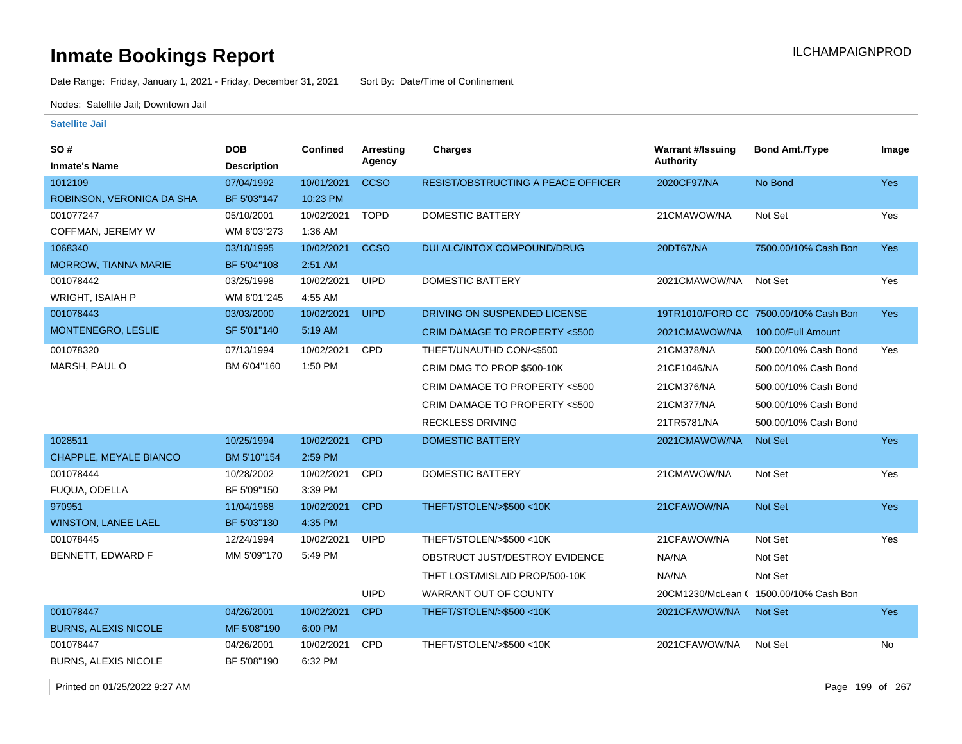Date Range: Friday, January 1, 2021 - Friday, December 31, 2021 Sort By: Date/Time of Confinement

Nodes: Satellite Jail; Downtown Jail

### **Satellite Jail**

| SO #                          | <b>DOB</b>         | Confined   | Arresting   | <b>Charges</b>                     | <b>Warrant #/Issuing</b> | <b>Bond Amt./Type</b>                  | Image      |
|-------------------------------|--------------------|------------|-------------|------------------------------------|--------------------------|----------------------------------------|------------|
| <b>Inmate's Name</b>          | <b>Description</b> |            | Agency      |                                    | <b>Authority</b>         |                                        |            |
| 1012109                       | 07/04/1992         | 10/01/2021 | <b>CCSO</b> | RESIST/OBSTRUCTING A PEACE OFFICER | 2020CF97/NA              | No Bond                                | Yes        |
| ROBINSON, VERONICA DA SHA     | BF 5'03"147        | 10:23 PM   |             |                                    |                          |                                        |            |
| 001077247                     | 05/10/2001         | 10/02/2021 | <b>TOPD</b> | <b>DOMESTIC BATTERY</b>            | 21CMAWOW/NA              | Not Set                                | Yes        |
| COFFMAN, JEREMY W             | WM 6'03"273        | 1:36 AM    |             |                                    |                          |                                        |            |
| 1068340                       | 03/18/1995         | 10/02/2021 | <b>CCSO</b> | <b>DUI ALC/INTOX COMPOUND/DRUG</b> | 20DT67/NA                | 7500.00/10% Cash Bon                   | <b>Yes</b> |
| <b>MORROW, TIANNA MARIE</b>   | BF 5'04"108        | 2:51 AM    |             |                                    |                          |                                        |            |
| 001078442                     | 03/25/1998         | 10/02/2021 | <b>UIPD</b> | <b>DOMESTIC BATTERY</b>            | 2021CMAWOW/NA            | Not Set                                | Yes        |
| <b>WRIGHT, ISAIAH P</b>       | WM 6'01"245        | 4:55 AM    |             |                                    |                          |                                        |            |
| 001078443                     | 03/03/2000         | 10/02/2021 | <b>UIPD</b> | DRIVING ON SUSPENDED LICENSE       |                          | 19TR1010/FORD CC 7500.00/10% Cash Bon  | <b>Yes</b> |
| MONTENEGRO, LESLIE            | SF 5'01"140        | 5:19 AM    |             | CRIM DAMAGE TO PROPERTY <\$500     | 2021CMAWOW/NA            | 100.00/Full Amount                     |            |
| 001078320                     | 07/13/1994         | 10/02/2021 | <b>CPD</b>  | THEFT/UNAUTHD CON/<\$500           | 21CM378/NA               | 500.00/10% Cash Bond                   | Yes        |
| MARSH, PAUL O                 | BM 6'04"160        | 1:50 PM    |             | CRIM DMG TO PROP \$500-10K         | 21CF1046/NA              | 500.00/10% Cash Bond                   |            |
|                               |                    |            |             | CRIM DAMAGE TO PROPERTY <\$500     | 21CM376/NA               | 500.00/10% Cash Bond                   |            |
|                               |                    |            |             | CRIM DAMAGE TO PROPERTY <\$500     | 21CM377/NA               | 500.00/10% Cash Bond                   |            |
|                               |                    |            |             | <b>RECKLESS DRIVING</b>            | 21TR5781/NA              | 500.00/10% Cash Bond                   |            |
| 1028511                       | 10/25/1994         | 10/02/2021 | <b>CPD</b>  | <b>DOMESTIC BATTERY</b>            | 2021CMAWOW/NA            | <b>Not Set</b>                         | <b>Yes</b> |
| <b>CHAPPLE, MEYALE BIANCO</b> | BM 5'10"154        | 2:59 PM    |             |                                    |                          |                                        |            |
| 001078444                     | 10/28/2002         | 10/02/2021 | <b>CPD</b>  | <b>DOMESTIC BATTERY</b>            | 21CMAWOW/NA              | Not Set                                | Yes        |
| FUQUA, ODELLA                 | BF 5'09"150        | 3:39 PM    |             |                                    |                          |                                        |            |
| 970951                        | 11/04/1988         | 10/02/2021 | <b>CPD</b>  | THEFT/STOLEN/>\$500 <10K           | 21CFAWOW/NA              | <b>Not Set</b>                         | Yes        |
| <b>WINSTON, LANEE LAEL</b>    | BF 5'03"130        | 4:35 PM    |             |                                    |                          |                                        |            |
| 001078445                     | 12/24/1994         | 10/02/2021 | <b>UIPD</b> | THEFT/STOLEN/>\$500 <10K           | 21CFAWOW/NA              | Not Set                                | Yes        |
| <b>BENNETT, EDWARD F</b>      | MM 5'09"170        | 5:49 PM    |             | OBSTRUCT JUST/DESTROY EVIDENCE     | NA/NA                    | Not Set                                |            |
|                               |                    |            |             | THFT LOST/MISLAID PROP/500-10K     | NA/NA                    | Not Set                                |            |
|                               |                    |            | <b>UIPD</b> | WARRANT OUT OF COUNTY              |                          | 20CM1230/McLean ( 1500.00/10% Cash Bon |            |
| 001078447                     | 04/26/2001         | 10/02/2021 | <b>CPD</b>  | THEFT/STOLEN/>\$500 <10K           | 2021CFAWOW/NA            | <b>Not Set</b>                         | <b>Yes</b> |
| <b>BURNS, ALEXIS NICOLE</b>   | MF 5'08"190        | 6:00 PM    |             |                                    |                          |                                        |            |
| 001078447                     | 04/26/2001         | 10/02/2021 | CPD         | THEFT/STOLEN/>\$500 <10K           | 2021CFAWOW/NA            | Not Set                                | No         |
| <b>BURNS, ALEXIS NICOLE</b>   | BF 5'08"190        | 6:32 PM    |             |                                    |                          |                                        |            |

Printed on 01/25/2022 9:27 AM Page 199 of 267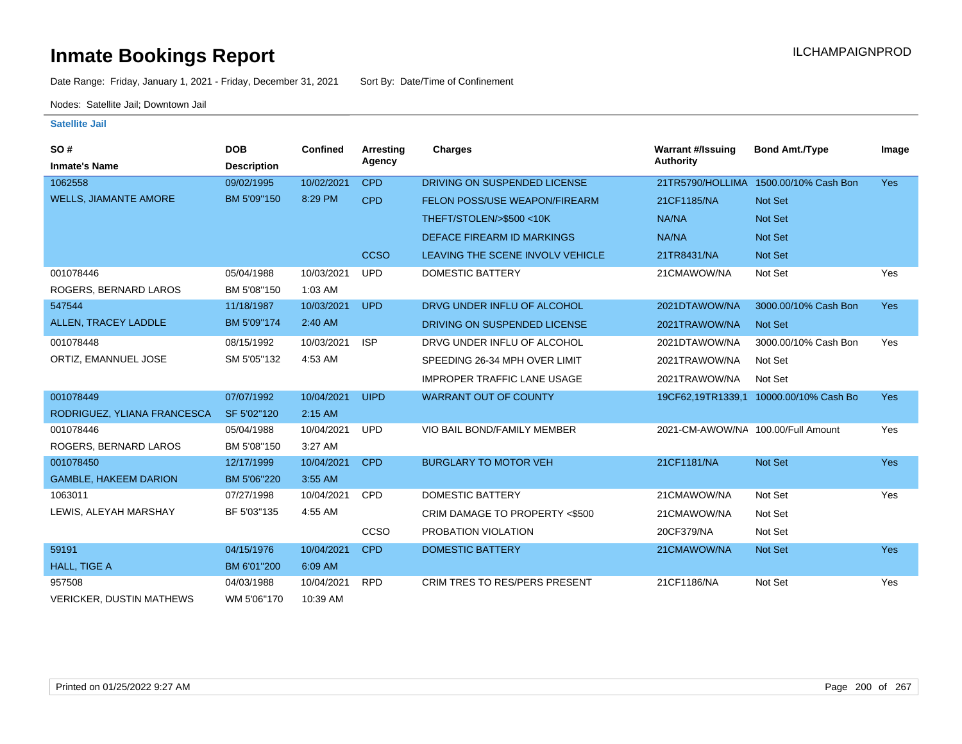Date Range: Friday, January 1, 2021 - Friday, December 31, 2021 Sort By: Date/Time of Confinement

Nodes: Satellite Jail; Downtown Jail

| SO#                             | <b>DOB</b>         | <b>Confined</b> | Arresting   | <b>Charges</b>                       | <b>Warrant #/Issuing</b>           | <b>Bond Amt./Type</b>                  | Image      |
|---------------------------------|--------------------|-----------------|-------------|--------------------------------------|------------------------------------|----------------------------------------|------------|
| <b>Inmate's Name</b>            | <b>Description</b> |                 | Agency      |                                      | Authority                          |                                        |            |
| 1062558                         | 09/02/1995         | 10/02/2021      | <b>CPD</b>  | DRIVING ON SUSPENDED LICENSE         | 21TR5790/HOLLIMA                   | 1500.00/10% Cash Bon                   | <b>Yes</b> |
| <b>WELLS, JIAMANTE AMORE</b>    | BM 5'09"150        | 8:29 PM         | <b>CPD</b>  | <b>FELON POSS/USE WEAPON/FIREARM</b> | 21CF1185/NA                        | <b>Not Set</b>                         |            |
|                                 |                    |                 |             | THEFT/STOLEN/>\$500 <10K             | NA/NA                              | <b>Not Set</b>                         |            |
|                                 |                    |                 |             | DEFACE FIREARM ID MARKINGS           | NA/NA                              | <b>Not Set</b>                         |            |
|                                 |                    |                 | <b>CCSO</b> | LEAVING THE SCENE INVOLV VEHICLE     | 21TR8431/NA                        | <b>Not Set</b>                         |            |
| 001078446                       | 05/04/1988         | 10/03/2021      | <b>UPD</b>  | <b>DOMESTIC BATTERY</b>              | 21CMAWOW/NA                        | Not Set                                | Yes        |
| ROGERS, BERNARD LAROS           | BM 5'08"150        | 1:03 AM         |             |                                      |                                    |                                        |            |
| 547544                          | 11/18/1987         | 10/03/2021      | <b>UPD</b>  | DRVG UNDER INFLU OF ALCOHOL          | 2021DTAWOW/NA                      | 3000.00/10% Cash Bon                   | <b>Yes</b> |
| ALLEN, TRACEY LADDLE            | BM 5'09"174        | 2:40 AM         |             | DRIVING ON SUSPENDED LICENSE         | 2021TRAWOW/NA                      | <b>Not Set</b>                         |            |
| 001078448                       | 08/15/1992         | 10/03/2021      | <b>ISP</b>  | DRVG UNDER INFLU OF ALCOHOL          | 2021DTAWOW/NA                      | 3000.00/10% Cash Bon                   | Yes        |
| ORTIZ, EMANNUEL JOSE            | SM 5'05"132        | 4:53 AM         |             | SPEEDING 26-34 MPH OVER LIMIT        | 2021TRAWOW/NA                      | Not Set                                |            |
|                                 |                    |                 |             | <b>IMPROPER TRAFFIC LANE USAGE</b>   | 2021TRAWOW/NA                      | Not Set                                |            |
| 001078449                       | 07/07/1992         | 10/04/2021      | <b>UIPD</b> | <b>WARRANT OUT OF COUNTY</b>         |                                    | 19CF62,19TR1339,1 10000.00/10% Cash Bo | <b>Yes</b> |
| RODRIGUEZ, YLIANA FRANCESCA     | SF 5'02"120        | $2:15$ AM       |             |                                      |                                    |                                        |            |
| 001078446                       | 05/04/1988         | 10/04/2021      | <b>UPD</b>  | VIO BAIL BOND/FAMILY MEMBER          | 2021-CM-AWOW/NA 100.00/Full Amount |                                        | Yes        |
| ROGERS, BERNARD LAROS           | BM 5'08"150        | 3:27 AM         |             |                                      |                                    |                                        |            |
| 001078450                       | 12/17/1999         | 10/04/2021      | <b>CPD</b>  | <b>BURGLARY TO MOTOR VEH</b>         | 21CF1181/NA                        | Not Set                                | <b>Yes</b> |
| <b>GAMBLE, HAKEEM DARION</b>    | BM 5'06"220        | 3:55 AM         |             |                                      |                                    |                                        |            |
| 1063011                         | 07/27/1998         | 10/04/2021      | <b>CPD</b>  | DOMESTIC BATTERY                     | 21CMAWOW/NA                        | Not Set                                | Yes        |
| LEWIS, ALEYAH MARSHAY           | BF 5'03"135        | 4:55 AM         |             | CRIM DAMAGE TO PROPERTY <\$500       | 21CMAWOW/NA                        | Not Set                                |            |
|                                 |                    |                 | CCSO        | PROBATION VIOLATION                  | 20CF379/NA                         | Not Set                                |            |
| 59191                           | 04/15/1976         | 10/04/2021      | <b>CPD</b>  | <b>DOMESTIC BATTERY</b>              | 21CMAWOW/NA                        | <b>Not Set</b>                         | <b>Yes</b> |
| HALL, TIGE A                    | BM 6'01"200        | 6:09 AM         |             |                                      |                                    |                                        |            |
| 957508                          | 04/03/1988         | 10/04/2021      | <b>RPD</b>  | CRIM TRES TO RES/PERS PRESENT        | 21CF1186/NA                        | Not Set                                | Yes        |
| <b>VERICKER, DUSTIN MATHEWS</b> | WM 5'06"170        | 10:39 AM        |             |                                      |                                    |                                        |            |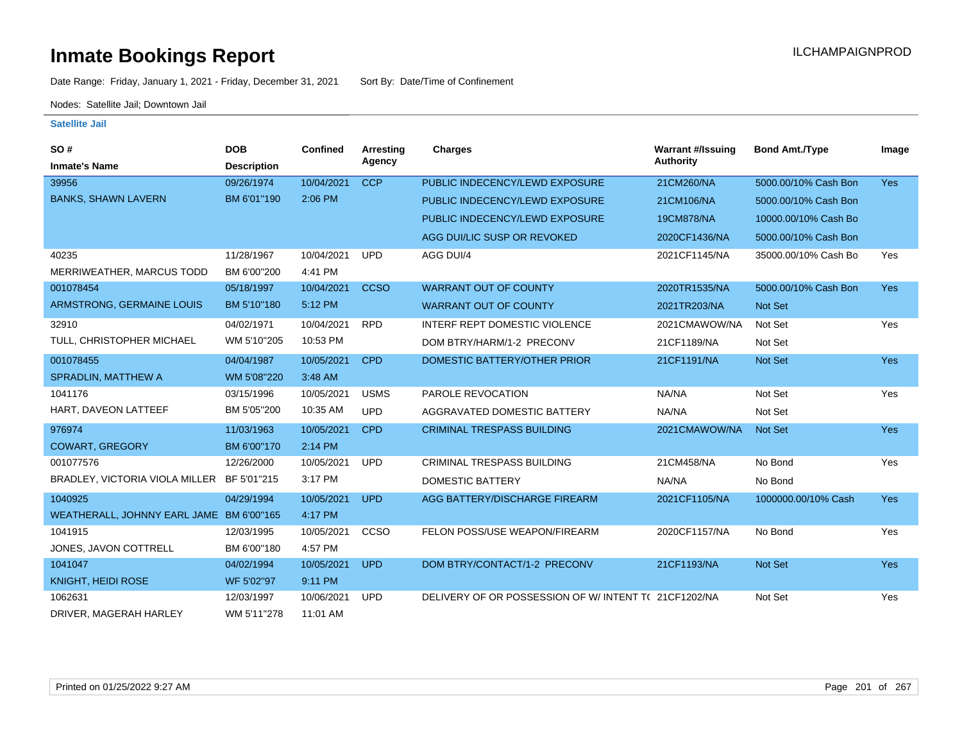Date Range: Friday, January 1, 2021 - Friday, December 31, 2021 Sort By: Date/Time of Confinement

Nodes: Satellite Jail; Downtown Jail

| <b>SO#</b>                                 | <b>DOB</b>         | <b>Confined</b> | Arresting   | <b>Charges</b>                                      | <b>Warrant #/Issuing</b> | <b>Bond Amt./Type</b> | Image      |
|--------------------------------------------|--------------------|-----------------|-------------|-----------------------------------------------------|--------------------------|-----------------------|------------|
| <b>Inmate's Name</b>                       | <b>Description</b> |                 | Agency      |                                                     | <b>Authority</b>         |                       |            |
| 39956                                      | 09/26/1974         | 10/04/2021      | <b>CCP</b>  | PUBLIC INDECENCY/LEWD EXPOSURE                      | 21CM260/NA               | 5000.00/10% Cash Bon  | Yes        |
| <b>BANKS, SHAWN LAVERN</b>                 | BM 6'01"190        | 2:06 PM         |             | PUBLIC INDECENCY/LEWD EXPOSURE                      | 21CM106/NA               | 5000.00/10% Cash Bon  |            |
|                                            |                    |                 |             | PUBLIC INDECENCY/LEWD EXPOSURE                      | 19CM878/NA               | 10000.00/10% Cash Bo  |            |
|                                            |                    |                 |             | AGG DUI/LIC SUSP OR REVOKED                         | 2020CF1436/NA            | 5000.00/10% Cash Bon  |            |
| 40235                                      | 11/28/1967         | 10/04/2021      | <b>UPD</b>  | AGG DUI/4                                           | 2021CF1145/NA            | 35000.00/10% Cash Bo  | Yes        |
| MERRIWEATHER, MARCUS TODD                  | BM 6'00"200        | 4:41 PM         |             |                                                     |                          |                       |            |
| 001078454                                  | 05/18/1997         | 10/04/2021      | <b>CCSO</b> | <b>WARRANT OUT OF COUNTY</b>                        | 2020TR1535/NA            | 5000.00/10% Cash Bon  | <b>Yes</b> |
| ARMSTRONG, GERMAINE LOUIS                  | BM 5'10"180        | 5:12 PM         |             | <b>WARRANT OUT OF COUNTY</b>                        | 2021TR203/NA             | Not Set               |            |
| 32910                                      | 04/02/1971         | 10/04/2021      | <b>RPD</b>  | <b>INTERF REPT DOMESTIC VIOLENCE</b>                | 2021CMAWOW/NA            | Not Set               | Yes        |
| TULL, CHRISTOPHER MICHAEL                  | WM 5'10"205        | 10:53 PM        |             | DOM BTRY/HARM/1-2 PRECONV                           | 21CF1189/NA              | Not Set               |            |
| 001078455                                  | 04/04/1987         | 10/05/2021      | <b>CPD</b>  | DOMESTIC BATTERY/OTHER PRIOR                        | 21CF1191/NA              | Not Set               | <b>Yes</b> |
| <b>SPRADLIN, MATTHEW A</b>                 | WM 5'08"220        | 3:48 AM         |             |                                                     |                          |                       |            |
| 1041176                                    | 03/15/1996         | 10/05/2021      | <b>USMS</b> | PAROLE REVOCATION                                   | NA/NA                    | Not Set               | Yes        |
| HART, DAVEON LATTEEF                       | BM 5'05"200        | 10:35 AM        | <b>UPD</b>  | AGGRAVATED DOMESTIC BATTERY                         | NA/NA                    | Not Set               |            |
| 976974                                     | 11/03/1963         | 10/05/2021      | <b>CPD</b>  | <b>CRIMINAL TRESPASS BUILDING</b>                   | 2021CMAWOW/NA            | <b>Not Set</b>        | Yes        |
| <b>COWART, GREGORY</b>                     | BM 6'00"170        | 2:14 PM         |             |                                                     |                          |                       |            |
| 001077576                                  | 12/26/2000         | 10/05/2021      | <b>UPD</b>  | <b>CRIMINAL TRESPASS BUILDING</b>                   | 21CM458/NA               | No Bond               | Yes        |
| BRADLEY, VICTORIA VIOLA MILLER BF 5'01"215 |                    | 3:17 PM         |             | <b>DOMESTIC BATTERY</b>                             | NA/NA                    | No Bond               |            |
| 1040925                                    | 04/29/1994         | 10/05/2021      | <b>UPD</b>  | AGG BATTERY/DISCHARGE FIREARM                       | 2021CF1105/NA            | 1000000.00/10% Cash   | <b>Yes</b> |
| WEATHERALL, JOHNNY EARL JAME BM 6'00"165   |                    | 4:17 PM         |             |                                                     |                          |                       |            |
| 1041915                                    | 12/03/1995         | 10/05/2021      | CCSO        | FELON POSS/USE WEAPON/FIREARM                       | 2020CF1157/NA            | No Bond               | Yes        |
| JONES, JAVON COTTRELL                      | BM 6'00"180        | 4:57 PM         |             |                                                     |                          |                       |            |
| 1041047                                    | 04/02/1994         | 10/05/2021      | <b>UPD</b>  | DOM BTRY/CONTACT/1-2 PRECONV                        | 21CF1193/NA              | Not Set               | <b>Yes</b> |
| KNIGHT, HEIDI ROSE                         | WF 5'02"97         | 9:11 PM         |             |                                                     |                          |                       |            |
| 1062631                                    | 12/03/1997         | 10/06/2021      | <b>UPD</b>  | DELIVERY OF OR POSSESSION OF W/INTENT T(21CF1202/NA |                          | Not Set               | Yes        |
| DRIVER, MAGERAH HARLEY                     | WM 5'11"278        | 11:01 AM        |             |                                                     |                          |                       |            |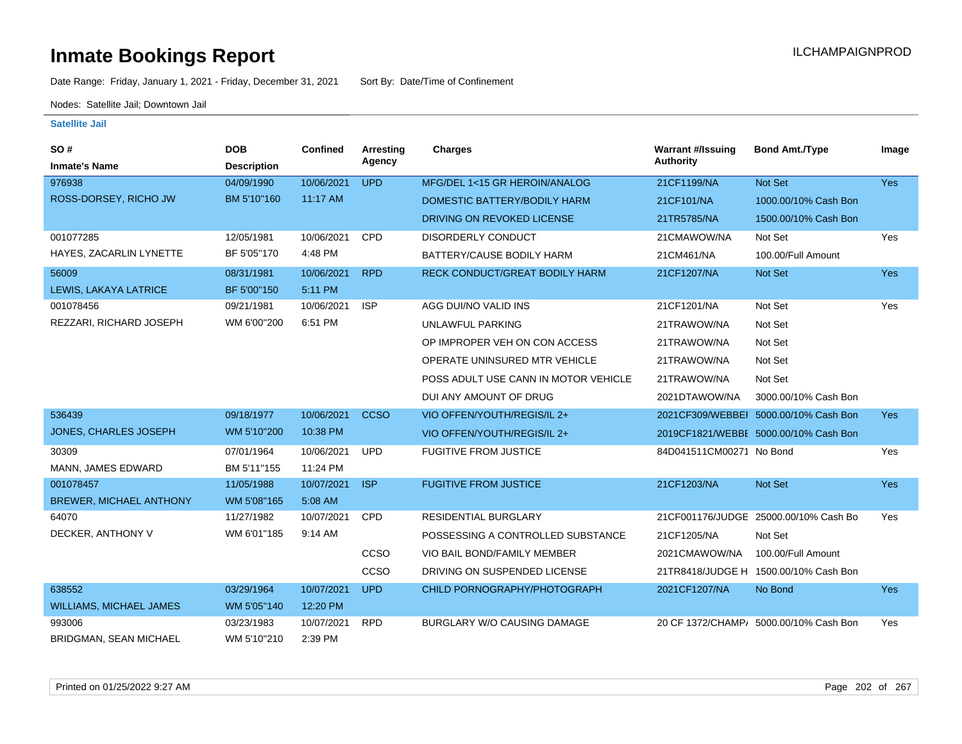Date Range: Friday, January 1, 2021 - Friday, December 31, 2021 Sort By: Date/Time of Confinement

Nodes: Satellite Jail; Downtown Jail

| <b>SO#</b>                     | <b>DOB</b>         | Confined   | Arresting   | <b>Charges</b>                        | <b>Warrant #/Issuing</b> | <b>Bond Amt./Type</b>                  | Image      |
|--------------------------------|--------------------|------------|-------------|---------------------------------------|--------------------------|----------------------------------------|------------|
| <b>Inmate's Name</b>           | <b>Description</b> |            | Agency      |                                       | <b>Authority</b>         |                                        |            |
| 976938                         | 04/09/1990         | 10/06/2021 | <b>UPD</b>  | MFG/DEL 1<15 GR HEROIN/ANALOG         | 21CF1199/NA              | Not Set                                | <b>Yes</b> |
| ROSS-DORSEY, RICHO JW          | BM 5'10"160        | 11:17 AM   |             | DOMESTIC BATTERY/BODILY HARM          | 21CF101/NA               | 1000.00/10% Cash Bon                   |            |
|                                |                    |            |             | DRIVING ON REVOKED LICENSE            | 21TR5785/NA              | 1500.00/10% Cash Bon                   |            |
| 001077285                      | 12/05/1981         | 10/06/2021 | <b>CPD</b>  | <b>DISORDERLY CONDUCT</b>             | 21CMAWOW/NA              | Not Set                                | Yes        |
| HAYES, ZACARLIN LYNETTE        | BF 5'05"170        | 4:48 PM    |             | BATTERY/CAUSE BODILY HARM             | 21CM461/NA               | 100.00/Full Amount                     |            |
| 56009                          | 08/31/1981         | 10/06/2021 | <b>RPD</b>  | <b>RECK CONDUCT/GREAT BODILY HARM</b> | 21CF1207/NA              | Not Set                                | Yes        |
| LEWIS, LAKAYA LATRICE          | BF 5'00"150        | 5:11 PM    |             |                                       |                          |                                        |            |
| 001078456                      | 09/21/1981         | 10/06/2021 | <b>ISP</b>  | AGG DUI/NO VALID INS                  | 21CF1201/NA              | Not Set                                | Yes        |
| REZZARI, RICHARD JOSEPH        | WM 6'00"200        | 6:51 PM    |             | <b>UNLAWFUL PARKING</b>               | 21TRAWOW/NA              | Not Set                                |            |
|                                |                    |            |             | OP IMPROPER VEH ON CON ACCESS         | 21TRAWOW/NA              | Not Set                                |            |
|                                |                    |            |             | OPERATE UNINSURED MTR VEHICLE         | 21TRAWOW/NA              | Not Set                                |            |
|                                |                    |            |             | POSS ADULT USE CANN IN MOTOR VEHICLE  | 21TRAWOW/NA              | Not Set                                |            |
|                                |                    |            |             | DUI ANY AMOUNT OF DRUG                | 2021DTAWOW/NA            | 3000.00/10% Cash Bon                   |            |
| 536439                         | 09/18/1977         | 10/06/2021 | <b>CCSO</b> | VIO OFFEN/YOUTH/REGIS/IL 2+           |                          | 2021CF309/WEBBEI 5000.00/10% Cash Bon  | Yes        |
| <b>JONES, CHARLES JOSEPH</b>   | WM 5'10"200        | 10:38 PM   |             | VIO OFFEN/YOUTH/REGIS/IL 2+           |                          | 2019CF1821/WEBBE 5000.00/10% Cash Bon  |            |
| 30309                          | 07/01/1964         | 10/06/2021 | <b>UPD</b>  | <b>FUGITIVE FROM JUSTICE</b>          | 84D041511CM00271 No Bond |                                        | Yes        |
| MANN, JAMES EDWARD             | BM 5'11"155        | 11:24 PM   |             |                                       |                          |                                        |            |
| 001078457                      | 11/05/1988         | 10/07/2021 | <b>ISP</b>  | <b>FUGITIVE FROM JUSTICE</b>          | 21CF1203/NA              | Not Set                                | Yes        |
| <b>BREWER, MICHAEL ANTHONY</b> | WM 5'08"165        | 5:08 AM    |             |                                       |                          |                                        |            |
| 64070                          | 11/27/1982         | 10/07/2021 | CPD         | <b>RESIDENTIAL BURGLARY</b>           |                          | 21CF001176/JUDGE 25000.00/10% Cash Bo  | Yes        |
| DECKER, ANTHONY V              | WM 6'01"185        | 9:14 AM    |             | POSSESSING A CONTROLLED SUBSTANCE     | 21CF1205/NA              | Not Set                                |            |
|                                |                    |            | ccso        | VIO BAIL BOND/FAMILY MEMBER           | 2021CMAWOW/NA            | 100.00/Full Amount                     |            |
|                                |                    |            | CCSO        | DRIVING ON SUSPENDED LICENSE          |                          | 21TR8418/JUDGE H 1500.00/10% Cash Bon  |            |
| 638552                         | 03/29/1964         | 10/07/2021 | <b>UPD</b>  | CHILD PORNOGRAPHY/PHOTOGRAPH          | 2021CF1207/NA            | No Bond                                | <b>Yes</b> |
| <b>WILLIAMS, MICHAEL JAMES</b> | WM 5'05"140        | 12:20 PM   |             |                                       |                          |                                        |            |
| 993006                         | 03/23/1983         | 10/07/2021 | <b>RPD</b>  | BURGLARY W/O CAUSING DAMAGE           |                          | 20 CF 1372/CHAMP/ 5000.00/10% Cash Bon | Yes        |
| <b>BRIDGMAN, SEAN MICHAEL</b>  | WM 5'10"210        | 2:39 PM    |             |                                       |                          |                                        |            |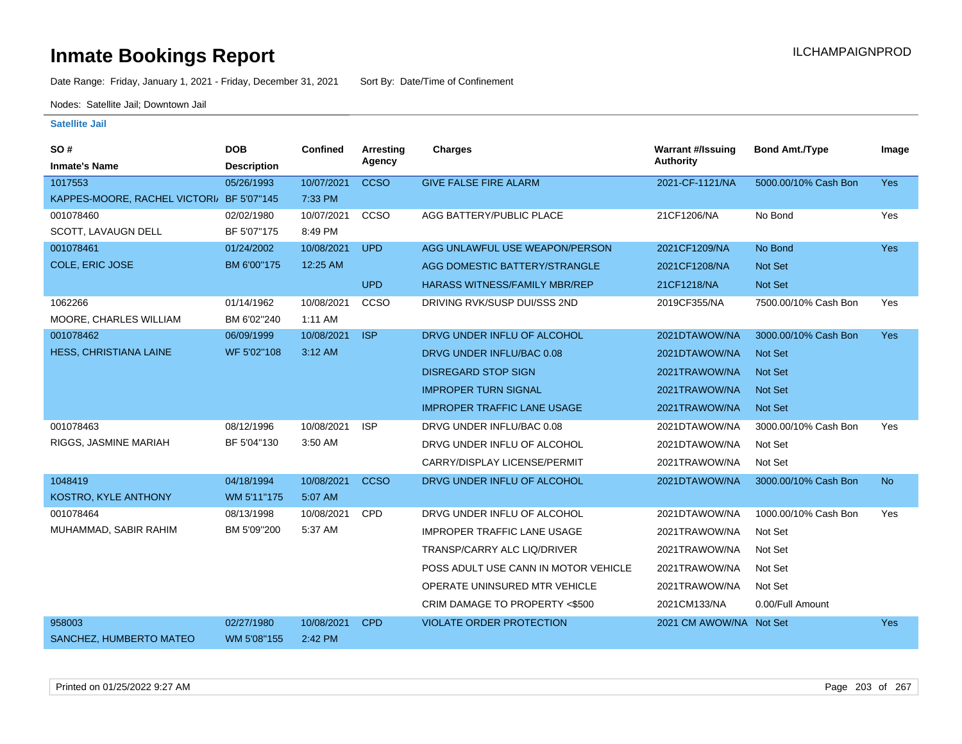Date Range: Friday, January 1, 2021 - Friday, December 31, 2021 Sort By: Date/Time of Confinement

Nodes: Satellite Jail; Downtown Jail

| SO#<br><b>Inmate's Name</b>               | <b>DOB</b><br><b>Description</b> | <b>Confined</b> | Arresting<br>Agency | <b>Charges</b>                       | <b>Warrant #/Issuing</b><br><b>Authority</b> | <b>Bond Amt./Type</b> | Image      |
|-------------------------------------------|----------------------------------|-----------------|---------------------|--------------------------------------|----------------------------------------------|-----------------------|------------|
| 1017553                                   | 05/26/1993                       | 10/07/2021      | <b>CCSO</b>         | <b>GIVE FALSE FIRE ALARM</b>         | 2021-CF-1121/NA                              | 5000.00/10% Cash Bon  | Yes        |
| KAPPES-MOORE, RACHEL VICTORI/ BF 5'07"145 |                                  | 7:33 PM         |                     |                                      |                                              |                       |            |
| 001078460                                 | 02/02/1980                       | 10/07/2021      | CCSO                | AGG BATTERY/PUBLIC PLACE             | 21CF1206/NA                                  | No Bond               | Yes        |
| SCOTT, LAVAUGN DELL                       | BF 5'07"175                      | 8:49 PM         |                     |                                      |                                              |                       |            |
| 001078461                                 | 01/24/2002                       | 10/08/2021      | <b>UPD</b>          | AGG UNLAWFUL USE WEAPON/PERSON       | 2021CF1209/NA                                | No Bond               | <b>Yes</b> |
| COLE, ERIC JOSE                           | BM 6'00"175                      | 12:25 AM        |                     | AGG DOMESTIC BATTERY/STRANGLE        | 2021CF1208/NA                                | Not Set               |            |
|                                           |                                  |                 | <b>UPD</b>          | <b>HARASS WITNESS/FAMILY MBR/REP</b> | 21CF1218/NA                                  | Not Set               |            |
| 1062266                                   | 01/14/1962                       | 10/08/2021      | CCSO                | DRIVING RVK/SUSP DUI/SSS 2ND         | 2019CF355/NA                                 | 7500.00/10% Cash Bon  | Yes        |
| MOORE, CHARLES WILLIAM                    | BM 6'02"240                      | 1:11 AM         |                     |                                      |                                              |                       |            |
| 001078462                                 | 06/09/1999                       | 10/08/2021      | <b>ISP</b>          | DRVG UNDER INFLU OF ALCOHOL          | 2021DTAWOW/NA                                | 3000.00/10% Cash Bon  | Yes        |
| HESS, CHRISTIANA LAINE                    | WF 5'02"108                      | 3:12 AM         |                     | DRVG UNDER INFLU/BAC 0.08            | 2021DTAWOW/NA                                | <b>Not Set</b>        |            |
|                                           |                                  |                 |                     | <b>DISREGARD STOP SIGN</b>           | 2021TRAWOW/NA                                | <b>Not Set</b>        |            |
|                                           |                                  |                 |                     | <b>IMPROPER TURN SIGNAL</b>          | 2021TRAWOW/NA                                | <b>Not Set</b>        |            |
|                                           |                                  |                 |                     | <b>IMPROPER TRAFFIC LANE USAGE</b>   | 2021TRAWOW/NA                                | <b>Not Set</b>        |            |
| 001078463                                 | 08/12/1996                       | 10/08/2021      | <b>ISP</b>          | DRVG UNDER INFLU/BAC 0.08            | 2021DTAWOW/NA                                | 3000.00/10% Cash Bon  | Yes        |
| RIGGS, JASMINE MARIAH                     | BF 5'04"130                      | 3:50 AM         |                     | DRVG UNDER INFLU OF ALCOHOL          | 2021DTAWOW/NA                                | Not Set               |            |
|                                           |                                  |                 |                     | CARRY/DISPLAY LICENSE/PERMIT         | 2021TRAWOW/NA                                | Not Set               |            |
| 1048419                                   | 04/18/1994                       | 10/08/2021      | <b>CCSO</b>         | DRVG UNDER INFLU OF ALCOHOL          | 2021DTAWOW/NA                                | 3000.00/10% Cash Bon  | <b>No</b>  |
| KOSTRO, KYLE ANTHONY                      | WM 5'11"175                      | 5:07 AM         |                     |                                      |                                              |                       |            |
| 001078464                                 | 08/13/1998                       | 10/08/2021      | CPD                 | DRVG UNDER INFLU OF ALCOHOL          | 2021DTAWOW/NA                                | 1000.00/10% Cash Bon  | Yes        |
| MUHAMMAD, SABIR RAHIM                     | BM 5'09"200                      | 5:37 AM         |                     | <b>IMPROPER TRAFFIC LANE USAGE</b>   | 2021TRAWOW/NA                                | Not Set               |            |
|                                           |                                  |                 |                     | TRANSP/CARRY ALC LIQ/DRIVER          | 2021TRAWOW/NA                                | Not Set               |            |
|                                           |                                  |                 |                     | POSS ADULT USE CANN IN MOTOR VEHICLE | 2021TRAWOW/NA                                | Not Set               |            |
|                                           |                                  |                 |                     | OPERATE UNINSURED MTR VEHICLE        | 2021TRAWOW/NA                                | Not Set               |            |
|                                           |                                  |                 |                     | CRIM DAMAGE TO PROPERTY <\$500       | 2021CM133/NA                                 | 0.00/Full Amount      |            |
| 958003                                    | 02/27/1980                       | 10/08/2021      | <b>CPD</b>          | <b>VIOLATE ORDER PROTECTION</b>      | 2021 CM AWOW/NA Not Set                      |                       | <b>Yes</b> |
| SANCHEZ, HUMBERTO MATEO                   | WM 5'08"155                      | 2:42 PM         |                     |                                      |                                              |                       |            |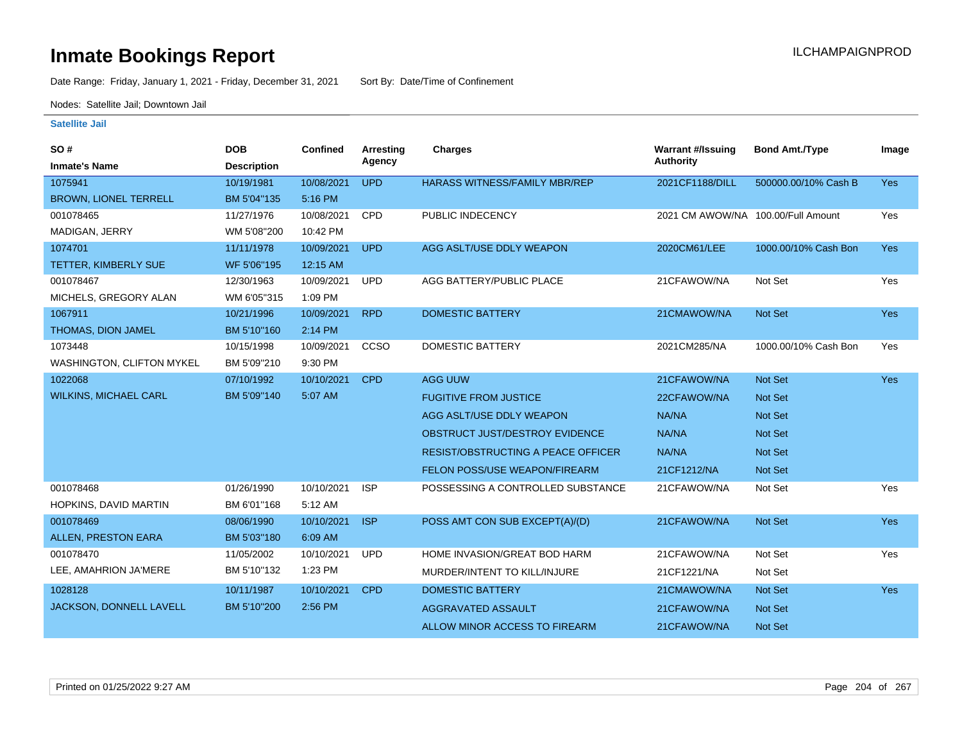Date Range: Friday, January 1, 2021 - Friday, December 31, 2021 Sort By: Date/Time of Confinement

Nodes: Satellite Jail; Downtown Jail

| SO#                          | <b>DOB</b>         | <b>Confined</b> | <b>Arresting</b> | Charges                                   | <b>Warrant #/Issuing</b>           | <b>Bond Amt./Type</b> | Image      |
|------------------------------|--------------------|-----------------|------------------|-------------------------------------------|------------------------------------|-----------------------|------------|
| <b>Inmate's Name</b>         | <b>Description</b> |                 | Agency           |                                           | <b>Authority</b>                   |                       |            |
| 1075941                      | 10/19/1981         | 10/08/2021      | <b>UPD</b>       | <b>HARASS WITNESS/FAMILY MBR/REP</b>      | 2021CF1188/DILL                    | 500000.00/10% Cash B  | <b>Yes</b> |
| <b>BROWN, LIONEL TERRELL</b> | BM 5'04"135        | 5:16 PM         |                  |                                           |                                    |                       |            |
| 001078465                    | 11/27/1976         | 10/08/2021      | <b>CPD</b>       | PUBLIC INDECENCY                          | 2021 CM AWOW/NA 100.00/Full Amount |                       | Yes        |
| MADIGAN, JERRY               | WM 5'08"200        | 10:42 PM        |                  |                                           |                                    |                       |            |
| 1074701                      | 11/11/1978         | 10/09/2021      | <b>UPD</b>       | AGG ASLT/USE DDLY WEAPON                  | 2020CM61/LEE                       | 1000.00/10% Cash Bon  | <b>Yes</b> |
| TETTER, KIMBERLY SUE         | WF 5'06"195        | 12:15 AM        |                  |                                           |                                    |                       |            |
| 001078467                    | 12/30/1963         | 10/09/2021      | <b>UPD</b>       | AGG BATTERY/PUBLIC PLACE                  | 21CFAWOW/NA                        | Not Set               | Yes        |
| MICHELS, GREGORY ALAN        | WM 6'05"315        | 1:09 PM         |                  |                                           |                                    |                       |            |
| 1067911                      | 10/21/1996         | 10/09/2021      | <b>RPD</b>       | <b>DOMESTIC BATTERY</b>                   | 21CMAWOW/NA                        | Not Set               | Yes        |
| THOMAS, DION JAMEL           | BM 5'10"160        | 2:14 PM         |                  |                                           |                                    |                       |            |
| 1073448                      | 10/15/1998         | 10/09/2021      | CCSO             | <b>DOMESTIC BATTERY</b>                   | 2021CM285/NA                       | 1000.00/10% Cash Bon  | Yes        |
| WASHINGTON, CLIFTON MYKEL    | BM 5'09"210        | 9:30 PM         |                  |                                           |                                    |                       |            |
| 1022068                      | 07/10/1992         | 10/10/2021      | <b>CPD</b>       | AGG UUW                                   | 21CFAWOW/NA                        | Not Set               | Yes        |
| <b>WILKINS, MICHAEL CARL</b> | BM 5'09"140        | 5:07 AM         |                  | <b>FUGITIVE FROM JUSTICE</b>              | 22CFAWOW/NA                        | Not Set               |            |
|                              |                    |                 |                  | AGG ASLT/USE DDLY WEAPON                  | NA/NA                              | Not Set               |            |
|                              |                    |                 |                  | OBSTRUCT JUST/DESTROY EVIDENCE            | NA/NA                              | Not Set               |            |
|                              |                    |                 |                  | <b>RESIST/OBSTRUCTING A PEACE OFFICER</b> | NA/NA                              | Not Set               |            |
|                              |                    |                 |                  | FELON POSS/USE WEAPON/FIREARM             | 21CF1212/NA                        | <b>Not Set</b>        |            |
| 001078468                    | 01/26/1990         | 10/10/2021      | <b>ISP</b>       | POSSESSING A CONTROLLED SUBSTANCE         | 21CFAWOW/NA                        | Not Set               | Yes        |
| HOPKINS, DAVID MARTIN        | BM 6'01"168        | 5:12 AM         |                  |                                           |                                    |                       |            |
| 001078469                    | 08/06/1990         | 10/10/2021      | <b>ISP</b>       | POSS AMT CON SUB EXCEPT(A)/(D)            | 21CFAWOW/NA                        | <b>Not Set</b>        | Yes        |
| ALLEN, PRESTON EARA          | BM 5'03"180        | 6:09 AM         |                  |                                           |                                    |                       |            |
| 001078470                    | 11/05/2002         | 10/10/2021      | <b>UPD</b>       | HOME INVASION/GREAT BOD HARM              | 21CFAWOW/NA                        | Not Set               | Yes        |
| LEE, AMAHRION JA'MERE        | BM 5'10"132        | 1:23 PM         |                  | MURDER/INTENT TO KILL/INJURE              | 21CF1221/NA                        | Not Set               |            |
| 1028128                      | 10/11/1987         | 10/10/2021      | <b>CPD</b>       | <b>DOMESTIC BATTERY</b>                   | 21CMAWOW/NA                        | Not Set               | Yes        |
| JACKSON, DONNELL LAVELL      | BM 5'10"200        | 2:56 PM         |                  | <b>AGGRAVATED ASSAULT</b>                 | 21CFAWOW/NA                        | <b>Not Set</b>        |            |
|                              |                    |                 |                  | ALLOW MINOR ACCESS TO FIREARM             | 21CFAWOW/NA                        | Not Set               |            |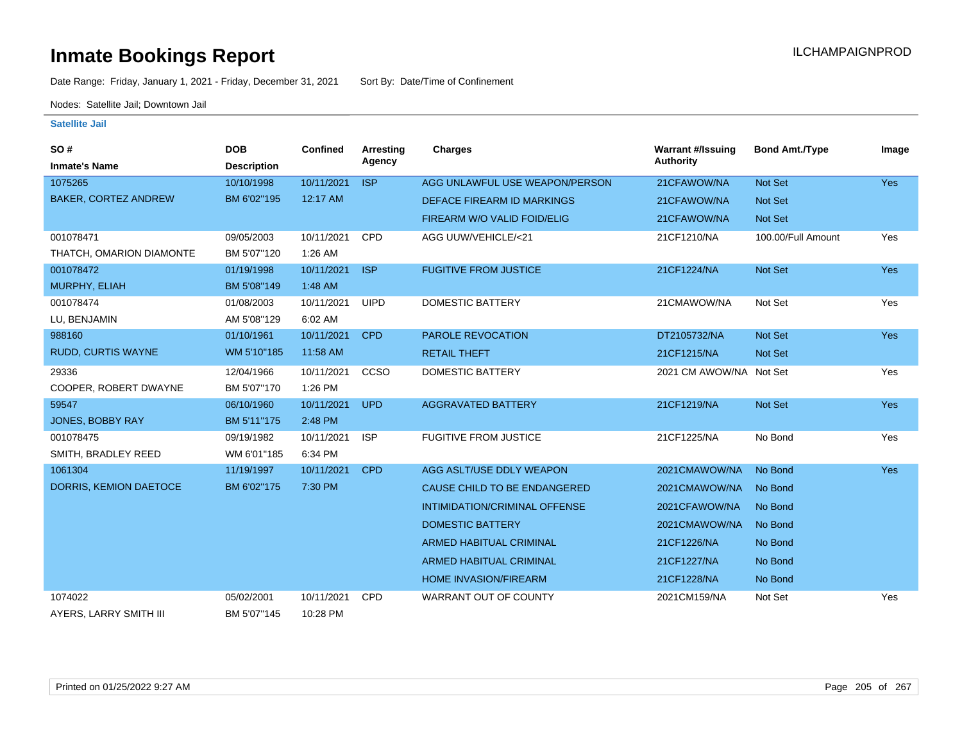Date Range: Friday, January 1, 2021 - Friday, December 31, 2021 Sort By: Date/Time of Confinement

Nodes: Satellite Jail; Downtown Jail

| SO#                         | <b>DOB</b>         | Confined   | Arresting   | Charges                        | <b>Warrant #/Issuing</b> | <b>Bond Amt./Type</b> | Image      |
|-----------------------------|--------------------|------------|-------------|--------------------------------|--------------------------|-----------------------|------------|
| <b>Inmate's Name</b>        | <b>Description</b> |            | Agency      |                                | <b>Authority</b>         |                       |            |
| 1075265                     | 10/10/1998         | 10/11/2021 | <b>ISP</b>  | AGG UNLAWFUL USE WEAPON/PERSON | 21CFAWOW/NA              | Not Set               | <b>Yes</b> |
| <b>BAKER, CORTEZ ANDREW</b> | BM 6'02"195        | 12:17 AM   |             | DEFACE FIREARM ID MARKINGS     | 21CFAWOW/NA              | <b>Not Set</b>        |            |
|                             |                    |            |             | FIREARM W/O VALID FOID/ELIG    | 21CFAWOW/NA              | Not Set               |            |
| 001078471                   | 09/05/2003         | 10/11/2021 | <b>CPD</b>  | AGG UUW/VEHICLE/<21            | 21CF1210/NA              | 100.00/Full Amount    | Yes        |
| THATCH, OMARION DIAMONTE    | BM 5'07"120        | 1:26 AM    |             |                                |                          |                       |            |
| 001078472                   | 01/19/1998         | 10/11/2021 | <b>ISP</b>  | <b>FUGITIVE FROM JUSTICE</b>   | 21CF1224/NA              | Not Set               | <b>Yes</b> |
| MURPHY, ELIAH               | BM 5'08"149        | 1:48 AM    |             |                                |                          |                       |            |
| 001078474                   | 01/08/2003         | 10/11/2021 | <b>UIPD</b> | <b>DOMESTIC BATTERY</b>        | 21CMAWOW/NA              | Not Set               | Yes        |
| LU, BENJAMIN                | AM 5'08"129        | 6:02 AM    |             |                                |                          |                       |            |
| 988160                      | 01/10/1961         | 10/11/2021 | <b>CPD</b>  | PAROLE REVOCATION              | DT2105732/NA             | Not Set               | <b>Yes</b> |
| <b>RUDD, CURTIS WAYNE</b>   | WM 5'10"185        | 11:58 AM   |             | <b>RETAIL THEFT</b>            | 21CF1215/NA              | Not Set               |            |
| 29336                       | 12/04/1966         | 10/11/2021 | CCSO        | <b>DOMESTIC BATTERY</b>        | 2021 CM AWOW/NA Not Set  |                       | Yes        |
| COOPER, ROBERT DWAYNE       | BM 5'07"170        | 1:26 PM    |             |                                |                          |                       |            |
| 59547                       | 06/10/1960         | 10/11/2021 | <b>UPD</b>  | <b>AGGRAVATED BATTERY</b>      | 21CF1219/NA              | Not Set               | <b>Yes</b> |
| JONES, BOBBY RAY            | BM 5'11"175        | 2:48 PM    |             |                                |                          |                       |            |
| 001078475                   | 09/19/1982         | 10/11/2021 | <b>ISP</b>  | <b>FUGITIVE FROM JUSTICE</b>   | 21CF1225/NA              | No Bond               | Yes        |
| SMITH, BRADLEY REED         | WM 6'01"185        | 6:34 PM    |             |                                |                          |                       |            |
| 1061304                     | 11/19/1997         | 10/11/2021 | <b>CPD</b>  | AGG ASLT/USE DDLY WEAPON       | 2021CMAWOW/NA            | No Bond               | Yes        |
| DORRIS, KEMION DAETOCE      | BM 6'02"175        | 7:30 PM    |             | CAUSE CHILD TO BE ENDANGERED   | 2021CMAWOW/NA            | No Bond               |            |
|                             |                    |            |             | INTIMIDATION/CRIMINAL OFFENSE  | 2021CFAWOW/NA            | No Bond               |            |
|                             |                    |            |             | <b>DOMESTIC BATTERY</b>        | 2021CMAWOW/NA            | No Bond               |            |
|                             |                    |            |             | <b>ARMED HABITUAL CRIMINAL</b> | 21CF1226/NA              | No Bond               |            |
|                             |                    |            |             | <b>ARMED HABITUAL CRIMINAL</b> | 21CF1227/NA              | No Bond               |            |
|                             |                    |            |             | <b>HOME INVASION/FIREARM</b>   | 21CF1228/NA              | No Bond               |            |
| 1074022                     | 05/02/2001         | 10/11/2021 | <b>CPD</b>  | <b>WARRANT OUT OF COUNTY</b>   | 2021CM159/NA             | Not Set               | Yes        |
| AYERS, LARRY SMITH III      | BM 5'07"145        | 10:28 PM   |             |                                |                          |                       |            |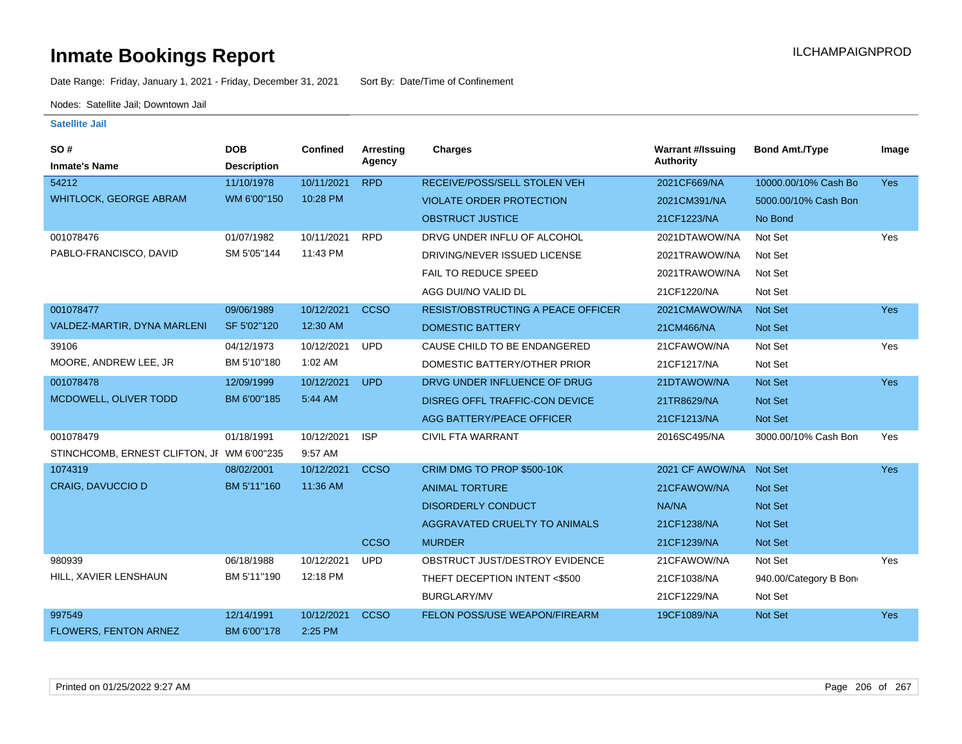Date Range: Friday, January 1, 2021 - Friday, December 31, 2021 Sort By: Date/Time of Confinement

Nodes: Satellite Jail; Downtown Jail

| SO#<br><b>Inmate's Name</b>                | <b>DOB</b><br><b>Description</b> | <b>Confined</b> | Arresting<br>Agency | <b>Charges</b>                            | <b>Warrant #/Issuing</b><br>Authority | <b>Bond Amt./Type</b> | Image      |
|--------------------------------------------|----------------------------------|-----------------|---------------------|-------------------------------------------|---------------------------------------|-----------------------|------------|
| 54212                                      | 11/10/1978                       | 10/11/2021      | <b>RPD</b>          | RECEIVE/POSS/SELL STOLEN VEH              | 2021CF669/NA                          | 10000.00/10% Cash Bo  | <b>Yes</b> |
| <b>WHITLOCK, GEORGE ABRAM</b>              | WM 6'00"150                      | 10:28 PM        |                     | <b>VIOLATE ORDER PROTECTION</b>           | 2021CM391/NA                          | 5000.00/10% Cash Bon  |            |
|                                            |                                  |                 |                     | <b>OBSTRUCT JUSTICE</b>                   | 21CF1223/NA                           | No Bond               |            |
| 001078476                                  | 01/07/1982                       | 10/11/2021      | <b>RPD</b>          | DRVG UNDER INFLU OF ALCOHOL               | 2021DTAWOW/NA                         | Not Set               | Yes        |
| PABLO-FRANCISCO, DAVID                     | SM 5'05"144                      | 11:43 PM        |                     | DRIVING/NEVER ISSUED LICENSE              | 2021TRAWOW/NA                         | Not Set               |            |
|                                            |                                  |                 |                     | <b>FAIL TO REDUCE SPEED</b>               | 2021TRAWOW/NA                         | Not Set               |            |
|                                            |                                  |                 |                     | AGG DUI/NO VALID DL                       | 21CF1220/NA                           | Not Set               |            |
| 001078477                                  | 09/06/1989                       | 10/12/2021      | <b>CCSO</b>         | <b>RESIST/OBSTRUCTING A PEACE OFFICER</b> | 2021CMAWOW/NA                         | Not Set               | <b>Yes</b> |
| VALDEZ-MARTIR, DYNA MARLENI                | SF 5'02"120                      | 12:30 AM        |                     | <b>DOMESTIC BATTERY</b>                   | 21CM466/NA                            | Not Set               |            |
| 39106                                      | 04/12/1973                       | 10/12/2021      | <b>UPD</b>          | CAUSE CHILD TO BE ENDANGERED              | 21CFAWOW/NA                           | Not Set               | Yes        |
| MOORE, ANDREW LEE, JR                      | BM 5'10"180                      | 1:02 AM         |                     | DOMESTIC BATTERY/OTHER PRIOR              | 21CF1217/NA                           | Not Set               |            |
| 001078478                                  | 12/09/1999                       | 10/12/2021      | <b>UPD</b>          | DRVG UNDER INFLUENCE OF DRUG              | 21DTAWOW/NA                           | Not Set               | <b>Yes</b> |
| MCDOWELL, OLIVER TODD                      | BM 6'00"185                      | 5:44 AM         |                     | DISREG OFFL TRAFFIC-CON DEVICE            | 21TR8629/NA                           | Not Set               |            |
|                                            |                                  |                 |                     | <b>AGG BATTERY/PEACE OFFICER</b>          | 21CF1213/NA                           | Not Set               |            |
| 001078479                                  | 01/18/1991                       | 10/12/2021      | <b>ISP</b>          | <b>CIVIL FTA WARRANT</b>                  | 2016SC495/NA                          | 3000.00/10% Cash Bon  | Yes        |
| STINCHCOMB, ERNEST CLIFTON, JF WM 6'00"235 |                                  | 9:57 AM         |                     |                                           |                                       |                       |            |
| 1074319                                    | 08/02/2001                       | 10/12/2021      | <b>CCSO</b>         | CRIM DMG TO PROP \$500-10K                | 2021 CF AWOW/NA                       | Not Set               | Yes        |
| <b>CRAIG, DAVUCCIO D</b>                   | BM 5'11"160                      | 11:36 AM        |                     | <b>ANIMAL TORTURE</b>                     | 21CFAWOW/NA                           | Not Set               |            |
|                                            |                                  |                 |                     | <b>DISORDERLY CONDUCT</b>                 | NA/NA                                 | <b>Not Set</b>        |            |
|                                            |                                  |                 |                     | AGGRAVATED CRUELTY TO ANIMALS             | 21CF1238/NA                           | Not Set               |            |
|                                            |                                  |                 | <b>CCSO</b>         | <b>MURDER</b>                             | 21CF1239/NA                           | <b>Not Set</b>        |            |
| 980939                                     | 06/18/1988                       | 10/12/2021      | <b>UPD</b>          | OBSTRUCT JUST/DESTROY EVIDENCE            | 21CFAWOW/NA                           | Not Set               | Yes        |
| HILL, XAVIER LENSHAUN                      | BM 5'11"190                      | 12:18 PM        |                     | THEFT DECEPTION INTENT <\$500             | 21CF1038/NA                           | 940.00/Category B Bon |            |
|                                            |                                  |                 |                     | <b>BURGLARY/MV</b>                        | 21CF1229/NA                           | Not Set               |            |
| 997549                                     | 12/14/1991                       | 10/12/2021      | <b>CCSO</b>         | FELON POSS/USE WEAPON/FIREARM             | 19CF1089/NA                           | Not Set               | Yes        |
| <b>FLOWERS, FENTON ARNEZ</b>               | BM 6'00"178                      | 2:25 PM         |                     |                                           |                                       |                       |            |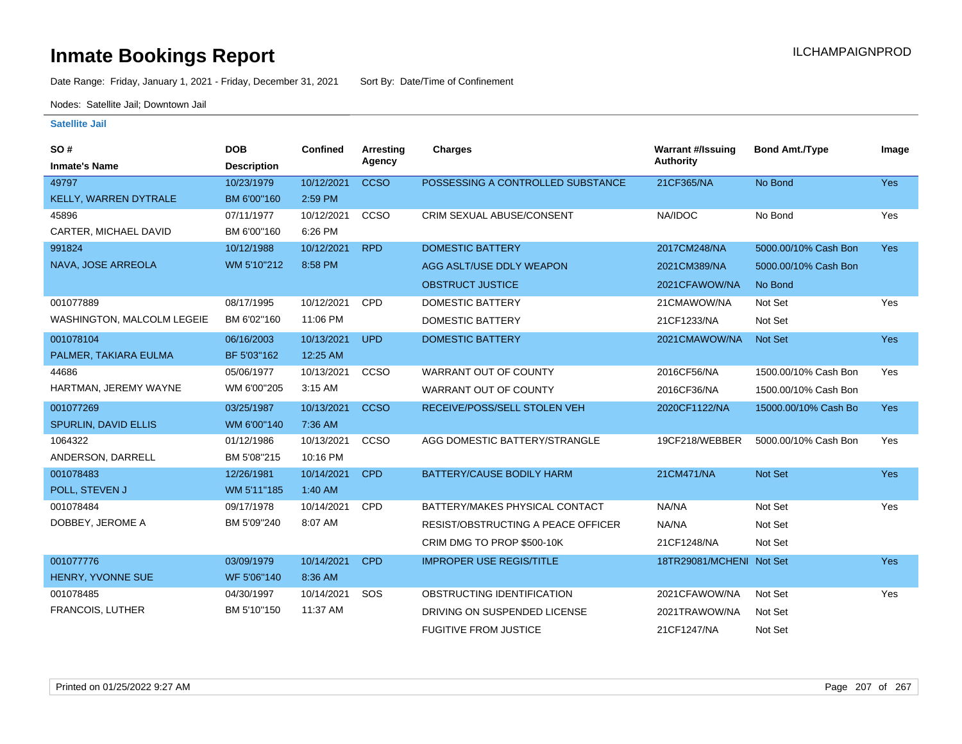Date Range: Friday, January 1, 2021 - Friday, December 31, 2021 Sort By: Date/Time of Confinement

Nodes: Satellite Jail; Downtown Jail

| SO#                        | <b>DOB</b>         | <b>Confined</b> | Arresting   | <b>Charges</b>                     | <b>Warrant #/Issuing</b> | <b>Bond Amt./Type</b> | Image      |
|----------------------------|--------------------|-----------------|-------------|------------------------------------|--------------------------|-----------------------|------------|
| <b>Inmate's Name</b>       | <b>Description</b> |                 | Agency      |                                    | <b>Authority</b>         |                       |            |
| 49797                      | 10/23/1979         | 10/12/2021      | <b>CCSO</b> | POSSESSING A CONTROLLED SUBSTANCE  | 21CF365/NA               | No Bond               | <b>Yes</b> |
| KELLY, WARREN DYTRALE      | BM 6'00"160        | 2:59 PM         |             |                                    |                          |                       |            |
| 45896                      | 07/11/1977         | 10/12/2021      | CCSO        | CRIM SEXUAL ABUSE/CONSENT          | NA/IDOC                  | No Bond               | Yes        |
| CARTER, MICHAEL DAVID      | BM 6'00"160        | 6:26 PM         |             |                                    |                          |                       |            |
| 991824                     | 10/12/1988         | 10/12/2021      | <b>RPD</b>  | <b>DOMESTIC BATTERY</b>            | 2017CM248/NA             | 5000.00/10% Cash Bon  | <b>Yes</b> |
| NAVA, JOSE ARREOLA         | WM 5'10"212        | 8:58 PM         |             | AGG ASLT/USE DDLY WEAPON           | 2021CM389/NA             | 5000.00/10% Cash Bon  |            |
|                            |                    |                 |             | <b>OBSTRUCT JUSTICE</b>            | 2021CFAWOW/NA            | No Bond               |            |
| 001077889                  | 08/17/1995         | 10/12/2021      | <b>CPD</b>  | <b>DOMESTIC BATTERY</b>            | 21CMAWOW/NA              | Not Set               | Yes        |
| WASHINGTON, MALCOLM LEGEIE | BM 6'02"160        | 11:06 PM        |             | <b>DOMESTIC BATTERY</b>            | 21CF1233/NA              | Not Set               |            |
| 001078104                  | 06/16/2003         | 10/13/2021      | <b>UPD</b>  | <b>DOMESTIC BATTERY</b>            | 2021CMAWOW/NA            | Not Set               | <b>Yes</b> |
| PALMER, TAKIARA EULMA      | BF 5'03"162        | 12:25 AM        |             |                                    |                          |                       |            |
| 44686                      | 05/06/1977         | 10/13/2021      | CCSO        | WARRANT OUT OF COUNTY              | 2016CF56/NA              | 1500.00/10% Cash Bon  | Yes        |
| HARTMAN, JEREMY WAYNE      | WM 6'00"205        | 3:15 AM         |             | WARRANT OUT OF COUNTY              | 2016CF36/NA              | 1500.00/10% Cash Bon  |            |
| 001077269                  | 03/25/1987         | 10/13/2021      | <b>CCSO</b> | RECEIVE/POSS/SELL STOLEN VEH       | 2020CF1122/NA            | 15000.00/10% Cash Bo  | <b>Yes</b> |
| SPURLIN, DAVID ELLIS       | WM 6'00"140        | 7:36 AM         |             |                                    |                          |                       |            |
| 1064322                    | 01/12/1986         | 10/13/2021      | CCSO        | AGG DOMESTIC BATTERY/STRANGLE      | 19CF218/WEBBER           | 5000.00/10% Cash Bon  | Yes        |
| ANDERSON, DARRELL          | BM 5'08"215        | 10:16 PM        |             |                                    |                          |                       |            |
| 001078483                  | 12/26/1981         | 10/14/2021      | <b>CPD</b>  | BATTERY/CAUSE BODILY HARM          | 21CM471/NA               | Not Set               | <b>Yes</b> |
| POLL, STEVEN J             | WM 5'11"185        | 1:40 AM         |             |                                    |                          |                       |            |
| 001078484                  | 09/17/1978         | 10/14/2021      | CPD         | BATTERY/MAKES PHYSICAL CONTACT     | NA/NA                    | Not Set               | Yes        |
| DOBBEY, JEROME A           | BM 5'09"240        | 8:07 AM         |             | RESIST/OBSTRUCTING A PEACE OFFICER | NA/NA                    | Not Set               |            |
|                            |                    |                 |             | CRIM DMG TO PROP \$500-10K         | 21CF1248/NA              | Not Set               |            |
| 001077776                  | 03/09/1979         | 10/14/2021      | <b>CPD</b>  | <b>IMPROPER USE REGIS/TITLE</b>    | 18TR29081/MCHENI Not Set |                       | <b>Yes</b> |
| HENRY, YVONNE SUE          | WF 5'06"140        | 8:36 AM         |             |                                    |                          |                       |            |
| 001078485                  | 04/30/1997         | 10/14/2021      | SOS         | OBSTRUCTING IDENTIFICATION         | 2021CFAWOW/NA            | Not Set               | Yes        |
| <b>FRANCOIS, LUTHER</b>    | BM 5'10"150        | 11:37 AM        |             | DRIVING ON SUSPENDED LICENSE       | 2021TRAWOW/NA            | Not Set               |            |
|                            |                    |                 |             | <b>FUGITIVE FROM JUSTICE</b>       | 21CF1247/NA              | Not Set               |            |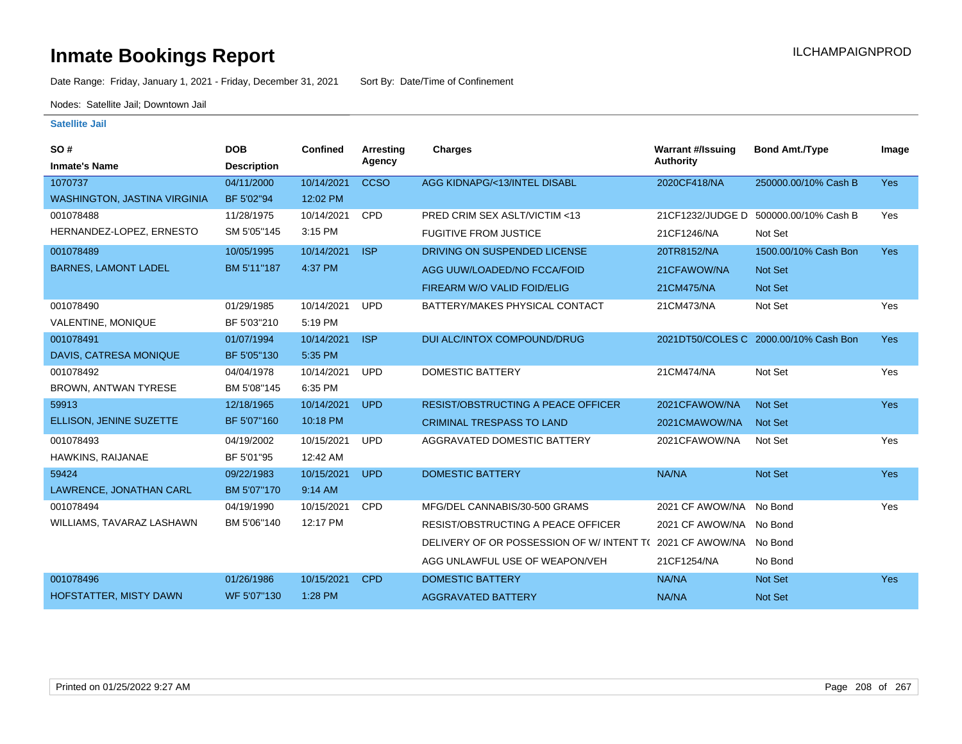Date Range: Friday, January 1, 2021 - Friday, December 31, 2021 Sort By: Date/Time of Confinement

Nodes: Satellite Jail; Downtown Jail

| SO#<br><b>Inmate's Name</b>         | <b>DOB</b><br><b>Description</b> | <b>Confined</b> | Arresting<br>Agency | <b>Charges</b>                            | <b>Warrant #/Issuing</b><br><b>Authority</b> | <b>Bond Amt./Type</b>                  | Image      |
|-------------------------------------|----------------------------------|-----------------|---------------------|-------------------------------------------|----------------------------------------------|----------------------------------------|------------|
| 1070737                             | 04/11/2000                       | 10/14/2021      | <b>CCSO</b>         | AGG KIDNAPG/<13/INTEL DISABL              | 2020CF418/NA                                 | 250000.00/10% Cash B                   | <b>Yes</b> |
| <b>WASHINGTON, JASTINA VIRGINIA</b> | BF 5'02"94                       | 12:02 PM        |                     |                                           |                                              |                                        |            |
| 001078488                           | 11/28/1975                       | 10/14/2021      | <b>CPD</b>          | <b>PRED CRIM SEX ASLT/VICTIM &lt;13</b>   |                                              | 21 CF1232/JUDGE D 500000.00/10% Cash B | Yes        |
| HERNANDEZ-LOPEZ, ERNESTO            | SM 5'05"145                      | 3:15 PM         |                     | <b>FUGITIVE FROM JUSTICE</b>              | 21CF1246/NA                                  | Not Set                                |            |
| 001078489                           | 10/05/1995                       | 10/14/2021      | <b>ISP</b>          | DRIVING ON SUSPENDED LICENSE              | 20TR8152/NA                                  | 1500.00/10% Cash Bon                   | <b>Yes</b> |
| <b>BARNES, LAMONT LADEL</b>         | BM 5'11"187                      | 4:37 PM         |                     | AGG UUW/LOADED/NO FCCA/FOID               | 21CFAWOW/NA                                  | Not Set                                |            |
|                                     |                                  |                 |                     | FIREARM W/O VALID FOID/ELIG               | 21CM475/NA                                   | Not Set                                |            |
| 001078490                           | 01/29/1985                       | 10/14/2021      | <b>UPD</b>          | BATTERY/MAKES PHYSICAL CONTACT            | 21CM473/NA                                   | Not Set                                | Yes        |
| VALENTINE, MONIQUE                  | BF 5'03"210                      | 5:19 PM         |                     |                                           |                                              |                                        |            |
| 001078491                           | 01/07/1994                       | 10/14/2021      | <b>ISP</b>          | <b>DUI ALC/INTOX COMPOUND/DRUG</b>        |                                              | 2021DT50/COLES C 2000.00/10% Cash Bon  | <b>Yes</b> |
| DAVIS, CATRESA MONIQUE              | BF 5'05"130                      | 5:35 PM         |                     |                                           |                                              |                                        |            |
| 001078492                           | 04/04/1978                       | 10/14/2021      | <b>UPD</b>          | <b>DOMESTIC BATTERY</b>                   | 21CM474/NA                                   | Not Set                                | Yes        |
| BROWN, ANTWAN TYRESE                | BM 5'08"145                      | 6:35 PM         |                     |                                           |                                              |                                        |            |
| 59913                               | 12/18/1965                       | 10/14/2021      | <b>UPD</b>          | <b>RESIST/OBSTRUCTING A PEACE OFFICER</b> | 2021CFAWOW/NA                                | <b>Not Set</b>                         | <b>Yes</b> |
| ELLISON, JENINE SUZETTE             | BF 5'07"160                      | 10:18 PM        |                     | <b>CRIMINAL TRESPASS TO LAND</b>          | 2021CMAWOW/NA                                | <b>Not Set</b>                         |            |
| 001078493                           | 04/19/2002                       | 10/15/2021      | <b>UPD</b>          | AGGRAVATED DOMESTIC BATTERY               | 2021CFAWOW/NA                                | Not Set                                | Yes        |
| HAWKINS, RAIJANAE                   | BF 5'01"95                       | 12:42 AM        |                     |                                           |                                              |                                        |            |
| 59424                               | 09/22/1983                       | 10/15/2021      | <b>UPD</b>          | <b>DOMESTIC BATTERY</b>                   | NA/NA                                        | Not Set                                | <b>Yes</b> |
| LAWRENCE, JONATHAN CARL             | BM 5'07"170                      | 9:14 AM         |                     |                                           |                                              |                                        |            |
| 001078494                           | 04/19/1990                       | 10/15/2021      | <b>CPD</b>          | MFG/DEL CANNABIS/30-500 GRAMS             | 2021 CF AWOW/NA                              | No Bond                                | Yes        |
| WILLIAMS, TAVARAZ LASHAWN           | BM 5'06"140                      | 12:17 PM        |                     | <b>RESIST/OBSTRUCTING A PEACE OFFICER</b> | 2021 CF AWOW/NA No Bond                      |                                        |            |
|                                     |                                  |                 |                     | DELIVERY OF OR POSSESSION OF W/INTENT TO  | 2021 CF AWOW/NA No Bond                      |                                        |            |
|                                     |                                  |                 |                     | AGG UNLAWFUL USE OF WEAPON/VEH            | 21CF1254/NA                                  | No Bond                                |            |
| 001078496                           | 01/26/1986                       | 10/15/2021      | <b>CPD</b>          | <b>DOMESTIC BATTERY</b>                   | NA/NA                                        | Not Set                                | Yes        |
| <b>HOFSTATTER, MISTY DAWN</b>       | WF 5'07"130                      | 1:28 PM         |                     | <b>AGGRAVATED BATTERY</b>                 | NA/NA                                        | <b>Not Set</b>                         |            |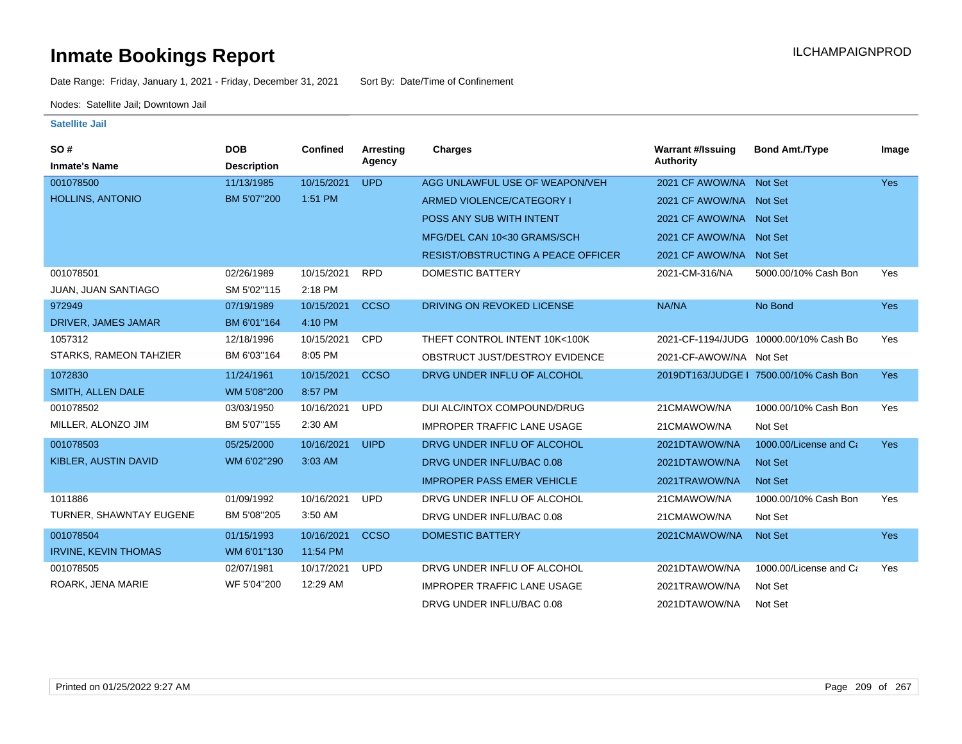Date Range: Friday, January 1, 2021 - Friday, December 31, 2021 Sort By: Date/Time of Confinement

Nodes: Satellite Jail; Downtown Jail

| SO#<br><b>Inmate's Name</b> | <b>DOB</b><br><b>Description</b> | Confined   | Arresting<br>Agency | Charges                                   | <b>Warrant #/Issuing</b><br><b>Authority</b> | <b>Bond Amt./Type</b>                  | Image      |
|-----------------------------|----------------------------------|------------|---------------------|-------------------------------------------|----------------------------------------------|----------------------------------------|------------|
| 001078500                   | 11/13/1985                       | 10/15/2021 | <b>UPD</b>          | AGG UNLAWFUL USE OF WEAPON/VEH            | 2021 CF AWOW/NA Not Set                      |                                        | <b>Yes</b> |
| <b>HOLLINS, ANTONIO</b>     | BM 5'07"200                      | 1:51 PM    |                     | ARMED VIOLENCE/CATEGORY I                 | 2021 CF AWOW/NA Not Set                      |                                        |            |
|                             |                                  |            |                     | POSS ANY SUB WITH INTENT                  | 2021 CF AWOW/NA Not Set                      |                                        |            |
|                             |                                  |            |                     | MFG/DEL CAN 10<30 GRAMS/SCH               | 2021 CF AWOW/NA Not Set                      |                                        |            |
|                             |                                  |            |                     | <b>RESIST/OBSTRUCTING A PEACE OFFICER</b> | 2021 CF AWOW/NA Not Set                      |                                        |            |
| 001078501                   | 02/26/1989                       | 10/15/2021 | <b>RPD</b>          | <b>DOMESTIC BATTERY</b>                   | 2021-CM-316/NA                               | 5000.00/10% Cash Bon                   | Yes        |
| <b>JUAN, JUAN SANTIAGO</b>  | SM 5'02"115                      | 2:18 PM    |                     |                                           |                                              |                                        |            |
| 972949                      | 07/19/1989                       | 10/15/2021 | <b>CCSO</b>         | DRIVING ON REVOKED LICENSE                | NA/NA                                        | No Bond                                | <b>Yes</b> |
| DRIVER, JAMES JAMAR         | BM 6'01"164                      | 4:10 PM    |                     |                                           |                                              |                                        |            |
| 1057312                     | 12/18/1996                       | 10/15/2021 | <b>CPD</b>          | THEFT CONTROL INTENT 10K<100K             |                                              | 2021-CF-1194/JUDG 10000.00/10% Cash Bo | Yes        |
| STARKS, RAMEON TAHZIER      | BM 6'03"164                      | 8:05 PM    |                     | OBSTRUCT JUST/DESTROY EVIDENCE            | 2021-CF-AWOW/NA Not Set                      |                                        |            |
| 1072830                     | 11/24/1961                       | 10/15/2021 | <b>CCSO</b>         | DRVG UNDER INFLU OF ALCOHOL               |                                              | 2019DT163/JUDGE   7500.00/10% Cash Bon | <b>Yes</b> |
| SMITH, ALLEN DALE           | WM 5'08"200                      | 8:57 PM    |                     |                                           |                                              |                                        |            |
| 001078502                   | 03/03/1950                       | 10/16/2021 | <b>UPD</b>          | DUI ALC/INTOX COMPOUND/DRUG               | 21CMAWOW/NA                                  | 1000.00/10% Cash Bon                   | Yes        |
| MILLER, ALONZO JIM          | BM 5'07"155                      | 2:30 AM    |                     | <b>IMPROPER TRAFFIC LANE USAGE</b>        | 21CMAWOW/NA                                  | Not Set                                |            |
| 001078503                   | 05/25/2000                       | 10/16/2021 | <b>UIPD</b>         | DRVG UNDER INFLU OF ALCOHOL               | 2021DTAWOW/NA                                | 1000.00/License and Ca                 | <b>Yes</b> |
| KIBLER, AUSTIN DAVID        | WM 6'02"290                      | 3:03 AM    |                     | DRVG UNDER INFLU/BAC 0.08                 | 2021DTAWOW/NA                                | <b>Not Set</b>                         |            |
|                             |                                  |            |                     | <b>IMPROPER PASS EMER VEHICLE</b>         | 2021TRAWOW/NA                                | Not Set                                |            |
| 1011886                     | 01/09/1992                       | 10/16/2021 | <b>UPD</b>          | DRVG UNDER INFLU OF ALCOHOL               | 21CMAWOW/NA                                  | 1000.00/10% Cash Bon                   | Yes        |
| TURNER, SHAWNTAY EUGENE     | BM 5'08"205                      | 3:50 AM    |                     | DRVG UNDER INFLU/BAC 0.08                 | 21CMAWOW/NA                                  | Not Set                                |            |
| 001078504                   | 01/15/1993                       | 10/16/2021 | <b>CCSO</b>         | <b>DOMESTIC BATTERY</b>                   | 2021CMAWOW/NA                                | <b>Not Set</b>                         | <b>Yes</b> |
| <b>IRVINE, KEVIN THOMAS</b> | WM 6'01"130                      | 11:54 PM   |                     |                                           |                                              |                                        |            |
| 001078505                   | 02/07/1981                       | 10/17/2021 | <b>UPD</b>          | DRVG UNDER INFLU OF ALCOHOL               | 2021DTAWOW/NA                                | 1000.00/License and Ca                 | Yes        |
| ROARK, JENA MARIE           | WF 5'04"200                      | 12:29 AM   |                     | <b>IMPROPER TRAFFIC LANE USAGE</b>        | 2021TRAWOW/NA                                | Not Set                                |            |
|                             |                                  |            |                     | DRVG UNDER INFLU/BAC 0.08                 | 2021DTAWOW/NA                                | Not Set                                |            |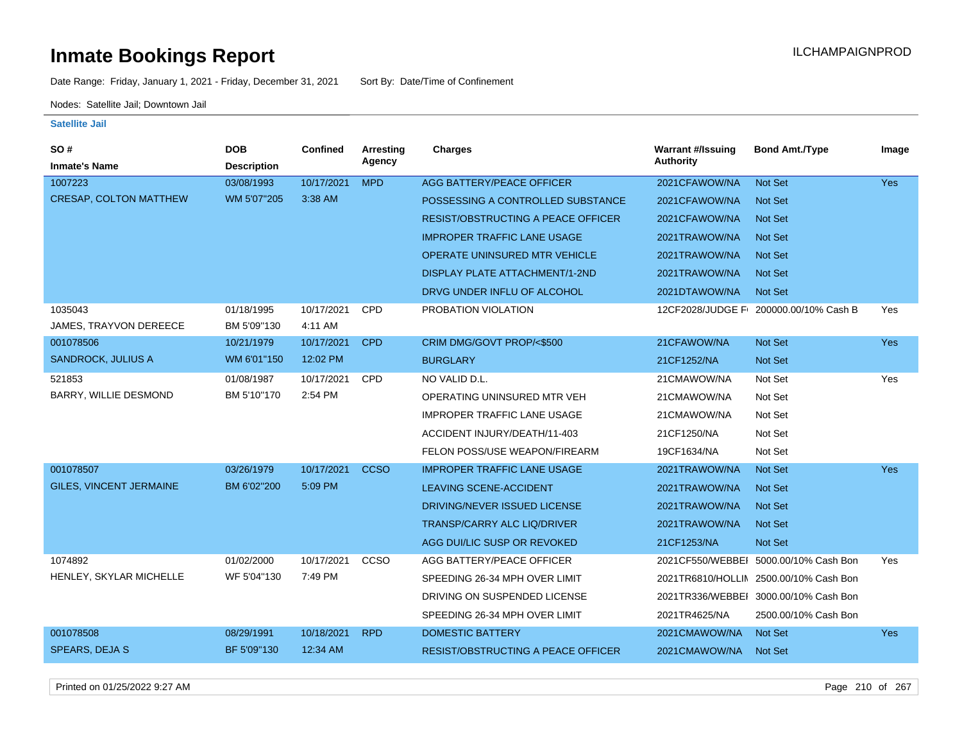Date Range: Friday, January 1, 2021 - Friday, December 31, 2021 Sort By: Date/Time of Confinement

Nodes: Satellite Jail; Downtown Jail

### **Satellite Jail**

| <b>Bond Amt./Type</b><br>Image               |
|----------------------------------------------|
|                                              |
| <b>Yes</b>                                   |
|                                              |
|                                              |
|                                              |
|                                              |
|                                              |
|                                              |
| 12CF2028/JUDGE F 200000.00/10% Cash B<br>Yes |
|                                              |
| <b>Yes</b>                                   |
|                                              |
| Yes                                          |
|                                              |
|                                              |
|                                              |
|                                              |
| Yes                                          |
|                                              |
|                                              |
|                                              |
|                                              |
| 2021CF550/WEBBEI 5000.00/10% Cash Bon<br>Yes |
| 2021TR6810/HOLLIN 2500.00/10% Cash Bon       |
| 2021TR336/WEBBEI 3000.00/10% Cash Bon        |
| 2500.00/10% Cash Bon                         |
| Yes                                          |
|                                              |
|                                              |

Printed on 01/25/2022 9:27 AM Page 210 of 267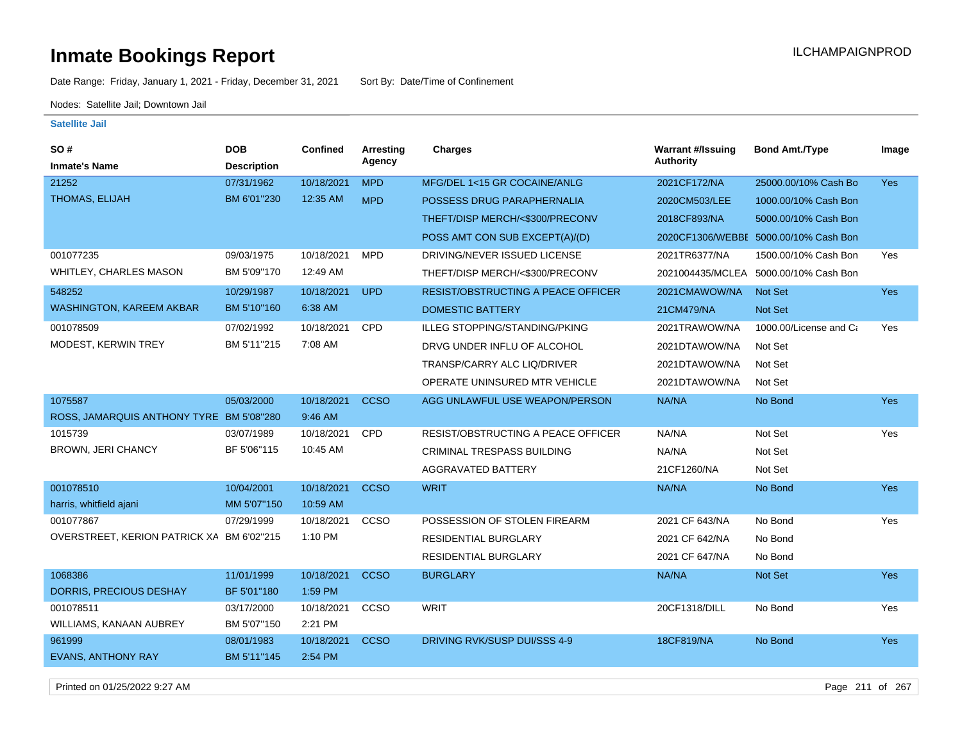Date Range: Friday, January 1, 2021 - Friday, December 31, 2021 Sort By: Date/Time of Confinement

Nodes: Satellite Jail; Downtown Jail

### **Satellite Jail**

| <b>SO#</b>                                | <b>DOB</b>         | <b>Confined</b> | Arresting   | <b>Charges</b>                            | <b>Warrant #/Issuing</b> | <b>Bond Amt./Type</b>                 | Image      |
|-------------------------------------------|--------------------|-----------------|-------------|-------------------------------------------|--------------------------|---------------------------------------|------------|
| <b>Inmate's Name</b>                      | <b>Description</b> |                 | Agency      |                                           | <b>Authority</b>         |                                       |            |
| 21252                                     | 07/31/1962         | 10/18/2021      | <b>MPD</b>  | MFG/DEL 1<15 GR COCAINE/ANLG              | 2021CF172/NA             | 25000.00/10% Cash Bo                  | <b>Yes</b> |
| THOMAS, ELIJAH                            | BM 6'01"230        | 12:35 AM        | <b>MPD</b>  | POSSESS DRUG PARAPHERNALIA                | 2020CM503/LEE            | 1000.00/10% Cash Bon                  |            |
|                                           |                    |                 |             | THEFT/DISP MERCH/<\$300/PRECONV           | 2018CF893/NA             | 5000.00/10% Cash Bon                  |            |
|                                           |                    |                 |             | POSS AMT CON SUB EXCEPT(A)/(D)            |                          | 2020CF1306/WEBBE 5000.00/10% Cash Bon |            |
| 001077235                                 | 09/03/1975         | 10/18/2021      | <b>MPD</b>  | DRIVING/NEVER ISSUED LICENSE              | 2021TR6377/NA            | 1500.00/10% Cash Bon                  | Yes        |
| <b>WHITLEY, CHARLES MASON</b>             | BM 5'09"170        | 12:49 AM        |             | THEFT/DISP MERCH/<\$300/PRECONV           |                          | 2021004435/MCLEA 5000.00/10% Cash Bon |            |
| 548252                                    | 10/29/1987         | 10/18/2021      | <b>UPD</b>  | <b>RESIST/OBSTRUCTING A PEACE OFFICER</b> | 2021CMAWOW/NA            | Not Set                               | <b>Yes</b> |
| WASHINGTON, KAREEM AKBAR                  | BM 5'10"160        | 6:38 AM         |             | <b>DOMESTIC BATTERY</b>                   | 21CM479/NA               | Not Set                               |            |
| 001078509                                 | 07/02/1992         | 10/18/2021      | <b>CPD</b>  | <b>ILLEG STOPPING/STANDING/PKING</b>      | 2021TRAWOW/NA            | 1000.00/License and Ca                | Yes        |
| MODEST, KERWIN TREY                       | BM 5'11"215        | 7:08 AM         |             | DRVG UNDER INFLU OF ALCOHOL               | 2021DTAWOW/NA            | Not Set                               |            |
|                                           |                    |                 |             | TRANSP/CARRY ALC LIQ/DRIVER               | 2021DTAWOW/NA            | Not Set                               |            |
|                                           |                    |                 |             | OPERATE UNINSURED MTR VEHICLE             | 2021DTAWOW/NA            | Not Set                               |            |
| 1075587                                   | 05/03/2000         | 10/18/2021      | <b>CCSO</b> | AGG UNLAWFUL USE WEAPON/PERSON            | NA/NA                    | No Bond                               | Yes        |
| ROSS, JAMARQUIS ANTHONY TYRE BM 5'08"280  |                    | 9:46 AM         |             |                                           |                          |                                       |            |
| 1015739                                   | 03/07/1989         | 10/18/2021      | CPD         | RESIST/OBSTRUCTING A PEACE OFFICER        | NA/NA                    | Not Set                               | Yes        |
| BROWN, JERI CHANCY                        | BF 5'06"115        | 10:45 AM        |             | <b>CRIMINAL TRESPASS BUILDING</b>         | NA/NA                    | Not Set                               |            |
|                                           |                    |                 |             | <b>AGGRAVATED BATTERY</b>                 | 21CF1260/NA              | Not Set                               |            |
| 001078510                                 | 10/04/2001         | 10/18/2021      | <b>CCSO</b> | <b>WRIT</b>                               | NA/NA                    | No Bond                               | Yes        |
| harris, whitfield ajani                   | MM 5'07"150        | 10:59 AM        |             |                                           |                          |                                       |            |
| 001077867                                 | 07/29/1999         | 10/18/2021      | CCSO        | POSSESSION OF STOLEN FIREARM              | 2021 CF 643/NA           | No Bond                               | Yes        |
| OVERSTREET, KERION PATRICK XA BM 6'02"215 |                    | 1:10 PM         |             | <b>RESIDENTIAL BURGLARY</b>               | 2021 CF 642/NA           | No Bond                               |            |
|                                           |                    |                 |             | <b>RESIDENTIAL BURGLARY</b>               | 2021 CF 647/NA           | No Bond                               |            |
| 1068386                                   | 11/01/1999         | 10/18/2021      | <b>CCSO</b> | <b>BURGLARY</b>                           | NA/NA                    | Not Set                               | Yes        |
| <b>DORRIS, PRECIOUS DESHAY</b>            | BF 5'01"180        | 1:59 PM         |             |                                           |                          |                                       |            |
| 001078511                                 | 03/17/2000         | 10/18/2021      | CCSO        | WRIT                                      | 20CF1318/DILL            | No Bond                               | Yes        |
| WILLIAMS, KANAAN AUBREY                   | BM 5'07"150        | 2:21 PM         |             |                                           |                          |                                       |            |
| 961999                                    | 08/01/1983         | 10/18/2021      | <b>CCSO</b> | DRIVING RVK/SUSP DUI/SSS 4-9              | 18CF819/NA               | No Bond                               | Yes        |
| <b>EVANS, ANTHONY RAY</b>                 | BM 5'11"145        | 2:54 PM         |             |                                           |                          |                                       |            |

Printed on 01/25/2022 9:27 AM Page 211 of 267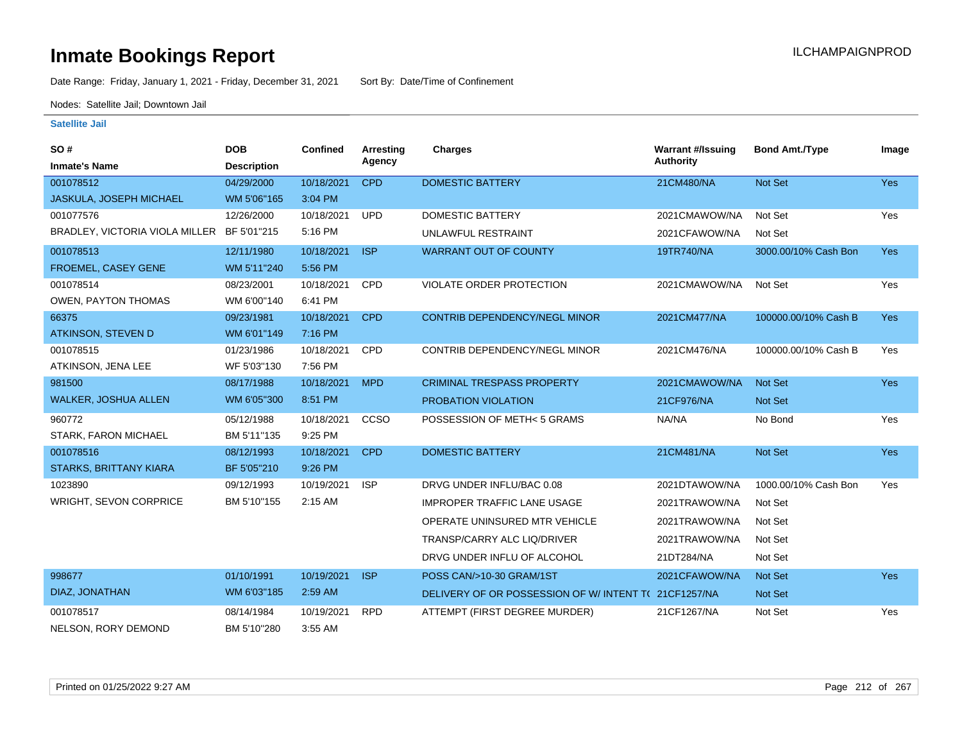Date Range: Friday, January 1, 2021 - Friday, December 31, 2021 Sort By: Date/Time of Confinement

Nodes: Satellite Jail; Downtown Jail

| SO#                                        | <b>DOB</b>         | <b>Confined</b> | <b>Arresting</b> | Charges                                             | <b>Warrant #/Issuing</b> | <b>Bond Amt./Type</b> | Image      |
|--------------------------------------------|--------------------|-----------------|------------------|-----------------------------------------------------|--------------------------|-----------------------|------------|
| <b>Inmate's Name</b>                       | <b>Description</b> |                 | Agency           |                                                     | <b>Authority</b>         |                       |            |
| 001078512                                  | 04/29/2000         | 10/18/2021      | <b>CPD</b>       | <b>DOMESTIC BATTERY</b>                             | 21CM480/NA               | Not Set               | Yes        |
| <b>JASKULA, JOSEPH MICHAEL</b>             | WM 5'06"165        | 3:04 PM         |                  |                                                     |                          |                       |            |
| 001077576                                  | 12/26/2000         | 10/18/2021      | <b>UPD</b>       | <b>DOMESTIC BATTERY</b>                             | 2021CMAWOW/NA            | Not Set               | Yes        |
| BRADLEY, VICTORIA VIOLA MILLER BF 5'01"215 |                    | 5:16 PM         |                  | UNLAWFUL RESTRAINT                                  | 2021CFAWOW/NA            | Not Set               |            |
| 001078513                                  | 12/11/1980         | 10/18/2021      | <b>ISP</b>       | <b>WARRANT OUT OF COUNTY</b>                        | 19TR740/NA               | 3000.00/10% Cash Bon  | <b>Yes</b> |
| FROEMEL, CASEY GENE                        | WM 5'11"240        | 5:56 PM         |                  |                                                     |                          |                       |            |
| 001078514                                  | 08/23/2001         | 10/18/2021      | <b>CPD</b>       | VIOLATE ORDER PROTECTION                            | 2021CMAWOW/NA            | Not Set               | Yes        |
| <b>OWEN, PAYTON THOMAS</b>                 | WM 6'00"140        | 6:41 PM         |                  |                                                     |                          |                       |            |
| 66375                                      | 09/23/1981         | 10/18/2021      | <b>CPD</b>       | CONTRIB DEPENDENCY/NEGL MINOR                       | 2021CM477/NA             | 100000.00/10% Cash B  | <b>Yes</b> |
| <b>ATKINSON, STEVEN D</b>                  | WM 6'01"149        | 7:16 PM         |                  |                                                     |                          |                       |            |
| 001078515                                  | 01/23/1986         | 10/18/2021      | CPD              | CONTRIB DEPENDENCY/NEGL MINOR                       | 2021CM476/NA             | 100000.00/10% Cash B  | Yes        |
| ATKINSON, JENA LEE                         | WF 5'03"130        | 7:56 PM         |                  |                                                     |                          |                       |            |
| 981500                                     | 08/17/1988         | 10/18/2021      | <b>MPD</b>       | <b>CRIMINAL TRESPASS PROPERTY</b>                   | 2021CMAWOW/NA            | <b>Not Set</b>        | <b>Yes</b> |
| <b>WALKER, JOSHUA ALLEN</b>                | WM 6'05"300        | 8:51 PM         |                  | PROBATION VIOLATION                                 | 21CF976/NA               | Not Set               |            |
| 960772                                     | 05/12/1988         | 10/18/2021      | CCSO             | POSSESSION OF METH<5 GRAMS                          | NA/NA                    | No Bond               | Yes        |
| STARK, FARON MICHAEL                       | BM 5'11"135        | 9:25 PM         |                  |                                                     |                          |                       |            |
| 001078516                                  | 08/12/1993         | 10/18/2021      | <b>CPD</b>       | <b>DOMESTIC BATTERY</b>                             | 21CM481/NA               | <b>Not Set</b>        | <b>Yes</b> |
| <b>STARKS, BRITTANY KIARA</b>              | BF 5'05"210        | 9:26 PM         |                  |                                                     |                          |                       |            |
| 1023890                                    | 09/12/1993         | 10/19/2021      | <b>ISP</b>       | DRVG UNDER INFLU/BAC 0.08                           | 2021DTAWOW/NA            | 1000.00/10% Cash Bon  | Yes        |
| <b>WRIGHT, SEVON CORPRICE</b>              | BM 5'10"155        | $2:15$ AM       |                  | <b>IMPROPER TRAFFIC LANE USAGE</b>                  | 2021TRAWOW/NA            | Not Set               |            |
|                                            |                    |                 |                  | OPERATE UNINSURED MTR VEHICLE                       | 2021TRAWOW/NA            | Not Set               |            |
|                                            |                    |                 |                  | TRANSP/CARRY ALC LIQ/DRIVER                         | 2021TRAWOW/NA            | Not Set               |            |
|                                            |                    |                 |                  | DRVG UNDER INFLU OF ALCOHOL                         | 21DT284/NA               | Not Set               |            |
| 998677                                     | 01/10/1991         | 10/19/2021      | <b>ISP</b>       | POSS CAN/>10-30 GRAM/1ST                            | 2021CFAWOW/NA            | <b>Not Set</b>        | <b>Yes</b> |
| DIAZ, JONATHAN                             | WM 6'03"185        | 2:59 AM         |                  | DELIVERY OF OR POSSESSION OF W/INTENT T(21CF1257/NA |                          | Not Set               |            |
| 001078517                                  | 08/14/1984         | 10/19/2021      | <b>RPD</b>       | ATTEMPT (FIRST DEGREE MURDER)                       | 21CF1267/NA              | Not Set               | Yes        |
| NELSON, RORY DEMOND                        | BM 5'10"280        | 3:55 AM         |                  |                                                     |                          |                       |            |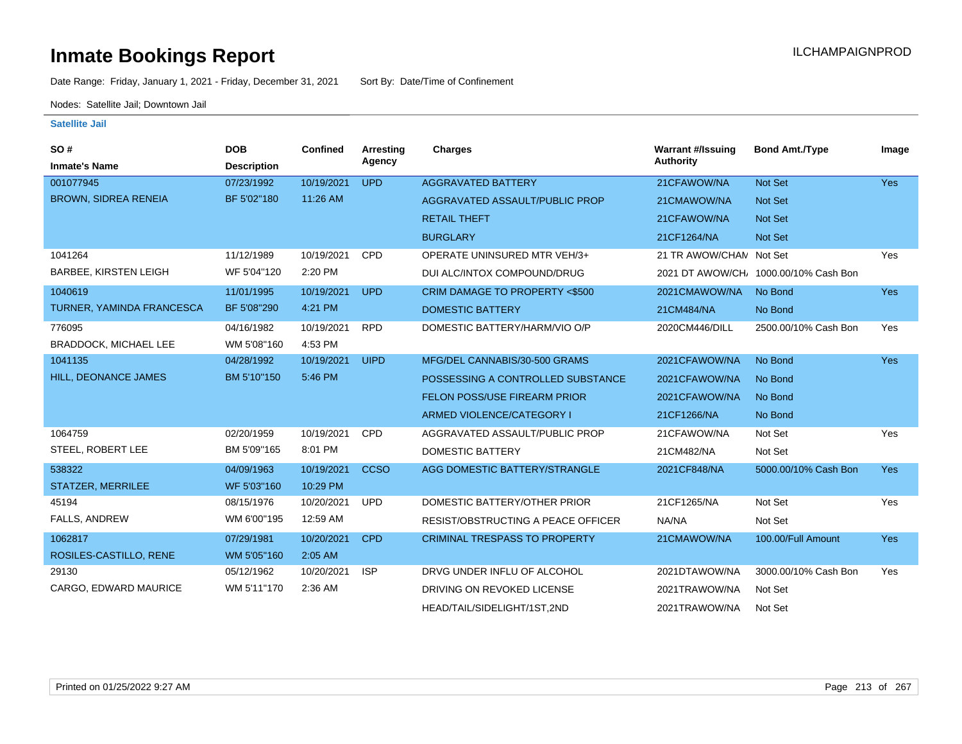Date Range: Friday, January 1, 2021 - Friday, December 31, 2021 Sort By: Date/Time of Confinement

Nodes: Satellite Jail; Downtown Jail

| SO#<br><b>Inmate's Name</b>  | <b>DOB</b><br><b>Description</b> | <b>Confined</b> | <b>Arresting</b><br>Agency | <b>Charges</b>                            | <b>Warrant #/Issuing</b><br><b>Authority</b> | <b>Bond Amt./Type</b>                | Image      |
|------------------------------|----------------------------------|-----------------|----------------------------|-------------------------------------------|----------------------------------------------|--------------------------------------|------------|
| 001077945                    | 07/23/1992                       | 10/19/2021      | <b>UPD</b>                 | <b>AGGRAVATED BATTERY</b>                 | 21CFAWOW/NA                                  | Not Set                              | Yes        |
| <b>BROWN, SIDREA RENEIA</b>  | BF 5'02"180                      | 11:26 AM        |                            | AGGRAVATED ASSAULT/PUBLIC PROP            | 21CMAWOW/NA                                  | <b>Not Set</b>                       |            |
|                              |                                  |                 |                            | <b>RETAIL THEFT</b>                       | 21CFAWOW/NA                                  | Not Set                              |            |
|                              |                                  |                 |                            | <b>BURGLARY</b>                           | 21CF1264/NA                                  | <b>Not Set</b>                       |            |
| 1041264                      | 11/12/1989                       | 10/19/2021      | <b>CPD</b>                 | OPERATE UNINSURED MTR VEH/3+              | 21 TR AWOW/CHAN Not Set                      |                                      | Yes        |
| <b>BARBEE, KIRSTEN LEIGH</b> | WF 5'04"120                      | 2:20 PM         |                            | DUI ALC/INTOX COMPOUND/DRUG               |                                              | 2021 DT AWOW/CH 1000.00/10% Cash Bon |            |
| 1040619                      | 11/01/1995                       | 10/19/2021      | <b>UPD</b>                 | CRIM DAMAGE TO PROPERTY <\$500            | 2021CMAWOW/NA                                | No Bond                              | <b>Yes</b> |
| TURNER, YAMINDA FRANCESCA    | BF 5'08"290                      | 4:21 PM         |                            | <b>DOMESTIC BATTERY</b>                   | 21CM484/NA                                   | No Bond                              |            |
| 776095                       | 04/16/1982                       | 10/19/2021      | <b>RPD</b>                 | DOMESTIC BATTERY/HARM/VIO O/P             | 2020CM446/DILL                               | 2500.00/10% Cash Bon                 | Yes        |
| <b>BRADDOCK, MICHAEL LEE</b> | WM 5'08"160                      | 4:53 PM         |                            |                                           |                                              |                                      |            |
| 1041135                      | 04/28/1992                       | 10/19/2021      | <b>UIPD</b>                | MFG/DEL CANNABIS/30-500 GRAMS             | 2021CFAWOW/NA                                | No Bond                              | <b>Yes</b> |
| HILL, DEONANCE JAMES         | BM 5'10"150                      | 5:46 PM         |                            | POSSESSING A CONTROLLED SUBSTANCE         | 2021CFAWOW/NA                                | No Bond                              |            |
|                              |                                  |                 |                            | FELON POSS/USE FIREARM PRIOR              | 2021CFAWOW/NA                                | No Bond                              |            |
|                              |                                  |                 |                            | ARMED VIOLENCE/CATEGORY I                 | 21CF1266/NA                                  | No Bond                              |            |
| 1064759                      | 02/20/1959                       | 10/19/2021      | <b>CPD</b>                 | AGGRAVATED ASSAULT/PUBLIC PROP            | 21CFAWOW/NA                                  | Not Set                              | Yes        |
| STEEL, ROBERT LEE            | BM 5'09"165                      | 8:01 PM         |                            | DOMESTIC BATTERY                          | 21CM482/NA                                   | Not Set                              |            |
| 538322                       | 04/09/1963                       | 10/19/2021      | <b>CCSO</b>                | AGG DOMESTIC BATTERY/STRANGLE             | 2021CF848/NA                                 | 5000.00/10% Cash Bon                 | <b>Yes</b> |
| STATZER, MERRILEE            | WF 5'03"160                      | 10:29 PM        |                            |                                           |                                              |                                      |            |
| 45194                        | 08/15/1976                       | 10/20/2021      | <b>UPD</b>                 | DOMESTIC BATTERY/OTHER PRIOR              | 21CF1265/NA                                  | Not Set                              | Yes        |
| FALLS, ANDREW                | WM 6'00"195                      | 12:59 AM        |                            | <b>RESIST/OBSTRUCTING A PEACE OFFICER</b> | NA/NA                                        | Not Set                              |            |
| 1062817                      | 07/29/1981                       | 10/20/2021      | <b>CPD</b>                 | <b>CRIMINAL TRESPASS TO PROPERTY</b>      | 21CMAWOW/NA                                  | 100.00/Full Amount                   | <b>Yes</b> |
| ROSILES-CASTILLO, RENE       | WM 5'05"160                      | 2:05 AM         |                            |                                           |                                              |                                      |            |
| 29130                        | 05/12/1962                       | 10/20/2021      | <b>ISP</b>                 | DRVG UNDER INFLU OF ALCOHOL               | 2021DTAWOW/NA                                | 3000.00/10% Cash Bon                 | Yes        |
| CARGO, EDWARD MAURICE        | WM 5'11"170                      | 2:36 AM         |                            | DRIVING ON REVOKED LICENSE                | 2021TRAWOW/NA                                | Not Set                              |            |
|                              |                                  |                 |                            | HEAD/TAIL/SIDELIGHT/1ST,2ND               | 2021TRAWOW/NA                                | Not Set                              |            |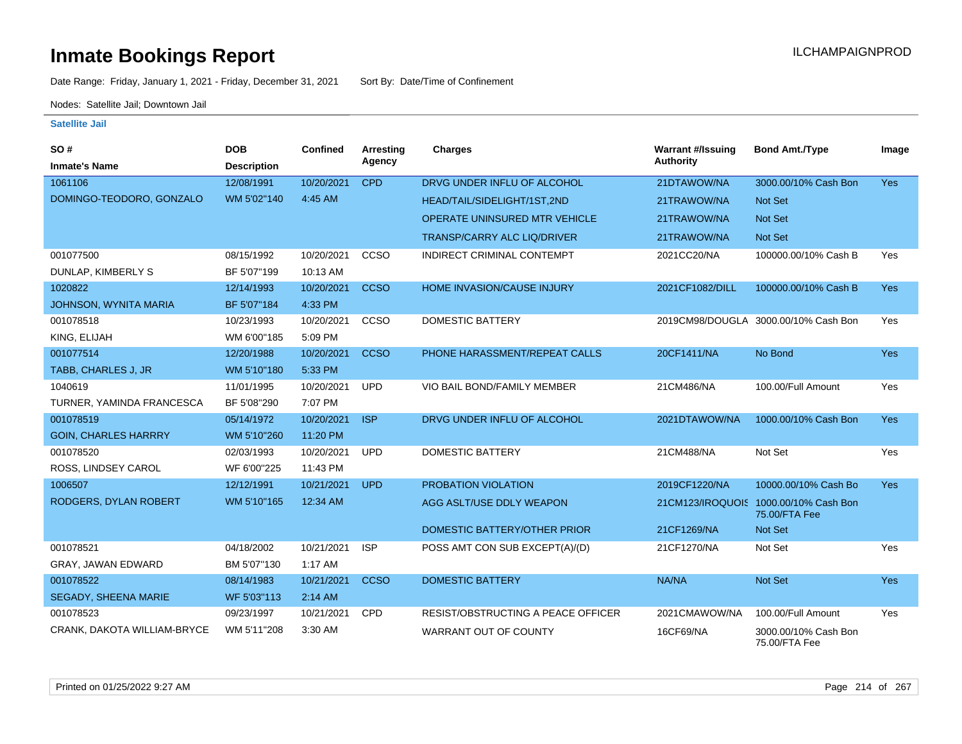Date Range: Friday, January 1, 2021 - Friday, December 31, 2021 Sort By: Date/Time of Confinement

Nodes: Satellite Jail; Downtown Jail

| SO#                          | <b>DOB</b>         | Confined   | Arresting   | <b>Charges</b>                       | <b>Warrant #/Issuing</b> | <b>Bond Amt./Type</b>                                  | Image      |
|------------------------------|--------------------|------------|-------------|--------------------------------------|--------------------------|--------------------------------------------------------|------------|
| <b>Inmate's Name</b>         | <b>Description</b> |            | Agency      |                                      | <b>Authority</b>         |                                                        |            |
| 1061106                      | 12/08/1991         | 10/20/2021 | <b>CPD</b>  | DRVG UNDER INFLU OF ALCOHOL          | 21DTAWOW/NA              | 3000.00/10% Cash Bon                                   | <b>Yes</b> |
| DOMINGO-TEODORO, GONZALO     | WM 5'02"140        | 4:45 AM    |             | HEAD/TAIL/SIDELIGHT/1ST,2ND          | 21TRAWOW/NA              | Not Set                                                |            |
|                              |                    |            |             | <b>OPERATE UNINSURED MTR VEHICLE</b> | 21TRAWOW/NA              | Not Set                                                |            |
|                              |                    |            |             | <b>TRANSP/CARRY ALC LIQ/DRIVER</b>   | 21TRAWOW/NA              | <b>Not Set</b>                                         |            |
| 001077500                    | 08/15/1992         | 10/20/2021 | CCSO        | INDIRECT CRIMINAL CONTEMPT           | 2021CC20/NA              | 100000.00/10% Cash B                                   | Yes        |
| DUNLAP, KIMBERLY S           | BF 5'07"199        | 10:13 AM   |             |                                      |                          |                                                        |            |
| 1020822                      | 12/14/1993         | 10/20/2021 | <b>CCSO</b> | <b>HOME INVASION/CAUSE INJURY</b>    | 2021CF1082/DILL          | 100000.00/10% Cash B                                   | <b>Yes</b> |
| <b>JOHNSON, WYNITA MARIA</b> | BF 5'07"184        | 4:33 PM    |             |                                      |                          |                                                        |            |
| 001078518                    | 10/23/1993         | 10/20/2021 | CCSO        | <b>DOMESTIC BATTERY</b>              |                          | 2019CM98/DOUGLA 3000.00/10% Cash Bon                   | Yes        |
| KING, ELIJAH                 | WM 6'00"185        | 5:09 PM    |             |                                      |                          |                                                        |            |
| 001077514                    | 12/20/1988         | 10/20/2021 | <b>CCSO</b> | PHONE HARASSMENT/REPEAT CALLS        | 20CF1411/NA              | No Bond                                                | Yes        |
| TABB, CHARLES J, JR          | WM 5'10"180        | 5:33 PM    |             |                                      |                          |                                                        |            |
| 1040619                      | 11/01/1995         | 10/20/2021 | <b>UPD</b>  | VIO BAIL BOND/FAMILY MEMBER          | 21CM486/NA               | 100.00/Full Amount                                     | Yes        |
| TURNER, YAMINDA FRANCESCA    | BF 5'08"290        | 7:07 PM    |             |                                      |                          |                                                        |            |
| 001078519                    | 05/14/1972         | 10/20/2021 | <b>ISP</b>  | DRVG UNDER INFLU OF ALCOHOL          | 2021DTAWOW/NA            | 1000.00/10% Cash Bon                                   | Yes        |
| <b>GOIN, CHARLES HARRRY</b>  | WM 5'10"260        | 11:20 PM   |             |                                      |                          |                                                        |            |
| 001078520                    | 02/03/1993         | 10/20/2021 | <b>UPD</b>  | <b>DOMESTIC BATTERY</b>              | 21CM488/NA               | Not Set                                                | Yes        |
| ROSS, LINDSEY CAROL          | WF 6'00"225        | 11:43 PM   |             |                                      |                          |                                                        |            |
| 1006507                      | 12/12/1991         | 10/21/2021 | <b>UPD</b>  | PROBATION VIOLATION                  | 2019CF1220/NA            | 10000.00/10% Cash Bo                                   | <b>Yes</b> |
| RODGERS, DYLAN ROBERT        | WM 5'10"165        | 12:34 AM   |             | AGG ASLT/USE DDLY WEAPON             |                          | 21CM123/IROQUOIS 1000.00/10% Cash Bon<br>75.00/FTA Fee |            |
|                              |                    |            |             | DOMESTIC BATTERY/OTHER PRIOR         | 21CF1269/NA              | Not Set                                                |            |
| 001078521                    | 04/18/2002         | 10/21/2021 | <b>ISP</b>  | POSS AMT CON SUB EXCEPT(A)/(D)       | 21CF1270/NA              | Not Set                                                | Yes        |
| <b>GRAY, JAWAN EDWARD</b>    | BM 5'07"130        | 1:17 AM    |             |                                      |                          |                                                        |            |
| 001078522                    | 08/14/1983         | 10/21/2021 | <b>CCSO</b> | <b>DOMESTIC BATTERY</b>              | NA/NA                    | Not Set                                                | Yes        |
| SEGADY, SHEENA MARIE         | WF 5'03"113        | 2:14 AM    |             |                                      |                          |                                                        |            |
| 001078523                    | 09/23/1997         | 10/21/2021 | CPD         | RESIST/OBSTRUCTING A PEACE OFFICER   | 2021CMAWOW/NA            | 100.00/Full Amount                                     | Yes        |
| CRANK, DAKOTA WILLIAM-BRYCE  | WM 5'11"208        | 3:30 AM    |             | WARRANT OUT OF COUNTY                | 16CF69/NA                | 3000.00/10% Cash Bon<br>75.00/FTA Fee                  |            |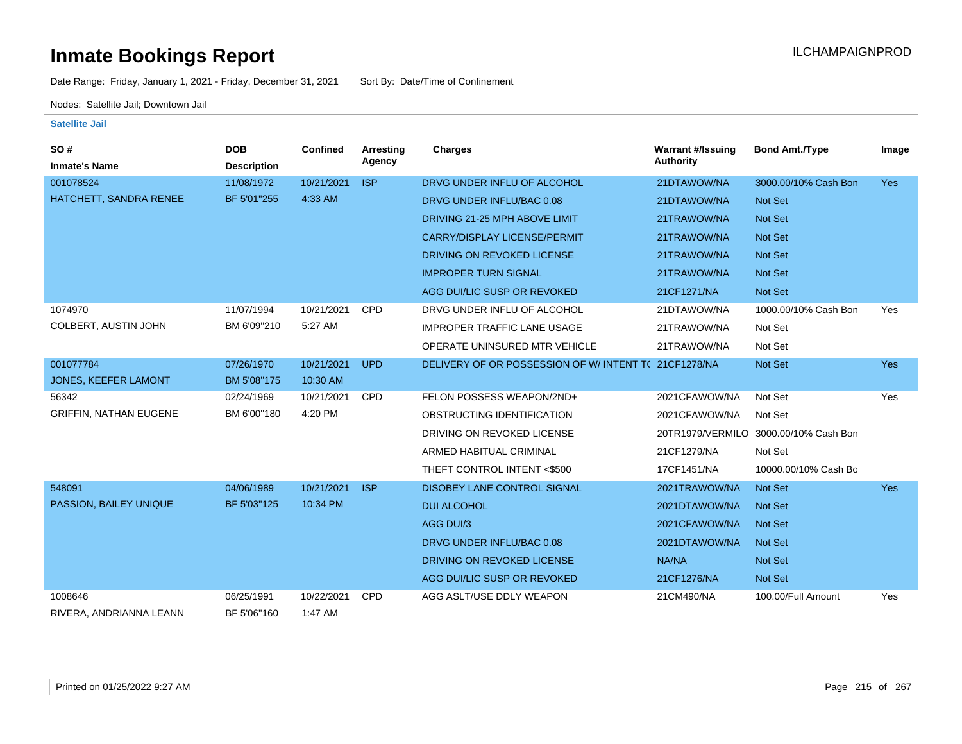Date Range: Friday, January 1, 2021 - Friday, December 31, 2021 Sort By: Date/Time of Confinement

Nodes: Satellite Jail; Downtown Jail

| SO#<br><b>Inmate's Name</b>   | <b>DOB</b><br><b>Description</b> | <b>Confined</b> | <b>Arresting</b><br>Agency | Charges                                             | <b>Warrant #/Issuing</b><br>Authority | <b>Bond Amt./Type</b>                 | Image      |
|-------------------------------|----------------------------------|-----------------|----------------------------|-----------------------------------------------------|---------------------------------------|---------------------------------------|------------|
| 001078524                     | 11/08/1972                       | 10/21/2021      | <b>ISP</b>                 | DRVG UNDER INFLU OF ALCOHOL                         | 21DTAWOW/NA                           | 3000.00/10% Cash Bon                  | <b>Yes</b> |
| HATCHETT, SANDRA RENEE        | BF 5'01"255                      | 4:33 AM         |                            | DRVG UNDER INFLU/BAC 0.08                           | 21DTAWOW/NA                           | <b>Not Set</b>                        |            |
|                               |                                  |                 |                            | DRIVING 21-25 MPH ABOVE LIMIT                       | 21TRAWOW/NA                           | Not Set                               |            |
|                               |                                  |                 |                            | <b>CARRY/DISPLAY LICENSE/PERMIT</b>                 | 21TRAWOW/NA                           | Not Set                               |            |
|                               |                                  |                 |                            | DRIVING ON REVOKED LICENSE                          | 21TRAWOW/NA                           | <b>Not Set</b>                        |            |
|                               |                                  |                 |                            | <b>IMPROPER TURN SIGNAL</b>                         | 21TRAWOW/NA                           | Not Set                               |            |
|                               |                                  |                 |                            | AGG DUI/LIC SUSP OR REVOKED                         | 21CF1271/NA                           | Not Set                               |            |
| 1074970                       | 11/07/1994                       | 10/21/2021      | <b>CPD</b>                 | DRVG UNDER INFLU OF ALCOHOL                         | 21DTAWOW/NA                           | 1000.00/10% Cash Bon                  | Yes        |
| COLBERT, AUSTIN JOHN          | BM 6'09"210                      | 5:27 AM         |                            | <b>IMPROPER TRAFFIC LANE USAGE</b>                  | 21TRAWOW/NA                           | Not Set                               |            |
|                               |                                  |                 |                            | OPERATE UNINSURED MTR VEHICLE                       | 21TRAWOW/NA                           | Not Set                               |            |
| 001077784                     | 07/26/1970                       | 10/21/2021      | <b>UPD</b>                 | DELIVERY OF OR POSSESSION OF W/INTENT T(21CF1278/NA |                                       | Not Set                               | Yes        |
| JONES, KEEFER LAMONT          | BM 5'08"175                      | 10:30 AM        |                            |                                                     |                                       |                                       |            |
| 56342                         | 02/24/1969                       | 10/21/2021      | <b>CPD</b>                 | FELON POSSESS WEAPON/2ND+                           | 2021CFAWOW/NA                         | Not Set                               | Yes        |
| <b>GRIFFIN, NATHAN EUGENE</b> | BM 6'00"180                      | 4:20 PM         |                            | OBSTRUCTING IDENTIFICATION                          | 2021CFAWOW/NA                         | Not Set                               |            |
|                               |                                  |                 |                            | DRIVING ON REVOKED LICENSE                          |                                       | 20TR1979/VERMILO 3000.00/10% Cash Bon |            |
|                               |                                  |                 |                            | ARMED HABITUAL CRIMINAL                             | 21CF1279/NA                           | Not Set                               |            |
|                               |                                  |                 |                            | THEFT CONTROL INTENT <\$500                         | 17CF1451/NA                           | 10000.00/10% Cash Bo                  |            |
| 548091                        | 04/06/1989                       | 10/21/2021      | <b>ISP</b>                 | DISOBEY LANE CONTROL SIGNAL                         | 2021TRAWOW/NA                         | Not Set                               | <b>Yes</b> |
| PASSION, BAILEY UNIQUE        | BF 5'03"125                      | 10:34 PM        |                            | <b>DUI ALCOHOL</b>                                  | 2021DTAWOW/NA                         | <b>Not Set</b>                        |            |
|                               |                                  |                 |                            | AGG DUI/3                                           | 2021CFAWOW/NA                         | <b>Not Set</b>                        |            |
|                               |                                  |                 |                            | DRVG UNDER INFLU/BAC 0.08                           | 2021DTAWOW/NA                         | Not Set                               |            |
|                               |                                  |                 |                            | DRIVING ON REVOKED LICENSE                          | NA/NA                                 | Not Set                               |            |
|                               |                                  |                 |                            | AGG DUI/LIC SUSP OR REVOKED                         | 21CF1276/NA                           | Not Set                               |            |
| 1008646                       | 06/25/1991                       | 10/22/2021      | <b>CPD</b>                 | AGG ASLT/USE DDLY WEAPON                            | 21CM490/NA                            | 100.00/Full Amount                    | Yes        |
| RIVERA, ANDRIANNA LEANN       | BF 5'06"160                      | 1:47 AM         |                            |                                                     |                                       |                                       |            |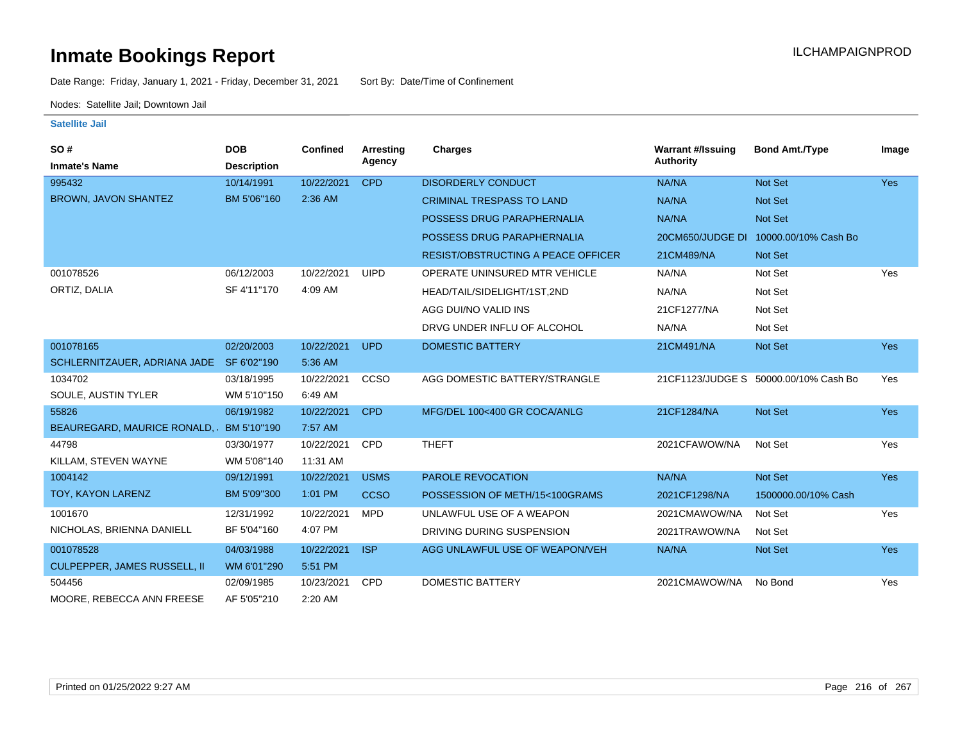Date Range: Friday, January 1, 2021 - Friday, December 31, 2021 Sort By: Date/Time of Confinement

Nodes: Satellite Jail; Downtown Jail

| SO#<br><b>Inmate's Name</b>              | <b>DOB</b><br><b>Description</b> | <b>Confined</b> | Arresting<br>Agency | Charges                                   | <b>Warrant #/Issuing</b><br><b>Authority</b> | <b>Bond Amt./Type</b>                 | Image      |
|------------------------------------------|----------------------------------|-----------------|---------------------|-------------------------------------------|----------------------------------------------|---------------------------------------|------------|
| 995432                                   | 10/14/1991                       | 10/22/2021      | <b>CPD</b>          | <b>DISORDERLY CONDUCT</b>                 | NA/NA                                        | Not Set                               | Yes        |
| <b>BROWN, JAVON SHANTEZ</b>              | BM 5'06"160                      | 2:36 AM         |                     | <b>CRIMINAL TRESPASS TO LAND</b>          | NA/NA                                        | Not Set                               |            |
|                                          |                                  |                 |                     | POSSESS DRUG PARAPHERNALIA                | NA/NA                                        | Not Set                               |            |
|                                          |                                  |                 |                     | POSSESS DRUG PARAPHERNALIA                | 20CM650/JUDGE DI                             | 10000.00/10% Cash Bo                  |            |
|                                          |                                  |                 |                     | <b>RESIST/OBSTRUCTING A PEACE OFFICER</b> | 21CM489/NA                                   | <b>Not Set</b>                        |            |
| 001078526                                | 06/12/2003                       | 10/22/2021      | <b>UIPD</b>         | OPERATE UNINSURED MTR VEHICLE             | NA/NA                                        | Not Set                               | Yes        |
| ORTIZ, DALIA                             | SF 4'11"170                      | 4:09 AM         |                     | HEAD/TAIL/SIDELIGHT/1ST,2ND               | NA/NA                                        | Not Set                               |            |
|                                          |                                  |                 |                     | AGG DUI/NO VALID INS                      | 21CF1277/NA                                  | Not Set                               |            |
|                                          |                                  |                 |                     | DRVG UNDER INFLU OF ALCOHOL               | NA/NA                                        | Not Set                               |            |
| 001078165                                | 02/20/2003                       | 10/22/2021      | <b>UPD</b>          | <b>DOMESTIC BATTERY</b>                   | 21CM491/NA                                   | Not Set                               | Yes        |
| SCHLERNITZAUER, ADRIANA JADE SF 6'02"190 |                                  | 5:36 AM         |                     |                                           |                                              |                                       |            |
| 1034702                                  | 03/18/1995                       | 10/22/2021      | CCSO                | AGG DOMESTIC BATTERY/STRANGLE             |                                              | 21CF1123/JUDGE S 50000.00/10% Cash Bo | Yes        |
| SOULE, AUSTIN TYLER                      | WM 5'10"150                      | 6:49 AM         |                     |                                           |                                              |                                       |            |
| 55826                                    | 06/19/1982                       | 10/22/2021      | <b>CPD</b>          | MFG/DEL 100<400 GR COCA/ANLG              | 21CF1284/NA                                  | Not Set                               | Yes        |
| BEAUREGARD, MAURICE RONALD,              | BM 5'10"190                      | 7:57 AM         |                     |                                           |                                              |                                       |            |
| 44798                                    | 03/30/1977                       | 10/22/2021      | <b>CPD</b>          | <b>THEFT</b>                              | 2021CFAWOW/NA                                | Not Set                               | Yes        |
| KILLAM, STEVEN WAYNE                     | WM 5'08"140                      | 11:31 AM        |                     |                                           |                                              |                                       |            |
| 1004142                                  | 09/12/1991                       | 10/22/2021      | <b>USMS</b>         | <b>PAROLE REVOCATION</b>                  | NA/NA                                        | Not Set                               | <b>Yes</b> |
| TOY, KAYON LARENZ                        | BM 5'09"300                      | 1:01 PM         | <b>CCSO</b>         | POSSESSION OF METH/15<100GRAMS            | 2021CF1298/NA                                | 1500000.00/10% Cash                   |            |
| 1001670                                  | 12/31/1992                       | 10/22/2021      | <b>MPD</b>          | UNLAWFUL USE OF A WEAPON                  | 2021CMAWOW/NA                                | Not Set                               | Yes        |
| NICHOLAS, BRIENNA DANIELL                | BF 5'04"160                      | 4:07 PM         |                     | DRIVING DURING SUSPENSION                 | 2021TRAWOW/NA                                | Not Set                               |            |
| 001078528                                | 04/03/1988                       | 10/22/2021      | <b>ISP</b>          | AGG UNLAWFUL USE OF WEAPON/VEH            | NA/NA                                        | Not Set                               | <b>Yes</b> |
| <b>CULPEPPER, JAMES RUSSELL, II</b>      | WM 6'01"290                      | 5:51 PM         |                     |                                           |                                              |                                       |            |
| 504456                                   | 02/09/1985                       | 10/23/2021      | <b>CPD</b>          | DOMESTIC BATTERY                          | 2021CMAWOW/NA                                | No Bond                               | Yes        |
| MOORE, REBECCA ANN FREESE                | AF 5'05"210                      | 2:20 AM         |                     |                                           |                                              |                                       |            |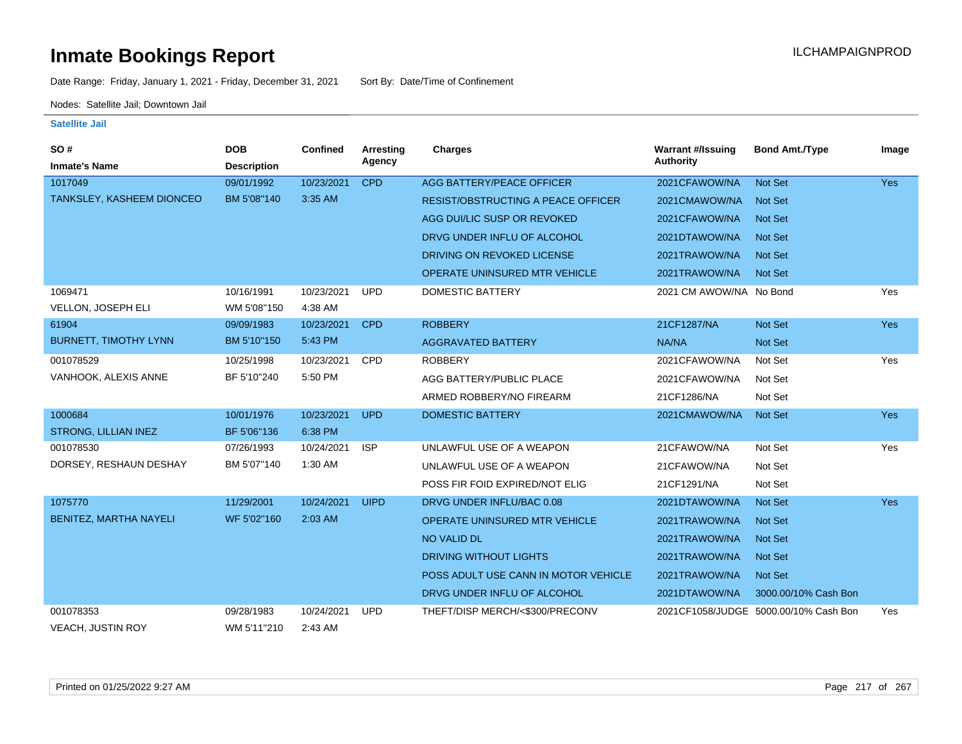Date Range: Friday, January 1, 2021 - Friday, December 31, 2021 Sort By: Date/Time of Confinement

Nodes: Satellite Jail; Downtown Jail

| SO#                           | <b>DOB</b>         | <b>Confined</b> | Arresting   | Charges                                   | <b>Warrant #/Issuing</b> | <b>Bond Amt./Type</b>                 | Image      |
|-------------------------------|--------------------|-----------------|-------------|-------------------------------------------|--------------------------|---------------------------------------|------------|
| <b>Inmate's Name</b>          | <b>Description</b> |                 | Agency      |                                           | <b>Authority</b>         |                                       |            |
| 1017049                       | 09/01/1992         | 10/23/2021      | <b>CPD</b>  | AGG BATTERY/PEACE OFFICER                 | 2021CFAWOW/NA            | <b>Not Set</b>                        | <b>Yes</b> |
| TANKSLEY, KASHEEM DIONCEO     | BM 5'08"140        | 3:35 AM         |             | <b>RESIST/OBSTRUCTING A PEACE OFFICER</b> | 2021CMAWOW/NA            | <b>Not Set</b>                        |            |
|                               |                    |                 |             | AGG DUI/LIC SUSP OR REVOKED               | 2021CFAWOW/NA            | <b>Not Set</b>                        |            |
|                               |                    |                 |             | DRVG UNDER INFLU OF ALCOHOL               | 2021DTAWOW/NA            | <b>Not Set</b>                        |            |
|                               |                    |                 |             | DRIVING ON REVOKED LICENSE                | 2021TRAWOW/NA            | <b>Not Set</b>                        |            |
|                               |                    |                 |             | <b>OPERATE UNINSURED MTR VEHICLE</b>      | 2021TRAWOW/NA            | <b>Not Set</b>                        |            |
| 1069471                       | 10/16/1991         | 10/23/2021      | <b>UPD</b>  | DOMESTIC BATTERY                          | 2021 CM AWOW/NA No Bond  |                                       | Yes        |
| <b>VELLON, JOSEPH ELI</b>     | WM 5'08"150        | 4:38 AM         |             |                                           |                          |                                       |            |
| 61904                         | 09/09/1983         | 10/23/2021      | <b>CPD</b>  | <b>ROBBERY</b>                            | 21CF1287/NA              | Not Set                               | <b>Yes</b> |
| <b>BURNETT, TIMOTHY LYNN</b>  | BM 5'10"150        | 5:43 PM         |             | <b>AGGRAVATED BATTERY</b>                 | NA/NA                    | <b>Not Set</b>                        |            |
| 001078529                     | 10/25/1998         | 10/23/2021      | CPD         | <b>ROBBERY</b>                            | 2021CFAWOW/NA            | Not Set                               | Yes        |
| VANHOOK, ALEXIS ANNE          | BF 5'10"240        | 5:50 PM         |             | AGG BATTERY/PUBLIC PLACE                  | 2021CFAWOW/NA            | Not Set                               |            |
|                               |                    |                 |             | ARMED ROBBERY/NO FIREARM                  | 21CF1286/NA              | Not Set                               |            |
| 1000684                       | 10/01/1976         | 10/23/2021      | <b>UPD</b>  | <b>DOMESTIC BATTERY</b>                   | 2021CMAWOW/NA            | Not Set                               | <b>Yes</b> |
| STRONG, LILLIAN INEZ          | BF 5'06"136        | 6:38 PM         |             |                                           |                          |                                       |            |
| 001078530                     | 07/26/1993         | 10/24/2021      | <b>ISP</b>  | UNLAWFUL USE OF A WEAPON                  | 21CFAWOW/NA              | Not Set                               | Yes        |
| DORSEY, RESHAUN DESHAY        | BM 5'07"140        | 1:30 AM         |             | UNLAWFUL USE OF A WEAPON                  | 21CFAWOW/NA              | Not Set                               |            |
|                               |                    |                 |             | POSS FIR FOID EXPIRED/NOT ELIG            | 21CF1291/NA              | Not Set                               |            |
| 1075770                       | 11/29/2001         | 10/24/2021      | <b>UIPD</b> | DRVG UNDER INFLU/BAC 0.08                 | 2021DTAWOW/NA            | Not Set                               | <b>Yes</b> |
| <b>BENITEZ, MARTHA NAYELI</b> | WF 5'02"160        | 2:03 AM         |             | <b>OPERATE UNINSURED MTR VEHICLE</b>      | 2021TRAWOW/NA            | <b>Not Set</b>                        |            |
|                               |                    |                 |             | <b>NO VALID DL</b>                        | 2021TRAWOW/NA            | <b>Not Set</b>                        |            |
|                               |                    |                 |             | <b>DRIVING WITHOUT LIGHTS</b>             | 2021TRAWOW/NA            | Not Set                               |            |
|                               |                    |                 |             | POSS ADULT USE CANN IN MOTOR VEHICLE      | 2021TRAWOW/NA            | <b>Not Set</b>                        |            |
|                               |                    |                 |             | DRVG UNDER INFLU OF ALCOHOL               | 2021DTAWOW/NA            | 3000.00/10% Cash Bon                  |            |
| 001078353                     | 09/28/1983         | 10/24/2021      | <b>UPD</b>  | THEFT/DISP MERCH/<\$300/PRECONV           |                          | 2021CF1058/JUDGE 5000.00/10% Cash Bon | Yes        |
| <b>VEACH, JUSTIN ROY</b>      | WM 5'11"210        | 2:43 AM         |             |                                           |                          |                                       |            |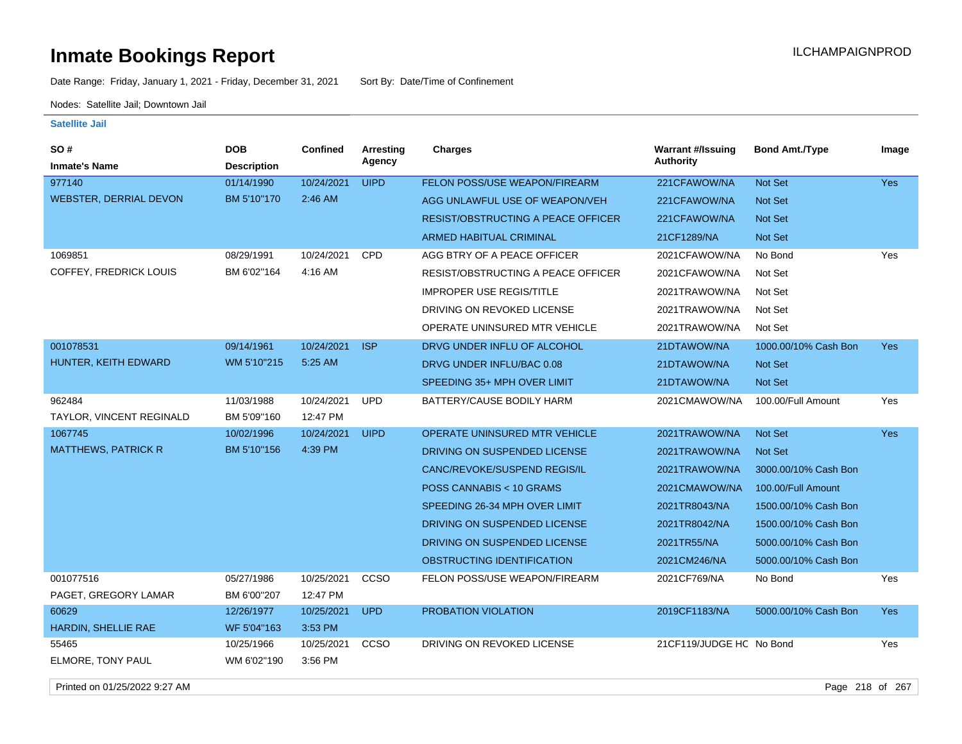Date Range: Friday, January 1, 2021 - Friday, December 31, 2021 Sort By: Date/Time of Confinement

Nodes: Satellite Jail; Downtown Jail

#### **Satellite Jail**

| SO#                           | <b>DOB</b>         | Confined   | <b>Arresting</b><br>Agency | <b>Charges</b>                            | <b>Warrant #/Issuing</b><br><b>Authority</b> | <b>Bond Amt./Type</b> | Image      |
|-------------------------------|--------------------|------------|----------------------------|-------------------------------------------|----------------------------------------------|-----------------------|------------|
| <b>Inmate's Name</b>          | <b>Description</b> |            |                            |                                           |                                              |                       |            |
| 977140                        | 01/14/1990         | 10/24/2021 | <b>UIPD</b>                | FELON POSS/USE WEAPON/FIREARM             | 221CFAWOW/NA                                 | <b>Not Set</b>        | <b>Yes</b> |
| <b>WEBSTER, DERRIAL DEVON</b> | BM 5'10"170        | 2:46 AM    |                            | AGG UNLAWFUL USE OF WEAPON/VEH            | 221CFAWOW/NA                                 | Not Set               |            |
|                               |                    |            |                            | <b>RESIST/OBSTRUCTING A PEACE OFFICER</b> | 221CFAWOW/NA                                 | <b>Not Set</b>        |            |
|                               |                    |            |                            | <b>ARMED HABITUAL CRIMINAL</b>            | 21CF1289/NA                                  | Not Set               |            |
| 1069851                       | 08/29/1991         | 10/24/2021 | <b>CPD</b>                 | AGG BTRY OF A PEACE OFFICER               | 2021CFAWOW/NA                                | No Bond               | Yes        |
| COFFEY, FREDRICK LOUIS        | BM 6'02"164        | 4:16 AM    |                            | RESIST/OBSTRUCTING A PEACE OFFICER        | 2021CFAWOW/NA                                | Not Set               |            |
|                               |                    |            |                            | <b>IMPROPER USE REGIS/TITLE</b>           | 2021TRAWOW/NA                                | Not Set               |            |
|                               |                    |            |                            | DRIVING ON REVOKED LICENSE                | 2021TRAWOW/NA                                | Not Set               |            |
|                               |                    |            |                            | OPERATE UNINSURED MTR VEHICLE             | 2021TRAWOW/NA                                | Not Set               |            |
| 001078531                     | 09/14/1961         | 10/24/2021 | <b>ISP</b>                 | DRVG UNDER INFLU OF ALCOHOL               | 21DTAWOW/NA                                  | 1000.00/10% Cash Bon  | <b>Yes</b> |
| HUNTER, KEITH EDWARD          | WM 5'10"215        | 5:25 AM    |                            | DRVG UNDER INFLU/BAC 0.08                 | 21DTAWOW/NA                                  | Not Set               |            |
|                               |                    |            |                            | SPEEDING 35+ MPH OVER LIMIT               | 21DTAWOW/NA                                  | Not Set               |            |
| 962484                        | 11/03/1988         | 10/24/2021 | <b>UPD</b>                 | BATTERY/CAUSE BODILY HARM                 | 2021CMAWOW/NA                                | 100.00/Full Amount    | Yes        |
| TAYLOR, VINCENT REGINALD      | BM 5'09"160        | 12:47 PM   |                            |                                           |                                              |                       |            |
| 1067745                       | 10/02/1996         | 10/24/2021 | <b>UIPD</b>                | <b>OPERATE UNINSURED MTR VEHICLE</b>      | 2021TRAWOW/NA                                | Not Set               | <b>Yes</b> |
| <b>MATTHEWS, PATRICK R</b>    | BM 5'10"156        | 4:39 PM    |                            | DRIVING ON SUSPENDED LICENSE              | 2021TRAWOW/NA                                | <b>Not Set</b>        |            |
|                               |                    |            |                            | CANC/REVOKE/SUSPEND REGIS/IL              | 2021TRAWOW/NA                                | 3000.00/10% Cash Bon  |            |
|                               |                    |            |                            | POSS CANNABIS < 10 GRAMS                  | 2021CMAWOW/NA                                | 100.00/Full Amount    |            |
|                               |                    |            |                            | SPEEDING 26-34 MPH OVER LIMIT             | 2021TR8043/NA                                | 1500.00/10% Cash Bon  |            |
|                               |                    |            |                            | DRIVING ON SUSPENDED LICENSE              | 2021TR8042/NA                                | 1500.00/10% Cash Bon  |            |
|                               |                    |            |                            | DRIVING ON SUSPENDED LICENSE              | 2021TR55/NA                                  | 5000.00/10% Cash Bon  |            |
|                               |                    |            |                            | OBSTRUCTING IDENTIFICATION                | 2021CM246/NA                                 | 5000.00/10% Cash Bon  |            |
| 001077516                     | 05/27/1986         | 10/25/2021 | ccso                       | FELON POSS/USE WEAPON/FIREARM             | 2021CF769/NA                                 | No Bond               | Yes        |
| PAGET, GREGORY LAMAR          | BM 6'00"207        | 12:47 PM   |                            |                                           |                                              |                       |            |
| 60629                         | 12/26/1977         | 10/25/2021 | <b>UPD</b>                 | PROBATION VIOLATION                       | 2019CF1183/NA                                | 5000.00/10% Cash Bon  | <b>Yes</b> |
| HARDIN, SHELLIE RAE           | WF 5'04"163        | 3:53 PM    |                            |                                           |                                              |                       |            |
| 55465                         | 10/25/1966         | 10/25/2021 | ccso                       | DRIVING ON REVOKED LICENSE                | 21CF119/JUDGE HC No Bond                     |                       | Yes        |
| ELMORE, TONY PAUL             | WM 6'02"190        | 3:56 PM    |                            |                                           |                                              |                       |            |

Printed on 01/25/2022 9:27 AM Page 218 of 267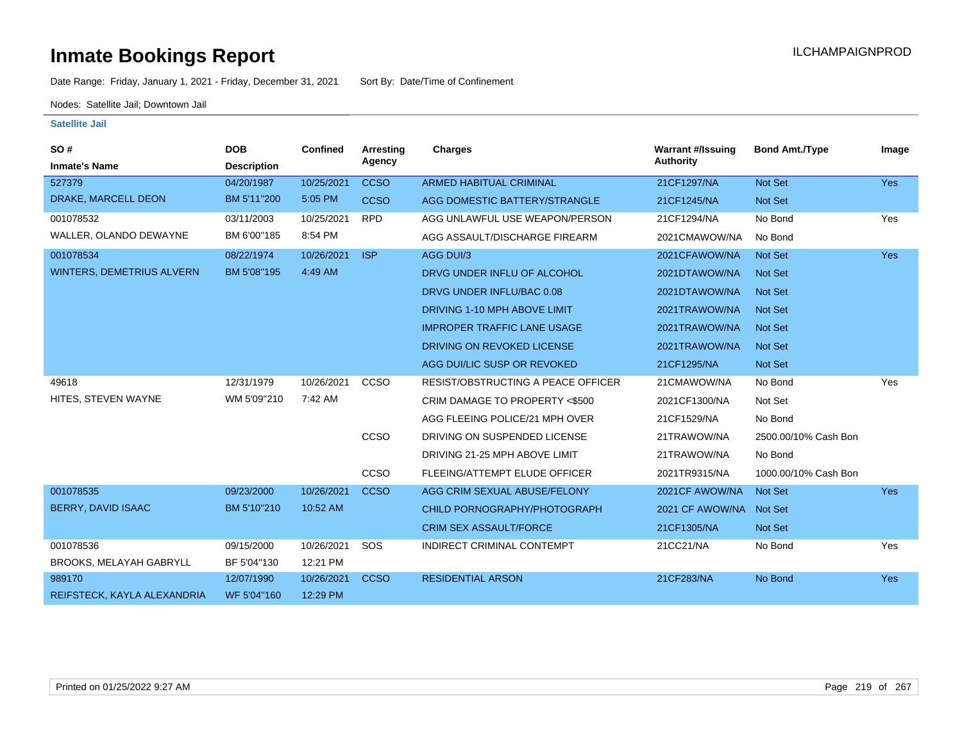Date Range: Friday, January 1, 2021 - Friday, December 31, 2021 Sort By: Date/Time of Confinement

Nodes: Satellite Jail; Downtown Jail

| <b>SO#</b><br><b>Inmate's Name</b> | <b>DOB</b><br><b>Description</b> | <b>Confined</b> | <b>Arresting</b><br>Agency | Charges                            | <b>Warrant #/Issuing</b><br><b>Authority</b> | <b>Bond Amt./Type</b> | Image |
|------------------------------------|----------------------------------|-----------------|----------------------------|------------------------------------|----------------------------------------------|-----------------------|-------|
| 527379                             | 04/20/1987                       | 10/25/2021      | <b>CCSO</b>                | <b>ARMED HABITUAL CRIMINAL</b>     | 21CF1297/NA                                  | Not Set               | Yes   |
| DRAKE, MARCELL DEON                | BM 5'11"200                      | 5:05 PM         | <b>CCSO</b>                | AGG DOMESTIC BATTERY/STRANGLE      | 21CF1245/NA                                  | Not Set               |       |
| 001078532                          | 03/11/2003                       | 10/25/2021      | <b>RPD</b>                 | AGG UNLAWFUL USE WEAPON/PERSON     | 21CF1294/NA                                  | No Bond               | Yes   |
| WALLER, OLANDO DEWAYNE             | BM 6'00"185                      | 8:54 PM         |                            | AGG ASSAULT/DISCHARGE FIREARM      | 2021CMAWOW/NA                                | No Bond               |       |
| 001078534                          | 08/22/1974                       | 10/26/2021      | <b>ISP</b>                 | AGG DUI/3                          | 2021CFAWOW/NA                                | Not Set               | Yes   |
| <b>WINTERS, DEMETRIUS ALVERN</b>   | BM 5'08"195                      | 4:49 AM         |                            | DRVG UNDER INFLU OF ALCOHOL        | 2021DTAWOW/NA                                | Not Set               |       |
|                                    |                                  |                 |                            | DRVG UNDER INFLU/BAC 0.08          | 2021DTAWOW/NA                                | Not Set               |       |
|                                    |                                  |                 |                            | DRIVING 1-10 MPH ABOVE LIMIT       | 2021TRAWOW/NA                                | Not Set               |       |
|                                    |                                  |                 |                            | <b>IMPROPER TRAFFIC LANE USAGE</b> | 2021TRAWOW/NA                                | Not Set               |       |
|                                    |                                  |                 |                            | DRIVING ON REVOKED LICENSE         | 2021TRAWOW/NA                                | Not Set               |       |
|                                    |                                  |                 |                            | AGG DUI/LIC SUSP OR REVOKED        | 21CF1295/NA                                  | Not Set               |       |
| 49618                              | 12/31/1979                       | 10/26/2021      | <b>CCSO</b>                | RESIST/OBSTRUCTING A PEACE OFFICER | 21CMAWOW/NA                                  | No Bond               | Yes   |
| HITES, STEVEN WAYNE                | WM 5'09"210                      | 7:42 AM         |                            | CRIM DAMAGE TO PROPERTY <\$500     | 2021CF1300/NA                                | Not Set               |       |
|                                    |                                  |                 |                            | AGG FLEEING POLICE/21 MPH OVER     | 21CF1529/NA                                  | No Bond               |       |
|                                    |                                  |                 | <b>CCSO</b>                | DRIVING ON SUSPENDED LICENSE       | 21TRAWOW/NA                                  | 2500.00/10% Cash Bon  |       |
|                                    |                                  |                 |                            | DRIVING 21-25 MPH ABOVE LIMIT      | 21TRAWOW/NA                                  | No Bond               |       |
|                                    |                                  |                 | <b>CCSO</b>                | FLEEING/ATTEMPT ELUDE OFFICER      | 2021TR9315/NA                                | 1000.00/10% Cash Bon  |       |
| 001078535                          | 09/23/2000                       | 10/26/2021      | <b>CCSO</b>                | AGG CRIM SEXUAL ABUSE/FELONY       | 2021 CF AWOW/NA                              | Not Set               | Yes   |
| BERRY, DAVID ISAAC                 | BM 5'10"210                      | 10:52 AM        |                            | CHILD PORNOGRAPHY/PHOTOGRAPH       | 2021 CF AWOW/NA                              | Not Set               |       |
|                                    |                                  |                 |                            | <b>CRIM SEX ASSAULT/FORCE</b>      | 21CF1305/NA                                  | Not Set               |       |
| 001078536                          | 09/15/2000                       | 10/26/2021      | SOS                        | INDIRECT CRIMINAL CONTEMPT         | 21CC21/NA                                    | No Bond               | Yes   |
| <b>BROOKS, MELAYAH GABRYLL</b>     | BF 5'04"130                      | 12:21 PM        |                            |                                    |                                              |                       |       |
| 989170                             | 12/07/1990                       | 10/26/2021      | <b>CCSO</b>                | <b>RESIDENTIAL ARSON</b>           | 21CF283/NA                                   | No Bond               | Yes   |
| REIFSTECK, KAYLA ALEXANDRIA        | WF 5'04"160                      | 12:29 PM        |                            |                                    |                                              |                       |       |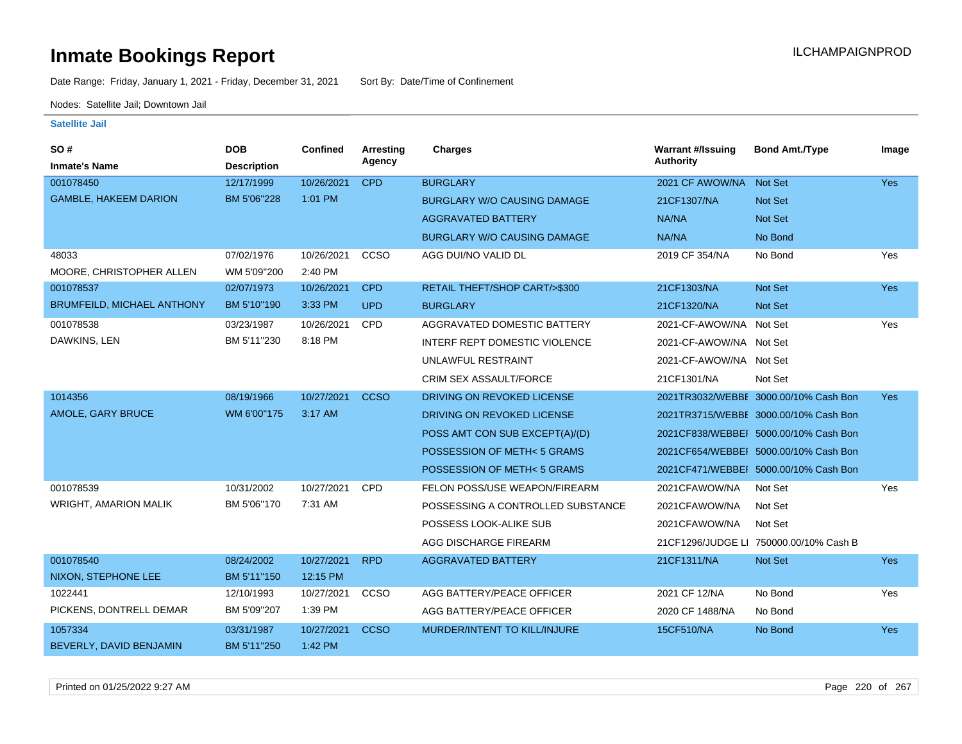Date Range: Friday, January 1, 2021 - Friday, December 31, 2021 Sort By: Date/Time of Confinement

Nodes: Satellite Jail; Downtown Jail

| SO#                               | <b>DOB</b>         | Confined   | <b>Arresting</b> | <b>Charges</b>                       | <b>Warrant #/Issuing</b> | <b>Bond Amt./Type</b>                  | Image      |
|-----------------------------------|--------------------|------------|------------------|--------------------------------------|--------------------------|----------------------------------------|------------|
| <b>Inmate's Name</b>              | <b>Description</b> |            | Agency           |                                      | <b>Authority</b>         |                                        |            |
| 001078450                         | 12/17/1999         | 10/26/2021 | <b>CPD</b>       | <b>BURGLARY</b>                      | 2021 CF AWOW/NA          | Not Set                                | <b>Yes</b> |
| <b>GAMBLE, HAKEEM DARION</b>      | BM 5'06"228        | 1:01 PM    |                  | <b>BURGLARY W/O CAUSING DAMAGE</b>   | 21CF1307/NA              | <b>Not Set</b>                         |            |
|                                   |                    |            |                  | <b>AGGRAVATED BATTERY</b>            | NA/NA                    | Not Set                                |            |
|                                   |                    |            |                  | <b>BURGLARY W/O CAUSING DAMAGE</b>   | NA/NA                    | No Bond                                |            |
| 48033                             | 07/02/1976         | 10/26/2021 | ccso             | AGG DUI/NO VALID DL                  | 2019 CF 354/NA           | No Bond                                | Yes        |
| MOORE, CHRISTOPHER ALLEN          | WM 5'09"200        | 2:40 PM    |                  |                                      |                          |                                        |            |
| 001078537                         | 02/07/1973         | 10/26/2021 | <b>CPD</b>       | RETAIL THEFT/SHOP CART/>\$300        | 21CF1303/NA              | <b>Not Set</b>                         | Yes        |
| <b>BRUMFEILD, MICHAEL ANTHONY</b> | BM 5'10"190        | 3:33 PM    | <b>UPD</b>       | <b>BURGLARY</b>                      | 21CF1320/NA              | <b>Not Set</b>                         |            |
| 001078538                         | 03/23/1987         | 10/26/2021 | <b>CPD</b>       | AGGRAVATED DOMESTIC BATTERY          | 2021-CF-AWOW/NA Not Set  |                                        | Yes        |
| DAWKINS, LEN                      | BM 5'11"230        | 8:18 PM    |                  | <b>INTERF REPT DOMESTIC VIOLENCE</b> | 2021-CF-AWOW/NA Not Set  |                                        |            |
|                                   |                    |            |                  | UNLAWFUL RESTRAINT                   | 2021-CF-AWOW/NA Not Set  |                                        |            |
|                                   |                    |            |                  | CRIM SEX ASSAULT/FORCE               | 21CF1301/NA              | Not Set                                |            |
| 1014356                           | 08/19/1966         | 10/27/2021 | <b>CCSO</b>      | DRIVING ON REVOKED LICENSE           |                          | 2021TR3032/WEBBI 3000.00/10% Cash Bon  | <b>Yes</b> |
| AMOLE, GARY BRUCE                 | WM 6'00"175        | 3:17 AM    |                  | DRIVING ON REVOKED LICENSE           |                          | 2021TR3715/WEBBE 3000.00/10% Cash Bon  |            |
|                                   |                    |            |                  | POSS AMT CON SUB EXCEPT(A)/(D)       |                          | 2021CF838/WEBBEI 5000.00/10% Cash Bon  |            |
|                                   |                    |            |                  | POSSESSION OF METH<5 GRAMS           |                          | 2021CF654/WEBBEI 5000.00/10% Cash Bon  |            |
|                                   |                    |            |                  | POSSESSION OF METH<5 GRAMS           |                          | 2021CF471/WEBBEI 5000.00/10% Cash Bon  |            |
| 001078539                         | 10/31/2002         | 10/27/2021 | <b>CPD</b>       | FELON POSS/USE WEAPON/FIREARM        | 2021CFAWOW/NA            | Not Set                                | Yes        |
| <b>WRIGHT, AMARION MALIK</b>      | BM 5'06"170        | 7:31 AM    |                  | POSSESSING A CONTROLLED SUBSTANCE    | 2021CFAWOW/NA            | Not Set                                |            |
|                                   |                    |            |                  | POSSESS LOOK-ALIKE SUB               | 2021CFAWOW/NA            | Not Set                                |            |
|                                   |                    |            |                  | AGG DISCHARGE FIREARM                |                          | 21CF1296/JUDGE LI 750000.00/10% Cash B |            |
| 001078540                         | 08/24/2002         | 10/27/2021 | <b>RPD</b>       | <b>AGGRAVATED BATTERY</b>            | 21CF1311/NA              | Not Set                                | <b>Yes</b> |
| NIXON, STEPHONE LEE               | BM 5'11"150        | 12:15 PM   |                  |                                      |                          |                                        |            |
| 1022441                           | 12/10/1993         | 10/27/2021 | CCSO             | AGG BATTERY/PEACE OFFICER            | 2021 CF 12/NA            | No Bond                                | Yes        |
| PICKENS, DONTRELL DEMAR           | BM 5'09"207        | 1:39 PM    |                  | AGG BATTERY/PEACE OFFICER            | 2020 CF 1488/NA          | No Bond                                |            |
| 1057334                           | 03/31/1987         | 10/27/2021 | <b>CCSO</b>      | MURDER/INTENT TO KILL/INJURE         | 15CF510/NA               | No Bond                                | <b>Yes</b> |
| BEVERLY, DAVID BENJAMIN           | BM 5'11"250        | 1:42 PM    |                  |                                      |                          |                                        |            |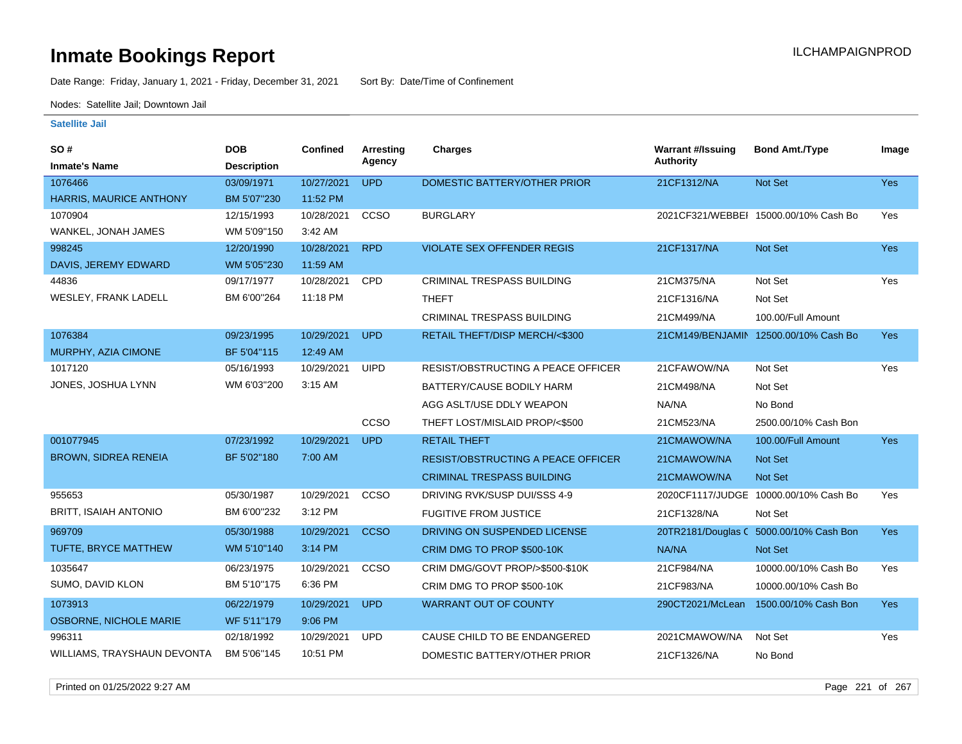Date Range: Friday, January 1, 2021 - Friday, December 31, 2021 Sort By: Date/Time of Confinement

Nodes: Satellite Jail; Downtown Jail

| SO#                           | <b>DOB</b>         | <b>Confined</b> | <b>Arresting</b> | Charges                                   | <b>Warrant #/Issuing</b> | <b>Bond Amt./Type</b>                   | Image      |
|-------------------------------|--------------------|-----------------|------------------|-------------------------------------------|--------------------------|-----------------------------------------|------------|
| <b>Inmate's Name</b>          | <b>Description</b> |                 | Agency           |                                           | <b>Authority</b>         |                                         |            |
| 1076466                       | 03/09/1971         | 10/27/2021      | <b>UPD</b>       | DOMESTIC BATTERY/OTHER PRIOR              | 21CF1312/NA              | Not Set                                 | Yes        |
| HARRIS, MAURICE ANTHONY       | BM 5'07"230        | 11:52 PM        |                  |                                           |                          |                                         |            |
| 1070904                       | 12/15/1993         | 10/28/2021      | ccso             | <b>BURGLARY</b>                           |                          | 2021CF321/WEBBEI 15000.00/10% Cash Bo   | Yes        |
| WANKEL, JONAH JAMES           | WM 5'09"150        | 3:42 AM         |                  |                                           |                          |                                         |            |
| 998245                        | 12/20/1990         | 10/28/2021      | <b>RPD</b>       | <b>VIOLATE SEX OFFENDER REGIS</b>         | 21CF1317/NA              | Not Set                                 | Yes        |
| DAVIS, JEREMY EDWARD          | WM 5'05"230        | 11:59 AM        |                  |                                           |                          |                                         |            |
| 44836                         | 09/17/1977         | 10/28/2021      | <b>CPD</b>       | <b>CRIMINAL TRESPASS BUILDING</b>         | 21CM375/NA               | Not Set                                 | Yes        |
| WESLEY, FRANK LADELL          | BM 6'00"264        | 11:18 PM        |                  | <b>THEFT</b>                              | 21CF1316/NA              | Not Set                                 |            |
|                               |                    |                 |                  | CRIMINAL TRESPASS BUILDING                | 21CM499/NA               | 100.00/Full Amount                      |            |
| 1076384                       | 09/23/1995         | 10/29/2021      | <b>UPD</b>       | RETAIL THEFT/DISP MERCH/<\$300            |                          | 21CM149/BENJAMIN 12500.00/10% Cash Bo   | <b>Yes</b> |
| MURPHY, AZIA CIMONE           | BF 5'04"115        | 12:49 AM        |                  |                                           |                          |                                         |            |
| 1017120                       | 05/16/1993         | 10/29/2021      | <b>UIPD</b>      | RESIST/OBSTRUCTING A PEACE OFFICER        | 21CFAWOW/NA              | Not Set                                 | Yes        |
| JONES, JOSHUA LYNN            | WM 6'03"200        | 3:15 AM         |                  | BATTERY/CAUSE BODILY HARM                 | 21CM498/NA               | Not Set                                 |            |
|                               |                    |                 |                  | AGG ASLT/USE DDLY WEAPON                  | NA/NA                    | No Bond                                 |            |
|                               |                    |                 | CCSO             | THEFT LOST/MISLAID PROP/<\$500            | 21CM523/NA               | 2500.00/10% Cash Bon                    |            |
| 001077945                     | 07/23/1992         | 10/29/2021      | <b>UPD</b>       | <b>RETAIL THEFT</b>                       | 21CMAWOW/NA              | 100.00/Full Amount                      | Yes        |
| <b>BROWN, SIDREA RENEIA</b>   | BF 5'02"180        | 7:00 AM         |                  | <b>RESIST/OBSTRUCTING A PEACE OFFICER</b> | 21CMAWOW/NA              | Not Set                                 |            |
|                               |                    |                 |                  | <b>CRIMINAL TRESPASS BUILDING</b>         | 21CMAWOW/NA              | Not Set                                 |            |
| 955653                        | 05/30/1987         | 10/29/2021      | CCSO             | DRIVING RVK/SUSP DUI/SSS 4-9              |                          | 2020CF1117/JUDGE 10000.00/10% Cash Bo   | Yes        |
| <b>BRITT, ISAIAH ANTONIO</b>  | BM 6'00"232        | 3:12 PM         |                  | <b>FUGITIVE FROM JUSTICE</b>              | 21CF1328/NA              | Not Set                                 |            |
| 969709                        | 05/30/1988         | 10/29/2021      | <b>CCSO</b>      | DRIVING ON SUSPENDED LICENSE              |                          | 20TR2181/Douglas C 5000.00/10% Cash Bon | Yes        |
| <b>TUFTE, BRYCE MATTHEW</b>   | WM 5'10"140        | 3:14 PM         |                  | CRIM DMG TO PROP \$500-10K                | NA/NA                    | Not Set                                 |            |
| 1035647                       | 06/23/1975         | 10/29/2021      | ccso             | CRIM DMG/GOVT PROP/>\$500-\$10K           | 21CF984/NA               | 10000.00/10% Cash Bo                    | Yes        |
| SUMO, DAVID KLON              | BM 5'10"175        | 6:36 PM         |                  | CRIM DMG TO PROP \$500-10K                | 21CF983/NA               | 10000.00/10% Cash Bo                    |            |
| 1073913                       | 06/22/1979         | 10/29/2021      | <b>UPD</b>       | <b>WARRANT OUT OF COUNTY</b>              | 290CT2021/McLean         | 1500.00/10% Cash Bon                    | Yes        |
| <b>OSBORNE, NICHOLE MARIE</b> | WF 5'11"179        | 9:06 PM         |                  |                                           |                          |                                         |            |
| 996311                        | 02/18/1992         | 10/29/2021      | <b>UPD</b>       | CAUSE CHILD TO BE ENDANGERED              | 2021CMAWOW/NA            | Not Set                                 | Yes        |
| WILLIAMS, TRAYSHAUN DEVONTA   | BM 5'06"145        | 10:51 PM        |                  | DOMESTIC BATTERY/OTHER PRIOR              | 21CF1326/NA              | No Bond                                 |            |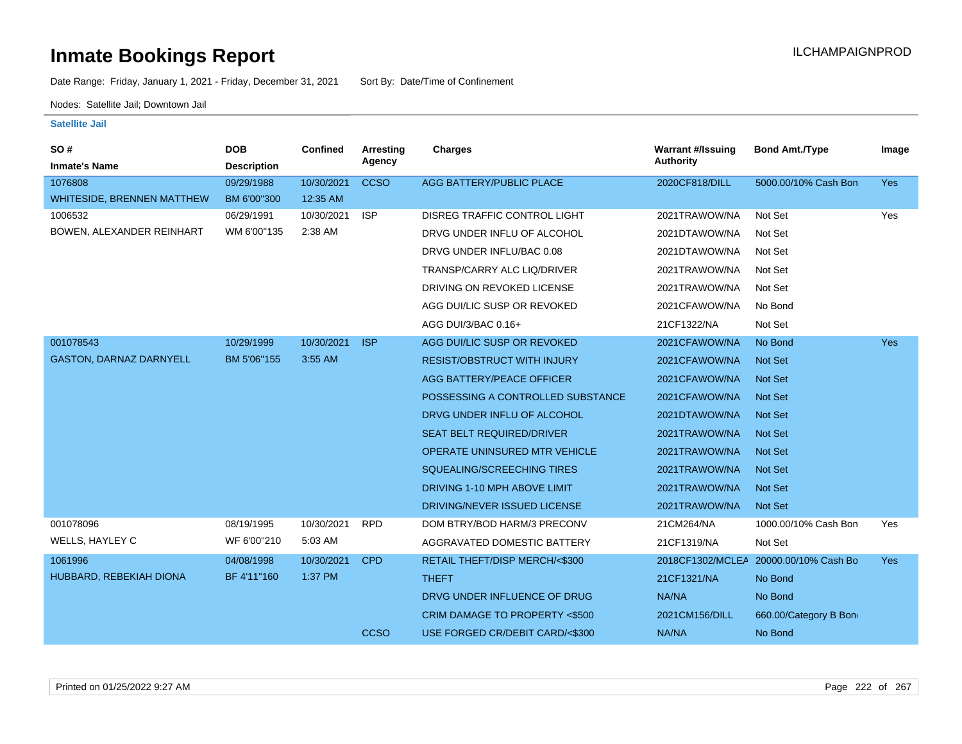Date Range: Friday, January 1, 2021 - Friday, December 31, 2021 Sort By: Date/Time of Confinement

Nodes: Satellite Jail; Downtown Jail

| SO#<br><b>Inmate's Name</b>    | <b>DOB</b><br><b>Description</b> | Confined   | <b>Arresting</b><br>Agency | Charges                              | <b>Warrant #/Issuing</b><br><b>Authority</b> | <b>Bond Amt./Type</b>                 | Image      |
|--------------------------------|----------------------------------|------------|----------------------------|--------------------------------------|----------------------------------------------|---------------------------------------|------------|
| 1076808                        | 09/29/1988                       | 10/30/2021 | <b>CCSO</b>                | AGG BATTERY/PUBLIC PLACE             | 2020CF818/DILL                               | 5000.00/10% Cash Bon                  | Yes        |
| WHITESIDE, BRENNEN MATTHEW     | BM 6'00"300                      | 12:35 AM   |                            |                                      |                                              |                                       |            |
| 1006532                        | 06/29/1991                       | 10/30/2021 | <b>ISP</b>                 | DISREG TRAFFIC CONTROL LIGHT         | 2021TRAWOW/NA                                | Not Set                               | Yes        |
| BOWEN, ALEXANDER REINHART      | WM 6'00"135                      | 2:38 AM    |                            | DRVG UNDER INFLU OF ALCOHOL          | 2021DTAWOW/NA                                | Not Set                               |            |
|                                |                                  |            |                            | DRVG UNDER INFLU/BAC 0.08            | 2021DTAWOW/NA                                | Not Set                               |            |
|                                |                                  |            |                            | TRANSP/CARRY ALC LIQ/DRIVER          | 2021TRAWOW/NA                                | Not Set                               |            |
|                                |                                  |            |                            | DRIVING ON REVOKED LICENSE           | 2021TRAWOW/NA                                | Not Set                               |            |
|                                |                                  |            |                            | AGG DUI/LIC SUSP OR REVOKED          | 2021CFAWOW/NA                                | No Bond                               |            |
|                                |                                  |            |                            | AGG DUI/3/BAC 0.16+                  | 21CF1322/NA                                  | Not Set                               |            |
| 001078543                      | 10/29/1999                       | 10/30/2021 | <b>ISP</b>                 | AGG DUI/LIC SUSP OR REVOKED          | 2021CFAWOW/NA                                | No Bond                               | Yes        |
| <b>GASTON, DARNAZ DARNYELL</b> | BM 5'06"155                      | 3:55 AM    |                            | <b>RESIST/OBSTRUCT WITH INJURY</b>   | 2021CFAWOW/NA                                | Not Set                               |            |
|                                |                                  |            |                            | AGG BATTERY/PEACE OFFICER            | 2021CFAWOW/NA                                | <b>Not Set</b>                        |            |
|                                |                                  |            |                            | POSSESSING A CONTROLLED SUBSTANCE    | 2021CFAWOW/NA                                | <b>Not Set</b>                        |            |
|                                |                                  |            |                            | DRVG UNDER INFLU OF ALCOHOL          | 2021DTAWOW/NA                                | <b>Not Set</b>                        |            |
|                                |                                  |            |                            | <b>SEAT BELT REQUIRED/DRIVER</b>     | 2021TRAWOW/NA                                | <b>Not Set</b>                        |            |
|                                |                                  |            |                            | <b>OPERATE UNINSURED MTR VEHICLE</b> | 2021TRAWOW/NA                                | <b>Not Set</b>                        |            |
|                                |                                  |            |                            | SQUEALING/SCREECHING TIRES           | 2021TRAWOW/NA                                | <b>Not Set</b>                        |            |
|                                |                                  |            |                            | DRIVING 1-10 MPH ABOVE LIMIT         | 2021TRAWOW/NA                                | <b>Not Set</b>                        |            |
|                                |                                  |            |                            | DRIVING/NEVER ISSUED LICENSE         | 2021TRAWOW/NA                                | Not Set                               |            |
| 001078096                      | 08/19/1995                       | 10/30/2021 | <b>RPD</b>                 | DOM BTRY/BOD HARM/3 PRECONV          | 21CM264/NA                                   | 1000.00/10% Cash Bon                  | Yes        |
| WELLS, HAYLEY C                | WF 6'00"210                      | 5:03 AM    |                            | AGGRAVATED DOMESTIC BATTERY          | 21CF1319/NA                                  | Not Set                               |            |
| 1061996                        | 04/08/1998                       | 10/30/2021 | <b>CPD</b>                 | RETAIL THEFT/DISP MERCH/<\$300       |                                              | 2018CF1302/MCLEA 20000.00/10% Cash Bo | <b>Yes</b> |
| HUBBARD, REBEKIAH DIONA        | BF 4'11"160                      | 1:37 PM    |                            | <b>THEFT</b>                         | 21CF1321/NA                                  | No Bond                               |            |
|                                |                                  |            |                            | DRVG UNDER INFLUENCE OF DRUG         | NA/NA                                        | No Bond                               |            |
|                                |                                  |            |                            | CRIM DAMAGE TO PROPERTY <\$500       | 2021CM156/DILL                               | 660.00/Category B Bon                 |            |
|                                |                                  |            | <b>CCSO</b>                | USE FORGED CR/DEBIT CARD/<\$300      | NA/NA                                        | No Bond                               |            |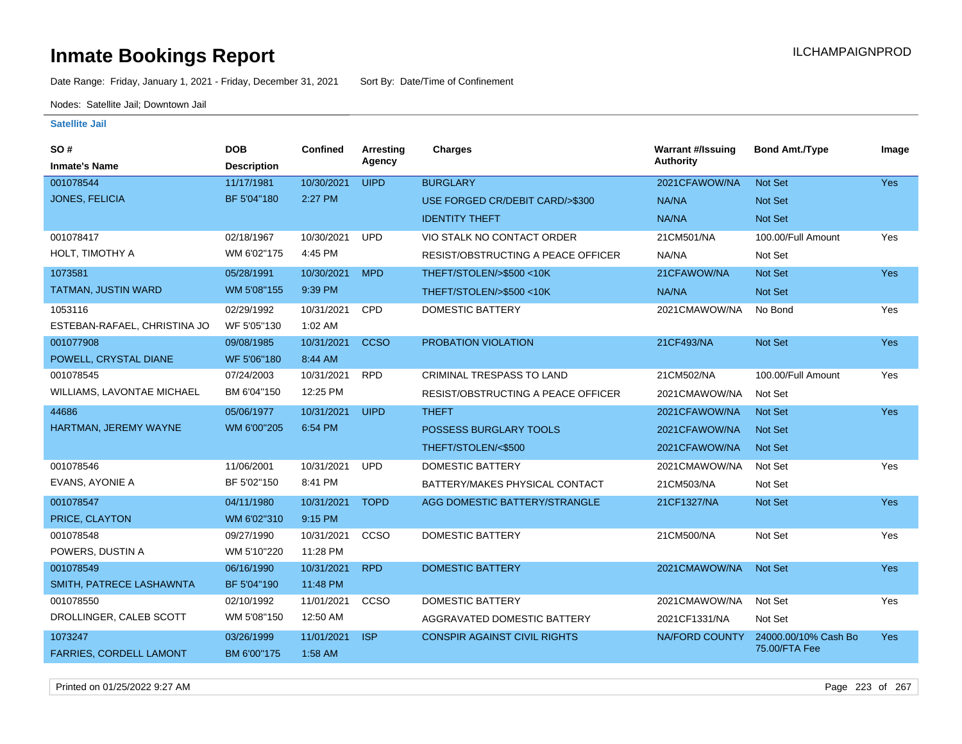Date Range: Friday, January 1, 2021 - Friday, December 31, 2021 Sort By: Date/Time of Confinement

Nodes: Satellite Jail; Downtown Jail

| SO#                            | <b>DOB</b>         | Confined   | Arresting   | <b>Charges</b>                            | <b>Warrant #/Issuing</b> | <b>Bond Amt./Type</b> | Image      |
|--------------------------------|--------------------|------------|-------------|-------------------------------------------|--------------------------|-----------------------|------------|
| <b>Inmate's Name</b>           | <b>Description</b> |            | Agency      |                                           | Authority                |                       |            |
| 001078544                      | 11/17/1981         | 10/30/2021 | <b>UIPD</b> | <b>BURGLARY</b>                           | 2021CFAWOW/NA            | Not Set               | <b>Yes</b> |
| <b>JONES, FELICIA</b>          | BF 5'04"180        | 2:27 PM    |             | USE FORGED CR/DEBIT CARD/>\$300           | NA/NA                    | Not Set               |            |
|                                |                    |            |             | <b>IDENTITY THEFT</b>                     | NA/NA                    | Not Set               |            |
| 001078417                      | 02/18/1967         | 10/30/2021 | <b>UPD</b>  | VIO STALK NO CONTACT ORDER                | 21CM501/NA               | 100.00/Full Amount    | Yes        |
| HOLT, TIMOTHY A                | WM 6'02"175        | 4:45 PM    |             | RESIST/OBSTRUCTING A PEACE OFFICER        | NA/NA                    | Not Set               |            |
| 1073581                        | 05/28/1991         | 10/30/2021 | <b>MPD</b>  | THEFT/STOLEN/>\$500 <10K                  | 21CFAWOW/NA              | <b>Not Set</b>        | <b>Yes</b> |
| TATMAN, JUSTIN WARD            | WM 5'08"155        | 9:39 PM    |             | THEFT/STOLEN/>\$500 <10K                  | NA/NA                    | Not Set               |            |
| 1053116                        | 02/29/1992         | 10/31/2021 | CPD         | <b>DOMESTIC BATTERY</b>                   | 2021CMAWOW/NA            | No Bond               | Yes        |
| ESTEBAN-RAFAEL, CHRISTINA JO   | WF 5'05"130        | 1:02 AM    |             |                                           |                          |                       |            |
| 001077908                      | 09/08/1985         | 10/31/2021 | <b>CCSO</b> | PROBATION VIOLATION                       | 21CF493/NA               | Not Set               | <b>Yes</b> |
| POWELL, CRYSTAL DIANE          | WF 5'06"180        | 8:44 AM    |             |                                           |                          |                       |            |
| 001078545                      | 07/24/2003         | 10/31/2021 | <b>RPD</b>  | CRIMINAL TRESPASS TO LAND                 | 21CM502/NA               | 100.00/Full Amount    | Yes        |
| WILLIAMS, LAVONTAE MICHAEL     | BM 6'04"150        | 12:25 PM   |             | <b>RESIST/OBSTRUCTING A PEACE OFFICER</b> | 2021CMAWOW/NA            | Not Set               |            |
| 44686                          | 05/06/1977         | 10/31/2021 | <b>UIPD</b> | <b>THEFT</b>                              | 2021CFAWOW/NA            | Not Set               | <b>Yes</b> |
| HARTMAN, JEREMY WAYNE          | WM 6'00"205        | 6:54 PM    |             | <b>POSSESS BURGLARY TOOLS</b>             | 2021CFAWOW/NA            | <b>Not Set</b>        |            |
|                                |                    |            |             | THEFT/STOLEN/<\$500                       | 2021CFAWOW/NA            | <b>Not Set</b>        |            |
| 001078546                      | 11/06/2001         | 10/31/2021 | <b>UPD</b>  | <b>DOMESTIC BATTERY</b>                   | 2021CMAWOW/NA            | Not Set               | Yes        |
| EVANS, AYONIE A                | BF 5'02"150        | 8:41 PM    |             | BATTERY/MAKES PHYSICAL CONTACT            | 21CM503/NA               | Not Set               |            |
| 001078547                      | 04/11/1980         | 10/31/2021 | <b>TOPD</b> | AGG DOMESTIC BATTERY/STRANGLE             | 21CF1327/NA              | Not Set               | <b>Yes</b> |
| PRICE, CLAYTON                 | WM 6'02"310        | 9:15 PM    |             |                                           |                          |                       |            |
| 001078548                      | 09/27/1990         | 10/31/2021 | CCSO        | <b>DOMESTIC BATTERY</b>                   | 21CM500/NA               | Not Set               | Yes        |
| POWERS, DUSTIN A               | WM 5'10"220        | 11:28 PM   |             |                                           |                          |                       |            |
| 001078549                      | 06/16/1990         | 10/31/2021 | <b>RPD</b>  | <b>DOMESTIC BATTERY</b>                   | 2021CMAWOW/NA            | <b>Not Set</b>        | <b>Yes</b> |
| SMITH, PATRECE LASHAWNTA       | BF 5'04"190        | 11:48 PM   |             |                                           |                          |                       |            |
| 001078550                      | 02/10/1992         | 11/01/2021 | CCSO        | <b>DOMESTIC BATTERY</b>                   | 2021CMAWOW/NA            | Not Set               | Yes        |
| DROLLINGER, CALEB SCOTT        | WM 5'08"150        | 12:50 AM   |             | AGGRAVATED DOMESTIC BATTERY               | 2021CF1331/NA            | Not Set               |            |
| 1073247                        | 03/26/1999         | 11/01/2021 | <b>ISP</b>  | <b>CONSPIR AGAINST CIVIL RIGHTS</b>       | <b>NA/FORD COUNTY</b>    | 24000.00/10% Cash Bo  | <b>Yes</b> |
| <b>FARRIES, CORDELL LAMONT</b> | BM 6'00"175        | 1:58 AM    |             |                                           |                          | 75.00/FTA Fee         |            |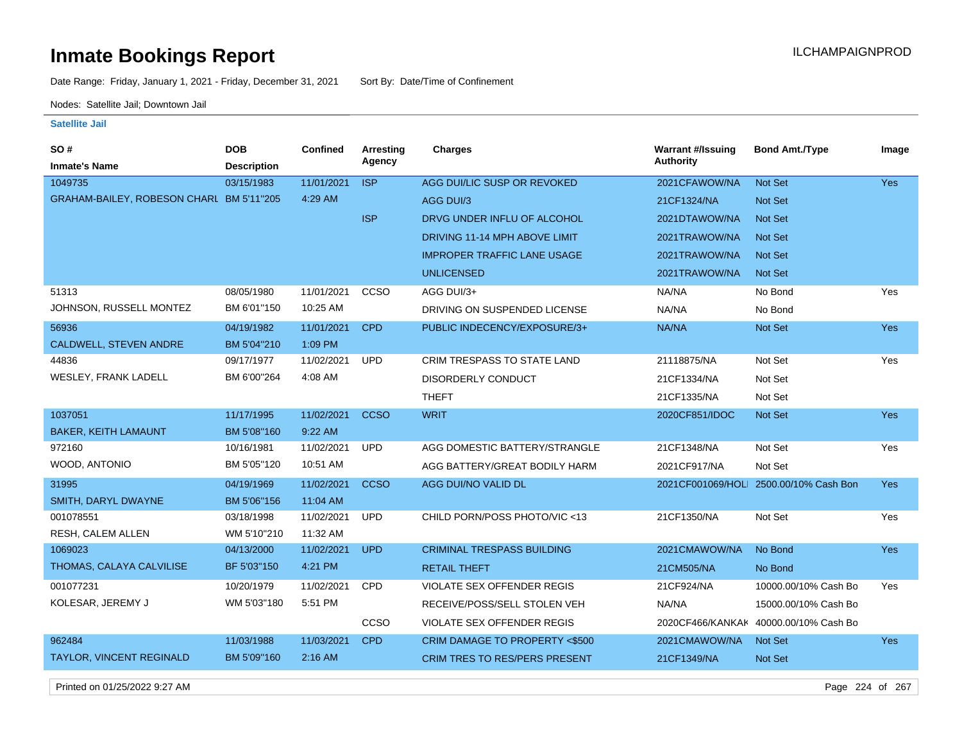Date Range: Friday, January 1, 2021 - Friday, December 31, 2021 Sort By: Date/Time of Confinement

Nodes: Satellite Jail; Downtown Jail

### **Satellite Jail**

| <b>SO#</b>                               | <b>DOB</b>         | Confined   | Arresting   | <b>Charges</b>                       | <b>Warrant #/Issuing</b> | <b>Bond Amt./Type</b>                  | Image      |
|------------------------------------------|--------------------|------------|-------------|--------------------------------------|--------------------------|----------------------------------------|------------|
| <b>Inmate's Name</b>                     | <b>Description</b> |            | Agency      |                                      | Authority                |                                        |            |
| 1049735                                  | 03/15/1983         | 11/01/2021 | <b>ISP</b>  | AGG DUI/LIC SUSP OR REVOKED          | 2021CFAWOW/NA            | Not Set                                | <b>Yes</b> |
| GRAHAM-BAILEY, ROBESON CHARL BM 5'11"205 |                    | 4:29 AM    |             | AGG DUI/3                            | 21CF1324/NA              | Not Set                                |            |
|                                          |                    |            | <b>ISP</b>  | DRVG UNDER INFLU OF ALCOHOL          | 2021DTAWOW/NA            | Not Set                                |            |
|                                          |                    |            |             | DRIVING 11-14 MPH ABOVE LIMIT        | 2021TRAWOW/NA            | <b>Not Set</b>                         |            |
|                                          |                    |            |             | <b>IMPROPER TRAFFIC LANE USAGE</b>   | 2021TRAWOW/NA            | Not Set                                |            |
|                                          |                    |            |             | <b>UNLICENSED</b>                    | 2021TRAWOW/NA            | <b>Not Set</b>                         |            |
| 51313                                    | 08/05/1980         | 11/01/2021 | CCSO        | AGG DUI/3+                           | NA/NA                    | No Bond                                | Yes        |
| JOHNSON, RUSSELL MONTEZ                  | BM 6'01"150        | 10:25 AM   |             | DRIVING ON SUSPENDED LICENSE         | NA/NA                    | No Bond                                |            |
| 56936                                    | 04/19/1982         | 11/01/2021 | <b>CPD</b>  | PUBLIC INDECENCY/EXPOSURE/3+         | NA/NA                    | Not Set                                | Yes        |
| CALDWELL, STEVEN ANDRE                   | BM 5'04"210        | 1:09 PM    |             |                                      |                          |                                        |            |
| 44836                                    | 09/17/1977         | 11/02/2021 | <b>UPD</b>  | CRIM TRESPASS TO STATE LAND          | 21118875/NA              | Not Set                                | Yes        |
| WESLEY, FRANK LADELL                     | BM 6'00"264        | 4:08 AM    |             | <b>DISORDERLY CONDUCT</b>            | 21CF1334/NA              | Not Set                                |            |
|                                          |                    |            |             | <b>THEFT</b>                         | 21CF1335/NA              | Not Set                                |            |
| 1037051                                  | 11/17/1995         | 11/02/2021 | <b>CCSO</b> | <b>WRIT</b>                          | 2020CF851/IDOC           | Not Set                                | <b>Yes</b> |
| <b>BAKER, KEITH LAMAUNT</b>              | BM 5'08"160        | 9:22 AM    |             |                                      |                          |                                        |            |
| 972160                                   | 10/16/1981         | 11/02/2021 | <b>UPD</b>  | AGG DOMESTIC BATTERY/STRANGLE        | 21CF1348/NA              | Not Set                                | Yes        |
| WOOD, ANTONIO                            | BM 5'05"120        | 10:51 AM   |             | AGG BATTERY/GREAT BODILY HARM        | 2021CF917/NA             | Not Set                                |            |
| 31995                                    | 04/19/1969         | 11/02/2021 | <b>CCSO</b> | AGG DUI/NO VALID DL                  |                          | 2021CF001069/HOLI 2500.00/10% Cash Bon | Yes        |
| SMITH, DARYL DWAYNE                      | BM 5'06"156        | 11:04 AM   |             |                                      |                          |                                        |            |
| 001078551                                | 03/18/1998         | 11/02/2021 | <b>UPD</b>  | CHILD PORN/POSS PHOTO/VIC <13        | 21CF1350/NA              | Not Set                                | Yes        |
| RESH, CALEM ALLEN                        | WM 5'10"210        | 11:32 AM   |             |                                      |                          |                                        |            |
| 1069023                                  | 04/13/2000         | 11/02/2021 | <b>UPD</b>  | <b>CRIMINAL TRESPASS BUILDING</b>    | 2021CMAWOW/NA            | No Bond                                | Yes        |
| THOMAS, CALAYA CALVILISE                 | BF 5'03"150        | 4:21 PM    |             | <b>RETAIL THEFT</b>                  | 21CM505/NA               | No Bond                                |            |
| 001077231                                | 10/20/1979         | 11/02/2021 | <b>CPD</b>  | VIOLATE SEX OFFENDER REGIS           | 21CF924/NA               | 10000.00/10% Cash Bo                   | Yes        |
| KOLESAR, JEREMY J                        | WM 5'03"180        | 5:51 PM    |             | RECEIVE/POSS/SELL STOLEN VEH         | NA/NA                    | 15000.00/10% Cash Bo                   |            |
|                                          |                    |            | CCSO        | VIOLATE SEX OFFENDER REGIS           |                          | 2020CF466/KANKAK 40000.00/10% Cash Bo  |            |
| 962484                                   | 11/03/1988         | 11/03/2021 | <b>CPD</b>  | CRIM DAMAGE TO PROPERTY <\$500       | 2021CMAWOW/NA            | Not Set                                | Yes        |
| TAYLOR, VINCENT REGINALD                 | BM 5'09"160        | 2:16 AM    |             | <b>CRIM TRES TO RES/PERS PRESENT</b> | 21CF1349/NA              | Not Set                                |            |
|                                          |                    |            |             |                                      |                          |                                        |            |

Printed on 01/25/2022 9:27 AM Page 224 of 267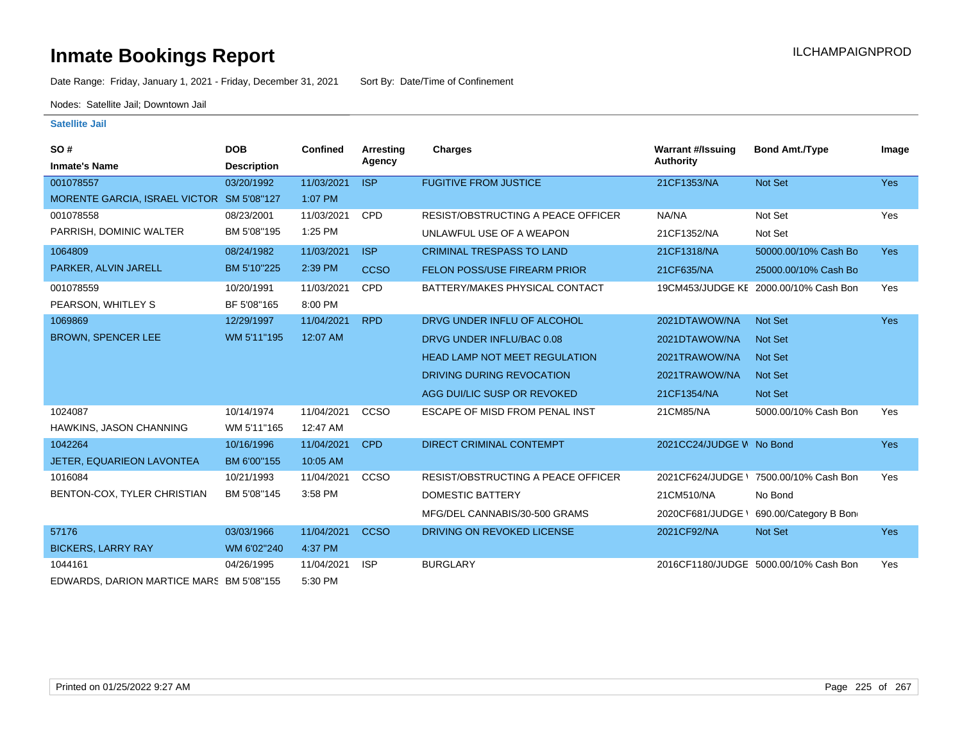Date Range: Friday, January 1, 2021 - Friday, December 31, 2021 Sort By: Date/Time of Confinement

Nodes: Satellite Jail; Downtown Jail

| SO#                                       | <b>DOB</b>         | Confined   | Arresting   | <b>Charges</b>                       | <b>Warrant #/Issuing</b> | <b>Bond Amt./Type</b>                 | Image      |
|-------------------------------------------|--------------------|------------|-------------|--------------------------------------|--------------------------|---------------------------------------|------------|
| <b>Inmate's Name</b>                      | <b>Description</b> |            | Agency      |                                      | <b>Authority</b>         |                                       |            |
| 001078557                                 | 03/20/1992         | 11/03/2021 | <b>ISP</b>  | <b>FUGITIVE FROM JUSTICE</b>         | 21CF1353/NA              | Not Set                               | <b>Yes</b> |
| MORENTE GARCIA, ISRAEL VICTOR SM 5'08"127 |                    | 1:07 PM    |             |                                      |                          |                                       |            |
| 001078558                                 | 08/23/2001         | 11/03/2021 | <b>CPD</b>  | RESIST/OBSTRUCTING A PEACE OFFICER   | NA/NA                    | Not Set                               | Yes        |
| PARRISH, DOMINIC WALTER                   | BM 5'08"195        | 1:25 PM    |             | UNLAWFUL USE OF A WEAPON             | 21CF1352/NA              | Not Set                               |            |
| 1064809                                   | 08/24/1982         | 11/03/2021 | <b>ISP</b>  | <b>CRIMINAL TRESPASS TO LAND</b>     | 21CF1318/NA              | 50000.00/10% Cash Bo                  | <b>Yes</b> |
| PARKER, ALVIN JARELL                      | BM 5'10"225        | 2:39 PM    | <b>CCSO</b> | <b>FELON POSS/USE FIREARM PRIOR</b>  | 21CF635/NA               | 25000.00/10% Cash Bo                  |            |
| 001078559                                 | 10/20/1991         | 11/03/2021 | <b>CPD</b>  | BATTERY/MAKES PHYSICAL CONTACT       |                          | 19CM453/JUDGE KE 2000.00/10% Cash Bon | Yes        |
| PEARSON, WHITLEY S                        | BF 5'08"165        | 8:00 PM    |             |                                      |                          |                                       |            |
| 1069869                                   | 12/29/1997         | 11/04/2021 | <b>RPD</b>  | DRVG UNDER INFLU OF ALCOHOL          | 2021DTAWOW/NA            | <b>Not Set</b>                        | <b>Yes</b> |
| <b>BROWN, SPENCER LEE</b>                 | WM 5'11"195        | 12:07 AM   |             | DRVG UNDER INFLU/BAC 0.08            | 2021DTAWOW/NA            | <b>Not Set</b>                        |            |
|                                           |                    |            |             | <b>HEAD LAMP NOT MEET REGULATION</b> | 2021TRAWOW/NA            | <b>Not Set</b>                        |            |
|                                           |                    |            |             | DRIVING DURING REVOCATION            | 2021TRAWOW/NA            | <b>Not Set</b>                        |            |
|                                           |                    |            |             | AGG DUI/LIC SUSP OR REVOKED          | 21CF1354/NA              | <b>Not Set</b>                        |            |
| 1024087                                   | 10/14/1974         | 11/04/2021 | CCSO        | ESCAPE OF MISD FROM PENAL INST       | 21CM85/NA                | 5000.00/10% Cash Bon                  | Yes        |
| HAWKINS, JASON CHANNING                   | WM 5'11"165        | 12:47 AM   |             |                                      |                          |                                       |            |
| 1042264                                   | 10/16/1996         | 11/04/2021 | <b>CPD</b>  | DIRECT CRIMINAL CONTEMPT             | 2021CC24/JUDGE W No Bond |                                       | <b>Yes</b> |
| JETER, EQUARIEON LAVONTEA                 | BM 6'00"155        | 10:05 AM   |             |                                      |                          |                                       |            |
| 1016084                                   | 10/21/1993         | 11/04/2021 | <b>CCSO</b> | RESIST/OBSTRUCTING A PEACE OFFICER   | 2021CF624/JUDGE \        | 7500.00/10% Cash Bon                  | Yes        |
| BENTON-COX, TYLER CHRISTIAN               | BM 5'08"145        | 3:58 PM    |             | DOMESTIC BATTERY                     | 21CM510/NA               | No Bond                               |            |
|                                           |                    |            |             | MFG/DEL CANNABIS/30-500 GRAMS        | 2020CF681/JUDGE          | 690.00/Category B Bon                 |            |
| 57176                                     | 03/03/1966         | 11/04/2021 | <b>CCSO</b> | DRIVING ON REVOKED LICENSE           | 2021CF92/NA              | Not Set                               | <b>Yes</b> |
| <b>BICKERS, LARRY RAY</b>                 | WM 6'02"240        | 4:37 PM    |             |                                      |                          |                                       |            |
| 1044161                                   | 04/26/1995         | 11/04/2021 | <b>ISP</b>  | <b>BURGLARY</b>                      |                          | 2016CF1180/JUDGE 5000.00/10% Cash Bon | Yes        |
| EDWARDS, DARION MARTICE MARS BM 5'08"155  |                    | 5:30 PM    |             |                                      |                          |                                       |            |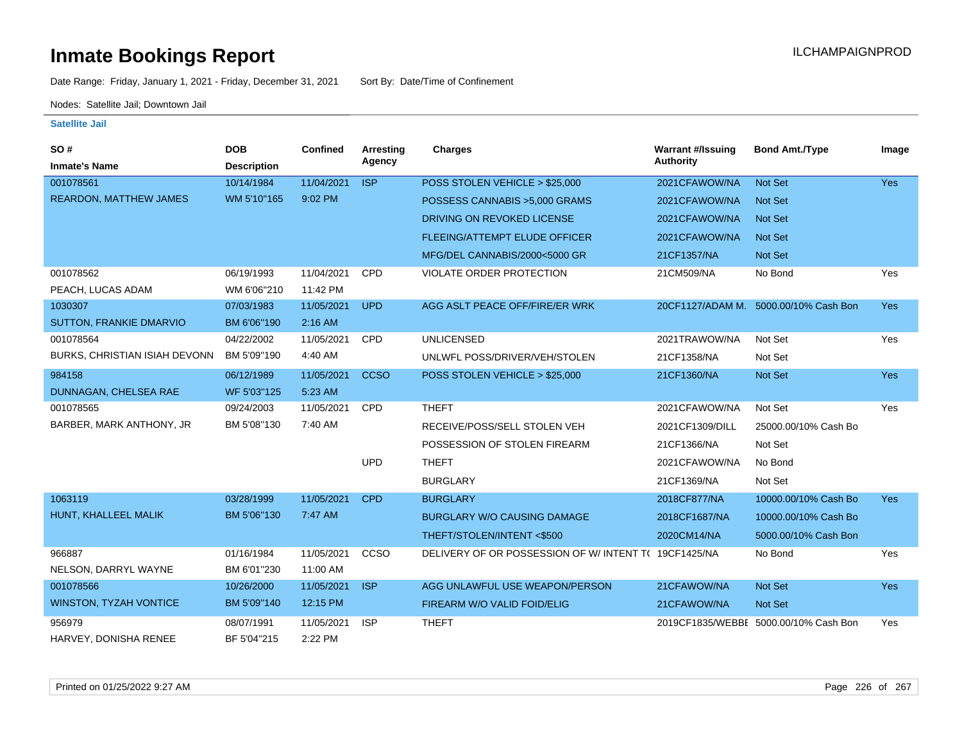Date Range: Friday, January 1, 2021 - Friday, December 31, 2021 Sort By: Date/Time of Confinement

Nodes: Satellite Jail; Downtown Jail

| SO#                           | <b>DOB</b>         | Confined   | Arresting<br>Agency | <b>Charges</b>                                        | <b>Warrant #/Issuing</b><br><b>Authority</b> | <b>Bond Amt./Type</b>                 | Image      |
|-------------------------------|--------------------|------------|---------------------|-------------------------------------------------------|----------------------------------------------|---------------------------------------|------------|
| <b>Inmate's Name</b>          | <b>Description</b> |            |                     |                                                       |                                              |                                       |            |
| 001078561                     | 10/14/1984         | 11/04/2021 | <b>ISP</b>          | POSS STOLEN VEHICLE > \$25,000                        | 2021CFAWOW/NA                                | <b>Not Set</b>                        | <b>Yes</b> |
| <b>REARDON, MATTHEW JAMES</b> | WM 5'10"165        | 9:02 PM    |                     | POSSESS CANNABIS > 5,000 GRAMS                        | 2021CFAWOW/NA                                | <b>Not Set</b>                        |            |
|                               |                    |            |                     | DRIVING ON REVOKED LICENSE                            | 2021CFAWOW/NA                                | <b>Not Set</b>                        |            |
|                               |                    |            |                     | FLEEING/ATTEMPT ELUDE OFFICER                         | 2021CFAWOW/NA                                | <b>Not Set</b>                        |            |
|                               |                    |            |                     | MFG/DEL CANNABIS/2000<5000 GR                         | 21CF1357/NA                                  | <b>Not Set</b>                        |            |
| 001078562                     | 06/19/1993         | 11/04/2021 | <b>CPD</b>          | VIOLATE ORDER PROTECTION                              | 21CM509/NA                                   | No Bond                               | Yes        |
| PEACH, LUCAS ADAM             | WM 6'06"210        | 11:42 PM   |                     |                                                       |                                              |                                       |            |
| 1030307                       | 07/03/1983         | 11/05/2021 | <b>UPD</b>          | AGG ASLT PEACE OFF/FIRE/ER WRK                        | 20CF1127/ADAM M.                             | 5000.00/10% Cash Bon                  | <b>Yes</b> |
| SUTTON, FRANKIE DMARVIO       | BM 6'06"190        | 2:16 AM    |                     |                                                       |                                              |                                       |            |
| 001078564                     | 04/22/2002         | 11/05/2021 | <b>CPD</b>          | <b>UNLICENSED</b>                                     | 2021TRAWOW/NA                                | Not Set                               | Yes        |
| BURKS, CHRISTIAN ISIAH DEVONN | BM 5'09"190        | 4:40 AM    |                     | UNLWFL POSS/DRIVER/VEH/STOLEN                         | 21CF1358/NA                                  | Not Set                               |            |
| 984158                        | 06/12/1989         | 11/05/2021 | <b>CCSO</b>         | POSS STOLEN VEHICLE > \$25,000                        | 21CF1360/NA                                  | Not Set                               | Yes        |
| DUNNAGAN, CHELSEA RAE         | WF 5'03"125        | 5:23 AM    |                     |                                                       |                                              |                                       |            |
| 001078565                     | 09/24/2003         | 11/05/2021 | <b>CPD</b>          | <b>THEFT</b>                                          | 2021CFAWOW/NA                                | Not Set                               | Yes        |
| BARBER, MARK ANTHONY, JR      | BM 5'08"130        | 7:40 AM    |                     | RECEIVE/POSS/SELL STOLEN VEH                          | 2021CF1309/DILL                              | 25000.00/10% Cash Bo                  |            |
|                               |                    |            |                     | POSSESSION OF STOLEN FIREARM                          | 21CF1366/NA                                  | Not Set                               |            |
|                               |                    |            | <b>UPD</b>          | <b>THEFT</b>                                          | 2021CFAWOW/NA                                | No Bond                               |            |
|                               |                    |            |                     | <b>BURGLARY</b>                                       | 21CF1369/NA                                  | Not Set                               |            |
| 1063119                       | 03/28/1999         | 11/05/2021 | <b>CPD</b>          | <b>BURGLARY</b>                                       | 2018CF877/NA                                 | 10000.00/10% Cash Bo                  | <b>Yes</b> |
| HUNT, KHALLEEL MALIK          | BM 5'06"130        | 7:47 AM    |                     | <b>BURGLARY W/O CAUSING DAMAGE</b>                    | 2018CF1687/NA                                | 10000.00/10% Cash Bo                  |            |
|                               |                    |            |                     | THEFT/STOLEN/INTENT<\$500                             | 2020CM14/NA                                  | 5000.00/10% Cash Bon                  |            |
| 966887                        | 01/16/1984         | 11/05/2021 | CCSO                | DELIVERY OF OR POSSESSION OF W/ INTENT T( 19CF1425/NA |                                              | No Bond                               | Yes        |
| NELSON, DARRYL WAYNE          | BM 6'01"230        | 11:00 AM   |                     |                                                       |                                              |                                       |            |
| 001078566                     | 10/26/2000         | 11/05/2021 | <b>ISP</b>          | AGG UNLAWFUL USE WEAPON/PERSON                        | 21CFAWOW/NA                                  | <b>Not Set</b>                        | <b>Yes</b> |
| <b>WINSTON, TYZAH VONTICE</b> | BM 5'09"140        | 12:15 PM   |                     | FIREARM W/O VALID FOID/ELIG                           | 21CFAWOW/NA                                  | Not Set                               |            |
| 956979                        | 08/07/1991         | 11/05/2021 | <b>ISP</b>          | <b>THEFT</b>                                          |                                              | 2019CF1835/WEBBI 5000.00/10% Cash Bon | Yes        |
| HARVEY, DONISHA RENEE         | BF 5'04"215        | 2:22 PM    |                     |                                                       |                                              |                                       |            |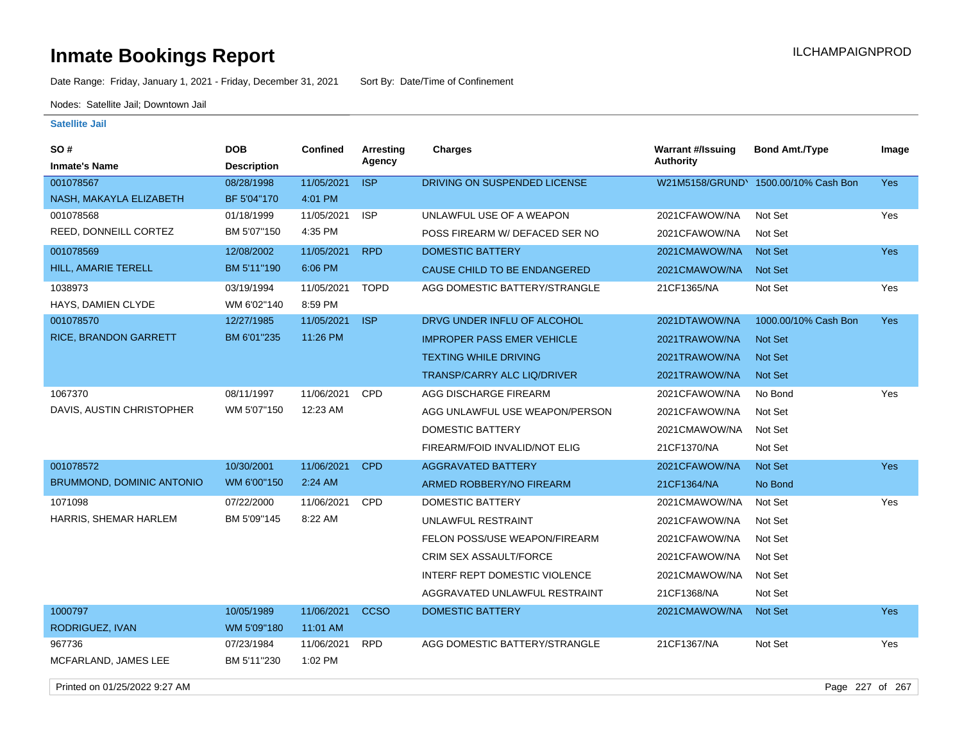Date Range: Friday, January 1, 2021 - Friday, December 31, 2021 Sort By: Date/Time of Confinement

Nodes: Satellite Jail; Downtown Jail

### **Satellite Jail**

| SO #                             | <b>DOB</b>         | <b>Confined</b> | Arresting   | <b>Charges</b>                     | <b>Warrant #/Issuing</b> | <b>Bond Amt./Type</b>                | Image      |
|----------------------------------|--------------------|-----------------|-------------|------------------------------------|--------------------------|--------------------------------------|------------|
| <b>Inmate's Name</b>             | <b>Description</b> |                 | Agency      |                                    | <b>Authority</b>         |                                      |            |
| 001078567                        | 08/28/1998         | 11/05/2021      | <b>ISP</b>  | DRIVING ON SUSPENDED LICENSE       |                          | W21M5158/GRUND\ 1500.00/10% Cash Bon | <b>Yes</b> |
| NASH, MAKAYLA ELIZABETH          | BF 5'04"170        | 4:01 PM         |             |                                    |                          |                                      |            |
| 001078568                        | 01/18/1999         | 11/05/2021      | <b>ISP</b>  | UNLAWFUL USE OF A WEAPON           | 2021CFAWOW/NA            | Not Set                              | Yes        |
| REED, DONNEILL CORTEZ            | BM 5'07"150        | 4:35 PM         |             | POSS FIREARM W/ DEFACED SER NO     | 2021CFAWOW/NA            | Not Set                              |            |
| 001078569                        | 12/08/2002         | 11/05/2021      | <b>RPD</b>  | <b>DOMESTIC BATTERY</b>            | 2021CMAWOW/NA            | <b>Not Set</b>                       | <b>Yes</b> |
| HILL, AMARIE TERELL              | BM 5'11"190        | 6:06 PM         |             | CAUSE CHILD TO BE ENDANGERED       | 2021CMAWOW/NA            | <b>Not Set</b>                       |            |
| 1038973                          | 03/19/1994         | 11/05/2021      | <b>TOPD</b> | AGG DOMESTIC BATTERY/STRANGLE      | 21CF1365/NA              | Not Set                              | Yes        |
| HAYS, DAMIEN CLYDE               | WM 6'02"140        | 8:59 PM         |             |                                    |                          |                                      |            |
| 001078570                        | 12/27/1985         | 11/05/2021      | <b>ISP</b>  | DRVG UNDER INFLU OF ALCOHOL        | 2021DTAWOW/NA            | 1000.00/10% Cash Bon                 | Yes        |
| RICE, BRANDON GARRETT            | BM 6'01"235        | 11:26 PM        |             | <b>IMPROPER PASS EMER VEHICLE</b>  | 2021TRAWOW/NA            | <b>Not Set</b>                       |            |
|                                  |                    |                 |             | <b>TEXTING WHILE DRIVING</b>       | 2021TRAWOW/NA            | <b>Not Set</b>                       |            |
|                                  |                    |                 |             | <b>TRANSP/CARRY ALC LIQ/DRIVER</b> | 2021TRAWOW/NA            | <b>Not Set</b>                       |            |
| 1067370                          | 08/11/1997         | 11/06/2021      | <b>CPD</b>  | AGG DISCHARGE FIREARM              | 2021CFAWOW/NA            | No Bond                              | Yes        |
| DAVIS, AUSTIN CHRISTOPHER        | WM 5'07"150        | 12:23 AM        |             | AGG UNLAWFUL USE WEAPON/PERSON     | 2021CFAWOW/NA            | Not Set                              |            |
|                                  |                    |                 |             | <b>DOMESTIC BATTERY</b>            | 2021CMAWOW/NA            | Not Set                              |            |
|                                  |                    |                 |             | FIREARM/FOID INVALID/NOT ELIG      | 21CF1370/NA              | Not Set                              |            |
| 001078572                        | 10/30/2001         | 11/06/2021      | <b>CPD</b>  | <b>AGGRAVATED BATTERY</b>          | 2021CFAWOW/NA            | Not Set                              | Yes        |
| <b>BRUMMOND, DOMINIC ANTONIO</b> | WM 6'00"150        | 2:24 AM         |             | ARMED ROBBERY/NO FIREARM           | 21CF1364/NA              | No Bond                              |            |
| 1071098                          | 07/22/2000         | 11/06/2021      | <b>CPD</b>  | <b>DOMESTIC BATTERY</b>            | 2021CMAWOW/NA            | Not Set                              | <b>Yes</b> |
| HARRIS, SHEMAR HARLEM            | BM 5'09"145        | 8:22 AM         |             | UNLAWFUL RESTRAINT                 | 2021CFAWOW/NA            | Not Set                              |            |
|                                  |                    |                 |             | FELON POSS/USE WEAPON/FIREARM      | 2021CFAWOW/NA            | Not Set                              |            |
|                                  |                    |                 |             | CRIM SEX ASSAULT/FORCE             | 2021CFAWOW/NA            | Not Set                              |            |
|                                  |                    |                 |             | INTERF REPT DOMESTIC VIOLENCE      | 2021CMAWOW/NA            | Not Set                              |            |
|                                  |                    |                 |             | AGGRAVATED UNLAWFUL RESTRAINT      | 21CF1368/NA              | Not Set                              |            |
| 1000797                          | 10/05/1989         | 11/06/2021      | <b>CCSO</b> | <b>DOMESTIC BATTERY</b>            | 2021CMAWOW/NA            | <b>Not Set</b>                       | <b>Yes</b> |
| RODRIGUEZ, IVAN                  | WM 5'09"180        | 11:01 AM        |             |                                    |                          |                                      |            |
| 967736                           | 07/23/1984         | 11/06/2021      | <b>RPD</b>  | AGG DOMESTIC BATTERY/STRANGLE      | 21CF1367/NA              | Not Set                              | Yes        |
| MCFARLAND, JAMES LEE             | BM 5'11"230        | 1:02 PM         |             |                                    |                          |                                      |            |

Printed on 01/25/2022 9:27 AM Page 227 of 267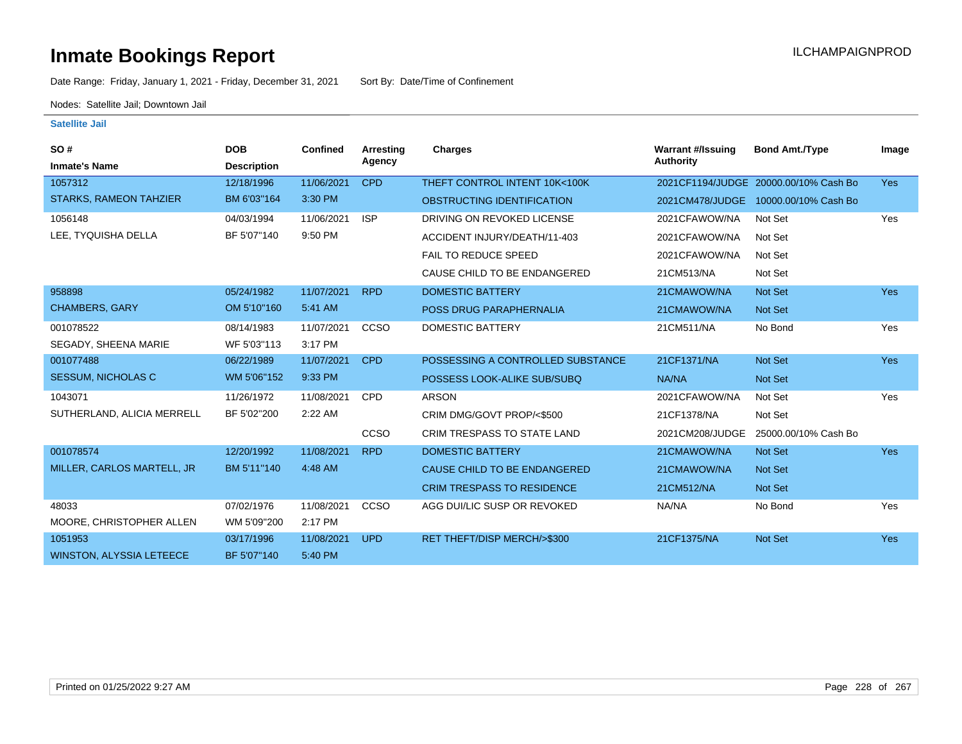Date Range: Friday, January 1, 2021 - Friday, December 31, 2021 Sort By: Date/Time of Confinement

Nodes: Satellite Jail; Downtown Jail

| SO#                             | <b>DOB</b>         | Confined   | Arresting  | <b>Charges</b>                     | <b>Warrant #/Issuing</b> | <b>Bond Amt./Type</b>                 | Image      |
|---------------------------------|--------------------|------------|------------|------------------------------------|--------------------------|---------------------------------------|------------|
| <b>Inmate's Name</b>            | <b>Description</b> |            | Agency     |                                    | Authority                |                                       |            |
| 1057312                         | 12/18/1996         | 11/06/2021 | <b>CPD</b> | THEFT CONTROL INTENT 10K<100K      |                          | 2021CF1194/JUDGE 20000.00/10% Cash Bo | <b>Yes</b> |
| <b>STARKS, RAMEON TAHZIER</b>   | BM 6'03"164        | 3:30 PM    |            | OBSTRUCTING IDENTIFICATION         | 2021CM478/JUDGE          | 10000.00/10% Cash Bo                  |            |
| 1056148                         | 04/03/1994         | 11/06/2021 | <b>ISP</b> | DRIVING ON REVOKED LICENSE         | 2021CFAWOW/NA            | Not Set                               | Yes        |
| LEE, TYQUISHA DELLA             | BF 5'07"140        | 9:50 PM    |            | ACCIDENT INJURY/DEATH/11-403       | 2021CFAWOW/NA            | Not Set                               |            |
|                                 |                    |            |            | <b>FAIL TO REDUCE SPEED</b>        | 2021CFAWOW/NA            | Not Set                               |            |
|                                 |                    |            |            | CAUSE CHILD TO BE ENDANGERED       | 21CM513/NA               | Not Set                               |            |
| 958898                          | 05/24/1982         | 11/07/2021 | <b>RPD</b> | <b>DOMESTIC BATTERY</b>            | 21CMAWOW/NA              | Not Set                               | Yes        |
| <b>CHAMBERS, GARY</b>           | OM 5'10"160        | 5:41 AM    |            | POSS DRUG PARAPHERNALIA            | 21CMAWOW/NA              | Not Set                               |            |
| 001078522                       | 08/14/1983         | 11/07/2021 | CCSO       | DOMESTIC BATTERY                   | 21CM511/NA               | No Bond                               | Yes        |
| SEGADY, SHEENA MARIE            | WF 5'03"113        | 3:17 PM    |            |                                    |                          |                                       |            |
| 001077488                       | 06/22/1989         | 11/07/2021 | <b>CPD</b> | POSSESSING A CONTROLLED SUBSTANCE  | 21CF1371/NA              | Not Set                               | <b>Yes</b> |
| SESSUM, NICHOLAS C              | WM 5'06"152        | 9:33 PM    |            | POSSESS LOOK-ALIKE SUB/SUBQ        | NA/NA                    | Not Set                               |            |
| 1043071                         | 11/26/1972         | 11/08/2021 | <b>CPD</b> | <b>ARSON</b>                       | 2021CFAWOW/NA            | Not Set                               | Yes        |
| SUTHERLAND, ALICIA MERRELL      | BF 5'02"200        | 2:22 AM    |            | CRIM DMG/GOVT PROP/<\$500          | 21CF1378/NA              | Not Set                               |            |
|                                 |                    |            | CCSO       | <b>CRIM TRESPASS TO STATE LAND</b> | 2021CM208/JUDGE          | 25000.00/10% Cash Bo                  |            |
| 001078574                       | 12/20/1992         | 11/08/2021 | <b>RPD</b> | <b>DOMESTIC BATTERY</b>            | 21CMAWOW/NA              | Not Set                               | <b>Yes</b> |
| MILLER, CARLOS MARTELL, JR      | BM 5'11"140        | 4:48 AM    |            | CAUSE CHILD TO BE ENDANGERED       | 21CMAWOW/NA              | Not Set                               |            |
|                                 |                    |            |            | <b>CRIM TRESPASS TO RESIDENCE</b>  | 21CM512/NA               | Not Set                               |            |
| 48033                           | 07/02/1976         | 11/08/2021 | CCSO       | AGG DUI/LIC SUSP OR REVOKED        | NA/NA                    | No Bond                               | Yes        |
| MOORE, CHRISTOPHER ALLEN        | WM 5'09"200        | 2:17 PM    |            |                                    |                          |                                       |            |
| 1051953                         | 03/17/1996         | 11/08/2021 | <b>UPD</b> | RET THEFT/DISP MERCH/>\$300        | 21CF1375/NA              | Not Set                               | <b>Yes</b> |
| <b>WINSTON, ALYSSIA LETEECE</b> | BF 5'07"140        | 5:40 PM    |            |                                    |                          |                                       |            |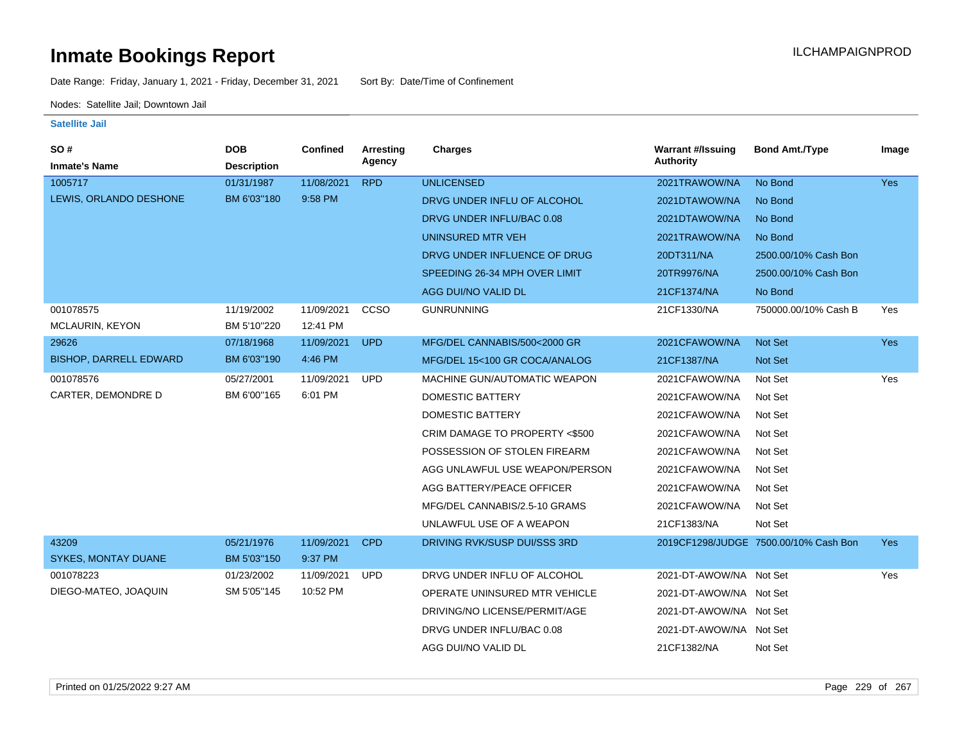Date Range: Friday, January 1, 2021 - Friday, December 31, 2021 Sort By: Date/Time of Confinement

Nodes: Satellite Jail; Downtown Jail

| SO#<br><b>Inmate's Name</b>         | <b>DOB</b><br><b>Description</b> | Confined               | Arresting<br>Agency | <b>Charges</b>                 | <b>Warrant #/Issuing</b><br><b>Authority</b> | <b>Bond Amt./Type</b>                 | Image      |
|-------------------------------------|----------------------------------|------------------------|---------------------|--------------------------------|----------------------------------------------|---------------------------------------|------------|
| 1005717                             | 01/31/1987                       | 11/08/2021             | <b>RPD</b>          | <b>UNLICENSED</b>              | 2021TRAWOW/NA                                | No Bond                               | <b>Yes</b> |
| LEWIS, ORLANDO DESHONE              | BM 6'03"180                      | 9:58 PM                |                     | DRVG UNDER INFLU OF ALCOHOL    | 2021DTAWOW/NA                                | No Bond                               |            |
|                                     |                                  |                        |                     | DRVG UNDER INFLU/BAC 0.08      | 2021DTAWOW/NA                                | No Bond                               |            |
|                                     |                                  |                        |                     | UNINSURED MTR VEH              | 2021TRAWOW/NA                                | No Bond                               |            |
|                                     |                                  |                        |                     | DRVG UNDER INFLUENCE OF DRUG   | 20DT311/NA                                   | 2500.00/10% Cash Bon                  |            |
|                                     |                                  |                        |                     | SPEEDING 26-34 MPH OVER LIMIT  | 20TR9976/NA                                  | 2500.00/10% Cash Bon                  |            |
|                                     |                                  |                        |                     | AGG DUI/NO VALID DL            | 21CF1374/NA                                  | No Bond                               |            |
| 001078575<br><b>MCLAURIN, KEYON</b> | 11/19/2002<br>BM 5'10"220        | 11/09/2021<br>12:41 PM | CCSO                | <b>GUNRUNNING</b>              | 21CF1330/NA                                  | 750000.00/10% Cash B                  | Yes        |
| 29626                               | 07/18/1968                       | 11/09/2021             | <b>UPD</b>          | MFG/DEL CANNABIS/500<2000 GR   | 2021CFAWOW/NA                                | Not Set                               | Yes        |
| <b>BISHOP, DARRELL EDWARD</b>       | BM 6'03"190                      | 4:46 PM                |                     | MFG/DEL 15<100 GR COCA/ANALOG  | 21CF1387/NA                                  | Not Set                               |            |
| 001078576                           | 05/27/2001                       | 11/09/2021             | <b>UPD</b>          | MACHINE GUN/AUTOMATIC WEAPON   | 2021CFAWOW/NA                                | Not Set                               | Yes        |
| CARTER, DEMONDRE D                  | BM 6'00"165                      | 6:01 PM                |                     | DOMESTIC BATTERY               | 2021CFAWOW/NA                                | Not Set                               |            |
|                                     |                                  |                        |                     | DOMESTIC BATTERY               | 2021CFAWOW/NA                                | Not Set                               |            |
|                                     |                                  |                        |                     | CRIM DAMAGE TO PROPERTY <\$500 | 2021CFAWOW/NA                                | Not Set                               |            |
|                                     |                                  |                        |                     | POSSESSION OF STOLEN FIREARM   | 2021CFAWOW/NA                                | Not Set                               |            |
|                                     |                                  |                        |                     | AGG UNLAWFUL USE WEAPON/PERSON | 2021CFAWOW/NA                                | Not Set                               |            |
|                                     |                                  |                        |                     | AGG BATTERY/PEACE OFFICER      | 2021CFAWOW/NA                                | Not Set                               |            |
|                                     |                                  |                        |                     | MFG/DEL CANNABIS/2.5-10 GRAMS  | 2021CFAWOW/NA                                | Not Set                               |            |
|                                     |                                  |                        |                     | UNLAWFUL USE OF A WEAPON       | 21CF1383/NA                                  | Not Set                               |            |
| 43209                               | 05/21/1976                       | 11/09/2021             | <b>CPD</b>          | DRIVING RVK/SUSP DUI/SSS 3RD   |                                              | 2019CF1298/JUDGE 7500.00/10% Cash Bon | <b>Yes</b> |
| <b>SYKES, MONTAY DUANE</b>          | BM 5'03"150                      | 9:37 PM                |                     |                                |                                              |                                       |            |
| 001078223                           | 01/23/2002                       | 11/09/2021             | <b>UPD</b>          | DRVG UNDER INFLU OF ALCOHOL    | 2021-DT-AWOW/NA Not Set                      |                                       | Yes        |
| DIEGO-MATEO, JOAQUIN                | SM 5'05"145                      | 10:52 PM               |                     | OPERATE UNINSURED MTR VEHICLE  | 2021-DT-AWOW/NA Not Set                      |                                       |            |
|                                     |                                  |                        |                     | DRIVING/NO LICENSE/PERMIT/AGE  | 2021-DT-AWOW/NA Not Set                      |                                       |            |
|                                     |                                  |                        |                     | DRVG UNDER INFLU/BAC 0.08      | 2021-DT-AWOW/NA Not Set                      |                                       |            |
|                                     |                                  |                        |                     | AGG DUI/NO VALID DL            | 21CF1382/NA                                  | Not Set                               |            |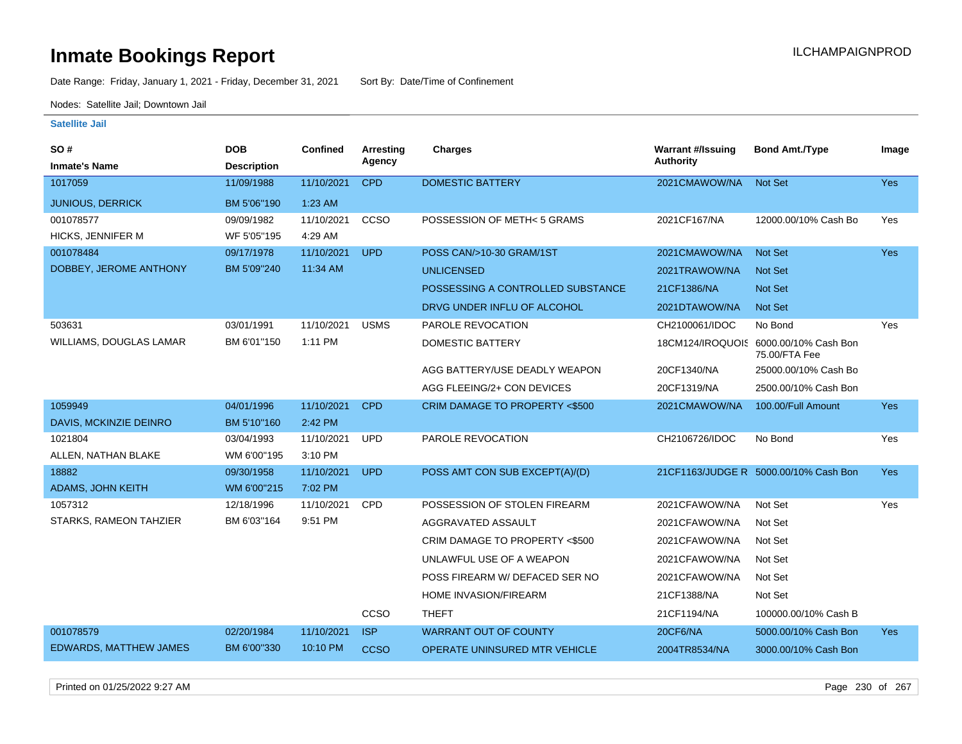Date Range: Friday, January 1, 2021 - Friday, December 31, 2021 Sort By: Date/Time of Confinement

Nodes: Satellite Jail; Downtown Jail

| SO#<br><b>Inmate's Name</b> | <b>DOB</b><br><b>Description</b> | Confined   | Arresting<br>Agency | <b>Charges</b>                       | <b>Warrant #/Issuing</b><br><b>Authority</b> | <b>Bond Amt./Type</b>                                  | Image      |
|-----------------------------|----------------------------------|------------|---------------------|--------------------------------------|----------------------------------------------|--------------------------------------------------------|------------|
| 1017059                     | 11/09/1988                       | 11/10/2021 | <b>CPD</b>          | <b>DOMESTIC BATTERY</b>              | 2021CMAWOW/NA                                | <b>Not Set</b>                                         | <b>Yes</b> |
| <b>JUNIOUS, DERRICK</b>     | BM 5'06"190                      | 1:23 AM    |                     |                                      |                                              |                                                        |            |
| 001078577                   | 09/09/1982                       | 11/10/2021 | CCSO                | POSSESSION OF METH< 5 GRAMS          | 2021CF167/NA                                 | 12000.00/10% Cash Bo                                   | Yes        |
| HICKS, JENNIFER M           | WF 5'05"195                      | 4:29 AM    |                     |                                      |                                              |                                                        |            |
| 001078484                   | 09/17/1978                       | 11/10/2021 | <b>UPD</b>          | POSS CAN/>10-30 GRAM/1ST             | 2021CMAWOW/NA                                | <b>Not Set</b>                                         | <b>Yes</b> |
| DOBBEY, JEROME ANTHONY      | BM 5'09"240                      | 11:34 AM   |                     | <b>UNLICENSED</b>                    | 2021TRAWOW/NA                                | <b>Not Set</b>                                         |            |
|                             |                                  |            |                     | POSSESSING A CONTROLLED SUBSTANCE    | 21CF1386/NA                                  | <b>Not Set</b>                                         |            |
|                             |                                  |            |                     | DRVG UNDER INFLU OF ALCOHOL          | 2021DTAWOW/NA                                | <b>Not Set</b>                                         |            |
| 503631                      | 03/01/1991                       | 11/10/2021 | <b>USMS</b>         | PAROLE REVOCATION                    | CH2100061/IDOC                               | No Bond                                                | Yes        |
| WILLIAMS, DOUGLAS LAMAR     | BM 6'01"150                      | 1:11 PM    |                     | <b>DOMESTIC BATTERY</b>              |                                              | 18CM124/IROQUOIS 6000.00/10% Cash Bon<br>75.00/FTA Fee |            |
|                             |                                  |            |                     | AGG BATTERY/USE DEADLY WEAPON        | 20CF1340/NA                                  | 25000.00/10% Cash Bo                                   |            |
|                             |                                  |            |                     | AGG FLEEING/2+ CON DEVICES           | 20CF1319/NA                                  | 2500.00/10% Cash Bon                                   |            |
| 1059949                     | 04/01/1996                       | 11/10/2021 | <b>CPD</b>          | CRIM DAMAGE TO PROPERTY <\$500       | 2021CMAWOW/NA                                | 100.00/Full Amount                                     | <b>Yes</b> |
| DAVIS, MCKINZIE DEINRO      | BM 5'10"160                      | 2:42 PM    |                     |                                      |                                              |                                                        |            |
| 1021804                     | 03/04/1993                       | 11/10/2021 | <b>UPD</b>          | PAROLE REVOCATION                    | CH2106726/IDOC                               | No Bond                                                | Yes        |
| ALLEN, NATHAN BLAKE         | WM 6'00"195                      | 3:10 PM    |                     |                                      |                                              |                                                        |            |
| 18882                       | 09/30/1958                       | 11/10/2021 | <b>UPD</b>          | POSS AMT CON SUB EXCEPT(A)/(D)       |                                              | 21CF1163/JUDGE R 5000.00/10% Cash Bon                  | <b>Yes</b> |
| <b>ADAMS, JOHN KEITH</b>    | WM 6'00"215                      | 7:02 PM    |                     |                                      |                                              |                                                        |            |
| 1057312                     | 12/18/1996                       | 11/10/2021 | <b>CPD</b>          | POSSESSION OF STOLEN FIREARM         | 2021CFAWOW/NA                                | Not Set                                                | Yes        |
| STARKS, RAMEON TAHZIER      | BM 6'03"164                      | 9:51 PM    |                     | AGGRAVATED ASSAULT                   | 2021CFAWOW/NA                                | Not Set                                                |            |
|                             |                                  |            |                     | CRIM DAMAGE TO PROPERTY <\$500       | 2021CFAWOW/NA                                | Not Set                                                |            |
|                             |                                  |            |                     | UNLAWFUL USE OF A WEAPON             | 2021CFAWOW/NA                                | Not Set                                                |            |
|                             |                                  |            |                     | POSS FIREARM W/ DEFACED SER NO       | 2021CFAWOW/NA                                | Not Set                                                |            |
|                             |                                  |            |                     | HOME INVASION/FIREARM                | 21CF1388/NA                                  | Not Set                                                |            |
|                             |                                  |            | CCSO                | <b>THEFT</b>                         | 21CF1194/NA                                  | 100000.00/10% Cash B                                   |            |
| 001078579                   | 02/20/1984                       | 11/10/2021 | <b>ISP</b>          | <b>WARRANT OUT OF COUNTY</b>         | 20CF6/NA                                     | 5000.00/10% Cash Bon                                   | <b>Yes</b> |
| EDWARDS, MATTHEW JAMES      | BM 6'00"330                      | 10:10 PM   | <b>CCSO</b>         | <b>OPERATE UNINSURED MTR VEHICLE</b> | 2004TR8534/NA                                | 3000.00/10% Cash Bon                                   |            |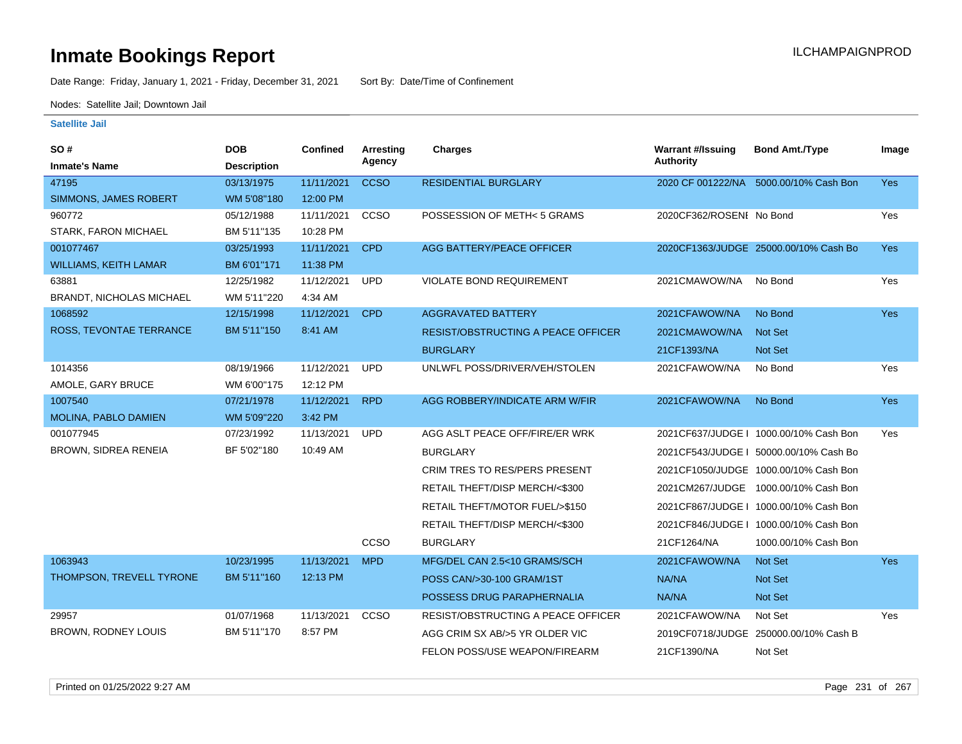Date Range: Friday, January 1, 2021 - Friday, December 31, 2021 Sort By: Date/Time of Confinement

Nodes: Satellite Jail; Downtown Jail

| SO #                            | <b>DOB</b>         | <b>Confined</b> | <b>Arresting</b> | <b>Charges</b>                            | <b>Warrant #/Issuing</b> | <b>Bond Amt./Type</b>                  | Image      |
|---------------------------------|--------------------|-----------------|------------------|-------------------------------------------|--------------------------|----------------------------------------|------------|
| <b>Inmate's Name</b>            | <b>Description</b> |                 | Agency           |                                           | <b>Authority</b>         |                                        |            |
| 47195                           | 03/13/1975         | 11/11/2021      | <b>CCSO</b>      | <b>RESIDENTIAL BURGLARY</b>               |                          | 2020 CF 001222/NA 5000.00/10% Cash Bon | <b>Yes</b> |
| SIMMONS, JAMES ROBERT           | WM 5'08"180        | 12:00 PM        |                  |                                           |                          |                                        |            |
| 960772                          | 05/12/1988         | 11/11/2021      | CCSO             | POSSESSION OF METH<5 GRAMS                | 2020CF362/ROSENI No Bond |                                        | Yes        |
| <b>STARK, FARON MICHAEL</b>     | BM 5'11"135        | 10:28 PM        |                  |                                           |                          |                                        |            |
| 001077467                       | 03/25/1993         | 11/11/2021      | <b>CPD</b>       | <b>AGG BATTERY/PEACE OFFICER</b>          |                          | 2020CF1363/JUDGE 25000.00/10% Cash Bo  | Yes        |
| <b>WILLIAMS, KEITH LAMAR</b>    | BM 6'01"171        | 11:38 PM        |                  |                                           |                          |                                        |            |
| 63881                           | 12/25/1982         | 11/12/2021      | <b>UPD</b>       | <b>VIOLATE BOND REQUIREMENT</b>           | 2021CMAWOW/NA            | No Bond                                | Yes        |
| <b>BRANDT, NICHOLAS MICHAEL</b> | WM 5'11"220        | 4:34 AM         |                  |                                           |                          |                                        |            |
| 1068592                         | 12/15/1998         | 11/12/2021      | <b>CPD</b>       | <b>AGGRAVATED BATTERY</b>                 | 2021CFAWOW/NA            | No Bond                                | <b>Yes</b> |
| ROSS, TEVONTAE TERRANCE         | BM 5'11"150        | 8:41 AM         |                  | <b>RESIST/OBSTRUCTING A PEACE OFFICER</b> | 2021CMAWOW/NA            | <b>Not Set</b>                         |            |
|                                 |                    |                 |                  | <b>BURGLARY</b>                           | 21CF1393/NA              | <b>Not Set</b>                         |            |
| 1014356                         | 08/19/1966         | 11/12/2021      | <b>UPD</b>       | UNLWFL POSS/DRIVER/VEH/STOLEN             | 2021CFAWOW/NA            | No Bond                                | Yes        |
| AMOLE, GARY BRUCE               | WM 6'00"175        | 12:12 PM        |                  |                                           |                          |                                        |            |
| 1007540                         | 07/21/1978         | 11/12/2021      | <b>RPD</b>       | AGG ROBBERY/INDICATE ARM W/FIR            | 2021CFAWOW/NA            | No Bond                                | Yes        |
| MOLINA, PABLO DAMIEN            | WM 5'09"220        | 3:42 PM         |                  |                                           |                          |                                        |            |
| 001077945                       | 07/23/1992         | 11/13/2021      | <b>UPD</b>       | AGG ASLT PEACE OFF/FIRE/ER WRK            |                          | 2021CF637/JUDGE   1000.00/10% Cash Bon | Yes        |
| <b>BROWN, SIDREA RENEIA</b>     | BF 5'02"180        | 10:49 AM        |                  | <b>BURGLARY</b>                           |                          | 2021CF543/JUDGE   50000.00/10% Cash Bo |            |
|                                 |                    |                 |                  | CRIM TRES TO RES/PERS PRESENT             |                          | 2021CF1050/JUDGE 1000.00/10% Cash Bon  |            |
|                                 |                    |                 |                  | RETAIL THEFT/DISP MERCH/<\$300            | 2021CM267/JUDGE          | 1000.00/10% Cash Bon                   |            |
|                                 |                    |                 |                  | RETAIL THEFT/MOTOR FUEL/>\$150            |                          | 2021CF867/JUDGE   1000.00/10% Cash Bon |            |
|                                 |                    |                 |                  | RETAIL THEFT/DISP MERCH/<\$300            |                          | 2021CF846/JUDGE   1000.00/10% Cash Bon |            |
|                                 |                    |                 | CCSO             | <b>BURGLARY</b>                           | 21CF1264/NA              | 1000.00/10% Cash Bon                   |            |
| 1063943                         | 10/23/1995         | 11/13/2021      | <b>MPD</b>       | MFG/DEL CAN 2.5<10 GRAMS/SCH              | 2021CFAWOW/NA            | Not Set                                | <b>Yes</b> |
| THOMPSON, TREVELL TYRONE        | BM 5'11"160        | 12:13 PM        |                  | POSS CAN/>30-100 GRAM/1ST                 | NA/NA                    | Not Set                                |            |
|                                 |                    |                 |                  | POSSESS DRUG PARAPHERNALIA                | NA/NA                    | Not Set                                |            |
| 29957                           | 01/07/1968         | 11/13/2021      | CCSO             | <b>RESIST/OBSTRUCTING A PEACE OFFICER</b> | 2021CFAWOW/NA            | Not Set                                | Yes        |
| BROWN, RODNEY LOUIS             | BM 5'11"170        | 8:57 PM         |                  | AGG CRIM SX AB/>5 YR OLDER VIC            |                          | 2019CF0718/JUDGE 250000.00/10% Cash B  |            |
|                                 |                    |                 |                  | FELON POSS/USE WEAPON/FIREARM             | 21CF1390/NA              | Not Set                                |            |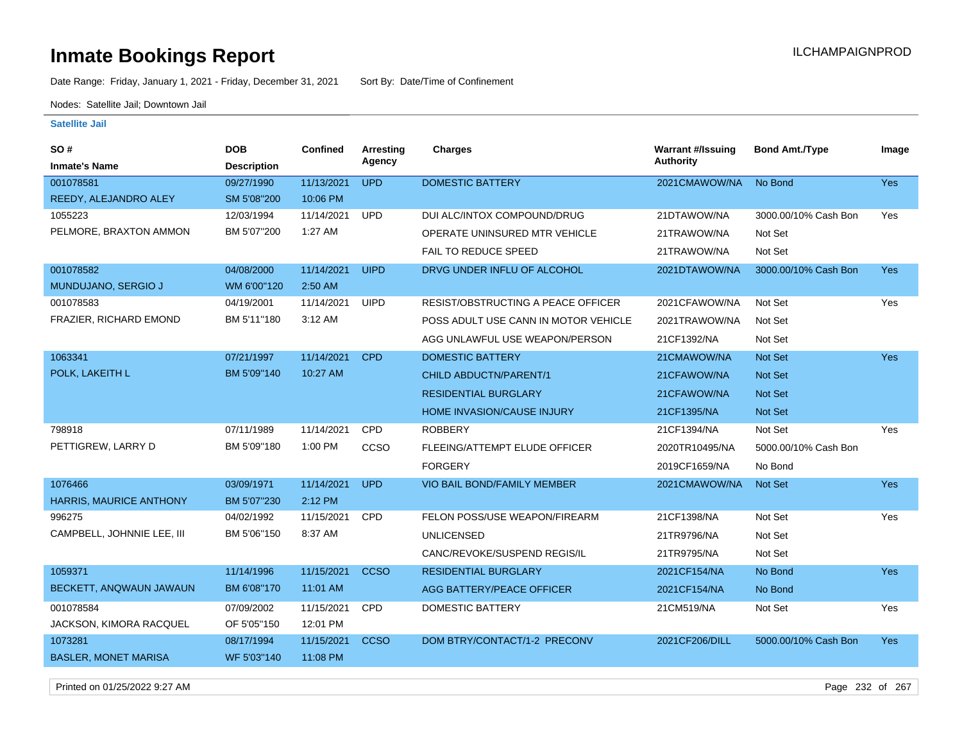Date Range: Friday, January 1, 2021 - Friday, December 31, 2021 Sort By: Date/Time of Confinement

Nodes: Satellite Jail; Downtown Jail

### **Satellite Jail**

| SO #                        | <b>DOB</b>         | Confined   | <b>Arresting</b><br>Agency | Charges                              | <b>Warrant #/Issuing</b><br><b>Authority</b> | <b>Bond Amt./Type</b> | Image      |
|-----------------------------|--------------------|------------|----------------------------|--------------------------------------|----------------------------------------------|-----------------------|------------|
| <b>Inmate's Name</b>        | <b>Description</b> |            |                            |                                      |                                              |                       |            |
| 001078581                   | 09/27/1990         | 11/13/2021 | <b>UPD</b>                 | <b>DOMESTIC BATTERY</b>              | 2021CMAWOW/NA                                | No Bond               | Yes        |
| REEDY, ALEJANDRO ALEY       | SM 5'08"200        | 10:06 PM   |                            |                                      |                                              |                       |            |
| 1055223                     | 12/03/1994         | 11/14/2021 | <b>UPD</b>                 | DUI ALC/INTOX COMPOUND/DRUG          | 21DTAWOW/NA                                  | 3000.00/10% Cash Bon  | Yes        |
| PELMORE, BRAXTON AMMON      | BM 5'07"200        | 1:27 AM    |                            | OPERATE UNINSURED MTR VEHICLE        | 21TRAWOW/NA                                  | Not Set               |            |
|                             |                    |            |                            | <b>FAIL TO REDUCE SPEED</b>          | 21TRAWOW/NA                                  | Not Set               |            |
| 001078582                   | 04/08/2000         | 11/14/2021 | <b>UIPD</b>                | DRVG UNDER INFLU OF ALCOHOL          | 2021DTAWOW/NA                                | 3000.00/10% Cash Bon  | <b>Yes</b> |
| MUNDUJANO, SERGIO J         | WM 6'00"120        | 2:50 AM    |                            |                                      |                                              |                       |            |
| 001078583                   | 04/19/2001         | 11/14/2021 | <b>UIPD</b>                | RESIST/OBSTRUCTING A PEACE OFFICER   | 2021CFAWOW/NA                                | Not Set               | Yes        |
| FRAZIER, RICHARD EMOND      | BM 5'11"180        | 3:12 AM    |                            | POSS ADULT USE CANN IN MOTOR VEHICLE | 2021TRAWOW/NA                                | Not Set               |            |
|                             |                    |            |                            | AGG UNLAWFUL USE WEAPON/PERSON       | 21CF1392/NA                                  | Not Set               |            |
| 1063341                     | 07/21/1997         | 11/14/2021 | <b>CPD</b>                 | <b>DOMESTIC BATTERY</b>              | 21CMAWOW/NA                                  | Not Set               | <b>Yes</b> |
| POLK, LAKEITH L             | BM 5'09"140        | 10:27 AM   |                            | CHILD ABDUCTN/PARENT/1               | 21CFAWOW/NA                                  | <b>Not Set</b>        |            |
|                             |                    |            |                            | <b>RESIDENTIAL BURGLARY</b>          | 21CFAWOW/NA                                  | <b>Not Set</b>        |            |
|                             |                    |            |                            | HOME INVASION/CAUSE INJURY           | 21CF1395/NA                                  | <b>Not Set</b>        |            |
| 798918                      | 07/11/1989         | 11/14/2021 | CPD                        | <b>ROBBERY</b>                       | 21CF1394/NA                                  | Not Set               | Yes        |
| PETTIGREW, LARRY D          | BM 5'09"180        | 1:00 PM    | CCSO                       | FLEEING/ATTEMPT ELUDE OFFICER        | 2020TR10495/NA                               | 5000.00/10% Cash Bon  |            |
|                             |                    |            |                            | <b>FORGERY</b>                       | 2019CF1659/NA                                | No Bond               |            |
| 1076466                     | 03/09/1971         | 11/14/2021 | <b>UPD</b>                 | VIO BAIL BOND/FAMILY MEMBER          | 2021CMAWOW/NA                                | Not Set               | Yes        |
| HARRIS, MAURICE ANTHONY     | BM 5'07"230        | 2:12 PM    |                            |                                      |                                              |                       |            |
| 996275                      | 04/02/1992         | 11/15/2021 | <b>CPD</b>                 | FELON POSS/USE WEAPON/FIREARM        | 21CF1398/NA                                  | Not Set               | Yes        |
| CAMPBELL, JOHNNIE LEE, III  | BM 5'06"150        | 8:37 AM    |                            | <b>UNLICENSED</b>                    | 21TR9796/NA                                  | Not Set               |            |
|                             |                    |            |                            | CANC/REVOKE/SUSPEND REGIS/IL         | 21TR9795/NA                                  | Not Set               |            |
| 1059371                     | 11/14/1996         | 11/15/2021 | <b>CCSO</b>                | <b>RESIDENTIAL BURGLARY</b>          | 2021CF154/NA                                 | No Bond               | <b>Yes</b> |
| BECKETT, ANQWAUN JAWAUN     | BM 6'08"170        | 11:01 AM   |                            | AGG BATTERY/PEACE OFFICER            | 2021CF154/NA                                 | No Bond               |            |
| 001078584                   | 07/09/2002         | 11/15/2021 | CPD                        | <b>DOMESTIC BATTERY</b>              | 21CM519/NA                                   | Not Set               | Yes        |
| JACKSON, KIMORA RACQUEL     | OF 5'05"150        | 12:01 PM   |                            |                                      |                                              |                       |            |
| 1073281                     | 08/17/1994         | 11/15/2021 | <b>CCSO</b>                | DOM BTRY/CONTACT/1-2 PRECONV         | 2021CF206/DILL                               | 5000.00/10% Cash Bon  | Yes        |
| <b>BASLER, MONET MARISA</b> | WF 5'03"140        | 11:08 PM   |                            |                                      |                                              |                       |            |
|                             |                    |            |                            |                                      |                                              |                       |            |

Printed on 01/25/2022 9:27 AM Page 232 of 267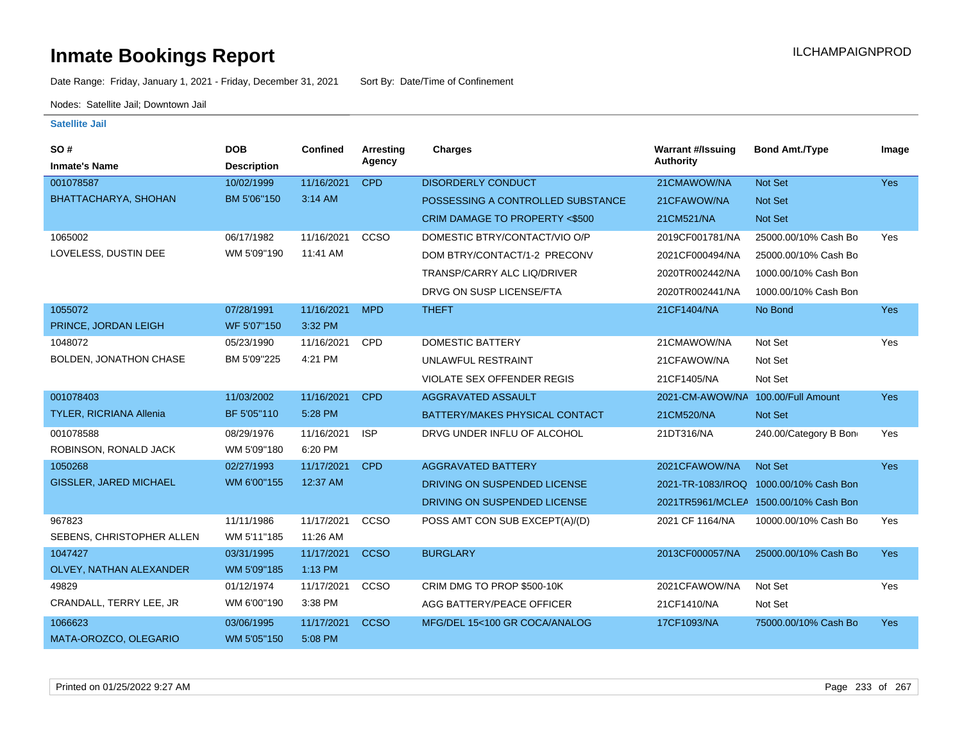Date Range: Friday, January 1, 2021 - Friday, December 31, 2021 Sort By: Date/Time of Confinement

Nodes: Satellite Jail; Downtown Jail

| <b>SO#</b>                     | <b>DOB</b>         | <b>Confined</b> | Arresting   | Charges                           | <b>Warrant #/Issuing</b>           | <b>Bond Amt./Type</b>                 | Image      |
|--------------------------------|--------------------|-----------------|-------------|-----------------------------------|------------------------------------|---------------------------------------|------------|
| <b>Inmate's Name</b>           | <b>Description</b> |                 | Agency      |                                   | Authority                          |                                       |            |
| 001078587                      | 10/02/1999         | 11/16/2021      | <b>CPD</b>  | <b>DISORDERLY CONDUCT</b>         | 21CMAWOW/NA                        | Not Set                               | Yes        |
| BHATTACHARYA, SHOHAN           | BM 5'06"150        | 3:14 AM         |             | POSSESSING A CONTROLLED SUBSTANCE | 21CFAWOW/NA                        | Not Set                               |            |
|                                |                    |                 |             | CRIM DAMAGE TO PROPERTY <\$500    | 21CM521/NA                         | Not Set                               |            |
| 1065002                        | 06/17/1982         | 11/16/2021      | CCSO        | DOMESTIC BTRY/CONTACT/VIO O/P     | 2019CF001781/NA                    | 25000.00/10% Cash Bo                  | Yes        |
| LOVELESS, DUSTIN DEE           | WM 5'09"190        | 11:41 AM        |             | DOM BTRY/CONTACT/1-2 PRECONV      | 2021CF000494/NA                    | 25000.00/10% Cash Bo                  |            |
|                                |                    |                 |             | TRANSP/CARRY ALC LIQ/DRIVER       | 2020TR002442/NA                    | 1000.00/10% Cash Bon                  |            |
|                                |                    |                 |             | DRVG ON SUSP LICENSE/FTA          | 2020TR002441/NA                    | 1000.00/10% Cash Bon                  |            |
| 1055072                        | 07/28/1991         | 11/16/2021      | <b>MPD</b>  | <b>THEFT</b>                      | 21CF1404/NA                        | No Bond                               | <b>Yes</b> |
| PRINCE, JORDAN LEIGH           | WF 5'07"150        | 3:32 PM         |             |                                   |                                    |                                       |            |
| 1048072                        | 05/23/1990         | 11/16/2021      | CPD         | <b>DOMESTIC BATTERY</b>           | 21CMAWOW/NA                        | Not Set                               | Yes        |
| BOLDEN, JONATHON CHASE         | BM 5'09"225        | 4:21 PM         |             | UNLAWFUL RESTRAINT                | 21CFAWOW/NA                        | Not Set                               |            |
|                                |                    |                 |             | <b>VIOLATE SEX OFFENDER REGIS</b> | 21CF1405/NA                        | Not Set                               |            |
| 001078403                      | 11/03/2002         | 11/16/2021      | <b>CPD</b>  | AGGRAVATED ASSAULT                | 2021-CM-AWOW/NA 100.00/Full Amount |                                       | <b>Yes</b> |
| <b>TYLER, RICRIANA Allenia</b> | BF 5'05"110        | 5:28 PM         |             | BATTERY/MAKES PHYSICAL CONTACT    | 21CM520/NA                         | Not Set                               |            |
| 001078588                      | 08/29/1976         | 11/16/2021      | <b>ISP</b>  | DRVG UNDER INFLU OF ALCOHOL       | 21DT316/NA                         | 240.00/Category B Bon                 | Yes        |
| ROBINSON, RONALD JACK          | WM 5'09"180        | 6:20 PM         |             |                                   |                                    |                                       |            |
| 1050268                        | 02/27/1993         | 11/17/2021      | <b>CPD</b>  | <b>AGGRAVATED BATTERY</b>         | 2021CFAWOW/NA                      | Not Set                               | <b>Yes</b> |
| <b>GISSLER, JARED MICHAEL</b>  | WM 6'00"155        | 12:37 AM        |             | DRIVING ON SUSPENDED LICENSE      | 2021-TR-1083/IROQ                  | 1000.00/10% Cash Bon                  |            |
|                                |                    |                 |             | DRIVING ON SUSPENDED LICENSE      |                                    | 2021TR5961/MCLEA 1500.00/10% Cash Bon |            |
| 967823                         | 11/11/1986         | 11/17/2021      | CCSO        | POSS AMT CON SUB EXCEPT(A)/(D)    | 2021 CF 1164/NA                    | 10000.00/10% Cash Bo                  | Yes        |
| SEBENS, CHRISTOPHER ALLEN      | WM 5'11"185        | 11:26 AM        |             |                                   |                                    |                                       |            |
| 1047427                        | 03/31/1995         | 11/17/2021      | <b>CCSO</b> | <b>BURGLARY</b>                   | 2013CF000057/NA                    | 25000.00/10% Cash Bo                  | <b>Yes</b> |
| OLVEY, NATHAN ALEXANDER        | WM 5'09"185        | 1:13 PM         |             |                                   |                                    |                                       |            |
| 49829                          | 01/12/1974         | 11/17/2021      | CCSO        | CRIM DMG TO PROP \$500-10K        | 2021CFAWOW/NA                      | Not Set                               | Yes        |
| CRANDALL, TERRY LEE, JR        | WM 6'00"190        | 3:38 PM         |             | AGG BATTERY/PEACE OFFICER         | 21CF1410/NA                        | Not Set                               |            |
| 1066623                        | 03/06/1995         | 11/17/2021      | <b>CCSO</b> | MFG/DEL 15<100 GR COCA/ANALOG     | 17CF1093/NA                        | 75000.00/10% Cash Bo                  | <b>Yes</b> |
| MATA-OROZCO, OLEGARIO          | WM 5'05"150        | 5:08 PM         |             |                                   |                                    |                                       |            |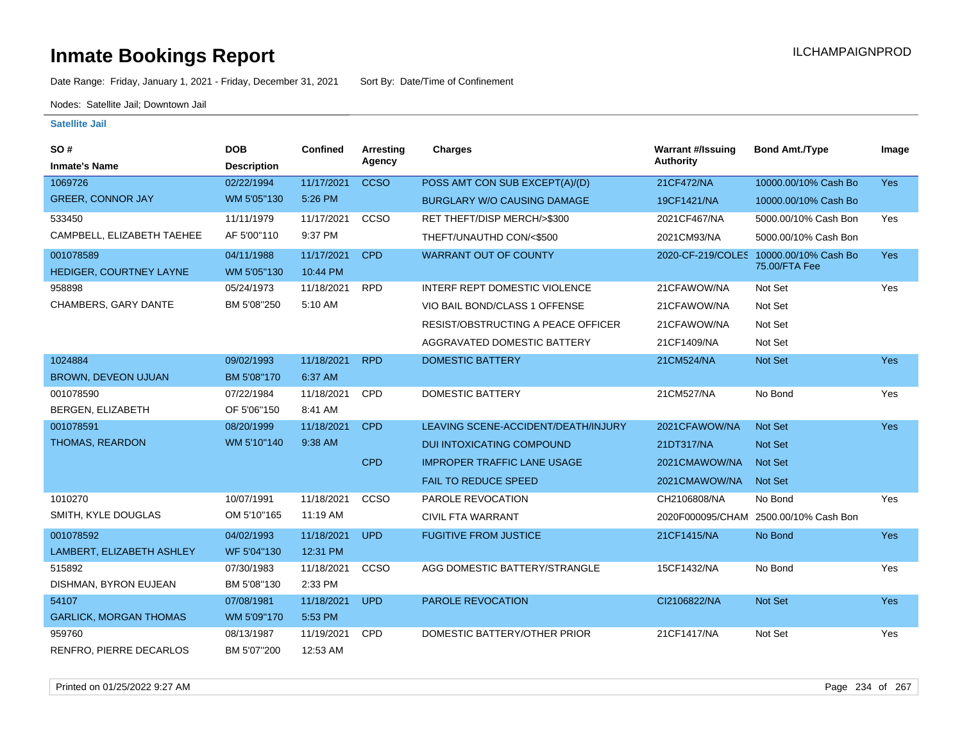Date Range: Friday, January 1, 2021 - Friday, December 31, 2021 Sort By: Date/Time of Confinement

Nodes: Satellite Jail; Downtown Jail

| SO#                           | <b>DOB</b>         | Confined   | Arresting   | <b>Charges</b>                            | <b>Warrant #/Issuing</b> | <b>Bond Amt./Type</b>                  | Image      |
|-------------------------------|--------------------|------------|-------------|-------------------------------------------|--------------------------|----------------------------------------|------------|
| <b>Inmate's Name</b>          | <b>Description</b> |            | Agency      |                                           | <b>Authority</b>         |                                        |            |
| 1069726                       | 02/22/1994         | 11/17/2021 | <b>CCSO</b> | POSS AMT CON SUB EXCEPT(A)/(D)            | 21CF472/NA               | 10000.00/10% Cash Bo                   | Yes        |
| <b>GREER, CONNOR JAY</b>      | WM 5'05"130        | 5:26 PM    |             | <b>BURGLARY W/O CAUSING DAMAGE</b>        | 19CF1421/NA              | 10000.00/10% Cash Bo                   |            |
| 533450                        | 11/11/1979         | 11/17/2021 | CCSO        | RET THEFT/DISP MERCH/>\$300               | 2021CF467/NA             | 5000.00/10% Cash Bon                   | Yes        |
| CAMPBELL, ELIZABETH TAEHEE    | AF 5'00"110        | 9:37 PM    |             | THEFT/UNAUTHD CON/<\$500                  | 2021CM93/NA              | 5000.00/10% Cash Bon                   |            |
| 001078589                     | 04/11/1988         | 11/17/2021 | <b>CPD</b>  | <b>WARRANT OUT OF COUNTY</b>              |                          | 2020-CF-219/COLES 10000.00/10% Cash Bo | Yes        |
| HEDIGER, COURTNEY LAYNE       | WM 5'05"130        | 10:44 PM   |             |                                           |                          | 75.00/FTA Fee                          |            |
| 958898                        | 05/24/1973         | 11/18/2021 | <b>RPD</b>  | INTERF REPT DOMESTIC VIOLENCE             | 21CFAWOW/NA              | Not Set                                | Yes        |
| <b>CHAMBERS, GARY DANTE</b>   | BM 5'08"250        | 5:10 AM    |             | VIO BAIL BOND/CLASS 1 OFFENSE             | 21CFAWOW/NA              | Not Set                                |            |
|                               |                    |            |             | <b>RESIST/OBSTRUCTING A PEACE OFFICER</b> | 21CFAWOW/NA              | Not Set                                |            |
|                               |                    |            |             | AGGRAVATED DOMESTIC BATTERY               | 21CF1409/NA              | Not Set                                |            |
| 1024884                       | 09/02/1993         | 11/18/2021 | <b>RPD</b>  | <b>DOMESTIC BATTERY</b>                   | 21CM524/NA               | Not Set                                | Yes        |
| <b>BROWN, DEVEON UJUAN</b>    | BM 5'08"170        | 6:37 AM    |             |                                           |                          |                                        |            |
| 001078590                     | 07/22/1984         | 11/18/2021 | <b>CPD</b>  | <b>DOMESTIC BATTERY</b>                   | 21CM527/NA               | No Bond                                | Yes        |
| BERGEN, ELIZABETH             | OF 5'06"150        | 8:41 AM    |             |                                           |                          |                                        |            |
| 001078591                     | 08/20/1999         | 11/18/2021 | <b>CPD</b>  | LEAVING SCENE-ACCIDENT/DEATH/INJURY       | 2021CFAWOW/NA            | Not Set                                | Yes        |
| <b>THOMAS, REARDON</b>        | WM 5'10"140        | 9:38 AM    |             | <b>DUI INTOXICATING COMPOUND</b>          | 21DT317/NA               | <b>Not Set</b>                         |            |
|                               |                    |            | <b>CPD</b>  | <b>IMPROPER TRAFFIC LANE USAGE</b>        | 2021CMAWOW/NA            | <b>Not Set</b>                         |            |
|                               |                    |            |             | <b>FAIL TO REDUCE SPEED</b>               | 2021CMAWOW/NA            | Not Set                                |            |
| 1010270                       | 10/07/1991         | 11/18/2021 | CCSO        | PAROLE REVOCATION                         | CH2106808/NA             | No Bond                                | Yes        |
| SMITH, KYLE DOUGLAS           | OM 5'10"165        | 11:19 AM   |             | <b>CIVIL FTA WARRANT</b>                  |                          | 2020F000095/CHAM 2500.00/10% Cash Bon  |            |
| 001078592                     | 04/02/1993         | 11/18/2021 | <b>UPD</b>  | <b>FUGITIVE FROM JUSTICE</b>              | 21CF1415/NA              | No Bond                                | <b>Yes</b> |
| LAMBERT, ELIZABETH ASHLEY     | WF 5'04"130        | 12:31 PM   |             |                                           |                          |                                        |            |
| 515892                        | 07/30/1983         | 11/18/2021 | CCSO        | AGG DOMESTIC BATTERY/STRANGLE             | 15CF1432/NA              | No Bond                                | Yes        |
| DISHMAN, BYRON EUJEAN         | BM 5'08"130        | 2:33 PM    |             |                                           |                          |                                        |            |
| 54107                         | 07/08/1981         | 11/18/2021 | UPD         | PAROLE REVOCATION                         | CI2106822/NA             | Not Set                                | <b>Yes</b> |
| <b>GARLICK, MORGAN THOMAS</b> | WM 5'09"170        | 5:53 PM    |             |                                           |                          |                                        |            |
| 959760                        | 08/13/1987         | 11/19/2021 | <b>CPD</b>  | DOMESTIC BATTERY/OTHER PRIOR              | 21CF1417/NA              | Not Set                                | Yes        |
| RENFRO, PIERRE DECARLOS       | BM 5'07"200        | 12:53 AM   |             |                                           |                          |                                        |            |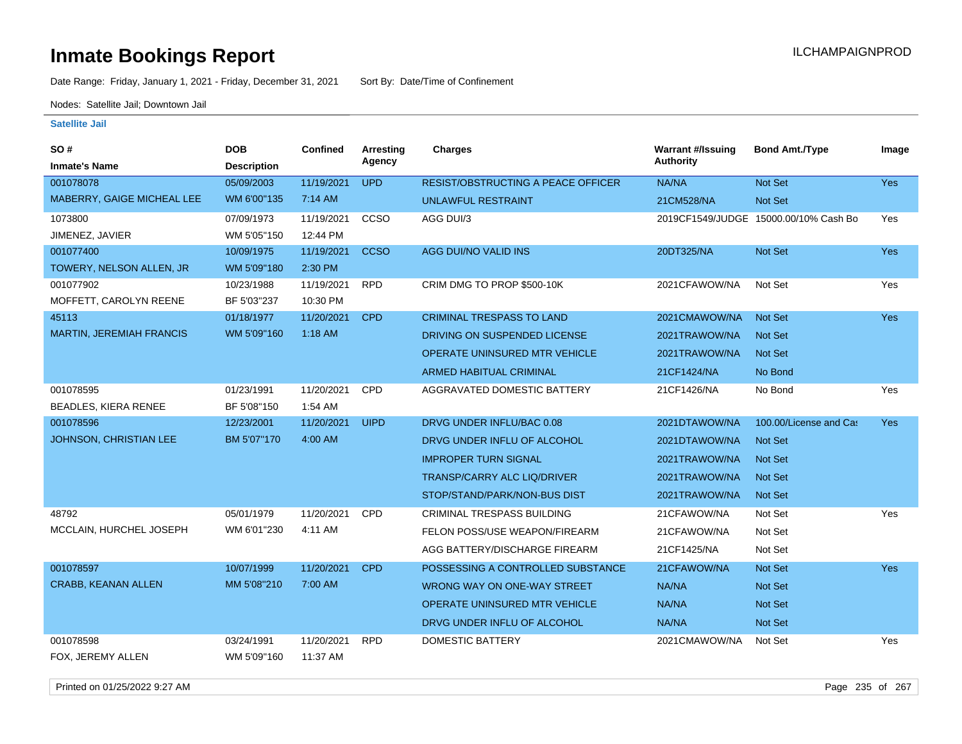Date Range: Friday, January 1, 2021 - Friday, December 31, 2021 Sort By: Date/Time of Confinement

Nodes: Satellite Jail; Downtown Jail

| SO #<br><b>Inmate's Name</b>    | <b>DOB</b><br><b>Description</b> | <b>Confined</b> | <b>Arresting</b><br>Agency | Charges                                   | <b>Warrant #/Issuing</b><br><b>Authority</b> | <b>Bond Amt./Type</b>                 | Image      |
|---------------------------------|----------------------------------|-----------------|----------------------------|-------------------------------------------|----------------------------------------------|---------------------------------------|------------|
| 001078078                       | 05/09/2003                       | 11/19/2021      | <b>UPD</b>                 | <b>RESIST/OBSTRUCTING A PEACE OFFICER</b> | NA/NA                                        | Not Set                               | <b>Yes</b> |
| MABERRY, GAIGE MICHEAL LEE      | WM 6'00"135                      | 7:14 AM         |                            |                                           |                                              |                                       |            |
|                                 |                                  |                 |                            | <b>UNLAWFUL RESTRAINT</b>                 | 21CM528/NA                                   | Not Set                               |            |
| 1073800                         | 07/09/1973                       | 11/19/2021      | CCSO                       | AGG DUI/3                                 |                                              | 2019CF1549/JUDGE 15000.00/10% Cash Bo | Yes        |
| JIMENEZ, JAVIER                 | WM 5'05"150                      | 12:44 PM        |                            |                                           |                                              |                                       |            |
| 001077400                       | 10/09/1975                       | 11/19/2021      | <b>CCSO</b>                | AGG DUI/NO VALID INS                      | 20DT325/NA                                   | <b>Not Set</b>                        | Yes        |
| TOWERY, NELSON ALLEN, JR        | WM 5'09"180                      | 2:30 PM         |                            |                                           |                                              |                                       |            |
| 001077902                       | 10/23/1988                       | 11/19/2021      | <b>RPD</b>                 | CRIM DMG TO PROP \$500-10K                | 2021CFAWOW/NA                                | Not Set                               | Yes        |
| MOFFETT, CAROLYN REENE          | BF 5'03"237                      | 10:30 PM        |                            |                                           |                                              |                                       |            |
| 45113                           | 01/18/1977                       | 11/20/2021      | <b>CPD</b>                 | <b>CRIMINAL TRESPASS TO LAND</b>          | 2021CMAWOW/NA                                | Not Set                               | Yes        |
| <b>MARTIN, JEREMIAH FRANCIS</b> | WM 5'09"160                      | $1:18$ AM       |                            | DRIVING ON SUSPENDED LICENSE              | 2021TRAWOW/NA                                | Not Set                               |            |
|                                 |                                  |                 |                            | OPERATE UNINSURED MTR VEHICLE             | 2021TRAWOW/NA                                | <b>Not Set</b>                        |            |
|                                 |                                  |                 |                            | <b>ARMED HABITUAL CRIMINAL</b>            | 21CF1424/NA                                  | No Bond                               |            |
| 001078595                       | 01/23/1991                       | 11/20/2021      | CPD                        | AGGRAVATED DOMESTIC BATTERY               | 21CF1426/NA                                  | No Bond                               | Yes        |
| <b>BEADLES, KIERA RENEE</b>     | BF 5'08"150                      | 1:54 AM         |                            |                                           |                                              |                                       |            |
| 001078596                       | 12/23/2001                       | 11/20/2021      | <b>UIPD</b>                | DRVG UNDER INFLU/BAC 0.08                 | 2021DTAWOW/NA                                | 100.00/License and Cas                | <b>Yes</b> |
| <b>JOHNSON, CHRISTIAN LEE</b>   | BM 5'07"170                      | 4:00 AM         |                            | DRVG UNDER INFLU OF ALCOHOL               | 2021DTAWOW/NA                                | Not Set                               |            |
|                                 |                                  |                 |                            | <b>IMPROPER TURN SIGNAL</b>               | 2021TRAWOW/NA                                | <b>Not Set</b>                        |            |
|                                 |                                  |                 |                            | TRANSP/CARRY ALC LIQ/DRIVER               | 2021TRAWOW/NA                                | <b>Not Set</b>                        |            |
|                                 |                                  |                 |                            | STOP/STAND/PARK/NON-BUS DIST              | 2021TRAWOW/NA                                | <b>Not Set</b>                        |            |
| 48792                           | 05/01/1979                       | 11/20/2021      | CPD                        | CRIMINAL TRESPASS BUILDING                | 21CFAWOW/NA                                  | Not Set                               | Yes        |
| MCCLAIN, HURCHEL JOSEPH         | WM 6'01"230                      | 4:11 AM         |                            | FELON POSS/USE WEAPON/FIREARM             | 21CFAWOW/NA                                  | Not Set                               |            |
|                                 |                                  |                 |                            | AGG BATTERY/DISCHARGE FIREARM             | 21CF1425/NA                                  | Not Set                               |            |
| 001078597                       | 10/07/1999                       | 11/20/2021      | <b>CPD</b>                 | POSSESSING A CONTROLLED SUBSTANCE         | 21CFAWOW/NA                                  | Not Set                               | <b>Yes</b> |
| <b>CRABB, KEANAN ALLEN</b>      | MM 5'08"210                      | 7:00 AM         |                            | WRONG WAY ON ONE-WAY STREET               | NA/NA                                        | <b>Not Set</b>                        |            |
|                                 |                                  |                 |                            | OPERATE UNINSURED MTR VEHICLE             | NA/NA                                        | <b>Not Set</b>                        |            |
|                                 |                                  |                 |                            | DRVG UNDER INFLU OF ALCOHOL               | NA/NA                                        | Not Set                               |            |
| 001078598                       | 03/24/1991                       | 11/20/2021      | <b>RPD</b>                 | <b>DOMESTIC BATTERY</b>                   | 2021CMAWOW/NA                                | Not Set                               | Yes        |
| FOX, JEREMY ALLEN               | WM 5'09"160                      | 11:37 AM        |                            |                                           |                                              |                                       |            |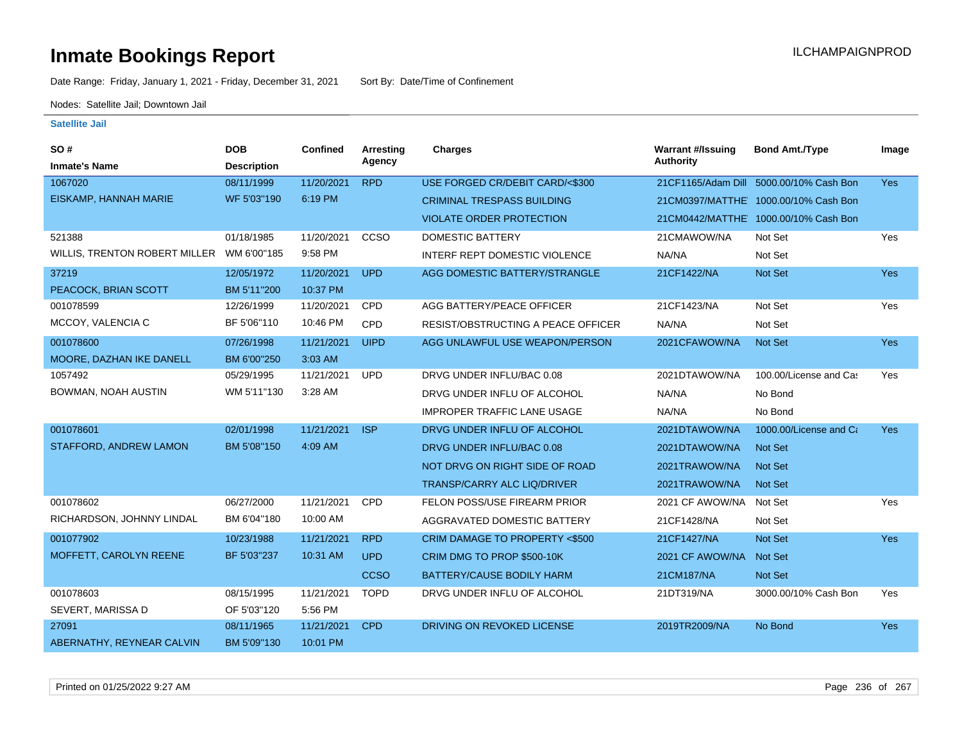Date Range: Friday, January 1, 2021 - Friday, December 31, 2021 Sort By: Date/Time of Confinement

Nodes: Satellite Jail; Downtown Jail

| <b>SO#</b>                    | <b>DOB</b>         | <b>Confined</b> | <b>Arresting</b> | Charges                            | <b>Warrant #/Issuing</b> | <b>Bond Amt./Type</b>                 | Image      |
|-------------------------------|--------------------|-----------------|------------------|------------------------------------|--------------------------|---------------------------------------|------------|
| <b>Inmate's Name</b>          | <b>Description</b> |                 | Agency           |                                    | <b>Authority</b>         |                                       |            |
| 1067020                       | 08/11/1999         | 11/20/2021      | <b>RPD</b>       | USE FORGED CR/DEBIT CARD/<\$300    | 21CF1165/Adam Dill       | 5000.00/10% Cash Bon                  | <b>Yes</b> |
| EISKAMP, HANNAH MARIE         | WF 5'03"190        | 6:19 PM         |                  | <b>CRIMINAL TRESPASS BUILDING</b>  |                          | 21CM0397/MATTHE' 1000.00/10% Cash Bon |            |
|                               |                    |                 |                  | <b>VIOLATE ORDER PROTECTION</b>    |                          | 21CM0442/MATTHE 1000.00/10% Cash Bon  |            |
| 521388                        | 01/18/1985         | 11/20/2021      | CCSO             | <b>DOMESTIC BATTERY</b>            | 21CMAWOW/NA              | Not Set                               | Yes        |
| WILLIS, TRENTON ROBERT MILLER | WM 6'00"185        | 9:58 PM         |                  | INTERF REPT DOMESTIC VIOLENCE      | NA/NA                    | Not Set                               |            |
| 37219                         | 12/05/1972         | 11/20/2021      | <b>UPD</b>       | AGG DOMESTIC BATTERY/STRANGLE      | 21CF1422/NA              | Not Set                               | Yes        |
| PEACOCK, BRIAN SCOTT          | BM 5'11"200        | 10:37 PM        |                  |                                    |                          |                                       |            |
| 001078599                     | 12/26/1999         | 11/20/2021      | <b>CPD</b>       | AGG BATTERY/PEACE OFFICER          | 21CF1423/NA              | Not Set                               | Yes        |
| MCCOY, VALENCIA C             | BF 5'06"110        | 10:46 PM        | <b>CPD</b>       | RESIST/OBSTRUCTING A PEACE OFFICER | NA/NA                    | Not Set                               |            |
| 001078600                     | 07/26/1998         | 11/21/2021      | <b>UIPD</b>      | AGG UNLAWFUL USE WEAPON/PERSON     | 2021CFAWOW/NA            | Not Set                               | Yes        |
| MOORE, DAZHAN IKE DANELL      | BM 6'00"250        | 3:03 AM         |                  |                                    |                          |                                       |            |
| 1057492                       | 05/29/1995         | 11/21/2021      | <b>UPD</b>       | DRVG UNDER INFLU/BAC 0.08          | 2021DTAWOW/NA            | 100.00/License and Cas                | Yes        |
| BOWMAN, NOAH AUSTIN           | WM 5'11"130        | 3:28 AM         |                  | DRVG UNDER INFLU OF ALCOHOL        | NA/NA                    | No Bond                               |            |
|                               |                    |                 |                  | <b>IMPROPER TRAFFIC LANE USAGE</b> | NA/NA                    | No Bond                               |            |
| 001078601                     | 02/01/1998         | 11/21/2021      | <b>ISP</b>       | DRVG UNDER INFLU OF ALCOHOL        | 2021DTAWOW/NA            | 1000.00/License and Ca                | Yes        |
| <b>STAFFORD, ANDREW LAMON</b> | BM 5'08"150        | 4:09 AM         |                  | DRVG UNDER INFLU/BAC 0.08          | 2021DTAWOW/NA            | Not Set                               |            |
|                               |                    |                 |                  | NOT DRVG ON RIGHT SIDE OF ROAD     | 2021TRAWOW/NA            | <b>Not Set</b>                        |            |
|                               |                    |                 |                  | <b>TRANSP/CARRY ALC LIQ/DRIVER</b> | 2021TRAWOW/NA            | <b>Not Set</b>                        |            |
| 001078602                     | 06/27/2000         | 11/21/2021      | CPD              | FELON POSS/USE FIREARM PRIOR       | 2021 CF AWOW/NA          | Not Set                               | Yes        |
| RICHARDSON, JOHNNY LINDAL     | BM 6'04"180        | 10:00 AM        |                  | AGGRAVATED DOMESTIC BATTERY        | 21CF1428/NA              | Not Set                               |            |
| 001077902                     | 10/23/1988         | 11/21/2021      | <b>RPD</b>       | CRIM DAMAGE TO PROPERTY <\$500     | 21CF1427/NA              | Not Set                               | Yes        |
| MOFFETT, CAROLYN REENE        | BF 5'03"237        | 10:31 AM        | <b>UPD</b>       | CRIM DMG TO PROP \$500-10K         | 2021 CF AWOW/NA          | Not Set                               |            |
|                               |                    |                 | <b>CCSO</b>      | BATTERY/CAUSE BODILY HARM          | 21CM187/NA               | Not Set                               |            |
| 001078603                     | 08/15/1995         | 11/21/2021      | <b>TOPD</b>      | DRVG UNDER INFLU OF ALCOHOL        | 21DT319/NA               | 3000.00/10% Cash Bon                  | Yes        |
| SEVERT, MARISSA D             | OF 5'03"120        | 5:56 PM         |                  |                                    |                          |                                       |            |
| 27091                         | 08/11/1965         | 11/21/2021      | <b>CPD</b>       | DRIVING ON REVOKED LICENSE         | 2019TR2009/NA            | No Bond                               | Yes        |
| ABERNATHY, REYNEAR CALVIN     | BM 5'09"130        | 10:01 PM        |                  |                                    |                          |                                       |            |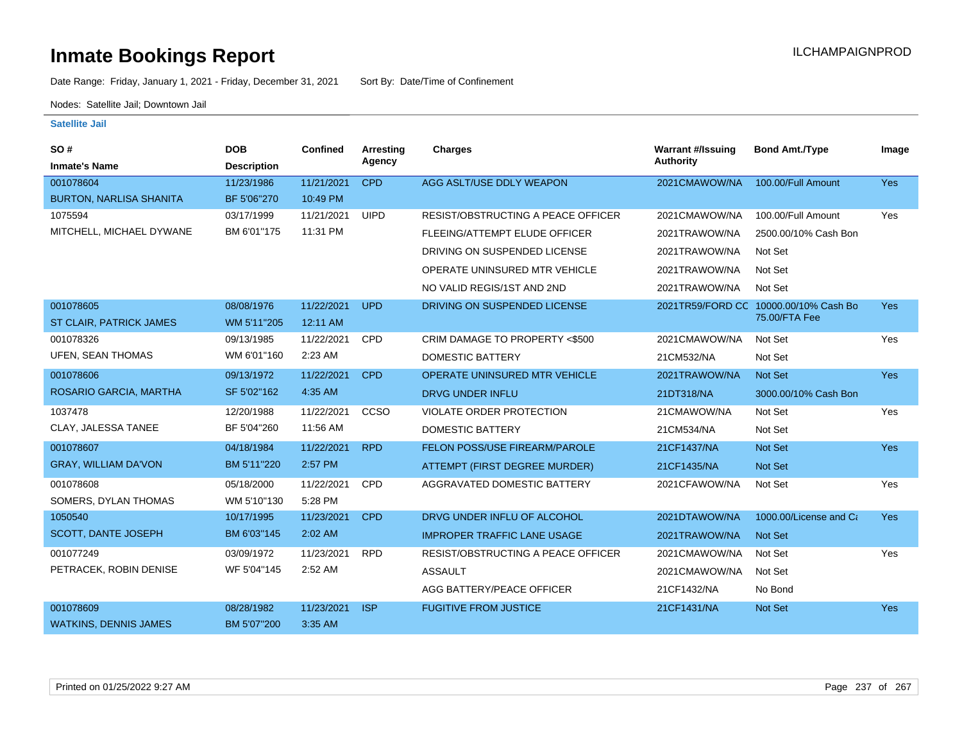Date Range: Friday, January 1, 2021 - Friday, December 31, 2021 Sort By: Date/Time of Confinement

Nodes: Satellite Jail; Downtown Jail

| SO#<br><b>Inmate's Name</b>    | <b>DOB</b><br><b>Description</b> | Confined   | Arresting<br>Agency | Charges                                   | <b>Warrant #/Issuing</b><br><b>Authority</b> | <b>Bond Amt./Type</b>                 | Image      |
|--------------------------------|----------------------------------|------------|---------------------|-------------------------------------------|----------------------------------------------|---------------------------------------|------------|
| 001078604                      | 11/23/1986                       | 11/21/2021 | <b>CPD</b>          | AGG ASLT/USE DDLY WEAPON                  | 2021CMAWOW/NA                                | 100.00/Full Amount                    | Yes        |
| <b>BURTON, NARLISA SHANITA</b> | BF 5'06"270                      | 10:49 PM   |                     |                                           |                                              |                                       |            |
| 1075594                        | 03/17/1999                       | 11/21/2021 | <b>UIPD</b>         | RESIST/OBSTRUCTING A PEACE OFFICER        | 2021CMAWOW/NA                                | 100.00/Full Amount                    | Yes        |
| MITCHELL, MICHAEL DYWANE       | BM 6'01"175                      | 11:31 PM   |                     | FLEEING/ATTEMPT ELUDE OFFICER             | 2021TRAWOW/NA                                | 2500.00/10% Cash Bon                  |            |
|                                |                                  |            |                     | DRIVING ON SUSPENDED LICENSE              | 2021TRAWOW/NA                                | Not Set                               |            |
|                                |                                  |            |                     | OPERATE UNINSURED MTR VEHICLE             | 2021TRAWOW/NA                                | Not Set                               |            |
|                                |                                  |            |                     | NO VALID REGIS/1ST AND 2ND                | 2021TRAWOW/NA                                | Not Set                               |            |
| 001078605                      | 08/08/1976                       | 11/22/2021 | <b>UPD</b>          | DRIVING ON SUSPENDED LICENSE              |                                              | 2021TR59/FORD CC 10000.00/10% Cash Bo | <b>Yes</b> |
| ST CLAIR, PATRICK JAMES        | WM 5'11"205                      | 12:11 AM   |                     |                                           |                                              | 75.00/FTA Fee                         |            |
| 001078326                      | 09/13/1985                       | 11/22/2021 | <b>CPD</b>          | CRIM DAMAGE TO PROPERTY <\$500            | 2021CMAWOW/NA                                | Not Set                               | Yes        |
| UFEN, SEAN THOMAS              | WM 6'01"160                      | 2:23 AM    |                     | <b>DOMESTIC BATTERY</b>                   | 21CM532/NA                                   | Not Set                               |            |
| 001078606                      | 09/13/1972                       | 11/22/2021 | <b>CPD</b>          | <b>OPERATE UNINSURED MTR VEHICLE</b>      | 2021TRAWOW/NA                                | Not Set                               | <b>Yes</b> |
| ROSARIO GARCIA, MARTHA         | SF 5'02"162                      | 4:35 AM    |                     | DRVG UNDER INFLU                          | 21DT318/NA                                   | 3000.00/10% Cash Bon                  |            |
| 1037478                        | 12/20/1988                       | 11/22/2021 | CCSO                | <b>VIOLATE ORDER PROTECTION</b>           | 21CMAWOW/NA                                  | Not Set                               | Yes        |
| CLAY, JALESSA TANEE            | BF 5'04"260                      | 11:56 AM   |                     | DOMESTIC BATTERY                          | 21CM534/NA                                   | Not Set                               |            |
| 001078607                      | 04/18/1984                       | 11/22/2021 | <b>RPD</b>          | FELON POSS/USE FIREARM/PAROLE             | 21CF1437/NA                                  | <b>Not Set</b>                        | <b>Yes</b> |
| <b>GRAY, WILLIAM DA'VON</b>    | BM 5'11"220                      | 2:57 PM    |                     | ATTEMPT (FIRST DEGREE MURDER)             | 21CF1435/NA                                  | <b>Not Set</b>                        |            |
| 001078608                      | 05/18/2000                       | 11/22/2021 | <b>CPD</b>          | AGGRAVATED DOMESTIC BATTERY               | 2021CFAWOW/NA                                | Not Set                               | Yes        |
| SOMERS, DYLAN THOMAS           | WM 5'10"130                      | 5:28 PM    |                     |                                           |                                              |                                       |            |
| 1050540                        | 10/17/1995                       | 11/23/2021 | <b>CPD</b>          | DRVG UNDER INFLU OF ALCOHOL               | 2021DTAWOW/NA                                | 1000.00/License and Ca                | <b>Yes</b> |
| SCOTT, DANTE JOSEPH            | BM 6'03"145                      | 2:02 AM    |                     | <b>IMPROPER TRAFFIC LANE USAGE</b>        | 2021TRAWOW/NA                                | Not Set                               |            |
| 001077249                      | 03/09/1972                       | 11/23/2021 | <b>RPD</b>          | <b>RESIST/OBSTRUCTING A PEACE OFFICER</b> | 2021CMAWOW/NA                                | Not Set                               | Yes        |
| PETRACEK, ROBIN DENISE         | WF 5'04"145                      | 2:52 AM    |                     | <b>ASSAULT</b>                            | 2021CMAWOW/NA                                | Not Set                               |            |
|                                |                                  |            |                     | AGG BATTERY/PEACE OFFICER                 | 21CF1432/NA                                  | No Bond                               |            |
| 001078609                      | 08/28/1982                       | 11/23/2021 | <b>ISP</b>          | <b>FUGITIVE FROM JUSTICE</b>              | 21CF1431/NA                                  | Not Set                               | Yes        |
| <b>WATKINS, DENNIS JAMES</b>   | BM 5'07"200                      | 3:35 AM    |                     |                                           |                                              |                                       |            |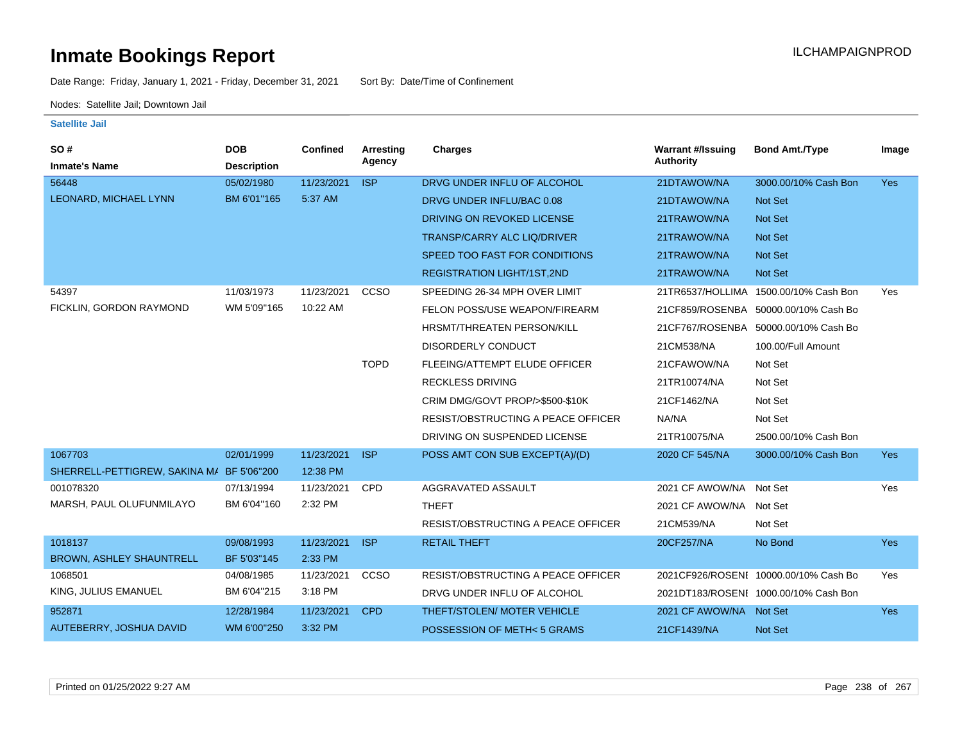Date Range: Friday, January 1, 2021 - Friday, December 31, 2021 Sort By: Date/Time of Confinement

Nodes: Satellite Jail; Downtown Jail

| SO#                                       | <b>DOB</b>         | <b>Confined</b> | Arresting   | <b>Charges</b>                            | <b>Warrant #/Issuing</b> | <b>Bond Amt./Type</b>                 | Image      |
|-------------------------------------------|--------------------|-----------------|-------------|-------------------------------------------|--------------------------|---------------------------------------|------------|
| <b>Inmate's Name</b>                      | <b>Description</b> |                 | Agency      |                                           | <b>Authority</b>         |                                       |            |
| 56448                                     | 05/02/1980         | 11/23/2021      | <b>ISP</b>  | DRVG UNDER INFLU OF ALCOHOL               | 21DTAWOW/NA              | 3000.00/10% Cash Bon                  | <b>Yes</b> |
| LEONARD, MICHAEL LYNN                     | BM 6'01"165        | 5:37 AM         |             | DRVG UNDER INFLU/BAC 0.08                 | 21DTAWOW/NA              | <b>Not Set</b>                        |            |
|                                           |                    |                 |             | DRIVING ON REVOKED LICENSE                | 21TRAWOW/NA              | <b>Not Set</b>                        |            |
|                                           |                    |                 |             | <b>TRANSP/CARRY ALC LIQ/DRIVER</b>        | 21TRAWOW/NA              | Not Set                               |            |
|                                           |                    |                 |             | SPEED TOO FAST FOR CONDITIONS             | 21TRAWOW/NA              | <b>Not Set</b>                        |            |
|                                           |                    |                 |             | REGISTRATION LIGHT/1ST,2ND                | 21TRAWOW/NA              | <b>Not Set</b>                        |            |
| 54397                                     | 11/03/1973         | 11/23/2021      | CCSO        | SPEEDING 26-34 MPH OVER LIMIT             |                          | 21TR6537/HOLLIMA 1500.00/10% Cash Bon | <b>Yes</b> |
| FICKLIN, GORDON RAYMOND                   | WM 5'09"165        | 10:22 AM        |             | FELON POSS/USE WEAPON/FIREARM             |                          | 21CF859/ROSENBA 50000.00/10% Cash Bo  |            |
|                                           |                    |                 |             | HRSMT/THREATEN PERSON/KILL                |                          | 21CF767/ROSENBA 50000.00/10% Cash Bo  |            |
|                                           |                    |                 |             | DISORDERLY CONDUCT                        | 21CM538/NA               | 100.00/Full Amount                    |            |
|                                           |                    |                 | <b>TOPD</b> | FLEEING/ATTEMPT ELUDE OFFICER             | 21CFAWOW/NA              | Not Set                               |            |
|                                           |                    |                 |             | <b>RECKLESS DRIVING</b>                   | 21TR10074/NA             | Not Set                               |            |
|                                           |                    |                 |             | CRIM DMG/GOVT PROP/>\$500-\$10K           | 21CF1462/NA              | Not Set                               |            |
|                                           |                    |                 |             | RESIST/OBSTRUCTING A PEACE OFFICER        | NA/NA                    | Not Set                               |            |
|                                           |                    |                 |             | DRIVING ON SUSPENDED LICENSE              | 21TR10075/NA             | 2500.00/10% Cash Bon                  |            |
| 1067703                                   | 02/01/1999         | 11/23/2021      | <b>ISP</b>  | POSS AMT CON SUB EXCEPT(A)/(D)            | 2020 CF 545/NA           | 3000.00/10% Cash Bon                  | Yes        |
| SHERRELL-PETTIGREW, SAKINA M/ BF 5'06"200 |                    | 12:38 PM        |             |                                           |                          |                                       |            |
| 001078320                                 | 07/13/1994         | 11/23/2021      | CPD         | AGGRAVATED ASSAULT                        | 2021 CF AWOW/NA          | Not Set                               | Yes        |
| MARSH, PAUL OLUFUNMILAYO                  | BM 6'04"160        | 2:32 PM         |             | <b>THEFT</b>                              | 2021 CF AWOW/NA Not Set  |                                       |            |
|                                           |                    |                 |             | <b>RESIST/OBSTRUCTING A PEACE OFFICER</b> | 21CM539/NA               | Not Set                               |            |
| 1018137                                   | 09/08/1993         | 11/23/2021      | <b>ISP</b>  | <b>RETAIL THEFT</b>                       | 20CF257/NA               | No Bond                               | <b>Yes</b> |
| <b>BROWN, ASHLEY SHAUNTRELL</b>           | BF 5'03"145        | 2:33 PM         |             |                                           |                          |                                       |            |
| 1068501                                   | 04/08/1985         | 11/23/2021      | CCSO        | RESIST/OBSTRUCTING A PEACE OFFICER        |                          | 2021CF926/ROSENI 10000.00/10% Cash Bo | Yes        |
| KING, JULIUS EMANUEL                      | BM 6'04"215        | 3:18 PM         |             | DRVG UNDER INFLU OF ALCOHOL               |                          | 2021DT183/ROSENI 1000.00/10% Cash Bon |            |
| 952871                                    | 12/28/1984         | 11/23/2021      | <b>CPD</b>  | THEFT/STOLEN/ MOTER VEHICLE               | 2021 CF AWOW/NA          | Not Set                               | Yes        |
| AUTEBERRY, JOSHUA DAVID                   | WM 6'00"250        | 3:32 PM         |             | POSSESSION OF METH<5 GRAMS                | 21CF1439/NA              | <b>Not Set</b>                        |            |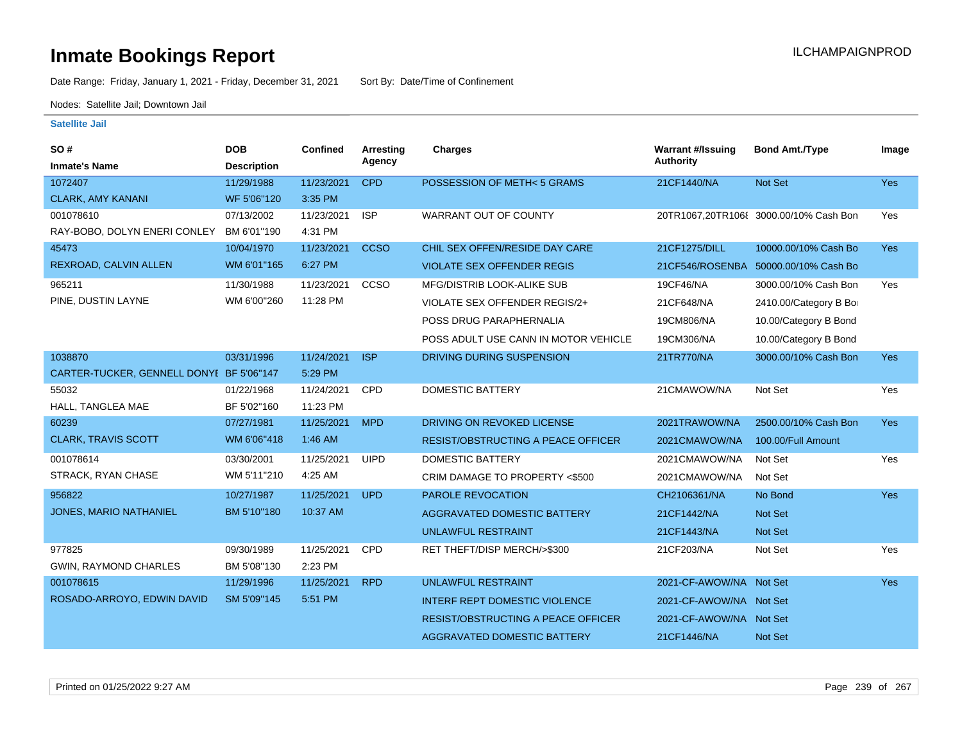Date Range: Friday, January 1, 2021 - Friday, December 31, 2021 Sort By: Date/Time of Confinement

Nodes: Satellite Jail; Downtown Jail

| SO#<br><b>Inmate's Name</b>              | <b>DOB</b><br><b>Description</b> | Confined   | <b>Arresting</b><br>Agency | <b>Charges</b>                            | <b>Warrant #/Issuing</b><br><b>Authority</b> | <b>Bond Amt./Type</b>                  | Image      |
|------------------------------------------|----------------------------------|------------|----------------------------|-------------------------------------------|----------------------------------------------|----------------------------------------|------------|
| 1072407                                  | 11/29/1988                       | 11/23/2021 | <b>CPD</b>                 | POSSESSION OF METH< 5 GRAMS               | 21CF1440/NA                                  | Not Set                                | <b>Yes</b> |
| <b>CLARK, AMY KANANI</b>                 | WF 5'06"120                      | 3:35 PM    |                            |                                           |                                              |                                        |            |
| 001078610                                | 07/13/2002                       | 11/23/2021 | <b>ISP</b>                 | WARRANT OUT OF COUNTY                     |                                              | 20TR1067,20TR106{ 3000.00/10% Cash Bon | Yes        |
| RAY-BOBO, DOLYN ENERI CONLEY             | BM 6'01"190                      | 4:31 PM    |                            |                                           |                                              |                                        |            |
| 45473                                    | 10/04/1970                       | 11/23/2021 | <b>CCSO</b>                | CHIL SEX OFFEN/RESIDE DAY CARE            | 21CF1275/DILL                                | 10000.00/10% Cash Bo                   | <b>Yes</b> |
| REXROAD, CALVIN ALLEN                    | WM 6'01"165                      | 6:27 PM    |                            | <b>VIOLATE SEX OFFENDER REGIS</b>         |                                              | 21CF546/ROSENBA 50000.00/10% Cash Bo   |            |
| 965211                                   | 11/30/1988                       | 11/23/2021 | CCSO                       | <b>MFG/DISTRIB LOOK-ALIKE SUB</b>         | 19CF46/NA                                    | 3000.00/10% Cash Bon                   | Yes        |
| PINE, DUSTIN LAYNE                       | WM 6'00"260                      | 11:28 PM   |                            | VIOLATE SEX OFFENDER REGIS/2+             | 21CF648/NA                                   | 2410.00/Category B Bo                  |            |
|                                          |                                  |            |                            | POSS DRUG PARAPHERNALIA                   | 19CM806/NA                                   | 10.00/Category B Bond                  |            |
|                                          |                                  |            |                            | POSS ADULT USE CANN IN MOTOR VEHICLE      | 19CM306/NA                                   | 10.00/Category B Bond                  |            |
| 1038870                                  | 03/31/1996                       | 11/24/2021 | <b>ISP</b>                 | DRIVING DURING SUSPENSION                 | 21TR770/NA                                   | 3000.00/10% Cash Bon                   | <b>Yes</b> |
| CARTER-TUCKER, GENNELL DONYI BF 5'06"147 |                                  | 5:29 PM    |                            |                                           |                                              |                                        |            |
| 55032                                    | 01/22/1968                       | 11/24/2021 | CPD                        | <b>DOMESTIC BATTERY</b>                   | 21CMAWOW/NA                                  | Not Set                                | Yes        |
| HALL, TANGLEA MAE                        | BF 5'02"160                      | 11:23 PM   |                            |                                           |                                              |                                        |            |
| 60239                                    | 07/27/1981                       | 11/25/2021 | <b>MPD</b>                 | DRIVING ON REVOKED LICENSE                | 2021TRAWOW/NA                                | 2500.00/10% Cash Bon                   | <b>Yes</b> |
| <b>CLARK, TRAVIS SCOTT</b>               | WM 6'06"418                      | 1:46 AM    |                            | <b>RESIST/OBSTRUCTING A PEACE OFFICER</b> | 2021CMAWOW/NA                                | 100.00/Full Amount                     |            |
| 001078614                                | 03/30/2001                       | 11/25/2021 | <b>UIPD</b>                | <b>DOMESTIC BATTERY</b>                   | 2021CMAWOW/NA                                | Not Set                                | Yes        |
| STRACK, RYAN CHASE                       | WM 5'11"210                      | 4:25 AM    |                            | CRIM DAMAGE TO PROPERTY <\$500            | 2021CMAWOW/NA                                | Not Set                                |            |
| 956822                                   | 10/27/1987                       | 11/25/2021 | <b>UPD</b>                 | <b>PAROLE REVOCATION</b>                  | CH2106361/NA                                 | No Bond                                | <b>Yes</b> |
| <b>JONES, MARIO NATHANIEL</b>            | BM 5'10"180                      | 10:37 AM   |                            | AGGRAVATED DOMESTIC BATTERY               | 21CF1442/NA                                  | Not Set                                |            |
|                                          |                                  |            |                            | <b>UNLAWFUL RESTRAINT</b>                 | 21CF1443/NA                                  | <b>Not Set</b>                         |            |
| 977825                                   | 09/30/1989                       | 11/25/2021 | <b>CPD</b>                 | RET THEFT/DISP MERCH/>\$300               | 21CF203/NA                                   | Not Set                                | Yes        |
| <b>GWIN, RAYMOND CHARLES</b>             | BM 5'08"130                      | 2:23 PM    |                            |                                           |                                              |                                        |            |
| 001078615                                | 11/29/1996                       | 11/25/2021 | <b>RPD</b>                 | UNLAWFUL RESTRAINT                        | 2021-CF-AWOW/NA Not Set                      |                                        | <b>Yes</b> |
| ROSADO-ARROYO, EDWIN DAVID               | SM 5'09"145                      | 5:51 PM    |                            | <b>INTERF REPT DOMESTIC VIOLENCE</b>      | 2021-CF-AWOW/NA Not Set                      |                                        |            |
|                                          |                                  |            |                            | <b>RESIST/OBSTRUCTING A PEACE OFFICER</b> | 2021-CF-AWOW/NA Not Set                      |                                        |            |
|                                          |                                  |            |                            | AGGRAVATED DOMESTIC BATTERY               | 21CF1446/NA                                  | <b>Not Set</b>                         |            |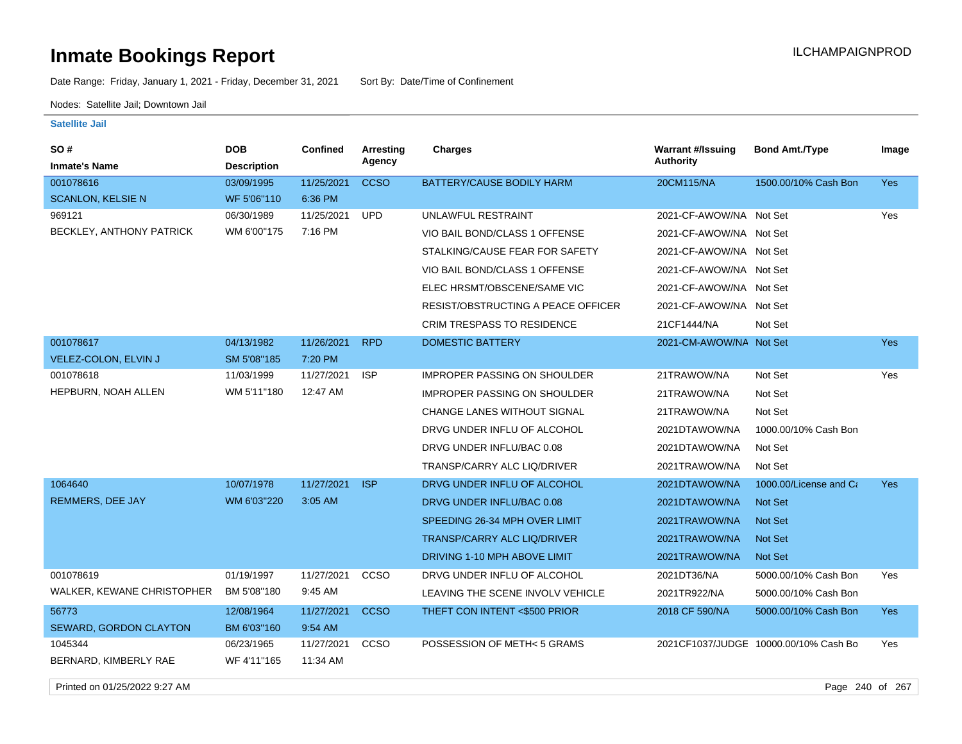Date Range: Friday, January 1, 2021 - Friday, December 31, 2021 Sort By: Date/Time of Confinement

Nodes: Satellite Jail; Downtown Jail

**Satellite Jail**

| SO#                        | <b>DOB</b>         | Confined   | Arresting   | <b>Charges</b>                      | <b>Warrant #/Issuing</b> | <b>Bond Amt./Type</b>                 | Image      |
|----------------------------|--------------------|------------|-------------|-------------------------------------|--------------------------|---------------------------------------|------------|
| <b>Inmate's Name</b>       | <b>Description</b> |            | Agency      |                                     | <b>Authority</b>         |                                       |            |
| 001078616                  | 03/09/1995         | 11/25/2021 | <b>CCSO</b> | BATTERY/CAUSE BODILY HARM           | 20CM115/NA               | 1500.00/10% Cash Bon                  | Yes        |
| <b>SCANLON, KELSIE N</b>   | WF 5'06"110        | 6:36 PM    |             |                                     |                          |                                       |            |
| 969121                     | 06/30/1989         | 11/25/2021 | <b>UPD</b>  | UNLAWFUL RESTRAINT                  | 2021-CF-AWOW/NA Not Set  |                                       | Yes        |
| BECKLEY, ANTHONY PATRICK   | WM 6'00"175        | 7:16 PM    |             | VIO BAIL BOND/CLASS 1 OFFENSE       | 2021-CF-AWOW/NA Not Set  |                                       |            |
|                            |                    |            |             | STALKING/CAUSE FEAR FOR SAFETY      | 2021-CF-AWOW/NA Not Set  |                                       |            |
|                            |                    |            |             | VIO BAIL BOND/CLASS 1 OFFENSE       | 2021-CF-AWOW/NA Not Set  |                                       |            |
|                            |                    |            |             | ELEC HRSMT/OBSCENE/SAME VIC         | 2021-CF-AWOW/NA Not Set  |                                       |            |
|                            |                    |            |             | RESIST/OBSTRUCTING A PEACE OFFICER  | 2021-CF-AWOW/NA Not Set  |                                       |            |
|                            |                    |            |             | <b>CRIM TRESPASS TO RESIDENCE</b>   | 21CF1444/NA              | Not Set                               |            |
| 001078617                  | 04/13/1982         | 11/26/2021 | <b>RPD</b>  | <b>DOMESTIC BATTERY</b>             | 2021-CM-AWOW/NA Not Set  |                                       | Yes        |
| VELEZ-COLON, ELVIN J       | SM 5'08"185        | 7:20 PM    |             |                                     |                          |                                       |            |
| 001078618                  | 11/03/1999         | 11/27/2021 | <b>ISP</b>  | <b>IMPROPER PASSING ON SHOULDER</b> | 21TRAWOW/NA              | Not Set                               | Yes        |
| HEPBURN, NOAH ALLEN        | WM 5'11"180        | 12:47 AM   |             | <b>IMPROPER PASSING ON SHOULDER</b> | 21TRAWOW/NA              | Not Set                               |            |
|                            |                    |            |             | <b>CHANGE LANES WITHOUT SIGNAL</b>  | 21TRAWOW/NA              | Not Set                               |            |
|                            |                    |            |             | DRVG UNDER INFLU OF ALCOHOL         | 2021DTAWOW/NA            | 1000.00/10% Cash Bon                  |            |
|                            |                    |            |             | DRVG UNDER INFLU/BAC 0.08           | 2021DTAWOW/NA            | Not Set                               |            |
|                            |                    |            |             | TRANSP/CARRY ALC LIQ/DRIVER         | 2021TRAWOW/NA            | Not Set                               |            |
| 1064640                    | 10/07/1978         | 11/27/2021 | <b>ISP</b>  | DRVG UNDER INFLU OF ALCOHOL         | 2021DTAWOW/NA            | 1000.00/License and Ca                | <b>Yes</b> |
| REMMERS, DEE JAY           | WM 6'03"220        | 3:05 AM    |             | DRVG UNDER INFLU/BAC 0.08           | 2021DTAWOW/NA            | <b>Not Set</b>                        |            |
|                            |                    |            |             | SPEEDING 26-34 MPH OVER LIMIT       | 2021TRAWOW/NA            | Not Set                               |            |
|                            |                    |            |             | <b>TRANSP/CARRY ALC LIQ/DRIVER</b>  | 2021TRAWOW/NA            | <b>Not Set</b>                        |            |
|                            |                    |            |             | DRIVING 1-10 MPH ABOVE LIMIT        | 2021TRAWOW/NA            | Not Set                               |            |
| 001078619                  | 01/19/1997         | 11/27/2021 | CCSO        | DRVG UNDER INFLU OF ALCOHOL         | 2021DT36/NA              | 5000.00/10% Cash Bon                  | Yes        |
| WALKER, KEWANE CHRISTOPHER | BM 5'08"180        | 9:45 AM    |             | LEAVING THE SCENE INVOLV VEHICLE    | 2021TR922/NA             | 5000.00/10% Cash Bon                  |            |
| 56773                      | 12/08/1964         | 11/27/2021 | <b>CCSO</b> | THEFT CON INTENT <\$500 PRIOR       | 2018 CF 590/NA           | 5000.00/10% Cash Bon                  | <b>Yes</b> |
| SEWARD, GORDON CLAYTON     | BM 6'03"160        | 9:54 AM    |             |                                     |                          |                                       |            |
| 1045344                    | 06/23/1965         | 11/27/2021 | ccso        | POSSESSION OF METH<5 GRAMS          |                          | 2021CF1037/JUDGE 10000.00/10% Cash Bo | Yes        |
| BERNARD, KIMBERLY RAE      | WF 4'11"165        | 11:34 AM   |             |                                     |                          |                                       |            |

Printed on 01/25/2022 9:27 AM Page 240 of 267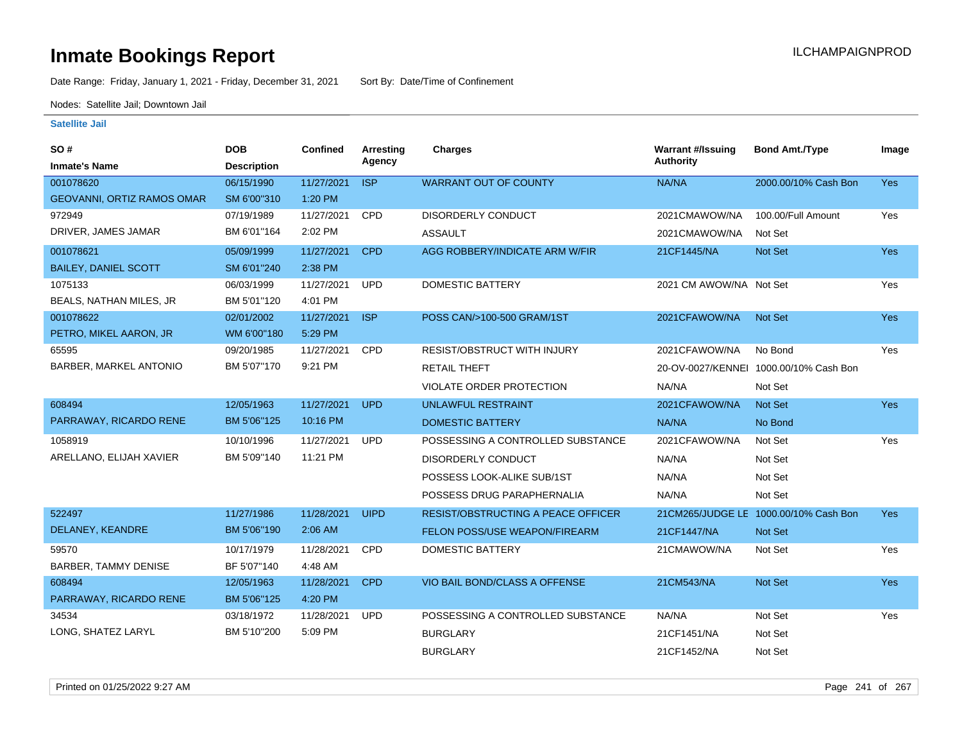Date Range: Friday, January 1, 2021 - Friday, December 31, 2021 Sort By: Date/Time of Confinement

Nodes: Satellite Jail; Downtown Jail

| SO#                         | <b>DOB</b>         | <b>Confined</b> | Arresting   | <b>Charges</b>                            | <b>Warrant #/Issuing</b> | <b>Bond Amt./Type</b>                  | Image      |
|-----------------------------|--------------------|-----------------|-------------|-------------------------------------------|--------------------------|----------------------------------------|------------|
| <b>Inmate's Name</b>        | <b>Description</b> |                 | Agency      |                                           | <b>Authority</b>         |                                        |            |
| 001078620                   | 06/15/1990         | 11/27/2021      | <b>ISP</b>  | <b>WARRANT OUT OF COUNTY</b>              | NA/NA                    | 2000.00/10% Cash Bon                   | Yes        |
| GEOVANNI, ORTIZ RAMOS OMAR  | SM 6'00"310        | 1:20 PM         |             |                                           |                          |                                        |            |
| 972949                      | 07/19/1989         | 11/27/2021      | CPD         | DISORDERLY CONDUCT                        | 2021CMAWOW/NA            | 100.00/Full Amount                     | Yes        |
| DRIVER, JAMES JAMAR         | BM 6'01"164        | 2:02 PM         |             | <b>ASSAULT</b>                            | 2021CMAWOW/NA            | Not Set                                |            |
| 001078621                   | 05/09/1999         | 11/27/2021      | <b>CPD</b>  | AGG ROBBERY/INDICATE ARM W/FIR            | 21CF1445/NA              | Not Set                                | <b>Yes</b> |
| <b>BAILEY, DANIEL SCOTT</b> | SM 6'01"240        | 2:38 PM         |             |                                           |                          |                                        |            |
| 1075133                     | 06/03/1999         | 11/27/2021      | <b>UPD</b>  | <b>DOMESTIC BATTERY</b>                   | 2021 CM AWOW/NA Not Set  |                                        | Yes        |
| BEALS, NATHAN MILES, JR     | BM 5'01"120        | 4:01 PM         |             |                                           |                          |                                        |            |
| 001078622                   | 02/01/2002         | 11/27/2021      | <b>ISP</b>  | POSS CAN/>100-500 GRAM/1ST                | 2021CFAWOW/NA            | Not Set                                | <b>Yes</b> |
| PETRO, MIKEL AARON, JR      | WM 6'00"180        | 5:29 PM         |             |                                           |                          |                                        |            |
| 65595                       | 09/20/1985         | 11/27/2021      | CPD         | RESIST/OBSTRUCT WITH INJURY               | 2021CFAWOW/NA            | No Bond                                | Yes        |
| BARBER, MARKEL ANTONIO      | BM 5'07"170        | 9:21 PM         |             | <b>RETAIL THEFT</b>                       |                          | 20-OV-0027/KENNEI 1000.00/10% Cash Bon |            |
|                             |                    |                 |             | VIOLATE ORDER PROTECTION                  | NA/NA                    | Not Set                                |            |
| 608494                      | 12/05/1963         | 11/27/2021      | <b>UPD</b>  | <b>UNLAWFUL RESTRAINT</b>                 | 2021CFAWOW/NA            | Not Set                                | Yes        |
| PARRAWAY, RICARDO RENE      | BM 5'06"125        | 10:16 PM        |             | <b>DOMESTIC BATTERY</b>                   | NA/NA                    | No Bond                                |            |
| 1058919                     | 10/10/1996         | 11/27/2021      | <b>UPD</b>  | POSSESSING A CONTROLLED SUBSTANCE         | 2021CFAWOW/NA            | Not Set                                | Yes        |
| ARELLANO, ELIJAH XAVIER     | BM 5'09"140        | 11:21 PM        |             | <b>DISORDERLY CONDUCT</b>                 | NA/NA                    | Not Set                                |            |
|                             |                    |                 |             | POSSESS LOOK-ALIKE SUB/1ST                | NA/NA                    | Not Set                                |            |
|                             |                    |                 |             | POSSESS DRUG PARAPHERNALIA                | NA/NA                    | Not Set                                |            |
| 522497                      | 11/27/1986         | 11/28/2021      | <b>UIPD</b> | <b>RESIST/OBSTRUCTING A PEACE OFFICER</b> |                          | 21CM265/JUDGE LE 1000.00/10% Cash Bon  | <b>Yes</b> |
| DELANEY, KEANDRE            | BM 5'06"190        | 2:06 AM         |             | FELON POSS/USE WEAPON/FIREARM             | 21CF1447/NA              | Not Set                                |            |
| 59570                       | 10/17/1979         | 11/28/2021      | <b>CPD</b>  | <b>DOMESTIC BATTERY</b>                   | 21CMAWOW/NA              | Not Set                                | Yes        |
| BARBER, TAMMY DENISE        | BF 5'07"140        | 4:48 AM         |             |                                           |                          |                                        |            |
| 608494                      | 12/05/1963         | 11/28/2021      | <b>CPD</b>  | VIO BAIL BOND/CLASS A OFFENSE             | 21CM543/NA               | Not Set                                | Yes        |
| PARRAWAY, RICARDO RENE      | BM 5'06"125        | 4:20 PM         |             |                                           |                          |                                        |            |
| 34534                       | 03/18/1972         | 11/28/2021      | <b>UPD</b>  | POSSESSING A CONTROLLED SUBSTANCE         | NA/NA                    | Not Set                                | Yes        |
| LONG, SHATEZ LARYL          | BM 5'10"200        | 5:09 PM         |             | <b>BURGLARY</b>                           | 21CF1451/NA              | Not Set                                |            |
|                             |                    |                 |             | <b>BURGLARY</b>                           | 21CF1452/NA              | Not Set                                |            |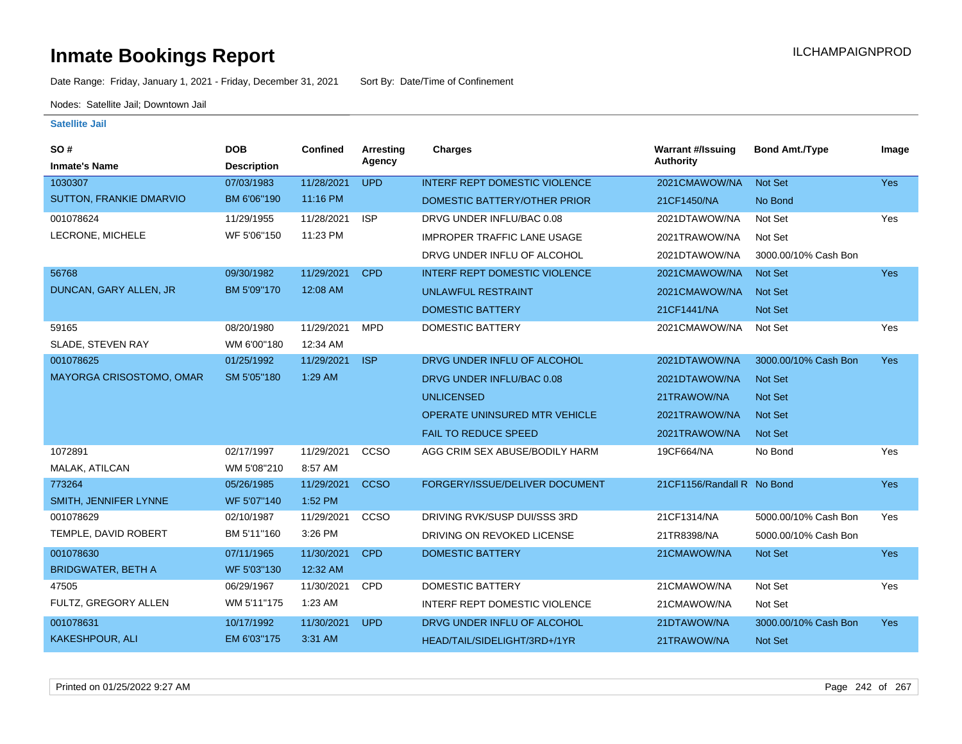Date Range: Friday, January 1, 2021 - Friday, December 31, 2021 Sort By: Date/Time of Confinement

Nodes: Satellite Jail; Downtown Jail

| SO#                            | <b>DOB</b>         | Confined   | <b>Arresting</b> | Charges                              | <b>Warrant #/Issuing</b>   | <b>Bond Amt./Type</b> | Image      |
|--------------------------------|--------------------|------------|------------------|--------------------------------------|----------------------------|-----------------------|------------|
| <b>Inmate's Name</b>           | <b>Description</b> |            | Agency           |                                      | <b>Authority</b>           |                       |            |
| 1030307                        | 07/03/1983         | 11/28/2021 | <b>UPD</b>       | <b>INTERF REPT DOMESTIC VIOLENCE</b> | 2021CMAWOW/NA              | <b>Not Set</b>        | Yes        |
| <b>SUTTON, FRANKIE DMARVIO</b> | BM 6'06"190        | 11:16 PM   |                  | DOMESTIC BATTERY/OTHER PRIOR         | 21CF1450/NA                | No Bond               |            |
| 001078624                      | 11/29/1955         | 11/28/2021 | <b>ISP</b>       | DRVG UNDER INFLU/BAC 0.08            | 2021DTAWOW/NA              | Not Set               | Yes        |
| LECRONE, MICHELE               | WF 5'06"150        | 11:23 PM   |                  | <b>IMPROPER TRAFFIC LANE USAGE</b>   | 2021TRAWOW/NA              | Not Set               |            |
|                                |                    |            |                  | DRVG UNDER INFLU OF ALCOHOL          | 2021DTAWOW/NA              | 3000.00/10% Cash Bon  |            |
| 56768                          | 09/30/1982         | 11/29/2021 | <b>CPD</b>       | <b>INTERF REPT DOMESTIC VIOLENCE</b> | 2021CMAWOW/NA              | <b>Not Set</b>        | <b>Yes</b> |
| DUNCAN, GARY ALLEN, JR         | BM 5'09"170        | 12:08 AM   |                  | <b>UNLAWFUL RESTRAINT</b>            | 2021CMAWOW/NA              | <b>Not Set</b>        |            |
|                                |                    |            |                  | <b>DOMESTIC BATTERY</b>              | 21CF1441/NA                | Not Set               |            |
| 59165                          | 08/20/1980         | 11/29/2021 | <b>MPD</b>       | <b>DOMESTIC BATTERY</b>              | 2021CMAWOW/NA              | Not Set               | Yes        |
| SLADE, STEVEN RAY              | WM 6'00"180        | 12:34 AM   |                  |                                      |                            |                       |            |
| 001078625                      | 01/25/1992         | 11/29/2021 | <b>ISP</b>       | DRVG UNDER INFLU OF ALCOHOL          | 2021DTAWOW/NA              | 3000.00/10% Cash Bon  | <b>Yes</b> |
| MAYORGA CRISOSTOMO, OMAR       | SM 5'05"180        | 1:29 AM    |                  | DRVG UNDER INFLU/BAC 0.08            | 2021DTAWOW/NA              | <b>Not Set</b>        |            |
|                                |                    |            |                  | <b>UNLICENSED</b>                    | 21TRAWOW/NA                | <b>Not Set</b>        |            |
|                                |                    |            |                  | OPERATE UNINSURED MTR VEHICLE        | 2021TRAWOW/NA              | <b>Not Set</b>        |            |
|                                |                    |            |                  | <b>FAIL TO REDUCE SPEED</b>          | 2021TRAWOW/NA              | <b>Not Set</b>        |            |
| 1072891                        | 02/17/1997         | 11/29/2021 | CCSO             | AGG CRIM SEX ABUSE/BODILY HARM       | 19CF664/NA                 | No Bond               | Yes        |
| MALAK, ATILCAN                 | WM 5'08"210        | 8:57 AM    |                  |                                      |                            |                       |            |
| 773264                         | 05/26/1985         | 11/29/2021 | <b>CCSO</b>      | FORGERY/ISSUE/DELIVER DOCUMENT       | 21CF1156/Randall R No Bond |                       | <b>Yes</b> |
| SMITH, JENNIFER LYNNE          | WF 5'07"140        | 1:52 PM    |                  |                                      |                            |                       |            |
| 001078629                      | 02/10/1987         | 11/29/2021 | CCSO             | DRIVING RVK/SUSP DUI/SSS 3RD         | 21CF1314/NA                | 5000.00/10% Cash Bon  | Yes        |
| TEMPLE, DAVID ROBERT           | BM 5'11"160        | 3:26 PM    |                  | DRIVING ON REVOKED LICENSE           | 21TR8398/NA                | 5000.00/10% Cash Bon  |            |
| 001078630                      | 07/11/1965         | 11/30/2021 | <b>CPD</b>       | <b>DOMESTIC BATTERY</b>              | 21CMAWOW/NA                | Not Set               | <b>Yes</b> |
| <b>BRIDGWATER, BETH A</b>      | WF 5'03"130        | 12:32 AM   |                  |                                      |                            |                       |            |
| 47505                          | 06/29/1967         | 11/30/2021 | <b>CPD</b>       | <b>DOMESTIC BATTERY</b>              | 21CMAWOW/NA                | Not Set               | Yes        |
| FULTZ, GREGORY ALLEN           | WM 5'11"175        | 1:23 AM    |                  | INTERF REPT DOMESTIC VIOLENCE        | 21CMAWOW/NA                | Not Set               |            |
| 001078631                      | 10/17/1992         | 11/30/2021 | <b>UPD</b>       | DRVG UNDER INFLU OF ALCOHOL          | 21DTAWOW/NA                | 3000.00/10% Cash Bon  | <b>Yes</b> |
| KAKESHPOUR, ALI                | EM 6'03"175        | 3:31 AM    |                  | HEAD/TAIL/SIDELIGHT/3RD+/1YR         | 21TRAWOW/NA                | Not Set               |            |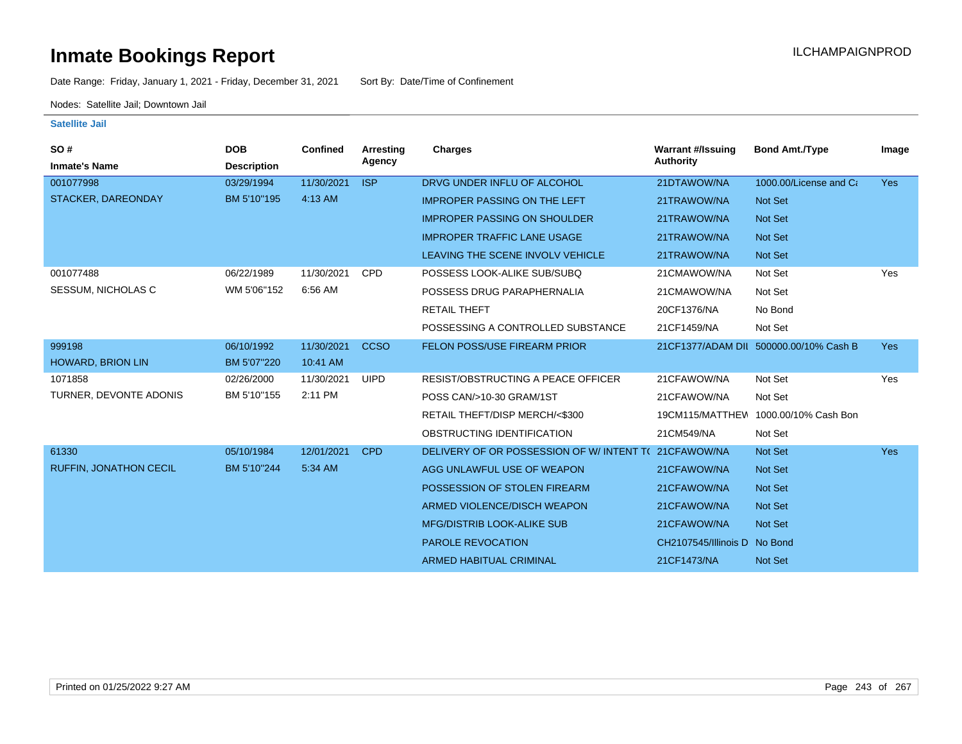Date Range: Friday, January 1, 2021 - Friday, December 31, 2021 Sort By: Date/Time of Confinement

Nodes: Satellite Jail; Downtown Jail

| SO#<br><b>Inmate's Name</b>   | <b>DOB</b><br><b>Description</b> | <b>Confined</b> | Arresting<br>Agency | Charges                                   | <b>Warrant #/Issuing</b><br><b>Authority</b> | <b>Bond Amt./Type</b>                  | Image      |
|-------------------------------|----------------------------------|-----------------|---------------------|-------------------------------------------|----------------------------------------------|----------------------------------------|------------|
| 001077998                     | 03/29/1994                       | 11/30/2021      | <b>ISP</b>          | DRVG UNDER INFLU OF ALCOHOL               | 21DTAWOW/NA                                  | 1000.00/License and Ca                 | <b>Yes</b> |
| STACKER, DAREONDAY            | BM 5'10"195                      | 4:13 AM         |                     | <b>IMPROPER PASSING ON THE LEFT</b>       | 21TRAWOW/NA                                  | Not Set                                |            |
|                               |                                  |                 |                     | <b>IMPROPER PASSING ON SHOULDER</b>       | 21TRAWOW/NA                                  | Not Set                                |            |
|                               |                                  |                 |                     | <b>IMPROPER TRAFFIC LANE USAGE</b>        | 21TRAWOW/NA                                  | <b>Not Set</b>                         |            |
|                               |                                  |                 |                     | LEAVING THE SCENE INVOLV VEHICLE          | 21TRAWOW/NA                                  | Not Set                                |            |
| 001077488                     | 06/22/1989                       | 11/30/2021      | <b>CPD</b>          | POSSESS LOOK-ALIKE SUB/SUBQ               | 21CMAWOW/NA                                  | Not Set                                | Yes        |
| <b>SESSUM, NICHOLAS C</b>     | WM 5'06"152                      | 6:56 AM         |                     | POSSESS DRUG PARAPHERNALIA                | 21CMAWOW/NA                                  | Not Set                                |            |
|                               |                                  |                 |                     | <b>RETAIL THEFT</b>                       | 20CF1376/NA                                  | No Bond                                |            |
|                               |                                  |                 |                     | POSSESSING A CONTROLLED SUBSTANCE         | 21CF1459/NA                                  | Not Set                                |            |
| 999198                        | 06/10/1992                       | 11/30/2021      | <b>CCSO</b>         | FELON POSS/USE FIREARM PRIOR              |                                              | 21CF1377/ADAM DII 500000.00/10% Cash B | <b>Yes</b> |
| <b>HOWARD, BRION LIN</b>      | BM 5'07"220                      | 10:41 AM        |                     |                                           |                                              |                                        |            |
| 1071858                       | 02/26/2000                       | 11/30/2021      | <b>UIPD</b>         | <b>RESIST/OBSTRUCTING A PEACE OFFICER</b> | 21CFAWOW/NA                                  | Not Set                                | Yes        |
| TURNER, DEVONTE ADONIS        | BM 5'10"155                      | 2:11 PM         |                     | POSS CAN/>10-30 GRAM/1ST                  | 21CFAWOW/NA                                  | Not Set                                |            |
|                               |                                  |                 |                     | RETAIL THEFT/DISP MERCH/<\$300            | 19CM115/MATTHEW                              | 1000.00/10% Cash Bon                   |            |
|                               |                                  |                 |                     | OBSTRUCTING IDENTIFICATION                | 21CM549/NA                                   | Not Set                                |            |
| 61330                         | 05/10/1984                       | 12/01/2021      | <b>CPD</b>          | DELIVERY OF OR POSSESSION OF W/INTENT TO  | 21CFAWOW/NA                                  | <b>Not Set</b>                         | <b>Yes</b> |
| <b>RUFFIN, JONATHON CECIL</b> | BM 5'10"244                      | 5:34 AM         |                     | AGG UNLAWFUL USE OF WEAPON                | 21CFAWOW/NA                                  | Not Set                                |            |
|                               |                                  |                 |                     | POSSESSION OF STOLEN FIREARM              | 21CFAWOW/NA                                  | Not Set                                |            |
|                               |                                  |                 |                     | ARMED VIOLENCE/DISCH WEAPON               | 21CFAWOW/NA                                  | <b>Not Set</b>                         |            |
|                               |                                  |                 |                     | <b>MFG/DISTRIB LOOK-ALIKE SUB</b>         | 21CFAWOW/NA                                  | Not Set                                |            |
|                               |                                  |                 |                     | <b>PAROLE REVOCATION</b>                  | CH2107545/Illinois D No Bond                 |                                        |            |
|                               |                                  |                 |                     | <b>ARMED HABITUAL CRIMINAL</b>            | 21CF1473/NA                                  | <b>Not Set</b>                         |            |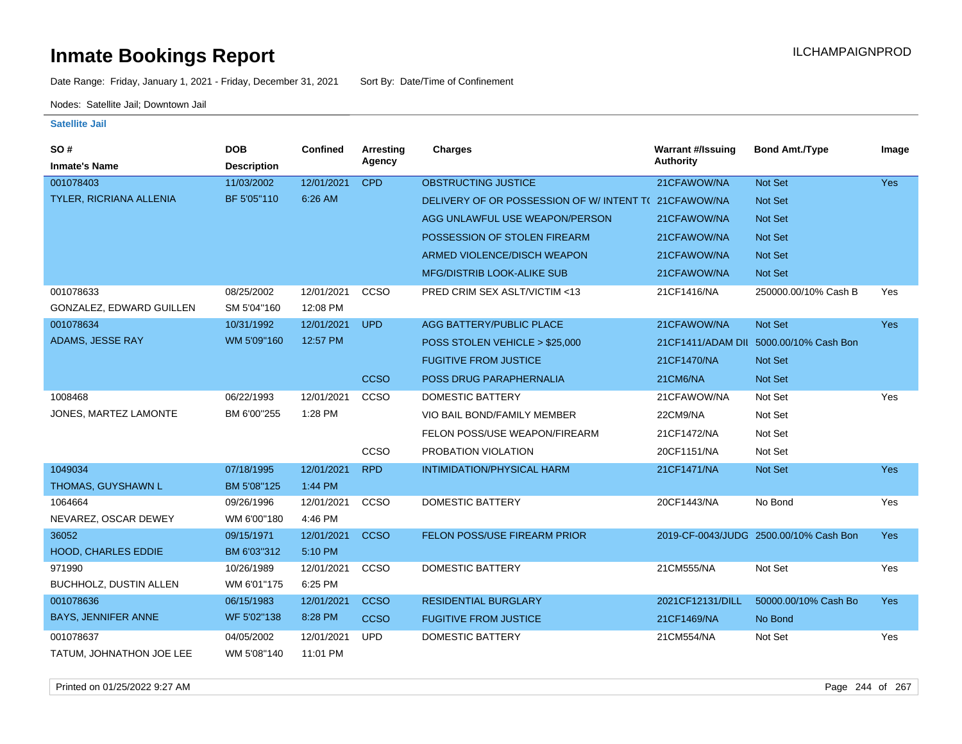Date Range: Friday, January 1, 2021 - Friday, December 31, 2021 Sort By: Date/Time of Confinement

Nodes: Satellite Jail; Downtown Jail

| SO#                        | <b>DOB</b>         | <b>Confined</b> | <b>Arresting</b> | <b>Charges</b>                                      | <b>Warrant #/Issuing</b> | <b>Bond Amt./Type</b>                  | Image      |
|----------------------------|--------------------|-----------------|------------------|-----------------------------------------------------|--------------------------|----------------------------------------|------------|
| <b>Inmate's Name</b>       | <b>Description</b> |                 | Agency           |                                                     | <b>Authority</b>         |                                        |            |
| 001078403                  | 11/03/2002         | 12/01/2021      | <b>CPD</b>       | <b>OBSTRUCTING JUSTICE</b>                          | 21CFAWOW/NA              | Not Set                                | <b>Yes</b> |
| TYLER, RICRIANA ALLENIA    | BF 5'05"110        | 6:26 AM         |                  | DELIVERY OF OR POSSESSION OF W/INTENT T(21CFAWOW/NA |                          | Not Set                                |            |
|                            |                    |                 |                  | AGG UNLAWFUL USE WEAPON/PERSON                      | 21CFAWOW/NA              | <b>Not Set</b>                         |            |
|                            |                    |                 |                  | POSSESSION OF STOLEN FIREARM                        | 21CFAWOW/NA              | Not Set                                |            |
|                            |                    |                 |                  | ARMED VIOLENCE/DISCH WEAPON                         | 21CFAWOW/NA              | Not Set                                |            |
|                            |                    |                 |                  | <b>MFG/DISTRIB LOOK-ALIKE SUB</b>                   | 21CFAWOW/NA              | <b>Not Set</b>                         |            |
| 001078633                  | 08/25/2002         | 12/01/2021      | CCSO             | PRED CRIM SEX ASLT/VICTIM <13                       | 21CF1416/NA              | 250000.00/10% Cash B                   | Yes        |
| GONZALEZ, EDWARD GUILLEN   | SM 5'04"160        | 12:08 PM        |                  |                                                     |                          |                                        |            |
| 001078634                  | 10/31/1992         | 12/01/2021      | <b>UPD</b>       | AGG BATTERY/PUBLIC PLACE                            | 21CFAWOW/NA              | Not Set                                | <b>Yes</b> |
| ADAMS, JESSE RAY           | WM 5'09"160        | 12:57 PM        |                  | POSS STOLEN VEHICLE > \$25,000                      |                          | 21CF1411/ADAM DII 5000.00/10% Cash Bon |            |
|                            |                    |                 |                  | <b>FUGITIVE FROM JUSTICE</b>                        | 21CF1470/NA              | <b>Not Set</b>                         |            |
|                            |                    |                 | <b>CCSO</b>      | POSS DRUG PARAPHERNALIA                             | 21CM6/NA                 | Not Set                                |            |
| 1008468                    | 06/22/1993         | 12/01/2021      | ccso             | <b>DOMESTIC BATTERY</b>                             | 21CFAWOW/NA              | Not Set                                | Yes        |
| JONES, MARTEZ LAMONTE      | BM 6'00"255        | 1:28 PM         |                  | VIO BAIL BOND/FAMILY MEMBER                         | 22CM9/NA                 | Not Set                                |            |
|                            |                    |                 |                  | FELON POSS/USE WEAPON/FIREARM                       | 21CF1472/NA              | Not Set                                |            |
|                            |                    |                 | CCSO             | PROBATION VIOLATION                                 | 20CF1151/NA              | Not Set                                |            |
| 1049034                    | 07/18/1995         | 12/01/2021      | <b>RPD</b>       | INTIMIDATION/PHYSICAL HARM                          | 21CF1471/NA              | Not Set                                | <b>Yes</b> |
| THOMAS, GUYSHAWN L         | BM 5'08"125        | 1:44 PM         |                  |                                                     |                          |                                        |            |
| 1064664                    | 09/26/1996         | 12/01/2021      | CCSO             | <b>DOMESTIC BATTERY</b>                             | 20CF1443/NA              | No Bond                                | Yes        |
| NEVAREZ, OSCAR DEWEY       | WM 6'00"180        | 4:46 PM         |                  |                                                     |                          |                                        |            |
| 36052                      | 09/15/1971         | 12/01/2021      | <b>CCSO</b>      | FELON POSS/USE FIREARM PRIOR                        |                          | 2019-CF-0043/JUDG 2500.00/10% Cash Bon | <b>Yes</b> |
| <b>HOOD, CHARLES EDDIE</b> | BM 6'03"312        | 5:10 PM         |                  |                                                     |                          |                                        |            |
| 971990                     | 10/26/1989         | 12/01/2021      | CCSO             | <b>DOMESTIC BATTERY</b>                             | 21CM555/NA               | Not Set                                | Yes        |
| BUCHHOLZ, DUSTIN ALLEN     | WM 6'01"175        | 6:25 PM         |                  |                                                     |                          |                                        |            |
| 001078636                  | 06/15/1983         | 12/01/2021      | <b>CCSO</b>      | <b>RESIDENTIAL BURGLARY</b>                         | 2021CF12131/DILL         | 50000.00/10% Cash Bo                   | <b>Yes</b> |
| <b>BAYS, JENNIFER ANNE</b> | WF 5'02"138        | 8:28 PM         | <b>CCSO</b>      | <b>FUGITIVE FROM JUSTICE</b>                        | 21CF1469/NA              | No Bond                                |            |
| 001078637                  | 04/05/2002         | 12/01/2021      | <b>UPD</b>       | DOMESTIC BATTERY                                    | 21CM554/NA               | Not Set                                | Yes        |
| TATUM, JOHNATHON JOE LEE   | WM 5'08"140        | 11:01 PM        |                  |                                                     |                          |                                        |            |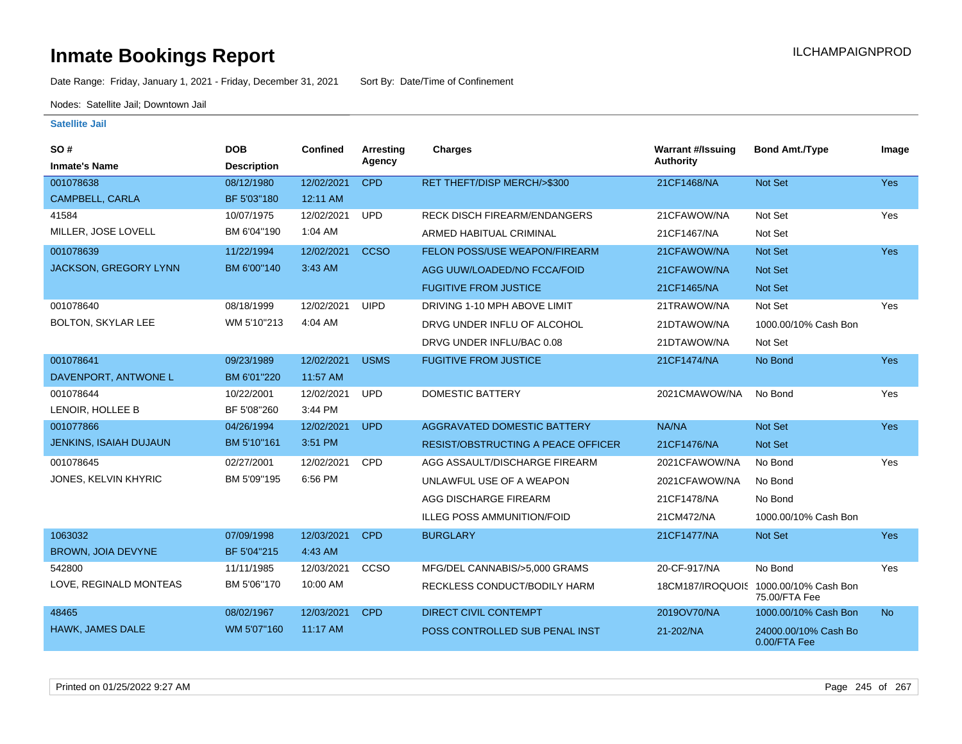Date Range: Friday, January 1, 2021 - Friday, December 31, 2021 Sort By: Date/Time of Confinement

Nodes: Satellite Jail; Downtown Jail

| SO#<br><b>Inmate's Name</b>   | <b>DOB</b><br><b>Description</b> | <b>Confined</b> | <b>Arresting</b><br>Agency | <b>Charges</b>                            | <b>Warrant #/Issuing</b><br><b>Authority</b> | <b>Bond Amt./Type</b>                                  | Image      |
|-------------------------------|----------------------------------|-----------------|----------------------------|-------------------------------------------|----------------------------------------------|--------------------------------------------------------|------------|
| 001078638                     | 08/12/1980                       | 12/02/2021      | <b>CPD</b>                 | RET THEFT/DISP MERCH/>\$300               | 21CF1468/NA                                  | Not Set                                                | <b>Yes</b> |
| CAMPBELL, CARLA               | BF 5'03"180                      | 12:11 AM        |                            |                                           |                                              |                                                        |            |
| 41584                         | 10/07/1975                       | 12/02/2021      | <b>UPD</b>                 | <b>RECK DISCH FIREARM/ENDANGERS</b>       | 21CFAWOW/NA                                  | Not Set                                                | Yes        |
| MILLER, JOSE LOVELL           | BM 6'04"190                      | 1:04 AM         |                            | ARMED HABITUAL CRIMINAL                   | 21CF1467/NA                                  | Not Set                                                |            |
| 001078639                     | 11/22/1994                       | 12/02/2021      | <b>CCSO</b>                | FELON POSS/USE WEAPON/FIREARM             | 21CFAWOW/NA                                  | <b>Not Set</b>                                         | Yes        |
| <b>JACKSON, GREGORY LYNN</b>  | BM 6'00"140                      | 3:43 AM         |                            | AGG UUW/LOADED/NO FCCA/FOID               | 21CFAWOW/NA                                  | <b>Not Set</b>                                         |            |
|                               |                                  |                 |                            | <b>FUGITIVE FROM JUSTICE</b>              | 21CF1465/NA                                  | <b>Not Set</b>                                         |            |
| 001078640                     | 08/18/1999                       | 12/02/2021      | <b>UIPD</b>                | DRIVING 1-10 MPH ABOVE LIMIT              | 21TRAWOW/NA                                  | Not Set                                                | Yes        |
| BOLTON, SKYLAR LEE            | WM 5'10"213                      | 4:04 AM         |                            | DRVG UNDER INFLU OF ALCOHOL               | 21DTAWOW/NA                                  | 1000.00/10% Cash Bon                                   |            |
|                               |                                  |                 |                            | DRVG UNDER INFLU/BAC 0.08                 | 21DTAWOW/NA                                  | Not Set                                                |            |
| 001078641                     | 09/23/1989                       | 12/02/2021      | <b>USMS</b>                | <b>FUGITIVE FROM JUSTICE</b>              | 21CF1474/NA                                  | No Bond                                                | Yes        |
| DAVENPORT, ANTWONE L          | BM 6'01"220                      | 11:57 AM        |                            |                                           |                                              |                                                        |            |
| 001078644                     | 10/22/2001                       | 12/02/2021      | <b>UPD</b>                 | <b>DOMESTIC BATTERY</b>                   | 2021CMAWOW/NA                                | No Bond                                                | Yes        |
| LENOIR, HOLLEE B              | BF 5'08"260                      | 3:44 PM         |                            |                                           |                                              |                                                        |            |
| 001077866                     | 04/26/1994                       | 12/02/2021      | <b>UPD</b>                 | AGGRAVATED DOMESTIC BATTERY               | NA/NA                                        | <b>Not Set</b>                                         | <b>Yes</b> |
| <b>JENKINS, ISAIAH DUJAUN</b> | BM 5'10"161                      | 3:51 PM         |                            | <b>RESIST/OBSTRUCTING A PEACE OFFICER</b> | 21CF1476/NA                                  | <b>Not Set</b>                                         |            |
| 001078645                     | 02/27/2001                       | 12/02/2021      | CPD                        | AGG ASSAULT/DISCHARGE FIREARM             | 2021CFAWOW/NA                                | No Bond                                                | Yes        |
| JONES, KELVIN KHYRIC          | BM 5'09"195                      | 6:56 PM         |                            | UNLAWFUL USE OF A WEAPON                  | 2021CFAWOW/NA                                | No Bond                                                |            |
|                               |                                  |                 |                            | AGG DISCHARGE FIREARM                     | 21CF1478/NA                                  | No Bond                                                |            |
|                               |                                  |                 |                            | <b>ILLEG POSS AMMUNITION/FOID</b>         | 21CM472/NA                                   | 1000.00/10% Cash Bon                                   |            |
| 1063032                       | 07/09/1998                       | 12/03/2021      | <b>CPD</b>                 | <b>BURGLARY</b>                           | 21CF1477/NA                                  | Not Set                                                | Yes        |
| <b>BROWN, JOIA DEVYNE</b>     | BF 5'04"215                      | 4:43 AM         |                            |                                           |                                              |                                                        |            |
| 542800                        | 11/11/1985                       | 12/03/2021      | CCSO                       | MFG/DEL CANNABIS/>5,000 GRAMS             | 20-CF-917/NA                                 | No Bond                                                | Yes        |
| LOVE, REGINALD MONTEAS        | BM 5'06"170                      | 10:00 AM        |                            | RECKLESS CONDUCT/BODILY HARM              |                                              | 18CM187/IROQUOIS 1000.00/10% Cash Bon<br>75.00/FTA Fee |            |
| 48465                         | 08/02/1967                       | 12/03/2021      | <b>CPD</b>                 | <b>DIRECT CIVIL CONTEMPT</b>              | 2019OV70/NA                                  | 1000.00/10% Cash Bon                                   | <b>No</b>  |
| HAWK, JAMES DALE              | WM 5'07"160                      | 11:17 AM        |                            | POSS CONTROLLED SUB PENAL INST            | 21-202/NA                                    | 24000.00/10% Cash Bo<br>0.00/FTA Fee                   |            |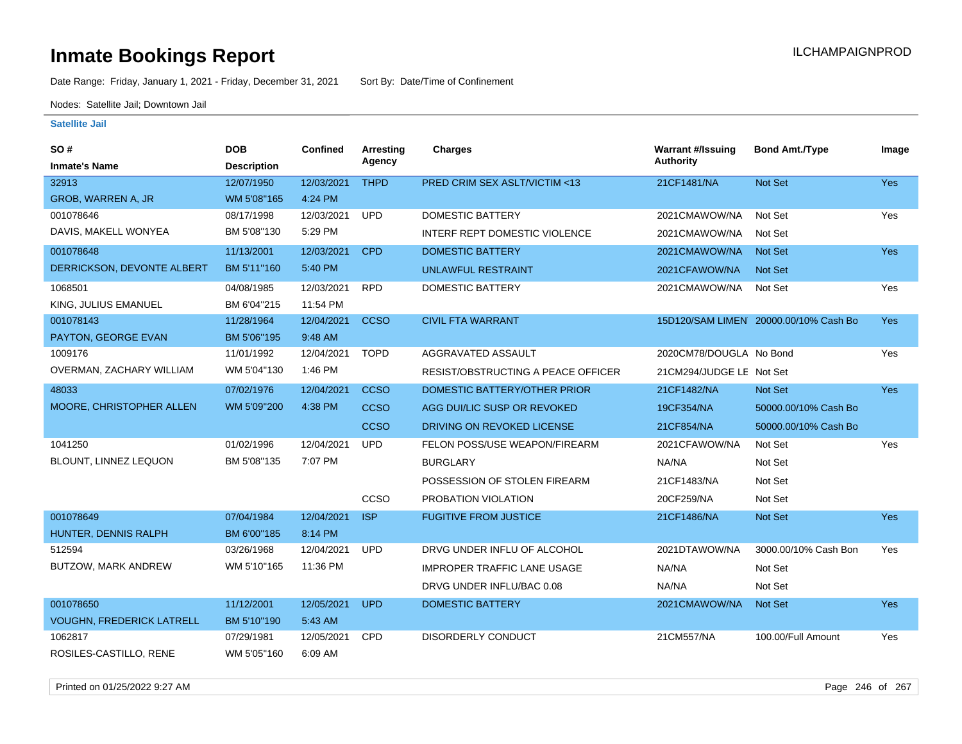Date Range: Friday, January 1, 2021 - Friday, December 31, 2021 Sort By: Date/Time of Confinement

Nodes: Satellite Jail; Downtown Jail

### **Satellite Jail**

| SO#                              | <b>DOB</b>         | <b>Confined</b> | Arresting   | <b>Charges</b>                     | <b>Warrant #/Issuing</b> | <b>Bond Amt./Type</b>                 | Image      |
|----------------------------------|--------------------|-----------------|-------------|------------------------------------|--------------------------|---------------------------------------|------------|
| <b>Inmate's Name</b>             | <b>Description</b> |                 | Agency      |                                    | Authority                |                                       |            |
| 32913                            | 12/07/1950         | 12/03/2021      | <b>THPD</b> | PRED CRIM SEX ASLT/VICTIM <13      | 21CF1481/NA              | <b>Not Set</b>                        | <b>Yes</b> |
| GROB, WARREN A, JR               | WM 5'08"165        | 4:24 PM         |             |                                    |                          |                                       |            |
| 001078646                        | 08/17/1998         | 12/03/2021      | <b>UPD</b>  | <b>DOMESTIC BATTERY</b>            | 2021CMAWOW/NA            | Not Set                               | <b>Yes</b> |
| DAVIS, MAKELL WONYEA             | BM 5'08"130        | 5:29 PM         |             | INTERF REPT DOMESTIC VIOLENCE      | 2021CMAWOW/NA            | Not Set                               |            |
| 001078648                        | 11/13/2001         | 12/03/2021      | <b>CPD</b>  | <b>DOMESTIC BATTERY</b>            | 2021CMAWOW/NA            | <b>Not Set</b>                        | Yes        |
| DERRICKSON, DEVONTE ALBERT       | BM 5'11"160        | 5:40 PM         |             | UNLAWFUL RESTRAINT                 | 2021CFAWOW/NA            | <b>Not Set</b>                        |            |
| 1068501                          | 04/08/1985         | 12/03/2021      | <b>RPD</b>  | <b>DOMESTIC BATTERY</b>            | 2021CMAWOW/NA            | Not Set                               | Yes        |
| KING, JULIUS EMANUEL             | BM 6'04"215        | 11:54 PM        |             |                                    |                          |                                       |            |
| 001078143                        | 11/28/1964         | 12/04/2021      | <b>CCSO</b> | <b>CIVIL FTA WARRANT</b>           |                          | 15D120/SAM LIMEN 20000.00/10% Cash Bo | <b>Yes</b> |
| PAYTON, GEORGE EVAN              | BM 5'06"195        | 9:48 AM         |             |                                    |                          |                                       |            |
| 1009176                          | 11/01/1992         | 12/04/2021      | <b>TOPD</b> | AGGRAVATED ASSAULT                 | 2020CM78/DOUGLA No Bond  |                                       | Yes        |
| OVERMAN, ZACHARY WILLIAM         | WM 5'04"130        | 1:46 PM         |             | RESIST/OBSTRUCTING A PEACE OFFICER | 21CM294/JUDGE LE Not Set |                                       |            |
| 48033                            | 07/02/1976         | 12/04/2021      | <b>CCSO</b> | DOMESTIC BATTERY/OTHER PRIOR       | 21CF1482/NA              | Not Set                               | <b>Yes</b> |
| MOORE, CHRISTOPHER ALLEN         | WM 5'09"200        | 4:38 PM         | <b>CCSO</b> | AGG DUI/LIC SUSP OR REVOKED        | 19CF354/NA               | 50000.00/10% Cash Bo                  |            |
|                                  |                    |                 | <b>CCSO</b> | DRIVING ON REVOKED LICENSE         | 21CF854/NA               | 50000.00/10% Cash Bo                  |            |
| 1041250                          | 01/02/1996         | 12/04/2021      | <b>UPD</b>  | FELON POSS/USE WEAPON/FIREARM      | 2021CFAWOW/NA            | Not Set                               | Yes        |
| BLOUNT, LINNEZ LEQUON            | BM 5'08"135        | 7:07 PM         |             | <b>BURGLARY</b>                    | NA/NA                    | Not Set                               |            |
|                                  |                    |                 |             | POSSESSION OF STOLEN FIREARM       | 21CF1483/NA              | Not Set                               |            |
|                                  |                    |                 | CCSO        | PROBATION VIOLATION                | 20CF259/NA               | Not Set                               |            |
| 001078649                        | 07/04/1984         | 12/04/2021      | <b>ISP</b>  | <b>FUGITIVE FROM JUSTICE</b>       | 21CF1486/NA              | <b>Not Set</b>                        | <b>Yes</b> |
| HUNTER, DENNIS RALPH             | BM 6'00"185        | 8:14 PM         |             |                                    |                          |                                       |            |
| 512594                           | 03/26/1968         | 12/04/2021      | <b>UPD</b>  | DRVG UNDER INFLU OF ALCOHOL        | 2021DTAWOW/NA            | 3000.00/10% Cash Bon                  | Yes        |
| BUTZOW, MARK ANDREW              | WM 5'10"165        | 11:36 PM        |             | <b>IMPROPER TRAFFIC LANE USAGE</b> | NA/NA                    | Not Set                               |            |
|                                  |                    |                 |             | DRVG UNDER INFLU/BAC 0.08          | NA/NA                    | Not Set                               |            |
| 001078650                        | 11/12/2001         | 12/05/2021      | <b>UPD</b>  | <b>DOMESTIC BATTERY</b>            | 2021CMAWOW/NA            | <b>Not Set</b>                        | <b>Yes</b> |
| <b>VOUGHN, FREDERICK LATRELL</b> | BM 5'10"190        | 5:43 AM         |             |                                    |                          |                                       |            |
| 1062817                          | 07/29/1981         | 12/05/2021      | CPD         | <b>DISORDERLY CONDUCT</b>          | 21CM557/NA               | 100.00/Full Amount                    | Yes        |
| ROSILES-CASTILLO, RENE           | WM 5'05"160        | 6:09 AM         |             |                                    |                          |                                       |            |

Printed on 01/25/2022 9:27 AM Page 246 of 267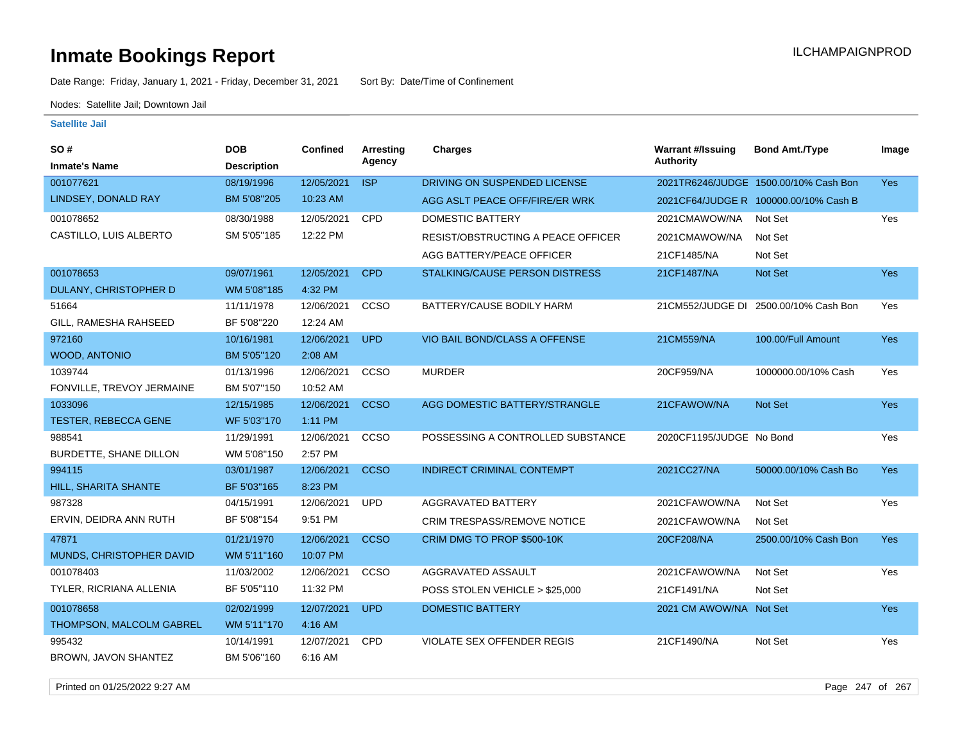Date Range: Friday, January 1, 2021 - Friday, December 31, 2021 Sort By: Date/Time of Confinement

Nodes: Satellite Jail; Downtown Jail

| SO#                         | <b>DOB</b>         | Confined   | Arresting   | <b>Charges</b>                        | <b>Warrant #/Issuing</b> | <b>Bond Amt./Type</b>                 | Image      |
|-----------------------------|--------------------|------------|-------------|---------------------------------------|--------------------------|---------------------------------------|------------|
| <b>Inmate's Name</b>        | <b>Description</b> |            | Agency      |                                       | <b>Authority</b>         |                                       |            |
| 001077621                   | 08/19/1996         | 12/05/2021 | <b>ISP</b>  | DRIVING ON SUSPENDED LICENSE          |                          | 2021TR6246/JUDGE 1500.00/10% Cash Bon | <b>Yes</b> |
| LINDSEY, DONALD RAY         | BM 5'08"205        | 10:23 AM   |             | AGG ASLT PEACE OFF/FIRE/ER WRK        |                          | 2021CF64/JUDGE R 100000.00/10% Cash B |            |
| 001078652                   | 08/30/1988         | 12/05/2021 | <b>CPD</b>  | <b>DOMESTIC BATTERY</b>               | 2021CMAWOW/NA            | Not Set                               | Yes        |
| CASTILLO, LUIS ALBERTO      | SM 5'05"185        | 12:22 PM   |             | RESIST/OBSTRUCTING A PEACE OFFICER    | 2021CMAWOW/NA            | Not Set                               |            |
|                             |                    |            |             | AGG BATTERY/PEACE OFFICER             | 21CF1485/NA              | Not Set                               |            |
| 001078653                   | 09/07/1961         | 12/05/2021 | <b>CPD</b>  | <b>STALKING/CAUSE PERSON DISTRESS</b> | 21CF1487/NA              | Not Set                               | <b>Yes</b> |
| DULANY, CHRISTOPHER D       | WM 5'08"185        | 4:32 PM    |             |                                       |                          |                                       |            |
| 51664                       | 11/11/1978         | 12/06/2021 | CCSO        | BATTERY/CAUSE BODILY HARM             |                          | 21CM552/JUDGE DI 2500.00/10% Cash Bon | Yes        |
| GILL, RAMESHA RAHSEED       | BF 5'08"220        | 12:24 AM   |             |                                       |                          |                                       |            |
| 972160                      | 10/16/1981         | 12/06/2021 | <b>UPD</b>  | VIO BAIL BOND/CLASS A OFFENSE         | 21CM559/NA               | 100.00/Full Amount                    | <b>Yes</b> |
| <b>WOOD, ANTONIO</b>        | BM 5'05"120        | 2:08 AM    |             |                                       |                          |                                       |            |
| 1039744                     | 01/13/1996         | 12/06/2021 | CCSO        | <b>MURDER</b>                         | 20CF959/NA               | 1000000.00/10% Cash                   | Yes        |
| FONVILLE, TREVOY JERMAINE   | BM 5'07"150        | 10:52 AM   |             |                                       |                          |                                       |            |
| 1033096                     | 12/15/1985         | 12/06/2021 | <b>CCSO</b> | AGG DOMESTIC BATTERY/STRANGLE         | 21CFAWOW/NA              | Not Set                               | Yes        |
| <b>TESTER, REBECCA GENE</b> | WF 5'03"170        | 1:11 PM    |             |                                       |                          |                                       |            |
| 988541                      | 11/29/1991         | 12/06/2021 | CCSO        | POSSESSING A CONTROLLED SUBSTANCE     | 2020CF1195/JUDGE No Bond |                                       | Yes        |
| BURDETTE, SHANE DILLON      | WM 5'08"150        | 2:57 PM    |             |                                       |                          |                                       |            |
| 994115                      | 03/01/1987         | 12/06/2021 | <b>CCSO</b> | <b>INDIRECT CRIMINAL CONTEMPT</b>     | 2021CC27/NA              | 50000.00/10% Cash Bo                  | Yes        |
| HILL, SHARITA SHANTE        | BF 5'03"165        | 8:23 PM    |             |                                       |                          |                                       |            |
| 987328                      | 04/15/1991         | 12/06/2021 | <b>UPD</b>  | <b>AGGRAVATED BATTERY</b>             | 2021CFAWOW/NA            | Not Set                               | Yes        |
| ERVIN, DEIDRA ANN RUTH      | BF 5'08"154        | 9:51 PM    |             | CRIM TRESPASS/REMOVE NOTICE           | 2021CFAWOW/NA            | Not Set                               |            |
| 47871                       | 01/21/1970         | 12/06/2021 | <b>CCSO</b> | CRIM DMG TO PROP \$500-10K            | 20CF208/NA               | 2500.00/10% Cash Bon                  | <b>Yes</b> |
| MUNDS, CHRISTOPHER DAVID    | WM 5'11"160        | 10:07 PM   |             |                                       |                          |                                       |            |
| 001078403                   | 11/03/2002         | 12/06/2021 | CCSO        | AGGRAVATED ASSAULT                    | 2021CFAWOW/NA            | Not Set                               | Yes        |
| TYLER, RICRIANA ALLENIA     | BF 5'05"110        | 11:32 PM   |             | POSS STOLEN VEHICLE > \$25,000        | 21CF1491/NA              | Not Set                               |            |
| 001078658                   | 02/02/1999         | 12/07/2021 | <b>UPD</b>  | <b>DOMESTIC BATTERY</b>               | 2021 CM AWOW/NA Not Set  |                                       | <b>Yes</b> |
| THOMPSON, MALCOLM GABREL    | WM 5'11"170        | 4:16 AM    |             |                                       |                          |                                       |            |
| 995432                      | 10/14/1991         | 12/07/2021 | <b>CPD</b>  | <b>VIOLATE SEX OFFENDER REGIS</b>     | 21CF1490/NA              | Not Set                               | Yes        |
| BROWN, JAVON SHANTEZ        | BM 5'06"160        | 6:16 AM    |             |                                       |                          |                                       |            |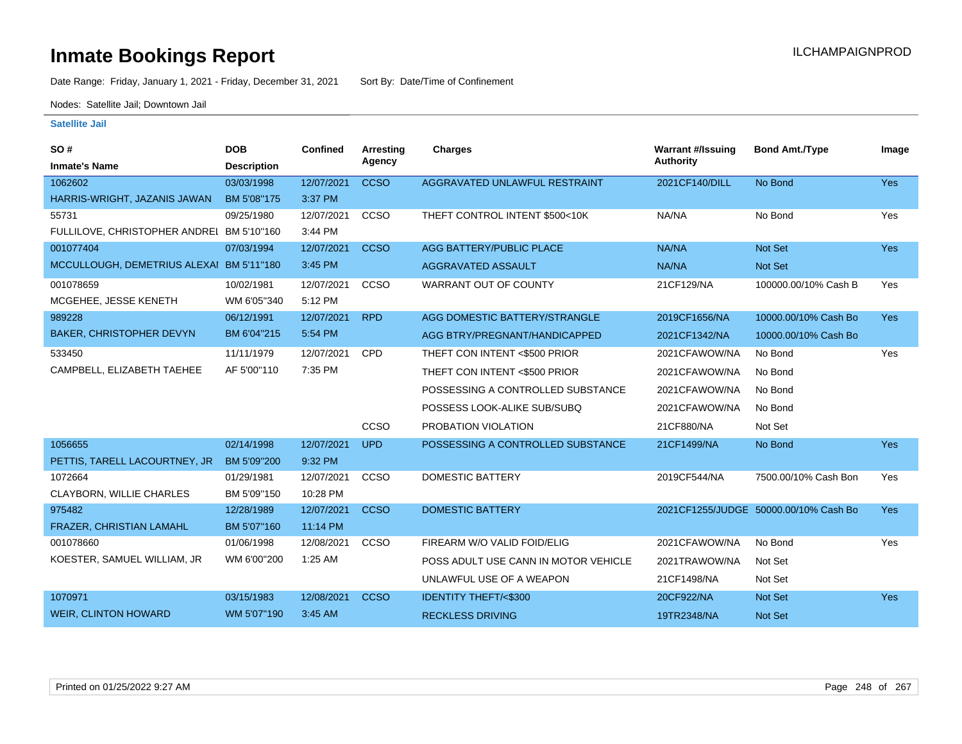Date Range: Friday, January 1, 2021 - Friday, December 31, 2021 Sort By: Date/Time of Confinement

Nodes: Satellite Jail; Downtown Jail

| SO#                                       | <b>DOB</b>         | Confined   | <b>Arresting</b> | <b>Charges</b>                       | <b>Warrant #/Issuing</b> | <b>Bond Amt./Type</b>                 | Image      |
|-------------------------------------------|--------------------|------------|------------------|--------------------------------------|--------------------------|---------------------------------------|------------|
| <b>Inmate's Name</b>                      | <b>Description</b> |            | Agency           |                                      | Authority                |                                       |            |
| 1062602                                   | 03/03/1998         | 12/07/2021 | <b>CCSO</b>      | AGGRAVATED UNLAWFUL RESTRAINT        | 2021CF140/DILL           | No Bond                               | Yes        |
| HARRIS-WRIGHT, JAZANIS JAWAN              | BM 5'08"175        | 3:37 PM    |                  |                                      |                          |                                       |            |
| 55731                                     | 09/25/1980         | 12/07/2021 | CCSO             | THEFT CONTROL INTENT \$500<10K       | NA/NA                    | No Bond                               | Yes        |
| FULLILOVE, CHRISTOPHER ANDREI BM 5'10"160 |                    | 3:44 PM    |                  |                                      |                          |                                       |            |
| 001077404                                 | 07/03/1994         | 12/07/2021 | <b>CCSO</b>      | <b>AGG BATTERY/PUBLIC PLACE</b>      | NA/NA                    | <b>Not Set</b>                        | <b>Yes</b> |
| MCCULLOUGH, DEMETRIUS ALEXAI BM 5'11"180  |                    | 3:45 PM    |                  | AGGRAVATED ASSAULT                   | NA/NA                    | <b>Not Set</b>                        |            |
| 001078659                                 | 10/02/1981         | 12/07/2021 | CCSO             | WARRANT OUT OF COUNTY                | 21CF129/NA               | 100000.00/10% Cash B                  | Yes        |
| MCGEHEE, JESSE KENETH                     | WM 6'05"340        | 5:12 PM    |                  |                                      |                          |                                       |            |
| 989228                                    | 06/12/1991         | 12/07/2021 | <b>RPD</b>       | AGG DOMESTIC BATTERY/STRANGLE        | 2019CF1656/NA            | 10000.00/10% Cash Bo                  | <b>Yes</b> |
| <b>BAKER, CHRISTOPHER DEVYN</b>           | BM 6'04"215        | 5:54 PM    |                  | AGG BTRY/PREGNANT/HANDICAPPED        | 2021CF1342/NA            | 10000.00/10% Cash Bo                  |            |
| 533450                                    | 11/11/1979         | 12/07/2021 | <b>CPD</b>       | THEFT CON INTENT <\$500 PRIOR        | 2021CFAWOW/NA            | No Bond                               | Yes        |
| CAMPBELL, ELIZABETH TAEHEE                | AF 5'00"110        | 7:35 PM    |                  | THEFT CON INTENT <\$500 PRIOR        | 2021CFAWOW/NA            | No Bond                               |            |
|                                           |                    |            |                  | POSSESSING A CONTROLLED SUBSTANCE    | 2021CFAWOW/NA            | No Bond                               |            |
|                                           |                    |            |                  | POSSESS LOOK-ALIKE SUB/SUBQ          | 2021CFAWOW/NA            | No Bond                               |            |
|                                           |                    |            | CCSO             | PROBATION VIOLATION                  | 21CF880/NA               | Not Set                               |            |
| 1056655                                   | 02/14/1998         | 12/07/2021 | <b>UPD</b>       | POSSESSING A CONTROLLED SUBSTANCE    | 21CF1499/NA              | No Bond                               | <b>Yes</b> |
| PETTIS, TARELL LACOURTNEY, JR             | BM 5'09"200        | 9:32 PM    |                  |                                      |                          |                                       |            |
| 1072664                                   | 01/29/1981         | 12/07/2021 | CCSO             | <b>DOMESTIC BATTERY</b>              | 2019CF544/NA             | 7500.00/10% Cash Bon                  | Yes        |
| CLAYBORN, WILLIE CHARLES                  | BM 5'09"150        | 10:28 PM   |                  |                                      |                          |                                       |            |
| 975482                                    | 12/28/1989         | 12/07/2021 | <b>CCSO</b>      | <b>DOMESTIC BATTERY</b>              |                          | 2021CF1255/JUDGE 50000.00/10% Cash Bo | <b>Yes</b> |
| FRAZER, CHRISTIAN LAMAHL                  | BM 5'07"160        | 11:14 PM   |                  |                                      |                          |                                       |            |
| 001078660                                 | 01/06/1998         | 12/08/2021 | <b>CCSO</b>      | FIREARM W/O VALID FOID/ELIG          | 2021CFAWOW/NA            | No Bond                               | Yes        |
| KOESTER, SAMUEL WILLIAM, JR               | WM 6'00"200        | 1:25 AM    |                  | POSS ADULT USE CANN IN MOTOR VEHICLE | 2021TRAWOW/NA            | Not Set                               |            |
|                                           |                    |            |                  | UNLAWFUL USE OF A WEAPON             | 21CF1498/NA              | Not Set                               |            |
| 1070971                                   | 03/15/1983         | 12/08/2021 | <b>CCSO</b>      | <b>IDENTITY THEFT/&lt;\$300</b>      | 20CF922/NA               | Not Set                               | <b>Yes</b> |
| <b>WEIR, CLINTON HOWARD</b>               | WM 5'07"190        | 3:45 AM    |                  | <b>RECKLESS DRIVING</b>              | 19TR2348/NA              | <b>Not Set</b>                        |            |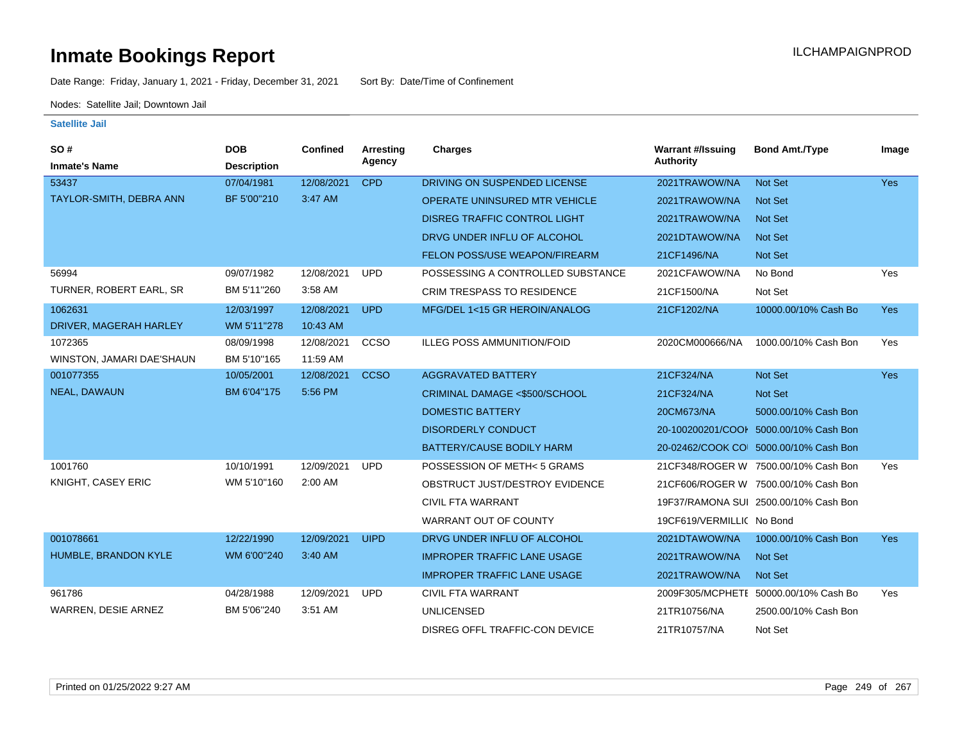Date Range: Friday, January 1, 2021 - Friday, December 31, 2021 Sort By: Date/Time of Confinement

Nodes: Satellite Jail; Downtown Jail

| SO#                       | <b>DOB</b>         | Confined   | <b>Arresting</b> | <b>Charges</b>                       | <b>Warrant #/Issuing</b>  | <b>Bond Amt./Type</b>                  | Image      |
|---------------------------|--------------------|------------|------------------|--------------------------------------|---------------------------|----------------------------------------|------------|
| <b>Inmate's Name</b>      | <b>Description</b> |            | Agency           |                                      | <b>Authority</b>          |                                        |            |
| 53437                     | 07/04/1981         | 12/08/2021 | <b>CPD</b>       | DRIVING ON SUSPENDED LICENSE         | 2021TRAWOW/NA             | Not Set                                | <b>Yes</b> |
| TAYLOR-SMITH, DEBRA ANN   | BF 5'00"210        | 3:47 AM    |                  | <b>OPERATE UNINSURED MTR VEHICLE</b> | 2021TRAWOW/NA             | <b>Not Set</b>                         |            |
|                           |                    |            |                  | <b>DISREG TRAFFIC CONTROL LIGHT</b>  | 2021TRAWOW/NA             | Not Set                                |            |
|                           |                    |            |                  | DRVG UNDER INFLU OF ALCOHOL          | 2021DTAWOW/NA             | <b>Not Set</b>                         |            |
|                           |                    |            |                  | <b>FELON POSS/USE WEAPON/FIREARM</b> | 21CF1496/NA               | Not Set                                |            |
| 56994                     | 09/07/1982         | 12/08/2021 | <b>UPD</b>       | POSSESSING A CONTROLLED SUBSTANCE    | 2021CFAWOW/NA             | No Bond                                | Yes        |
| TURNER, ROBERT EARL, SR   | BM 5'11"260        | 3:58 AM    |                  | <b>CRIM TRESPASS TO RESIDENCE</b>    | 21CF1500/NA               | Not Set                                |            |
| 1062631                   | 12/03/1997         | 12/08/2021 | <b>UPD</b>       | MFG/DEL 1<15 GR HEROIN/ANALOG        | 21CF1202/NA               | 10000.00/10% Cash Bo                   | <b>Yes</b> |
| DRIVER, MAGERAH HARLEY    | WM 5'11"278        | 10:43 AM   |                  |                                      |                           |                                        |            |
| 1072365                   | 08/09/1998         | 12/08/2021 | CCSO             | ILLEG POSS AMMUNITION/FOID           | 2020CM000666/NA           | 1000.00/10% Cash Bon                   | Yes        |
| WINSTON, JAMARI DAE'SHAUN | BM 5'10"165        | 11:59 AM   |                  |                                      |                           |                                        |            |
| 001077355                 | 10/05/2001         | 12/08/2021 | <b>CCSO</b>      | <b>AGGRAVATED BATTERY</b>            | 21CF324/NA                | <b>Not Set</b>                         | Yes        |
| NEAL, DAWAUN              | BM 6'04"175        | 5:56 PM    |                  | CRIMINAL DAMAGE <\$500/SCHOOL        | 21CF324/NA                | Not Set                                |            |
|                           |                    |            |                  | <b>DOMESTIC BATTERY</b>              | 20CM673/NA                | 5000.00/10% Cash Bon                   |            |
|                           |                    |            |                  | <b>DISORDERLY CONDUCT</b>            |                           | 20-100200201/COOI 5000.00/10% Cash Bon |            |
|                           |                    |            |                  | <b>BATTERY/CAUSE BODILY HARM</b>     |                           | 20-02462/COOK CO 5000.00/10% Cash Bon  |            |
| 1001760                   | 10/10/1991         | 12/09/2021 | <b>UPD</b>       | POSSESSION OF METH<5 GRAMS           |                           | 21CF348/ROGER W 7500.00/10% Cash Bon   | Yes        |
| KNIGHT, CASEY ERIC        | WM 5'10"160        | 2:00 AM    |                  | OBSTRUCT JUST/DESTROY EVIDENCE       |                           | 21CF606/ROGER W 7500.00/10% Cash Bon   |            |
|                           |                    |            |                  | <b>CIVIL FTA WARRANT</b>             |                           | 19F37/RAMONA SUI 2500.00/10% Cash Bon  |            |
|                           |                    |            |                  | WARRANT OUT OF COUNTY                | 19CF619/VERMILLIC No Bond |                                        |            |
| 001078661                 | 12/22/1990         | 12/09/2021 | <b>UIPD</b>      | DRVG UNDER INFLU OF ALCOHOL          | 2021DTAWOW/NA             | 1000.00/10% Cash Bon                   | <b>Yes</b> |
| HUMBLE, BRANDON KYLE      | WM 6'00"240        | 3:40 AM    |                  | <b>IMPROPER TRAFFIC LANE USAGE</b>   | 2021TRAWOW/NA             | Not Set                                |            |
|                           |                    |            |                  | <b>IMPROPER TRAFFIC LANE USAGE</b>   | 2021TRAWOW/NA             | Not Set                                |            |
| 961786                    | 04/28/1988         | 12/09/2021 | <b>UPD</b>       | <b>CIVIL FTA WARRANT</b>             |                           | 2009F305/MCPHETE 50000.00/10% Cash Bo  | Yes        |
| WARREN, DESIE ARNEZ       | BM 5'06"240        | 3:51 AM    |                  | <b>UNLICENSED</b>                    | 21TR10756/NA              | 2500.00/10% Cash Bon                   |            |
|                           |                    |            |                  | DISREG OFFL TRAFFIC-CON DEVICE       | 21TR10757/NA              | Not Set                                |            |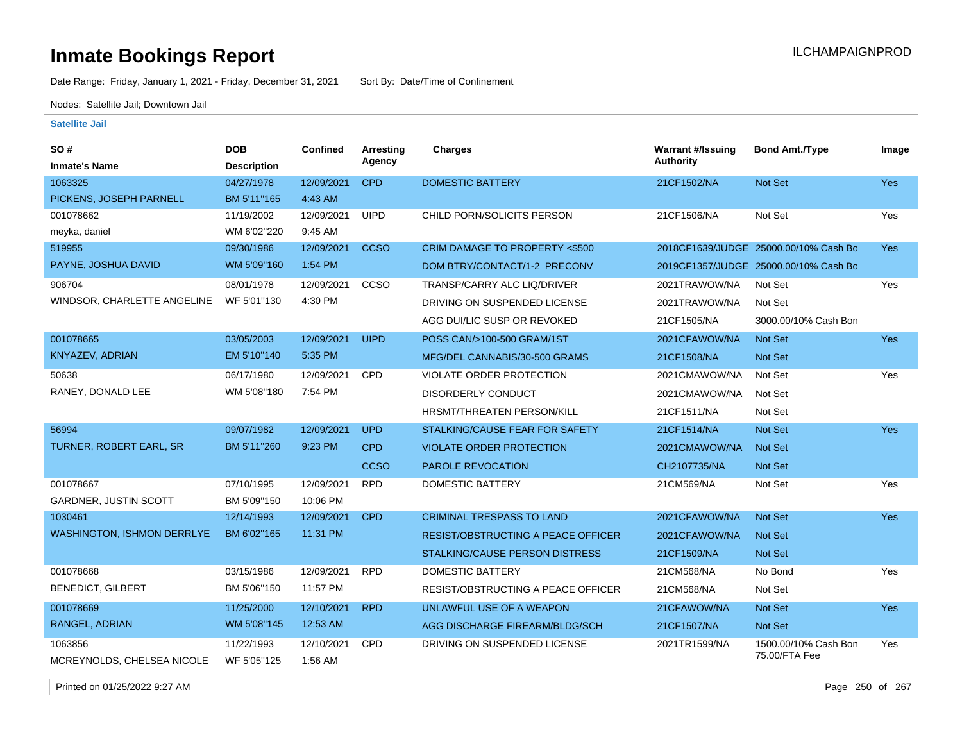Date Range: Friday, January 1, 2021 - Friday, December 31, 2021 Sort By: Date/Time of Confinement

Nodes: Satellite Jail; Downtown Jail

### **Satellite Jail**

| SO#<br><b>Inmate's Name</b>       | <b>DOB</b>         | <b>Confined</b> | Arresting<br>Agency | <b>Charges</b>                            | <b>Warrant #/Issuing</b><br><b>Authority</b> | <b>Bond Amt./Type</b>                 | Image      |
|-----------------------------------|--------------------|-----------------|---------------------|-------------------------------------------|----------------------------------------------|---------------------------------------|------------|
|                                   | <b>Description</b> |                 |                     |                                           |                                              |                                       |            |
| 1063325                           | 04/27/1978         | 12/09/2021      | <b>CPD</b>          | <b>DOMESTIC BATTERY</b>                   | 21CF1502/NA                                  | Not Set                               | Yes        |
| PICKENS, JOSEPH PARNELL           | BM 5'11"165        | 4:43 AM         |                     |                                           |                                              |                                       |            |
| 001078662                         | 11/19/2002         | 12/09/2021      | <b>UIPD</b>         | CHILD PORN/SOLICITS PERSON                | 21CF1506/NA                                  | Not Set                               | Yes        |
| meyka, daniel                     | WM 6'02"220        | 9:45 AM         |                     |                                           |                                              |                                       |            |
| 519955                            | 09/30/1986         | 12/09/2021      | <b>CCSO</b>         | CRIM DAMAGE TO PROPERTY <\$500            |                                              | 2018CF1639/JUDGE 25000.00/10% Cash Bo | Yes        |
| PAYNE, JOSHUA DAVID               | WM 5'09"160        | 1:54 PM         |                     | DOM BTRY/CONTACT/1-2 PRECONV              |                                              | 2019CF1357/JUDGE 25000.00/10% Cash Bo |            |
| 906704                            | 08/01/1978         | 12/09/2021      | CCSO                | TRANSP/CARRY ALC LIQ/DRIVER               | 2021TRAWOW/NA                                | Not Set                               | Yes        |
| WINDSOR, CHARLETTE ANGELINE       | WF 5'01"130        | 4:30 PM         |                     | DRIVING ON SUSPENDED LICENSE              | 2021TRAWOW/NA                                | Not Set                               |            |
|                                   |                    |                 |                     | AGG DUI/LIC SUSP OR REVOKED               | 21CF1505/NA                                  | 3000.00/10% Cash Bon                  |            |
| 001078665                         | 03/05/2003         | 12/09/2021      | <b>UIPD</b>         | POSS CAN/>100-500 GRAM/1ST                | 2021CFAWOW/NA                                | Not Set                               | Yes        |
| <b>KNYAZEV, ADRIAN</b>            | EM 5'10"140        | 5:35 PM         |                     | MFG/DEL CANNABIS/30-500 GRAMS             | 21CF1508/NA                                  | Not Set                               |            |
| 50638                             | 06/17/1980         | 12/09/2021      | CPD                 | VIOLATE ORDER PROTECTION                  | 2021CMAWOW/NA                                | Not Set                               | Yes        |
| RANEY, DONALD LEE                 | WM 5'08"180        | 7:54 PM         |                     | <b>DISORDERLY CONDUCT</b>                 | 2021CMAWOW/NA                                | Not Set                               |            |
|                                   |                    |                 |                     | <b>HRSMT/THREATEN PERSON/KILL</b>         | 21CF1511/NA                                  | Not Set                               |            |
| 56994                             | 09/07/1982         | 12/09/2021      | <b>UPD</b>          | STALKING/CAUSE FEAR FOR SAFETY            | 21CF1514/NA                                  | Not Set                               | <b>Yes</b> |
| <b>TURNER, ROBERT EARL, SR</b>    | BM 5'11"260        | 9:23 PM         | <b>CPD</b>          | <b>VIOLATE ORDER PROTECTION</b>           | 2021CMAWOW/NA                                | Not Set                               |            |
|                                   |                    |                 | <b>CCSO</b>         | PAROLE REVOCATION                         | CH2107735/NA                                 | Not Set                               |            |
| 001078667                         | 07/10/1995         | 12/09/2021      | <b>RPD</b>          | <b>DOMESTIC BATTERY</b>                   | 21CM569/NA                                   | Not Set                               | Yes        |
| GARDNER, JUSTIN SCOTT             | BM 5'09"150        | 10:06 PM        |                     |                                           |                                              |                                       |            |
| 1030461                           | 12/14/1993         | 12/09/2021      | <b>CPD</b>          | <b>CRIMINAL TRESPASS TO LAND</b>          | 2021CFAWOW/NA                                | Not Set                               | Yes        |
| <b>WASHINGTON, ISHMON DERRLYE</b> | BM 6'02"165        | 11:31 PM        |                     | <b>RESIST/OBSTRUCTING A PEACE OFFICER</b> | 2021CFAWOW/NA                                | <b>Not Set</b>                        |            |
|                                   |                    |                 |                     | STALKING/CAUSE PERSON DISTRESS            | 21CF1509/NA                                  | Not Set                               |            |
| 001078668                         | 03/15/1986         | 12/09/2021      | <b>RPD</b>          | <b>DOMESTIC BATTERY</b>                   | 21CM568/NA                                   | No Bond                               | Yes        |
| <b>BENEDICT, GILBERT</b>          | BM 5'06"150        | 11:57 PM        |                     | RESIST/OBSTRUCTING A PEACE OFFICER        | 21CM568/NA                                   | Not Set                               |            |
| 001078669                         | 11/25/2000         | 12/10/2021      | <b>RPD</b>          | UNLAWFUL USE OF A WEAPON                  | 21CFAWOW/NA                                  | Not Set                               | <b>Yes</b> |
| RANGEL, ADRIAN                    | WM 5'08"145        | 12:53 AM        |                     | AGG DISCHARGE FIREARM/BLDG/SCH            | 21CF1507/NA                                  | Not Set                               |            |
| 1063856                           | 11/22/1993         | 12/10/2021      | CPD                 | DRIVING ON SUSPENDED LICENSE              | 2021TR1599/NA                                | 1500.00/10% Cash Bon                  | Yes        |
| MCREYNOLDS, CHELSEA NICOLE        | WF 5'05"125        | 1:56 AM         |                     |                                           |                                              | 75.00/FTA Fee                         |            |

Printed on 01/25/2022 9:27 AM Page 250 of 267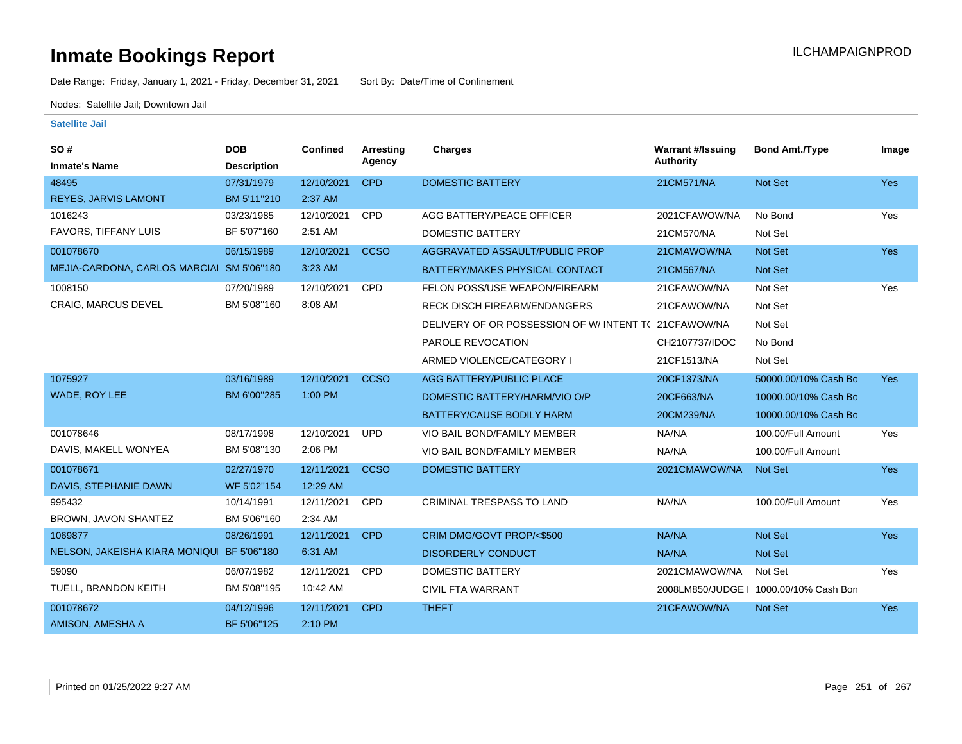Date Range: Friday, January 1, 2021 - Friday, December 31, 2021 Sort By: Date/Time of Confinement

Nodes: Satellite Jail; Downtown Jail

| SO#                                       | <b>DOB</b>         | <b>Confined</b> | <b>Arresting</b> | <b>Charges</b>                                      | <b>Warrant #/Issuing</b> | <b>Bond Amt./Type</b>                  | Image      |
|-------------------------------------------|--------------------|-----------------|------------------|-----------------------------------------------------|--------------------------|----------------------------------------|------------|
| <b>Inmate's Name</b>                      | <b>Description</b> |                 | Agency           |                                                     | <b>Authority</b>         |                                        |            |
| 48495                                     | 07/31/1979         | 12/10/2021      | <b>CPD</b>       | <b>DOMESTIC BATTERY</b>                             | 21CM571/NA               | <b>Not Set</b>                         | Yes        |
| REYES, JARVIS LAMONT                      | BM 5'11"210        | 2:37 AM         |                  |                                                     |                          |                                        |            |
| 1016243                                   | 03/23/1985         | 12/10/2021      | CPD              | AGG BATTERY/PEACE OFFICER                           | 2021CFAWOW/NA            | No Bond                                | Yes        |
| <b>FAVORS, TIFFANY LUIS</b>               | BF 5'07"160        | 2:51 AM         |                  | DOMESTIC BATTERY                                    | 21CM570/NA               | Not Set                                |            |
| 001078670                                 | 06/15/1989         | 12/10/2021      | <b>CCSO</b>      | AGGRAVATED ASSAULT/PUBLIC PROP                      | 21CMAWOW/NA              | <b>Not Set</b>                         | Yes        |
| MEJIA-CARDONA, CARLOS MARCIAI SM 5'06"180 |                    | 3:23 AM         |                  | BATTERY/MAKES PHYSICAL CONTACT                      | 21CM567/NA               | Not Set                                |            |
| 1008150                                   | 07/20/1989         | 12/10/2021      | <b>CPD</b>       | FELON POSS/USE WEAPON/FIREARM                       | 21CFAWOW/NA              | Not Set                                | Yes        |
| <b>CRAIG, MARCUS DEVEL</b>                | BM 5'08"160        | 8:08 AM         |                  | <b>RECK DISCH FIREARM/ENDANGERS</b>                 | 21CFAWOW/NA              | Not Set                                |            |
|                                           |                    |                 |                  | DELIVERY OF OR POSSESSION OF W/INTENT T(21CFAWOW/NA |                          | Not Set                                |            |
|                                           |                    |                 |                  | PAROLE REVOCATION                                   | CH2107737/IDOC           | No Bond                                |            |
|                                           |                    |                 |                  | ARMED VIOLENCE/CATEGORY I                           | 21CF1513/NA              | Not Set                                |            |
| 1075927                                   | 03/16/1989         | 12/10/2021      | <b>CCSO</b>      | AGG BATTERY/PUBLIC PLACE                            | 20CF1373/NA              | 50000.00/10% Cash Bo                   | <b>Yes</b> |
| WADE, ROY LEE                             | BM 6'00"285        | 1:00 PM         |                  | DOMESTIC BATTERY/HARM/VIO O/P                       | 20CF663/NA               | 10000.00/10% Cash Bo                   |            |
|                                           |                    |                 |                  | BATTERY/CAUSE BODILY HARM                           | 20CM239/NA               | 10000.00/10% Cash Bo                   |            |
| 001078646                                 | 08/17/1998         | 12/10/2021      | <b>UPD</b>       | VIO BAIL BOND/FAMILY MEMBER                         | NA/NA                    | 100.00/Full Amount                     | Yes        |
| DAVIS, MAKELL WONYEA                      | BM 5'08"130        | 2:06 PM         |                  | VIO BAIL BOND/FAMILY MEMBER                         | NA/NA                    | 100.00/Full Amount                     |            |
| 001078671                                 | 02/27/1970         | 12/11/2021      | <b>CCSO</b>      | <b>DOMESTIC BATTERY</b>                             | 2021CMAWOW/NA            | Not Set                                | <b>Yes</b> |
| DAVIS, STEPHANIE DAWN                     | WF 5'02"154        | 12:29 AM        |                  |                                                     |                          |                                        |            |
| 995432                                    | 10/14/1991         | 12/11/2021      | <b>CPD</b>       | CRIMINAL TRESPASS TO LAND                           | NA/NA                    | 100.00/Full Amount                     | Yes        |
| BROWN, JAVON SHANTEZ                      | BM 5'06"160        | 2:34 AM         |                  |                                                     |                          |                                        |            |
| 1069877                                   | 08/26/1991         | 12/11/2021      | <b>CPD</b>       | CRIM DMG/GOVT PROP/<\$500                           | NA/NA                    | Not Set                                | <b>Yes</b> |
| NELSON, JAKEISHA KIARA MONIQU BF 5'06"180 |                    | 6:31 AM         |                  | <b>DISORDERLY CONDUCT</b>                           | NA/NA                    | <b>Not Set</b>                         |            |
| 59090                                     | 06/07/1982         | 12/11/2021      | <b>CPD</b>       | <b>DOMESTIC BATTERY</b>                             | 2021CMAWOW/NA            | Not Set                                | Yes        |
| TUELL, BRANDON KEITH                      | BM 5'08"195        | 10:42 AM        |                  | <b>CIVIL FTA WARRANT</b>                            |                          | 2008LM850/JUDGE   1000.00/10% Cash Bon |            |
| 001078672                                 | 04/12/1996         | 12/11/2021      | <b>CPD</b>       | <b>THEFT</b>                                        | 21CFAWOW/NA              | Not Set                                | <b>Yes</b> |
| AMISON, AMESHA A                          | BF 5'06"125        | 2:10 PM         |                  |                                                     |                          |                                        |            |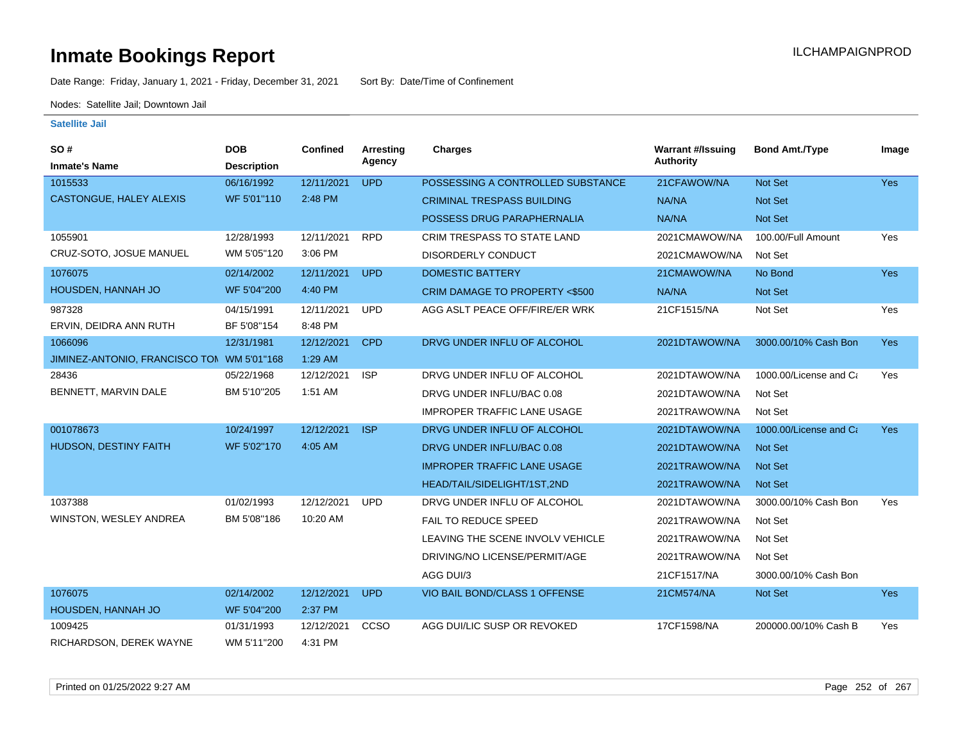Date Range: Friday, January 1, 2021 - Friday, December 31, 2021 Sort By: Date/Time of Confinement

Nodes: Satellite Jail; Downtown Jail

| SO#                            | <b>DOB</b>         | <b>Confined</b> | <b>Arresting</b> | Charges                                  | <b>Warrant #/Issuing</b> | <b>Bond Amt./Type</b>  | Image      |
|--------------------------------|--------------------|-----------------|------------------|------------------------------------------|--------------------------|------------------------|------------|
| <b>Inmate's Name</b>           | <b>Description</b> |                 | Agency           |                                          | Authority                |                        |            |
| 1015533                        | 06/16/1992         | 12/11/2021      | <b>UPD</b>       | POSSESSING A CONTROLLED SUBSTANCE        | 21CFAWOW/NA              | Not Set                | <b>Yes</b> |
| CASTONGUE, HALEY ALEXIS        | WF 5'01"110        | 2:48 PM         |                  | <b>CRIMINAL TRESPASS BUILDING</b>        | NA/NA                    | <b>Not Set</b>         |            |
|                                |                    |                 |                  | POSSESS DRUG PARAPHERNALIA               | NA/NA                    | Not Set                |            |
| 1055901                        | 12/28/1993         | 12/11/2021      | <b>RPD</b>       | <b>CRIM TRESPASS TO STATE LAND</b>       | 2021CMAWOW/NA            | 100.00/Full Amount     | Yes        |
| CRUZ-SOTO, JOSUE MANUEL        | WM 5'05"120        | 3:06 PM         |                  | <b>DISORDERLY CONDUCT</b>                | 2021CMAWOW/NA            | Not Set                |            |
| 1076075                        | 02/14/2002         | 12/11/2021      | <b>UPD</b>       | <b>DOMESTIC BATTERY</b>                  | 21CMAWOW/NA              | No Bond                | Yes        |
| HOUSDEN, HANNAH JO             | WF 5'04"200        | 4:40 PM         |                  | <b>CRIM DAMAGE TO PROPERTY &lt;\$500</b> | NA/NA                    | <b>Not Set</b>         |            |
| 987328                         | 04/15/1991         | 12/11/2021      | <b>UPD</b>       | AGG ASLT PEACE OFF/FIRE/ER WRK           | 21CF1515/NA              | Not Set                | Yes        |
| ERVIN, DEIDRA ANN RUTH         | BF 5'08"154        | 8:48 PM         |                  |                                          |                          |                        |            |
| 1066096                        | 12/31/1981         | 12/12/2021      | <b>CPD</b>       | DRVG UNDER INFLU OF ALCOHOL              | 2021DTAWOW/NA            | 3000.00/10% Cash Bon   | <b>Yes</b> |
| JIMINEZ-ANTONIO, FRANCISCO TOM | WM 5'01"168        | 1:29 AM         |                  |                                          |                          |                        |            |
| 28436                          | 05/22/1968         | 12/12/2021      | <b>ISP</b>       | DRVG UNDER INFLU OF ALCOHOL              | 2021DTAWOW/NA            | 1000.00/License and Ca | Yes        |
| BENNETT, MARVIN DALE           | BM 5'10"205        | 1:51 AM         |                  | DRVG UNDER INFLU/BAC 0.08                | 2021DTAWOW/NA            | Not Set                |            |
|                                |                    |                 |                  | <b>IMPROPER TRAFFIC LANE USAGE</b>       | 2021TRAWOW/NA            | Not Set                |            |
| 001078673                      | 10/24/1997         | 12/12/2021      | <b>ISP</b>       | DRVG UNDER INFLU OF ALCOHOL              | 2021DTAWOW/NA            | 1000.00/License and Ca | <b>Yes</b> |
| <b>HUDSON, DESTINY FAITH</b>   | WF 5'02"170        | 4:05 AM         |                  | DRVG UNDER INFLU/BAC 0.08                | 2021DTAWOW/NA            | <b>Not Set</b>         |            |
|                                |                    |                 |                  | <b>IMPROPER TRAFFIC LANE USAGE</b>       | 2021TRAWOW/NA            | <b>Not Set</b>         |            |
|                                |                    |                 |                  | HEAD/TAIL/SIDELIGHT/1ST,2ND              | 2021TRAWOW/NA            | <b>Not Set</b>         |            |
| 1037388                        | 01/02/1993         | 12/12/2021      | <b>UPD</b>       | DRVG UNDER INFLU OF ALCOHOL              | 2021DTAWOW/NA            | 3000.00/10% Cash Bon   | Yes        |
| WINSTON, WESLEY ANDREA         | BM 5'08"186        | 10:20 AM        |                  | <b>FAIL TO REDUCE SPEED</b>              | 2021TRAWOW/NA            | Not Set                |            |
|                                |                    |                 |                  | LEAVING THE SCENE INVOLV VEHICLE         | 2021TRAWOW/NA            | Not Set                |            |
|                                |                    |                 |                  | DRIVING/NO LICENSE/PERMIT/AGE            | 2021TRAWOW/NA            | Not Set                |            |
|                                |                    |                 |                  | AGG DUI/3                                | 21CF1517/NA              | 3000.00/10% Cash Bon   |            |
| 1076075                        | 02/14/2002         | 12/12/2021      | <b>UPD</b>       | <b>VIO BAIL BOND/CLASS 1 OFFENSE</b>     | 21CM574/NA               | Not Set                | <b>Yes</b> |
| HOUSDEN, HANNAH JO             | WF 5'04"200        | 2:37 PM         |                  |                                          |                          |                        |            |
| 1009425                        | 01/31/1993         | 12/12/2021      | CCSO             | AGG DUI/LIC SUSP OR REVOKED              | 17CF1598/NA              | 200000.00/10% Cash B   | Yes        |
| RICHARDSON, DEREK WAYNE        | WM 5'11"200        | 4:31 PM         |                  |                                          |                          |                        |            |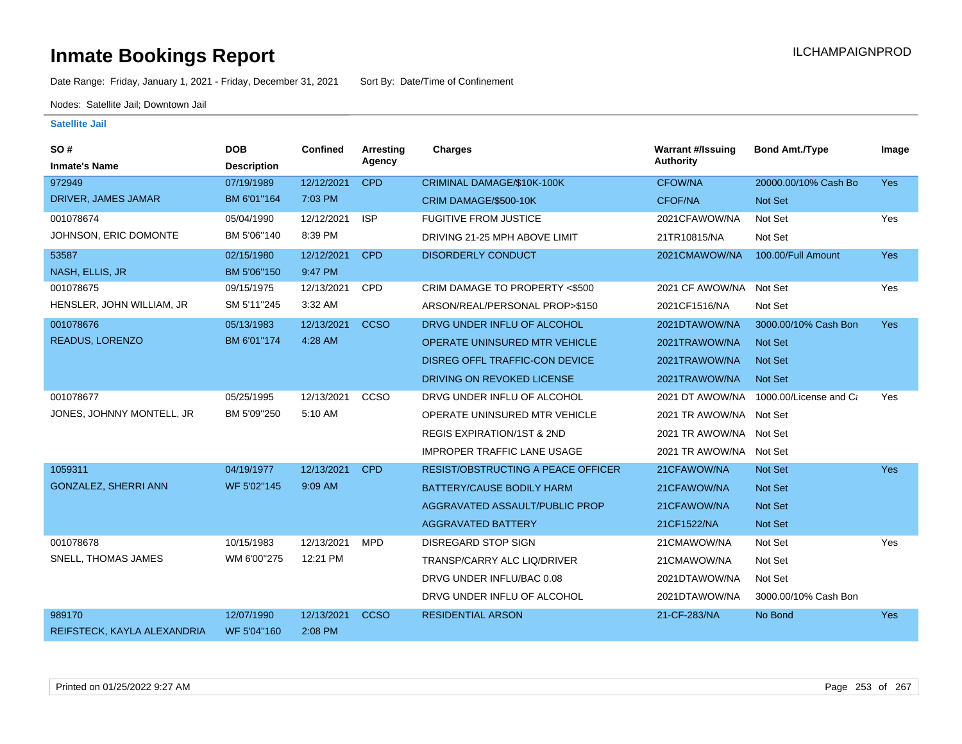Date Range: Friday, January 1, 2021 - Friday, December 31, 2021 Sort By: Date/Time of Confinement

Nodes: Satellite Jail; Downtown Jail

| SO#                         | <b>DOB</b>         | Confined   | <b>Arresting</b> | <b>Charges</b>                            | <b>Warrant #/Issuing</b> | <b>Bond Amt./Type</b>  | Image      |
|-----------------------------|--------------------|------------|------------------|-------------------------------------------|--------------------------|------------------------|------------|
| <b>Inmate's Name</b>        | <b>Description</b> |            | Agency           |                                           | <b>Authority</b>         |                        |            |
| 972949                      | 07/19/1989         | 12/12/2021 | <b>CPD</b>       | CRIMINAL DAMAGE/\$10K-100K                | <b>CFOW/NA</b>           | 20000.00/10% Cash Bo   | <b>Yes</b> |
| DRIVER, JAMES JAMAR         | BM 6'01"164        | 7:03 PM    |                  | CRIM DAMAGE/\$500-10K                     | <b>CFOF/NA</b>           | Not Set                |            |
| 001078674                   | 05/04/1990         | 12/12/2021 | <b>ISP</b>       | <b>FUGITIVE FROM JUSTICE</b>              | 2021CFAWOW/NA            | Not Set                | Yes        |
| JOHNSON, ERIC DOMONTE       | BM 5'06"140        | 8:39 PM    |                  | DRIVING 21-25 MPH ABOVE LIMIT             | 21TR10815/NA             | Not Set                |            |
| 53587                       | 02/15/1980         | 12/12/2021 | <b>CPD</b>       | <b>DISORDERLY CONDUCT</b>                 | 2021CMAWOW/NA            | 100.00/Full Amount     | <b>Yes</b> |
| NASH, ELLIS, JR             | BM 5'06"150        | 9:47 PM    |                  |                                           |                          |                        |            |
| 001078675                   | 09/15/1975         | 12/13/2021 | <b>CPD</b>       | CRIM DAMAGE TO PROPERTY <\$500            | 2021 CF AWOW/NA          | Not Set                | Yes        |
| HENSLER, JOHN WILLIAM, JR   | SM 5'11"245        | 3:32 AM    |                  | ARSON/REAL/PERSONAL PROP>\$150            | 2021CF1516/NA            | Not Set                |            |
| 001078676                   | 05/13/1983         | 12/13/2021 | <b>CCSO</b>      | DRVG UNDER INFLU OF ALCOHOL               | 2021DTAWOW/NA            | 3000.00/10% Cash Bon   | <b>Yes</b> |
| <b>READUS, LORENZO</b>      | BM 6'01"174        | 4:28 AM    |                  | <b>OPERATE UNINSURED MTR VEHICLE</b>      | 2021TRAWOW/NA            | Not Set                |            |
|                             |                    |            |                  | <b>DISREG OFFL TRAFFIC-CON DEVICE</b>     | 2021TRAWOW/NA            | Not Set                |            |
|                             |                    |            |                  | DRIVING ON REVOKED LICENSE                | 2021TRAWOW/NA            | <b>Not Set</b>         |            |
| 001078677                   | 05/25/1995         | 12/13/2021 | CCSO             | DRVG UNDER INFLU OF ALCOHOL               | 2021 DT AWOW/NA          | 1000.00/License and Ca | Yes        |
| JONES, JOHNNY MONTELL, JR   | BM 5'09"250        | 5:10 AM    |                  | OPERATE UNINSURED MTR VEHICLE             | 2021 TR AWOW/NA Not Set  |                        |            |
|                             |                    |            |                  | <b>REGIS EXPIRATION/1ST &amp; 2ND</b>     | 2021 TR AWOW/NA Not Set  |                        |            |
|                             |                    |            |                  | <b>IMPROPER TRAFFIC LANE USAGE</b>        | 2021 TR AWOW/NA Not Set  |                        |            |
| 1059311                     | 04/19/1977         | 12/13/2021 | <b>CPD</b>       | <b>RESIST/OBSTRUCTING A PEACE OFFICER</b> | 21CFAWOW/NA              | Not Set                | <b>Yes</b> |
| GONZALEZ, SHERRI ANN        | WF 5'02"145        | 9:09 AM    |                  | BATTERY/CAUSE BODILY HARM                 | 21CFAWOW/NA              | Not Set                |            |
|                             |                    |            |                  | AGGRAVATED ASSAULT/PUBLIC PROP            | 21CFAWOW/NA              | Not Set                |            |
|                             |                    |            |                  | <b>AGGRAVATED BATTERY</b>                 | 21CF1522/NA              | Not Set                |            |
| 001078678                   | 10/15/1983         | 12/13/2021 | <b>MPD</b>       | <b>DISREGARD STOP SIGN</b>                | 21CMAWOW/NA              | Not Set                | Yes        |
| SNELL, THOMAS JAMES         | WM 6'00"275        | 12:21 PM   |                  | TRANSP/CARRY ALC LIQ/DRIVER               | 21CMAWOW/NA              | Not Set                |            |
|                             |                    |            |                  | DRVG UNDER INFLU/BAC 0.08                 | 2021DTAWOW/NA            | Not Set                |            |
|                             |                    |            |                  | DRVG UNDER INFLU OF ALCOHOL               | 2021DTAWOW/NA            | 3000.00/10% Cash Bon   |            |
| 989170                      | 12/07/1990         | 12/13/2021 | <b>CCSO</b>      | <b>RESIDENTIAL ARSON</b>                  | 21-CF-283/NA             | No Bond                | <b>Yes</b> |
| REIFSTECK, KAYLA ALEXANDRIA | WF 5'04"160        | 2:08 PM    |                  |                                           |                          |                        |            |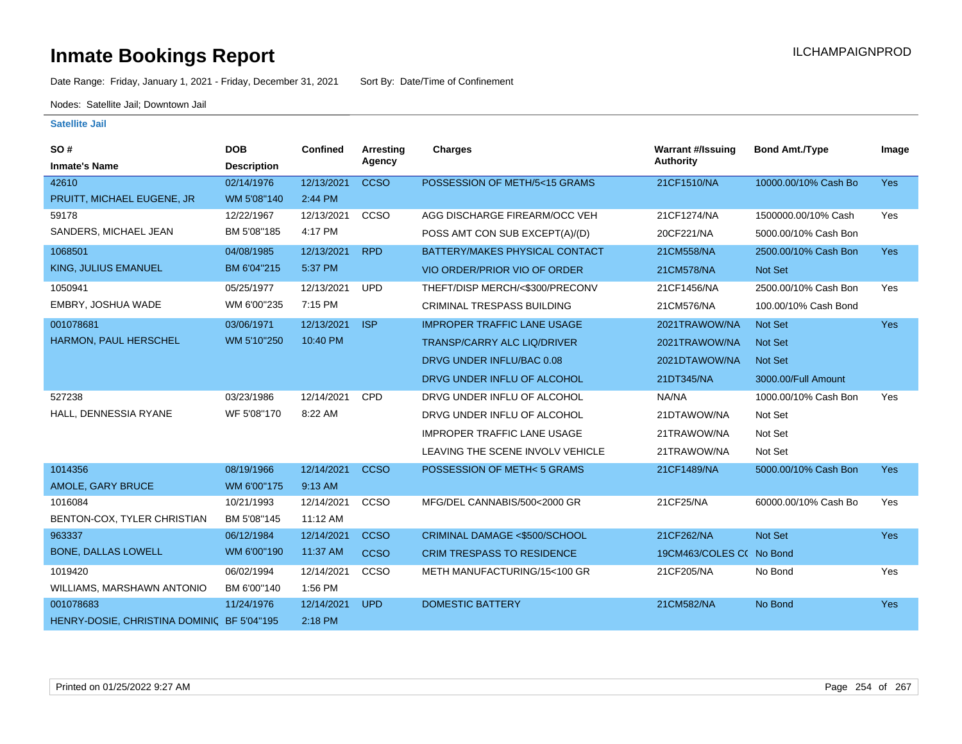Date Range: Friday, January 1, 2021 - Friday, December 31, 2021 Sort By: Date/Time of Confinement

Nodes: Satellite Jail; Downtown Jail

| SO#                                        | <b>DOB</b>         | <b>Confined</b> | <b>Arresting</b> | <b>Charges</b>                     | <b>Warrant #/Issuing</b> | <b>Bond Amt./Type</b> | Image      |
|--------------------------------------------|--------------------|-----------------|------------------|------------------------------------|--------------------------|-----------------------|------------|
| <b>Inmate's Name</b>                       | <b>Description</b> |                 | Agency           |                                    | <b>Authority</b>         |                       |            |
| 42610                                      | 02/14/1976         | 12/13/2021      | <b>CCSO</b>      | POSSESSION OF METH/5<15 GRAMS      | 21CF1510/NA              | 10000.00/10% Cash Bo  | <b>Yes</b> |
| PRUITT, MICHAEL EUGENE, JR                 | WM 5'08"140        | 2:44 PM         |                  |                                    |                          |                       |            |
| 59178                                      | 12/22/1967         | 12/13/2021      | <b>CCSO</b>      | AGG DISCHARGE FIREARM/OCC VEH      | 21CF1274/NA              | 1500000.00/10% Cash   | Yes        |
| SANDERS, MICHAEL JEAN                      | BM 5'08"185        | 4:17 PM         |                  | POSS AMT CON SUB EXCEPT(A)/(D)     | 20CF221/NA               | 5000.00/10% Cash Bon  |            |
| 1068501                                    | 04/08/1985         | 12/13/2021      | <b>RPD</b>       | BATTERY/MAKES PHYSICAL CONTACT     | 21CM558/NA               | 2500.00/10% Cash Bon  | <b>Yes</b> |
| <b>KING, JULIUS EMANUEL</b>                | BM 6'04"215        | 5:37 PM         |                  | VIO ORDER/PRIOR VIO OF ORDER       | 21CM578/NA               | Not Set               |            |
| 1050941                                    | 05/25/1977         | 12/13/2021      | <b>UPD</b>       | THEFT/DISP MERCH/<\$300/PRECONV    | 21CF1456/NA              | 2500.00/10% Cash Bon  | Yes        |
| EMBRY, JOSHUA WADE                         | WM 6'00"235        | 7:15 PM         |                  | <b>CRIMINAL TRESPASS BUILDING</b>  | 21CM576/NA               | 100.00/10% Cash Bond  |            |
| 001078681                                  | 03/06/1971         | 12/13/2021      | <b>ISP</b>       | <b>IMPROPER TRAFFIC LANE USAGE</b> | 2021TRAWOW/NA            | Not Set               | <b>Yes</b> |
| HARMON, PAUL HERSCHEL                      | WM 5'10"250        | 10:40 PM        |                  | TRANSP/CARRY ALC LIQ/DRIVER        | 2021TRAWOW/NA            | <b>Not Set</b>        |            |
|                                            |                    |                 |                  | DRVG UNDER INFLU/BAC 0.08          | 2021DTAWOW/NA            | Not Set               |            |
|                                            |                    |                 |                  | DRVG UNDER INFLU OF ALCOHOL        | 21DT345/NA               | 3000.00/Full Amount   |            |
| 527238                                     | 03/23/1986         | 12/14/2021      | <b>CPD</b>       | DRVG UNDER INFLU OF ALCOHOL        | NA/NA                    | 1000.00/10% Cash Bon  | Yes        |
| HALL, DENNESSIA RYANE                      | WF 5'08"170        | 8:22 AM         |                  | DRVG UNDER INFLU OF ALCOHOL        | 21DTAWOW/NA              | Not Set               |            |
|                                            |                    |                 |                  | <b>IMPROPER TRAFFIC LANE USAGE</b> | 21TRAWOW/NA              | Not Set               |            |
|                                            |                    |                 |                  | LEAVING THE SCENE INVOLV VEHICLE   | 21TRAWOW/NA              | Not Set               |            |
| 1014356                                    | 08/19/1966         | 12/14/2021      | <b>CCSO</b>      | POSSESSION OF METH<5 GRAMS         | 21CF1489/NA              | 5000.00/10% Cash Bon  | Yes        |
| AMOLE, GARY BRUCE                          | WM 6'00"175        | 9:13 AM         |                  |                                    |                          |                       |            |
| 1016084                                    | 10/21/1993         | 12/14/2021      | CCSO             | MFG/DEL CANNABIS/500<2000 GR       | 21CF25/NA                | 60000.00/10% Cash Bo  | Yes        |
| BENTON-COX, TYLER CHRISTIAN                | BM 5'08"145        | 11:12 AM        |                  |                                    |                          |                       |            |
| 963337                                     | 06/12/1984         | 12/14/2021      | <b>CCSO</b>      | CRIMINAL DAMAGE <\$500/SCHOOL      | 21CF262/NA               | <b>Not Set</b>        | Yes        |
| <b>BONE, DALLAS LOWELL</b>                 | WM 6'00"190        | 11:37 AM        | <b>CCSO</b>      | <b>CRIM TRESPASS TO RESIDENCE</b>  | 19CM463/COLES C( No Bond |                       |            |
| 1019420                                    | 06/02/1994         | 12/14/2021      | CCSO             | METH MANUFACTURING/15<100 GR       | 21CF205/NA               | No Bond               | Yes        |
| WILLIAMS, MARSHAWN ANTONIO                 | BM 6'00"140        | 1:56 PM         |                  |                                    |                          |                       |            |
| 001078683                                  | 11/24/1976         | 12/14/2021      | <b>UPD</b>       | <b>DOMESTIC BATTERY</b>            | 21CM582/NA               | No Bond               | <b>Yes</b> |
| HENRY-DOSIE, CHRISTINA DOMINIC BF 5'04"195 |                    | 2:18 PM         |                  |                                    |                          |                       |            |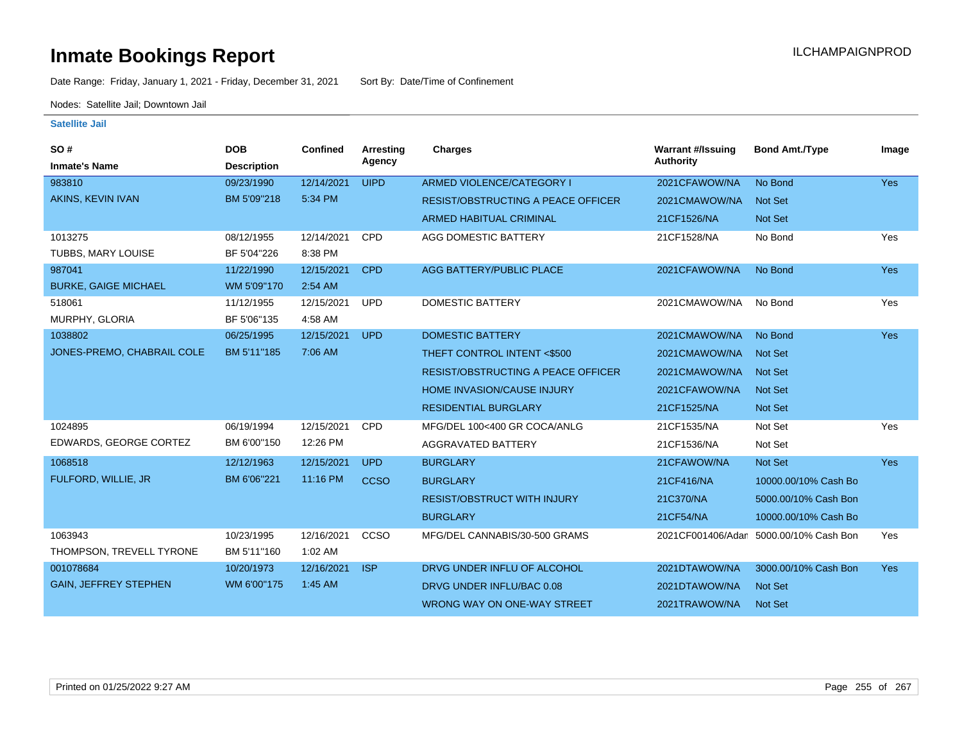Date Range: Friday, January 1, 2021 - Friday, December 31, 2021 Sort By: Date/Time of Confinement

Nodes: Satellite Jail; Downtown Jail

| <b>SO#</b>                   | <b>DOB</b>         | <b>Confined</b> | Arresting   | <b>Charges</b>                            | <b>Warrant #/Issuing</b> | <b>Bond Amt./Type</b> | Image      |
|------------------------------|--------------------|-----------------|-------------|-------------------------------------------|--------------------------|-----------------------|------------|
| <b>Inmate's Name</b>         | <b>Description</b> |                 | Agency      |                                           | Authority                |                       |            |
| 983810                       | 09/23/1990         | 12/14/2021      | <b>UIPD</b> | ARMED VIOLENCE/CATEGORY I                 | 2021CFAWOW/NA            | No Bond               | Yes        |
| AKINS, KEVIN IVAN            | BM 5'09"218        | 5:34 PM         |             | <b>RESIST/OBSTRUCTING A PEACE OFFICER</b> | 2021CMAWOW/NA            | Not Set               |            |
|                              |                    |                 |             | <b>ARMED HABITUAL CRIMINAL</b>            | 21CF1526/NA              | Not Set               |            |
| 1013275                      | 08/12/1955         | 12/14/2021      | CPD         | AGG DOMESTIC BATTERY                      | 21CF1528/NA              | No Bond               | Yes        |
| TUBBS, MARY LOUISE           | BF 5'04"226        | 8:38 PM         |             |                                           |                          |                       |            |
| 987041                       | 11/22/1990         | 12/15/2021      | <b>CPD</b>  | AGG BATTERY/PUBLIC PLACE                  | 2021CFAWOW/NA            | No Bond               | <b>Yes</b> |
| <b>BURKE, GAIGE MICHAEL</b>  | WM 5'09"170        | 2:54 AM         |             |                                           |                          |                       |            |
| 518061                       | 11/12/1955         | 12/15/2021      | <b>UPD</b>  | <b>DOMESTIC BATTERY</b>                   | 2021CMAWOW/NA            | No Bond               | Yes        |
| MURPHY, GLORIA               | BF 5'06"135        | 4:58 AM         |             |                                           |                          |                       |            |
| 1038802                      | 06/25/1995         | 12/15/2021      | <b>UPD</b>  | <b>DOMESTIC BATTERY</b>                   | 2021CMAWOW/NA            | No Bond               | Yes        |
| JONES-PREMO, CHABRAIL COLE   | BM 5'11"185        | 7:06 AM         |             | THEFT CONTROL INTENT <\$500               | 2021CMAWOW/NA            | Not Set               |            |
|                              |                    |                 |             | <b>RESIST/OBSTRUCTING A PEACE OFFICER</b> | 2021CMAWOW/NA            | Not Set               |            |
|                              |                    |                 |             | HOME INVASION/CAUSE INJURY                | 2021CFAWOW/NA            | Not Set               |            |
|                              |                    |                 |             | <b>RESIDENTIAL BURGLARY</b>               | 21CF1525/NA              | Not Set               |            |
| 1024895                      | 06/19/1994         | 12/15/2021      | <b>CPD</b>  | MFG/DEL 100<400 GR COCA/ANLG              | 21CF1535/NA              | Not Set               | Yes        |
| EDWARDS, GEORGE CORTEZ       | BM 6'00"150        | 12:26 PM        |             | AGGRAVATED BATTERY                        | 21CF1536/NA              | Not Set               |            |
| 1068518                      | 12/12/1963         | 12/15/2021      | <b>UPD</b>  | <b>BURGLARY</b>                           | 21CFAWOW/NA              | Not Set               | <b>Yes</b> |
| FULFORD, WILLIE, JR          | BM 6'06"221        | 11:16 PM        | <b>CCSO</b> | <b>BURGLARY</b>                           | 21CF416/NA               | 10000.00/10% Cash Bo  |            |
|                              |                    |                 |             | <b>RESIST/OBSTRUCT WITH INJURY</b>        | 21C370/NA                | 5000.00/10% Cash Bon  |            |
|                              |                    |                 |             | <b>BURGLARY</b>                           | 21CF54/NA                | 10000.00/10% Cash Bo  |            |
| 1063943                      | 10/23/1995         | 12/16/2021      | CCSO        | MFG/DEL CANNABIS/30-500 GRAMS             | 2021CF001406/Adan        | 5000.00/10% Cash Bon  | Yes        |
| THOMPSON, TREVELL TYRONE     | BM 5'11"160        | 1:02 AM         |             |                                           |                          |                       |            |
| 001078684                    | 10/20/1973         | 12/16/2021      | <b>ISP</b>  | DRVG UNDER INFLU OF ALCOHOL               | 2021DTAWOW/NA            | 3000.00/10% Cash Bon  | <b>Yes</b> |
| <b>GAIN, JEFFREY STEPHEN</b> | WM 6'00"175        | 1:45 AM         |             | DRVG UNDER INFLU/BAC 0.08                 | 2021DTAWOW/NA            | Not Set               |            |
|                              |                    |                 |             | WRONG WAY ON ONE-WAY STREET               | 2021TRAWOW/NA            | Not Set               |            |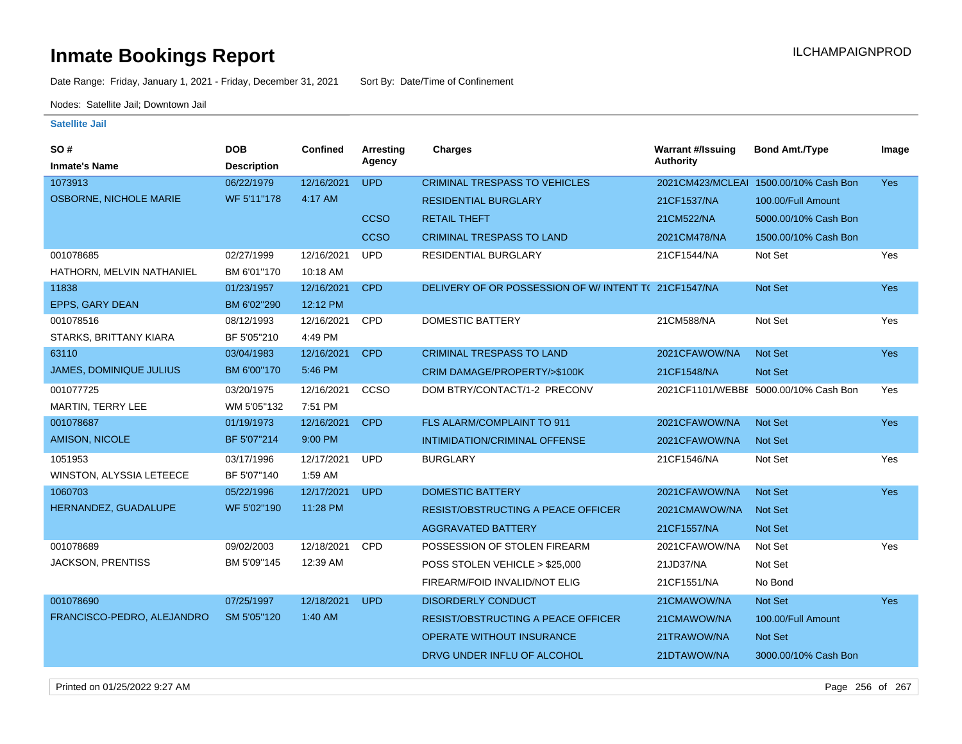Date Range: Friday, January 1, 2021 - Friday, December 31, 2021 Sort By: Date/Time of Confinement

Nodes: Satellite Jail; Downtown Jail

| SO #                           | <b>DOB</b>         | Confined   | <b>Arresting</b> | <b>Charges</b>                                       | <b>Warrant #/Issuing</b> | <b>Bond Amt./Type</b>                 | Image      |
|--------------------------------|--------------------|------------|------------------|------------------------------------------------------|--------------------------|---------------------------------------|------------|
| <b>Inmate's Name</b>           | <b>Description</b> |            | Agency           |                                                      | <b>Authority</b>         |                                       |            |
| 1073913                        | 06/22/1979         | 12/16/2021 | <b>UPD</b>       | <b>CRIMINAL TRESPASS TO VEHICLES</b>                 |                          | 2021CM423/MCLEAI 1500.00/10% Cash Bon | <b>Yes</b> |
| <b>OSBORNE, NICHOLE MARIE</b>  | WF 5'11"178        | 4:17 AM    |                  | <b>RESIDENTIAL BURGLARY</b>                          | 21CF1537/NA              | 100.00/Full Amount                    |            |
|                                |                    |            | <b>CCSO</b>      | <b>RETAIL THEFT</b>                                  | 21CM522/NA               | 5000.00/10% Cash Bon                  |            |
|                                |                    |            | <b>CCSO</b>      | <b>CRIMINAL TRESPASS TO LAND</b>                     | 2021CM478/NA             | 1500.00/10% Cash Bon                  |            |
| 001078685                      | 02/27/1999         | 12/16/2021 | <b>UPD</b>       | RESIDENTIAL BURGLARY                                 | 21CF1544/NA              | Not Set                               | Yes        |
| HATHORN, MELVIN NATHANIEL      | BM 6'01"170        | 10:18 AM   |                  |                                                      |                          |                                       |            |
| 11838                          | 01/23/1957         | 12/16/2021 | <b>CPD</b>       | DELIVERY OF OR POSSESSION OF W/ INTENT T(21CF1547/NA |                          | Not Set                               | <b>Yes</b> |
| EPPS, GARY DEAN                | BM 6'02"290        | 12:12 PM   |                  |                                                      |                          |                                       |            |
| 001078516                      | 08/12/1993         | 12/16/2021 | CPD              | DOMESTIC BATTERY                                     | 21CM588/NA               | Not Set                               | Yes        |
| STARKS, BRITTANY KIARA         | BF 5'05"210        | 4:49 PM    |                  |                                                      |                          |                                       |            |
| 63110                          | 03/04/1983         | 12/16/2021 | <b>CPD</b>       | <b>CRIMINAL TRESPASS TO LAND</b>                     | 2021CFAWOW/NA            | <b>Not Set</b>                        | <b>Yes</b> |
| <b>JAMES, DOMINIQUE JULIUS</b> | BM 6'00"170        | 5:46 PM    |                  | CRIM DAMAGE/PROPERTY/>\$100K                         | 21CF1548/NA              | Not Set                               |            |
| 001077725                      | 03/20/1975         | 12/16/2021 | CCSO             | DOM BTRY/CONTACT/1-2 PRECONV                         |                          | 2021CF1101/WEBBE 5000.00/10% Cash Bon | Yes        |
| <b>MARTIN, TERRY LEE</b>       | WM 5'05"132        | 7:51 PM    |                  |                                                      |                          |                                       |            |
| 001078687                      | 01/19/1973         | 12/16/2021 | <b>CPD</b>       | FLS ALARM/COMPLAINT TO 911                           | 2021CFAWOW/NA            | <b>Not Set</b>                        | <b>Yes</b> |
| <b>AMISON, NICOLE</b>          | BF 5'07"214        | 9:00 PM    |                  | INTIMIDATION/CRIMINAL OFFENSE                        | 2021CFAWOW/NA            | Not Set                               |            |
| 1051953                        | 03/17/1996         | 12/17/2021 | <b>UPD</b>       | <b>BURGLARY</b>                                      | 21CF1546/NA              | Not Set                               | Yes        |
| WINSTON, ALYSSIA LETEECE       | BF 5'07"140        | 1:59 AM    |                  |                                                      |                          |                                       |            |
| 1060703                        | 05/22/1996         | 12/17/2021 | <b>UPD</b>       | <b>DOMESTIC BATTERY</b>                              | 2021CFAWOW/NA            | Not Set                               | Yes        |
| HERNANDEZ, GUADALUPE           | WF 5'02"190        | 11:28 PM   |                  | RESIST/OBSTRUCTING A PEACE OFFICER                   | 2021CMAWOW/NA            | Not Set                               |            |
|                                |                    |            |                  | <b>AGGRAVATED BATTERY</b>                            | 21CF1557/NA              | Not Set                               |            |
| 001078689                      | 09/02/2003         | 12/18/2021 | <b>CPD</b>       | POSSESSION OF STOLEN FIREARM                         | 2021CFAWOW/NA            | Not Set                               | Yes        |
| <b>JACKSON, PRENTISS</b>       | BM 5'09"145        | 12:39 AM   |                  | POSS STOLEN VEHICLE > \$25,000                       | 21JD37/NA                | Not Set                               |            |
|                                |                    |            |                  | FIREARM/FOID INVALID/NOT ELIG                        | 21CF1551/NA              | No Bond                               |            |
| 001078690                      | 07/25/1997         | 12/18/2021 | <b>UPD</b>       | <b>DISORDERLY CONDUCT</b>                            | 21CMAWOW/NA              | <b>Not Set</b>                        | <b>Yes</b> |
| FRANCISCO-PEDRO, ALEJANDRO     | SM 5'05"120        | 1:40 AM    |                  | <b>RESIST/OBSTRUCTING A PEACE OFFICER</b>            | 21CMAWOW/NA              | 100.00/Full Amount                    |            |
|                                |                    |            |                  | <b>OPERATE WITHOUT INSURANCE</b>                     | 21TRAWOW/NA              | Not Set                               |            |
|                                |                    |            |                  | DRVG UNDER INFLU OF ALCOHOL                          | 21DTAWOW/NA              | 3000.00/10% Cash Bon                  |            |
|                                |                    |            |                  |                                                      |                          |                                       |            |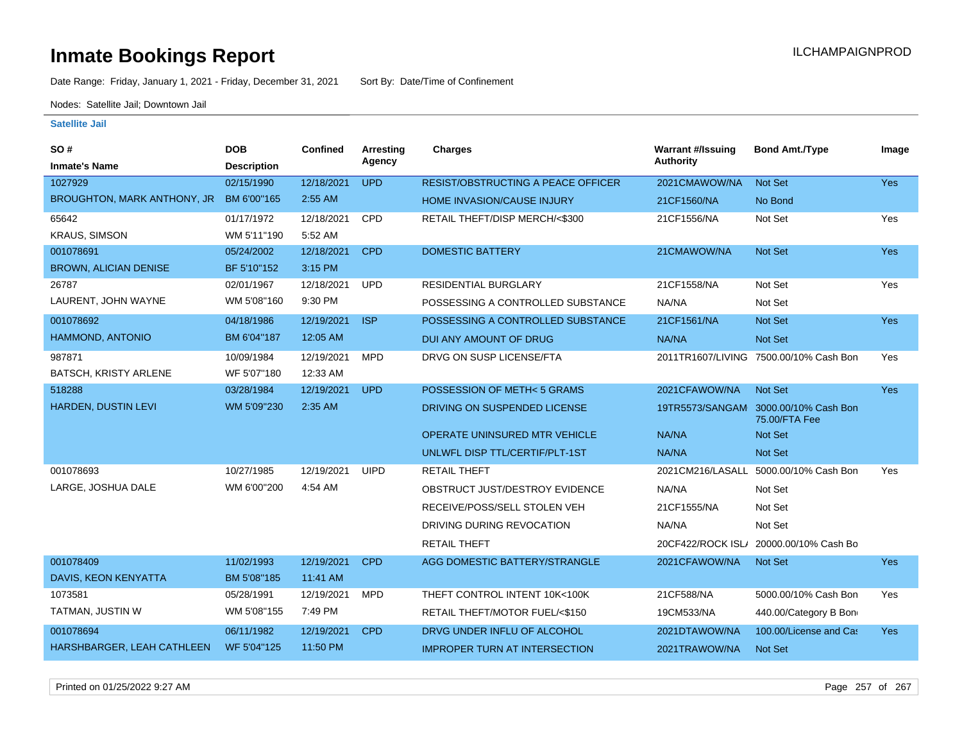Date Range: Friday, January 1, 2021 - Friday, December 31, 2021 Sort By: Date/Time of Confinement

Nodes: Satellite Jail; Downtown Jail

#### **Satellite Jail**

| SO#                          | <b>DOB</b>         | Confined   | Arresting   | Charges                                   | <b>Warrant #/Issuing</b> | <b>Bond Amt./Type</b>                                 | Image      |
|------------------------------|--------------------|------------|-------------|-------------------------------------------|--------------------------|-------------------------------------------------------|------------|
| <b>Inmate's Name</b>         | <b>Description</b> |            | Agency      |                                           | <b>Authority</b>         |                                                       |            |
| 1027929                      | 02/15/1990         | 12/18/2021 | <b>UPD</b>  | <b>RESIST/OBSTRUCTING A PEACE OFFICER</b> | 2021CMAWOW/NA            | <b>Not Set</b>                                        | Yes        |
| BROUGHTON, MARK ANTHONY, JR  | BM 6'00"165        | 2:55 AM    |             | <b>HOME INVASION/CAUSE INJURY</b>         | 21CF1560/NA              | No Bond                                               |            |
| 65642                        | 01/17/1972         | 12/18/2021 | <b>CPD</b>  | RETAIL THEFT/DISP MERCH/<\$300            | 21CF1556/NA              | Not Set                                               | Yes        |
| <b>KRAUS, SIMSON</b>         | WM 5'11"190        | 5:52 AM    |             |                                           |                          |                                                       |            |
| 001078691                    | 05/24/2002         | 12/18/2021 | <b>CPD</b>  | <b>DOMESTIC BATTERY</b>                   | 21CMAWOW/NA              | <b>Not Set</b>                                        | <b>Yes</b> |
| <b>BROWN, ALICIAN DENISE</b> | BF 5'10"152        | 3:15 PM    |             |                                           |                          |                                                       |            |
| 26787                        | 02/01/1967         | 12/18/2021 | <b>UPD</b>  | RESIDENTIAL BURGLARY                      | 21CF1558/NA              | Not Set                                               | Yes        |
| LAURENT, JOHN WAYNE          | WM 5'08"160        | 9:30 PM    |             | POSSESSING A CONTROLLED SUBSTANCE         | NA/NA                    | Not Set                                               |            |
| 001078692                    | 04/18/1986         | 12/19/2021 | <b>ISP</b>  | POSSESSING A CONTROLLED SUBSTANCE         | 21CF1561/NA              | Not Set                                               | <b>Yes</b> |
| HAMMOND, ANTONIO             | BM 6'04"187        | 12:05 AM   |             | DUI ANY AMOUNT OF DRUG                    | NA/NA                    | Not Set                                               |            |
| 987871                       | 10/09/1984         | 12/19/2021 | <b>MPD</b>  | DRVG ON SUSP LICENSE/FTA                  |                          | 2011TR1607/LIVING 7500.00/10% Cash Bon                | Yes        |
| BATSCH, KRISTY ARLENE        | WF 5'07"180        | 12:33 AM   |             |                                           |                          |                                                       |            |
| 518288                       | 03/28/1984         | 12/19/2021 | <b>UPD</b>  | POSSESSION OF METH< 5 GRAMS               | 2021CFAWOW/NA            | <b>Not Set</b>                                        | <b>Yes</b> |
| HARDEN, DUSTIN LEVI          | WM 5'09"230        | 2:35 AM    |             | DRIVING ON SUSPENDED LICENSE              |                          | 19TR5573/SANGAM 3000.00/10% Cash Bon<br>75.00/FTA Fee |            |
|                              |                    |            |             | OPERATE UNINSURED MTR VEHICLE             | NA/NA                    | Not Set                                               |            |
|                              |                    |            |             | UNLWFL DISP TTL/CERTIF/PLT-1ST            | NA/NA                    | Not Set                                               |            |
| 001078693                    | 10/27/1985         | 12/19/2021 | <b>UIPD</b> | <b>RETAIL THEFT</b>                       |                          | 2021CM216/LASALL 5000.00/10% Cash Bon                 | Yes        |
| LARGE, JOSHUA DALE           | WM 6'00"200        | 4:54 AM    |             | OBSTRUCT JUST/DESTROY EVIDENCE            | NA/NA                    | Not Set                                               |            |
|                              |                    |            |             | RECEIVE/POSS/SELL STOLEN VEH              | 21CF1555/NA              | Not Set                                               |            |
|                              |                    |            |             | DRIVING DURING REVOCATION                 | NA/NA                    | Not Set                                               |            |
|                              |                    |            |             | <b>RETAIL THEFT</b>                       | 20CF422/ROCK ISL/        | 20000.00/10% Cash Bo                                  |            |
| 001078409                    | 11/02/1993         | 12/19/2021 | <b>CPD</b>  | AGG DOMESTIC BATTERY/STRANGLE             | 2021CFAWOW/NA            | <b>Not Set</b>                                        | <b>Yes</b> |
| DAVIS, KEON KENYATTA         | BM 5'08"185        | 11:41 AM   |             |                                           |                          |                                                       |            |
| 1073581                      | 05/28/1991         | 12/19/2021 | <b>MPD</b>  | THEFT CONTROL INTENT 10K<100K             | 21CF588/NA               | 5000.00/10% Cash Bon                                  | Yes        |
| TATMAN, JUSTIN W             | WM 5'08"155        | 7:49 PM    |             | RETAIL THEFT/MOTOR FUEL/<\$150            | 19CM533/NA               | 440.00/Category B Bon                                 |            |
| 001078694                    | 06/11/1982         | 12/19/2021 | <b>CPD</b>  | DRVG UNDER INFLU OF ALCOHOL               | 2021DTAWOW/NA            | 100.00/License and Cas                                | <b>Yes</b> |
| HARSHBARGER, LEAH CATHLEEN   | WF 5'04"125        | 11:50 PM   |             | <b>IMPROPER TURN AT INTERSECTION</b>      | 2021TRAWOW/NA            | <b>Not Set</b>                                        |            |

Printed on 01/25/2022 9:27 AM Page 257 of 267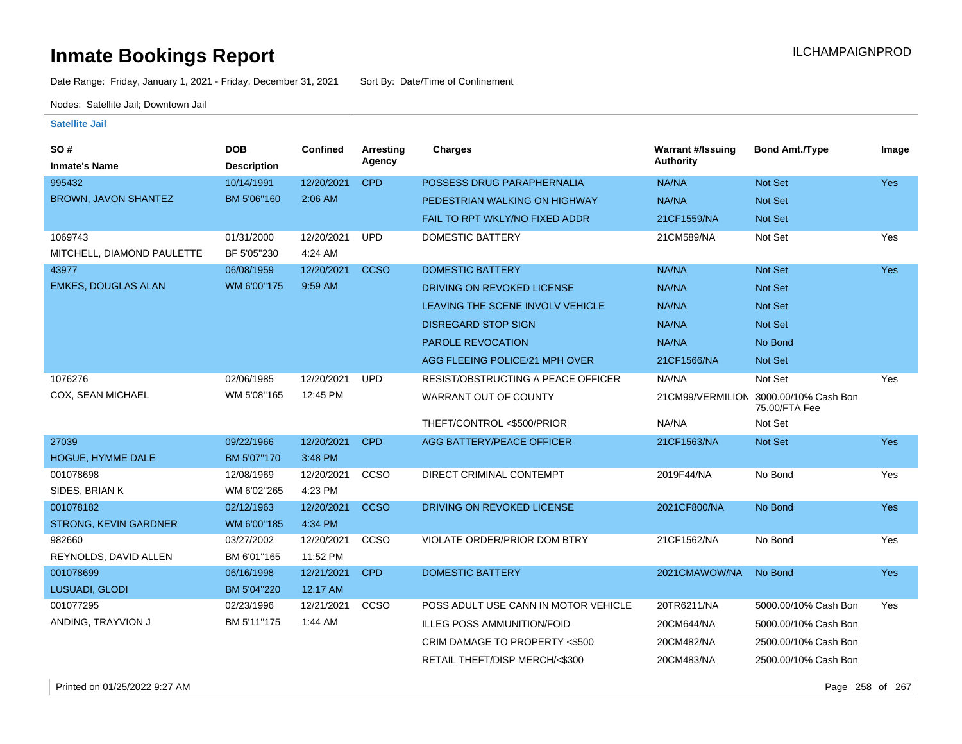Date Range: Friday, January 1, 2021 - Friday, December 31, 2021 Sort By: Date/Time of Confinement

Nodes: Satellite Jail; Downtown Jail

| SO#                          | <b>DOB</b>         | Confined   | Arresting<br>Agency | <b>Charges</b>                       | <b>Warrant #/Issuing</b><br>Authority | <b>Bond Amt./Type</b>                                  | Image      |
|------------------------------|--------------------|------------|---------------------|--------------------------------------|---------------------------------------|--------------------------------------------------------|------------|
| <b>Inmate's Name</b>         | <b>Description</b> |            |                     |                                      |                                       |                                                        |            |
| 995432                       | 10/14/1991         | 12/20/2021 | <b>CPD</b>          | POSSESS DRUG PARAPHERNALIA           | NA/NA                                 | Not Set                                                | <b>Yes</b> |
| BROWN, JAVON SHANTEZ         | BM 5'06"160        | 2:06 AM    |                     | PEDESTRIAN WALKING ON HIGHWAY        | NA/NA                                 | Not Set                                                |            |
|                              |                    |            |                     | FAIL TO RPT WKLY/NO FIXED ADDR       | 21CF1559/NA                           | <b>Not Set</b>                                         |            |
| 1069743                      | 01/31/2000         | 12/20/2021 | <b>UPD</b>          | <b>DOMESTIC BATTERY</b>              | 21CM589/NA                            | Not Set                                                | Yes        |
| MITCHELL, DIAMOND PAULETTE   | BF 5'05"230        | 4:24 AM    |                     |                                      |                                       |                                                        |            |
| 43977                        | 06/08/1959         | 12/20/2021 | <b>CCSO</b>         | <b>DOMESTIC BATTERY</b>              | NA/NA                                 | Not Set                                                | <b>Yes</b> |
| <b>EMKES, DOUGLAS ALAN</b>   | WM 6'00"175        | 9:59 AM    |                     | DRIVING ON REVOKED LICENSE           | NA/NA                                 | Not Set                                                |            |
|                              |                    |            |                     | LEAVING THE SCENE INVOLV VEHICLE     | NA/NA                                 | Not Set                                                |            |
|                              |                    |            |                     | <b>DISREGARD STOP SIGN</b>           | NA/NA                                 | Not Set                                                |            |
|                              |                    |            |                     | PAROLE REVOCATION                    | NA/NA                                 | No Bond                                                |            |
|                              |                    |            |                     | AGG FLEEING POLICE/21 MPH OVER       | 21CF1566/NA                           | Not Set                                                |            |
| 1076276                      | 02/06/1985         | 12/20/2021 | <b>UPD</b>          | RESIST/OBSTRUCTING A PEACE OFFICER   | NA/NA                                 | Not Set                                                | Yes        |
| COX, SEAN MICHAEL            | WM 5'08"165        | 12:45 PM   |                     | WARRANT OUT OF COUNTY                |                                       | 21CM99/VERMILION 3000.00/10% Cash Bon<br>75.00/FTA Fee |            |
|                              |                    |            |                     | THEFT/CONTROL <\$500/PRIOR           | NA/NA                                 | Not Set                                                |            |
| 27039                        | 09/22/1966         | 12/20/2021 | <b>CPD</b>          | AGG BATTERY/PEACE OFFICER            | 21CF1563/NA                           | Not Set                                                | <b>Yes</b> |
| <b>HOGUE, HYMME DALE</b>     | BM 5'07"170        | 3:48 PM    |                     |                                      |                                       |                                                        |            |
| 001078698                    | 12/08/1969         | 12/20/2021 | CCSO                | DIRECT CRIMINAL CONTEMPT             | 2019F44/NA                            | No Bond                                                | Yes        |
| SIDES, BRIAN K               | WM 6'02"265        | 4:23 PM    |                     |                                      |                                       |                                                        |            |
| 001078182                    | 02/12/1963         | 12/20/2021 | <b>CCSO</b>         | DRIVING ON REVOKED LICENSE           | 2021CF800/NA                          | No Bond                                                | Yes        |
| <b>STRONG, KEVIN GARDNER</b> | WM 6'00"185        | 4:34 PM    |                     |                                      |                                       |                                                        |            |
| 982660                       | 03/27/2002         | 12/20/2021 | CCSO                | VIOLATE ORDER/PRIOR DOM BTRY         | 21CF1562/NA                           | No Bond                                                | Yes        |
| REYNOLDS, DAVID ALLEN        | BM 6'01"165        | 11:52 PM   |                     |                                      |                                       |                                                        |            |
| 001078699                    | 06/16/1998         | 12/21/2021 | <b>CPD</b>          | <b>DOMESTIC BATTERY</b>              | 2021CMAWOW/NA                         | No Bond                                                | Yes        |
| <b>LUSUADI, GLODI</b>        | BM 5'04"220        | 12:17 AM   |                     |                                      |                                       |                                                        |            |
| 001077295                    | 02/23/1996         | 12/21/2021 | CCSO                | POSS ADULT USE CANN IN MOTOR VEHICLE | 20TR6211/NA                           | 5000.00/10% Cash Bon                                   | Yes        |
| ANDING, TRAYVION J           | BM 5'11"175        | 1:44 AM    |                     | <b>ILLEG POSS AMMUNITION/FOID</b>    | 20CM644/NA                            | 5000.00/10% Cash Bon                                   |            |
|                              |                    |            |                     | CRIM DAMAGE TO PROPERTY <\$500       | 20CM482/NA                            | 2500.00/10% Cash Bon                                   |            |
|                              |                    |            |                     | RETAIL THEFT/DISP MERCH/<\$300       | 20CM483/NA                            | 2500.00/10% Cash Bon                                   |            |
|                              |                    |            |                     |                                      |                                       |                                                        |            |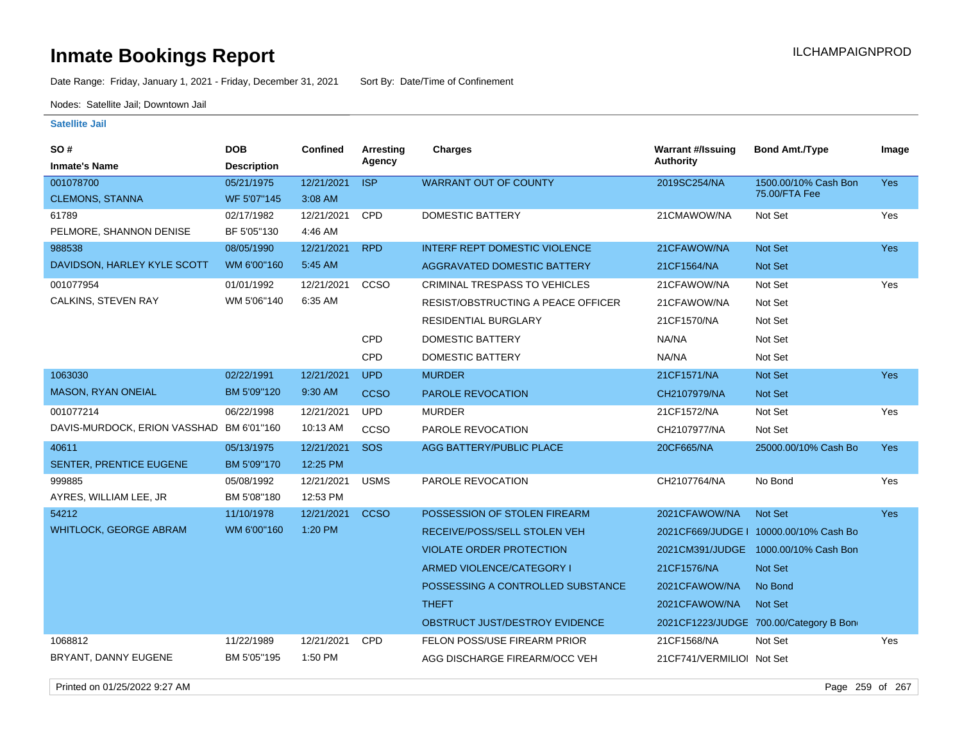Date Range: Friday, January 1, 2021 - Friday, December 31, 2021 Sort By: Date/Time of Confinement

Nodes: Satellite Jail; Downtown Jail

#### **Satellite Jail**

| <b>Authority</b><br>Agency<br><b>Inmate's Name</b><br><b>Description</b><br><b>ISP</b><br>001078700<br>12/21/2021<br><b>WARRANT OUT OF COUNTY</b><br>2019SC254/NA<br>1500.00/10% Cash Bon<br><b>Yes</b><br>05/21/1975<br>75.00/FTA Fee<br><b>CLEMONS, STANNA</b><br>3:08 AM<br>WF 5'07"145<br><b>DOMESTIC BATTERY</b><br><b>CPD</b><br>Not Set<br>61789<br>02/17/1982<br>12/21/2021<br>21CMAWOW/NA<br>Yes<br>PELMORE, SHANNON DENISE<br>BF 5'05"130<br>4:46 AM<br><b>RPD</b><br><b>INTERF REPT DOMESTIC VIOLENCE</b><br>21CFAWOW/NA<br>988538<br>08/05/1990<br>12/21/2021<br><b>Not Set</b><br>Yes<br>DAVIDSON, HARLEY KYLE SCOTT<br>5:45 AM<br>WM 6'00"160<br><b>AGGRAVATED DOMESTIC BATTERY</b><br><b>Not Set</b><br>21CF1564/NA<br>CCSO<br>CRIMINAL TRESPASS TO VEHICLES<br>Not Set<br>Yes<br>001077954<br>01/01/1992<br>12/21/2021<br>21CFAWOW/NA<br>WM 5'06"140<br>6:35 AM<br>CALKINS, STEVEN RAY<br>RESIST/OBSTRUCTING A PEACE OFFICER<br>21CFAWOW/NA<br>Not Set<br>Not Set<br><b>RESIDENTIAL BURGLARY</b><br>21CF1570/NA<br>CPD<br><b>DOMESTIC BATTERY</b><br>NA/NA<br>Not Set<br>CPD<br><b>DOMESTIC BATTERY</b><br>NA/NA<br>Not Set<br>1063030<br>02/22/1991<br>12/21/2021<br><b>UPD</b><br><b>MURDER</b><br>21CF1571/NA<br>Not Set<br>Yes<br><b>MASON, RYAN ONEIAL</b><br>9:30 AM<br>BM 5'09"120<br><b>CCSO</b><br>PAROLE REVOCATION<br><b>Not Set</b><br>CH2107979/NA<br>001077214<br>06/22/1998<br>12/21/2021<br><b>UPD</b><br><b>MURDER</b><br>21CF1572/NA<br>Not Set<br>Yes<br>DAVIS-MURDOCK, ERION VASSHAD BM 6'01"160<br>10:13 AM<br><b>CCSO</b><br>PAROLE REVOCATION<br>CH2107977/NA<br>Not Set<br>12/21/2021<br>SOS<br>40611<br>05/13/1975<br>AGG BATTERY/PUBLIC PLACE<br>20CF665/NA<br>25000.00/10% Cash Bo<br><b>Yes</b><br>SENTER, PRENTICE EUGENE<br>BM 5'09"170<br>12:25 PM<br>999885<br>05/08/1992<br>12/21/2021<br><b>USMS</b><br>PAROLE REVOCATION<br>CH2107764/NA<br>No Bond<br>Yes<br>AYRES, WILLIAM LEE, JR<br>12:53 PM<br>BM 5'08"180<br>54212<br>11/10/1978<br>12/21/2021<br><b>CCSO</b><br>POSSESSION OF STOLEN FIREARM<br>2021CFAWOW/NA<br><b>Not Set</b><br><b>Yes</b><br>1:20 PM<br><b>WHITLOCK, GEORGE ABRAM</b><br>WM 6'00"160<br>RECEIVE/POSS/SELL STOLEN VEH<br>2021CF669/JUDGE   10000.00/10% Cash Bo |
|----------------------------------------------------------------------------------------------------------------------------------------------------------------------------------------------------------------------------------------------------------------------------------------------------------------------------------------------------------------------------------------------------------------------------------------------------------------------------------------------------------------------------------------------------------------------------------------------------------------------------------------------------------------------------------------------------------------------------------------------------------------------------------------------------------------------------------------------------------------------------------------------------------------------------------------------------------------------------------------------------------------------------------------------------------------------------------------------------------------------------------------------------------------------------------------------------------------------------------------------------------------------------------------------------------------------------------------------------------------------------------------------------------------------------------------------------------------------------------------------------------------------------------------------------------------------------------------------------------------------------------------------------------------------------------------------------------------------------------------------------------------------------------------------------------------------------------------------------------------------------------------------------------------------------------------------------------------------------------------------------------------------------------------------------------------------------------------------------------------------------------------------------------------------------------------------------------------------------------------------|
|                                                                                                                                                                                                                                                                                                                                                                                                                                                                                                                                                                                                                                                                                                                                                                                                                                                                                                                                                                                                                                                                                                                                                                                                                                                                                                                                                                                                                                                                                                                                                                                                                                                                                                                                                                                                                                                                                                                                                                                                                                                                                                                                                                                                                                              |
|                                                                                                                                                                                                                                                                                                                                                                                                                                                                                                                                                                                                                                                                                                                                                                                                                                                                                                                                                                                                                                                                                                                                                                                                                                                                                                                                                                                                                                                                                                                                                                                                                                                                                                                                                                                                                                                                                                                                                                                                                                                                                                                                                                                                                                              |
|                                                                                                                                                                                                                                                                                                                                                                                                                                                                                                                                                                                                                                                                                                                                                                                                                                                                                                                                                                                                                                                                                                                                                                                                                                                                                                                                                                                                                                                                                                                                                                                                                                                                                                                                                                                                                                                                                                                                                                                                                                                                                                                                                                                                                                              |
|                                                                                                                                                                                                                                                                                                                                                                                                                                                                                                                                                                                                                                                                                                                                                                                                                                                                                                                                                                                                                                                                                                                                                                                                                                                                                                                                                                                                                                                                                                                                                                                                                                                                                                                                                                                                                                                                                                                                                                                                                                                                                                                                                                                                                                              |
|                                                                                                                                                                                                                                                                                                                                                                                                                                                                                                                                                                                                                                                                                                                                                                                                                                                                                                                                                                                                                                                                                                                                                                                                                                                                                                                                                                                                                                                                                                                                                                                                                                                                                                                                                                                                                                                                                                                                                                                                                                                                                                                                                                                                                                              |
|                                                                                                                                                                                                                                                                                                                                                                                                                                                                                                                                                                                                                                                                                                                                                                                                                                                                                                                                                                                                                                                                                                                                                                                                                                                                                                                                                                                                                                                                                                                                                                                                                                                                                                                                                                                                                                                                                                                                                                                                                                                                                                                                                                                                                                              |
|                                                                                                                                                                                                                                                                                                                                                                                                                                                                                                                                                                                                                                                                                                                                                                                                                                                                                                                                                                                                                                                                                                                                                                                                                                                                                                                                                                                                                                                                                                                                                                                                                                                                                                                                                                                                                                                                                                                                                                                                                                                                                                                                                                                                                                              |
|                                                                                                                                                                                                                                                                                                                                                                                                                                                                                                                                                                                                                                                                                                                                                                                                                                                                                                                                                                                                                                                                                                                                                                                                                                                                                                                                                                                                                                                                                                                                                                                                                                                                                                                                                                                                                                                                                                                                                                                                                                                                                                                                                                                                                                              |
|                                                                                                                                                                                                                                                                                                                                                                                                                                                                                                                                                                                                                                                                                                                                                                                                                                                                                                                                                                                                                                                                                                                                                                                                                                                                                                                                                                                                                                                                                                                                                                                                                                                                                                                                                                                                                                                                                                                                                                                                                                                                                                                                                                                                                                              |
|                                                                                                                                                                                                                                                                                                                                                                                                                                                                                                                                                                                                                                                                                                                                                                                                                                                                                                                                                                                                                                                                                                                                                                                                                                                                                                                                                                                                                                                                                                                                                                                                                                                                                                                                                                                                                                                                                                                                                                                                                                                                                                                                                                                                                                              |
|                                                                                                                                                                                                                                                                                                                                                                                                                                                                                                                                                                                                                                                                                                                                                                                                                                                                                                                                                                                                                                                                                                                                                                                                                                                                                                                                                                                                                                                                                                                                                                                                                                                                                                                                                                                                                                                                                                                                                                                                                                                                                                                                                                                                                                              |
|                                                                                                                                                                                                                                                                                                                                                                                                                                                                                                                                                                                                                                                                                                                                                                                                                                                                                                                                                                                                                                                                                                                                                                                                                                                                                                                                                                                                                                                                                                                                                                                                                                                                                                                                                                                                                                                                                                                                                                                                                                                                                                                                                                                                                                              |
|                                                                                                                                                                                                                                                                                                                                                                                                                                                                                                                                                                                                                                                                                                                                                                                                                                                                                                                                                                                                                                                                                                                                                                                                                                                                                                                                                                                                                                                                                                                                                                                                                                                                                                                                                                                                                                                                                                                                                                                                                                                                                                                                                                                                                                              |
|                                                                                                                                                                                                                                                                                                                                                                                                                                                                                                                                                                                                                                                                                                                                                                                                                                                                                                                                                                                                                                                                                                                                                                                                                                                                                                                                                                                                                                                                                                                                                                                                                                                                                                                                                                                                                                                                                                                                                                                                                                                                                                                                                                                                                                              |
|                                                                                                                                                                                                                                                                                                                                                                                                                                                                                                                                                                                                                                                                                                                                                                                                                                                                                                                                                                                                                                                                                                                                                                                                                                                                                                                                                                                                                                                                                                                                                                                                                                                                                                                                                                                                                                                                                                                                                                                                                                                                                                                                                                                                                                              |
|                                                                                                                                                                                                                                                                                                                                                                                                                                                                                                                                                                                                                                                                                                                                                                                                                                                                                                                                                                                                                                                                                                                                                                                                                                                                                                                                                                                                                                                                                                                                                                                                                                                                                                                                                                                                                                                                                                                                                                                                                                                                                                                                                                                                                                              |
|                                                                                                                                                                                                                                                                                                                                                                                                                                                                                                                                                                                                                                                                                                                                                                                                                                                                                                                                                                                                                                                                                                                                                                                                                                                                                                                                                                                                                                                                                                                                                                                                                                                                                                                                                                                                                                                                                                                                                                                                                                                                                                                                                                                                                                              |
|                                                                                                                                                                                                                                                                                                                                                                                                                                                                                                                                                                                                                                                                                                                                                                                                                                                                                                                                                                                                                                                                                                                                                                                                                                                                                                                                                                                                                                                                                                                                                                                                                                                                                                                                                                                                                                                                                                                                                                                                                                                                                                                                                                                                                                              |
|                                                                                                                                                                                                                                                                                                                                                                                                                                                                                                                                                                                                                                                                                                                                                                                                                                                                                                                                                                                                                                                                                                                                                                                                                                                                                                                                                                                                                                                                                                                                                                                                                                                                                                                                                                                                                                                                                                                                                                                                                                                                                                                                                                                                                                              |
|                                                                                                                                                                                                                                                                                                                                                                                                                                                                                                                                                                                                                                                                                                                                                                                                                                                                                                                                                                                                                                                                                                                                                                                                                                                                                                                                                                                                                                                                                                                                                                                                                                                                                                                                                                                                                                                                                                                                                                                                                                                                                                                                                                                                                                              |
|                                                                                                                                                                                                                                                                                                                                                                                                                                                                                                                                                                                                                                                                                                                                                                                                                                                                                                                                                                                                                                                                                                                                                                                                                                                                                                                                                                                                                                                                                                                                                                                                                                                                                                                                                                                                                                                                                                                                                                                                                                                                                                                                                                                                                                              |
|                                                                                                                                                                                                                                                                                                                                                                                                                                                                                                                                                                                                                                                                                                                                                                                                                                                                                                                                                                                                                                                                                                                                                                                                                                                                                                                                                                                                                                                                                                                                                                                                                                                                                                                                                                                                                                                                                                                                                                                                                                                                                                                                                                                                                                              |
| <b>VIOLATE ORDER PROTECTION</b><br>2021CM391/JUDGE 1000.00/10% Cash Bon                                                                                                                                                                                                                                                                                                                                                                                                                                                                                                                                                                                                                                                                                                                                                                                                                                                                                                                                                                                                                                                                                                                                                                                                                                                                                                                                                                                                                                                                                                                                                                                                                                                                                                                                                                                                                                                                                                                                                                                                                                                                                                                                                                      |
| ARMED VIOLENCE/CATEGORY I<br>21CF1576/NA<br>Not Set                                                                                                                                                                                                                                                                                                                                                                                                                                                                                                                                                                                                                                                                                                                                                                                                                                                                                                                                                                                                                                                                                                                                                                                                                                                                                                                                                                                                                                                                                                                                                                                                                                                                                                                                                                                                                                                                                                                                                                                                                                                                                                                                                                                          |
| No Bond<br>POSSESSING A CONTROLLED SUBSTANCE<br>2021CFAWOW/NA                                                                                                                                                                                                                                                                                                                                                                                                                                                                                                                                                                                                                                                                                                                                                                                                                                                                                                                                                                                                                                                                                                                                                                                                                                                                                                                                                                                                                                                                                                                                                                                                                                                                                                                                                                                                                                                                                                                                                                                                                                                                                                                                                                                |
| <b>THEFT</b><br><b>Not Set</b><br>2021CFAWOW/NA                                                                                                                                                                                                                                                                                                                                                                                                                                                                                                                                                                                                                                                                                                                                                                                                                                                                                                                                                                                                                                                                                                                                                                                                                                                                                                                                                                                                                                                                                                                                                                                                                                                                                                                                                                                                                                                                                                                                                                                                                                                                                                                                                                                              |
| OBSTRUCT JUST/DESTROY EVIDENCE<br>2021CF1223/JUDGE 700.00/Category B Bon                                                                                                                                                                                                                                                                                                                                                                                                                                                                                                                                                                                                                                                                                                                                                                                                                                                                                                                                                                                                                                                                                                                                                                                                                                                                                                                                                                                                                                                                                                                                                                                                                                                                                                                                                                                                                                                                                                                                                                                                                                                                                                                                                                     |
| 1068812<br>11/22/1989<br>12/21/2021<br><b>CPD</b><br><b>FELON POSS/USE FIREARM PRIOR</b><br>21CF1568/NA<br>Not Set<br>Yes                                                                                                                                                                                                                                                                                                                                                                                                                                                                                                                                                                                                                                                                                                                                                                                                                                                                                                                                                                                                                                                                                                                                                                                                                                                                                                                                                                                                                                                                                                                                                                                                                                                                                                                                                                                                                                                                                                                                                                                                                                                                                                                    |
| BRYANT, DANNY EUGENE<br>BM 5'05"195<br>1:50 PM<br>AGG DISCHARGE FIREARM/OCC VEH<br>21CF741/VERMILIOI Not Set                                                                                                                                                                                                                                                                                                                                                                                                                                                                                                                                                                                                                                                                                                                                                                                                                                                                                                                                                                                                                                                                                                                                                                                                                                                                                                                                                                                                                                                                                                                                                                                                                                                                                                                                                                                                                                                                                                                                                                                                                                                                                                                                 |

Printed on 01/25/2022 9:27 AM Page 259 of 267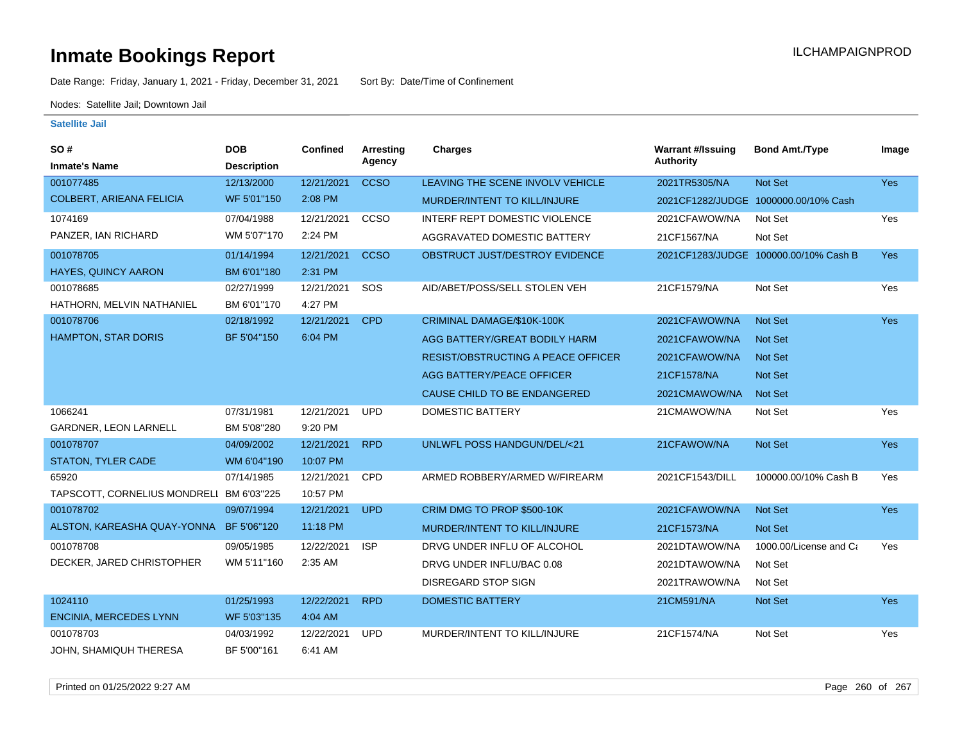Date Range: Friday, January 1, 2021 - Friday, December 31, 2021 Sort By: Date/Time of Confinement

Nodes: Satellite Jail; Downtown Jail

| SO#                                      | <b>DOB</b>         | <b>Confined</b> | Arresting   | <b>Charges</b>                            | <b>Warrant #/Issuing</b> | <b>Bond Amt./Type</b>                 | Image      |
|------------------------------------------|--------------------|-----------------|-------------|-------------------------------------------|--------------------------|---------------------------------------|------------|
| <b>Inmate's Name</b>                     | <b>Description</b> |                 | Agency      |                                           | <b>Authority</b>         |                                       |            |
| 001077485                                | 12/13/2000         | 12/21/2021      | <b>CCSO</b> | LEAVING THE SCENE INVOLV VEHICLE          | 2021TR5305/NA            | Not Set                               | <b>Yes</b> |
| <b>COLBERT, ARIEANA FELICIA</b>          | WF 5'01"150        | 2:08 PM         |             | MURDER/INTENT TO KILL/INJURE              |                          | 2021CF1282/JUDGE 1000000.00/10% Cash  |            |
| 1074169                                  | 07/04/1988         | 12/21/2021      | CCSO        | <b>INTERF REPT DOMESTIC VIOLENCE</b>      | 2021CFAWOW/NA            | Not Set                               | Yes        |
| PANZER, IAN RICHARD                      | WM 5'07"170        | 2:24 PM         |             | AGGRAVATED DOMESTIC BATTERY               | 21CF1567/NA              | Not Set                               |            |
| 001078705                                | 01/14/1994         | 12/21/2021      | <b>CCSO</b> | OBSTRUCT JUST/DESTROY EVIDENCE            |                          | 2021CF1283/JUDGE 100000.00/10% Cash B | <b>Yes</b> |
| <b>HAYES, QUINCY AARON</b>               | BM 6'01"180        | 2:31 PM         |             |                                           |                          |                                       |            |
| 001078685                                | 02/27/1999         | 12/21/2021      | SOS         | AID/ABET/POSS/SELL STOLEN VEH             | 21CF1579/NA              | Not Set                               | Yes        |
| HATHORN, MELVIN NATHANIEL                | BM 6'01"170        | 4:27 PM         |             |                                           |                          |                                       |            |
| 001078706                                | 02/18/1992         | 12/21/2021      | <b>CPD</b>  | CRIMINAL DAMAGE/\$10K-100K                | 2021CFAWOW/NA            | <b>Not Set</b>                        | <b>Yes</b> |
| <b>HAMPTON, STAR DORIS</b>               | BF 5'04"150        | 6:04 PM         |             | AGG BATTERY/GREAT BODILY HARM             | 2021CFAWOW/NA            | <b>Not Set</b>                        |            |
|                                          |                    |                 |             | <b>RESIST/OBSTRUCTING A PEACE OFFICER</b> | 2021CFAWOW/NA            | <b>Not Set</b>                        |            |
|                                          |                    |                 |             | AGG BATTERY/PEACE OFFICER                 | 21CF1578/NA              | Not Set                               |            |
|                                          |                    |                 |             | CAUSE CHILD TO BE ENDANGERED              | 2021CMAWOW/NA            | <b>Not Set</b>                        |            |
| 1066241                                  | 07/31/1981         | 12/21/2021      | <b>UPD</b>  | <b>DOMESTIC BATTERY</b>                   | 21CMAWOW/NA              | Not Set                               | Yes        |
| <b>GARDNER, LEON LARNELL</b>             | BM 5'08"280        | 9:20 PM         |             |                                           |                          |                                       |            |
| 001078707                                | 04/09/2002         | 12/21/2021      | <b>RPD</b>  | <b>UNLWFL POSS HANDGUN/DEL/&lt;21</b>     | 21CFAWOW/NA              | Not Set                               | Yes        |
| STATON, TYLER CADE                       | WM 6'04"190        | 10:07 PM        |             |                                           |                          |                                       |            |
| 65920                                    | 07/14/1985         | 12/21/2021      | CPD         | ARMED ROBBERY/ARMED W/FIREARM             | 2021CF1543/DILL          | 100000.00/10% Cash B                  | Yes        |
| TAPSCOTT, CORNELIUS MONDRELI BM 6'03"225 |                    | 10:57 PM        |             |                                           |                          |                                       |            |
| 001078702                                | 09/07/1994         | 12/21/2021      | <b>UPD</b>  | CRIM DMG TO PROP \$500-10K                | 2021CFAWOW/NA            | Not Set                               | Yes        |
| ALSTON, KAREASHA QUAY-YONNA              | BF 5'06"120        | 11:18 PM        |             | MURDER/INTENT TO KILL/INJURE              | 21CF1573/NA              | Not Set                               |            |
| 001078708                                | 09/05/1985         | 12/22/2021      | <b>ISP</b>  | DRVG UNDER INFLU OF ALCOHOL               | 2021DTAWOW/NA            | 1000.00/License and Ca                | Yes        |
| DECKER, JARED CHRISTOPHER                | WM 5'11"160        | 2:35 AM         |             | DRVG UNDER INFLU/BAC 0.08                 | 2021DTAWOW/NA            | Not Set                               |            |
|                                          |                    |                 |             | <b>DISREGARD STOP SIGN</b>                | 2021TRAWOW/NA            | Not Set                               |            |
| 1024110                                  | 01/25/1993         | 12/22/2021      | <b>RPD</b>  | <b>DOMESTIC BATTERY</b>                   | 21CM591/NA               | Not Set                               | Yes        |
| <b>ENCINIA, MERCEDES LYNN</b>            | WF 5'03"135        | 4:04 AM         |             |                                           |                          |                                       |            |
| 001078703                                | 04/03/1992         | 12/22/2021      | <b>UPD</b>  | MURDER/INTENT TO KILL/INJURE              | 21CF1574/NA              | Not Set                               | Yes        |
| JOHN, SHAMIQUH THERESA                   | BF 5'00"161        | 6:41 AM         |             |                                           |                          |                                       |            |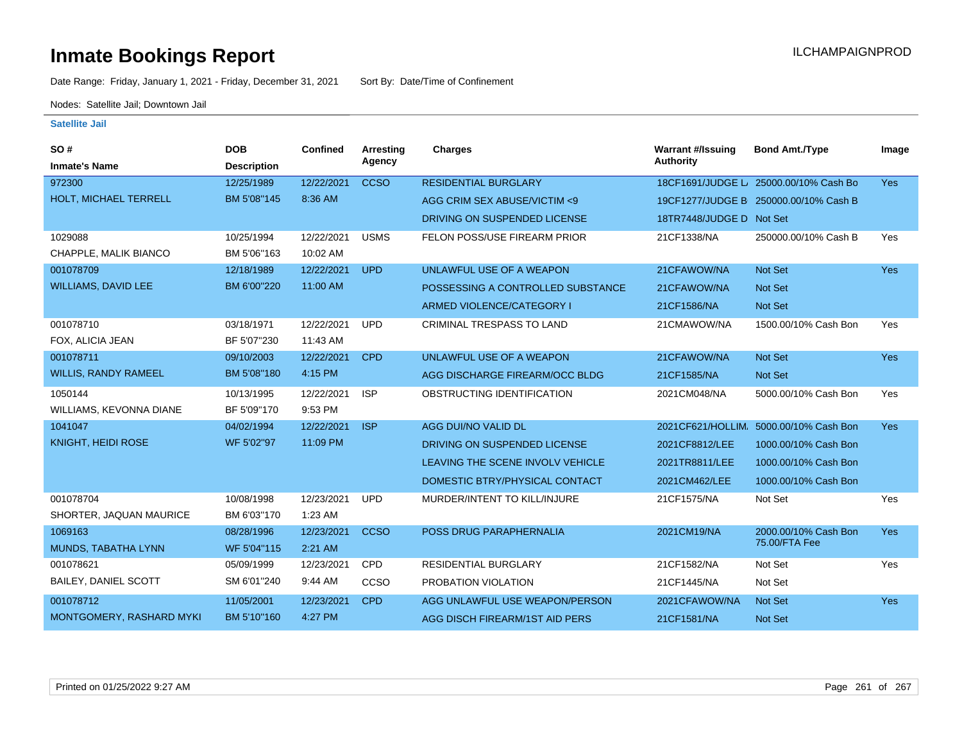Date Range: Friday, January 1, 2021 - Friday, December 31, 2021 Sort By: Date/Time of Confinement

Nodes: Satellite Jail; Downtown Jail

| SO#                             | <b>DOB</b>         | <b>Confined</b> | <b>Arresting</b> | <b>Charges</b>                    | <b>Warrant #/Issuing</b> | <b>Bond Amt./Type</b>                  | Image      |
|---------------------------------|--------------------|-----------------|------------------|-----------------------------------|--------------------------|----------------------------------------|------------|
| <b>Inmate's Name</b>            | <b>Description</b> |                 | Agency           |                                   | <b>Authority</b>         |                                        |            |
| 972300                          | 12/25/1989         | 12/22/2021      | <b>CCSO</b>      | <b>RESIDENTIAL BURGLARY</b>       |                          | 18CF1691/JUDGE L/ 25000.00/10% Cash Bo | <b>Yes</b> |
| HOLT, MICHAEL TERRELL           | BM 5'08"145        | 8:36 AM         |                  | AGG CRIM SEX ABUSE/VICTIM <9      |                          | 19CF1277/JUDGE B: 250000.00/10% Cash B |            |
|                                 |                    |                 |                  | DRIVING ON SUSPENDED LICENSE      | 18TR7448/JUDGE D Not Set |                                        |            |
| 1029088                         | 10/25/1994         | 12/22/2021      | <b>USMS</b>      | FELON POSS/USE FIREARM PRIOR      | 21CF1338/NA              | 250000.00/10% Cash B                   | Yes        |
| CHAPPLE, MALIK BIANCO           | BM 5'06"163        | 10:02 AM        |                  |                                   |                          |                                        |            |
| 001078709                       | 12/18/1989         | 12/22/2021      | <b>UPD</b>       | UNLAWFUL USE OF A WEAPON          | 21CFAWOW/NA              | Not Set                                | <b>Yes</b> |
| <b>WILLIAMS, DAVID LEE</b>      | BM 6'00"220        | 11:00 AM        |                  | POSSESSING A CONTROLLED SUBSTANCE | 21CFAWOW/NA              | Not Set                                |            |
|                                 |                    |                 |                  | ARMED VIOLENCE/CATEGORY I         | 21CF1586/NA              | <b>Not Set</b>                         |            |
| 001078710                       | 03/18/1971         | 12/22/2021      | <b>UPD</b>       | <b>CRIMINAL TRESPASS TO LAND</b>  | 21CMAWOW/NA              | 1500.00/10% Cash Bon                   | Yes        |
| FOX, ALICIA JEAN                | BF 5'07"230        | 11:43 AM        |                  |                                   |                          |                                        |            |
| 001078711                       | 09/10/2003         | 12/22/2021      | <b>CPD</b>       | UNLAWFUL USE OF A WEAPON          | 21CFAWOW/NA              | <b>Not Set</b>                         | <b>Yes</b> |
| WILLIS, RANDY RAMEEL            | BM 5'08"180        | 4:15 PM         |                  | AGG DISCHARGE FIREARM/OCC BLDG    | 21CF1585/NA              | Not Set                                |            |
| 1050144                         | 10/13/1995         | 12/22/2021      | <b>ISP</b>       | OBSTRUCTING IDENTIFICATION        | 2021CM048/NA             | 5000.00/10% Cash Bon                   | Yes        |
| WILLIAMS, KEVONNA DIANE         | BF 5'09"170        | 9:53 PM         |                  |                                   |                          |                                        |            |
| 1041047                         | 04/02/1994         | 12/22/2021      | <b>ISP</b>       | AGG DUI/NO VALID DL               | 2021CF621/HOLLIM         | 5000.00/10% Cash Bon                   | <b>Yes</b> |
| <b>KNIGHT, HEIDI ROSE</b>       | WF 5'02"97         | 11:09 PM        |                  | DRIVING ON SUSPENDED LICENSE      | 2021CF8812/LEE           | 1000.00/10% Cash Bon                   |            |
|                                 |                    |                 |                  | LEAVING THE SCENE INVOLV VEHICLE  | 2021TR8811/LEE           | 1000.00/10% Cash Bon                   |            |
|                                 |                    |                 |                  | DOMESTIC BTRY/PHYSICAL CONTACT    | 2021CM462/LEE            | 1000.00/10% Cash Bon                   |            |
| 001078704                       | 10/08/1998         | 12/23/2021      | <b>UPD</b>       | MURDER/INTENT TO KILL/INJURE      | 21CF1575/NA              | Not Set                                | Yes        |
| SHORTER, JAQUAN MAURICE         | BM 6'03"170        | 1:23 AM         |                  |                                   |                          |                                        |            |
| 1069163                         | 08/28/1996         | 12/23/2021      | <b>CCSO</b>      | POSS DRUG PARAPHERNALIA           | 2021CM19/NA              | 2000.00/10% Cash Bon                   | <b>Yes</b> |
| MUNDS, TABATHA LYNN             | WF 5'04"115        | $2:21$ AM       |                  |                                   |                          | 75.00/FTA Fee                          |            |
| 001078621                       | 05/09/1999         | 12/23/2021      | <b>CPD</b>       | <b>RESIDENTIAL BURGLARY</b>       | 21CF1582/NA              | Not Set                                | Yes        |
| <b>BAILEY, DANIEL SCOTT</b>     | SM 6'01"240        | 9:44 AM         | CCSO             | PROBATION VIOLATION               | 21CF1445/NA              | Not Set                                |            |
| 001078712                       | 11/05/2001         | 12/23/2021      | <b>CPD</b>       | AGG UNLAWFUL USE WEAPON/PERSON    | 2021CFAWOW/NA            | Not Set                                | <b>Yes</b> |
| <b>MONTGOMERY, RASHARD MYKI</b> | BM 5'10"160        | 4:27 PM         |                  | AGG DISCH FIREARM/1ST AID PERS    | 21CF1581/NA              | Not Set                                |            |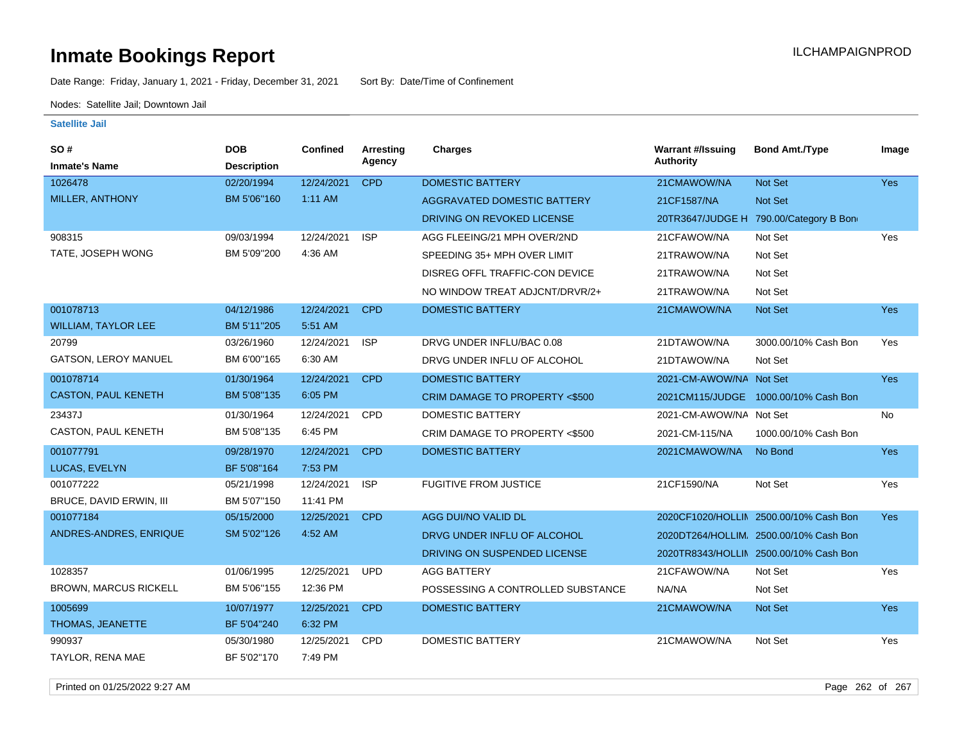Date Range: Friday, January 1, 2021 - Friday, December 31, 2021 Sort By: Date/Time of Confinement

Nodes: Satellite Jail; Downtown Jail

**Satellite Jail**

| SO#                          | <b>DOB</b>         | Confined   | <b>Arresting</b> | <b>Charges</b>                           | <b>Warrant #/Issuing</b> | <b>Bond Amt./Type</b>                  | Image      |
|------------------------------|--------------------|------------|------------------|------------------------------------------|--------------------------|----------------------------------------|------------|
| <b>Inmate's Name</b>         | <b>Description</b> |            | Agency           |                                          | <b>Authority</b>         |                                        |            |
| 1026478                      | 02/20/1994         | 12/24/2021 | <b>CPD</b>       | <b>DOMESTIC BATTERY</b>                  | 21CMAWOW/NA              | Not Set                                | <b>Yes</b> |
| MILLER, ANTHONY              | BM 5'06"160        | $1:11$ AM  |                  | <b>AGGRAVATED DOMESTIC BATTERY</b>       | 21CF1587/NA              | Not Set                                |            |
|                              |                    |            |                  | DRIVING ON REVOKED LICENSE               | 20TR3647/JUDGE H         | 790.00/Category B Bon                  |            |
| 908315                       | 09/03/1994         | 12/24/2021 | <b>ISP</b>       | AGG FLEEING/21 MPH OVER/2ND              | 21CFAWOW/NA              | Not Set                                | Yes        |
| TATE, JOSEPH WONG            | BM 5'09"200        | 4:36 AM    |                  | SPEEDING 35+ MPH OVER LIMIT              | 21TRAWOW/NA              | Not Set                                |            |
|                              |                    |            |                  | DISREG OFFL TRAFFIC-CON DEVICE           | 21TRAWOW/NA              | Not Set                                |            |
|                              |                    |            |                  | NO WINDOW TREAT ADJCNT/DRVR/2+           | 21TRAWOW/NA              | Not Set                                |            |
| 001078713                    | 04/12/1986         | 12/24/2021 | <b>CPD</b>       | <b>DOMESTIC BATTERY</b>                  | 21CMAWOW/NA              | Not Set                                | Yes        |
| <b>WILLIAM, TAYLOR LEE</b>   | BM 5'11"205        | 5:51 AM    |                  |                                          |                          |                                        |            |
| 20799                        | 03/26/1960         | 12/24/2021 | <b>ISP</b>       | DRVG UNDER INFLU/BAC 0.08                | 21DTAWOW/NA              | 3000.00/10% Cash Bon                   | Yes        |
| GATSON, LEROY MANUEL         | BM 6'00"165        | 6:30 AM    |                  | DRVG UNDER INFLU OF ALCOHOL              | 21DTAWOW/NA              | Not Set                                |            |
| 001078714                    | 01/30/1964         | 12/24/2021 | <b>CPD</b>       | <b>DOMESTIC BATTERY</b>                  | 2021-CM-AWOW/NA Not Set  |                                        | <b>Yes</b> |
| <b>CASTON, PAUL KENETH</b>   | BM 5'08"135        | 6:05 PM    |                  | <b>CRIM DAMAGE TO PROPERTY &lt;\$500</b> |                          | 2021CM115/JUDGE 1000.00/10% Cash Bon   |            |
| 23437J                       | 01/30/1964         | 12/24/2021 | <b>CPD</b>       | <b>DOMESTIC BATTERY</b>                  | 2021-CM-AWOW/NA Not Set  |                                        | No         |
| CASTON, PAUL KENETH          | BM 5'08"135        | 6:45 PM    |                  | CRIM DAMAGE TO PROPERTY <\$500           | 2021-CM-115/NA           | 1000.00/10% Cash Bon                   |            |
| 001077791                    | 09/28/1970         | 12/24/2021 | <b>CPD</b>       | <b>DOMESTIC BATTERY</b>                  | 2021CMAWOW/NA            | No Bond                                | <b>Yes</b> |
| LUCAS, EVELYN                | BF 5'08"164        | 7:53 PM    |                  |                                          |                          |                                        |            |
| 001077222                    | 05/21/1998         | 12/24/2021 | <b>ISP</b>       | <b>FUGITIVE FROM JUSTICE</b>             | 21CF1590/NA              | Not Set                                | Yes        |
| BRUCE, DAVID ERWIN, III      | BM 5'07"150        | 11:41 PM   |                  |                                          |                          |                                        |            |
| 001077184                    | 05/15/2000         | 12/25/2021 | <b>CPD</b>       | AGG DUI/NO VALID DL                      |                          | 2020CF1020/HOLLIN 2500.00/10% Cash Bon | <b>Yes</b> |
| ANDRES-ANDRES, ENRIQUE       | SM 5'02"126        | 4:52 AM    |                  | DRVG UNDER INFLU OF ALCOHOL              |                          | 2020DT264/HOLLIM. 2500.00/10% Cash Bon |            |
|                              |                    |            |                  | DRIVING ON SUSPENDED LICENSE             |                          | 2020TR8343/HOLLIN 2500.00/10% Cash Bon |            |
| 1028357                      | 01/06/1995         | 12/25/2021 | <b>UPD</b>       | <b>AGG BATTERY</b>                       | 21CFAWOW/NA              | Not Set                                | Yes        |
| <b>BROWN, MARCUS RICKELL</b> | BM 5'06"155        | 12:36 PM   |                  | POSSESSING A CONTROLLED SUBSTANCE        | NA/NA                    | Not Set                                |            |
| 1005699                      | 10/07/1977         | 12/25/2021 | <b>CPD</b>       | <b>DOMESTIC BATTERY</b>                  | 21CMAWOW/NA              | Not Set                                | Yes        |
| THOMAS, JEANETTE             | BF 5'04"240        | 6:32 PM    |                  |                                          |                          |                                        |            |
| 990937                       | 05/30/1980         | 12/25/2021 | <b>CPD</b>       | <b>DOMESTIC BATTERY</b>                  | 21CMAWOW/NA              | Not Set                                | Yes        |
| TAYLOR, RENA MAE             | BF 5'02"170        | 7:49 PM    |                  |                                          |                          |                                        |            |

Printed on 01/25/2022 9:27 AM Page 262 of 267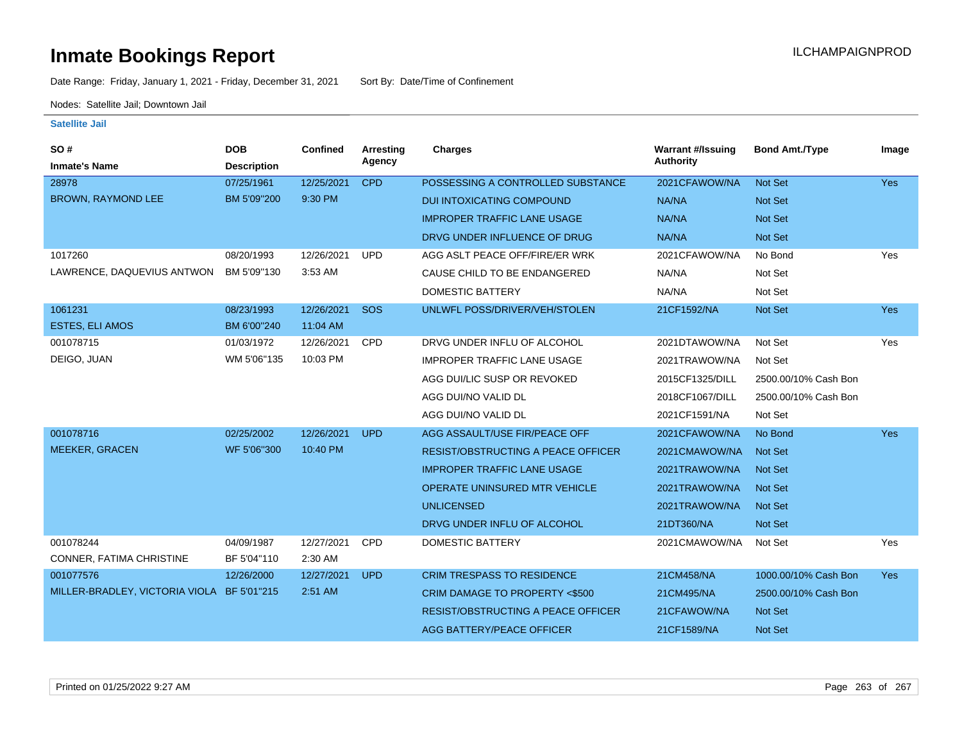Date Range: Friday, January 1, 2021 - Friday, December 31, 2021 Sort By: Date/Time of Confinement

Nodes: Satellite Jail; Downtown Jail

| SO#<br><b>Inmate's Name</b>                | <b>DOB</b><br><b>Description</b> | Confined   | <b>Arresting</b><br>Agency | <b>Charges</b>                            | <b>Warrant #/Issuing</b><br><b>Authority</b> | <b>Bond Amt./Type</b> | Image      |
|--------------------------------------------|----------------------------------|------------|----------------------------|-------------------------------------------|----------------------------------------------|-----------------------|------------|
| 28978                                      | 07/25/1961                       | 12/25/2021 | <b>CPD</b>                 | POSSESSING A CONTROLLED SUBSTANCE         | 2021CFAWOW/NA                                | Not Set               | <b>Yes</b> |
| <b>BROWN, RAYMOND LEE</b>                  | BM 5'09"200                      | 9:30 PM    |                            | <b>DUI INTOXICATING COMPOUND</b>          | NA/NA                                        | Not Set               |            |
|                                            |                                  |            |                            | <b>IMPROPER TRAFFIC LANE USAGE</b>        | NA/NA                                        | <b>Not Set</b>        |            |
|                                            |                                  |            |                            | DRVG UNDER INFLUENCE OF DRUG              | NA/NA                                        | <b>Not Set</b>        |            |
| 1017260                                    | 08/20/1993                       | 12/26/2021 | <b>UPD</b>                 | AGG ASLT PEACE OFF/FIRE/ER WRK            | 2021CFAWOW/NA                                | No Bond               | Yes        |
| LAWRENCE, DAQUEVIUS ANTWON                 | BM 5'09"130                      | 3:53 AM    |                            | CAUSE CHILD TO BE ENDANGERED              | NA/NA                                        | Not Set               |            |
|                                            |                                  |            |                            | DOMESTIC BATTERY                          | NA/NA                                        | Not Set               |            |
| 1061231                                    | 08/23/1993                       | 12/26/2021 | SOS                        | UNLWFL POSS/DRIVER/VEH/STOLEN             | 21CF1592/NA                                  | Not Set               | Yes        |
| <b>ESTES, ELI AMOS</b>                     | BM 6'00"240                      | 11:04 AM   |                            |                                           |                                              |                       |            |
| 001078715                                  | 01/03/1972                       | 12/26/2021 | CPD                        | DRVG UNDER INFLU OF ALCOHOL               | 2021DTAWOW/NA                                | Not Set               | Yes        |
| DEIGO, JUAN                                | WM 5'06"135                      | 10:03 PM   |                            | <b>IMPROPER TRAFFIC LANE USAGE</b>        | 2021TRAWOW/NA                                | Not Set               |            |
|                                            |                                  |            |                            | AGG DUI/LIC SUSP OR REVOKED               | 2015CF1325/DILL                              | 2500.00/10% Cash Bon  |            |
|                                            |                                  |            |                            | AGG DUI/NO VALID DL                       | 2018CF1067/DILL                              | 2500.00/10% Cash Bon  |            |
|                                            |                                  |            |                            | AGG DUI/NO VALID DL                       | 2021CF1591/NA                                | Not Set               |            |
| 001078716                                  | 02/25/2002                       | 12/26/2021 | <b>UPD</b>                 | AGG ASSAULT/USE FIR/PEACE OFF             | 2021CFAWOW/NA                                | No Bond               | <b>Yes</b> |
| <b>MEEKER, GRACEN</b>                      | WF 5'06"300                      | 10:40 PM   |                            | <b>RESIST/OBSTRUCTING A PEACE OFFICER</b> | 2021CMAWOW/NA                                | Not Set               |            |
|                                            |                                  |            |                            | <b>IMPROPER TRAFFIC LANE USAGE</b>        | 2021TRAWOW/NA                                | <b>Not Set</b>        |            |
|                                            |                                  |            |                            | OPERATE UNINSURED MTR VEHICLE             | 2021TRAWOW/NA                                | <b>Not Set</b>        |            |
|                                            |                                  |            |                            | <b>UNLICENSED</b>                         | 2021TRAWOW/NA                                | <b>Not Set</b>        |            |
|                                            |                                  |            |                            | DRVG UNDER INFLU OF ALCOHOL               | 21DT360/NA                                   | <b>Not Set</b>        |            |
| 001078244                                  | 04/09/1987                       | 12/27/2021 | <b>CPD</b>                 | DOMESTIC BATTERY                          | 2021CMAWOW/NA                                | Not Set               | Yes        |
| CONNER, FATIMA CHRISTINE                   | BF 5'04"110                      | 2:30 AM    |                            |                                           |                                              |                       |            |
| 001077576                                  | 12/26/2000                       | 12/27/2021 | <b>UPD</b>                 | <b>CRIM TRESPASS TO RESIDENCE</b>         | 21CM458/NA                                   | 1000.00/10% Cash Bon  | <b>Yes</b> |
| MILLER-BRADLEY, VICTORIA VIOLA BF 5'01"215 |                                  | $2:51$ AM  |                            | CRIM DAMAGE TO PROPERTY <\$500            | 21CM495/NA                                   | 2500.00/10% Cash Bon  |            |
|                                            |                                  |            |                            | <b>RESIST/OBSTRUCTING A PEACE OFFICER</b> | 21CFAWOW/NA                                  | Not Set               |            |
|                                            |                                  |            |                            | <b>AGG BATTERY/PEACE OFFICER</b>          | 21CF1589/NA                                  | Not Set               |            |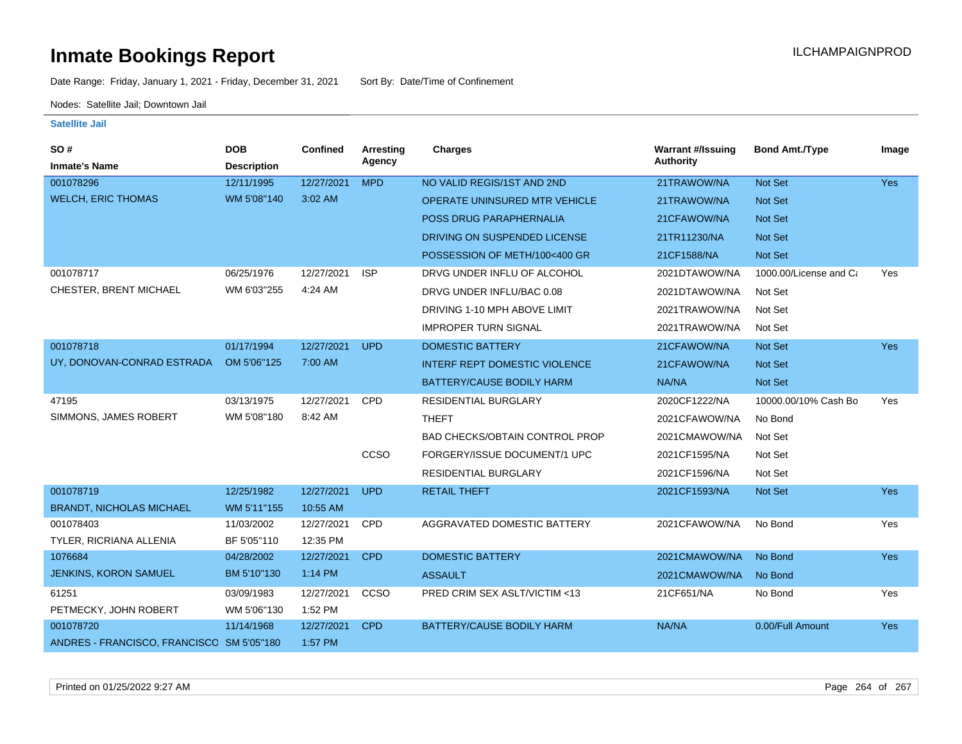Date Range: Friday, January 1, 2021 - Friday, December 31, 2021 Sort By: Date/Time of Confinement

Nodes: Satellite Jail; Downtown Jail

| SO #                                      | <b>DOB</b>         | <b>Confined</b> | Arresting  | <b>Charges</b>                        | <b>Warrant #/Issuing</b> | <b>Bond Amt./Type</b>  | Image      |
|-------------------------------------------|--------------------|-----------------|------------|---------------------------------------|--------------------------|------------------------|------------|
| <b>Inmate's Name</b>                      | <b>Description</b> |                 | Agency     |                                       | <b>Authority</b>         |                        |            |
| 001078296                                 | 12/11/1995         | 12/27/2021      | <b>MPD</b> | NO VALID REGIS/1ST AND 2ND            | 21TRAWOW/NA              | Not Set                | Yes        |
| <b>WELCH, ERIC THOMAS</b>                 | WM 5'08"140        | 3:02 AM         |            | OPERATE UNINSURED MTR VEHICLE         | 21TRAWOW/NA              | Not Set                |            |
|                                           |                    |                 |            | POSS DRUG PARAPHERNALIA               | 21CFAWOW/NA              | <b>Not Set</b>         |            |
|                                           |                    |                 |            | DRIVING ON SUSPENDED LICENSE          | 21TR11230/NA             | Not Set                |            |
|                                           |                    |                 |            | POSSESSION OF METH/100<400 GR         | 21CF1588/NA              | Not Set                |            |
| 001078717                                 | 06/25/1976         | 12/27/2021      | <b>ISP</b> | DRVG UNDER INFLU OF ALCOHOL           | 2021DTAWOW/NA            | 1000.00/License and Ca | Yes        |
| CHESTER, BRENT MICHAEL                    | WM 6'03"255        | 4:24 AM         |            | DRVG UNDER INFLU/BAC 0.08             | 2021DTAWOW/NA            | Not Set                |            |
|                                           |                    |                 |            | DRIVING 1-10 MPH ABOVE LIMIT          | 2021TRAWOW/NA            | Not Set                |            |
|                                           |                    |                 |            | <b>IMPROPER TURN SIGNAL</b>           | 2021TRAWOW/NA            | Not Set                |            |
| 001078718                                 | 01/17/1994         | 12/27/2021      | <b>UPD</b> | <b>DOMESTIC BATTERY</b>               | 21CFAWOW/NA              | Not Set                | <b>Yes</b> |
| UY, DONOVAN-CONRAD ESTRADA                | OM 5'06"125        | 7:00 AM         |            | <b>INTERF REPT DOMESTIC VIOLENCE</b>  | 21CFAWOW/NA              | Not Set                |            |
|                                           |                    |                 |            | BATTERY/CAUSE BODILY HARM             | NA/NA                    | Not Set                |            |
| 47195                                     | 03/13/1975         | 12/27/2021      | <b>CPD</b> | <b>RESIDENTIAL BURGLARY</b>           | 2020CF1222/NA            | 10000.00/10% Cash Bo   | Yes        |
| SIMMONS, JAMES ROBERT                     | WM 5'08"180        | 8:42 AM         |            | <b>THEFT</b>                          | 2021CFAWOW/NA            | No Bond                |            |
|                                           |                    |                 |            | <b>BAD CHECKS/OBTAIN CONTROL PROP</b> | 2021CMAWOW/NA            | Not Set                |            |
|                                           |                    |                 | CCSO       | FORGERY/ISSUE DOCUMENT/1 UPC          | 2021CF1595/NA            | Not Set                |            |
|                                           |                    |                 |            | <b>RESIDENTIAL BURGLARY</b>           | 2021CF1596/NA            | Not Set                |            |
| 001078719                                 | 12/25/1982         | 12/27/2021      | <b>UPD</b> | <b>RETAIL THEFT</b>                   | 2021CF1593/NA            | Not Set                | <b>Yes</b> |
| <b>BRANDT, NICHOLAS MICHAEL</b>           | WM 5'11"155        | 10:55 AM        |            |                                       |                          |                        |            |
| 001078403                                 | 11/03/2002         | 12/27/2021      | <b>CPD</b> | AGGRAVATED DOMESTIC BATTERY           | 2021CFAWOW/NA            | No Bond                | Yes        |
| TYLER, RICRIANA ALLENIA                   | BF 5'05"110        | 12:35 PM        |            |                                       |                          |                        |            |
| 1076684                                   | 04/28/2002         | 12/27/2021      | <b>CPD</b> | <b>DOMESTIC BATTERY</b>               | 2021CMAWOW/NA            | No Bond                | Yes        |
| JENKINS, KORON SAMUEL                     | BM 5'10"130        | 1:14 PM         |            | <b>ASSAULT</b>                        | 2021CMAWOW/NA            | No Bond                |            |
| 61251                                     | 03/09/1983         | 12/27/2021      | CCSO       | PRED CRIM SEX ASLT/VICTIM <13         | 21CF651/NA               | No Bond                | Yes        |
| PETMECKY, JOHN ROBERT                     | WM 5'06"130        | 1:52 PM         |            |                                       |                          |                        |            |
| 001078720                                 | 11/14/1968         | 12/27/2021      | <b>CPD</b> | BATTERY/CAUSE BODILY HARM             | NA/NA                    | 0.00/Full Amount       | Yes        |
| ANDRES - FRANCISCO, FRANCISCO SM 5'05"180 |                    | 1:57 PM         |            |                                       |                          |                        |            |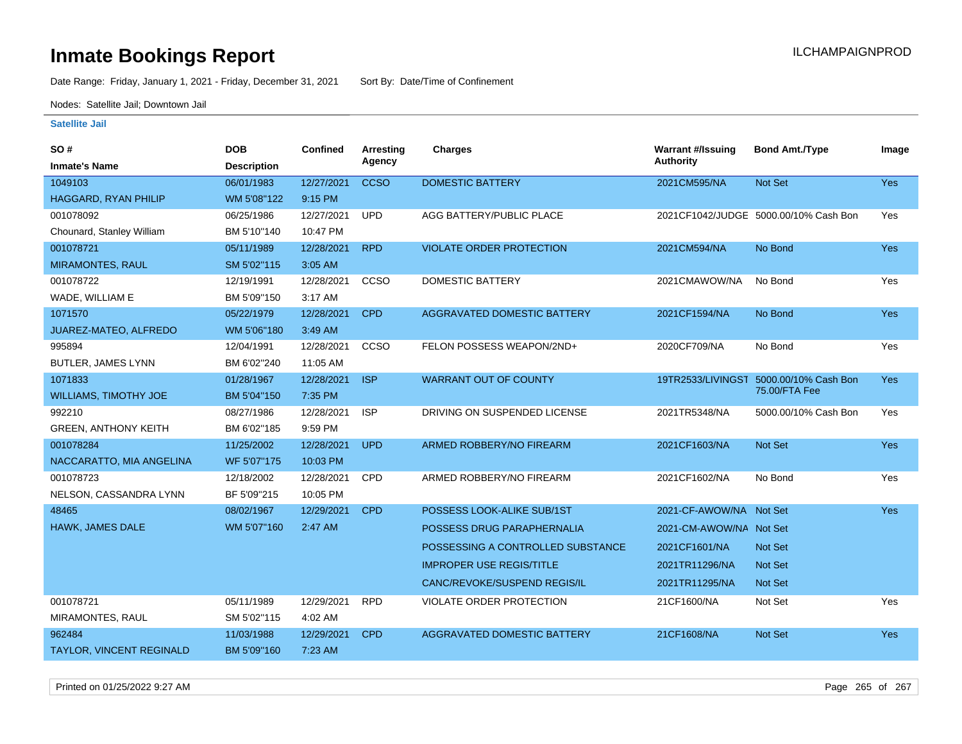Date Range: Friday, January 1, 2021 - Friday, December 31, 2021 Sort By: Date/Time of Confinement

Nodes: Satellite Jail; Downtown Jail

| <b>SO#</b>                      | <b>DOB</b>         | Confined   | <b>Arresting</b> | <b>Charges</b>                     | <b>Warrant #/Issuing</b> | <b>Bond Amt./Type</b>                 | Image      |
|---------------------------------|--------------------|------------|------------------|------------------------------------|--------------------------|---------------------------------------|------------|
| <b>Inmate's Name</b>            | <b>Description</b> |            | Agency           |                                    | <b>Authority</b>         |                                       |            |
| 1049103                         | 06/01/1983         | 12/27/2021 | <b>CCSO</b>      | <b>DOMESTIC BATTERY</b>            | 2021CM595/NA             | Not Set                               | Yes        |
| <b>HAGGARD, RYAN PHILIP</b>     | WM 5'08"122        | 9:15 PM    |                  |                                    |                          |                                       |            |
| 001078092                       | 06/25/1986         | 12/27/2021 | <b>UPD</b>       | AGG BATTERY/PUBLIC PLACE           |                          | 2021CF1042/JUDGE 5000.00/10% Cash Bon | Yes        |
| Chounard, Stanley William       | BM 5'10"140        | 10:47 PM   |                  |                                    |                          |                                       |            |
| 001078721                       | 05/11/1989         | 12/28/2021 | <b>RPD</b>       | <b>VIOLATE ORDER PROTECTION</b>    | 2021CM594/NA             | No Bond                               | <b>Yes</b> |
| <b>MIRAMONTES, RAUL</b>         | SM 5'02"115        | 3:05 AM    |                  |                                    |                          |                                       |            |
| 001078722                       | 12/19/1991         | 12/28/2021 | <b>CCSO</b>      | <b>DOMESTIC BATTERY</b>            | 2021CMAWOW/NA            | No Bond                               | Yes        |
| WADE, WILLIAM E                 | BM 5'09"150        | 3:17 AM    |                  |                                    |                          |                                       |            |
| 1071570                         | 05/22/1979         | 12/28/2021 | <b>CPD</b>       | <b>AGGRAVATED DOMESTIC BATTERY</b> | 2021CF1594/NA            | No Bond                               | Yes        |
| JUAREZ-MATEO, ALFREDO           | WM 5'06"180        | 3:49 AM    |                  |                                    |                          |                                       |            |
| 995894                          | 12/04/1991         | 12/28/2021 | <b>CCSO</b>      | FELON POSSESS WEAPON/2ND+          | 2020CF709/NA             | No Bond                               | Yes        |
| BUTLER, JAMES LYNN              | BM 6'02"240        | 11:05 AM   |                  |                                    |                          |                                       |            |
| 1071833                         | 01/28/1967         | 12/28/2021 | <b>ISP</b>       | <b>WARRANT OUT OF COUNTY</b>       | 19TR2533/LIVINGST        | 5000.00/10% Cash Bon<br>75.00/FTA Fee | <b>Yes</b> |
| <b>WILLIAMS, TIMOTHY JOE</b>    | BM 5'04"150        | 7:35 PM    |                  |                                    |                          |                                       |            |
| 992210                          | 08/27/1986         | 12/28/2021 | <b>ISP</b>       | DRIVING ON SUSPENDED LICENSE       | 2021TR5348/NA            | 5000.00/10% Cash Bon                  | Yes        |
| <b>GREEN, ANTHONY KEITH</b>     | BM 6'02"185        | 9:59 PM    |                  |                                    |                          |                                       |            |
| 001078284                       | 11/25/2002         | 12/28/2021 | <b>UPD</b>       | ARMED ROBBERY/NO FIREARM           | 2021CF1603/NA            | Not Set                               | Yes        |
| NACCARATTO, MIA ANGELINA        | WF 5'07"175        | 10:03 PM   |                  |                                    |                          |                                       |            |
| 001078723                       | 12/18/2002         | 12/28/2021 | <b>CPD</b>       | ARMED ROBBERY/NO FIREARM           | 2021CF1602/NA            | No Bond                               | Yes        |
| NELSON, CASSANDRA LYNN          | BF 5'09"215        | 10:05 PM   |                  |                                    |                          |                                       |            |
| 48465                           | 08/02/1967         | 12/29/2021 | <b>CPD</b>       | POSSESS LOOK-ALIKE SUB/1ST         | 2021-CF-AWOW/NA Not Set  |                                       | <b>Yes</b> |
| HAWK, JAMES DALE                | WM 5'07"160        | 2:47 AM    |                  | POSSESS DRUG PARAPHERNALIA         | 2021-CM-AWOW/NA Not Set  |                                       |            |
|                                 |                    |            |                  | POSSESSING A CONTROLLED SUBSTANCE  | 2021CF1601/NA            | <b>Not Set</b>                        |            |
|                                 |                    |            |                  | <b>IMPROPER USE REGIS/TITLE</b>    | 2021TR11296/NA           | <b>Not Set</b>                        |            |
|                                 |                    |            |                  | CANC/REVOKE/SUSPEND REGIS/IL       | 2021TR11295/NA           | Not Set                               |            |
| 001078721                       | 05/11/1989         | 12/29/2021 | <b>RPD</b>       | <b>VIOLATE ORDER PROTECTION</b>    | 21CF1600/NA              | Not Set                               | Yes        |
| MIRAMONTES, RAUL                | SM 5'02"115        | 4:02 AM    |                  |                                    |                          |                                       |            |
| 962484                          | 11/03/1988         | 12/29/2021 | <b>CPD</b>       | <b>AGGRAVATED DOMESTIC BATTERY</b> | 21CF1608/NA              | Not Set                               | Yes        |
| <b>TAYLOR, VINCENT REGINALD</b> | BM 5'09"160        | 7:23 AM    |                  |                                    |                          |                                       |            |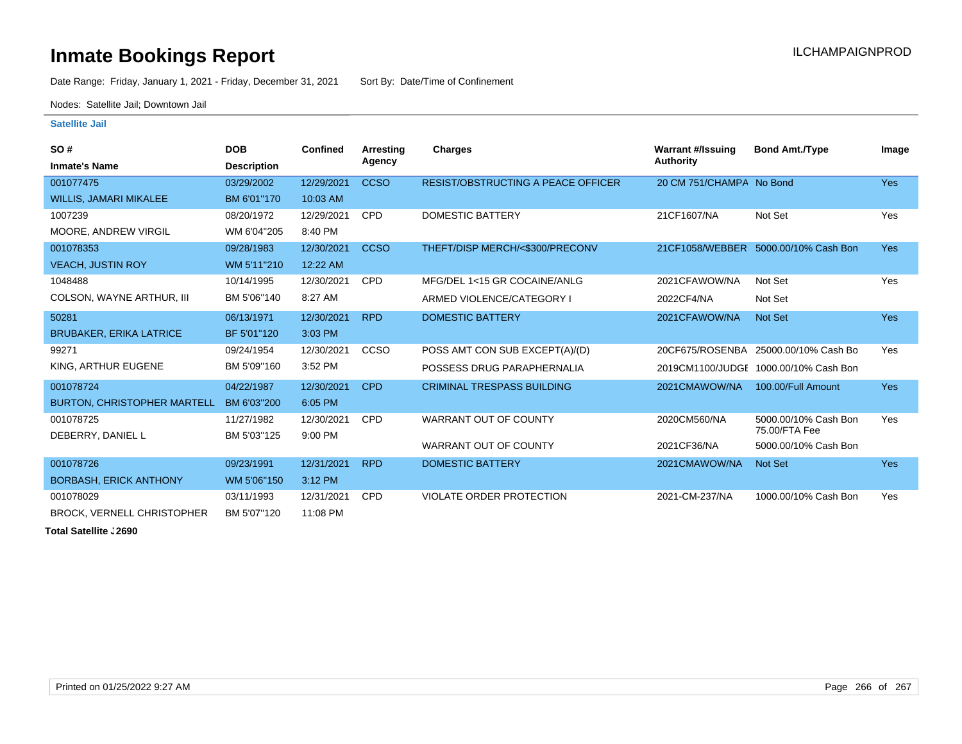Date Range: Friday, January 1, 2021 - Friday, December 31, 2021 Sort By: Date/Time of Confinement

Nodes: Satellite Jail; Downtown Jail

#### **Satellite Jail**

| <b>SO#</b>                         | <b>DOB</b>         | <b>Confined</b> | Arresting   | <b>Charges</b>                            | <b>Warrant #/Issuing</b> | <b>Bond Amt./Type</b>                 | Image      |
|------------------------------------|--------------------|-----------------|-------------|-------------------------------------------|--------------------------|---------------------------------------|------------|
| <b>Inmate's Name</b>               | <b>Description</b> |                 | Agency      |                                           | <b>Authority</b>         |                                       |            |
| 001077475                          | 03/29/2002         | 12/29/2021      | <b>CCSO</b> | <b>RESIST/OBSTRUCTING A PEACE OFFICER</b> | 20 CM 751/CHAMPA No Bond |                                       | <b>Yes</b> |
| <b>WILLIS, JAMARI MIKALEE</b>      | BM 6'01"170        | 10:03 AM        |             |                                           |                          |                                       |            |
| 1007239                            | 08/20/1972         | 12/29/2021      | <b>CPD</b>  | <b>DOMESTIC BATTERY</b>                   | 21CF1607/NA              | Not Set                               | Yes        |
| MOORE, ANDREW VIRGIL               | WM 6'04"205        | 8:40 PM         |             |                                           |                          |                                       |            |
| 001078353                          | 09/28/1983         | 12/30/2021      | <b>CCSO</b> | THEFT/DISP MERCH/<\$300/PRECONV           |                          | 21CF1058/WEBBER 5000.00/10% Cash Bon  | <b>Yes</b> |
| <b>VEACH, JUSTIN ROY</b>           | WM 5'11"210        | 12:22 AM        |             |                                           |                          |                                       |            |
| 1048488                            | 10/14/1995         | 12/30/2021      | <b>CPD</b>  | MFG/DEL 1<15 GR COCAINE/ANLG              | 2021CFAWOW/NA            | Not Set                               | Yes        |
| COLSON, WAYNE ARTHUR, III          | BM 5'06"140        | 8:27 AM         |             | ARMED VIOLENCE/CATEGORY I                 | 2022CF4/NA               | Not Set                               |            |
| 50281                              | 06/13/1971         | 12/30/2021      | <b>RPD</b>  | <b>DOMESTIC BATTERY</b>                   | 2021CFAWOW/NA            | Not Set                               | Yes        |
| <b>BRUBAKER, ERIKA LATRICE</b>     | BF 5'01"120        | 3:03 PM         |             |                                           |                          |                                       |            |
| 99271                              | 09/24/1954         | 12/30/2021      | CCSO        | POSS AMT CON SUB EXCEPT(A)/(D)            | 20CF675/ROSENBA          | 25000.00/10% Cash Bo                  | Yes        |
| KING, ARTHUR EUGENE                | BM 5'09"160        | 3:52 PM         |             | POSSESS DRUG PARAPHERNALIA                |                          | 2019CM1100/JUDGE 1000.00/10% Cash Bon |            |
| 001078724                          | 04/22/1987         | 12/30/2021      | <b>CPD</b>  | <b>CRIMINAL TRESPASS BUILDING</b>         | 2021CMAWOW/NA            | 100.00/Full Amount                    | <b>Yes</b> |
| <b>BURTON, CHRISTOPHER MARTELL</b> | BM 6'03"200        | 6:05 PM         |             |                                           |                          |                                       |            |
| 001078725                          | 11/27/1982         | 12/30/2021      | <b>CPD</b>  | WARRANT OUT OF COUNTY                     | 2020CM560/NA             | 5000.00/10% Cash Bon                  | Yes        |
| DEBERRY, DANIEL L                  | BM 5'03"125        | 9:00 PM         |             | <b>WARRANT OUT OF COUNTY</b>              | 2021CF36/NA              | 75.00/FTA Fee                         |            |
|                                    |                    |                 |             |                                           |                          | 5000.00/10% Cash Bon                  |            |
| 001078726                          | 09/23/1991         | 12/31/2021      | <b>RPD</b>  | <b>DOMESTIC BATTERY</b>                   | 2021CMAWOW/NA            | Not Set                               | Yes        |
| <b>BORBASH, ERICK ANTHONY</b>      | WM 5'06"150        | 3:12 PM         |             |                                           |                          |                                       |            |
| 001078029                          | 03/11/1993         | 12/31/2021      | <b>CPD</b>  | VIOLATE ORDER PROTECTION                  | 2021-CM-237/NA           | 1000.00/10% Cash Bon                  | Yes        |
| <b>BROCK, VERNELL CHRISTOPHER</b>  | BM 5'07"120        | 11:08 PM        |             |                                           |                          |                                       |            |

**Total Satellite . 2690**